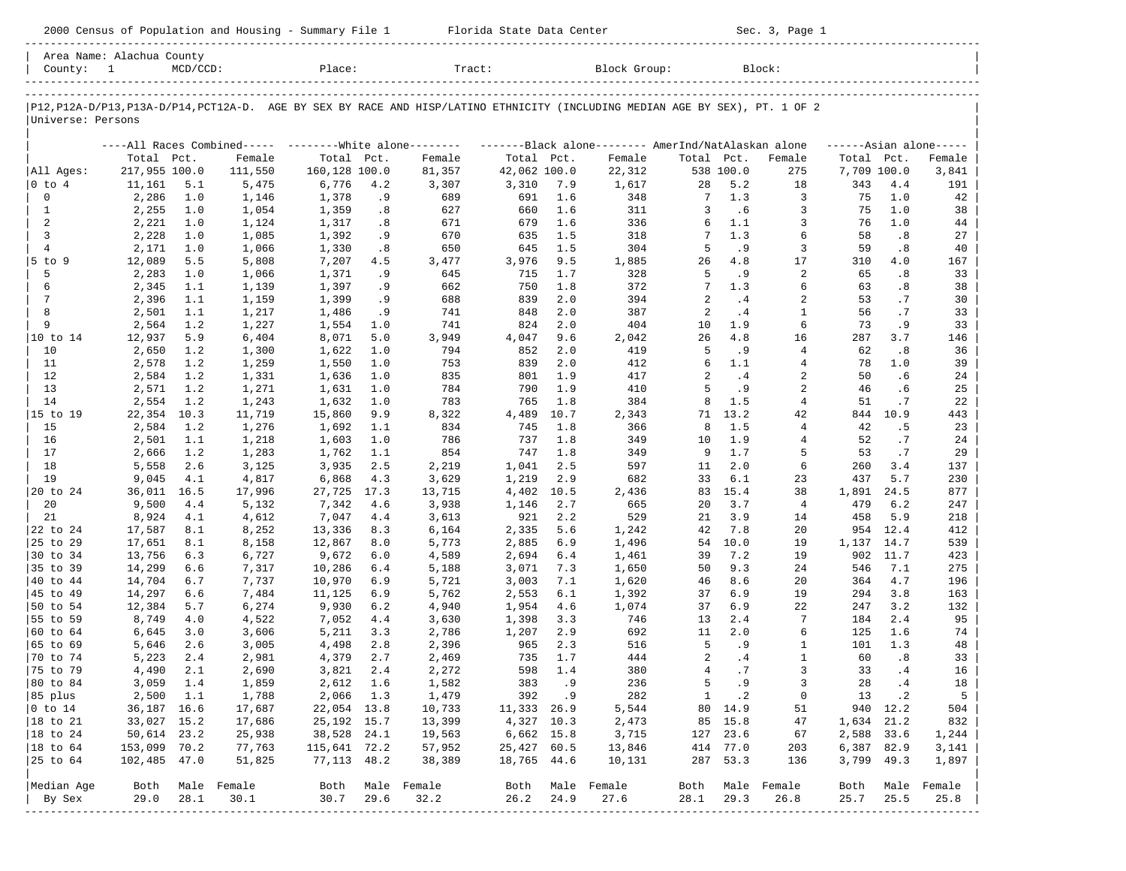-----------------------------------------------------------------------------------------------------------------------------------------------------

Area Name: Alachua County

| County: 1 MCD/CCD: Place: Tract: Block Group: Block: Block:

-----------------------------------------------------------------------------------------------------------------------------------------------------

-----------------------------------------------------------------------------------------------------------------------------------------------------

|P12,P12A-D/P13,P13A-D/P14,PCT12A-D. AGE BY SEX BY RACE AND HISP/LATINO ETHNICITY (INCLUDING MEDIAN AGE BY SEX), PT. 1 OF 2 | |Universe: Persons |

|                |               |      |             | ----All Races Combined----- -------- White alone-------- |      |        |              |      | -------Black alone-------- AmerInd/NatAlaskan alone |                |           |                |             |           | $---Asian alone---$ |
|----------------|---------------|------|-------------|----------------------------------------------------------|------|--------|--------------|------|-----------------------------------------------------|----------------|-----------|----------------|-------------|-----------|---------------------|
|                | Total         | Pct. | Female      | Total                                                    | Pct. | Female | Total Pct.   |      | Female                                              | Total Pct.     |           | Female         | Total       | Pct.      | Female              |
| All Ages:      | 217,955 100.0 |      | 111,550     | 160,128 100.0                                            |      | 81,357 | 42,062 100.0 |      | 22,312                                              |                | 538 100.0 | 275            | 7,709 100.0 |           | 3,841               |
| $0$ to $4$     | 11,161        | 5.1  | 5,475       | 6,776                                                    | 4.2  | 3,307  | 3,310        | 7.9  | 1,617                                               | 28             | 5.2       | 18             | 343         | 4.4       | 191                 |
| $\Omega$       | 2,286         | 1.0  | 1,146       | 1,378                                                    | . 9  | 689    | 691          | 1.6  | 348                                                 | 7              | 1.3       | 3              | 75          | 1.0       | 42                  |
| 1              | 2,255         | 1.0  | 1,054       | 1,359                                                    | .8   | 627    | 660          | 1.6  | 311                                                 | 3              | . 6       | 3              | 75          | 1.0       | 38                  |
| 2              | 2,221         | 1.0  | 1,124       | 1,317                                                    | .8   | 671    | 679          | 1.6  | 336                                                 | 6              | 1.1       | 3              | 76          | 1.0       | 44                  |
| 3              | 2,228         | 1.0  | 1,085       | 1,392                                                    | .9   | 670    | 635          | 1.5  | 318                                                 | 7              | 1.3       | 6              | 58          | .8        | 27                  |
| $\overline{4}$ | 2,171         | 1.0  | 1,066       | 1,330                                                    | .8   | 650    | 645          | 1.5  | 304                                                 | 5              | . 9       | 3              | 59          | .8        | 40                  |
| $5$ to<br>9    | 12,089        | 5.5  | 5,808       | 7,207                                                    | 4.5  | 3,477  | 3,976        | 9.5  | 1,885                                               | 26             | 4.8       | 17             | 310         | 4.0       | 167                 |
| 5              | 2,283         | 1.0  | 1,066       | 1,371                                                    | .9   | 645    | 715          | 1.7  | 328                                                 | 5              | .9        | $\sqrt{2}$     | 65          | .8        | 33                  |
| 6              | 2,345         | 1.1  | 1,139       | 1,397                                                    | .9   | 662    | 750          | 1.8  | 372                                                 | 7              | 1.3       | 6              | 63          | .8        | 38                  |
| 7              | 2,396         | 1.1  | 1,159       | 1,399                                                    | . 9  | 688    | 839          | 2.0  | 394                                                 | 2              | .4        | 2              | 53          | .7        | 30                  |
| 8              | 2,501         | 1.1  | 1,217       | 1,486                                                    | .9   | 741    | 848          | 2.0  | 387                                                 | 2              | .4        | 1              | 56          | $\cdot$ 7 | 33                  |
| 9              | 2,564         | 1.2  | 1,227       | 1,554                                                    | 1.0  | 741    | 824          | 2.0  | 404                                                 | 10             | 1.9       | 6              | 73          | .9        | 33                  |
| 10 to 14       | 12,937        | 5.9  | 6,404       | 8,071                                                    | 5.0  | 3,949  | 4,047        | 9.6  | 2,042                                               | 26             | 4.8       | 16             | 287         | 3.7       | 146                 |
| 10             | 2,650         | 1.2  | 1,300       | 1,622                                                    | 1.0  | 794    | 852          | 2.0  | 419                                                 | 5              | . 9       | 4              | 62          | .8        | 36                  |
| 11             | 2,578         | 1.2  | 1,259       | 1,550                                                    | 1.0  | 753    | 839          | 2.0  | 412                                                 | 6              | 1.1       | $\overline{4}$ | 78          | 1.0       | 39                  |
| 12             | 2,584         | 1.2  | 1,331       | 1,636                                                    | 1.0  | 835    | 801          | 1.9  | 417                                                 | $\overline{a}$ | .4        | $\overline{2}$ | 50          | .6        | 24                  |
| 13             | 2,571         | 1.2  | 1,271       | 1,631                                                    | 1.0  | 784    | 790          | 1.9  | 410                                                 | 5              | .9        | 2              | 46          | .6        | 25                  |
| 14             | 2,554         | 1.2  | 1,243       | 1,632                                                    | 1.0  | 783    | 765          | 1.8  | 384                                                 | 8              | 1.5       | 4              | 51          | .7        | 22                  |
| 15 to 19       | 22,354        | 10.3 | 11,719      | 15,860                                                   | 9.9  | 8,322  | 4,489        | 10.7 | 2,343                                               | 71             | 13.2      | 42             | 844         | 10.9      | 443                 |
| 15             | 2,584         | 1.2  | 1,276       | 1,692                                                    | 1.1  | 834    | 745          | 1.8  | 366                                                 | 8              | 1.5       | 4              | 42          | .5        | 23                  |
| 16             | 2,501         | 1.1  | 1,218       | 1,603                                                    | 1.0  | 786    | 737          | 1.8  | 349                                                 | 10             | 1.9       | 4              | 52          | .7        | 24                  |
| 17             | 2,666         | 1.2  | 1,283       | 1,762                                                    | 1.1  | 854    | 747          | 1.8  | 349                                                 | 9              | 1.7       | 5              | 53          | .7        | 29                  |
| 18             | 5,558         | 2.6  | 3,125       | 3,935                                                    | 2.5  | 2,219  | 1,041        | 2.5  | 597                                                 | 11             | 2.0       | 6              | 260         | 3.4       | 137                 |
| 19             | 9,045         | 4.1  | 4,817       | 6,868                                                    | 4.3  | 3,629  | 1,219        | 2.9  | 682                                                 | 33             | 6.1       | 23             | 437         | 5.7       | 230                 |
| 20 to 24       | 36,011        | 16.5 | 17,996      | 27,725                                                   | 17.3 | 13,715 | 4,402        | 10.5 | 2,436                                               | 83             | 15.4      | 38             | 1,891       | 24.5      | 877                 |
| 20             | 9,500         | 4.4  | 5,132       | 7,342                                                    | 4.6  | 3,938  | 1,146        | 2.7  | 665                                                 | 20             | 3.7       | $\overline{4}$ | 479         | 6.2       | 247                 |
| 21             | 8,924         | 4.1  | 4,612       | 7,047                                                    | 4.4  | 3,613  | 921          | 2.2  | 529                                                 | 21             | 3.9       | 14             | 458         | 5.9       | 218                 |
| 22 to 24       | 17,587        | 8.1  | 8,252       | 13,336                                                   | 8.3  | 6,164  | 2,335        | 5.6  | 1,242                                               | 42             | 7.8       | 20             | 954         | 12.4      | 412                 |
| 25 to 29       | 17,651        | 8.1  | 8,158       | 12,867                                                   | 8.0  | 5,773  | 2,885        | 6.9  | 1,496                                               | 54             | 10.0      | 19             | 1,137       | 14.7      | 539                 |
| 30 to 34       | 13,756        | 6.3  | 6,727       | 9,672                                                    | 6.0  | 4,589  | 2,694        | 6.4  | 1,461                                               | 39             | 7.2       | 19             | 902         | 11.7      | 423                 |
| 35 to 39       | 14,299        | 6.6  | 7,317       | 10,286                                                   | 6.4  | 5,188  | 3,071        | 7.3  | 1,650                                               | 50             | 9.3       | 24             | 546         | 7.1       | 275                 |
| 40 to 44       | 14,704        | 6.7  | 7,737       | 10,970                                                   | 6.9  | 5,721  | 3,003        | 7.1  | 1,620                                               | 46             | 8.6       | 20             | 364         | 4.7       | 196                 |
| 45 to 49       | 14,297        | 6.6  | 7,484       | 11,125                                                   | 6.9  | 5,762  | 2,553        | 6.1  | 1,392                                               | 37             | 6.9       | 19             | 294         | 3.8       | 163                 |
| 50 to 54       | 12,384        | 5.7  | 6,274       | 9,930                                                    | 6.2  | 4,940  | 1,954        | 4.6  | 1,074                                               | 37             | 6.9       | 22             | 247         | 3.2       | 132                 |
| 55 to 59       | 8,749         | 4.0  | 4,522       | 7,052                                                    | 4.4  | 3,630  | 1,398        | 3.3  | 746                                                 | 13             | 2.4       | 7              | 184         | 2.4       | 95                  |
| 60 to 64       | 6,645         | 3.0  | 3,606       | 5,211                                                    | 3.3  | 2,786  | 1,207        | 2.9  | 692                                                 | 11             | 2.0       | 6              | 125         | 1.6       | 74                  |
| 65 to 69       | 5,646         | 2.6  | 3,005       | 4,498                                                    | 2.8  | 2,396  | 965          | 2.3  | 516                                                 | 5              | . 9       | 1              | 101         | 1.3       | 48                  |
| 70 to 74       | 5,223         | 2.4  | 2,981       | 4,379                                                    | 2.7  | 2,469  | 735          | 1.7  | 444                                                 | 2              | .4        | 1              | 60          | .8        | 33                  |
| 75 to 79       | 4,490         | 2.1  | 2,690       | 3,821                                                    | 2.4  | 2,272  | 598          | 1.4  | 380                                                 | $\overline{4}$ | .7        | 3              | 33          | .4        | 16                  |
| 80 to 84       | 3,059         | 1.4  | 1,859       | 2,612                                                    | 1.6  | 1,582  | 383          | .9   | 236                                                 | 5              | .9        | 3              | 28          | .4        | 18                  |
| 85 plus        | 2,500         | 1.1  | 1,788       | 2,066                                                    | 1.3  | 1,479  | 392          | . 9  | 282                                                 | $\mathbf{1}$   | $\cdot$ 2 | $\mathbf 0$    | 13          | $\cdot$ 2 | 5                   |
| $0$ to $14$    | 36,187        | 16.6 | 17,687      | 22,054                                                   | 13.8 | 10,733 | 11,333       | 26.9 | 5,544                                               | 80             | 14.9      | 51             | 940         | 12.2      | 504                 |
| 18 to 21       | 33,027        | 15.2 | 17,686      | 25,192                                                   | 15.7 | 13,399 | 4,327        | 10.3 | 2,473                                               | 85             | 15.8      | 47             | 1,634       | 21.2      | 832                 |
| 18 to 24       | 50,614        | 23.2 | 25,938      | 38,528                                                   | 24.1 | 19,563 | 6,662        | 15.8 | 3,715                                               | 127            | 23.6      | 67             | 2,588       | 33.6      | 1,244               |
| 18 to 64       | 153,099       | 70.2 | 77,763      | 115,641                                                  | 72.2 | 57,952 | 25,427       | 60.5 | 13,846                                              | 414            | 77.0      | 203            | 6,387       | 82.9      | 3,141               |
| 25 to 64       | 102,485       | 47.0 | 51,825      | 77,113                                                   | 48.2 | 38,389 | 18,765       | 44.6 | 10,131                                              | 287            | 53.3      | 136            | 3,799       | 49.3      | 1,897               |
| Median Age     | Both          |      | Male Female | Both                                                     | Male | Female | Both         |      | Male Female                                         | Both           | Male      | Female         | Both        | Male      | Female              |
| By Sex         | 29.0          | 28.1 | 30.1        | 30.7                                                     | 29.6 | 32.2   | 26.2         | 24.9 | 27.6                                                | 28.1           | 29.3      | 26.8           | 25.7        | 25.5      | 25.8                |
|                |               |      |             |                                                          |      |        |              |      |                                                     |                |           |                |             |           |                     |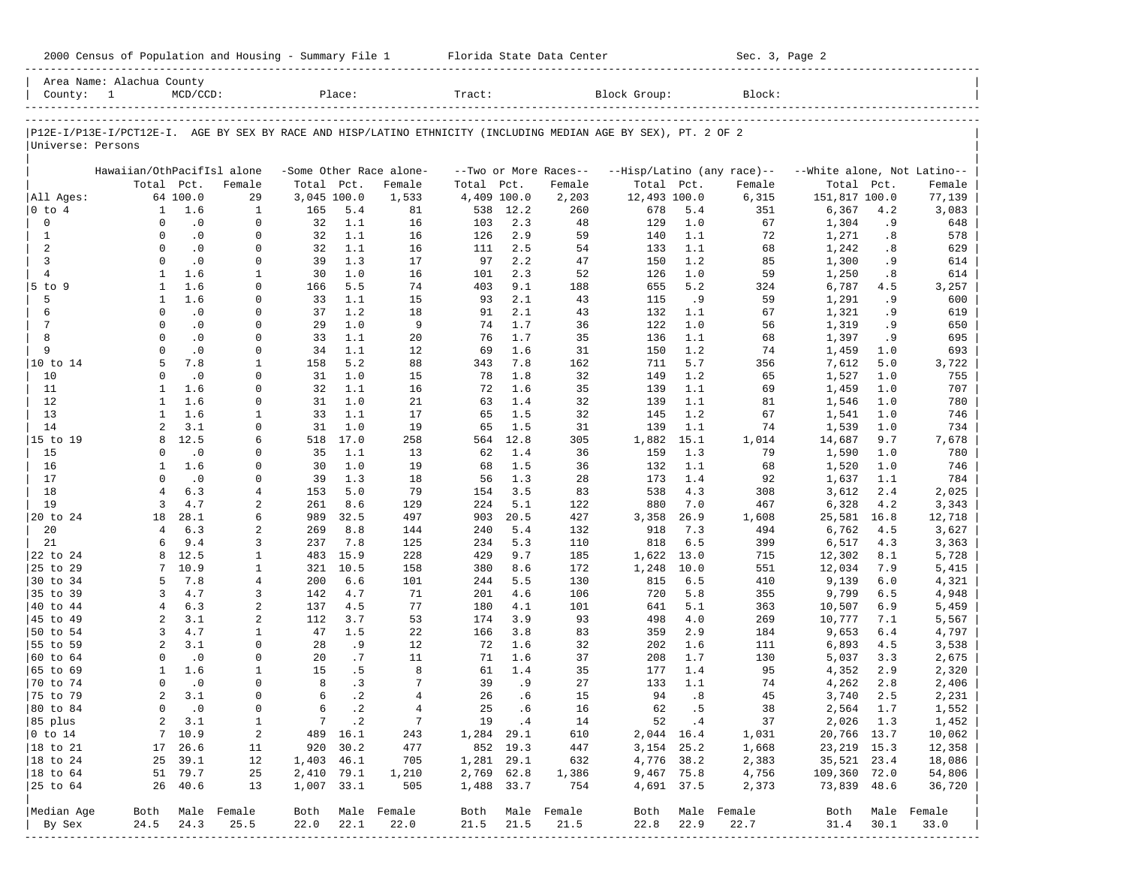| P12E-I/P13E-I/PCT12E-I. AGE BY SEX BY RACE AND HISP/LATINO ETHNICITY (INCLUDING MEDIAN AGE BY SEX), PT. 2 OF 2<br>Universe: Persons<br>All Ages:<br>0 to 4<br>0<br>$\mathbf{1}$<br>2<br>3 | Total Pct.<br>$\mathbf{1}$<br>$\Omega$<br>$\Omega$<br>$\Omega$<br>$\Omega$<br>$\mathbf{1}$ | 64 100.0<br>1.6<br>$\cdot$ 0<br>$\cdot$ 0<br>$\cdot$ 0 | Hawaiian/OthPacifIsl alone<br>Female<br>29<br>1<br>$\mathbf 0$ | Total Pct.<br>3,045 100.0<br>165 |                      | -Some Other Race alone- |                        |            |                       |                           |            |                            |                             |            |                  |
|-------------------------------------------------------------------------------------------------------------------------------------------------------------------------------------------|--------------------------------------------------------------------------------------------|--------------------------------------------------------|----------------------------------------------------------------|----------------------------------|----------------------|-------------------------|------------------------|------------|-----------------------|---------------------------|------------|----------------------------|-----------------------------|------------|------------------|
|                                                                                                                                                                                           |                                                                                            |                                                        |                                                                |                                  |                      |                         |                        |            |                       |                           |            |                            |                             |            |                  |
|                                                                                                                                                                                           |                                                                                            |                                                        |                                                                |                                  |                      |                         |                        |            |                       |                           |            |                            |                             |            |                  |
|                                                                                                                                                                                           |                                                                                            |                                                        |                                                                |                                  |                      |                         |                        |            |                       |                           |            |                            |                             |            |                  |
|                                                                                                                                                                                           |                                                                                            |                                                        |                                                                |                                  |                      |                         |                        |            | --Two or More Races-- |                           |            | --Hisp/Latino (any race)-- | --White alone, Not Latino-- |            |                  |
|                                                                                                                                                                                           |                                                                                            |                                                        |                                                                |                                  |                      | Female                  | Total Pct.             |            | Female                | Total Pct.                |            | Female                     | Total Pct.                  |            | Female           |
|                                                                                                                                                                                           |                                                                                            |                                                        |                                                                |                                  |                      | 1,533                   | 4,409 100.0            |            | 2,203                 | 12,493 100.0              |            | 6,315                      | 151,817 100.0               |            | 77,139           |
|                                                                                                                                                                                           |                                                                                            |                                                        |                                                                |                                  | 5.4                  | 81                      | 538                    | 12.2       | 260                   | 678                       | 5.4        | 351                        | 6,367                       | 4.2        | 3,083            |
|                                                                                                                                                                                           |                                                                                            |                                                        |                                                                | 32                               | 1.1                  | 16                      | 103                    | 2.3        | 48                    | 129                       | 1.0        | 67                         | 1,304                       | .9         | 648              |
|                                                                                                                                                                                           |                                                                                            |                                                        | $\mathbf 0$                                                    | 32                               | 1.1                  | 16                      | 126                    | 2.9        | 59                    | 140                       | 1.1        | 72                         | 1,271                       | .8         | 578              |
|                                                                                                                                                                                           |                                                                                            | $\cdot$ 0                                              | $\mathbf 0$<br>$\mathbf 0$                                     | 32<br>39                         | 1.1<br>1.3           | 16<br>17                | 111<br>97              | 2.5<br>2.2 | 54<br>47              | 133<br>150                | 1.1<br>1.2 | 68<br>85                   | 1,242                       | .8<br>. 9  | 629<br>614       |
| $\overline{4}$                                                                                                                                                                            |                                                                                            | 1.6                                                    | 1                                                              | 30                               | 1.0                  | 16                      | 101                    | 2.3        | 52                    | 126                       | 1.0        | 59                         | 1,300<br>1,250              | .8         | 614              |
| $5$ to $9$                                                                                                                                                                                | 1                                                                                          | 1.6                                                    | $\Omega$                                                       | 166                              | 5.5                  | 74                      | 403                    | 9.1        | 188                   | 655                       | 5.2        | 324                        | 6,787                       | 4.5        | 3,257            |
| 5                                                                                                                                                                                         | $\mathbf{1}$                                                                               | 1.6                                                    | 0                                                              | 33                               | 1.1                  | 15                      | 93                     | 2.1        | 43                    | 115                       | .9         | 59                         | 1,291                       | .9         | 600              |
| 6                                                                                                                                                                                         | 0                                                                                          | $\cdot$ 0                                              | 0                                                              | 37                               | 1.2                  | 18                      | 91                     | 2.1        | 43                    | 132                       | 1.1        | 67                         | 1,321                       | . 9        | 619              |
| 7                                                                                                                                                                                         | $\Omega$                                                                                   | $\cdot$ 0                                              | $\mathbf 0$                                                    | 29                               | 1.0                  | 9                       | 74                     | 1.7        | 36                    | 122                       | 1.0        | 56                         | 1,319                       | .9         | 650              |
| 8                                                                                                                                                                                         | $\Omega$                                                                                   | $\cdot$ 0                                              | $\Omega$                                                       | 33                               | 1.1                  | 20                      | 76                     | 1.7        | 35                    | 136                       | 1.1        | 68                         | 1,397                       | .9         | 695              |
| 9                                                                                                                                                                                         | $\Omega$                                                                                   | $\cdot$ 0                                              | $\mathbf 0$                                                    | 34                               | 1.1                  | 12                      | 69                     | 1.6        | 31                    | 150                       | 1.2        | 74                         | 1,459                       | 1.0        | 693              |
| 10 to 14                                                                                                                                                                                  | 5                                                                                          | 7.8                                                    | 1                                                              | 158                              | 5.2                  | 88                      | 343                    | 7.8        | 162                   | 711                       | 5.7        | 356                        | 7,612                       | 5.0        | 3,722            |
| 10                                                                                                                                                                                        | $\Omega$                                                                                   | $\cdot$ 0                                              | $\Omega$                                                       | 31                               | 1.0                  | 15                      | 78                     | 1.8        | 32                    | 149                       | 1.2        | 65                         | 1,527                       | 1.0        | 755              |
| 11                                                                                                                                                                                        | 1                                                                                          | 1.6                                                    | $\mathbf 0$                                                    | 32                               | 1.1                  | 16                      | 72                     | 1.6        | 35                    | 139                       | 1.1        | 69                         | 1,459                       | 1.0        | 707              |
| 12                                                                                                                                                                                        | $\mathbf{1}$                                                                               | 1.6                                                    | $\mathbf 0$                                                    | 31                               | 1.0                  | 21                      | 63                     | 1.4        | 32                    | 139                       | 1.1        | 81                         | 1,546                       | 1.0        | 780              |
| 13                                                                                                                                                                                        | $\mathbf{1}$                                                                               | 1.6                                                    | 1                                                              | 33                               | 1.1                  | 17                      | 65                     | 1.5        | 32                    | 145                       | 1.2        | 67                         | 1,541                       | 1.0        | 746              |
| 14                                                                                                                                                                                        | $\overline{a}$                                                                             | 3.1                                                    | $\mathbf 0$                                                    | 31                               | 1.0                  | 19                      | 65                     | 1.5        | 31                    | 139                       | 1.1        | 74                         | 1,539                       | 1.0        | 734              |
| 15 to 19                                                                                                                                                                                  | 8                                                                                          | 12.5                                                   | 6                                                              | 518                              | 17.0                 | 258                     | 564                    | 12.8       | 305                   | 1,882                     | 15.1       | 1,014                      | 14,687                      | 9.7        | 7,678            |
| 15                                                                                                                                                                                        | $\Omega$                                                                                   | $\cdot$ 0                                              | 0                                                              | 35                               | 1.1                  | 13                      | 62                     | 1.4        | 36                    | 159                       | 1.3        | 79                         | 1,590                       | 1.0        | 780              |
| 16                                                                                                                                                                                        | 1                                                                                          | 1.6                                                    | $\mathbf 0$                                                    | 30                               | 1.0                  | 19                      | 68                     | 1.5        | 36                    | 132                       | 1.1        | 68                         | 1,520                       | 1.0        | 746              |
| 17<br>18                                                                                                                                                                                  | $\Omega$<br>4                                                                              | $\cdot$ 0<br>6.3                                       | $\mathbf 0$<br>$\overline{4}$                                  | 39<br>153                        | 1.3<br>5.0           | 18<br>79                | 56                     | 1.3<br>3.5 | 28<br>83              | 173<br>538                | 1.4<br>4.3 | 92<br>308                  | 1,637                       | 1.1<br>2.4 | 784              |
| 19                                                                                                                                                                                        | 3                                                                                          | 4.7                                                    | 2                                                              | 261                              | 8.6                  | 129                     | 154<br>224             | 5.1        | 122                   | 880                       | 7.0        | 467                        | 3,612<br>6,328              | 4.2        | 2,025<br>3,343   |
| 20 to 24                                                                                                                                                                                  | 18                                                                                         | 28.1                                                   | 6                                                              | 989                              | 32.5                 | 497                     | 903                    | 20.5       | 427                   | 3,358                     | 26.9       | 1,608                      | 25,581                      | 16.8       | 12,718           |
| 20                                                                                                                                                                                        | 4                                                                                          | 6.3                                                    | 2                                                              | 269                              | $8.8$                | 144                     | 240                    | 5.4        | 132                   | 918                       | 7.3        | 494                        | 6,762                       | 4.5        | 3,627            |
| 21                                                                                                                                                                                        | 6                                                                                          | 9.4                                                    | 3                                                              | 237                              | 7.8                  | 125                     | 234                    | 5.3        | 110                   | 818                       | 6.5        | 399                        | 6,517                       | 4.3        | 3,363            |
| 22 to 24                                                                                                                                                                                  | 8                                                                                          | 12.5                                                   | $\mathbf{1}$                                                   | 483                              | 15.9                 | 228                     | 429                    | 9.7        | 185                   | 1,622                     | 13.0       | 715                        | 12,302                      | 8.1        | 5,728            |
| 25 to 29                                                                                                                                                                                  | 7                                                                                          | 10.9                                                   | 1                                                              | 321                              | 10.5                 | 158                     | 380                    | 8.6        | 172                   | 1,248                     | 10.0       | 551                        | 12,034                      | 7.9        | 5,415            |
| 30 to 34                                                                                                                                                                                  | 5                                                                                          | 7.8                                                    | 4                                                              | 200                              | 6.6                  | 101                     | 244                    | 5.5        | 130                   | 815                       | 6.5        | 410                        | 9,139                       | 6.0        | 4,321            |
| 35 to 39                                                                                                                                                                                  | 3                                                                                          | 4.7                                                    | 3                                                              | 142                              | 4.7                  | 71                      | 201                    | 4.6        | 106                   | 720                       | 5.8        | 355                        | 9,799                       | 6.5        | 4,948            |
| 40 to 44                                                                                                                                                                                  | $\overline{4}$                                                                             | 6.3                                                    | 2                                                              | 137                              | 4.5                  | 77                      | 180                    | 4.1        | 101                   | 641                       | 5.1        | 363                        | 10,507                      | 6.9        | 5,459            |
| 45 to 49                                                                                                                                                                                  | 2                                                                                          | 3.1                                                    | 2                                                              | 112                              | 3.7                  | 53                      | 174                    | 3.9        | 93                    | 498                       | 4.0        | 269                        | 10,777                      | 7.1        | 5,567            |
| 50 to 54                                                                                                                                                                                  | 3                                                                                          | 4.7                                                    | 1                                                              | 47                               | 1.5                  | 22                      | 166                    | 3.8        | 83                    | 359                       | 2.9        | 184                        | 9,653                       | 6.4        | 4,797            |
| 55 to 59                                                                                                                                                                                  | 2                                                                                          | 3.1                                                    | $\mathbf 0$                                                    | 28                               | . 9                  | 12                      | 72                     | 1.6        | 32                    | 202                       | 1.6        | 111                        | 6,893                       | 4.5        | 3,538            |
| 60 to 64                                                                                                                                                                                  | $\Omega$                                                                                   | $\cdot$ 0                                              | $\mathbf 0$                                                    | 20                               | .7                   | 11                      | 71                     | 1.6        | 37                    | 208                       | 1.7        | 130                        | 5,037                       | 3.3        | 2,675            |
| 65 to 69                                                                                                                                                                                  | 1                                                                                          | 1.6                                                    | 1                                                              | 15                               | . 5                  | 8                       | 61                     | 1.4        | 35                    | 177                       | 1.4        | 95                         | 4,352                       | 2.9        | 2,320            |
| 70 to 74                                                                                                                                                                                  | $\Omega$                                                                                   | $\cdot$ 0                                              | $\Omega$                                                       | 8                                | .3                   | 7                       | 39                     | . 9        | 27                    | 133                       | 1.1        | 74                         | 4,262                       | 2.8        | 2,406            |
| 75 to 79                                                                                                                                                                                  | 2                                                                                          | 3.1                                                    | $\Omega$                                                       | 6                                | $\cdot$ 2            | $\overline{4}$          | 26                     | .6         | 15                    | 94                        | .8         | 45                         | 3,740                       | 2.5        | 2,231            |
| 80 to 84                                                                                                                                                                                  | $\Omega$                                                                                   | $\cdot$ 0                                              | $\mathbf 0$                                                    | 6                                | $\cdot$ 2            | $\overline{4}$          | 25                     | .6         | 16                    | 62                        | .5         | 38                         | 2,564                       | 1.7        | 1,552            |
| 85 plus                                                                                                                                                                                   |                                                                                            | $2 \quad 3.1$<br>7 10.9                                | $\mathbf{1}$                                                   |                                  | 7.2                  | $\overline{7}$          |                        | 19 .4      | 14                    |                           | 52 .4      | 37                         | 2,026 1.3<br>20,766 13.7    |            | 1,452            |
| $ 0 \t\t \text{to} \t\t 14$<br>18 to 21                                                                                                                                                   |                                                                                            | 17 26.6                                                | 2<br>11                                                        |                                  | 489 16.1<br>920 30.2 | 243<br>477              | 1,284 29.1<br>852 19.3 |            | 610<br>447            | 2,044 16.4<br>3, 154 25.2 |            | 1,031<br>1,668             | 23, 219 15.3                |            | 10,062<br>12,358 |
| $ 18$ to $24$                                                                                                                                                                             |                                                                                            | 25 39.1                                                | 12                                                             | 1,403 46.1                       |                      | 705                     | 1,281 29.1             |            | 632                   | 4,776 38.2                |            | 2,383                      | 35,521 23.4                 |            | 18,086           |
| $ 18$ to $64$                                                                                                                                                                             |                                                                                            | 51 79.7                                                | 25                                                             | 2,410 79.1                       |                      | 1,210                   | 2,769 62.8             |            | 1,386                 | 9,467 75.8                |            | 4,756                      | 109,360 72.0                |            | 54,806           |
| 25 to 64                                                                                                                                                                                  |                                                                                            | 26 40.6                                                | 13                                                             | 1,007 33.1                       |                      | 505                     | 1,488 33.7             |            | 754                   | 4,691 37.5                |            | 2,373                      | 73,839 48.6                 |            | 36,720           |
|                                                                                                                                                                                           |                                                                                            |                                                        |                                                                |                                  |                      |                         |                        |            |                       |                           |            |                            |                             |            |                  |
| Median Age                                                                                                                                                                                |                                                                                            |                                                        | Both Male Female                                               |                                  |                      | Both Male Female        |                        |            | Both Male Female      |                           |            | Both Male Female           |                             |            | Both Male Female |
| By Sex                                                                                                                                                                                    | 24.5                                                                                       | 24.3                                                   | 25.5                                                           | 22.0                             | 22.1                 | 22.0                    | 21.5                   | 21.5       | 21.5                  | 22.8                      | 22.9       | 22.7                       | 31.4                        | 30.1       | 33.0             |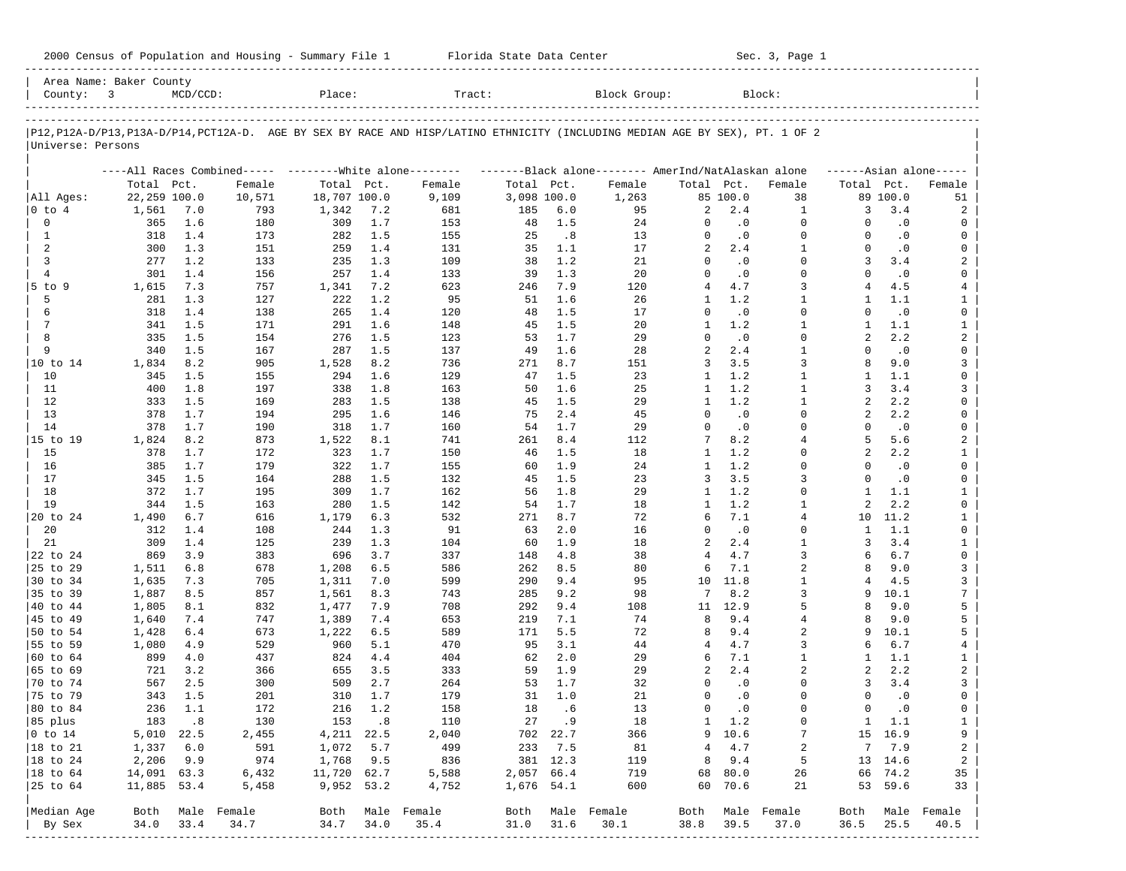| 2000 Census of Population and Housing - Summary File 1 |  | Florida State Data Center | Sec. 3, Page 1 |
|--------------------------------------------------------|--|---------------------------|----------------|
|--------------------------------------------------------|--|---------------------------|----------------|

| Area Name: Baker County<br>County: 3 |              | $MCD/CCD$ :                 |                     | Place:       |           | Tract:                                                                                                                     |             |          | Block Group:        |                |           | Block:         |                |               |                     |
|--------------------------------------|--------------|-----------------------------|---------------------|--------------|-----------|----------------------------------------------------------------------------------------------------------------------------|-------------|----------|---------------------|----------------|-----------|----------------|----------------|---------------|---------------------|
|                                      |              |                             |                     |              |           | P12,P12A-D/P13,P13A-D/P14,PCT12A-D. AGE BY SEX BY RACE AND HISP/LATINO ETHNICITY (INCLUDING MEDIAN AGE BY SEX), PT. 1 OF 2 |             |          |                     |                |           |                |                |               |                     |
| Universe: Persons                    |              |                             |                     |              |           |                                                                                                                            |             |          |                     |                |           |                |                |               |                     |
|                                      |              |                             |                     |              |           | ----All Races Combined----- --------White alone-------- --------Black alone-------- AmerInd/NatAlaskan alone               |             |          |                     |                |           |                |                |               | $---Asian alone---$ |
|                                      | Total Pct.   |                             | Female              | Total Pct.   |           | Female                                                                                                                     | Total Pct.  |          | Female              | Total Pct.     |           | Female         | Total Pct.     |               | Female              |
| All Ages:                            | 22,259 100.0 |                             | 10,571              | 18,707 100.0 |           | 9,109                                                                                                                      | 3,098 100.0 |          | 1,263               |                | 85 100.0  | 38             |                | 89 100.0      | 51                  |
| $ 0 \t{to} 4$                        | 1,561        | 7.0                         | 793                 | 1,342        | 7.2       | 681                                                                                                                        | 185         | 6.0      | 95                  | 2              | 2.4       | 1              | 3              | 3.4           | 2                   |
| $\mathbf 0$                          | 365          | 1.6                         | 180                 | 309          | 1.7       | 153                                                                                                                        | 48          | 1.5      | 24                  | 0              | $\cdot$ 0 | $\mathbf 0$    | $\Omega$       | $\cdot$ 0     | 0                   |
| 1                                    | 318          | 1.4                         | 173                 | 282          | 1.5       | 155                                                                                                                        | 25          | .8       | 13                  | $\mathbf 0$    | $\cdot$ 0 | $\mathbf 0$    | $\Omega$       | $\cdot$ 0     | 0                   |
| 2                                    | 300          | 1.3                         | 151                 | 259          | 1.4       | 131                                                                                                                        | 35          | 1.1      | 17                  | $\overline{a}$ | 2.4       | $\mathbf{1}$   | $\Omega$       | $\cdot$ 0     | 0                   |
| 3                                    | 277          | 1.2                         | 133                 | 235          | 1.3       | 109                                                                                                                        | 38          | 1.2      | 21                  | $\Omega$       | $\cdot$ 0 | $\Omega$       | 3              | 3.4           | 2                   |
| $\overline{4}$                       | 301          | 1.4                         | 156                 | 257          | 1.4       | 133                                                                                                                        | 39          | 1.3      | 20                  | $\Omega$       | $\cdot$ 0 | $\Omega$       | $\Omega$       | $\cdot$ 0     | 0                   |
| $5$ to $9$                           | 1,615        | 7.3                         | 757                 | 1,341        | 7.2       | 623                                                                                                                        | 246         | 7.9      | 120                 | 4              | 4.7       | 3              | 4              | 4.5           | $\overline{4}$      |
| 5                                    | 281          | 1.3                         | 127                 | 222          | 1.2       | 95                                                                                                                         | 51          | 1.6      | 26                  | $\mathbf{1}$   | 1.2       | $\mathbf{1}$   | $\mathbf{1}$   | 1.1           | $\mathbf{1}$        |
| 6                                    | 318          | 1.4                         | 138                 | 265          | 1.4       | 120                                                                                                                        | 48          | 1.5      | 17                  | $\Omega$       | $\cdot$ 0 | $\Omega$       | $\Omega$       | $\cdot$ 0     | 0                   |
| $7\phantom{.0}$                      | 341          | 1.5                         | 171                 | 291          | 1.6       | 148                                                                                                                        | 45          | 1.5      | 20                  | 1              | 1.2       | $\mathbf{1}$   | 1              | 1.1           | $\mathbf{1}$        |
| 8                                    | 335          | 1.5                         | 154                 | 276          | 1.5       | 123                                                                                                                        | 53          | 1.7      | 29                  | $\Omega$       | $\cdot$ 0 | $\Omega$       | $\overline{a}$ | 2.2           | $\overline{a}$      |
| 9                                    | 340          | 1.5                         | 167                 | 287          | 1.5       | 137                                                                                                                        | 49          | 1.6      | 28                  | $\overline{a}$ | 2.4       | $\mathbf{1}$   | $\Omega$       | $\cdot$ 0     | 0                   |
| 10 to 14                             | 1,834        | 8.2                         | 905                 | 1,528        | 8.2       | 736                                                                                                                        | 271         | 8.7      | 151                 | 3              | 3.5       | 3              | 8              | 9.0           | 3                   |
| 10                                   | 345          | 1.5                         | 155                 | 294          | 1.6       | 129                                                                                                                        | 47          | 1.5      | 23                  | 1              | 1.2       | $\mathbf{1}$   | -1             | 1.1           | 0                   |
| 11                                   | 400          | 1.8                         | 197                 | 338          | 1.8       | 163                                                                                                                        | 50          | 1.6      | 25                  | 1              | 1.2       | $\mathbf{1}$   | 3              | 3.4           | 3                   |
| 12                                   | 333          | 1.5                         | 169                 | 283          | 1.5       | 138                                                                                                                        | 45          | 1.5      | 29                  | 1              | 1.2       | $\mathbf{1}$   | 2              | 2.2           | 0                   |
| 13                                   | 378          | 1.7                         | 194                 | 295          | 1.6       | 146                                                                                                                        | 75          | 2.4      | 45                  | $\Omega$       | $\cdot$ 0 | $\Omega$       | 2              | 2.2           | 0                   |
| 14                                   | 378          | 1.7                         | 190                 | 318          | 1.7       | 160                                                                                                                        | 54          | 1.7      | 29                  | $\mathbf 0$    | $\cdot$ 0 | $\Omega$       | $\Omega$       | $\cdot$ 0     | 0                   |
| 15 to 19                             | 1,824        | 8.2                         | 873                 | 1,522        | 8.1       | 741                                                                                                                        | 261         | 8.4      | 112                 | 7              | 8.2       | $\overline{4}$ | 5              | 5.6           | $\overline{a}$      |
| 15                                   | 378          | 1.7                         | 172                 | 323          | 1.7       | 150                                                                                                                        | 46          | 1.5      | 18                  | 1              | 1.2       | $\Omega$       | 2              | 2.2           | $\mathbf{1}$        |
| 16                                   | 385          | 1.7                         | 179                 | 322          | 1.7       | 155                                                                                                                        | 60          | 1.9      | 24                  | 1              | 1.2       | $\Omega$       | $\Omega$       | $\cdot$ 0     | 0                   |
| 17                                   | 345          | 1.5                         | 164                 | 288          | 1.5       | 132                                                                                                                        | 45          | 1.5      | 23                  | 3              | 3.5       | 3              | $\Omega$       | $\cdot$ 0     | 0                   |
| 18                                   | 372          | 1.7                         | 195                 | 309          | 1.7       | 162                                                                                                                        | 56          | 1.8      | 29                  | 1              | 1.2       | $\Omega$       | 1              | 1.1           | $\mathbf{1}$        |
| 19                                   | 344          | 1.5                         | 163                 | 280          | 1.5       | 142                                                                                                                        | 54          | 1.7      | 18                  | 1              | 1.2       | $\mathbf{1}$   | $\overline{a}$ | 2.2           | $\mathsf{O}$        |
| 20 to 24                             | 1,490        | 6.7                         | 616                 | 1,179        | 6.3       | 532                                                                                                                        | 271         | 8.7      | 72                  | 6              | 7.1       | $\overline{4}$ | 10             | 11.2          | $\mathbf{1}$        |
| 20                                   | 312          | 1.4                         | 108                 | 244          | 1.3       | 91                                                                                                                         | 63          | 2.0      | 16                  | $\Omega$       | $\cdot$ 0 | $\Omega$       | 1              | 1.1           | 0                   |
| 21                                   | 309          | 1.4                         | 125                 | 239          | 1.3       | 104                                                                                                                        | 60          | 1.9      | 18                  | 2              | 2.4       | $\mathbf{1}$   | 3              | 3.4           | $\mathbf{1}$        |
| 22 to 24                             | 869          | 3.9                         | 383                 | 696          | 3.7       | 337                                                                                                                        | 148         | 4.8      | 38                  | $\overline{4}$ | 4.7       | 3              | 6              | 6.7           | 0                   |
| 25 to 29                             | 1,511        | 6.8                         | 678                 | 1,208        | 6.5       | 586                                                                                                                        | 262         | 8.5      | 80                  | 6              | 7.1       | 2              | 8              | 9.0           | 3                   |
| 30 to 34                             | 1,635        | 7.3                         | 705                 | 1,311        | 7.0       | 599                                                                                                                        | 290         | 9.4      | 95                  | 10             | 11.8      | $\mathbf{1}$   | 4              | 4.5           | 3                   |
| 35 to 39                             | 1,887        | 8.5                         | 857                 | 1,561        | 8.3       | 743                                                                                                                        | 285         | 9.2      | 98                  | 7              | 8.2       | 3              | 9              | 10.1          | $\overline{7}$      |
| 40 to 44                             | 1,805        | 8.1                         | 832                 | 1,477        | 7.9       | 708                                                                                                                        | 292         | 9.4      | 108                 | 11             | 12.9      | 5              | 8              | 9.0           | 5                   |
| 45 to 49                             | 1,640        | 7.4                         | 747                 | 1,389        | 7.4       | 653                                                                                                                        | 219         | 7.1      | 74                  | 8              | 9.4       | 4              | 8              | 9.0           | 5                   |
| 50 to 54                             | 1,428        | 6.4                         | 673                 | 1,222        | 6.5       | 589                                                                                                                        | 171         | 5.5      | 72                  | 8              | 9.4       | $\overline{a}$ | 9              | 10.1          | 5                   |
| 55 to 59                             | 1,080        | 4.9                         | 529                 | 960          | 5.1       | 470                                                                                                                        | 95          | 3.1      | 44                  | 4              | 4.7       | 3              | 6              | 6.7           | 4                   |
| 60 to 64                             | 899          | 4.0                         | 437                 | 824          | 4.4       | 404                                                                                                                        | 62          | 2.0      | 29                  | 6              | 7.1       | $\mathbf{1}$   | 1              | 1.1           | $\mathbf{1}$        |
| 65 to 69                             | 721          | 3.2                         | 366                 | 655          | 3.5       | 333                                                                                                                        | 59          | 1.9      | 29                  | 2              | 2.4       | 2              | 2              | 2.2           | $\overline{a}$      |
| 70 to 74                             | 567          | 2.5                         | 300                 | 509          | 2.7       | 264                                                                                                                        | 53          | 1.7      | 32                  | $\Omega$       | $\cdot$ 0 | $\Omega$       | 3              | 3.4           | 3                   |
| 75 to 79                             | 343          | 1.5                         | 201                 | 310          | 1.7       | 179                                                                                                                        | 31          | 1.0      | 21                  | $\Omega$       | $\cdot$ 0 | $\Omega$       | $\Omega$       | $\cdot$ 0     | 0                   |
| 80 to 84                             | 236          | 1.1                         | 172                 | 216          | 1.2       | 158                                                                                                                        | 18          | .6       | 13                  | $\mathbf 0$    | $\cdot$ 0 | $\Omega$       | $\Omega$       | $\cdot$ 0     | 0                   |
| 85 plus                              | 183          | $\overline{\phantom{0}}$ .8 | 130                 | 153          | $\cdot$ 8 | 110                                                                                                                        |             | 27 .9    | 18                  | $\mathbf{1}$   | 1.2       | 0              |                | $1 \quad 1.1$ | $\mathbf{1}$        |
| $ 0 \t{to} 14$                       | 5,010 22.5   |                             | 2,455               | 4, 211 22.5  |           | 2,040                                                                                                                      |             | 702 22.7 | 366                 |                | 9 10.6    | 7              |                | 15 16.9       | 9                   |
| 18 to 21                             | 1,337        | 6.0                         | 591                 | 1,072        | 5.7       | 499                                                                                                                        | 233         | 7.5      | 81                  | 4              | 4.7       | 2              | 7              | 7.9           | 2                   |
| 18 to 24                             | 2,206        | 9.9                         | 974                 | 1,768        | 9.5       | 836                                                                                                                        |             | 381 12.3 | 119                 | 8              | 9.4       | 5              |                | 13 14.6       | 2                   |
| 18 to 64                             | 14,091 63.3  |                             | 6,432               | 11,720 62.7  |           | 5,588                                                                                                                      | 2,057 66.4  |          | 719                 | 68             | 80.0      | 26             |                | 66 74.2       | 35                  |
| 25 to 64                             | 11,885 53.4  |                             | 5,458               | 9,952 53.2   |           | 4,752                                                                                                                      | 1,676 54.1  |          | 600                 | 60             | 70.6      | 21             |                | 53 59.6       | 33                  |
|                                      | Both         |                             |                     |              |           |                                                                                                                            |             |          |                     |                |           | Male Female    |                |               | Male Female         |
| Median Age                           | 34.0         | 33.4                        | Male Female<br>34.7 | Both<br>34.7 | 34.0      | Male Female<br>35.4                                                                                                        | Both        |          | Male Female<br>30.1 | Both           |           |                | Both           |               | 40.5                |
| By Sex<br>------------               |              |                             |                     |              |           |                                                                                                                            | 31.0        | 31.6     |                     | 38.8           | 39.5      | 37.0           | 36.5           | 25.5          |                     |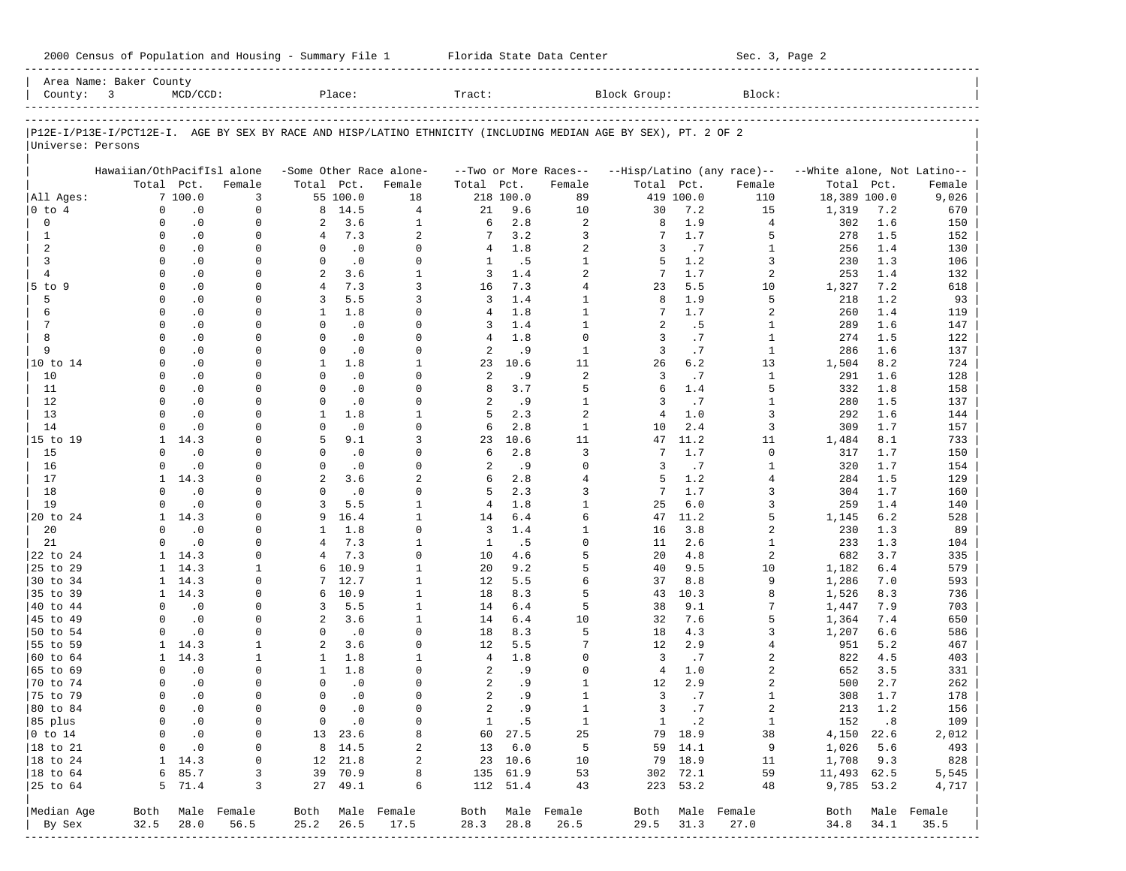|                      | Area Name: Baker County                                                                                        |                        |                   |                          |                  |                                   |                |             |                                 |                |            |                                      |                                      |            |                  |
|----------------------|----------------------------------------------------------------------------------------------------------------|------------------------|-------------------|--------------------------|------------------|-----------------------------------|----------------|-------------|---------------------------------|----------------|------------|--------------------------------------|--------------------------------------|------------|------------------|
| County: $3$          |                                                                                                                | $MCD/CCD$ :            |                   |                          | Place:           |                                   | Tract:         |             |                                 | Block Group:   |            | Block:                               |                                      |            |                  |
|                      |                                                                                                                |                        |                   |                          |                  |                                   |                |             |                                 |                |            |                                      |                                      |            |                  |
| Universe: Persons    | P12E-I/P13E-I/PCT12E-I. AGE BY SEX BY RACE AND HISP/LATINO ETHNICITY (INCLUDING MEDIAN AGE BY SEX), PT. 2 OF 2 |                        |                   |                          |                  |                                   |                |             |                                 |                |            |                                      |                                      |            |                  |
|                      |                                                                                                                |                        |                   |                          |                  |                                   |                |             |                                 |                |            |                                      |                                      |            |                  |
|                      | Hawaiian/OthPacifIsl alone                                                                                     | Total Pct.             | Female            | Total Pct.               |                  | -Some Other Race alone-<br>Female | Total          | Pct.        | --Two or More Races--<br>Female | Total Pct.     |            | --Hisp/Latino (any race)--<br>Female | --White alone, Not Latino--<br>Total | Pct.       | Female           |
| All Ages:            |                                                                                                                | 7100.0                 | 3                 |                          | 55 100.0         | 18                                |                | 218 100.0   | 89                              |                | 419 100.0  | 110                                  | 18,389 100.0                         |            | 9,026            |
| $0$ to $4$           | $\mathbf 0$                                                                                                    | $\cdot$ 0              | $\mathbf 0$       | 8                        | 14.5             | $\overline{4}$                    | 21             | 9.6         | 10                              | 30             | 7.2        | 15                                   | 1,319                                | 7.2        | 670              |
| $\mathbf 0$          | $\Omega$                                                                                                       | $\cdot$ 0              | $\mathbf 0$       | 2                        | 3.6              | $\mathbf{1}$                      | 6              | 2.8         | $\overline{a}$                  | 8              | 1.9        | 4                                    | 302                                  | 1.6        | 150              |
| 1                    | $\Omega$                                                                                                       | $\cdot$ 0              | $\Omega$          | 4                        | 7.3              | $\overline{a}$                    | 7              | 3.2         | 3                               | 7              | 1.7        | 5                                    | 278                                  | 1.5        | 152              |
| 2                    | $\Omega$                                                                                                       | $\cdot$ 0              | 0                 | $\Omega$                 | $\cdot$ 0        | $\Omega$                          | 4              | 1.8         | $\overline{a}$                  | 3              | .7         | 1                                    | 256                                  | 1.4        | 130              |
| 3                    | $\Omega$                                                                                                       | $\cdot$ 0              | $\Omega$          | $\Omega$                 | $\cdot$ 0        | $\Omega$                          | 1              | .5          | $\mathbf{1}$                    | 5              | 1.2        | 3                                    | 230                                  | 1.3        | 106              |
| $\overline{4}$       | $\Omega$                                                                                                       | $\cdot$ 0              | 0                 | $\overline{a}$           | 3.6              | $\mathbf{1}$                      | 3              | 1.4         | $\overline{a}$                  | 7              | 1.7        | 2                                    | 253                                  | 1.4        | 132              |
| 5 to 9               | $\Omega$                                                                                                       | $\cdot$ 0              | $\Omega$          | $\overline{4}$           | 7.3              | 3                                 | 16             | 7.3         | $\overline{4}$                  | 23             | 5.5        | 10                                   | 1,327                                | 7.2        | 618              |
| 5                    | $\Omega$                                                                                                       | $\cdot$ 0              | $\Omega$          | 3                        | 5.5              | 3                                 | 3              | 1.4         | $\mathbf{1}$                    | 8              | 1.9        | 5                                    | 218                                  | 1.2        | 93               |
| 6                    | $\Omega$                                                                                                       | $\cdot$ 0              | $\Omega$          | 1                        | 1.8              | $\Omega$                          | 4              | 1.8         | $\mathbf{1}$                    | 7              | 1.7        | 2                                    | 260                                  | 1.4        | 119              |
| 7                    | $\Omega$                                                                                                       | $\cdot$ 0              | 0                 | $\Omega$                 | $\cdot$ 0        | $\Omega$                          | 3              | 1.4         | $\mathbf{1}$                    | 2              | .5         | 1                                    | 289                                  | 1.6        | 147              |
| 8                    | $\Omega$                                                                                                       | $\cdot$ 0              | $\Omega$          | $\Omega$                 | $\cdot$ 0        | $\Omega$                          | 4              | 1.8         | $\Omega$                        | 3              | .7         | $\mathbf{1}$                         | 274                                  | 1.5        | 122              |
| 9                    | $\Omega$                                                                                                       | $\cdot$ 0              | $\Omega$          | $\mathbf 0$              | $\cdot$ 0        | $\Omega$<br>$\mathbf{1}$          | 2              | . 9         | $\mathbf{1}$                    | $\overline{3}$ | .7         | $\mathbf{1}$                         | 286                                  | 1.6        | 137              |
| 10 to 14<br>10       | $\Omega$<br>$\Omega$                                                                                           | $\cdot$ 0<br>$\cdot$ 0 | <sup>0</sup><br>U | $\mathbf{1}$<br>$\Omega$ | 1.8<br>$\cdot$ 0 | $\Omega$                          | 23<br>2        | 10.6<br>. 9 | 11<br>2                         | 26<br>3        | 6.2<br>.7  | 13<br>$\mathbf{1}$                   | 1,504                                | 8.2<br>1.6 | 724              |
| 11                   | $\Omega$                                                                                                       | $\cdot$ 0              | $\Omega$          | $\Omega$                 | .0               | $\Omega$                          | 8              | 3.7         | 5                               | 6              | 1.4        | 5                                    | 291<br>332                           | 1.8        | 128<br>158       |
| 12                   | $\Omega$                                                                                                       | $\cdot$ 0              | U                 | $\Omega$                 | .0               | $\Omega$                          | 2              | .9          | $\mathbf{1}$                    | 3              | .7         | $\mathbf{1}$                         | 280                                  | 1.5        | 137              |
| 13                   | $\Omega$                                                                                                       | $\cdot$ 0              | U                 | $\mathbf{1}$             | 1.8              | $\mathbf{1}$                      | 5              | 2.3         | $\overline{a}$                  | $\overline{4}$ | 1.0        | 3                                    | 292                                  | 1.6        | 144              |
| 14                   | $\Omega$                                                                                                       | $\cdot$ 0              | U                 | $\Omega$                 | .0               | $\Omega$                          | 6              | 2.8         | $\mathbf{1}$                    | 10             | 2.4        | 3                                    | 309                                  | 1.7        | 157              |
| 15 to 19             | $\mathbf{1}$                                                                                                   | 14.3                   | <sup>0</sup>      | 5                        | 9.1              | ζ                                 | 23             | 10.6        | 11                              | 47             | 11.2       | 11                                   | 1,484                                | 8.1        | 733              |
| 15                   | $\Omega$                                                                                                       | $\cdot$ 0              | U                 | $\Omega$                 | $\cdot$ 0        | $\Omega$                          | 6              | 2.8         | 3                               | 7              | 1.7        | $\mathbf 0$                          | 317                                  | 1.7        | 150              |
| 16                   | $\Omega$                                                                                                       | $\cdot$ 0              | $\Omega$          | $\Omega$                 | $\cdot$ 0        | $\Omega$                          | 2              | .9          | $\Omega$                        | 3              | .7         | 1                                    | 320                                  | 1.7        | 154              |
| 17                   | $\mathbf{1}$                                                                                                   | 14.3                   | U                 | $\overline{a}$           | 3.6              | $\overline{a}$                    | 6              | 2.8         | $\overline{4}$                  | 5              | 1.2        | 4                                    | 284                                  | 1.5        | 129              |
| 18                   | $\Omega$                                                                                                       | $\cdot$ 0              | $\Omega$          | $\Omega$                 | $\cdot$ 0        | $\Omega$                          | 5              | 2.3         | 3                               | 7              | 1.7        | 3                                    | 304                                  | 1.7        | 160              |
| 19                   | $\Omega$                                                                                                       | $\cdot$ 0              | <sup>0</sup>      | 3                        | 5.5              | $\mathbf{1}$                      | $\overline{4}$ | 1.8         | $\mathbf{1}$                    | 25             | 6.0        | 3                                    | 259                                  | 1.4        | 140              |
| 20 to 24             | $\mathbf{1}$                                                                                                   | 14.3                   | $\Omega$          | 9                        | 16.4             | $\mathbf{1}$                      | 14             | 6.4         | 6                               | 47             | 11.2       | 5                                    | 1,145                                | 6.2        | 528              |
| 20                   | $\Omega$                                                                                                       | $\cdot$ 0              | <sup>0</sup>      | $\mathbf{1}$             | 1.8              | $\Omega$                          | $\overline{3}$ | 1.4         | $1\,$                           | 16             | 3.8        | 2                                    | 230                                  | 1.3        | 89               |
| 21                   | $\Omega$                                                                                                       | $\cdot$ 0              | $\Omega$          | $\overline{4}$           | 7.3              | $\mathbf{1}$                      | $\mathbf{1}$   | . 5         | $\Omega$                        | 11             | 2.6        | 1                                    | 233                                  | 1.3        | 104              |
| 22 to 24             | $\mathbf{1}$                                                                                                   | 14.3                   | $\Omega$          | 4                        | 7.3              | $\Omega$                          | 10             | 4.6         | 5                               | 20             | 4.8        | 2                                    | 682                                  | 3.7        | 335              |
| 25 to 29             | $\mathbf{1}$                                                                                                   | 14.3                   | $\mathbf{1}$      | 6                        | 10.9             | $\mathbf{1}$                      | 20             | 9.2         | 5                               | 40             | 9.5        | 10                                   | 1,182                                | 6.4        | 579              |
| 30 to 34             | $\mathbf{1}$                                                                                                   | 14.3                   | <sup>0</sup>      | 7                        | 12.7             | $\mathbf{1}$                      | 12             | 5.5         | 6                               | 37             | 8.8        | 9                                    | 1,286                                | 7.0        | 593              |
| 35 to 39             | $\mathbf{1}$                                                                                                   | 14.3                   | $\Omega$          | 6                        | 10.9             | $\mathbf{1}$<br>$\mathbf{1}$      | 18             | 8.3         | 5                               | 43             | 10.3       | 8                                    | 1,526                                | 8.3        | 736              |
| 40 to 44<br>45 to 49 | $\Omega$<br>$\Omega$                                                                                           | $\cdot$ 0<br>$\cdot$ 0 | 0<br>0            | 3<br>2                   | 5.5<br>3.6       | $\mathbf{1}$                      | 14<br>14       | 6.4<br>6.4  | 5<br>10                         | 38<br>32       | 9.1<br>7.6 | 7<br>5                               | 1,447                                | 7.9<br>7.4 | 703<br>650       |
| 50 to 54             | $\Omega$                                                                                                       | $\cdot$ 0              | 0                 | $\Omega$                 | $\cdot$ 0        | $\Omega$                          | 18             | 8.3         | 5                               | 18             | 4.3        | 3                                    | 1,364<br>1,207                       | 6.6        | 586              |
| 55 to 59             | $\mathbf{1}$                                                                                                   | 14.3                   | 1                 | $\overline{a}$           | 3.6              | $\Omega$                          | 12             | 5.5         | 7                               | 12             | 2.9        | 4                                    | 951                                  | 5.2        | 467              |
| 60 to 64             | $\mathbf{1}$                                                                                                   | 14.3                   | 1                 | $\mathbf{1}$             | 1.8              | $\mathbf{1}$                      | $\overline{4}$ | 1.8         | $\Omega$                        | 3              | .7         | 2                                    | 822                                  | 4.5        | 403              |
| 65 to 69             | $\Omega$                                                                                                       | $\cdot$ 0              | $\Omega$          | 1                        | 1.8              | $\Omega$                          | 2              | . 9         | $\Omega$                        | $\overline{4}$ | 1.0        | 2                                    | 652                                  | 3.5        | 331              |
| 70 to 74             | $\Omega$                                                                                                       | $\cdot$ 0              | 0                 | $\Omega$                 | $\cdot$ 0        | $\Omega$                          | 2              | . 9         | $\mathbf{1}$                    | 12             | 2.9        | 2                                    | 500                                  | 2.7        | 262              |
| 75 to 79             | $\Omega$                                                                                                       | $\cdot$ 0              | $\Omega$          | $\Omega$                 | $\cdot$ 0        | $\Omega$                          | $\overline{a}$ | .9          | $\mathbf{1}$                    | 3              | .7         | $\mathbf{1}$                         | 308                                  | 1.7        | 178              |
| 80 to 84             | $\Omega$                                                                                                       | $\cdot$ 0              | $\mathbf 0$       | $\Omega$                 | $\cdot$ 0        | $\Omega$                          | $\overline{a}$ | .9          | $\mathbf{1}$                    | 3              | .7         | $\overline{a}$                       | 213                                  | 1.2        | 156              |
| 85 plus              | $\overline{0}$                                                                                                 | $\cdot$ 0              | 0                 |                          | $0 \qquad .0$    | 0                                 |                | 1 .5        | $\mathbf{1}$                    |                | 1 .2       | $\mathbf{1}$                         |                                      | 152.8      | 109              |
| $ 0 \t{to} 14$       | 0                                                                                                              | $\cdot$ 0              | 0                 |                          | 13 23.6          | 8                                 |                | 60 27.5     | 25                              |                | 79 18.9    | 38                                   | 4,150 22.6                           |            | 2,012            |
| $ 18 \text{ to } 21$ | $\mathbf{0}$                                                                                                   | $\cdot$ 0              | $\circ$           |                          | 8 14.5           | 2                                 |                | 13 6.0      | $5^{\circ}$                     |                | 59 14.1    | 9                                    | 1,026 5.6                            |            | 493              |
| $ 18 \text{ to } 24$ |                                                                                                                | $1 \quad 14.3$         | 0                 |                          | 12 21.8          | $\overline{a}$                    |                | 23 10.6     | 10                              |                | 79 18.9    | 11                                   | 1,708 9.3                            |            | 828              |
| $ 18 \text{ to } 64$ |                                                                                                                | 6 85.7                 | 3                 |                          | 39 70.9          | 8                                 |                | 135 61.9    | 53                              |                | 302 72.1   | 59                                   | 11,493 62.5                          |            | 5,545            |
| $ 25$ to $64$        |                                                                                                                | 5 71.4                 | 3                 |                          | 27 49.1          | 6                                 |                | 112 51.4    | 43                              |                | 223 53.2   | 48                                   | 9,785 53.2                           |            | 4,717            |
| Median Age           |                                                                                                                |                        | Both Male Female  |                          |                  | Both Male Female                  |                |             | Both Male Female                |                |            | Both Male Female                     |                                      |            | Both Male Female |
| By Sex               | 32.5                                                                                                           | 28.0                   | 56.5              | 25.2                     | 26.5             | 17.5                              | 28.3           | 28.8        | 26.5                            |                | 29.5 31.3  | 27.0                                 | 34.8                                 | 34.1       | 35.5             |
|                      |                                                                                                                |                        | ----------------- |                          |                  | ---------------------------       |                |             |                                 |                |            |                                      |                                      |            |                  |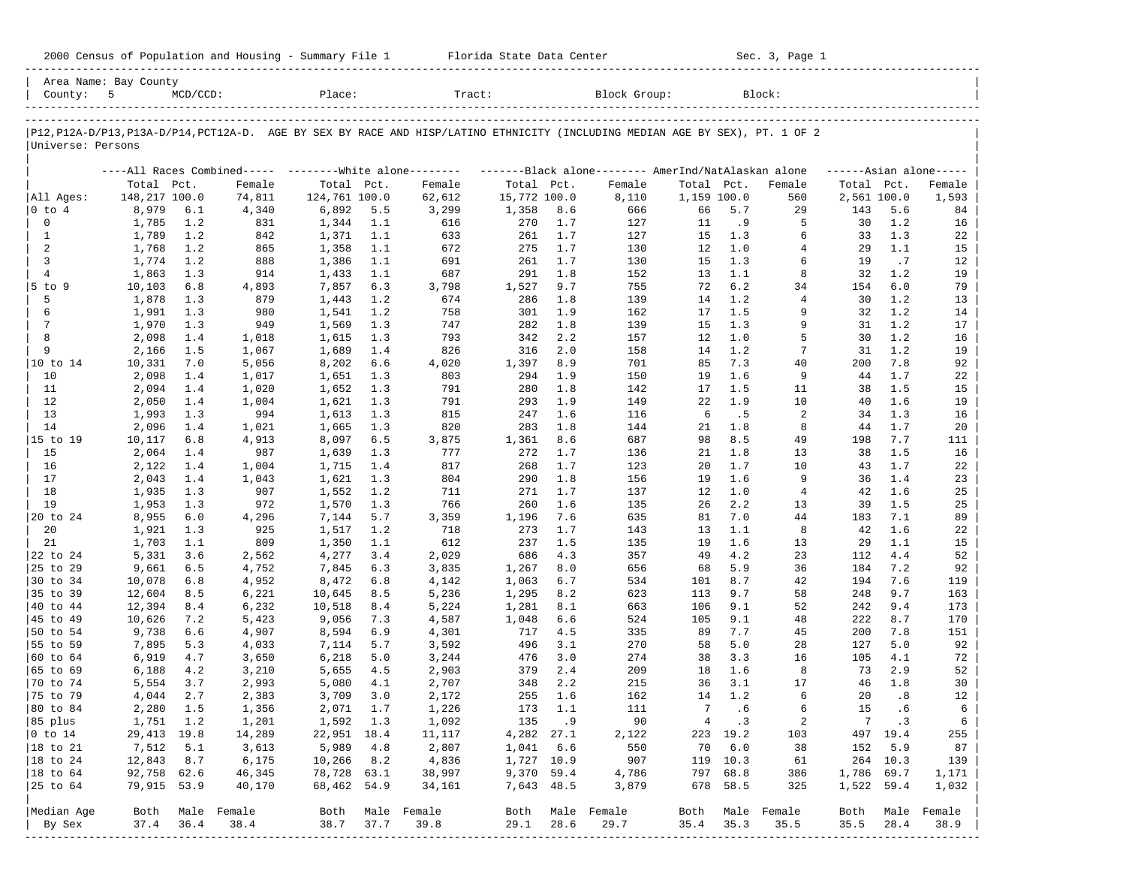| 2000 Census of Population and Housing - Summary File 1 |  | Florida State Data Center | Sec. 3, Page 1 |
|--------------------------------------------------------|--|---------------------------|----------------|
|--------------------------------------------------------|--|---------------------------|----------------|

| County: 5            | Area Name: Bay County | $MCD/CCD$ : |                                                           | Place:        |      | Tract:                                                                                                                     |              |       | Block Group:                                        |             |          | Block:           |            |             |                     |
|----------------------|-----------------------|-------------|-----------------------------------------------------------|---------------|------|----------------------------------------------------------------------------------------------------------------------------|--------------|-------|-----------------------------------------------------|-------------|----------|------------------|------------|-------------|---------------------|
|                      |                       |             |                                                           |               |      | P12,P12A-D/P13,P13A-D/P14,PCT12A-D. AGE BY SEX BY RACE AND HISP/LATINO ETHNICITY (INCLUDING MEDIAN AGE BY SEX), PT. 1 OF 2 |              |       |                                                     |             |          |                  |            |             |                     |
| Universe: Persons    |                       |             |                                                           |               |      |                                                                                                                            |              |       |                                                     |             |          |                  |            |             |                     |
|                      |                       |             | ----All Races Combined----- --------- White alone-------- |               |      |                                                                                                                            |              |       | -------Black alone-------- AmerInd/NatAlaskan alone |             |          |                  |            |             | $---Asian alone---$ |
|                      | Total Pct.            |             | Female                                                    | Total Pct.    |      | Female                                                                                                                     | Total Pct.   |       | Female                                              | Total Pct.  |          | Female           | Total Pct. |             | Female              |
| All Ages:            | 148,217 100.0         |             | 74,811                                                    | 124,761 100.0 |      | 62,612                                                                                                                     | 15,772 100.0 |       | 8,110                                               | 1,159 100.0 |          | 560              |            | 2,561 100.0 | 1,593               |
| $ 0 \tto 4$          | 8,979                 | 6.1         | 4,340                                                     | 6,892         | 5.5  | 3,299                                                                                                                      | 1,358        | 8.6   | 666                                                 | 66          | 5.7      | 29               | 143        | 5.6         | 84                  |
| $\mathbf 0$          | 1,785                 | 1.2         | 831                                                       | 1,344         | 1.1  | 616                                                                                                                        | 270          | 1.7   | 127                                                 | 11          | . 9      | 5                | 30         | 1.2         | 16                  |
| 1                    | 1,789                 | 1.2         | 842                                                       | 1,371         | 1.1  | 633                                                                                                                        | 261          | 1.7   | 127                                                 | 15          | 1.3      | 6                | 33         | 1.3         | 22                  |
| 2                    | 1,768                 | 1.2         | 865                                                       | 1,358         | 1.1  | 672                                                                                                                        | 275          | 1.7   | 130                                                 | 12          | 1.0      | $\overline{4}$   | 29         | 1.1         | 15                  |
| 3                    | 1,774                 | 1.2         | 888                                                       | 1,386         | 1.1  | 691                                                                                                                        | 261          | 1.7   | 130                                                 | 15          | 1.3      | 6                | 19         | .7          | 12                  |
| $\overline{4}$       | 1,863                 | 1.3         | 914                                                       | 1,433         | 1.1  | 687                                                                                                                        | 291          | 1.8   | 152                                                 | 13          | 1.1      | 8                | 32         | 1.2         | 19                  |
| $5$ to $9$           | 10,103                | 6.8         | 4,893                                                     | 7,857         | 6.3  | 3,798                                                                                                                      | 1,527        | 9.7   | 755                                                 | 72          | 6.2      | 34               | 154        | 6.0         | 79                  |
| 5                    | 1,878                 | 1.3         | 879                                                       | 1,443         | 1.2  | 674                                                                                                                        | 286          | 1.8   | 139                                                 | 14          | 1.2      | $\overline{4}$   | 30         | 1.2         | 13                  |
| 6                    | 1,991                 | 1.3         | 980                                                       | 1,541         | 1.2  | 758                                                                                                                        | 301          | 1.9   | 162                                                 | 17          | 1.5      | 9                | 32         | 1.2         | 14                  |
| $7\phantom{.0}$      | 1,970                 | 1.3         | 949                                                       | 1,569         | 1.3  | 747                                                                                                                        | 282          | 1.8   | 139                                                 | 15          | 1.3      | 9                | 31         | 1.2         | 17                  |
| 8                    | 2,098                 | 1.4         | 1,018                                                     | 1,615         | 1.3  | 793                                                                                                                        | 342          | 2.2   | 157                                                 | 12          | 1.0      | 5                | 30         | 1.2         | 16                  |
| 9                    | 2,166                 | 1.5         | 1,067                                                     | 1,689         | 1.4  | 826                                                                                                                        | 316          | 2.0   | 158                                                 | 14          | 1.2      | $\overline{7}$   | 31         | 1.2         | 19                  |
| 10 to 14             | 10,331                | 7.0         | 5,056                                                     | 8,202         | 6.6  | 4,020                                                                                                                      | 1,397        | 8.9   | 701                                                 | 85          | 7.3      | 40               | 200        | 7.8         | 92                  |
| 10                   | 2,098                 | 1.4         | 1,017                                                     | 1,651         | 1.3  | 803                                                                                                                        | 294          | 1.9   | 150                                                 | 19          | 1.6      | 9                | 44         | 1.7         | 22                  |
| 11                   | 2,094                 | 1.4         | 1,020                                                     | 1,652         | 1.3  | 791                                                                                                                        | 280          | 1.8   | 142                                                 | 17          | 1.5      | 11               | 38         | 1.5         | 15                  |
| 12                   | 2,050                 | 1.4         | 1,004                                                     | 1,621         | 1.3  | 791                                                                                                                        | 293          | 1.9   | 149                                                 | 22          | 1.9      | 10               | 40         | 1.6         | 19                  |
| 13                   | 1,993                 | 1.3         | 994                                                       | 1,613         | 1.3  | 815                                                                                                                        | 247          | 1.6   | 116                                                 | 6           | .5       | 2                | 34         | 1.3         | 16                  |
| 14                   | 2,096                 | 1.4         | 1,021                                                     | 1,665         | 1.3  | 820                                                                                                                        | 283          | 1.8   | 144                                                 | 21          | 1.8      | 8                | 44         | 1.7         | 20                  |
| 15 to 19             | 10,117                | 6.8         | 4,913                                                     | 8,097         | 6.5  | 3,875                                                                                                                      | 1,361        | 8.6   | 687                                                 | 98          | 8.5      | 49               | 198        | 7.7         | 111                 |
| 15                   | 2,064                 | 1.4         | 987                                                       | 1,639         | 1.3  | 777                                                                                                                        | 272          | 1.7   | 136                                                 | 21          | 1.8      | 13               | 38         | 1.5         | 16                  |
| 16                   | 2,122                 | 1.4         | 1,004                                                     | 1,715         | 1.4  | 817                                                                                                                        | 268          | 1.7   | 123                                                 | 20          | 1.7      | 10               | 43         | 1.7         | 22                  |
| 17                   |                       | 1.4         |                                                           |               |      | 804                                                                                                                        |              | 1.8   |                                                     | 19          | 1.6      | 9                | 36         |             |                     |
|                      | 2,043                 |             | 1,043                                                     | 1,621         | 1.3  |                                                                                                                            | 290          | 1.7   | 156                                                 |             | 1.0      |                  |            | 1.4         | 23                  |
| 18                   | 1,935                 | 1.3         | 907                                                       | 1,552         | 1.2  | 711                                                                                                                        | 271          |       | 137                                                 | 12          |          | $\overline{4}$   | 42         | 1.6         | 25                  |
| 19                   | 1,953                 | 1.3         | 972                                                       | 1,570         | 1.3  | 766                                                                                                                        | 260          | 1.6   | 135                                                 | 26          | 2.2      | 13               | 39         | 1.5         | 25                  |
| 20 to 24             | 8,955                 | $6.0$       | 4,296                                                     | 7,144         | 5.7  | 3,359                                                                                                                      | 1,196        | 7.6   | 635                                                 | 81          | 7.0      | 44               | 183        | 7.1         | 89                  |
| 20                   | 1,921                 | 1.3         | 925                                                       | 1,517         | 1.2  | 718                                                                                                                        | 273          | 1.7   | 143                                                 | 13          | 1.1      | 8                | 42         | 1.6         | 22                  |
| 21                   | 1,703                 | 1.1         | 809                                                       | 1,350         | 1.1  | 612                                                                                                                        | 237          | 1.5   | 135                                                 | 19          | 1.6      | 13               | 29         | 1.1         | 15                  |
| 22 to 24             | 5,331                 | 3.6         | 2,562                                                     | 4,277         | 3.4  | 2,029                                                                                                                      | 686          | 4.3   | 357                                                 | 49          | 4.2      | 23               | 112        | 4.4         | 52                  |
| 25 to 29             | 9,661                 | 6.5         | 4,752                                                     | 7,845         | 6.3  | 3,835                                                                                                                      | 1,267        | 8.0   | 656                                                 | 68          | 5.9      | 36               | 184        | 7.2         | 92                  |
| 30 to 34             | 10,078                | 6.8         | 4,952                                                     | 8,472         | 6.8  | 4,142                                                                                                                      | 1,063        | 6.7   | 534                                                 | 101         | 8.7      | 42               | 194        | 7.6         | 119                 |
| 35 to 39             | 12,604                | 8.5         | 6,221                                                     | 10,645        | 8.5  | 5,236                                                                                                                      | 1,295        | 8.2   | 623                                                 | 113         | 9.7      | 58               | 248        | 9.7         | 163                 |
| 40 to 44             | 12,394                | 8.4         | 6,232                                                     | 10,518        | 8.4  | 5,224                                                                                                                      | 1,281        | 8.1   | 663                                                 | 106         | 9.1      | 52               | 242        | 9.4         | 173                 |
| 45 to 49             | 10,626                | 7.2         | 5,423                                                     | 9,056         | 7.3  | 4,587                                                                                                                      | 1,048        | 6.6   | 524                                                 | 105         | 9.1      | 48               | 222        | 8.7         | 170                 |
| 50 to 54             | 9,738                 | 6.6         | 4,907                                                     | 8,594         | 6.9  | 4,301                                                                                                                      | 717          | 4.5   | 335                                                 | 89          | 7.7      | 45               | 200        | 7.8         | 151                 |
| 55 to 59             | 7,895                 | 5.3         | 4,033                                                     | 7,114         | 5.7  | 3,592                                                                                                                      | 496          | 3.1   | 270                                                 | 58          | 5.0      | 28               | 127        | 5.0         | 92                  |
| 60 to 64             | 6,919                 | 4.7         | 3,650                                                     | 6,218         | 5.0  | 3,244                                                                                                                      | 476          | 3.0   | 274                                                 | 38          | 3.3      | 16               | 105        | 4.1         | 72                  |
| 65 to 69             | 6,188                 | 4.2         | 3,210                                                     | 5,655         | 4.5  | 2,903                                                                                                                      | 379          | 2.4   | 209                                                 | 18          | 1.6      | 8                | 73         | 2.9         | 52                  |
| 70 to 74             | 5,554                 | 3.7         | 2,993                                                     | 5,080         | 4.1  | 2,707                                                                                                                      | 348          | 2.2   | 215                                                 | 36          | 3.1      | 17               | 46         | 1.8         | 30                  |
| 75 to 79             | 4,044                 | 2.7         | 2,383                                                     | 3,709         | 3.0  | 2,172                                                                                                                      | 255          | 1.6   | 162                                                 | 14          | 1.2      | 6                | 20         | .8          | 12                  |
| 80 to 84             | 2,280                 | 1.5         | 1,356                                                     | 2,071         | 1.7  | 1,226                                                                                                                      | 173          | 1.1   | 111                                                 | 7           | .6       | 6                | 15         | .6          | 6                   |
| 85 plus              | 1,751 1.2             |             | 1,201                                                     | 1,592 1.3     |      | 1,092                                                                                                                      |              | 135.9 | 90                                                  |             | 4 .3     | 2                |            | 7 .3        | 6                   |
| $ 0 \t{to} 14$       | 29,413 19.8           |             | 14,289                                                    | 22,951 18.4   |      | 11,117                                                                                                                     | 4,282 27.1   |       | 2,122                                               |             | 223 19.2 | 103              |            | 497 19.4    | 255                 |
| 18 to 21             | 7,512                 | 5.1         | 3,613                                                     | 5,989         | 4.8  | 2,807                                                                                                                      | 1,041 6.6    |       | 550                                                 | 70          | 6.0      | 38               | 152        | 5.9         | 87                  |
| $ 18 \text{ to } 24$ | 12,843                | 8.7         | 6,175                                                     | 10,266        | 8.2  | 4,836                                                                                                                      | 1,727 10.9   |       | 907                                                 |             | 119 10.3 | 61               |            | 264 10.3    | 139                 |
| $ 18$ to $64$        | 92,758 62.6           |             | 46,345                                                    | 78,728 63.1   |      | 38,997                                                                                                                     | 9,370 59.4   |       | 4,786                                               |             | 797 68.8 | 386              | 1,786 69.7 |             | 1,171               |
| 25 to 64             | 79,915 53.9           |             | 40,170                                                    | 68,462 54.9   |      | 34,161                                                                                                                     | 7,643 48.5   |       | 3,879                                               |             | 678 58.5 | 325              | 1,522 59.4 |             | 1,032               |
|                      |                       |             |                                                           |               |      |                                                                                                                            |              |       |                                                     |             |          |                  |            |             |                     |
| Median Age           | Both                  |             | Male Female                                               | Both          |      | Male Female                                                                                                                | Both         |       | Male Female                                         |             |          | Both Male Female | Both       | Male        | Female              |
| By Sex               | 37.4                  | 36.4        | 38.4                                                      | 38.7          | 37.7 | 39.8                                                                                                                       | 29.1         | 28.6  | 29.7                                                | 35.4        | 35.3     | 35.5             | 35.5       | 28.4        | 38.9                |
|                      |                       |             |                                                           |               |      |                                                                                                                            |              |       |                                                     |             |          |                  |            |             |                     |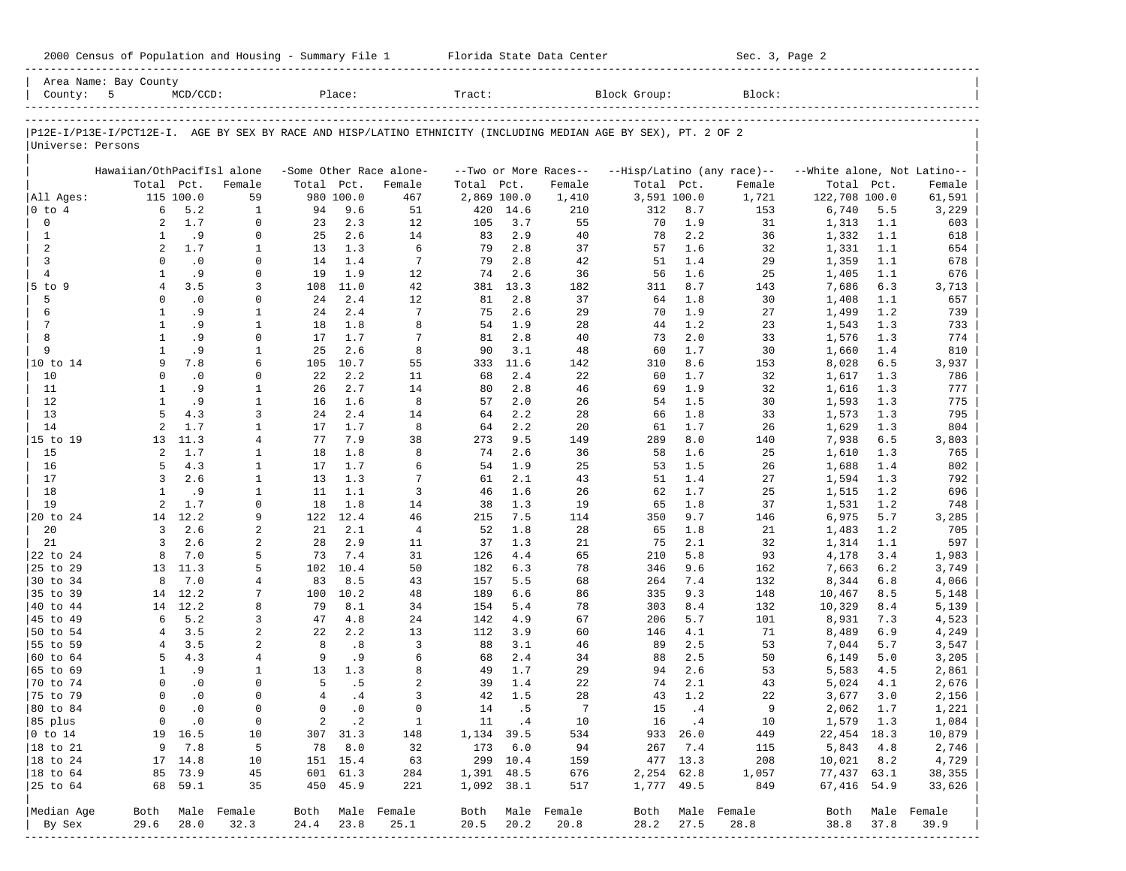| 2000 Census of Population and Housing - Summary File 1 |  | Florida State Data Center | Sec. 3, Page 2 |
|--------------------------------------------------------|--|---------------------------|----------------|
|--------------------------------------------------------|--|---------------------------|----------------|

| County: 5                 | Area Name: Bay County      | $MCD/CCD$ :              |                              |                | Place:                  |                         | Tract:     |             |                       | Block Group:                                                                                                   |                       | Block:                     |                             |            |                  |
|---------------------------|----------------------------|--------------------------|------------------------------|----------------|-------------------------|-------------------------|------------|-------------|-----------------------|----------------------------------------------------------------------------------------------------------------|-----------------------|----------------------------|-----------------------------|------------|------------------|
|                           |                            |                          |                              |                |                         |                         |            |             |                       |                                                                                                                |                       |                            |                             |            |                  |
| Universe: Persons         |                            |                          |                              |                |                         |                         |            |             |                       | P12E-I/P13E-I/PCT12E-I. AGE BY SEX BY RACE AND HISP/LATINO ETHNICITY (INCLUDING MEDIAN AGE BY SEX), PT. 2 OF 2 |                       |                            |                             |            |                  |
|                           | Hawaiian/OthPacifIsl alone |                          |                              |                |                         | -Some Other Race alone- |            |             | --Two or More Races-- |                                                                                                                |                       | --Hisp/Latino (any race)-- | --White alone, Not Latino-- |            |                  |
|                           |                            | Total Pct.               | Female                       | Total Pct.     |                         | Female                  | Total      | Pct.        | Female                | Total Pct.                                                                                                     |                       | Female                     | Total                       | Pct.       | Female           |
| All Ages:                 |                            | 115 100.0                | 59                           |                | 980 100.0               | 467                     |            | 2,869 100.0 | 1,410                 | 3,591 100.0                                                                                                    |                       | 1,721                      | 122,708 100.0               |            | 61,591           |
| 0 to 4                    | 6                          | 5.2                      | 1                            | 94             | 9.6                     | 51                      | 420        | 14.6        | 210                   | 312                                                                                                            | 8.7                   | 153                        | 6,740                       | 5.5        | 3,229            |
| $\mathbf 0$               | $\overline{a}$             | 1.7                      | 0                            | 23             | 2.3                     | 12                      | 105        | 3.7         | 55                    | 70                                                                                                             | 1.9                   | 31                         | 1,313                       | 1.1        | 603              |
| $\mathbf{1}$              | 1                          | .9                       | $\mathbf 0$                  | 25             | 2.6                     | 14<br>6                 | 83         | 2.9         | 40                    | 78                                                                                                             | 2.2                   | 36                         | 1,332                       | 1.1        | 618              |
| 2<br>3                    | $\overline{a}$<br>$\Omega$ | 1.7<br>$\cdot$ 0         | 1<br>$\mathbf 0$             | 13<br>14       | 1.3<br>1.4              | 7                       | 79<br>79   | 2.8<br>2.8  | 37<br>42              | 57<br>51                                                                                                       | 1.6<br>1.4            | 32<br>29                   | 1,331<br>1,359              | 1.1<br>1.1 | 654<br>678       |
| $\overline{4}$            | $\mathbf{1}$               | . 9                      | $\mathbf 0$                  | 19             | 1.9                     | 12                      | 74         | 2.6         | 36                    | 56                                                                                                             | 1.6                   | 25                         | 1,405                       | 1.1        | 676              |
| 5 to 9                    | $\overline{4}$             | 3.5                      | 3                            | 108            | 11.0                    | 42                      | 381        | 13.3        | 182                   | 311                                                                                                            | 8.7                   | 143                        | 7,686                       | 6.3        | 3,713            |
| 5                         | $\Omega$                   | $\cdot$ 0                | $\mathbf 0$                  | 24             | 2.4                     | 12                      | 81         | 2.8         | 37                    | 64                                                                                                             | 1.8                   | 30                         | 1,408                       | 1.1        | 657              |
| 6                         | $\mathbf{1}$               | .9                       | $\mathbf{1}$                 | 24             | 2.4                     | 7                       | 75         | 2.6         | 29                    | 70                                                                                                             | 1.9                   | 27                         | 1,499                       | 1.2        | 739              |
| $7\phantom{.0}$           | $\mathbf{1}$               | . 9                      | $\mathbf{1}$                 | 18             | 1.8                     | 8                       | 54         | 1.9         | 28                    | 44                                                                                                             | 1.2                   | 23                         | 1,543                       | 1.3        | 733              |
| 8                         | $\mathbf{1}$               | .9                       | $\mathbf 0$                  | 17             | 1.7                     | 7                       | 81         | 2.8         | 40                    | 73                                                                                                             | 2.0                   | 33                         | 1,576                       | 1.3        | 774              |
| 9                         | $\mathbf{1}$               | .9                       | $\mathbf{1}$                 | 25             | 2.6                     | 8                       | 90         | 3.1         | 48                    | 60                                                                                                             | 1.7                   | 30                         | 1,660                       | 1.4        | 810              |
| 10 to 14                  | 9                          | 7.8                      | 6                            | 105            | 10.7                    | 55                      | 333        | 11.6        | 142                   | 310                                                                                                            | 8.6                   | 153                        | 8,028                       | 6.5        | 3,937            |
| 10                        | $\Omega$                   | $\cdot$ 0                | $\mathbf 0$                  | 22             | 2.2                     | 11                      | 68         | 2.4         | 22                    | 60                                                                                                             | 1.7                   | 32                         | 1,617                       | 1.3        | 786              |
| 11                        | 1                          | .9                       | $\mathbf{1}$                 | 26             | 2.7                     | 14                      | 80         | 2.8         | 46                    | 69                                                                                                             | 1.9                   | 32                         | 1,616                       | 1.3        | 777              |
| 12                        | $\mathbf{1}$               | . 9                      | $\mathbf{1}$                 | 16             | 1.6                     | 8                       | 57         | 2.0         | 26                    | 54                                                                                                             | 1.5                   | 30                         | 1,593                       | 1.3        | 775              |
| 13                        | 5                          | 4.3                      | 3                            | 24             | 2.4                     | 14                      | 64         | 2.2         | 28                    | 66                                                                                                             | 1.8                   | 33                         | 1,573                       | 1.3        | 795              |
| 14                        | $\overline{a}$             | 1.7                      | $\mathbf{1}$                 | 17             | 1.7                     | 8                       | 64         | 2.2         | 20                    | 61                                                                                                             | 1.7                   | 26                         | 1,629                       | 1.3        | 804              |
| 15 to 19                  | 13                         | 11.3                     | $\overline{4}$               | 77             | 7.9                     | 38                      | 273        | 9.5         | 149                   | 289                                                                                                            | 8.0                   | 140                        | 7,938                       | 6.5        | 3,803            |
| 15                        | 2                          | 1.7                      | 1                            | 18             | 1.8                     | 8                       | 74         | 2.6         | 36                    | 58                                                                                                             | 1.6                   | 25                         | 1,610                       | 1.3        | 765              |
| 16                        | 5                          | 4.3<br>2.6               | $\mathbf{1}$                 | 17             | 1.7                     | 6<br>7                  | 54         | 1.9<br>2.1  | 25                    | 53                                                                                                             | 1.5                   | 26                         | 1,688                       | 1.4        | 802              |
| 17<br>18                  | 3<br>$\mathbf{1}$          | .9                       | $\mathbf{1}$<br>$\mathbf{1}$ | 13<br>11       | 1.3<br>1.1              | 3                       | 61<br>46   | 1.6         | 43<br>26              | 51<br>62                                                                                                       | 1.4<br>1.7            | 27<br>25                   | 1,594                       | 1.3<br>1.2 | 792<br>696       |
| 19                        | $\overline{a}$             | 1.7                      | $\mathbf 0$                  | 18             | 1.8                     | 14                      | 38         | 1.3         | 19                    | 65                                                                                                             | 1.8                   | 37                         | 1,515<br>1,531              | 1.2        | 748              |
| 20 to 24                  | 14                         | 12.2                     | 9                            | 122            | 12.4                    | 46                      | 215        | 7.5         | 114                   | 350                                                                                                            | 9.7                   | 146                        | 6,975                       | 5.7        | 3,285            |
| 20                        | 3                          | 2.6                      | $\overline{a}$               | 21             | 2.1                     | $\overline{4}$          | 52         | 1.8         | 28                    | 65                                                                                                             | 1.8                   | 21                         | 1,483                       | 1.2        | 705              |
| 21                        | 3                          | 2.6                      | $\sqrt{2}$                   | 28             | 2.9                     | 11                      | 37         | 1.3         | 21                    | 75                                                                                                             | 2.1                   | 32                         | 1,314                       | 1.1        | 597              |
| 22 to 24                  | 8                          | 7.0                      | 5                            | 73             | 7.4                     | 31                      | 126        | 4.4         | 65                    | 210                                                                                                            | 5.8                   | 93                         | 4,178                       | 3.4        | 1,983            |
| 25 to 29                  | 13                         | 11.3                     | 5                            | 102            | 10.4                    | 50                      | 182        | 6.3         | 78                    | 346                                                                                                            | 9.6                   | 162                        | 7,663                       | 6.2        | 3,749            |
| 30 to 34                  | 8                          | 7.0                      | $\overline{4}$               | 83             | 8.5                     | 43                      | 157        | 5.5         | 68                    | 264                                                                                                            | 7.4                   | 132                        | 8,344                       | 6.8        | 4,066            |
| 35 to 39                  | 14                         | 12.2                     | 7                            | 100            | 10.2                    | 48                      | 189        | 6.6         | 86                    | 335                                                                                                            | 9.3                   | 148                        | 10,467                      | 8.5        | 5,148            |
| 40 to 44                  | 14                         | 12.2                     | 8                            | 79             | 8.1                     | 34                      | 154        | 5.4         | 78                    | 303                                                                                                            | 8.4                   | 132                        | 10,329                      | 8.4        | 5,139            |
| 45 to 49                  | 6                          | 5.2                      | 3                            | 47             | 4.8                     | 24                      | 142        | 4.9         | 67                    | 206                                                                                                            | 5.7                   | 101                        | 8,931                       | 7.3        | 4,523            |
| 50 to 54                  | 4                          | 3.5                      | $\sqrt{2}$                   | 22             | 2.2                     | 13                      | 112        | 3.9         | 60                    | 146                                                                                                            | 4.1                   | 71                         | 8,489                       | 6.9        | 4,249            |
| 55 to 59                  | 4                          | 3.5                      | 2                            | 8              | .8                      | 3                       | 88         | 3.1         | 46                    | 89                                                                                                             | 2.5                   | 53                         | 7,044                       | 5.7        | 3,547            |
| 60 to 64                  | 5                          | 4.3                      | 4                            | 9              | .9                      | 6                       | 68         | 2.4         | 34                    | 88                                                                                                             | 2.5                   | 50                         | 6,149                       | 5.0        | 3,205            |
| 65 to 69                  | 1                          | .9                       | 1                            | 13             | 1.3                     | 8                       | 49         | 1.7         | 29                    | 94                                                                                                             | 2.6                   | 53                         | 5,583                       | 4.5        | 2,861            |
| 70 to 74                  | $\Omega$                   | $\cdot$ 0                | $\mathbf 0$                  | 5              | .5                      | 2                       | 39         | 1.4         | 22                    | 74                                                                                                             | 2.1                   | 43                         | 5,024                       | 4.1        | 2,676            |
| 75 to 79                  | $\Omega$<br>$\Omega$       | $\cdot$ 0                | $\mathbf 0$<br>$\mathbf 0$   | $\overline{4}$ | .4                      | 3<br>$\Omega$           | 42         | 1.5         | 28                    | 43                                                                                                             | 1.2                   | 22                         | 3,677                       | 3.0        | 2,156            |
| 80 to 84                  |                            | $\cdot$ 0                |                              | $\mathbf 0$    | $\cdot$ 0               |                         | 14         | . 5         | 7                     | 15                                                                                                             | .4                    | 9                          | 2,062                       | 1.7        | 1,221            |
| 85 plus<br>$ 0 \t{to} 14$ |                            | $0 \qquad .0$<br>19 16.5 | $\overline{0}$<br>10         |                | $2 \cdot 2$<br>307 31.3 | $\mathbf{1}$<br>148     | 1,134 39.5 | 11 .4       | 10<br>534             | 16                                                                                                             | $\cdot$ 4<br>933 26.0 | 10<br>449                  | 1,579 1.3<br>22,454 18.3    |            | 1,084<br>10,879  |
| 18 to 21                  | 9                          | 7.8                      | 5                            | 78             | 8.0                     | 32                      | 173        | 6.0         | 94                    |                                                                                                                | 267 7.4               | 115                        | 5,843                       | 4.8        | 2,746            |
| $ 18$ to 24               |                            | 17 14.8                  | 10                           |                | 151 15.4                | 63                      |            | 299 10.4    | 159                   |                                                                                                                | 477 13.3              | 208                        | $10,021$ 8.2                |            | 4,729            |
| 18 to 64                  |                            | 85 73.9                  | 45                           |                | 601 61.3                | 284                     |            | 1,391 48.5  | 676                   | 2,254 62.8                                                                                                     |                       | 1,057                      | 77,437 63.1                 |            | 38,355           |
| 25 to 64                  |                            | 68 59.1                  | 35                           |                | 450 45.9                | 221                     |            | 1,092 38.1  | 517                   | 1,777 49.5                                                                                                     |                       | 849                        | 67,416 54.9                 |            | 33,626           |
| Median Age                |                            |                          | Both Male Female             |                |                         | Both Male Female        |            |             | Both Male Female      |                                                                                                                |                       | Both Male Female           |                             |            | Both Male Female |
| By Sex                    | 29.6                       | 28.0                     | 32.3                         | 24.4           | 23.8                    | 25.1                    | 20.5       | 20.2        | 20.8                  | 28.2                                                                                                           | 27.5                  | 28.8                       | 38.8                        | 37.8       | 39.9             |
|                           |                            |                          |                              |                |                         |                         |            |             |                       |                                                                                                                |                       |                            |                             |            |                  |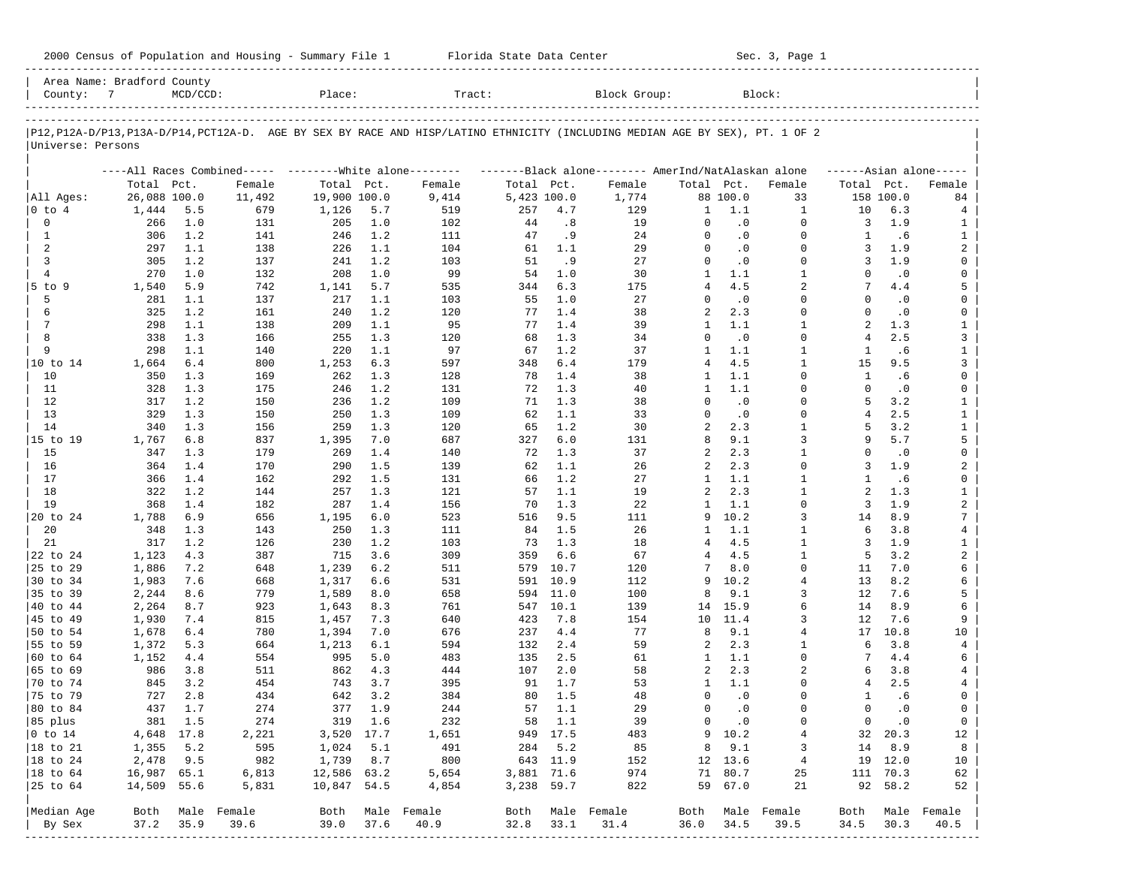| 2000 Census of Population and Housing - Summary File 1 |  | Florida State Data Center | Sec. 3, Page 1 |
|--------------------------------------------------------|--|---------------------------|----------------|
|--------------------------------------------------------|--|---------------------------|----------------|

| Area Name: Bradford County<br>County: 7 |              | $MCD/CCD$ : |                                                         | Place:       |            | Tract:                                                                                                                     |             |            | Block Group:                                        |                      |                  | Block:               |                |                  |                     |
|-----------------------------------------|--------------|-------------|---------------------------------------------------------|--------------|------------|----------------------------------------------------------------------------------------------------------------------------|-------------|------------|-----------------------------------------------------|----------------------|------------------|----------------------|----------------|------------------|---------------------|
|                                         |              |             |                                                         |              |            | P12,P12A-D/P13,P13A-D/P14,PCT12A-D. AGE BY SEX BY RACE AND HISP/LATINO ETHNICITY (INCLUDING MEDIAN AGE BY SEX), PT. 1 OF 2 |             |            |                                                     |                      |                  |                      |                |                  |                     |
| Universe: Persons                       |              |             |                                                         |              |            |                                                                                                                            |             |            |                                                     |                      |                  |                      |                |                  |                     |
|                                         |              |             | ----All Races Combined----- --------White alone-------- |              |            |                                                                                                                            |             |            | -------Black alone-------- AmerInd/NatAlaskan alone |                      |                  |                      |                |                  | $---Asian alone---$ |
|                                         | Total Pct.   |             | Female                                                  | Total Pct.   |            | Female                                                                                                                     | Total Pct.  |            | Female                                              | Total Pct.           |                  | Female               | Total Pct.     |                  | Female              |
| All Ages:                               | 26,088 100.0 |             | 11,492                                                  | 19,900 100.0 |            | 9,414                                                                                                                      | 5,423 100.0 |            | 1,774                                               |                      | 88 100.0         | 33                   |                | 158 100.0        | 84                  |
| 0 to 4                                  | 1,444        | 5.5         | 679                                                     | 1,126        | 5.7        | 519                                                                                                                        | 257         | 4.7        | 129                                                 | 1                    | 1.1              | 1                    | 10             | 6.3              | 4                   |
| 0                                       | 266          | 1.0         | 131                                                     | 205          | 1.0        | 102                                                                                                                        | 44          | .8         | 19                                                  | 0                    | $\cdot$ 0        | $\Omega$             | 3              | 1.9              | 1                   |
| 1                                       | 306          | 1.2         | 141                                                     | 246          | 1.2        | 111                                                                                                                        | 47          | .9         | 24                                                  | $\Omega$             | $\cdot$ 0        | $\Omega$             | 1              | .6               | $\mathbf{1}$        |
| 2                                       | 297          | 1.1         | 138                                                     | 226          | 1.1        | 104                                                                                                                        | 61<br>51    | 1.1        | 29                                                  | $\Omega$<br>$\Omega$ | $\cdot$ 0        | $\Omega$<br>$\Omega$ | 3              | 1.9              | 2                   |
| 3<br>$\overline{4}$                     | 305<br>270   | 1.2<br>1.0  | 137                                                     | 241<br>208   | 1.2<br>1.0 | 103<br>99                                                                                                                  | 54          | .9<br>1.0  | 27<br>30                                            | 1                    | $\cdot$ 0<br>1.1 | $\mathbf{1}$         | 3<br>$\Omega$  | 1.9<br>$\cdot$ 0 | 0<br>0              |
| $5$ to $9$                              | 1,540        | 5.9         | 132<br>742                                              | 1,141        | 5.7        | 535                                                                                                                        | 344         | 6.3        | 175                                                 | $\overline{4}$       | 4.5              | $\overline{2}$       | 7              | 4.4              | 5                   |
| 5                                       | 281          | 1.1         | 137                                                     | 217          | 1.1        | 103                                                                                                                        | 55          | 1.0        | 27                                                  | $\Omega$             | $\cdot$ 0        | $\Omega$             | $\Omega$       | $\cdot$ 0        | 0                   |
| 6                                       | 325          | 1.2         | 161                                                     | 240          | 1.2        | 120                                                                                                                        | 77          | 1.4        | 38                                                  | 2                    | 2.3              | $\Omega$             | $\Omega$       | $\cdot$ 0        | 0                   |
| 7                                       | 298          | 1.1         | 138                                                     | 209          | 1.1        | 95                                                                                                                         | 77          | 1.4        | 39                                                  | $\mathbf{1}$         | 1.1              | $\mathbf{1}$         | $\overline{a}$ | 1.3              | $\mathbf{1}$        |
| 8                                       | 338          | 1.3         | 166                                                     | 255          | 1.3        | 120                                                                                                                        | 68          | 1.3        | 34                                                  | $\Omega$             | $\cdot$ 0        | $\Omega$             | $\overline{4}$ | 2.5              | 3                   |
| 9                                       | 298          | 1.1         | 140                                                     | 220          | 1.1        | 97                                                                                                                         | 67          | 1.2        | 37                                                  | $\mathbf{1}$         | 1.1              | $\mathbf{1}$         | 1              | .6               | $\mathbf{1}$        |
| 10 to 14                                | 1,664        | 6.4         | 800                                                     | 1,253        | 6.3        | 597                                                                                                                        | 348         | 6.4        | 179                                                 | 4                    | 4.5              | $\mathbf{1}$         | 15             | 9.5              | 3                   |
| 10                                      | 350          | 1.3         | 169                                                     | 262          | 1.3        | 128                                                                                                                        | 78          | 1.4        | 38                                                  | 1                    | 1.1              | $\Omega$             | $\mathbf{1}$   | .6               | 0                   |
| 11                                      | 328          | 1.3         | 175                                                     | 246          | 1.2        | 131                                                                                                                        | 72          | 1.3        | 40                                                  | 1                    | 1.1              | $\mathbf 0$          | $\Omega$       | $\cdot$ 0        | 0                   |
| 12                                      | 317          | 1.2         | 150                                                     | 236          | 1.2        | 109                                                                                                                        | 71          | 1.3        | 38                                                  | $\Omega$             | $\cdot$ 0        | $\Omega$             | 5              | 3.2              | $\mathbf{1}$        |
| 13                                      | 329          | 1.3         | 150                                                     | 250          | 1.3        | 109                                                                                                                        | 62          | 1.1        | 33                                                  | $\Omega$             | $\cdot$ 0        | $\Omega$             | 4              | 2.5              | $\mathbf{1}$        |
| 14                                      | 340          | 1.3         | 156                                                     | 259          | 1.3        | 120                                                                                                                        | 65          | 1.2        | 30                                                  | 2                    | 2.3              | $\mathbf{1}$         | 5              | 3.2              | $\mathbf{1}$        |
| 15 to 19                                | 1,767        | 6.8         | 837                                                     | 1,395        | 7.0        | 687                                                                                                                        | 327         | 6.0        | 131                                                 | 8                    | 9.1              | 3                    | 9              | 5.7              | 5                   |
| 15                                      | 347          | 1.3         | 179                                                     | 269          | 1.4        | 140                                                                                                                        | 72          | 1.3        | 37                                                  | 2                    | 2.3              | $\mathbf{1}$         | $\Omega$       | $\cdot$ 0        | 0                   |
| 16                                      | 364          | 1.4         | 170                                                     | 290          | 1.5        | 139                                                                                                                        | 62          | 1.1        | 26                                                  | 2                    | 2.3              | $\Omega$             | 3              | 1.9              | 2                   |
| 17                                      | 366          | 1.4         | 162                                                     | 292          | 1.5        | 131                                                                                                                        | 66          | 1.2        | 27                                                  | 1                    | 1.1              | $\mathbf{1}$         | -1             | .6               | 0                   |
| 18                                      | 322          | 1.2         | 144                                                     | 257          | 1.3        | 121                                                                                                                        | 57          | 1.1        | 19                                                  | 2                    | 2.3              | $\mathbf{1}$         | 2              | 1.3              | $\mathbf{1}$        |
| 19                                      | 368          | 1.4         | 182                                                     | 287          | 1.4        | 156                                                                                                                        | 70          | 1.3        | 22                                                  | $\mathbf{1}$         | 1.1              | $\Omega$             | 3              | 1.9              | $\overline{a}$      |
| 20 to 24                                | 1,788        | 6.9         | 656                                                     | 1,195        | 6.0        | 523                                                                                                                        | 516         | 9.5        | 111                                                 | 9                    | 10.2             | 3                    | 14             | 8.9              | 7                   |
| 20                                      | 348          | 1.3         | 143                                                     | 250          | 1.3        | 111                                                                                                                        | 84          | 1.5        | 26                                                  | 1                    | 1.1              | $\mathbf{1}$         | 6              | 3.8              | 4                   |
| 21                                      | 317          | 1.2         | 126                                                     | 230          | 1.2        | 103                                                                                                                        | 73          | 1.3        | 18                                                  | 4                    | 4.5              | $\mathbf{1}$         | 3              | 1.9              | $\mathbf{1}$        |
| 22 to 24                                | 1,123        | 4.3         | 387                                                     | 715          | 3.6        | 309                                                                                                                        | 359         | 6.6        | 67                                                  | 4                    | 4.5              | $\mathbf{1}$         | 5              | 3.2              | $\overline{a}$      |
| 25 to 29                                | 1,886        | 7.2         | 648                                                     | 1,239        | 6.2        | 511                                                                                                                        | 579         | 10.7       | 120                                                 | 7                    | 8.0              | $\Omega$             | 11             | 7.0              | 6                   |
| 30 to 34                                | 1,983        | 7.6         | 668                                                     | 1,317        | 6.6        | 531                                                                                                                        | 591         | 10.9       | 112                                                 | 9                    | 10.2             | $\overline{4}$       | 13             | 8.2              | 6                   |
| 35 to 39                                | 2,244        | 8.6         | 779                                                     | 1,589        | 8.0        | 658                                                                                                                        | 594         | 11.0       | 100                                                 | 8                    | 9.1              | 3                    | 12             | 7.6              | 5                   |
| 40 to 44                                | 2,264        | 8.7         | 923                                                     | 1,643        | 8.3        | 761                                                                                                                        | 547         | 10.1       | 139                                                 | 14                   | 15.9             | б.                   | 14             | 8.9              | 6                   |
| 45 to 49                                | 1,930        | 7.4         | 815                                                     | 1,457        | 7.3        | 640                                                                                                                        | 423         | 7.8        | 154                                                 | 10                   | 11.4             | 3                    | 12             | 7.6              | 9                   |
| 50 to 54                                | 1,678        | 6.4         | 780                                                     | 1,394        | 7.0        | 676                                                                                                                        | 237         | 4.4        | 77                                                  | 8                    | 9.1<br>2.3       | $\overline{4}$       | 17<br>6        | 10.8<br>3.8      | 10                  |
| 55 to 59<br>60 to 64                    | 1,372        | 5.3<br>4.4  | 664                                                     | 1,213<br>995 | 6.1<br>5.0 | 594<br>483                                                                                                                 | 132<br>135  | 2.4<br>2.5 | 59<br>61                                            | 2<br>1               | 1.1              | 1<br>$\Omega$        | 7              | 4.4              | 4<br>6              |
| 65 to 69                                | 1,152<br>986 | 3.8         | 554<br>511                                              | 862          | 4.3        | 444                                                                                                                        | 107         | 2.0        | 58                                                  | 2                    | 2.3              | 2                    | 6              | 3.8              | 4                   |
| 70 to 74                                | 845          | 3.2         | 454                                                     | 743          | 3.7        | 395                                                                                                                        | 91          | 1.7        | 53                                                  | 1                    | 1.1              | $\Omega$             | 4              | 2.5              | 4                   |
| 75 to 79                                | 727          | 2.8         | 434                                                     | 642          | 3.2        | 384                                                                                                                        | 80          | 1.5        | 48                                                  | $\Omega$             | $\cdot$ 0        | $\Omega$             | 1              | .6               | 0                   |
| 80 to 84                                | 437          | 1.7         | 274                                                     | 377          | 1.9        | 244                                                                                                                        | 57          | 1.1        | 29                                                  | 0                    | $\cdot$ 0        | $\Omega$             | $\Omega$       | $\cdot$ 0        | 0                   |
| 85 plus                                 |              | 381 1.5     | 274                                                     |              | 319 1.6    | 232                                                                                                                        |             | 58 1.1     | 39                                                  | $\overline{0}$       | $\cdot$ 0        | 0                    | $\overline{0}$ | $\cdot$ 0        | $\overline{0}$      |
| $ 0 \t\t \tto 14$                       | 4,648 17.8   |             | 2,221                                                   | 3,520 17.7   |            | 1,651                                                                                                                      |             | 949 17.5   | 483                                                 |                      | 9 10.2           | 4                    |                | 32 20.3          | 12                  |
| 18 to 21                                | 1,355        | 5.2         | 595                                                     | 1,024        | 5.1        | 491                                                                                                                        |             | 284 5.2    | 85                                                  | 8                    | 9.1              | 3                    | 14             | 8.9              | 8                   |
| 18 to 24                                | 2,478        | 9.5         | 982                                                     | 1,739        | 8.7        | 800                                                                                                                        |             | 643 11.9   | 152                                                 |                      | 12 13.6          | $\overline{4}$       |                | 19 12.0          | 10                  |
| $ 18$ to $64$                           | 16,987 65.1  |             | 6,813                                                   | 12,586 63.2  |            | 5,654                                                                                                                      | 3,881 71.6  |            | 974                                                 |                      | 71 80.7          | 25                   |                | 111 70.3         | 62                  |
| 25 to 64                                | 14,509 55.6  |             | 5,831                                                   | 10,847 54.5  |            | 4,854                                                                                                                      | 3,238 59.7  |            | 822                                                 |                      | 59 67.0          | 21                   |                | 92 58.2          | 52                  |
|                                         |              |             |                                                         |              |            |                                                                                                                            |             |            |                                                     |                      |                  |                      |                |                  |                     |
| Median Age                              |              |             | Both Male Female                                        | Both         |            | Male Female                                                                                                                |             |            | Both Male Female                                    | Both                 |                  | Male Female          | Both           |                  | Male Female         |
| By Sex                                  | 37.2         | 35.9        | 39.6                                                    | 39.0         | 37.6       | 40.9                                                                                                                       | 32.8        | 33.1       | 31.4                                                | 36.0                 | 34.5             | 39.5                 | 34.5           | 30.3             | 40.5                |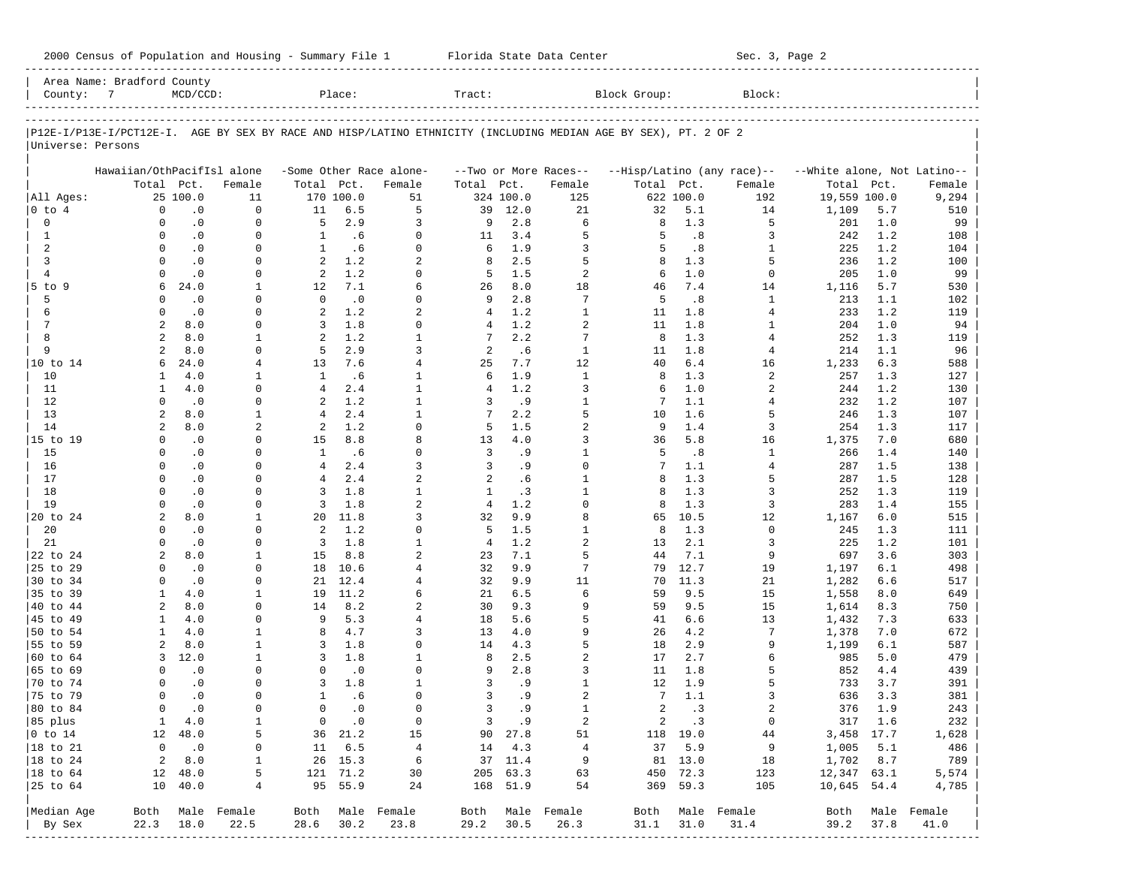| 2000 Census of Population and Housing - Summary File 1 |  | Florida State Data Center | Sec. 3, Page 2 |
|--------------------------------------------------------|--|---------------------------|----------------|
|--------------------------------------------------------|--|---------------------------|----------------|

| County: 7            | Area Name: Bradford County | $MCD/CCD$ :            |                  |                    | Place:        |                                | Tract:         |            |                                   | Block Group:                                                                                                   |                        | Block:                     |                             |            |                  |
|----------------------|----------------------------|------------------------|------------------|--------------------|---------------|--------------------------------|----------------|------------|-----------------------------------|----------------------------------------------------------------------------------------------------------------|------------------------|----------------------------|-----------------------------|------------|------------------|
|                      |                            |                        |                  |                    |               |                                |                |            |                                   |                                                                                                                |                        |                            |                             |            |                  |
|                      |                            |                        |                  |                    |               |                                |                |            |                                   | P12E-I/P13E-I/PCT12E-I. AGE BY SEX BY RACE AND HISP/LATINO ETHNICITY (INCLUDING MEDIAN AGE BY SEX), PT. 2 OF 2 |                        |                            |                             |            |                  |
| Universe: Persons    |                            |                        |                  |                    |               |                                |                |            |                                   |                                                                                                                |                        |                            |                             |            |                  |
|                      | Hawaiian/OthPacifIsl alone |                        |                  |                    |               | -Some Other Race alone-        |                |            |                                   |                                                                                                                |                        | --Hisp/Latino (any race)-- | --White alone, Not Latino-- |            |                  |
|                      | Total Pct.                 |                        | Female           | Total Pct.         |               | Female                         | Total Pct.     |            | --Two or More Races--<br>Female   | Total Pct.                                                                                                     |                        | Female                     | Total Pct.                  |            | Female           |
| All Ages:            |                            | 25 100.0               | 11               |                    | 170 100.0     | 51                             |                | 324 100.0  | 125                               |                                                                                                                | 622 100.0              | 192                        | 19,559 100.0                |            | 9,294            |
| 0 to 4               | $\mathbf 0$                | $\cdot$ 0              | 0                | 11                 | 6.5           | 5                              | 39             | 12.0       | 21                                | 32                                                                                                             | 5.1                    | 14                         | 1,109                       | 5.7        | 510              |
| 0                    | 0                          | $\cdot$ 0              | 0                | 5                  | 2.9           | 3                              | 9              | 2.8        | 6                                 | 8                                                                                                              | 1.3                    | 5                          | 201                         | 1.0        | 99               |
| 1                    | $\Omega$                   | $\cdot$ 0              | $\Omega$         | $\mathbf{1}$       | .6            | $\Omega$                       | 11             | 3.4        | 5                                 | 5                                                                                                              | $\boldsymbol{\cdot}$ 8 | 3                          | 242                         | 1.2        | 108              |
| 2                    | $\Omega$                   | $\cdot$ 0              | 0                | $\mathbf{1}$       | .6            | $\Omega$                       | 6              | 1.9        | 3                                 | 5                                                                                                              | .8                     | 1                          | 225                         | 1.2        | 104              |
| 3                    | $\Omega$                   | $\cdot$ 0              | $\Omega$         | 2                  | 1.2           | 2                              | 8              | 2.5        | 5                                 | 8                                                                                                              | 1.3                    | 5                          | 236                         | 1.2        | 100              |
| $\overline{4}$       | $\Omega$                   | $\cdot$ 0              | 0                | 2                  | 1.2           | $\Omega$                       | 5              | 1.5        | $\overline{a}$                    | 6                                                                                                              | 1.0                    | $\mathbf 0$                | 205                         | 1.0        | 99               |
| $5$ to $9$           | 6                          | 24.0                   | 1                | 12                 | 7.1           | 6                              | 26             | 8.0        | 18                                | 46                                                                                                             | 7.4                    | 14                         | 1,116                       | 5.7        | 530              |
| 5                    | $\Omega$                   | $\cdot$ 0              | 0                | $\mathbf{0}$       | $\cdot$ 0     | $\Omega$                       | 9              | 2.8        | 7                                 | 5                                                                                                              | .8                     | 1                          | 213                         | 1.1        | 102              |
| 6                    | $\Omega$                   | .0                     | $\Omega$         | 2                  | 1.2           | 2                              | 4              | 1.2        | $\mathbf{1}$                      | 11                                                                                                             | 1.8                    | 4                          | 233                         | 1.2        | 119              |
| 7                    | 2                          | 8.0                    | 0                | 3                  | 1.8           | $\Omega$                       | 4              | 1.2        | $\overline{a}$                    | 11                                                                                                             | 1.8                    | 1                          | 204                         | 1.0        | 94               |
| 8                    | 2                          | 8.0                    | 1                | 2                  | 1.2           | $\mathbf{1}$                   | 7              | 2.2        | 7                                 | 8                                                                                                              | 1.3                    | 4                          | 252                         | 1.3        | 119              |
| 9                    | $\overline{a}$             | 8.0                    | 0                | 5                  | 2.9           | 3                              | 2              | .6         | $\mathbf{1}$                      | 11                                                                                                             | 1.8                    | 4                          | 214                         | 1.1        | 96               |
| 10 to 14<br>10       | 6<br>1                     | 24.0<br>4.0            | 4<br>1           | 13<br>$\mathbf{1}$ | 7.6<br>.6     | $\overline{4}$<br>$\mathbf{1}$ | 25<br>6        | 7.7<br>1.9 | 12<br>$\mathbf{1}$                | 40<br>8                                                                                                        | 6.4<br>1.3             | 16<br>$\overline{a}$       | 1,233<br>257                | 6.3<br>1.3 | 588<br>127       |
| 11                   | 1                          | 4.0                    | $\Omega$         | $\overline{4}$     | 2.4           | $\mathbf{1}$                   | $\overline{4}$ | 1.2        | 3                                 | 6                                                                                                              | 1.0                    | $\overline{2}$             | 244                         | 1.2        | 130              |
| 12                   | $\Omega$                   | $\cdot$ 0              | 0                | 2                  | 1.2           | $\mathbf{1}$                   | 3              | .9         | $\mathbf{1}$                      | 7                                                                                                              | 1.1                    | 4                          | 232                         | 1.2        | 107              |
| 13                   | 2                          | 8.0                    | 1                | 4                  | 2.4           | $\mathbf{1}$                   | 7              | 2.2        | 5                                 | 10                                                                                                             | 1.6                    | 5                          | 246                         | 1.3        | 107              |
| 14                   | $\overline{2}$             | 8.0                    | $\overline{2}$   | 2                  | 1.2           | $\Omega$                       | 5              | 1.5        | $\overline{a}$                    | 9                                                                                                              | 1.4                    | 3                          | 254                         | 1.3        | 117              |
| 15 to 19             | $\Omega$                   | $\cdot$ 0              | $\Omega$         | 15                 | 8.8           | 8                              | 13             | 4.0        | 3                                 | 36                                                                                                             | 5.8                    | 16                         | 1,375                       | 7.0        | 680              |
| 15                   | $\Omega$                   | $\cdot$ 0              | $\Omega$         | $\mathbf{1}$       | .6            | $\Omega$                       | 3              | .9         | $\mathbf{1}$                      | 5                                                                                                              | .8                     | 1                          | 266                         | 1.4        | 140              |
| 16                   | $\Omega$                   | $\cdot$ 0              | $\Omega$         | $\overline{4}$     | 2.4           | 3                              | 3              | .9         | $\Omega$                          | 7                                                                                                              | 1.1                    | $\overline{4}$             | 287                         | 1.5        | 138              |
| 17                   | $\Omega$                   | $\cdot$ 0              | <sup>0</sup>     | $\overline{4}$     | 2.4           | $\overline{a}$                 | 2              | .6         | $\mathbf{1}$                      | 8                                                                                                              | 1.3                    | 5                          | 287                         | 1.5        | 128              |
| 18                   | $\Omega$                   | $\cdot$ 0              | $\Omega$         | 3                  | 1.8           | $\mathbf{1}$                   | $\mathbf{1}$   | .3         | $\mathbf{1}$                      | 8                                                                                                              | 1.3                    | 3                          | 252                         | 1.3        | 119              |
| 19                   | $\Omega$                   | $\cdot$ 0              | $\Omega$         | 3                  | 1.8           | $\overline{a}$                 | $\overline{4}$ | 1.2        | $\Omega$                          | 8                                                                                                              | 1.3                    | 3                          | 283                         | 1.4        | 155              |
| 20 to 24             | 2                          | 8.0                    | 1                | 20                 | 11.8          | 3                              | 32             | 9.9        | 8                                 | 65                                                                                                             | 10.5                   | 12                         | 1,167                       | 6.0        | 515              |
| 20                   | $\Omega$                   | $\cdot$ 0              | $\Omega$         | 2                  | 1.2           | $\Omega$                       | 5              | 1.5        | $\mathbf{1}$                      | 8                                                                                                              | 1.3                    | $\mathbf 0$                | 245                         | 1.3        | 111              |
| 21                   | $\Omega$                   | $\boldsymbol{\cdot}$ 0 | $\Omega$         | 3                  | 1.8           | $\mathbf{1}$                   | 4              | 1.2        | $\overline{a}$                    | 13                                                                                                             | 2.1                    | 3                          | 225                         | 1.2        | 101              |
| 22 to 24             | 2                          | 8.0                    | 1                | 15                 | 8.8           | $\overline{a}$                 | 23             | 7.1        | 5                                 | 44                                                                                                             | 7.1                    | 9                          | 697                         | 3.6        | 303              |
| 25 to 29             | $\Omega$                   | .0                     | $\Omega$         | 18                 | 10.6          | $\overline{4}$                 | 32             | 9.9        | 7                                 | 79                                                                                                             | 12.7                   | 19                         | 1,197                       | 6.1        | 498              |
| 30 to 34             | $\Omega$                   | $\cdot$ 0              | 0                | 21                 | 12.4          | $\overline{4}$                 | 32             | 9.9        | 11                                | 70                                                                                                             | 11.3                   | 21                         | 1,282                       | 6.6        | 517              |
| 35 to 39             | 1                          | 4.0<br>8.0             | 1                | 19                 | 11.2          | 6                              | 21             | 6.5        | 6                                 | 59                                                                                                             | 9.5                    | 15                         | 1,558                       | 8.0        | 649              |
| 40 to 44<br>45 to 49 | $\overline{a}$<br>1        | 4.0                    | 0<br>$\Omega$    | 14<br>9            | 8.2<br>5.3    | 2<br>$\overline{4}$            | 30<br>18       | 9.3<br>5.6 | 9<br>5                            | 59<br>41                                                                                                       | 9.5<br>6.6             | 15<br>13                   | 1,614<br>1,432              | 8.3<br>7.3 | 750<br>633       |
| 50 to 54             | $\mathbf{1}$               | 4.0                    | 1                | 8                  | 4.7           | 3                              | 13             | 4.0        | 9                                 | 26                                                                                                             | 4.2                    | 7                          | 1,378                       | 7.0        | 672              |
| 55 to 59             | 2                          | 8.0                    | 1                | 3                  | 1.8           | $\Omega$                       | 14             | 4.3        | 5                                 | 18                                                                                                             | 2.9                    | 9                          | 1,199                       | 6.1        | 587              |
| 60 to 64             | 3                          | 12.0                   | 1                | 3                  | 1.8           | $\mathbf{1}$                   | 8              | 2.5        | $\overline{a}$                    | 17                                                                                                             | 2.7                    | 6                          | 985                         | 5.0        | 479              |
| 65 to 69             | $\Omega$                   | $\cdot$ 0              | $\Omega$         | 0                  | $\cdot$ 0     | $\Omega$                       | 9              | 2.8        | 3                                 | 11                                                                                                             | 1.8                    | 5                          | 852                         | 4.4        | 439              |
| 70 to 74             | $\Omega$                   | $\cdot$ 0              | 0                | 3                  | 1.8           | $\mathbf{1}$                   | 3              | . 9        | $\mathbf{1}$                      | 12                                                                                                             | 1.9                    | 5                          | 733                         | 3.7        | 391              |
| 75 to 79             | $\Omega$                   | $\cdot$ 0              | $\Omega$         | $\mathbf{1}$       | .6            | $\Omega$                       | 3              | .9         | $\overline{a}$                    | 7                                                                                                              | 1.1                    | 3                          | 636                         | 3.3        | 381              |
| 80 to 84             | $\Omega$                   | $\cdot$ 0              | 0                | $\mathbf 0$        | $\cdot$ 0     | $\Omega$                       | 3              | .9         | $\mathbf{1}$                      | $\overline{a}$                                                                                                 | .3                     | $\overline{a}$             | 376                         | 1.9        | 243              |
| 85 plus              |                            | 1 4.0                  | $\mathbf{1}$     |                    | $0 \qquad .0$ | $\overline{0}$                 |                | 3.9        | 2                                 |                                                                                                                | 2 .3                   | $\overline{0}$             | 317 1.6                     |            | 232              |
| $ 0 \t\t \tto 14$    |                            | 12 48.0                | 5                |                    | 36 21.2       | 15                             |                | 90 27.8    | 51                                |                                                                                                                | 118 19.0               | 44                         | 3,458 17.7                  |            | 1,628            |
| 18 to 21             |                            | $0 \qquad .0$          | 0                |                    | 11 6.5        | $\overline{4}$                 |                | 14 4.3     | $\overline{4}$                    |                                                                                                                | 37 5.9                 | 9                          | 1,005 5.1                   |            | 486              |
| $ 18$ to $24$        |                            | $2 \t 8.0$             | 1                |                    | 26 15.3       | 6                              |                | 37 11.4    | 9                                 |                                                                                                                | 81 13.0                | 18                         | 1,702 8.7                   |            | 789              |
| $ 18$ to $64$        |                            | 12 48.0                | 5                |                    | 121 71.2      | 30                             |                | 205 63.3   | 63                                |                                                                                                                | 450 72.3               | 123                        | 12,347 63.1                 |            | 5,574            |
| 25 to 64             |                            | 10 40.0                | 4                |                    | 95 55.9       | 24                             |                | 168 51.9   | 54                                |                                                                                                                | 369 59.3               | 105                        | 10,645 54.4                 |            | 4,785            |
|                      |                            |                        |                  |                    |               |                                |                |            |                                   |                                                                                                                |                        |                            |                             |            |                  |
| Median Age           |                            |                        | Both Male Female |                    |               | Both Male Female               |                |            | Both Male Female                  |                                                                                                                |                        | Both Male Female           |                             |            | Both Male Female |
| By Sex               | 22.3                       | 18.0                   | 22.5             | 28.6               | 30.2          | 23.8                           | 29.2           | 30.5       | 26.3<br>------------------------- | $31.1$ $31.0$                                                                                                  |                        | 31.4                       | 39.2                        | 37.8       | 41.0             |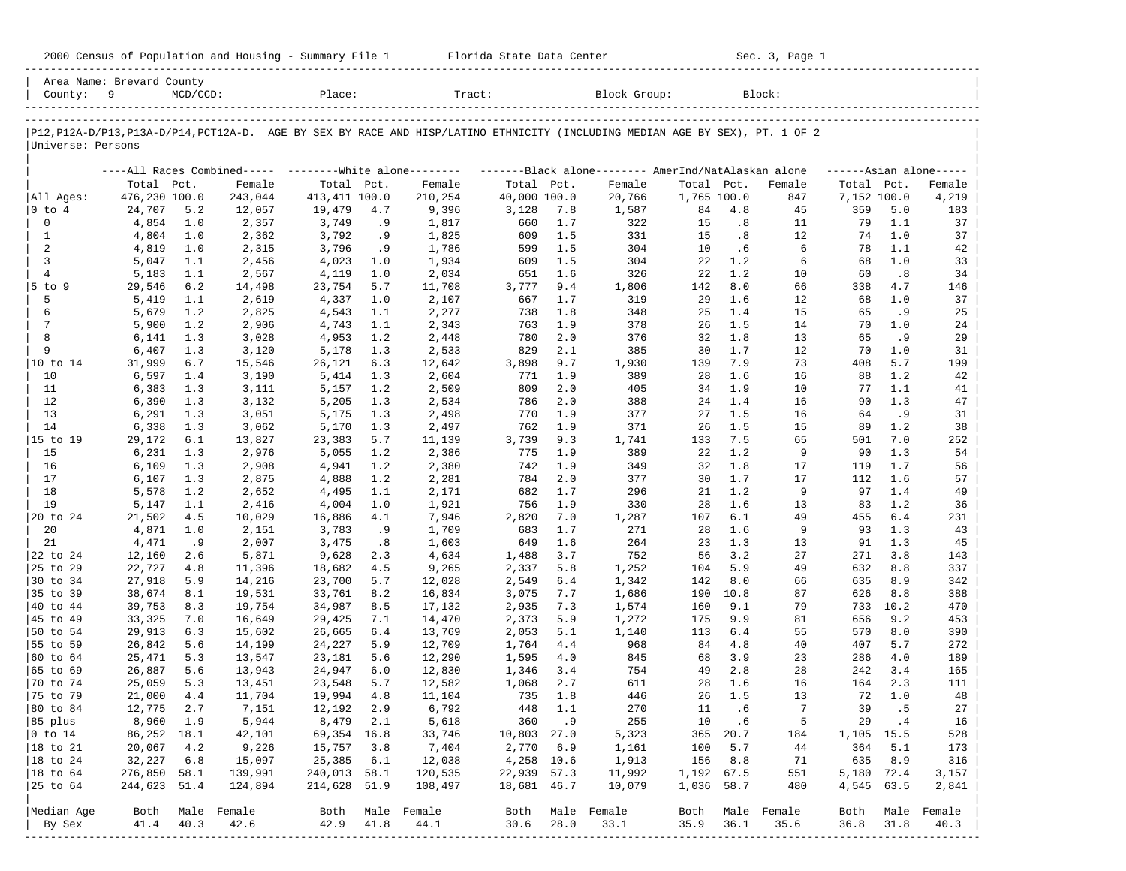| 2000 Census of Population and Housing - Summary File 1 |  | Florida State Data Center | Sec. 3, Page 1 |
|--------------------------------------------------------|--|---------------------------|----------------|
|--------------------------------------------------------|--|---------------------------|----------------|

| County: 9         | Area Name: Brevard County | $MCD/CCD$ : |                  | Place:                |      | Tract:                                                                                                                        |                          |       | Block Group:     |             |          | Block:           |             |       |                     |
|-------------------|---------------------------|-------------|------------------|-----------------------|------|-------------------------------------------------------------------------------------------------------------------------------|--------------------------|-------|------------------|-------------|----------|------------------|-------------|-------|---------------------|
|                   |                           |             |                  |                       |      |                                                                                                                               |                          |       |                  |             |          |                  |             |       |                     |
| Universe: Persons |                           |             |                  |                       |      | P12, P12A-D/P13, P13A-D/P14, PCT12A-D. AGE BY SEX BY RACE AND HISP/LATINO ETHNICITY (INCLUDING MEDIAN AGE BY SEX), PT. 1 OF 2 |                          |       |                  |             |          |                  |             |       |                     |
|                   |                           |             |                  |                       |      | ----All Races Combined----- --------White alone-------- --------Black alone-------- AmerInd/NatAlaskan alone                  |                          |       |                  |             |          |                  |             |       | $---Asian alone---$ |
|                   | Total Pct.                |             | Female           | Total Pct.            |      | Female                                                                                                                        | Total Pct.               |       | Female           | Total Pct.  |          | Female           | Total Pct.  |       | Female              |
| All Ages:         | 476,230 100.0             |             | 243,044          | 413, 411 100.0        |      | 210,254                                                                                                                       | 40,000 100.0             |       | 20,766           | 1,765 100.0 |          | 847              | 7,152 100.0 |       | 4,219               |
| 0 to 4            | 24,707                    | 5.2         | 12,057           | 19,479                | 4.7  | 9,396                                                                                                                         | 3,128                    | 7.8   | 1,587            | 84          | 4.8      | 45               | 359         | 5.0   | 183                 |
| $\mathbf 0$       | 4,854                     | 1.0         | 2,357            | 3,749                 | . 9  | 1,817                                                                                                                         | 660                      | 1.7   | 322              | 15          | .8       | 11               | 79          | 1.1   | 37                  |
| $\mathbf{1}$      | 4,804                     | 1.0         | 2,362            | 3,792                 | .9   | 1,825                                                                                                                         | 609                      | 1.5   | 331              | 15          | .8       | 12               | 74          | 1.0   | 37                  |
| 2                 | 4,819                     | 1.0         | 2,315            | 3,796                 | .9   | 1,786                                                                                                                         | 599                      | 1.5   | 304              | 10          | .6       | 6                | 78          | 1.1   | 42                  |
| 3                 | 5,047                     | 1.1         | 2,456            | 4,023                 | 1.0  | 1,934                                                                                                                         | 609                      | 1.5   | 304              | 22          | 1.2      | 6                | 68          | 1.0   | 33                  |
| $\overline{4}$    | 5,183                     | 1.1         | 2,567            | 4,119                 | 1.0  | 2,034                                                                                                                         | 651                      | 1.6   | 326              | 22          | 1.2      | 10               | 60          | .8    | 34                  |
| $5$ to $9$        | 29,546                    | 6.2         | 14,498           | 23,754                | 5.7  | 11,708                                                                                                                        | 3,777                    | 9.4   | 1,806            | 142         | 8.0      | 66               | 338         | 4.7   | 146                 |
| 5                 | 5,419                     | 1.1         | 2,619            | 4,337                 | 1.0  | 2,107                                                                                                                         | 667                      | 1.7   | 319              | 29          | 1.6      | 12               | 68          | 1.0   | 37                  |
| 6                 | 5,679                     | 1.2         | 2,825            | 4,543                 | 1.1  | 2,277                                                                                                                         | 738                      | 1.8   | 348              | 25          | 1.4      | 15               | 65          | . 9   | 25                  |
| 7                 | 5,900                     | 1.2         | 2,906            | 4,743                 | 1.1  | 2,343                                                                                                                         | 763                      | 1.9   | 378              | 26          | 1.5      | 14               | 70          | 1.0   | 24                  |
| 8                 | 6,141                     | 1.3         | 3,028            | 4,953                 | 1.2  | 2,448                                                                                                                         | 780                      | 2.0   | 376              | 32          | 1.8      | 13               | 65          | . 9   | 29                  |
| 9                 | 6,407                     | 1.3         | 3,120            | 5,178                 | 1.3  | 2,533                                                                                                                         | 829                      | 2.1   | 385              | 30          | 1.7      | 12               | 70          | 1.0   | 31                  |
| 10 to 14          | 31,999                    | $6.7$       | 15,546           | 26,121                | 6.3  | 12,642                                                                                                                        | 3,898                    | 9.7   | 1,930            | 139         | 7.9      | 73               | 408         | 5.7   | 199                 |
| 10                | 6,597                     | 1.4         | 3,190            | 5,414                 | 1.3  | 2,604                                                                                                                         | 771                      | 1.9   | 389              | 28          | 1.6      | 16               | 88          | 1.2   | 42                  |
| 11                | 6,383                     | 1.3         | 3,111            | 5,157                 | 1.2  | 2,509                                                                                                                         | 809                      | 2.0   | 405              | 34          | 1.9      | 10               | 77          | 1.1   | 41                  |
| 12                | 6,390                     | 1.3         | 3,132            | 5,205                 | 1.3  | 2,534                                                                                                                         | 786                      | 2.0   | 388              | 24          | 1.4      | 16               | 90          | 1.3   | 47                  |
| 13                | 6,291                     | 1.3         | 3,051            | 5,175                 | 1.3  | 2,498                                                                                                                         | 770                      | 1.9   | 377              | 27          | 1.5      | 16               | 64          | .9    | 31                  |
| 14                | 6,338                     | 1.3         | 3,062            | 5,170                 | 1.3  | 2,497                                                                                                                         | 762                      | 1.9   | 371              | 26          | 1.5      | 15               | 89          | 1.2   | 38                  |
| 15 to 19          | 29,172                    | 6.1         | 13,827           | 23,383                | 5.7  | 11,139                                                                                                                        | 3,739                    | 9.3   | 1,741            | 133         | 7.5      | 65               | 501         | 7.0   | 252                 |
| 15                | 6,231                     | 1.3         | 2,976            | 5,055                 | 1.2  | 2,386                                                                                                                         | 775                      | 1.9   | 389              | 22          | 1.2      | 9                | 90          | 1.3   | 54                  |
| 16                | 6,109                     | 1.3         | 2,908            | 4,941                 | 1.2  | 2,380                                                                                                                         | 742                      | 1.9   | 349              | 32          | 1.8      | 17               | 119         | 1.7   | 56                  |
| 17                | 6,107                     | 1.3         | 2,875            | 4,888                 | 1.2  | 2,281                                                                                                                         | 784                      | 2.0   | 377              | 30          | 1.7      | 17               | 112         | 1.6   | 57                  |
| 18                | 5,578                     | 1.2         | 2,652            | 4,495                 | 1.1  | 2,171                                                                                                                         | 682                      | 1.7   | 296              | 21          | 1.2      | 9                | 97          | 1.4   | 49                  |
| 19                | 5,147                     | 1.1         | 2,416            | 4,004                 | 1.0  | 1,921                                                                                                                         | 756                      | 1.9   | 330              | 28          | 1.6      | 13               | 83          | 1.2   | 36                  |
| 20 to 24          | 21,502                    | 4.5         | 10,029           | 16,886                | 4.1  | 7,946                                                                                                                         | 2,820                    | 7.0   | 1,287            | 107         | 6.1      | 49               | 455         | 6.4   | 231                 |
| 20                | 4,871                     | 1.0         | 2,151            | 3,783                 | .9   | 1,709                                                                                                                         | 683                      | 1.7   | 271              | 28          | 1.6      | 9                | 93          | 1.3   | 43                  |
| 21                | 4,471                     | .9          | 2,007            | 3,475                 | .8   | 1,603                                                                                                                         | 649                      | 1.6   | 264              | 23          | 1.3      | 13               | 91          | 1.3   | 45                  |
| 22 to 24          | 12,160                    | 2.6         | 5,871            | 9,628                 | 2.3  | 4,634                                                                                                                         | 1,488                    | 3.7   | 752              | 56          | 3.2      | 27               | 271         | 3.8   | 143                 |
| 25 to 29          | 22,727                    | 4.8         | 11,396           | 18,682                | 4.5  | 9,265                                                                                                                         | 2,337                    | 5.8   | 1,252            | 104         | 5.9      | 49               | 632         | 8.8   | 337                 |
| 30 to 34          | 27,918                    | 5.9         | 14,216           | 23,700                | 5.7  | 12,028                                                                                                                        | 2,549                    | 6.4   | 1,342            | 142         | 8.0      | 66               | 635         | 8.9   | 342                 |
| 35 to 39          | 38,674                    | 8.1         | 19,531           | 33,761                | 8.2  | 16,834                                                                                                                        | 3,075                    | 7.7   | 1,686            | 190         | 10.8     | 87               | 626         | 8.8   | 388                 |
| 40 to 44          | 39,753                    | 8.3         | 19,754           | 34,987                | 8.5  | 17,132                                                                                                                        | 2,935                    | 7.3   | 1,574            | 160         | 9.1      | 79               | 733         | 10.2  | 470                 |
| 45 to 49          | 33,325                    | 7.0         | 16,649           | 29,425                | 7.1  | 14,470                                                                                                                        | 2,373                    | 5.9   | 1,272            | 175         | 9.9      | 81               | 656         | 9.2   | 453                 |
| 50 to 54          | 29,913                    | 6.3         | 15,602           | 26,665                | 6.4  | 13,769                                                                                                                        | 2,053                    | 5.1   | 1,140            | 113         | 6.4      | 55               | 570         | 8.0   | 390                 |
| 55 to 59          | 26,842                    | 5.6         | 14,199           | 24,227                | 5.9  | 12,709                                                                                                                        | 1,764                    | 4.4   | 968              | 84          | 4.8      | 40               | 407         | 5.7   | 272                 |
| 60 to 64          | 25,471                    | 5.3         | 13,547           | 23,181                | 5.6  | 12,290                                                                                                                        | 1,595                    | 4.0   | 845              | 68          | 3.9      | 23               | 286         | 4.0   | 189                 |
| 65 to 69          | 26,887                    | 5.6         | 13,943           | 24,947                | 6.0  | 12,830                                                                                                                        | 1,346                    | 3.4   | 754              | 49          | 2.8      | 28               | 242         | 3.4   | 165                 |
| 70 to 74          | 25,059                    | 5.3         | 13,451           | 23,548                | 5.7  | 12,582                                                                                                                        | 1,068                    | 2.7   | 611              | 28          | 1.6      | 16               | 164         | 2.3   | 111                 |
| 75 to 79          | 21,000                    | 4.4         | 11,704           | 19,994                | 4.8  | 11,104                                                                                                                        | 735                      | 1.8   | 446              | 26          | 1.5      | 13               | 72          | 1.0   | 48                  |
| 80 to 84          | 12,775                    | 2.7         | 7,151            | 12,192                | 2.9  | 6,792                                                                                                                         | 448                      | 1.1   | 270              | 11          | .6       | 7                | 39          | .5    | 27                  |
|                   |                           |             |                  |                       |      |                                                                                                                               |                          |       |                  |             |          |                  |             |       |                     |
| 85 plus           | 8,960 1.9                 |             | 5,944            | 8,479 2.1             |      | 5,618<br>33,746                                                                                                               |                          | 360.9 | 255              | 10          | .6       | -5               |             | 29 .4 | 16                  |
| $ 0 \t\t \tto 14$ | 86,252 18.1               |             | 42,101           | 69,354 16.8<br>15,757 |      |                                                                                                                               | 10,803 27.0<br>2,770 6.9 |       | 5,323            |             | 365 20.7 | 184              | 1,105 15.5  |       | 528                 |
| 18 to 21          | 20,067                    | 4.2         | 9,226            |                       | 3.8  | 7,404                                                                                                                         |                          |       | 1,161            |             | 100 5.7  | 44               | 364         | 5.1   | 173                 |
| $ 18$ to $24$     | 32,227                    | 6.8         | 15,097           | 25,385                | 6.1  | 12,038                                                                                                                        | 4,258 10.6               |       | 1,913            |             | 156 8.8  | 71               | 635         | 8.9   | 316                 |
| $ 18$ to $64$     | 276,850 58.1              |             | 139,991          | 240,013 58.1          |      | 120,535                                                                                                                       | 22,939 57.3              |       | 11,992           | 1,192 67.5  |          | 551              | 5,180 72.4  |       | 3,157               |
| 25 to 64          | 244,623 51.4              |             | 124,894          | 214,628 51.9          |      | 108,497                                                                                                                       | 18,681 46.7              |       | 10,079           | 1,036 58.7  |          | 480              | 4,545 63.5  |       | 2,841               |
| Median Age        |                           |             | Both Male Female |                       |      | Both Male Female                                                                                                              |                          |       | Both Male Female |             |          | Both Male Female |             |       | Both Male Female    |
| By Sex            | 41.4                      | 40.3        | 42.6             | 42.9                  | 41.8 | 44.1                                                                                                                          | 30.6                     | 28.0  | 33.1             | 35.9        | 36.1     | 35.6             | 36.8        | 31.8  | 40.3                |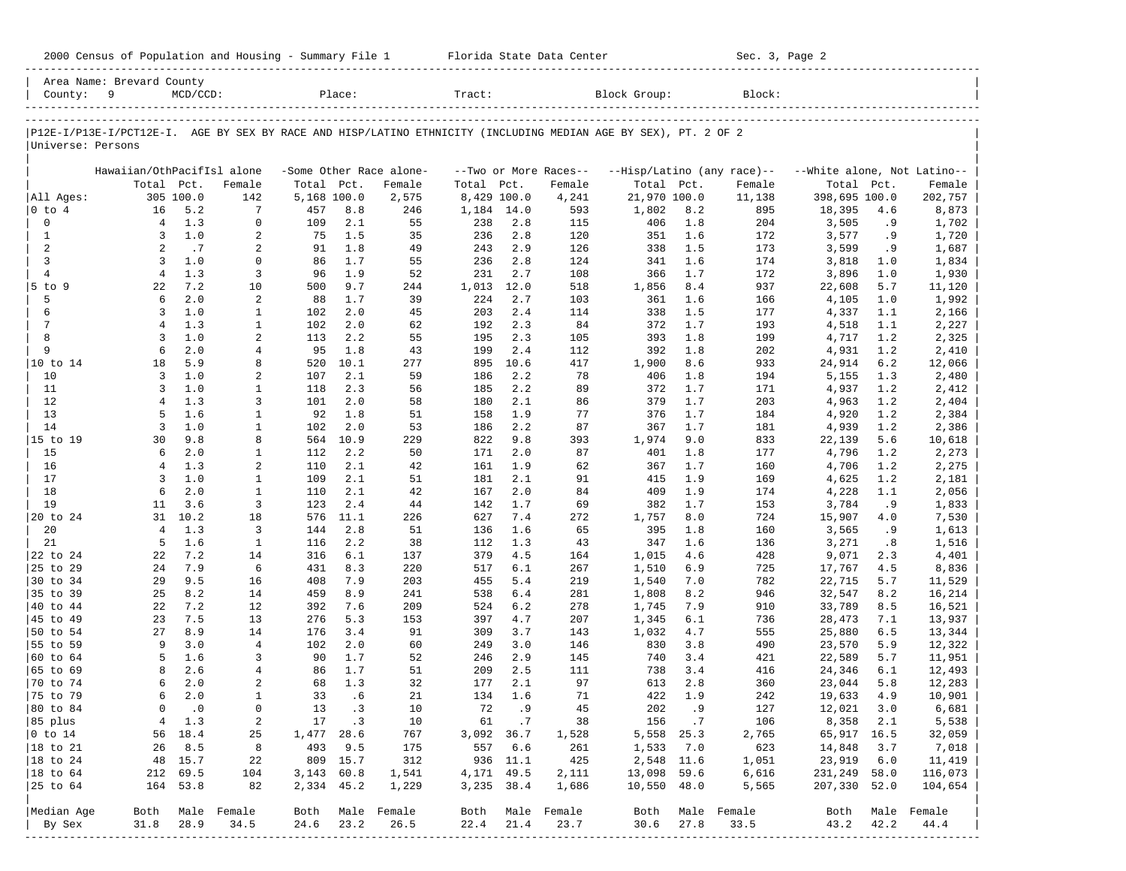|                      | Area Name: Brevard County                                                                                      |             |                  |             |            |                         |             |            |                       |                |            |                            |                             |            |                  |
|----------------------|----------------------------------------------------------------------------------------------------------------|-------------|------------------|-------------|------------|-------------------------|-------------|------------|-----------------------|----------------|------------|----------------------------|-----------------------------|------------|------------------|
| County:              | 9                                                                                                              | $MCD/CCD$ : |                  |             | Place:     |                         | Tract:      |            |                       | Block Group:   |            | Block:                     |                             |            |                  |
|                      | P12E-I/P13E-I/PCT12E-I. AGE BY SEX BY RACE AND HISP/LATINO ETHNICITY (INCLUDING MEDIAN AGE BY SEX), PT. 2 OF 2 |             |                  |             |            |                         |             |            |                       |                |            |                            |                             |            |                  |
| Universe: Persons    |                                                                                                                |             |                  |             |            |                         |             |            |                       |                |            |                            |                             |            |                  |
|                      | Hawaiian/OthPacifIsl alone                                                                                     |             |                  |             |            | -Some Other Race alone- |             |            | --Two or More Races-- |                |            | --Hisp/Latino (any race)-- | --White alone, Not Latino-- |            |                  |
|                      | Total Pct.                                                                                                     |             | Female           | Total Pct.  |            | Female                  | Total       | Pct.       | Female                | Total Pct.     |            | Female                     | Total                       | Pct.       | Female           |
| All Ages:            |                                                                                                                | 305 100.0   | 142              | 5,168 100.0 |            | 2,575                   | 8,429 100.0 |            | 4,241                 | 21,970 100.0   |            | 11,138                     | 398,695 100.0               |            | 202,757          |
| $ 0 \tto 4$          | 16                                                                                                             | 5.2         | 7                | 457         | 8.8        | 246                     | 1,184       | 14.0       | 593                   | 1,802          | 8.2        | 895                        | 18,395                      | 4.6        | 8,873            |
| 0                    | $\overline{4}$                                                                                                 | 1.3         | $\mathbf 0$      | 109         | 2.1        | 55                      | 238         | 2.8        | 115                   | 406            | 1.8        | 204                        | 3,505                       | .9         | 1,702            |
| $\mathbf{1}$         | 3                                                                                                              | 1.0         | 2                | 75          | 1.5        | 35                      | 236         | 2.8        | 120                   | 351            | 1.6        | 172                        | 3,577                       | .9         | 1,720            |
| 2                    | $\overline{a}$                                                                                                 | .7          | 2                | 91          | 1.8        | 49                      | 243         | 2.9        | 126                   | 338            | 1.5        | 173                        | 3,599                       | .9         | 1,687            |
| 3                    | 3                                                                                                              | 1.0         | $\mathbf 0$      | 86          | 1.7        | 55                      | 236         | 2.8        | 124                   | 341            | 1.6        | 174                        | 3,818                       | 1.0        | 1,834            |
| $\overline{4}$       | $\overline{4}$                                                                                                 | 1.3         | 3                | 96          | 1.9        | 52                      | 231         | 2.7        | 108                   | 366            | 1.7        | 172                        | 3,896                       | 1.0        | 1,930            |
| 5 to 9               | 22                                                                                                             | 7.2         | 10               | 500         | 9.7        | 244                     | 1,013       | 12.0       | 518                   | 1,856          | 8.4        | 937                        | 22,608                      | 5.7        | 11,120           |
| 5                    | 6                                                                                                              | 2.0         | $\sqrt{2}$       | 88          | 1.7        | 39                      | 224         | 2.7        | 103                   | 361            | 1.6        | 166                        | 4,105                       | 1.0        | 1,992            |
| 6<br>$\overline{7}$  | 3                                                                                                              | 1.0         | $\mathbf{1}$     | 102         | 2.0        | 45                      | 203         | 2.4        | 114                   | 338            | 1.5        | 177                        | 4,337                       | 1.1        | 2,166            |
| 8                    | $\overline{4}$<br>3                                                                                            | 1.3<br>1.0  | 1<br>2           | 102<br>113  | 2.0<br>2.2 | 62<br>55                | 192<br>195  | 2.3<br>2.3 | 84<br>105             | 372<br>393     | 1.7<br>1.8 | 193                        | 4,518                       | 1.1<br>1.2 | 2,227            |
| 9                    | 6                                                                                                              | 2.0         | 4                | 95          | 1.8        | 43                      | 199         | 2.4        | 112                   | 392            | 1.8        | 199<br>202                 | 4,717<br>4,931              | 1.2        | 2,325<br>2,410   |
| 10 to 14             | 18                                                                                                             | 5.9         | 8                | 520         | 10.1       | 277                     | 895         | 10.6       | 417                   | 1,900          | 8.6        | 933                        | 24,914                      | 6.2        | 12,066           |
| 10                   | $\overline{3}$                                                                                                 | 1.0         | 2                | 107         | 2.1        | 59                      | 186         | 2.2        | 78                    | 406            | 1.8        | 194                        | 5,155                       | 1.3        | 2,480            |
| 11                   | 3                                                                                                              | 1.0         | $\mathbf{1}$     | 118         | 2.3        | 56                      | 185         | 2.2        | 89                    | 372            | 1.7        | 171                        | 4,937                       | 1.2        | 2,412            |
| 12                   | $\overline{4}$                                                                                                 | 1.3         | 3                | 101         | 2.0        | 58                      | 180         | 2.1        | 86                    | 379            | 1.7        | 203                        | 4,963                       | 1.2        | 2,404            |
| 13                   | 5                                                                                                              | 1.6         | $\mathbf{1}$     | 92          | 1.8        | 51                      | 158         | 1.9        | 77                    | 376            | 1.7        | 184                        | 4,920                       | 1.2        | 2,384            |
| 14                   | $\overline{3}$                                                                                                 | 1.0         | $\mathbf{1}$     | 102         | 2.0        | 53                      | 186         | 2.2        | 87                    | 367            | 1.7        | 181                        | 4,939                       | 1.2        | 2,386            |
| 15 to 19             | 30                                                                                                             | 9.8         | 8                | 564         | 10.9       | 229                     | 822         | 9.8        | 393                   | 1,974          | 9.0        | 833                        | 22,139                      | 5.6        | 10,618           |
| 15                   | 6                                                                                                              | 2.0         | $\mathbf{1}$     | 112         | 2.2        | 50                      | 171         | 2.0        | 87                    | 401            | 1.8        | 177                        | 4,796                       | 1.2        | 2,273            |
| 16                   | $\overline{4}$                                                                                                 | 1.3         | 2                | 110         | 2.1        | 42                      | 161         | 1.9        | 62                    | 367            | 1.7        | 160                        | 4,706                       | 1.2        | 2,275            |
| 17                   | 3                                                                                                              | 1.0         | $\mathbf{1}$     | 109         | 2.1        | 51                      | 181         | 2.1        | 91                    | 415            | 1.9        | 169                        | 4,625                       | 1.2        | 2,181            |
| 18                   | 6                                                                                                              | 2.0         | $\mathbf{1}$     | 110         | 2.1        | 42                      | 167         | 2.0        | 84                    | 409            | 1.9        | 174                        | 4,228                       | 1.1        | 2,056            |
| 19                   | 11                                                                                                             | 3.6         | 3                | 123         | 2.4        | 44                      | 142         | 1.7        | 69                    | 382            | 1.7        | 153                        | 3,784                       | . 9        | 1,833            |
| 20 to 24             | 31                                                                                                             | 10.2        | 18               | 576         | 11.1       | 226                     | 627         | 7.4        | 272                   | 1,757          | 8.0        | 724                        | 15,907                      | 4.0        | 7,530            |
| 20                   | $\overline{4}$                                                                                                 | 1.3         | 3                | 144         | 2.8        | 51                      | 136         | 1.6        | 65                    | 395            | 1.8        | 160                        | 3,565                       | .9         | 1,613            |
| 21                   | 5                                                                                                              | 1.6         | $\mathbf{1}$     | 116         | 2.2        | 38                      | 112         | 1.3        | 43                    | 347            | 1.6        | 136                        | 3,271                       | .8         | 1,516            |
| 22 to 24             | 22                                                                                                             | 7.2         | 14               | 316         | 6.1        | 137                     | 379         | 4.5        | 164                   | 1,015          | 4.6        | 428                        | 9,071                       | 2.3        | 4,401            |
| 25 to 29             | 24                                                                                                             | 7.9         | 6                | 431         | 8.3        | 220                     | 517         | 6.1        | 267                   | 1,510          | 6.9        | 725                        | 17,767                      | 4.5        | 8,836            |
| 30 to 34             | 29                                                                                                             | 9.5         | 16               | 408         | 7.9        | 203                     | 455         | 5.4        | 219                   | 1,540          | 7.0        | 782                        | 22,715                      | 5.7        | 11,529           |
| 35 to 39             | 25                                                                                                             | 8.2         | 14               | 459         | 8.9        | 241                     | 538         | 6.4        | 281                   | 1,808          | 8.2        | 946                        | 32,547                      | 8.2        | 16,214           |
| 40 to 44<br>45 to 49 | 22<br>23                                                                                                       | 7.2<br>7.5  | 12<br>13         | 392<br>276  | 7.6<br>5.3 | 209                     | 524<br>397  | 6.2<br>4.7 | 278<br>207            | 1,745          | 7.9<br>6.1 | 910<br>736                 | 33,789                      | 8.5<br>7.1 | 16,521           |
| 50 to 54             | 27                                                                                                             | 8.9         | 14               | 176         | 3.4        | 153<br>91               | 309         | 3.7        | 143                   | 1,345<br>1,032 | 4.7        | 555                        | 28,473<br>25,880            | 6.5        | 13,937<br>13,344 |
| 55 to 59             | 9                                                                                                              | 3.0         | $\overline{4}$   | 102         | 2.0        | 60                      | 249         | 3.0        | 146                   | 830            | 3.8        | 490                        | 23,570                      | 5.9        | 12,322           |
| 60 to 64             | 5                                                                                                              | 1.6         | 3                | 90          | 1.7        | 52                      | 246         | 2.9        | 145                   | 740            | 3.4        | 421                        | 22,589                      | 5.7        | 11,951           |
| 65 to 69             | 8                                                                                                              | 2.6         | 4                | 86          | 1.7        | 51                      | 209         | 2.5        | 111                   | 738            | 3.4        | 416                        | 24,346                      | 6.1        | 12,493           |
| 70 to 74             | 6                                                                                                              | 2.0         | 2                | 68          | 1.3        | 32                      | 177         | 2.1        | 97                    | 613            | 2.8        | 360                        | 23,044                      | 5.8        | 12,283           |
| 75 to 79             | 6                                                                                                              | 2.0         | $\mathbf{1}$     | 33          | .6         | 21                      | 134         | 1.6        | 71                    | 422            | 1.9        | 242                        | 19,633                      | 4.9        | 10,901           |
| 80 to 84             | $\mathbf 0$                                                                                                    | $\cdot$ 0   | $\mathbf 0$      | 13          | . 3        | 10                      | 72          | . 9        | 45                    | 202            | . 9        | 127                        | 12,021                      | 3.0        | 6,681            |
| 85 plus              |                                                                                                                | 4 1.3       | 2                |             | 17 .3      | 10                      |             | 61 .7      | 38                    |                | 156.7      | 106                        | 8,358                       | 2.1        | 5,538            |
| $ 0 \t{to} 14$       |                                                                                                                | 56 18.4     | 25               | 1,477 28.6  |            | 767                     | 3,092 36.7  |            | 1,528                 |                | 5,558 25.3 | 2,765                      | 65,917 16.5                 |            | 32,059           |
| $ 18 \text{ to } 21$ |                                                                                                                | 26 8.5      | 8                |             | 493 9.5    | 175                     |             | 557 6.6    | 261                   |                | 1,533 7.0  | 623                        | 14,848                      | 3.7        | 7,018            |
| $ 18 \text{ to } 24$ |                                                                                                                | 48 15.7     | 22               |             | 809 15.7   | 312                     |             | 936 11.1   | 425                   |                | 2,548 11.6 | 1,051                      | 23,919 6.0                  |            | 11,419           |
| $ 18 \text{ to } 64$ |                                                                                                                | 212 69.5    | 104              | 3,143 60.8  |            | 1,541                   | 4,171 49.5  |            | 2,111                 | 13,098 59.6    |            | 6,616                      | 231,249 58.0                |            | 116,073          |
| 25 to 64             |                                                                                                                | 164 53.8    | 82               | 2,334 45.2  |            | 1,229                   | 3,235 38.4  |            | 1,686                 | 10,550 48.0    |            | 5,565                      | 207,330 52.0                |            | 104,654          |
| Median Age           |                                                                                                                |             | Both Male Female |             |            | Both Male Female        |             |            | Both Male Female      |                |            | Both Male Female           |                             |            | Both Male Female |
| By Sex               | 31.8                                                                                                           | 28.9        | 34.5             | 24.6        | 23.2       | 26.5                    | 22.4        | 21.4       | 23.7                  | 30.6           | 27.8       | 33.5                       | 43.2                        | 42.2       | 44.4             |
|                      |                                                                                                                |             |                  |             |            |                         |             |            |                       |                |            |                            |                             |            |                  |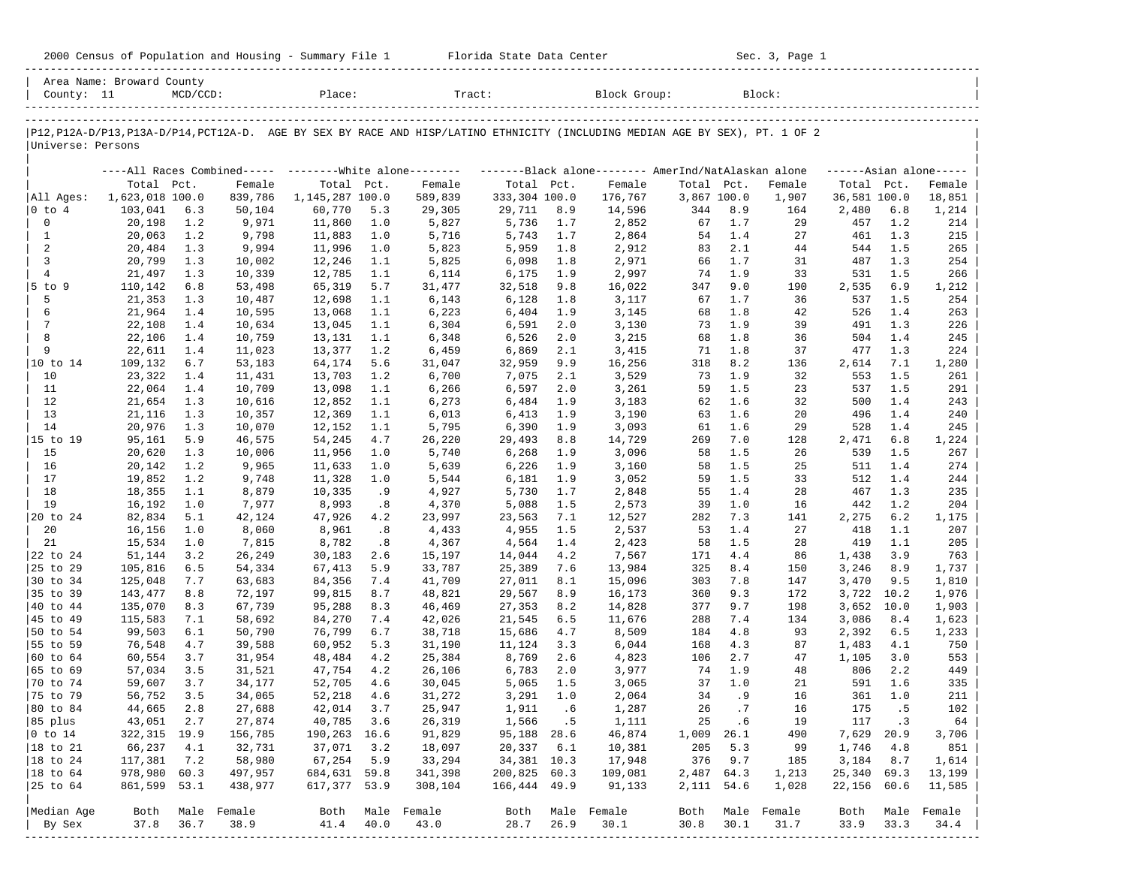| 2000 Census of Population and Housing - Summary File 1 |  | Florida State Data Center | Sec. 3, Page 1 |
|--------------------------------------------------------|--|---------------------------|----------------|
|--------------------------------------------------------|--|---------------------------|----------------|

| County: 11             | Area Name: Broward County | $MCD/CCD$ : |             | Place:                                                    |      | Tract:           |               |      | Block Group:                                                                                                                  |             |       | Block:      |              |            |                     |
|------------------------|---------------------------|-------------|-------------|-----------------------------------------------------------|------|------------------|---------------|------|-------------------------------------------------------------------------------------------------------------------------------|-------------|-------|-------------|--------------|------------|---------------------|
|                        |                           |             |             |                                                           |      |                  |               |      |                                                                                                                               |             |       |             |              |            |                     |
|                        |                           |             |             |                                                           |      |                  |               |      | P12, P12A-D/P13, P13A-D/P14, PCT12A-D. AGE BY SEX BY RACE AND HISP/LATINO ETHNICITY (INCLUDING MEDIAN AGE BY SEX), PT. 1 OF 2 |             |       |             |              |            |                     |
| Universe: Persons      |                           |             |             |                                                           |      |                  |               |      |                                                                                                                               |             |       |             |              |            |                     |
|                        |                           |             |             | ----All Races Combined----- --------- White alone-------- |      |                  |               |      | -------Black alone-------- AmerInd/NatAlaskan alone                                                                           |             |       |             |              |            | $---Asian alone---$ |
|                        | Total Pct.                |             | Female      | Total Pct.                                                |      | Female           | Total Pct.    |      | Female                                                                                                                        | Total Pct.  |       | Female      | Total Pct.   |            | Female              |
| All Ages:              | 1,623,018 100.0           |             | 839,786     | 1,145,287 100.0                                           |      | 589,839          | 333,304 100.0 |      | 176,767                                                                                                                       | 3,867 100.0 |       | 1,907       | 36,581 100.0 |            | 18,851              |
| 0 to 4                 | 103,041                   | 6.3         | 50,104      | 60,770                                                    | 5.3  | 29,305           | 29,711        | 8.9  | 14,596                                                                                                                        | 344         | 8.9   | 164         | 2,480        | 6.8        | 1,214               |
| $\mathbf 0$            | 20,198                    | 1.2         | 9,971       | 11,860                                                    | 1.0  | 5,827            | 5,736         | 1.7  | 2,852                                                                                                                         | 67          | 1.7   | 29          | 457          | 1.2        | 214                 |
| $\mathbf{1}$           | 20,063                    | 1.2         | 9,798       | 11,883                                                    | 1.0  | 5,716            | 5,743         | 1.7  | 2,864                                                                                                                         | 54          | 1.4   | 27          | 461          | 1.3        | 215                 |
| $\overline{a}$         | 20,484                    | 1.3         | 9,994       | 11,996                                                    | 1.0  | 5,823            | 5,959         | 1.8  | 2,912                                                                                                                         | 83          | 2.1   | 44          | 544          | 1.5        | 265                 |
| 3                      | 20,799                    | 1.3         | 10,002      | 12,246                                                    | 1.1  | 5,825            | 6,098         | 1.8  | 2,971                                                                                                                         | 66          | 1.7   | 31          | 487          | 1.3        | 254                 |
| $\overline{4}$         | 21,497                    | 1.3         | 10,339      | 12,785                                                    | 1.1  | 6,114            | 6,175         | 1.9  | 2,997                                                                                                                         | 74          | 1.9   | 33          | 531          | 1.5        | 266                 |
| $5$ to $9$             | 110,142                   | 6.8         | 53,498      | 65,319                                                    | 5.7  | 31,477           | 32,518        | 9.8  | 16,022                                                                                                                        | 347         | 9.0   | 190         | 2,535        | 6.9        | 1,212               |
| 5                      | 21,353                    | 1.3         | 10,487      | 12,698                                                    | 1.1  | 6,143            | 6,128         | 1.8  | 3,117                                                                                                                         | 67          | 1.7   | 36          | 537          | 1.5        | 254                 |
| 6                      | 21,964                    | 1.4         | 10,595      | 13,068                                                    | 1.1  | 6,223            | 6,404         | 1.9  | 3,145                                                                                                                         | 68          | 1.8   | 42          | 526          | 1.4        | 263                 |
| $7\phantom{.0}$        | 22,108                    | 1.4         | 10,634      | 13,045                                                    | 1.1  | 6,304            | 6,591         | 2.0  | 3,130                                                                                                                         | 73          | 1.9   | 39          | 491          | 1.3        | 226                 |
| 8                      | 22,106                    | 1.4         | 10,759      | 13,131                                                    | 1.1  | 6,348            | 6,526         | 2.0  | 3,215                                                                                                                         | 68          | 1.8   | 36          | 504          | 1.4        | 245                 |
| 9                      | 22,611                    | 1.4         | 11,023      | 13,377                                                    | 1.2  | 6,459            | 6,869         | 2.1  | 3,415                                                                                                                         | 71          | 1.8   | 37          | 477          | 1.3        | 224                 |
| 10 to 14               | 109,132                   | $6.7$       | 53,183      | 64,174                                                    | 5.6  | 31,047           | 32,959        | 9.9  | 16,256                                                                                                                        | 318         | 8.2   | 136         | 2,614        | 7.1        | 1,280               |
| 10                     | 23,322                    | 1.4         | 11,431      | 13,703                                                    | 1.2  | 6,700            | 7,075         | 2.1  | 3,529                                                                                                                         | 73          | 1.9   | 32          | 553          | 1.5        | 261                 |
| 11                     | 22,064                    | 1.4         | 10,709      | 13,098                                                    | 1.1  | 6,266            | 6,597         | 2.0  | 3,261                                                                                                                         | 59          | 1.5   | 23          | 537          | 1.5        | 291                 |
| 12                     | 21,654                    | 1.3         | 10,616      | 12,852                                                    | 1.1  | 6,273            | 6,484         | 1.9  | 3,183                                                                                                                         | 62          | 1.6   | 32          | 500          | 1.4        | 243                 |
| 13                     | 21,116                    | 1.3         | 10,357      | 12,369                                                    | 1.1  | 6,013            | 6,413         | 1.9  | 3,190                                                                                                                         | 63          | 1.6   | 20          | 496          | 1.4        | 240                 |
| 14                     | 20,976                    | 1.3         | 10,070      | 12,152                                                    | 1.1  | 5,795            | 6,390         | 1.9  | 3,093                                                                                                                         | 61          | 1.6   | 29          | 528          | 1.4        | 245                 |
| 15 to 19               | 95,161                    | 5.9         | 46,575      | 54,245                                                    | 4.7  | 26,220           | 29,493        | 8.8  | 14,729                                                                                                                        | 269         | 7.0   | 128         | 2,471        | 6.8        | 1,224               |
| 15                     | 20,620                    | 1.3         | 10,006      | 11,956                                                    | 1.0  | 5,740            | 6,268         | 1.9  | 3,096                                                                                                                         | 58          | 1.5   | 26          | 539          | 1.5        | 267                 |
| 16                     | 20,142                    | 1.2         | 9,965       | 11,633                                                    | 1.0  | 5,639            | 6,226         | 1.9  | 3,160                                                                                                                         | 58          | 1.5   | 25          | 511          | 1.4        | 274                 |
| 17                     | 19,852                    | 1.2         | 9,748       | 11,328                                                    | 1.0  | 5,544            | 6,181         | 1.9  | 3,052                                                                                                                         | 59          | 1.5   | 33          | 512          | 1.4        | 244                 |
| 18                     |                           | 1.1         |             |                                                           |      |                  |               | 1.7  | 2,848                                                                                                                         | 55          | 1.4   | 28          | 467          | 1.3        |                     |
|                        | 18,355                    |             | 8,879       | 10,335                                                    | .9   | 4,927            | 5,730         |      |                                                                                                                               |             | 1.0   |             |              | 1.2        | 235                 |
| 19                     | 16,192                    | 1.0         | 7,977       | 8,993                                                     | .8   | 4,370            | 5,088         | 1.5  | 2,573                                                                                                                         | 39          |       | 16          | 442          |            | 204                 |
| 20 to 24               | 82,834                    | 5.1         | 42,124      | 47,926                                                    | 4.2  | 23,997           | 23,563        | 7.1  | 12,527                                                                                                                        | 282         | 7.3   | 141         | 2,275        | 6.2        | 1,175               |
| 20                     | 16,156                    | 1.0         | 8,060       | 8,961                                                     | .8   | 4,433            | 4,955         | 1.5  | 2,537                                                                                                                         | 53          | 1.4   | 27          | 418          | 1.1        | 207                 |
| 21                     | 15,534                    | 1.0         | 7,815       | 8,782                                                     | .8   | 4,367            | 4,564         | 1.4  | 2,423                                                                                                                         | 58          | 1.5   | 28          | 419          | 1.1        | 205                 |
| 22 to 24               | 51,144                    | 3.2         | 26,249      | 30,183                                                    | 2.6  | 15,197           | 14,044        | 4.2  | 7,567                                                                                                                         | 171         | 4.4   | 86          | 1,438        | 3.9        | 763                 |
| 25 to 29               | 105,816                   | 6.5         | 54,334      | 67,413                                                    | 5.9  | 33,787           | 25,389        | 7.6  | 13,984                                                                                                                        | 325         | 8.4   | 150         | 3,246        | 8.9        | 1,737               |
| 30 to 34               | 125,048                   | 7.7         | 63,683      | 84,356                                                    | 7.4  | 41,709           | 27,011        | 8.1  | 15,096                                                                                                                        | 303         | 7.8   | 147         | 3,470        | 9.5        | 1,810               |
| 35 to 39               | 143,477                   | 8.8         | 72,197      | 99,815                                                    | 8.7  | 48,821           | 29,567        | 8.9  | 16,173                                                                                                                        | 360         | 9.3   | 172         | 3,722        | 10.2       | 1,976               |
| 40 to 44               | 135,070                   | 8.3         | 67,739      | 95,288                                                    | 8.3  | 46,469           | 27,353        | 8.2  | 14,828                                                                                                                        | 377         | 9.7   | 198         | 3,652        | 10.0       | 1,903               |
| 45 to 49               | 115,583                   | 7.1         | 58,692      | 84,270                                                    | 7.4  | 42,026           | 21,545        | 6.5  | 11,676                                                                                                                        | 288         | 7.4   | 134         | 3,086        | 8.4        | 1,623               |
| 50 to 54               | 99,503                    | 6.1         | 50,790      | 76,799                                                    | 6.7  | 38,718           | 15,686        | 4.7  | 8,509                                                                                                                         | 184         | $4.8$ | 93          | 2,392        | 6.5        | 1,233               |
| 55 to 59               | 76,548                    | 4.7         | 39,588      | 60,952                                                    | 5.3  | 31,190           | 11,124        | 3.3  | 6,044                                                                                                                         | 168         | 4.3   | 87          | 1,483        | 4.1        | 750                 |
| 60 to 64               | 60,554                    | 3.7         | 31,954      | 48,484                                                    | 4.2  | 25,384           | 8,769         | 2.6  | 4,823                                                                                                                         | 106         | 2.7   | 47          | 1,105        | 3.0        | 553                 |
| 65 to 69               | 57,034                    | 3.5         | 31,521      | 47,754                                                    | 4.2  | 26,106           | 6,783         | 2.0  | 3,977                                                                                                                         | 74          | 1.9   | 48          | 806          | 2.2        | 449                 |
| 70 to 74               | 59,607                    | 3.7         | 34,177      | 52,705                                                    | 4.6  | 30,045           | 5,065         | 1.5  | 3,065                                                                                                                         | 37          | 1.0   | 21          | 591          | 1.6        | 335                 |
| 75 to 79               | 56,752                    | 3.5         | 34,065      | 52,218                                                    | 4.6  | 31,272           | 3,291         | 1.0  | 2,064                                                                                                                         | 34          | .9    | 16          | 361          | 1.0        | 211                 |
| 80 to 84               | 44,665                    | 2.8         | 27,688      | 42,014                                                    | 3.7  | 25,947           | 1,911         | .6   | 1,287                                                                                                                         | 26          | .7    | 16          | 175          | .5         | 102                 |
| 85 plus                | 43,051 2.7                |             | 27,874      | 40,785 3.6                                                |      | 26,319           | 1,566         | .5   | 1,111                                                                                                                         | 25          | . 6   | 19          | 117          | $\cdot$ 3  | 64                  |
| $ 0 \t\t \text{to} 14$ | 322, 315 19.9             |             | 156,785     | 190,263 16.6                                              |      | 91,829           | 95,188 28.6   |      | 46,874                                                                                                                        | 1,009 26.1  |       | 490         |              | 7,629 20.9 | 3,706               |
| 18 to 21               | 66,237                    | 4.1         | 32,731      | 37,071                                                    | 3.2  | 18,097           | 20,337        | 6.1  | 10,381                                                                                                                        | 205         | 5.3   | - 99        | 1,746        | 4.8        | 851                 |
| 18 to 24               | 117,381                   | 7.2         | 58,980      | 67,254                                                    | 5.9  | 33,294           | 34,381 10.3   |      | 17,948                                                                                                                        | 376         | 9.7   | 185         | 3,184        | 8.7        | 1,614               |
| $ 18$ to $64$          | 978,980 60.3              |             | 497,957     | 684,631 59.8                                              |      | 341,398          | 200,825 60.3  |      | 109,081                                                                                                                       | 2,487 64.3  |       | 1,213       | 25,340 69.3  |            | 13,199              |
| 25 to 64               | 861,599 53.1              |             | 438,977     | 617,377 53.9                                              |      | 308,104          | 166,444 49.9  |      | 91,133                                                                                                                        | 2, 111 54.6 |       | 1,028       | 22,156 60.6  |            | 11,585              |
|                        |                           |             |             |                                                           |      |                  |               |      |                                                                                                                               |             |       |             |              |            |                     |
| Median Age             | Both                      |             | Male Female | 41.4                                                      |      | Both Male Female | Both          |      | Male Female                                                                                                                   | Both        |       | Male Female | Both         |            | Male Female         |
| By Sex                 | 37.8                      | 36.7        | 38.9        |                                                           | 40.0 | 43.0             | 28.7          | 26.9 | 30.1                                                                                                                          | 30.8        | 30.1  | 31.7        | 33.9         | 33.3       | 34.4                |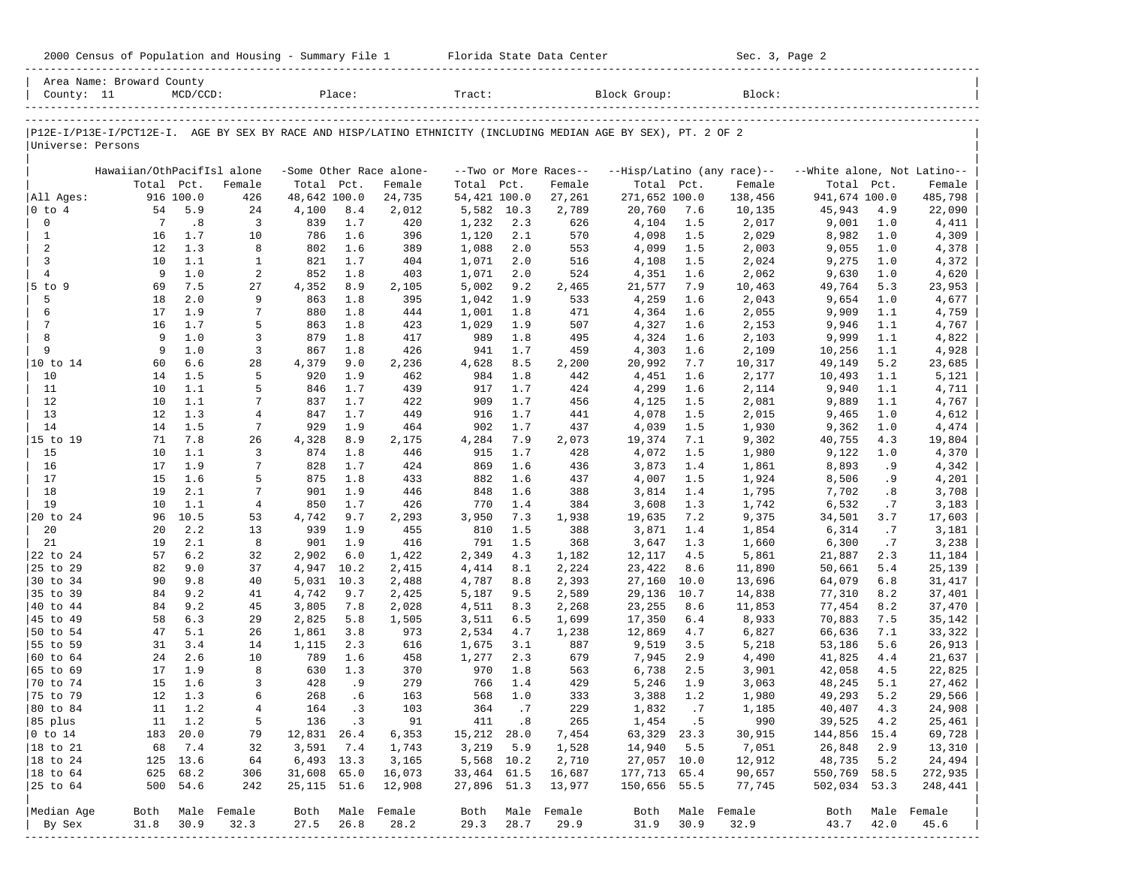| County: 11             | Area Name: Broward County                                                                                      | $MCD/CCD$ : |                     |              | Place:     |                          | Tract:         |            |                       | Block Group:   |            | Block:                     |                             |            |                     |
|------------------------|----------------------------------------------------------------------------------------------------------------|-------------|---------------------|--------------|------------|--------------------------|----------------|------------|-----------------------|----------------|------------|----------------------------|-----------------------------|------------|---------------------|
|                        |                                                                                                                |             |                     |              |            |                          |                |            |                       |                |            |                            |                             |            |                     |
| Universe: Persons      | P12E-I/P13E-I/PCT12E-I. AGE BY SEX BY RACE AND HISP/LATINO ETHNICITY (INCLUDING MEDIAN AGE BY SEX), PT. 2 OF 2 |             |                     |              |            |                          |                |            |                       |                |            |                            |                             |            |                     |
|                        | Hawaiian/OthPacifIsl alone                                                                                     |             |                     |              |            | -Some Other Race alone-  |                |            | --Two or More Races-- |                |            | --Hisp/Latino (any race)-- | --White alone, Not Latino-- |            |                     |
|                        | Total Pct.                                                                                                     |             | Female              | Total Pct.   |            | Female                   | Total          | Pct.       | Female                | Total Pct.     |            | Female                     | Total                       | Pct.       | Female              |
| All Ages:              |                                                                                                                | 916 100.0   | 426                 | 48,642 100.0 |            | 24,735                   | 54,421 100.0   |            | 27,261                | 271,652 100.0  |            | 138,456                    | 941,674 100.0               |            | 485,798             |
| $ 0 \tto 4$            | 54                                                                                                             | 5.9         | 24                  | 4,100        | 8.4        | 2,012                    | 5,582          | 10.3       | 2,789                 | 20,760         | 7.6        | 10,135                     | 45,943                      | 4.9        | 22,090              |
| $\mathsf{O}\xspace$    | 7                                                                                                              | .8          | 3                   | 839          | 1.7        | 420                      | 1,232          | 2.3        | 626                   | 4,104          | 1.5        | 2,017                      | 9,001                       | 1.0        | 4,411               |
| $\mathbf{1}$           | 16                                                                                                             | 1.7         | 10                  | 786          | 1.6        | 396                      | 1,120          | 2.1        | 570                   | 4,098          | 1.5        | 2,029                      | 8,982                       | 1.0        | 4,309               |
| 2<br>3                 | 12<br>10                                                                                                       | 1.3<br>1.1  | 8<br>$\mathbf{1}$   | 802<br>821   | 1.6<br>1.7 | 389<br>404               | 1,088<br>1,071 | 2.0<br>2.0 | 553<br>516            | 4,099<br>4,108 | 1.5<br>1.5 | 2,003<br>2,024             | 9,055<br>9,275              | 1.0<br>1.0 | 4,378<br>4,372      |
| $\overline{4}$         | 9                                                                                                              | 1.0         | 2                   | 852          | 1.8        | 403                      | 1,071          | 2.0        | 524                   | 4,351          | 1.6        | 2,062                      | 9,630                       | 1.0        | 4,620               |
| 5 to 9                 | 69                                                                                                             | 7.5         | 27                  | 4,352        | 8.9        | 2,105                    | 5,002          | 9.2        | 2,465                 | 21,577         | 7.9        | 10,463                     | 49,764                      | 5.3        | 23,953              |
| 5                      | 18                                                                                                             | 2.0         | 9                   | 863          | 1.8        | 395                      | 1,042          | 1.9        | 533                   | 4,259          | 1.6        | 2,043                      | 9,654                       | 1.0        | 4,677               |
| 6                      | 17                                                                                                             | 1.9         | 7                   | 880          | 1.8        | 444                      | 1,001          | 1.8        | 471                   | 4,364          | 1.6        | 2,055                      | 9,909                       | 1.1        | 4,759               |
| 7                      | 16                                                                                                             | 1.7         | 5                   | 863          | 1.8        | 423                      | 1,029          | 1.9        | 507                   | 4,327          | 1.6        | 2,153                      | 9,946                       | 1.1        | 4,767               |
| 8                      | 9                                                                                                              | 1.0         | 3                   | 879          | 1.8        | 417                      | 989            | 1.8        | 495                   | 4,324          | 1.6        | 2,103                      | 9,999                       | 1.1        | 4,822               |
| 9                      | 9                                                                                                              | 1.0         | 3                   | 867          | 1.8        | 426                      | 941            | 1.7        | 459                   | 4,303          | 1.6        | 2,109                      | 10,256                      | 1.1        | 4,928               |
|                        | 60                                                                                                             | 6.6         | 28                  | 4,379        | 9.0        | 2,236                    | 4,628          | 8.5        | 2,200                 | 20,992         | 7.7        | 10,317                     | 49,149                      | 5.2        | 23,685              |
| 10                     | 14                                                                                                             | 1.5         | 5                   | 920          | 1.9        | 462                      | 984            | 1.8        | 442                   | 4,451          | 1.6        | 2,177                      | 10,493                      | 1.1        | 5,121               |
| 11                     | 10                                                                                                             | 1.1         | 5                   | 846          | 1.7        | 439                      | 917            | 1.7        | 424                   | 4,299          | 1.6        | 2,114                      | 9,940                       | 1.1        | 4,711               |
| 12                     | 10                                                                                                             | 1.1         | 7                   | 837          | 1.7        | 422                      | 909            | 1.7        | 456                   | 4,125          | 1.5        | 2,081                      | 9,889                       | 1.1        | 4,767               |
| 13                     | 12                                                                                                             | 1.3         | $\overline{4}$      | 847          | 1.7        | 449                      | 916            | 1.7        | 441                   | 4,078          | 1.5        | 2,015                      | 9,465                       | 1.0        | 4,612               |
| 14                     | 14                                                                                                             | 1.5         | 7                   | 929          | 1.9        | 464                      | 902            | 1.7        | 437                   | 4,039          | 1.5        | 1,930                      | 9,362                       | 1.0        | 4,474               |
| 15 to 19               | 71                                                                                                             | 7.8         | 26                  | 4,328        | 8.9        | 2,175                    | 4,284          | 7.9        | 2,073                 | 19,374         | 7.1        | 9,302                      | 40,755                      | 4.3        | 19,804              |
| 15<br>16               | 10<br>17                                                                                                       | 1.1<br>1.9  | 3<br>7              | 874<br>828   | 1.8<br>1.7 | 446                      | 915<br>869     | 1.7<br>1.6 | 428                   | 4,072          | 1.5        | 1,980                      | 9,122                       | 1.0        | 4,370               |
| 17                     | 15                                                                                                             | 1.6         | 5                   | 875          | 1.8        | 424<br>433               | 882            | 1.6        | 436<br>437            | 3,873<br>4,007 | 1.4<br>1.5 | 1,861<br>1,924             | 8,893<br>8,506              | .9<br>. 9  | 4,342<br>4,201      |
| 18                     | 19                                                                                                             | 2.1         | 7                   | 901          | 1.9        | 446                      | 848            | 1.6        | 388                   | 3,814          | 1.4        | 1,795                      | 7,702                       | .8         | 3,708               |
| 19                     | 10                                                                                                             | 1.1         | $\overline{4}$      | 850          | 1.7        | 426                      | 770            | 1.4        | 384                   | 3,608          | 1.3        | 1,742                      | 6,532                       | .7         | 3,183               |
| 20 to 24               | 96                                                                                                             | 10.5        | 53                  | 4,742        | 9.7        | 2,293                    | 3,950          | 7.3        | 1,938                 | 19,635         | 7.2        | 9,375                      | 34,501                      | 3.7        | 17,603              |
| 20                     | 20                                                                                                             | 2.2         | 13                  | 939          | 1.9        | 455                      | 810            | 1.5        | 388                   | 3,871          | 1.4        | 1,854                      | 6,314                       | .7         | 3,181               |
| 21                     | 19                                                                                                             | 2.1         | 8                   | 901          | 1.9        | 416                      | 791            | 1.5        | 368                   | 3,647          | 1.3        | 1,660                      | 6,300                       | .7         | 3,238               |
| 22 to 24               | 57                                                                                                             | 6.2         | 32                  | 2,902        | 6.0        | 1,422                    | 2,349          | 4.3        | 1,182                 | 12,117         | 4.5        | 5,861                      | 21,887                      | 2.3        | 11,184              |
| 25 to 29               | 82                                                                                                             | 9.0         | 37                  | 4,947        | 10.2       | 2,415                    | 4,414          | 8.1        | 2,224                 | 23,422         | 8.6        | 11,890                     | 50,661                      | 5.4        | 25,139              |
| 30 to 34               | 90                                                                                                             | 9.8         | 40                  | 5,031        | 10.3       | 2,488                    | 4,787          | 8.8        | 2,393                 | 27,160         | 10.0       | 13,696                     | 64,079                      | 6.8        | 31,417              |
| 35 to 39               | 84                                                                                                             | 9.2         | 41                  | 4,742        | 9.7        | 2,425                    | 5,187          | 9.5        | 2,589                 | 29,136         | 10.7       | 14,838                     | 77,310                      | 8.2        | 37,401              |
| 40 to 44               | 84                                                                                                             | 9.2         | 45                  | 3,805        | 7.8        | 2,028                    | 4,511          | 8.3        | 2,268                 | 23,255         | 8.6        | 11,853                     | 77,454                      | 8.2        | 37,470              |
| 45 to 49               | 58                                                                                                             | 6.3         | 29                  | 2,825        | 5.8        | 1,505                    | 3,511          | 6.5        | 1,699                 | 17,350         | 6.4        | 8,933                      | 70,883                      | 7.5        | 35,142              |
| 50 to 54               | 47                                                                                                             | 5.1         | 26                  | 1,861        | 3.8        | 973                      | 2,534          | 4.7        | 1,238                 | 12,869         | 4.7        | 6,827                      | 66,636                      | 7.1        | 33,322              |
| 55 to 59               | 31                                                                                                             | 3.4<br>2.6  | 14                  | 1,115        | 2.3        | 616                      | 1,675          | 3.1        | 887                   | 9,519          | 3.5        | 5,218                      | 53,186                      | 5.6        | 26,913              |
| 60 to 64<br>65 to 69   | 24<br>17                                                                                                       | 1.9         | 10<br>8             | 789<br>630   | 1.6<br>1.3 | 458<br>370               | 1,277<br>970   | 2.3<br>1.8 | 679<br>563            | 7,945          | 2.9<br>2.5 | 4,490<br>3,901             | 41,825<br>42,058            | 4.4<br>4.5 | 21,637<br>22,825    |
| 70 to 74               | 15                                                                                                             | 1.6         | 3                   | 428          | . 9        | 279                      | 766            | 1.4        | 429                   | 6,738<br>5,246 | 1.9        | 3,063                      | 48,245                      | 5.1        | 27,462              |
| 75 to 79               | 12                                                                                                             | 1.3         | 6                   | 268          | .6         | 163                      | 568            | 1.0        | 333                   | 3,388          | 1.2        | 1,980                      | 49,293                      | 5.2        | 29,566              |
| 80 to 84               | 11                                                                                                             | 1.2         | $\overline{4}$      | 164          | . 3        | 103                      | 364            | .7         | 229                   | 1,832          | .7         | 1,185                      | 40,407                      | 4.3        | 24,908              |
| 85 plus                |                                                                                                                | 11 1.2      | 5                   | 136          | $\cdot$ 3  | 91                       | 411            | .8         | 265                   |                | $1,454$ .5 | 990                        | 39,525                      | 4.2        | 25,461              |
| $ 0 \t{to} 14$         |                                                                                                                | 183 20.0    | 79                  | 12,831 26.4  |            | 6,353                    | 15,212 28.0    |            | 7,454                 | 63,329 23.3    |            | 30,915                     | 144,856 15.4                |            | 69,728              |
| 18 to 21               | 68                                                                                                             | 7.4         | 32                  | 3,591        | 7.4        | 1,743                    | 3,219          | 5.9        | 1,528                 | 14,940         | 5.5        | 7,051                      | 26,848                      | 2.9        | 13,310              |
| $ 18 \text{ to } 24$   |                                                                                                                | 125 13.6    | 64                  | 6,493 13.3   |            | 3,165                    | 5,568 10.2     |            | 2,710                 | 27,057 10.0    |            | 12,912                     | 48,735                      | 5.2        | 24,494              |
| $ 18 \text{ to } 64$   |                                                                                                                | 625 68.2    | 306                 | 31,608 65.0  |            | 16,073                   | 33,464 61.5    |            | 16,687                | 177,713 65.4   |            | 90,657                     | 550,769 58.5                |            | 272,935             |
| 25 to 64               |                                                                                                                | 500 54.6    | 242                 | 25, 115 51.6 |            | 12,908                   | 27,896 51.3    |            | 13,977                | 150,656 55.5   |            | 77,745                     | 502,034 53.3                |            | 248,441             |
|                        |                                                                                                                |             |                     |              |            |                          |                |            |                       |                |            |                            |                             |            |                     |
| Median Age<br>  By Sex | Both<br>31.8                                                                                                   | 30.9        | Male Female<br>32.3 | 27.5         | 26.8       | Both Male Female<br>28.2 | Both<br>29.3   | 28.7       | Male Female<br>29.9   | Both<br>31.9   | 30.9       | Male Female<br>32.9        | Both<br>43.7                | 42.0       | Male Female<br>45.6 |
|                        |                                                                                                                |             |                     |              |            |                          |                |            |                       |                |            |                            |                             |            |                     |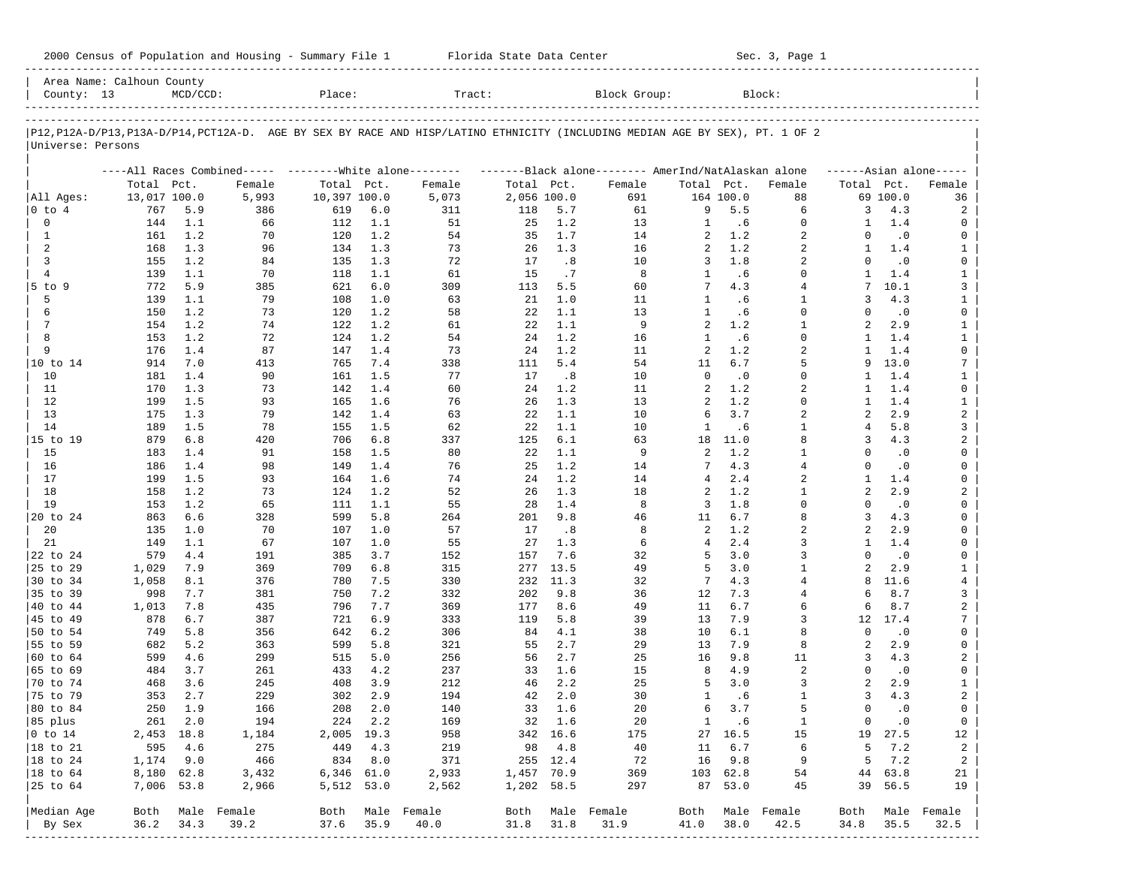| 2000 Census of Population and Housing - Summary File 1 |  | Florida State Data Center | Sec. 3, Page 1 |
|--------------------------------------------------------|--|---------------------------|----------------|
|--------------------------------------------------------|--|---------------------------|----------------|

| County: 13        | Area Name: Calhoun County | $MCD/CCD$ : |                                                         | Place:       |         | Tract:                                                                                                                     |             |          | Block Group:                                        |                |           | Block:         |                |           |                     |
|-------------------|---------------------------|-------------|---------------------------------------------------------|--------------|---------|----------------------------------------------------------------------------------------------------------------------------|-------------|----------|-----------------------------------------------------|----------------|-----------|----------------|----------------|-----------|---------------------|
|                   |                           |             |                                                         |              |         |                                                                                                                            |             |          |                                                     |                |           |                |                |           |                     |
| Universe: Persons |                           |             |                                                         |              |         | P12,P12A-D/P13,P13A-D/P14,PCT12A-D. AGE BY SEX BY RACE AND HISP/LATINO ETHNICITY (INCLUDING MEDIAN AGE BY SEX), PT. 1 OF 2 |             |          |                                                     |                |           |                |                |           |                     |
|                   |                           |             | ----All Races Combined----- --------White alone-------- |              |         |                                                                                                                            |             |          | -------Black alone-------- AmerInd/NatAlaskan alone |                |           |                |                |           | $---Asian alone---$ |
|                   | Total Pct.                |             | Female                                                  | Total Pct.   |         | Female                                                                                                                     | Total Pct.  |          | Female                                              | Total Pct.     |           | Female         | Total Pct.     |           | Female              |
| All Ages:         | 13,017 100.0              |             | 5,993                                                   | 10,397 100.0 |         | 5,073                                                                                                                      | 2,056 100.0 |          | 691                                                 |                | 164 100.0 | 88             |                | 69 100.0  | 36                  |
| 0 to 4            | 767                       | 5.9         | 386                                                     | 619          | 6.0     | 311                                                                                                                        | 118         | 5.7      | 61                                                  | 9              | 5.5       | 6              | 3              | 4.3       | 2                   |
| 0                 | 144                       | 1.1         | 66                                                      | 112          | 1.1     | 51                                                                                                                         | 25          | 1.2      | 13                                                  | 1              | .6        | $\mathbf 0$    | 1              | 1.4       | 0                   |
| $\mathbf{1}$      | 161                       | 1.2         | 70                                                      | 120          | 1.2     | 54                                                                                                                         | 35          | 1.7      | 14                                                  | 2              | 1.2       | 2              | $\Omega$       | $\cdot$ 0 | 0                   |
| 2                 | 168                       | 1.3         | 96                                                      | 134          | 1.3     | 73                                                                                                                         | 26          | 1.3      | 16                                                  | 2              | 1.2       | $\overline{a}$ | $\mathbf{1}$   | 1.4       | $\mathbf{1}$        |
| 3                 | 155                       | 1.2         | 84                                                      | 135          | 1.3     | 72                                                                                                                         | 17          | .8       | 10                                                  | 3              | 1.8       | 2              | $\Omega$       | $\cdot$ 0 | 0                   |
| $\overline{4}$    | 139                       | 1.1         | 70                                                      | 118          | 1.1     | 61                                                                                                                         | 15          | .7       | 8                                                   | $\mathbf{1}$   | .6        | $\Omega$       | $\mathbf{1}$   | 1.4       | $\mathbf{1}$        |
| $5$ to $9$        | 772                       | 5.9         | 385                                                     | 621          | 6.0     | 309                                                                                                                        | 113         | 5.5      | 60                                                  | 7              | 4.3       | $\overline{4}$ | 7              | 10.1      | 3                   |
| 5                 | 139                       | 1.1         | 79                                                      | 108          | 1.0     | 63                                                                                                                         | 21          | 1.0      | 11                                                  | $\mathbf{1}$   | .6        | $\mathbf{1}$   | 3              | 4.3       | $\mathbf{1}$        |
| 6                 | 150                       | 1.2         | 73                                                      | 120          | 1.2     | 58                                                                                                                         | 22          | 1.1      | 13                                                  | $\mathbf{1}$   | .6        | $\Omega$       | $\Omega$       | $\cdot$ 0 | 0                   |
| 7                 | 154                       | 1.2         | 74                                                      | 122          | 1.2     | 61                                                                                                                         | 22          | 1.1      | 9                                                   | $\overline{a}$ | 1.2       | $\mathbf{1}$   | $\overline{a}$ | 2.9       | $\mathbf{1}$        |
| 8                 | 153                       | 1.2         | 72                                                      | 124          | 1.2     | 54                                                                                                                         | 24          | 1.2      | 16                                                  | $\mathbf{1}$   | .6        | $\Omega$       | $\mathbf{1}$   | 1.4       | $\mathbf{1}$        |
| 9                 | 176                       | 1.4         | 87                                                      | 147          | 1.4     | 73                                                                                                                         | 24          | 1.2      | 11                                                  | 2              | 1.2       | $\overline{a}$ | $\mathbf{1}$   | 1.4       | 0                   |
| 10 to 14          | 914                       | 7.0         | 413                                                     | 765          | 7.4     | 338                                                                                                                        | 111         | 5.4      | 54                                                  | 11             | 6.7       | 5              | 9              | 13.0      | 7                   |
| 10                | 181                       | 1.4         | 90                                                      | 161          | 1.5     | 77                                                                                                                         | 17          | .8       | 10                                                  | 0              | $\cdot$ 0 | $\mathbf 0$    | $\mathbf{1}$   | 1.4       | $\mathbf{1}$        |
| 11                | 170                       | 1.3         | 73                                                      | 142          | 1.4     | 60                                                                                                                         | 24          | 1.2      | 11                                                  | 2              | 1.2       | 2              | 1              | 1.4       | 0                   |
| 12                | 199                       | 1.5         | 93                                                      | 165          | 1.6     | 76                                                                                                                         | 26          | 1.3      | 13                                                  | 2              | 1.2       | $\Omega$       | $\mathbf{1}$   | 1.4       | $\mathbf{1}$        |
| 13                | 175                       | 1.3         | 79                                                      | 142          | 1.4     | 63                                                                                                                         | 22          | 1.1      | 10                                                  | 6              | 3.7       | 2              | 2              | 2.9       | 2                   |
| 14                | 189                       | 1.5         | 78                                                      | 155          | 1.5     | 62                                                                                                                         | 22          | 1.1      | 10                                                  | 1              | .6        | $\mathbf{1}$   | 4              | 5.8       | 3                   |
| 15 to 19          | 879                       | 6.8         | 420                                                     | 706          | 6.8     | 337                                                                                                                        | 125         | 6.1      | 63                                                  | 18             | 11.0      | 8              | 3              | 4.3       | 2                   |
| 15                | 183                       | 1.4         | 91                                                      | 158          | 1.5     | 80                                                                                                                         | 22          | 1.1      | 9                                                   | 2              | 1.2       | $\mathbf{1}$   | $\Omega$       | $\cdot$ 0 | 0                   |
| 16                | 186                       | 1.4         | 98                                                      | 149          | 1.4     | 76                                                                                                                         | 25          | 1.2      | 14                                                  | 7              | 4.3       | $\overline{4}$ | $\Omega$       | $\cdot$ 0 | 0                   |
| 17                | 199                       | 1.5         | 93                                                      | 164          | 1.6     | 74                                                                                                                         | 24          | 1.2      | 14                                                  | 4              | 2.4       | $\overline{a}$ | $\mathbf{1}$   | 1.4       | 0                   |
| 18                | 158                       | 1.2         | 73                                                      | 124          | 1.2     | 52                                                                                                                         | 26          | 1.3      | 18                                                  | 2              | 1.2       | $\mathbf{1}$   | 2              | 2.9       | 2                   |
| 19                | 153                       | 1.2         | 65                                                      | 111          | 1.1     | 55                                                                                                                         | 28          | 1.4      | 8                                                   | 3              | 1.8       | $\Omega$       | $\Omega$       | $\cdot$ 0 | 0                   |
| 20 to 24          | 863                       | 6.6         | 328                                                     | 599          | 5.8     | 264                                                                                                                        | 201         | 9.8      | 46                                                  | 11             | 6.7       | 8              | 3              | 4.3       | 0                   |
| 20                | 135                       | 1.0         | 70                                                      | 107          | 1.0     | 57                                                                                                                         | 17          | .8       | 8                                                   | 2              | 1.2       | $\overline{a}$ | $\overline{a}$ | 2.9       | 0                   |
| 21                | 149                       | 1.1         | 67                                                      | 107          | 1.0     | 55                                                                                                                         | 27          | 1.3      | 6                                                   | $\overline{4}$ | 2.4       | 3              | 1              | 1.4       | 0                   |
| 22 to 24          | 579                       | 4.4         | 191                                                     | 385          | 3.7     | 152                                                                                                                        | 157         | 7.6      | 32                                                  | 5              | 3.0       | 3              | $\Omega$       | $\cdot$ 0 | 0                   |
| 25 to 29          | 1,029                     | 7.9         | 369                                                     | 709          | 6.8     | 315                                                                                                                        | 277         | 13.5     | 49                                                  | 5              | 3.0       | $\mathbf{1}$   | $\overline{a}$ | 2.9       | $\mathbf{1}$        |
| 30 to 34          | 1,058                     | 8.1         | 376                                                     | 780          | 7.5     | 330                                                                                                                        | 232         | 11.3     | 32                                                  | 7              | 4.3       | $\overline{4}$ | 8              | 11.6      | $\overline{4}$      |
| 35 to 39          | 998                       | 7.7         | 381                                                     | 750          | 7.2     | 332                                                                                                                        | 202         | 9.8      | 36                                                  | 12             | 7.3       | 4              | б              | 8.7       | 3                   |
| 40 to 44          | 1,013                     | 7.8         | 435                                                     | 796          | 7.7     | 369                                                                                                                        | 177         | 8.6      | 49                                                  | 11             | 6.7       | 6              | 6              | 8.7       | $\overline{a}$      |
| 45 to 49          | 878                       | 6.7         | 387                                                     | 721          | 6.9     | 333                                                                                                                        | 119         | 5.8      | 39                                                  | 13             | 7.9       | 3              | 12             | 17.4      | 7                   |
| 50 to 54          | 749                       | 5.8         | 356                                                     | 642          | $6.2$   | 306                                                                                                                        | 84          | 4.1      | 38                                                  | 10             | 6.1       | 8              | $\Omega$       | $\cdot$ 0 | 0                   |
| 55 to 59          | 682                       | 5.2         | 363                                                     | 599          | 5.8     | 321                                                                                                                        | 55          | 2.7      | 29                                                  | 13             | 7.9       | 8              | $\mathfrak{D}$ | 2.9       | 0                   |
| 60 to 64          | 599                       | 4.6         | 299                                                     | 515          | 5.0     | 256                                                                                                                        | 56          | 2.7      | 25                                                  | 16             | 9.8       | 11             | 3              | 4.3       | 2                   |
| 65 to 69          | 484                       | 3.7         | 261                                                     | 433          | 4.2     | 237                                                                                                                        | 33          | 1.6      | 15                                                  | 8              | 4.9       | 2              | $\Omega$       | .0        | 0                   |
| 70 to 74          | 468                       | 3.6         | 245                                                     | 408          | 3.9     | 212                                                                                                                        | 46          | 2.2      | 25                                                  | 5              | 3.0       | 3              | $\overline{a}$ | 2.9       | $\mathbf{1}$        |
| 75 to 79          | 353                       | 2.7         | 229                                                     | 302          | 2.9     | 194                                                                                                                        | 42          | 2.0      | 30                                                  | 1              | .6        | 1              | 3              | 4.3       | 2                   |
| 80 to 84          | 250                       | 1.9         | 166                                                     | 208          | 2.0     | 140                                                                                                                        | 33          | 1.6      | 20                                                  | 6              | 3.7       | 5              | $\Omega$       | $\cdot$ 0 | 0                   |
| 85 plus           |                           | 261 2.0     | 194                                                     |              | 224 2.2 | 169                                                                                                                        |             | 32 1.6   | 20                                                  | $\mathbf{1}$   | .6        | $\mathbf{1}$   | $\overline{0}$ | $\cdot$ 0 | $\overline{0}$      |
| $ 0 \t\t \tto 14$ | 2,453 18.8                |             | 1,184                                                   | 2,005 19.3   |         | 958                                                                                                                        |             | 342 16.6 | 175                                                 |                | 27 16.5   | 15             |                | 19 27.5   | 12                  |
| 18 to 21          | 595                       | 4.6         | 275                                                     | 449          | 4.3     | 219                                                                                                                        | 98          | 4.8      | 40                                                  | 11             | 6.7       | 6              | 5              | 7.2       | $\overline{a}$      |
| 18 to 24          | 1,174 9.0                 |             | 466                                                     | 834          | 8.0     | 371                                                                                                                        |             | 255 12.4 | 72                                                  |                | 16 9.8    | 9              | 5              | 7.2       | $\overline{a}$      |
| $ 18$ to $64$     | 8,180 62.8                |             | 3,432                                                   | 6,346 61.0   |         | 2,933                                                                                                                      | 1,457 70.9  |          | 369                                                 |                | 103 62.8  | 54             |                | 44 63.8   | 21                  |
| 25 to 64          | 7,006 53.8                |             | 2,966                                                   | 5,512 53.0   |         | 2,562                                                                                                                      | 1,202 58.5  |          | 297                                                 |                | 87 53.0   | 45             |                | 39 56.5   | 19                  |
|                   |                           |             |                                                         |              |         |                                                                                                                            |             |          |                                                     |                |           |                |                |           |                     |
| Median Age        | Both                      |             | Male Female                                             |              |         | Both Male Female                                                                                                           |             |          | Both Male Female                                    | Both           |           | Male Female    | Both           |           | Male Female         |
| By Sex            | 36.2                      | 34.3        | 39.2                                                    | 37.6         | 35.9    | 40.0                                                                                                                       | 31.8        | 31.8     | 31.9                                                | 41.0           | 38.0      | 42.5           | 34.8           | 35.5      | 32.5                |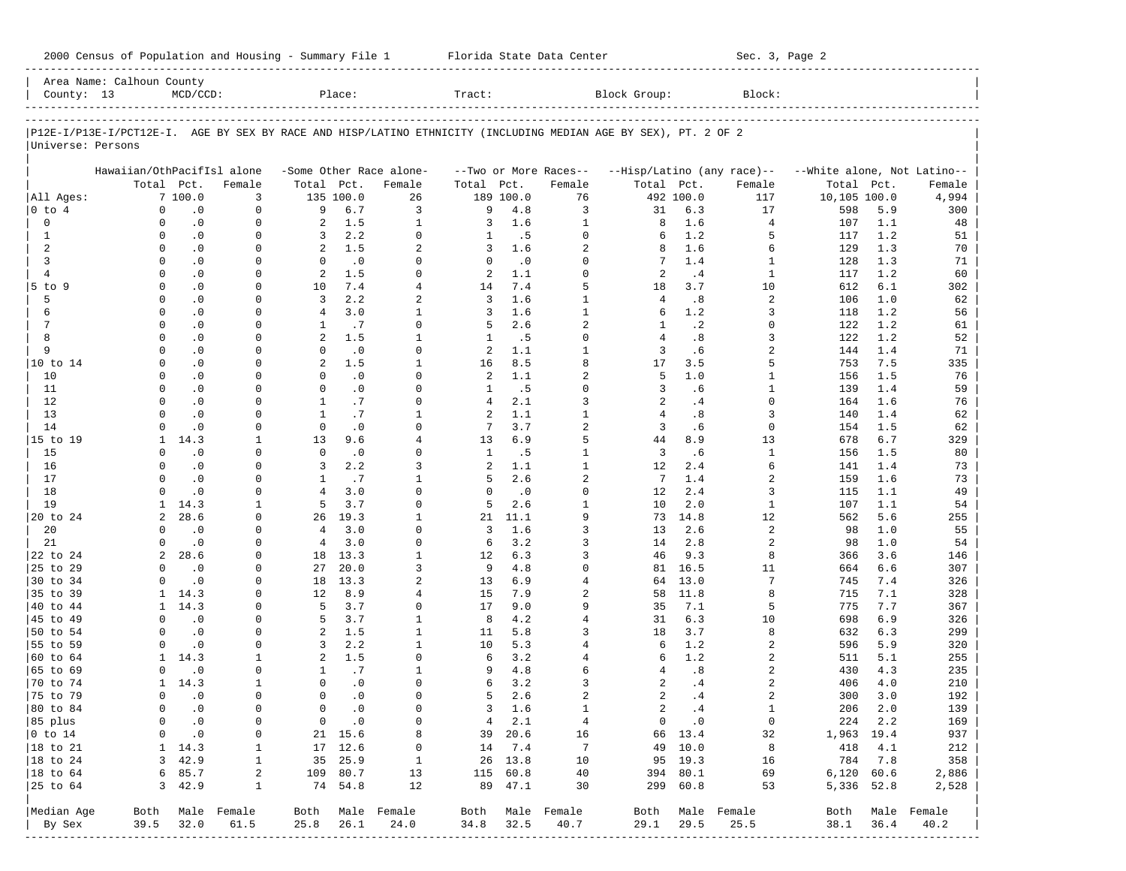|                                       | Area Name: Calhoun County                                                                                      |                             |                                     |                                |                    |                                  |                |                     |                            |                 |                    |                            |                             |            |                  |
|---------------------------------------|----------------------------------------------------------------------------------------------------------------|-----------------------------|-------------------------------------|--------------------------------|--------------------|----------------------------------|----------------|---------------------|----------------------------|-----------------|--------------------|----------------------------|-----------------------------|------------|------------------|
| County: 13                            |                                                                                                                | $MCD/CCD$ :                 |                                     |                                | Place:             |                                  | Tract:         |                     |                            | Block Group:    |                    | Block:                     |                             |            |                  |
|                                       | P12E-I/P13E-I/PCT12E-I. AGE BY SEX BY RACE AND HISP/LATINO ETHNICITY (INCLUDING MEDIAN AGE BY SEX), PT. 2 OF 2 |                             |                                     |                                |                    |                                  |                |                     |                            |                 |                    |                            |                             |            |                  |
| Universe: Persons                     |                                                                                                                |                             |                                     |                                |                    |                                  |                |                     |                            |                 |                    |                            |                             |            |                  |
|                                       | Hawaiian/OthPacifIsl alone                                                                                     |                             |                                     |                                |                    | -Some Other Race alone-          |                |                     | --Two or More Races--      |                 |                    | --Hisp/Latino (any race)-- | --White alone, Not Latino-- |            |                  |
|                                       |                                                                                                                | Total Pct.                  | Female                              | Total Pct.                     |                    | Female                           | Total Pct.     |                     | Female                     | Total Pct.      |                    | Female                     | Total                       | Pct.       | Female           |
| All Ages:                             |                                                                                                                | 7100.0                      | 3                                   |                                | 135 100.0          | 26                               |                | 189 100.0           | 76                         |                 | 492 100.0          | 117                        | 10,105 100.0                |            | 4,994            |
| $0$ to $4$                            | $\mathbf 0$                                                                                                    | $\cdot$ 0                   | $\mathbf 0$                         | 9                              | 6.7                | 3                                | 9              | 4.8                 | 3                          | 31              | 6.3                | 17                         | 598                         | 5.9        | 300              |
| 0                                     | $\Omega$                                                                                                       | $\cdot$ 0                   | $\mathbf 0$                         | 2                              | 1.5                | $\mathbf{1}$                     | 3              | 1.6                 | $1\,$                      | 8               | 1.6                | 4                          | 107                         | 1.1        | 48               |
| 1                                     | $\Omega$                                                                                                       | $\cdot$ 0                   | $\Omega$                            | 3                              | 2.2                | $\Omega$<br>$\overline{a}$       | 1              | .5                  | $\Omega$                   | 6               | 1.2                | 5                          | 117                         | 1.2        | 51               |
| 2<br>3                                | $\Omega$<br>$\Omega$                                                                                           | $\cdot$ 0<br>$\cdot$ 0      | 0<br>$\Omega$                       | 2<br>$\Omega$                  | 1.5<br>.0          | $\Omega$                         | 3<br>$\Omega$  | 1.6<br>$\cdot$ 0    | $\overline{2}$<br>$\Omega$ | 8<br>7          | 1.6<br>1.4         | 6<br>1                     | 129                         | 1.3<br>1.3 | 70<br>71         |
| $\overline{4}$                        | $\Omega$                                                                                                       | $\cdot$ 0                   | $\Omega$                            | 2                              | 1.5                | $\Omega$                         | 2              | 1.1                 | $\Omega$                   | 2               | .4                 | 1                          | 128<br>117                  | 1.2        | 60               |
| 5 to 9                                | $\Omega$                                                                                                       | $\cdot$ 0                   | $\Omega$                            | 10                             | 7.4                | 4                                | 14             | 7.4                 | 5                          | 18              | 3.7                | 10                         | 612                         | 6.1        | 302              |
| 5                                     | $\Omega$                                                                                                       | $\cdot$ 0                   | $\Omega$                            | 3                              | 2.2                | $\overline{2}$                   | 3              | 1.6                 | $\mathbf{1}$               | $\overline{4}$  | .8                 | 2                          | 106                         | 1.0        | 62               |
| 6                                     | $\Omega$                                                                                                       | $\cdot$ 0                   | $\Omega$                            | $\overline{4}$                 | 3.0                | $\mathbf{1}$                     | 3              | 1.6                 | $\mathbf{1}$               | 6               | 1.2                | 3                          | 118                         | 1.2        | 56               |
| 7                                     | $\Omega$                                                                                                       | $\cdot$ 0                   | $\Omega$                            | $\mathbf{1}$                   | .7                 | $\Omega$                         | 5              | 2.6                 | $\overline{2}$             | $\mathbf{1}$    | $\cdot$ 2          | $\Omega$                   | 122                         | 1.2        | 61               |
| 8                                     | $\Omega$                                                                                                       | $\cdot$ 0                   | $\Omega$                            | 2                              | 1.5                | $\mathbf{1}$                     | 1              | .5                  | $\Omega$                   | $\overline{4}$  | .8                 | 3                          | 122                         | 1.2        | 52               |
| 9                                     | $\Omega$                                                                                                       | $\cdot$ 0                   | $\Omega$                            | $\Omega$                       | $\cdot$ 0          | $\Omega$                         | 2              | 1.1                 | $\mathbf{1}$               | 3               | .6                 | 2                          | 144                         | 1.4        | 71               |
| 10 to 14                              | $\Omega$                                                                                                       | $\cdot$ 0                   | $\Omega$                            | 2                              | 1.5                | $\mathbf{1}$                     | 16             | 8.5                 | 8                          | 17              | 3.5                | 5                          | 753                         | 7.5        | 335              |
| 10                                    | $\Omega$                                                                                                       | $\cdot$ 0                   | 0                                   | $\Omega$                       | $\cdot$ 0          | $\Omega$                         | 2              | 1.1                 | $\overline{2}$             | 5               | 1.0                | 1                          | 156                         | 1.5        | 76               |
| 11                                    | $\Omega$                                                                                                       | $\cdot$ 0                   | $\Omega$                            | $\Omega$                       | $\cdot$ 0          | $\Omega$                         | 1              | .5                  | $\Omega$                   | 3               | . 6                | $\mathbf{1}$               | 139                         | 1.4        | 59               |
| 12                                    | $\Omega$                                                                                                       | $\cdot$ 0                   | U                                   | $\mathbf{1}$                   | .7                 | $\Omega$                         | $\overline{4}$ | 2.1                 | 3                          | $\overline{a}$  | .4                 | $\mathbf 0$                | 164                         | 1.6        | 76               |
| 13                                    | $\Omega$                                                                                                       | $\cdot$ 0                   | U                                   | $\mathbf{1}$                   | .7                 | $\mathbf{1}$                     | 2              | 1.1                 | $\mathbf{1}$               | $\overline{4}$  | .8                 | 3                          | 140                         | 1.4        | 62               |
| 14                                    | $\Omega$                                                                                                       | $\cdot$ 0                   | U                                   | $\Omega$                       | $\cdot$ 0          | $\Omega$                         | 7              | 3.7                 | $\overline{a}$             | $\overline{3}$  | .6                 | $\mathbf 0$                | 154                         | 1.5        | 62               |
| 15 to 19                              | $\mathbf{1}$                                                                                                   | 14.3                        | $\mathbf{1}$                        | 13                             | 9.6                | 4                                | 13             | 6.9                 | 5                          | 44              | 8.9                | 13                         | 678                         | 6.7        | 329              |
| 15                                    | $\Omega$                                                                                                       | $\cdot$ 0                   | 0                                   | $\Omega$                       | $\cdot$ 0          | $\Omega$                         | 1              | .5                  | $\mathbf{1}$               | $\overline{3}$  | .6                 | $\mathbf{1}$               | 156                         | 1.5        | 80               |
| 16                                    | $\Omega$                                                                                                       | $\cdot$ 0                   | $\Omega$                            | $\overline{3}$                 | 2.2                | 3                                | 2              | 1.1                 | $\mathbf{1}$               | 12              | 2.4                | 6                          | 141                         | 1.4        | 73               |
| 17                                    | $\Omega$                                                                                                       | $\cdot$ 0                   | U<br>$\Omega$                       | $\mathbf{1}$<br>$\overline{4}$ | .7<br>3.0          | $\mathbf{1}$<br>$\Omega$         | 5<br>$\Omega$  | 2.6                 | $\overline{a}$<br>$\Omega$ | $7\phantom{.0}$ | 1.4                | 2<br>3                     | 159                         | 1.6        | 73               |
| 18<br>19                              | $\Omega$<br>1                                                                                                  | $\cdot$ 0<br>14.3           | $\mathbf{1}$                        | 5                              | 3.7                | $\Omega$                         | 5              | $\cdot$ 0<br>2.6    | $\mathbf{1}$               | 12<br>10        | 2.4<br>2.0         | $\mathbf{1}$               | 115<br>107                  | 1.1<br>1.1 | 49               |
| 20 to 24                              | $\overline{a}$                                                                                                 | 28.6                        | $\Omega$                            | 26                             | 19.3               | $\mathbf{1}$                     | 21             | 11.1                | $\mathsf{Q}$               | 73              | 14.8               | 12                         | 562                         | 5.6        | 54<br>255        |
| 20                                    | $\Omega$                                                                                                       | $\cdot$ 0                   | 0                                   | $\overline{4}$                 | 3.0                | $\Omega$                         | 3              | 1.6                 | 3                          | 13              | 2.6                | 2                          | 98                          | 1.0        | 55               |
| 21                                    | $\Omega$                                                                                                       | $\cdot$ 0                   | $\Omega$                            | 4                              | 3.0                | $\Omega$                         | 6              | 3.2                 | 3                          | 14              | 2.8                | 2                          | 98                          | 1.0        | 54               |
| 22 to 24                              | $\overline{a}$                                                                                                 | 28.6                        | 0                                   | 18                             | 13.3               | $\mathbf{1}$                     | 12             | 6.3                 | 3                          | 46              | 9.3                | 8                          | 366                         | 3.6        | 146              |
| 25 to 29                              | $\Omega$                                                                                                       | $\cdot$ 0                   | $\Omega$                            | 27                             | 20.0               | 3                                | 9              | 4.8                 | $\Omega$                   | 81              | 16.5               | 11                         | 664                         | 6.6        | 307              |
| 30 to 34                              | $\Omega$                                                                                                       | $\cdot$ 0                   | 0                                   | 18                             | 13.3               | $\overline{2}$                   | 13             | 6.9                 | $\overline{4}$             | 64              | 13.0               | 7                          | 745                         | 7.4        | 326              |
| 35 to 39                              | 1                                                                                                              | 14.3                        | $\Omega$                            | 12                             | 8.9                | 4                                | 15             | 7.9                 | $\overline{2}$             | 58              | 11.8               | 8                          | 715                         | 7.1        | 328              |
| 40 to 44                              | 1                                                                                                              | 14.3                        | 0                                   | 5                              | 3.7                | $\Omega$                         | 17             | 9.0                 | 9                          | 35              | 7.1                | 5                          | 775                         | 7.7        | 367              |
| 45 to 49                              | $\Omega$                                                                                                       | $\cdot$ 0                   | $\Omega$                            | 5                              | 3.7                | $\mathbf{1}$                     | 8              | 4.2                 | $\overline{4}$             | 31              | 6.3                | 10                         | 698                         | 6.9        | 326              |
| 50 to 54                              | $\Omega$                                                                                                       | $\cdot$ 0                   | 0                                   | 2                              | 1.5                | $\mathbf{1}$                     | 11             | 5.8                 | 3                          | 18              | 3.7                | 8                          | 632                         | 6.3        | 299              |
| 55 to 59                              | $\Omega$                                                                                                       | $\cdot$ 0                   | $\Omega$                            | 3                              | 2.2                | $\mathbf{1}$                     | 10             | 5.3                 | 4                          | 6               | 1.2                | 2                          | 596                         | 5.9        | 320              |
| 60 to 64                              | $\mathbf{1}$                                                                                                   | 14.3                        | 1                                   | 2                              | 1.5                | $\Omega$                         | 6              | 3.2                 | $\overline{4}$             | 6               | 1.2                | 2                          | 511                         | 5.1        | 255              |
| 65 to 69                              | $\Omega$                                                                                                       | $\cdot$ 0                   | $\Omega$                            | 1                              | .7                 | $\mathbf{1}$                     | 9              | 4.8                 | 6                          | 4               | .8                 | 2                          | 430                         | 4.3        | 235              |
| 70 to 74                              | 1                                                                                                              | 14.3                        | 1                                   | $\Omega$                       | $\cdot$ 0          | $\Omega$                         | 6              | 3.2                 | 3                          | $\overline{a}$  | .4                 | 2                          | 406                         | 4.0        | 210              |
| 75 to 79                              | <sup>0</sup>                                                                                                   | $\cdot$ 0                   | $\Omega$                            | $\Omega$                       | $\cdot$ 0          | $\Omega$                         | 5              | 2.6                 | $\overline{a}$             | $\overline{a}$  | .4                 | $\overline{a}$             | 300                         | 3.0        | 192              |
| 80 to 84                              | $\Omega$                                                                                                       | $\cdot$ 0                   | $\mathbf 0$                         | $\Omega$                       | $\cdot$ 0          | $\Omega$                         | 3              | 1.6                 | $\mathbf{1}$               | $\overline{a}$  | .4                 | $\mathbf{1}$               | 206                         | 2.0        | 139              |
| 85 plus                               | 0                                                                                                              | $\sim$ 0                    | 0                                   |                                | $0 \qquad .0$      | 0                                |                | $4 \quad 2.1$       | $\overline{4}$             |                 | $0 \qquad .0$      | $\overline{0}$             | 224 2.2                     |            | 169              |
| $ 0 \t{to} 14$                        | 0                                                                                                              | $\cdot$ 0<br>$1 \quad 14.3$ | 0                                   |                                | 21 15.6            | 8                                |                | 39 20.6             | 16                         |                 | 66 13.4            | 32                         | 1,963 19.4                  |            | 937              |
| $ 18 \text{ to } 21$<br>$ 18$ to $24$ |                                                                                                                | 3, 42.9                     | $\mathbf{1}$<br>$\mathbf{1}$        |                                | 17 12.6<br>35 25.9 | $\overline{0}$<br>$\overline{1}$ |                | 14 7.4              | $\overline{7}$<br>10       |                 | 49 10.0<br>95 19.3 | 8<br>16                    | 418 4.1<br>784 7.8          |            | 212<br>358       |
| $ 18 \text{ to } 64$                  |                                                                                                                | 6 85.7                      | 2                                   |                                | 109 80.7           | 13                               |                | 26 13.8<br>115 60.8 | 40                         |                 | 394 80.1           | 69                         | $6,120$ $60.6$              |            | 2,886            |
| $ 25$ to $64$                         |                                                                                                                | 3, 42.9                     | $\mathbf{1}$                        |                                | 74 54.8            | 12                               |                | 89 47.1             | 30                         |                 | 299 60.8           | 53                         | 5,336 52.8                  |            | 2,528            |
| Median Age                            |                                                                                                                |                             | Both Male Female                    |                                |                    | Both Male Female                 |                |                     | Both Male Female           |                 |                    | Both Male Female           |                             |            | Both Male Female |
| By Sex                                | 39.5                                                                                                           | 32.0                        | 61.5                                | 25.8                           | 26.1               | 24.0                             | 34.8 32.5      |                     | 40.7                       | 29.1            | 29.5               | 25.5                       | 38.1                        | 36.4       | 40.2             |
|                                       |                                                                                                                |                             | ----------------------------------- |                                |                    |                                  |                |                     |                            |                 |                    |                            |                             |            |                  |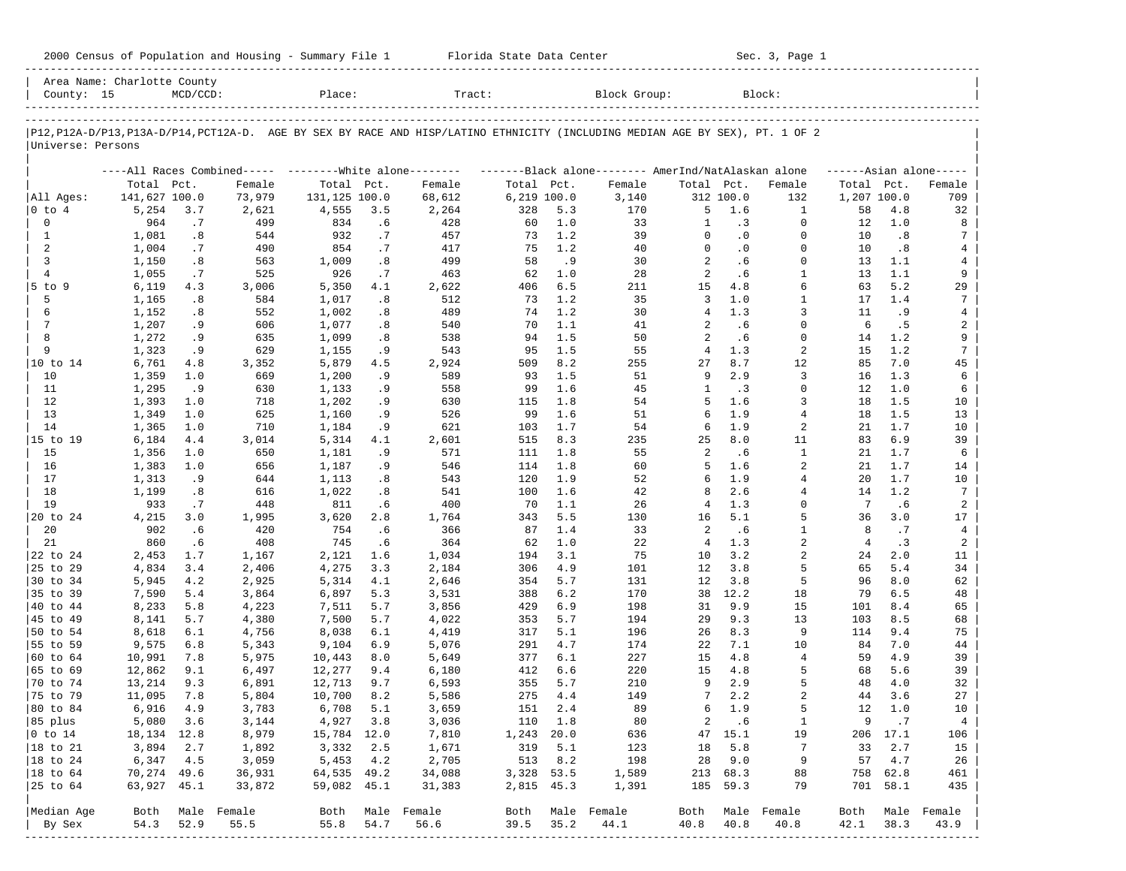| 2000 Census of Population and Housing - Summary File 1 |  | Florida State Data Center | Sec. 3, Page 1 |
|--------------------------------------------------------|--|---------------------------|----------------|
|--------------------------------------------------------|--|---------------------------|----------------|

| County: 15        | Area Name: Charlotte County | $MCD/CCD$ : |                                                         | Place:        |      | Tract:           |             |         | Block Group:                                                                                                                  |                |           | Block:           |            |             |                         |
|-------------------|-----------------------------|-------------|---------------------------------------------------------|---------------|------|------------------|-------------|---------|-------------------------------------------------------------------------------------------------------------------------------|----------------|-----------|------------------|------------|-------------|-------------------------|
|                   |                             |             |                                                         |               |      |                  |             |         |                                                                                                                               |                |           |                  |            |             |                         |
| Universe: Persons |                             |             |                                                         |               |      |                  |             |         | P12, P12A-D/P13, P13A-D/P14, PCT12A-D. AGE BY SEX BY RACE AND HISP/LATINO ETHNICITY (INCLUDING MEDIAN AGE BY SEX), PT. 1 OF 2 |                |           |                  |            |             |                         |
|                   |                             |             | ----All Races Combined----- --------White alone-------- |               |      |                  |             |         | -------Black alone------- AmerInd/NatAlaskan alone                                                                            |                |           |                  |            |             | $---Asian alone---$     |
|                   | Total Pct.                  |             | Female                                                  | Total Pct.    |      | Female           | Total Pct.  |         | Female                                                                                                                        | Total Pct.     |           | Female           | Total Pct. |             | Female                  |
| All Ages:         | 141,627 100.0               |             | 73,979                                                  | 131,125 100.0 |      | 68,612           | 6,219 100.0 |         | 3,140                                                                                                                         |                | 312 100.0 | 132              |            | 1,207 100.0 | 709                     |
| $ 0 \t{to} 4$     | 5,254                       | 3.7         | 2,621                                                   | 4,555         | 3.5  | 2,264            | 328         | 5.3     | 170                                                                                                                           | 5              | 1.6       | 1                | 58         | 4.8         | 32                      |
| $\mathbf 0$       | 964                         | .7          | 499                                                     | 834           | .6   | 428              | 60          | 1.0     | 33                                                                                                                            | 1              | .3        | $\Omega$         | 12         | 1.0         | 8                       |
| 1                 | 1,081                       | .8          | 544                                                     | 932           | .7   | 457              | 73          | 1.2     | 39                                                                                                                            | $\Omega$       | $\cdot$ 0 | $\Omega$         | 10         | .8          | 7                       |
| 2                 | 1,004                       | .7          | 490                                                     | 854           | .7   | 417              | 75          | 1.2     | 40                                                                                                                            | $\Omega$       | $\cdot$ 0 | $\Omega$         | 10         | .8          | 4                       |
| 3                 | 1,150                       | .8          | 563                                                     | 1,009         | .8   | 499              | 58          | .9      | 30                                                                                                                            | 2              | .6        | $\Omega$         | 13         | 1.1         | 4                       |
| $\overline{4}$    | 1,055                       | .7          | 525                                                     | 926           | .7   | 463              | 62          | 1.0     | 28                                                                                                                            | 2              | .6        | $\mathbf{1}$     | 13         | 1.1         | 9                       |
| $5$ to $9$        | 6,119                       | 4.3         | 3,006                                                   | 5,350         | 4.1  | 2,622            | 406         | 6.5     | 211                                                                                                                           | 15             | 4.8       | 6                | 63         | 5.2         | 29                      |
| 5                 | 1,165                       | .8          | 584                                                     | 1,017         | .8   | 512              | 73          | 1.2     | 35                                                                                                                            | 3              | 1.0       | $\mathbf{1}$     | 17         | 1.4         | 7                       |
| 6                 | 1,152                       | .8          | 552                                                     | 1,002         | .8   | 489              | 74          | 1.2     | 30                                                                                                                            | $\overline{4}$ | 1.3       | 3                | 11         | .9          | 4                       |
| 7                 | 1,207                       | . 9         | 606                                                     | 1,077         | .8   | 540              | 70          | 1.1     | 41                                                                                                                            | 2              | .6        | $\overline{0}$   | 6          | .5          | $\overline{\mathbf{c}}$ |
| 8                 | 1,272                       | . 9         | 635                                                     | 1,099         | .8   | 538              | 94          | 1.5     | 50                                                                                                                            | 2              | .6        | $\mathbf 0$      | 14         | 1.2         | 9                       |
| 9                 | 1,323                       | . 9         | 629                                                     | 1,155         | .9   | 543              | 95          | 1.5     | 55                                                                                                                            | $\overline{4}$ | 1.3       | 2                | 15         | 1.2         | 7                       |
| 10 to 14          | 6,761                       | 4.8         | 3,352                                                   | 5,879         | 4.5  | 2,924            | 509         | 8.2     | 255                                                                                                                           | 27             | 8.7       | 12               | 85         | 7.0         | 45                      |
| 10                | 1,359                       | 1.0         | 669                                                     | 1,200         | .9   | 589              | 93          | 1.5     | 51                                                                                                                            | 9              | 2.9       | 3                | 16         | 1.3         | 6                       |
| 11                | 1,295                       | .9          | 630                                                     | 1,133         | .9   | 558              | 99          | 1.6     | 45                                                                                                                            | $\mathbf{1}$   | $\cdot$ 3 | $\Omega$         | 12         | 1.0         | 6                       |
| 12                | 1,393                       | 1.0         | 718                                                     | 1,202         | .9   | 630              | 115         | 1.8     | 54                                                                                                                            | 5              | 1.6       | 3                | 18         | 1.5         | 10                      |
| 13                | 1,349                       | 1.0         | 625                                                     | 1,160         | .9   | 526              | 99          | 1.6     | 51                                                                                                                            | 6              | 1.9       | 4                | 18         | 1.5         | 13                      |
| 14                | 1,365                       | 1.0         | 710                                                     | 1,184         | . 9  | 621              | 103         | 1.7     | 54                                                                                                                            | 6              | 1.9       | 2                | 21         | 1.7         | 10                      |
| 15 to 19          | 6,184                       | 4.4         | 3,014                                                   | 5,314         | 4.1  | 2,601            | 515         | 8.3     | 235                                                                                                                           | 25             | $8.0\,$   | 11               | 83         | 6.9         | 39                      |
| 15                | 1,356                       | 1.0         | 650                                                     | 1,181         | .9   | 571              | 111         | 1.8     | 55                                                                                                                            | 2              | .6        | $\mathbf{1}$     | 21         | 1.7         | 6                       |
| 16                | 1,383                       | 1.0         | 656                                                     | 1,187         | .9   | 546              | 114         | 1.8     | 60                                                                                                                            | 5              | 1.6       | 2                | 21         | 1.7         | 14                      |
| 17                | 1,313                       | . 9         | 644                                                     | 1,113         | .8   | 543              | 120         | 1.9     | 52                                                                                                                            | 6              | 1.9       | $\overline{4}$   | 20         | 1.7         | 10                      |
| 18                | 1,199                       | .8          | 616                                                     | 1,022         | .8   | 541              | 100         | 1.6     | 42                                                                                                                            | 8              | 2.6       | 4                | 14         | 1.2         | 7                       |
| 19                | 933                         | .7          | 448                                                     | 811           | .6   | 400              | 70          | 1.1     | 26                                                                                                                            | 4              | 1.3       | $\Omega$         | 7          | . 6         | $\overline{a}$          |
| 20 to 24          | 4,215                       | 3.0         | 1,995                                                   | 3,620         | 2.8  | 1,764            | 343         | 5.5     | 130                                                                                                                           | 16             | 5.1       | 5                | 36         | 3.0         | 17                      |
| 20                | 902                         | .6          | 420                                                     | 754           | . 6  | 366              | 87          | 1.4     | 33                                                                                                                            | 2              | .6        | $\mathbf{1}$     | 8          | .7          | $\overline{4}$          |
| 21                | 860                         | .6          | 408                                                     | 745           | . 6  | 364              | 62          | 1.0     | 22                                                                                                                            | $\overline{4}$ | 1.3       | 2                | 4          | .3          | 2                       |
| 22 to 24          | 2,453                       | 1.7         | 1,167                                                   | 2,121         | 1.6  | 1,034            | 194         | 3.1     | 75                                                                                                                            | 10             | 3.2       | 2                | 24         | 2.0         | 11                      |
| 25 to 29          | 4,834                       | 3.4         | 2,406                                                   | 4,275         | 3.3  | 2,184            | 306         | 4.9     | 101                                                                                                                           | 12             | 3.8       | 5                | 65         | 5.4         | 34                      |
| 30 to 34          | 5,945                       | 4.2         | 2,925                                                   | 5,314         | 4.1  | 2,646            | 354         | 5.7     | 131                                                                                                                           | 12             | 3.8       | 5                | 96         | 8.0         | 62                      |
| 35 to 39          | 7,590                       | 5.4         | 3,864                                                   | 6,897         | 5.3  | 3,531            | 388         | 6.2     | 170                                                                                                                           | 38             | 12.2      | 18               | 79         | 6.5         | 48                      |
| 40 to 44          | 8,233                       | 5.8         | 4,223                                                   | 7,511         | 5.7  | 3,856            | 429         | 6.9     | 198                                                                                                                           | 31             | 9.9       | 15               | 101        | 8.4         | 65                      |
| 45 to 49          | 8,141                       | 5.7         | 4,380                                                   | 7,500         | 5.7  | 4,022            | 353         | 5.7     | 194                                                                                                                           | 29             | 9.3       | 13               | 103        | 8.5         | 68                      |
| 50 to 54          | 8,618                       | 6.1         | 4,756                                                   | 8,038         | 6.1  | 4,419            | 317         | 5.1     | 196                                                                                                                           | 26             | 8.3       | 9                | 114        | 9.4         | 75                      |
| 55 to 59          | 9,575                       | 6.8         | 5,343                                                   | 9,104         | 6.9  | 5,076            | 291         | 4.7     | 174                                                                                                                           | 22             | 7.1       | 10               | 84         | 7.0         | 44                      |
| 60 to 64          | 10,991                      | 7.8         | 5,975                                                   | 10,443        | 8.0  | 5,649            | 377         | 6.1     | 227                                                                                                                           | 15             | 4.8       | $\overline{4}$   | 59         | 4.9         | 39                      |
| 65 to 69          | 12,862                      | 9.1         | 6,497                                                   | 12,277        | 9.4  | 6,180            | 412         | 6.6     | 220                                                                                                                           | 15             | 4.8       | 5                | 68         | 5.6         | 39                      |
| 70 to 74          | 13,214                      | 9.3         | 6,891                                                   | 12,713        | 9.7  | 6,593            | 355         | 5.7     | 210                                                                                                                           | 9              | 2.9       | 5                | 48         | 4.0         | 32                      |
| 75 to 79          | 11,095                      | 7.8         | 5,804                                                   | 10,700        | 8.2  | 5,586            | 275         | 4.4     | 149                                                                                                                           | 7              | 2.2       | $\overline{2}$   | 44         | 3.6         | 27                      |
| 80 to 84          | 6,916                       | 4.9         | 3,783                                                   | 6,708         | 5.1  | 3,659            | 151         | 2.4     | 89                                                                                                                            | 6              | 1.9       | 5                | 12         | 1.0         | 10                      |
| 85 plus           | 5,080 3.6                   |             | 3,144                                                   | 4,927 3.8     |      | 3,036            |             | 110 1.8 | 80                                                                                                                            | $\overline{a}$ | .6        | 1                | 9          | $\cdot$ 7   | 4                       |
| $ 0 \t\t \tto 14$ | 18,134 12.8                 |             | 8,979                                                   | 15,784 12.0   |      | 7,810            | 1,243 20.0  |         | 636                                                                                                                           |                | 47 15.1   | 19               |            | 206 17.1    | 106                     |
| 18 to 21          | 3,894                       | 2.7         | 1,892                                                   | 3,332         | 2.5  | 1,671            | 319         | 5.1     | 123                                                                                                                           | 18             | 5.8       | 7                | 33         | 2.7         | 15                      |
| 18 to 24          | 6,347                       | 4.5         | 3,059                                                   | 5,453 4.2     |      | 2,705            | 513         | 8.2     | 198                                                                                                                           |                | 28 9.0    | 9                | 57         | 4.7         | 26                      |
| 18 to 64          | 70,274 49.6                 |             | 36,931                                                  | 64,535 49.2   |      | 34,088           | 3,328 53.5  |         | 1,589                                                                                                                         |                | 213 68.3  | 88               |            | 758 62.8    | 461                     |
| 25 to 64          | 63,927 45.1                 |             | 33,872                                                  | 59,082 45.1   |      | 31,383           | 2,815 45.3  |         | 1,391                                                                                                                         |                | 185 59.3  | 79               |            | 701 58.1    | 435                     |
|                   |                             |             |                                                         |               |      |                  |             |         |                                                                                                                               |                |           |                  |            |             |                         |
| Median Age        |                             |             | Both Male Female                                        |               |      | Both Male Female |             |         | Both Male Female                                                                                                              |                |           | Both Male Female | Both       |             | Male Female             |
| By Sex            | 54.3                        | 52.9        | 55.5                                                    | 55.8          | 54.7 | 56.6             | 39.5        | 35.2    | 44.1                                                                                                                          | 40.8           | 40.8      | 40.8             | 42.1       | 38.3        | 43.9                    |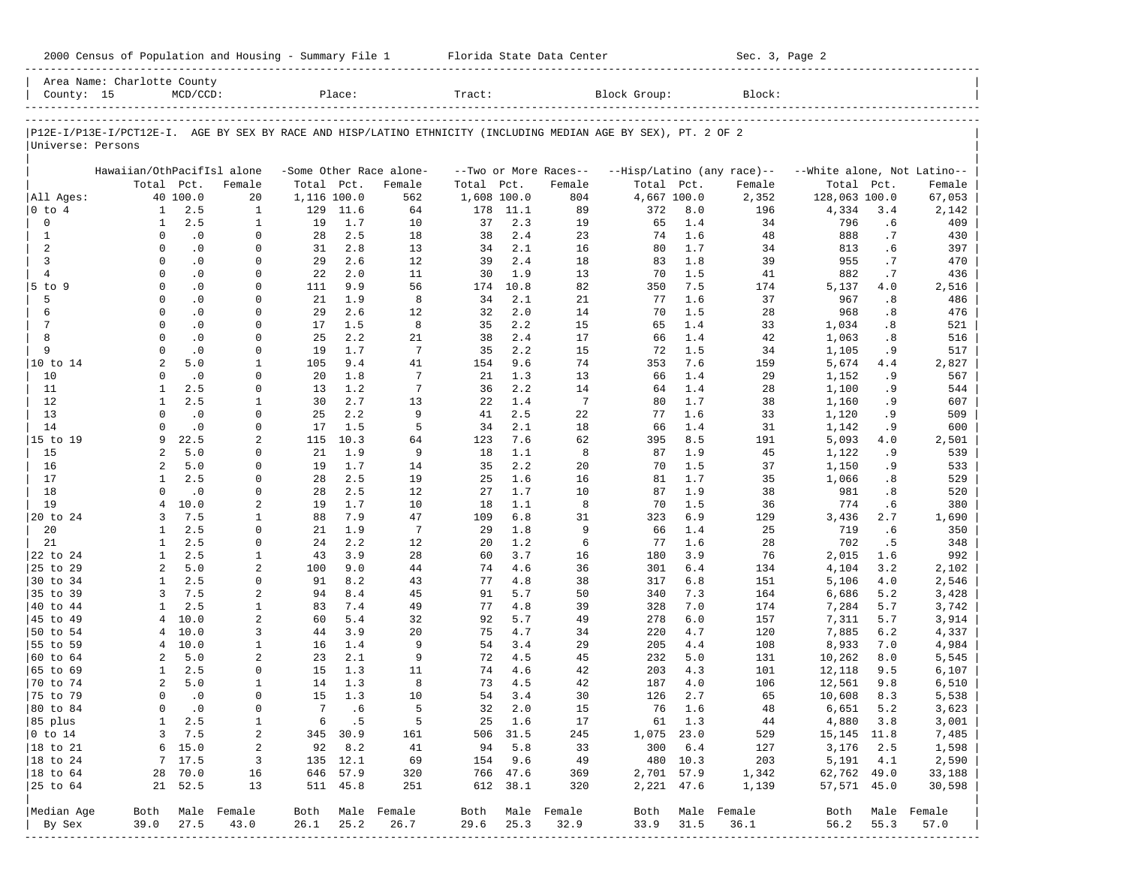|                           | Area Name: Charlotte County                                                                                    |                        |                  |                 |                 |                         |             |             |                       |              |            |                            |                             |            |                  |
|---------------------------|----------------------------------------------------------------------------------------------------------------|------------------------|------------------|-----------------|-----------------|-------------------------|-------------|-------------|-----------------------|--------------|------------|----------------------------|-----------------------------|------------|------------------|
| County: 15                |                                                                                                                | $MCD/CCD$ :            |                  |                 | Place:          |                         | Tract:      |             |                       | Block Group: |            | Block:                     |                             |            |                  |
|                           | P12E-I/P13E-I/PCT12E-I. AGE BY SEX BY RACE AND HISP/LATINO ETHNICITY (INCLUDING MEDIAN AGE BY SEX), PT. 2 OF 2 |                        |                  |                 |                 |                         |             |             |                       |              |            |                            |                             |            |                  |
| Universe: Persons         |                                                                                                                |                        |                  |                 |                 |                         |             |             |                       |              |            |                            |                             |            |                  |
|                           | Hawaiian/OthPacifIsl alone                                                                                     |                        |                  |                 |                 | -Some Other Race alone- |             |             | --Two or More Races-- |              |            | --Hisp/Latino (any race)-- | --White alone, Not Latino-- |            |                  |
|                           | Total Pct.                                                                                                     |                        | Female           | Total Pct.      |                 | Female                  | Total       | Pct.        | Female                | Total Pct.   |            | Female                     | Total                       | Pct.       | Female           |
| All Ages:                 |                                                                                                                | 40 100.0               | 20               | 1,116 100.0     |                 | 562                     | 1,608 100.0 |             | 804                   | 4,667 100.0  |            | 2,352                      | 128,063 100.0               |            | 67,053           |
| $0$ to $4$                | $\mathbf{1}$                                                                                                   | 2.5                    | $\mathbf{1}$     | 129             | 11.6            | 64                      | 178         | 11.1        | 89                    | 372          | 8.0        | 196                        | 4,334                       | 3.4        | 2,142            |
| 0                         | $\mathbf{1}$                                                                                                   | 2.5                    | $\mathbf{1}$     | 19              | 1.7             | 10                      | 37          | 2.3         | 19                    | 65           | 1.4        | 34                         | 796                         | .6         | 409              |
| $\mathbf{1}$              | 0                                                                                                              | $\cdot$ 0              | $\mathbf 0$      | 28              | 2.5             | 18                      | 38          | 2.4         | 23                    | 74           | 1.6        | 48                         | 888                         | .7         | 430              |
| 2                         | $\mathbf 0$                                                                                                    | $\cdot$ 0              | 0                | 31              | 2.8             | 13                      | 34          | 2.1         | 16                    | 80           | 1.7        | 34                         | 813                         | .6         | 397              |
| 3                         | $\Omega$                                                                                                       | $\cdot$ 0              | 0                | 29              | 2.6             | 12                      | 39          | 2.4         | 18                    | 83           | 1.8        | 39                         | 955                         | .7         | 470              |
| $\overline{4}$            | $\Omega$<br>$\Omega$                                                                                           | $\cdot$ 0              | 0                | 22              | 2.0<br>9.9      | 11                      | 30          | 1.9         | 13                    | 70           | 1.5        | 41                         | 882                         | .7         | 436              |
| 5 to 9<br>5               | $\Omega$                                                                                                       | $\cdot$ 0<br>$\cdot$ 0 | 0<br>0           | 111             | 1.9             | 56<br>8                 | 174         | 10.8<br>2.1 | 82<br>21              | 350          | 7.5<br>1.6 | 174<br>37                  | 5,137                       | 4.0<br>.8  | 2,516            |
| 6                         | $\Omega$                                                                                                       | $\cdot$ 0              | 0                | 21<br>29        | 2.6             | 12                      | 34<br>32    | 2.0         | 14                    | 77<br>70     | 1.5        | 28                         | 967<br>968                  | .8         | 486<br>476       |
| 7                         | $\Omega$                                                                                                       | $\cdot$ 0              | 0                | 17              | 1.5             | 8                       | 35          | 2.2         | 15                    | 65           | 1.4        | 33                         | 1,034                       | .8         | 521              |
| 8                         | $\Omega$                                                                                                       | $\cdot$ 0              | 0                | 25              | 2.2             | 21                      | 38          | 2.4         | 17                    | 66           | 1.4        | 42                         | 1,063                       | .8         | 516              |
| 9                         | $\Omega$                                                                                                       | $\cdot$ 0              | 0                | 19              | 1.7             | $7\phantom{.0}$         | 35          | 2.2         | 15                    | 72           | 1.5        | 34                         | 1,105                       | . 9        | 517              |
| 10 to 14                  | 2                                                                                                              | 5.0                    | 1                | 105             | 9.4             | 41                      | 154         | 9.6         | 74                    | 353          | 7.6        | 159                        | 5,674                       | 4.4        | 2,827            |
| 10                        | $\Omega$                                                                                                       | $\cdot$ 0              | 0                | 20              | 1.8             | 7                       | 21          | 1.3         | 13                    | 66           | 1.4        | 29                         | 1,152                       | . 9        | 567              |
| 11                        | 1                                                                                                              | 2.5                    | $\Omega$         | 13              | 1.2             | 7                       | 36          | 2.2         | 14                    | 64           | 1.4        | 28                         | 1,100                       | . 9        | 544              |
| 12                        | $\mathbf{1}$                                                                                                   | 2.5                    | 1                | 30              | 2.7             | 13                      | 22          | 1.4         | $7\phantom{.0}$       | 80           | 1.7        | 38                         | 1,160                       | . 9        | 607              |
| 13                        | $\Omega$                                                                                                       | $\cdot$ 0              | $\mathbf 0$      | 25              | 2.2             | 9                       | 41          | 2.5         | 22                    | 77           | 1.6        | 33                         | 1,120                       | . 9        | 509              |
| 14                        | $\Omega$                                                                                                       | $\cdot$ 0              | $\mathbf 0$      | 17              | 1.5             | 5                       | 34          | 2.1         | 18                    | 66           | 1.4        | 31                         | 1,142                       | . 9        | 600              |
| 15 to 19                  | 9                                                                                                              | 22.5                   | 2                | 115             | 10.3            | 64                      | 123         | 7.6         | 62                    | 395          | 8.5        | 191                        | 5,093                       | 4.0        | 2,501            |
| 15                        | 2                                                                                                              | 5.0                    | 0                | 21              | 1.9             | 9                       | 18          | 1.1         | 8                     | 87           | 1.9        | 45                         | 1,122                       | . 9        | 539              |
| 16                        | $\overline{a}$                                                                                                 | 5.0                    | 0                | 19              | 1.7             | 14                      | 35          | 2.2         | 20                    | 70           | 1.5        | 37                         | 1,150                       | . 9        | 533              |
| 17                        | $\mathbf{1}$                                                                                                   | 2.5                    | $\mathbf 0$      | 28              | 2.5             | 19                      | 25          | 1.6         | 16                    | 81           | 1.7        | 35                         | 1,066                       | .8         | 529              |
| 18                        | $\Omega$                                                                                                       | $\cdot$ 0              | $\Omega$         | 28              | 2.5             | 12                      | 27          | 1.7         | 10                    | 87           | 1.9        | 38                         | 981                         | .8         | 520              |
| 19                        | $\overline{4}$                                                                                                 | 10.0                   | 2                | 19              | 1.7             | 10                      | 18          | 1.1         | 8                     | 70           | 1.5        | 36                         | 774                         | .6         | 380              |
| 20 to 24                  | 3                                                                                                              | 7.5                    | 1                | 88              | 7.9             | 47                      | 109         | 6.8         | 31                    | 323          | 6.9        | 129                        | 3,436                       | 2.7        | 1,690            |
| 20                        | 1                                                                                                              | 2.5                    | $\mathbf 0$      | 21              | 1.9             | $7\phantom{.0}$         | 29          | 1.8         | 9                     | 66           | 1.4        | 25                         | 719                         | .6         | 350              |
| 21                        | 1                                                                                                              | 2.5                    | $\mathbf 0$      | 24              | 2.2             | 12                      | 20          | 1.2         | 6                     | 77           | 1.6        | 28                         | 702                         | .5         | 348              |
| 22 to 24                  | $\mathbf{1}$                                                                                                   | 2.5                    | $\mathbf{1}$     | 43              | 3.9             | 28                      | 60          | 3.7         | 16                    | 180          | 3.9        | 76                         | 2,015                       | 1.6        | 992              |
| 25 to 29                  | $\overline{a}$                                                                                                 | 5.0                    | 2                | 100             | 9.0             | 44                      | 74          | 4.6         | 36                    | 301          | 6.4        | 134                        | 4,104                       | 3.2        | 2,102            |
| 30 to 34                  | $\mathbf{1}$                                                                                                   | 2.5                    | 0                | 91              | 8.2             | 43                      | 77          | 4.8         | 38                    | 317          | 6.8        | 151                        | 5,106                       | 4.0        | 2,546            |
| 35 to 39                  | 3                                                                                                              | 7.5                    | 2                | 94              | 8.4             | 45                      | 91          | 5.7         | 50                    | 340          | 7.3        | 164                        | 6,686                       | 5.2        | 3,428            |
| 40 to 44                  | 1                                                                                                              | 2.5                    | $\mathbf{1}$     | 83              | 7.4             | 49                      | 77          | 4.8         | 39                    | 328          | 7.0        | 174                        | 7,284                       | 5.7        | 3,742            |
| 45 to 49                  | 4                                                                                                              | 10.0                   | 2                | 60              | 5.4             | 32                      | 92          | 5.7         | 49                    | 278          | 6.0        | 157                        | 7,311                       | 5.7        | 3,914            |
| 50 to 54                  | 4                                                                                                              | 10.0                   | 3                | 44              | 3.9             | 20                      | 75          | 4.7         | 34                    | 220          | 4.7        | 120                        | 7,885                       | 6.2        | 4,337            |
| 55 to 59                  | 4                                                                                                              | 10.0                   | 1                | 16              | 1.4             | 9                       | 54          | 3.4         | 29                    | 205          | 4.4        | 108                        | 8,933                       | 7.0        | 4,984            |
| 60 to 64                  | $\overline{a}$                                                                                                 | 5.0                    | 2                | 23              | 2.1             | 9                       | 72          | 4.5         | 45                    | 232          | 5.0        | 131                        | 10,262                      | 8.0        | 5,545            |
| 65 to 69                  | 1                                                                                                              | 2.5                    | $\Omega$         | 15              | 1.3             | 11                      | 74          | 4.6         | 42                    | 203          | 4.3        | 101                        | 12,118                      | 9.5        | 6,107            |
| 70 to 74<br>75 to 79      | 2<br>$\Omega$                                                                                                  | 5.0<br>$\cdot$ 0       | 1<br>$\Omega$    | 14<br>15        | 1.3<br>1.3      | 8<br>10                 | 73<br>54    | 4.5<br>3.4  | 42<br>30              | 187<br>126   | 4.0<br>2.7 | 106                        | 12,561                      | 9.8<br>8.3 | 6,510            |
| 80 to 84                  | $\mathbf 0$                                                                                                    | $\cdot$ 0              | $\mathbf 0$      | $7\phantom{.0}$ | . 6             | 5                       | 32          | 2.0         | 15                    | 76           | 1.6        | 65<br>48                   | 10,608<br>6,651             | 5.2        | 5,538<br>3,623   |
|                           |                                                                                                                |                        |                  |                 |                 |                         |             | 25 1.6      |                       |              |            | 44                         |                             |            |                  |
| 85 plus<br>$ 0 \t{to} 14$ | 3                                                                                                              | $1 \quad 2.5$<br>7.5   | 1<br>2           |                 | 6.5<br>345 30.9 | - 5<br>161              |             | 506 31.5    | 17<br>245             | 1,075 23.0   | 61 1.3     | 529                        | 4,880 3.8<br>15, 145 11.8   |            | 3,001<br>7,485   |
| $ 18 \text{ to } 21$      |                                                                                                                | 6 15.0                 | 2                |                 | 92 8.2          | 41                      |             | 94 5.8      | 33                    |              | 300 6.4    | 127                        | 3,176                       | 2.5        | 1,598            |
| $ 18 \text{ to } 24$      |                                                                                                                | 7 17.5                 | 3                |                 | 135 12.1        | 69                      |             | 154 9.6     | 49                    |              | 480 10.3   | 203                        | 5,191 4.1                   |            | 2,590            |
| $ 18 \text{ to } 64$      |                                                                                                                | 28 70.0                | 16               |                 | 646 57.9        | 320                     |             | 766 47.6    | 369                   |              | 2,701 57.9 | 1,342                      | 62,762 49.0                 |            | 33,188           |
| 25 to 64                  |                                                                                                                | 21 52.5                | 13               |                 | 511 45.8        | 251                     |             | 612 38.1    | 320                   |              | 2,221 47.6 | 1,139                      | 57,571 45.0                 |            | 30,598           |
| Median Age                |                                                                                                                |                        | Both Male Female |                 |                 | Both Male Female        |             |             | Both Male Female      |              |            | Both Male Female           |                             |            | Both Male Female |
| By Sex                    | 39.0                                                                                                           | 27.5                   | 43.0             | 26.1            | 25.2            | 26.7                    | 29.6        | 25.3        | 32.9                  | 33.9 31.5    |            | 36.1                       | 56.2                        | 55.3       | 57.0             |
|                           |                                                                                                                |                        |                  |                 |                 |                         |             |             |                       |              |            |                            |                             |            |                  |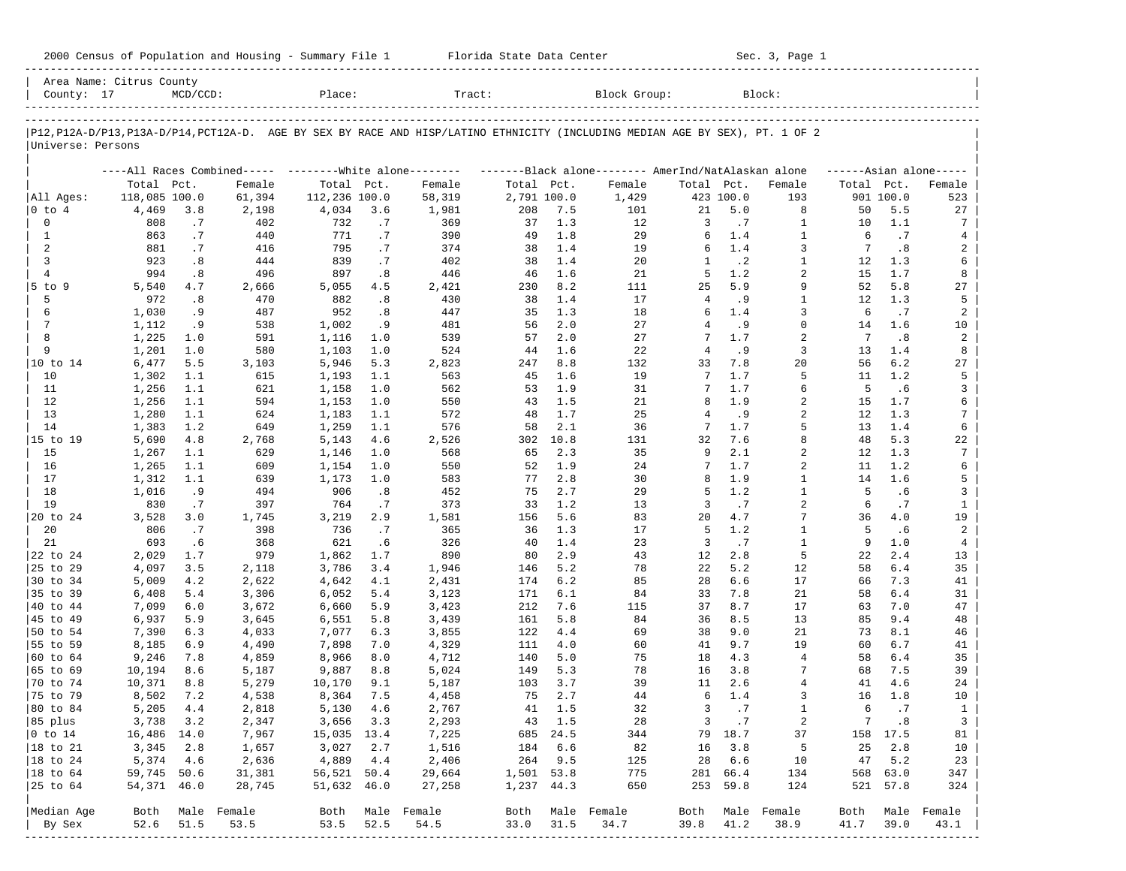| County: 17                     | Area Name: Citrus County | MCD / CCD:   |                  | Place:           |              | Tract:           |                |              | Block Group:                                                                                                                  |                |              | Block:            |            |              |                               |
|--------------------------------|--------------------------|--------------|------------------|------------------|--------------|------------------|----------------|--------------|-------------------------------------------------------------------------------------------------------------------------------|----------------|--------------|-------------------|------------|--------------|-------------------------------|
| Universe: Persons              |                          |              |                  |                  |              |                  |                |              | P12, P12A-D/P13, P13A-D/P14, PCT12A-D. AGE BY SEX BY RACE AND HISP/LATINO ETHNICITY (INCLUDING MEDIAN AGE BY SEX), PT. 1 OF 2 |                |              |                   |            |              |                               |
|                                |                          |              |                  |                  |              |                  |                |              |                                                                                                                               |                |              |                   |            |              |                               |
|                                | Total Pct.               |              | Female           | Total Pct.       |              | Female           | Total Pct.     |              | ----All Races Combined----- --------White alone-------- --------Black alone-------- AmerInd/NatAlaskan alone<br>Female        | Total Pct.     |              | Female            | Total Pct. |              | $---Asian alone---$<br>Female |
| All Ages:                      | 118,085 100.0            |              | 61,394           | 112,236 100.0    |              | 58,319           | 2,791 100.0    |              | 1,429                                                                                                                         |                | 423 100.0    | 193               |            | 901 100.0    | 523                           |
| $ 0 \t{to} 4$                  | 4,469                    | 3.8          | 2,198            | 4,034            | 3.6          | 1,981            | 208            | 7.5          | 101                                                                                                                           | 21             | 5.0          | 8                 | 50         | 5.5          | 27                            |
| $\mathbf 0$                    | 808                      | .7           | 402              | 732              | .7           | 369              | 37             | 1.3          | 12                                                                                                                            | 3              | .7           | $\mathbf{1}$      | 10         | 1.1          | 7                             |
| 1                              | 863                      | .7           | 440              | 771              | .7           | 390              | 49             | 1.8          | 29                                                                                                                            | 6              | 1.4          | 1                 | 6          | .7           | 4                             |
| 2                              | 881                      | .7           | 416              | 795              | .7           | 374              | 38             | 1.4          | 19                                                                                                                            | 6              | 1.4          | 3                 | 7          | .8           | 2                             |
| 3                              | 923                      | .8           | 444              | 839              | .7           | 402              | 38             | 1.4          | 20                                                                                                                            | 1              | $\cdot$ 2    | $\mathbf{1}$      | 12         | 1.3          | 6                             |
| 4                              | 994                      | .8           | 496              | 897              | .8           | 446              | 46             | 1.6          | 21                                                                                                                            | 5              | 1.2          | 2                 | 15         | 1.7          | 8                             |
| $5$ to $9$<br>5                | 5,540<br>972             | 4.7          | 2,666            | 5,055            | 4.5          | 2,421            | 230            | 8.2          | 111<br>17                                                                                                                     | 25<br>4        | 5.9          | 9<br>$\mathbf{1}$ | 52         | 5.8          | 27<br>5                       |
| 6                              | 1,030                    | .8<br>.9     | 470<br>487       | 882<br>952       | .8<br>.8     | 430<br>447       | 38<br>35       | 1.4<br>1.3   | 18                                                                                                                            | 6              | .9<br>1.4    | 3                 | 12<br>6    | 1.3<br>.7    | 2                             |
| 7                              | 1,112                    | .9           | 538              | 1,002            | .9           | 481              | 56             | 2.0          | 27                                                                                                                            | $\overline{4}$ | .9           | $\mathbf 0$       | 14         | 1.6          | 10                            |
| 8                              | 1,225                    | 1.0          | 591              | 1,116            | 1.0          | 539              | 57             | 2.0          | 27                                                                                                                            | 7              | 1.7          | 2                 | 7          | .8           | 2                             |
| 9                              | 1,201                    | 1.0          | 580              | 1,103            | 1.0          | 524              | 44             | 1.6          | 22                                                                                                                            | 4              | .9           | 3                 | 13         | 1.4          | 8                             |
| 10 to 14                       | 6,477                    | 5.5          | 3,103            | 5,946            | 5.3          | 2,823            | 247            | 8.8          | 132                                                                                                                           | 33             | 7.8          | 20                | 56         | 6.2          | 27                            |
| 10                             | 1,302                    | 1.1          | 615              | 1,193            | 1.1          | 563              | 45             | 1.6          | 19                                                                                                                            | 7              | 1.7          | 5                 | 11         | 1.2          | 5                             |
| 11                             | 1,256                    | 1.1          | 621              | 1,158            | 1.0          | 562              | 53             | 1.9          | 31                                                                                                                            | 7              | 1.7          | 6                 | 5          | .6           | 3                             |
| 12                             | 1,256                    | 1.1          | 594              | 1,153            | 1.0          | 550              | 43             | 1.5          | 21                                                                                                                            | 8              | 1.9          | 2                 | 15         | 1.7          | 6                             |
| 13                             | 1,280                    | 1.1          | 624              | 1,183            | 1.1          | 572              | 48             | 1.7          | 25                                                                                                                            | 4              | . 9          | 2                 | 12         | 1.3          | 7                             |
| 14                             | 1,383                    | 1.2          | 649              | 1,259            | 1.1          | 576              | 58             | 2.1          | 36                                                                                                                            | 7              | 1.7          | 5                 | 13         | 1.4          | 6                             |
| 15 to 19                       | 5,690                    | 4.8          | 2,768            | 5,143            | 4.6          | 2,526            | 302            | 10.8         | 131                                                                                                                           | 32             | 7.6          | 8                 | 48         | 5.3          | 22                            |
| 15<br>16                       | 1,267                    | 1.1          | 629              | 1,146            | 1.0          | 568<br>550       | 65             | 2.3<br>1.9   | 35                                                                                                                            | 9<br>7         | 2.1<br>1.7   | 2<br>2            | 12         | 1.3<br>1.2   | 7                             |
| 17                             | 1,265<br>1,312           | 1.1<br>1.1   | 609<br>639       | 1,154<br>1,173   | 1.0<br>1.0   | 583              | 52<br>77       | 2.8          | 24<br>30                                                                                                                      | 8              | 1.9          | $\mathbf{1}$      | 11<br>14   | 1.6          | 6<br>5                        |
| 18                             | 1,016                    | .9           | 494              | 906              | .8           | 452              | 75             | 2.7          | 29                                                                                                                            | 5              | 1.2          | $\mathbf{1}$      | 5          | . 6          | 3                             |
| 19                             | 830                      | .7           | 397              | 764              | .7           | 373              | 33             | 1.2          | 13                                                                                                                            | 3              | .7           | 2                 | 6          | .7           | $\mathbf{1}$                  |
| 20 to 24                       | 3,528                    | 3.0          | 1,745            | 3,219            | 2.9          | 1,581            | 156            | 5.6          | 83                                                                                                                            | 20             | 4.7          | 7                 | 36         | 4.0          | 19                            |
| 20                             | 806                      | .7           | 398              | 736              | .7           | 365              | 36             | 1.3          | 17                                                                                                                            | 5              | 1.2          | $\mathbf{1}$      | 5          | .6           | 2                             |
| 21                             | 693                      | .6           | 368              | 621              | .6           | 326              | 40             | 1.4          | 23                                                                                                                            | 3              | .7           | 1                 | 9          | 1.0          | 4                             |
| 22 to 24                       | 2,029                    | 1.7          | 979              | 1,862            | 1.7          | 890              | 80             | 2.9          | 43                                                                                                                            | 12             | 2.8          | 5                 | 22         | 2.4          | 13                            |
| 25 to 29                       | 4,097                    | 3.5          | 2,118            | 3,786            | 3.4          | 1,946            | 146            | 5.2          | 78                                                                                                                            | 22             | 5.2          | 12                | 58         | 6.4          | 35                            |
| 30 to 34                       | 5,009                    | 4.2          | 2,622            | 4,642            | 4.1          | 2,431            | 174            | 6.2          | 85                                                                                                                            | 28             | 6.6          | 17                | 66         | 7.3          | 41                            |
| 35 to 39                       | 6,408                    | 5.4          | 3,306            | 6,052            | 5.4          | 3,123            | 171            | 6.1          | 84                                                                                                                            | 33             | 7.8          | 21                | 58         | 6.4          | 31                            |
| 40 to 44                       | 7,099                    | 6.0          | 3,672            | 6,660            | 5.9          | 3,423            | 212            | 7.6          | 115                                                                                                                           | 37             | 8.7          | 17                | 63         | 7.0          | 47                            |
| 45 to 49<br>50 to 54           | 6,937<br>7,390           | 5.9<br>6.3   | 3,645<br>4,033   | 6,551<br>7,077   | 5.8<br>6.3   | 3,439<br>3,855   | 161<br>122     | 5.8<br>4.4   | 84<br>69                                                                                                                      | 36<br>38       | 8.5<br>9.0   | 13<br>21          | 85<br>73   | 9.4<br>8.1   | 48<br>46                      |
| 55 to 59                       | 8,185                    | 6.9          | 4,490            | 7,898            | 7.0          | 4,329            | 111            | 4.0          | 60                                                                                                                            | 41             | 9.7          | 19                | 60         | 6.7          | 41                            |
| 60 to 64                       | 9,246                    | 7.8          | 4,859            | 8,966            | 8.0          | 4,712            | 140            | 5.0          | 75                                                                                                                            | 18             | 4.3          | 4                 | 58         | 6.4          | 35                            |
| 65 to 69                       | 10,194                   | 8.6          | 5,187            | 9,887            | 8.8          | 5,024            | 149            | 5.3          | 78                                                                                                                            | 16             | 3.8          | 7                 | 68         | 7.5          | 39                            |
| 70 to 74                       | 10,371                   | 8.8          | 5,279            | 10,170           | 9.1          | 5,187            | 103            | 3.7          | 39                                                                                                                            | 11             | 2.6          | $\overline{4}$    | 41         | 4.6          | 24                            |
| 75 to 79                       | 8,502                    | 7.2          | 4,538            | 8,364            | 7.5          | 4,458            | 75             | 2.7          | 44                                                                                                                            | 6              | 1.4          | 3                 | 16         | 1.8          | 10                            |
| 80 to 84                       | 5,205                    | 4.4          | 2,818            | 5,130            | 4.6          | 2,767            | 41             | 1.5          | 32                                                                                                                            | 3              | $\cdot$ 7    | $\mathbf{1}$      | 6          | .7           | $\mathbf{1}$                  |
| 85 plus                        | 3,738                    | 3.2          | 2,347            | 3,656            | 3.3          | 2,293            | 43             | 1.5          | 28                                                                                                                            | 3              | .7           | 2                 | 7          | .8           | 3                             |
| $0$ to $14$                    | 16,486                   | 14.0         | 7,967            | 15,035           | 13.4         | 7,225            | 685            | 24.5         | 344                                                                                                                           | 79             | 18.7         | 37                | 158        | 17.5         | 81                            |
| 18 to 21                       | 3,345                    | 2.8          | 1,657            | 3,027            | 2.7          | 1,516            | 184            | 6.6          | 82                                                                                                                            | 16             | 3.8          | 5                 | 25         | 2.8          | 10                            |
| 18 to 24                       | 5,374                    | 4.6          | 2,636            | 4,889            | $4.4$        | 2,406            | 264            | 9.5          | 125                                                                                                                           | 28             | 6.6          | 10                | 47         | 5.2          | 23                            |
| $ 18$ to $64$<br>$ 25$ to $64$ | 59,745<br>54,371         | 50.6<br>46.0 | 31,381<br>28,745 | 56,521<br>51,632 | 50.4<br>46.0 | 29,664<br>27,258 | 1,501<br>1,237 | 53.8<br>44.3 | 775<br>650                                                                                                                    | 281<br>253     | 66.4<br>59.8 | 134<br>124        | 568<br>521 | 63.0<br>57.8 | 347<br>324                    |
| Median Age                     | Both                     | Male         | Female           | Both             | Male         | Female           | Both           | Male         | Female                                                                                                                        | Both           | Male         | Female            | Both       | Male         | Female                        |
| By Sex                         | 52.6                     | 51.5         | 53.5             | 53.5             | 52.5         | 54.5             | 33.0           | 31.5         | 34.7                                                                                                                          | 39.8           | 41.2         | 38.9              | 41.7       | 39.0         | 43.1                          |

2000 Census of Population and Housing - Summary File 1 Florida State Data Center Sec. 3, Page 1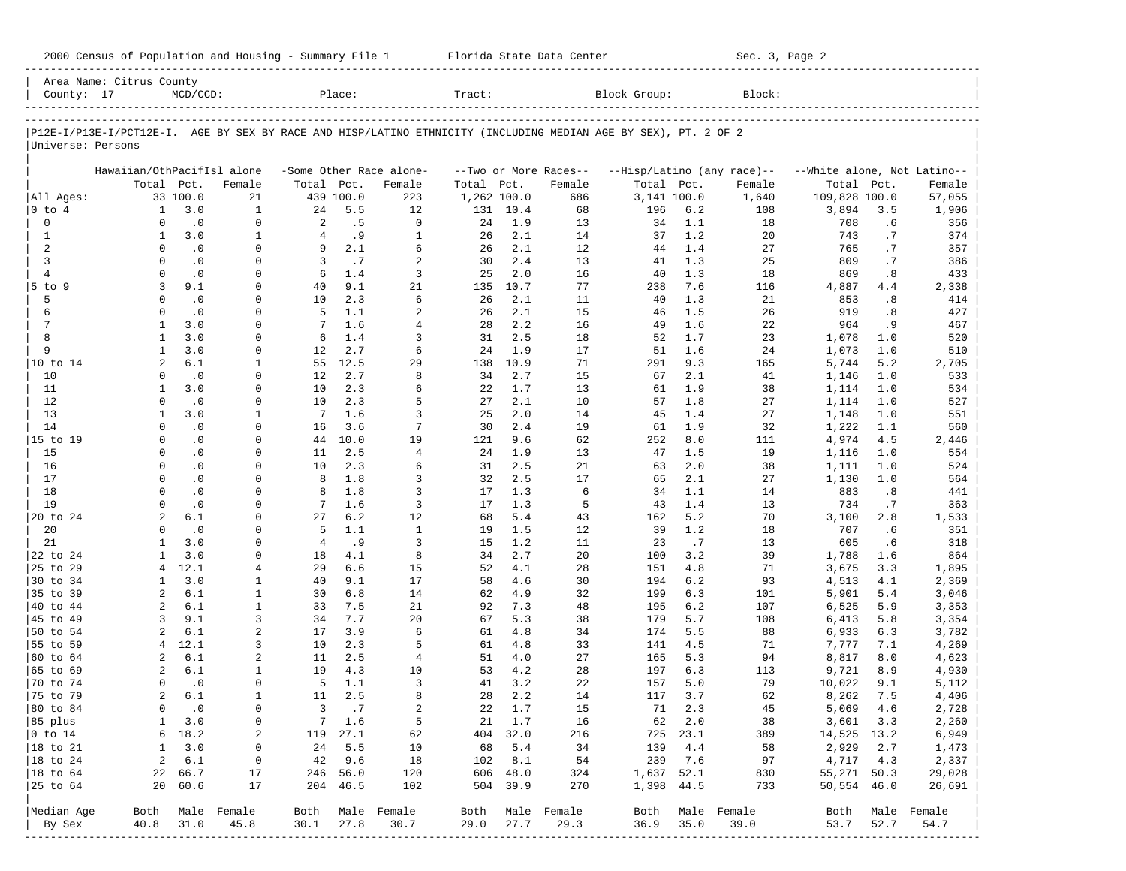|                      | Area Name: Citrus County                                                                                       |               |                          |                   |            |                          |             |            |                          |              |            |                            |                             |            |                          |
|----------------------|----------------------------------------------------------------------------------------------------------------|---------------|--------------------------|-------------------|------------|--------------------------|-------------|------------|--------------------------|--------------|------------|----------------------------|-----------------------------|------------|--------------------------|
| County: 17           |                                                                                                                | $MCD/CCD$ :   |                          |                   | Place:     |                          | Tract:      |            |                          | Block Group: |            | Block:                     |                             |            |                          |
|                      | P12E-I/P13E-I/PCT12E-I. AGE BY SEX BY RACE AND HISP/LATINO ETHNICITY (INCLUDING MEDIAN AGE BY SEX), PT. 2 OF 2 |               |                          |                   |            |                          |             |            |                          |              |            |                            |                             |            |                          |
| Universe: Persons    |                                                                                                                |               |                          |                   |            |                          |             |            |                          |              |            |                            |                             |            |                          |
|                      | Hawaiian/OthPacifIsl alone                                                                                     |               |                          |                   |            | -Some Other Race alone-  |             |            | --Two or More Races--    |              |            | --Hisp/Latino (any race)-- | --White alone, Not Latino-- |            |                          |
|                      | Total Pct.                                                                                                     |               | Female                   | Total Pct.        |            | Female                   | Total Pct.  |            | Female                   | Total Pct.   |            | Female                     | Total                       | Pct.       | Female                   |
| All Ages:            |                                                                                                                | 33 100.0      | 21                       |                   | 439 100.0  | 223                      | 1,262 100.0 |            | 686                      | 3,141 100.0  |            | 1,640                      | 109,828 100.0               |            | 57,055                   |
| $0$ to $4$           | $\mathbf{1}$                                                                                                   | 3.0           | $\mathbf{1}$             | 24                | 5.5        | 12                       | 131         | 10.4       | 68                       | 196          | 6.2        | 108                        | 3,894                       | 3.5        | 1,906                    |
| 0                    | $\Omega$                                                                                                       | $\cdot$ 0     | $\mathbf 0$              | 2                 | .5         | $\Omega$                 | 24          | 1.9        | 13                       | 34           | 1.1        | 18                         | 708                         | .6         | 356                      |
| $\mathbf{1}$         | 1                                                                                                              | 3.0           | $\mathbf{1}$             | $\overline{4}$    | .9         | $\mathbf{1}$             | 26          | 2.1        | 14                       | 37           | 1.2        | 20                         | 743                         | .7         | 374                      |
| 2                    | $\Omega$                                                                                                       | $\cdot$ 0     | $\mathbf 0$              | 9                 | 2.1        | 6                        | 26          | 2.1        | 12                       | 44           | 1.4        | 27                         | 765                         | .7         | 357                      |
| 3                    | $\Omega$                                                                                                       | $\cdot$ 0     | 0                        | 3                 | .7         | $\overline{a}$           | 30          | 2.4        | 13                       | 41           | 1.3        | 25                         | 809                         | .7         | 386                      |
| $\overline{4}$       | $\Omega$                                                                                                       | $\cdot$ 0     | 0                        | 6                 | 1.4        | 3                        | 25          | 2.0        | 16                       | 40           | 1.3        | 18                         | 869                         | .8         | 433                      |
| 5 to 9               | 3                                                                                                              | 9.1           | $\Omega$                 | 40                | 9.1        | 21                       | 135         | 10.7       | 77                       | 238          | 7.6        | 116                        | 4,887                       | 4.4        | 2,338                    |
| 5                    | $\Omega$                                                                                                       | $\cdot$ 0     | 0                        | 10                | 2.3        | 6                        | 26          | 2.1        | 11                       | 40           | 1.3        | 21                         | 853                         | .8         | 414                      |
| 6                    | $\Omega$                                                                                                       | $\cdot$ 0     | 0                        | 5                 | 1.1        | 2                        | 26          | 2.1        | 15                       | 46           | 1.5        | 26                         | 919                         | .8         | 427                      |
| 7                    | $\mathbf{1}$                                                                                                   | 3.0           | 0                        | 7                 | 1.6        | $\overline{4}$           | 28          | 2.2        | 16                       | 49           | 1.6        | 22                         | 964                         | . 9        | 467                      |
| 8                    | 1                                                                                                              | 3.0           | 0                        | 6                 | 1.4        | 3                        | 31          | 2.5        | 18                       | 52           | 1.7        | 23                         | 1,078                       | 1.0        | 520                      |
| 9                    | $\mathbf{1}$                                                                                                   | 3.0           | $\mathbf 0$              | 12                | 2.7        | 6                        | 24          | 1.9        | 17                       | 51           | 1.6        | 24                         | 1,073                       | 1.0        | 510                      |
| 10 to 14             | 2                                                                                                              | 6.1           | 1                        | 55                | 12.5       | 29                       | 138         | 10.9       | 71                       | 291          | 9.3        | 165                        | 5,744                       | 5.2        | 2,705                    |
| 10                   | $\Omega$                                                                                                       | $\cdot$ 0     | 0                        | $12 \overline{ }$ | 2.7        | 8                        | 34          | 2.7        | 15                       | 67           | 2.1        | 41                         | 1,146                       | 1.0        | 533                      |
| 11                   | 1                                                                                                              | 3.0           | $\Omega$                 | 10                | 2.3        | 6                        | 22          | 1.7        | 13                       | 61           | 1.9        | 38                         | 1,114                       | 1.0        | 534                      |
| 12                   | $\Omega$                                                                                                       | $\cdot$ 0     | 0                        | 10                | 2.3        | 5                        | 27          | 2.1        | 10                       | 57           | 1.8        | 27                         | 1,114                       | 1.0        | 527                      |
| 13                   | 1                                                                                                              | 3.0           | 1                        | $7\phantom{.0}$   | 1.6        | 3                        | 25          | 2.0        | 14                       | 45           | 1.4        | 27                         | 1,148                       | 1.0        | 551                      |
| 14                   | $\Omega$                                                                                                       | $\cdot$ 0     | $\mathbf 0$              | 16                | 3.6        | 7                        | 30          | 2.4        | 19                       | 61           | 1.9        | 32                         | 1,222                       | 1.1        | 560                      |
| 15 to 19             | $\Omega$                                                                                                       | $\cdot$ 0     | $\Omega$                 | 44                | 10.0       | 19                       | 121         | 9.6        | 62                       | 252          | 8.0        | 111                        | 4,974                       | 4.5        | 2,446                    |
| 15                   | $\Omega$                                                                                                       | $\cdot$ 0     | 0                        | 11                | 2.5        | $\overline{4}$           | 24          | 1.9        | 13                       | 47           | 1.5        | 19                         | 1,116                       | 1.0        | 554                      |
| 16                   | $\Omega$                                                                                                       | $\cdot$ 0     | $\Omega$                 | 10                | 2.3        | 6                        | 31          | 2.5        | 21                       | 63           | 2.0        | 38                         | 1,111                       | 1.0        | 524                      |
| 17                   | $\Omega$                                                                                                       | $\cdot$ 0     | 0                        | 8                 | 1.8        | 3                        | 32          | 2.5        | 17                       | 65           | 2.1        | 27                         | 1,130                       | 1.0        | 564                      |
| 18                   | $\Omega$                                                                                                       | $\cdot$ 0     | $\Omega$                 | 8                 | 1.8        | 3                        | 17          | 1.3        | 6                        | 34           | 1.1        | 14                         | 883                         | .8         | 441                      |
| 19                   | $\Omega$                                                                                                       | $\cdot$ 0     | 0                        | 7                 | 1.6        | 3                        | 17          | 1.3        | 5                        | 43           | 1.4        | 13                         | 734                         | .7         | 363                      |
| 20 to 24             | $\overline{a}$                                                                                                 | 6.1           | 0                        | 27                | 6.2        | 12                       | 68          | 5.4        | 43                       | 162          | 5.2        | 70                         | 3,100                       | 2.8        | 1,533                    |
| 20                   | $\Omega$                                                                                                       | $\cdot$ 0     | 0                        | 5                 | 1.1        | $\mathbf{1}$             | 19          | 1.5        | 12                       | 39           | 1.2        | 18                         | 707                         | .6         | 351                      |
| 21                   | 1                                                                                                              | 3.0           | 0                        | $\overline{4}$    | .9         | 3                        | 15          | 1.2        | 11                       | 23           | .7         | 13                         | 605                         | . 6        | 318                      |
| 22 to 24             | $\mathbf{1}$                                                                                                   | 3.0           | 0                        | 18                | 4.1        | 8                        | 34          | 2.7        | 20                       | 100          | 3.2        | 39                         | 1,788                       | 1.6        | 864                      |
| 25 to 29             | 4                                                                                                              | 12.1<br>3.0   | 4                        | 29                | 6.6        | 15                       | 52          | 4.1<br>4.6 | 28                       | 151          | 4.8        | 71                         | 3,675                       | 3.3        | 1,895                    |
| 30 to 34<br>35 to 39 | 1<br>2                                                                                                         | 6.1           | 1<br>$\mathbf{1}$        | 40<br>30          | 9.1<br>6.8 | 17                       | 58          | 4.9        | 30<br>32                 | 194          | 6.2<br>6.3 | 93<br>101                  | 4,513                       | 4.1<br>5.4 | 2,369                    |
| 40 to 44             | 2                                                                                                              | 6.1           | $\mathbf{1}$             | 33                | 7.5        | 14<br>21                 | 62<br>92    | 7.3        | 48                       | 199<br>195   | 6.2        | 107                        | 5,901<br>6,525              | 5.9        | 3,046<br>3,353           |
| 45 to 49             | 3                                                                                                              | 9.1           | 3                        | 34                | 7.7        | 20                       | 67          | 5.3        | 38                       | 179          | 5.7        | 108                        | 6,413                       | 5.8        | 3,354                    |
| 50 to 54             | $\overline{a}$                                                                                                 | 6.1           | 2                        | 17                | 3.9        | 6                        | 61          | 4.8        | 34                       | 174          | 5.5        | 88                         | 6,933                       | 6.3        | 3,782                    |
| 55 to 59             | $\overline{4}$                                                                                                 | 12.1          | 3                        | 10                | 2.3        | 5                        | 61          | 4.8        | 33                       | 141          | 4.5        | 71                         | 7,777                       | 7.1        | 4,269                    |
| 60 to 64             | 2                                                                                                              | 6.1           | 2                        | 11                | 2.5        | $\overline{4}$           | 51          | 4.0        | 27                       | 165          | 5.3        | 94                         | 8,817                       | 8.0        | 4,623                    |
| 65 to 69             | 2                                                                                                              | 6.1           | 1                        | 19                | 4.3        | 10                       | 53          | 4.2        | 28                       | 197          | 6.3        | 113                        | 9,721                       | 8.9        | 4,930                    |
| 70 to 74             | $\Omega$                                                                                                       | $\cdot$ 0     | 0                        | 5                 | 1.1        | 3                        | 41          | 3.2        | 22                       | 157          | 5.0        | 79                         | 10,022                      | 9.1        | 5,112                    |
| 75 to 79             | 2                                                                                                              | 6.1           | 1                        | 11                | 2.5        | 8                        | 28          | 2.2        | 14                       | 117          | 3.7        | 62                         | 8,262                       | 7.5        | 4,406                    |
| 80 to 84             | $\Omega$                                                                                                       | $\cdot$ 0     | $\mathbf 0$              | 3                 | .7         | $\overline{a}$           | 22          | 1.7        | 15                       | 71           | 2.3        | 45                         | 5,069                       | 4.6        | 2,728                    |
| 85 plus              |                                                                                                                | $1 \quad 3.0$ | 0                        |                   | 7 1.6      | 5                        |             | 21 1.7     | 16                       |              | 62 2.0     | 38                         | 3,601 3.3                   |            | 2,260                    |
| $ 0 \t{to} 14$       |                                                                                                                | 6 18.2        | 2                        |                   | 119 27.1   | 62                       |             | 404 32.0   | 216                      |              | 725 23.1   | 389                        | 14,525 13.2                 |            | 6,949                    |
| $ 18 \text{ to } 21$ | $\mathbf{1}$                                                                                                   | 3.0           | 0                        |                   | 24 5.5     | 10                       | 68          | 5.4        | 34                       | 139          | 4.4        | 58                         | 2,929                       | 2.7        | 1,473                    |
| $ 18 \text{ to } 24$ | $\overline{a}$                                                                                                 | 6.1           | 0                        |                   | 42 9.6     | 18                       |             | 102 8.1    | 54                       | 239          | 7.6        | 97                         | 4,717 4.3                   |            | 2,337                    |
| $ 18 \text{ to } 64$ |                                                                                                                | 22 66.7       | 17                       |                   | 246 56.0   | 120                      |             | 606 48.0   | 324                      |              | 1,637 52.1 | 830                        | 55,271 50.3                 |            | 29,028                   |
| 25 to 64             |                                                                                                                | 20 60.6       | 17                       |                   | 204 46.5   | 102                      |             | 504 39.9   | 270                      |              | 1,398 44.5 | 733                        | 50,554 46.0                 |            | 26,691                   |
|                      |                                                                                                                |               |                          |                   |            |                          |             |            |                          |              |            |                            |                             |            |                          |
| Median Age<br>By Sex | 40.8                                                                                                           | 31.0          | Both Male Female<br>45.8 | 30.1              | 27.8       | Both Male Female<br>30.7 | 29.0        | 27.7       | Both Male Female<br>29.3 | Both<br>36.9 | 35.0       | Male Female<br>39.0        | 53.7                        | 52.7       | Both Male Female<br>54.7 |
|                      |                                                                                                                |               | --------------           |                   |            |                          |             |            |                          |              |            |                            |                             |            |                          |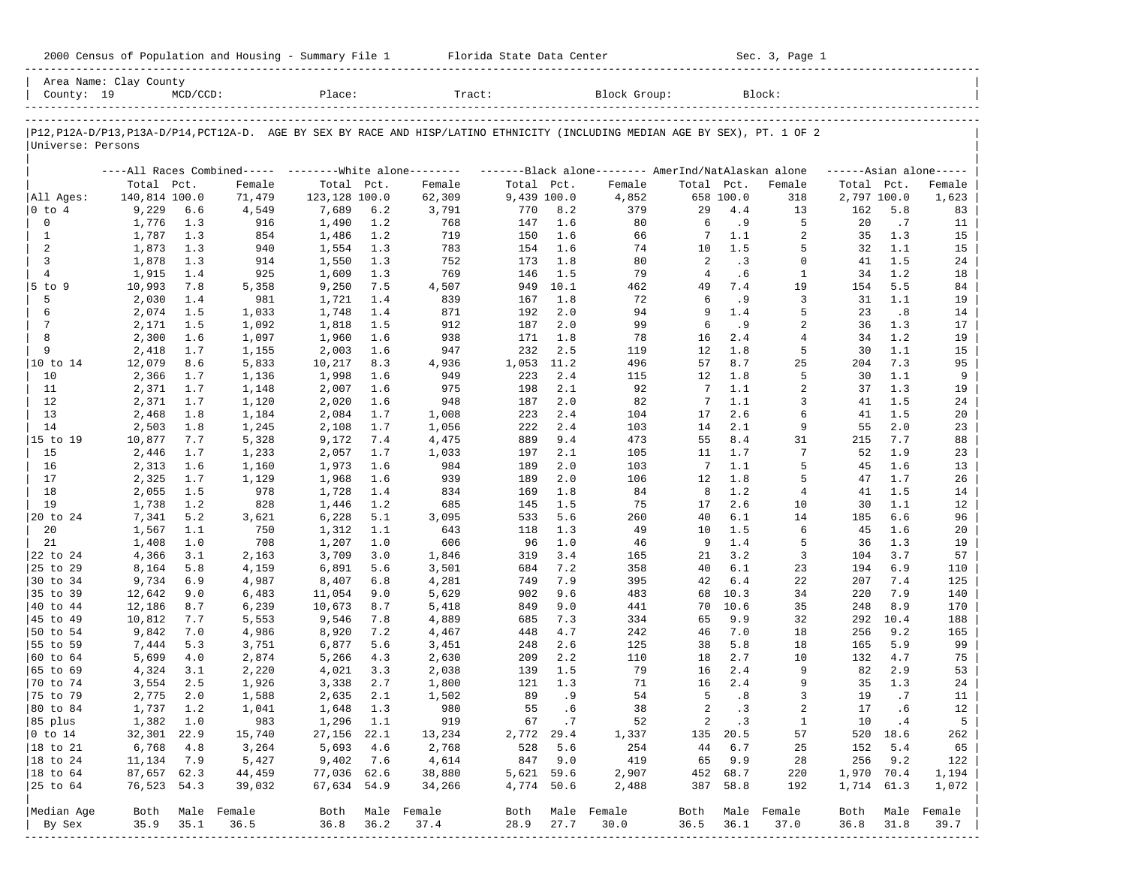| 2000 Census of Population and Housing - Summary File 1 |  | Florida State Data Center | Sec. 3, Page 1 |
|--------------------------------------------------------|--|---------------------------|----------------|
|--------------------------------------------------------|--|---------------------------|----------------|

| County: 19        | Area Name: Clay County | $MCD/CCD$ : |                  | Place:                      |      | Tract:                                                                                                                        |                           |         | Block Group: |            |           | Block:           |                           |            |                     |
|-------------------|------------------------|-------------|------------------|-----------------------------|------|-------------------------------------------------------------------------------------------------------------------------------|---------------------------|---------|--------------|------------|-----------|------------------|---------------------------|------------|---------------------|
|                   |                        |             |                  |                             |      |                                                                                                                               |                           |         |              |            |           |                  |                           |            |                     |
| Universe: Persons |                        |             |                  |                             |      | P12, P12A-D/P13, P13A-D/P14, PCT12A-D. AGE BY SEX BY RACE AND HISP/LATINO ETHNICITY (INCLUDING MEDIAN AGE BY SEX), PT. 1 OF 2 |                           |         |              |            |           |                  |                           |            |                     |
|                   |                        |             |                  |                             |      |                                                                                                                               |                           |         |              |            |           |                  |                           |            |                     |
|                   | Total Pct.             |             |                  |                             |      | ----All Races Combined----- --------White alone-------- --------Black alone-------- AmerInd/NatAlaskan alone                  |                           |         | Female       | Total Pct. |           |                  |                           |            | $---Asian alone---$ |
| All Ages:         | 140,814 100.0          |             | Female<br>71,479 | Total Pct.<br>123,128 100.0 |      | Female<br>62,309                                                                                                              | Total Pct.<br>9,439 100.0 |         | 4,852        |            | 658 100.0 | Female<br>318    | Total Pct.<br>2,797 100.0 |            | Female<br>1,623     |
| 0 to 4            | 9,229                  | 6.6         | 4,549            | 7,689                       | 6.2  | 3,791                                                                                                                         | 770                       | 8.2     | 379          | 29         | 4.4       | 13               | 162                       | 5.8        | 83                  |
| 0                 | 1,776                  | 1.3         | 916              | 1,490                       | 1.2  | 768                                                                                                                           | 147                       | 1.6     | 80           | 6          | . 9       | 5                | 20                        | .7         | 11                  |
| $\mathbf{1}$      | 1,787                  | 1.3         | 854              | 1,486                       | 1.2  | 719                                                                                                                           | 150                       | 1.6     | 66           | 7          | 1.1       | 2                | 35                        | 1.3        | 15                  |
| 2                 | 1,873                  | 1.3         | 940              | 1,554                       | 1.3  | 783                                                                                                                           | 154                       | 1.6     | 74           | 10         | 1.5       | 5                | 32                        | 1.1        | 15                  |
| 3                 | 1,878                  | 1.3         | 914              | 1,550                       | 1.3  | 752                                                                                                                           | 173                       | 1.8     | 80           | 2          | .3        | $\Omega$         | 41                        | 1.5        | 24                  |
| $\overline{4}$    | 1,915                  | 1.4         | 925              | 1,609                       | 1.3  | 769                                                                                                                           | 146                       | 1.5     | 79           | 4          | .6        | $\mathbf{1}$     | 34                        | 1.2        | 18                  |
| $5$ to $9$        | 10,993                 | 7.8         | 5,358            | 9,250                       | 7.5  | 4,507                                                                                                                         | 949                       | 10.1    | 462          | 49         | 7.4       | 19               | 154                       | 5.5        | 84                  |
| 5                 |                        | 1.4         | 981              |                             | 1.4  | 839                                                                                                                           | 167                       | 1.8     | 72           | 6          | . 9       | 3                | 31                        | 1.1        | 19                  |
| 6                 | 2,030                  |             |                  | 1,721                       |      |                                                                                                                               |                           | 2.0     |              | 9          | 1.4       | 5                |                           |            |                     |
| 7                 | 2,074                  | 1.5         | 1,033            | 1,748                       | 1.4  | 871<br>912                                                                                                                    | 192                       | 2.0     | 94           | 6          | . 9       | $\overline{2}$   | 23<br>36                  | .8         | 14                  |
|                   | 2,171                  | 1.5         | 1,092            | 1,818                       | 1.5  |                                                                                                                               | 187                       |         | 99           |            |           |                  |                           | 1.3        | 17                  |
| 8<br>9            | 2,300                  | 1.6         | 1,097            | 1,960                       | 1.6  | 938                                                                                                                           | 171                       | 1.8     | 78           | 16         | 2.4       | $\overline{4}$   | 34                        | 1.2        | 19                  |
|                   | 2,418                  | 1.7         | 1,155            | 2,003                       | 1.6  | 947                                                                                                                           | 232                       | 2.5     | 119          | 12         | 1.8       | 5                | 30                        | 1.1        | 15                  |
| 10 to 14          | 12,079                 | 8.6         | 5,833            | 10,217                      | 8.3  | 4,936                                                                                                                         | 1,053                     | 11.2    | 496          | 57         | 8.7       | 25               | 204                       | 7.3        | 95                  |
| 10                | 2,366                  | 1.7         | 1,136            | 1,998                       | 1.6  | 949                                                                                                                           | 223                       | 2.4     | 115          | 12         | 1.8       | 5                | 30                        | 1.1        | 9                   |
| 11                | 2,371                  | 1.7         | 1,148            | 2,007                       | 1.6  | 975                                                                                                                           | 198                       | 2.1     | 92           | 7          | 1.1       | 2                | 37                        | 1.3        | 19                  |
| 12                | 2,371                  | 1.7         | 1,120            | 2,020                       | 1.6  | 948                                                                                                                           | 187                       | 2.0     | 82           | 7          | 1.1       | 3                | 41                        | 1.5        | 24                  |
| 13                | 2,468                  | 1.8         | 1,184            | 2,084                       | 1.7  | 1,008                                                                                                                         | 223                       | 2.4     | 104          | 17         | 2.6       | 6                | 41                        | 1.5        | 20                  |
| 14                | 2,503                  | 1.8         | 1,245            | 2,108                       | 1.7  | 1,056                                                                                                                         | 222                       | 2.4     | 103          | 14         | 2.1       | 9                | 55                        | 2.0        | 23                  |
| 15 to 19          | 10,877                 | 7.7         | 5,328            | 9,172                       | 7.4  | 4,475                                                                                                                         | 889                       | 9.4     | 473          | 55         | 8.4       | 31               | 215                       | 7.7        | 88                  |
| 15                | 2,446                  | 1.7         | 1,233            | 2,057                       | 1.7  | 1,033                                                                                                                         | 197                       | 2.1     | 105          | 11         | 1.7       | 7                | 52                        | 1.9        | 23                  |
| 16                | 2,313                  | 1.6         | 1,160            | 1,973                       | 1.6  | 984                                                                                                                           | 189                       | 2.0     | 103          | 7          | 1.1       | 5                | 45                        | 1.6        | 13                  |
| 17                | 2,325                  | 1.7         | 1,129            | 1,968                       | 1.6  | 939                                                                                                                           | 189                       | 2.0     | 106          | 12         | 1.8       | 5                | 47                        | 1.7        | 26                  |
| 18                | 2,055                  | 1.5         | 978              | 1,728                       | 1.4  | 834                                                                                                                           | 169                       | 1.8     | 84           | 8          | 1.2       | 4                | 41                        | 1.5        | 14                  |
| 19                | 1,738                  | 1.2         | 828              | 1,446                       | 1.2  | 685                                                                                                                           | 145                       | 1.5     | 75           | 17         | 2.6       | 10               | 30                        | 1.1        | 12                  |
| 20 to 24          | 7,341                  | 5.2         | 3,621            | 6,228                       | 5.1  | 3,095                                                                                                                         | 533                       | 5.6     | 260          | 40         | 6.1       | 14               | 185                       | 6.6        | 96                  |
| 20                | 1,567                  | 1.1         | 750              | 1,312                       | 1.1  | 643                                                                                                                           | 118                       | 1.3     | 49           | 10         | 1.5       | 6                | 45                        | 1.6        | 20                  |
| 21                | 1,408                  | 1.0         | 708              | 1,207                       | 1.0  | 606                                                                                                                           | 96                        | 1.0     | 46           | 9          | 1.4       | 5                | 36                        | 1.3        | 19                  |
| 22 to 24          | 4,366                  | 3.1         | 2,163            | 3,709                       | 3.0  | 1,846                                                                                                                         | 319                       | 3.4     | 165          | 21         | 3.2       | 3                | 104                       | 3.7        | 57                  |
| 25 to 29          | 8,164                  | 5.8         | 4,159            | 6,891                       | 5.6  | 3,501                                                                                                                         | 684                       | 7.2     | 358          | 40         | 6.1       | 23               | 194                       | 6.9        | 110                 |
| 30 to 34          | 9,734                  | 6.9         | 4,987            | 8,407                       | 6.8  | 4,281                                                                                                                         | 749                       | 7.9     | 395          | 42         | 6.4       | 22               | 207                       | 7.4        | 125                 |
| 35 to 39          | 12,642                 | 9.0         | 6,483            | 11,054                      | 9.0  | 5,629                                                                                                                         | 902                       | 9.6     | 483          | 68         | 10.3      | 34               | 220                       | 7.9        | 140                 |
| 40 to 44          | 12,186                 | 8.7         | 6,239            | 10,673                      | 8.7  | 5,418                                                                                                                         | 849                       | 9.0     | 441          | 70         | 10.6      | 35               | 248                       | 8.9        | 170                 |
| 45 to 49          | 10,812                 | 7.7         | 5,553            | 9,546                       | 7.8  | 4,889                                                                                                                         | 685                       | 7.3     | 334          | 65         | 9.9       | 32               | 292                       | 10.4       | 188                 |
| 50 to 54          | 9,842                  | 7.0         | 4,986            | 8,920                       | 7.2  | 4,467                                                                                                                         | 448                       | 4.7     | 242          | 46         | 7.0       | 18               | 256                       | 9.2        | 165                 |
| 55 to 59          | 7,444                  | 5.3         | 3,751            | 6,877                       | 5.6  | 3,451                                                                                                                         | 248                       | 2.6     | 125          | 38         | 5.8       | 18               | 165                       | 5.9        | 99                  |
| 60 to 64          | 5,699                  | 4.0         | 2,874            | 5,266                       | 4.3  | 2,630                                                                                                                         | 209                       | 2.2     | 110          | 18         | 2.7       | 10               | 132                       | 4.7        | 75                  |
| 65 to 69          | 4,324                  | 3.1         | 2,220            | 4,021                       | 3.3  | 2,038                                                                                                                         | 139                       | 1.5     | 79           | 16         | 2.4       | 9                | 82                        | 2.9        | 53                  |
| 70 to 74          | 3,554                  | 2.5         | 1,926            | 3,338                       | 2.7  | 1,800                                                                                                                         | 121                       | 1.3     | 71           | 16         | 2.4       | 9                | 35                        | 1.3        | 24                  |
| 75 to 79          | 2,775                  | 2.0         | 1,588            | 2,635                       | 2.1  | 1,502                                                                                                                         | 89                        | .9      | 54           | 5          | .8        | 3                | 19                        | .7         | 11                  |
| 80 to 84          | 1,737                  | 1.2         | 1,041            | 1,648                       | 1.3  | 980                                                                                                                           | 55                        | .6      | 38           | 2          | .3        | 2                | 17                        | .6         | 12                  |
| 85 plus           | 1,382 1.0              |             | 983              | 1,296 1.1                   |      | 919                                                                                                                           |                           | 67.7    | 52           |            | 2 .3      | 1                | 10                        | $\cdot$ 4  | 5                   |
| $ 0 \t\t \tto 14$ | 32,301 22.9            |             | 15,740           | 27,156 22.1                 |      | 13,234                                                                                                                        | 2,772 29.4                |         | 1,337        |            | 135 20.5  | 57               |                           | 520 18.6   | 262                 |
| 18 to 21          | 6,768                  | 4.8         | 3,264            | 5,693                       | 4.6  | 2,768                                                                                                                         | 528                       | 5.6     | 254          | 44         | 6.7       | 25               | 152                       | 5.4        | 65                  |
| 18 to 24          | 11,134                 | 7.9         | 5,427            | 9,402                       | 7.6  | 4,614                                                                                                                         |                           | 847 9.0 | 419          |            | 65 9.9    | 28               | 256                       | 9.2        | 122                 |
| $ 18$ to $64$     | 87,657 62.3            |             | 44,459           | 77,036 62.6                 |      | 38,880                                                                                                                        | 5,621 59.6                |         | 2,907        |            | 452 68.7  | 220              |                           | 1,970 70.4 | 1,194               |
| 25 to 64          | 76,523 54.3            |             | 39,032           | 67,634 54.9                 |      | 34,266                                                                                                                        | 4,774 50.6                |         | 2,488        |            | 387 58.8  | 192              |                           | 1,714 61.3 | 1,072               |
|                   |                        |             |                  |                             |      |                                                                                                                               |                           |         |              |            |           |                  |                           |            |                     |
| Median Age        |                        |             | Both Male Female |                             |      | Both Male Female                                                                                                              | Both                      |         | Male Female  |            |           | Both Male Female |                           |            | Both Male Female    |
| By Sex            | 35.9                   | 35.1        | 36.5             | 36.8                        | 36.2 | 37.4                                                                                                                          | 28.9                      | 27.7    | 30.0         | 36.5       | 36.1      | 37.0             | 36.8                      | 31.8       | 39.7                |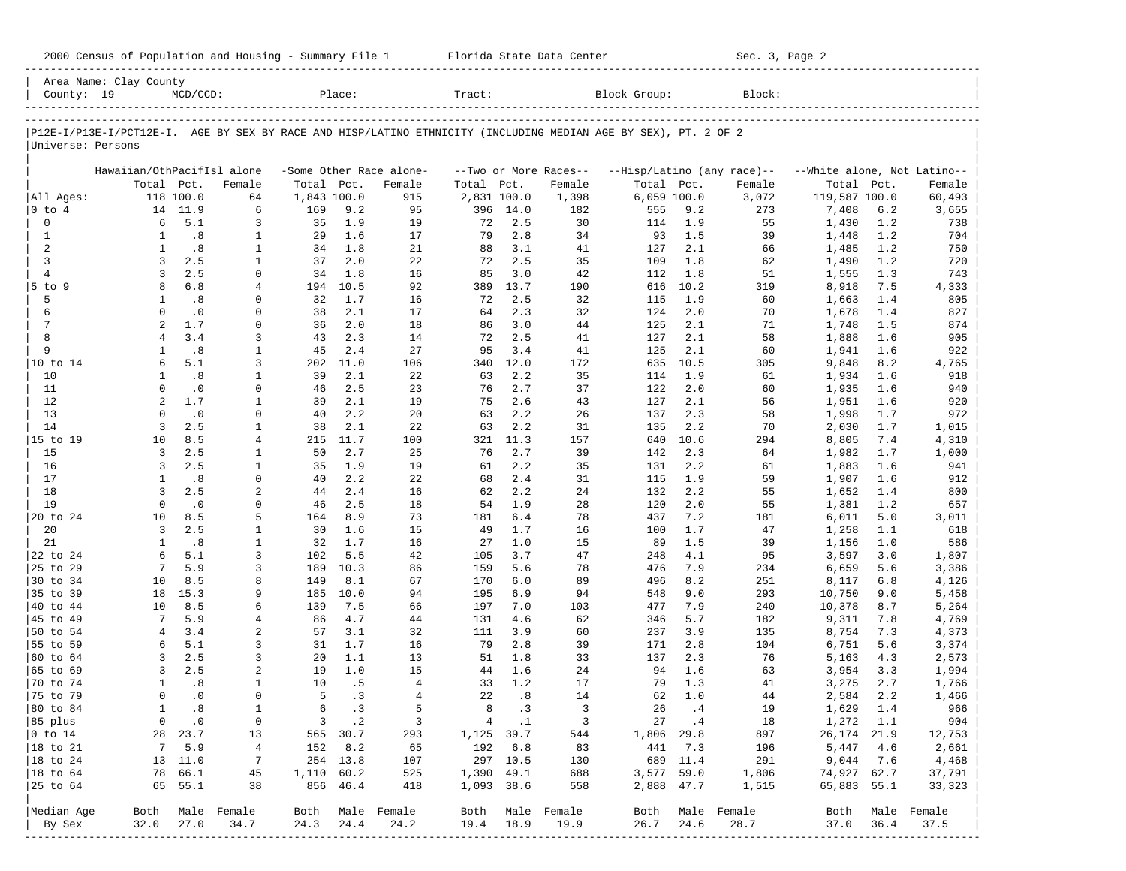| County: 19             | Area Name: Clay County                                                                                         | $MCD/CCD$ :      |                               |             | Place:     |                                   | Tract:      |            |                                 | Block Group: |            | Block:                               |                                      |            |                          |
|------------------------|----------------------------------------------------------------------------------------------------------------|------------------|-------------------------------|-------------|------------|-----------------------------------|-------------|------------|---------------------------------|--------------|------------|--------------------------------------|--------------------------------------|------------|--------------------------|
|                        |                                                                                                                |                  |                               |             |            |                                   |             |            |                                 |              |            |                                      |                                      |            |                          |
|                        | P12E-I/P13E-I/PCT12E-I. AGE BY SEX BY RACE AND HISP/LATINO ETHNICITY (INCLUDING MEDIAN AGE BY SEX), PT. 2 OF 2 |                  |                               |             |            |                                   |             |            |                                 |              |            |                                      |                                      |            |                          |
| Universe: Persons      |                                                                                                                |                  |                               |             |            |                                   |             |            |                                 |              |            |                                      |                                      |            |                          |
|                        |                                                                                                                |                  |                               |             |            |                                   |             |            |                                 |              |            |                                      |                                      |            |                          |
|                        | Hawaiian/OthPacifIsl alone<br>Total Pct.                                                                       |                  | Female                        | Total Pct.  |            | -Some Other Race alone-<br>Female | Total       | Pct.       | --Two or More Races--<br>Female | Total Pct.   |            | --Hisp/Latino (any race)--<br>Female | --White alone, Not Latino--<br>Total | Pct.       | Female                   |
| All Ages:              |                                                                                                                | 118 100.0        | 64                            | 1,843 100.0 |            | 915                               | 2,831 100.0 |            | 1,398                           | 6,059 100.0  |            | 3,072                                | 119,587 100.0                        |            | 60,493                   |
| $0$ to $4$             |                                                                                                                | 14 11.9          | 6                             | 169         | 9.2        | 95                                | 396         | 14.0       | 182                             | 555          | 9.2        | 273                                  | 7,408                                | 6.2        | 3,655                    |
| 0                      | 6                                                                                                              | 5.1              | 3                             | 35          | 1.9        | 19                                | 72          | 2.5        | 30                              | 114          | 1.9        | 55                                   | 1,430                                | 1.2        | 738                      |
| $\mathbf{1}$           | $\mathbf{1}$                                                                                                   | .8               | $\mathbf{1}$                  | 29          | 1.6        | 17                                | 79          | 2.8        | 34                              | 93           | 1.5        | 39                                   | 1,448                                | 1.2        | 704                      |
| 2                      | 1                                                                                                              | .8               | $\mathbf{1}$                  | 34          | 1.8        | 21                                | 88          | 3.1        | 41                              | 127          | 2.1        | 66                                   | 1,485                                | 1.2        | 750                      |
| 3                      | 3                                                                                                              | 2.5              | $\mathbf{1}$                  | 37          | 2.0        | 22                                | 72          | 2.5        | 35                              | 109          | 1.8        | 62                                   | 1,490                                | 1.2        | 720                      |
| $\overline{4}$         | $\overline{3}$                                                                                                 | 2.5              | 0                             | 34          | 1.8        | 16                                | 85          | 3.0        | 42                              | 112          | 1.8        | 51                                   | 1,555                                | 1.3        | 743                      |
| 5 to 9                 | 8                                                                                                              | 6.8              | 4                             | 194         | 10.5       | 92                                | 389         | 13.7       | 190                             | 616          | 10.2       | 319                                  | 8,918                                | 7.5        | 4,333                    |
| 5                      | $\mathbf{1}$                                                                                                   | .8               | 0                             | 32          | 1.7        | 16                                | 72          | 2.5        | 32                              | 115          | 1.9        | 60                                   | 1,663                                | 1.4        | 805                      |
| 6                      | $\Omega$                                                                                                       | $\cdot$ 0        | 0                             | 38          | 2.1        | 17                                | 64          | 2.3        | 32                              | 124          | 2.0        | 70                                   | 1,678                                | 1.4        | 827                      |
| 7<br>8                 | $\overline{a}$<br>$\overline{4}$                                                                               | 1.7<br>3.4       | $\mathbf 0$<br>3              | 36<br>43    | 2.0<br>2.3 | 18<br>14                          | 86<br>72    | 3.0<br>2.5 | 44<br>41                        | 125<br>127   | 2.1<br>2.1 | 71<br>58                             | 1,748                                | 1.5<br>1.6 | 874<br>905               |
| 9                      | $\mathbf{1}$                                                                                                   | .8               | $\mathbf{1}$                  | 45          | 2.4        | 27                                | 95          | 3.4        | 41                              | 125          | 2.1        | 60                                   | 1,888<br>1,941                       | 1.6        | 922                      |
| 10 to 14               | 6                                                                                                              | 5.1              | 3                             | 202         | 11.0       | 106                               | 340         | 12.0       | 172                             | 635          | 10.5       | 305                                  | 9,848                                | 8.2        | 4,765                    |
| 10                     | $\mathbf{1}$                                                                                                   | .8               | 1                             | 39          | 2.1        | 22                                | 63          | 2.2        | 35                              | 114          | 1.9        | 61                                   | 1,934                                | 1.6        | 918                      |
| 11                     | $\Omega$                                                                                                       | $\cdot$ 0        | $\Omega$                      | 46          | 2.5        | 23                                | 76          | 2.7        | 37                              | 122          | 2.0        | 60                                   | 1,935                                | 1.6        | 940                      |
| 12                     | $\overline{a}$                                                                                                 | 1.7              | $\mathbf{1}$                  | 39          | 2.1        | 19                                | 75          | 2.6        | 43                              | 127          | 2.1        | 56                                   | 1,951                                | 1.6        | 920                      |
| 13                     | $\Omega$                                                                                                       | $\cdot$ 0        | $\Omega$                      | 40          | 2.2        | 20                                | 63          | 2.2        | 26                              | 137          | 2.3        | 58                                   | 1,998                                | 1.7        | 972                      |
| 14                     | $\overline{3}$                                                                                                 | 2.5              | $\mathbf{1}$                  | 38          | 2.1        | 22                                | 63          | 2.2        | 31                              | 135          | 2.2        | 70                                   | 2,030                                | 1.7        | 1,015                    |
| 15 to 19               | 10                                                                                                             | 8.5              | $\overline{4}$                | 215         | 11.7       | 100                               | 321         | 11.3       | 157                             | 640          | 10.6       | 294                                  | 8,805                                | 7.4        | 4,310                    |
| 15                     | $\overline{3}$                                                                                                 | 2.5              | $\mathbf{1}$                  | 50          | 2.7        | 25                                | 76          | 2.7        | 39                              | 142          | 2.3        | 64                                   | 1,982                                | 1.7        | 1,000                    |
| 16                     | 3                                                                                                              | 2.5              | $\mathbf{1}$                  | 35          | 1.9        | 19                                | 61          | 2.2        | 35                              | 131          | 2.2        | 61                                   | 1,883                                | 1.6        | 941                      |
| 17                     | $\mathbf{1}$                                                                                                   | .8               | $\mathbf 0$                   | 40          | 2.2        | 22                                | 68          | 2.4        | 31                              | 115          | 1.9        | 59                                   | 1,907                                | 1.6        | 912                      |
| 18<br>19               | 3<br>$\Omega$                                                                                                  | 2.5<br>$\cdot$ 0 | $\overline{a}$<br>$\mathbf 0$ | 44<br>46    | 2.4<br>2.5 | 16<br>18                          | 62<br>54    | 2.2<br>1.9 | 24<br>28                        | 132<br>120   | 2.2<br>2.0 | 55<br>55                             | 1,652<br>1,381                       | 1.4<br>1.2 | 800<br>657               |
| 20 to 24               | 10                                                                                                             | 8.5              | 5                             | 164         | 8.9        | 73                                | 181         | 6.4        | 78                              | 437          | 7.2        | 181                                  | 6,011                                | 5.0        | 3,011                    |
| 20                     | $\overline{3}$                                                                                                 | 2.5              | $\mathbf{1}$                  | 30          | 1.6        | 15                                | 49          | 1.7        | 16                              | 100          | 1.7        | 47                                   | 1,258                                | 1.1        | 618                      |
| 21                     | 1                                                                                                              | .8               | $\mathbf{1}$                  | 32          | 1.7        | 16                                | 27          | 1.0        | 15                              | 89           | 1.5        | 39                                   | 1,156                                | 1.0        | 586                      |
| 22 to 24               | 6                                                                                                              | 5.1              | 3                             | 102         | 5.5        | 42                                | 105         | 3.7        | 47                              | 248          | 4.1        | 95                                   | 3,597                                | 3.0        | 1,807                    |
| 25 to 29               | 7                                                                                                              | 5.9              | 3                             | 189         | 10.3       | 86                                | 159         | 5.6        | 78                              | 476          | 7.9        | 234                                  | 6,659                                | 5.6        | 3,386                    |
| 30 to 34               | 10                                                                                                             | 8.5              | 8                             | 149         | 8.1        | 67                                | 170         | 6.0        | 89                              | 496          | 8.2        | 251                                  | 8,117                                | 6.8        | 4,126                    |
| 35 to 39               | 18                                                                                                             | 15.3             | 9                             | 185         | 10.0       | 94                                | 195         | 6.9        | 94                              | 548          | 9.0        | 293                                  | 10,750                               | 9.0        | 5,458                    |
| 40 to 44               | 10                                                                                                             | 8.5              | 6                             | 139         | 7.5        | 66                                | 197         | 7.0        | 103                             | 477          | 7.9        | 240                                  | 10,378                               | 8.7        | 5,264                    |
| 45 to 49               | 7                                                                                                              | 5.9              | 4                             | 86          | 4.7        | 44                                | 131         | 4.6        | 62                              | 346          | 5.7        | 182                                  | 9,311                                | 7.8        | 4,769                    |
| 50 to 54               | $\overline{4}$                                                                                                 | 3.4              | 2                             | 57          | 3.1        | 32                                | 111         | 3.9        | 60                              | 237          | 3.9        | 135                                  | 8,754                                | 7.3        | 4,373                    |
| 55 to 59<br>60 to 64   | 6<br>$\overline{3}$                                                                                            | 5.1<br>2.5       | 3<br>3                        | 31<br>20    | 1.7<br>1.1 | 16<br>13                          | 79<br>51    | 2.8<br>1.8 | 39<br>33                        | 171          | 2.8<br>2.3 | 104<br>76                            | 6,751                                | 5.6        | 3,374                    |
| 65 to 69               | 3                                                                                                              | 2.5              | 2                             | 19          | 1.0        | 15                                | 44          | 1.6        | 24                              | 137<br>94    | 1.6        | 63                                   | 5,163<br>3,954                       | 4.3<br>3.3 | 2,573<br>1,994           |
| 70 to 74               | $\mathbf{1}$                                                                                                   | .8               | 1                             | 10          | . 5        | $\overline{4}$                    | 33          | 1.2        | 17                              | 79           | 1.3        | 41                                   | 3,275                                | 2.7        | 1,766                    |
| 75 to 79               | $\Omega$                                                                                                       | $\cdot$ 0        | $\Omega$                      | 5           | .3         | $\overline{4}$                    | 22          | .8         | 14                              | 62           | 1.0        | 44                                   | 2,584                                | 2.2        | 1,466                    |
| 80 to 84               | $\mathbf{1}$                                                                                                   | .8               | $\mathbf{1}$                  | 6           | .3         | 5                                 | 8           | . 3        | $\overline{3}$                  | 26           | .4         | 19                                   | 1,629                                | 1.4        | 966                      |
| 85 plus                |                                                                                                                | $0 \qquad .0$    | $\circ$                       |             | 3 .2       | $\overline{\mathbf{3}}$           | 4 . 1       |            | $\overline{\mathbf{3}}$         |              | 27 .4      | 18                                   | 1,272 1.1                            |            | 904                      |
| $ 0 \t{to} 14$         |                                                                                                                | 28 23.7          | 13                            |             | 565 30.7   | 293                               | 1,125 39.7  |            | 544                             | 1,806 29.8   |            | 897                                  | 26, 174 21.9                         |            | 12,753                   |
| $ 18 \text{ to } 21$   |                                                                                                                | 7, 5.9           | $\overline{4}$                |             | 152 8.2    | 65                                | 192 6.8     |            | 83                              |              | 441 7.3    | 196                                  | 5,447 4.6                            |            | 2,661                    |
| $ 18 \text{ to } 24$   |                                                                                                                | 13 11.0          | 7                             |             | 254 13.8   | 107                               |             | 297 10.5   | 130                             |              | 689 11.4   | 291                                  | 9,044 7.6                            |            | 4,468                    |
| $ 18 \text{ to } 64$   |                                                                                                                | 78 66.1          | 45                            | 1,110 60.2  |            | 525                               | 1,390 49.1  |            | 688                             | 3,577 59.0   |            | 1,806                                | 74,927 62.7                          |            | 37,791                   |
|                        |                                                                                                                | 65 55.1          | 38                            |             | 856 46.4   | 418                               | 1,093 38.6  |            | 558                             |              | 2,888 47.7 | 1,515                                | 65,883 55.1                          |            | 33,323                   |
|                        |                                                                                                                |                  |                               |             |            | Both Male Female                  |             |            |                                 |              |            |                                      |                                      |            |                          |
| Median Age<br>  By Sex | 32.0                                                                                                           | 27.0             | Both Male Female<br>34.7      | 24.3        | 24.4       | 24.2                              | 19.4 18.9   |            | Both Male Female<br>19.9        | 26.7         | 24.6       | Both Male Female<br>28.7             | 37.0 36.4                            |            | Both Male Female<br>37.5 |
|                        |                                                                                                                |                  |                               |             |            |                                   |             |            |                                 |              |            |                                      |                                      |            |                          |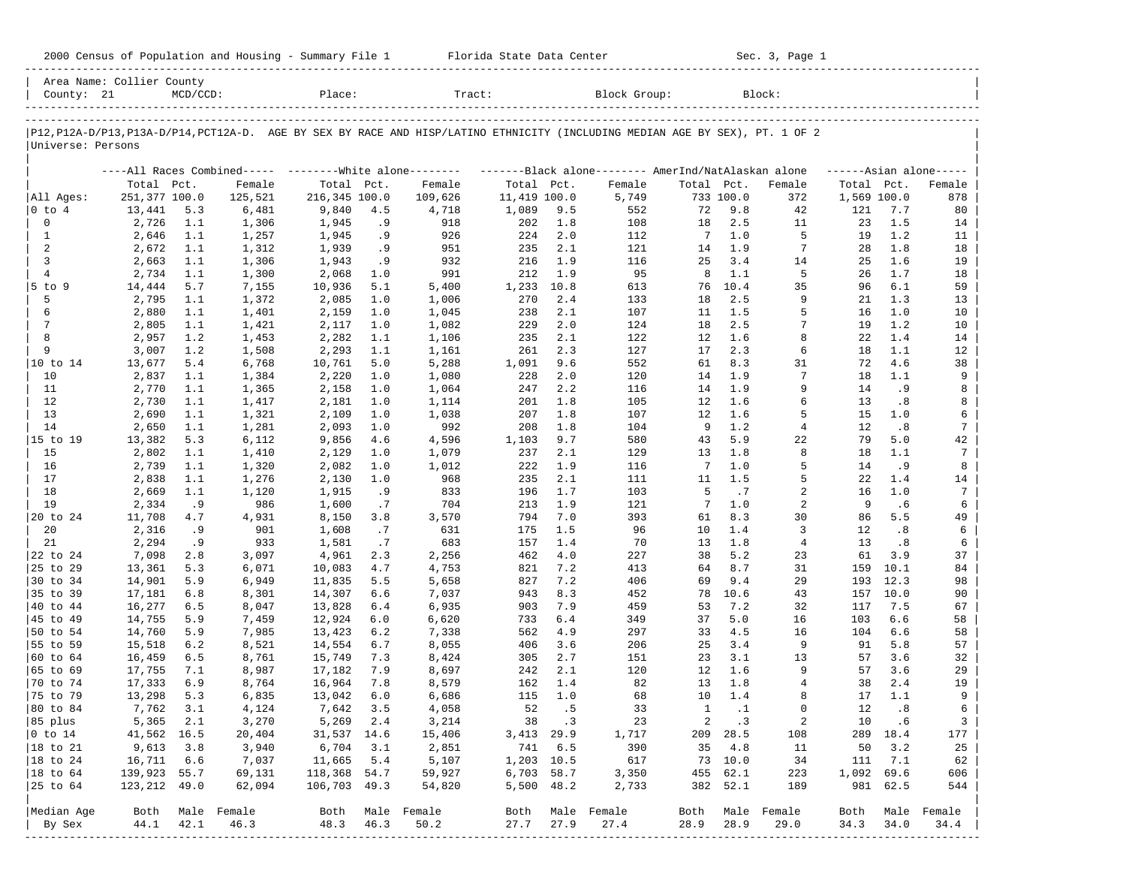| 2000 Census of Population and Housing - Summary File 1 |  | Florida State Data Center | Sec. 3, Page 1 |
|--------------------------------------------------------|--|---------------------------|----------------|
|--------------------------------------------------------|--|---------------------------|----------------|

| County: 21        | Area Name: Collier County | $MCD/CCD$ : |                  | Place:        |       | Tract:                                                  |              |         | Block Group:                                                                                                                  |              |           | Block:           |             |          |                     |
|-------------------|---------------------------|-------------|------------------|---------------|-------|---------------------------------------------------------|--------------|---------|-------------------------------------------------------------------------------------------------------------------------------|--------------|-----------|------------------|-------------|----------|---------------------|
|                   |                           |             |                  |               |       |                                                         |              |         |                                                                                                                               |              |           |                  |             |          |                     |
|                   |                           |             |                  |               |       |                                                         |              |         | P12, P12A-D/P13, P13A-D/P14, PCT12A-D. AGE BY SEX BY RACE AND HISP/LATINO ETHNICITY (INCLUDING MEDIAN AGE BY SEX), PT. 1 OF 2 |              |           |                  |             |          |                     |
| Universe: Persons |                           |             |                  |               |       |                                                         |              |         |                                                                                                                               |              |           |                  |             |          |                     |
|                   |                           |             |                  |               |       | ----All Races Combined----- --------White alone-------- |              |         | -------Black alone-------- AmerInd/NatAlaskan alone                                                                           |              |           |                  |             |          | $---Asian alone---$ |
|                   | Total Pct.                |             | Female           | Total Pct.    |       | Female                                                  | Total Pct.   |         | Female                                                                                                                        | Total Pct.   |           | Female           | Total Pct.  |          | Female              |
| All Ages:         | 251,377 100.0             |             | 125,521          | 216,345 100.0 |       | 109,626                                                 | 11,419 100.0 |         | 5,749                                                                                                                         |              | 733 100.0 | 372              | 1,569 100.0 |          | 878                 |
| 0 to 4            | 13,441                    | 5.3         | 6,481            | 9,840         | 4.5   | 4,718                                                   | 1,089        | 9.5     | 552                                                                                                                           | 72           | 9.8       | 42               | 121         | 7.7      | 80                  |
| 0                 | 2,726                     | 1.1         | 1,306            | 1,945         | . 9   | 918                                                     | 202          | 1.8     | 108                                                                                                                           | 18           | 2.5       | 11               | 23          | 1.5      | 14                  |
| $\mathbf{1}$      | 2,646                     | 1.1         | 1,257            | 1,945         | .9    | 926                                                     | 224          | 2.0     | 112                                                                                                                           | 7            | 1.0       | 5                | 19          | 1.2      | 11                  |
| $\overline{a}$    | 2,672                     | 1.1         | 1,312            | 1,939         | .9    | 951                                                     | 235          | 2.1     | 121                                                                                                                           | 14           | 1.9       | $7\phantom{.0}$  | 28          | 1.8      | 18                  |
| 3                 | 2,663                     | 1.1         | 1,306            | 1,943         | .9    | 932                                                     | 216          | 1.9     | 116                                                                                                                           | 25           | 3.4       | 14               | 25          | 1.6      | 19                  |
| $\overline{4}$    | 2,734                     | 1.1         | 1,300            | 2,068         | 1.0   | 991                                                     | 212          | 1.9     | 95                                                                                                                            | 8            | 1.1       | 5                | 26          | 1.7      | 18                  |
| $5$ to $9$        | 14,444                    | 5.7         | 7,155            | 10,936        | 5.1   | 5,400                                                   | 1,233        | 10.8    | 613                                                                                                                           | 76           | 10.4      | 35               | 96          | 6.1      | 59                  |
| 5                 | 2,795                     | 1.1         | 1,372            | 2,085         | 1.0   | 1,006                                                   | 270          | 2.4     | 133                                                                                                                           | 18           | 2.5       | 9                | 21          | 1.3      | 13                  |
| 6                 | 2,880                     | 1.1         | 1,401            | 2,159         | 1.0   | 1,045                                                   | 238          | 2.1     | 107                                                                                                                           | 11           | 1.5       | 5                | 16          | 1.0      | 10                  |
| 7                 | 2,805                     | 1.1         | 1,421            | 2,117         | 1.0   | 1,082                                                   | 229          | 2.0     | 124                                                                                                                           | 18           | 2.5       | $7\phantom{.0}$  | 19          | 1.2      | 10                  |
| 8                 | 2,957                     | 1.2         | 1,453            | 2,282         | 1.1   | 1,106                                                   | 235          | 2.1     | 122                                                                                                                           | 12           | 1.6       | 8                | 22          | 1.4      | 14                  |
| 9                 | 3,007                     | 1.2         | 1,508            | 2,293         | 1.1   | 1,161                                                   | 261          | 2.3     | 127                                                                                                                           | 17           | 2.3       | 6                | 18          | 1.1      | 12                  |
| 10 to 14          | 13,677                    | 5.4         | 6,768            | 10,761        | 5.0   | 5,288                                                   | 1,091        | 9.6     | 552                                                                                                                           | 61           | 8.3       | 31               | 72          | 4.6      | 38                  |
| 10                | 2,837                     | 1.1         | 1,384            | 2,220         | 1.0   | 1,080                                                   | 228          | 2.0     | 120                                                                                                                           | 14           | 1.9       | 7                | 18          | 1.1      | 9                   |
| 11                | 2,770                     | 1.1         | 1,365            | 2,158         | 1.0   | 1,064                                                   | 247          | 2.2     | 116                                                                                                                           | 14           | 1.9       | 9                | 14          | .9       | 8                   |
| 12                | 2,730                     | 1.1         | 1,417            | 2,181         | 1.0   | 1,114                                                   | 201          | 1.8     | 105                                                                                                                           | 12           | 1.6       | 6                | 13          | .8       | 8                   |
| 13                | 2,690                     | 1.1         | 1,321            | 2,109         | 1.0   | 1,038                                                   | 207          | 1.8     | 107                                                                                                                           | 12           | 1.6       | 5                | 15          | 1.0      | 6                   |
| 14                | 2,650                     | 1.1         | 1,281            | 2,093         | 1.0   | 992                                                     | 208          | 1.8     | 104                                                                                                                           | 9            | 1.2       | $\overline{4}$   | 12          | .8       | 7                   |
| 15 to 19          | 13,382                    | 5.3         | 6,112            | 9,856         | 4.6   | 4,596                                                   | 1,103        | 9.7     | 580                                                                                                                           | 43           | 5.9       | 22               | 79          | 5.0      | 42                  |
| 15                | 2,802                     | 1.1         | 1,410            | 2,129         | 1.0   | 1,079                                                   | 237          | 2.1     | 129                                                                                                                           | 13           | 1.8       | 8                | 18          | 1.1      | 7                   |
| 16                | 2,739                     | 1.1         | 1,320            | 2,082         | 1.0   | 1,012                                                   | 222          | 1.9     | 116                                                                                                                           | 7            | 1.0       | 5                | 14          | . 9      | 8                   |
| 17                | 2,838                     | 1.1         | 1,276            | 2,130         | 1.0   | 968                                                     | 235          | 2.1     | 111                                                                                                                           | 11           | 1.5       | 5                | 22          | 1.4      | 14                  |
| 18                | 2,669                     | 1.1         | 1,120            | 1,915         | . 9   | 833                                                     | 196          | 1.7     | 103                                                                                                                           | 5            | .7        | 2                | 16          | 1.0      | 7                   |
| 19                | 2,334                     | . 9         | 986              | 1,600         | .7    | 704                                                     | 213          | 1.9     | 121                                                                                                                           | 7            | 1.0       | 2                | 9           | . 6      | 6                   |
| 20 to 24          | 11,708                    | 4.7         | 4,931            | 8,150         | 3.8   | 3,570                                                   | 794          | 7.0     | 393                                                                                                                           | 61           | 8.3       | 30               | 86          | 5.5      | 49                  |
| 20                | 2,316                     | .9          | 901              | 1,608         | .7    | 631                                                     | 175          | 1.5     | 96                                                                                                                            | 10           | 1.4       | 3                | 12          | .8       | 6                   |
| 21                | 2,294                     | .9          | 933              | 1,581         | .7    | 683                                                     | 157          | 1.4     | 70                                                                                                                            | 13           | 1.8       | 4                | 13          | .8       | 6                   |
| 22 to 24          | 7,098                     | 2.8         | 3,097            | 4,961         | 2.3   | 2,256                                                   | 462          | 4.0     | 227                                                                                                                           | 38           | 5.2       | 23               | 61          | 3.9      | 37                  |
| 25 to 29          | 13,361                    | 5.3         | 6,071            | 10,083        | 4.7   | 4,753                                                   | 821          | 7.2     | 413                                                                                                                           | 64           | 8.7       | 31               | 159         | 10.1     | 84                  |
| 30 to 34          | 14,901                    | 5.9         | 6,949            | 11,835        | 5.5   | 5,658                                                   | 827          | 7.2     | 406                                                                                                                           | 69           | 9.4       | 29               | 193         | 12.3     | 98                  |
| 35 to 39          | 17,181                    | 6.8         | 8,301            | 14,307        | 6.6   | 7,037                                                   | 943          | 8.3     | 452                                                                                                                           | 78           | 10.6      | 43               | 157         | 10.0     | 90                  |
| 40 to 44          | 16,277                    | 6.5         | 8,047            | 13,828        | $6.4$ | 6,935                                                   | 903          | 7.9     | 459                                                                                                                           | 53           | 7.2       | 32               | 117         | 7.5      | 67                  |
| 45 to 49          | 14,755                    | 5.9         | 7,459            | 12,924        | 6.0   | 6,620                                                   | 733          | 6.4     | 349                                                                                                                           | 37           | 5.0       | 16               | 103         | 6.6      | 58                  |
| 50 to 54          | 14,760                    | 5.9         | 7,985            | 13,423        | 6.2   | 7,338                                                   | 562          | 4.9     | 297                                                                                                                           | 33           | 4.5       | 16               | 104         | 6.6      | 58                  |
| 55 to 59          | 15,518                    | 6.2         | 8,521            | 14,554        | 6.7   | 8,055                                                   | 406          | 3.6     | 206                                                                                                                           | 25           | 3.4       | 9                | 91          | 5.8      | 57                  |
| 60 to 64          | 16,459                    | 6.5         | 8,761            | 15,749        | 7.3   | 8,424                                                   | 305          | 2.7     | 151                                                                                                                           | 23           | 3.1       | 13               | 57          | 3.6      | 32                  |
| 65 to 69          | 17,755                    | 7.1         | 8,987            | 17,182        | 7.9   | 8,697                                                   | 242          | 2.1     | 120                                                                                                                           | 12           | 1.6       | 9                | 57          | 3.6      | 29                  |
| 70 to 74          | 17,333                    | 6.9         | 8,764            | 16,964        | 7.8   | 8,579                                                   | 162          | 1.4     | 82                                                                                                                            | 13           | 1.8       | 4                | 38          | 2.4      | 19                  |
| 75 to 79          | 13,298                    | 5.3         | 6,835            | 13,042        | 6.0   | 6,686                                                   | 115          | 1.0     | 68                                                                                                                            | 10           | 1.4       | 8                | 17          | 1.1      | 9                   |
| 80 to 84          | 7,762                     | 3.1         | 4,124            | 7,642         | 3.5   | 4,058                                                   | 52           | . 5     | 33                                                                                                                            | $\mathbf{1}$ | $\cdot$ 1 | $\Omega$         | 12          | .8       | 6                   |
| 85 plus           | 5,365 2.1                 |             | 3,270            | 5,269 2.4     |       | 3,214                                                   | 38 .3        |         | 23                                                                                                                            |              | 2 .3      | 2                |             | 10 .6    | 3                   |
| $ 0 \t\t \tto 14$ | 41,562 16.5               |             | 20,404           | 31,537 14.6   |       | 15,406                                                  | 3,413 29.9   |         | 1,717                                                                                                                         |              | 209 28.5  | 108              |             | 289 18.4 | 177                 |
| 18 to 21          | 9,613                     | 3.8         | 3,940            | 6,704         | 3.1   | 2,851                                                   |              | 741 6.5 | 390                                                                                                                           |              | 35 4.8    | 11               | 50          | 3.2      | 25                  |
| 18 to 24          | 16,711                    | 6.6         | 7,037            | 11,665        | 5.4   | 5,107                                                   | 1,203 10.5   |         | 617                                                                                                                           |              | 73 10.0   | 34               | 111         | 7.1      | 62                  |
| $ 18$ to $64$     | 139,923 55.7              |             | 69,131           | 118,368 54.7  |       | 59,927                                                  | 6,703 58.7   |         | 3,350                                                                                                                         |              | 455 62.1  | 223              | 1,092 69.6  |          | 606                 |
| 25 to 64          | 123,212 49.0              |             | 62,094           | 106,703 49.3  |       | 54,820                                                  | 5,500 48.2   |         | 2,733                                                                                                                         |              | 382 52.1  | 189              |             | 981 62.5 | 544                 |
|                   |                           |             |                  |               |       |                                                         |              |         |                                                                                                                               |              |           |                  |             |          |                     |
| Median Age        |                           |             | Both Male Female |               |       | Both Male Female                                        |              |         | Both Male Female                                                                                                              |              |           | Both Male Female |             |          | Both Male Female    |
| By Sex            | 44.1                      | 42.1        | 46.3             | 48.3          | 46.3  | 50.2                                                    | 27.7         | 27.9    | 27.4                                                                                                                          | 28.9         | 28.9      | 29.0             | 34.3        | 34.0     | 34.4                |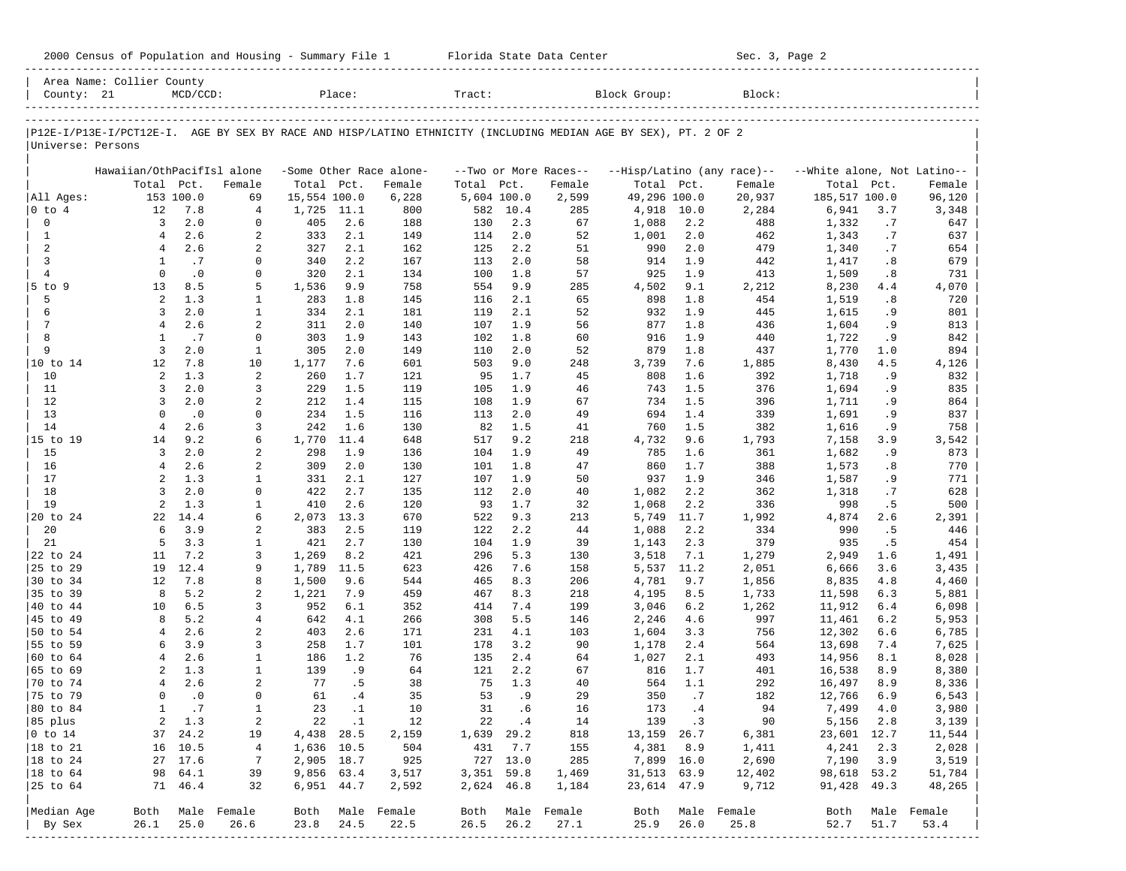| 2000 Census of Population and Housing - Summary File 1 |  | Florida State Data Center | Sec. 3, Page 2 |
|--------------------------------------------------------|--|---------------------------|----------------|
|--------------------------------------------------------|--|---------------------------|----------------|

|                        | Area Name: Collier County  |             |                   |                |            |                         |              |            |                       |                                                                                                                |            |                            |                             |           |                  |
|------------------------|----------------------------|-------------|-------------------|----------------|------------|-------------------------|--------------|------------|-----------------------|----------------------------------------------------------------------------------------------------------------|------------|----------------------------|-----------------------------|-----------|------------------|
| County: 21             |                            | $MCD/CCD$ : |                   |                | Place:     |                         | Tract:       |            |                       | Block Group:                                                                                                   |            | Block:                     |                             |           |                  |
|                        |                            |             |                   |                |            |                         |              |            |                       | P12E-I/P13E-I/PCT12E-I. AGE BY SEX BY RACE AND HISP/LATINO ETHNICITY (INCLUDING MEDIAN AGE BY SEX), PT. 2 OF 2 |            |                            |                             |           |                  |
| Universe: Persons      |                            |             |                   |                |            |                         |              |            |                       |                                                                                                                |            |                            |                             |           |                  |
|                        | Hawaiian/OthPacifIsl alone |             |                   |                |            | -Some Other Race alone- |              |            | --Two or More Races-- |                                                                                                                |            | --Hisp/Latino (any race)-- | --White alone, Not Latino-- |           |                  |
|                        | Total                      | Pct.        | Female            | Total Pct.     |            | Female                  | Total        | Pct.       | Female                | Total Pct.                                                                                                     |            | Female                     | Total                       | Pct.      | Female           |
| All Ages:              |                            | 153 100.0   | 69                | 15,554 100.0   |            | 6,228                   | 5,604 100.0  |            | 2,599                 | 49,296 100.0                                                                                                   |            | 20,937                     | 185,517 100.0               |           | 96,120           |
| $0$ to $4$             | 12                         | 7.8         | $\overline{4}$    | 1,725          | 11.1       | 800                     | 582          | 10.4       | 285                   | 4,918                                                                                                          | 10.0       | 2,284                      | 6,941                       | 3.7       | 3,348            |
| $\mathbf 0$            | 3                          | 2.0         | $\mathbf 0$       | 405            | 2.6        | 188                     | 130          | 2.3        | 67                    | 1,088                                                                                                          | 2.2        | 488                        | 1,332                       | .7        | 647              |
| $\mathbf{1}$           | $\overline{4}$             | 2.6         | 2                 | 333            | 2.1        | 149                     | 114          | 2.0        | 52                    | 1,001                                                                                                          | 2.0        | 462                        | 1,343                       | .7        | 637              |
| $\overline{a}$         | $\overline{4}$             | 2.6         | 2                 | 327            | 2.1        | 162                     | 125          | 2.2        | 51                    | 990                                                                                                            | 2.0        | 479                        | 1,340                       | .7        | 654              |
| $\overline{3}$         | 1                          | .7          | $\Omega$          | 340            | 2.2        | 167                     | 113          | 2.0        | 58                    | 914                                                                                                            | 1.9        | 442                        | 1,417                       | .8        | 679              |
| $\overline{4}$         | $\Omega$                   | $\cdot$ 0   | $\mathbf 0$       | 320            | 2.1        | 134                     | 100          | 1.8        | 57                    | 925                                                                                                            | 1.9        | 413                        | 1,509                       | .8        | 731              |
| $5$ to $9$             | 13                         | 8.5         | 5                 | 1,536          | 9.9        | 758                     | 554          | 9.9        | 285                   | 4,502                                                                                                          | 9.1        | 2,212                      | 8,230                       | 4.4       | 4,070            |
| 5                      | 2                          | 1.3         | 1                 | 283            | 1.8        | 145                     | 116          | 2.1        | 65                    | 898                                                                                                            | 1.8        | 454                        | 1,519                       | .8        | 720              |
| 6                      | 3                          | 2.0         | $\mathbf{1}$      | 334            | 2.1        | 181                     | 119          | 2.1        | 52                    | 932                                                                                                            | 1.9        | 445                        | 1,615                       | . 9       | 801              |
| $7\phantom{.0}$        | $\overline{4}$             | 2.6         | 2                 | 311            | 2.0        | 140                     | 107          | 1.9        | 56                    | 877                                                                                                            | 1.8        | 436                        | 1,604                       | . 9       | 813              |
| 8                      | $\mathbf{1}$               | .7          | $\Omega$          | 303            | 1.9        | 143                     | 102          | 1.8        | 60                    | 916                                                                                                            | 1.9        | 440                        | 1,722                       | .9        | 842              |
| 9                      | $\overline{3}$             | 2.0         | $\mathbf{1}$      | 305            | 2.0        | 149                     | 110          | 2.0        | 52                    | 879                                                                                                            | 1.8        | 437                        | 1,770                       | 1.0       | 894              |
| 10 to 14               | 12                         | 7.8         | 10                | 1,177          | 7.6        | 601                     | 503          | 9.0        | 248                   | 3,739                                                                                                          | 7.6        | 1,885                      | 8,430                       | 4.5       | 4,126            |
| 10                     | 2                          | 1.3         | 2                 | 260            | 1.7        | 121                     | 95           | 1.7        | 45                    | 808                                                                                                            | 1.6        | 392                        | 1,718                       | . 9       | 832              |
| 11                     | 3                          | 2.0         | 3                 | 229            | 1.5        | 119                     | 105          | 1.9        | 46                    | 743                                                                                                            | 1.5        | 376                        | 1,694                       | . 9       | 835              |
| 12                     | 3                          | 2.0         | 2                 | 212            | 1.4        | 115                     | 108          | 1.9        | 67                    | 734                                                                                                            | 1.5        | 396                        | 1,711                       | . 9       | 864              |
| 13                     | $\Omega$                   | $\cdot$ 0   | $\Omega$          | 234            | 1.5        | 116                     | 113          | 2.0        | 49                    | 694                                                                                                            | 1.4        | 339                        | 1,691                       | . 9       | 837              |
| 14                     | $\overline{4}$             | 2.6         | 3                 | 242            | 1.6        | 130                     | 82           | 1.5        | 41                    | 760                                                                                                            | 1.5        | 382                        | 1,616                       | . 9       | 758              |
| 15 to 19               | 14                         | 9.2         | 6                 | 1,770          | 11.4       | 648                     | 517          | 9.2        | 218                   | 4,732                                                                                                          | 9.6        | 1,793                      | 7,158                       | 3.9       | 3,542            |
| 15                     | $\overline{3}$             | 2.0         | 2                 | 298            | 1.9        | 136                     | 104          | 1.9        | 49                    | 785                                                                                                            | 1.6        | 361                        | 1,682                       | . 9       | 873              |
| 16                     | $\overline{4}$             | 2.6         | 2                 | 309            | 2.0        | 130                     | 101          | 1.8        | 47                    | 860                                                                                                            | 1.7        | 388                        | 1,573                       | .8        | 770              |
| 17                     | $\overline{a}$             | 1.3         | $\mathbf{1}$      | 331            | 2.1        | 127                     | 107          | 1.9        | 50                    | 937                                                                                                            | 1.9        | 346                        | 1,587                       | . 9       | 771              |
| 18                     | 3                          | 2.0         | $\Omega$          | 422            | 2.7        | 135                     | 112          | 2.0        | 40                    | 1,082                                                                                                          | 2.2        | 362                        | 1,318                       | .7        | 628              |
| 19                     | $\overline{a}$             | 1.3         | $\mathbf{1}$      | 410            | 2.6        | 120                     | 93           | 1.7        | 32                    | 1,068                                                                                                          | 2.2        | 336                        | 998                         | . 5       | 500              |
| 20 to 24               | 22<br>6                    | 14.4        | 6                 | 2,073          | 13.3       | 670                     | 522          | 9.3        | 213                   | 5,749                                                                                                          | 11.7       | 1,992                      | 4,874                       | 2.6       | 2,391            |
| 20                     | 5                          | 3.9<br>3.3  | 2                 | 383            | 2.5<br>2.7 | 119                     | 122<br>104   | 2.2        | 44<br>39              | 1,088                                                                                                          | 2.2        | 334                        | 990                         | .5        | 446              |
| 21<br>22 to 24         | 11                         | 7.2         | $\mathbf{1}$<br>3 | 421            | 8.2        | 130                     | 296          | 1.9<br>5.3 | 130                   | 1,143                                                                                                          | 2.3<br>7.1 | 379<br>1,279               | 935                         | .5<br>1.6 | 454              |
| 25 to 29               | 19                         | 12.4        | 9                 | 1,269<br>1,789 | 11.5       | 421<br>623              | 426          | 7.6        | 158                   | 3,518<br>5,537                                                                                                 | 11.2       | 2,051                      | 2,949<br>6,666              | 3.6       | 1,491<br>3,435   |
| 30 to 34               | 12                         | 7.8         | 8                 | 1,500          | 9.6        | 544                     | 465          | 8.3        | 206                   | 4,781                                                                                                          | 9.7        | 1,856                      | 8,835                       | 4.8       | 4,460            |
| 35 to 39               | 8                          | 5.2         | 2                 | 1,221          | 7.9        | 459                     | 467          | 8.3        | 218                   | 4,195                                                                                                          | 8.5        | 1,733                      | 11,598                      | 6.3       | 5,881            |
| 40 to 44               | 10                         | 6.5         | 3                 | 952            | 6.1        | 352                     | 414          | 7.4        | 199                   | 3,046                                                                                                          | 6.2        | 1,262                      | 11,912                      | 6.4       | 6,098            |
| 45 to 49               | 8                          | 5.2         | $\overline{4}$    | 642            | 4.1        | 266                     | 308          | 5.5        | 146                   | 2,246                                                                                                          | 4.6        | 997                        | 11,461                      | 6.2       | 5,953            |
| 50 to 54               | $\overline{4}$             | 2.6         | 2                 | 403            | 2.6        | 171                     | 231          | 4.1        | 103                   | 1,604                                                                                                          | 3.3        | 756                        | 12,302                      | 6.6       | 6,785            |
| 55 to 59               | 6                          | 3.9         | 3                 | 258            | 1.7        | 101                     | 178          | 3.2        | 90                    | 1,178                                                                                                          | 2.4        | 564                        | 13,698                      | 7.4       | 7,625            |
| 60 to 64               | $\overline{4}$             | 2.6         | $\mathbf{1}$      | 186            | 1.2        | 76                      | 135          | 2.4        | 64                    | 1,027                                                                                                          | 2.1        | 493                        | 14,956                      | 8.1       | 8,028            |
| 65 to 69               | 2                          | 1.3         | $\mathbf{1}$      | 139            | .9         | 64                      | 121          | 2.2        | 67                    | 816                                                                                                            | 1.7        | 401                        | 16,538                      | 8.9       | 8,380            |
| 70 to 74               | $\overline{4}$             | 2.6         | 2                 | 77             | . 5        | 38                      | 75           | 1.3        | 40                    | 564                                                                                                            | 1.1        | 292                        | 16,497                      | 8.9       | 8,336            |
| 75 to 79               | $\Omega$                   | $\cdot$ 0   | $\Omega$          | 61             | .4         | 35                      | 53           | .9         | 29                    | 350                                                                                                            | .7         | 182                        | 12,766                      | 6.9       | 6,543            |
| 80 to 84               | $\mathbf{1}$               | .7          | $\mathbf{1}$      | 23             | $\cdot$ 1  | 10                      | 31           | .6         | 16                    | 173                                                                                                            | .4         | 94                         | 7,499                       | 4.0       | 3,980            |
| 85 plus                |                            | 2 1.3       | 2                 |                | 22.1       | 12                      |              | 22 .4      | 14                    |                                                                                                                | 139.3      | 90                         | 5,156 2.8                   |           | 3,139            |
| $ 0 \t\t \text{to} 14$ |                            | 37 24.2     | 19                | 4,438 28.5     |            | 2,159                   | 1,639 29.2   |            | 818                   | 13, 159 26.7                                                                                                   |            | 6,381                      | 23,601 12.7                 |           | 11,544           |
| 18 to 21               |                            | 16 10.5     | 4                 | 1,636 10.5     |            | 504                     | 431          | 7.7        | 155                   |                                                                                                                | 4,381 8.9  | 1,411                      | 4,241                       | 2.3       | 2,028            |
| $ 18$ to $24$          |                            | 27 17.6     | 7                 | 2,905 18.7     |            | 925                     |              | 727 13.0   | 285                   | 7,899 16.0                                                                                                     |            | 2,690                      | $7,190$ 3.9                 |           | 3,519            |
| 18 to 64               |                            | 98 64.1     | 39                | 9,856 63.4     |            | 3,517                   | $3,351$ 59.8 |            | 1,469                 | 31,513 63.9                                                                                                    |            | 12,402                     | 98,618 53.2                 |           | 51,784           |
| 25 to 64               |                            | 71 46.4     | 32                | 6,951 44.7     |            | 2,592                   | 2,624 46.8   |            | 1,184                 | 23,614 47.9                                                                                                    |            | 9,712                      | 91,428 49.3                 |           | 48,265           |
| Median Age             |                            |             | Both Male Female  |                |            | Both Male Female        |              |            | Both Male Female      |                                                                                                                |            | Both Male Female           |                             |           | Both Male Female |
| By Sex                 | 26.1                       | 25.0        | 26.6              | 23.8 24.5      |            | 22.5                    | 26.5         | 26.2       | 27.1                  | 25.9                                                                                                           | 26.0       | 25.8                       | 52.7                        | 51.7      | 53.4             |
|                        |                            |             | --------------    |                |            |                         |              |            |                       |                                                                                                                |            |                            |                             |           |                  |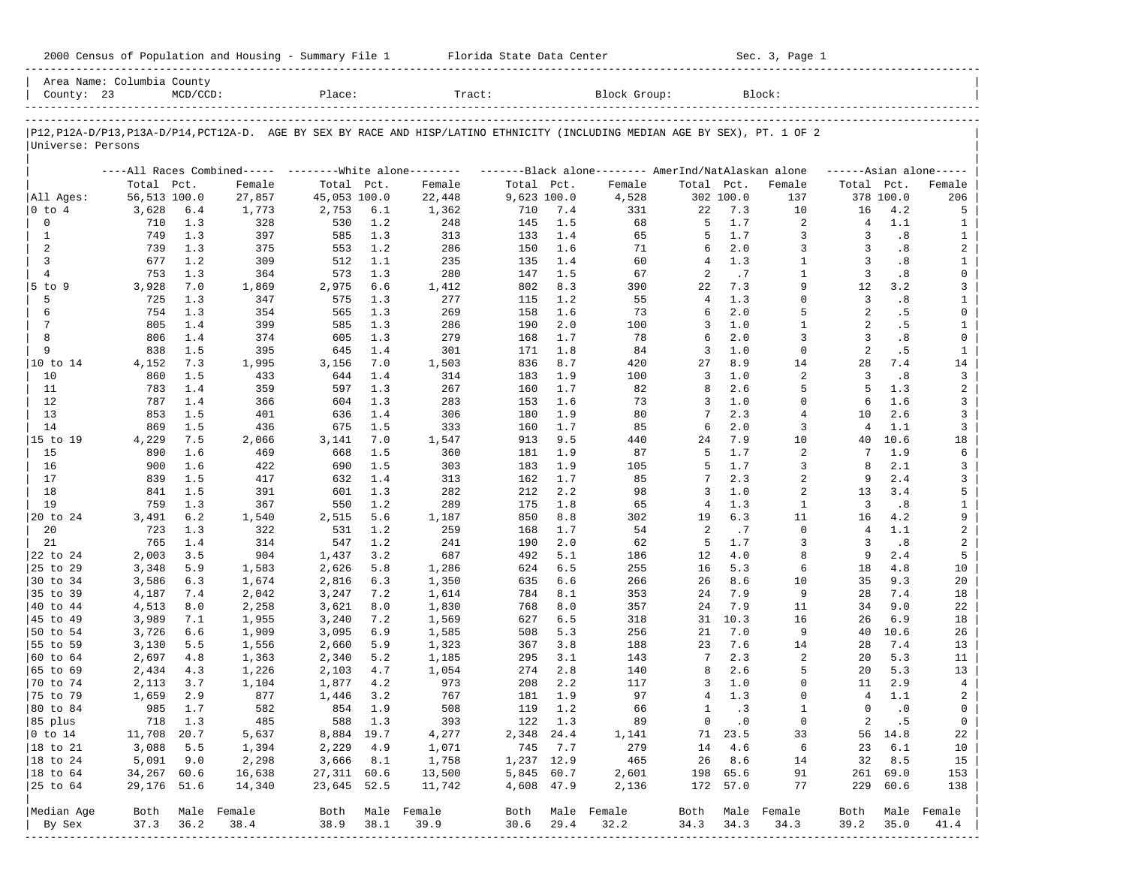| 2000 Census of Population and Housing - Summary File 1 |  | Florida State Data Center | Sec. 3, Page 1 |
|--------------------------------------------------------|--|---------------------------|----------------|
|--------------------------------------------------------|--|---------------------------|----------------|

| County: 23        |              | $MCD/CCD$ : |                                                         | Place:       |         | Tract:                                                                                                                     |             |         | Block Group:                                        |                |           | Block:         |                |           |                     |
|-------------------|--------------|-------------|---------------------------------------------------------|--------------|---------|----------------------------------------------------------------------------------------------------------------------------|-------------|---------|-----------------------------------------------------|----------------|-----------|----------------|----------------|-----------|---------------------|
|                   |              |             |                                                         |              |         |                                                                                                                            |             |         |                                                     |                |           |                |                |           |                     |
| Universe: Persons |              |             |                                                         |              |         | P12,P12A-D/P13,P13A-D/P14,PCT12A-D. AGE BY SEX BY RACE AND HISP/LATINO ETHNICITY (INCLUDING MEDIAN AGE BY SEX), PT. 1 OF 2 |             |         |                                                     |                |           |                |                |           |                     |
|                   |              |             | ----All Races Combined----- --------White alone-------- |              |         |                                                                                                                            |             |         | -------Black alone-------- AmerInd/NatAlaskan alone |                |           |                |                |           | $---Asian alone---$ |
|                   | Total Pct.   |             | Female                                                  | Total Pct.   |         | Female                                                                                                                     | Total Pct.  |         | Female                                              | Total Pct.     |           | Female         | Total Pct.     |           | Female              |
| All Ages:         | 56,513 100.0 |             | 27,857                                                  | 45,053 100.0 |         | 22,448                                                                                                                     | 9,623 100.0 |         | 4,528                                               |                | 302 100.0 | 137            |                | 378 100.0 | 206                 |
| 0 to 4            | 3,628        | $6.4$       | 1,773                                                   | 2,753        | 6.1     | 1,362                                                                                                                      | 710         | 7.4     | 331                                                 | 22             | 7.3       | 10             | 16             | 4.2       | 5                   |
| 0                 | 710          | 1.3         | 328                                                     | 530          | 1.2     | 248                                                                                                                        | 145         | 1.5     | 68                                                  | 5              | 1.7       | 2              | 4              | 1.1       | 1                   |
| $\mathbf{1}$      | 749          | 1.3         | 397                                                     | 585          | 1.3     | 313                                                                                                                        | 133         | 1.4     | 65                                                  | 5              | 1.7       | 3              | 3              | .8        | 1                   |
| 2                 | 739          | 1.3         | 375                                                     | 553          | 1.2     | 286                                                                                                                        | 150         | 1.6     | 71                                                  | 6              | 2.0       | 3              | 3              | .8        | 2                   |
| 3                 | 677          | 1.2         | 309                                                     | 512          | 1.1     | 235                                                                                                                        | 135         | 1.4     | 60                                                  | 4              | 1.3       | 1              | 3              | .8        | $\mathbf{1}$        |
| $\overline{4}$    | 753          | 1.3         | 364                                                     | 573          | 1.3     | 280                                                                                                                        | 147         | 1.5     | 67                                                  | 2              | .7        | $\mathbf{1}$   | 3              | .8        | 0                   |
| 5 to 9            | 3,928        | 7.0         | 1,869                                                   | 2,975        | 6.6     | 1,412                                                                                                                      | 802         | 8.3     | 390                                                 | 22             | 7.3       | 9              | 12             | 3.2       | 3                   |
| 5                 | 725          | 1.3         | 347                                                     | 575          | 1.3     | 277                                                                                                                        | 115         | 1.2     | 55                                                  | $\overline{4}$ | 1.3       | $\Omega$       | 3              | .8        | 1                   |
| 6                 | 754          | 1.3         | 354                                                     | 565          | 1.3     | 269                                                                                                                        | 158         | 1.6     | 73                                                  | 6              | 2.0       | 5              | 2              | .5        | 0                   |
| 7                 | 805          | 1.4         | 399                                                     | 585          | 1.3     | 286                                                                                                                        | 190         | 2.0     | 100                                                 | 3              | 1.0       | $\mathbf{1}$   | 2              | .5        | $\mathbf{1}$        |
| 8                 | 806          | 1.4         | 374                                                     | 605          | 1.3     | 279                                                                                                                        | 168         | 1.7     | 78                                                  | 6              | 2.0       | 3              | 3              | .8        | $\mathbf 0$         |
| 9                 | 838          | 1.5         | 395                                                     | 645          | 1.4     | 301                                                                                                                        | 171         | 1.8     | 84                                                  | 3              | $1.0$     | $\mathbf 0$    | 2              | . 5       | $\mathbf{1}$        |
| 10 to 14          | 4,152        | 7.3         | 1,995                                                   | 3,156        | 7.0     | 1,503                                                                                                                      | 836         | 8.7     | 420                                                 | 27             | 8.9       | 14             | 28             | 7.4       | 14                  |
| 10                | 860          | 1.5         | 433                                                     | 644          | 1.4     | 314                                                                                                                        | 183         | 1.9     | 100                                                 | 3              | 1.0       | 2              | 3              | .8        | 3                   |
| 11                | 783          | 1.4         | 359                                                     | 597          | 1.3     | 267                                                                                                                        | 160         | 1.7     | 82                                                  | 8              | 2.6       | 5              | 5              | 1.3       | 2                   |
| 12                | 787          | 1.4         | 366                                                     | 604          | 1.3     | 283                                                                                                                        | 153         | 1.6     | 73                                                  | 3              | 1.0       | $\Omega$       | 6              | 1.6       | 3                   |
| 13                | 853          | 1.5         | 401                                                     | 636          | 1.4     | 306                                                                                                                        | 180         | 1.9     | 80                                                  | 7              | 2.3       | 4              | 10             | 2.6       | 3                   |
| 14                | 869          | 1.5         | 436                                                     | 675          | 1.5     | 333                                                                                                                        | 160         | 1.7     | 85                                                  | 6              | 2.0       | 3              | $\overline{4}$ | 1.1       | 3                   |
| 15 to 19          | 4,229        | 7.5         | 2,066                                                   | 3,141        | 7.0     | 1,547                                                                                                                      | 913         | 9.5     | 440                                                 | 24             | 7.9       | 10             | 40             | 10.6      | 18                  |
| 15                | 890          | 1.6         | 469                                                     | 668          | 1.5     | 360                                                                                                                        | 181         | 1.9     | 87                                                  | 5              | 1.7       | 2              | 7              | 1.9       | 6                   |
| 16                | 900          | 1.6         | 422                                                     | 690          | 1.5     | 303                                                                                                                        | 183         | 1.9     | 105                                                 | 5              | 1.7       | 3              | 8              | 2.1       | 3                   |
| 17                | 839          | 1.5         | 417                                                     | 632          | 1.4     | 313                                                                                                                        | 162         | 1.7     | 85                                                  | 7              | 2.3       | $\overline{a}$ | 9              | 2.4       | 3                   |
| 18                | 841          | 1.5         | 391                                                     | 601          | 1.3     | 282                                                                                                                        | 212         | 2.2     | 98                                                  | 3              | 1.0       | 2              | 13             | 3.4       | 5                   |
| 19                | 759          | 1.3         | 367                                                     | 550          | 1.2     | 289                                                                                                                        | 175         | 1.8     | 65                                                  | 4              | 1.3       | $\mathbf{1}$   | 3              | .8        | $\mathbf{1}$        |
| 20 to 24          | 3,491        | 6.2         | 1,540                                                   | 2,515        | 5.6     | 1,187                                                                                                                      | 850         | 8.8     | 302                                                 | 19             | 6.3       | 11             | 16             | 4.2       | 9                   |
| 20                | 723          | 1.3         |                                                         | 531          | 1.2     | 259                                                                                                                        | 168         | 1.7     | 54                                                  | 2              | .7        | $\Omega$       | $\overline{4}$ | 1.1       | 2                   |
| 21                | 765          |             | 322<br>314                                              | 547          | 1.2     | 241                                                                                                                        |             | 2.0     | 62                                                  | 5              | 1.7       | 3              | 3              |           |                     |
|                   |              | 1.4         |                                                         |              |         |                                                                                                                            | 190         |         |                                                     |                |           | 8              | 9              | .8        | 2<br>5              |
| 22 to 24          | 2,003        | 3.5         | 904                                                     | 1,437        | 3.2     | 687                                                                                                                        | 492         | 5.1     | 186                                                 | 12             | 4.0       |                |                | 2.4       |                     |
| 25 to 29          | 3,348        | 5.9         | 1,583                                                   | 2,626        | 5.8     | 1,286                                                                                                                      | 624         | 6.5     | 255                                                 | 16             | 5.3       | 6              | 18             | 4.8       | 10                  |
| 30 to 34          | 3,586        | 6.3         | 1,674                                                   | 2,816        | 6.3     | 1,350                                                                                                                      | 635         | 6.6     | 266                                                 | 26             | 8.6       | 10             | 35             | 9.3       | 20                  |
| 35 to 39          | 4,187        | 7.4         | 2,042                                                   | 3,247        | 7.2     | 1,614                                                                                                                      | 784         | 8.1     | 353                                                 | 24             | 7.9       | 9              | 28             | 7.4       | 18                  |
| 40 to 44          | 4,513        | 8.0         | 2,258                                                   | 3,621        | 8.0     | 1,830                                                                                                                      | 768         | 8.0     | 357                                                 | 24             | 7.9       | 11             | 34             | 9.0       | 22                  |
| 45 to 49          | 3,989        | 7.1         | 1,955                                                   | 3,240        | 7.2     | 1,569                                                                                                                      | 627         | 6.5     | 318                                                 | 31             | 10.3      | 16             | 26             | 6.9       | 18                  |
| 50 to 54          | 3,726        | 6.6         | 1,909                                                   | 3,095        | 6.9     | 1,585                                                                                                                      | 508         | 5.3     | 256                                                 | 21             | 7.0       | 9              | 40             | 10.6      | 26                  |
| 55 to 59          | 3,130        | 5.5         | 1,556                                                   | 2,660        | 5.9     | 1,323                                                                                                                      | 367         | 3.8     | 188                                                 | 23             | 7.6       | 14             | 28             | 7.4       | 13                  |
| 60 to 64          | 2,697        | 4.8         | 1,363                                                   | 2,340        | 5.2     | 1,185                                                                                                                      | 295         | 3.1     | 143                                                 | 7              | 2.3       | 2              | 20             | 5.3       | 11                  |
| 65 to 69          | 2,434        | 4.3         | 1,226                                                   | 2,103        | 4.7     | 1,054                                                                                                                      | 274         | 2.8     | 140                                                 | 8              | 2.6       | 5              | 20             | 5.3       | 13                  |
| 70 to 74          | 2,113        | 3.7         | 1,104                                                   | 1,877        | 4.2     | 973                                                                                                                        | 208         | 2.2     | 117                                                 | 3              | 1.0       | $\mathbf 0$    | 11             | 2.9       | 4                   |
| 75 to 79          | 1,659        | 2.9         | 877                                                     | 1,446        | 3.2     | 767                                                                                                                        | 181         | 1.9     | 97                                                  | 4              | 1.3       | $\Omega$       | 4              | 1.1       | $\overline{a}$      |
| 80 to 84          | 985          | 1.7         | 582                                                     | 854          | 1.9     | 508                                                                                                                        | 119         | 1.2     | 66                                                  | 1              | $\cdot$ 3 | $\mathbf{1}$   | $\Omega$       | $\cdot$ 0 | 0                   |
| 85 plus           |              | 718 1.3     | 485                                                     |              | 588 1.3 | 393                                                                                                                        |             | 122 1.3 | 89                                                  | $\overline{0}$ | $\cdot$ 0 | 0              |                | 2 .5      | $\overline{0}$      |
| $ 0 \t\t \tto 14$ | 11,708 20.7  |             | 5,637                                                   | 8,884 19.7   |         | 4,277                                                                                                                      | 2,348 24.4  |         | 1,141                                               |                | 71 23.5   | 33             |                | 56 14.8   | 22                  |
| 18 to 21          | 3,088        | 5.5         | 1,394                                                   | 2,229        | 4.9     | 1,071                                                                                                                      | 745         | 7.7     | 279                                                 | 14             | 4.6       | - 6            | 23             | 6.1       | 10                  |
| 18 to 24          | 5,091        | 9.0         | 2,298                                                   | 3,666        | 8.1     | 1,758                                                                                                                      | 1,237 12.9  |         | 465                                                 | 26             | 8.6       | 14             | 32             | 8.5       | 15                  |
| $ 18$ to $64$     | 34,267 60.6  |             | 16,638                                                  | 27,311 60.6  |         | 13,500                                                                                                                     | 5,845 60.7  |         | 2,601                                               |                | 198 65.6  | 91             |                | 261 69.0  | 153                 |
| 25 to 64          | 29,176 51.6  |             | 14,340                                                  | 23,645 52.5  |         | 11,742                                                                                                                     | 4,608 47.9  |         | 2,136                                               |                | 172 57.0  | 77             |                | 229 60.6  | 138                 |
| Median Age        |              |             | Both Male Female                                        |              |         | Both Male Female                                                                                                           | Both        |         | Male Female                                         | Both           |           | Male Female    | Both           |           | Male Female         |
| By Sex            | 37.3         | 36.2        | 38.4                                                    | 38.9         | 38.1    | 39.9                                                                                                                       | 30.6        | 29.4    | 32.2                                                | 34.3           | 34.3      | 34.3           | 39.2           | 35.0      | 41.4                |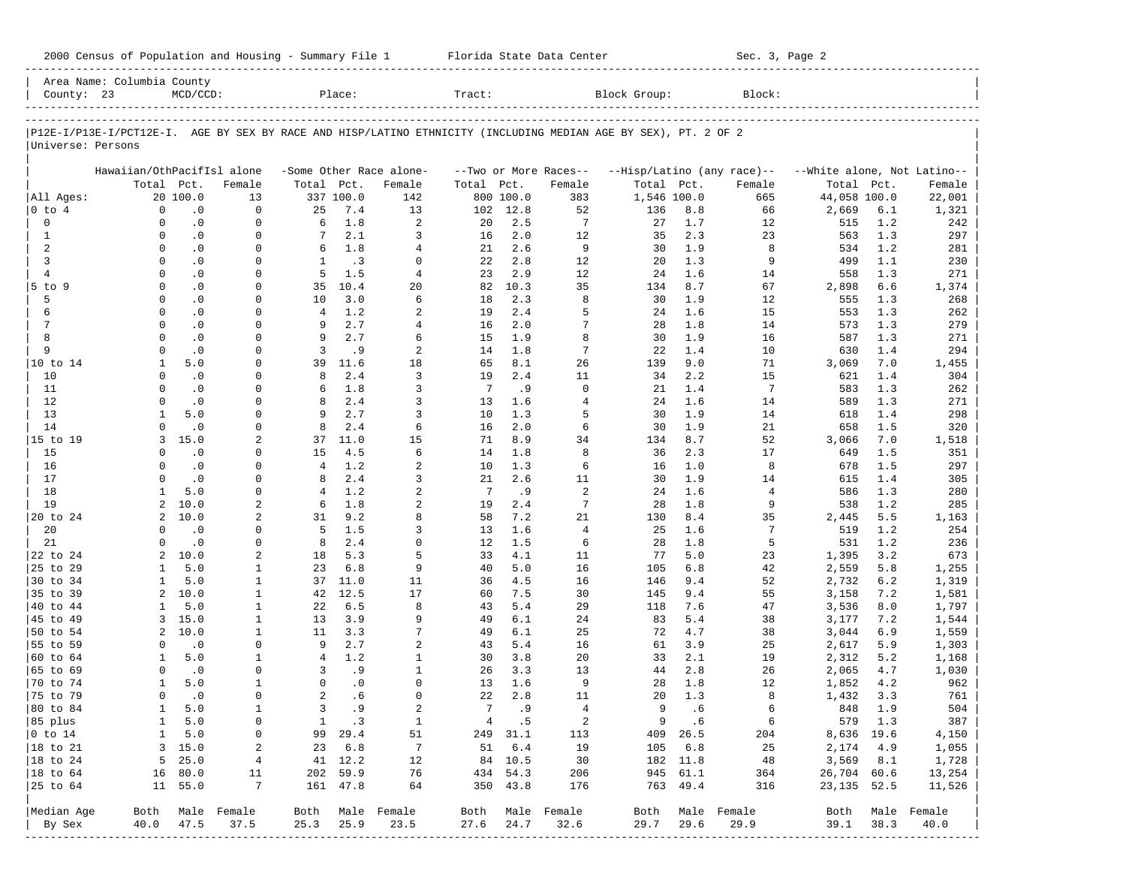| 2000 Census of Population and Housing - Summary File 1 |  | Florida State Data Center | Sec. 3, Page 2 |
|--------------------------------------------------------|--|---------------------------|----------------|
|--------------------------------------------------------|--|---------------------------|----------------|

|                      | Area Name: Columbia County                                                                                     |                        |                      |                |              |                         |            |            |                       |              |            |                            |                             |            |                  |
|----------------------|----------------------------------------------------------------------------------------------------------------|------------------------|----------------------|----------------|--------------|-------------------------|------------|------------|-----------------------|--------------|------------|----------------------------|-----------------------------|------------|------------------|
| County: 23           |                                                                                                                | $MCD/CCD$ :            |                      |                | Place:       |                         | Tract:     |            |                       | Block Group: |            | Block:                     |                             |            |                  |
|                      | P12E-I/P13E-I/PCT12E-I. AGE BY SEX BY RACE AND HISP/LATINO ETHNICITY (INCLUDING MEDIAN AGE BY SEX), PT. 2 OF 2 |                        |                      |                |              |                         |            |            |                       |              |            |                            |                             |            |                  |
| Universe: Persons    |                                                                                                                |                        |                      |                |              |                         |            |            |                       |              |            |                            |                             |            |                  |
|                      | Hawaiian/OthPacifIsl alone                                                                                     |                        |                      |                |              | -Some Other Race alone- |            |            | --Two or More Races-- |              |            | --Hisp/Latino (any race)-- | --White alone, Not Latino-- |            |                  |
|                      | Total Pct.                                                                                                     |                        | Female               | Total Pct.     |              | Female                  | Total Pct. |            | Female                | Total Pct.   |            | Female                     | Total Pct.                  |            | Female           |
| All Ages:            |                                                                                                                | 20 100.0               | 13                   |                | 337 100.0    | 142                     |            | 800 100.0  | 383                   | 1,546 100.0  |            | 665                        | 44,058 100.0                |            | 22,001           |
| $ 0 \t{to} 4$        | $\mathbf 0$                                                                                                    | $\cdot$ 0              | $\mathbf 0$          | 25             | 7.4          | 13                      | 102        | 12.8       | 52                    | 136          | 8.8        | 66                         | 2,669                       | 6.1        | 1,321            |
| $\mathbf 0$          | $\Omega$                                                                                                       | $\cdot$ 0              | $\mathbf 0$          | 6              | 1.8          | $\overline{a}$          | 20         | 2.5        | 7                     | 27           | 1.7        | 12                         | 515                         | 1.2        | 242              |
| $\mathbf{1}$         | $\Omega$                                                                                                       | $\cdot$ 0              | $\Omega$             | $7\phantom{.}$ | 2.1          | 3                       | 16         | 2.0        | 12                    | 35           | 2.3        | 23                         | 563                         | 1.3        | 297              |
| 2                    | $\Omega$                                                                                                       | $\cdot$ 0              | $\Omega$             | 6              | 1.8          | $\overline{4}$          | 21         | 2.6        | 9                     | 30           | 1.9        | 8                          | 534                         | 1.2        | 281              |
| 3                    | $\Omega$                                                                                                       | $\cdot$ 0              | $\Omega$             | $\mathbf{1}$   | .3           | $\Omega$                | 22         | 2.8        | 12                    | 20           | 1.3        | 9                          | 499                         | 1.1        | 230              |
| $\overline{4}$       | $\Omega$                                                                                                       | $\cdot$ 0              | $\Omega$             | 5              | 1.5          | $\overline{4}$          | 23         | 2.9        | 12                    | 24           | 1.6        | 14                         | 558                         | 1.3        | 271              |
| 5 to 9               | $\Omega$                                                                                                       | $\cdot$ 0              | $\Omega$             | 35             | 10.4         | 20                      | 82         | 10.3       | 35                    | 134          | 8.7        | 67                         | 2,898                       | 6.6        | 1,374            |
| 5                    | $\Omega$                                                                                                       | $\cdot$ 0              | $\Omega$             | 10             | 3.0          | 6                       | 18         | 2.3        | 8                     | 30           | 1.9        | 12                         | 555                         | 1.3        | 268              |
| 6<br>7               | $\Omega$<br>$\Omega$                                                                                           | $\cdot$ 0              | $\Omega$<br>$\Omega$ | 4              | 1.2<br>2.7   | 2<br>$\overline{4}$     | 19         | 2.4<br>2.0 | 5<br>7                | 24           | 1.6        | 15                         | 553                         | 1.3<br>1.3 | 262              |
| 8                    | $\Omega$                                                                                                       | $\cdot$ 0<br>$\cdot$ 0 | $\Omega$             | 9<br>9         | 2.7          | 6                       | 16<br>15   | 1.9        | 8                     | 28<br>30     | 1.8<br>1.9 | 14<br>16                   | 573<br>587                  | 1.3        | 279<br>271       |
| 9                    | $\Omega$                                                                                                       | $\cdot$ 0              | $\Omega$             | 3              | . 9          | 2                       | 14         | 1.8        | $\overline{7}$        | 22           | 1.4        | 10                         | 630                         | 1.4        | 294              |
| 10 to 14             | 1                                                                                                              | 5.0                    | $\Omega$             | 39             | 11.6         | 18                      | 65         | 8.1        | 26                    | 139          | 9.0        | 71                         | 3,069                       | 7.0        | 1,455            |
| 10                   | $\Omega$                                                                                                       | $\cdot$ 0              | $\Omega$             | 8              | 2.4          | 3                       | 19         | 2.4        | 11                    | 34           | 2.2        | 15                         | 621                         | 1.4        | 304              |
| 11                   | $\Omega$                                                                                                       | $\cdot$ 0              | $\Omega$             | 6              | 1.8          | 3                       | 7          | .9         | $\mathbf 0$           | 21           | 1.4        | $7\phantom{.0}$            | 583                         | 1.3        | 262              |
| 12                   | $\Omega$                                                                                                       | $\cdot$ 0              | $\Omega$             | 8              | 2.4          | 3                       | 13         | 1.6        | $\overline{4}$        | 24           | 1.6        | 14                         | 589                         | 1.3        | 271              |
| 13                   | 1                                                                                                              | 5.0                    | $\Omega$             | 9              | 2.7          | 3                       | 10         | 1.3        | 5                     | 30           | 1.9        | 14                         | 618                         | 1.4        | 298              |
| 14                   | $\Omega$                                                                                                       | $\cdot$ 0              | $\Omega$             | 8              | 2.4          | 6                       | 16         | 2.0        | 6                     | 30           | 1.9        | 21                         | 658                         | 1.5        | 320              |
| 15 to 19             | 3                                                                                                              | 15.0                   | 2                    | 37             | 11.0         | 15                      | 71         | 8.9        | 34                    | 134          | 8.7        | 52                         | 3,066                       | 7.0        | 1,518            |
| 15                   | $\Omega$                                                                                                       | $\cdot$ 0              | $\Omega$             | 15             | 4.5          | 6                       | 14         | 1.8        | 8                     | 36           | 2.3        | 17                         | 649                         | 1.5        | 351              |
| 16                   | $\Omega$                                                                                                       | $\cdot$ 0              | $\Omega$             | $\overline{4}$ | 1.2          | 2                       | 10         | 1.3        | 6                     | 16           | 1.0        | 8                          | 678                         | 1.5        | 297              |
| 17                   | $\Omega$                                                                                                       | $\cdot$ 0              | $\Omega$             | 8              | 2.4          | 3                       | 21         | 2.6        | 11                    | 30           | 1.9        | 14                         | 615                         | 1.4        | 305              |
| 18                   | 1                                                                                                              | 5.0                    | $\Omega$             | 4              | 1.2          | 2                       | 7          | .9         | 2                     | 24           | 1.6        | 4                          | 586                         | 1.3        | 280              |
| 19                   | 2                                                                                                              | 10.0                   | 2                    | 6              | 1.8          | 2                       | 19         | 2.4        | $\overline{7}$        | 28           | 1.8        | 9                          | 538                         | 1.2        | 285              |
| 20 to 24             | 2                                                                                                              | 10.0                   | 2                    | 31             | 9.2          | 8                       | 58         | 7.2        | 21                    | 130          | 8.4        | 35                         | 2,445                       | 5.5        | 1,163            |
| 20                   | $\Omega$                                                                                                       | $\cdot$ 0              | $\Omega$             | 5              | 1.5          | 3                       | 13         | 1.6        | $\overline{4}$        | 25           | 1.6        | 7                          | 519                         | 1.2        | 254              |
| 21                   | $\Omega$<br>2                                                                                                  | $\cdot$ 0              | $\Omega$             | 8              | 2.4<br>5.3   | $\Omega$<br>5           | 12         | 1.5<br>4.1 | 6                     | 28           | 1.8        | 5                          | 531                         | 1.2<br>3.2 | 236              |
| 22 to 24<br>25 to 29 | 1                                                                                                              | 10.0<br>5.0            | 2<br>1               | 18<br>23       | 6.8          | 9                       | 33<br>40   | 5.0        | 11<br>16              | 77<br>105    | 5.0<br>6.8 | 23<br>42                   | 1,395<br>2,559              | 5.8        | 673              |
| 30 to 34             | 1                                                                                                              | 5.0                    | 1                    | 37             | 11.0         | 11                      | 36         | 4.5        | 16                    | 146          | 9.4        | 52                         | 2,732                       | 6.2        | 1,255<br>1,319   |
| 35 to 39             | $\overline{a}$                                                                                                 | 10.0                   | $\mathbf{1}$         | 42             | 12.5         | 17                      | 60         | 7.5        | 30                    | 145          | 9.4        | 55                         | 3,158                       | 7.2        | 1,581            |
| 40 to 44             | 1                                                                                                              | 5.0                    | 1                    | 22             | 6.5          | 8                       | 43         | 5.4        | 29                    | 118          | 7.6        | 47                         | 3,536                       | 8.0        | 1,797            |
| 45 to 49             | 3                                                                                                              | 15.0                   | $\mathbf{1}$         | 13             | 3.9          | 9                       | 49         | 6.1        | 24                    | 83           | 5.4        | 38                         | 3,177                       | 7.2        | 1,544            |
| 50 to 54             | $\overline{a}$                                                                                                 | 10.0                   | 1                    | 11             | 3.3          | 7                       | 49         | 6.1        | 25                    | 72           | 4.7        | 38                         | 3,044                       | 6.9        | 1,559            |
| 55 to 59             | $\Omega$                                                                                                       | $\cdot$ 0              | $\Omega$             | 9              | 2.7          | 2                       | 43         | 5.4        | 16                    | 61           | 3.9        | 25                         | 2,617                       | 5.9        | 1,303            |
| 60 to 64             | 1                                                                                                              | 5.0                    | 1                    | $\overline{4}$ | 1.2          | $\mathbf{1}$            | 30         | 3.8        | 20                    | 33           | 2.1        | 19                         | 2,312                       | 5.2        | 1,168            |
| 65 to 69             | $\Omega$                                                                                                       | $\cdot$ 0              | $\Omega$             | 3              | .9           | $\mathbf{1}$            | 26         | 3.3        | 13                    | 44           | 2.8        | 26                         | 2,065                       | 4.7        | 1,030            |
| 70 to 74             | 1                                                                                                              | 5.0                    | 1                    | $\Omega$       | $\cdot$ 0    | $\Omega$                | 13         | 1.6        | 9                     | 28           | 1.8        | 12                         | 1,852                       | 4.2        | 962              |
| 75 to 79             | $\Omega$                                                                                                       | $\cdot$ 0              | 0                    | $\overline{2}$ | .6           | $\Omega$                | 22         | 2.8        | 11                    | 20           | 1.3        | 8                          | 1,432                       | 3.3        | 761              |
| 80 to 84             | $\mathbf{1}$                                                                                                   | 5.0                    | $\mathbf{1}$         | 3              | .9           | $\overline{a}$          | 7          | .9         | $\overline{4}$        | 9            | .6         | 6                          | 848                         | 1.9        | 504              |
| 85 plus              |                                                                                                                | 1 5.0                  | 0                    |                | $1 \quad .3$ | $\mathbf{1}$            |            | 4.5        | $\overline{a}$        |              | 9 .6       | $6\overline{6}$            | 579 1.3                     |            | 387              |
| $ 0 \t{to} 14$       | $\mathbf{1}$                                                                                                   | 5.0                    | 0                    |                | 99 29.4      | 51                      |            | 249 31.1   | 113                   |              | 409 26.5   | 204                        | 8,636 19.6                  |            | 4,150            |
| $ 18 \text{ to } 21$ |                                                                                                                | 3, 15.0                | 2                    |                | 23 6.8       | $\overline{7}$          |            | 51 6.4     | 19                    |              | 105 6.8    | 25                         | 2,174 4.9                   |            | 1,055            |
| $ 18 \text{ to } 24$ |                                                                                                                | $5 \quad 25.0$         | $\overline{4}$       |                | 41 12.2      | 12                      |            | 84 10.5    | 30                    |              | 182 11.8   | 48                         | $3,569$ $8.1$               |            | 1,728            |
| $ 18 \text{ to } 64$ |                                                                                                                | 16 80.0                | 11                   |                | 202 59.9     | 76                      |            | 434 54.3   | 206                   |              | 945 61.1   | 364                        | 26,704 60.6                 |            | 13,254           |
|                      |                                                                                                                | 11 55.0                | $7\phantom{.0}$      |                | 161 47.8     | 64                      |            | 350 43.8   | 176                   |              | 763 49.4   | 316                        | 23, 135 52.5                |            | 11,526           |
| Median Age           |                                                                                                                |                        | Both Male Female     |                |              | Both Male Female        |            |            | Both Male Female      |              |            | Both Male Female           |                             |            | Both Male Female |
| By Sex               |                                                                                                                | 40.0 47.5              | 37.5                 | 25.3           | 25.9         | 23.5                    |            | 27.6 24.7  | 32.6                  | 29.7         | 29.6       | 29.9                       | 39.1 38.3                   |            | 40.0             |
|                      |                                                                                                                |                        |                      |                |              |                         |            |            |                       |              |            |                            |                             |            |                  |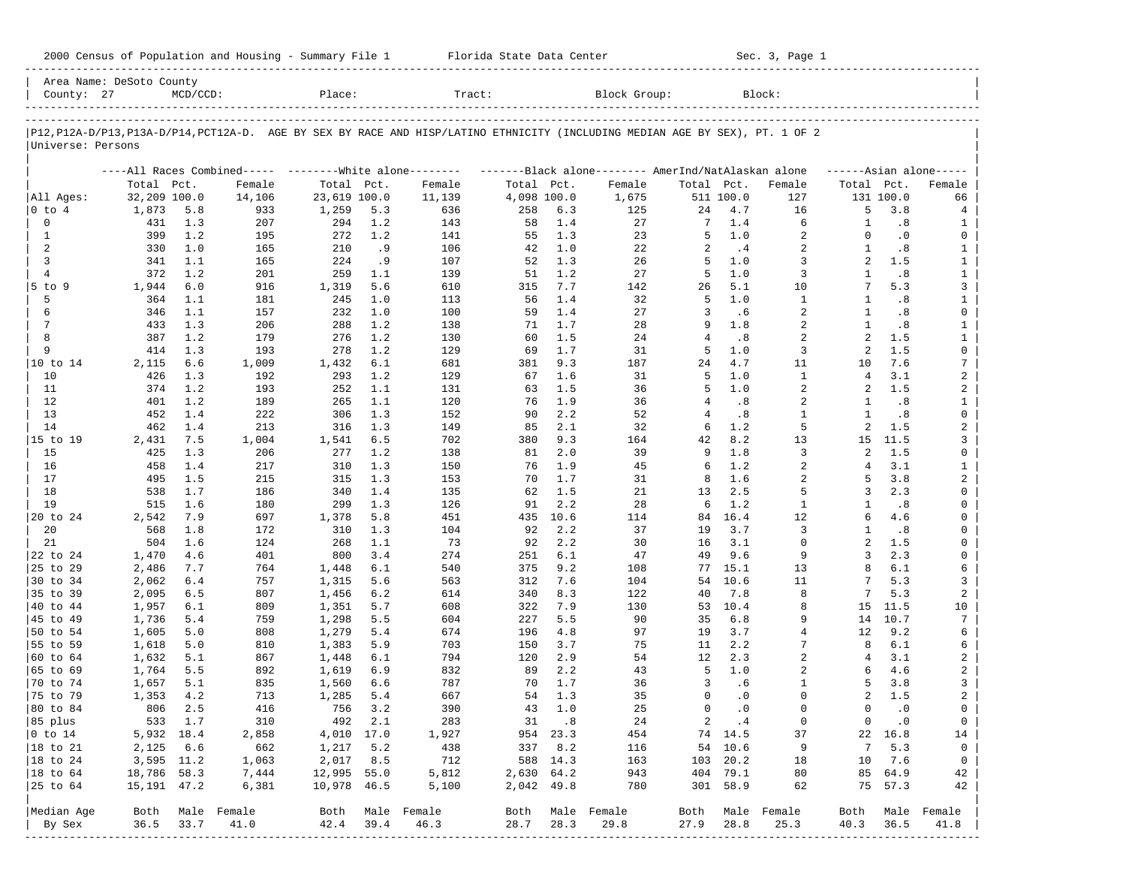| 2000 Census of Population and Housing - Summary File 1 |  | Florida State Data Center | Sec. 3, Page 1 |
|--------------------------------------------------------|--|---------------------------|----------------|
|--------------------------------------------------------|--|---------------------------|----------------|

| County: 27           | Area Name: DeSoto County | $MCD/CCD$ : |             | Place:         |            | Tract:                                                                                                                     |             |            | Block Group:     |                |              | Block:              |                          |            |                              |
|----------------------|--------------------------|-------------|-------------|----------------|------------|----------------------------------------------------------------------------------------------------------------------------|-------------|------------|------------------|----------------|--------------|---------------------|--------------------------|------------|------------------------------|
|                      |                          |             |             |                |            | P12,P12A-D/P13,P13A-D/P14,PCT12A-D. AGE BY SEX BY RACE AND HISP/LATINO ETHNICITY (INCLUDING MEDIAN AGE BY SEX), PT. 1 OF 2 |             |            |                  |                |              |                     |                          |            |                              |
| Universe: Persons    |                          |             |             |                |            |                                                                                                                            |             |            |                  |                |              |                     |                          |            |                              |
|                      |                          |             |             |                |            | ----All Races Combined----- --------White alone-------- ---------Black alone-------- AmerInd/NatAlaskan alone              |             |            |                  |                |              |                     | $---Asian alone---$      |            |                              |
|                      | Total Pct.               |             | Female      | Total Pct.     |            | Female                                                                                                                     | Total Pct.  |            | Female           | Total Pct.     |              | Female              | Total Pct.               |            | Female                       |
| All Ages:            | 32,209 100.0             |             | 14,106      | 23,619 100.0   |            | 11,139                                                                                                                     | 4,098 100.0 |            | 1,675            |                | 511 100.0    | 127                 |                          | 131 100.0  | 66                           |
| $ 0 \t{to} 4$        | 1,873                    | 5.8         | 933         | 1,259          | 5.3        | 636                                                                                                                        | 258         | 6.3        | 125              | 24             | 4.7          | 16                  | 5                        | 3.8        | 4                            |
| $\mathbf 0$          | 431                      | 1.3         | 207         | 294            | 1.2        | 143                                                                                                                        | 58          | 1.4        | 27               | 7              | 1.4          | 6                   | 1                        | .8         | 1                            |
| 1                    | 399                      | 1.2         | 195         | 272            | 1.2        | 141                                                                                                                        | 55          | 1.3        | 23               | 5              | 1.0          | 2                   | $\Omega$<br>$\mathbf{1}$ | $\cdot$ 0  | 0                            |
| 2<br>3               | 330<br>341               | 1.0<br>1.1  | 165<br>165  | 210<br>224     | . 9        | 106<br>107                                                                                                                 | 42<br>52    | 1.0<br>1.3 | 22<br>26         | 2<br>5         | .4<br>1.0    | $\overline{a}$<br>3 | 2                        | .8<br>1.5  | $\mathbf{1}$<br>$\mathbf{1}$ |
| $\overline{4}$       | 372                      | 1.2         | 201         | 259            | . 9<br>1.1 | 139                                                                                                                        | 51          | 1.2        | 27               | 5              | 1.0          | 3                   | $\mathbf{1}$             | .8         | $\mathbf{1}$                 |
| $5$ to $9$           | 1,944                    | 6.0         | 916         | 1,319          | 5.6        | 610                                                                                                                        | 315         | 7.7        | 142              | 26             | 5.1          | 10                  | 7                        | 5.3        | 3                            |
| 5                    | 364                      | 1.1         | 181         | 245            | 1.0        | 113                                                                                                                        | 56          | 1.4        | 32               | 5              | 1.0          | $\mathbf{1}$        | -1                       | .8         | $\mathbf{1}$                 |
| 6                    | 346                      | 1.1         | 157         | 232            | 1.0        | 100                                                                                                                        | 59          | 1.4        | 27               | 3              | .6           | 2                   | 1                        | .8         | 0                            |
| $7\phantom{.0}$      | 433                      | 1.3         | 206         | 288            | 1.2        | 138                                                                                                                        | 71          | 1.7        | 28               | 9              | 1.8          | $\overline{a}$      | $\mathbf{1}$             | .8         | $\mathbf{1}$                 |
| 8                    | 387                      | 1.2         | 179         | 276            | 1.2        | 130                                                                                                                        | 60          | 1.5        | 24               | $\overline{4}$ | .8           | 2                   | 2                        | 1.5        | $\mathbf{1}$                 |
| 9                    | 414                      | 1.3         | 193         | 278            | 1.2        | 129                                                                                                                        | 69          | 1.7        | 31               | 5              | 1.0          | 3                   | 2                        | 1.5        | 0                            |
| 10 to 14             | 2,115                    | 6.6         | 1,009       | 1,432          | 6.1        | 681                                                                                                                        | 381         | 9.3        | 187              | 24             | 4.7          | 11                  | 10                       | 7.6        | 7                            |
| 10                   | 426                      | 1.3         | 192         | 293            | 1.2        | 129                                                                                                                        | 67          | 1.6        | 31               | 5              | 1.0          | $\mathbf{1}$        | 4                        | 3.1        | 2                            |
| 11                   | 374                      | 1.2         | 193         | 252            | 1.1        | 131                                                                                                                        | 63          | 1.5        | 36               | 5              | $1\,.$ $0\,$ | 2                   | 2                        | 1.5        | 2                            |
| 12                   | 401                      | 1.2         | 189         | 265            | 1.1        | 120                                                                                                                        | 76          | 1.9        | 36               | 4              | .8           | 2                   | 1                        | .8         | $\mathbf{1}$                 |
| 13                   | 452                      | 1.4         | 222         | 306            | 1.3        | 152                                                                                                                        | 90          | 2.2        | 52               | 4              | .8           | 1                   | 1                        | .8         | 0                            |
| 14                   | 462                      | 1.4         | 213         | 316            | 1.3        | 149                                                                                                                        | 85          | 2.1        | 32               | 6              | 1.2          | 5                   | 2                        | 1.5        | 2                            |
| 15 to 19             | 2,431                    | 7.5         | 1,004       | 1,541          | 6.5        | 702                                                                                                                        | 380         | 9.3        | 164              | 42             | 8.2          | 13                  | 15                       | 11.5       | 3                            |
| 15                   | 425                      | 1.3         | 206         | 277            | 1.2        | 138                                                                                                                        | 81          | 2.0        | 39               | 9              | $1.8\,$      | 3                   | 2                        | 1.5        | 0                            |
| 16                   | 458                      | 1.4         | 217         | 310            | 1.3        | 150                                                                                                                        | 76          | 1.9        | 45               | 6              | 1.2          | 2                   | 4                        | 3.1        | $\mathbf{1}$                 |
| 17                   | 495                      | 1.5         | 215         | 315            | 1.3        | 153                                                                                                                        | 70          | 1.7        | 31               | 8              | 1.6          | $\overline{a}$      | 5                        | 3.8        | $\overline{a}$               |
| 18                   | 538                      | 1.7         | 186         | 340            | 1.4        | 135                                                                                                                        | 62          | 1.5        | 21               | 13             | 2.5          | 5                   | 3                        | 2.3        | 0                            |
| 19                   | 515                      | 1.6         | 180         | 299            | 1.3        | 126                                                                                                                        | 91          | 2.2        | 28               | 6              | 1.2          | $\mathbf{1}$        | -1                       | .8         | 0                            |
| 20 to 24             | 2,542                    | 7.9         | 697         | 1,378          | 5.8        | 451                                                                                                                        | 435         | 10.6       | 114              | 84             | 16.4         | 12                  | 6                        | 4.6        | 0                            |
| 20                   | 568                      | 1.8         | 172         | 310            | 1.3        | 104                                                                                                                        | 92          | 2.2        | 37               | 19             | 3.7          | 3                   | -1                       | .8         | 0                            |
| 21                   | 504                      | 1.6         | 124         | 268            | 1.1        | 73                                                                                                                         | 92          | 2.2        | 30               | 16             | 3.1          | $\mathbf 0$         | 2                        | 1.5        | 0                            |
| 22 to 24             | 1,470                    | 4.6         | 401         | 800            | 3.4        | 274                                                                                                                        | 251         | 6.1        | 47               | 49             | 9.6          | 9                   | 3<br>8                   | 2.3        | 0                            |
| 25 to 29<br>30 to 34 | 2,486                    | 7.7<br>6.4  | 764<br>757  | 1,448          | 6.1<br>5.6 | 540<br>563                                                                                                                 | 375<br>312  | 9.2<br>7.6 | 108<br>104       | 77<br>54       | 15.1<br>10.6 | 13<br>11            | 7                        | 6.1<br>5.3 | 6<br>3                       |
| 35 to 39             | 2,062<br>2,095           | 6.5         | 807         | 1,315<br>1,456 | 6.2        | 614                                                                                                                        | 340         | 8.3        | 122              | 40             | 7.8          | 8                   | 7                        | 5.3        | 2                            |
| 40 to 44             | 1,957                    | 6.1         | 809         | 1,351          | 5.7        | 608                                                                                                                        | 322         | 7.9        | 130              | 53             | 10.4         | 8                   | 15                       | 11.5       | 10                           |
| 45 to 49             | 1,736                    | 5.4         | 759         | 1,298          | 5.5        | 604                                                                                                                        | 227         | 5.5        | 90               | 35             | 6.8          | 9                   | 14                       | 10.7       | 7                            |
| 50 to 54             | 1,605                    | 5.0         | 808         | 1,279          | 5.4        | 674                                                                                                                        | 196         | 4.8        | 97               | 19             | 3.7          | $\overline{4}$      | 12                       | 9.2        | 6                            |
| 55 to 59             | 1,618                    | 5.0         | 810         | 1,383          | 5.9        | 703                                                                                                                        | 150         | 3.7        | 75               | 11             | 2.2          | 7                   | 8                        | 6.1        | 6                            |
| 60 to 64             | 1,632                    | 5.1         | 867         | 1,448          | 6.1        | 794                                                                                                                        | 120         | 2.9        | 54               | 12             | 2.3          | $\overline{a}$      | 4                        | 3.1        | 2                            |
| 65 to 69             | 1,764                    | 5.5         | 892         | 1,619          | 6.9        | 832                                                                                                                        | 89          | 2.2        | 43               | -5             | 1.0          | 2                   | 6                        | 4.6        | 2                            |
| 70 to 74             | 1,657                    | 5.1         | 835         | 1,560          | 6.6        | 787                                                                                                                        | 70          | 1.7        | 36               | 3              | .6           | $\mathbf{1}$        | 5                        | 3.8        | 3                            |
| 75 to 79             | 1,353                    | 4.2         | 713         | 1,285          | 5.4        | 667                                                                                                                        | 54          | 1.3        | 35               | $\Omega$       | $\cdot$ 0    | $\Omega$            | 2                        | 1.5        | 2                            |
| 80 to 84             | 806                      | 2.5         | 416         | 756            | 3.2        | 390                                                                                                                        | 43          | 1.0        | 25               | $\mathbf 0$    | $\cdot$ 0    | $\Omega$            | $\Omega$                 | $\cdot$ 0  | 0                            |
| 85 plus              |                          | 533 1.7     | 310         |                | 492 2.1    | 283                                                                                                                        |             | 31 .8      | 24               |                | 2 .4         | 0                   | $\overline{0}$           | $\cdot$ 0  | $\overline{0}$               |
| $ 0 \t{to} 14$       | 5,932 18.4               |             | 2,858       | 4,010 17.0     |            | 1,927                                                                                                                      |             | 954 23.3   | 454              |                | 74 14.5      | 37                  |                          | 22 16.8    | 14                           |
| 18 to 21             | 2,125                    | 6.6         | 662         | 1,217          | 5.2        | 438                                                                                                                        | 337         | 8.2        | 116              |                | 54 10.6      | 9                   | 7                        | 5.3        | 0                            |
| $ 18$ to 24          | 3,595 11.2               |             | 1,063       | 2,017          | 8.5        | 712                                                                                                                        |             | 588 14.3   | 163              |                | 103 20.2     | 18                  | 10                       | 7.6        | $\overline{0}$               |
| 18 to 64             | 18,786 58.3              |             | 7,444       | 12,995 55.0    |            | 5,812                                                                                                                      | 2,630 64.2  |            | 943              |                | 404 79.1     | 80                  |                          | 85 64.9    | 42                           |
| 25 to 64             | 15, 191 47.2             |             | 6,381       | 10,978 46.5    |            | 5,100                                                                                                                      | 2,042 49.8  |            | 780              |                | 301 58.9     | 62                  |                          | 75 57.3    | 42                           |
| Median Age           | Both                     |             | Male Female |                |            | Both Male Female                                                                                                           |             |            | Both Male Female |                |              | Both Male Female    | Both                     |            | Male Female                  |
| By Sex               | 36.5                     | 33.7        | 41.0        | 42.4           | 39.4       | 46.3                                                                                                                       | 28.7        | 28.3       | 29.8             | 27.9           | 28.8         | 25.3                | 40.3                     | 36.5       | 41.8                         |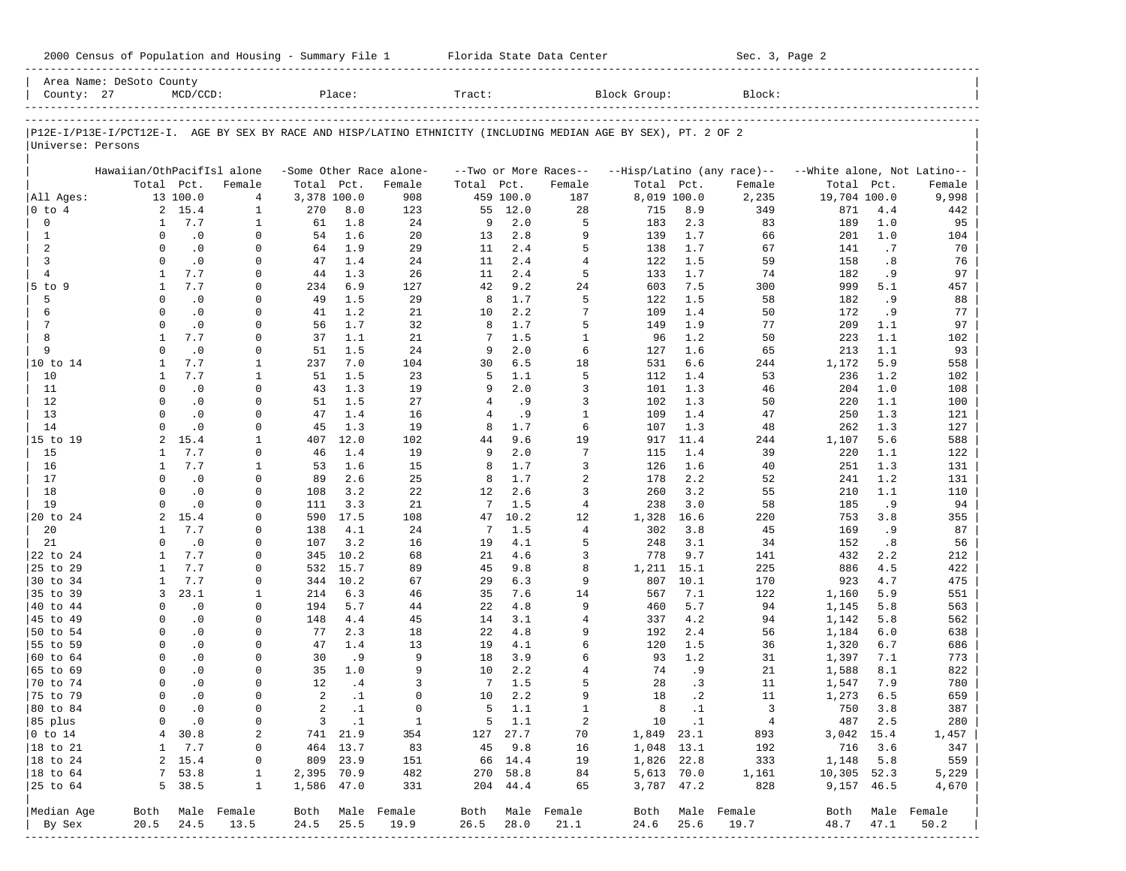| Block Group:<br>County: 27<br>$MCD/CCD$ :<br>Place:<br>Tract:<br>Block:<br>P12E-I/P13E-I/PCT12E-I. AGE BY SEX BY RACE AND HISP/LATINO ETHNICITY (INCLUDING MEDIAN AGE BY SEX), PT. 2 OF 2<br>Universe: Persons<br>Hawaiian/OthPacifIsl alone<br>-Some Other Race alone-<br>--Two or More Races--<br>--Hisp/Latino (any race)--<br>--White alone, Not Latino--<br>Total Pct.<br>Total Pct.<br>Female<br>Total Pct.<br>Total Pct.<br>Female<br>Total<br>Pct.<br>Female<br>Female<br>3,378 100.0<br>8,019 100.0<br>All Ages:<br>13 100.0<br>$\overline{4}$<br>908<br>459 100.0<br>187<br>2,235<br>19,704 100.0<br>2, 15.4<br>8.0<br>12.0<br>8.9<br>349<br>871<br>$0$ to $4$<br>$\mathbf{1}$<br>270<br>123<br>55<br>28<br>715<br>4.4<br>$\mathbf 0$<br>7.7<br>1.8<br>2.0<br>5<br>$\mathbf{1}$<br>24<br>9<br>2.3<br>83<br>189<br>1.0<br>$\mathbf{1}$<br>61<br>183<br>$\cdot$ 0<br>1.6<br>2.8<br>1.0<br>$\mathbf{1}$<br>$\Omega$<br>54<br>20<br>9<br>139<br>1.7<br>66<br>201<br>$\Omega$<br>13<br>$\overline{a}$<br>$\cdot$ 0<br>1.9<br>2.4<br>5<br>.7<br>$\Omega$<br>29<br>1.7<br>67<br>$\Omega$<br>64<br>11<br>138<br>141<br>$\cdot$ 0<br>1.4<br>.8<br>3<br>$\Omega$<br>$\Omega$<br>2.4<br>$\overline{4}$<br>1.5<br>59<br>158<br>47<br>24<br>11<br>122<br>$\overline{4}$<br>7.7<br>1.3<br>2.4<br>5<br>$\mathbf{1}$<br>26<br>1.7<br>74<br>. 9<br>$\Omega$<br>44<br>11<br>133<br>182<br>7.7<br>6.9<br>9.2<br>5.1<br>$\Omega$<br>234<br>127<br>42<br>24<br>7.5<br>300<br>999<br>5 to 9<br>1<br>603<br>5<br>$\cdot$ 0<br>1.5<br>1.7<br>5<br>.9<br>$\Omega$<br>29<br>8<br>1.5<br>58<br>$\Omega$<br>49<br>122<br>182<br>$\cdot$ 0<br>1.2<br>2.2<br>$\overline{7}$<br>.9<br>$\Omega$<br>21<br>1.4<br>50<br>172<br>6<br>$\Omega$<br>41<br>10<br>109<br>$7\phantom{.0}$<br>$\cdot$ 0<br>1.7<br>5<br>$\Omega$<br>32<br>1.7<br>1.9<br>77<br>1.1<br>$\Omega$<br>56<br>8<br>149<br>209<br>8<br>7.7<br>1.1<br>1.5<br>$\mathbf{1}$<br>1.1<br>$\mathbf{1}$<br>$\Omega$<br>37<br>21<br>7<br>1.2<br>50<br>223<br>96<br>9<br>$\Omega$<br>$\cdot$ 0<br>1.5<br>2.0<br>6<br>1.1<br>$\mathbf 0$<br>51<br>24<br>1.6<br>65<br>213<br>9<br>127<br>7.7<br>7.0<br>6.5<br>5.9<br>10 to 14<br>$\mathbf{1}$<br>237<br>18<br>531<br>6.6<br>1,172<br>1<br>104<br>30<br>244<br>7.7<br>1.5<br>1.1<br>5<br>1.2<br>10<br>$\mathbf{1}$<br>$\mathbf{1}$<br>23<br>1.4<br>53<br>236<br>51<br>5<br>112<br>2.0<br>$\cdot$ 0<br>1.3<br>3<br>1.0<br>$\Omega$<br>$\Omega$<br>43<br>19<br>101<br>1.3<br>46<br>204<br>11<br>9<br>.0<br>1.5<br>27<br>3<br>1.1<br>12<br>$\Omega$<br>$\Omega$<br>.9<br>1.3<br>50<br>220<br>51<br>4<br>102<br>13<br>$\cdot$ 0<br>1.4<br>$\mathbf{1}$<br>1.3<br>$\Omega$<br>$\Omega$<br>47<br>16<br>.9<br>109<br>1.4<br>250<br>4<br>47<br>14<br>$\Omega$<br>$\cdot$ 0<br>1.3<br>1.7<br>6<br>1.3<br>$\Omega$<br>19<br>8<br>1.3<br>48<br>262<br>45<br>107<br>15.4<br>12.0<br>9.6<br>5.6<br>15 to 19<br>2<br>$\mathbf{1}$<br>407<br>102<br>19<br>917<br>11.4<br>244<br>1,107<br>44<br>7.7<br>1.4<br>2.0<br>7<br>1.1<br>15<br>$\mathbf 0$<br>46<br>19<br>9<br>1.4<br>39<br>220<br>1<br>115<br>7.7<br>1.6<br>1.7<br>3<br>1.3<br>$\mathbf{1}$<br>15<br>8<br>126<br>1.6<br>40<br>251<br>16<br>1<br>53<br>$\overline{a}$<br>$\cdot$ 0<br>2.6<br>1.7<br>2.2<br>1.2<br>17<br>$\Omega$<br>$\Omega$<br>89<br>25<br>8<br>178<br>52<br>241<br>18<br>$\cdot$ 0<br>3.2<br>2.6<br>3<br>3.2<br>1.1<br>$\Omega$<br>$\Omega$<br>108<br>22<br>12<br>260<br>55<br>210<br>19<br>$\cdot$ 0<br>3.3<br>21<br>1.5<br>$\overline{4}$<br>.9<br>$\Omega$<br>7<br>238<br>3.0<br>58<br>$\Omega$<br>111<br>185<br>17.5<br>3.8<br>2<br>15.4<br>590<br>108<br>10.2<br>12<br>16.6<br>753<br>20 to 24<br>$\Omega$<br>47<br>1,328<br>220<br>7.7<br>4.1<br>1.5<br>.9<br>20<br>138<br>24<br>7<br>$\overline{4}$<br>302<br>3.8<br>45<br>$\mathbf{1}$<br>$\Omega$<br>169<br>$\cdot$ 0<br>3.2<br>4.1<br>3.1<br>.8<br>21<br>$\Omega$<br>107<br>5<br>248<br>34<br>152<br>$\Omega$<br>16<br>19<br>7.7<br>4.6<br>3<br>10.2<br>778<br>9.7<br>141<br>2.2<br>22 to 24<br>$\mathbf{1}$<br>$\Omega$<br>345<br>68<br>21<br>432<br>7.7<br>25 to 29<br>15.7<br>89<br>9.8<br>8<br>1,211<br>15.1<br>225<br>4.5<br>$\mathbf{1}$<br>$\Omega$<br>532<br>45<br>886<br>7.7<br>4.7<br>30 to 34<br>$\mathbf{1}$<br>10.2<br>6.3<br>9<br>807<br>10.1<br>170<br>923<br>$\Omega$<br>344<br>67<br>29<br>23.1<br>6.3<br>35 to 39<br>3<br>$\mathbf{1}$<br>7.6<br>14<br>7.1<br>122<br>5.9<br>214<br>46<br>35<br>567<br>1,160<br>.0<br>4.8<br>9<br>40 to 44<br>$\Omega$<br>5.7<br>5.7<br>94<br>5.8<br>$\Omega$<br>194<br>44<br>22<br>460<br>1,145<br>$\cdot$ 0<br>45 to 49<br>4.4<br>45<br>3.1<br>$\overline{4}$<br>4.2<br>5.8<br>$\Omega$<br>$\Omega$<br>148<br>14<br>337<br>94<br>1,142<br>$\cdot$ 0<br>2.3<br>4.8<br>9<br>50 to 54<br>$\Omega$<br>2.4<br>56<br>6.0<br>$\Omega$<br>77<br>18<br>22<br>192<br>1,184<br>$\cdot$ 0<br>1.4<br>55 to 59<br>$\Omega$<br>$\Omega$<br>47<br>13<br>4.1<br>6<br>6.7<br>19<br>120<br>1.5<br>36<br>1,320<br>$\cdot$ 0<br>9<br>3.9<br>60 to 64<br>$\Omega$<br>. 9<br>6<br>1.2<br>7.1<br>$\Omega$<br>30<br>18<br>93<br>31<br>1,397<br>65 to 69<br>$\cdot$ 0<br>35<br>1.0<br>9<br>2.2<br>$\overline{4}$<br>.9<br>21<br>8.1<br>$\Omega$<br>$\Omega$<br>10<br>74<br>1,588<br>5<br>70 to 74<br>$\Omega$<br>$\cdot$ 0<br>$12 \overline{ }$<br>.4<br>3<br>1.5<br>.3<br>7.9<br>$\Omega$<br>7<br>28<br>11<br>1,547<br>2<br>2.2<br>75 to 79<br>$\cdot$ 0<br>$\cdot$ 1<br>$\Omega$<br>9<br>18<br>$\cdot$ 2<br>11<br>6.5<br>$\Omega$<br>$\Omega$<br>10<br>1,273<br>$\Omega$<br>.0<br>2<br>$\cdot$ 1<br>$\Omega$<br>1.1<br>$\mathbf{1}$<br>8<br>$\cdot$ 1<br>$\Omega$<br>5<br>3<br>750<br>3.8<br>80 to 84<br>487 2.5<br>$5 \quad 1.1$<br>$10$ .1<br>85 plus<br>0<br>$\cdot$ 0<br>0<br>$3 \qquad \qquad .1$<br>$\overline{1}$<br>2 |            |  |                |  |  |  |  |  | Area Name: DeSoto County |  |
|--------------------------------------------------------------------------------------------------------------------------------------------------------------------------------------------------------------------------------------------------------------------------------------------------------------------------------------------------------------------------------------------------------------------------------------------------------------------------------------------------------------------------------------------------------------------------------------------------------------------------------------------------------------------------------------------------------------------------------------------------------------------------------------------------------------------------------------------------------------------------------------------------------------------------------------------------------------------------------------------------------------------------------------------------------------------------------------------------------------------------------------------------------------------------------------------------------------------------------------------------------------------------------------------------------------------------------------------------------------------------------------------------------------------------------------------------------------------------------------------------------------------------------------------------------------------------------------------------------------------------------------------------------------------------------------------------------------------------------------------------------------------------------------------------------------------------------------------------------------------------------------------------------------------------------------------------------------------------------------------------------------------------------------------------------------------------------------------------------------------------------------------------------------------------------------------------------------------------------------------------------------------------------------------------------------------------------------------------------------------------------------------------------------------------------------------------------------------------------------------------------------------------------------------------------------------------------------------------------------------------------------------------------------------------------------------------------------------------------------------------------------------------------------------------------------------------------------------------------------------------------------------------------------------------------------------------------------------------------------------------------------------------------------------------------------------------------------------------------------------------------------------------------------------------------------------------------------------------------------------------------------------------------------------------------------------------------------------------------------------------------------------------------------------------------------------------------------------------------------------------------------------------------------------------------------------------------------------------------------------------------------------------------------------------------------------------------------------------------------------------------------------------------------------------------------------------------------------------------------------------------------------------------------------------------------------------------------------------------------------------------------------------------------------------------------------------------------------------------------------------------------------------------------------------------------------------------------------------------------------------------------------------------------------------------------------------------------------------------------------------------------------------------------------------------------------------------------------------------------------------------------------------------------------------------------------------------------------------------------------------------------------------------------------------------------------------------------------------------------------------------------------------------------------------------------------------------------------------------------------------------------------------------------------------------------------------------------------------------------------------------------------------------------------------------------------------------------------------------------------------------------------------------------------------------------------------------------------------------------------------------------------------------------------------------------------------------------------------------------------------------------------------------------------------------------------------------------------------------------------------------------------------------------------------------------------------------------------------------------------------------------------------------------------------------------------------------------------------------------------------------|------------|--|----------------|--|--|--|--|--|--------------------------|--|
|                                                                                                                                                                                                                                                                                                                                                                                                                                                                                                                                                                                                                                                                                                                                                                                                                                                                                                                                                                                                                                                                                                                                                                                                                                                                                                                                                                                                                                                                                                                                                                                                                                                                                                                                                                                                                                                                                                                                                                                                                                                                                                                                                                                                                                                                                                                                                                                                                                                                                                                                                                                                                                                                                                                                                                                                                                                                                                                                                                                                                                                                                                                                                                                                                                                                                                                                                                                                                                                                                                                                                                                                                                                                                                                                                                                                                                                                                                                                                                                                                                                                                                                                                                                                                                                                                                                                                                                                                                                                                                                                                                                                                                                                                                                                                                                                                                                                                                                                                                                                                                                                                                                                                                                                                                                                                                                                                                                                                                                                                                                                                                                                                                                                                                                                                        |            |  |                |  |  |  |  |  |                          |  |
|                                                                                                                                                                                                                                                                                                                                                                                                                                                                                                                                                                                                                                                                                                                                                                                                                                                                                                                                                                                                                                                                                                                                                                                                                                                                                                                                                                                                                                                                                                                                                                                                                                                                                                                                                                                                                                                                                                                                                                                                                                                                                                                                                                                                                                                                                                                                                                                                                                                                                                                                                                                                                                                                                                                                                                                                                                                                                                                                                                                                                                                                                                                                                                                                                                                                                                                                                                                                                                                                                                                                                                                                                                                                                                                                                                                                                                                                                                                                                                                                                                                                                                                                                                                                                                                                                                                                                                                                                                                                                                                                                                                                                                                                                                                                                                                                                                                                                                                                                                                                                                                                                                                                                                                                                                                                                                                                                                                                                                                                                                                                                                                                                                                                                                                                                        |            |  |                |  |  |  |  |  |                          |  |
|                                                                                                                                                                                                                                                                                                                                                                                                                                                                                                                                                                                                                                                                                                                                                                                                                                                                                                                                                                                                                                                                                                                                                                                                                                                                                                                                                                                                                                                                                                                                                                                                                                                                                                                                                                                                                                                                                                                                                                                                                                                                                                                                                                                                                                                                                                                                                                                                                                                                                                                                                                                                                                                                                                                                                                                                                                                                                                                                                                                                                                                                                                                                                                                                                                                                                                                                                                                                                                                                                                                                                                                                                                                                                                                                                                                                                                                                                                                                                                                                                                                                                                                                                                                                                                                                                                                                                                                                                                                                                                                                                                                                                                                                                                                                                                                                                                                                                                                                                                                                                                                                                                                                                                                                                                                                                                                                                                                                                                                                                                                                                                                                                                                                                                                                                        |            |  |                |  |  |  |  |  |                          |  |
|                                                                                                                                                                                                                                                                                                                                                                                                                                                                                                                                                                                                                                                                                                                                                                                                                                                                                                                                                                                                                                                                                                                                                                                                                                                                                                                                                                                                                                                                                                                                                                                                                                                                                                                                                                                                                                                                                                                                                                                                                                                                                                                                                                                                                                                                                                                                                                                                                                                                                                                                                                                                                                                                                                                                                                                                                                                                                                                                                                                                                                                                                                                                                                                                                                                                                                                                                                                                                                                                                                                                                                                                                                                                                                                                                                                                                                                                                                                                                                                                                                                                                                                                                                                                                                                                                                                                                                                                                                                                                                                                                                                                                                                                                                                                                                                                                                                                                                                                                                                                                                                                                                                                                                                                                                                                                                                                                                                                                                                                                                                                                                                                                                                                                                                                                        |            |  |                |  |  |  |  |  |                          |  |
|                                                                                                                                                                                                                                                                                                                                                                                                                                                                                                                                                                                                                                                                                                                                                                                                                                                                                                                                                                                                                                                                                                                                                                                                                                                                                                                                                                                                                                                                                                                                                                                                                                                                                                                                                                                                                                                                                                                                                                                                                                                                                                                                                                                                                                                                                                                                                                                                                                                                                                                                                                                                                                                                                                                                                                                                                                                                                                                                                                                                                                                                                                                                                                                                                                                                                                                                                                                                                                                                                                                                                                                                                                                                                                                                                                                                                                                                                                                                                                                                                                                                                                                                                                                                                                                                                                                                                                                                                                                                                                                                                                                                                                                                                                                                                                                                                                                                                                                                                                                                                                                                                                                                                                                                                                                                                                                                                                                                                                                                                                                                                                                                                                                                                                                                                        | Female     |  |                |  |  |  |  |  |                          |  |
|                                                                                                                                                                                                                                                                                                                                                                                                                                                                                                                                                                                                                                                                                                                                                                                                                                                                                                                                                                                                                                                                                                                                                                                                                                                                                                                                                                                                                                                                                                                                                                                                                                                                                                                                                                                                                                                                                                                                                                                                                                                                                                                                                                                                                                                                                                                                                                                                                                                                                                                                                                                                                                                                                                                                                                                                                                                                                                                                                                                                                                                                                                                                                                                                                                                                                                                                                                                                                                                                                                                                                                                                                                                                                                                                                                                                                                                                                                                                                                                                                                                                                                                                                                                                                                                                                                                                                                                                                                                                                                                                                                                                                                                                                                                                                                                                                                                                                                                                                                                                                                                                                                                                                                                                                                                                                                                                                                                                                                                                                                                                                                                                                                                                                                                                                        | 9,998      |  |                |  |  |  |  |  |                          |  |
|                                                                                                                                                                                                                                                                                                                                                                                                                                                                                                                                                                                                                                                                                                                                                                                                                                                                                                                                                                                                                                                                                                                                                                                                                                                                                                                                                                                                                                                                                                                                                                                                                                                                                                                                                                                                                                                                                                                                                                                                                                                                                                                                                                                                                                                                                                                                                                                                                                                                                                                                                                                                                                                                                                                                                                                                                                                                                                                                                                                                                                                                                                                                                                                                                                                                                                                                                                                                                                                                                                                                                                                                                                                                                                                                                                                                                                                                                                                                                                                                                                                                                                                                                                                                                                                                                                                                                                                                                                                                                                                                                                                                                                                                                                                                                                                                                                                                                                                                                                                                                                                                                                                                                                                                                                                                                                                                                                                                                                                                                                                                                                                                                                                                                                                                                        | 442        |  |                |  |  |  |  |  |                          |  |
|                                                                                                                                                                                                                                                                                                                                                                                                                                                                                                                                                                                                                                                                                                                                                                                                                                                                                                                                                                                                                                                                                                                                                                                                                                                                                                                                                                                                                                                                                                                                                                                                                                                                                                                                                                                                                                                                                                                                                                                                                                                                                                                                                                                                                                                                                                                                                                                                                                                                                                                                                                                                                                                                                                                                                                                                                                                                                                                                                                                                                                                                                                                                                                                                                                                                                                                                                                                                                                                                                                                                                                                                                                                                                                                                                                                                                                                                                                                                                                                                                                                                                                                                                                                                                                                                                                                                                                                                                                                                                                                                                                                                                                                                                                                                                                                                                                                                                                                                                                                                                                                                                                                                                                                                                                                                                                                                                                                                                                                                                                                                                                                                                                                                                                                                                        | 95         |  |                |  |  |  |  |  |                          |  |
|                                                                                                                                                                                                                                                                                                                                                                                                                                                                                                                                                                                                                                                                                                                                                                                                                                                                                                                                                                                                                                                                                                                                                                                                                                                                                                                                                                                                                                                                                                                                                                                                                                                                                                                                                                                                                                                                                                                                                                                                                                                                                                                                                                                                                                                                                                                                                                                                                                                                                                                                                                                                                                                                                                                                                                                                                                                                                                                                                                                                                                                                                                                                                                                                                                                                                                                                                                                                                                                                                                                                                                                                                                                                                                                                                                                                                                                                                                                                                                                                                                                                                                                                                                                                                                                                                                                                                                                                                                                                                                                                                                                                                                                                                                                                                                                                                                                                                                                                                                                                                                                                                                                                                                                                                                                                                                                                                                                                                                                                                                                                                                                                                                                                                                                                                        | 104        |  |                |  |  |  |  |  |                          |  |
|                                                                                                                                                                                                                                                                                                                                                                                                                                                                                                                                                                                                                                                                                                                                                                                                                                                                                                                                                                                                                                                                                                                                                                                                                                                                                                                                                                                                                                                                                                                                                                                                                                                                                                                                                                                                                                                                                                                                                                                                                                                                                                                                                                                                                                                                                                                                                                                                                                                                                                                                                                                                                                                                                                                                                                                                                                                                                                                                                                                                                                                                                                                                                                                                                                                                                                                                                                                                                                                                                                                                                                                                                                                                                                                                                                                                                                                                                                                                                                                                                                                                                                                                                                                                                                                                                                                                                                                                                                                                                                                                                                                                                                                                                                                                                                                                                                                                                                                                                                                                                                                                                                                                                                                                                                                                                                                                                                                                                                                                                                                                                                                                                                                                                                                                                        | 70         |  |                |  |  |  |  |  |                          |  |
|                                                                                                                                                                                                                                                                                                                                                                                                                                                                                                                                                                                                                                                                                                                                                                                                                                                                                                                                                                                                                                                                                                                                                                                                                                                                                                                                                                                                                                                                                                                                                                                                                                                                                                                                                                                                                                                                                                                                                                                                                                                                                                                                                                                                                                                                                                                                                                                                                                                                                                                                                                                                                                                                                                                                                                                                                                                                                                                                                                                                                                                                                                                                                                                                                                                                                                                                                                                                                                                                                                                                                                                                                                                                                                                                                                                                                                                                                                                                                                                                                                                                                                                                                                                                                                                                                                                                                                                                                                                                                                                                                                                                                                                                                                                                                                                                                                                                                                                                                                                                                                                                                                                                                                                                                                                                                                                                                                                                                                                                                                                                                                                                                                                                                                                                                        | 76         |  |                |  |  |  |  |  |                          |  |
|                                                                                                                                                                                                                                                                                                                                                                                                                                                                                                                                                                                                                                                                                                                                                                                                                                                                                                                                                                                                                                                                                                                                                                                                                                                                                                                                                                                                                                                                                                                                                                                                                                                                                                                                                                                                                                                                                                                                                                                                                                                                                                                                                                                                                                                                                                                                                                                                                                                                                                                                                                                                                                                                                                                                                                                                                                                                                                                                                                                                                                                                                                                                                                                                                                                                                                                                                                                                                                                                                                                                                                                                                                                                                                                                                                                                                                                                                                                                                                                                                                                                                                                                                                                                                                                                                                                                                                                                                                                                                                                                                                                                                                                                                                                                                                                                                                                                                                                                                                                                                                                                                                                                                                                                                                                                                                                                                                                                                                                                                                                                                                                                                                                                                                                                                        | 97         |  |                |  |  |  |  |  |                          |  |
|                                                                                                                                                                                                                                                                                                                                                                                                                                                                                                                                                                                                                                                                                                                                                                                                                                                                                                                                                                                                                                                                                                                                                                                                                                                                                                                                                                                                                                                                                                                                                                                                                                                                                                                                                                                                                                                                                                                                                                                                                                                                                                                                                                                                                                                                                                                                                                                                                                                                                                                                                                                                                                                                                                                                                                                                                                                                                                                                                                                                                                                                                                                                                                                                                                                                                                                                                                                                                                                                                                                                                                                                                                                                                                                                                                                                                                                                                                                                                                                                                                                                                                                                                                                                                                                                                                                                                                                                                                                                                                                                                                                                                                                                                                                                                                                                                                                                                                                                                                                                                                                                                                                                                                                                                                                                                                                                                                                                                                                                                                                                                                                                                                                                                                                                                        | 457        |  |                |  |  |  |  |  |                          |  |
|                                                                                                                                                                                                                                                                                                                                                                                                                                                                                                                                                                                                                                                                                                                                                                                                                                                                                                                                                                                                                                                                                                                                                                                                                                                                                                                                                                                                                                                                                                                                                                                                                                                                                                                                                                                                                                                                                                                                                                                                                                                                                                                                                                                                                                                                                                                                                                                                                                                                                                                                                                                                                                                                                                                                                                                                                                                                                                                                                                                                                                                                                                                                                                                                                                                                                                                                                                                                                                                                                                                                                                                                                                                                                                                                                                                                                                                                                                                                                                                                                                                                                                                                                                                                                                                                                                                                                                                                                                                                                                                                                                                                                                                                                                                                                                                                                                                                                                                                                                                                                                                                                                                                                                                                                                                                                                                                                                                                                                                                                                                                                                                                                                                                                                                                                        | 88         |  |                |  |  |  |  |  |                          |  |
|                                                                                                                                                                                                                                                                                                                                                                                                                                                                                                                                                                                                                                                                                                                                                                                                                                                                                                                                                                                                                                                                                                                                                                                                                                                                                                                                                                                                                                                                                                                                                                                                                                                                                                                                                                                                                                                                                                                                                                                                                                                                                                                                                                                                                                                                                                                                                                                                                                                                                                                                                                                                                                                                                                                                                                                                                                                                                                                                                                                                                                                                                                                                                                                                                                                                                                                                                                                                                                                                                                                                                                                                                                                                                                                                                                                                                                                                                                                                                                                                                                                                                                                                                                                                                                                                                                                                                                                                                                                                                                                                                                                                                                                                                                                                                                                                                                                                                                                                                                                                                                                                                                                                                                                                                                                                                                                                                                                                                                                                                                                                                                                                                                                                                                                                                        | 77         |  |                |  |  |  |  |  |                          |  |
|                                                                                                                                                                                                                                                                                                                                                                                                                                                                                                                                                                                                                                                                                                                                                                                                                                                                                                                                                                                                                                                                                                                                                                                                                                                                                                                                                                                                                                                                                                                                                                                                                                                                                                                                                                                                                                                                                                                                                                                                                                                                                                                                                                                                                                                                                                                                                                                                                                                                                                                                                                                                                                                                                                                                                                                                                                                                                                                                                                                                                                                                                                                                                                                                                                                                                                                                                                                                                                                                                                                                                                                                                                                                                                                                                                                                                                                                                                                                                                                                                                                                                                                                                                                                                                                                                                                                                                                                                                                                                                                                                                                                                                                                                                                                                                                                                                                                                                                                                                                                                                                                                                                                                                                                                                                                                                                                                                                                                                                                                                                                                                                                                                                                                                                                                        | 97         |  |                |  |  |  |  |  |                          |  |
|                                                                                                                                                                                                                                                                                                                                                                                                                                                                                                                                                                                                                                                                                                                                                                                                                                                                                                                                                                                                                                                                                                                                                                                                                                                                                                                                                                                                                                                                                                                                                                                                                                                                                                                                                                                                                                                                                                                                                                                                                                                                                                                                                                                                                                                                                                                                                                                                                                                                                                                                                                                                                                                                                                                                                                                                                                                                                                                                                                                                                                                                                                                                                                                                                                                                                                                                                                                                                                                                                                                                                                                                                                                                                                                                                                                                                                                                                                                                                                                                                                                                                                                                                                                                                                                                                                                                                                                                                                                                                                                                                                                                                                                                                                                                                                                                                                                                                                                                                                                                                                                                                                                                                                                                                                                                                                                                                                                                                                                                                                                                                                                                                                                                                                                                                        | 102        |  |                |  |  |  |  |  |                          |  |
|                                                                                                                                                                                                                                                                                                                                                                                                                                                                                                                                                                                                                                                                                                                                                                                                                                                                                                                                                                                                                                                                                                                                                                                                                                                                                                                                                                                                                                                                                                                                                                                                                                                                                                                                                                                                                                                                                                                                                                                                                                                                                                                                                                                                                                                                                                                                                                                                                                                                                                                                                                                                                                                                                                                                                                                                                                                                                                                                                                                                                                                                                                                                                                                                                                                                                                                                                                                                                                                                                                                                                                                                                                                                                                                                                                                                                                                                                                                                                                                                                                                                                                                                                                                                                                                                                                                                                                                                                                                                                                                                                                                                                                                                                                                                                                                                                                                                                                                                                                                                                                                                                                                                                                                                                                                                                                                                                                                                                                                                                                                                                                                                                                                                                                                                                        | 93         |  |                |  |  |  |  |  |                          |  |
|                                                                                                                                                                                                                                                                                                                                                                                                                                                                                                                                                                                                                                                                                                                                                                                                                                                                                                                                                                                                                                                                                                                                                                                                                                                                                                                                                                                                                                                                                                                                                                                                                                                                                                                                                                                                                                                                                                                                                                                                                                                                                                                                                                                                                                                                                                                                                                                                                                                                                                                                                                                                                                                                                                                                                                                                                                                                                                                                                                                                                                                                                                                                                                                                                                                                                                                                                                                                                                                                                                                                                                                                                                                                                                                                                                                                                                                                                                                                                                                                                                                                                                                                                                                                                                                                                                                                                                                                                                                                                                                                                                                                                                                                                                                                                                                                                                                                                                                                                                                                                                                                                                                                                                                                                                                                                                                                                                                                                                                                                                                                                                                                                                                                                                                                                        | 558        |  |                |  |  |  |  |  |                          |  |
|                                                                                                                                                                                                                                                                                                                                                                                                                                                                                                                                                                                                                                                                                                                                                                                                                                                                                                                                                                                                                                                                                                                                                                                                                                                                                                                                                                                                                                                                                                                                                                                                                                                                                                                                                                                                                                                                                                                                                                                                                                                                                                                                                                                                                                                                                                                                                                                                                                                                                                                                                                                                                                                                                                                                                                                                                                                                                                                                                                                                                                                                                                                                                                                                                                                                                                                                                                                                                                                                                                                                                                                                                                                                                                                                                                                                                                                                                                                                                                                                                                                                                                                                                                                                                                                                                                                                                                                                                                                                                                                                                                                                                                                                                                                                                                                                                                                                                                                                                                                                                                                                                                                                                                                                                                                                                                                                                                                                                                                                                                                                                                                                                                                                                                                                                        | 102        |  |                |  |  |  |  |  |                          |  |
|                                                                                                                                                                                                                                                                                                                                                                                                                                                                                                                                                                                                                                                                                                                                                                                                                                                                                                                                                                                                                                                                                                                                                                                                                                                                                                                                                                                                                                                                                                                                                                                                                                                                                                                                                                                                                                                                                                                                                                                                                                                                                                                                                                                                                                                                                                                                                                                                                                                                                                                                                                                                                                                                                                                                                                                                                                                                                                                                                                                                                                                                                                                                                                                                                                                                                                                                                                                                                                                                                                                                                                                                                                                                                                                                                                                                                                                                                                                                                                                                                                                                                                                                                                                                                                                                                                                                                                                                                                                                                                                                                                                                                                                                                                                                                                                                                                                                                                                                                                                                                                                                                                                                                                                                                                                                                                                                                                                                                                                                                                                                                                                                                                                                                                                                                        | 108        |  |                |  |  |  |  |  |                          |  |
|                                                                                                                                                                                                                                                                                                                                                                                                                                                                                                                                                                                                                                                                                                                                                                                                                                                                                                                                                                                                                                                                                                                                                                                                                                                                                                                                                                                                                                                                                                                                                                                                                                                                                                                                                                                                                                                                                                                                                                                                                                                                                                                                                                                                                                                                                                                                                                                                                                                                                                                                                                                                                                                                                                                                                                                                                                                                                                                                                                                                                                                                                                                                                                                                                                                                                                                                                                                                                                                                                                                                                                                                                                                                                                                                                                                                                                                                                                                                                                                                                                                                                                                                                                                                                                                                                                                                                                                                                                                                                                                                                                                                                                                                                                                                                                                                                                                                                                                                                                                                                                                                                                                                                                                                                                                                                                                                                                                                                                                                                                                                                                                                                                                                                                                                                        | 100        |  |                |  |  |  |  |  |                          |  |
|                                                                                                                                                                                                                                                                                                                                                                                                                                                                                                                                                                                                                                                                                                                                                                                                                                                                                                                                                                                                                                                                                                                                                                                                                                                                                                                                                                                                                                                                                                                                                                                                                                                                                                                                                                                                                                                                                                                                                                                                                                                                                                                                                                                                                                                                                                                                                                                                                                                                                                                                                                                                                                                                                                                                                                                                                                                                                                                                                                                                                                                                                                                                                                                                                                                                                                                                                                                                                                                                                                                                                                                                                                                                                                                                                                                                                                                                                                                                                                                                                                                                                                                                                                                                                                                                                                                                                                                                                                                                                                                                                                                                                                                                                                                                                                                                                                                                                                                                                                                                                                                                                                                                                                                                                                                                                                                                                                                                                                                                                                                                                                                                                                                                                                                                                        | 121        |  |                |  |  |  |  |  |                          |  |
|                                                                                                                                                                                                                                                                                                                                                                                                                                                                                                                                                                                                                                                                                                                                                                                                                                                                                                                                                                                                                                                                                                                                                                                                                                                                                                                                                                                                                                                                                                                                                                                                                                                                                                                                                                                                                                                                                                                                                                                                                                                                                                                                                                                                                                                                                                                                                                                                                                                                                                                                                                                                                                                                                                                                                                                                                                                                                                                                                                                                                                                                                                                                                                                                                                                                                                                                                                                                                                                                                                                                                                                                                                                                                                                                                                                                                                                                                                                                                                                                                                                                                                                                                                                                                                                                                                                                                                                                                                                                                                                                                                                                                                                                                                                                                                                                                                                                                                                                                                                                                                                                                                                                                                                                                                                                                                                                                                                                                                                                                                                                                                                                                                                                                                                                                        | 127        |  |                |  |  |  |  |  |                          |  |
|                                                                                                                                                                                                                                                                                                                                                                                                                                                                                                                                                                                                                                                                                                                                                                                                                                                                                                                                                                                                                                                                                                                                                                                                                                                                                                                                                                                                                                                                                                                                                                                                                                                                                                                                                                                                                                                                                                                                                                                                                                                                                                                                                                                                                                                                                                                                                                                                                                                                                                                                                                                                                                                                                                                                                                                                                                                                                                                                                                                                                                                                                                                                                                                                                                                                                                                                                                                                                                                                                                                                                                                                                                                                                                                                                                                                                                                                                                                                                                                                                                                                                                                                                                                                                                                                                                                                                                                                                                                                                                                                                                                                                                                                                                                                                                                                                                                                                                                                                                                                                                                                                                                                                                                                                                                                                                                                                                                                                                                                                                                                                                                                                                                                                                                                                        | 588        |  |                |  |  |  |  |  |                          |  |
|                                                                                                                                                                                                                                                                                                                                                                                                                                                                                                                                                                                                                                                                                                                                                                                                                                                                                                                                                                                                                                                                                                                                                                                                                                                                                                                                                                                                                                                                                                                                                                                                                                                                                                                                                                                                                                                                                                                                                                                                                                                                                                                                                                                                                                                                                                                                                                                                                                                                                                                                                                                                                                                                                                                                                                                                                                                                                                                                                                                                                                                                                                                                                                                                                                                                                                                                                                                                                                                                                                                                                                                                                                                                                                                                                                                                                                                                                                                                                                                                                                                                                                                                                                                                                                                                                                                                                                                                                                                                                                                                                                                                                                                                                                                                                                                                                                                                                                                                                                                                                                                                                                                                                                                                                                                                                                                                                                                                                                                                                                                                                                                                                                                                                                                                                        | 122        |  |                |  |  |  |  |  |                          |  |
|                                                                                                                                                                                                                                                                                                                                                                                                                                                                                                                                                                                                                                                                                                                                                                                                                                                                                                                                                                                                                                                                                                                                                                                                                                                                                                                                                                                                                                                                                                                                                                                                                                                                                                                                                                                                                                                                                                                                                                                                                                                                                                                                                                                                                                                                                                                                                                                                                                                                                                                                                                                                                                                                                                                                                                                                                                                                                                                                                                                                                                                                                                                                                                                                                                                                                                                                                                                                                                                                                                                                                                                                                                                                                                                                                                                                                                                                                                                                                                                                                                                                                                                                                                                                                                                                                                                                                                                                                                                                                                                                                                                                                                                                                                                                                                                                                                                                                                                                                                                                                                                                                                                                                                                                                                                                                                                                                                                                                                                                                                                                                                                                                                                                                                                                                        | 131        |  |                |  |  |  |  |  |                          |  |
|                                                                                                                                                                                                                                                                                                                                                                                                                                                                                                                                                                                                                                                                                                                                                                                                                                                                                                                                                                                                                                                                                                                                                                                                                                                                                                                                                                                                                                                                                                                                                                                                                                                                                                                                                                                                                                                                                                                                                                                                                                                                                                                                                                                                                                                                                                                                                                                                                                                                                                                                                                                                                                                                                                                                                                                                                                                                                                                                                                                                                                                                                                                                                                                                                                                                                                                                                                                                                                                                                                                                                                                                                                                                                                                                                                                                                                                                                                                                                                                                                                                                                                                                                                                                                                                                                                                                                                                                                                                                                                                                                                                                                                                                                                                                                                                                                                                                                                                                                                                                                                                                                                                                                                                                                                                                                                                                                                                                                                                                                                                                                                                                                                                                                                                                                        | 131<br>110 |  |                |  |  |  |  |  |                          |  |
|                                                                                                                                                                                                                                                                                                                                                                                                                                                                                                                                                                                                                                                                                                                                                                                                                                                                                                                                                                                                                                                                                                                                                                                                                                                                                                                                                                                                                                                                                                                                                                                                                                                                                                                                                                                                                                                                                                                                                                                                                                                                                                                                                                                                                                                                                                                                                                                                                                                                                                                                                                                                                                                                                                                                                                                                                                                                                                                                                                                                                                                                                                                                                                                                                                                                                                                                                                                                                                                                                                                                                                                                                                                                                                                                                                                                                                                                                                                                                                                                                                                                                                                                                                                                                                                                                                                                                                                                                                                                                                                                                                                                                                                                                                                                                                                                                                                                                                                                                                                                                                                                                                                                                                                                                                                                                                                                                                                                                                                                                                                                                                                                                                                                                                                                                        | 94         |  |                |  |  |  |  |  |                          |  |
|                                                                                                                                                                                                                                                                                                                                                                                                                                                                                                                                                                                                                                                                                                                                                                                                                                                                                                                                                                                                                                                                                                                                                                                                                                                                                                                                                                                                                                                                                                                                                                                                                                                                                                                                                                                                                                                                                                                                                                                                                                                                                                                                                                                                                                                                                                                                                                                                                                                                                                                                                                                                                                                                                                                                                                                                                                                                                                                                                                                                                                                                                                                                                                                                                                                                                                                                                                                                                                                                                                                                                                                                                                                                                                                                                                                                                                                                                                                                                                                                                                                                                                                                                                                                                                                                                                                                                                                                                                                                                                                                                                                                                                                                                                                                                                                                                                                                                                                                                                                                                                                                                                                                                                                                                                                                                                                                                                                                                                                                                                                                                                                                                                                                                                                                                        | 355        |  |                |  |  |  |  |  |                          |  |
|                                                                                                                                                                                                                                                                                                                                                                                                                                                                                                                                                                                                                                                                                                                                                                                                                                                                                                                                                                                                                                                                                                                                                                                                                                                                                                                                                                                                                                                                                                                                                                                                                                                                                                                                                                                                                                                                                                                                                                                                                                                                                                                                                                                                                                                                                                                                                                                                                                                                                                                                                                                                                                                                                                                                                                                                                                                                                                                                                                                                                                                                                                                                                                                                                                                                                                                                                                                                                                                                                                                                                                                                                                                                                                                                                                                                                                                                                                                                                                                                                                                                                                                                                                                                                                                                                                                                                                                                                                                                                                                                                                                                                                                                                                                                                                                                                                                                                                                                                                                                                                                                                                                                                                                                                                                                                                                                                                                                                                                                                                                                                                                                                                                                                                                                                        | 87         |  |                |  |  |  |  |  |                          |  |
|                                                                                                                                                                                                                                                                                                                                                                                                                                                                                                                                                                                                                                                                                                                                                                                                                                                                                                                                                                                                                                                                                                                                                                                                                                                                                                                                                                                                                                                                                                                                                                                                                                                                                                                                                                                                                                                                                                                                                                                                                                                                                                                                                                                                                                                                                                                                                                                                                                                                                                                                                                                                                                                                                                                                                                                                                                                                                                                                                                                                                                                                                                                                                                                                                                                                                                                                                                                                                                                                                                                                                                                                                                                                                                                                                                                                                                                                                                                                                                                                                                                                                                                                                                                                                                                                                                                                                                                                                                                                                                                                                                                                                                                                                                                                                                                                                                                                                                                                                                                                                                                                                                                                                                                                                                                                                                                                                                                                                                                                                                                                                                                                                                                                                                                                                        | 56         |  |                |  |  |  |  |  |                          |  |
|                                                                                                                                                                                                                                                                                                                                                                                                                                                                                                                                                                                                                                                                                                                                                                                                                                                                                                                                                                                                                                                                                                                                                                                                                                                                                                                                                                                                                                                                                                                                                                                                                                                                                                                                                                                                                                                                                                                                                                                                                                                                                                                                                                                                                                                                                                                                                                                                                                                                                                                                                                                                                                                                                                                                                                                                                                                                                                                                                                                                                                                                                                                                                                                                                                                                                                                                                                                                                                                                                                                                                                                                                                                                                                                                                                                                                                                                                                                                                                                                                                                                                                                                                                                                                                                                                                                                                                                                                                                                                                                                                                                                                                                                                                                                                                                                                                                                                                                                                                                                                                                                                                                                                                                                                                                                                                                                                                                                                                                                                                                                                                                                                                                                                                                                                        | 212        |  |                |  |  |  |  |  |                          |  |
|                                                                                                                                                                                                                                                                                                                                                                                                                                                                                                                                                                                                                                                                                                                                                                                                                                                                                                                                                                                                                                                                                                                                                                                                                                                                                                                                                                                                                                                                                                                                                                                                                                                                                                                                                                                                                                                                                                                                                                                                                                                                                                                                                                                                                                                                                                                                                                                                                                                                                                                                                                                                                                                                                                                                                                                                                                                                                                                                                                                                                                                                                                                                                                                                                                                                                                                                                                                                                                                                                                                                                                                                                                                                                                                                                                                                                                                                                                                                                                                                                                                                                                                                                                                                                                                                                                                                                                                                                                                                                                                                                                                                                                                                                                                                                                                                                                                                                                                                                                                                                                                                                                                                                                                                                                                                                                                                                                                                                                                                                                                                                                                                                                                                                                                                                        | 422        |  |                |  |  |  |  |  |                          |  |
|                                                                                                                                                                                                                                                                                                                                                                                                                                                                                                                                                                                                                                                                                                                                                                                                                                                                                                                                                                                                                                                                                                                                                                                                                                                                                                                                                                                                                                                                                                                                                                                                                                                                                                                                                                                                                                                                                                                                                                                                                                                                                                                                                                                                                                                                                                                                                                                                                                                                                                                                                                                                                                                                                                                                                                                                                                                                                                                                                                                                                                                                                                                                                                                                                                                                                                                                                                                                                                                                                                                                                                                                                                                                                                                                                                                                                                                                                                                                                                                                                                                                                                                                                                                                                                                                                                                                                                                                                                                                                                                                                                                                                                                                                                                                                                                                                                                                                                                                                                                                                                                                                                                                                                                                                                                                                                                                                                                                                                                                                                                                                                                                                                                                                                                                                        | 475        |  |                |  |  |  |  |  |                          |  |
|                                                                                                                                                                                                                                                                                                                                                                                                                                                                                                                                                                                                                                                                                                                                                                                                                                                                                                                                                                                                                                                                                                                                                                                                                                                                                                                                                                                                                                                                                                                                                                                                                                                                                                                                                                                                                                                                                                                                                                                                                                                                                                                                                                                                                                                                                                                                                                                                                                                                                                                                                                                                                                                                                                                                                                                                                                                                                                                                                                                                                                                                                                                                                                                                                                                                                                                                                                                                                                                                                                                                                                                                                                                                                                                                                                                                                                                                                                                                                                                                                                                                                                                                                                                                                                                                                                                                                                                                                                                                                                                                                                                                                                                                                                                                                                                                                                                                                                                                                                                                                                                                                                                                                                                                                                                                                                                                                                                                                                                                                                                                                                                                                                                                                                                                                        | 551        |  |                |  |  |  |  |  |                          |  |
|                                                                                                                                                                                                                                                                                                                                                                                                                                                                                                                                                                                                                                                                                                                                                                                                                                                                                                                                                                                                                                                                                                                                                                                                                                                                                                                                                                                                                                                                                                                                                                                                                                                                                                                                                                                                                                                                                                                                                                                                                                                                                                                                                                                                                                                                                                                                                                                                                                                                                                                                                                                                                                                                                                                                                                                                                                                                                                                                                                                                                                                                                                                                                                                                                                                                                                                                                                                                                                                                                                                                                                                                                                                                                                                                                                                                                                                                                                                                                                                                                                                                                                                                                                                                                                                                                                                                                                                                                                                                                                                                                                                                                                                                                                                                                                                                                                                                                                                                                                                                                                                                                                                                                                                                                                                                                                                                                                                                                                                                                                                                                                                                                                                                                                                                                        | 563        |  |                |  |  |  |  |  |                          |  |
|                                                                                                                                                                                                                                                                                                                                                                                                                                                                                                                                                                                                                                                                                                                                                                                                                                                                                                                                                                                                                                                                                                                                                                                                                                                                                                                                                                                                                                                                                                                                                                                                                                                                                                                                                                                                                                                                                                                                                                                                                                                                                                                                                                                                                                                                                                                                                                                                                                                                                                                                                                                                                                                                                                                                                                                                                                                                                                                                                                                                                                                                                                                                                                                                                                                                                                                                                                                                                                                                                                                                                                                                                                                                                                                                                                                                                                                                                                                                                                                                                                                                                                                                                                                                                                                                                                                                                                                                                                                                                                                                                                                                                                                                                                                                                                                                                                                                                                                                                                                                                                                                                                                                                                                                                                                                                                                                                                                                                                                                                                                                                                                                                                                                                                                                                        | 562        |  |                |  |  |  |  |  |                          |  |
|                                                                                                                                                                                                                                                                                                                                                                                                                                                                                                                                                                                                                                                                                                                                                                                                                                                                                                                                                                                                                                                                                                                                                                                                                                                                                                                                                                                                                                                                                                                                                                                                                                                                                                                                                                                                                                                                                                                                                                                                                                                                                                                                                                                                                                                                                                                                                                                                                                                                                                                                                                                                                                                                                                                                                                                                                                                                                                                                                                                                                                                                                                                                                                                                                                                                                                                                                                                                                                                                                                                                                                                                                                                                                                                                                                                                                                                                                                                                                                                                                                                                                                                                                                                                                                                                                                                                                                                                                                                                                                                                                                                                                                                                                                                                                                                                                                                                                                                                                                                                                                                                                                                                                                                                                                                                                                                                                                                                                                                                                                                                                                                                                                                                                                                                                        | 638        |  |                |  |  |  |  |  |                          |  |
|                                                                                                                                                                                                                                                                                                                                                                                                                                                                                                                                                                                                                                                                                                                                                                                                                                                                                                                                                                                                                                                                                                                                                                                                                                                                                                                                                                                                                                                                                                                                                                                                                                                                                                                                                                                                                                                                                                                                                                                                                                                                                                                                                                                                                                                                                                                                                                                                                                                                                                                                                                                                                                                                                                                                                                                                                                                                                                                                                                                                                                                                                                                                                                                                                                                                                                                                                                                                                                                                                                                                                                                                                                                                                                                                                                                                                                                                                                                                                                                                                                                                                                                                                                                                                                                                                                                                                                                                                                                                                                                                                                                                                                                                                                                                                                                                                                                                                                                                                                                                                                                                                                                                                                                                                                                                                                                                                                                                                                                                                                                                                                                                                                                                                                                                                        | 686        |  |                |  |  |  |  |  |                          |  |
|                                                                                                                                                                                                                                                                                                                                                                                                                                                                                                                                                                                                                                                                                                                                                                                                                                                                                                                                                                                                                                                                                                                                                                                                                                                                                                                                                                                                                                                                                                                                                                                                                                                                                                                                                                                                                                                                                                                                                                                                                                                                                                                                                                                                                                                                                                                                                                                                                                                                                                                                                                                                                                                                                                                                                                                                                                                                                                                                                                                                                                                                                                                                                                                                                                                                                                                                                                                                                                                                                                                                                                                                                                                                                                                                                                                                                                                                                                                                                                                                                                                                                                                                                                                                                                                                                                                                                                                                                                                                                                                                                                                                                                                                                                                                                                                                                                                                                                                                                                                                                                                                                                                                                                                                                                                                                                                                                                                                                                                                                                                                                                                                                                                                                                                                                        | 773        |  |                |  |  |  |  |  |                          |  |
|                                                                                                                                                                                                                                                                                                                                                                                                                                                                                                                                                                                                                                                                                                                                                                                                                                                                                                                                                                                                                                                                                                                                                                                                                                                                                                                                                                                                                                                                                                                                                                                                                                                                                                                                                                                                                                                                                                                                                                                                                                                                                                                                                                                                                                                                                                                                                                                                                                                                                                                                                                                                                                                                                                                                                                                                                                                                                                                                                                                                                                                                                                                                                                                                                                                                                                                                                                                                                                                                                                                                                                                                                                                                                                                                                                                                                                                                                                                                                                                                                                                                                                                                                                                                                                                                                                                                                                                                                                                                                                                                                                                                                                                                                                                                                                                                                                                                                                                                                                                                                                                                                                                                                                                                                                                                                                                                                                                                                                                                                                                                                                                                                                                                                                                                                        | 822        |  |                |  |  |  |  |  |                          |  |
|                                                                                                                                                                                                                                                                                                                                                                                                                                                                                                                                                                                                                                                                                                                                                                                                                                                                                                                                                                                                                                                                                                                                                                                                                                                                                                                                                                                                                                                                                                                                                                                                                                                                                                                                                                                                                                                                                                                                                                                                                                                                                                                                                                                                                                                                                                                                                                                                                                                                                                                                                                                                                                                                                                                                                                                                                                                                                                                                                                                                                                                                                                                                                                                                                                                                                                                                                                                                                                                                                                                                                                                                                                                                                                                                                                                                                                                                                                                                                                                                                                                                                                                                                                                                                                                                                                                                                                                                                                                                                                                                                                                                                                                                                                                                                                                                                                                                                                                                                                                                                                                                                                                                                                                                                                                                                                                                                                                                                                                                                                                                                                                                                                                                                                                                                        | 780        |  |                |  |  |  |  |  |                          |  |
|                                                                                                                                                                                                                                                                                                                                                                                                                                                                                                                                                                                                                                                                                                                                                                                                                                                                                                                                                                                                                                                                                                                                                                                                                                                                                                                                                                                                                                                                                                                                                                                                                                                                                                                                                                                                                                                                                                                                                                                                                                                                                                                                                                                                                                                                                                                                                                                                                                                                                                                                                                                                                                                                                                                                                                                                                                                                                                                                                                                                                                                                                                                                                                                                                                                                                                                                                                                                                                                                                                                                                                                                                                                                                                                                                                                                                                                                                                                                                                                                                                                                                                                                                                                                                                                                                                                                                                                                                                                                                                                                                                                                                                                                                                                                                                                                                                                                                                                                                                                                                                                                                                                                                                                                                                                                                                                                                                                                                                                                                                                                                                                                                                                                                                                                                        | 659        |  |                |  |  |  |  |  |                          |  |
|                                                                                                                                                                                                                                                                                                                                                                                                                                                                                                                                                                                                                                                                                                                                                                                                                                                                                                                                                                                                                                                                                                                                                                                                                                                                                                                                                                                                                                                                                                                                                                                                                                                                                                                                                                                                                                                                                                                                                                                                                                                                                                                                                                                                                                                                                                                                                                                                                                                                                                                                                                                                                                                                                                                                                                                                                                                                                                                                                                                                                                                                                                                                                                                                                                                                                                                                                                                                                                                                                                                                                                                                                                                                                                                                                                                                                                                                                                                                                                                                                                                                                                                                                                                                                                                                                                                                                                                                                                                                                                                                                                                                                                                                                                                                                                                                                                                                                                                                                                                                                                                                                                                                                                                                                                                                                                                                                                                                                                                                                                                                                                                                                                                                                                                                                        | 387        |  |                |  |  |  |  |  |                          |  |
|                                                                                                                                                                                                                                                                                                                                                                                                                                                                                                                                                                                                                                                                                                                                                                                                                                                                                                                                                                                                                                                                                                                                                                                                                                                                                                                                                                                                                                                                                                                                                                                                                                                                                                                                                                                                                                                                                                                                                                                                                                                                                                                                                                                                                                                                                                                                                                                                                                                                                                                                                                                                                                                                                                                                                                                                                                                                                                                                                                                                                                                                                                                                                                                                                                                                                                                                                                                                                                                                                                                                                                                                                                                                                                                                                                                                                                                                                                                                                                                                                                                                                                                                                                                                                                                                                                                                                                                                                                                                                                                                                                                                                                                                                                                                                                                                                                                                                                                                                                                                                                                                                                                                                                                                                                                                                                                                                                                                                                                                                                                                                                                                                                                                                                                                                        | 280        |  | $\overline{4}$ |  |  |  |  |  |                          |  |
| $ 0 \t\t \text{to} 14$<br>4 30.8<br>2<br>741 21.9<br>354<br>127 27.7<br>70<br>1,849 23.1<br>893<br>3,042 15.4                                                                                                                                                                                                                                                                                                                                                                                                                                                                                                                                                                                                                                                                                                                                                                                                                                                                                                                                                                                                                                                                                                                                                                                                                                                                                                                                                                                                                                                                                                                                                                                                                                                                                                                                                                                                                                                                                                                                                                                                                                                                                                                                                                                                                                                                                                                                                                                                                                                                                                                                                                                                                                                                                                                                                                                                                                                                                                                                                                                                                                                                                                                                                                                                                                                                                                                                                                                                                                                                                                                                                                                                                                                                                                                                                                                                                                                                                                                                                                                                                                                                                                                                                                                                                                                                                                                                                                                                                                                                                                                                                                                                                                                                                                                                                                                                                                                                                                                                                                                                                                                                                                                                                                                                                                                                                                                                                                                                                                                                                                                                                                                                                                          | 1,457      |  |                |  |  |  |  |  |                          |  |
| 18 to 21<br>7.7<br>464 13.7<br>716<br>3.6<br>$\mathbf{1}$<br>83<br>45 9.8<br>1,048 13.1<br>0<br>16<br>192                                                                                                                                                                                                                                                                                                                                                                                                                                                                                                                                                                                                                                                                                                                                                                                                                                                                                                                                                                                                                                                                                                                                                                                                                                                                                                                                                                                                                                                                                                                                                                                                                                                                                                                                                                                                                                                                                                                                                                                                                                                                                                                                                                                                                                                                                                                                                                                                                                                                                                                                                                                                                                                                                                                                                                                                                                                                                                                                                                                                                                                                                                                                                                                                                                                                                                                                                                                                                                                                                                                                                                                                                                                                                                                                                                                                                                                                                                                                                                                                                                                                                                                                                                                                                                                                                                                                                                                                                                                                                                                                                                                                                                                                                                                                                                                                                                                                                                                                                                                                                                                                                                                                                                                                                                                                                                                                                                                                                                                                                                                                                                                                                                              | 347        |  |                |  |  |  |  |  |                          |  |
| $ 18$ to $24$<br>2, 15.4<br>809 23.9<br>0<br>151<br>66 14.4<br>19<br>1,826 22.8<br>333<br>1,148 5.8                                                                                                                                                                                                                                                                                                                                                                                                                                                                                                                                                                                                                                                                                                                                                                                                                                                                                                                                                                                                                                                                                                                                                                                                                                                                                                                                                                                                                                                                                                                                                                                                                                                                                                                                                                                                                                                                                                                                                                                                                                                                                                                                                                                                                                                                                                                                                                                                                                                                                                                                                                                                                                                                                                                                                                                                                                                                                                                                                                                                                                                                                                                                                                                                                                                                                                                                                                                                                                                                                                                                                                                                                                                                                                                                                                                                                                                                                                                                                                                                                                                                                                                                                                                                                                                                                                                                                                                                                                                                                                                                                                                                                                                                                                                                                                                                                                                                                                                                                                                                                                                                                                                                                                                                                                                                                                                                                                                                                                                                                                                                                                                                                                                    | 559        |  |                |  |  |  |  |  |                          |  |
| 7, 53.8<br>2,395 70.9<br>482<br>18 to 64<br>$\mathbf{1}$<br>270 58.8<br>84<br>5,613 70.0<br>1,161<br>$10,305$ 52.3                                                                                                                                                                                                                                                                                                                                                                                                                                                                                                                                                                                                                                                                                                                                                                                                                                                                                                                                                                                                                                                                                                                                                                                                                                                                                                                                                                                                                                                                                                                                                                                                                                                                                                                                                                                                                                                                                                                                                                                                                                                                                                                                                                                                                                                                                                                                                                                                                                                                                                                                                                                                                                                                                                                                                                                                                                                                                                                                                                                                                                                                                                                                                                                                                                                                                                                                                                                                                                                                                                                                                                                                                                                                                                                                                                                                                                                                                                                                                                                                                                                                                                                                                                                                                                                                                                                                                                                                                                                                                                                                                                                                                                                                                                                                                                                                                                                                                                                                                                                                                                                                                                                                                                                                                                                                                                                                                                                                                                                                                                                                                                                                                                     | 5,229      |  |                |  |  |  |  |  |                          |  |
| 25 to 64<br>5 38.5<br>1,586 47.0<br>331<br>204 44.4<br>3,787 47.2<br>$\mathbf{1}$<br>65<br>828<br>9,157 46.5                                                                                                                                                                                                                                                                                                                                                                                                                                                                                                                                                                                                                                                                                                                                                                                                                                                                                                                                                                                                                                                                                                                                                                                                                                                                                                                                                                                                                                                                                                                                                                                                                                                                                                                                                                                                                                                                                                                                                                                                                                                                                                                                                                                                                                                                                                                                                                                                                                                                                                                                                                                                                                                                                                                                                                                                                                                                                                                                                                                                                                                                                                                                                                                                                                                                                                                                                                                                                                                                                                                                                                                                                                                                                                                                                                                                                                                                                                                                                                                                                                                                                                                                                                                                                                                                                                                                                                                                                                                                                                                                                                                                                                                                                                                                                                                                                                                                                                                                                                                                                                                                                                                                                                                                                                                                                                                                                                                                                                                                                                                                                                                                                                           | 4,670      |  |                |  |  |  |  |  |                          |  |
| Median Age<br>Both Male Female<br>Both Male Female<br>Both Male Female<br>Both Male Female<br>Both Male Female                                                                                                                                                                                                                                                                                                                                                                                                                                                                                                                                                                                                                                                                                                                                                                                                                                                                                                                                                                                                                                                                                                                                                                                                                                                                                                                                                                                                                                                                                                                                                                                                                                                                                                                                                                                                                                                                                                                                                                                                                                                                                                                                                                                                                                                                                                                                                                                                                                                                                                                                                                                                                                                                                                                                                                                                                                                                                                                                                                                                                                                                                                                                                                                                                                                                                                                                                                                                                                                                                                                                                                                                                                                                                                                                                                                                                                                                                                                                                                                                                                                                                                                                                                                                                                                                                                                                                                                                                                                                                                                                                                                                                                                                                                                                                                                                                                                                                                                                                                                                                                                                                                                                                                                                                                                                                                                                                                                                                                                                                                                                                                                                                                         |            |  |                |  |  |  |  |  |                          |  |
| By Sex<br>20.5<br>24.5<br>13.5<br>24.5<br>25.5<br>19.9<br>26.5<br>28.0<br>21.1<br>24.6<br>25.6<br>19.7<br>48.7<br>47.1                                                                                                                                                                                                                                                                                                                                                                                                                                                                                                                                                                                                                                                                                                                                                                                                                                                                                                                                                                                                                                                                                                                                                                                                                                                                                                                                                                                                                                                                                                                                                                                                                                                                                                                                                                                                                                                                                                                                                                                                                                                                                                                                                                                                                                                                                                                                                                                                                                                                                                                                                                                                                                                                                                                                                                                                                                                                                                                                                                                                                                                                                                                                                                                                                                                                                                                                                                                                                                                                                                                                                                                                                                                                                                                                                                                                                                                                                                                                                                                                                                                                                                                                                                                                                                                                                                                                                                                                                                                                                                                                                                                                                                                                                                                                                                                                                                                                                                                                                                                                                                                                                                                                                                                                                                                                                                                                                                                                                                                                                                                                                                                                                                 | 50.2       |  |                |  |  |  |  |  |                          |  |
| ---------------                                                                                                                                                                                                                                                                                                                                                                                                                                                                                                                                                                                                                                                                                                                                                                                                                                                                                                                                                                                                                                                                                                                                                                                                                                                                                                                                                                                                                                                                                                                                                                                                                                                                                                                                                                                                                                                                                                                                                                                                                                                                                                                                                                                                                                                                                                                                                                                                                                                                                                                                                                                                                                                                                                                                                                                                                                                                                                                                                                                                                                                                                                                                                                                                                                                                                                                                                                                                                                                                                                                                                                                                                                                                                                                                                                                                                                                                                                                                                                                                                                                                                                                                                                                                                                                                                                                                                                                                                                                                                                                                                                                                                                                                                                                                                                                                                                                                                                                                                                                                                                                                                                                                                                                                                                                                                                                                                                                                                                                                                                                                                                                                                                                                                                                                        |            |  |                |  |  |  |  |  |                          |  |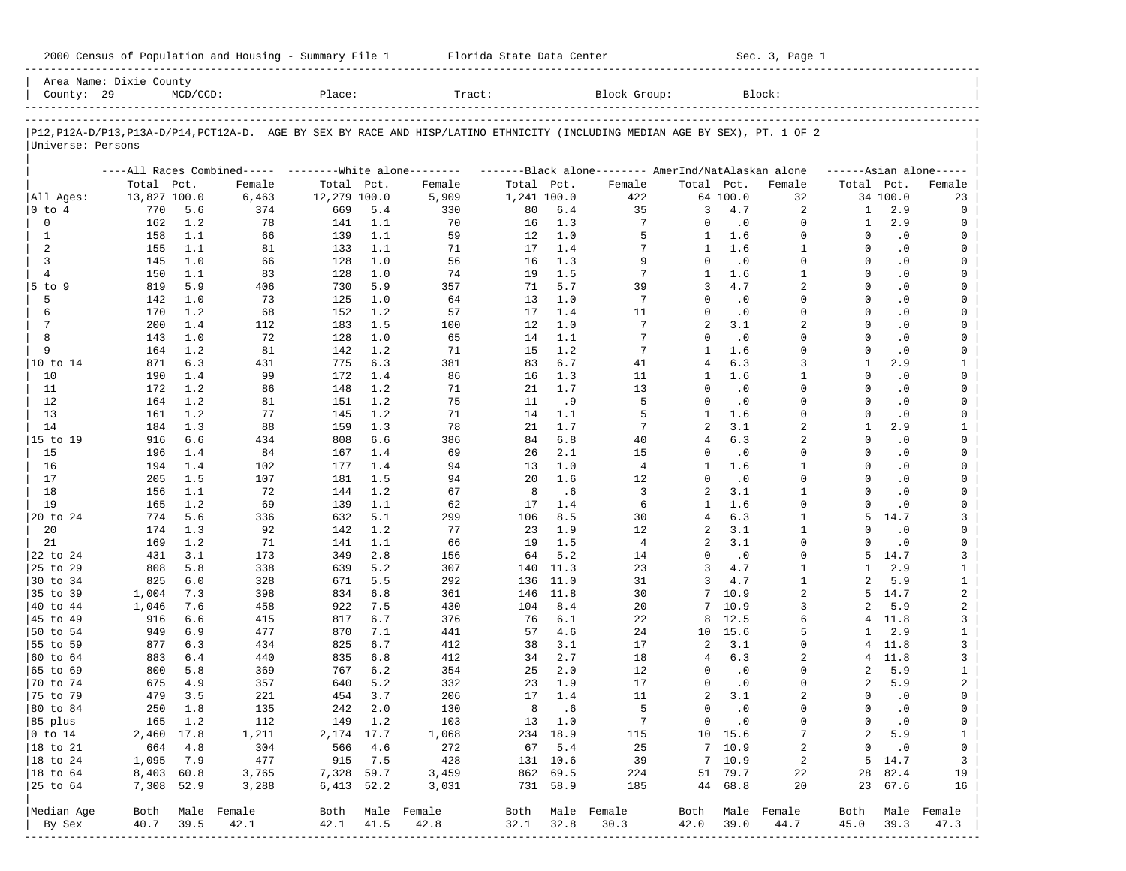| 2000 Census of Population and Housing - Summary File 1 |  | Florida State Data Center | Sec. 3, Page 1 |
|--------------------------------------------------------|--|---------------------------|----------------|
|--------------------------------------------------------|--|---------------------------|----------------|

| County: 29             | Area Name: Dixie County | $MCD/CCD$ : |                                                         | Place:       |         | Tract:                                                                                                                     |             |          | Block Group:                                        |                |               | Block:           |                |           |                         |
|------------------------|-------------------------|-------------|---------------------------------------------------------|--------------|---------|----------------------------------------------------------------------------------------------------------------------------|-------------|----------|-----------------------------------------------------|----------------|---------------|------------------|----------------|-----------|-------------------------|
|                        |                         |             |                                                         |              |         |                                                                                                                            |             |          |                                                     |                |               |                  |                |           |                         |
| Universe: Persons      |                         |             |                                                         |              |         | P12,P12A-D/P13,P13A-D/P14,PCT12A-D. AGE BY SEX BY RACE AND HISP/LATINO ETHNICITY (INCLUDING MEDIAN AGE BY SEX), PT. 1 OF 2 |             |          |                                                     |                |               |                  |                |           |                         |
|                        |                         |             | ----All Races Combined----- --------White alone-------- |              |         |                                                                                                                            |             |          | -------Black alone-------- AmerInd/NatAlaskan alone |                |               |                  |                |           | $---Asian alone---$     |
|                        | Total Pct.              |             | Female                                                  | Total Pct.   |         | Female                                                                                                                     | Total Pct.  |          | Female                                              | Total Pct.     |               | Female           | Total Pct.     |           | Female                  |
| All Ages:              | 13,827 100.0            |             | 6,463                                                   | 12,279 100.0 |         | 5,909                                                                                                                      | 1,241 100.0 |          | 422                                                 |                | 64 100.0      | 32               |                | 34 100.0  | 23                      |
| 0 to 4                 | 770                     | 5.6         | 374                                                     | 669          | 5.4     | 330                                                                                                                        | 80          | 6.4      | 35                                                  | 3              | 4.7           | 2                | 1              | 2.9       | 0                       |
| 0                      | 162                     | 1.2         | 78                                                      | 141          | 1.1     | 70                                                                                                                         | 16          | 1.3      | 7                                                   | 0              | $\cdot$ 0     | $\mathbf 0$      | $\mathbf{1}$   | 2.9       | 0                       |
| $\mathbf{1}$           | 158                     | 1.1         | 66                                                      | 139          | 1.1     | 59                                                                                                                         | 12          | 1.0      | 5                                                   | 1              | 1.6           | $\Omega$         | $\Omega$       | $\cdot$ 0 | 0                       |
| 2                      | 155                     | 1.1         | 81                                                      | 133          | 1.1     | 71                                                                                                                         | 17          | 1.4      | 7                                                   | $\mathbf{1}$   | 1.6           | $\mathbf{1}$     | $\Omega$       | $\cdot$ 0 | 0                       |
| 3                      | 145                     | 1.0         | 66                                                      | 128          | 1.0     | 56                                                                                                                         | 16          | 1.3      | 9                                                   | $\Omega$       | $\cdot$ 0     | $\Omega$         | $\Omega$       | $\cdot$ 0 | $\mathbf 0$             |
| $\overline{4}$         | 150                     | 1.1         | 83                                                      | 128          | 1.0     | 74                                                                                                                         | 19          | 1.5      | 7                                                   | $\mathbf{1}$   | 1.6           | $\mathbf{1}$     | $\Omega$       | $\cdot$ 0 | 0                       |
| $5$ to $9$             | 819                     | 5.9         | 406                                                     | 730          | 5.9     | 357                                                                                                                        | 71          | 5.7      | 39                                                  | 3              | 4.7           | $\overline{2}$   | $\Omega$       | $\cdot$ 0 | $\mathbf 0$             |
| 5                      | 142                     | 1.0         | 73                                                      | 125          | 1.0     | 64                                                                                                                         | 13          | 1.0      | $7\phantom{.0}$                                     | $\Omega$       | $\cdot$ 0     | $\Omega$         | $\Omega$       | $\cdot$ 0 | 0                       |
| 6                      | 170                     | 1.2         | 68                                                      | 152          | 1.2     | 57                                                                                                                         | 17          | 1.4      | 11                                                  | $\Omega$       | $\cdot$ 0     | $\Omega$         | $\Omega$       | $\cdot$ 0 | $\mathbf 0$             |
| 7                      | 200                     | 1.4         | 112                                                     | 183          | 1.5     | 100                                                                                                                        | 12          | 1.0      | 7                                                   | 2              | 3.1           | $\overline{2}$   | $\Omega$       | $\cdot$ 0 | 0                       |
| 8                      | 143                     | 1.0         | 72                                                      | 128          | 1.0     | 65                                                                                                                         | 14          | 1.1      | 7                                                   | $\Omega$       | $\cdot$ 0     | $\Omega$         | $\Omega$       | $\cdot$ 0 | 0                       |
| 9                      | 164                     | 1.2         | 81                                                      | 142          | 1.2     | 71                                                                                                                         | 15          | 1.2      | 7                                                   | $\mathbf{1}$   | 1.6           | $\Omega$         | $\Omega$       | $\cdot$ 0 | 0                       |
| 10 to 14               | 871                     | 6.3         | 431                                                     | 775          | 6.3     | 381                                                                                                                        | 83          | 6.7      | 41                                                  | 4              | 6.3           | 3                | 1              | 2.9       | 1                       |
| 10                     | 190                     | 1.4         | 99                                                      | 172          | 1.4     | 86                                                                                                                         | 16          | 1.3      | 11                                                  | 1              | 1.6           | $\mathbf{1}$     | $\Omega$       | $\cdot$ 0 | 0                       |
| 11                     | 172                     | 1.2         | 86                                                      | 148          | 1.2     | 71                                                                                                                         | 21          | 1.7      | 13                                                  | $\Omega$       | $\cdot$ 0     | $\Omega$         | $\Omega$       | $\cdot$ 0 | 0                       |
| 12                     | 164                     | 1.2         | 81                                                      | 151          | 1.2     | 75                                                                                                                         | 11          | . 9      | 5                                                   | $\Omega$       | $\cdot$ 0     | $\Omega$         | $\Omega$       | $\cdot$ 0 | 0                       |
| 13                     | 161                     | 1.2         | 77                                                      | 145          | 1.2     | 71                                                                                                                         | 14          | 1.1      | 5                                                   | 1              | 1.6           | $\Omega$         | $\Omega$       | $\cdot$ 0 | 0                       |
| 14                     | 184                     | 1.3         | 88                                                      | 159          | 1.3     | 78                                                                                                                         | 21          | 1.7      | 7                                                   | 2              | 3.1           | $\overline{a}$   | $\mathbf{1}$   | 2.9       | $\mathbf{1}$            |
| 15 to 19               | 916                     | 6.6         | 434                                                     | 808          | 6.6     | 386                                                                                                                        | 84          | 6.8      | 40                                                  | $\overline{4}$ | 6.3           | 2                | $\Omega$       | $\cdot$ 0 | 0                       |
| 15                     | 196                     | 1.4         | 84                                                      | 167          | 1.4     | 69                                                                                                                         | 26          | 2.1      | 15                                                  | 0              | $\cdot$ 0     | $\Omega$         | $\Omega$       | $\cdot$ 0 | 0                       |
| 16                     | 194                     | 1.4         | 102                                                     | 177          | 1.4     | 94                                                                                                                         | 13          | 1.0      | 4                                                   | $\mathbf{1}$   | 1.6           | $\mathbf{1}$     | $\Omega$       | $\cdot$ 0 | 0                       |
| 17                     | 205                     | 1.5         | 107                                                     | 181          | 1.5     | 94                                                                                                                         | 20          | 1.6      | 12                                                  | $\Omega$       | $\cdot$ 0     | $\Omega$         | $\Omega$       | $\cdot$ 0 | 0                       |
| 18                     | 156                     | 1.1         | 72                                                      | 144          | 1.2     | 67                                                                                                                         | 8           | .6       | 3                                                   | 2              | 3.1           | $\mathbf{1}$     | $\Omega$       | $\cdot$ 0 | 0                       |
| 19                     | 165                     | 1.2         | 69                                                      | 139          | 1.1     | 62                                                                                                                         | 17          | 1.4      | 6                                                   | $\mathbf{1}$   | 1.6           | $\Omega$         | $\Omega$       | $\cdot$ 0 | 0                       |
| 20 to 24               | 774                     | 5.6         | 336                                                     | 632          | 5.1     | 299                                                                                                                        | 106         | 8.5      | 30                                                  | $\overline{4}$ | 6.3           | $\mathbf{1}$     | 5              | 14.7      | 3                       |
| 20                     | 174                     | 1.3         | 92                                                      | 142          | 1.2     | 77                                                                                                                         | 23          | 1.9      | 12                                                  | 2              | 3.1           | $\mathbf{1}$     | $\Omega$       | $\cdot$ 0 | 0                       |
| 21                     | 169                     | 1.2         | 71                                                      | 141          | 1.1     | 66                                                                                                                         | 19          | 1.5      | $\overline{4}$                                      | 2              | 3.1           | $\Omega$         | $\Omega$       | $\cdot$ 0 | 0                       |
| 22 to 24               | 431                     | 3.1         | 173                                                     | 349          | 2.8     | 156                                                                                                                        | 64          | 5.2      | 14                                                  | $\Omega$       | $\cdot$ 0     | $\Omega$         | 5              | 14.7      | 3                       |
| 25 to 29               | 808                     | 5.8         | 338                                                     | 639          | 5.2     | 307                                                                                                                        | 140         | 11.3     | 23                                                  | 3              | 4.7           | $\mathbf{1}$     | $\mathbf{1}$   | 2.9       | $\mathbf{1}$            |
| 30 to 34               | 825                     | 6.0         | 328                                                     | 671          | 5.5     | 292                                                                                                                        | 136         | 11.0     | 31                                                  | 3              | 4.7           | $\mathbf{1}$     | $\overline{a}$ | 5.9       | $\mathbf{1}$            |
| 35 to 39               | 1,004                   | 7.3         | 398                                                     | 834          | 6.8     | 361                                                                                                                        | 146         | 11.8     | 30                                                  | 7              | 10.9          | $\overline{a}$   | 5.             | 14.7      | $\overline{\mathbf{c}}$ |
| 40 to 44               | 1,046                   | 7.6         | 458                                                     | 922          | 7.5     | 430                                                                                                                        | 104         | 8.4      | 20                                                  | 7              | 10.9          | 3                | $\mathfrak{D}$ | 5.9       | $\overline{\mathbf{c}}$ |
| 45 to 49               | 916                     | 6.6         | 415                                                     | 817          | 6.7     | 376                                                                                                                        | 76          | 6.1      | 22                                                  | 8              | 12.5          | 6                | 4              | 11.8      | 3                       |
| 50 to 54               | 949                     | 6.9         | 477                                                     | 870          | 7.1     | 441                                                                                                                        | 57          | 4.6      | 24                                                  | 10             | 15.6          | 5                | $\mathbf{1}$   | 2.9       | $\mathbf{1}$            |
| 55 to 59               | 877                     | 6.3         | 434                                                     | 825          | 6.7     | 412                                                                                                                        | 38          | 3.1      | 17                                                  | 2              | 3.1           | $\mathbf 0$      | 4              | 11.8      | 3                       |
| 60 to 64               | 883                     | 6.4         | 440                                                     | 835          | $6.8$   | 412                                                                                                                        | 34          | 2.7      | 18                                                  | 4              | 6.3           | 2                | 4              | 11.8      | 3                       |
| 65 to 69               | 800                     | 5.8         | 369                                                     | 767          | 6.2     | 354                                                                                                                        | 25          | 2.0      | 12                                                  | $\Omega$       | $\cdot$ 0     | $\Omega$         | 2              | 5.9       | $\mathbf{1}$            |
| 70 to 74               | 675                     | 4.9         | 357                                                     | 640          | 5.2     | 332                                                                                                                        | 23          | 1.9      | 17                                                  | 0              | $\cdot$ 0     | $\Omega$         | $\overline{a}$ | 5.9       | 2                       |
| 75 to 79               | 479                     | 3.5         | 221                                                     | 454          | 3.7     | 206                                                                                                                        | 17          | 1.4      | 11                                                  | 2              | 3.1           | 2                | $\Omega$       | $\cdot$ 0 | 0                       |
| 80 to 84               | 250                     | 1.8         | 135                                                     | 242          | 2.0     | 130                                                                                                                        | 8           | .6       | 5                                                   | 0              | $\cdot$ 0     | $\Omega$         | $\Omega$       | $\cdot$ 0 | 0                       |
| 85 plus                |                         | 165 1.2     | 112                                                     |              | 149 1.2 | 103                                                                                                                        |             | 13 1.0   | $\overline{7}$                                      |                | $0 \qquad .0$ | 0                | $\circ$        | $\cdot$ 0 | $\mathbf 0$             |
| $ 0 \t\t \text{to} 14$ |                         | 2,460 17.8  | 1,211                                                   | 2,174 17.7   |         | 1,068                                                                                                                      |             | 234 18.9 | 115                                                 |                | 10 15.6       | $7\phantom{.0}$  | $\overline{a}$ | 5.9       | $\mathbf{1}$            |
| 18 to 21               | 664                     | 4.8         | 304                                                     | 566          | 4.6     | 272                                                                                                                        |             | 67 5.4   | 25                                                  |                | 7, 10.9       | 2                | $\mathbf{0}$   | $\cdot$ 0 | 0                       |
| $ 18$ to $24$          | 1,095                   | 7.9         | 477                                                     |              | 915 7.5 | 428                                                                                                                        |             | 131 10.6 | 39                                                  |                | 7, 10.9       | 2                |                | 5 14.7    | $\mathbf{3}$            |
| 18 to 64               | 8,403 60.8              |             | 3,765                                                   | 7,328 59.7   |         | 3,459                                                                                                                      |             | 862 69.5 | 224                                                 |                | 51 79.7       | 22               |                | 28 82.4   | 19                      |
| 25 to 64               | 7,308 52.9              |             | 3,288                                                   | 6,413 52.2   |         | 3,031                                                                                                                      |             | 731 58.9 | 185                                                 |                | 44 68.8       | 20               |                | 23 67.6   | 16                      |
| Median Age             |                         |             | Both Male Female                                        |              |         | Both Male Female                                                                                                           |             |          | Both Male Female                                    |                |               | Both Male Female | Both           |           | Male Female             |
| By Sex                 | 40.7                    | 39.5        | 42.1                                                    | 42.1         | 41.5    | 42.8                                                                                                                       | 32.1        | 32.8     | 30.3                                                | 42.0           | 39.0          | 44.7             | 45.0           | 39.3      | 47.3                    |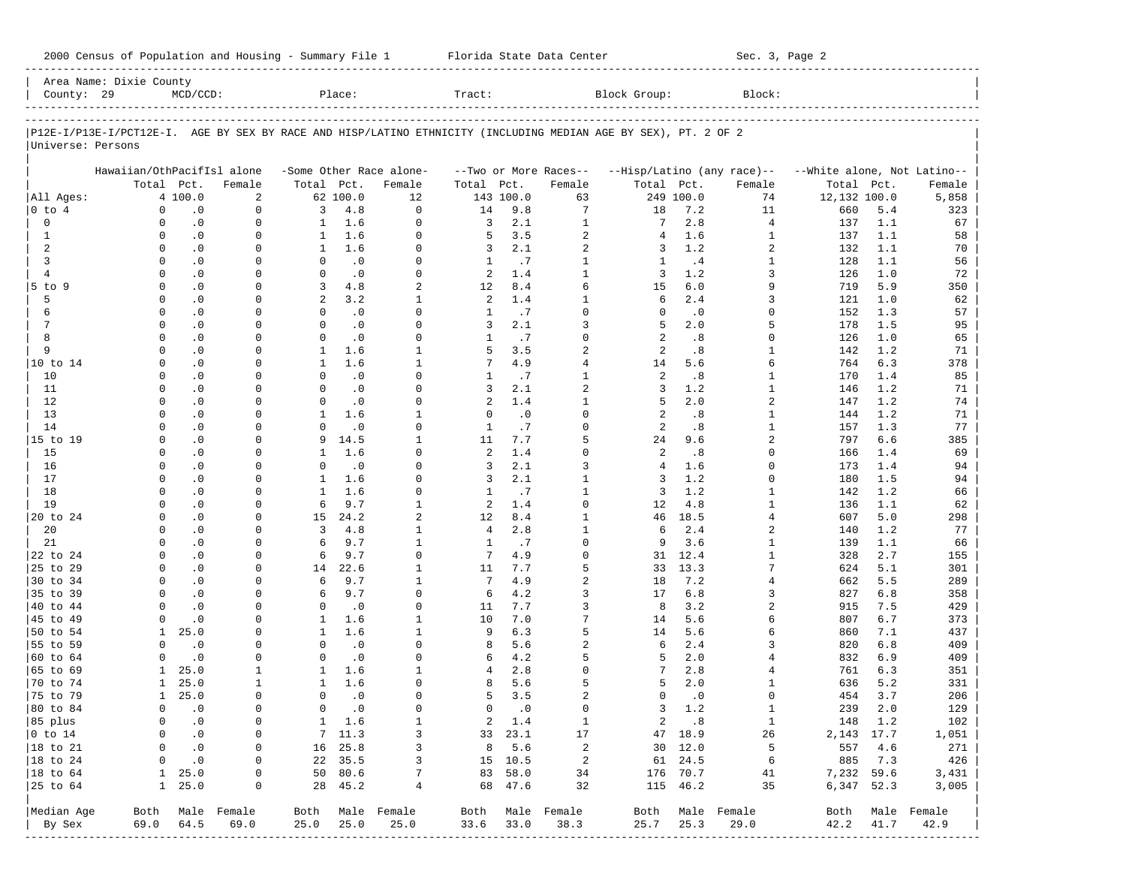| County: 29                            | Area Name: Dixie County     | $MCD/CCD$ :            |                      |                              | Place:             |                              | Tract:         |                   |                       | Block Group:                                                                                                   |                     | Block:                     |                             |            |                  |
|---------------------------------------|-----------------------------|------------------------|----------------------|------------------------------|--------------------|------------------------------|----------------|-------------------|-----------------------|----------------------------------------------------------------------------------------------------------------|---------------------|----------------------------|-----------------------------|------------|------------------|
|                                       |                             |                        |                      |                              |                    |                              |                |                   |                       |                                                                                                                |                     |                            |                             |            |                  |
|                                       |                             |                        |                      |                              |                    |                              |                |                   |                       | P12E-I/P13E-I/PCT12E-I. AGE BY SEX BY RACE AND HISP/LATINO ETHNICITY (INCLUDING MEDIAN AGE BY SEX), PT. 2 OF 2 |                     |                            |                             |            |                  |
| Universe: Persons                     |                             |                        |                      |                              |                    |                              |                |                   |                       |                                                                                                                |                     |                            |                             |            |                  |
|                                       | Hawaiian/OthPacifIsl alone  |                        |                      |                              |                    | -Some Other Race alone-      |                |                   | --Two or More Races-- |                                                                                                                |                     | --Hisp/Latino (any race)-- | --White alone, Not Latino-- |            |                  |
|                                       |                             | Total Pct.             | Female               | Total Pct.                   |                    | Female                       | Total Pct.     |                   | Female                | Total Pct.                                                                                                     |                     | Female                     | Total                       | Pct.       | Female           |
| All Ages:                             |                             | 4 100.0                | 2                    |                              | 62 100.0           | 12                           |                | 143 100.0         | 63                    |                                                                                                                | 249 100.0           | 74                         | 12,132 100.0                |            | 5,858            |
| $0$ to $4$                            | $\mathbf 0$                 | $\cdot$ 0              | $\mathbf 0$          | 3                            | 4.8                | $\Omega$                     | 14             | 9.8               | $\overline{7}$        | 18                                                                                                             | 7.2                 | 11                         | 660                         | 5.4        | 323              |
| $\mathbf 0$                           | $\Omega$                    | $\cdot$ 0              | $\mathbf 0$          | $\mathbf{1}$                 | 1.6                | $\Omega$                     | 3              | 2.1               | $1\,$                 | 7                                                                                                              | 2.8                 | $\overline{4}$             | 137                         | 1.1        | 67               |
| 1                                     | $\Omega$                    | $\cdot$ 0              | $\Omega$             | $\mathbf{1}$                 | 1.6                | $\Omega$                     | 5              | 3.5               | $\overline{2}$        | $\overline{4}$                                                                                                 | 1.6                 | $\mathbf{1}$               | 137                         | 1.1        | 58               |
| 2                                     | $\Omega$                    | $\cdot$ 0              | 0                    | $\mathbf{1}$                 | 1.6                | $\Omega$                     | 3              | 2.1               | $\overline{2}$        | 3                                                                                                              | 1.2                 | 2                          | 132                         | 1.1        | 70               |
| 3                                     | $\Omega$                    | $\cdot$ 0              | $\Omega$             | $\Omega$                     | $\cdot$ 0          | $\Omega$                     | 1              | .7                | $\mathbf{1}$          | 1                                                                                                              | .4                  | 1                          | 128                         | 1.1        | 56               |
| $\overline{4}$                        | $\Omega$                    | $\cdot$ 0              | $\Omega$             | $\mathbf 0$                  | $\cdot$ 0          | $\Omega$                     | 2              | 1.4               | $\mathbf{1}$          | 3                                                                                                              | 1.2                 | 3                          | 126                         | 1.0        | 72               |
| 5 to 9                                | $\Omega$                    | $\cdot$ 0              | $\Omega$             | 3                            | 4.8                | $\overline{a}$               | 12             | 8.4               | 6                     | 15                                                                                                             | 6.0                 | 9                          | 719                         | 5.9        | 350              |
| 5                                     | $\Omega$                    | $\cdot$ 0              | 0                    | $\overline{a}$               | 3.2                | $\mathbf{1}$                 | 2              | 1.4               | $\mathbf{1}$          | 6                                                                                                              | 2.4                 | 3                          | 121                         | 1.0        | 62               |
| 6                                     | $\Omega$                    | $\cdot$ 0              | $\Omega$             | $\Omega$                     | $\cdot$ 0          | $\Omega$                     | 1              | .7                | $\Omega$              | $\Omega$                                                                                                       | $\cdot$ 0           | $\Omega$                   | 152                         | 1.3        | 57               |
| 7                                     | $\Omega$<br>$\Omega$        | $\cdot$ 0              | $\Omega$             | $\Omega$<br>$\Omega$         | $\cdot$ 0          | $\Omega$                     | 3              | 2.1               | 3<br>$\Omega$         | 5                                                                                                              | 2.0                 | 5<br>$\Omega$              | 178                         | 1.5        | 95               |
| 8<br>9                                | $\Omega$                    | $\cdot$ 0              | $\Omega$             |                              | $\cdot$ 0          | $\Omega$<br>$\mathbf{1}$     | 1              | .7                | $\overline{2}$        | 2<br>2                                                                                                         | .8                  |                            | 126                         | 1.0        | 65               |
| 10 to 14                              | $\Omega$                    | $\cdot$ 0<br>$\cdot$ 0 | $\Omega$<br>$\Omega$ | $\mathbf{1}$<br>$\mathbf{1}$ | 1.6<br>1.6         | $\mathbf{1}$                 | 5<br>7         | 3.5<br>4.9        | $\overline{4}$        | 14                                                                                                             | .8<br>5.6           | 1<br>6                     | 142<br>764                  | 1.2<br>6.3 | 71               |
| 10                                    | $\Omega$                    | $\cdot$ 0              | 0                    | $\Omega$                     | $\cdot$ 0          | $\Omega$                     | 1              | .7                | $\mathbf{1}$          | 2                                                                                                              | .8                  | 1                          | 170                         | 1.4        | 378<br>85        |
| 11                                    | $\Omega$                    | $\cdot$ 0              | $\Omega$             | $\Omega$                     | .0                 | $\Omega$                     | 3              | 2.1               | $\overline{a}$        | 3                                                                                                              | 1.2                 | $\mathbf{1}$               | 146                         | 1.2        | 71               |
| 12                                    | $\Omega$                    | $\cdot$ 0              | $\Omega$             | $\Omega$                     | $\cdot$ 0          | $\Omega$                     | 2              | 1.4               | $\mathbf{1}$          | 5                                                                                                              | 2.0                 | $\overline{a}$             | 147                         | 1.2        | 74               |
| 13                                    | <sup>0</sup>                | $\cdot$ 0              | $\Omega$             | $\mathbf{1}$                 | 1.6                | $\mathbf{1}$                 | $\Omega$       | $\cdot$ 0         | $\Omega$              | 2                                                                                                              | .8                  | 1                          | 144                         | 1.2        | 71               |
| 14                                    | $\Omega$                    | $\cdot$ 0              | U                    | $\Omega$                     | $\cdot$ 0          | $\Omega$                     | $\mathbf{1}$   | .7                | $\Omega$              | 2                                                                                                              | .8                  | $\mathbf{1}$               | 157                         | 1.3        | 77               |
| 15 to 19                              | <sup>0</sup>                | $\cdot$ 0              | $\Omega$             | 9                            | 14.5               | $\mathbf{1}$                 | 11             | 7.7               | 5                     | 24                                                                                                             | 9.6                 | 2                          | 797                         | 6.6        | 385              |
| 15                                    | $\Omega$                    | $\cdot$ 0              | U                    | $\mathbf{1}$                 | 1.6                | $\Omega$                     | 2              | 1.4               | $\Omega$              | 2                                                                                                              | .8                  | $\Omega$                   | 166                         | 1.4        | 69               |
| 16                                    | $\Omega$                    | $\cdot$ 0              | $\Omega$             | $\Omega$                     | $\cdot$ 0          | $\Omega$                     | 3              | 2.1               | 3                     | $\overline{4}$                                                                                                 | 1.6                 | $\Omega$                   | 173                         | 1.4        | 94               |
| 17                                    | $\Omega$                    | $\cdot$ 0              | $\Omega$             | $\mathbf{1}$                 | 1.6                | $\Omega$                     | 3              | 2.1               | $\mathbf{1}$          | 3                                                                                                              | 1.2                 | $\Omega$                   | 180                         | 1.5        | 94               |
| 18                                    | <sup>0</sup>                | $\cdot$ 0              | $\Omega$             | $\mathbf{1}$                 | 1.6                | $\Omega$                     | $\mathbf{1}$   | .7                | $\mathbf{1}$          | 3                                                                                                              | 1.2                 | $\mathbf{1}$               | 142                         | 1.2        | 66               |
| 19                                    | $\Omega$                    | $\cdot$ 0              | U                    | 6                            | 9.7                | $\mathbf{1}$                 | 2              | 1.4               | $\Omega$              | 12                                                                                                             | 4.8                 | 1                          | 136                         | 1.1        | 62               |
| 20 to 24                              | <sup>0</sup>                | $\cdot$ 0              | $\Omega$             | 15                           | 24.2               | $\overline{a}$               | 12             | 8.4               | $\mathbf{1}$          | 46                                                                                                             | 18.5                | 4                          | 607                         | 5.0        | 298              |
| 20                                    | $\Omega$                    | $\cdot$ 0              | U                    | 3                            | 4.8                | $\mathbf{1}$                 | $\overline{4}$ | 2.8               | $1\,$                 | 6                                                                                                              | 2.4                 | 2                          | 140                         | 1.2        | 77               |
| 21                                    | <sup>0</sup>                | $\cdot$ 0              | $\Omega$             | 6                            | 9.7                | $\mathbf{1}$                 | $\mathbf{1}$   | .7                | $\mathbf 0$           | 9                                                                                                              | 3.6                 | 1                          | 139                         | 1.1        | 66               |
| 22 to 24                              | $\Omega$                    | $\cdot$ 0              | 0                    | 6                            | 9.7                | $\Omega$                     | 7              | 4.9               | $\Omega$              | 31                                                                                                             | 12.4                | 1                          | 328                         | 2.7        | 155              |
| 25 to 29                              | <sup>0</sup>                | $\cdot$ 0              | $\Omega$             | 14                           | 22.6               | $\mathbf{1}$                 | 11             | 7.7               | 5                     | 33                                                                                                             | 13.3                | 7                          | 624                         | 5.1        | 301              |
| 30 to 34                              | $\Omega$                    | $\cdot$ 0              | 0                    | 6                            | 9.7                | $\mathbf{1}$                 | 7              | 4.9               | $\overline{2}$        | 18                                                                                                             | 7.2                 | 4                          | 662                         | 5.5        | 289              |
| 35 to 39                              | $\Omega$                    | $\cdot$ 0              | $\Omega$             | 6                            | 9.7                | $\Omega$                     | 6              | 4.2               | 3                     | 17                                                                                                             | 6.8                 | 3                          | 827                         | 6.8        | 358              |
| 40 to 44                              | $\Omega$                    | $\cdot$ 0              | $\Omega$             | $\mathbf 0$                  | $\cdot$ 0          | $\Omega$                     | 11             | 7.7               | 3                     | 8                                                                                                              | 3.2                 | 2                          | 915                         | 7.5        | 429              |
| 45 to 49                              | $\Omega$                    | $\cdot$ 0              | $\Omega$             | 1                            | 1.6                | $\mathbf{1}$                 | 10             | 7.0               | 7                     | 14                                                                                                             | 5.6                 | 6                          | 807                         | 6.7        | 373              |
| 50 to 54                              | $\mathbf{1}$                | 25.0                   | 0                    | $\mathbf{1}$                 | 1.6                | $\mathbf{1}$                 | 9              | 6.3               | 5                     | 14                                                                                                             | 5.6                 | 6                          | 860                         | 7.1        | 437              |
| 55 to 59                              | $\Omega$                    | $\cdot$ 0              | $\Omega$             | $\Omega$                     | $\cdot$ 0          | $\Omega$                     | 8              | 5.6               | $\overline{2}$        | 6                                                                                                              | 2.4                 | 3                          | 820                         | 6.8        | 409              |
| 60 to 64                              | $\Omega$                    | $\cdot$ 0              | 0                    | $\mathbf 0$                  | $\cdot$ 0          | $\Omega$                     | 6              | 4.2               | 5                     | 5                                                                                                              | 2.0                 | 4                          | 832                         | 6.9        | 409              |
| 65 to 69                              | 1                           | 25.0                   | 1                    | 1                            | 1.6                | $\mathbf{1}$                 | 4              | 2.8               | $\Omega$              |                                                                                                                | 2.8                 | 4                          | 761                         | 6.3        | 351              |
| 70 to 74                              | 1                           | 25.0                   | 1                    | $\mathbf{1}$                 | 1.6                | $\Omega$                     | 8              | 5.6               | 5                     | 5                                                                                                              | 2.0                 | 1                          | 636                         | 5.2        | 331              |
| 75 to 79                              | $\mathbf{1}$                | 25.0                   | <sup>0</sup>         | $\Omega$                     | $\cdot$ 0          | $\Omega$                     | 5              | 3.5               | $\overline{2}$        | $\Omega$                                                                                                       | $\cdot$ 0           | $\Omega$                   | 454                         | 3.7        | 206              |
| 80 to 84                              | 0                           | $\cdot$ 0              | $\mathbf 0$          | $\mathbf 0$                  | $\cdot$ 0          | $\Omega$                     | $\Omega$       | $\cdot$ 0         | $\Omega$              | 3                                                                                                              | 1.2                 | $\mathbf{1}$               | 239                         | 2.0        | 129              |
| 85 plus                               | 0                           | $\cdot$ 0              | $\circ$              |                              | $1 \quad 1.6$      | 1                            |                | 2 1.4             | $\mathbf{1}$          |                                                                                                                | 2 .8                | $\mathbf{1}$               | 148 1.2                     |            | 102              |
| $ 0 \t{to} 14$                        | 0                           | $\cdot$ 0              | 0                    |                              | 7 11.3             | 3                            |                | 33 23.1           | 17                    |                                                                                                                | 47 18.9             | 26                         | 2,143 17.7                  |            | 1,051            |
| $ 18 \text{ to } 21$                  | $\mathbf{0}$<br>$\mathbf 0$ | $\cdot$ 0<br>.0        | $\circ$<br>0         |                              | 16 25.8<br>22 35.5 | 3<br>$\overline{\mathbf{3}}$ |                | 8, 5.6<br>15 10.5 | 2<br>$\overline{a}$   |                                                                                                                | 30 12.0             | 5                          | 885 7.3                     | 557 4.6    | 271              |
| $ 18$ to $24$<br>$ 18 \text{ to } 64$ |                             | $1 \quad 25.0$         | 0                    |                              | 50 80.6            | $7\phantom{.0}$              |                | 83 58.0           | 34                    |                                                                                                                | 61 24.5<br>176 70.7 | 6                          | 7,232 59.6                  |            | 426              |
| $ 25$ to $64$                         |                             | $1 \quad 25.0$         | 0                    |                              | 28 45.2            | $\overline{4}$               |                | 68 47.6           | 32                    |                                                                                                                | 115 46.2            | 41<br>35                   | 6,347 52.3                  |            | 3,431<br>3,005   |
|                                       |                             |                        |                      |                              |                    |                              |                |                   |                       |                                                                                                                |                     |                            |                             |            |                  |
| Median Age                            |                             |                        | Both Male Female     |                              |                    | Both Male Female             |                |                   | Both Male Female      |                                                                                                                |                     | Both Male Female           |                             |            | Both Male Female |
| By Sex                                | 69.0                        | 64.5                   | 69.0                 | 25.0                         | 25.0               | 25.0                         |                | 33.6 33.0         | 38.3                  | 25.7                                                                                                           | 25.3                | 29.0                       | 42.2                        | 41.7       | 42.9             |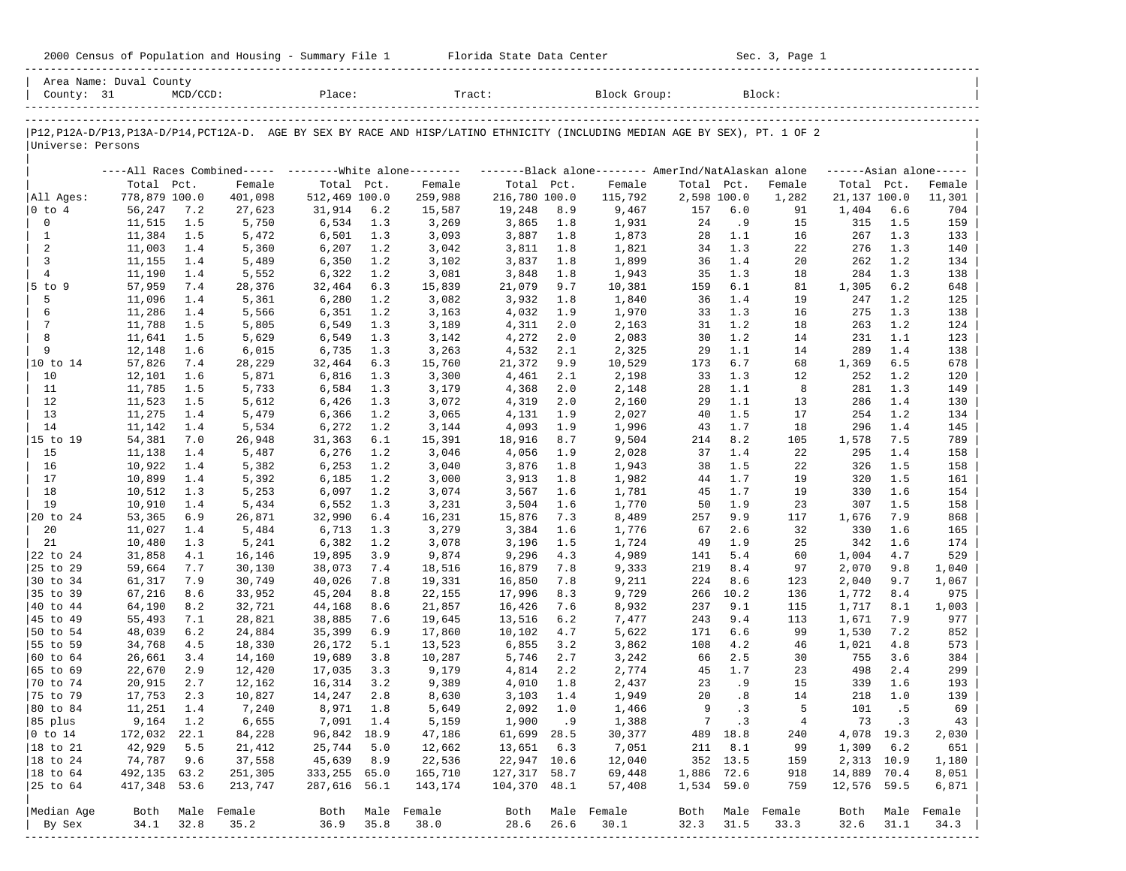| 2000 Census of Population and Housing - Summary File 1 |  | Florida State Data Center | Sec. 3, Page 1 |
|--------------------------------------------------------|--|---------------------------|----------------|
|--------------------------------------------------------|--|---------------------------|----------------|

| County: 31           | Area Name: Duval County | $MCD/CCD$ : |                  | Place:        |       | Tract:           |               |      | Block Group:                                                                                                                  |             |          | Block:           |              |      |                     |
|----------------------|-------------------------|-------------|------------------|---------------|-------|------------------|---------------|------|-------------------------------------------------------------------------------------------------------------------------------|-------------|----------|------------------|--------------|------|---------------------|
|                      |                         |             |                  |               |       |                  |               |      |                                                                                                                               |             |          |                  |              |      |                     |
| Universe: Persons    |                         |             |                  |               |       |                  |               |      | P12, P12A-D/P13, P13A-D/P14, PCT12A-D. AGE BY SEX BY RACE AND HISP/LATINO ETHNICITY (INCLUDING MEDIAN AGE BY SEX), PT. 1 OF 2 |             |          |                  |              |      |                     |
|                      |                         |             |                  |               |       |                  |               |      | ----All Races Combined----- --------White alone-------- -------Black alone-------- AmerInd/NatAlaskan alone                   |             |          |                  |              |      | $---Asian alone---$ |
|                      | Total Pct.              |             | Female           | Total Pct.    |       | Female           | Total Pct.    |      | Female                                                                                                                        | Total Pct.  |          | Female           | Total Pct.   |      | Female              |
| All Ages:            | 778,879 100.0           |             | 401,098          | 512,469 100.0 |       | 259,988          | 216,780 100.0 |      | 115,792                                                                                                                       | 2,598 100.0 |          | 1,282            | 21,137 100.0 |      | 11,301              |
| $ 0 \tto 4$          | 56,247                  | 7.2         | 27,623           | 31,914        | 6.2   | 15,587           | 19,248        | 8.9  | 9,467                                                                                                                         | 157         | 6.0      | 91               | 1,404        | 6.6  | 704                 |
| 0                    | 11,515                  | 1.5         | 5,750            | 6,534         | 1.3   | 3,269            | 3,865         | 1.8  | 1,931                                                                                                                         | 24          | . 9      | 15               | 315          | 1.5  | 159                 |
| $\mathbf{1}$         | 11,384                  | 1.5         | 5,472            | 6,501         | 1.3   | 3,093            | 3,887         | 1.8  | 1,873                                                                                                                         | 28          | 1.1      | 16               | 267          | 1.3  | 133                 |
| 2                    | 11,003                  | 1.4         | 5,360            | 6,207         | 1.2   | 3,042            | 3,811         | 1.8  | 1,821                                                                                                                         | 34          | 1.3      | 22               | 276          | 1.3  | 140                 |
| 3                    | 11,155                  | 1.4         | 5,489            | 6,350         | 1.2   | 3,102            | 3,837         | 1.8  | 1,899                                                                                                                         | 36          | 1.4      | 20               | 262          | 1.2  | 134                 |
| $\overline{4}$       | 11,190                  | 1.4         | 5,552            | 6,322         | 1.2   | 3,081            | 3,848         | 1.8  | 1,943                                                                                                                         | 35          | 1.3      | 18               | 284          | 1.3  | 138                 |
| 5 to 9               | 57,959                  | 7.4         | 28,376           | 32,464        | 6.3   | 15,839           | 21,079        | 9.7  | 10,381                                                                                                                        | 159         | 6.1      | 81               | 1,305        | 6.2  | 648                 |
| 5                    | 11,096                  | 1.4         | 5,361            | 6,280         | 1.2   | 3,082            | 3,932         | 1.8  | 1,840                                                                                                                         | 36          | 1.4      | 19               | 247          | 1.2  | 125                 |
| 6                    | 11,286                  | 1.4         | 5,566            | 6,351         | 1.2   | 3,163            | 4,032         | 1.9  | 1,970                                                                                                                         | 33          | 1.3      | 16               | 275          | 1.3  | 138                 |
| 7                    | 11,788                  | 1.5         | 5,805            | 6,549         | 1.3   | 3,189            | 4,311         | 2.0  | 2,163                                                                                                                         | 31          | 1.2      | 18               | 263          | 1.2  | 124                 |
| 8                    | 11,641                  | 1.5         | 5,629            | 6,549         | 1.3   | 3,142            | 4,272         | 2.0  | 2,083                                                                                                                         | 30          | 1.2      | 14               | 231          | 1.1  | 123                 |
| 9                    | 12,148                  | 1.6         | 6,015            | 6,735         | 1.3   | 3,263            | 4,532         | 2.1  | 2,325                                                                                                                         | 29          | 1.1      | 14               | 289          | 1.4  | 138                 |
| 10 to 14             | 57,826                  | 7.4         | 28,229           | 32,464        | 6.3   | 15,760           | 21,372        | 9.9  | 10,529                                                                                                                        | 173         | 6.7      | 68               | 1,369        | 6.5  | 678                 |
| 10                   | 12,101                  | 1.6         | 5,871            | 6,816         | 1.3   | 3,300            | 4,461         | 2.1  | 2,198                                                                                                                         | 33          | 1.3      | 12               | 252          | 1.2  | 120                 |
| 11                   | 11,785                  | 1.5         | 5,733            | 6,584         | 1.3   | 3,179            | 4,368         | 2.0  | 2,148                                                                                                                         | 28          | 1.1      | 8                | 281          | 1.3  | 149                 |
| 12                   | 11,523                  | 1.5         | 5,612            | 6,426         | 1.3   | 3,072            | 4,319         | 2.0  | 2,160                                                                                                                         | 29          | 1.1      | 13               | 286          | 1.4  | 130                 |
| 13                   | 11,275                  | 1.4         | 5,479            | 6,366         | 1.2   | 3,065            | 4,131         | 1.9  | 2,027                                                                                                                         | 40          | 1.5      | 17               | 254          | 1.2  | 134                 |
| 14                   | 11,142                  | 1.4         | 5,534            | 6,272         | 1.2   | 3,144            | 4,093         | 1.9  | 1,996                                                                                                                         | 43          | 1.7      | 18               | 296          | 1.4  | 145                 |
| 15 to 19             | 54,381                  | 7.0         | 26,948           | 31,363        | $6.1$ | 15,391           | 18,916        | 8.7  | 9,504                                                                                                                         | 214         | 8.2      | 105              | 1,578        | 7.5  | 789                 |
| 15                   | 11,138                  | 1.4         | 5,487            | 6,276         | 1.2   | 3,046            | 4,056         | 1.9  | 2,028                                                                                                                         | 37          | 1.4      | 22               | 295          | 1.4  | 158                 |
| 16                   | 10,922                  | 1.4         | 5,382            | 6,253         | 1.2   | 3,040            | 3,876         | 1.8  | 1,943                                                                                                                         | 38          | 1.5      | 22               | 326          | 1.5  | 158                 |
| 17                   | 10,899                  | 1.4         | 5,392            | 6,185         | 1.2   | 3,000            | 3,913         | 1.8  | 1,982                                                                                                                         | 44          | 1.7      | 19               | 320          | 1.5  | 161                 |
| 18                   | 10,512                  | 1.3         | 5,253            | 6,097         | 1.2   | 3,074            | 3,567         | 1.6  | 1,781                                                                                                                         | 45          | 1.7      | 19               | 330          | 1.6  | 154                 |
| 19                   | 10,910                  | 1.4         | 5,434            | 6,552         | 1.3   | 3,231            | 3,504         | 1.6  | 1,770                                                                                                                         | 50          | 1.9      | 23               | 307          | 1.5  | 158                 |
| 20 to 24             | 53,365                  | 6.9         | 26,871           | 32,990        | 6.4   | 16,231           | 15,876        | 7.3  | 8,489                                                                                                                         | 257         | 9.9      | 117              | 1,676        | 7.9  | 868                 |
| 20                   | 11,027                  | 1.4         | 5,484            | 6,713         | 1.3   | 3,279            | 3,384         | 1.6  | 1,776                                                                                                                         | 67          | 2.6      | 32               | 330          | 1.6  | 165                 |
| 21                   | 10,480                  | 1.3         | 5,241            | 6,382         | 1.2   | 3,078            | 3,196         | 1.5  | 1,724                                                                                                                         | 49          | 1.9      | 25               | 342          | 1.6  | 174                 |
| 22 to 24             | 31,858                  | 4.1         | 16,146           | 19,895        | 3.9   | 9,874            | 9,296         | 4.3  | 4,989                                                                                                                         | 141         | 5.4      | 60               | 1,004        | 4.7  | 529                 |
| 25 to 29             | 59,664                  | 7.7         | 30,130           | 38,073        | 7.4   | 18,516           | 16,879        | 7.8  | 9,333                                                                                                                         | 219         | 8.4      | 97               | 2,070        | 9.8  | 1,040               |
| 30 to 34             | 61,317                  | 7.9         | 30,749           | 40,026        | 7.8   | 19,331           | 16,850        | 7.8  | 9,211                                                                                                                         | 224         | 8.6      | 123              | 2,040        | 9.7  | 1,067               |
| 35 to 39             | 67,216                  | 8.6         | 33,952           | 45,204        | 8.8   | 22,155           | 17,996        | 8.3  | 9,729                                                                                                                         | 266         | 10.2     | 136              | 1,772        | 8.4  | 975                 |
| 40 to 44             | 64,190                  | 8.2         | 32,721           | 44,168        | 8.6   | 21,857           | 16,426        | 7.6  | 8,932                                                                                                                         | 237         | 9.1      | 115              | 1,717        | 8.1  | 1,003               |
| 45 to 49             | 55,493                  | 7.1         | 28,821           | 38,885        | 7.6   | 19,645           | 13,516        | 6.2  | 7,477                                                                                                                         | 243         | 9.4      | 113              | 1,671        | 7.9  | 977                 |
| 50 to 54             | 48,039                  | 6.2         | 24,884           | 35,399        | 6.9   | 17,860           | 10,102        | 4.7  | 5,622                                                                                                                         | 171         | 6.6      | 99               | 1,530        | 7.2  | 852                 |
| 55 to 59             | 34,768                  | 4.5         | 18,330           | 26,172        | 5.1   | 13,523           | 6,855         | 3.2  | 3,862                                                                                                                         | 108         | 4.2      | 46               | 1,021        | 4.8  | 573                 |
| 60 to 64             | 26,661                  | 3.4         | 14,160           | 19,689        | 3.8   | 10,287           | 5,746         | 2.7  | 3,242                                                                                                                         | 66          | 2.5      | 30               | 755          | 3.6  | 384                 |
| 65 to 69             | 22,670                  | 2.9         | 12,420           | 17,035        | 3.3   | 9,179            | 4,814         | 2.2  | 2,774                                                                                                                         | 45          | 1.7      | 23               | 498          | 2.4  | 299                 |
| 70 to 74             | 20,915                  | 2.7         | 12,162           | 16,314        | 3.2   | 9,389            | 4,010         | 1.8  | 2,437                                                                                                                         | 23          | . 9      | 15               | 339          | 1.6  | 193                 |
| 75 to 79             | 17,753                  | 2.3         | 10,827           | 14,247        | 2.8   | 8,630            | 3,103         | 1.4  | 1,949                                                                                                                         | 20          | .8       | 14               | 218          | 1.0  | 139                 |
| 80 to 84             | 11,251                  | 1.4         | 7,240            | 8,971         | 1.8   | 5,649            | 2,092         | 1.0  | 1,466                                                                                                                         | 9           | .3       | 5                | 101          | .5   | 69                  |
| 85 plus              | 9,164 1.2               |             | 6,655            | 7,091 1.4     |       | 5,159            | 1,900.9       |      | 1,388                                                                                                                         |             | $7 \t3$  | $\overline{4}$   | 73 .3        |      | 43                  |
| $ 0 \t{to} 14$       | 172,032 22.1            |             | 84,228           | 96,842 18.9   |       | 47,186           | 61,699 28.5   |      | 30,377                                                                                                                        |             | 489 18.8 | 240              | 4,078 19.3   |      | 2,030               |
| $ 18 \text{ to } 21$ | 42,929                  | 5.5         | 21,412           | 25,744 5.0    |       | 12,662           | 13,651 6.3    |      | 7,051                                                                                                                         |             | 211 8.1  | 99               | 1,309 6.2    |      | 651                 |
| $ 18 \text{ to } 24$ | 74,787                  | 9.6         | 37,558           | 45,639 8.9    |       | 22,536           | 22,947 10.6   |      | 12,040                                                                                                                        |             | 352 13.5 | 159              | 2,313 10.9   |      | 1,180               |
| $ 18 \text{ to } 64$ | 492,135 63.2            |             | 251,305          | 333,255 65.0  |       | 165,710          | 127,317 58.7  |      | 69,448                                                                                                                        | 1,886 72.6  |          | 918              | 14,889 70.4  |      | 8,051               |
| $ 25 \t{to} 64$      | 417,348 53.6            |             | 213,747          | 287,616 56.1  |       | 143,174          | 104,370 48.1  |      | 57,408                                                                                                                        | 1,534 59.0  |          | 759              | 12,576 59.5  |      | 6,871               |
|                      |                         |             |                  |               |       |                  |               |      |                                                                                                                               |             |          |                  |              |      |                     |
| Median Age           |                         |             | Both Male Female |               |       | Both Male Female |               |      | Both Male Female                                                                                                              |             |          | Both Male Female | Both         |      | Male Female         |
| By Sex               | 34.1                    | 32.8        | 35.2             | $36.9$ $35.8$ |       | 38.0             | 28.6          | 26.6 | 30.1                                                                                                                          | 32.3 31.5   |          | 33.3             | 32.6         | 31.1 | 34.3                |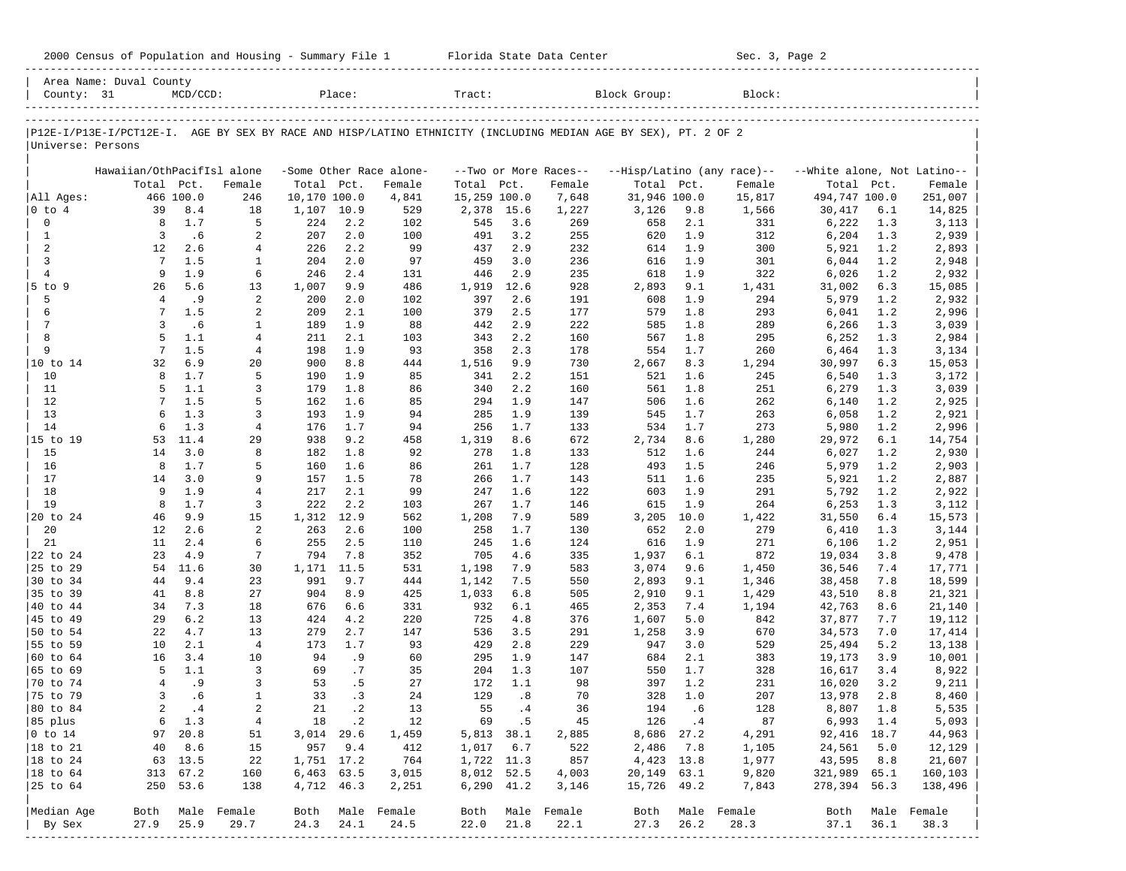|                          | Area Name: Duval County    |                  |                  |                            |            |                         |                       |            |                       |                                                                                                                |             |                            |                             |            |                          |
|--------------------------|----------------------------|------------------|------------------|----------------------------|------------|-------------------------|-----------------------|------------|-----------------------|----------------------------------------------------------------------------------------------------------------|-------------|----------------------------|-----------------------------|------------|--------------------------|
| County: 31               |                            | $MCD/CCD$ :      |                  |                            | Place:     |                         | Tract:                |            |                       | Block Group:                                                                                                   |             | Block:                     |                             |            |                          |
|                          |                            |                  |                  |                            |            |                         |                       |            |                       |                                                                                                                |             |                            |                             |            |                          |
| Universe: Persons        |                            |                  |                  |                            |            |                         |                       |            |                       | P12E-I/P13E-I/PCT12E-I. AGE BY SEX BY RACE AND HISP/LATINO ETHNICITY (INCLUDING MEDIAN AGE BY SEX), PT. 2 OF 2 |             |                            |                             |            |                          |
|                          |                            |                  |                  |                            |            |                         |                       |            |                       |                                                                                                                |             |                            |                             |            |                          |
|                          | Hawaiian/OthPacifIsl alone |                  |                  |                            |            | -Some Other Race alone- |                       |            | --Two or More Races-- |                                                                                                                |             | --Hisp/Latino (any race)-- | --White alone, Not Latino-- |            |                          |
|                          | Total Pct.                 |                  | Female           | Total Pct.                 |            | Female                  | Total                 | Pct.       | Female                | Total Pct.                                                                                                     |             | Female                     | Total Pct.                  |            | Female                   |
| All Ages:<br>$ 0 \tto 4$ | 39                         | 466 100.0<br>8.4 | 246<br>18        | 10,170 100.0<br>1,107 10.9 |            | 4,841<br>529            | 15,259 100.0<br>2,378 | 15.6       | 7,648<br>1,227        | 31,946 100.0<br>3,126                                                                                          | 9.8         | 15,817<br>1,566            | 494,747 100.0<br>30,417     | 6.1        | 251,007<br>14,825        |
| $\mathsf{O}\xspace$      | 8                          | 1.7              | 5                | 224                        | 2.2        | 102                     | 545                   | 3.6        | 269                   | 658                                                                                                            | 2.1         | 331                        | 6,222                       | 1.3        | 3,113                    |
| $\mathbf{1}$             | 3                          | .6               | 2                | 207                        | 2.0        | 100                     | 491                   | 3.2        | 255                   | 620                                                                                                            | 1.9         | 312                        | 6,204                       | 1.3        | 2,939                    |
| 2                        | 12                         | 2.6              | 4                | 226                        | 2.2        | 99                      | 437                   | 2.9        | 232                   | 614                                                                                                            | 1.9         | 300                        | 5,921                       | 1.2        | 2,893                    |
| 3                        | 7                          | 1.5              | $\mathbf{1}$     | 204                        | 2.0        | 97                      | 459                   | 3.0        | 236                   | 616                                                                                                            | 1.9         | 301                        | 6,044                       | 1.2        | 2,948                    |
| $\overline{4}$           | 9                          | 1.9              | 6                | 246                        | 2.4        | 131                     | 446                   | 2.9        | 235                   | 618                                                                                                            | 1.9         | 322                        | 6,026                       | 1.2        | 2,932                    |
| 5 to 9                   | 26                         | 5.6              | 13               | 1,007                      | 9.9        | 486                     | 1,919                 | 12.6       | 928                   | 2,893                                                                                                          | 9.1         | 1,431                      | 31,002                      | 6.3        | 15,085                   |
| 5                        | $\overline{4}$             | .9               | 2                | 200                        | 2.0        | 102                     | 397                   | 2.6        | 191                   | 608                                                                                                            | 1.9         | 294                        | 5,979                       | 1.2        | 2,932                    |
| 6                        | 7                          | 1.5              | 2                | 209                        | 2.1        | 100                     | 379                   | 2.5        | 177                   | 579                                                                                                            | 1.8         | 293                        | 6,041                       | 1.2        | 2,996                    |
| $\overline{7}$           | 3                          | .6               | 1                | 189                        | 1.9        | 88                      | 442                   | 2.9        | 222                   | 585                                                                                                            | 1.8         | 289                        | 6,266                       | 1.3        | 3,039                    |
| 8                        | 5                          | 1.1              | $\overline{4}$   | 211                        | 2.1        | 103                     | 343                   | 2.2        | 160                   | 567                                                                                                            | 1.8         | 295                        | 6,252                       | 1.3        | 2,984                    |
| 9                        | $7\phantom{.0}$            | 1.5              | $\overline{4}$   | 198                        | 1.9        | 93                      | 358                   | 2.3        | 178                   | 554                                                                                                            | 1.7         | 260                        | 6,464                       | 1.3        | 3,134                    |
| 10 to 14                 | 32                         | 6.9              | 20               | 900                        | 8.8        | 444                     | 1,516                 | 9.9        | 730                   | 2,667                                                                                                          | 8.3         | 1,294                      | 30,997                      | 6.3        | 15,053                   |
| 10                       | 8                          | 1.7              | 5                | 190                        | 1.9        | 85                      | 341                   | 2.2        | 151                   | 521                                                                                                            | 1.6         | 245                        | 6,540                       | 1.3        | 3,172                    |
| 11                       | 5                          | 1.1              | 3                | 179                        | 1.8        | 86                      | 340                   | 2.2        | 160                   | 561                                                                                                            | 1.8         | 251                        | 6,279                       | 1.3        | 3,039                    |
| 12                       | 7                          | 1.5              | 5                | 162                        | 1.6        | 85                      | 294                   | 1.9        | 147                   | 506                                                                                                            | 1.6         | 262                        | 6,140                       | 1.2        | 2,925                    |
| 13                       | 6                          | 1.3              | 3                | 193                        | 1.9        | 94                      | 285                   | 1.9        | 139                   | 545                                                                                                            | 1.7         | 263                        | 6,058                       | 1.2        | 2,921                    |
| 14                       | 6                          | 1.3              | $\overline{4}$   | 176                        | 1.7        | 94                      | 256                   | 1.7        | 133                   | 534                                                                                                            | 1.7         | 273                        | 5,980                       | 1.2        | 2,996                    |
| 15 to 19                 | 53                         | 11.4             | 29               | 938                        | 9.2        | 458                     | 1,319                 | 8.6        | 672                   | 2,734                                                                                                          | 8.6         | 1,280                      | 29,972                      | 6.1        | 14,754                   |
| 15                       | 14                         | 3.0              | 8                | 182                        | 1.8        | 92                      | 278                   | 1.8        | 133                   | 512                                                                                                            | 1.6         | 244                        | 6,027                       | 1.2        | 2,930                    |
| 16                       | 8                          | 1.7              | 5                | 160                        | 1.6        | 86                      | 261                   | 1.7        | 128                   | 493                                                                                                            | 1.5         | 246                        | 5,979                       | 1.2        | 2,903                    |
| 17                       | 14                         | 3.0              | 9                | 157                        | 1.5        | 78                      | 266                   | 1.7        | 143                   | 511                                                                                                            | 1.6         | 235                        | 5,921                       | 1.2        | 2,887                    |
| 18<br>19                 | 9<br>8                     | 1.9<br>1.7       | $\overline{4}$   | 217                        | 2.1<br>2.2 | 99                      | 247                   | 1.6<br>1.7 | 122                   | 603                                                                                                            | 1.9         | 291                        | 5,792                       | 1.2        | 2,922                    |
| 20 to 24                 | 46                         | 9.9              | 3<br>15          | 222<br>1,312               | 12.9       | 103<br>562              | 267<br>1,208          | 7.9        | 146<br>589            | 615<br>3,205                                                                                                   | 1.9<br>10.0 | 264<br>1,422               | 6,253<br>31,550             | 1.3<br>6.4 | 3,112<br>15,573          |
| 20                       | 12                         | 2.6              | 2                | 263                        | 2.6        | 100                     | 258                   | 1.7        | 130                   | 652                                                                                                            | 2.0         | 279                        | 6,410                       | 1.3        | 3,144                    |
| 21                       | 11                         | 2.4              | 6                | 255                        | 2.5        | 110                     | 245                   | 1.6        | 124                   | 616                                                                                                            | 1.9         | 271                        | 6,106                       | 1.2        | 2,951                    |
| 22 to 24                 | 23                         | 4.9              | 7                | 794                        | 7.8        | 352                     | 705                   | 4.6        | 335                   | 1,937                                                                                                          | 6.1         | 872                        | 19,034                      | 3.8        | 9,478                    |
| 25 to 29                 | 54                         | 11.6             | 30               | 1,171                      | 11.5       | 531                     | 1,198                 | 7.9        | 583                   | 3,074                                                                                                          | 9.6         | 1,450                      | 36,546                      | 7.4        | 17,771                   |
| 30 to 34                 | 44                         | 9.4              | 23               | 991                        | 9.7        | 444                     | 1,142                 | 7.5        | 550                   | 2,893                                                                                                          | 9.1         | 1,346                      | 38,458                      | 7.8        | 18,599                   |
| 35 to 39                 | 41                         | 8.8              | 27               | 904                        | 8.9        | 425                     | 1,033                 | 6.8        | 505                   | 2,910                                                                                                          | 9.1         | 1,429                      | 43,510                      | 8.8        | 21,321                   |
| 40 to 44                 | 34                         | 7.3              | 18               | 676                        | 6.6        | 331                     | 932                   | 6.1        | 465                   | 2,353                                                                                                          | 7.4         | 1,194                      | 42,763                      | 8.6        | 21,140                   |
| 45 to 49                 | 29                         | 6.2              | 13               | 424                        | 4.2        | 220                     | 725                   | 4.8        | 376                   | 1,607                                                                                                          | 5.0         | 842                        | 37,877                      | 7.7        | 19,112                   |
| 50 to 54                 | 22                         | 4.7              | 13               | 279                        | 2.7        | 147                     | 536                   | 3.5        | 291                   | 1,258                                                                                                          | 3.9         | 670                        | 34,573                      | 7.0        | 17,414                   |
| 55 to 59                 | 10                         | 2.1              | $\overline{4}$   | 173                        | 1.7        | 93                      | 429                   | 2.8        | 229                   | 947                                                                                                            | 3.0         | 529                        | 25,494                      | 5.2        | 13,138                   |
| 60 to 64                 | 16                         | 3.4              | 10               | 94                         | . 9        | 60                      | 295                   | 1.9        | 147                   | 684                                                                                                            | 2.1         | 383                        | 19,173                      | 3.9        | 10,001                   |
| 65 to 69                 | 5                          | 1.1              | 3                | 69                         | .7         | 35                      | 204                   | 1.3        | 107                   | 550                                                                                                            | 1.7         | 328                        | 16,617                      | 3.4        | 8,922                    |
| 70 to 74                 | $\overline{4}$             | .9               | 3                | 53                         | .5         | 27                      | 172                   | 1.1        | 98                    | 397                                                                                                            | 1.2         | 231                        | 16,020                      | 3.2        | 9,211                    |
| 75 to 79                 | 3                          | .6               | $\mathbf{1}$     | 33                         | .3         | 24                      | 129                   | .8         | 70                    | 328                                                                                                            | 1.0         | 207                        | 13,978                      | 2.8        | 8,460                    |
| 80 to 84                 | $\overline{a}$             | .4               | $\overline{a}$   | 2.1                        | $\cdot$ 2  | 13                      | 55                    | .4         | 36                    | 194                                                                                                            | .6          | 128                        | 8,807                       | 1.8        | 5,535                    |
| 85 plus                  |                            | 6 1.3            | $\overline{4}$   |                            | 18.2       | 12                      |                       | 69.5       | 45                    |                                                                                                                | 126.4       | 87                         | 6,993 1.4                   |            | 5,093                    |
| $ 0 \t{to} 14$           |                            | 97 20.8          | 51               | 3,014 29.6                 |            | 1,459                   | 5,813 38.1            |            | 2,885                 |                                                                                                                | 8,686 27.2  | 4,291                      | 92,416 18.7                 |            | 44,963                   |
| 18 to 21                 | 40                         | 8.6              | 15               |                            | 957 9.4    | 412                     | $1,017$ 6.7           |            | 522                   | 2,486 7.8                                                                                                      |             | 1,105                      | 24,561                      | 5.0        | 12,129                   |
| $ 18$ to $24$            |                            | 63 13.5          | 22               | 1,751 17.2                 |            | 764                     | 1,722 11.3            |            | 857                   | 4,423 13.8                                                                                                     |             | 1,977                      | 43,595                      | 8.8        | 21,607                   |
| $ 18 \text{ to } 64$     |                            | 313 67.2         | 160              | 6,463 63.5                 |            | 3,015                   | 8,012 52.5            |            | 4,003                 | 20,149 63.1                                                                                                    |             | 9,820                      | 321,989 65.1                |            | 160,103                  |
| 25 to 64                 |                            | 250 53.6         | 138              | 4,712 46.3                 |            | 2,251                   | $6,290$ $41.2$        |            | 3,146                 | 15,726 49.2                                                                                                    |             | 7,843                      | 278,394 56.3                |            | 138,496                  |
| Median Age               |                            |                  | Both Male Female |                            |            | Both Male Female        |                       |            | Both Male Female      |                                                                                                                |             | Both Male Female           |                             |            |                          |
| By Sex                   | 27.9                       | 25.9             | 29.7             | 24.3                       | 24.1       | 24.5                    | 22.0                  | 21.8       | 22.1                  | 27.3                                                                                                           | 26.2        | 28.3                       | 37.1                        | 36.1       | Both Male Female<br>38.3 |
|                          |                            |                  |                  |                            |            |                         |                       |            |                       |                                                                                                                |             |                            |                             |            |                          |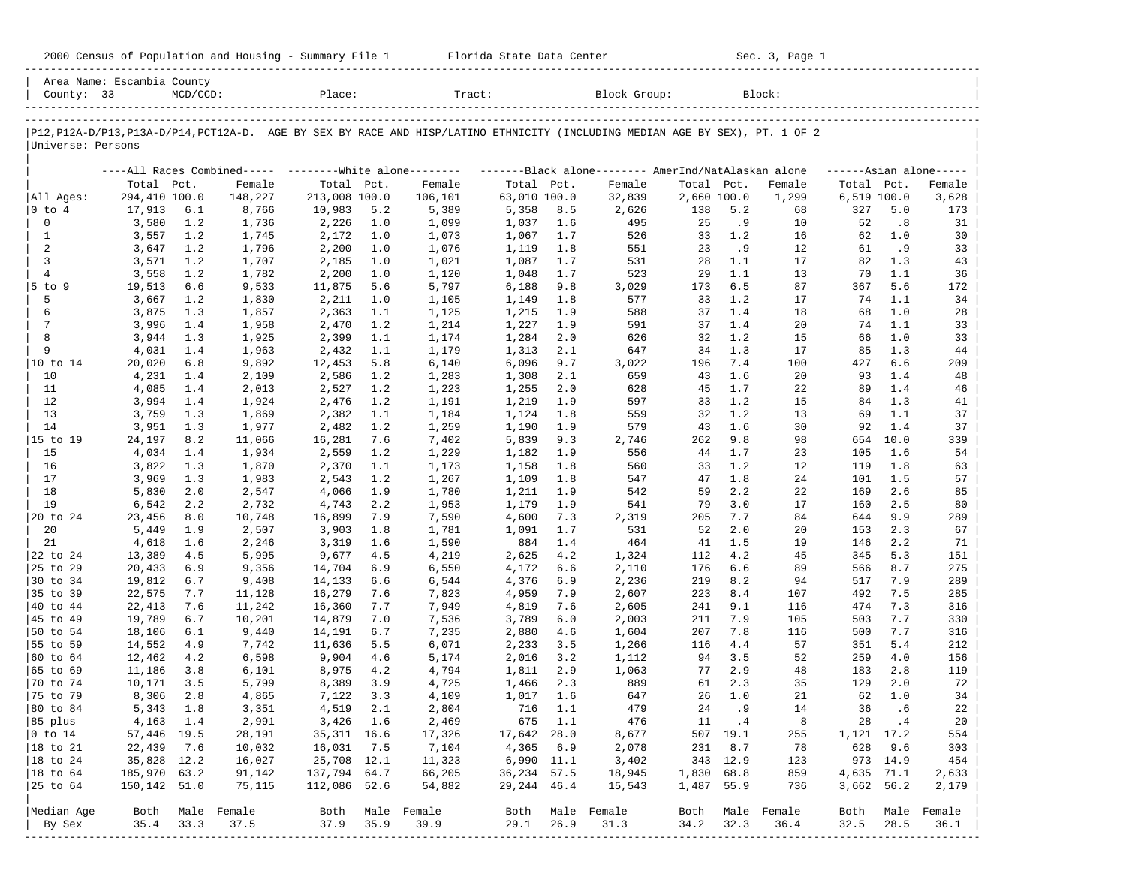| 2000 Census of Population and Housing - Summary File 1 |  | Florida State Data Center | Sec. 3, Page 1 |
|--------------------------------------------------------|--|---------------------------|----------------|
|--------------------------------------------------------|--|---------------------------|----------------|

| Area Name: Escambia County<br>County: 33 |               | $MCD/CCD$ : |                                                         | Place:        |      | Tract:                                                                                                                        |              |      | Block Group:                                        |             |          | Block:           |             |          |                     |
|------------------------------------------|---------------|-------------|---------------------------------------------------------|---------------|------|-------------------------------------------------------------------------------------------------------------------------------|--------------|------|-----------------------------------------------------|-------------|----------|------------------|-------------|----------|---------------------|
|                                          |               |             |                                                         |               |      |                                                                                                                               |              |      |                                                     |             |          |                  |             |          |                     |
|                                          |               |             |                                                         |               |      | P12, P12A-D/P13, P13A-D/P14, PCT12A-D. AGE BY SEX BY RACE AND HISP/LATINO ETHNICITY (INCLUDING MEDIAN AGE BY SEX), PT. 1 OF 2 |              |      |                                                     |             |          |                  |             |          |                     |
| Universe: Persons                        |               |             |                                                         |               |      |                                                                                                                               |              |      |                                                     |             |          |                  |             |          |                     |
|                                          |               |             | ----All Races Combined----- --------White alone-------- |               |      |                                                                                                                               |              |      | -------Black alone-------- AmerInd/NatAlaskan alone |             |          |                  |             |          | $---Asian alone---$ |
|                                          | Total Pct.    |             | Female                                                  | Total Pct.    |      | Female                                                                                                                        | Total Pct.   |      | Female                                              | Total Pct.  |          | Female           | Total Pct.  |          | Female              |
| All Ages:                                | 294,410 100.0 |             | 148,227                                                 | 213,008 100.0 |      | 106,101                                                                                                                       | 63,010 100.0 |      | 32,839                                              | 2,660 100.0 |          | 1,299            | 6,519 100.0 |          | 3,628               |
| $ 0 \t{to} 4$                            | 17,913        | 6.1         | 8,766                                                   | 10,983        | 5.2  | 5,389                                                                                                                         | 5,358        | 8.5  | 2,626                                               | 138         | 5.2      | 68               | 327         | 5.0      | 173                 |
| 0                                        | 3,580         | 1.2         | 1,736                                                   | 2,226         | 1.0  | 1,099                                                                                                                         | 1,037        | 1.6  | 495                                                 | 25          | . 9      | 10               | 52          | .8       | 31                  |
| $\mathbf{1}$                             | 3,557         | 1.2         | 1,745                                                   | 2,172         | 1.0  | 1,073                                                                                                                         | 1,067        | 1.7  | 526                                                 | 33          | 1.2      | 16               | 62          | 1.0      | 30                  |
| $\overline{a}$                           | 3,647         | 1.2         | 1,796                                                   | 2,200         | 1.0  | 1,076                                                                                                                         | 1,119        | 1.8  | 551                                                 | 23          | .9       | 12               | 61          | .9       | 33                  |
| 3                                        | 3,571         | 1.2         | 1,707                                                   | 2,185         | 1.0  | 1,021                                                                                                                         | 1,087        | 1.7  | 531                                                 | 28          | 1.1      | 17               | 82          | 1.3      | 43                  |
| $\overline{4}$                           | 3,558         | 1.2         | 1,782                                                   | 2,200         | 1.0  | 1,120                                                                                                                         | 1,048        | 1.7  | 523                                                 | 29          | 1.1      | 13               | 70          | 1.1      | 36                  |
| $5$ to $9$                               | 19,513        | 6.6         | 9,533                                                   | 11,875        | 5.6  | 5,797                                                                                                                         | 6,188        | 9.8  | 3,029                                               | 173         | 6.5      | 87               | 367         | 5.6      | 172                 |
| 5                                        | 3,667         | 1.2         | 1,830                                                   | 2,211         | 1.0  | 1,105                                                                                                                         | 1,149        | 1.8  | 577                                                 | 33          | 1.2      | 17               | 74          | 1.1      | 34                  |
| 6                                        | 3,875         | 1.3         | 1,857                                                   | 2,363         | 1.1  | 1,125                                                                                                                         | 1,215        | 1.9  | 588                                                 | 37          | 1.4      | 18               | 68          | 1.0      | 28                  |
| $7\phantom{.0}$                          | 3,996         | 1.4         | 1,958                                                   | 2,470         | 1.2  | 1,214                                                                                                                         | 1,227        | 1.9  | 591                                                 | 37          | 1.4      | 20               | 74          | 1.1      | 33                  |
| 8                                        | 3,944         | 1.3         | 1,925                                                   | 2,399         | 1.1  | 1,174                                                                                                                         | 1,284        | 2.0  | 626                                                 | 32          | 1.2      | 15               | 66          | 1.0      | 33                  |
| 9                                        | 4,031         | 1.4         | 1,963                                                   | 2,432         | 1.1  | 1,179                                                                                                                         | 1,313        | 2.1  | 647                                                 | 34          | 1.3      | 17               | 85          | 1.3      | 44                  |
| 10 to 14                                 | 20,020        | 6.8         | 9,892                                                   | 12,453        | 5.8  | 6,140                                                                                                                         | 6,096        | 9.7  | 3,022                                               | 196         | 7.4      | 100              | 427         | 6.6      | 209                 |
| 10                                       | 4,231         | 1.4         | 2,109                                                   | 2,586         | 1.2  | 1,283                                                                                                                         | 1,308        | 2.1  | 659                                                 | 43          | 1.6      | 20               | 93          | 1.4      | 48                  |
| 11                                       | 4,085         | 1.4         | 2,013                                                   | 2,527         | 1.2  | 1,223                                                                                                                         | 1,255        | 2.0  | 628                                                 | 45          | 1.7      | 22               | 89          | 1.4      | 46                  |
| 12                                       | 3,994         | 1.4         | 1,924                                                   | 2,476         | 1.2  | 1,191                                                                                                                         | 1,219        | 1.9  | 597                                                 | 33          | 1.2      | 15               | 84          | 1.3      | 41                  |
| 13                                       | 3,759         | 1.3         | 1,869                                                   | 2,382         | 1.1  | 1,184                                                                                                                         | 1,124        | 1.8  | 559                                                 | 32          | 1.2      | 13               | 69          | 1.1      | 37                  |
| 14                                       | 3,951         | 1.3         | 1,977                                                   | 2,482         | 1.2  | 1,259                                                                                                                         | 1,190        | 1.9  | 579                                                 | 43          | 1.6      | 30               | 92          | 1.4      | 37                  |
| 15 to 19                                 | 24,197        | 8.2         | 11,066                                                  | 16,281        | 7.6  | 7,402                                                                                                                         | 5,839        | 9.3  | 2,746                                               | 262         | 9.8      | 98               | 654         | 10.0     | 339                 |
| 15                                       | 4,034         | 1.4         | 1,934                                                   | 2,559         | 1.2  | 1,229                                                                                                                         | 1,182        | 1.9  | 556                                                 | 44          | 1.7      | 23               | 105         | 1.6      | 54                  |
|                                          |               |             |                                                         |               |      |                                                                                                                               |              |      |                                                     |             |          |                  |             | 1.8      |                     |
| 16                                       | 3,822         | 1.3         | 1,870                                                   | 2,370         | 1.1  | 1,173                                                                                                                         | 1,158        | 1.8  | 560                                                 | 33          | 1.2      | 12               | 119         |          | 63                  |
| 17                                       | 3,969         | 1.3         | 1,983                                                   | 2,543         | 1.2  | 1,267                                                                                                                         | 1,109        | 1.8  | 547                                                 | 47          | 1.8      | 24               | 101         | 1.5      | 57                  |
| 18                                       | 5,830         | 2.0         | 2,547                                                   | 4,066         | 1.9  | 1,780                                                                                                                         | 1,211        | 1.9  | 542                                                 | 59          | 2.2      | 22               | 169         | 2.6      | 85                  |
| 19                                       | 6,542         | 2.2         | 2,732                                                   | 4,743         | 2.2  | 1,953                                                                                                                         | 1,179        | 1.9  | 541                                                 | 79          | 3.0      | 17               | 160         | 2.5      | 80                  |
| 20 to 24                                 | 23,456        | 8.0         | 10,748                                                  | 16,899        | 7.9  | 7,590                                                                                                                         | 4,600        | 7.3  | 2,319                                               | 205         | 7.7      | 84               | 644         | 9.9      | 289                 |
| 20                                       | 5,449         | 1.9         | 2,507                                                   | 3,903         | 1.8  | 1,781                                                                                                                         | 1,091        | 1.7  | 531                                                 | 52          | 2.0      | 20               | 153         | 2.3      | 67                  |
| 21                                       | 4,618         | 1.6         | 2,246                                                   | 3,319         | 1.6  | 1,590                                                                                                                         | 884          | 1.4  | 464                                                 | 41          | 1.5      | 19               | 146         | 2.2      | 71                  |
| 22 to 24                                 | 13,389        | 4.5         | 5,995                                                   | 9,677         | 4.5  | 4,219                                                                                                                         | 2,625        | 4.2  | 1,324                                               | 112         | 4.2      | 45               | 345         | 5.3      | 151                 |
| 25 to 29                                 | 20,433        | 6.9         | 9,356                                                   | 14,704        | 6.9  | 6,550                                                                                                                         | 4,172        | 6.6  | 2,110                                               | 176         | 6.6      | 89               | 566         | 8.7      | 275                 |
| 30 to 34                                 | 19,812        | $6.7$       | 9,408                                                   | 14,133        | 6.6  | 6,544                                                                                                                         | 4,376        | 6.9  | 2,236                                               | 219         | 8.2      | 94               | 517         | 7.9      | 289                 |
| 35 to 39                                 | 22,575        | 7.7         | 11,128                                                  | 16,279        | 7.6  | 7,823                                                                                                                         | 4,959        | 7.9  | 2,607                                               | 223         | 8.4      | 107              | 492         | 7.5      | 285                 |
| 40 to 44                                 | 22,413        | 7.6         | 11,242                                                  | 16,360        | 7.7  | 7,949                                                                                                                         | 4,819        | 7.6  | 2,605                                               | 241         | 9.1      | 116              | 474         | 7.3      | 316                 |
| 45 to 49                                 | 19,789        | $6.7$       | 10,201                                                  | 14,879        | 7.0  | 7,536                                                                                                                         | 3,789        | 6.0  | 2,003                                               | 211         | 7.9      | 105              | 503         | 7.7      | 330                 |
| 50 to 54                                 | 18,106        | 6.1         | 9,440                                                   | 14,191        | 6.7  | 7,235                                                                                                                         | 2,880        | 4.6  | 1,604                                               | 207         | 7.8      | 116              | 500         | 7.7      | 316                 |
| 55 to 59                                 | 14,552        | 4.9         | 7,742                                                   | 11,636        | 5.5  | 6,071                                                                                                                         | 2,233        | 3.5  | 1,266                                               | 116         | 4.4      | 57               | 351         | 5.4      | 212                 |
| 60 to 64                                 | 12,462        | 4.2         | 6,598                                                   | 9,904         | 4.6  | 5,174                                                                                                                         | 2,016        | 3.2  | 1,112                                               | 94          | 3.5      | 52               | 259         | 4.0      | 156                 |
| 65 to 69                                 | 11,186        | 3.8         | 6,101                                                   | 8,975         | 4.2  | 4,794                                                                                                                         | 1,811        | 2.9  | 1,063                                               | 77          | 2.9      | 48               | 183         | 2.8      | 119                 |
| 70 to 74                                 | 10,171        | 3.5         | 5,799                                                   | 8,389         | 3.9  | 4,725                                                                                                                         | 1,466        | 2.3  | 889                                                 | 61          | 2.3      | 35               | 129         | 2.0      | 72                  |
| 75 to 79                                 | 8,306         | 2.8         | 4,865                                                   | 7,122         | 3.3  | 4,109                                                                                                                         | 1,017        | 1.6  | 647                                                 | 26          | 1.0      | 21               | 62          | 1.0      | 34                  |
| 80 to 84                                 | 5,343         | 1.8         | 3,351                                                   | 4,519         | 2.1  | 2,804                                                                                                                         | 716          | 1.1  | 479                                                 | 24          | . 9      | 14               | 36          | .6       | 22                  |
| 85 plus                                  | 4,163 1.4     |             | 2,991                                                   | 3,426 1.6     |      | 2,469                                                                                                                         | 675 1.1      |      | 476                                                 |             | 11 .4    | 8                |             | 28 .4    | 20                  |
| $ 0 \t\t \tto 14$                        | 57,446 19.5   |             | 28,191                                                  | 35, 311 16.6  |      | 17,326                                                                                                                        | 17,642 28.0  |      | 8,677                                               |             | 507 19.1 | 255              | 1,121 17.2  |          | 554                 |
| 18 to 21                                 | 22,439        | 7.6         | 10,032                                                  | 16,031 7.5    |      | 7,104                                                                                                                         | 4,365 6.9    |      | 2,078                                               |             | 231 8.7  | 78               | 628         | 9.6      | 303                 |
| $ 18$ to $24$                            | 35,828 12.2   |             | 16,027                                                  | 25,708 12.1   |      | 11,323                                                                                                                        | 6,990 11.1   |      | 3,402                                               |             | 343 12.9 | 123              |             | 973 14.9 | 454                 |
| $ 18$ to $64$                            | 185,970 63.2  |             | 91,142                                                  | 137,794 64.7  |      | 66,205                                                                                                                        | 36,234 57.5  |      | 18,945                                              | 1,830 68.8  |          | 859              | 4,635 71.1  |          | 2,633               |
| 25 to 64                                 | 150,142 51.0  |             | 75,115                                                  | 112,086 52.6  |      | 54,882                                                                                                                        | 29,244 46.4  |      | 15,543                                              | 1,487 55.9  |          | 736              | 3,662 56.2  |          | 2,179               |
|                                          |               |             |                                                         |               |      |                                                                                                                               |              |      |                                                     |             |          |                  |             |          |                     |
| Median Age                               |               |             | Both Male Female                                        |               |      | Both Male Female                                                                                                              |              |      | Both Male Female                                    |             |          | Both Male Female | Both        |          | Male Female         |
| By Sex                                   | 35.4          | 33.3        | 37.5                                                    | 37.9          | 35.9 | 39.9                                                                                                                          | 29.1         | 26.9 | 31.3                                                | 34.2        | 32.3     | 36.4             | 32.5        | 28.5     | 36.1                |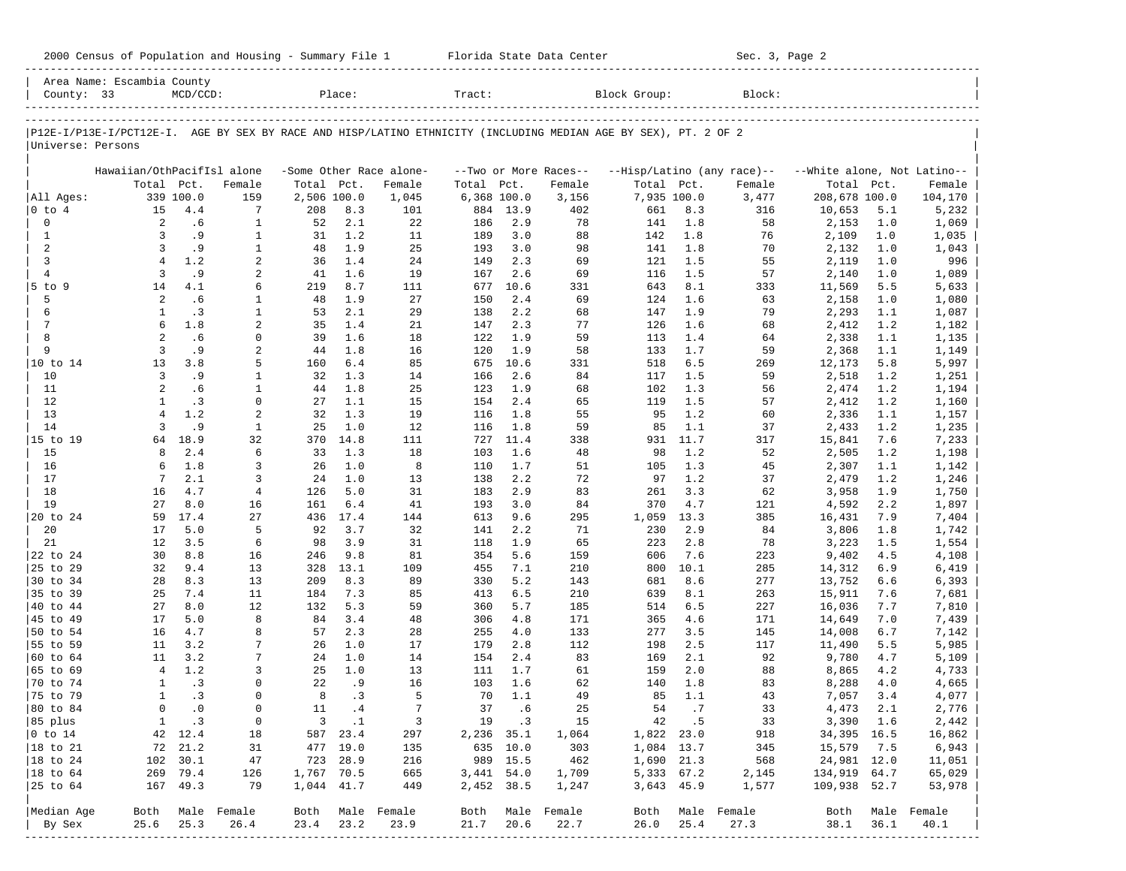| 2000 Census of Population and Housing - Summary File 1 |  | Florida State Data Center | Sec. 3, Page 2 |
|--------------------------------------------------------|--|---------------------------|----------------|
|--------------------------------------------------------|--|---------------------------|----------------|

|                      | Area Name: Escambia County |              |                  |             |             |                         |              |            |                       |                                                                                                                |             |                            |                             |            |                  |
|----------------------|----------------------------|--------------|------------------|-------------|-------------|-------------------------|--------------|------------|-----------------------|----------------------------------------------------------------------------------------------------------------|-------------|----------------------------|-----------------------------|------------|------------------|
| County: $33$         |                            | $MCD/CCD$ :  |                  |             | Place:      |                         | Tract:       |            |                       | Block Group:                                                                                                   |             | Block:                     |                             |            |                  |
|                      |                            |              |                  |             |             |                         |              |            |                       | P12E-I/P13E-I/PCT12E-I. AGE BY SEX BY RACE AND HISP/LATINO ETHNICITY (INCLUDING MEDIAN AGE BY SEX), PT. 2 OF 2 |             |                            |                             |            |                  |
| Universe: Persons    |                            |              |                  |             |             |                         |              |            |                       |                                                                                                                |             |                            |                             |            |                  |
|                      | Hawaiian/OthPacifIsl alone |              |                  |             |             | -Some Other Race alone- |              |            | --Two or More Races-- |                                                                                                                |             | --Hisp/Latino (any race)-- | --White alone, Not Latino-- |            |                  |
|                      | Total Pct.                 |              | Female           | Total Pct.  |             | Female                  | Total Pct.   |            | Female                | Total Pct.                                                                                                     |             | Female                     | Total Pct.                  |            | Female           |
| All Ages:            |                            | 339 100.0    | 159              | 2,506 100.0 |             | 1,045                   | 6,368 100.0  |            | 3,156                 |                                                                                                                | 7,935 100.0 | 3,477                      | 208,678 100.0               |            | 104,170          |
| $ 0 \tto 4$          | 15                         | 4.4          | 7                | 208         | 8.3         | 101                     | 884          | 13.9       | 402                   | 661                                                                                                            | 8.3         | 316                        | 10,653                      | 5.1        | 5,232            |
| $\mathsf{O}\xspace$  | 2                          | .6           | $\mathbf{1}$     | 52          | 2.1         | 22                      | 186          | 2.9        | 78                    | 141                                                                                                            | 1.8         | 58                         | 2,153                       | 1.0        | 1,069            |
| $\mathbf{1}$         | 3                          | .9           | $\mathbf{1}$     | 31          | 1.2         | 11                      | 189          | 3.0        | 88                    | 142                                                                                                            | 1.8         | 76                         | 2,109                       | 1.0        | 1,035            |
| $\overline{a}$       | 3                          | .9           | $\mathbf{1}$     | 48          | 1.9         | 25                      | 193          | 3.0        | 98                    | 141                                                                                                            | 1.8         | 70                         | 2,132                       | 1.0        | 1,043            |
| 3                    | $\overline{4}$             | 1.2          | $\overline{a}$   | 36          | 1.4         | 24                      | 149          | 2.3        | 69                    | 121                                                                                                            | 1.5         | 55                         | 2,119                       | 1.0        | 996              |
| $\overline{4}$       | 3                          | .9           | 2                | 41          | 1.6         | 19                      | 167          | 2.6        | 69                    | 116                                                                                                            | 1.5         | 57                         | 2,140                       | 1.0        | 1,089            |
| $5$ to $9$           | 14                         | 4.1          | 6                | 219         | 8.7         | 111                     | 677          | 10.6       | 331                   | 643                                                                                                            | 8.1         | 333                        | 11,569                      | 5.5        | 5,633            |
| 5                    | 2                          | . 6          | 1                | 48          | 1.9         | 27                      | 150          | 2.4        | 69                    | 124                                                                                                            | 1.6         | 63                         | 2,158                       | 1.0        | 1,080            |
| 6                    | 1                          | .3           | $\mathbf{1}$     | 53          | 2.1         | 29                      | 138          | 2.2        | 68                    | 147                                                                                                            | 1.9         | 79                         | 2,293                       | 1.1        | 1,087            |
| $\overline{7}$<br>8  | 6                          | 1.8          | 2                | 35          | 1.4         | 21                      | 147          | 2.3        | 77                    | 126                                                                                                            | 1.6         | 68                         | 2,412                       | 1.2        | 1,182            |
| 9                    | 2<br>$\overline{3}$        | .6<br>. 9    | $\mathbf 0$      | 39          | 1.6<br>1.8  | 18                      | 122          | 1.9<br>1.9 | 59                    | 113                                                                                                            | 1.4         | 64                         | 2,338                       | 1.1        | 1,135            |
| 10 to 14             | 13                         | 3.8          | 2<br>5           | 44<br>160   | 6.4         | 16<br>85                | 120<br>675   | 10.6       | 58<br>331             | 133<br>518                                                                                                     | 1.7<br>6.5  | 59<br>269                  | 2,368                       | 1.1<br>5.8 | 1,149<br>5,997   |
| 10                   | 3                          | .9           | 1                | 32          | 1.3         | 14                      | 166          | 2.6        | 84                    | 117                                                                                                            | 1.5         | 59                         | 12,173<br>2,518             | 1.2        |                  |
| 11                   | 2                          | .6           | $\mathbf{1}$     | 44          | 1.8         | 25                      | 123          | 1.9        | 68                    | 102                                                                                                            | 1.3         | 56                         | 2,474                       | 1.2        | 1,251<br>1,194   |
| 12                   | $\mathbf{1}$               | .3           | $\mathbf 0$      | 27          | 1.1         | 15                      | 154          | 2.4        | 65                    | 119                                                                                                            | 1.5         | 57                         | 2,412                       | 1.2        | 1,160            |
| 13                   | $\overline{4}$             | 1.2          | 2                | 32          | 1.3         | 19                      | 116          | 1.8        | 55                    | 95                                                                                                             | 1.2         | 60                         | 2,336                       | 1.1        | 1,157            |
| 14                   | 3                          | . 9          | $\mathbf{1}$     | 25          | 1.0         | 12                      | 116          | 1.8        | 59                    | 85                                                                                                             | 1.1         | 37                         | 2,433                       | 1.2        | 1,235            |
| 15 to 19             | 64                         | 18.9         | 32               | 370         | 14.8        | 111                     | 727          | 11.4       | 338                   | 931                                                                                                            | 11.7        | 317                        | 15,841                      | 7.6        | 7,233            |
| 15                   | 8                          | 2.4          | 6                | 33          | 1.3         | 18                      | 103          | 1.6        | 48                    | 98                                                                                                             | 1.2         | 52                         | 2,505                       | 1.2        | 1,198            |
| 16                   | 6                          | 1.8          | 3                | 26          | 1.0         | 8                       | 110          | 1.7        | 51                    | 105                                                                                                            | 1.3         | 45                         | 2,307                       | 1.1        | 1,142            |
| 17                   | $7\phantom{.0}$            | 2.1          | 3                | 24          | 1.0         | 13                      | 138          | 2.2        | 72                    | 97                                                                                                             | 1.2         | 37                         | 2,479                       | 1.2        | 1,246            |
| 18                   | 16                         | 4.7          | $\overline{4}$   | 126         | 5.0         | 31                      | 183          | 2.9        | 83                    | 261                                                                                                            | 3.3         | 62                         | 3,958                       | 1.9        | 1,750            |
| 19                   | 27                         | 8.0          | 16               | 161         | $6.4$       | 41                      | 193          | 3.0        | 84                    | 370                                                                                                            | 4.7         | 121                        | 4,592                       | 2.2        | 1,897            |
| 20 to 24             | 59                         | 17.4         | 27               | 436         | 17.4        | 144                     | 613          | 9.6        | 295                   | 1,059                                                                                                          | 13.3        | 385                        | 16,431                      | 7.9        | 7,404            |
| 20                   | 17                         | 5.0          | 5                | 92          | 3.7         | 32                      | 141          | 2.2        | 71                    | 230                                                                                                            | 2.9         | 84                         | 3,806                       | 1.8        | 1,742            |
| 21                   | 12                         | 3.5          | 6                | 98          | 3.9         | 31                      | 118          | 1.9        | 65                    | 223                                                                                                            | 2.8         | 78                         | 3,223                       | 1.5        | 1,554            |
| 22 to 24             | 30                         | 8.8          | 16               | 246         | 9.8         | 81                      | 354          | 5.6        | 159                   | 606                                                                                                            | 7.6         | 223                        | 9,402                       | 4.5        | 4,108            |
| 25 to 29             | 32                         | 9.4          | 13               | 328         | 13.1        | 109                     | 455          | 7.1        | 210                   | 800                                                                                                            | 10.1        | 285                        | 14,312                      | 6.9        | 6,419            |
| 30 to 34             | 28                         | 8.3          | 13               | 209         | 8.3         | 89                      | 330          | 5.2        | 143                   | 681                                                                                                            | 8.6         | 277                        | 13,752                      | 6.6        | 6,393            |
| 35 to 39             | 25                         | 7.4          | 11               | 184         | 7.3         | 85                      | 413          | 6.5        | 210                   | 639                                                                                                            | 8.1         | 263                        | 15,911                      | 7.6        | 7,681            |
| 40 to 44             | 27                         | 8.0          | 12               | 132         | 5.3         | 59                      | 360          | 5.7        | 185                   | 514                                                                                                            | 6.5         | 227                        | 16,036                      | 7.7        | 7,810            |
| 45 to 49             | 17                         | 5.0          | 8                | 84          | 3.4         | 48                      | 306          | 4.8        | 171                   | 365                                                                                                            | 4.6         | 171                        | 14,649                      | 7.0        | 7,439            |
| 50 to 54             | 16                         | 4.7          | 8                | 57          | 2.3         | 28                      | 255          | 4.0        | 133                   | 277                                                                                                            | 3.5         | 145                        | 14,008                      | 6.7        | 7,142            |
| 55 to 59             | 11                         | 3.2          | 7                | 26          | 1.0         | 17                      | 179          | 2.8        | 112                   | 198                                                                                                            | 2.5         | 117                        | 11,490                      | 5.5        | 5,985            |
| 60 to 64             | 11                         | 3.2          | 7                | 24          | 1.0         | 14                      | 154          | 2.4        | 83                    | 169                                                                                                            | 2.1         | 92                         | 9,780                       | 4.7        | 5,109            |
| 65 to 69             | $\overline{4}$             | 1.2          | 3                | 25          | 1.0         | 13                      | 111          | 1.7        | 61                    | 159                                                                                                            | 2.0         | 88                         | 8,865                       | 4.2        | 4,733            |
| 70 to 74             | $\mathbf{1}$               | .3           | 0                | 22          | . 9         | 16                      | 103          | 1.6        | 62                    | 140                                                                                                            | 1.8         | 83                         | 8,288                       | 4.0        | 4,665            |
| 75 to 79             | $\mathbf{1}$               | .3           | $\Omega$         | 8           | .3          | 5                       | 70           | 1.1        | 49                    | 85                                                                                                             | 1.1         | 43                         | 7,057                       | 3.4        | 4,077            |
| 80 to 84             | $\Omega$                   | $\cdot$ 0    | $\mathbf 0$      | 11          | .4          | 7                       | 37           | .6         | 25                    | 54                                                                                                             | .7          | 33                         | 4,473                       | 2.1        | 2,776            |
| 85 plus              |                            | $1 \quad .3$ | $\overline{0}$   |             | $3 \cdot 1$ | $\overline{\mathbf{3}}$ |              | 19 .3      | 15                    |                                                                                                                | 42 .5       | 33                         | 3,390 1.6                   |            | 2,442            |
| $ 0 \t{to} 14$       |                            | 42 12.4      | 18               |             | 587 23.4    | 297                     | 2,236 35.1   |            | 1,064                 | 1,822 23.0                                                                                                     |             | 918                        | 34,395 16.5                 |            | 16,862           |
| $ 18 \text{ to } 21$ |                            | 72 21.2      | 31               |             | 477 19.0    | 135                     | 635 10.0     |            | 303                   | 1,084 13.7                                                                                                     |             | 345                        | 15,579                      | 7.5        | 6,943            |
| $ 18 \text{ to } 24$ |                            | 102 30.1     | 47               |             | 723 28.9    | 216                     |              | 989 15.5   | 462                   | 1,690 21.3                                                                                                     |             | 568                        | 24,981 12.0                 |            | 11,051           |
| $ 18 \text{ to } 64$ |                            | 269 79.4     | 126              | 1,767 70.5  |             | 665                     | $3,441$ 54.0 |            | 1,709                 | 5,333 67.2                                                                                                     |             | 2,145                      | 134,919 64.7                |            | 65,029           |
|                      |                            | 167 49.3     | 79               | 1,044 41.7  |             | 449                     | 2,452 38.5   |            | 1,247                 |                                                                                                                | 3,643 45.9  | 1,577                      | 109,938 52.7                |            | 53,978           |
| Median Age           |                            |              | Both Male Female |             |             | Both Male Female        |              |            | Both Male Female      |                                                                                                                |             | Both Male Female           |                             |            | Both Male Female |
| By Sex               | 25.6                       | 25.3         | 26.4             | 23.4        | 23.2        | 23.9                    | 21.7         | 20.6       | 22.7                  | 26.0                                                                                                           | 25.4        | 27.3                       | 38.1 36.1                   |            | 40.1             |
|                      |                            |              |                  |             |             |                         |              |            |                       |                                                                                                                |             |                            |                             |            |                  |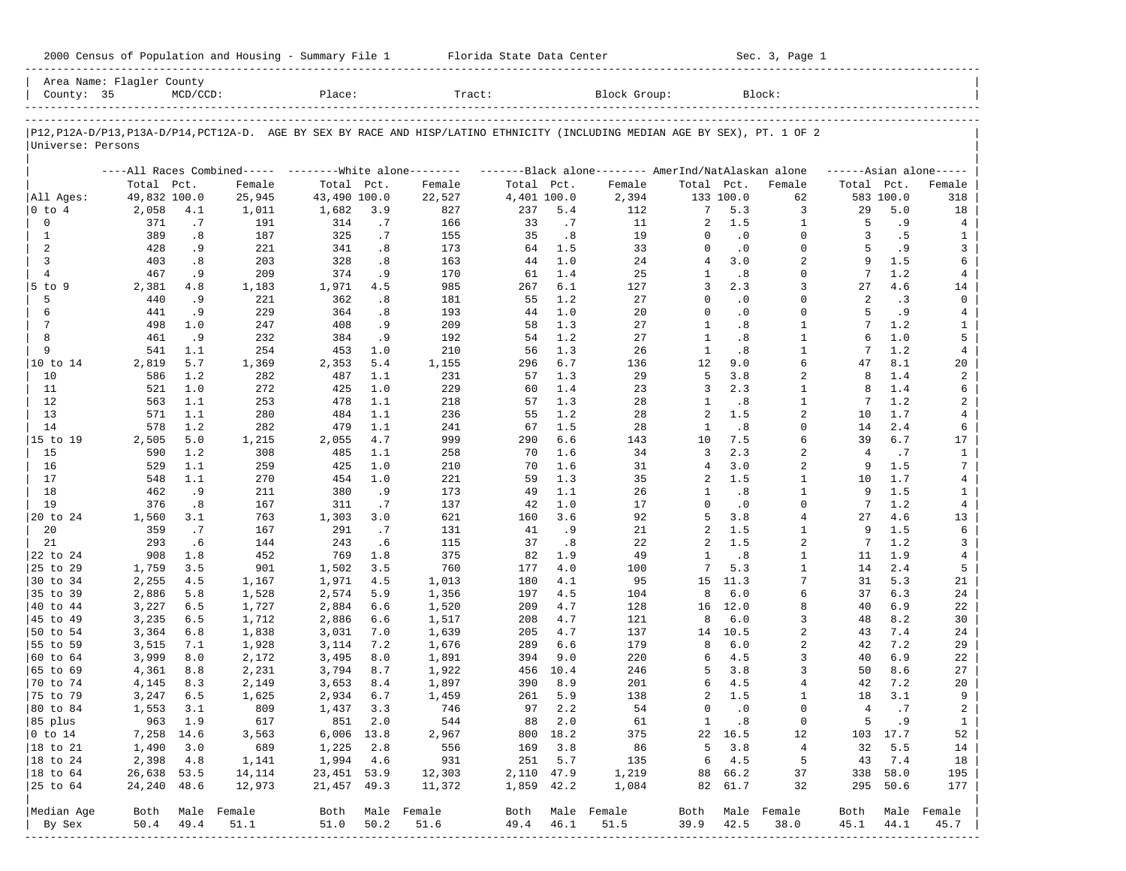| 2000 Census of Population and Housing - Summary File 1 |  | Florida State Data Center | Sec. 3, Page 1 |
|--------------------------------------------------------|--|---------------------------|----------------|
|--------------------------------------------------------|--|---------------------------|----------------|

| County: 35        | Area Name: Flagler County | $MCD/CCD$ : |                                                            | Place:       |          | Tract:                                                                                                                     |             |            | Block Group:                                        |              |                  | Block:         |                |           |                     |
|-------------------|---------------------------|-------------|------------------------------------------------------------|--------------|----------|----------------------------------------------------------------------------------------------------------------------------|-------------|------------|-----------------------------------------------------|--------------|------------------|----------------|----------------|-----------|---------------------|
|                   |                           |             |                                                            |              |          |                                                                                                                            |             |            |                                                     |              |                  |                |                |           |                     |
| Universe: Persons |                           |             |                                                            |              |          | P12,P12A-D/P13,P13A-D/P14,PCT12A-D. AGE BY SEX BY RACE AND HISP/LATINO ETHNICITY (INCLUDING MEDIAN AGE BY SEX), PT. 1 OF 2 |             |            |                                                     |              |                  |                |                |           |                     |
|                   |                           |             | ----All Races Combined-----    --------White alone-------- |              |          |                                                                                                                            |             |            | -------Black alone-------- AmerInd/NatAlaskan alone |              |                  |                |                |           | $---Asian alone---$ |
|                   | Total Pct.                |             | Female                                                     | Total Pct.   |          | Female                                                                                                                     | Total Pct.  |            | Female                                              | Total Pct.   |                  | Female         | Total Pct.     |           | Female              |
| All Ages:         | 49,832 100.0              |             | 25,945                                                     | 43,490 100.0 |          | 22,527                                                                                                                     | 4,401 100.0 |            | 2,394                                               |              | 133 100.0        | 62             |                | 583 100.0 | 318                 |
| 0 to 4            | 2,058                     | 4.1         | 1,011                                                      | 1,682        | 3.9      | 827                                                                                                                        | 237         | 5.4        | 112                                                 | 7            | 5.3              | 3              | 29             | 5.0       | 18                  |
| 0                 | 371                       | .7          | 191                                                        | 314          | .7       | 166                                                                                                                        | 33          | .7         | 11                                                  | 2            | 1.5              | 1              | 5              | . 9       | 4                   |
| $\mathbf{1}$      | 389                       | .8          | 187                                                        | 325          | .7       | 155                                                                                                                        | 35          | .8         | 19                                                  | $\Omega$     | $\cdot$ 0        | $\Omega$       | 3              | .5        | 1                   |
| 2                 | 428                       | .9          | 221                                                        | 341          | .8       | 173                                                                                                                        | 64          | 1.5        | 33                                                  | $\mathbf 0$  | $\cdot$ 0        | $\Omega$       | 5              | .9        | 3                   |
| 3                 | 403                       | .8          | 203                                                        | 328          | .8       | 163                                                                                                                        | 44          | 1.0        | 24                                                  | 4            | 3.0              | 2<br>$\Omega$  | 9              | 1.5       | 6                   |
| $\overline{4}$    | 467                       | .9          | 209                                                        | 374          | .9       | 170                                                                                                                        | 61          | 1.4        | 25                                                  | 1<br>3       | .8               | 3              | 7              | 1.2       | 4                   |
| $5$ to $9$<br>5   | 2,381<br>440              | 4.8<br>. 9  | 1,183                                                      | 1,971<br>362 | 4.5      | 985<br>181                                                                                                                 | 267<br>55   | 6.1<br>1.2 | 127<br>27                                           | $\Omega$     | 2.3<br>$\cdot$ 0 | $\Omega$       | 27<br>2        | 4.6<br>.3 | 14<br>$\mathbf 0$   |
| 6                 | 441                       | .9          | 221<br>229                                                 | 364          | .8       | 193                                                                                                                        | 44          | 1.0        | 20                                                  | $\Omega$     | $\cdot$ 0        | $\Omega$       | 5              | .9        |                     |
| 7                 | 498                       | 1.0         | 247                                                        | 408          | .8<br>.9 | 209                                                                                                                        | 58          | 1.3        | 27                                                  | 1            | .8               | $\mathbf{1}$   | 7              | 1.2       | 4<br>$\mathbf{1}$   |
| 8                 | 461                       | .9          | 232                                                        | 384          | .9       | 192                                                                                                                        | 54          | 1.2        | 27                                                  | $\mathbf{1}$ | .8               | $\mathbf{1}$   | 6              | 1.0       | 5                   |
| 9                 | 541                       | 1.1         | 254                                                        | 453          | 1.0      | 210                                                                                                                        | 56          | 1.3        | 26                                                  | $\mathbf{1}$ | .8               | $\mathbf{1}$   | 7              | 1.2       | $\overline{4}$      |
| 10 to 14          | 2,819                     | 5.7         | 1,369                                                      | 2,353        | 5.4      | 1,155                                                                                                                      | 296         | 6.7        | 136                                                 | 12           | 9.0              | 6              | 47             | 8.1       | 20                  |
| 10                | 586                       | 1.2         | 282                                                        | 487          | 1.1      | 231                                                                                                                        | 57          | 1.3        | 29                                                  | 5            | 3.8              | $\overline{a}$ | 8              | 1.4       | 2                   |
| 11                | 521                       | 1.0         | 272                                                        | 425          | 1.0      | 229                                                                                                                        | 60          | 1.4        | 23                                                  | 3            | 2.3              | 1              | 8              | 1.4       | 6                   |
| 12                | 563                       | 1.1         | 253                                                        | 478          | 1.1      | 218                                                                                                                        | 57          | 1.3        | 28                                                  | 1            | .8               | $\mathbf{1}$   | 7              | 1.2       | 2                   |
| 13                | 571                       | 1.1         | 280                                                        | 484          | 1.1      | 236                                                                                                                        | 55          | 1.2        | 28                                                  | 2            | 1.5              | 2              | 10             | 1.7       | 4                   |
| 14                | 578                       | 1.2         | 282                                                        | 479          | 1.1      | 241                                                                                                                        | 67          | 1.5        | 28                                                  | 1            | .8               | $\Omega$       | 14             | 2.4       | 6                   |
| 15 to 19          | 2,505                     | 5.0         | 1,215                                                      | 2,055        | 4.7      | 999                                                                                                                        | 290         | 6.6        | 143                                                 | 10           | 7.5              | 6              | 39             | 6.7       | 17                  |
| 15                | 590                       | 1.2         | 308                                                        | 485          | 1.1      | 258                                                                                                                        | 70          | 1.6        | 34                                                  | 3            | 2.3              | $\overline{a}$ | $\overline{4}$ | .7        | $\mathbf{1}$        |
| 16                | 529                       | 1.1         | 259                                                        | 425          | 1.0      | 210                                                                                                                        | 70          | 1.6        | 31                                                  | 4            | 3.0              | 2              | 9              | 1.5       | $7\phantom{.0}$     |
| 17                | 548                       | 1.1         | 270                                                        | 454          | 1.0      | 221                                                                                                                        | 59          | 1.3        | 35                                                  | 2            | 1.5              | $\mathbf{1}$   | 10             | 1.7       | 4                   |
| 18                | 462                       | .9          | 211                                                        | 380          | .9       | 173                                                                                                                        | 49          | 1.1        | 26                                                  | $\mathbf{1}$ | .8               | $\mathbf{1}$   | 9              | 1.5       | $\mathbf{1}$        |
| 19                | 376                       | .8          | 167                                                        | 311          | .7       | 137                                                                                                                        | 42          | 1.0        | 17                                                  | $\Omega$     | $\cdot$ 0        | $\Omega$       | 7              | 1.2       | $\overline{4}$      |
| 20 to 24          | 1,560                     | 3.1         | 763                                                        | 1,303        | 3.0      | 621                                                                                                                        | 160         | 3.6        | 92                                                  | 5            | 3.8              | 4              | 27             | 4.6       | 13                  |
| 20                | 359                       | .7          | 167                                                        | 291          | .7       | 131                                                                                                                        | 41          | .9         | 21                                                  | 2            | 1.5              | $\mathbf{1}$   | 9              | 1.5       | 6                   |
| 21                | 293                       | .6          | 144                                                        | 243          | .6       | 115                                                                                                                        | 37          | .8         | 22                                                  | 2            | 1.5              | $\overline{a}$ | 7              | 1.2       | 3                   |
| 22 to 24          | 908                       | 1.8         | 452                                                        | 769          | 1.8      | 375                                                                                                                        | 82          | 1.9        | 49                                                  | $\mathbf{1}$ | .8               | $\mathbf{1}$   | 11             | 1.9       | $\overline{4}$      |
| 25 to 29          | 1,759                     | 3.5         | 901                                                        | 1,502        | 3.5      | 760                                                                                                                        | 177         | 4.0        | 100                                                 | 7            | 5.3              | $\mathbf{1}$   | 14             | 2.4       | 5                   |
| 30 to 34          | 2,255                     | 4.5         | 1,167                                                      | 1,971        | 4.5      | 1,013                                                                                                                      | 180         | 4.1        | 95                                                  | 15           | 11.3             | 7              | 31             | 5.3       | 21                  |
| 35 to 39          | 2,886                     | 5.8         | 1,528                                                      | 2,574        | 5.9      | 1,356                                                                                                                      | 197         | 4.5        | 104                                                 | 8            | 6.0              | 6              | 37             | 6.3       | 24                  |
| 40 to 44          | 3,227                     | 6.5         | 1,727                                                      | 2,884        | 6.6      | 1,520                                                                                                                      | 209         | 4.7        | 128                                                 | 16           | 12.0             | 8              | 40             | 6.9       | 22                  |
| 45 to 49          | 3,235                     | 6.5         | 1,712                                                      | 2,886        | 6.6      | 1,517                                                                                                                      | 208         | 4.7        | 121                                                 | 8            | 6.0              | 3              | 48             | 8.2       | 30                  |
| 50 to 54          | 3,364                     | 6.8         | 1,838                                                      | 3,031        | 7.0      | 1,639                                                                                                                      | 205         | 4.7        | 137                                                 | 14           | 10.5             | $\overline{a}$ | 43             | 7.4       | 24                  |
| 55 to 59          | 3,515                     | 7.1         | 1,928                                                      | 3,114        | 7.2      | 1,676                                                                                                                      | 289         | 6.6        | 179                                                 | 8            | $6.0$            | 2              | 42             | 7.2       | 29                  |
| 60 to 64          | 3,999                     | 8.0         | 2,172                                                      | 3,495        | 8.0      | 1,891                                                                                                                      | 394         | 9.0        | 220                                                 | 6            | 4.5              | 3              | 40             | 6.9       | 22                  |
| 65 to 69          | 4,361                     | 8.8         | 2,231                                                      | 3,794        | 8.7      | 1,922                                                                                                                      | 456         | 10.4       | 246                                                 | 5            | 3.8              | 3              | 50             | 8.6       | 27                  |
| 70 to 74          | 4,145                     | 8.3         | 2,149                                                      | 3,653        | 8.4      | 1,897                                                                                                                      | 390         | 8.9        | 201                                                 | 6            | 4.5              | $\overline{4}$ | 42             | 7.2       | 20                  |
| 75 to 79          | 3,247                     | 6.5         | 1,625                                                      | 2,934        | 6.7      | 1,459                                                                                                                      | 261         | 5.9        | 138                                                 | 2            | 1.5              | 1              | 18             | 3.1       | 9                   |
| 80 to 84          | 1,553                     | 3.1         | 809                                                        | 1,437        | 3.3      | 746                                                                                                                        | 97          | 2.2        | 54                                                  | 0            | $\cdot$ 0        | $\Omega$       | 4              | .7        | $\overline{a}$      |
| 85 plus           |                           | 963 1.9     | 617                                                        |              | 851 2.0  | 544                                                                                                                        |             | 88 2.0     | 61                                                  | $\mathbf{1}$ | $\cdot$ 8        | 0              | 5              | .9        | $\mathbf{1}$        |
| $ 0 \t{to} 14$    | 7,258 14.6                |             | 3,563                                                      | $6,006$ 13.8 |          | 2,967                                                                                                                      |             | 800 18.2   | 375                                                 |              | 22 16.5          | 12             |                | 103 17.7  | 52                  |
| 18 to 21          | 1,490                     | 3.0         | 689                                                        | 1,225        | 2.8      | 556                                                                                                                        | 169         | 3.8        | 86                                                  | 5            | 3.8              | $\overline{4}$ | 32             | 5.5       | 14                  |
| 18 to 24          | 2,398                     | 4.8         | 1,141                                                      | 1,994        | 4.6      | 931                                                                                                                        | 251         | 5.7        | 135                                                 | 6            | 4.5              | 5              | 43             | 7.4       | 18                  |
| $ 18$ to $64$     | 26,638 53.5               |             | 14,114                                                     | 23, 451 53.9 |          | 12,303                                                                                                                     | 2,110 47.9  |            | 1,219                                               |              | 88 66.2          | 37             | 338            | 58.0      | 195                 |
| 25 to 64          | 24,240 48.6               |             | 12,973                                                     | 21,457 49.3  |          | 11,372                                                                                                                     | 1,859 42.2  |            | 1,084                                               |              | 82 61.7          | 32             |                | 295 50.6  | 177                 |
| Median Age        | Both                      |             | Male Female                                                |              |          | Both Male Female                                                                                                           |             |            | Both Male Female                                    | Both         |                  | Male Female    | Both           |           | Male Female         |
| By Sex            | 50.4                      | 49.4        | 51.1                                                       | 51.0         | 50.2     | 51.6                                                                                                                       | 49.4        | 46.1       | 51.5                                                | 39.9         | 42.5             | 38.0           | 45.1           | 44.1      | 45.7                |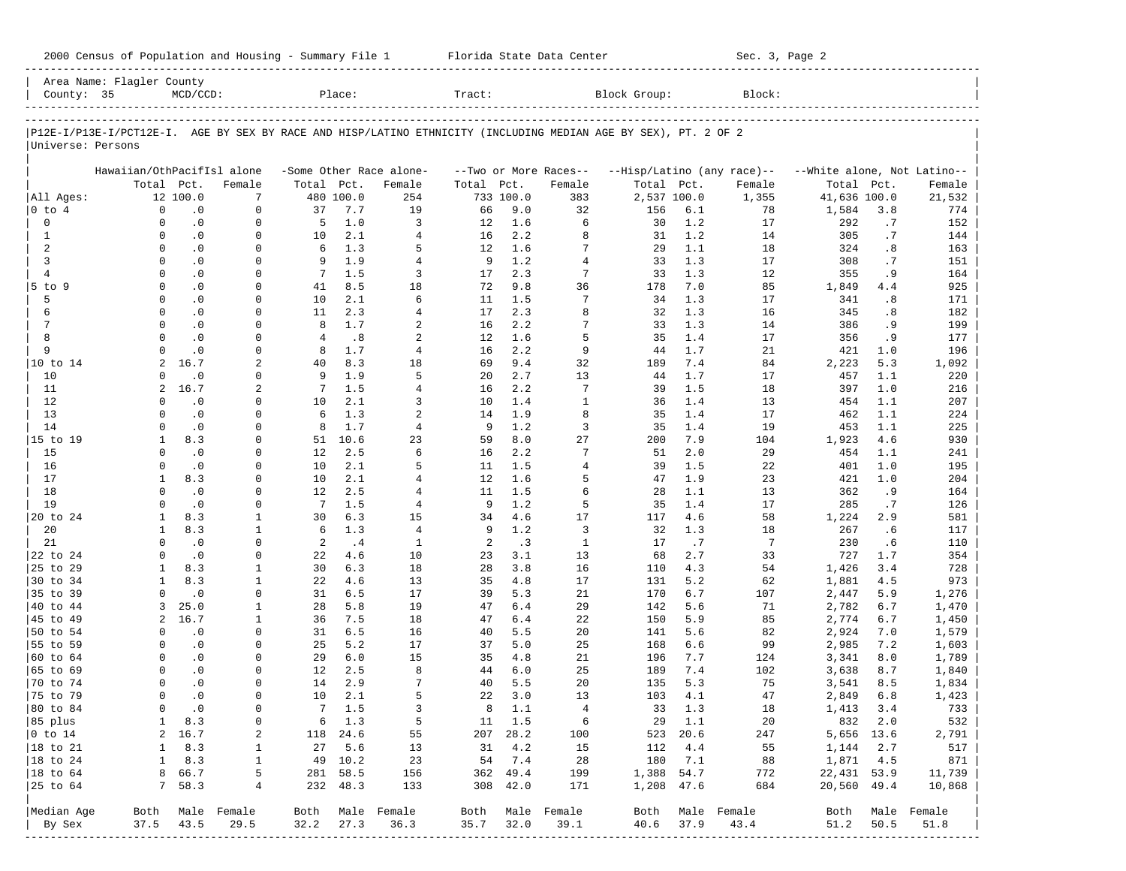|                           | Area Name: Flagler County  |                        |                             |                         |                   |                         |          |                    |                       |                                                                                                                |                    |                            |                             |           |                  |
|---------------------------|----------------------------|------------------------|-----------------------------|-------------------------|-------------------|-------------------------|----------|--------------------|-----------------------|----------------------------------------------------------------------------------------------------------------|--------------------|----------------------------|-----------------------------|-----------|------------------|
| County: 35                |                            | $MCD/CCD$ :            |                             |                         | Place:            |                         | Tract:   |                    |                       | Block Group:                                                                                                   |                    | Block:                     |                             |           |                  |
|                           |                            |                        |                             |                         |                   |                         |          |                    |                       | P12E-I/P13E-I/PCT12E-I. AGE BY SEX BY RACE AND HISP/LATINO ETHNICITY (INCLUDING MEDIAN AGE BY SEX), PT. 2 OF 2 |                    |                            |                             |           |                  |
| Universe: Persons         |                            |                        |                             |                         |                   |                         |          |                    |                       |                                                                                                                |                    |                            |                             |           |                  |
|                           | Hawaiian/OthPacifIsl alone |                        |                             |                         |                   | -Some Other Race alone- |          |                    | --Two or More Races-- |                                                                                                                |                    | --Hisp/Latino (any race)-- | --White alone, Not Latino-- |           |                  |
|                           |                            | Total Pct.             | Female                      | Total Pct.              |                   | Female                  | Total    | Pct.               | Female                | Total Pct.                                                                                                     |                    | Female                     | Total                       | Pct.      | Female           |
| All Ages:                 |                            | 12 100.0               | 7                           |                         | 480 100.0         | 254                     |          | 733 100.0          | 383                   |                                                                                                                | 2,537 100.0        | 1,355                      | 41,636 100.0                |           | 21,532           |
| $0$ to $4$                | $\mathbf 0$                | $\cdot$ 0              | $\mathbf 0$                 | 37                      | 7.7               | 19                      | 66       | 9.0                | 32                    | 156                                                                                                            | 6.1                | 78                         | 1,584                       | 3.8       | 774              |
| 0                         | $\Omega$                   | $\cdot$ 0              | $\mathbf 0$                 | 5                       | 1.0               | 3                       | 12       | 1.6                | 6                     | 30                                                                                                             | 1.2                | 17                         | 292                         | .7        | 152              |
| $\mathbf{1}$              | $\Omega$<br>$\Omega$       | $\cdot$ 0              | $\Omega$                    | 10                      | 2.1<br>1.3        | $\overline{4}$<br>5     | 16       | 2.2                | 8<br>7                | 31                                                                                                             | 1.2                | 14                         | 305                         | .7        | 144              |
| 2<br>3                    | $\Omega$                   | $\cdot$ 0<br>$\cdot$ 0 | 0<br>$\Omega$               | 6<br>9                  | 1.9               | $\overline{4}$          | 12<br>9  | 1.6<br>1.2         | $\overline{4}$        | 29<br>33                                                                                                       | 1.1<br>1.3         | 18<br>17                   | 324<br>308                  | .8<br>.7  | 163<br>151       |
| $\overline{4}$            | $\Omega$                   | $\cdot$ 0              | 0                           | 7                       | 1.5               | 3                       | 17       | 2.3                | 7                     | 33                                                                                                             | 1.3                | 12                         | 355                         | . 9       | 164              |
| 5 to 9                    | $\Omega$                   | $\cdot$ 0              | $\Omega$                    | 41                      | 8.5               | 18                      | 72       | 9.8                | 36                    | 178                                                                                                            | 7.0                | 85                         | 1,849                       | 4.4       | 925              |
| 5                         | $\Omega$                   | $\cdot$ 0              | 0                           | 10                      | 2.1               | 6                       | 11       | 1.5                | $\overline{7}$        | 34                                                                                                             | 1.3                | 17                         | 341                         | .8        | 171              |
| 6                         | $\Omega$                   | $\cdot$ 0              | $\Omega$                    | 11                      | 2.3               | $\overline{4}$          | 17       | 2.3                | 8                     | 32                                                                                                             | 1.3                | 16                         | 345                         | .8        | 182              |
| 7                         | $\Omega$                   | $\cdot$ 0              | 0                           | 8                       | 1.7               | $\overline{2}$          | 16       | 2.2                | 7                     | 33                                                                                                             | 1.3                | 14                         | 386                         | . 9       | 199              |
| 8                         | $\Omega$                   | $\cdot$ 0              | $\Omega$                    | $\overline{4}$          | .8                | $\overline{a}$          | 12       | 1.6                | 5                     | 35                                                                                                             | 1.4                | 17                         | 356                         | .9        | 177              |
| 9                         | $\Omega$                   | $\cdot$ 0              | $\mathbf 0$                 | 8                       | 1.7               | $\overline{4}$          | 16       | 2.2                | 9                     | 44                                                                                                             | 1.7                | 21                         | 421                         | 1.0       | 196              |
| 10 to 14                  | 2                          | 16.7                   | 2                           | 40                      | 8.3               | 18                      | 69       | 9.4                | 32                    | 189                                                                                                            | 7.4                | 84                         | 2,223                       | 5.3       | 1,092            |
| 10                        | $\Omega$                   | $\cdot$ 0              | 0                           | 9                       | 1.9               | 5                       | 20       | 2.7                | 13                    | 44                                                                                                             | 1.7                | 17                         | 457                         | 1.1       | 220              |
| 11                        | 2                          | 16.7                   | 2                           | $7\phantom{.0}$         | 1.5               | $\overline{4}$          | 16       | 2.2                | $\overline{7}$        | 39                                                                                                             | 1.5                | 18                         | 397                         | 1.0       | 216              |
| 12                        | $\Omega$                   | $\cdot$ 0              | $\mathbf 0$                 | 10                      | 2.1               | 3                       | 10       | 1.4                | $\mathbf{1}$          | 36                                                                                                             | 1.4                | 13                         | 454                         | 1.1       | 207              |
| 13                        | $\Omega$                   | $\cdot$ 0              | $\mathbf 0$                 | 6                       | 1.3               | $\overline{a}$          | 14       | 1.9                | 8                     | 35                                                                                                             | 1.4                | 17                         | 462                         | 1.1       | 224              |
| 14                        | $\Omega$                   | $\cdot$ 0              | $\Omega$                    | 8                       | 1.7               | $\overline{4}$          | 9        | 1.2                | 3                     | 35                                                                                                             | 1.4                | 19                         | 453                         | 1.1       | 225              |
| 15 to 19                  | 1                          | 8.3                    | $\Omega$                    | 51                      | 10.6              | 23                      | 59       | 8.0                | 27                    | 200                                                                                                            | 7.9                | 104                        | 1,923                       | 4.6       | 930              |
| 15                        | $\Omega$                   | $\cdot$ 0              | $\Omega$                    | $12 \overline{ }$       | 2.5               | 6                       | 16       | 2.2                | $\overline{7}$        | 51                                                                                                             | 2.0                | 29                         | 454                         | 1.1       | 241              |
| 16                        | $\Omega$                   | $\cdot$ 0              | $\Omega$                    | 10                      | 2.1               | 5<br>$\overline{4}$     | 11       | 1.5                | 4                     | 39                                                                                                             | 1.5                | 22                         | 401                         | 1.0       | 195              |
| 17<br>18                  | $\mathbf{1}$<br>$\Omega$   | 8.3<br>$\cdot$ 0       | $\mathbf 0$<br>$\Omega$     | 10<br>$12 \overline{ }$ | 2.1<br>2.5        | $\overline{4}$          | 12<br>11 | 1.6<br>1.5         | 5<br>6                | 47<br>28                                                                                                       | 1.9<br>1.1         | 23<br>13                   | 421<br>362                  | 1.0<br>.9 | 204              |
| 19                        | $\Omega$                   | $\cdot$ 0              | $\mathbf 0$                 | 7                       | 1.5               | $\overline{4}$          | 9        | 1.2                | 5                     | 35                                                                                                             | 1.4                | 17                         | 285                         | .7        | 164<br>126       |
| 20 to 24                  | 1                          | 8.3                    | 1                           | 30                      | 6.3               | 15                      | 34       | 4.6                | 17                    | 117                                                                                                            | 4.6                | 58                         | 1,224                       | 2.9       | 581              |
| 20                        | $\mathbf{1}$               | 8.3                    | $\mathbf{1}$                | 6                       | 1.3               | $\overline{4}$          | 9        | 1.2                | 3                     | 32                                                                                                             | 1.3                | 18                         | 267                         | .6        | 117              |
| 21                        | $\Omega$                   | $\cdot$ 0              | $\mathbf 0$                 | 2                       | .4                | $\mathbf{1}$            | 2        | .3                 | $\mathbf{1}$          | 17                                                                                                             | .7                 | $7\phantom{.0}$            | 230                         | .6        | 110              |
| 22 to 24                  | $\Omega$                   | $\cdot$ 0              | $\mathbf 0$                 | 22                      | 4.6               | 10                      | 23       | 3.1                | 13                    | 68                                                                                                             | 2.7                | 33                         | 727                         | 1.7       | 354              |
| 25 to 29                  | 1                          | 8.3                    | 1                           | 30                      | 6.3               | 18                      | 28       | 3.8                | 16                    | 110                                                                                                            | 4.3                | 54                         | 1,426                       | 3.4       | 728              |
| 30 to 34                  | $\mathbf{1}$               | 8.3                    | 1                           | 22                      | 4.6               | 13                      | 35       | 4.8                | 17                    | 131                                                                                                            | 5.2                | 62                         | 1,881                       | 4.5       | 973              |
| 35 to 39                  | $\Omega$                   | $\cdot$ 0              | $\Omega$                    | 31                      | 6.5               | 17                      | 39       | 5.3                | 21                    | 170                                                                                                            | 6.7                | 107                        | 2,447                       | 5.9       | 1,276            |
| 40 to 44                  | 3                          | 25.0                   | 1                           | 28                      | 5.8               | 19                      | 47       | 6.4                | 29                    | 142                                                                                                            | 5.6                | 71                         | 2,782                       | 6.7       | 1,470            |
| 45 to 49                  | 2                          | 16.7                   | 1                           | 36                      | 7.5               | 18                      | 47       | 6.4                | 22                    | 150                                                                                                            | 5.9                | 85                         | 2,774                       | 6.7       | 1,450            |
| 50 to 54                  | $\mathbf 0$                | $\cdot$ 0              | 0                           | 31                      | 6.5               | 16                      | 40       | 5.5                | 20                    | 141                                                                                                            | 5.6                | 82                         | 2,924                       | 7.0       | 1,579            |
| 55 to 59                  | $\Omega$                   | $\cdot$ 0              | $\mathbf 0$                 | 25                      | 5.2               | 17                      | 37       | 5.0                | 25                    | 168                                                                                                            | 6.6                | 99                         | 2,985                       | 7.2       | 1,603            |
| 60 to 64                  | $\Omega$                   | $\cdot$ 0              | 0                           | 29                      | $6.0$             | 15                      | 35       | 4.8                | 21                    | 196                                                                                                            | 7.7                | 124                        | 3,341                       | 8.0       | 1,789            |
| 65 to 69                  | $\Omega$                   | $\cdot$ 0              | $\Omega$                    | $12 \overline{ }$       | 2.5               | 8                       | 44       | 6.0                | 25                    | 189                                                                                                            | 7.4                | 102                        | 3,638                       | 8.7       | 1,840            |
| 70 to 74                  | $\Omega$                   | $\cdot$ 0              | 0                           | 14                      | 2.9               | 7                       | 40       | 5.5                | 20                    | 135                                                                                                            | 5.3                | 75                         | 3,541                       | 8.5       | 1,834            |
| 75 to 79                  | $\Omega$<br>$\Omega$       | $\cdot$ 0<br>$\cdot$ 0 | <sup>0</sup><br>$\mathbf 0$ | 10<br>$7\overline{ }$   | 2.1               | 5<br>3                  | 22<br>8  | 3.0                | 13<br>$\overline{4}$  | 103                                                                                                            | 4.1                | 47                         | 2,849                       | 6.8       | 1,423            |
| 80 to 84                  |                            |                        |                             |                         | 1.5               |                         |          | 1.1                |                       | 33                                                                                                             | 1.3                | 18                         | 1,413                       | 3.4       | 733              |
| 85 plus<br>$ 0 \t{to} 14$ |                            | $1 \t 8.3$<br>2 16.7   | 0<br>2                      |                         | 6 1.3<br>118 24.6 | 5<br>55                 |          | 11 1.5<br>207 28.2 | 6<br>100              |                                                                                                                | 29 1.1<br>523 20.6 | 20<br>247                  | 832 2.0<br>5,656 13.6       |           | 532<br>2,791     |
| $ 18 \text{ to } 21$      |                            | $1 \t 8.3$             | 1                           |                         | 27 5.6            | 13                      |          | 31 4.2             | 15                    | 112                                                                                                            | 4.4                | 55                         | 1,144 2.7                   |           | 517              |
| $ 18 \text{ to } 24$      |                            | $1 \ 8.3$              | 1                           |                         | 49 10.2           | 23                      |          | 54 7.4             | 28                    | 180                                                                                                            | 7.1                | 88                         | 1,871 4.5                   |           | 871              |
| $ 18 \text{ to } 64$      |                            | 8 66.7                 | 5                           |                         | 281 58.5          | 156                     |          | 362 49.4           | 199                   |                                                                                                                | 1,388 54.7         | 772                        | 22,431 53.9                 |           | 11,739           |
| $ 25$ to $64$             |                            | 7, 58.3                | 4                           |                         | 232 48.3          | 133                     |          | 308 42.0           | 171                   |                                                                                                                | 1,208 47.6         | 684                        | 20,560 49.4                 |           | 10,868           |
| Median Age                |                            |                        | Both Male Female            |                         |                   | Both Male Female        |          |                    | Both Male Female      |                                                                                                                |                    | Both Male Female           |                             |           | Both Male Female |
| By Sex                    | 37.5                       | 43.5                   | 29.5                        | 32.2                    | 27.3              | 36.3                    | 35.7     | 32.0               | 39.1                  | 40.6                                                                                                           | 37.9               | 43.4                       | 51.2                        | 50.5      | 51.8             |
|                           |                            |                        | ------------------          |                         |                   |                         |          |                    |                       |                                                                                                                |                    |                            |                             |           |                  |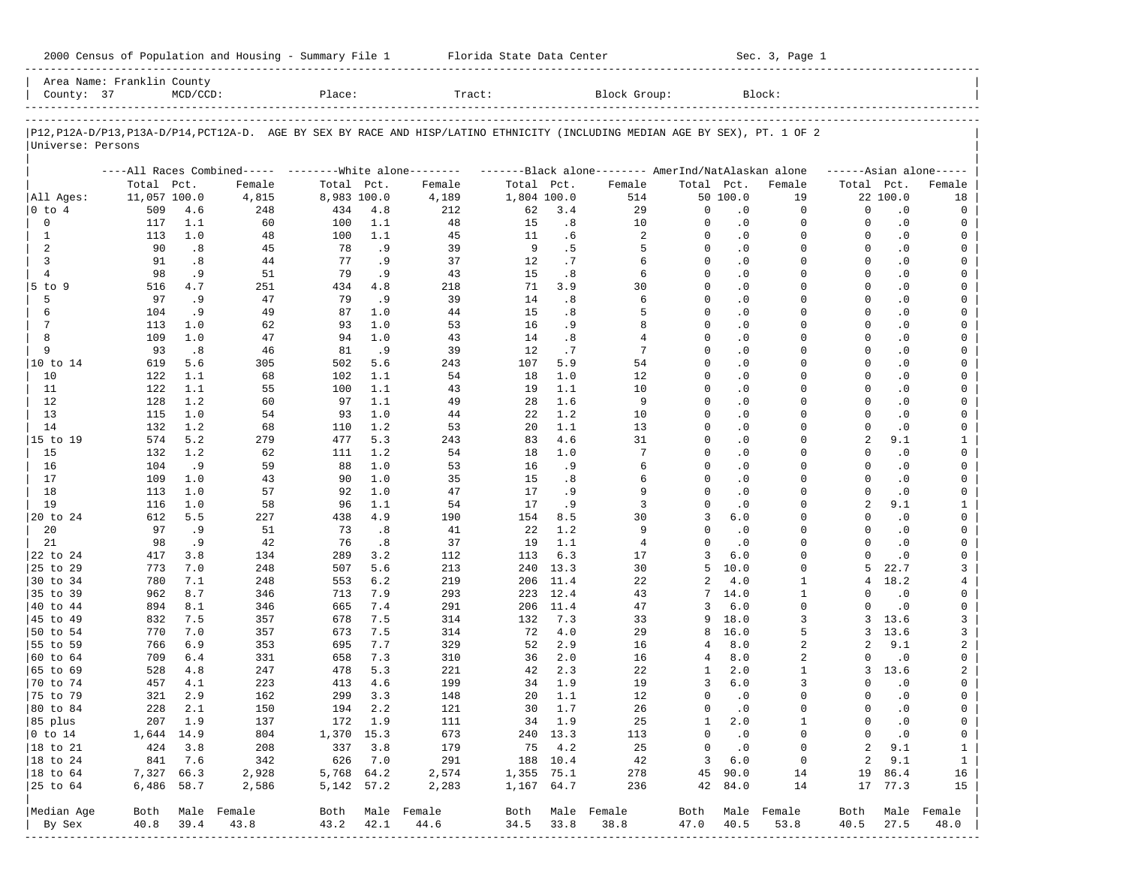| Area Name: Franklin County<br>Block Group:<br>County: 37<br>MCD/CCD:<br>Place:<br>Tract:<br>Block:<br>P12, P12A-D/P13, P13A-D/P14, PCT12A-D. AGE BY SEX BY RACE AND HISP/LATINO ETHNICITY (INCLUDING MEDIAN AGE BY SEX), PT. 1 OF 2<br>Universe: Persons<br>----All Races Combined----- --------White alone-------- ---------Black alone-------- AmerInd/NatAlaskan alone<br>$----A sian alone---$<br>Total Pct.<br>Female<br>Total Pct.<br>Female<br>Total Pct.<br>Female<br>Total Pct.<br>Female<br>Total Pct.<br>Female<br>11,057 100.0<br>4,815<br>8,983 100.0<br>1,804 100.0<br>50 100.0<br>22 100.0<br>All Ages:<br>4,189<br>514<br>19<br>18<br>$ 0 \t{to} 4$<br>509<br>248<br>434<br>4.8<br>212<br>62<br>3.4<br>29<br>0<br>$\cdot$ 0<br>0<br>0<br>$\cdot$ 0<br>4.6<br>0<br>0<br>117<br>100<br>48<br>15<br>.8<br>10<br>0<br>$\cdot$ 0<br>0<br>0<br>$\cdot$ 0<br>1.1<br>60<br>1.1<br>0<br>1<br>113<br>1.0<br>48<br>100<br>1.1<br>45<br>11<br>.6<br>2<br>0<br>$\cdot$ 0<br>0<br>$\Omega$<br>$\cdot$ 0<br>0<br>2<br>90<br>.8<br>45<br>78<br>.9<br>39<br>- 9<br>.5<br>5<br>$\Omega$<br>$\cdot$ 0<br>$\Omega$<br>$\Omega$<br>$\cdot$ 0<br>$\Omega$<br>3<br>37<br>91<br>.8<br>44<br>77<br>. 9<br>12<br>.7<br>0<br>$\cdot$ 0<br>$\Omega$<br>0<br>$\cdot$ 0<br>6<br>0<br>4<br>98<br>. 9<br>51<br>79<br>. 9<br>43<br>15<br>.8<br>$\Omega$<br>$\cdot$ 0<br>$\Omega$<br>0<br>$\cdot$ 0<br>6<br>0<br>$5$ to $9$<br>516<br>4.7<br>251<br>434<br>4.8<br>218<br>71<br>3.9<br>30<br>0<br>$\cdot$ 0<br>0<br>0<br>$\cdot$ 0<br>0<br>97<br>.9<br>47<br>79<br>. 9<br>39<br>14<br>.8<br>$\Omega$<br>$\cdot$ 0<br>$\Omega$<br>0<br>$\cdot$ 0<br>0<br>5<br>6<br>6<br>104<br>. 9<br>49<br>87<br>1.0<br>44<br>15<br>.8<br>5<br>0<br>$\cdot$ 0<br>0<br>0<br>$\cdot$ 0<br>0<br>113<br>1.0<br>62<br>93<br>1.0<br>53<br>16<br>. 9<br>8<br>$\Omega$<br>$\cdot$ 0<br>$\Omega$<br>0<br>$\cdot$ 0<br>0<br>7<br>8<br>109<br>1.0<br>47<br>94<br>1.0<br>43<br>14<br>.8<br>4<br>0<br>$\cdot$ 0<br>0<br>0<br>$\cdot$ 0<br>0<br>9<br>93<br>.8<br>46<br>.9<br>39<br>12<br>.7<br>7<br>$\Omega$<br>$\cdot$ 0<br>0<br>0<br>$\cdot$ 0<br>0<br>81<br>10 to 14<br>619<br>5.6<br>305<br>502<br>5.6<br>243<br>107<br>5.9<br>54<br>0<br>$\cdot$ 0<br>0<br>0<br>$\cdot$ 0<br>0<br>10<br>122<br>1.1<br>102<br>1.1<br>54<br>18<br>1.0<br>12<br>$\Omega$<br>$\cdot$ 0<br>0<br>0<br>$\cdot$ 0<br>0<br>68<br>11<br>122<br>1.1<br>55<br>100<br>1.1<br>43<br>19<br>1.1<br>10<br>0<br>$\cdot$ 0<br>0<br>0<br>$\cdot$ 0<br>0<br>12<br>128<br>1.2<br>60<br>97<br>1.1<br>49<br>28<br>1.6<br>9<br>$\Omega$<br>$\cdot$ 0<br>0<br>0<br>$\cdot$ 0<br>0<br>13<br>115<br>1.0<br>54<br>93<br>1.0<br>44<br>22<br>1.2<br>10<br>0<br>$\cdot$ 0<br>0<br>0<br>$\cdot$ 0<br>0<br>14<br>132<br>1.2<br>110<br>1.2<br>53<br>20<br>1.1<br>13<br>$\Omega$<br>$\cdot$ 0<br>0<br>0<br>$\cdot$ 0<br>0<br>68<br>5.3<br>4.6<br>31<br>2<br>15 to 19<br>574<br>5.2<br>279<br>477<br>243<br>83<br>0<br>$\cdot$ 0<br>0<br>9.1<br>1<br>15<br>132<br>1.2<br>62<br>111<br>1.2<br>54<br>18<br>1.0<br>$\Omega$<br>$\cdot$ 0<br>$\Omega$<br>$\Omega$<br>$\cdot$ 0<br>0<br>7<br>16<br>104<br>. 9<br>59<br>88<br>1.0<br>53<br>16<br>. 9<br>0<br>$\cdot$ 0<br>0<br>0<br>$\cdot$ 0<br>6<br>0<br>17<br>109<br>1.0<br>43<br>1.0<br>35<br>15<br>.8<br>$\Omega$<br>$\cdot$ 0<br>$\Omega$<br>$\Omega$<br>$\cdot$ 0<br>0<br>90<br>6<br>18<br>1.0<br>57<br>92<br>1.0<br>47<br>17<br>. 9<br>9<br>0<br>$\cdot$ 0<br>0<br>0<br>$\cdot$ 0<br>0<br>113<br>19<br>1.0<br>58<br>54<br>17<br>. 9<br>3<br>0<br>$\cdot$ 0<br>$\Omega$<br>2<br>9.1<br>$\mathbf{1}$<br>116<br>96<br>1.1<br>5.5<br>227<br>438<br>4.9<br>190<br>154<br>8.5<br>30<br>3<br>6.0<br>0<br>0<br>$\cdot$ 0<br>0<br>20 to 24<br>612<br>20<br>97<br>. 9<br>51<br>73<br>.8<br>41<br>22<br>1.2<br>9<br>$\Omega$<br>$\cdot$ 0<br>0<br>$\mathbf 0$<br>$\cdot$ 0<br>0<br>21<br>98<br>. 9<br>42<br>76<br>.8<br>37<br>19<br>1.1<br>4<br>0<br>$\cdot$ 0<br>0<br>$\Omega$<br>$\cdot$ 0<br>0<br>22 to 24<br>417<br>3.8<br>134<br>289<br>3.2<br>112<br>113<br>6.3<br>17<br>3<br>6.0<br>0<br>$\Omega$<br>$\cdot$ 0<br>0<br>25 to 29<br>773<br>7.0<br>248<br>507<br>5.6<br>213<br>240<br>13.3<br>30<br>5<br>10.0<br>0<br>5<br>22.7<br>3<br>219<br>30 to 34<br>780<br>7.1<br>248<br>553<br>6.2<br>206<br>11.4<br>22<br>2<br>4.0<br>1<br>4<br>18.2<br>4<br>35 to 39<br>962<br>8.7<br>346<br>713<br>7.9<br>293<br>223<br>12.4<br>43<br>14.0<br>1<br>$\Omega$<br>$\cdot$ 0<br>0<br>7<br>6.0<br>894<br>8.1<br>346<br>665<br>7.4<br>291<br>206<br>11.4<br>47<br>3<br>0<br>$\Omega$<br>$\cdot$ 0<br>0<br>7.5<br>3<br>832<br>7.5<br>357<br>678<br>314<br>132<br>7.3<br>33<br>9<br>18.0<br>3, 13.6<br>3<br>3<br>770<br>7.0<br>357<br>673<br>7.5<br>314<br>72<br>4.0<br>29<br>16.0<br>5<br>3 13.6<br>8<br>2<br>766<br>6.9<br>353<br>695<br>7.7<br>329<br>52<br>2.9<br>16<br>8.0<br>2<br>2<br>9.1<br>4<br>8.0<br>709<br>6.4<br>331<br>658<br>7.3<br>310<br>36<br>2.0<br>16<br>4<br>2<br>$\Omega$<br>$\cdot$ 0<br>0<br>5.3<br>2.3<br>528<br>4.8<br>247<br>478<br>221<br>42<br>22<br>1<br>2.0<br>1<br>3, 13.6<br>2<br>199<br>457<br>223<br>413<br>4.6<br>34 1.9<br>19<br>3<br>6.0<br>3<br>0<br>$\overline{\phantom{0}}$ .0<br>0<br>4.1<br>321<br>2.9<br>162<br>3.3<br>12<br>$\cdot$ 0<br>299<br>148<br>20<br>1.1<br>0<br>0<br>0<br>$\cdot$ 0<br>0<br>228<br>2.1<br>2.2<br>1.7<br>26<br>150<br>194<br>121<br>30<br>0<br>$\cdot$ 0<br>0<br>0<br>$\cdot$ 0<br>0<br>207<br>1.9<br>1.9<br>137<br>172<br>1.9<br>111<br>34<br>25<br>1<br>2.0<br>0<br>$\cdot$ 0<br>1<br>0<br>1,370<br>15.3<br>673<br>13.3<br>1,644<br>14.9<br>804<br>240<br>113<br>0<br>$\cdot$ 0<br>0<br>0<br>$\cdot$ 0<br>0<br>424<br>337<br>179<br>4.2<br>3.8<br>208<br>3.8<br>75<br>25<br>0<br>$\cdot$ 0<br>0<br>2<br>9.1<br>$\mathbf 1$<br>841<br>626<br>7.0<br>291<br>188<br>10.4<br>3<br>6.0<br>$\overline{c}$<br>9.1<br>7.6<br>342<br>42<br>0<br>$\mathbf 1$<br>7,327<br>5,768<br>64.2<br>2,574<br>75.1<br>278<br>45<br>14<br>19<br>86.4<br>66.3<br>2,928<br>1,355<br>90.0<br>16<br>6,486<br>5, 142 57.2<br>2,283<br>$1\,, 167$<br>64.7<br>84.0<br>77.3<br>58.7<br>2,586<br>236<br>42<br>14<br>17<br>15<br>Median Age<br>Male Female<br>Both<br>Male Female<br>Both<br>Male Female<br>Both<br>Male<br>Female<br>Male Female<br>Both<br>Both<br>40.8<br>39.4<br>43.8<br>43.2<br>42.1<br>44.6<br>34.5<br>33.8<br>38.8<br>47.0<br>40.5<br>53.8<br>27.5<br>48.0<br>By Sex<br>40.5 | 2000 Census of Population and Housing - Summary File 1 Florida State Data Center |  |  |  |  |  | Sec. 3, Page 1 |  |  |  |
|--------------------------------------------------------------------------------------------------------------------------------------------------------------------------------------------------------------------------------------------------------------------------------------------------------------------------------------------------------------------------------------------------------------------------------------------------------------------------------------------------------------------------------------------------------------------------------------------------------------------------------------------------------------------------------------------------------------------------------------------------------------------------------------------------------------------------------------------------------------------------------------------------------------------------------------------------------------------------------------------------------------------------------------------------------------------------------------------------------------------------------------------------------------------------------------------------------------------------------------------------------------------------------------------------------------------------------------------------------------------------------------------------------------------------------------------------------------------------------------------------------------------------------------------------------------------------------------------------------------------------------------------------------------------------------------------------------------------------------------------------------------------------------------------------------------------------------------------------------------------------------------------------------------------------------------------------------------------------------------------------------------------------------------------------------------------------------------------------------------------------------------------------------------------------------------------------------------------------------------------------------------------------------------------------------------------------------------------------------------------------------------------------------------------------------------------------------------------------------------------------------------------------------------------------------------------------------------------------------------------------------------------------------------------------------------------------------------------------------------------------------------------------------------------------------------------------------------------------------------------------------------------------------------------------------------------------------------------------------------------------------------------------------------------------------------------------------------------------------------------------------------------------------------------------------------------------------------------------------------------------------------------------------------------------------------------------------------------------------------------------------------------------------------------------------------------------------------------------------------------------------------------------------------------------------------------------------------------------------------------------------------------------------------------------------------------------------------------------------------------------------------------------------------------------------------------------------------------------------------------------------------------------------------------------------------------------------------------------------------------------------------------------------------------------------------------------------------------------------------------------------------------------------------------------------------------------------------------------------------------------------------------------------------------------------------------------------------------------------------------------------------------------------------------------------------------------------------------------------------------------------------------------------------------------------------------------------------------------------------------------------------------------------------------------------------------------------------------------------------------------------------------------------------------------------------------------------------------------------------------------------------------------------------------------------------------------------------------------------------------------------------------------------------------------------------------------------------------------------------------------------------------------------------------------------------------------------------------------------------------------------------------------------------------------------------------------------------------------------------------------------------------------------------------------------------------------------------------------------------------------------------------------------------------------------------------------------------------------------------------------------------------------------------------------------------------------------------------------------------------------------------------------------------------------------------------------------------------------------------------------------------------------------------------------------------------------------------------------------------------------------------------------------------------------------------------------------------------------------------------------------------------------------------------------------------------------------------------------------------------------------------------------------------------------------------------------------------------------------------------------|----------------------------------------------------------------------------------|--|--|--|--|--|----------------|--|--|--|
|                                                                                                                                                                                                                                                                                                                                                                                                                                                                                                                                                                                                                                                                                                                                                                                                                                                                                                                                                                                                                                                                                                                                                                                                                                                                                                                                                                                                                                                                                                                                                                                                                                                                                                                                                                                                                                                                                                                                                                                                                                                                                                                                                                                                                                                                                                                                                                                                                                                                                                                                                                                                                                                                                                                                                                                                                                                                                                                                                                                                                                                                                                                                                                                                                                                                                                                                                                                                                                                                                                                                                                                                                                                                                                                                                                                                                                                                                                                                                                                                                                                                                                                                                                                                                                                                                                                                                                                                                                                                                                                                                                                                                                                                                                                                                                                                                                                                                                                                                                                                                                                                                                                                                                                                                                                                                                                                                                                                                                                                                                                                                                                                                                                                                                                                                                                                                                                                                                                                                                                                                                                                                                                                                                                                                                                                                                                                                                          |                                                                                  |  |  |  |  |  |                |  |  |  |
|                                                                                                                                                                                                                                                                                                                                                                                                                                                                                                                                                                                                                                                                                                                                                                                                                                                                                                                                                                                                                                                                                                                                                                                                                                                                                                                                                                                                                                                                                                                                                                                                                                                                                                                                                                                                                                                                                                                                                                                                                                                                                                                                                                                                                                                                                                                                                                                                                                                                                                                                                                                                                                                                                                                                                                                                                                                                                                                                                                                                                                                                                                                                                                                                                                                                                                                                                                                                                                                                                                                                                                                                                                                                                                                                                                                                                                                                                                                                                                                                                                                                                                                                                                                                                                                                                                                                                                                                                                                                                                                                                                                                                                                                                                                                                                                                                                                                                                                                                                                                                                                                                                                                                                                                                                                                                                                                                                                                                                                                                                                                                                                                                                                                                                                                                                                                                                                                                                                                                                                                                                                                                                                                                                                                                                                                                                                                                                          |                                                                                  |  |  |  |  |  |                |  |  |  |
|                                                                                                                                                                                                                                                                                                                                                                                                                                                                                                                                                                                                                                                                                                                                                                                                                                                                                                                                                                                                                                                                                                                                                                                                                                                                                                                                                                                                                                                                                                                                                                                                                                                                                                                                                                                                                                                                                                                                                                                                                                                                                                                                                                                                                                                                                                                                                                                                                                                                                                                                                                                                                                                                                                                                                                                                                                                                                                                                                                                                                                                                                                                                                                                                                                                                                                                                                                                                                                                                                                                                                                                                                                                                                                                                                                                                                                                                                                                                                                                                                                                                                                                                                                                                                                                                                                                                                                                                                                                                                                                                                                                                                                                                                                                                                                                                                                                                                                                                                                                                                                                                                                                                                                                                                                                                                                                                                                                                                                                                                                                                                                                                                                                                                                                                                                                                                                                                                                                                                                                                                                                                                                                                                                                                                                                                                                                                                                          |                                                                                  |  |  |  |  |  |                |  |  |  |
|                                                                                                                                                                                                                                                                                                                                                                                                                                                                                                                                                                                                                                                                                                                                                                                                                                                                                                                                                                                                                                                                                                                                                                                                                                                                                                                                                                                                                                                                                                                                                                                                                                                                                                                                                                                                                                                                                                                                                                                                                                                                                                                                                                                                                                                                                                                                                                                                                                                                                                                                                                                                                                                                                                                                                                                                                                                                                                                                                                                                                                                                                                                                                                                                                                                                                                                                                                                                                                                                                                                                                                                                                                                                                                                                                                                                                                                                                                                                                                                                                                                                                                                                                                                                                                                                                                                                                                                                                                                                                                                                                                                                                                                                                                                                                                                                                                                                                                                                                                                                                                                                                                                                                                                                                                                                                                                                                                                                                                                                                                                                                                                                                                                                                                                                                                                                                                                                                                                                                                                                                                                                                                                                                                                                                                                                                                                                                                          |                                                                                  |  |  |  |  |  |                |  |  |  |
|                                                                                                                                                                                                                                                                                                                                                                                                                                                                                                                                                                                                                                                                                                                                                                                                                                                                                                                                                                                                                                                                                                                                                                                                                                                                                                                                                                                                                                                                                                                                                                                                                                                                                                                                                                                                                                                                                                                                                                                                                                                                                                                                                                                                                                                                                                                                                                                                                                                                                                                                                                                                                                                                                                                                                                                                                                                                                                                                                                                                                                                                                                                                                                                                                                                                                                                                                                                                                                                                                                                                                                                                                                                                                                                                                                                                                                                                                                                                                                                                                                                                                                                                                                                                                                                                                                                                                                                                                                                                                                                                                                                                                                                                                                                                                                                                                                                                                                                                                                                                                                                                                                                                                                                                                                                                                                                                                                                                                                                                                                                                                                                                                                                                                                                                                                                                                                                                                                                                                                                                                                                                                                                                                                                                                                                                                                                                                                          |                                                                                  |  |  |  |  |  |                |  |  |  |
|                                                                                                                                                                                                                                                                                                                                                                                                                                                                                                                                                                                                                                                                                                                                                                                                                                                                                                                                                                                                                                                                                                                                                                                                                                                                                                                                                                                                                                                                                                                                                                                                                                                                                                                                                                                                                                                                                                                                                                                                                                                                                                                                                                                                                                                                                                                                                                                                                                                                                                                                                                                                                                                                                                                                                                                                                                                                                                                                                                                                                                                                                                                                                                                                                                                                                                                                                                                                                                                                                                                                                                                                                                                                                                                                                                                                                                                                                                                                                                                                                                                                                                                                                                                                                                                                                                                                                                                                                                                                                                                                                                                                                                                                                                                                                                                                                                                                                                                                                                                                                                                                                                                                                                                                                                                                                                                                                                                                                                                                                                                                                                                                                                                                                                                                                                                                                                                                                                                                                                                                                                                                                                                                                                                                                                                                                                                                                                          |                                                                                  |  |  |  |  |  |                |  |  |  |
|                                                                                                                                                                                                                                                                                                                                                                                                                                                                                                                                                                                                                                                                                                                                                                                                                                                                                                                                                                                                                                                                                                                                                                                                                                                                                                                                                                                                                                                                                                                                                                                                                                                                                                                                                                                                                                                                                                                                                                                                                                                                                                                                                                                                                                                                                                                                                                                                                                                                                                                                                                                                                                                                                                                                                                                                                                                                                                                                                                                                                                                                                                                                                                                                                                                                                                                                                                                                                                                                                                                                                                                                                                                                                                                                                                                                                                                                                                                                                                                                                                                                                                                                                                                                                                                                                                                                                                                                                                                                                                                                                                                                                                                                                                                                                                                                                                                                                                                                                                                                                                                                                                                                                                                                                                                                                                                                                                                                                                                                                                                                                                                                                                                                                                                                                                                                                                                                                                                                                                                                                                                                                                                                                                                                                                                                                                                                                                          |                                                                                  |  |  |  |  |  |                |  |  |  |
|                                                                                                                                                                                                                                                                                                                                                                                                                                                                                                                                                                                                                                                                                                                                                                                                                                                                                                                                                                                                                                                                                                                                                                                                                                                                                                                                                                                                                                                                                                                                                                                                                                                                                                                                                                                                                                                                                                                                                                                                                                                                                                                                                                                                                                                                                                                                                                                                                                                                                                                                                                                                                                                                                                                                                                                                                                                                                                                                                                                                                                                                                                                                                                                                                                                                                                                                                                                                                                                                                                                                                                                                                                                                                                                                                                                                                                                                                                                                                                                                                                                                                                                                                                                                                                                                                                                                                                                                                                                                                                                                                                                                                                                                                                                                                                                                                                                                                                                                                                                                                                                                                                                                                                                                                                                                                                                                                                                                                                                                                                                                                                                                                                                                                                                                                                                                                                                                                                                                                                                                                                                                                                                                                                                                                                                                                                                                                                          |                                                                                  |  |  |  |  |  |                |  |  |  |
|                                                                                                                                                                                                                                                                                                                                                                                                                                                                                                                                                                                                                                                                                                                                                                                                                                                                                                                                                                                                                                                                                                                                                                                                                                                                                                                                                                                                                                                                                                                                                                                                                                                                                                                                                                                                                                                                                                                                                                                                                                                                                                                                                                                                                                                                                                                                                                                                                                                                                                                                                                                                                                                                                                                                                                                                                                                                                                                                                                                                                                                                                                                                                                                                                                                                                                                                                                                                                                                                                                                                                                                                                                                                                                                                                                                                                                                                                                                                                                                                                                                                                                                                                                                                                                                                                                                                                                                                                                                                                                                                                                                                                                                                                                                                                                                                                                                                                                                                                                                                                                                                                                                                                                                                                                                                                                                                                                                                                                                                                                                                                                                                                                                                                                                                                                                                                                                                                                                                                                                                                                                                                                                                                                                                                                                                                                                                                                          |                                                                                  |  |  |  |  |  |                |  |  |  |
|                                                                                                                                                                                                                                                                                                                                                                                                                                                                                                                                                                                                                                                                                                                                                                                                                                                                                                                                                                                                                                                                                                                                                                                                                                                                                                                                                                                                                                                                                                                                                                                                                                                                                                                                                                                                                                                                                                                                                                                                                                                                                                                                                                                                                                                                                                                                                                                                                                                                                                                                                                                                                                                                                                                                                                                                                                                                                                                                                                                                                                                                                                                                                                                                                                                                                                                                                                                                                                                                                                                                                                                                                                                                                                                                                                                                                                                                                                                                                                                                                                                                                                                                                                                                                                                                                                                                                                                                                                                                                                                                                                                                                                                                                                                                                                                                                                                                                                                                                                                                                                                                                                                                                                                                                                                                                                                                                                                                                                                                                                                                                                                                                                                                                                                                                                                                                                                                                                                                                                                                                                                                                                                                                                                                                                                                                                                                                                          |                                                                                  |  |  |  |  |  |                |  |  |  |
|                                                                                                                                                                                                                                                                                                                                                                                                                                                                                                                                                                                                                                                                                                                                                                                                                                                                                                                                                                                                                                                                                                                                                                                                                                                                                                                                                                                                                                                                                                                                                                                                                                                                                                                                                                                                                                                                                                                                                                                                                                                                                                                                                                                                                                                                                                                                                                                                                                                                                                                                                                                                                                                                                                                                                                                                                                                                                                                                                                                                                                                                                                                                                                                                                                                                                                                                                                                                                                                                                                                                                                                                                                                                                                                                                                                                                                                                                                                                                                                                                                                                                                                                                                                                                                                                                                                                                                                                                                                                                                                                                                                                                                                                                                                                                                                                                                                                                                                                                                                                                                                                                                                                                                                                                                                                                                                                                                                                                                                                                                                                                                                                                                                                                                                                                                                                                                                                                                                                                                                                                                                                                                                                                                                                                                                                                                                                                                          |                                                                                  |  |  |  |  |  |                |  |  |  |
|                                                                                                                                                                                                                                                                                                                                                                                                                                                                                                                                                                                                                                                                                                                                                                                                                                                                                                                                                                                                                                                                                                                                                                                                                                                                                                                                                                                                                                                                                                                                                                                                                                                                                                                                                                                                                                                                                                                                                                                                                                                                                                                                                                                                                                                                                                                                                                                                                                                                                                                                                                                                                                                                                                                                                                                                                                                                                                                                                                                                                                                                                                                                                                                                                                                                                                                                                                                                                                                                                                                                                                                                                                                                                                                                                                                                                                                                                                                                                                                                                                                                                                                                                                                                                                                                                                                                                                                                                                                                                                                                                                                                                                                                                                                                                                                                                                                                                                                                                                                                                                                                                                                                                                                                                                                                                                                                                                                                                                                                                                                                                                                                                                                                                                                                                                                                                                                                                                                                                                                                                                                                                                                                                                                                                                                                                                                                                                          |                                                                                  |  |  |  |  |  |                |  |  |  |
|                                                                                                                                                                                                                                                                                                                                                                                                                                                                                                                                                                                                                                                                                                                                                                                                                                                                                                                                                                                                                                                                                                                                                                                                                                                                                                                                                                                                                                                                                                                                                                                                                                                                                                                                                                                                                                                                                                                                                                                                                                                                                                                                                                                                                                                                                                                                                                                                                                                                                                                                                                                                                                                                                                                                                                                                                                                                                                                                                                                                                                                                                                                                                                                                                                                                                                                                                                                                                                                                                                                                                                                                                                                                                                                                                                                                                                                                                                                                                                                                                                                                                                                                                                                                                                                                                                                                                                                                                                                                                                                                                                                                                                                                                                                                                                                                                                                                                                                                                                                                                                                                                                                                                                                                                                                                                                                                                                                                                                                                                                                                                                                                                                                                                                                                                                                                                                                                                                                                                                                                                                                                                                                                                                                                                                                                                                                                                                          |                                                                                  |  |  |  |  |  |                |  |  |  |
|                                                                                                                                                                                                                                                                                                                                                                                                                                                                                                                                                                                                                                                                                                                                                                                                                                                                                                                                                                                                                                                                                                                                                                                                                                                                                                                                                                                                                                                                                                                                                                                                                                                                                                                                                                                                                                                                                                                                                                                                                                                                                                                                                                                                                                                                                                                                                                                                                                                                                                                                                                                                                                                                                                                                                                                                                                                                                                                                                                                                                                                                                                                                                                                                                                                                                                                                                                                                                                                                                                                                                                                                                                                                                                                                                                                                                                                                                                                                                                                                                                                                                                                                                                                                                                                                                                                                                                                                                                                                                                                                                                                                                                                                                                                                                                                                                                                                                                                                                                                                                                                                                                                                                                                                                                                                                                                                                                                                                                                                                                                                                                                                                                                                                                                                                                                                                                                                                                                                                                                                                                                                                                                                                                                                                                                                                                                                                                          |                                                                                  |  |  |  |  |  |                |  |  |  |
|                                                                                                                                                                                                                                                                                                                                                                                                                                                                                                                                                                                                                                                                                                                                                                                                                                                                                                                                                                                                                                                                                                                                                                                                                                                                                                                                                                                                                                                                                                                                                                                                                                                                                                                                                                                                                                                                                                                                                                                                                                                                                                                                                                                                                                                                                                                                                                                                                                                                                                                                                                                                                                                                                                                                                                                                                                                                                                                                                                                                                                                                                                                                                                                                                                                                                                                                                                                                                                                                                                                                                                                                                                                                                                                                                                                                                                                                                                                                                                                                                                                                                                                                                                                                                                                                                                                                                                                                                                                                                                                                                                                                                                                                                                                                                                                                                                                                                                                                                                                                                                                                                                                                                                                                                                                                                                                                                                                                                                                                                                                                                                                                                                                                                                                                                                                                                                                                                                                                                                                                                                                                                                                                                                                                                                                                                                                                                                          |                                                                                  |  |  |  |  |  |                |  |  |  |
|                                                                                                                                                                                                                                                                                                                                                                                                                                                                                                                                                                                                                                                                                                                                                                                                                                                                                                                                                                                                                                                                                                                                                                                                                                                                                                                                                                                                                                                                                                                                                                                                                                                                                                                                                                                                                                                                                                                                                                                                                                                                                                                                                                                                                                                                                                                                                                                                                                                                                                                                                                                                                                                                                                                                                                                                                                                                                                                                                                                                                                                                                                                                                                                                                                                                                                                                                                                                                                                                                                                                                                                                                                                                                                                                                                                                                                                                                                                                                                                                                                                                                                                                                                                                                                                                                                                                                                                                                                                                                                                                                                                                                                                                                                                                                                                                                                                                                                                                                                                                                                                                                                                                                                                                                                                                                                                                                                                                                                                                                                                                                                                                                                                                                                                                                                                                                                                                                                                                                                                                                                                                                                                                                                                                                                                                                                                                                                          |                                                                                  |  |  |  |  |  |                |  |  |  |
|                                                                                                                                                                                                                                                                                                                                                                                                                                                                                                                                                                                                                                                                                                                                                                                                                                                                                                                                                                                                                                                                                                                                                                                                                                                                                                                                                                                                                                                                                                                                                                                                                                                                                                                                                                                                                                                                                                                                                                                                                                                                                                                                                                                                                                                                                                                                                                                                                                                                                                                                                                                                                                                                                                                                                                                                                                                                                                                                                                                                                                                                                                                                                                                                                                                                                                                                                                                                                                                                                                                                                                                                                                                                                                                                                                                                                                                                                                                                                                                                                                                                                                                                                                                                                                                                                                                                                                                                                                                                                                                                                                                                                                                                                                                                                                                                                                                                                                                                                                                                                                                                                                                                                                                                                                                                                                                                                                                                                                                                                                                                                                                                                                                                                                                                                                                                                                                                                                                                                                                                                                                                                                                                                                                                                                                                                                                                                                          |                                                                                  |  |  |  |  |  |                |  |  |  |
|                                                                                                                                                                                                                                                                                                                                                                                                                                                                                                                                                                                                                                                                                                                                                                                                                                                                                                                                                                                                                                                                                                                                                                                                                                                                                                                                                                                                                                                                                                                                                                                                                                                                                                                                                                                                                                                                                                                                                                                                                                                                                                                                                                                                                                                                                                                                                                                                                                                                                                                                                                                                                                                                                                                                                                                                                                                                                                                                                                                                                                                                                                                                                                                                                                                                                                                                                                                                                                                                                                                                                                                                                                                                                                                                                                                                                                                                                                                                                                                                                                                                                                                                                                                                                                                                                                                                                                                                                                                                                                                                                                                                                                                                                                                                                                                                                                                                                                                                                                                                                                                                                                                                                                                                                                                                                                                                                                                                                                                                                                                                                                                                                                                                                                                                                                                                                                                                                                                                                                                                                                                                                                                                                                                                                                                                                                                                                                          |                                                                                  |  |  |  |  |  |                |  |  |  |
|                                                                                                                                                                                                                                                                                                                                                                                                                                                                                                                                                                                                                                                                                                                                                                                                                                                                                                                                                                                                                                                                                                                                                                                                                                                                                                                                                                                                                                                                                                                                                                                                                                                                                                                                                                                                                                                                                                                                                                                                                                                                                                                                                                                                                                                                                                                                                                                                                                                                                                                                                                                                                                                                                                                                                                                                                                                                                                                                                                                                                                                                                                                                                                                                                                                                                                                                                                                                                                                                                                                                                                                                                                                                                                                                                                                                                                                                                                                                                                                                                                                                                                                                                                                                                                                                                                                                                                                                                                                                                                                                                                                                                                                                                                                                                                                                                                                                                                                                                                                                                                                                                                                                                                                                                                                                                                                                                                                                                                                                                                                                                                                                                                                                                                                                                                                                                                                                                                                                                                                                                                                                                                                                                                                                                                                                                                                                                                          |                                                                                  |  |  |  |  |  |                |  |  |  |
|                                                                                                                                                                                                                                                                                                                                                                                                                                                                                                                                                                                                                                                                                                                                                                                                                                                                                                                                                                                                                                                                                                                                                                                                                                                                                                                                                                                                                                                                                                                                                                                                                                                                                                                                                                                                                                                                                                                                                                                                                                                                                                                                                                                                                                                                                                                                                                                                                                                                                                                                                                                                                                                                                                                                                                                                                                                                                                                                                                                                                                                                                                                                                                                                                                                                                                                                                                                                                                                                                                                                                                                                                                                                                                                                                                                                                                                                                                                                                                                                                                                                                                                                                                                                                                                                                                                                                                                                                                                                                                                                                                                                                                                                                                                                                                                                                                                                                                                                                                                                                                                                                                                                                                                                                                                                                                                                                                                                                                                                                                                                                                                                                                                                                                                                                                                                                                                                                                                                                                                                                                                                                                                                                                                                                                                                                                                                                                          |                                                                                  |  |  |  |  |  |                |  |  |  |
|                                                                                                                                                                                                                                                                                                                                                                                                                                                                                                                                                                                                                                                                                                                                                                                                                                                                                                                                                                                                                                                                                                                                                                                                                                                                                                                                                                                                                                                                                                                                                                                                                                                                                                                                                                                                                                                                                                                                                                                                                                                                                                                                                                                                                                                                                                                                                                                                                                                                                                                                                                                                                                                                                                                                                                                                                                                                                                                                                                                                                                                                                                                                                                                                                                                                                                                                                                                                                                                                                                                                                                                                                                                                                                                                                                                                                                                                                                                                                                                                                                                                                                                                                                                                                                                                                                                                                                                                                                                                                                                                                                                                                                                                                                                                                                                                                                                                                                                                                                                                                                                                                                                                                                                                                                                                                                                                                                                                                                                                                                                                                                                                                                                                                                                                                                                                                                                                                                                                                                                                                                                                                                                                                                                                                                                                                                                                                                          |                                                                                  |  |  |  |  |  |                |  |  |  |
|                                                                                                                                                                                                                                                                                                                                                                                                                                                                                                                                                                                                                                                                                                                                                                                                                                                                                                                                                                                                                                                                                                                                                                                                                                                                                                                                                                                                                                                                                                                                                                                                                                                                                                                                                                                                                                                                                                                                                                                                                                                                                                                                                                                                                                                                                                                                                                                                                                                                                                                                                                                                                                                                                                                                                                                                                                                                                                                                                                                                                                                                                                                                                                                                                                                                                                                                                                                                                                                                                                                                                                                                                                                                                                                                                                                                                                                                                                                                                                                                                                                                                                                                                                                                                                                                                                                                                                                                                                                                                                                                                                                                                                                                                                                                                                                                                                                                                                                                                                                                                                                                                                                                                                                                                                                                                                                                                                                                                                                                                                                                                                                                                                                                                                                                                                                                                                                                                                                                                                                                                                                                                                                                                                                                                                                                                                                                                                          |                                                                                  |  |  |  |  |  |                |  |  |  |
|                                                                                                                                                                                                                                                                                                                                                                                                                                                                                                                                                                                                                                                                                                                                                                                                                                                                                                                                                                                                                                                                                                                                                                                                                                                                                                                                                                                                                                                                                                                                                                                                                                                                                                                                                                                                                                                                                                                                                                                                                                                                                                                                                                                                                                                                                                                                                                                                                                                                                                                                                                                                                                                                                                                                                                                                                                                                                                                                                                                                                                                                                                                                                                                                                                                                                                                                                                                                                                                                                                                                                                                                                                                                                                                                                                                                                                                                                                                                                                                                                                                                                                                                                                                                                                                                                                                                                                                                                                                                                                                                                                                                                                                                                                                                                                                                                                                                                                                                                                                                                                                                                                                                                                                                                                                                                                                                                                                                                                                                                                                                                                                                                                                                                                                                                                                                                                                                                                                                                                                                                                                                                                                                                                                                                                                                                                                                                                          |                                                                                  |  |  |  |  |  |                |  |  |  |
|                                                                                                                                                                                                                                                                                                                                                                                                                                                                                                                                                                                                                                                                                                                                                                                                                                                                                                                                                                                                                                                                                                                                                                                                                                                                                                                                                                                                                                                                                                                                                                                                                                                                                                                                                                                                                                                                                                                                                                                                                                                                                                                                                                                                                                                                                                                                                                                                                                                                                                                                                                                                                                                                                                                                                                                                                                                                                                                                                                                                                                                                                                                                                                                                                                                                                                                                                                                                                                                                                                                                                                                                                                                                                                                                                                                                                                                                                                                                                                                                                                                                                                                                                                                                                                                                                                                                                                                                                                                                                                                                                                                                                                                                                                                                                                                                                                                                                                                                                                                                                                                                                                                                                                                                                                                                                                                                                                                                                                                                                                                                                                                                                                                                                                                                                                                                                                                                                                                                                                                                                                                                                                                                                                                                                                                                                                                                                                          |                                                                                  |  |  |  |  |  |                |  |  |  |
|                                                                                                                                                                                                                                                                                                                                                                                                                                                                                                                                                                                                                                                                                                                                                                                                                                                                                                                                                                                                                                                                                                                                                                                                                                                                                                                                                                                                                                                                                                                                                                                                                                                                                                                                                                                                                                                                                                                                                                                                                                                                                                                                                                                                                                                                                                                                                                                                                                                                                                                                                                                                                                                                                                                                                                                                                                                                                                                                                                                                                                                                                                                                                                                                                                                                                                                                                                                                                                                                                                                                                                                                                                                                                                                                                                                                                                                                                                                                                                                                                                                                                                                                                                                                                                                                                                                                                                                                                                                                                                                                                                                                                                                                                                                                                                                                                                                                                                                                                                                                                                                                                                                                                                                                                                                                                                                                                                                                                                                                                                                                                                                                                                                                                                                                                                                                                                                                                                                                                                                                                                                                                                                                                                                                                                                                                                                                                                          |                                                                                  |  |  |  |  |  |                |  |  |  |
|                                                                                                                                                                                                                                                                                                                                                                                                                                                                                                                                                                                                                                                                                                                                                                                                                                                                                                                                                                                                                                                                                                                                                                                                                                                                                                                                                                                                                                                                                                                                                                                                                                                                                                                                                                                                                                                                                                                                                                                                                                                                                                                                                                                                                                                                                                                                                                                                                                                                                                                                                                                                                                                                                                                                                                                                                                                                                                                                                                                                                                                                                                                                                                                                                                                                                                                                                                                                                                                                                                                                                                                                                                                                                                                                                                                                                                                                                                                                                                                                                                                                                                                                                                                                                                                                                                                                                                                                                                                                                                                                                                                                                                                                                                                                                                                                                                                                                                                                                                                                                                                                                                                                                                                                                                                                                                                                                                                                                                                                                                                                                                                                                                                                                                                                                                                                                                                                                                                                                                                                                                                                                                                                                                                                                                                                                                                                                                          |                                                                                  |  |  |  |  |  |                |  |  |  |
|                                                                                                                                                                                                                                                                                                                                                                                                                                                                                                                                                                                                                                                                                                                                                                                                                                                                                                                                                                                                                                                                                                                                                                                                                                                                                                                                                                                                                                                                                                                                                                                                                                                                                                                                                                                                                                                                                                                                                                                                                                                                                                                                                                                                                                                                                                                                                                                                                                                                                                                                                                                                                                                                                                                                                                                                                                                                                                                                                                                                                                                                                                                                                                                                                                                                                                                                                                                                                                                                                                                                                                                                                                                                                                                                                                                                                                                                                                                                                                                                                                                                                                                                                                                                                                                                                                                                                                                                                                                                                                                                                                                                                                                                                                                                                                                                                                                                                                                                                                                                                                                                                                                                                                                                                                                                                                                                                                                                                                                                                                                                                                                                                                                                                                                                                                                                                                                                                                                                                                                                                                                                                                                                                                                                                                                                                                                                                                          |                                                                                  |  |  |  |  |  |                |  |  |  |
|                                                                                                                                                                                                                                                                                                                                                                                                                                                                                                                                                                                                                                                                                                                                                                                                                                                                                                                                                                                                                                                                                                                                                                                                                                                                                                                                                                                                                                                                                                                                                                                                                                                                                                                                                                                                                                                                                                                                                                                                                                                                                                                                                                                                                                                                                                                                                                                                                                                                                                                                                                                                                                                                                                                                                                                                                                                                                                                                                                                                                                                                                                                                                                                                                                                                                                                                                                                                                                                                                                                                                                                                                                                                                                                                                                                                                                                                                                                                                                                                                                                                                                                                                                                                                                                                                                                                                                                                                                                                                                                                                                                                                                                                                                                                                                                                                                                                                                                                                                                                                                                                                                                                                                                                                                                                                                                                                                                                                                                                                                                                                                                                                                                                                                                                                                                                                                                                                                                                                                                                                                                                                                                                                                                                                                                                                                                                                                          |                                                                                  |  |  |  |  |  |                |  |  |  |
|                                                                                                                                                                                                                                                                                                                                                                                                                                                                                                                                                                                                                                                                                                                                                                                                                                                                                                                                                                                                                                                                                                                                                                                                                                                                                                                                                                                                                                                                                                                                                                                                                                                                                                                                                                                                                                                                                                                                                                                                                                                                                                                                                                                                                                                                                                                                                                                                                                                                                                                                                                                                                                                                                                                                                                                                                                                                                                                                                                                                                                                                                                                                                                                                                                                                                                                                                                                                                                                                                                                                                                                                                                                                                                                                                                                                                                                                                                                                                                                                                                                                                                                                                                                                                                                                                                                                                                                                                                                                                                                                                                                                                                                                                                                                                                                                                                                                                                                                                                                                                                                                                                                                                                                                                                                                                                                                                                                                                                                                                                                                                                                                                                                                                                                                                                                                                                                                                                                                                                                                                                                                                                                                                                                                                                                                                                                                                                          |                                                                                  |  |  |  |  |  |                |  |  |  |
|                                                                                                                                                                                                                                                                                                                                                                                                                                                                                                                                                                                                                                                                                                                                                                                                                                                                                                                                                                                                                                                                                                                                                                                                                                                                                                                                                                                                                                                                                                                                                                                                                                                                                                                                                                                                                                                                                                                                                                                                                                                                                                                                                                                                                                                                                                                                                                                                                                                                                                                                                                                                                                                                                                                                                                                                                                                                                                                                                                                                                                                                                                                                                                                                                                                                                                                                                                                                                                                                                                                                                                                                                                                                                                                                                                                                                                                                                                                                                                                                                                                                                                                                                                                                                                                                                                                                                                                                                                                                                                                                                                                                                                                                                                                                                                                                                                                                                                                                                                                                                                                                                                                                                                                                                                                                                                                                                                                                                                                                                                                                                                                                                                                                                                                                                                                                                                                                                                                                                                                                                                                                                                                                                                                                                                                                                                                                                                          |                                                                                  |  |  |  |  |  |                |  |  |  |
|                                                                                                                                                                                                                                                                                                                                                                                                                                                                                                                                                                                                                                                                                                                                                                                                                                                                                                                                                                                                                                                                                                                                                                                                                                                                                                                                                                                                                                                                                                                                                                                                                                                                                                                                                                                                                                                                                                                                                                                                                                                                                                                                                                                                                                                                                                                                                                                                                                                                                                                                                                                                                                                                                                                                                                                                                                                                                                                                                                                                                                                                                                                                                                                                                                                                                                                                                                                                                                                                                                                                                                                                                                                                                                                                                                                                                                                                                                                                                                                                                                                                                                                                                                                                                                                                                                                                                                                                                                                                                                                                                                                                                                                                                                                                                                                                                                                                                                                                                                                                                                                                                                                                                                                                                                                                                                                                                                                                                                                                                                                                                                                                                                                                                                                                                                                                                                                                                                                                                                                                                                                                                                                                                                                                                                                                                                                                                                          |                                                                                  |  |  |  |  |  |                |  |  |  |
|                                                                                                                                                                                                                                                                                                                                                                                                                                                                                                                                                                                                                                                                                                                                                                                                                                                                                                                                                                                                                                                                                                                                                                                                                                                                                                                                                                                                                                                                                                                                                                                                                                                                                                                                                                                                                                                                                                                                                                                                                                                                                                                                                                                                                                                                                                                                                                                                                                                                                                                                                                                                                                                                                                                                                                                                                                                                                                                                                                                                                                                                                                                                                                                                                                                                                                                                                                                                                                                                                                                                                                                                                                                                                                                                                                                                                                                                                                                                                                                                                                                                                                                                                                                                                                                                                                                                                                                                                                                                                                                                                                                                                                                                                                                                                                                                                                                                                                                                                                                                                                                                                                                                                                                                                                                                                                                                                                                                                                                                                                                                                                                                                                                                                                                                                                                                                                                                                                                                                                                                                                                                                                                                                                                                                                                                                                                                                                          |                                                                                  |  |  |  |  |  |                |  |  |  |
|                                                                                                                                                                                                                                                                                                                                                                                                                                                                                                                                                                                                                                                                                                                                                                                                                                                                                                                                                                                                                                                                                                                                                                                                                                                                                                                                                                                                                                                                                                                                                                                                                                                                                                                                                                                                                                                                                                                                                                                                                                                                                                                                                                                                                                                                                                                                                                                                                                                                                                                                                                                                                                                                                                                                                                                                                                                                                                                                                                                                                                                                                                                                                                                                                                                                                                                                                                                                                                                                                                                                                                                                                                                                                                                                                                                                                                                                                                                                                                                                                                                                                                                                                                                                                                                                                                                                                                                                                                                                                                                                                                                                                                                                                                                                                                                                                                                                                                                                                                                                                                                                                                                                                                                                                                                                                                                                                                                                                                                                                                                                                                                                                                                                                                                                                                                                                                                                                                                                                                                                                                                                                                                                                                                                                                                                                                                                                                          |                                                                                  |  |  |  |  |  |                |  |  |  |
|                                                                                                                                                                                                                                                                                                                                                                                                                                                                                                                                                                                                                                                                                                                                                                                                                                                                                                                                                                                                                                                                                                                                                                                                                                                                                                                                                                                                                                                                                                                                                                                                                                                                                                                                                                                                                                                                                                                                                                                                                                                                                                                                                                                                                                                                                                                                                                                                                                                                                                                                                                                                                                                                                                                                                                                                                                                                                                                                                                                                                                                                                                                                                                                                                                                                                                                                                                                                                                                                                                                                                                                                                                                                                                                                                                                                                                                                                                                                                                                                                                                                                                                                                                                                                                                                                                                                                                                                                                                                                                                                                                                                                                                                                                                                                                                                                                                                                                                                                                                                                                                                                                                                                                                                                                                                                                                                                                                                                                                                                                                                                                                                                                                                                                                                                                                                                                                                                                                                                                                                                                                                                                                                                                                                                                                                                                                                                                          |                                                                                  |  |  |  |  |  |                |  |  |  |
|                                                                                                                                                                                                                                                                                                                                                                                                                                                                                                                                                                                                                                                                                                                                                                                                                                                                                                                                                                                                                                                                                                                                                                                                                                                                                                                                                                                                                                                                                                                                                                                                                                                                                                                                                                                                                                                                                                                                                                                                                                                                                                                                                                                                                                                                                                                                                                                                                                                                                                                                                                                                                                                                                                                                                                                                                                                                                                                                                                                                                                                                                                                                                                                                                                                                                                                                                                                                                                                                                                                                                                                                                                                                                                                                                                                                                                                                                                                                                                                                                                                                                                                                                                                                                                                                                                                                                                                                                                                                                                                                                                                                                                                                                                                                                                                                                                                                                                                                                                                                                                                                                                                                                                                                                                                                                                                                                                                                                                                                                                                                                                                                                                                                                                                                                                                                                                                                                                                                                                                                                                                                                                                                                                                                                                                                                                                                                                          |                                                                                  |  |  |  |  |  |                |  |  |  |
|                                                                                                                                                                                                                                                                                                                                                                                                                                                                                                                                                                                                                                                                                                                                                                                                                                                                                                                                                                                                                                                                                                                                                                                                                                                                                                                                                                                                                                                                                                                                                                                                                                                                                                                                                                                                                                                                                                                                                                                                                                                                                                                                                                                                                                                                                                                                                                                                                                                                                                                                                                                                                                                                                                                                                                                                                                                                                                                                                                                                                                                                                                                                                                                                                                                                                                                                                                                                                                                                                                                                                                                                                                                                                                                                                                                                                                                                                                                                                                                                                                                                                                                                                                                                                                                                                                                                                                                                                                                                                                                                                                                                                                                                                                                                                                                                                                                                                                                                                                                                                                                                                                                                                                                                                                                                                                                                                                                                                                                                                                                                                                                                                                                                                                                                                                                                                                                                                                                                                                                                                                                                                                                                                                                                                                                                                                                                                                          |                                                                                  |  |  |  |  |  |                |  |  |  |
|                                                                                                                                                                                                                                                                                                                                                                                                                                                                                                                                                                                                                                                                                                                                                                                                                                                                                                                                                                                                                                                                                                                                                                                                                                                                                                                                                                                                                                                                                                                                                                                                                                                                                                                                                                                                                                                                                                                                                                                                                                                                                                                                                                                                                                                                                                                                                                                                                                                                                                                                                                                                                                                                                                                                                                                                                                                                                                                                                                                                                                                                                                                                                                                                                                                                                                                                                                                                                                                                                                                                                                                                                                                                                                                                                                                                                                                                                                                                                                                                                                                                                                                                                                                                                                                                                                                                                                                                                                                                                                                                                                                                                                                                                                                                                                                                                                                                                                                                                                                                                                                                                                                                                                                                                                                                                                                                                                                                                                                                                                                                                                                                                                                                                                                                                                                                                                                                                                                                                                                                                                                                                                                                                                                                                                                                                                                                                                          | 40 to 44                                                                         |  |  |  |  |  |                |  |  |  |
|                                                                                                                                                                                                                                                                                                                                                                                                                                                                                                                                                                                                                                                                                                                                                                                                                                                                                                                                                                                                                                                                                                                                                                                                                                                                                                                                                                                                                                                                                                                                                                                                                                                                                                                                                                                                                                                                                                                                                                                                                                                                                                                                                                                                                                                                                                                                                                                                                                                                                                                                                                                                                                                                                                                                                                                                                                                                                                                                                                                                                                                                                                                                                                                                                                                                                                                                                                                                                                                                                                                                                                                                                                                                                                                                                                                                                                                                                                                                                                                                                                                                                                                                                                                                                                                                                                                                                                                                                                                                                                                                                                                                                                                                                                                                                                                                                                                                                                                                                                                                                                                                                                                                                                                                                                                                                                                                                                                                                                                                                                                                                                                                                                                                                                                                                                                                                                                                                                                                                                                                                                                                                                                                                                                                                                                                                                                                                                          | 45 to 49                                                                         |  |  |  |  |  |                |  |  |  |
|                                                                                                                                                                                                                                                                                                                                                                                                                                                                                                                                                                                                                                                                                                                                                                                                                                                                                                                                                                                                                                                                                                                                                                                                                                                                                                                                                                                                                                                                                                                                                                                                                                                                                                                                                                                                                                                                                                                                                                                                                                                                                                                                                                                                                                                                                                                                                                                                                                                                                                                                                                                                                                                                                                                                                                                                                                                                                                                                                                                                                                                                                                                                                                                                                                                                                                                                                                                                                                                                                                                                                                                                                                                                                                                                                                                                                                                                                                                                                                                                                                                                                                                                                                                                                                                                                                                                                                                                                                                                                                                                                                                                                                                                                                                                                                                                                                                                                                                                                                                                                                                                                                                                                                                                                                                                                                                                                                                                                                                                                                                                                                                                                                                                                                                                                                                                                                                                                                                                                                                                                                                                                                                                                                                                                                                                                                                                                                          | 50 to 54                                                                         |  |  |  |  |  |                |  |  |  |
|                                                                                                                                                                                                                                                                                                                                                                                                                                                                                                                                                                                                                                                                                                                                                                                                                                                                                                                                                                                                                                                                                                                                                                                                                                                                                                                                                                                                                                                                                                                                                                                                                                                                                                                                                                                                                                                                                                                                                                                                                                                                                                                                                                                                                                                                                                                                                                                                                                                                                                                                                                                                                                                                                                                                                                                                                                                                                                                                                                                                                                                                                                                                                                                                                                                                                                                                                                                                                                                                                                                                                                                                                                                                                                                                                                                                                                                                                                                                                                                                                                                                                                                                                                                                                                                                                                                                                                                                                                                                                                                                                                                                                                                                                                                                                                                                                                                                                                                                                                                                                                                                                                                                                                                                                                                                                                                                                                                                                                                                                                                                                                                                                                                                                                                                                                                                                                                                                                                                                                                                                                                                                                                                                                                                                                                                                                                                                                          | 55 to 59                                                                         |  |  |  |  |  |                |  |  |  |
|                                                                                                                                                                                                                                                                                                                                                                                                                                                                                                                                                                                                                                                                                                                                                                                                                                                                                                                                                                                                                                                                                                                                                                                                                                                                                                                                                                                                                                                                                                                                                                                                                                                                                                                                                                                                                                                                                                                                                                                                                                                                                                                                                                                                                                                                                                                                                                                                                                                                                                                                                                                                                                                                                                                                                                                                                                                                                                                                                                                                                                                                                                                                                                                                                                                                                                                                                                                                                                                                                                                                                                                                                                                                                                                                                                                                                                                                                                                                                                                                                                                                                                                                                                                                                                                                                                                                                                                                                                                                                                                                                                                                                                                                                                                                                                                                                                                                                                                                                                                                                                                                                                                                                                                                                                                                                                                                                                                                                                                                                                                                                                                                                                                                                                                                                                                                                                                                                                                                                                                                                                                                                                                                                                                                                                                                                                                                                                          | 60 to 64                                                                         |  |  |  |  |  |                |  |  |  |
|                                                                                                                                                                                                                                                                                                                                                                                                                                                                                                                                                                                                                                                                                                                                                                                                                                                                                                                                                                                                                                                                                                                                                                                                                                                                                                                                                                                                                                                                                                                                                                                                                                                                                                                                                                                                                                                                                                                                                                                                                                                                                                                                                                                                                                                                                                                                                                                                                                                                                                                                                                                                                                                                                                                                                                                                                                                                                                                                                                                                                                                                                                                                                                                                                                                                                                                                                                                                                                                                                                                                                                                                                                                                                                                                                                                                                                                                                                                                                                                                                                                                                                                                                                                                                                                                                                                                                                                                                                                                                                                                                                                                                                                                                                                                                                                                                                                                                                                                                                                                                                                                                                                                                                                                                                                                                                                                                                                                                                                                                                                                                                                                                                                                                                                                                                                                                                                                                                                                                                                                                                                                                                                                                                                                                                                                                                                                                                          | 65 to 69                                                                         |  |  |  |  |  |                |  |  |  |
|                                                                                                                                                                                                                                                                                                                                                                                                                                                                                                                                                                                                                                                                                                                                                                                                                                                                                                                                                                                                                                                                                                                                                                                                                                                                                                                                                                                                                                                                                                                                                                                                                                                                                                                                                                                                                                                                                                                                                                                                                                                                                                                                                                                                                                                                                                                                                                                                                                                                                                                                                                                                                                                                                                                                                                                                                                                                                                                                                                                                                                                                                                                                                                                                                                                                                                                                                                                                                                                                                                                                                                                                                                                                                                                                                                                                                                                                                                                                                                                                                                                                                                                                                                                                                                                                                                                                                                                                                                                                                                                                                                                                                                                                                                                                                                                                                                                                                                                                                                                                                                                                                                                                                                                                                                                                                                                                                                                                                                                                                                                                                                                                                                                                                                                                                                                                                                                                                                                                                                                                                                                                                                                                                                                                                                                                                                                                                                          | $ 70 \tto 74$                                                                    |  |  |  |  |  |                |  |  |  |
|                                                                                                                                                                                                                                                                                                                                                                                                                                                                                                                                                                                                                                                                                                                                                                                                                                                                                                                                                                                                                                                                                                                                                                                                                                                                                                                                                                                                                                                                                                                                                                                                                                                                                                                                                                                                                                                                                                                                                                                                                                                                                                                                                                                                                                                                                                                                                                                                                                                                                                                                                                                                                                                                                                                                                                                                                                                                                                                                                                                                                                                                                                                                                                                                                                                                                                                                                                                                                                                                                                                                                                                                                                                                                                                                                                                                                                                                                                                                                                                                                                                                                                                                                                                                                                                                                                                                                                                                                                                                                                                                                                                                                                                                                                                                                                                                                                                                                                                                                                                                                                                                                                                                                                                                                                                                                                                                                                                                                                                                                                                                                                                                                                                                                                                                                                                                                                                                                                                                                                                                                                                                                                                                                                                                                                                                                                                                                                          | 75 to 79                                                                         |  |  |  |  |  |                |  |  |  |
|                                                                                                                                                                                                                                                                                                                                                                                                                                                                                                                                                                                                                                                                                                                                                                                                                                                                                                                                                                                                                                                                                                                                                                                                                                                                                                                                                                                                                                                                                                                                                                                                                                                                                                                                                                                                                                                                                                                                                                                                                                                                                                                                                                                                                                                                                                                                                                                                                                                                                                                                                                                                                                                                                                                                                                                                                                                                                                                                                                                                                                                                                                                                                                                                                                                                                                                                                                                                                                                                                                                                                                                                                                                                                                                                                                                                                                                                                                                                                                                                                                                                                                                                                                                                                                                                                                                                                                                                                                                                                                                                                                                                                                                                                                                                                                                                                                                                                                                                                                                                                                                                                                                                                                                                                                                                                                                                                                                                                                                                                                                                                                                                                                                                                                                                                                                                                                                                                                                                                                                                                                                                                                                                                                                                                                                                                                                                                                          | 80 to 84                                                                         |  |  |  |  |  |                |  |  |  |
|                                                                                                                                                                                                                                                                                                                                                                                                                                                                                                                                                                                                                                                                                                                                                                                                                                                                                                                                                                                                                                                                                                                                                                                                                                                                                                                                                                                                                                                                                                                                                                                                                                                                                                                                                                                                                                                                                                                                                                                                                                                                                                                                                                                                                                                                                                                                                                                                                                                                                                                                                                                                                                                                                                                                                                                                                                                                                                                                                                                                                                                                                                                                                                                                                                                                                                                                                                                                                                                                                                                                                                                                                                                                                                                                                                                                                                                                                                                                                                                                                                                                                                                                                                                                                                                                                                                                                                                                                                                                                                                                                                                                                                                                                                                                                                                                                                                                                                                                                                                                                                                                                                                                                                                                                                                                                                                                                                                                                                                                                                                                                                                                                                                                                                                                                                                                                                                                                                                                                                                                                                                                                                                                                                                                                                                                                                                                                                          | 85 plus                                                                          |  |  |  |  |  |                |  |  |  |
|                                                                                                                                                                                                                                                                                                                                                                                                                                                                                                                                                                                                                                                                                                                                                                                                                                                                                                                                                                                                                                                                                                                                                                                                                                                                                                                                                                                                                                                                                                                                                                                                                                                                                                                                                                                                                                                                                                                                                                                                                                                                                                                                                                                                                                                                                                                                                                                                                                                                                                                                                                                                                                                                                                                                                                                                                                                                                                                                                                                                                                                                                                                                                                                                                                                                                                                                                                                                                                                                                                                                                                                                                                                                                                                                                                                                                                                                                                                                                                                                                                                                                                                                                                                                                                                                                                                                                                                                                                                                                                                                                                                                                                                                                                                                                                                                                                                                                                                                                                                                                                                                                                                                                                                                                                                                                                                                                                                                                                                                                                                                                                                                                                                                                                                                                                                                                                                                                                                                                                                                                                                                                                                                                                                                                                                                                                                                                                          | $ 0 \t{to} 14$                                                                   |  |  |  |  |  |                |  |  |  |
|                                                                                                                                                                                                                                                                                                                                                                                                                                                                                                                                                                                                                                                                                                                                                                                                                                                                                                                                                                                                                                                                                                                                                                                                                                                                                                                                                                                                                                                                                                                                                                                                                                                                                                                                                                                                                                                                                                                                                                                                                                                                                                                                                                                                                                                                                                                                                                                                                                                                                                                                                                                                                                                                                                                                                                                                                                                                                                                                                                                                                                                                                                                                                                                                                                                                                                                                                                                                                                                                                                                                                                                                                                                                                                                                                                                                                                                                                                                                                                                                                                                                                                                                                                                                                                                                                                                                                                                                                                                                                                                                                                                                                                                                                                                                                                                                                                                                                                                                                                                                                                                                                                                                                                                                                                                                                                                                                                                                                                                                                                                                                                                                                                                                                                                                                                                                                                                                                                                                                                                                                                                                                                                                                                                                                                                                                                                                                                          | 18 to 21                                                                         |  |  |  |  |  |                |  |  |  |
|                                                                                                                                                                                                                                                                                                                                                                                                                                                                                                                                                                                                                                                                                                                                                                                                                                                                                                                                                                                                                                                                                                                                                                                                                                                                                                                                                                                                                                                                                                                                                                                                                                                                                                                                                                                                                                                                                                                                                                                                                                                                                                                                                                                                                                                                                                                                                                                                                                                                                                                                                                                                                                                                                                                                                                                                                                                                                                                                                                                                                                                                                                                                                                                                                                                                                                                                                                                                                                                                                                                                                                                                                                                                                                                                                                                                                                                                                                                                                                                                                                                                                                                                                                                                                                                                                                                                                                                                                                                                                                                                                                                                                                                                                                                                                                                                                                                                                                                                                                                                                                                                                                                                                                                                                                                                                                                                                                                                                                                                                                                                                                                                                                                                                                                                                                                                                                                                                                                                                                                                                                                                                                                                                                                                                                                                                                                                                                          | 18 to 24                                                                         |  |  |  |  |  |                |  |  |  |
|                                                                                                                                                                                                                                                                                                                                                                                                                                                                                                                                                                                                                                                                                                                                                                                                                                                                                                                                                                                                                                                                                                                                                                                                                                                                                                                                                                                                                                                                                                                                                                                                                                                                                                                                                                                                                                                                                                                                                                                                                                                                                                                                                                                                                                                                                                                                                                                                                                                                                                                                                                                                                                                                                                                                                                                                                                                                                                                                                                                                                                                                                                                                                                                                                                                                                                                                                                                                                                                                                                                                                                                                                                                                                                                                                                                                                                                                                                                                                                                                                                                                                                                                                                                                                                                                                                                                                                                                                                                                                                                                                                                                                                                                                                                                                                                                                                                                                                                                                                                                                                                                                                                                                                                                                                                                                                                                                                                                                                                                                                                                                                                                                                                                                                                                                                                                                                                                                                                                                                                                                                                                                                                                                                                                                                                                                                                                                                          | $ 18$ to $64$                                                                    |  |  |  |  |  |                |  |  |  |
|                                                                                                                                                                                                                                                                                                                                                                                                                                                                                                                                                                                                                                                                                                                                                                                                                                                                                                                                                                                                                                                                                                                                                                                                                                                                                                                                                                                                                                                                                                                                                                                                                                                                                                                                                                                                                                                                                                                                                                                                                                                                                                                                                                                                                                                                                                                                                                                                                                                                                                                                                                                                                                                                                                                                                                                                                                                                                                                                                                                                                                                                                                                                                                                                                                                                                                                                                                                                                                                                                                                                                                                                                                                                                                                                                                                                                                                                                                                                                                                                                                                                                                                                                                                                                                                                                                                                                                                                                                                                                                                                                                                                                                                                                                                                                                                                                                                                                                                                                                                                                                                                                                                                                                                                                                                                                                                                                                                                                                                                                                                                                                                                                                                                                                                                                                                                                                                                                                                                                                                                                                                                                                                                                                                                                                                                                                                                                                          | 25 to 64                                                                         |  |  |  |  |  |                |  |  |  |
|                                                                                                                                                                                                                                                                                                                                                                                                                                                                                                                                                                                                                                                                                                                                                                                                                                                                                                                                                                                                                                                                                                                                                                                                                                                                                                                                                                                                                                                                                                                                                                                                                                                                                                                                                                                                                                                                                                                                                                                                                                                                                                                                                                                                                                                                                                                                                                                                                                                                                                                                                                                                                                                                                                                                                                                                                                                                                                                                                                                                                                                                                                                                                                                                                                                                                                                                                                                                                                                                                                                                                                                                                                                                                                                                                                                                                                                                                                                                                                                                                                                                                                                                                                                                                                                                                                                                                                                                                                                                                                                                                                                                                                                                                                                                                                                                                                                                                                                                                                                                                                                                                                                                                                                                                                                                                                                                                                                                                                                                                                                                                                                                                                                                                                                                                                                                                                                                                                                                                                                                                                                                                                                                                                                                                                                                                                                                                                          |                                                                                  |  |  |  |  |  |                |  |  |  |
|                                                                                                                                                                                                                                                                                                                                                                                                                                                                                                                                                                                                                                                                                                                                                                                                                                                                                                                                                                                                                                                                                                                                                                                                                                                                                                                                                                                                                                                                                                                                                                                                                                                                                                                                                                                                                                                                                                                                                                                                                                                                                                                                                                                                                                                                                                                                                                                                                                                                                                                                                                                                                                                                                                                                                                                                                                                                                                                                                                                                                                                                                                                                                                                                                                                                                                                                                                                                                                                                                                                                                                                                                                                                                                                                                                                                                                                                                                                                                                                                                                                                                                                                                                                                                                                                                                                                                                                                                                                                                                                                                                                                                                                                                                                                                                                                                                                                                                                                                                                                                                                                                                                                                                                                                                                                                                                                                                                                                                                                                                                                                                                                                                                                                                                                                                                                                                                                                                                                                                                                                                                                                                                                                                                                                                                                                                                                                                          |                                                                                  |  |  |  |  |  |                |  |  |  |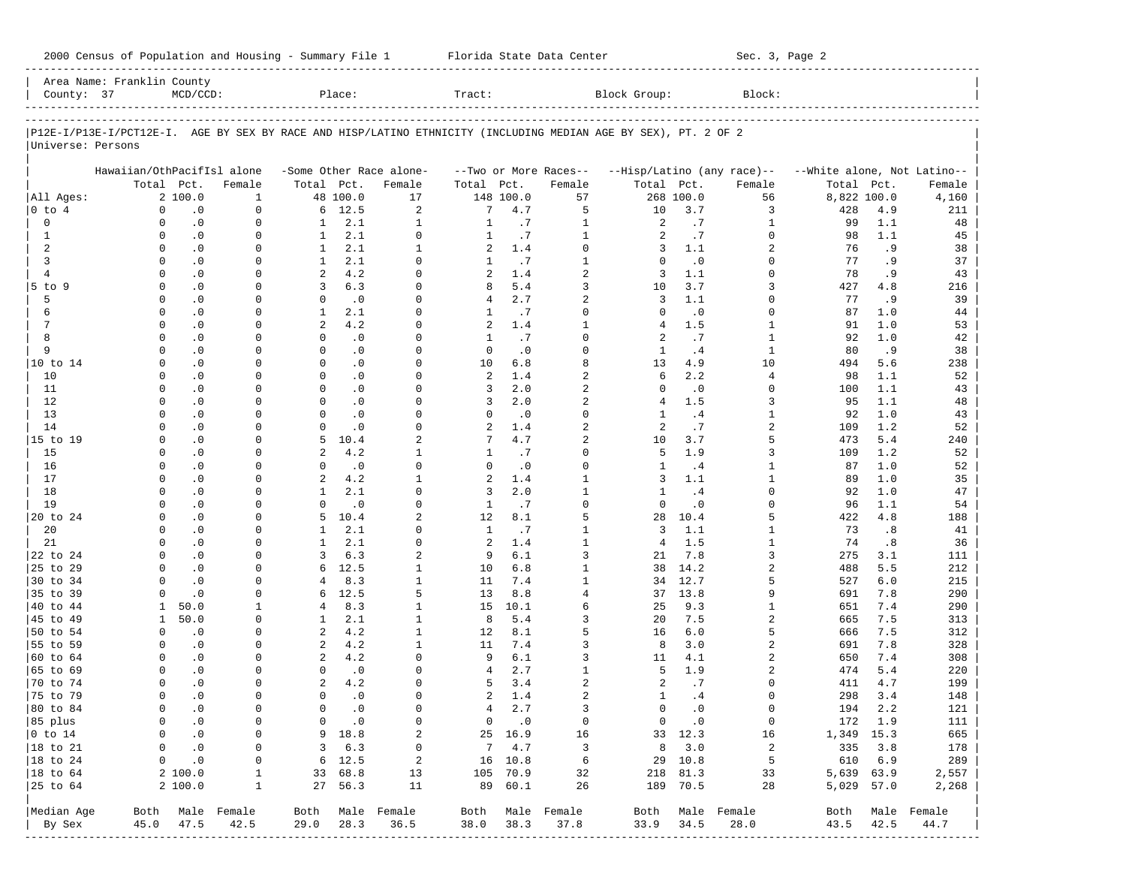| 2000 Census of Population and Housing - Summary File 1 |  | Florida State Data Center | Sec. 3, Page 2 |
|--------------------------------------------------------|--|---------------------------|----------------|
|--------------------------------------------------------|--|---------------------------|----------------|

|                              | Area Name: Franklin County |                        |                          |                         |                        |                            |                 |                      |                            |                                                                                                                |                            |                            |                             |                |                          |
|------------------------------|----------------------------|------------------------|--------------------------|-------------------------|------------------------|----------------------------|-----------------|----------------------|----------------------------|----------------------------------------------------------------------------------------------------------------|----------------------------|----------------------------|-----------------------------|----------------|--------------------------|
| County: 37                   |                            | $MCD/CCD$ :            |                          |                         | Place:                 |                            | Tract:          |                      |                            | Block Group:                                                                                                   |                            | Block:                     |                             |                |                          |
|                              |                            |                        |                          |                         |                        |                            |                 |                      |                            |                                                                                                                |                            |                            |                             |                |                          |
|                              |                            |                        |                          |                         |                        |                            |                 |                      |                            | P12E-I/P13E-I/PCT12E-I. AGE BY SEX BY RACE AND HISP/LATINO ETHNICITY (INCLUDING MEDIAN AGE BY SEX), PT. 2 OF 2 |                            |                            |                             |                |                          |
| Universe: Persons            |                            |                        |                          |                         |                        |                            |                 |                      |                            |                                                                                                                |                            |                            |                             |                |                          |
|                              | Hawaiian/OthPacifIsl alone |                        |                          |                         |                        | -Some Other Race alone-    |                 |                      | --Two or More Races--      |                                                                                                                |                            | --Hisp/Latino (any race)-- | --White alone, Not Latino-- |                |                          |
|                              |                            | Total Pct.             | Female                   | Total Pct.              |                        | Female                     | Total Pct.      |                      | Female                     | Total Pct.                                                                                                     |                            | Female                     | Total                       | Pct.           | Female                   |
| All Ages:                    |                            | 2 100.0                | 1                        |                         | 48 100.0               | 17                         |                 | 148 100.0            | 57                         |                                                                                                                | 268 100.0                  | 56                         | 8,822 100.0                 |                | 4,160                    |
| 0 to 4                       | 0                          | $\cdot$ 0              | 0                        | 6                       | 12.5                   | 2                          | 7               | 4.7                  | 5                          | 10                                                                                                             | 3.7                        | 3                          | 428                         | 4.9            | 211                      |
| 0                            | 0                          | $\cdot$ 0              | 0                        | $\mathbf{1}$            | 2.1                    | $\mathbf{1}$               | $\mathbf{1}$    | .7                   | $\mathbf{1}$               | 2                                                                                                              | .7                         | 1                          | 99                          | 1.1            | 48                       |
| 1                            | 0                          | $\cdot$ 0              | 0                        | 1                       | 2.1                    | 0                          | 1               | .7                   | $\mathbf{1}$               | 2                                                                                                              | .7                         | 0                          | 98                          | 1.1            | 45                       |
| 2                            | $\Omega$                   | $\cdot$ 0              | 0                        | 1                       | 2.1                    | $\mathbf{1}$               | 2               | 1.4                  | $\Omega$                   | 3                                                                                                              | 1.1                        | 2.                         | 76                          | .9             | 38                       |
| 3                            | $\Omega$                   | $\cdot$ 0              | 0                        | 1                       | 2.1                    | $\Omega$                   | 1               | .7                   | 1                          | $\Omega$                                                                                                       | $\cdot$ 0                  | 0                          | 77                          | . 9            | 37                       |
| $\overline{4}$<br>$5$ to $9$ | $\Omega$<br>0              | $\cdot$ 0<br>$\cdot$ 0 | $\Omega$<br>0            | 2<br>3                  | 4.2<br>6.3             | $\Omega$<br>$\Omega$       | 2<br>8          | 1.4<br>5.4           | 2<br>3                     | 3<br>10                                                                                                        | 1.1<br>3.7                 | $\Omega$<br>3              | 78<br>427                   | . 9<br>4.8     | 43                       |
| 5                            | 0                          | $\cdot$ 0              | $\Omega$                 | 0                       | $\cdot$ 0              | $\Omega$                   | 4               | 2.7                  | 2                          | 3                                                                                                              | 1.1                        | $\Omega$                   | 77                          | .9             | 216<br>39                |
| 6                            | $\Omega$                   | $\cdot$ 0              | 0                        | 1                       | 2.1                    | $\Omega$                   | 1               | .7                   | $\Omega$                   | $\Omega$                                                                                                       | $\cdot$ 0                  | 0                          | 87                          | 1.0            | 44                       |
| 7                            | $\Omega$                   | $\cdot$ 0              | $\Omega$                 | 2                       | 4.2                    | $\Omega$                   | 2               | 1.4                  | 1                          | 4                                                                                                              | 1.5                        | 1                          | 91                          | 1.0            | 53                       |
| 8                            | $\Omega$                   | $\cdot$ 0              | 0                        | 0                       | $\cdot$ 0              | $\Omega$                   | 1               | .7                   | $\Omega$                   | 2                                                                                                              | .7                         | 1                          | 92                          | 1.0            | 42                       |
| 9                            | $\Omega$                   | $\cdot$ 0              | $\Omega$                 | $\Omega$                | $\cdot$ 0              | $\Omega$                   | $\mathbf 0$     | $\cdot$ 0            | $\Omega$                   | 1                                                                                                              | .4                         | 1                          | 80                          | .9             | 38                       |
| 10 to 14                     | 0                          | $\cdot$ 0              | 0                        | $\mathbf 0$             | $\cdot$ 0              | $\Omega$                   | 10              | 6.8                  | 8                          | 13                                                                                                             | 4.9                        | 10                         | 494                         | 5.6            | 238                      |
| 10                           | $\Omega$                   | $\cdot$ 0              | $\Omega$                 | $\Omega$                | $\cdot$ 0              | $\Omega$                   | 2               | 1.4                  | $\overline{2}$             | 6                                                                                                              | 2.2                        | 4                          | 98                          | 1.1            | 52                       |
| 11                           | 0                          | $\cdot$ 0              | 0                        | $\mathbf 0$             | $\cdot$ 0              | $\Omega$                   | 3               | 2.0                  | 2                          | $\Omega$                                                                                                       | $\cdot$ 0                  | 0                          | 100                         | 1.1            | 43                       |
| 12                           | $\Omega$                   | $\cdot$ 0              | $\Omega$                 | $\Omega$                | $\cdot$ 0              | $\Omega$                   | 3               | 2.0                  | 2                          | 4                                                                                                              | 1.5                        | 3                          | 95                          | 1.1            | 48                       |
| 13                           | $\Omega$<br>$\Omega$       | $\cdot$ 0              | 0<br>$\Omega$            | $\Omega$<br>$\mathbf 0$ | $\cdot$ 0              | $\Omega$                   | 0               | $\cdot$ 0            | $\Omega$<br>$\overline{2}$ | -1.                                                                                                            | .4                         | 1                          | 92                          | 1.0            | 43                       |
| 14<br>15 to 19               | 0                          | $\cdot$ 0<br>$\cdot$ 0 | 0                        | 5                       | $\cdot$ 0<br>10.4      | 0<br>2                     | 2<br>7          | 1.4<br>4.7           | 2                          | 2<br>10                                                                                                        | .7<br>3.7                  | 2<br>5                     | 109<br>473                  | 1.2<br>5.4     | 52<br>240                |
| 15                           | $\Omega$                   | $\cdot$ 0              | $\Omega$                 | 2                       | 4.2                    | 1                          | 1               | .7                   | $\Omega$                   | 5                                                                                                              | 1.9                        | 3                          | 109                         | 1.2            | 52                       |
| 16                           | $\Omega$                   | $\cdot$ 0              | 0                        | 0                       | $\cdot$ 0              | 0                          | 0               | $\cdot$ 0            | $\Omega$                   | 1                                                                                                              | .4                         | 1                          | 87                          | 1.0            | 52                       |
| 17                           | $\Omega$                   | $\cdot$ 0              | $\Omega$                 | 2                       | 4.2                    | 1                          | 2               | 1.4                  | 1                          | 3                                                                                                              | 1.1                        | 1                          | 89                          | 1.0            | 35                       |
| 18                           | $\Omega$                   | $\cdot$ 0              | 0                        | 1                       | 2.1                    | $\Omega$                   | 3               | 2.0                  | $\mathbf{1}$               | 1                                                                                                              | .4                         | 0                          | 92                          | 1.0            | 47                       |
| 19                           | $\Omega$                   | $\cdot$ 0              | $\Omega$                 | $\mathbf 0$             | $\cdot$ 0              | $\Omega$                   | 1               | .7                   | $\Omega$                   | $\mathbf 0$                                                                                                    | $\cdot$ 0                  | $\Omega$                   | 96                          | 1.1            | 54                       |
| 20 to 24                     | $\Omega$                   | $\cdot$ 0              | 0                        | 5                       | 10.4                   | 2                          | 12              | 8.1                  | 5                          | 28                                                                                                             | 10.4                       | 5                          | 422                         | 4.8            | 188                      |
| 20                           | $\Omega$                   | $\cdot$ 0              | $\Omega$                 | 1                       | 2.1                    | $\Omega$                   | 1               | .7                   | 1                          | 3                                                                                                              | 1.1                        | 1                          | 73                          | .8             | 41                       |
| 21                           | $\Omega$                   | $\cdot$ 0              | 0                        | 1                       | 2.1                    | $\Omega$                   | 2               | 1.4                  | $\mathbf{1}$               | 4                                                                                                              | 1.5                        | 1                          | 74                          | .8             | 36                       |
| 22 to 24<br>25 to 29         | $\Omega$<br>$\Omega$       | $\cdot$ 0<br>$\cdot$ 0 | $\Omega$<br>0            | 3<br>6                  | 6.3<br>12.5            | 2<br>$\mathbf{1}$          | 9<br>10         | 6.1<br>6.8           | 3<br>1                     | 21<br>38                                                                                                       | 7.8<br>14.2                | 3<br>2                     | 275<br>488                  | 3.1<br>5.5     | 111<br>212               |
| 30 to 34                     | 0                          | $\cdot$ 0              | $\Omega$                 | 4                       | 8.3                    | $\mathbf{1}$               | 11              | 7.4                  | 1                          | 34                                                                                                             | 12.7                       | 5                          | 527                         | 6.0            | 215                      |
| 35 to 39                     | $\Omega$                   | $\cdot$ 0              | 0                        | 6                       | 12.5                   | 5                          | 13              | 8.8                  | $\overline{4}$             | 37                                                                                                             | 13.8                       | 9                          | 691                         | 7.8            | 290                      |
| 40 to 44                     | $\mathbf{1}$               | 50.0                   | 1                        | 4                       | 8.3                    | $\mathbf{1}$               | 15              | 10.1                 | 6                          | 25                                                                                                             | 9.3                        | 1                          | 651                         | 7.4            | 290                      |
| 45 to 49                     | $\mathbf{1}$               | 50.0                   | 0                        | 1                       | 2.1                    | $\mathbf{1}$               | 8               | 5.4                  | 3                          | 20                                                                                                             | 7.5                        | 2                          | 665                         | 7.5            | 313                      |
| 50 to 54                     | 0                          | $\cdot$ 0              | 0                        | 2                       | 4.2                    | $\mathbf{1}$               | 12              | 8.1                  | 5                          | 16                                                                                                             | 6.0                        | 5                          | 666                         | 7.5            | 312                      |
| 55 to 59                     | $\Omega$                   | $\cdot$ 0              | 0                        | 2                       | 4.2                    | 1                          | 11              | 7.4                  | 3                          | 8                                                                                                              | 3.0                        | 2                          | 691                         | 7.8            | 328                      |
| 60 to 64                     | $\Omega$                   | $\cdot$ 0              | $\Omega$                 | 2                       | 4.2                    | $\Omega$                   | 9               | 6.1                  | 3                          | 11                                                                                                             | 4.1                        | 2                          | 650                         | 7.4            | 308                      |
| 65 to 69                     | $\Omega$                   | $\cdot$ 0              | 0                        | 0                       | $\cdot$ 0              | $\Omega$                   | 4               | 2.7                  | 1                          | 5                                                                                                              | 1.9                        | 2                          | 474                         | 5.4            | 220                      |
| 70 to 74                     | $\Omega$                   | $\cdot$ 0              | $\Omega$                 | 2                       | 4.2                    | $\Omega$                   | 5               | 3.4                  | 2                          | 2                                                                                                              | .7                         | 0                          | 411                         | 4.7            | 199                      |
| 75 to 79                     | $\mathbf 0$                | $\cdot$ 0              | 0                        | 0                       | $\cdot$ 0              | $\Omega$                   | 2               | 1.4                  | 2                          | 1                                                                                                              | .4                         | 0<br><sup>n</sup>          | 298                         | 3.4            | 148                      |
| 80 to 84<br>85 plus          | 0<br>0                     | . 0<br>$\cdot$ 0       | 0<br>0                   | 0<br>0                  | $\cdot$ 0<br>$\cdot$ 0 | 0<br>0                     | $4\overline{ }$ | 2.7<br>$0 \qquad .0$ | 3<br>$\mathbf 0$           | 0                                                                                                              | $\cdot$ 0<br>$0 \qquad .0$ | $\mathbf 0$                | 194                         | 2.2<br>172 1.9 | 121                      |
| $0$ to $14$                  | 0                          | $\cdot$ 0              | 0                        |                         | 9 18.8                 | 2                          |                 | 25 16.9              | 16                         |                                                                                                                | 33 12.3                    | 16                         | 1,349 15.3                  |                | 111<br>665               |
| 18 to 21                     | 0                          | $\cdot$ 0              | 0                        |                         | 3, 6.3                 | $\mathbf 0$                |                 | 74.7                 | $\overline{3}$             | 8                                                                                                              | 3.0                        | $\overline{a}$             |                             | 335 3.8        | 178                      |
| $ 18$ to $24$                | $\mathbf 0$                | $\cdot$ 0              | 0                        |                         | $6\quad 12.5$          | $\overline{\phantom{0}}^2$ |                 | 16 10.8              | $6\overline{6}$            |                                                                                                                | 29 10.8                    | 5                          | 610 6.9                     |                | 289                      |
| 18 to 64                     |                            | 2 100.0                | 1                        |                         | 33 68.8                | 13                         |                 | 105 70.9             | 32                         |                                                                                                                | 218 81.3                   | 33                         | 5,639 63.9                  |                | 2,557                    |
| 25 to 64                     |                            | 2 100.0                | $\mathbf{1}$             |                         | 27 56.3                | 11                         |                 | 89 60.1              | 26                         |                                                                                                                | 189 70.5                   | 28                         | 5,029 57.0                  |                | 2,268                    |
|                              |                            |                        |                          |                         |                        |                            |                 |                      |                            |                                                                                                                |                            |                            |                             |                |                          |
| Median Age<br>By Sex         |                            | 45.0 47.5              | Both Male Female<br>42.5 | 29.0                    | 28.3                   | Both Male Female<br>36.5   | 38.0            | 38.3                 | Both Male Female<br>37.8   | 33.9                                                                                                           | 34.5                       | Both Male Female<br>28.0   | 43.5 42.5                   |                | Both Male Female<br>44.7 |
|                              |                            |                        |                          |                         |                        |                            |                 |                      |                            |                                                                                                                |                            |                            |                             |                |                          |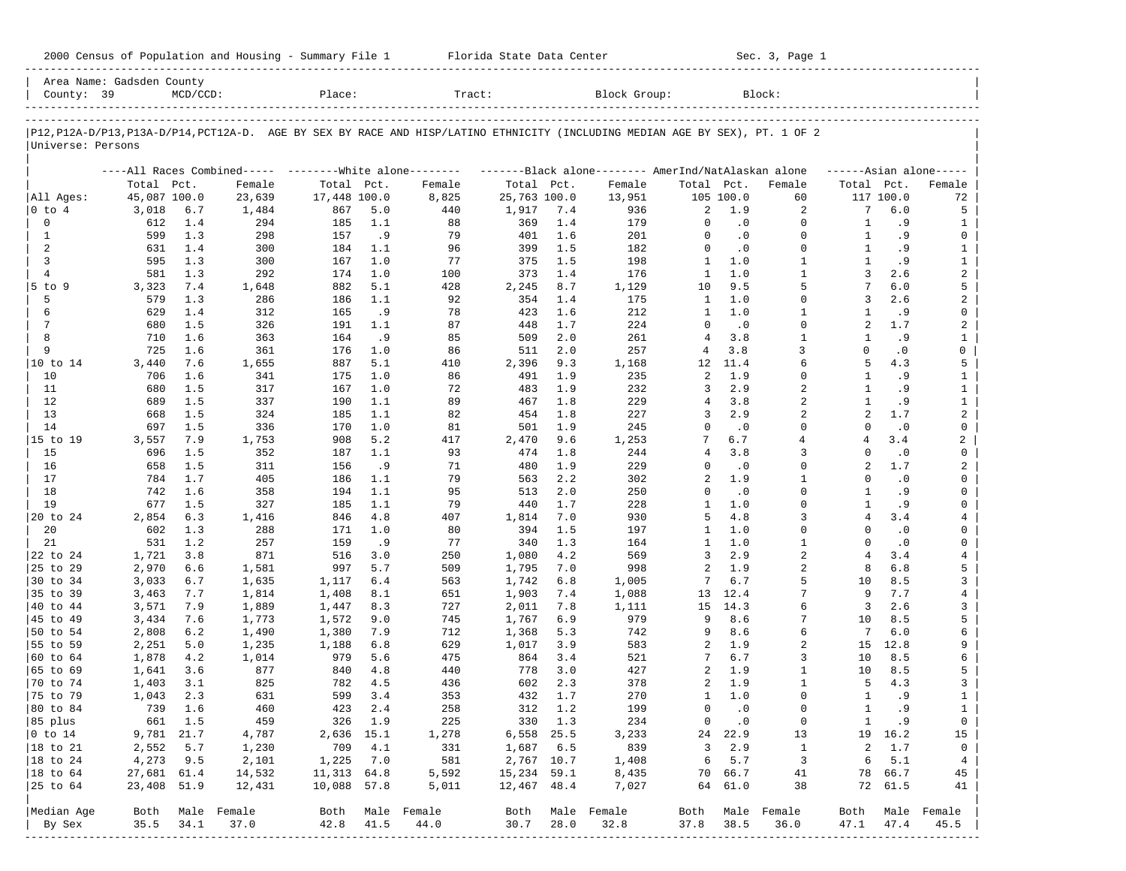| 2000 Census of Population and Housing - Summary File 1 |  | Florida State Data Center | Sec. 3, Page 1 |
|--------------------------------------------------------|--|---------------------------|----------------|
|--------------------------------------------------------|--|---------------------------|----------------|

|                             | Area Name: Gadsden County |             |             |              |           |                                                                                                                               |              |            |                  |                          |                  |                          |                |                 |                         |
|-----------------------------|---------------------------|-------------|-------------|--------------|-----------|-------------------------------------------------------------------------------------------------------------------------------|--------------|------------|------------------|--------------------------|------------------|--------------------------|----------------|-----------------|-------------------------|
| County: 39                  |                           | $MCD/CCD$ : |             | Place:       |           | Tract:                                                                                                                        |              |            | Block Group:     |                          |                  | Block:                   |                |                 |                         |
|                             |                           |             |             |              |           | P12, P12A-D/P13, P13A-D/P14, PCT12A-D. AGE BY SEX BY RACE AND HISP/LATINO ETHNICITY (INCLUDING MEDIAN AGE BY SEX), PT. 1 OF 2 |              |            |                  |                          |                  |                          |                |                 |                         |
| Universe: Persons           |                           |             |             |              |           |                                                                                                                               |              |            |                  |                          |                  |                          |                |                 |                         |
|                             |                           |             |             |              |           | ----All Races Combined----- --------White alone-------- --------Black alone-------- AmerInd/NatAlaskan alone                  |              |            |                  |                          |                  |                          |                |                 | $---Asian alone---$     |
|                             | Total Pct.                |             | Female      | Total Pct.   |           | Female                                                                                                                        | Total Pct.   |            | Female           | Total Pct.               |                  | Female                   | Total Pct.     |                 | Female                  |
| All Ages:                   | 45,087 100.0              |             | 23,639      | 17,448 100.0 |           | 8,825                                                                                                                         | 25,763 100.0 |            | 13,951           |                          | 105 100.0        | 60                       |                | 117 100.0       | 72                      |
| 0 to 4                      | 3,018                     | $6.7$       | 1,484       | 867          | 5.0       | 440                                                                                                                           | 1,917        | 7.4        | 936              | 2                        | 1.9              | 2                        | 7              | 6.0             | 5                       |
| 0                           | 612                       | 1.4         | 294         | 185          | 1.1       | 88                                                                                                                            | 369          | 1.4        | 179              | $\mathbf 0$              | $\cdot$ 0        | $\Omega$                 | $\mathbf{1}$   | . 9             | $\mathbf{1}$            |
| 1                           | 599                       | 1.3         | 298         | 157          | .9        | 79                                                                                                                            | 401          | 1.6        | 201              | $\Omega$                 | $\cdot$ 0        | $\Omega$                 | $\mathbf{1}$   | .9              | $\mathbf 0$             |
| 2                           | 631                       | 1.4         | 300         | 184          | 1.1       | 96                                                                                                                            | 399          | 1.5        | 182              | $\mathbf 0$              | $\cdot$ 0        | $\Omega$                 | $\mathbf{1}$   | .9              | $\mathbf{1}$            |
| 3                           | 595                       | 1.3         | 300         | 167          | 1.0       | 77                                                                                                                            | 375          | 1.5        | 198              | $\mathbf{1}$             | 1.0              | $\mathbf{1}$             | 1              | . 9             | $\mathbf{1}$            |
| $\overline{4}$              | 581                       | 1.3         | 292         | 174          | 1.0       | 100                                                                                                                           | 373          | 1.4        | 176              | $\mathbf{1}$             | 1.0              | $\mathbf{1}$             | 3              | 2.6             | $\overline{a}$          |
| $5$ to $9$                  | 3,323                     | 7.4         | 1,648       | 882          | 5.1       | 428                                                                                                                           | 2,245        | 8.7        | 1,129            | 10                       | 9.5              | 5<br>$\Omega$            | 3              | 6.0             | 5                       |
| 5                           | 579                       | 1.3         | 286         | 186          | 1.1       | 92                                                                                                                            | 354          | 1.4        | 175              | $\mathbf{1}$             | 1.0<br>1.0       |                          |                | 2.6             | $\overline{\mathbf{c}}$ |
| 6<br>7                      | 629                       | 1.4         | 312         | 165          | .9        | 78<br>87                                                                                                                      | 423          | 1.6        | 212              | $\mathbf{1}$<br>$\Omega$ |                  | $\mathbf{1}$<br>$\Omega$ | 1<br>2         | .9              | $\mathbf 0$             |
| 8                           | 680<br>710                | 1.5<br>1.6  | 326         | 191          | 1.1       | 85                                                                                                                            | 448          | 1.7<br>2.0 | 224              | $\overline{4}$           | $\cdot$ 0<br>3.8 | $\mathbf{1}$             | $\mathbf{1}$   | 1.7             | 2                       |
| 9                           | 725                       | 1.6         | 363<br>361  | 164<br>176   | .9<br>1.0 | 86                                                                                                                            | 509<br>511   | 2.0        | 261<br>257       | 4                        | 3.8              | 3                        | $\Omega$       | .9<br>$\cdot$ 0 | $\mathbf{1}$<br>0       |
| 10 to 14                    | 3,440                     | 7.6         | 1,655       | 887          | 5.1       | 410                                                                                                                           | 2,396        | 9.3        | 1,168            | 12                       | 11.4             | 6                        | 5              | 4.3             | 5                       |
| 10                          | 706                       | 1.6         | 341         | 175          | 1.0       | 86                                                                                                                            | 491          | 1.9        | 235              | 2                        | 1.9              | $\Omega$                 | $\mathbf{1}$   | .9              | $\mathbf{1}$            |
| 11                          | 680                       | 1.5         | 317         | 167          | 1.0       | 72                                                                                                                            | 483          | 1.9        | 232              | 3                        | 2.9              | 2                        | 1              | .9              | $\mathbf{1}$            |
| 12                          | 689                       | 1.5         | 337         | 190          | 1.1       | 89                                                                                                                            | 467          | 1.8        | 229              | 4                        | 3.8              | $\overline{a}$           | $\mathbf{1}$   | . 9             | $\mathbf{1}$            |
| 13                          | 668                       | 1.5         | 324         | 185          | 1.1       | 82                                                                                                                            | 454          | 1.8        | 227              | 3                        | 2.9              | 2                        | 2              | 1.7             | $\overline{a}$          |
| 14                          | 697                       | 1.5         | 336         | 170          | 1.0       | 81                                                                                                                            | 501          | 1.9        | 245              | $\mathbf 0$              | $\cdot$ 0        | $\Omega$                 | $\Omega$       | $\cdot$ 0       | $\mathbf 0$             |
| 15 to 19                    | 3,557                     | 7.9         | 1,753       | 908          | 5.2       | 417                                                                                                                           | 2,470        | 9.6        | 1,253            | 7                        | 6.7              | 4                        | 4              | 3.4             | 2                       |
| 15                          | 696                       | 1.5         | 352         | 187          | 1.1       | 93                                                                                                                            | 474          | 1.8        | 244              | $\overline{4}$           | 3.8              | 3                        | $\Omega$       | $\cdot$ 0       | $\mathbf 0$             |
| 16                          | 658                       | 1.5         | 311         | 156          | .9        | 71                                                                                                                            | 480          | 1.9        | 229              | $\Omega$                 | $\cdot$ 0        | $\Omega$                 | 2              | 1.7             | 2                       |
| 17                          | 784                       | 1.7         | 405         | 186          | 1.1       | 79                                                                                                                            | 563          | 2.2        | 302              | 2                        | 1.9              | $\mathbf{1}$             | $\Omega$       | $\cdot$ 0       | 0                       |
| 18                          | 742                       | 1.6         | 358         | 194          | 1.1       | 95                                                                                                                            | 513          | 2.0        | 250              | $\Omega$                 | $\cdot$ 0        | $\Omega$                 | -1.            | .9              | $\mathbf 0$             |
| 19                          | 677                       | 1.5         | 327         | 185          | 1.1       | 79                                                                                                                            | 440          | 1.7        | 228              | $\mathbf{1}$             | 1.0              | $\Omega$                 | $\mathbf{1}$   | .9              | 0                       |
| 20 to 24                    | 2,854                     | 6.3         | 1,416       | 846          | 4.8       | 407                                                                                                                           | 1,814        | 7.0        | 930              | 5                        | 4.8              | 3                        | $\overline{4}$ | 3.4             | $\overline{4}$          |
| 20                          | 602                       | 1.3         | 288         | 171          | 1.0       | 80                                                                                                                            | 394          | 1.5        | 197              | $\mathbf{1}$             | 1.0              | $\Omega$                 | $\Omega$       | $\cdot$ 0       | 0                       |
| 21                          | 531                       | 1.2         | 257         | 159          | .9        | 77                                                                                                                            | 340          | 1.3        | 164              | $\mathbf{1}$             | 1.0              | $\mathbf{1}$             | $\Omega$       | $\cdot$ 0       | $\mathbf 0$             |
| 22 to 24                    | 1,721                     | 3.8         | 871         | 516          | 3.0       | 250                                                                                                                           | 1,080        | 4.2        | 569              | 3                        | 2.9              | $\overline{a}$           | $\overline{4}$ | 3.4             | $\overline{4}$          |
| 25 to 29                    | 2,970                     | 6.6         | 1,581       | 997          | 5.7       | 509                                                                                                                           | 1,795        | 7.0        | 998              | 2                        | 1.9              | $\overline{c}$           | 8              | 6.8             | 5                       |
| 30 to 34                    | 3,033                     | 6.7         | 1,635       | 1,117        | 6.4       | 563                                                                                                                           | 1,742        | 6.8        | 1,005            | 7                        | 6.7              | 5                        | 10             | 8.5             | 3                       |
| 35 to 39                    | 3,463                     | 7.7         | 1,814       | 1,408        | 8.1       | 651                                                                                                                           | 1,903        | 7.4        | 1,088            | 13                       | 12.4             |                          | 9              | 7.7             | $\overline{4}$          |
| 40 to 44                    | 3,571                     | 7.9         | 1,889       | 1,447        | 8.3       | 727                                                                                                                           | 2,011        | 7.8        | 1,111            | 15                       | 14.3             | 6                        | 3              | 2.6             | 3                       |
| 45 to 49                    | 3,434                     | 7.6         | 1,773       | 1,572        | 9.0       | 745                                                                                                                           | 1,767        | 6.9        | 979              | 9                        | 8.6              | 7                        | 10             | 8.5             | 5                       |
| 50 to 54                    | 2,808                     | 6.2         | 1,490       | 1,380        | 7.9       | 712                                                                                                                           | 1,368        | 5.3        | 742              | 9                        | 8.6              | 6                        | 7              | 6.0             | 6                       |
| 55 to 59                    | 2,251                     | 5.0         | 1,235       | 1,188        | 6.8       | 629                                                                                                                           | 1,017        | 3.9        | 583              | 2                        | 1.9              | 2                        | 15             | 12.8            | 9                       |
| 60 to 64                    | 1,878                     | 4.2         | 1,014       | 979          | 5.6       | 475                                                                                                                           | 864          | 3.4        | 521              | 7                        | 6.7              | 3                        | 10             | 8.5             | 6                       |
| 65 to 69                    | 1,641                     | 3.6         | 877         | 840          | 4.8       | 440                                                                                                                           | 778          | 3.0        | 427              | 2                        | 1.9              | 1                        | 10             | 8.5             | 5                       |
| 70 to 74                    | 1,403                     | 3.1         | 825         | 782          | 4.5       | 436                                                                                                                           | 602          | 2.3        | 378              | 2                        | 1.9              | $\mathbf{1}$             | 5              | 4.3             | 3                       |
| 75 to 79                    | 1,043                     | 2.3         | 631         | 599          | 3.4       | 353                                                                                                                           | 432          | 1.7        | 270              | 1                        | 1.0              | $\Omega$                 | 1              | .9              | $\mathbf{1}$            |
| 80 to 84                    | 739                       | 1.6         | 460         | 423          | 2.4       | 258                                                                                                                           | 312          | 1.2        | 199              | 0                        | $\cdot$ 0        | $\Omega$                 | $\mathbf{1}$   | .9              | $\mathbf{1}$            |
| 85 plus                     |                           | 661 1.5     | 459         |              | 326 1.9   | 225                                                                                                                           |              | 330 1.3    | 234              |                          | $0 \qquad .0$    | 0                        | $\mathbf{1}$   | .9              | 0                       |
| $ 0 \t\t \text{to} \t\t 14$ | 9,781 21.7                |             | 4,787       | 2,636 15.1   |           | 1,278                                                                                                                         | 6,558 25.5   |            | 3,233            |                          | 24 22.9          | 13                       |                | 19 16.2         | 15                      |
| 18 to 21                    | 2,552                     | 5.7         | 1,230       | 709          | 4.1       | 331                                                                                                                           | 1,687 6.5    |            | 839              | $3^{\circ}$              | 2.9              | $\mathbf{1}$             | 2              | 1.7             | 0                       |
| 18 to 24                    | 4,273                     | 9.5         | 2,101       | 1,225        | 7.0       | 581                                                                                                                           | 2,767 10.7   |            | 1,408            | 6                        | 5.7              | $\overline{\mathbf{3}}$  | 6              | 5.1             | $\overline{4}$          |
| $ 18$ to $64$               | 27,681 61.4               |             | 14,532      | 11,313 64.8  |           | 5,592                                                                                                                         | 15,234 59.1  |            | 8,435            |                          | 70 66.7          | 41                       | 78             | 66.7            | 45                      |
| 25 to 64                    | 23,408 51.9               |             | 12,431      | 10,088 57.8  |           | 5,011                                                                                                                         | 12,467 48.4  |            | 7,027            |                          | 64 61.0          | 38                       |                | 72 61.5         | 41                      |
| Median Age                  | Both                      |             | Male Female |              |           | Both Male Female                                                                                                              |              |            | Both Male Female |                          |                  | Both Male Female         |                |                 | Both Male Female        |
|                             |                           |             |             |              |           |                                                                                                                               |              |            |                  |                          |                  |                          |                |                 |                         |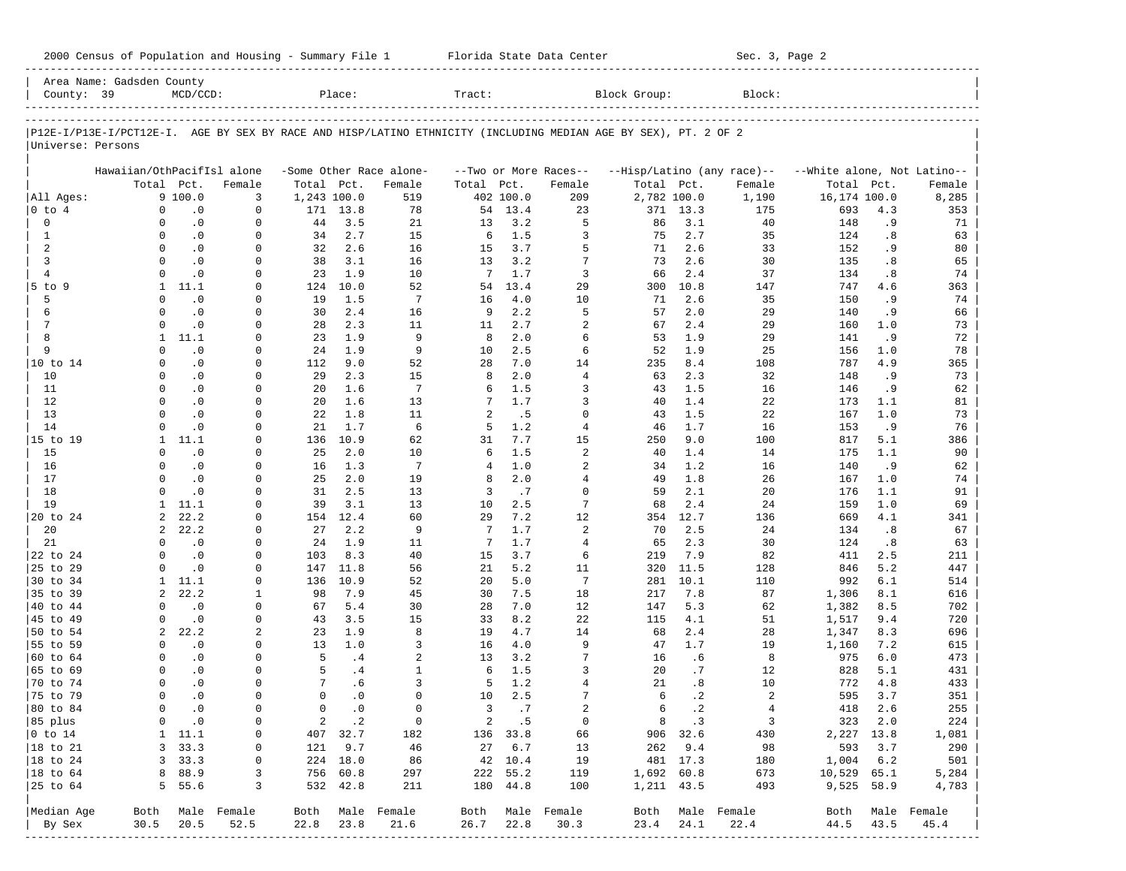| 2000 Census of Population and Housing - Summary File 1 |  | Florida State Data Center | Sec. 3, Page 2 |
|--------------------------------------------------------|--|---------------------------|----------------|
|--------------------------------------------------------|--|---------------------------|----------------|

|                        | Area Name: Gadsden County  |                             |                      |             |             |                         |        |           |                            |                                                                                                                |            |                            |                             |                        |                  |
|------------------------|----------------------------|-----------------------------|----------------------|-------------|-------------|-------------------------|--------|-----------|----------------------------|----------------------------------------------------------------------------------------------------------------|------------|----------------------------|-----------------------------|------------------------|------------------|
| County: 39             |                            | $MCD/CCD$ :                 |                      |             | Place:      |                         | Tract: |           |                            | Block Group:                                                                                                   |            | Block:                     |                             |                        |                  |
|                        |                            |                             |                      |             |             |                         |        |           |                            |                                                                                                                |            |                            |                             |                        |                  |
| Universe: Persons      |                            |                             |                      |             |             |                         |        |           |                            | P12E-I/P13E-I/PCT12E-I. AGE BY SEX BY RACE AND HISP/LATINO ETHNICITY (INCLUDING MEDIAN AGE BY SEX), PT. 2 OF 2 |            |                            |                             |                        |                  |
|                        | Hawaiian/OthPacifIsl alone |                             |                      |             |             | -Some Other Race alone- |        |           | --Two or More Races--      |                                                                                                                |            | --Hisp/Latino (any race)-- | --White alone, Not Latino-- |                        |                  |
|                        |                            | Total Pct.                  | Female               | Total Pct.  |             | Female                  | Total  | Pct.      | Female                     | Total Pct.                                                                                                     |            | Female                     | Total                       | Pct.                   | Female           |
| All Ages:              |                            | 9 100.0                     | 3                    | 1,243 100.0 |             | 519                     |        | 402 100.0 | 209                        | 2,782 100.0                                                                                                    |            | 1,190                      | 16,174 100.0                |                        | 8,285            |
| 0 to 4                 | 0                          | $\cdot$ 0                   | 0                    |             | 171 13.8    | 78                      |        | 54 13.4   | 23                         |                                                                                                                | 371 13.3   | 175                        | 693                         | 4.3                    | 353              |
| 0                      | 0                          | $\cdot$ 0                   | 0                    | 44          | 3.5         | 21                      | 13     | 3.2       | 5                          | 86                                                                                                             | 3.1        | 40                         | 148                         | . 9                    | 71               |
| 1                      | $\Omega$                   | $\cdot$ 0                   | $\Omega$             | 34          | 2.7         | 15                      | 6      | 1.5       | 3                          | 75                                                                                                             | 2.7        | 35                         | 124                         | .8                     | 63               |
| 2                      | $\Omega$                   | $\cdot$ 0                   | 0                    | 32          | 2.6         | 16                      | 15     | 3.7       | 5                          | 71                                                                                                             | 2.6        | 33                         | 152                         | . 9                    | 80               |
| 3                      | $\Omega$                   | $\cdot$ 0                   | $\Omega$             | 38          | 3.1         | 16                      | 13     | 3.2       | 7                          | 73                                                                                                             | 2.6        | 30                         | 135                         | .8                     | 65               |
| $\overline{4}$         | $\Omega$                   | $\cdot$ 0                   | $\Omega$             | 23          | 1.9         | 10                      | 7      | 1.7       | 3                          | 66                                                                                                             | 2.4        | 37                         | 134                         | .8                     | 74               |
| $5$ to $9$             | $\mathbf{1}$               | 11.1                        | $\Omega$             | 124         | 10.0        | 52                      | 54     | 13.4      | 29                         | 300                                                                                                            | 10.8       | 147                        | 747                         | 4.6                    | 363              |
| 5                      | $\Omega$                   | $\cdot$ 0                   | $\Omega$             | 19          | 1.5         | $7\phantom{.0}$         | 16     | 4.0       | 10                         | 71                                                                                                             | 2.6        | 35                         | 150                         | .9                     | 74               |
| 6                      | $\Omega$                   | $\cdot$ 0                   | $\Omega$             | 30          | 2.4         | 16                      | 9      | 2.2       | 5                          | 57                                                                                                             | 2.0        | 29                         | 140                         | .9                     | 66               |
| 7                      | $\Omega$                   | $\cdot$ 0                   | $\Omega$             | 28          | 2.3         | 11                      | 11     | 2.7       | $\overline{a}$             | 67                                                                                                             | 2.4        | 29                         | 160                         | 1.0                    | 73               |
| 8                      | $\mathbf{1}$               | 11.1                        | $\Omega$             | 23          | 1.9         | 9                       | 8      | 2.0       | 6                          | 53                                                                                                             | 1.9        | 29                         | 141                         | .9                     | 72               |
| 9                      | $\Omega$                   | $\cdot$ 0                   | 0                    | 24          | 1.9         | 9                       | 10     | 2.5       | 6                          | 52                                                                                                             | 1.9        | 25                         | 156                         | 1.0                    | 78               |
| 10 to 14               | $\Omega$                   | $\cdot$ 0                   | $\Omega$             | 112         | 9.0         | 52                      | 28     | 7.0       | 14                         | 235                                                                                                            | 8.4        | 108                        | 787                         | 4.9                    | 365              |
| 10                     | $\Omega$                   | $\cdot$ 0                   | $\Omega$             | 29          | 2.3         | 15                      | 8      | 2.0       | $\overline{4}$             | 63                                                                                                             | 2.3        | 32                         | 148                         | .9                     | 73               |
| 11                     | $\Omega$                   | $\cdot$ 0                   | $\Omega$             | 20          | 1.6         | 7                       | 6      | 1.5       | 3                          | 43                                                                                                             | 1.5        | 16                         | 146                         | .9                     | 62               |
| 12                     | $\Omega$                   | $\cdot$ 0                   | $\Omega$             | 20          | 1.6         | 13                      | 7      | 1.7       | 3                          | 40                                                                                                             | 1.4        | 22                         | 173                         | 1.1                    | 81               |
| 13                     | $\Omega$                   | $\cdot$ 0                   | $\Omega$             | 22          | 1.8         | 11                      | 2      | .5        | $\mathbf 0$                | 43                                                                                                             | 1.5        | 22                         | 167                         | 1.0                    | 73               |
| 14                     | $\Omega$                   | $\cdot$ 0                   | $\Omega$             | 21          | 1.7         | 6                       | 5      | 1.2       | $\overline{4}$             | 46                                                                                                             | 1.7        | 16                         | 153                         | .9                     | 76               |
| 15 to 19               | $\mathbf{1}$               | 11.1                        | $\Omega$             | 136         | 10.9        | 62                      | 31     | 7.7       | 15                         | 250                                                                                                            | 9.0        | 100                        | 817                         | 5.1                    | 386              |
| 15                     | $\Omega$                   | $\cdot$ 0                   | $\Omega$             | 25          | 2.0         | 10                      | 6      | 1.5       | $\overline{a}$             | 40                                                                                                             | 1.4        | 14                         | 175                         | 1.1                    | 90               |
| 16                     | $\Omega$                   | $\cdot$ 0                   | $\Omega$             | 16          | 1.3         | 7                       | 4      | 1.0       | $\overline{2}$             | 34                                                                                                             | 1.2        | 16                         | 140                         | .9                     | 62               |
| 17                     | $\Omega$<br>$\Omega$       | $\cdot$ 0                   | $\Omega$<br>$\Omega$ | 25<br>31    | 2.0<br>2.5  | 19<br>13                | 8<br>3 | 2.0       | $\overline{4}$<br>$\Omega$ | 49<br>59                                                                                                       | 1.8<br>2.1 | 26                         | 167                         | 1.0<br>1.1             | 74               |
| 18<br>19               | $\mathbf{1}$               | $\cdot$ 0<br>11.1           | $\Omega$             | 39          | 3.1         | 13                      | 10     | .7<br>2.5 | 7                          | 68                                                                                                             | 2.4        | 20<br>24                   | 176                         | 1.0                    | 91               |
| 20 to 24               | 2                          | 22.2                        | $\Omega$             | 154         | 12.4        | 60                      | 29     | 7.2       | 12                         | 354                                                                                                            | 12.7       | 136                        | 159<br>669                  | 4.1                    | 69<br>341        |
| 20                     | 2                          | 22.2                        | 0                    | 27          | 2.2         | 9                       | 7      | 1.7       | $\overline{a}$             | 70                                                                                                             | 2.5        | 24                         | 134                         | .8                     | 67               |
| 21                     | $\Omega$                   | $\cdot$ 0                   | 0                    | 24          | 1.9         | 11                      | 7      | 1.7       | $\overline{4}$             | 65                                                                                                             | 2.3        | 30                         | 124                         | $\boldsymbol{\cdot}$ 8 | 63               |
| 22 to 24               | $\Omega$                   | $\cdot$ 0                   | $\Omega$             | 103         | 8.3         | 40                      | 15     | 3.7       | 6                          | 219                                                                                                            | 7.9        | 82                         | 411                         | 2.5                    | 211              |
| 25 to 29               | $\Omega$                   | $\cdot$ 0                   | $\Omega$             | 147         | 11.8        | 56                      | 21     | 5.2       | 11                         | 320                                                                                                            | 11.5       | 128                        | 846                         | 5.2                    | 447              |
| 30 to 34               | $\mathbf{1}$               | 11.1                        | 0                    | 136         | 10.9        | 52                      | 20     | 5.0       | 7                          | 281                                                                                                            | 10.1       | 110                        | 992                         | 6.1                    | 514              |
| 35 to 39               | 2                          | 22.2                        | 1                    | 98          | 7.9         | 45                      | 30     | 7.5       | 18                         | 217                                                                                                            | 7.8        | 87                         | 1,306                       | 8.1                    | 616              |
| 40 to 44               | $\Omega$                   | $\cdot$ 0                   | 0                    | 67          | 5.4         | 30                      | 28     | 7.0       | 12                         | 147                                                                                                            | 5.3        | 62                         | 1,382                       | 8.5                    | 702              |
| 45 to 49               | $\Omega$                   | $\cdot$ 0                   | $\Omega$             | 43          | 3.5         | 15                      | 33     | 8.2       | 22                         | 115                                                                                                            | 4.1        | 51                         | 1,517                       | 9.4                    | 720              |
| 50 to 54               | 2                          | 22.2                        | 2                    | 23          | 1.9         | 8                       | 19     | 4.7       | 14                         | 68                                                                                                             | 2.4        | 28                         | 1,347                       | 8.3                    | 696              |
| 55 to 59               | $\Omega$                   | $\cdot$ 0                   | $\Omega$             | 13          | 1.0         | 3                       | 16     | 4.0       | 9                          | 47                                                                                                             | 1.7        | 19                         | 1,160                       | 7.2                    | 615              |
| 60 to 64               | $\Omega$                   | $\cdot$ 0                   | 0                    | 5           | .4          | $\overline{a}$          | 13     | 3.2       | 7                          | 16                                                                                                             | .6         | 8                          | 975                         | 6.0                    | 473              |
| 65 to 69               | $\Omega$                   | $\cdot$ 0                   | $\Omega$             | 5           | .4          | $\mathbf{1}$            | 6      | 1.5       | 3                          | 20                                                                                                             | .7         | 12                         | 828                         | 5.1                    | 431              |
| 70 to 74               | $\Omega$                   | $\cdot$ 0                   | 0                    | 7           | .6          | 3                       | 5      | 1.2       | $\overline{4}$             | 21                                                                                                             | .8         | 10                         | 772                         | 4.8                    | 433              |
| 75 to 79               | $\Omega$                   | $\cdot$ 0                   | $\Omega$             | $\Omega$    | $\cdot$ 0   | $\Omega$                | 10     | 2.5       | 7                          | 6                                                                                                              | $\cdot$ 2  | 2                          | 595                         | 3.7                    | 351              |
| 80 to 84               | $\Omega$                   | $\cdot$ 0                   | 0                    | $\mathbf 0$ | $\cdot$ 0   | $\Omega$                | 3      | .7        | $\overline{a}$             | 6                                                                                                              | $\cdot$ 2  | $\overline{4}$             | 418                         | 2.6                    | 255              |
| 85 plus                | 0                          | $\overline{\phantom{0}}$ .0 | 0                    |             | $2 \cdot 2$ | $\overline{0}$          |        | 2 .5      | $\overline{0}$             |                                                                                                                | 8.3        | $\overline{\phantom{a}}$   | 323 2.0                     |                        | 224              |
| $ 0 \t\t \text{to} 14$ |                            | $1 \quad 11.1$              | 0                    |             | 407 32.7    | 182                     |        | 136 33.8  | 66                         |                                                                                                                | 906 32.6   | 430                        | 2,227 13.8                  |                        | 1,081            |
| 18 to 21               |                            | 3, 33.3                     | 0                    |             | 121 9.7     | 46                      |        | 27 6.7    | 13                         |                                                                                                                | 262 9.4    | 98                         |                             | 593 3.7                | 290              |
| $ 18$ to $24$          |                            | 3, 33.3                     | 0                    |             | 224 18.0    | 86                      |        | 42 10.4   | 19                         |                                                                                                                | 481 17.3   | 180                        | 1,004 6.2                   |                        | 501              |
| 18 to 64               |                            | 8 88.9                      | 3                    |             | 756 60.8    | 297                     |        | 222 55.2  | 119                        | 1,692 60.8                                                                                                     |            | 673                        | 10,529 65.1                 |                        | 5,284            |
| 25 to 64               |                            | 5 55.6                      | 3                    |             | 532 42.8    | 211                     |        | 180 44.8  | 100                        | 1,211 43.5                                                                                                     |            | 493                        | 9,525 58.9                  |                        | 4,783            |
| Median Age             |                            |                             | Both Male Female     |             |             | Both Male Female        |        |           | Both Male Female           |                                                                                                                |            | Both Male Female           |                             |                        | Both Male Female |
| By Sex                 | 30.5                       | 20.5                        | 52.5                 | 22.8        | 23.8        | 21.6                    | 26.7   | 22.8      | 30.3                       | 23.4                                                                                                           | 24.1       | 22.4                       | 44.5                        | 43.5                   | 45.4             |
|                        |                            |                             |                      |             |             |                         |        |           | ---------------            |                                                                                                                |            |                            |                             |                        |                  |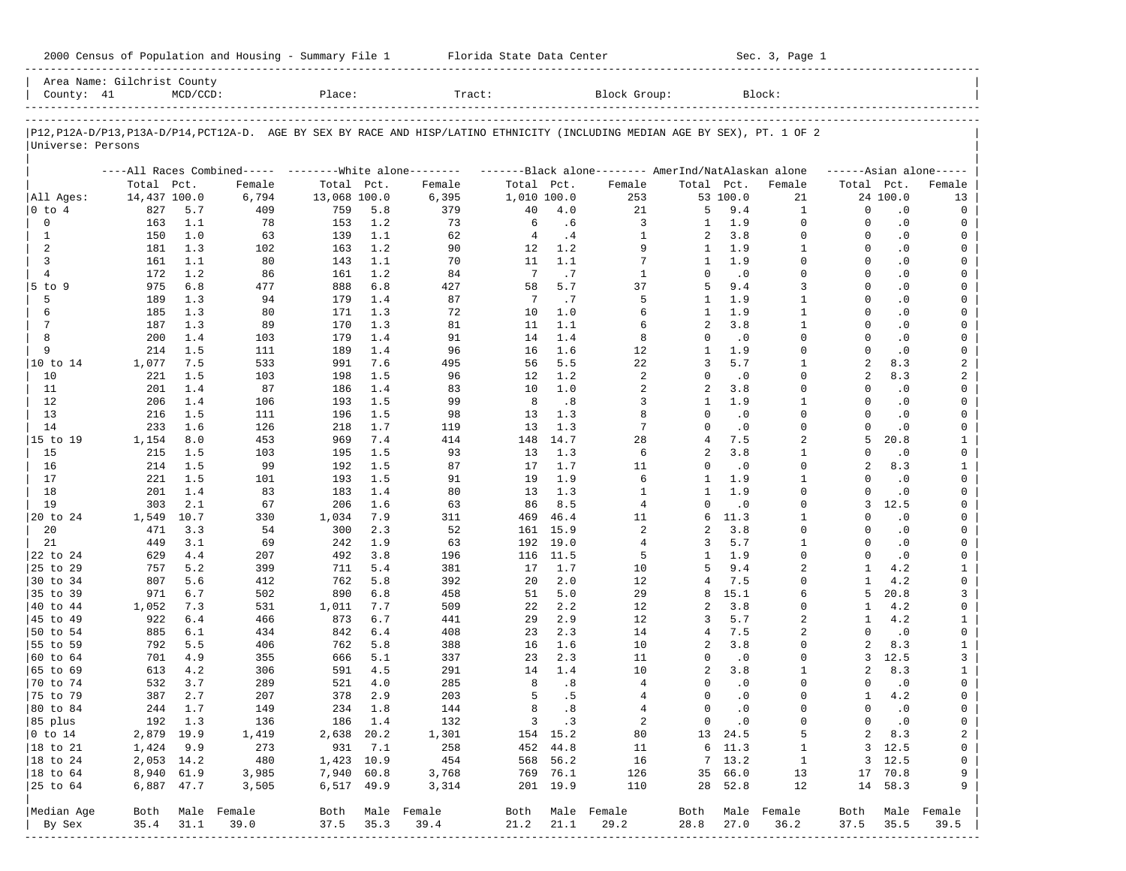| 2000 Census of Population and Housing - Summary File 1 |  | Florida State Data Center | Sec. 3, Page 1 |
|--------------------------------------------------------|--|---------------------------|----------------|
|--------------------------------------------------------|--|---------------------------|----------------|

| County: 41             | Area Name: Gilchrist County | $MCD/CCD$ : |                                                                                                                            | Place:       |            | Tract:           |                 |             | Block Group:                                        |                              |                  | Block:                       |                      |                        |                     |
|------------------------|-----------------------------|-------------|----------------------------------------------------------------------------------------------------------------------------|--------------|------------|------------------|-----------------|-------------|-----------------------------------------------------|------------------------------|------------------|------------------------------|----------------------|------------------------|---------------------|
|                        |                             |             |                                                                                                                            |              |            |                  |                 |             |                                                     |                              |                  |                              |                      |                        |                     |
| Universe: Persons      |                             |             | P12,P12A-D/P13,P13A-D/P14,PCT12A-D. AGE BY SEX BY RACE AND HISP/LATINO ETHNICITY (INCLUDING MEDIAN AGE BY SEX), PT. 1 OF 2 |              |            |                  |                 |             |                                                     |                              |                  |                              |                      |                        |                     |
|                        |                             |             | ----All Races Combined----- --------White alone--------                                                                    |              |            |                  |                 |             | -------Black alone-------- AmerInd/NatAlaskan alone |                              |                  |                              |                      |                        | $---Asian alone---$ |
|                        | Total Pct.                  |             | Female                                                                                                                     | Total Pct.   |            | Female           | Total Pct.      |             | Female                                              | Total Pct.                   |                  | Female                       | Total Pct.           |                        | Female              |
| All Ages:              | 14,437 100.0                |             | 6,794                                                                                                                      | 13,068 100.0 |            | 6,395            | 1,010 100.0     |             | 253                                                 |                              | 53 100.0         | 21                           |                      | 24 100.0               | 13                  |
| 0 to 4                 | 827                         | 5.7         | 409                                                                                                                        | 759          | 5.8        | 379              | 40              | 4.0         | 21                                                  | 5                            | 9.4              | 1                            | $\mathbf 0$          | $\cdot$ 0              | 0                   |
| 0                      | 163                         | 1.1         | 78                                                                                                                         | 153          | 1.2        | 73               | 6               | .6          | 3                                                   | 1                            | 1.9              | $\mathbf 0$                  | $\Omega$             | $\cdot$ 0              | 0                   |
| 1                      | 150                         | 1.0         | 63                                                                                                                         | 139          | 1.1        | 62               | $\overline{4}$  | .4          | 1                                                   | 2                            | 3.8              | $\Omega$                     | $\Omega$             | $\cdot$ 0              | 0                   |
| 2                      | 181                         | 1.3         | 102                                                                                                                        | 163          | 1.2        | 90               | 12              | 1.2         | 9                                                   | 1                            | 1.9              | $\mathbf{1}$                 | $\Omega$             | $\cdot$ 0              | 0                   |
| 3                      | 161                         | 1.1         | 80                                                                                                                         | 143          | 1.1        | 70               | 11              | 1.1         | 7                                                   | 1                            | 1.9              | $\Omega$                     | $\Omega$             | $\cdot$ 0              | $\mathbf 0$         |
| $\overline{4}$         | 172                         | 1.2         | 86                                                                                                                         | 161          | 1.2        | 84               | $7\phantom{.0}$ | .7          | $\mathbf{1}$                                        | $\Omega$                     | $\cdot$ 0        | $\Omega$                     | $\Omega$             | $\cdot$ 0              | 0                   |
| $5$ to $9$             | 975                         | 6.8         | 477                                                                                                                        | 888          | 6.8        | 427              | 58              | 5.7         | 37                                                  | 5                            | 9.4              | 3                            | $\Omega$             | $\cdot$ 0              | $\mathbf 0$         |
| 5                      | 189                         | 1.3         | 94                                                                                                                         | 179          | 1.4        | 87               | 7               | .7          | 5                                                   | $\mathbf{1}$<br>$\mathbf{1}$ | 1.9<br>1.9       | $\mathbf{1}$<br>$\mathbf{1}$ | $\Omega$<br>$\Omega$ | $\cdot$ 0              | 0                   |
| 6<br>7                 | 185                         | 1.3         | 80                                                                                                                         | 171          | 1.3        | 72               | 10              | 1.0         | 6                                                   | $\overline{a}$               | 3.8              | $\mathbf{1}$                 | $\Omega$             | $\cdot$ 0              | $\mathbf 0$         |
| 8                      | 187                         | 1.3         | 89                                                                                                                         | 170          | 1.3        | 81<br>91         | 11              | 1.1         | 6                                                   | $\Omega$                     |                  | $\Omega$                     | $\Omega$             | $\cdot$ 0              | 0<br>$\mathbf 0$    |
| 9                      | 200                         | 1.4<br>1.5  | 103                                                                                                                        | 179          | 1.4<br>1.4 | 96               | 14<br>16        | 1.4<br>1.6  | 8                                                   | $\mathbf{1}$                 | $\cdot$ 0<br>1.9 | $\Omega$                     | $\Omega$             | $\cdot$ 0<br>$\cdot$ 0 | 0                   |
|                        | 214                         |             | 111                                                                                                                        | 189          | 7.6        |                  | 56              | 5.5         | 12                                                  | 3                            | 5.7              | 1                            | $\overline{a}$       | 8.3                    |                     |
| 10 to 14<br>10         | 1,077                       | 7.5<br>1.5  | 533<br>103                                                                                                                 | 991<br>198   | 1.5        | 495<br>96        | 12              | 1.2         | 22<br>2                                             | $\Omega$                     | $\cdot$ 0        | $\Omega$                     | 2                    | 8.3                    | 2<br>2              |
| 11                     | 221<br>201                  | 1.4         | 87                                                                                                                         | 186          | 1.4        | 83               | 10              | 1.0         | 2                                                   | 2                            | 3.8              | $\Omega$                     | $\Omega$             | $\cdot$ 0              | 0                   |
| 12                     | 206                         | 1.4         | 106                                                                                                                        | 193          | 1.5        | 99               | 8               | .8          | 3                                                   | 1                            | 1.9              | $\mathbf{1}$                 | $\Omega$             | $\cdot$ 0              | 0                   |
| 13                     | 216                         | 1.5         | 111                                                                                                                        | 196          | 1.5        | 98               | 13              | 1.3         | 8                                                   | $\Omega$                     | $\cdot$ 0        | $\Omega$                     | $\Omega$             | $\cdot$ 0              | 0                   |
| 14                     | 233                         | 1.6         | 126                                                                                                                        | 218          | 1.7        | 119              | 13              | 1.3         | 7                                                   | $\Omega$                     | $\cdot$ 0        | $\Omega$                     | $\Omega$             | $\cdot$ 0              | 0                   |
| 15 to 19               | 1,154                       | 8.0         | 453                                                                                                                        | 969          | 7.4        | 414              | 148             | 14.7        | 28                                                  | 4                            | 7.5              | 2                            | 5                    | 20.8                   | $\mathbf{1}$        |
| 15                     | 215                         | 1.5         | 103                                                                                                                        | 195          | 1.5        | 93               | 13              | 1.3         | 6                                                   | 2                            | 3.8              | $\mathbf{1}$                 | $\Omega$             | $\cdot$ 0              | 0                   |
| 16                     | 214                         | 1.5         | 99                                                                                                                         | 192          | 1.5        | 87               | 17              | 1.7         | 11                                                  | $\Omega$                     | $\cdot$ 0        | $\Omega$                     | $\overline{a}$       | 8.3                    | $\mathbf{1}$        |
| 17                     | 221                         | 1.5         | 101                                                                                                                        | 193          | 1.5        | 91               | 19              | 1.9         | 6                                                   | 1                            | 1.9              | $\mathbf{1}$                 | $\Omega$             | $\cdot$ 0              | 0                   |
| 18                     | 201                         | 1.4         | 83                                                                                                                         | 183          | 1.4        | 80               | 13              | 1.3         | 1                                                   | $\mathbf{1}$                 | 1.9              | $\Omega$                     | $\Omega$             | $\cdot$ 0              | $\mathbf 0$         |
| 19                     | 303                         | 2.1         | 67                                                                                                                         | 206          | 1.6        | 63               | 86              | 8.5         | 4                                                   | $\Omega$                     | $\cdot$ 0        | $\Omega$                     | 3                    | 12.5                   | $\mathbf 0$         |
| 20 to 24               | 1,549                       | 10.7        | 330                                                                                                                        | 1,034        | 7.9        | 311              | 469             | 46.4        | 11                                                  | 6                            | 11.3             | 1                            | $\Omega$             | $\cdot$ 0              | 0                   |
| 20                     | 471                         | 3.3         | 54                                                                                                                         | 300          | 2.3        | 52               | 161             | 15.9        | 2                                                   | 2                            | 3.8              | $\Omega$                     | $\Omega$             | $\cdot$ 0              | 0                   |
| 21                     | 449                         | 3.1         | 69                                                                                                                         | 242          | 1.9        | 63               | 192             | 19.0        | 4                                                   | 3                            | 5.7              | $\mathbf{1}$                 | $\Omega$             | $\cdot$ 0              | 0                   |
| 22 to 24               | 629                         | 4.4         | 207                                                                                                                        | 492          | 3.8        | 196              | 116             | 11.5        | 5                                                   | $\mathbf{1}$                 | 1.9              | $\Omega$                     | $\Omega$             | $\cdot$ 0              | 0                   |
| 25 to 29               | 757                         | 5.2         | 399                                                                                                                        | 711          | 5.4        | 381              | 17              | 1.7         | 10                                                  | 5                            | 9.4              | 2                            | $\mathbf{1}$         | 4.2                    | $\mathbf{1}$        |
| 30 to 34               | 807                         | 5.6         | 412                                                                                                                        | 762          | 5.8        | 392              | 20              | 2.0         | 12                                                  | 4                            | 7.5              | $\Omega$                     | $\mathbf{1}$         | 4.2                    | 0                   |
| 35 to 39               | 971                         | 6.7         | 502                                                                                                                        | 890          | 6.8        | 458              | 51              | 5.0         | 29                                                  | 8                            | 15.1             | 6                            | 5                    | 20.8                   | 3                   |
| 40 to 44               | 1,052                       | 7.3         | 531                                                                                                                        | 1,011        | 7.7        | 509              | 22              | 2.2         | 12                                                  | 2                            | 3.8              | $\Omega$                     | 1                    | 4.2                    | 0                   |
| 45 to 49               | 922                         | 6.4         | 466                                                                                                                        | 873          | 6.7        | 441              | 29              | 2.9         | 12                                                  | 3                            | 5.7              | 2                            | 1                    | 4.2                    | $\mathbf{1}$        |
| 50 to 54               | 885                         | 6.1         | 434                                                                                                                        | 842          | $6.4$      | 408              | 23              | 2.3         | 14                                                  | 4                            | 7.5              | $\overline{a}$               | $\Omega$             | $\cdot$ 0              | 0                   |
| 55 to 59               | 792                         | 5.5         | 406                                                                                                                        | 762          | 5.8        | 388              | 16              | 1.6         | 10                                                  | 2                            | 3.8              | $\Omega$                     | $\mathfrak{D}$       | 8.3                    | $\mathbf{1}$        |
| 60 to 64               | 701                         | 4.9         | 355                                                                                                                        | 666          | 5.1        | 337              | 23              | 2.3         | 11                                                  | 0                            | $\cdot$ 0        | $\Omega$                     | 3                    | 12.5                   | 3                   |
| 65 to 69               | 613                         | 4.2         | 306                                                                                                                        | 591          | 4.5        | 291              | 14              | 1.4         | 10                                                  | 2                            | 3.8              | 1                            | 2                    | 8.3                    | $\mathbf{1}$        |
| 70 to 74               | 532                         | 3.7         | 289                                                                                                                        | 521          | 4.0        | 285              | 8               | .8          | 4                                                   | $\Omega$                     | $\cdot$ 0        | $\Omega$                     | $\Omega$             | $\cdot$ 0              | 0                   |
| 75 to 79               | 387                         | 2.7         | 207                                                                                                                        | 378          | 2.9        | 203              | 5               | .5          | 4                                                   | $\Omega$                     | $\cdot$ 0        | $\Omega$                     | 1                    | 4.2                    | 0                   |
| 80 to 84               | 244                         | 1.7         | 149                                                                                                                        | 234          | 1.8        | 144              | 8               | .8          | 4                                                   | 0                            | $\cdot$ 0        | $\Omega$                     | $\Omega$             | $\cdot$ 0              | 0                   |
| 85 plus                |                             | 192 1.3     | 136                                                                                                                        |              | 186 1.4    | 132              |                 | $3 \cdot 3$ | 2                                                   |                              | $0 \qquad .0$    | 0                            | $\mathbf{0}$         | $\cdot$ 0              | 0                   |
| $ 0 \t\t \text{to} 14$ | 2,879 19.9                  |             | 1,419                                                                                                                      | 2,638 20.2   |            | 1,301            |                 | 154 15.2    | 80                                                  |                              | 13 24.5          | 5                            | 2                    | 8.3                    | 2                   |
| 18 to 21               | 1,424 9.9                   |             | 273                                                                                                                        | 931          | 7.1        | 258              |                 | 452 44.8    | 11                                                  |                              | 6 11.3           | $\mathbf{1}$                 |                      | 3 12.5                 | 0                   |
| 18 to 24               | 2,053 14.2                  |             | 480                                                                                                                        | 1,423 10.9   |            | 454              |                 | 568 56.2    | 16                                                  |                              | 7, 13.2          | $\overline{1}$               |                      | 3, 12.5                | 0                   |
| $ 18$ to $64$          | 8,940 61.9                  |             | 3,985                                                                                                                      | 7,940 60.8   |            | 3,768            |                 | 769 76.1    | 126                                                 |                              | 35 66.0          | 13                           |                      | 17 70.8                | 9                   |
| 25 to 64               | 6,887 47.7                  |             | 3,505                                                                                                                      | 6,517 49.9   |            | 3,314            |                 | 201 19.9    | 110                                                 |                              | 28 52.8          | 12                           |                      | 14 58.3                | 9                   |
| Median Age             | Both                        |             | Male Female                                                                                                                |              |            | Both Male Female |                 |             | Both Male Female                                    | Both                         |                  | Male Female                  | Both                 |                        | Male Female         |
| By Sex                 | 35.4                        | 31.1        | 39.0                                                                                                                       | 37.5         | 35.3       | 39.4             | 21.2            | 21.1        | 29.2                                                | 28.8                         | 27.0             | 36.2                         | 37.5                 | 35.5                   | 39.5                |
|                        |                             |             |                                                                                                                            |              |            |                  |                 |             |                                                     |                              |                  |                              |                      |                        |                     |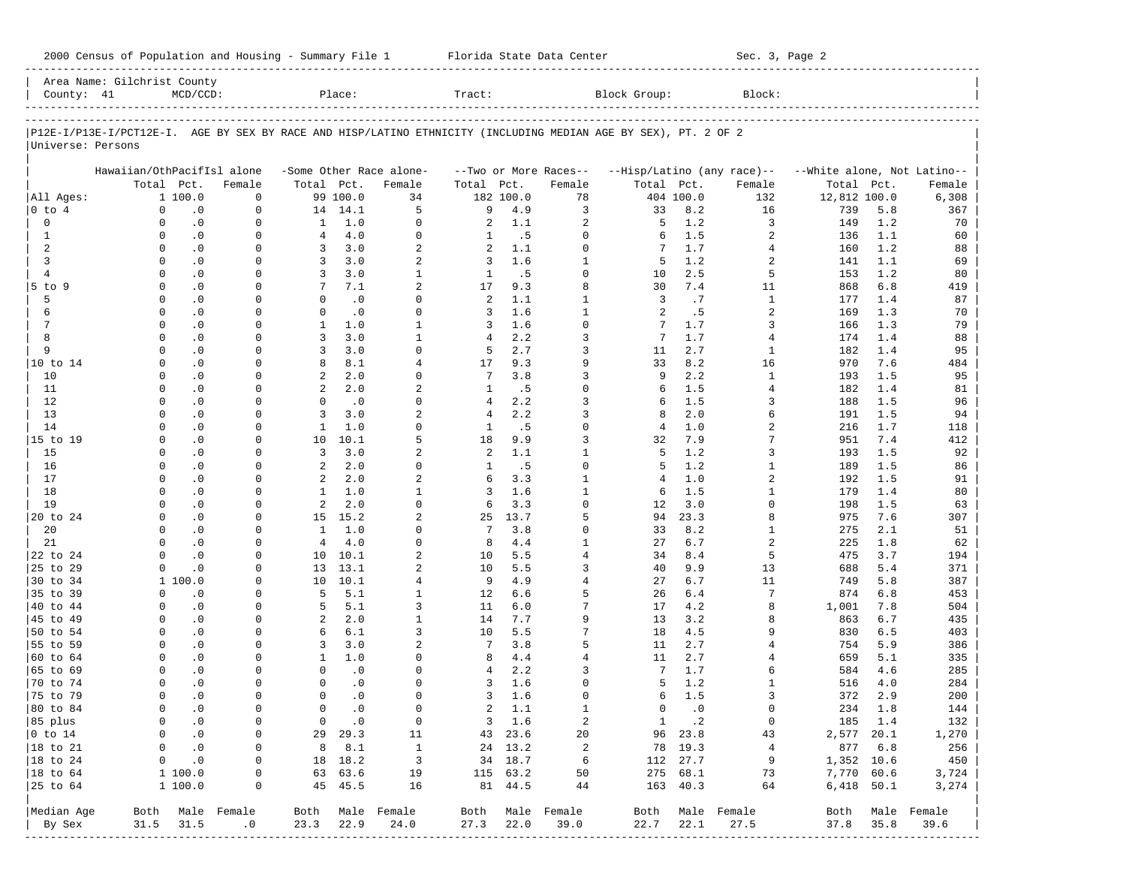| 2000 Census of Population and Housing - Summary File 1 |  | Florida State Data Center | Sec. 3, Page 2 |
|--------------------------------------------------------|--|---------------------------|----------------|
|--------------------------------------------------------|--|---------------------------|----------------|

| County: 41<br>P12E-I/P13E-I/PCT12E-I. AGE BY SEX BY RACE AND HISP/LATINO ETHNICITY (INCLUDING MEDIAN AGE BY SEX), PT. 2 OF 2<br>Universe: Persons |                            | $MCD/CCD$ :   |                  |                | Place:        |                         | Tract:         |           |                       | Block Group:   |           | Block:                     |                             |              |                  |
|---------------------------------------------------------------------------------------------------------------------------------------------------|----------------------------|---------------|------------------|----------------|---------------|-------------------------|----------------|-----------|-----------------------|----------------|-----------|----------------------------|-----------------------------|--------------|------------------|
|                                                                                                                                                   |                            |               |                  |                |               |                         |                |           |                       |                |           |                            |                             |              |                  |
|                                                                                                                                                   |                            |               |                  |                |               |                         |                |           |                       |                |           |                            |                             |              |                  |
|                                                                                                                                                   |                            |               |                  |                |               |                         |                |           |                       |                |           |                            |                             |              |                  |
|                                                                                                                                                   | Hawaiian/OthPacifIsl alone |               |                  |                |               | -Some Other Race alone- |                |           | --Two or More Races-- |                |           | --Hisp/Latino (any race)-- | --White alone, Not Latino-- |              |                  |
|                                                                                                                                                   | Total Pct.                 |               | Female           | Total Pct.     |               | Female                  | Total Pct.     |           | Female                | Total Pct.     |           | Female                     | Total Pct.                  |              | Female           |
| All Ages:                                                                                                                                         |                            | 1 100.0       | $\mathbf 0$      |                | 99 100.0      | 34                      |                | 182 100.0 | 78                    |                | 404 100.0 | 132                        | 12,812 100.0                |              | 6,308            |
| $0$ to $4$                                                                                                                                        | $\mathbf 0$                | $\cdot$ 0     | $\mathbf 0$      |                | 14 14.1       | 5                       | 9              | 4.9       | 3                     | 33             | 8.2       | 16                         | 739                         | 5.8          | 367              |
| 0                                                                                                                                                 | $\Omega$                   | $\cdot$ 0     | $\mathbf 0$      | 1              | 1.0           | $\Omega$                | 2              | 1.1       | 2                     | 5              | 1.2       | 3                          | 149                         | 1.2          | 70               |
| 1                                                                                                                                                 | $\Omega$                   | $\cdot$ 0     | $\Omega$         | $\overline{4}$ | 4.0           | $\Omega$                | 1              | .5        | 0                     | 6              | 1.5       | 2                          | 136                         | 1.1          | 60               |
| 2                                                                                                                                                 | $\Omega$                   | $\cdot$ 0     | 0                | 3              | 3.0           | $\overline{a}$          | 2              | 1.1       | $\Omega$              | 7              | 1.7       | 4                          | 160                         | 1.2          | 88               |
| 3                                                                                                                                                 | $\Omega$                   | $\cdot$ 0     | $\Omega$         | 3              | 3.0           | 2                       | 3              | 1.6       | 1                     | 5              | 1.2       | 2                          | 141                         | 1.1          | 69               |
| $\overline{4}$                                                                                                                                    | $\Omega$                   | $\cdot$ 0     | $\Omega$         | 3              | 3.0           | $\mathbf{1}$            | 1              | .5        | $\Omega$              | 10             | 2.5       | 5                          | 153                         | 1.2          | 80               |
| 5 to 9                                                                                                                                            | $\Omega$                   | $\cdot$ 0     | $\Omega$         | 7              | 7.1           | $\overline{a}$          | 17             | 9.3       | 8                     | 30             | 7.4       | 11                         | 868                         | 6.8          | 419              |
| 5                                                                                                                                                 | $\Omega$                   | $\cdot$ 0     | $\Omega$         | $\Omega$       | $\cdot$ 0     | $\Omega$                | 2              | 1.1       | $\mathbf{1}$          | 3              | .7        | $\mathbf{1}$               | 177                         | 1.4          | 87               |
| 6                                                                                                                                                 | $\Omega$                   | $\cdot$ 0     | 0                | $\Omega$       | $\cdot$ 0     | $\Omega$                | 3              | 1.6       | $\mathbf{1}$          | 2              | .5        | 2                          | 169                         | 1.3          | 70               |
| 7                                                                                                                                                 | $\mathbf 0$                | $\cdot$ 0     | $\Omega$         | $\mathbf{1}$   | 1.0           | $\mathbf{1}$            | 3              | 1.6       | $\Omega$              | 7              | 1.7       | 3                          | 166                         | 1.3          | 79               |
| 8                                                                                                                                                 | $\Omega$                   | $\cdot$ 0     | $\Omega$         | 3              | 3.0           | $\mathbf{1}$            | 4              | 2.2       | 3                     | 7              | 1.7       | 4                          | 174                         | 1.4          | 88               |
| 9                                                                                                                                                 | $\Omega$                   | $\cdot$ 0     | $\Omega$         | 3              | 3.0           | $\Omega$                | 5              | 2.7       | 3                     | 11             | 2.7       | $\mathbf{1}$               | 182                         | 1.4          | 95               |
| 10 to 14                                                                                                                                          | $\Omega$                   | $\cdot$ 0     | $\Omega$         | 8              | 8.1           | 4                       | 17             | 9.3       | 9                     | 33             | 8.2       | 16                         | 970                         | 7.6          | 484              |
| 10                                                                                                                                                | $\Omega$                   | $\cdot$ 0     | $\Omega$         | 2              | 2.0           | $\Omega$                | 7              | 3.8       | 3                     | 9              | 2.2       | $\mathbf{1}$               | 193                         | 1.5          | 95               |
| 11                                                                                                                                                | $\Omega$                   | $\cdot$ 0     | $\Omega$         | 2              | 2.0           | $\overline{a}$          | 1              | .5        | $\Omega$              | 6              | 1.5       | $\overline{4}$             | 182                         | 1.4          | 81               |
| 12                                                                                                                                                | $\Omega$                   | $\cdot$ 0     | $\Omega$         | $\Omega$       | $\cdot$ 0     | $\Omega$                | 4              | 2.2       | 3                     | 6              | 1.5       | 3                          | 188                         | 1.5          | 96               |
| 13                                                                                                                                                | $\Omega$                   | $\cdot$ 0     | $\Omega$         | 3              | 3.0           | $\overline{a}$          | $\overline{4}$ | 2.2       | 3                     | 8              | 2.0       | 6                          | 191                         | 1.5          | 94               |
| 14                                                                                                                                                | $\Omega$                   | $\cdot$ 0     | $\Omega$         | $\mathbf{1}$   | 1.0           | $\Omega$                | 1              | .5        | $\Omega$              | $\overline{4}$ | 1.0       | 2                          | 216                         | 1.7          | 118              |
| 15 to 19                                                                                                                                          | $\Omega$                   | $\cdot$ 0     | $\Omega$         | 10             | 10.1          | 5                       | 18             | 9.9       | 3                     | 32             | 7.9       | 7                          | 951                         | 7.4          | 412              |
| 15                                                                                                                                                | $\Omega$                   | $\cdot$ 0     | $\Omega$         | $\overline{3}$ | 3.0           | $\overline{a}$          | 2              | 1.1       | $\mathbf{1}$          | 5              | 1.2       | 3                          | 193                         | 1.5          | 92               |
| 16                                                                                                                                                | $\Omega$                   | $\cdot$ 0     | $\Omega$         | 2              | 2.0           | $\Omega$                | 1              | .5        | $\Omega$              | 5              | 1.2       | 1                          | 189                         | 1.5          | 86               |
| 17                                                                                                                                                | $\Omega$                   | $\cdot$ 0     | $\Omega$         | 2              | 2.0           | $\overline{a}$          | 6              | 3.3       | $\mathbf{1}$          | $\overline{4}$ | 1.0       | 2                          | 192                         | 1.5          | 91               |
| 18                                                                                                                                                | $\Omega$                   | $\cdot$ 0     | $\Omega$         | $\mathbf{1}$   | 1.0           | $\mathbf{1}$            | 3              | 1.6       | $\mathbf{1}$          | 6              | 1.5       | $\mathbf{1}$               | 179                         | 1.4          | 80               |
| 19                                                                                                                                                | $\Omega$                   | $\cdot$ 0     | $\Omega$         | 2              | 2.0           | $\Omega$                | 6              | 3.3       | $\Omega$              | 12             | 3.0       | <sup>0</sup>               | 198                         | 1.5          | 63               |
| 20 to 24                                                                                                                                          | $\Omega$                   | $\cdot$ 0     | $\Omega$         |                | 15 15.2       | $\overline{a}$          | 25             | 13.7      | 5                     | 94             | 23.3      | 8                          | 975                         | 7.6          | 307              |
| 20                                                                                                                                                | $\Omega$                   | $\cdot$ 0     | $\Omega$         | $\mathbf{1}$   | 1.0           | $\Omega$                | 7              | 3.8       | 0                     | 33             | 8.2       | 1                          | 275                         | 2.1          | 51               |
| 21                                                                                                                                                | $\Omega$                   | $\cdot$ 0     | $\Omega$         | $\overline{4}$ | 4.0           | $\Omega$                | 8              | 4.4       | $\mathbf{1}$          | 27             | 6.7       | $\overline{2}$             | 225                         | 1.8          | 62               |
| 22 to 24                                                                                                                                          | $\Omega$                   | $\cdot$ 0     | $\Omega$         | 10             | 10.1          | $\overline{a}$          | 10             | 5.5       | $\overline{4}$        | 34             | 8.4       | 5                          | 475                         | 3.7          | 194              |
| 25 to 29                                                                                                                                          | $\Omega$                   | $\cdot$ 0     | $\Omega$         | 13             | 13.1          | 2                       | 10             | 5.5       | 3                     | 40             | 9.9       | 13                         | 688                         | 5.4          | 371              |
| 30 to 34                                                                                                                                          |                            | 1 100.0       | $\Omega$         | 10             | 10.1          | $\overline{4}$          | 9              | 4.9       | $\overline{4}$        | 27             | 6.7       | 11                         | 749                         | 5.8          | 387              |
| 35 to 39                                                                                                                                          | $\Omega$                   | $\cdot$ 0     | $\Omega$         | 5              | 5.1           | $\mathbf{1}$            | 12             | 6.6       | 5                     | 26             | 6.4       | 7                          | 874                         | 6.8          | 453              |
| 40 to 44                                                                                                                                          | $\Omega$                   | $\cdot$ 0     | $\Omega$         | 5              | 5.1           | 3                       | 11             | 6.0       | 7                     | 17             | 4.2       | 8                          | 1,001                       | 7.8          | 504              |
| 45 to 49                                                                                                                                          | $\Omega$                   | $\cdot$ 0     | 0                | 2              | 2.0           | $\mathbf{1}$            | 14             | 7.7       | 9                     | 13             | 3.2       | 8                          | 863                         | 6.7          | 435              |
| 50 to 54                                                                                                                                          | $\Omega$                   | $\cdot$ 0     | 0                | 6              | $6.1$         | 3                       | 10             | 5.5       | 7                     | 18             | 4.5       | 9                          | 830                         | 6.5          | 403              |
| 55 to 59                                                                                                                                          | $\Omega$                   | $\cdot$ 0     | $\Omega$         | 3              | 3.0           | $\overline{a}$          | 7              | 3.8       | 5                     | 11             | 2.7       | 4                          | 754                         | 5.9          | 386              |
| 60 to 64                                                                                                                                          | $\Omega$                   | $\cdot$ 0     | 0                | $\mathbf{1}$   | 1.0           | $\Omega$                | 8              | 4.4       | $\overline{4}$        | 11             | 2.7       | 4                          | 659                         | 5.1          | 335              |
| 65 to 69                                                                                                                                          | $\Omega$                   | $\cdot$ 0     | $\Omega$         | $\Omega$       | $\cdot$ 0     | $\Omega$                | 4              | 2.2       | 3                     | 7              | 1.7       | 6                          | 584                         | 4.6          | 285              |
| 70 to 74                                                                                                                                          | $\Omega$                   | $\cdot$ 0     | $\Omega$         | $\mathbf 0$    | $\cdot$ 0     | $\Omega$                | 3              | 1.6       | $\Omega$              | 5              | 1.2       | 1                          | 516                         | 4.0          | 284              |
| 75 to 79                                                                                                                                          | $\Omega$                   | $\cdot$ 0     | $\Omega$         | $\Omega$       | $\cdot$ 0     | $\Omega$                | 3              | 1.6       | $\Omega$              | 6              | 1.5       | 3                          | 372                         | 2.9          | 200              |
| 80 to 84                                                                                                                                          | $\Omega$                   | $\cdot$ 0     | $\mathbf 0$      | $\mathbf 0$    | $\cdot$ 0     | $\Omega$                | 2              | 1.1       | $\mathbf{1}$          | $\Omega$       | $\cdot$ 0 | 0                          | 234                         | 1.8          | 144              |
| 85 plus                                                                                                                                           | $\overline{0}$             | $\cdot$ 0     | $\circ$          |                | $0 \qquad .0$ | $\overline{0}$          |                | $3 \t1.6$ | 2                     |                | 1 .2      | $\overline{0}$             | 185 1.4                     |              | 132              |
| $ 0 \t{to} 14$                                                                                                                                    | 0                          | $\cdot$ 0     | 0                |                | 29 29.3       | 11                      |                | 43 23.6   | 20                    |                | 96 23.8   | 43                         | 2,577 20.1                  |              | 1,270            |
| $ 18 \text{ to } 21$                                                                                                                              | $\overline{0}$             | $\ddotsc 0$   | $\circ$          |                | 8 8.1         | $\mathbf{1}$            |                | 24 13.2   | 2                     |                | 78 19.3   | $\overline{4}$             | 877 6.8                     |              | 256              |
| $ 18 \text{ to } 24$                                                                                                                              |                            | $0 \qquad .0$ | 0                |                | 18 18.2       | $\overline{\mathbf{3}}$ |                | 34 18.7   | 6                     |                | 112 27.7  | 9                          | 1,352 10.6                  |              | 450              |
| $ 18 \text{ to } 64$                                                                                                                              |                            | 1 100.0       | 0                |                | 63 63.6       | 19                      |                | 115 63.2  | 50                    |                | 275 68.1  | 73                         | 7,770 60.6                  |              | 3,724            |
| $ 25$ to $64$                                                                                                                                     |                            | 1 100.0       | 0                |                | 45 45.5       | 16                      |                | 81 44.5   | 44                    |                | 163 40.3  | 64                         |                             | $6,418$ 50.1 | 3,274            |
| Median Age                                                                                                                                        |                            |               | Both Male Female |                |               | Both Male Female        |                |           | Both Male Female      |                |           | Both Male Female           |                             |              | Both Male Female |
| By Sex                                                                                                                                            | 31.5                       | 31.5          | $\cdot$ 0        | 23.3           | 22.9          | 24.0                    | $27.3$ $22.0$  |           | 39.0                  | 22.7           | 22.1      | 27.5                       | 37.8 35.8                   |              | 39.6             |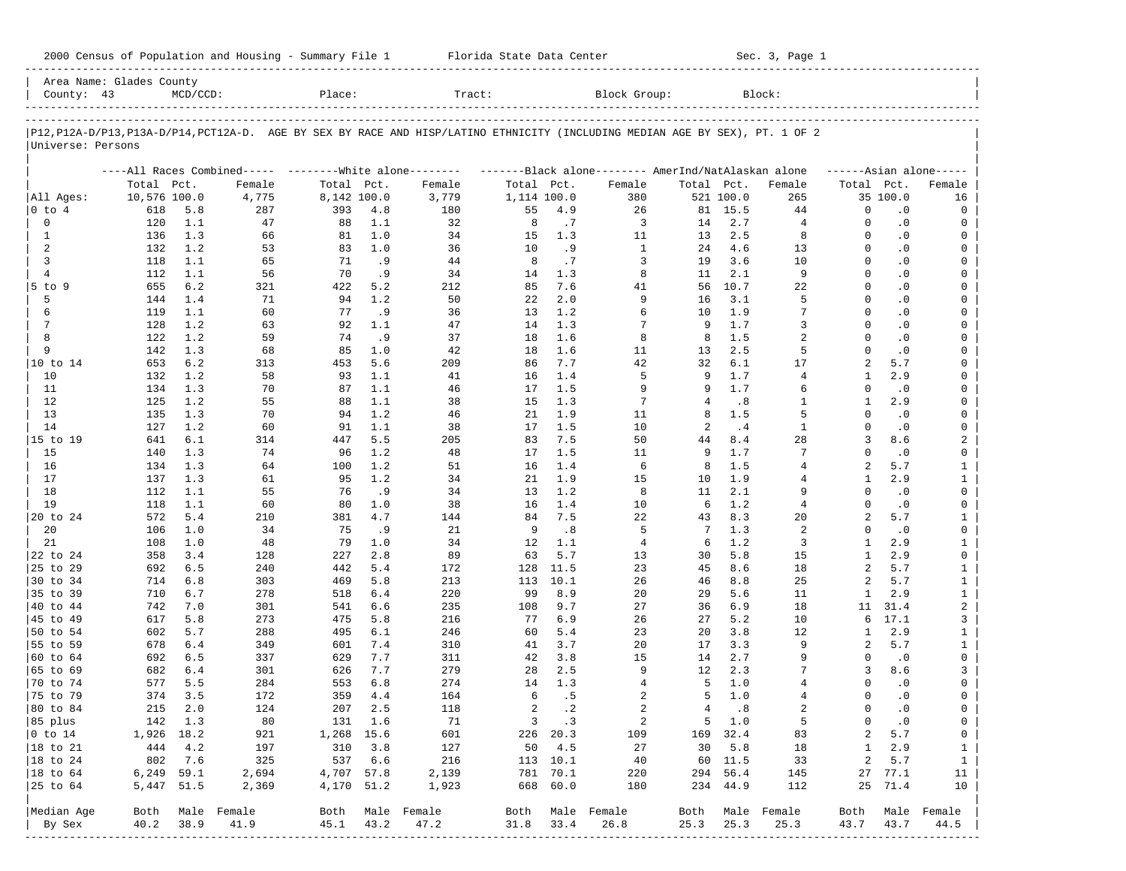| 2000 Census of Population and Housing - Summary File 1 |  | Florida State Data Center | Sec. 3, Page 1 |
|--------------------------------------------------------|--|---------------------------|----------------|
|--------------------------------------------------------|--|---------------------------|----------------|

| County: 43             | Area Name: Glades County | $MCD/CCD$ : |                                                         | Place:      |         | Tract:                                                                                                                     |             |             | Block Group:                                        |                |           | Block:           |                |           |                         |
|------------------------|--------------------------|-------------|---------------------------------------------------------|-------------|---------|----------------------------------------------------------------------------------------------------------------------------|-------------|-------------|-----------------------------------------------------|----------------|-----------|------------------|----------------|-----------|-------------------------|
|                        |                          |             |                                                         |             |         |                                                                                                                            |             |             |                                                     |                |           |                  |                |           |                         |
|                        |                          |             |                                                         |             |         | P12,P12A-D/P13,P13A-D/P14,PCT12A-D. AGE BY SEX BY RACE AND HISP/LATINO ETHNICITY (INCLUDING MEDIAN AGE BY SEX), PT. 1 OF 2 |             |             |                                                     |                |           |                  |                |           |                         |
| Universe: Persons      |                          |             |                                                         |             |         |                                                                                                                            |             |             |                                                     |                |           |                  |                |           |                         |
|                        |                          |             | ----All Races Combined----- --------White alone-------- |             |         |                                                                                                                            |             |             | -------Black alone-------- AmerInd/NatAlaskan alone |                |           |                  |                |           | $---Asian alone---$     |
|                        | Total Pct.               |             | Female                                                  | Total Pct.  |         | Female                                                                                                                     | Total Pct.  |             | Female                                              | Total Pct.     |           | Female           | Total Pct.     |           | Female                  |
| All Ages:              | 10,576 100.0             |             | 4,775                                                   | 8,142 100.0 |         | 3,779                                                                                                                      | 1,114 100.0 |             | 380                                                 |                | 521 100.0 | 265              |                | 35 100.0  | 16                      |
| 0 to 4                 | 618                      | 5.8         | 287                                                     | 393         | 4.8     | 180                                                                                                                        | 55          | 4.9         | 26                                                  |                | 81 15.5   | 44               | $\Omega$       | $\cdot$ 0 | 0                       |
| 0                      | 120                      | 1.1         | 47                                                      | 88          | 1.1     | 32                                                                                                                         | 8           | .7          | 3                                                   | 14             | 2.7       | $\overline{4}$   | $\Omega$       | $\cdot$ 0 | 0                       |
| $\mathbf{1}$           | 136                      | 1.3         | 66                                                      | 81          | 1.0     | 34                                                                                                                         | 15          | 1.3         | 11                                                  | 13             | 2.5       | 8                | $\Omega$       | $\cdot$ 0 | 0                       |
| 2                      | 132                      | 1.2         | 53                                                      | 83          | 1.0     | 36                                                                                                                         | 10          | .9          | 1                                                   | 24             | 4.6       | 13               | $\Omega$       | $\cdot$ 0 | 0                       |
| 3                      | 118                      | 1.1         | 65                                                      | 71          | .9      | 44                                                                                                                         | 8           | .7          | 3                                                   | 19             | 3.6       | 10               | $\Omega$       | $\cdot$ 0 | $\mathbf 0$             |
| $\overline{4}$         | 112                      | 1.1         | 56                                                      | 70          | .9      | 34                                                                                                                         | 14          | 1.3         | 8                                                   | 11             | 2.1       | 9                | $\Omega$       | $\cdot$ 0 | 0                       |
| $5$ to $9$             | 655                      | 6.2         | 321                                                     | 422         | 5.2     | 212                                                                                                                        | 85          | 7.6         | 41                                                  | 56             | 10.7      | 22               | $\Omega$       | $\cdot$ 0 | 0                       |
| 5                      | 144                      | 1.4         | 71                                                      | 94          | 1.2     | 50                                                                                                                         | 22          | 2.0         | 9                                                   | 16             | 3.1       | 5                | $\Omega$       | $\cdot$ 0 | 0                       |
| 6                      | 119                      | 1.1         | 60                                                      | 77          | .9      | 36                                                                                                                         | 13          | 1.2         | 6                                                   | 10             | 1.9       | 7                | $\Omega$       | $\cdot$ 0 | $\mathbf 0$             |
| 7                      | 128                      | 1.2         | 63                                                      | 92          | 1.1     | 47                                                                                                                         | 14          | 1.3         | 7                                                   | 9              | 1.7       | 3                | $\Omega$       | $\cdot$ 0 | 0                       |
| 8                      | 122                      | 1.2         | 59                                                      | 74          | .9      | 37                                                                                                                         | 18          | 1.6         | 8                                                   | 8              | 1.5       | 2                | $\Omega$       | $\cdot$ 0 | $\mathbf 0$             |
| 9                      | 142                      | 1.3         | 68                                                      | 85          | 1.0     | 42                                                                                                                         | 18          | 1.6         | 11                                                  | 13             | 2.5       | 5                | $\Omega$       | $\cdot$ 0 | 0                       |
| 10 to 14               | 653                      | 6.2         | 313                                                     | 453         | 5.6     | 209                                                                                                                        | 86          | 7.7         | 42                                                  | 32             | 6.1       | 17               | $\overline{a}$ | 5.7       | 0                       |
| 10                     | 132                      | 1.2         | 58                                                      | 93          | 1.1     | 41                                                                                                                         | 16          | 1.4         | 5                                                   | 9              | 1.7       | $\overline{4}$   | $\mathbf{1}$   | 2.9       | 0                       |
| 11                     | 134                      | 1.3         | 70                                                      | 87          | 1.1     | 46                                                                                                                         | 17          | 1.5         | 9                                                   | 9              | 1.7       | 6                | $\Omega$       | $\cdot$ 0 | 0                       |
| 12                     | 125                      | 1.2         | 55                                                      | 88          | 1.1     | 38                                                                                                                         | 15          | 1.3         | 7                                                   | 4              | .8        | $\mathbf{1}$     | 1              | 2.9       | 0                       |
| 13                     | 135                      | 1.3         | 70                                                      | 94          | 1.2     | 46                                                                                                                         | 21          | 1.9         | 11                                                  | 8              | 1.5       | 5                | $\Omega$       | $\cdot$ 0 | 0                       |
| 14                     | 127                      | 1.2         | 60                                                      | 91          | 1.1     | 38                                                                                                                         | 17          | 1.5         | 10                                                  | 2              | .4        | $\mathbf{1}$     | $\Omega$       | $\cdot$ 0 | 0                       |
| 15 to 19               | 641                      | 6.1         | 314                                                     | 447         | 5.5     | 205                                                                                                                        | 83          | 7.5         | 50                                                  | 44             | 8.4       | 28               | 3              | 8.6       | 2                       |
| 15                     | 140                      | 1.3         | 74                                                      | 96          | 1.2     | 48                                                                                                                         | 17          | 1.5         | 11                                                  | 9              | 1.7       | 7                | $\Omega$       | $\cdot$ 0 | 0                       |
| 16                     | 134                      | 1.3         | 64                                                      | 100         | 1.2     | 51                                                                                                                         | 16          | 1.4         | 6                                                   | 8              | 1.5       | 4                | $\overline{a}$ | 5.7       | $\mathbf{1}$            |
| 17                     | 137                      | 1.3         | 61                                                      | 95          | 1.2     | 34                                                                                                                         | 21          | 1.9         | 15                                                  | 10             | 1.9       | $\overline{4}$   | $\mathbf{1}$   | 2.9       | $\mathbf{1}$            |
| 18                     | 112                      | 1.1         | 55                                                      | 76          | .9      | 34                                                                                                                         | 13          | 1.2         | 8                                                   | 11             | 2.1       | 9                | $\Omega$       | $\cdot$ 0 | $\mathsf{O}$            |
| 19                     | 118                      | 1.1         | 60                                                      | 80          | 1.0     | 38                                                                                                                         | 16          | 1.4         | 10                                                  | 6              | 1.2       | $\overline{4}$   | $\Omega$       | $\cdot$ 0 | 0                       |
| 20 to 24               | 572                      | 5.4         | 210                                                     | 381         | 4.7     | 144                                                                                                                        | 84          | 7.5         | 22                                                  | 43             | 8.3       | 20               | $\overline{a}$ | 5.7       | $\mathbf{1}$            |
| 20                     | 106                      | 1.0         | 34                                                      | 75          | .9      | 21                                                                                                                         | 9           | .8          | 5                                                   | 7              | 1.3       | 2                | $\Omega$       | $\cdot$ 0 | 0                       |
| 21                     | 108                      | 1.0         | 48                                                      | 79          | 1.0     | 34                                                                                                                         | 12          | 1.1         | 4                                                   | 6              | 1.2       | 3                | -1             | 2.9       | $\mathbf{1}$            |
| 22 to 24               | 358                      | 3.4         | 128                                                     | 227         | 2.8     | 89                                                                                                                         | 63          | 5.7         | 13                                                  | 30             | $5.8$     | 15               | $\mathbf{1}$   | 2.9       | 0                       |
| 25 to 29               | 692                      | 6.5         | 240                                                     | 442         | 5.4     | 172                                                                                                                        | 128         | 11.5        | 23                                                  | 45             | 8.6       | 18               | $\overline{a}$ | 5.7       | $\mathbf{1}$            |
| 30 to 34               | 714                      | 6.8         | 303                                                     | 469         | 5.8     | 213                                                                                                                        | 113         | 10.1        | 26                                                  | 46             | 8.8       | 25               | $\overline{a}$ | 5.7       | $\mathbf{1}$            |
| 35 to 39               | 710                      | 6.7         | 278                                                     | 518         | 6.4     | 220                                                                                                                        | 99          | 8.9         | 20                                                  | 29             | 5.6       | 11               | 1              | 2.9       | $\mathbf{1}$            |
| 40 to 44               | 742                      | 7.0         | 301                                                     | 541         | 6.6     | 235                                                                                                                        | 108         | 9.7         | 27                                                  | 36             | 6.9       | 18               | 11             | 31.4      | $\overline{\mathbf{c}}$ |
| 45 to 49               | 617                      | 5.8         | 273                                                     | 475         | 5.8     | 216                                                                                                                        | 77          | 6.9         | 26                                                  | 27             | 5.2       | 10               | 6              | 17.1      | 3                       |
| 50 to 54               | 602                      | 5.7         | 288                                                     | 495         | 6.1     | 246                                                                                                                        | 60          | 5.4         | 23                                                  | 20             | 3.8       | 12               | 1              | 2.9       | $\mathbf{1}$            |
| 55 to 59               | 678                      | 6.4         | 349                                                     | 601         | 7.4     | 310                                                                                                                        | 41          | 3.7         | 20                                                  | 17             | 3.3       | 9                | 2              | 5.7       | $\mathbf{1}$            |
| 60 to 64               | 692                      | 6.5         | 337                                                     | 629         | 7.7     | 311                                                                                                                        | 42          | 3.8         | 15                                                  | 14             | 2.7       | 9                | $\Omega$       | $\cdot$ 0 | 0                       |
| 65 to 69               | 682                      | 6.4         | 301                                                     | 626         | 7.7     | 279                                                                                                                        | 28          | 2.5         | 9                                                   | 12             | 2.3       | 7                | 3              | 8.6       | 3                       |
| 70 to 74               | 577                      | 5.5         | 284                                                     | 553         | 6.8     | 274                                                                                                                        | 14          | 1.3         | 4                                                   | -5             | 1.0       | $\overline{4}$   | $\Omega$       | $\cdot$ 0 | 0                       |
| 75 to 79               | 374                      | 3.5         | 172                                                     | 359         | 4.4     | 164                                                                                                                        | 6           | .5          | 2                                                   | 5              | 1.0       | 4                | $\Omega$       | $\cdot$ 0 | 0                       |
| 80 to 84               | 215                      | 2.0         | 124                                                     | 207         | 2.5     | 118                                                                                                                        | 2           | $\cdot$ 2   | $\overline{a}$                                      | $\overline{4}$ | .8        | $\overline{2}$   | $\Omega$       | $\cdot$ 0 | 0                       |
| 85 plus                |                          | 142 1.3     | 80                                                      |             | 131 1.6 | 71                                                                                                                         |             | $3 \cdot 3$ | 2                                                   |                | 5 1.0     | 5                | $\mathbf{0}$   | $\cdot$ 0 | $\overline{0}$          |
| $ 0 \t\t \text{to} 14$ |                          | 1,926 18.2  | 921                                                     | 1,268 15.6  |         | 601                                                                                                                        |             | 226 20.3    | 109                                                 |                | 169 32.4  | 83               | 2              | 5.7       | 0                       |
| 18 to 21               |                          | 444 4.2     | 197                                                     | 310 3.8     |         | 127                                                                                                                        |             | 50 4.5      | 27                                                  |                | 30 5.8    | 18               | $\mathbf{1}$   | 2.9       | $\mathbf{1}$            |
| $ 18$ to $24$          |                          | 802 7.6     | 325                                                     |             | 537 6.6 | 216                                                                                                                        |             | 113 10.1    | 40                                                  |                | 60 11.5   | 33               | 2              | 5.7       | $\mathbf{1}$            |
| $ 18$ to $64$          |                          | 6,249 59.1  | 2,694                                                   | 4,707 57.8  |         | 2,139                                                                                                                      |             | 781 70.1    | 220                                                 |                | 294 56.4  | 145              |                | 27 77.1   | 11                      |
| 25 to 64               |                          | 5,447 51.5  | 2,369                                                   | 4,170 51.2  |         | 1,923                                                                                                                      |             | 668 60.0    | 180                                                 |                | 234 44.9  | 112              |                | 25 71.4   | 10                      |
| Median Age             |                          |             | Both Male Female                                        |             |         | Both Male Female                                                                                                           |             |             | Both Male Female                                    |                |           | Both Male Female | Both           |           | Male Female             |
| By Sex                 | 40.2                     | 38.9        | 41.9                                                    | 45.1 43.2   |         | 47.2                                                                                                                       | 31.8 33.4   |             | 26.8                                                | 25.3           | 25.3      | 25.3             | 43.7           | 43.7      | 44.5                    |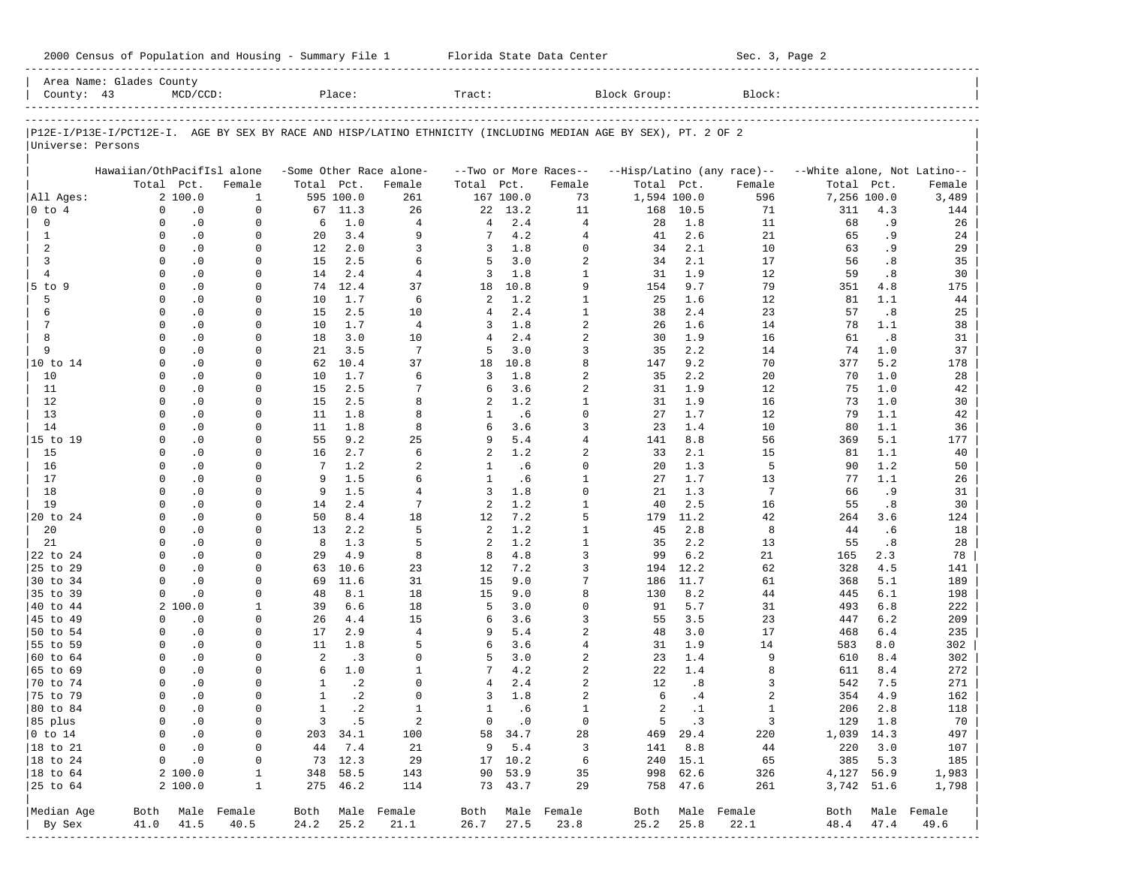|                      | Area Name: Glades County   |                       |                  |                   |              |                          |                |               |                            |                                                                                                                |              |                             |                             |                        |                              |
|----------------------|----------------------------|-----------------------|------------------|-------------------|--------------|--------------------------|----------------|---------------|----------------------------|----------------------------------------------------------------------------------------------------------------|--------------|-----------------------------|-----------------------------|------------------------|------------------------------|
| County: 43           |                            | $MCD/CCD$ :           |                  |                   | Place:       |                          | Tract:         |               |                            | Block Group:                                                                                                   |              | Block:                      |                             |                        |                              |
|                      |                            |                       |                  |                   |              |                          |                |               |                            | P12E-I/P13E-I/PCT12E-I. AGE BY SEX BY RACE AND HISP/LATINO ETHNICITY (INCLUDING MEDIAN AGE BY SEX), PT. 2 OF 2 |              |                             |                             |                        |                              |
| Universe: Persons    |                            |                       |                  |                   |              |                          |                |               |                            |                                                                                                                |              |                             |                             |                        |                              |
|                      | Hawaiian/OthPacifIsl alone |                       |                  |                   |              | -Some Other Race alone-  |                |               | --Two or More Races--      |                                                                                                                |              | --Hisp/Latino (any race)--  | --White alone, Not Latino-- |                        |                              |
|                      |                            | Total Pct.            | Female           | Total Pct.        |              | Female                   | Total Pct.     |               | Female                     | Total Pct.                                                                                                     |              | Female                      | Total                       | Pct.                   | Female                       |
| All Ages:            |                            | 2 100.0               | $\mathbf{1}$     |                   | 595 100.0    | 261                      |                | 167 100.0     | 73                         | 1,594 100.0                                                                                                    |              | 596                         | 7,256 100.0                 |                        | 3,489                        |
| $0$ to $4$           | $\mathbf 0$                | $\cdot$ 0             | $\mathbf 0$      |                   | 67 11.3      | 26                       | 22             | 13.2          | 11                         | 168                                                                                                            | 10.5         | 71                          | 311                         | 4.3                    | 144                          |
| $\mathbf 0$          | $\Omega$                   | $\cdot$ 0             | $\mathbf 0$      | 6                 | 1.0          | $\overline{4}$           | 4              | 2.4           | $\overline{4}$             | 28                                                                                                             | 1.8          | 11                          | 68                          | .9                     | 26                           |
| 1                    | $\Omega$                   | $\cdot$ 0             | $\Omega$         | 20                | 3.4          | 9                        | 7              | 4.2           | $\overline{4}$             | 41                                                                                                             | 2.6          | 21                          | 65                          | .9                     | 24                           |
| 2                    |                            | $\cdot$ 0<br>$\Omega$ | 0                | $12 \overline{ }$ | 2.0          | 3                        | 3              | 1.8           | $\Omega$                   | 34                                                                                                             | 2.1          | 10                          | 63                          | .9                     | 29                           |
| 3                    | $\Omega$                   | $\cdot$ 0             | $\Omega$         | 15                | 2.5          | 6                        | 5              | 3.0           | $\overline{2}$             | 34                                                                                                             | 2.1          | 17                          | 56                          | .8                     | 35                           |
| $\overline{4}$       | $\Omega$                   | $\cdot$ 0             | 0                | 14                | 2.4          | $\overline{4}$           | 3              | 1.8           | $1\,$                      | 31                                                                                                             | 1.9          | 12                          | 59                          | .8                     | 30                           |
| 5 to 9               | $\Omega$                   | $\cdot$ 0             | $\Omega$         | 74                | 12.4         | 37                       | 18             | 10.8          | 9                          | 154                                                                                                            | 9.7          | 79                          | 351                         | 4.8                    | 175                          |
| 5                    | $\Omega$                   | $\cdot$ 0             | 0                | 10                | 1.7          | 6                        | 2              | 1.2           | $1\,$                      | 25                                                                                                             | 1.6          | 12                          | 81                          | 1.1                    | 44                           |
| 6                    | $\Omega$                   | $\cdot$ 0             | $\Omega$         | 15                | 2.5          | 10                       | 4              | 2.4           | $\mathbf{1}$               | 38                                                                                                             | 2.4          | 23                          | 57                          | .8                     | 25                           |
| 7                    | $\Omega$                   | $\cdot$ 0             | 0                | 10                | 1.7          | $\overline{4}$           | 3              | 1.8           | $\overline{a}$             | 26                                                                                                             | 1.6          | 14                          | 78                          | 1.1                    | 38                           |
| 8                    | $\Omega$                   | $\cdot$ 0             | $\Omega$         | 18                | 3.0          | 10                       | $\overline{4}$ | 2.4           | $\overline{2}$             | 30                                                                                                             | 1.9          | 16                          | 61                          | .8                     | 31                           |
| 9                    | $\Omega$                   | $\cdot$ 0             | 0                | 21                | 3.5          | 7                        | 5              | 3.0           | 3                          | 35                                                                                                             | 2.2          | 14                          | 74                          | 1.0                    | 37                           |
| 10 to 14             | $\Omega$                   | $\cdot$ 0             | $\Omega$         | 62                | 10.4         | 37                       | 18             | 10.8          | 8                          | 147                                                                                                            | 9.2          | 70                          | 377                         | 5.2                    | 178                          |
| 10                   | $\Omega$                   | $\cdot$ 0             | $\Omega$         | 10                | 1.7          | 6                        | 3              | 1.8           | $\overline{2}$             | 35                                                                                                             | 2.2          | 20                          | 70                          | 1.0                    | 28                           |
| 11                   | $\Omega$                   | $\cdot$ 0             | $\Omega$         | 15                | 2.5          | 7                        | 6              | 3.6           | $\overline{2}$             | 31                                                                                                             | 1.9          | 12                          | 75                          | 1.0                    | 42                           |
| 12                   | $\Omega$                   | $\cdot$ 0             | $\Omega$         | 15                | 2.5          | 8                        | 2              | 1.2           | $\mathbf{1}$               | 31                                                                                                             | 1.9          | 16                          | 73                          | 1.0                    | 30                           |
| 13                   | $\Omega$                   | $\cdot$ 0             | $\Omega$         | 11                | 1.8          | 8                        | 1              | .6            | $\Omega$                   | 27                                                                                                             | 1.7          | 12                          | 79                          | 1.1                    | 42                           |
| 14                   | $\Omega$                   | $\cdot$ 0             | $\Omega$         | 11                | 1.8          | 8                        | 6              | 3.6           | 3                          | 23                                                                                                             | 1.4          | 10                          | 80                          | 1.1                    | 36                           |
| 15 to 19             | $\Omega$                   | $\cdot$ 0             | $\Omega$         | 55                | 9.2          | 25                       | 9              | 5.4           | $\overline{4}$             | 141                                                                                                            | 8.8          | 56                          | 369                         | 5.1                    | 177                          |
| 15                   | $\Omega$                   | $\cdot$ 0             | $\Omega$         | 16                | 2.7          | 6                        | 2              | 1.2           | $\overline{2}$             | 33                                                                                                             | 2.1          | 15                          | 81                          | 1.1                    | 40                           |
| 16                   | $\Omega$                   | $\cdot$ 0             | $\Omega$         | $7\phantom{.0}$   | 1.2          | $\overline{a}$           | 1              | .6            | $\Omega$                   | 20                                                                                                             | 1.3          | 5                           | 90                          | 1.2                    | 50                           |
| 17                   | $\Omega$                   | $\cdot$ 0             | 0                | 9                 | 1.5          | 6                        | $\mathbf{1}$   | . 6           | $\mathbf{1}$               | 27                                                                                                             | 1.7          | 13                          | 77                          | 1.1                    | 26                           |
| 18                   | $\Omega$                   | $\cdot$ 0             | $\Omega$         | 9                 | 1.5          | 4                        | 3              | 1.8           | $\Omega$                   | 21                                                                                                             | 1.3          | 7                           | 66                          | .9                     | 31                           |
| 19                   | $\Omega$                   | $\cdot$ 0             | 0                | 14                | 2.4          | 7                        | 2              | 1.2           | $\mathbf{1}$               | 40                                                                                                             | 2.5          | 16                          | 55                          | .8                     | 30                           |
| 20 to 24             | <sup>0</sup>               | $\cdot$ 0             | $\Omega$         | 50                | 8.4          | 18                       | 12             | 7.2           | 5                          | 179                                                                                                            | 11.2         | 42                          | 264                         | 3.6                    | 124                          |
| 20                   | $\Omega$                   | $\cdot$ 0             | 0                | 13                | 2.2          | 5                        | 2              | 1.2           | $\mathbf{1}$               | 45                                                                                                             | 2.8          | 8                           | 44                          | .6                     | 18                           |
| 21                   | $\Omega$                   | $\cdot$ 0             | $\Omega$         | 8                 | 1.3          | 5                        | 2              | 1.2           | $1\,$                      | 35                                                                                                             | 2.2          | 13                          | 55                          | $\boldsymbol{\cdot}$ 8 | 28                           |
| 22 to 24             | $\Omega$                   | $\cdot$ 0             | 0                | 29                | 4.9          | 8                        | 8              | 4.8           | 3                          | 99                                                                                                             | 6.2          | 21                          | 165                         | 2.3                    | 78                           |
| 25 to 29             | <sup>0</sup>               | $\cdot$ 0             | $\Omega$         | 63                | 10.6         | 23                       | 12             | 7.2           | 3                          | 194                                                                                                            | 12.2         | 62                          | 328                         | 4.5                    | 141                          |
| 30 to 34             | $\Omega$                   | $\cdot$ 0             | 0                | 69                | 11.6         | 31                       | 15             | 9.0           | 7                          | 186                                                                                                            | 11.7         | 61                          | 368                         | 5.1                    | 189                          |
| 35 to 39             | $\Omega$                   | $\cdot$ 0             | $\Omega$         | 48                | 8.1          | 18                       | 15             | 9.0           | 8                          | 130                                                                                                            | 8.2          | 44                          | 445                         | 6.1                    | 198                          |
| 40 to 44             |                            | 2100.0                | 1                | 39                | 6.6          | 18                       | 5              | 3.0           | $\Omega$                   | 91                                                                                                             | 5.7          | 31                          | 493                         | 6.8                    | 222                          |
| 45 to 49             | $\Omega$                   | $\cdot$ 0             | 0                | 26                | 4.4          | 15                       | 6              | 3.6           | 3                          | 55                                                                                                             | 3.5          | 23                          | 447                         | 6.2                    | 209                          |
| 50 to 54             | $\Omega$                   | $\cdot$ 0             | 0                | 17                | 2.9          | $\overline{4}$           | 9              | 5.4           | $\overline{2}$             | 48                                                                                                             | 3.0          | 17                          | 468                         | $6.4$                  | 235                          |
| 55 to 59             | $\Omega$                   | $\cdot$ 0             | 0                | 11                | 1.8          | 5                        | 6              | 3.6           | $\overline{4}$             | 31                                                                                                             | 1.9          | 14                          | 583                         | 8.0                    | 302                          |
| 60 to 64             | $\Omega$                   | $\cdot$ 0             | 0                | 2                 | .3           | $\Omega$                 | 5              | 3.0           | $\overline{2}$             | 23                                                                                                             | 1.4          | 9                           | 610                         | 8.4                    | 302                          |
| 65 to 69             | $\Omega$                   | $\cdot$ 0             | 0                | 6                 | 1.0          | $\mathbf{1}$<br>$\Omega$ | 7              | 4.2           | $\overline{2}$             | 22                                                                                                             | 1.4          | 8                           | 611                         | 8.4                    | 272                          |
| 70 to 74             | $\Omega$                   | $\cdot$ 0             | 0                | $\mathbf{1}$      | $\cdot$ 2    |                          | 4              | 2.4           | $\overline{a}$             | 12                                                                                                             | .8           | 3                           | 542                         | 7.5                    | 271                          |
| 75 to 79             | $\Omega$                   | $\cdot$ 0             | <sup>0</sup>     | $\mathbf{1}$      | $\cdot$ 2    | $\Omega$                 | 3              | 1.8           | $\overline{2}$             | 6                                                                                                              | .4           | 2                           | 354                         | 4.9                    | 162                          |
| 80 to 84             |                            | $\Omega$<br>$\cdot$ 0 | $\mathbf 0$      | $\mathbf{1}$      | $\cdot$ 2    | $\mathbf{1}$             | $\mathbf{1}$   | .6            | $\mathbf{1}$               | $\overline{a}$                                                                                                 | $\cdot$ 1    | $\mathbf{1}$                | 206                         | 2.8                    | 118                          |
| 85 plus              |                            | $0 \qquad .0$         | $\overline{0}$   |                   | $3 \quad .5$ | $\overline{\phantom{a}}$ |                | $0 \qquad .0$ | $\overline{0}$             |                                                                                                                | $5 \quad .3$ | $\overline{\phantom{a}}$    | 129 1.8                     |                        | 70                           |
| $ 0 \t{to} 14$       |                            | $0 \qquad .0$         | 0                |                   | 203 34.1     | 100                      |                | 58 34.7       | 28                         |                                                                                                                | 469 29.4     | 220                         | 1,039 14.3                  |                        | 497                          |
| $ 18 \text{ to } 21$ |                            | $0 \qquad .0$         | $\circ$          |                   | 44 7.4       | 21                       |                | 9 5.4         | $\overline{\mathbf{3}}$    |                                                                                                                | 141 8.8      | 44                          | 220 3.0                     |                        | 107                          |
| $ 18 \text{ to } 24$ |                            | $0 \qquad .0$         | 0                |                   | 73 12.3      | 29                       |                | 17 10.2       | $6\overline{6}$            |                                                                                                                | 240 15.1     | 65                          | 385 5.3                     |                        | 185                          |
| $ 18 \text{ to } 64$ |                            | 2 100.0               | $\mathbf{1}$     |                   | 348 58.5     | 143                      |                | 90 53.9       | 35                         | 998 62.6                                                                                                       |              | 326                         | 4,127 56.9                  |                        | 1,983                        |
| $ 25$ to $64$        |                            | 2 100.0               | $\mathbf{1}$     |                   | 275 46.2     | 114                      |                | 73 43.7       | 29                         |                                                                                                                | 758 47.6     | 261                         | 3,742 51.6                  |                        | 1,798                        |
| Median Age           |                            |                       | Both Male Female |                   |              | Both Male Female         |                |               | Both Male Female           |                                                                                                                |              | Both Male Female            |                             |                        | Both Male Female             |
| By Sex               |                            | 41.0 41.5             | 40.5             | 24.2              | 25.2         | 21.1                     | 26.7           | 27.5          | 23.8                       | 25.2                                                                                                           | 25.8         | 22.1                        | 48.4 47.4                   |                        | 49.6                         |
|                      |                            |                       |                  |                   |              |                          |                |               | -------------------------- |                                                                                                                |              | --------------------------- |                             |                        | ---------------------------- |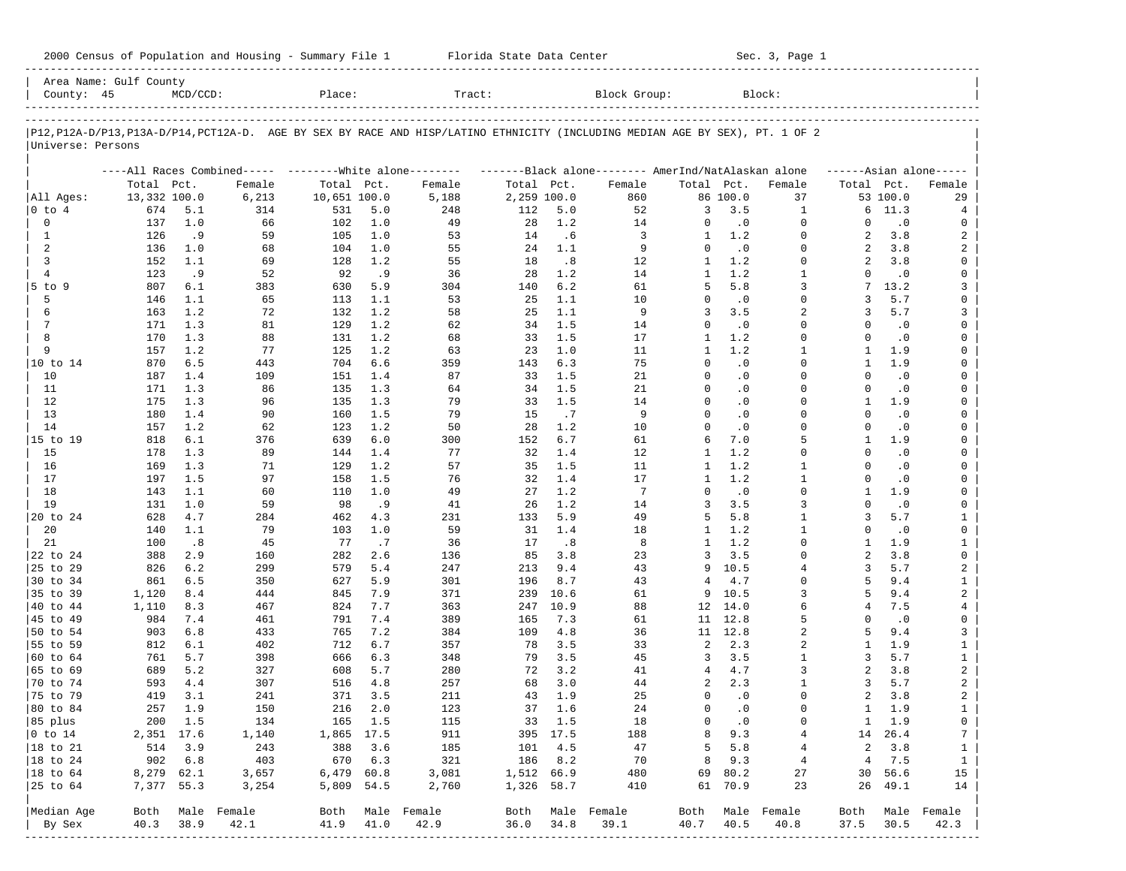| 2000 Census of Population and Housing - Summary File 1 |  | Florida State Data Center | Sec. 3, Page 1 |
|--------------------------------------------------------|--|---------------------------|----------------|
|--------------------------------------------------------|--|---------------------------|----------------|

| County: 45                  | Area Name: Gulf County | $MCD/CCD$ : |                                                         | Place:       |            | Tract:                                                                                                                     |             |           | Block Group:                                        |                   |            | Block:                       |                |                  |                         |
|-----------------------------|------------------------|-------------|---------------------------------------------------------|--------------|------------|----------------------------------------------------------------------------------------------------------------------------|-------------|-----------|-----------------------------------------------------|-------------------|------------|------------------------------|----------------|------------------|-------------------------|
|                             |                        |             |                                                         |              |            | P12,P12A-D/P13,P13A-D/P14,PCT12A-D. AGE BY SEX BY RACE AND HISP/LATINO ETHNICITY (INCLUDING MEDIAN AGE BY SEX), PT. 1 OF 2 |             |           |                                                     |                   |            |                              |                |                  |                         |
| Universe: Persons           |                        |             |                                                         |              |            |                                                                                                                            |             |           |                                                     |                   |            |                              |                |                  |                         |
|                             |                        |             | ----All Races Combined----- --------White alone-------- |              |            |                                                                                                                            |             |           | -------Black alone-------- AmerInd/NatAlaskan alone |                   |            |                              |                |                  | $---Asian alone---$     |
|                             | Total Pct.             |             | Female                                                  | Total Pct.   |            | Female                                                                                                                     | Total Pct.  |           | Female                                              | Total Pct.        |            | Female                       | Total Pct.     |                  | Female                  |
| All Ages:                   | 13,332 100.0           |             | 6,213                                                   | 10,651 100.0 |            | 5,188                                                                                                                      | 2,259 100.0 |           | 860                                                 |                   | 86 100.0   | 37                           |                | 53 100.0         | 29                      |
| $ 0 \t{to} 4$               | 674                    | 5.1         | 314                                                     | 531          | 5.0        | 248                                                                                                                        | 112         | 5.0       | 52                                                  | 3                 | 3.5        | 1                            | б.             | 11.3             | 4                       |
| $\mathbf 0$                 | 137                    | 1.0         | 66                                                      | 102          | 1.0        | 49                                                                                                                         | 28          | 1.2       | 14                                                  | 0                 | $\cdot$ 0  | $\mathbf 0$                  | $\Omega$       | $\cdot$ 0        | 0                       |
| 1                           | 126                    | .9          | 59                                                      | 105          | 1.0        | 53                                                                                                                         | 14          | .6        | 3                                                   | $\mathbf{1}$      | 1.2        | $\mathbf 0$                  | 2              | 3.8              | 2                       |
| 2                           | 136                    | 1.0         | 68                                                      | 104          | 1.0        | 55                                                                                                                         | 24          | 1.1       | 9                                                   | $\mathbf 0$       | $\cdot$ 0  | $\mathbf 0$<br>$\Omega$      | 2              | 3.8              | 2                       |
| 3<br>$\overline{4}$         | 152<br>123             | 1.1<br>.9   | 69<br>52                                                | 128<br>92    | 1.2        | 55<br>36                                                                                                                   | 18<br>28    | .8<br>1.2 | 12<br>14                                            | 1<br>$\mathbf{1}$ | 1.2<br>1.2 | $\mathbf{1}$                 | 2<br>$\Omega$  | 3.8<br>$\cdot$ 0 | 0<br>0                  |
| 5 to 9                      | 807                    | 6.1         | 383                                                     | 630          | . 9<br>5.9 | 304                                                                                                                        | 140         | 6.2       | 61                                                  | 5                 | 5.8        | 3                            | 7              | 13.2             | 3                       |
| 5                           | 146                    | 1.1         | 65                                                      | 113          | 1.1        | 53                                                                                                                         | 25          | 1.1       | 10                                                  | $\mathbf 0$       | $\cdot$ 0  | $\Omega$                     | 3              | 5.7              | 0                       |
| 6                           | 163                    | 1.2         | 72                                                      | 132          | 1.2        | 58                                                                                                                         | 25          | 1.1       | 9                                                   | 3                 | 3.5        | 2                            | 3              | 5.7              | 3                       |
| $7\phantom{.0}$             | 171                    | 1.3         | 81                                                      | 129          | 1.2        | 62                                                                                                                         | 34          | 1.5       | 14                                                  | $\Omega$          | $\cdot$ 0  | $\Omega$                     | $\Omega$       | $\cdot$ 0        | 0                       |
| 8                           | 170                    | 1.3         | 88                                                      | 131          | 1.2        | 68                                                                                                                         | 33          | 1.5       | 17                                                  | 1                 | 1.2        | $\Omega$                     | $\Omega$       | $\cdot$ 0        | 0                       |
| 9                           | 157                    | 1.2         | 77                                                      | 125          | 1.2        | 63                                                                                                                         | 23          | 1.0       | 11                                                  | $\mathbf{1}$      | 1.2        | $\mathbf{1}$                 | 1              | 1.9              | 0                       |
| 10 to 14                    | 870                    | 6.5         | 443                                                     | 704          | 6.6        | 359                                                                                                                        | 143         | 6.3       | 75                                                  | $\Omega$          | $\cdot$ 0  | $\Omega$                     | -1             | 1.9              | 0                       |
| 10                          | 187                    | 1.4         | 109                                                     | 151          | 1.4        | 87                                                                                                                         | 33          | 1.5       | 21                                                  | $\mathbf 0$       | $\cdot$ 0  | $\Omega$                     | $\Omega$       | $\cdot$ 0        | 0                       |
| 11                          | 171                    | 1.3         | 86                                                      | 135          | 1.3        | 64                                                                                                                         | 34          | 1.5       | 21                                                  | $\Omega$          | $\cdot$ 0  | $\Omega$                     | $\Omega$       | $\cdot$ 0        | 0                       |
| 12                          | 175                    | 1.3         | 96                                                      | 135          | 1.3        | 79                                                                                                                         | 33          | 1.5       | 14                                                  | $\Omega$          | $\cdot$ 0  | $\Omega$                     | -1             | 1.9              | 0                       |
| 13                          | 180                    | 1.4         | 90                                                      | 160          | 1.5        | 79                                                                                                                         | 15          | .7        | 9                                                   | $\Omega$          | $\cdot$ 0  | $\Omega$                     | $\Omega$       | $\cdot$ 0        | 0                       |
| 14                          | 157                    | 1.2         | 62                                                      | 123          | 1.2        | 50                                                                                                                         | 28          | 1.2       | 10                                                  | $\Omega$          | $\cdot$ 0  | $\Omega$                     | $\Omega$       | $\cdot$ 0        | 0                       |
| 15 to 19                    | 818                    | 6.1         | 376                                                     | 639          | 6.0        | 300                                                                                                                        | 152         | 6.7       | 61                                                  | 6                 | 7.0        | 5                            | 1              | 1.9              | 0                       |
| 15                          | 178                    | 1.3         | 89                                                      | 144          | 1.4        | 77                                                                                                                         | 32          | 1.4       | 12                                                  | 1                 | 1.2        | $\Omega$                     | $\Omega$       | $\cdot$ 0        | 0                       |
| 16                          | 169                    | 1.3         | 71                                                      | 129          | 1.2        | 57                                                                                                                         | 35          | 1.5       | 11                                                  | 1                 | 1.2        | 1                            | $\Omega$       | $\cdot$ 0        | 0                       |
| 17                          | 197                    | 1.5         | 97                                                      | 158          | 1.5        | 76                                                                                                                         | 32          | 1.4       | 17                                                  | 1                 | 1.2        | $\mathbf{1}$                 | $\Omega$       | $\cdot$ 0        | 0                       |
| 18                          | 143                    | 1.1         | 60                                                      | 110          | 1.0        | 49                                                                                                                         | 27          | 1.2       | $7\phantom{.0}$                                     | $\Omega$          | $\cdot$ 0  | $\Omega$                     | 1              | 1.9              | 0                       |
| 19                          | 131                    | 1.0         | 59                                                      | 98           | . 9        | 41                                                                                                                         | 26          | 1.2       | 14                                                  | 3                 | 3.5        | 3                            | $\Omega$       | $\cdot$ 0        | 0                       |
| 20 to 24                    | 628                    | 4.7         | 284                                                     | 462          | 4.3        | 231                                                                                                                        | 133         | 5.9       | 49                                                  | 5                 | 5.8        | $\mathbf{1}$<br>$\mathbf{1}$ | 3<br>$\Omega$  | 5.7              | $\mathbf{1}$            |
| 20<br>21                    | 140<br>100             | 1.1<br>.8   | 79<br>45                                                | 103<br>77    | 1.0<br>.7  | 59<br>36                                                                                                                   | 31<br>17    | 1.4       | 18<br>8                                             | 1<br>$\mathbf{1}$ | 1.2<br>1.2 | $\Omega$                     | -1             | $\cdot$ 0<br>1.9 | 0<br>$\mathbf{1}$       |
| 22 to 24                    | 388                    | 2.9         | 160                                                     | 282          | 2.6        | 136                                                                                                                        | 85          | .8<br>3.8 | 23                                                  | 3                 | 3.5        | $\Omega$                     | $\overline{a}$ | 3.8              | $\mathsf 0$             |
| 25 to 29                    | 826                    | 6.2         | 299                                                     | 579          | 5.4        | 247                                                                                                                        | 213         | 9.4       | 43                                                  | 9                 | 10.5       | 4                            | 3              | 5.7              | $\overline{a}$          |
| 30 to 34                    | 861                    | 6.5         | 350                                                     | 627          | 5.9        | 301                                                                                                                        | 196         | 8.7       | 43                                                  | 4                 | 4.7        | $\Omega$                     | 5              | 9.4              | $\mathbf{1}$            |
| 35 to 39                    | 1,120                  | 8.4         | 444                                                     | 845          | 7.9        | 371                                                                                                                        | 239         | 10.6      | 61                                                  | 9                 | 10.5       | 3                            | 5              | 9.4              | $\overline{a}$          |
| 40 to 44                    | 1,110                  | 8.3         | 467                                                     | 824          | 7.7        | 363                                                                                                                        | 247         | 10.9      | 88                                                  | 12                | 14.0       | 6                            | 4              | 7.5              | 4                       |
| 45 to 49                    | 984                    | 7.4         | 461                                                     | 791          | 7.4        | 389                                                                                                                        | 165         | 7.3       | 61                                                  | 11                | 12.8       | 5                            | $\Omega$       | .0               | 0                       |
| 50 to 54                    | 903                    | 6.8         | 433                                                     | 765          | 7.2        | 384                                                                                                                        | 109         | 4.8       | 36                                                  | 11                | 12.8       | $\overline{a}$               | 5              | 9.4              | 3                       |
| 55 to 59                    | 812                    | 6.1         | 402                                                     | 712          | 6.7        | 357                                                                                                                        | 78          | 3.5       | 33                                                  | 2                 | 2.3        | 2                            | 1              | 1.9              | $\mathbf{1}$            |
| 60 to 64                    | 761                    | 5.7         | 398                                                     | 666          | 6.3        | 348                                                                                                                        | 79          | 3.5       | 45                                                  | 3                 | 3.5        | $\mathbf{1}$                 | 3              | 5.7              | $\mathbf{1}$            |
| 65 to 69                    | 689                    | 5.2         | 327                                                     | 608          | 5.7        | 280                                                                                                                        | 72          | 3.2       | 41                                                  | 4                 | 4.7        | 3                            | 2              | 3.8              | $\overline{\mathbf{c}}$ |
| 70 to 74                    | 593                    | 4.4         | 307                                                     | 516          | 4.8        | 257                                                                                                                        | 68          | 3.0       | 44                                                  | 2                 | 2.3        | $\mathbf{1}$                 | 3              | 5.7              | $\overline{a}$          |
| 75 to 79                    | 419                    | 3.1         | 241                                                     | 371          | 3.5        | 211                                                                                                                        | 43          | 1.9       | 25                                                  | $\Omega$          | $\cdot$ 0  | $\Omega$                     | 2              | 3.8              | 2                       |
| 80 to 84                    | 257                    | 1.9         | 150                                                     | 216          | 2.0        | 123                                                                                                                        | 37          | 1.6       | 24                                                  | $\mathbf 0$       | $\cdot$ 0  | $\Omega$                     | $\mathbf{1}$   | 1.9              | $\mathbf{1}$            |
| 85 plus                     |                        | 200 1.5     | 134                                                     |              | 165 1.5    | 115                                                                                                                        |             | 33 1.5    | 18                                                  | 0                 | $\cdot$ 0  | 0                            |                | $1 \quad 1.9$    | 0                       |
| $ 0 \t\t \text{to} \t\t 14$ |                        | 2,351 17.6  | 1,140                                                   | 1,865 17.5   |            | 911                                                                                                                        |             | 395 17.5  | 188                                                 | 8                 | 9.3        | 4                            |                | 14 26.4          | $7\phantom{.0}$         |
| 18 to 21                    |                        | 514 3.9     | 243                                                     | 388          | 3.6        | 185                                                                                                                        | 101         | 4.5       | 47                                                  | 5                 | 5.8        | 4                            | 2              | 3.8              | $\mathbf{1}$            |
| $ 18$ to 24                 | 902                    | 6.8         | 403                                                     | 670          | 6.3        | 321                                                                                                                        | 186         | 8.2       | 70                                                  | 8                 | 9.3        | $\overline{4}$               | 4              | 7.5              | $\mathbf{1}$            |
| $ 18$ to $64$               | 8,279 62.1             |             | 3,657                                                   | 6,479 60.8   |            | 3,081                                                                                                                      | 1,512 66.9  |           | 480                                                 | 69                | 80.2       | 27                           | 30             | 56.6             | 15                      |
| 25 to 64                    | 7,377 55.3             |             | 3,254                                                   | 5,809 54.5   |            | 2,760                                                                                                                      | 1,326 58.7  |           | 410                                                 |                   | 61 70.9    | 23                           | 26             | 49.1             | 14                      |
| Median Age                  | Both                   |             | Male Female                                             |              |            | Both Male Female                                                                                                           |             |           | Both Male Female                                    | Both              |            | Male Female                  | Both           |                  | Male Female             |
| By Sex                      | 40.3                   | 38.9        | 42.1                                                    | 41.9         | 41.0       | 42.9                                                                                                                       | 36.0        | 34.8      | 39.1                                                | 40.7              | 40.5       | 40.8                         | 37.5           | 30.5             | 42.3                    |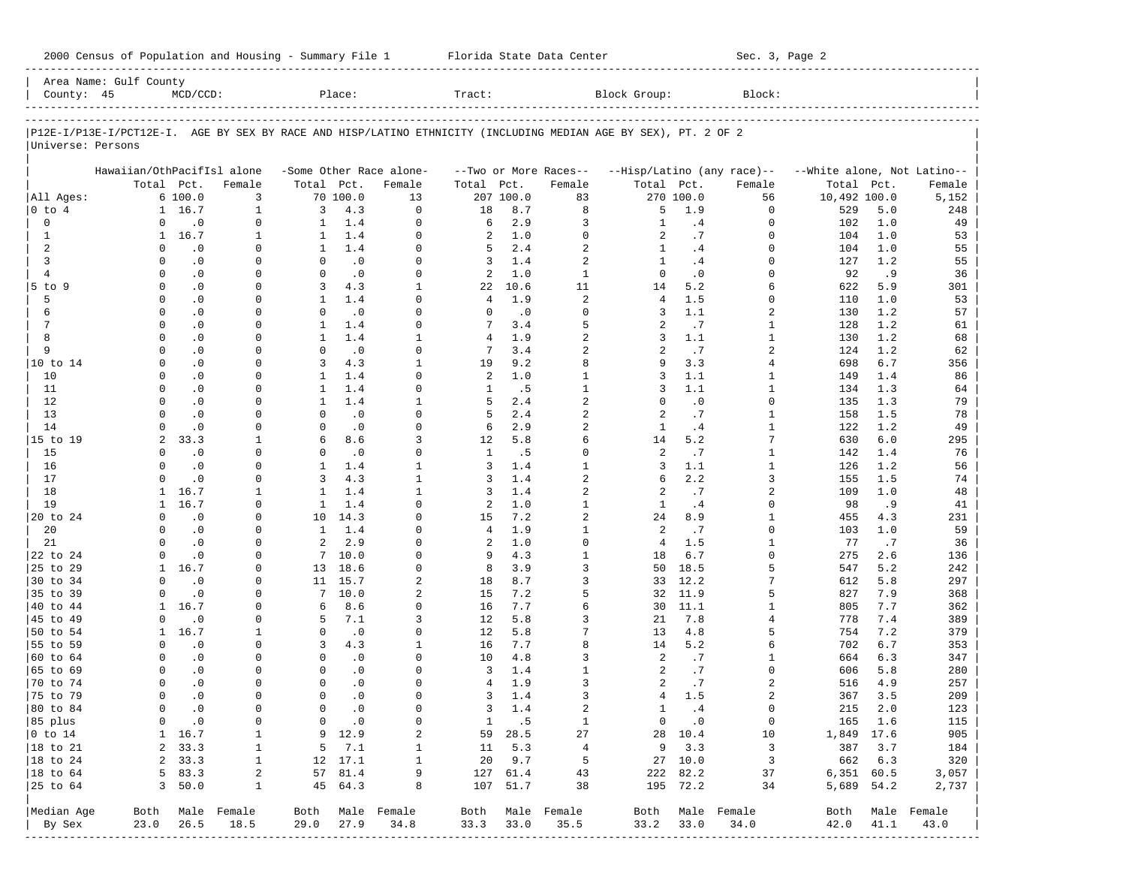| County: 45             | Area Name: Gulf County     | $MCD/CCD$ :            |                      |                          | Place:           |                          | Tract:         |            |                                  | Block Group:                                                                                                   |                 | Block:                     |                             |            |                  |
|------------------------|----------------------------|------------------------|----------------------|--------------------------|------------------|--------------------------|----------------|------------|----------------------------------|----------------------------------------------------------------------------------------------------------------|-----------------|----------------------------|-----------------------------|------------|------------------|
|                        |                            |                        |                      |                          |                  |                          |                |            |                                  |                                                                                                                |                 |                            |                             |            |                  |
|                        |                            |                        |                      |                          |                  |                          |                |            |                                  | P12E-I/P13E-I/PCT12E-I. AGE BY SEX BY RACE AND HISP/LATINO ETHNICITY (INCLUDING MEDIAN AGE BY SEX), PT. 2 OF 2 |                 |                            |                             |            |                  |
| Universe: Persons      |                            |                        |                      |                          |                  |                          |                |            |                                  |                                                                                                                |                 |                            |                             |            |                  |
|                        | Hawaiian/OthPacifIsl alone |                        |                      |                          |                  | -Some Other Race alone-  |                |            | --Two or More Races--            |                                                                                                                |                 | --Hisp/Latino (any race)-- | --White alone, Not Latino-- |            |                  |
|                        |                            | Total Pct.             | Female               | Total Pct.               |                  | Female                   | Total          | Pct.       | Female                           | Total Pct.                                                                                                     |                 | Female                     | Total                       | Pct.       | Female           |
| All Ages:              |                            | 6 100.0                | 3                    |                          | 70 100.0         | 13                       |                | 207 100.0  | 83                               |                                                                                                                | 270 100.0       | 56                         | 10,492 100.0                |            | 5,152            |
| 0 to 4                 |                            | 1 16.7                 | $\mathbf{1}$         | 3                        | 4.3              | $\mathbf 0$              | 18             | 8.7        | 8                                | 5                                                                                                              | 1.9             | $\mathbf 0$                | 529                         | 5.0        | 248              |
| 0                      | 0                          | $\cdot$ 0              | 0                    | 1                        | 1.4              | $\mathbf 0$              | 6              | 2.9        | 3                                | $\mathbf{1}$                                                                                                   | .4              | 0                          | 102                         | 1.0        | 49               |
| 1                      | $\mathbf{1}$               | 16.7                   | 1                    | 1                        | 1.4              | $\Omega$                 | 2              | 1.0        | $\mathbf 0$                      | 2                                                                                                              | .7              | $\Omega$                   | 104                         | 1.0        | 53               |
| 2                      | $\Omega$                   | $\cdot$ 0              | 0                    | $\mathbf{1}$             | 1.4              | $\Omega$                 | 5              | 2.4        | $\overline{a}$                   | $\mathbf{1}$                                                                                                   | .4              | $\Omega$                   | 104                         | 1.0        | 55               |
| 3                      | $\Omega$                   | $\cdot$ 0              | $\Omega$             | $\Omega$                 | $\cdot$ 0        | $\Omega$                 | 3              | 1.4        | 2                                | 1                                                                                                              | .4              | $\Omega$                   | 127                         | 1.2        | 55               |
| $\overline{4}$         | $\Omega$                   | $\cdot$ 0              | $\Omega$             | $\Omega$                 | $\cdot$ 0        | $\Omega$                 | 2              | 1.0        | $\mathbf{1}$                     | $\Omega$                                                                                                       | $\cdot$ 0       | $\Omega$                   | 92                          | .9         | 36               |
| $5$ to $9$             | $\Omega$                   | $\cdot$ 0              | $\Omega$             | 3                        | 4.3              | $\mathbf{1}$             | 22             | 10.6       | 11                               | 14                                                                                                             | 5.2             | 6                          | 622                         | 5.9        | 301              |
| 5                      | $\Omega$                   | $\cdot$ 0              | $\Omega$             | $\mathbf{1}$             | 1.4              | $\Omega$                 | 4              | 1.9        | $\overline{a}$                   | $\overline{4}$                                                                                                 | 1.5             | $\Omega$                   | 110                         | 1.0        | 53               |
| 6                      | $\Omega$                   | $\cdot$ 0              | $\Omega$             | $\Omega$                 | $\cdot$ 0        | $\Omega$                 | $\Omega$       | $\cdot$ 0  | $\Omega$                         | 3                                                                                                              | 1.1             | 2                          | 130                         | 1.2        | 57               |
| 7                      | $\Omega$                   | $\cdot$ 0              | $\Omega$             | $\mathbf{1}$             | 1.4              | $\Omega$                 | 7              | 3.4        | 5                                | 2                                                                                                              | .7              | 1                          | 128                         | 1.2        | 61               |
| 8<br>9                 | $\Omega$<br>$\Omega$       | $\cdot$ 0              | $\Omega$<br>$\Omega$ | $\mathbf{1}$<br>$\Omega$ | 1.4              | $\mathbf{1}$<br>$\Omega$ | 4<br>7         | 1.9<br>3.4 | $\overline{a}$<br>$\overline{a}$ | 3<br>$\overline{a}$                                                                                            | 1.1<br>.7       | $\mathbf{1}$               | 130                         | 1.2<br>1.2 | 68               |
| 10 to 14               | $\Omega$                   | $\cdot$ 0<br>$\cdot$ 0 | $\Omega$             | 3                        | $\cdot$ 0<br>4.3 | $\mathbf{1}$             | 19             | 9.2        | 8                                | 9                                                                                                              | 3.3             | 2<br>4                     | 124<br>698                  | 6.7        | 62               |
| 10                     | $\Omega$                   | $\cdot$ 0              | $\Omega$             | $\mathbf{1}$             | 1.4              | $\Omega$                 | 2              | 1.0        | $\mathbf{1}$                     | 3                                                                                                              | 1.1             | 1                          | 149                         | 1.4        | 356<br>86        |
| 11                     | $\Omega$                   | $\cdot$ 0              | $\Omega$             | $\mathbf{1}$             | 1.4              | $\Omega$                 | 1              | .5         | $\mathbf{1}$                     | 3                                                                                                              | 1.1             | 1                          | 134                         | 1.3        | 64               |
| 12                     | $\Omega$                   | $\cdot$ 0              | $\Omega$             | $\mathbf{1}$             | 1.4              | $\mathbf{1}$             | 5              | 2.4        | $\overline{a}$                   | $\Omega$                                                                                                       | $\cdot$ 0       | 0                          | 135                         | 1.3        | 79               |
| 13                     | $\Omega$                   | $\cdot$ 0              | $\Omega$             | $\Omega$                 | $\cdot$ 0        | $\Omega$                 | 5              | 2.4        | $\overline{c}$                   | 2                                                                                                              | .7              | 1                          | 158                         | 1.5        | 78               |
| 14                     | $\Omega$                   | $\cdot$ 0              | $\Omega$             | $\mathbf 0$              | $\cdot$ 0        | $\Omega$                 | 6              | 2.9        | $\overline{a}$                   | $\mathbf{1}$                                                                                                   | .4              | 1                          | 122                         | 1.2        | 49               |
| 15 to 19               | 2                          | 33.3                   | 1                    | 6                        | 8.6              | 3                        | 12             | 5.8        | 6                                | 14                                                                                                             | 5.2             | 7                          | 630                         | 6.0        | 295              |
| 15                     | $\Omega$                   | $\cdot$ 0              | $\Omega$             | $\Omega$                 | $\cdot$ 0        | $\Omega$                 | 1              | . 5        | $\Omega$                         | 2                                                                                                              | .7              | 1                          | 142                         | 1.4        | 76               |
| 16                     | $\Omega$                   | $\cdot$ 0              | $\Omega$             | $\mathbf{1}$             | 1.4              | $\mathbf{1}$             | 3              | 1.4        | $\mathbf{1}$                     | 3                                                                                                              | 1.1             | 1                          | 126                         | 1.2        | 56               |
| 17                     | $\Omega$                   | $\cdot$ 0              | 0                    | 3                        | 4.3              | $\mathbf{1}$             | 3              | 1.4        | $\overline{a}$                   | 6                                                                                                              | 2.2             | 3                          | 155                         | 1.5        | 74               |
| 18                     | $\mathbf{1}$               | 16.7                   | 1                    | $\mathbf{1}$             | 1.4              | $\mathbf{1}$             | 3              | 1.4        | $\overline{a}$                   | 2                                                                                                              | .7              | 2                          | 109                         | 1.0        | 48               |
| 19                     | 1                          | 16.7                   | $\Omega$             | $\mathbf{1}$             | 1.4              | $\Omega$                 | 2              | 1.0        | $\mathbf{1}$                     | $\mathbf{1}$                                                                                                   | .4              | $\Omega$                   | 98                          | .9         | 41               |
| 20 to 24               | $\Omega$                   | $\cdot$ 0              | $\Omega$             | 10                       | 14.3             | $\Omega$                 | 15             | 7.2        | $\overline{a}$                   | 24                                                                                                             | 8.9             | 1                          | 455                         | 4.3        | 231              |
| 20                     | $\Omega$                   | $\cdot$ 0              | $\Omega$             | $\mathbf{1}$             | 1.4              | $\Omega$                 | $\overline{4}$ | 1.9        | $\mathbf{1}$                     | 2                                                                                                              | .7              | $\Omega$                   | 103                         | 1.0        | 59               |
| 21                     | $\Omega$                   | $\cdot$ 0              | $\Omega$             | 2                        | 2.9              | $\Omega$                 | 2              | 1.0        | $\Omega$                         | $\overline{4}$                                                                                                 | 1.5             | $\mathbf{1}$               | 77                          | .7         | 36               |
| 22 to 24               | $\Omega$                   | $\cdot$ 0              | $\Omega$             | 7                        | 10.0             | $\Omega$                 | 9              | 4.3        | $\mathbf{1}$                     | 18                                                                                                             | 6.7             | $\Omega$                   | 275                         | 2.6        | 136              |
| 25 to 29               | 1<br>$\Omega$              | 16.7                   | $\Omega$             | 13                       | 18.6             | $\Omega$                 | 8              | 3.9        | 3                                | 50                                                                                                             | 18.5            | 5                          | 547                         | 5.2        | 242              |
| 30 to 34               | $\Omega$                   | $\cdot$ 0              | $\Omega$<br>$\Omega$ | 11<br>7                  | 15.7<br>10.0     | $\overline{a}$<br>2      | 18<br>15       | 8.7<br>7.2 | 3<br>5                           | 33                                                                                                             | 12.2<br>32 11.9 | 7<br>5                     | 612<br>827                  | 5.8<br>7.9 | 297              |
| 35 to 39<br>40 to 44   | $\mathbf{1}$               | $\cdot$ 0<br>16.7      | $\Omega$             | 6                        | 8.6              | $\Omega$                 | 16             | 7.7        | 6                                | 30                                                                                                             | 11.1            | 1                          | 805                         | 7.7        | 368<br>362       |
| 45 to 49               | $\Omega$                   | $\cdot$ 0              | $\Omega$             | 5                        | 7.1              | 3                        | 12             | 5.8        | 3                                | 21                                                                                                             | 7.8             | 4                          | 778                         | 7.4        | 389              |
| 50 to 54               | $\mathbf{1}$               | 16.7                   | 1                    | 0                        | $\cdot$ 0        | $\Omega$                 | 12             | 5.8        | 7                                | 13                                                                                                             | 4.8             | 5                          | 754                         | 7.2        | 379              |
| 55 to 59               | $\Omega$                   | $\cdot$ 0              | $\Omega$             | 3                        | 4.3              | $\mathbf{1}$             | 16             | 7.7        | 8                                | 14                                                                                                             | 5.2             | 6                          | 702                         | 6.7        | 353              |
| 60 to 64               | $\Omega$                   | $\cdot$ 0              | 0                    | $\Omega$                 | $\cdot$ 0        | $\Omega$                 | 10             | 4.8        | 3                                | 2                                                                                                              | .7              | 1                          | 664                         | 6.3        | 347              |
| 65 to 69               | <sup>n</sup>               | $\cdot$ 0              | <sup>n</sup>         | $\Omega$                 | $\cdot$ 0        | $\Omega$                 | 3              | 1.4        | 1                                | 2                                                                                                              | .7              | $\Omega$                   | 606                         | 5.8        | 280              |
| 70 to 74               | $\Omega$                   | $\cdot$ 0              | 0                    | $\Omega$                 | $\cdot$ 0        | $\Omega$                 | 4              | 1.9        | 3                                | 2                                                                                                              | .7              | 2                          | 516                         | 4.9        | 257              |
| 75 to 79               | $\Omega$                   | $\cdot$ 0              | $\Omega$             | $\Omega$                 | $\cdot$ 0        | $\Omega$                 | 3              | 1.4        | 3                                | 4                                                                                                              | 1.5             | 2                          | 367                         | 3.5        | 209              |
| 80 to 84               | $\Omega$                   | $\cdot$ 0              | 0                    | $\mathbf{0}$             | $\cdot$ 0        | $\Omega$                 | 3              | 1.4        | $\overline{a}$                   | $\mathbf{1}$                                                                                                   | .4              | 0                          | 215                         | 2.0        | 123              |
| 85 plus                |                            | $0 \qquad .0$          | 0                    |                          | $0 \qquad .0$    | 0                        |                | 1 .5       | $\mathbf{1}$                     |                                                                                                                | $0 \qquad .0$   | $\overline{0}$             | 165 1.6                     |            | 115              |
| $ 0 \t\t \text{to} 14$ |                            | $1 \quad 16.7$         | 1                    |                          | 9 12.9           | 2                        |                | 59 28.5    | 27                               |                                                                                                                | 28 10.4         | 10                         | 1,849 17.6                  |            | 905              |
| 18 to 21               |                            | 2, 33.3                | 1                    |                          | $5 \t 7.1$       | $\mathbf{1}$             |                | 11 5.3     | $\overline{4}$                   |                                                                                                                | $9 \t3.3$       | 3                          |                             | 387 3.7    | 184              |
| $ 18$ to $24$          |                            | 2, 33.3                | $\mathbf{1}$         |                          | 12 17.1          | $\mathbf{1}$             |                | 20 9.7     | 5                                |                                                                                                                | 27 10.0         | $\overline{\mathbf{3}}$    | 662 6.3                     |            | 320              |
| 18 to 64               |                            | 583.3                  | 2                    |                          | 57 81.4          | 9                        |                | 127 61.4   | 43                               |                                                                                                                | 222 82.2        | 37                         | 6,351 60.5                  |            | 3,057            |
| 25 to 64               |                            | 3, 50.0                | 1                    |                          | 45 64.3          | 8                        |                | 107 51.7   | 38                               |                                                                                                                | 195 72.2        | 34                         | 5,689 54.2                  |            | 2,737            |
|                        |                            |                        |                      |                          |                  |                          |                |            |                                  |                                                                                                                |                 |                            |                             |            |                  |
| Median Age             |                            |                        | Both Male Female     |                          |                  | Both Male Female         |                |            | Both Male Female                 |                                                                                                                |                 | Both Male Female           |                             |            | Both Male Female |
| By Sex                 | 23.0                       | 26.5                   | 18.5                 | 29.0                     | 27.9             | 34.8                     | 33.3           | 33.0       | 35.5                             | 33.2                                                                                                           | 33.0            | 34.0                       | 42.0                        | 41.1       | 43.0             |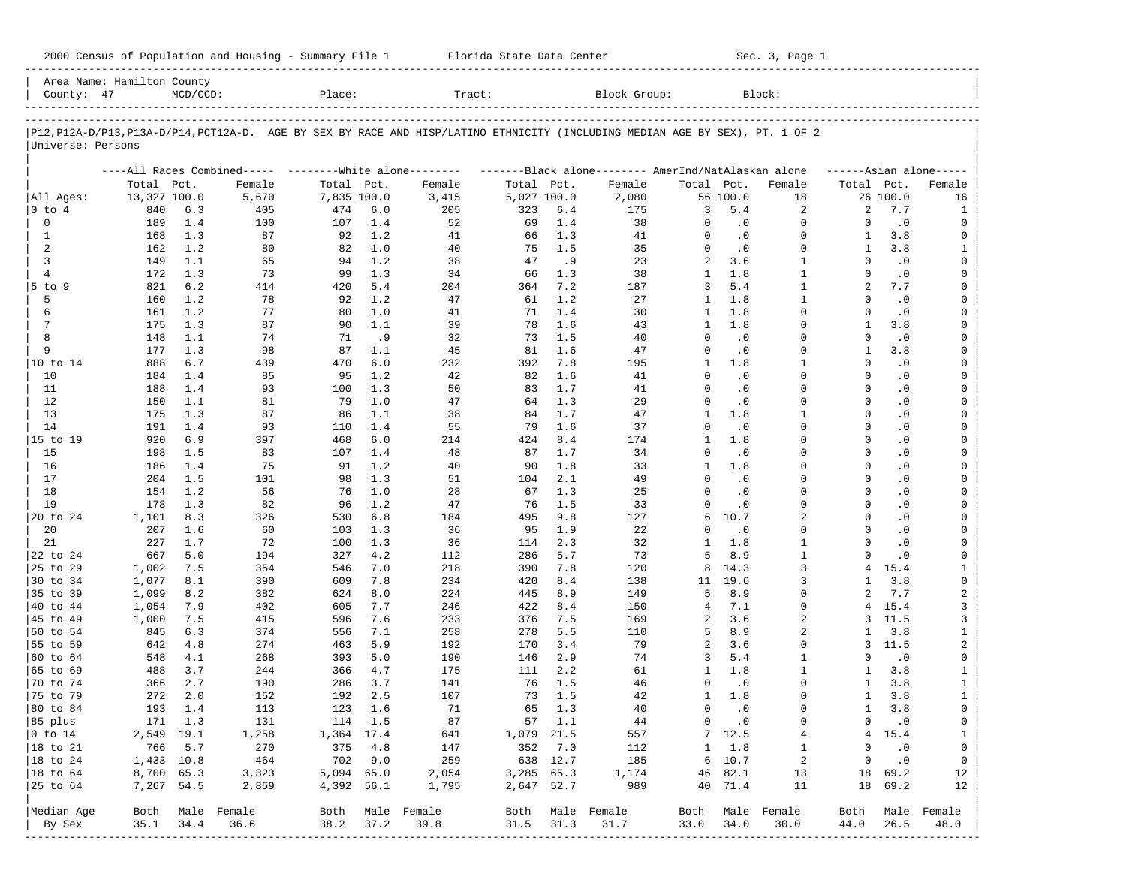| County: 47           | Area Name: Hamilton County | $MCD/CCD$ : |                                                                                                                               | Place:      |            | Tract:      |             |            | Block Group: |                              |            | Block:               |                          |                  |                            |
|----------------------|----------------------------|-------------|-------------------------------------------------------------------------------------------------------------------------------|-------------|------------|-------------|-------------|------------|--------------|------------------------------|------------|----------------------|--------------------------|------------------|----------------------------|
| Universe: Persons    |                            |             | P12, P12A-D/P13, P13A-D/P14, PCT12A-D. AGE BY SEX BY RACE AND HISP/LATINO ETHNICITY (INCLUDING MEDIAN AGE BY SEX), PT. 1 OF 2 |             |            |             |             |            |              |                              |            |                      |                          |                  |                            |
|                      |                            |             | ----All Races Combined----- --------White alone-------- --------Black alone-------- AmerInd/NatAlaskan alone                  |             |            |             |             |            |              |                              |            |                      |                          |                  | $---Asian alone---$        |
|                      | Total Pct.                 |             | Female                                                                                                                        | Total Pct.  |            | Female      | Total Pct.  |            | Female       | Total Pct.                   |            | Female               | Total Pct.               |                  | Female                     |
| All Aqes:            | 13,327 100.0               |             | 5,670                                                                                                                         | 7,835 100.0 |            | 3,415       | 5,027 100.0 |            | 2,080        |                              | 56 100.0   | 18                   |                          | 26 100.0         | 16                         |
| $0$ to $4$           | 840                        | 6.3         | 405                                                                                                                           | 474         | 6.0        | 205         | 323         | 6.4        | 175          | 3                            | 5.4        | 2                    | 2                        | 7.7              | 1                          |
| $\mathbf{0}$         | 189                        | 1.4         | 100                                                                                                                           | 107         | 1.4        | 52          | 69          | 1.4        | 38           | $\Omega$                     | $\cdot$ 0  | $\mathbf 0$          | $\Omega$                 | .0               | $\mathbf 0$                |
| $\mathbf{1}$         | 168                        | 1.3         | 87                                                                                                                            | 92          | 1.2        | 41          | 66          | 1.3        | 41           | $\Omega$                     | $\cdot$ 0  | $\mathbf 0$          | 1                        | 3.8              | $\mathsf 0$                |
| 2                    | 162                        | 1.2         | 80                                                                                                                            | 82          | 1.0        | 40          | 75          | 1.5        | 35           | $\Omega$                     | $\cdot$ 0  | $\Omega$             | 1                        | 3.8              | $\mathbf{1}$               |
| $\mathbf{3}$         | 149                        | 1.1         | 65                                                                                                                            | 94          | 1.2        | 38          | 47          | .9         | 23           | 2                            | 3.6        | $\mathbf{1}$         | $\Omega$                 | $\cdot$ 0        | $\mathsf 0$                |
| $\overline{4}$       | 172                        | 1.3         | 73                                                                                                                            | 99          | 1.3        | 34          | 66          | 1.3        | 38           | $\mathbf{1}$                 | 1.8        | $\mathbf{1}$         | $\Omega$                 | $\cdot$ 0        | $\mathbf 0$                |
| $5$ to $9$           | 821                        | 6.2         | 414                                                                                                                           | 420         | $5.4$      | 204         | 364         | 7.2        | 187          | 3                            | 5.4        | $\mathbf{1}$         | $\overline{a}$           | 7.7              | $\mathbf 0$                |
| 5                    | 160                        | 1.2         | 78                                                                                                                            | 92          | 1.2        | 47          | 61          | 1.2        | 27           | $\mathbf{1}$                 | 1.8        | $\mathbf{1}$         | $\Omega$                 | $\cdot$ 0        | $\mathbf 0$                |
| 6                    | 161                        | 1.2         | 77                                                                                                                            | 80          | 1.0        | 41          | 71          | 1.4        | 30           | $\mathbf{1}$<br>$\mathbf{1}$ | 1.8<br>1.8 | $\Omega$<br>$\Omega$ | $\Omega$                 | $\cdot$ 0        | $\mathsf 0$                |
| 7<br>8               | 175<br>148                 | 1.3<br>1.1  | 87<br>74                                                                                                                      | 90<br>71    | 1.1<br>.9  | 39<br>32    | 78<br>73    | 1.6<br>1.5 | 43<br>40     | $\Omega$                     | $\cdot$ 0  | $\Omega$             | $\mathbf{1}$<br>$\Omega$ | 3.8<br>$\cdot$ 0 | $\mathbf 0$<br>$\mathsf 0$ |
| 9                    | 177                        | 1.3         | 98                                                                                                                            | 87          | 1.1        | 45          | 81          | 1.6        | 47           | $\Omega$                     | $\cdot$ 0  | $\Omega$             | $\mathbf{1}$             | 3.8              | $\mathbf 0$                |
| 10 to 14             | 888                        | 6.7         | 439                                                                                                                           | 470         | $6.0$      | 232         | 392         | 7.8        | 195          | $\mathbf{1}$                 | 1.8        | $\mathbf{1}$         | $\Omega$                 | $\cdot$ 0        | $\mathsf 0$                |
| 10                   | 184                        | 1.4         | 85                                                                                                                            | 95          | 1.2        | 42          | 82          | 1.6        | 41           | $\Omega$                     | $\cdot$ 0  | $\Omega$             | $\Omega$                 | $\cdot$ 0        | $\mathbf 0$                |
| 11                   | 188                        | 1.4         | 93                                                                                                                            | 100         | 1.3        | 50          | 83          | 1.7        | 41           | $\Omega$                     | $\cdot$ 0  | $\Omega$             | $\Omega$                 | $\cdot$ 0        | $\mathbf 0$                |
| 12                   | 150                        | 1.1         | 81                                                                                                                            | 79          | 1.0        | 47          | 64          | 1.3        | 29           | $\Omega$                     | $\cdot$ 0  | $\Omega$             | $\Omega$                 | $\cdot$ 0        | $\mathbf 0$                |
| 13                   | 175                        | 1.3         | 87                                                                                                                            | 86          | 1.1        | 38          | 84          | 1.7        | 47           | $\mathbf{1}$                 | 1.8        | $\mathbf{1}$         | $\Omega$                 | $\cdot$ 0        | $\mathsf 0$                |
| 14                   | 191                        | 1.4         | 93                                                                                                                            | 110         | 1.4        | 55          | 79          | 1.6        | 37           | $\Omega$                     | $\cdot$ 0  | $\Omega$             | $\Omega$                 | $\cdot$ 0        | $\mathbf 0$                |
| 15 to 19             | 920                        | 6.9         | 397                                                                                                                           | 468         | 6.0        | 214         | 424         | 8.4        | 174          | $\mathbf{1}$                 | 1.8        | $\Omega$             | $\Omega$                 | $\cdot$ 0        | $\mathbf 0$                |
| 15                   | 198                        | 1.5         | 83                                                                                                                            | 107         | 1.4        | 48          | 87          | 1.7        | 34           | $\Omega$                     | $\cdot$ 0  | $\Omega$             | $\Omega$                 | $\cdot$ 0        | $\mathbf 0$                |
| 16                   | 186                        | 1.4         | 75                                                                                                                            | 91          | 1.2        | 40          | 90          | 1.8        | 33           | $\mathbf{1}$                 | 1.8        | $\Omega$             | $\Omega$                 | $\cdot$ 0        | $\mathsf 0$                |
| 17                   | 204                        | 1.5         | 101                                                                                                                           | 98          | 1.3        | 51          | 104         | 2.1        | 49           | $\Omega$                     | $\cdot$ 0  | $\Omega$             | $\Omega$                 | $\cdot$ 0        | $\mathbf 0$                |
| 18                   | 154                        | 1.2         | 56                                                                                                                            | 76          | 1.0        | 28          | 67          | 1.3        | 25           | $\Omega$                     | $\cdot$ 0  | $\Omega$             | $\Omega$                 | $\cdot$ 0        | $\mathbf 0$                |
| 19                   | 178                        | 1.3         | 82                                                                                                                            | 96          | 1.2        | 47          | 76          | 1.5        | 33           | $\Omega$                     | $\cdot$ 0  | $\Omega$             | $\Omega$                 | $\cdot$ 0        | $\mathbf 0$                |
| 20 to 24             | 1,101                      | 8.3         | 326                                                                                                                           | 530         | 6.8        | 184         | 495         | 9.8        | 127          | 6                            | 10.7       | $\overline{a}$       | $\Omega$                 | $\cdot$ 0        | $\mathsf 0$                |
| 20                   | 207                        | 1.6         | 60                                                                                                                            | 103         | 1.3        | 36          | 95          | 1.9        | 22           | $\Omega$                     | $\cdot$ 0  | $\Omega$             | $\Omega$                 | $\cdot$ 0        | $\mathbf 0$                |
| 21                   | 227                        | 1.7         | 72                                                                                                                            | 100         | 1.3        | 36          | 114         | 2.3        | 32           | $\mathbf{1}$                 | 1.8        | $\mathbf{1}$         | $\Omega$                 | $\cdot$ 0        | $\mathsf 0$                |
| 22 to 24             | 667                        | 5.0         | 194                                                                                                                           | 327         | 4.2        | 112         | 286         | 5.7        | 73           | 5                            | 8.9        | $\mathbf{1}$         | $\Omega$                 | $\cdot$ 0        | $\mathbf 0$                |
| 25 to 29             | 1,002                      | 7.5         | 354                                                                                                                           | 546         | 7.0        | 218         | 390         | 7.8        | 120          | 8                            | 14.3       | 3                    | $\overline{4}$           | 15.4             | $\mathbf{1}$               |
| 30 to 34             | 1,077                      | 8.1         | 390                                                                                                                           | 609         | 7.8        | 234         | 420         | 8.4        | 138          | 11                           | 19.6       | 3                    | $\mathbf{1}$             | 3.8              | $\mathbf 0$                |
| 35 to 39             | 1,099                      | 8.2         | 382                                                                                                                           | 624         | 8.0        | 224         | 445         | 8.9        | 149          | 5                            | 8.9        | $\Omega$<br>$\Omega$ | $\overline{a}$           | 7.7              | $\sqrt{2}$                 |
| 40 to 44<br>45 to 49 | 1,054                      | 7.9         | 402                                                                                                                           | 605         | 7.7        | 246         | 422         | 8.4        | 150          | $\overline{4}$               | 7.1<br>3.6 | $\overline{a}$       | 4<br>3                   | 15.4             | 3                          |
| 50 to 54             | 1,000<br>845               | 7.5<br>6.3  | 415<br>374                                                                                                                    | 596<br>556  | 7.6<br>7.1 | 233<br>258  | 376<br>278  | 7.5<br>5.5 | 169<br>110   | 2<br>5                       | 8.9        | $\overline{a}$       | $\mathbf{1}$             | 11.5<br>3.8      | 3<br>$\mathbf{1}$          |
| 55 to 59             | 642                        | 4.8         | 274                                                                                                                           | 463         | 5.9        | 192         | 170         | 3.4        | 79           | 2                            | 3.6        | $\Omega$             | 3                        | 11.5             | $\mathbf{2}$               |
| 60 to 64             | 548                        | 4.1         | 268                                                                                                                           | 393         | 5.0        | 190         | 146         | 2.9        | 74           | 3                            | 5.4        | $\mathbf{1}$         | $\Omega$                 | $\cdot$ 0        | $\mathsf 0$                |
| 65 to 69             | 488                        | 3.7         | 244                                                                                                                           | 366         | 4.7        | 175         | 111         | 2.2        | 61           | $\mathbf{1}$                 | 1.8        | $\mathbf{1}$         | 1                        | 3.8              | $\mathbf{1}$               |
| 70 to 74             | 366                        | 2.7         | 190                                                                                                                           | 286         | 3.7        | 141         | 76          | 1.5        | 46           | $\Omega$                     | $\cdot$ 0  | $\Omega$             | 1                        | 3.8              | $\mathbf{1}$               |
| 75 to 79             | 272                        | 2.0         | 152                                                                                                                           | 192         | 2.5        | 107         | 73          | 1.5        | 42           | $\mathbf{1}$                 | 1.8        | $\mathbf 0$          | $\mathbf{1}$             | 3.8              | $\mathbf{1}$               |
| 80 to 84             | 193                        | 1.4         | 113                                                                                                                           | 123         | 1.6        | 71          | 65          | 1.3        | 40           | $\mathsf 0$                  | $\cdot$ 0  | 0                    | 1                        | 3.8              | 0                          |
| 85 plus              | 171                        | 1.3         | 131                                                                                                                           | 114         | 1.5        | 87          | 57          | 1.1        | 44           | $\mathbf 0$                  | $\cdot$ 0  | $\mathbf 0$          | $\mathbf 0$              | $\cdot$ 0        | $\mathbb O$                |
| $0$ to $14$          |                            | 2,549 19.1  | 1,258                                                                                                                         | 1,364       | 17.4       | 641         | 1,079       | 21.5       | 557          | $7\phantom{.0}$              | 12.5       | 4                    | $\overline{4}$           | 15.4             | $\mathbf{1}$               |
| 18 to 21             | 766                        | 5.7         | 270                                                                                                                           | 375         | 4.8        | 147         | 352         | 7.0        | 112          | $\,1$                        | 1.8        | $\mathbf{1}$         | $\mathbf 0$              | $\cdot$ 0        | $\mathbb O$                |
| 18 to 24             | 1,433 10.8                 |             | 464                                                                                                                           | 702         | 9.0        | 259         | 638         | 12.7       | 185          | 6                            | 10.7       | $\sqrt{2}$           | $\mathsf 0$              | $\cdot$ 0        | $\mathbf 0$                |
| 18 to 64             | 8,700                      | 65.3        | 3,323                                                                                                                         | 5,094       | 65.0       | 2,054       | 3,285       | 65.3       | 1,174        | 46                           | 82.1       | 13                   | 18                       | 69.2             | 12                         |
| 25 to 64             | 7,267                      | 54.5        | 2,859                                                                                                                         | 4,392       | 56.1       | 1,795       | 2,647       | 52.7       | 989          | 40                           | 71.4       | 11                   | 18                       | 69.2             | 12                         |
| Median Age           | Both                       |             | Male Female                                                                                                                   | Both        |            | Male Female | Both        |            | Male Female  | Both                         | Male       | Female               | Both                     |                  | Male Female                |
| By Sex               | 35.1                       | 34.4        | 36.6                                                                                                                          | 38.2        | 37.2       | 39.8        | 31.5        | 31.3       | 31.7         | 33.0                         | 34.0       | 30.0                 | 44.0                     | 26.5             | 48.0                       |

2000 Census of Population and Housing - Summary File 1 Florida State Data Center Sec. 3, Page 1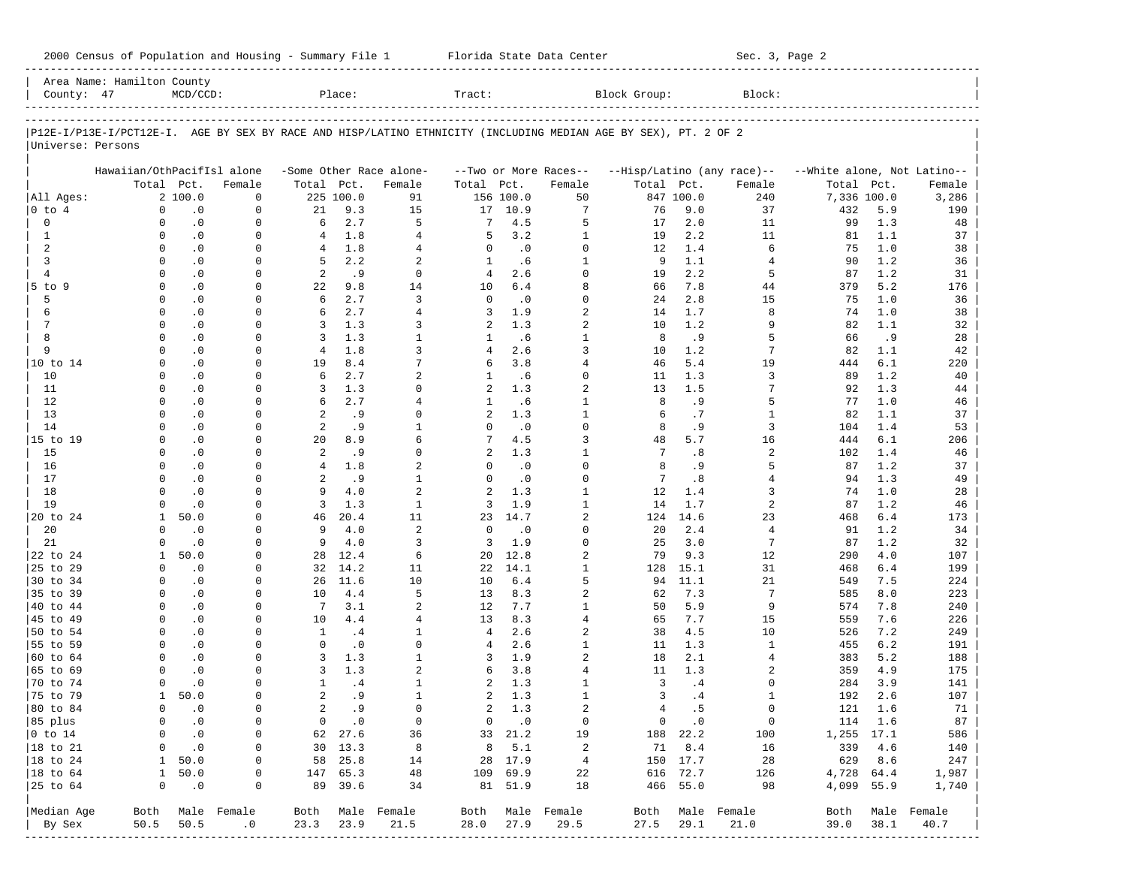| 2000 Census of Population and Housing - Summary File 1 |  | Florida State Data Center | Sec. 3, Page 2 |
|--------------------------------------------------------|--|---------------------------|----------------|
|--------------------------------------------------------|--|---------------------------|----------------|

|                      | Area Name: Hamilton County                                                                                     |                             |                  |                            |                  |                         |              |                   |                               |              |                  |                            |                             |            |              |
|----------------------|----------------------------------------------------------------------------------------------------------------|-----------------------------|------------------|----------------------------|------------------|-------------------------|--------------|-------------------|-------------------------------|--------------|------------------|----------------------------|-----------------------------|------------|--------------|
| County: 47           |                                                                                                                | $MCD/CCD$ :                 |                  |                            | Place:           |                         | Tract:       |                   |                               | Block Group: |                  | Block:                     |                             |            |              |
|                      |                                                                                                                |                             |                  |                            |                  |                         |              |                   |                               |              |                  |                            |                             |            |              |
| Universe: Persons    | P12E-I/P13E-I/PCT12E-I. AGE BY SEX BY RACE AND HISP/LATINO ETHNICITY (INCLUDING MEDIAN AGE BY SEX), PT. 2 OF 2 |                             |                  |                            |                  |                         |              |                   |                               |              |                  |                            |                             |            |              |
|                      | Hawaiian/OthPacifIsl alone                                                                                     |                             |                  |                            |                  | -Some Other Race alone- |              |                   | --Two or More Races--         |              |                  | --Hisp/Latino (any race)-- | --White alone, Not Latino-- |            |              |
|                      |                                                                                                                | Total Pct.                  | Female           | Total Pct.                 |                  | Female                  | Total        | Pct.              | Female                        | Total Pct.   |                  | Female                     | Total                       | Pct.       | Female       |
| All Ages:<br>0 to 4  | 0                                                                                                              | 2 100.0<br>$\cdot$ 0        | 0<br>0           | 21                         | 225 100.0<br>9.3 | 91<br>15                | 17           | 156 100.0<br>10.9 | 50<br>7                       | 76           | 847 100.0<br>9.0 | 240<br>37                  | 7,336 100.0<br>432          | 5.9        | 3,286<br>190 |
| 0                    | 0                                                                                                              | $\cdot$ 0                   | 0                | 6                          | 2.7              | 5                       | 7            | 4.5               | 5                             | 17           | 2.0              | 11                         | 99                          | 1.3        | 48           |
| 1                    | 0                                                                                                              | $\cdot$ 0                   | 0                | 4                          | 1.8              | $\overline{4}$          | 5            | 3.2               | $\mathbf{1}$                  | 19           | 2.2              | 11                         | 81                          | 1.1        | 37           |
| 2                    | $\Omega$                                                                                                       | $\cdot$ 0                   | $\Omega$         | 4                          | 1.8              | 4                       | 0            | $\cdot$ 0         | 0                             | 12           | 1.4              | 6                          | 75                          | 1.0        | 38           |
| 3                    | $\Omega$                                                                                                       | $\cdot$ 0                   | 0                | 5                          | 2.2              | 2                       | $\mathbf{1}$ | .6                | 1                             | 9            | 1.1              | 4                          | 90                          | 1.2        | 36           |
| $\overline{4}$       | $\Omega$                                                                                                       | $\cdot$ 0                   | $\Omega$         | 2                          | .9               | $\mathbf 0$             | 4            | 2.6               | $\Omega$                      | 19           | 2.2              | 5                          | 87                          | 1.2        | 31           |
| $5$ to $9$           | 0                                                                                                              | $\cdot$ 0                   | 0                | 22                         | 9.8              | 14                      | 10           | 6.4               | 8                             | 66           | 7.8              | 44                         | 379                         | 5.2        | 176          |
| 5                    | 0                                                                                                              | $\cdot$ 0                   | $\Omega$         | 6                          | 2.7              | 3                       | 0            | $\cdot$ 0         | $\Omega$                      | 24           | 2.8              | 15                         | 75                          | 1.0        | 36           |
| 6                    | $\Omega$                                                                                                       | $\cdot$ 0                   | 0                | 6                          | 2.7              | $\overline{4}$          | 3            | 1.9               | 2                             | 14           | 1.7              | 8                          | 74                          | 1.0        | 38           |
| 7                    | $\Omega$                                                                                                       | $\cdot$ 0                   | $\Omega$         | 3                          | 1.3              | 3                       | 2            | 1.3               | 2                             | 10           | 1.2              | 9                          | 82                          | 1.1        | 32           |
| 8                    | $\Omega$                                                                                                       | $\cdot$ 0                   | 0                | 3                          | 1.3              | $\mathbf{1}$            | 1            | .6                | $\mathbf{1}$                  | 8            | . 9              | 5                          | 66                          | .9         | 28           |
| 9                    | $\Omega$                                                                                                       | $\cdot$ 0                   | 0                | 4                          | 1.8              | 3                       | 4            | 2.6               | 3                             | 10           | 1.2              | 7                          | 82                          | 1.1        | 42           |
| 10 to 14             | $\Omega$                                                                                                       | $\cdot$ 0                   | 0                | 19                         | 8.4              | 7                       | 6            | 3.8               | $\overline{4}$                | 46           | 5.4              | 19                         | 444                         | 6.1        | 220          |
| 10                   | $\Omega$                                                                                                       | $\cdot$ 0                   | 0                | 6                          | 2.7              | 2                       | 1            | .6                | $\Omega$                      | 11           | 1.3              | 3                          | 89                          | 1.2        | 40           |
| 11<br>12             | 0<br>$\Omega$                                                                                                  | $\cdot$ 0                   | 0<br>0           | 3<br>6                     | 1.3<br>2.7       | $\Omega$<br>4           | 2            | 1.3               | 2                             | 13           | 1.5              | 7<br>5                     | 92                          | 1.3<br>1.0 | 44           |
| 13                   | $\Omega$                                                                                                       | $\cdot$ 0<br>$\cdot$ 0      | 0                | 2                          | . 9              | 0                       | 1<br>2       | .6<br>1.3         | 1<br>1                        | 8<br>6       | .9<br>.7         | 1                          | 77<br>82                    | 1.1        | 46<br>37     |
| 14                   | $\Omega$                                                                                                       | $\cdot$ 0                   | $\Omega$         | 2                          | .9               | 1                       | $\Omega$     | $\cdot$ 0         | $\Omega$                      | 8            | . 9              | 3                          | 104                         | 1.4        | 53           |
| 15 to 19             | 0                                                                                                              | $\cdot$ 0                   | 0                | 20                         | 8.9              | 6                       | 7            | 4.5               | 3                             | 48           | 5.7              | 16                         | 444                         | 6.1        | 206          |
| 15                   | $\Omega$                                                                                                       | $\cdot$ 0                   | $\Omega$         | 2                          | .9               | 0                       | 2            | 1.3               | 1                             | 7            | .8               | 2                          | 102                         | 1.4        | 46           |
| 16                   | $\Omega$                                                                                                       | $\cdot$ 0                   | 0                | $\overline{4}$             | 1.8              | 2                       | 0            | $\cdot$ 0         | $\Omega$                      | 8            | .9               | 5                          | 87                          | 1.2        | 37           |
| 17                   | $\Omega$                                                                                                       | $\cdot$ 0                   | $\Omega$         | 2                          | .9               | 1                       | $\Omega$     | $\cdot$ 0         | $\Omega$                      | 7            | .8               | 4                          | 94                          | 1.3        | 49           |
| 18                   | $\Omega$                                                                                                       | $\cdot$ 0                   | 0                | 9                          | 4.0              | $\overline{a}$          | 2            | 1.3               | $\mathbf{1}$                  | 12           | 1.4              | 3                          | 74                          | 1.0        | 28           |
| 19                   | $\Omega$                                                                                                       | $\cdot$ 0                   | $\Omega$         | 3                          | 1.3              | 1                       | 3            | 1.9               | $\mathbf{1}$                  | 14           | 1.7              | 2                          | 87                          | 1.2        | 46           |
| 20 to 24             | $\mathbf{1}$                                                                                                   | 50.0                        | 0                | 46                         | 20.4             | 11                      | 23           | 14.7              | 2                             | 124          | 14.6             | 23                         | 468                         | 6.4        | 173          |
| 20                   | 0                                                                                                              | $\cdot$ 0                   | 0                | 9                          | 4.0              | 2                       | 0            | $\cdot$ 0         | $\Omega$                      | 20           | 2.4              | 4                          | 91                          | 1.2        | 34           |
| 21                   | $\Omega$                                                                                                       | $\cdot$ 0                   | 0                | 9                          | 4.0              | 3                       | 3            | 1.9               | $\Omega$                      | 25           | 3.0              | 7                          | 87                          | 1.2        | 32           |
| 22 to 24             | 1                                                                                                              | 50.0                        | $\Omega$         | 28                         | 12.4             | 6                       | 20           | 12.8              | 2                             | 79           | 9.3              | 12                         | 290                         | 4.0        | 107          |
| 25 to 29             | $\Omega$                                                                                                       | $\cdot$ 0                   | 0                | 32                         | 14.2             | 11                      | 22           | 14.1              | 1                             | 128          | 15.1             | 31                         | 468                         | 6.4        | 199          |
| 30 to 34             | $\Omega$                                                                                                       | $\cdot$ 0                   | $\Omega$         | 26                         | 11.6             | 10                      | 10           | 6.4               | 5                             | 94           | 11.1             | 21                         | 549                         | 7.5        | 224          |
| 35 to 39             | $\Omega$                                                                                                       | $\cdot$ 0                   | 0                | 10                         | 4.4              | 5                       | 13           | 8.3               | 2                             | 62           | 7.3              | 7                          | 585                         | 8.0        | 223          |
| 40 to 44<br>45 to 49 | $\Omega$<br>$\Omega$                                                                                           | $\cdot$ 0<br>$\cdot$ 0      | 0<br>0           | 7<br>10                    | 3.1<br>4.4       | 2<br>$\overline{4}$     | 12<br>13     | 7.7<br>8.3        | 1<br>4                        | 50<br>65     | 5.9<br>7.7       | 9<br>15                    | 574<br>559                  | 7.8<br>7.6 | 240          |
| 50 to 54             | $\Omega$                                                                                                       | $\cdot$ 0                   | 0                | 1                          | .4               | 1                       | 4            | 2.6               | 2                             | 38           | 4.5              | 10                         | 526                         | 7.2        | 226<br>249   |
| 55 to 59             | $\Omega$                                                                                                       | $\cdot$ 0                   | 0                | 0                          | $\cdot$ 0        | 0                       | 4            | 2.6               | $\mathbf{1}$                  | 11           | 1.3              | 1                          | 455                         | 6.2        | 191          |
| 60 to 64             | $\Omega$                                                                                                       | $\cdot$ 0                   | $\Omega$         | 3                          | 1.3              | $\mathbf{1}$            | 3            | 1.9               | 2                             | 18           | 2.1              | 4                          | 383                         | 5.2        | 188          |
| 65 to 69             | $\Omega$                                                                                                       | $\cdot$ 0                   | 0                | 3                          | 1.3              | 2                       | 6            | 3.8               | 4                             | 11           | 1.3              | 2                          | 359                         | 4.9        | 175          |
| 70 to 74             | $\Omega$                                                                                                       | $\cdot$ 0                   | $\Omega$         | $\mathbf{1}$               | .4               | $\mathbf{1}$            | 2            | 1.3               | $\mathbf{1}$                  | 3            | .4               | 0                          | 284                         | 3.9        | 141          |
| 75 to 79             | $\mathbf{1}$                                                                                                   | 50.0                        | 0                | 2                          | .9               | $\mathbf{1}$            | 2            | 1.3               | 1                             | 3            | .4               | 1                          | 192                         | 2.6        | 107          |
| 80 to 84             |                                                                                                                | $\overline{0}$<br>$\cdot$ 0 | 0                | 2                          | . 9              | 0                       |              | $2 \t1.3$         | 2                             | 4            | . 5              | 0                          | 121                         | 1.6        | 71           |
| 85 plus              | 0                                                                                                              | $\cdot$ 0                   | 0                | $\overline{0}$             | $\cdot$ 0        | $\mathbf 0$             |              | $0 \qquad .0$     | $\mathbf 0$                   |              | $0 \qquad .0$    | $\mathbf 0$                |                             | 114 1.6    | 87           |
| $ 0 \t{to} 14$       | 0                                                                                                              | $\cdot$ 0                   | 0                |                            | 62 27.6          | 36                      |              | 33 21.2           | 19                            |              | 188 22.2         | 100                        | 1,255 17.1                  |            | 586          |
| 18 to 21             | 0                                                                                                              | $\cdot$ 0                   | 0                |                            | 30 13.3          | $_{\rm 8}$              |              | 8, 5.1            | 2                             | 71           | 8.4              | 16                         |                             | 339 4.6    | 140          |
| 18 to 24             |                                                                                                                | 1 50.0                      | 0                |                            | 58 25.8          | 14                      |              | 28 17.9           | $\frac{4}{3}$                 |              | 150 17.7         | 28                         | 629 8.6                     |            | 247          |
| $ 18$ to $64$        | $\mathbf{1}$                                                                                                   | 50.0                        | 0                |                            | 147 65.3         | 48                      |              | 109 69.9          | 22                            |              | 616 72.7         | 126                        | 4,728 64.4                  |            | 1,987        |
| 25 to 64             | $\overline{0}$                                                                                                 | $\cdot$ 0                   | 0                |                            | 89 39.6          | 34                      |              | 81 51.9           | 18                            |              | 466 55.0         | 98                         | 4,099 55.9                  |            | 1,740        |
| Median Age           |                                                                                                                |                             | Both Male Female |                            |                  | Both Male Female        |              |                   | Both Male Female              |              |                  | Both Male Female           | Both                        |            | Male Female  |
| By Sex               | 50.5                                                                                                           | 50.5                        | .0               | 23.3 23.9                  |                  | 21.5                    | 28.0         | 27.9              | 29.5                          | 27.5         | 29.1             | 21.0                       | 39.0                        | 38.1       | 40.7         |
|                      |                                                                                                                |                             |                  | -------------------------- |                  |                         |              |                   | _____________________________ |              |                  | -------------------------  |                             |            |              |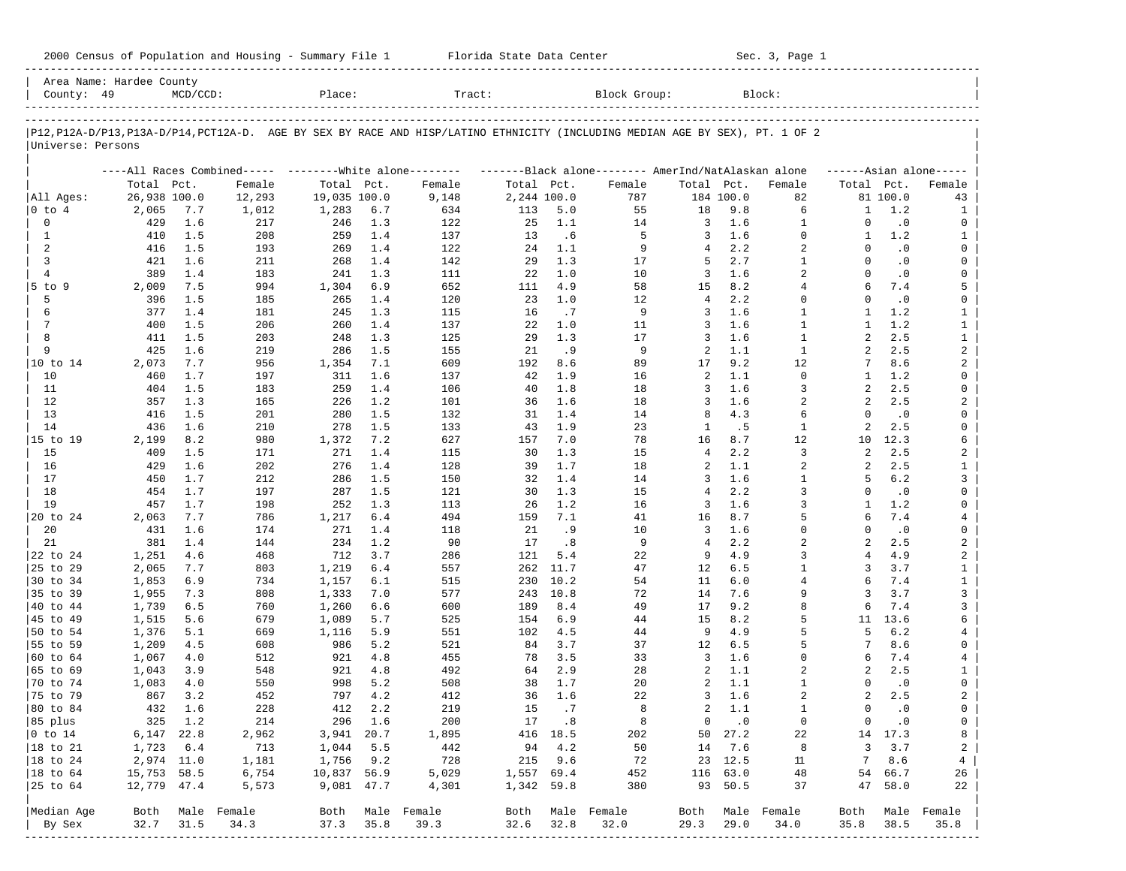| 2000 Census of Population and Housing - Summary File 1 |  | Florida State Data Center | Sec. 3, Page 1 |
|--------------------------------------------------------|--|---------------------------|----------------|
|--------------------------------------------------------|--|---------------------------|----------------|

| County: 49             | Area Name: Hardee County | $MCD/CCD$ : |                                                         | Place:         |            | Tract:                                                                                                                     |             |              | Block Group:                                        |                     |               | Block:                         |                |                  |                     |
|------------------------|--------------------------|-------------|---------------------------------------------------------|----------------|------------|----------------------------------------------------------------------------------------------------------------------------|-------------|--------------|-----------------------------------------------------|---------------------|---------------|--------------------------------|----------------|------------------|---------------------|
|                        |                          |             |                                                         |                |            |                                                                                                                            |             |              |                                                     |                     |               |                                |                |                  |                     |
|                        |                          |             |                                                         |                |            | P12,P12A-D/P13,P13A-D/P14,PCT12A-D. AGE BY SEX BY RACE AND HISP/LATINO ETHNICITY (INCLUDING MEDIAN AGE BY SEX), PT. 1 OF 2 |             |              |                                                     |                     |               |                                |                |                  |                     |
| Universe: Persons      |                          |             |                                                         |                |            |                                                                                                                            |             |              |                                                     |                     |               |                                |                |                  |                     |
|                        |                          |             | ----All Races Combined----- --------White alone-------- |                |            |                                                                                                                            |             |              | -------Black alone-------- AmerInd/NatAlaskan alone |                     |               |                                |                |                  | $---Asian alone---$ |
|                        | Total Pct.               |             | Female                                                  | Total Pct.     |            | Female                                                                                                                     | Total Pct.  |              | Female                                              | Total Pct.          |               | Female                         | Total Pct.     |                  | Female              |
| All Ages:              | 26,938 100.0             |             | 12,293                                                  | 19,035 100.0   |            | 9,148                                                                                                                      | 2,244 100.0 |              | 787                                                 |                     | 184 100.0     | 82                             |                | 81 100.0         | 43                  |
| 0 to 4                 | 2,065                    | 7.7         | 1,012                                                   | 1,283          | 6.7        | 634                                                                                                                        | 113         | 5.0          | 55                                                  | 18                  | 9.8           | 6                              | 1              | 1.2              | 1                   |
| 0                      | 429                      | 1.6         | 217                                                     | 246            | 1.3        | 122                                                                                                                        | 25          | 1.1          | 14                                                  | 3                   | 1.6           | $\mathbf{1}$                   | $\Omega$       | $\cdot$ 0        | 0                   |
| 1<br>2                 | 410<br>416               | 1.5<br>1.5  | 208                                                     | 259<br>269     | 1.4<br>1.4 | 137                                                                                                                        | 13<br>24    | .6<br>1.1    | 5<br>9                                              | 3<br>$\overline{4}$ | 1.6<br>2.2    | $\mathbf 0$<br>$\overline{a}$  | 1<br>$\Omega$  | 1.2<br>$\cdot$ 0 | $\mathbf{1}$<br>0   |
| 3                      | 421                      | 1.6         | 193<br>211                                              | 268            | 1.4        | 122<br>142                                                                                                                 | 29          | 1.3          | 17                                                  | 5                   | 2.7           | $\mathbf{1}$                   | $\Omega$       | $\cdot$ 0        | 0                   |
| $\overline{4}$         | 389                      | 1.4         | 183                                                     | 241            | 1.3        | 111                                                                                                                        | 22          | 1.0          | 10                                                  | 3                   | 1.6           | $\overline{2}$                 | $\Omega$       | $\cdot$ 0        | 0                   |
| $5$ to $9$             | 2,009                    | 7.5         | 994                                                     | 1,304          | 6.9        | 652                                                                                                                        | 111         | 4.9          | 58                                                  | 15                  | 8.2           | $\overline{4}$                 | 6              | 7.4              | 5                   |
| 5                      | 396                      | 1.5         | 185                                                     | 265            | 1.4        | 120                                                                                                                        | 23          | 1.0          | 12                                                  | $\overline{4}$      | 2.2           | $\Omega$                       | $\Omega$       | $\cdot$ 0        | 0                   |
| 6                      | 377                      | 1.4         | 181                                                     | 245            | 1.3        | 115                                                                                                                        | 16          | .7           | 9                                                   | 3                   | 1.6           | $\mathbf{1}$                   | -1             | 1.2              | $\mathbf{1}$        |
| 7                      | 400                      | 1.5         | 206                                                     | 260            | 1.4        | 137                                                                                                                        | 22          | 1.0          | 11                                                  | 3                   | 1.6           | $\mathbf{1}$                   | $\mathbf{1}$   | 1.2              | $\mathbf{1}$        |
| 8                      | 411                      | 1.5         | 203                                                     | 248            | 1.3        | 125                                                                                                                        | 29          | 1.3          | 17                                                  | 3                   | 1.6           | $\mathbf{1}$                   | $\overline{a}$ | 2.5              | $\mathbf{1}$        |
| 9                      | 425                      | 1.6         | 219                                                     | 286            | 1.5        | 155                                                                                                                        | 21          | . 9          | 9                                                   | 2                   | 1.1           | $\mathbf{1}$                   | $\overline{a}$ | 2.5              | $\overline{a}$      |
| 10 to 14               | 2,073                    | 7.7         | 956                                                     | 1,354          | 7.1        | 609                                                                                                                        | 192         | 8.6          | 89                                                  | 17                  | 9.2           | 12                             | 7              | 8.6              | 2                   |
| 10                     | 460                      | 1.7         | 197                                                     | 311            | 1.6        | 137                                                                                                                        | 42          | 1.9          | 16                                                  | 2                   | 1.1           | $\mathbf 0$                    | -1             | 1.2              | 0                   |
| 11                     | 404                      | 1.5         | 183                                                     | 259            | 1.4        | 106                                                                                                                        | 40          | 1.8          | 18                                                  | 3                   | 1.6           | 3                              | 2              | 2.5              | 0                   |
| 12                     | 357                      | 1.3         | 165                                                     | 226            | 1.2        | 101                                                                                                                        | 36          | 1.6          | 18                                                  | 3                   | 1.6           | $\overline{a}$                 | $\overline{a}$ | 2.5              | 2                   |
| 13                     | 416                      | 1.5         | 201                                                     | 280            | 1.5        | 132                                                                                                                        | 31          | 1.4          | 14                                                  | 8                   | 4.3           | 6                              | $\Omega$       | $\cdot$ 0        | 0                   |
| 14                     | 436                      | 1.6         | 210                                                     | 278            | 1.5        | 133                                                                                                                        | 43          | 1.9          | 23                                                  | 1                   | .5            | $\mathbf{1}$                   | 2              | 2.5              | 0                   |
| 15 to 19               | 2,199                    | 8.2         | 980                                                     | 1,372          | 7.2        | 627                                                                                                                        | 157         | 7.0          | 78                                                  | 16                  | 8.7           | 12                             | 10             | 12.3             | 6                   |
| 15                     | 409                      | 1.5         | 171                                                     | 271            | 1.4        | 115                                                                                                                        | 30          | 1.3          | 15                                                  | $\overline{4}$      | 2.2           | 3                              | 2              | 2.5              | 2                   |
| 16                     | 429                      | 1.6         | 202                                                     | 276            | 1.4        | 128                                                                                                                        | 39          | 1.7          | 18                                                  | 2                   | 1.1           | 2                              | $\overline{a}$ | 2.5              | $\mathbf{1}$        |
| 17                     | 450                      | 1.7         | 212                                                     | 286            | 1.5        | 150                                                                                                                        | 32          | 1.4          | 14                                                  | 3                   | 1.6           | $\mathbf{1}$                   | 5              | 6.2              | 3                   |
| 18                     | 454                      | 1.7         | 197                                                     | 287            | 1.5        | 121                                                                                                                        | 30          | 1.3          | 15                                                  | $\overline{4}$      | 2.2           | 3                              | $\Omega$       | $\cdot$ 0        | 0                   |
| 19                     | 457                      | 1.7         | 198                                                     | 252            | 1.3        | 113                                                                                                                        | 26          | 1.2          | 16                                                  | 3                   | 1.6           | 3                              | 1              | 1.2              | 0                   |
| 20 to 24               | 2,063                    | 7.7         | 786                                                     | 1,217          | 6.4        | 494                                                                                                                        | 159         | 7.1          | 41                                                  | 16                  | 8.7           | 5                              | 6              | 7.4              | 4                   |
| 20                     | 431                      | 1.6         | 174                                                     | 271            | 1.4        | 118                                                                                                                        | 21          | .9           | 10                                                  | 3                   | 1.6           | $\mathbf 0$                    | $\Omega$       | $\cdot$ 0        | 0                   |
| 21                     | 381                      | 1.4         | 144                                                     | 234            | 1.2        | 90                                                                                                                         | 17          | .8           | 9                                                   | $\overline{4}$      | 2.2           | $\overline{a}$                 | $\overline{a}$ | 2.5              | $\overline{a}$      |
| 22 to 24               | 1,251                    | 4.6         | 468                                                     | 712            | 3.7        | 286                                                                                                                        | 121         | 5.4          | 22                                                  | 9                   | 4.9           | 3                              | $\overline{4}$ | 4.9              | $\overline{a}$      |
| 25 to 29               | 2,065                    | 7.7         | 803                                                     | 1,219          | 6.4        | 557                                                                                                                        | 262         | 11.7         | 47                                                  | 12                  | 6.5           | $\mathbf{1}$<br>$\overline{4}$ | 3<br>6         | 3.7              | $\mathbf{1}$        |
| 30 to 34<br>35 to 39   | 1,853                    | 6.9         | 734<br>808                                              | 1,157          | 6.1<br>7.0 | 515<br>577                                                                                                                 | 230<br>243  | 10.2<br>10.8 | 54<br>72                                            | 11<br>14            | 6.0<br>7.6    | 9                              | 3              | 7.4<br>3.7       | $\mathbf{1}$<br>3   |
| 40 to 44               | 1,955                    | 7.3<br>6.5  | 760                                                     | 1,333          | 6.6        | 600                                                                                                                        | 189         | 8.4          | 49                                                  | 17                  | 9.2           | 8                              | 6              | 7.4              | 3                   |
| 45 to 49               | 1,739<br>1,515           | 5.6         | 679                                                     | 1,260<br>1,089 | 5.7        | 525                                                                                                                        | 154         | 6.9          | 44                                                  | 15                  | 8.2           | 5                              | 11             | 13.6             | 6                   |
| 50 to 54               | 1,376                    | 5.1         | 669                                                     | 1,116          | 5.9        | 551                                                                                                                        | 102         | 4.5          | 44                                                  | 9                   | 4.9           | 5                              | 5              | 6.2              | 4                   |
| 55 to 59               | 1,209                    | 4.5         | 608                                                     | 986            | 5.2        | 521                                                                                                                        | 84          | 3.7          | 37                                                  | 12                  | 6.5           | 5                              | 7              | 8.6              | 0                   |
| 60 to 64               | 1,067                    | 4.0         | 512                                                     | 921            | 4.8        | 455                                                                                                                        | 78          | 3.5          | 33                                                  | 3                   | 1.6           | $\mathbf 0$                    | 6              | 7.4              | 4                   |
| 65 to 69               | 1,043                    | 3.9         | 548                                                     | 921            | 4.8        | 492                                                                                                                        | 64          | 2.9          | 28                                                  | 2                   | 1.1           | 2                              | 2              | 2.5              | $\mathbf{1}$        |
| 70 to 74               | 1,083                    | 4.0         | 550                                                     | 998            | 5.2        | 508                                                                                                                        | 38          | 1.7          | 20                                                  | 2                   | 1.1           | $\mathbf{1}$                   | $\Omega$       | $\cdot$ 0        | 0                   |
| 75 to 79               | 867                      | 3.2         | 452                                                     | 797            | 4.2        | 412                                                                                                                        | 36          | 1.6          | 22                                                  | 3                   | 1.6           | 2                              | 2              | 2.5              | $\overline{a}$      |
| 80 to 84               | 432                      | 1.6         | 228                                                     | 412            | 2.2        | 219                                                                                                                        | 15          | .7           | 8                                                   | 2                   | 1.1           | $\mathbf{1}$                   | $\Omega$       | $\cdot$ 0        | $\mathbf 0$         |
| 85 plus                |                          | 325 1.2     | 214                                                     |                | 296 1.6    | 200                                                                                                                        |             | 17.8         | 8                                                   |                     | $0 \qquad .0$ | $\overline{0}$                 | $\overline{0}$ | $\cdot$ 0        | 0                   |
| $ 0 \t\t \text{to} 14$ | $6,147$ 22.8             |             | 2,962                                                   | 3,941 20.7     |            | 1,895                                                                                                                      |             | 416 18.5     | 202                                                 |                     | 50 27.2       | 22                             |                | 14 17.3          | 8                   |
| 18 to 21               | 1,723                    | 6.4         | 713                                                     | 1,044          | 5.5        | 442                                                                                                                        |             | 94 4.2       | 50                                                  |                     | 14 7.6        | 8                              | 3              | 3.7              | 2                   |
| $ 18$ to $24$          | 2,974 11.0               |             | 1,181                                                   | 1,756          | 9.2        | 728                                                                                                                        |             | 215 9.6      | 72                                                  |                     | 23 12.5       | 11                             | $7\overline{}$ | 8.6              | 4                   |
| $ 18$ to $64$          | 15,753 58.5              |             | 6,754                                                   | 10,837 56.9    |            | 5,029                                                                                                                      | 1,557 69.4  |              | 452                                                 |                     | 116 63.0      | 48                             |                | 54 66.7          | 26                  |
| 25 to 64               | 12,779 47.4              |             | 5,573                                                   | 9,081 47.7     |            | 4,301                                                                                                                      | 1,342 59.8  |              | 380                                                 |                     | 93 50.5       | 37                             |                | 47 58.0          | 22                  |
| Median Age             |                          |             | Both Male Female                                        |                |            | Both Male Female                                                                                                           |             |              | Both Male Female                                    |                     |               | Both Male Female               | Both           |                  | Male Female         |
| By Sex                 | 32.7                     | 31.5        | 34.3                                                    | 37.3           | 35.8       | 39.3                                                                                                                       | 32.6        | 32.8         | 32.0                                                | 29.3                | 29.0          | 34.0                           | 35.8           | 38.5             | 35.8                |
| ----------             |                          |             |                                                         |                |            |                                                                                                                            |             |              |                                                     |                     |               |                                |                |                  |                     |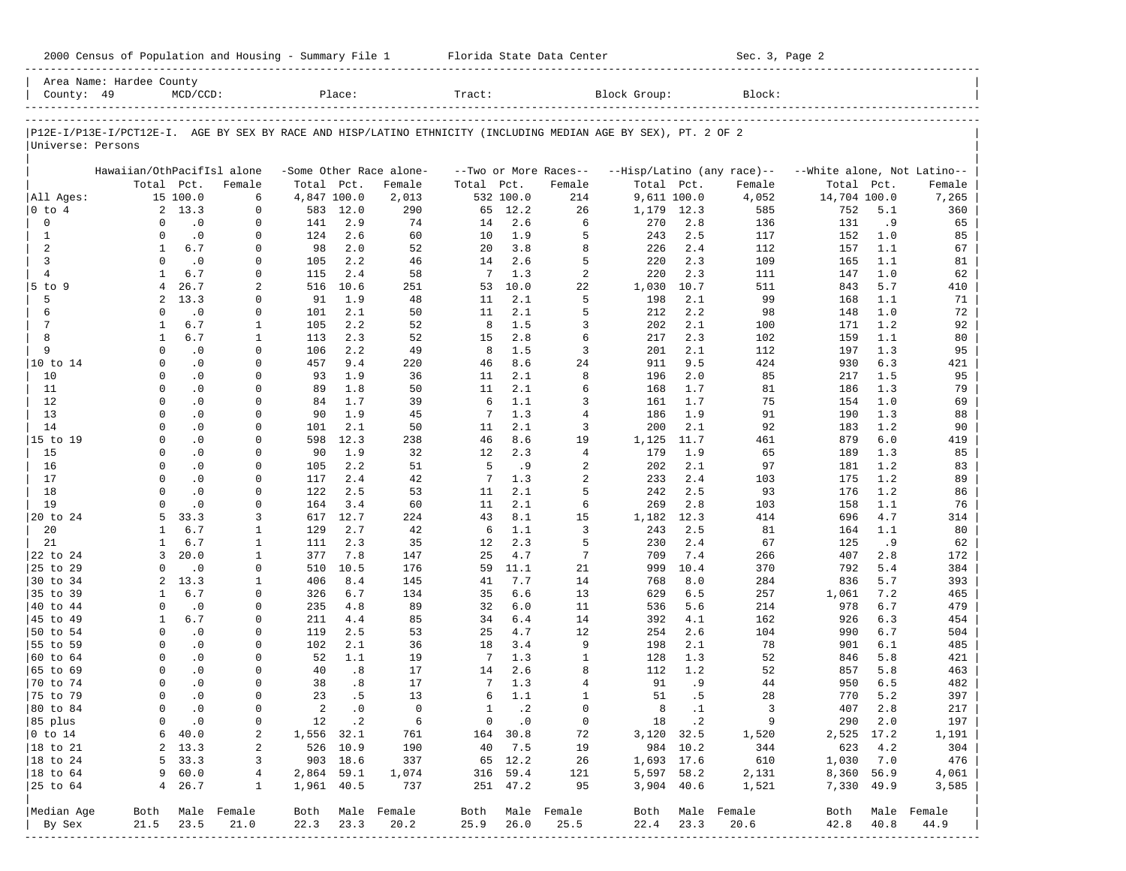|                      | Area Name: Hardee County   |                          |                  |             |           |                         |              |               |                       |                                                                                                                |           |                            |                             |       |             |
|----------------------|----------------------------|--------------------------|------------------|-------------|-----------|-------------------------|--------------|---------------|-----------------------|----------------------------------------------------------------------------------------------------------------|-----------|----------------------------|-----------------------------|-------|-------------|
| County: 49           |                            | $MCD/CCD$ :              |                  |             | Place:    |                         | Tract:       |               |                       | Block Group:                                                                                                   |           | Block:                     |                             |       |             |
|                      |                            |                          |                  |             |           |                         |              |               |                       |                                                                                                                |           |                            |                             |       |             |
| Universe: Persons    |                            |                          |                  |             |           |                         |              |               |                       | P12E-I/P13E-I/PCT12E-I. AGE BY SEX BY RACE AND HISP/LATINO ETHNICITY (INCLUDING MEDIAN AGE BY SEX), PT. 2 OF 2 |           |                            |                             |       |             |
|                      | Hawaiian/OthPacifIsl alone |                          |                  |             |           | -Some Other Race alone- |              |               | --Two or More Races-- |                                                                                                                |           | --Hisp/Latino (any race)-- | --White alone, Not Latino-- |       |             |
|                      |                            | Total Pct.               | Female           | Total Pct.  |           | Female                  | Total Pct.   |               | Female                | Total Pct.                                                                                                     |           | Female                     | Total Pct.                  |       | Female      |
| All Ages:            |                            | 15 100.0                 | 6                | 4,847 100.0 |           | 2,013                   |              | 532 100.0     | 214                   | 9,611 100.0                                                                                                    |           | 4,052                      | 14,704 100.0                |       | 7,265       |
| $0$ to $4$           |                            | 2, 13.3                  | $\mathbf 0$      |             | 583 12.0  | 290                     | 65           | 12.2          | 26                    | 1,179                                                                                                          | 12.3      | 585                        | 752                         | 5.1   | 360         |
| $\mathbf 0$          | $\Omega$                   | $\cdot$ 0                | 0                | 141         | 2.9       | 74                      | 14           | 2.6           | 6                     | 270                                                                                                            | 2.8       | 136                        | 131                         | .9    | 65          |
| $\mathbf{1}$         | $\Omega$                   | $\cdot$ 0                | $\Omega$         | 124         | 2.6       | 60                      | 10           | 1.9           | 5                     | 243                                                                                                            | 2.5       | 117                        | 152                         | 1.0   | 85          |
| 2                    | $\mathbf{1}$               | 6.7                      | $\Omega$         | 98          | 2.0       | 52                      | 20           | 3.8           | 8                     | 226                                                                                                            | 2.4       | 112                        | 157                         | 1.1   | 67          |
| $\overline{3}$       | $\Omega$                   | $\cdot$ 0                | $\Omega$         | 105         | 2.2       | 46                      | 14           | 2.6           | 5                     | 220                                                                                                            | 2.3       | 109                        | 165                         | 1.1   | 81          |
| $\overline{4}$       | $\mathbf{1}$               | 6.7                      | $\Omega$         | 115         | 2.4       | 58                      | 7            | 1.3           | $\overline{c}$        | 220                                                                                                            | 2.3       | 111                        | 147                         | 1.0   | 62          |
| 5 to 9               | $\overline{4}$             | 26.7                     | 2                | 516         | 10.6      | 251                     | 53           | 10.0          | 22                    | 1,030                                                                                                          | 10.7      | 511                        | 843                         | 5.7   | 410         |
| 5                    | $\overline{a}$             | 13.3                     | $\Omega$         | 91          | 1.9       | 48                      | 11           | 2.1           | 5                     | 198                                                                                                            | 2.1       | 99                         | 168                         | 1.1   | 71          |
| 6                    | $\Omega$                   | $\cdot$ 0                | 0                | 101         | 2.1       | 50                      | 11           | 2.1           | 5                     | 212                                                                                                            | 2.2       | 98                         | 148                         | 1.0   | 72          |
| 7                    | 1                          | 6.7                      | 1                | 105         | 2.2       | 52                      | 8            | 1.5           | 3                     | 202                                                                                                            | 2.1       | 100                        | 171                         | 1.2   | 92          |
| 8                    | 1                          | 6.7                      | $\mathbf{1}$     | 113         | 2.3       | 52                      | 15           | 2.8           | 6                     | 217                                                                                                            | 2.3       | 102                        | 159                         | 1.1   | 80          |
| 9                    | $\Omega$                   | $\overline{\phantom{0}}$ | 0                | 106         | 2.2       | 49                      | 8            | 1.5           | 3                     | 201                                                                                                            | 2.1       | 112                        | 197                         | 1.3   | 95          |
| 10 to 14             | $\Omega$                   | $\cdot$ 0                | $\Omega$         | 457         | 9.4       | 220                     | 46           | 8.6           | 24                    | 911                                                                                                            | 9.5       | 424                        | 930                         | 6.3   | 421         |
| 10                   | $\Omega$                   | $\cdot$ 0                | $\Omega$         | 93          | 1.9       | 36                      | 11           | 2.1           | 8                     | 196                                                                                                            | 2.0       | 85                         | 217                         | 1.5   | 95          |
| 11                   | $\Omega$                   | $\cdot$ 0                | $\Omega$         | 89          | 1.8       | 50                      | 11           | 2.1           | 6                     | 168                                                                                                            | 1.7       | 81                         | 186                         | 1.3   | 79          |
| 12                   | $\Omega$                   | $\cdot$ 0                | $\Omega$         | 84          | 1.7       | 39                      | 6            | 1.1           | 3                     | 161                                                                                                            | 1.7       | 75                         | 154                         | 1.0   | 69          |
| 13                   | $\Omega$                   | $\cdot$ 0                | $\Omega$         | 90          | 1.9       | 45                      | 7            | 1.3           | $\overline{4}$        | 186                                                                                                            | 1.9       | 91                         | 190                         | 1.3   | 88          |
| 14                   | $\Omega$                   | $\cdot$ 0                | $\Omega$         | 101         | 2.1       | 50                      | 11           | 2.1           | 3                     | 200                                                                                                            | 2.1       | 92                         | 183                         | 1.2   | 90          |
| 15 to 19             | $\Omega$                   | $\cdot$ 0                | $\Omega$         | 598         | 12.3      | 238                     | 46           | 8.6           | 19                    | 1,125                                                                                                          | 11.7      | 461                        | 879                         | $6.0$ | 419         |
| 15                   | $\Omega$                   | $\cdot$ 0                | $\Omega$         | 90          | 1.9       | 32                      | 12           | 2.3           | $\overline{4}$        | 179                                                                                                            | 1.9       | 65                         | 189                         | 1.3   | 85          |
| 16                   | $\Omega$                   | $\cdot$ 0                | $\Omega$         | 105         | 2.2       | 51                      | 5            | .9            | $\overline{a}$        | 202                                                                                                            | 2.1       | 97                         | 181                         | 1.2   | 83          |
| 17                   | $\Omega$                   | $\cdot$ 0                | $\Omega$         | 117         | 2.4       | 42                      | 7            | 1.3           | $\overline{a}$        | 233                                                                                                            | 2.4       | 103                        | 175                         | 1.2   | 89          |
| 18                   | $\Omega$                   | $\cdot$ 0                | $\Omega$         | 122         | 2.5       | 53                      | 11           | 2.1           | 5                     | 242                                                                                                            | 2.5       | 93                         | 176                         | 1.2   | 86          |
| 19                   | $\Omega$                   | $\cdot$ 0                | $\Omega$         | 164         | 3.4       | 60                      | 11           | 2.1           | 6                     | 269                                                                                                            | 2.8       | 103                        | 158                         | 1.1   | 76          |
| 20 to 24             | 5                          | 33.3                     | 3                | 617         | 12.7      | 224                     | 43           | 8.1           | 15                    | 1,182                                                                                                          | 12.3      | 414                        | 696                         | 4.7   | 314         |
| 20                   | $\mathbf{1}$               | 6.7                      | 1                | 129         | 2.7       | 42                      | 6            | 1.1           | 3                     | 243                                                                                                            | 2.5       | 81                         | 164                         | 1.1   | 80          |
| 21                   | 1                          | 6.7                      | 1                | 111         | 2.3       | 35                      | 12           | 2.3           | 5                     | 230                                                                                                            | 2.4       | 67                         | 125                         | .9    | 62          |
| 22 to 24             | 3                          | 20.0                     | 1                | 377         | 7.8       | 147                     | 25           | 4.7           | $\overline{7}$        | 709                                                                                                            | 7.4       | 266                        | 407                         | 2.8   | 172         |
| 25 to 29             | $\Omega$                   | $\cdot$ 0                | $\Omega$         | 510         | 10.5      | 176                     | 59           | 11.1          | 21                    | 999                                                                                                            | 10.4      | 370                        | 792                         | 5.4   | 384         |
| 30 to 34             | 2                          | 13.3                     | 1                | 406         | 8.4       | 145                     | 41           | 7.7           | 14                    | 768                                                                                                            | 8.0       | 284                        | 836                         | 5.7   | 393         |
| 35 to 39             | 1                          | 6.7                      | 0                | 326         | 6.7       | 134                     | 35           | 6.6           | 13                    | 629                                                                                                            | 6.5       | 257                        | 1,061                       | 7.2   | 465         |
| 40 to 44             | $\Omega$                   | $\cdot$ 0                | $\Omega$         | 235         | 4.8       | 89                      | 32           | $6.0$         | 11                    | 536                                                                                                            | 5.6       | 214                        | 978                         | 6.7   | 479         |
| 45 to 49             | 1                          | 6.7                      | $\Omega$         | 211         | 4.4       | 85                      | 34           | 6.4           | 14                    | 392                                                                                                            | 4.1       | 162                        | 926                         | 6.3   | 454         |
| 50 to 54             | $\Omega$                   | $\cdot$ 0                | $\Omega$         | 119         | 2.5       | 53                      | 25           | 4.7           | 12                    | 254                                                                                                            | 2.6       | 104                        | 990                         | 6.7   | 504         |
| 55 to 59             | $\Omega$                   | $\cdot$ 0                | $\Omega$         | 102         | 2.1       | 36                      | 18           | 3.4           | 9                     | 198                                                                                                            | 2.1       | 78                         | 901                         | 6.1   | 485         |
| 60 to 64             | $\Omega$                   | $\overline{0}$           | $\Omega$         | 52          | 1.1       | 19                      | 7            | 1.3           | $\mathbf{1}$          | 128                                                                                                            | 1.3       | 52                         | 846                         | 5.8   | 421         |
| 65 to 69             | $\Omega$                   | $\cdot$ 0                | $\Omega$         | 40          | .8        | 17                      | 14           | 2.6           | 8                     | 112                                                                                                            | 1.2       | 52                         | 857                         | 5.8   | 463         |
| 70 to 74             | $\Omega$                   | $\cdot$ 0                | $\Omega$         | 38          | .8        | 17                      | 7            | 1.3           | $\overline{4}$        | 91                                                                                                             | . 9       | 44                         | 950                         | 6.5   | 482         |
| 75 to 79             | $\Omega$                   | $\cdot$ 0                | $\Omega$         | 23          | .5        | 13                      | 6            | 1.1           | $\mathbf{1}$          | 51                                                                                                             | .5        | 28                         | 770                         | 5.2   | 397         |
| 80 to 84             | $\Omega$                   | $\cdot$ 0                | $\Omega$         | 2           | $\cdot$ 0 | $\Omega$                | $\mathbf{1}$ | $\cdot$ 2     | $\Omega$              | 8                                                                                                              | $\cdot$ 1 | 3                          | 407                         | 2.8   | 217         |
| 85 plus              | 0                          | $\cdot$ 0                | $\mathbf{0}$     |             | 12 .2     | $6\overline{6}$         |              | $0 \qquad .0$ | $\overline{0}$        | $\begin{array}{ccc} 18 & .2 \end{array}$                                                                       |           | $\overline{9}$             | 290 2.0                     |       | 197         |
| $ 0 \t{to} 14$       |                            | 640.0                    | 2                | 1,556 32.1  |           | 761                     |              | 164 30.8      | 72                    | 3,120 32.5                                                                                                     |           | 1,520                      | 2,525 17.2                  |       | 1,191       |
| $ 18 \text{ to } 21$ |                            | 2, 13.3                  | 2                |             | 526 10.9  | 190                     |              | 40 7.5        | 19                    |                                                                                                                | 984 10.2  | 344                        | 623                         | 4.2   | 304         |
| $ 18 \text{ to } 24$ |                            | 5, 33.3                  | 3                |             | 903 18.6  | 337                     |              | 65 12.2       | 26                    | 1,693 17.6                                                                                                     |           | 610                        | 1,030 7.0                   |       | 476         |
| $ 18 \text{ to } 64$ |                            | 960.0                    | $4\overline{ }$  | 2,864 59.1  |           | 1,074                   |              | 316 59.4      | 121                   | 5,597 58.2                                                                                                     |           | 2,131                      | 8,360 56.9                  |       | 4,061       |
|                      |                            | 4, 26.7                  | $\mathbf{1}$     | 1,961 40.5  |           | 737                     |              | 251 47.2      | 95                    | 3,904 40.6                                                                                                     |           | 1,521                      | 7,330 49.9                  |       | 3,585       |
|                      |                            |                          |                  |             |           |                         |              |               |                       |                                                                                                                |           |                            |                             |       |             |
| Median Age           |                            |                          | Both Male Female |             |           | Both Male Female        |              |               | Both Male Female      |                                                                                                                |           | Both Male Female           | Both                        |       | Male Female |
| By Sex               | 21.5                       | 23.5                     | 21.0             | 22.3 23.3   |           | 20.2                    | 25.9         | 26.0          | 25.5                  | 22.4                                                                                                           | 23.3      | 20.6                       | 42.8                        | 40.8  | 44.9        |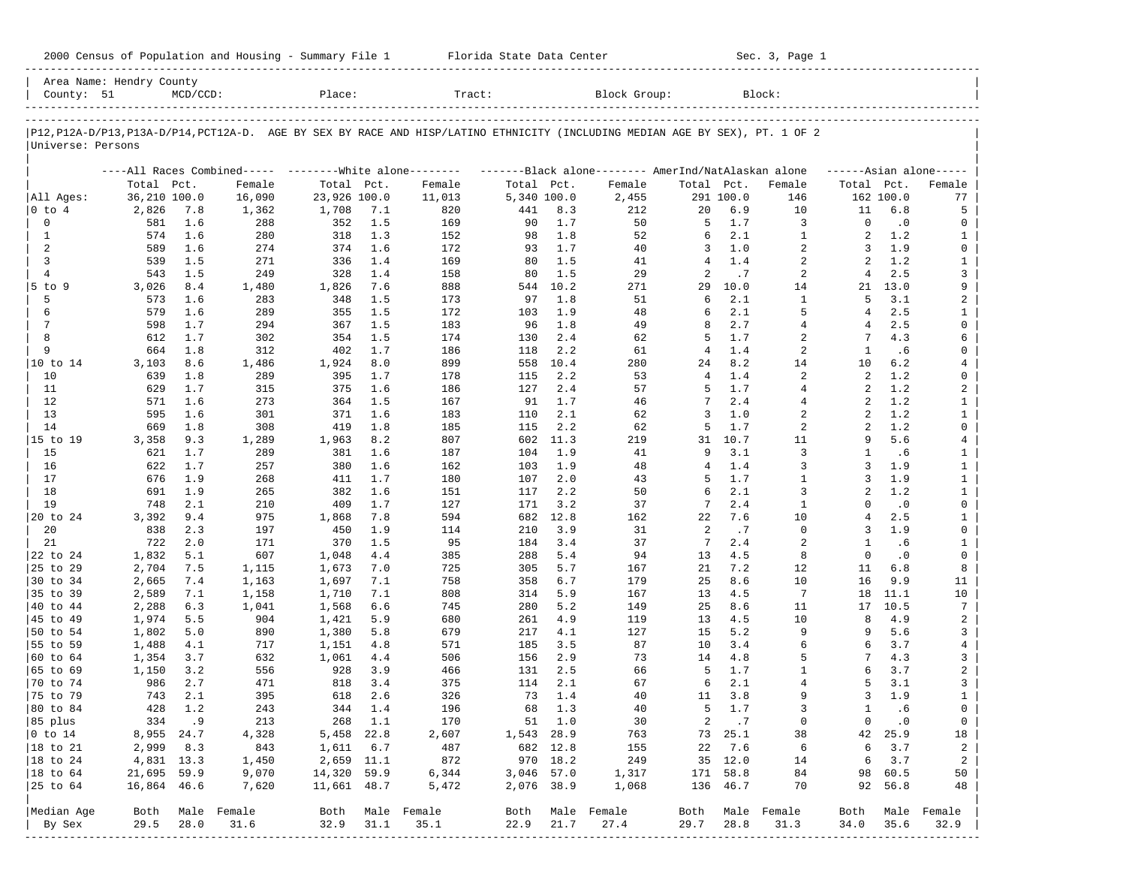| 2000 Census of Population and Housing - Summary File 1 |  | Florida State Data Center | Sec. 3, Page 1 |
|--------------------------------------------------------|--|---------------------------|----------------|
|--------------------------------------------------------|--|---------------------------|----------------|

| County: 51           | Area Name: Hendry County | $MCD/CCD$ : |                                                          | Place:         |            | Tract:                                                                                                                     |             |             | Block Group:                                        |                |             | Block:              |                |                  |                                |
|----------------------|--------------------------|-------------|----------------------------------------------------------|----------------|------------|----------------------------------------------------------------------------------------------------------------------------|-------------|-------------|-----------------------------------------------------|----------------|-------------|---------------------|----------------|------------------|--------------------------------|
|                      |                          |             |                                                          |                |            | P12,P12A-D/P13,P13A-D/P14,PCT12A-D. AGE BY SEX BY RACE AND HISP/LATINO ETHNICITY (INCLUDING MEDIAN AGE BY SEX), PT. 1 OF 2 |             |             |                                                     |                |             |                     |                |                  |                                |
| Universe: Persons    |                          |             |                                                          |                |            |                                                                                                                            |             |             |                                                     |                |             |                     |                |                  |                                |
|                      |                          |             | ----All Races Combined----- ---------White alone-------- |                |            |                                                                                                                            |             |             | -------Black alone-------- AmerInd/NatAlaskan alone |                |             |                     |                |                  | $---Asian alone---$            |
|                      | Total Pct.               |             | Female                                                   | Total Pct.     |            | Female                                                                                                                     | Total Pct.  |             | Female                                              | Total Pct.     |             | Female              | Total Pct.     |                  | Female                         |
| All Ages:            | 36,210 100.0             |             | 16,090                                                   | 23,926 100.0   |            | 11,013                                                                                                                     | 5,340 100.0 |             | 2,455                                               |                | 291 100.0   | 146                 |                | 162 100.0        | 77                             |
| $ 0 \t{to} 4$        | 2,826                    | 7.8         | 1,362                                                    | 1,708          | 7.1        | 820                                                                                                                        | 441         | 8.3         | 212                                                 | 20             | 6.9         | 10                  | 11             | 6.8              | 5                              |
| $\mathbf 0$          | 581                      | 1.6         | 288                                                      | 352            | 1.5        | 169                                                                                                                        | 90          | 1.7         | 50                                                  | 5              | 1.7         | 3                   | $\Omega$       | $\cdot$ 0        | 0                              |
| 1                    | 574                      | 1.6         | 280                                                      | 318            | 1.3        | 152                                                                                                                        | 98          | 1.8         | 52                                                  | 6              | 2.1         | 1                   | $\overline{a}$ | 1.2              | 1                              |
| 2                    | 589                      | 1.6         | 274                                                      | 374            | 1.6        | 172                                                                                                                        | 93          | 1.7         | 40                                                  | 3              | 1.0         | 2                   | 3              | 1.9              | 0                              |
| 3                    | 539                      | 1.5         | 271                                                      | 336            | 1.4        | 169                                                                                                                        | 80          | 1.5         | 41                                                  | 4              | 1.4         | 2                   | 2              | 1.2              | $\mathbf{1}$                   |
| $\overline{4}$       | 543                      | 1.5         | 249                                                      | 328            | 1.4        | 158                                                                                                                        | 80          | 1.5         | 29                                                  | 2              | .7          | 2                   | 4              | 2.5              | 3                              |
| $5$ to $9$           | 3,026                    | 8.4         | 1,480                                                    | 1,826          | 7.6        | 888                                                                                                                        | 544         | 10.2        | 271                                                 | 29             | 10.0        | 14                  | 21             | 13.0             | 9                              |
| 5                    | 573                      | 1.6         | 283                                                      | 348            | 1.5        | 173                                                                                                                        | 97          | 1.8         | 51                                                  | 6<br>6         | 2.1         | $\mathbf{1}$<br>5   | 5<br>4         | 3.1              | 2                              |
| 6                    | 579                      | 1.6         | 289                                                      | 355            | 1.5        | 172                                                                                                                        | 103         | 1.9         | 48                                                  |                | 2.1         |                     |                | 2.5              | 1                              |
| $7\phantom{.0}$<br>8 | 598                      | 1.7         | 294                                                      | 367            | 1.5        | 183                                                                                                                        | 96          | 1.8         | 49                                                  | 8<br>5         | 2.7<br>1.7  | $\overline{4}$      | 4<br>7         | 2.5              | 0<br>6                         |
| 9                    | 612<br>664               | 1.7<br>1.8  | 302                                                      | 354            | 1.5<br>1.7 | 174                                                                                                                        | 130         | 2.4<br>2.2  | 62                                                  | $\overline{4}$ | 1.4         | 2<br>$\overline{a}$ | 1              | 4.3              | 0                              |
|                      |                          |             | 312                                                      | 402            |            | 186                                                                                                                        | 118         |             | 61                                                  |                |             |                     |                | .6               |                                |
| 10 to 14<br>10       | 3,103                    | 8.6<br>1.8  | 1,486                                                    | 1,924          | 8.0<br>1.7 | 899                                                                                                                        | 558         | 10.4        | 280                                                 | 24<br>4        | 8.2<br>1.4  | 14<br>2             | 10<br>2        | 6.2<br>1.2       | 4<br>0                         |
| 11                   | 639<br>629               | 1.7         | 289<br>315                                               | 395<br>375     | 1.6        | 178                                                                                                                        | 115         | 2.2         | 53<br>57                                            | 5              | 1.7         | 4                   | 2              | 1.2              |                                |
| 12                   | 571                      | 1.6         |                                                          | 364            | 1.5        | 186<br>167                                                                                                                 | 127<br>91   | 2.4<br>1.7  | 46                                                  | 7              | 2.4         | $\overline{4}$      | 2              | 1.2              | 2<br>$\mathbf{1}$              |
| 13                   | 595                      | 1.6         | 273<br>301                                               | 371            | 1.6        | 183                                                                                                                        | 110         | 2.1         |                                                     | 3              | 1.0         | 2                   | 2              | 1.2              | $\mathbf{1}$                   |
| 14                   | 669                      | 1.8         |                                                          | 419            | 1.8        | 185                                                                                                                        | 115         | 2.2         | 62                                                  | 5              | 1.7         | 2                   | 2              | 1.2              | 0                              |
|                      |                          | 9.3         | 308                                                      |                | 8.2        | 807                                                                                                                        | 602         | 11.3        | 62<br>219                                           | 31             | 10.7        | 11                  | 9              | 5.6              |                                |
| 15 to 19             | 3,358                    | 1.7         | 1,289                                                    | 1,963          | 1.6        |                                                                                                                            |             |             |                                                     | 9              | 3.1         | 3                   | 1              |                  | $\overline{4}$                 |
| 15                   | 621                      | 1.7         | 289                                                      | 381<br>380     | 1.6        | 187                                                                                                                        | 104         | 1.9         | 41                                                  | 4              | 1.4         | 3                   | 3              | .6<br>1.9        | $\mathbf{1}$                   |
| 16                   | 622                      |             | 257                                                      |                |            | 162                                                                                                                        | 103         | 1.9         | 48                                                  |                |             | $\mathbf{1}$        | 3              |                  | $\mathbf{1}$                   |
| 17                   | 676                      | 1.9         | 268                                                      | 411            | 1.7        | 180                                                                                                                        | 107         | 2.0         | 43                                                  | 5<br>6         | 1.7<br>2.1  |                     |                | 1.9              | $\mathbf{1}$                   |
| 18                   | 691<br>748               | 1.9         | 265                                                      | 382            | 1.6        | 151                                                                                                                        | 117         | 2.2         | 50                                                  |                | 2.4         | 3<br>$\mathbf{1}$   | 2<br>$\Omega$  | 1.2              | $\mathbf{1}$<br>0              |
| 19                   | 3,392                    | 2.1<br>9.4  | 210                                                      | 409            | 1.7        | 127                                                                                                                        | 171         | 3.2         | 37                                                  | 7              | 7.6         | 10                  | 4              | $\cdot$ 0<br>2.5 | $\mathbf{1}$                   |
| 20 to 24<br>20       | 838                      | 2.3         | 975                                                      | 1,868          | 7.8<br>1.9 | 594                                                                                                                        | 682<br>210  | 12.8<br>3.9 | 162                                                 | 22<br>2        |             | $\mathbf 0$         | 3              | 1.9              | 0                              |
| 21                   | 722                      | 2.0         | 197<br>171                                               | 450<br>370     | 1.5        | 114<br>95                                                                                                                  | 184         | 3.4         | 31<br>37                                            | 7              | .7<br>2.4   | 2                   | 1              |                  | $\mathbf{1}$                   |
| 22 to 24             | 1,832                    | 5.1         | 607                                                      | 1,048          | 4.4        | 385                                                                                                                        | 288         | 5.4         | 94                                                  | 13             | 4.5         | 8                   | $\Omega$       | .6<br>$\cdot$ 0  | $\mathbf 0$                    |
| 25 to 29             |                          |             |                                                          |                |            |                                                                                                                            |             | 5.7         |                                                     |                | 7.2         |                     | 11             | 6.8              | 8                              |
|                      | 2,704                    | 7.5         | 1,115                                                    | 1,673          | 7.0        | 725                                                                                                                        | 305         | 6.7         | 167                                                 | 21<br>25       | 8.6         | 12<br>10            | 16             | 9.9              |                                |
| 30 to 34             | 2,665                    | 7.4         | 1,163                                                    | 1,697          | 7.1        | 758                                                                                                                        | 358         | 5.9         | 179                                                 | 13             | 4.5         |                     |                |                  | 11                             |
| 35 to 39             | 2,589                    | 7.1         | 1,158                                                    | 1,710          | 7.1        | 808                                                                                                                        | 314         |             | 167                                                 |                | 8.6         | 7                   | 18             | 11.1             | 10                             |
| 40 to 44<br>45 to 49 | 2,288<br>1,974           | 6.3<br>5.5  | 1,041<br>904                                             | 1,568<br>1,421 | 6.6<br>5.9 | 745<br>680                                                                                                                 | 280<br>261  | 5.2<br>4.9  | 149<br>119                                          | 25<br>13       | 4.5         | 11<br>10            | 17<br>8        | 10.5<br>4.9      | 7<br>2                         |
| 50 to 54             | 1,802                    | 5.0         | 890                                                      | 1,380          | 5.8        | 679                                                                                                                        | 217         | 4.1         | 127                                                 | 15             | 5.2         | 9                   | 9              | 5.6              | 3                              |
| 55 to 59             | 1,488                    | 4.1         | 717                                                      | 1,151          | 4.8        | 571                                                                                                                        | 185         | 3.5         | 87                                                  | 10             | 3.4         | 6                   | 6              | 3.7              | 4                              |
| 60 to 64             | 1,354                    | 3.7         | 632                                                      | 1,061          | 4.4        | 506                                                                                                                        | 156         | 2.9         | 73                                                  | 14             | 4.8         | 5                   | 7              | 4.3              | 3                              |
| 65 to 69             | 1,150                    | 3.2         | 556                                                      | 928            | 3.9        | 466                                                                                                                        | 131         | 2.5         | 66                                                  | -5             | 1.7         | 1                   | 6              | 3.7              | 2                              |
| 70 to 74             | 986                      | 2.7         | 471                                                      | 818            | 3.4        | 375                                                                                                                        | 114         | 2.1         | 67                                                  | 6              | 2.1         | $\overline{4}$      | 5              | 3.1              | 3                              |
| 75 to 79             | 743                      | 2.1         | 395                                                      | 618            | 2.6        | 326                                                                                                                        | 73          | 1.4         | 40                                                  | 11             | 3.8         | 9                   | 3              | 1.9              | $\mathbf{1}$                   |
| 80 to 84             | 428                      | 1.2         | 243                                                      | 344            | 1.4        | 196                                                                                                                        | 68          | 1.3         | 40                                                  | 5              | 1.7         | 3                   | 1              | .6               | 0                              |
| 85 plus              |                          | 334.9       | 213                                                      |                | 268 1.1    | 170                                                                                                                        |             | 51 1.0      | 30                                                  |                | $2 \cdot 7$ | 0                   | $\circ$        | $\cdot$ 0        | $\overline{0}$                 |
| $ 0 \t{to} 14$       | 8,955 24.7               |             | 4,328                                                    | 5,458 22.8     |            | 2,607                                                                                                                      | 1,543 28.9  |             | 763                                                 |                | 73 25.1     | 38                  |                | 42 25.9          | 18                             |
| 18 to 21             | 2,999                    | 8.3         | 843                                                      | 1,611          | 6.7        | 487                                                                                                                        |             | 682 12.8    | 155                                                 | 22             | 7.6         | 6                   | 6              | 3.7              | $\overline{a}$                 |
| $ 18$ to 24          | 4,831 13.3               |             | 1,450                                                    | 2,659 11.1     |            | 872                                                                                                                        |             | 970 18.2    | 249                                                 |                | 35 12.0     | 14                  | 6              | 3.7              | 2                              |
| 18 to 64             | 21,695 59.9              |             | 9,070                                                    | 14,320 59.9    |            | 6,344                                                                                                                      | 3,046 57.0  |             | 1,317                                               |                | 171 58.8    | 84                  |                | 98 60.5          | 50                             |
| 25 to 64             | 16,864 46.6              |             | 7,620                                                    | 11,661 48.7    |            | 5,472                                                                                                                      | 2,076 38.9  |             | 1,068                                               |                | 136 46.7    | 70                  |                | 92 56.8          | 48                             |
|                      |                          |             |                                                          |                |            |                                                                                                                            |             |             |                                                     |                |             |                     |                |                  |                                |
| Median Age           | Both                     |             | Male Female                                              |                |            | Both Male Female                                                                                                           | Both        |             | Male Female                                         |                |             | Both Male Female    | Both           |                  | Male Female                    |
| By Sex               | 29.5                     | 28.0        | 31.6                                                     | 32.9           | 31.1       | 35.1                                                                                                                       | 22.9        | 21.7        | 27.4                                                | 29.7           | 28.8        | 31.3                | 34.0           | 35.6             | 32.9<br>---------------------- |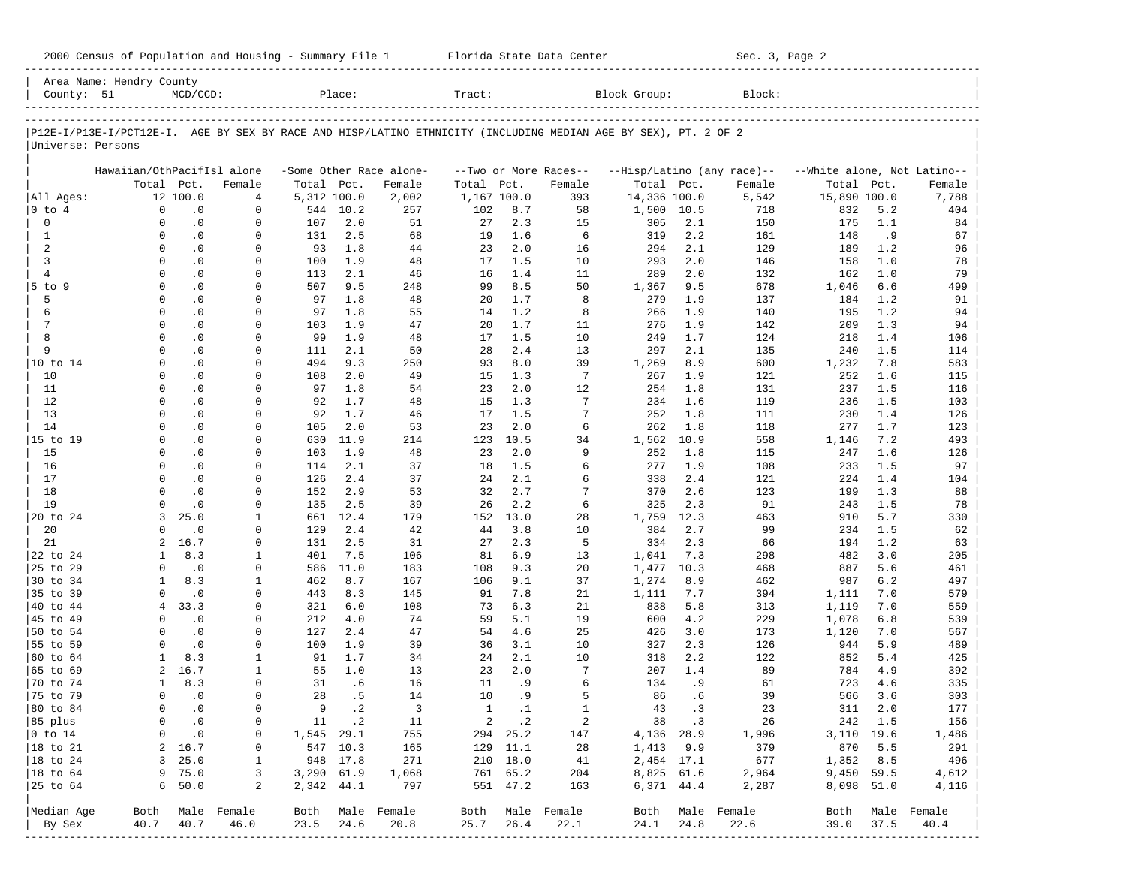|                      | Area Name: Hendry County                                                                                       |             |                  |             |           |                         |              |           |                           |              |            |                            |                             |            |                  |
|----------------------|----------------------------------------------------------------------------------------------------------------|-------------|------------------|-------------|-----------|-------------------------|--------------|-----------|---------------------------|--------------|------------|----------------------------|-----------------------------|------------|------------------|
| County: 51           |                                                                                                                | $MCD/CCD$ : |                  |             | Place:    |                         | Tract:       |           |                           | Block Group: |            | Block:                     |                             |            |                  |
|                      | P12E-I/P13E-I/PCT12E-I. AGE BY SEX BY RACE AND HISP/LATINO ETHNICITY (INCLUDING MEDIAN AGE BY SEX), PT. 2 OF 2 |             |                  |             |           |                         |              |           |                           |              |            |                            |                             |            |                  |
| Universe: Persons    |                                                                                                                |             |                  |             |           |                         |              |           |                           |              |            |                            |                             |            |                  |
|                      | Hawaiian/OthPacifIsl alone                                                                                     |             |                  |             |           | -Some Other Race alone- |              |           | --Two or More Races--     |              |            | --Hisp/Latino (any race)-- | --White alone, Not Latino-- |            |                  |
|                      | Total Pct.                                                                                                     |             | Female           | Total Pct.  |           | Female                  | Total        | Pct.      | Female                    | Total Pct.   |            | Female                     | Total Pct.                  |            | Female           |
| All Ages:            |                                                                                                                | 12 100.0    | $\overline{4}$   | 5,312 100.0 |           | 2,002                   | 1,167 100.0  |           | 393                       | 14,336 100.0 |            | 5,542                      | 15,890 100.0                |            | 7,788            |
| 0 to 4               | $\mathbf 0$                                                                                                    | $\cdot$ 0   | $\mathbf 0$      |             | 544 10.2  | 257                     | 102          | 8.7       | 58                        | 1,500        | 10.5       | 718                        | 832                         | 5.2        | 404              |
| 0                    | $\Omega$                                                                                                       | $\cdot$ 0   | $\mathbf 0$      | 107         | 2.0       | 51                      | 27           | 2.3       | 15                        | 305          | 2.1        | 150                        | 175                         | 1.1        | 84               |
| $\mathbf{1}$         | $\Omega$                                                                                                       | $\cdot$ 0   | $\mathbf 0$      | 131         | 2.5       | 68                      | 19           | 1.6       | 6                         | 319          | 2.2        | 161                        | 148                         | .9         | 67               |
| 2                    | $\Omega$                                                                                                       | $\cdot$ 0   | 0                | 93          | 1.8       | 44                      | 23           | 2.0       | 16                        | 294          | 2.1        | 129                        | 189                         | 1.2        | 96               |
| 3                    | $\Omega$                                                                                                       | $\cdot$ 0   | 0                | 100         | 1.9       | 48                      | 17           | 1.5       | 10                        | 293          | 2.0        | 146                        | 158                         | 1.0        | 78               |
| $\overline{4}$       | $\Omega$                                                                                                       | $\cdot$ 0   | $\Omega$         | 113         | 2.1       | 46                      | 16           | 1.4       | 11                        | 289          | 2.0        | 132                        | 162                         | 1.0        | 79               |
| 5 to 9               | $\Omega$                                                                                                       | $\cdot$ 0   | $\Omega$         | 507         | 9.5       | 248                     | 99           | 8.5       | 50                        | 1,367        | 9.5        | 678                        | 1,046                       | 6.6        | 499              |
| 5                    | $\Omega$                                                                                                       | $\cdot$ 0   | $\Omega$         | 97          | 1.8       | 48                      | 20           | 1.7       | 8                         | 279          | 1.9        | 137                        | 184                         | 1.2        | 91               |
| 6                    | $\Omega$                                                                                                       | $\cdot$ 0   | 0                | 97          | 1.8       | 55                      | 14           | 1.2       | 8                         | 266          | 1.9        | 140                        | 195                         | 1.2        | 94               |
| 7                    | $\Omega$                                                                                                       | $\cdot$ 0   | 0                | 103         | 1.9       | 47                      | 20           | 1.7       | 11                        | 276          | 1.9        | 142                        | 209                         | 1.3        | 94               |
| 8                    | $\Omega$                                                                                                       | $\cdot$ 0   | $\mathbf 0$      | 99          | 1.9       | 48                      | 17           | 1.5       | 10                        | 249          | 1.7        | 124                        | 218                         | 1.4        | 106              |
| 9                    | $\Omega$                                                                                                       | $\cdot$ 0   | 0                | 111         | 2.1       | 50                      | 28           | 2.4       | 13                        | 297          | 2.1        | 135                        | 240                         | 1.5        | 114              |
| 10 to 14             | $\Omega$                                                                                                       | $\cdot$ 0   | $\Omega$         | 494         | 9.3       | 250                     | 93           | 8.0       | 39                        | 1,269        | 8.9        | 600                        | 1,232                       | 7.8        | 583              |
| 10                   | $\Omega$                                                                                                       | $\cdot$ 0   | $\Omega$         | 108         | 2.0       | 49                      | 15           | 1.3       | 7                         | 267          | 1.9        | 121                        | 252                         | 1.6        | 115              |
| 11                   | $\Omega$                                                                                                       | $\cdot$ 0   | $\Omega$         | 97          | 1.8       | 54                      | 23           | 2.0       | 12                        | 254          | 1.8        | 131                        | 237                         | 1.5        | 116              |
| 12                   | $\Omega$                                                                                                       | $\cdot$ 0   | $\mathbf 0$      | 92          | 1.7       | 48                      | 15           | 1.3       | 7                         | 234          | 1.6        | 119                        | 236                         | 1.5        | 103              |
| 13                   | $\Omega$                                                                                                       | $\cdot$ 0   | $\Omega$         | 92          | 1.7       | 46                      | 17           | 1.5       | 7                         | 252          | 1.8        | 111                        | 230                         | 1.4        | 126              |
| 14                   | $\Omega$                                                                                                       | $\cdot$ 0   | $\Omega$         | 105         | 2.0       | 53                      | 23           | 2.0       | 6                         | 262          | 1.8        | 118                        | 277                         | 1.7        | 123              |
| 15 to 19             | $\Omega$                                                                                                       | $\cdot$ 0   | $\Omega$         | 630         | 11.9      | 214                     | 123          | 10.5      | 34                        | 1,562        | 10.9       | 558                        | 1,146                       | 7.2        | 493              |
| 15                   | $\Omega$                                                                                                       | $\cdot$ 0   | $\Omega$         | 103         | 1.9       | 48                      | 23           | 2.0       | 9                         | 252          | 1.8        | 115                        | 247                         | 1.6        | 126              |
| 16                   | $\Omega$                                                                                                       | $\cdot$ 0   | $\Omega$         | 114         | 2.1       | 37                      | 18           | 1.5       | 6                         | 277          | 1.9        | 108                        | 233                         | 1.5        | 97               |
| 17                   | $\Omega$                                                                                                       | $\cdot$ 0   | $\Omega$         | 126         | 2.4       | 37                      | 24           | 2.1       | 6                         | 338          | 2.4        | 121                        | 224                         | 1.4        | 104              |
| 18                   | $\Omega$                                                                                                       | $\cdot$ 0   | $\Omega$         | 152         | 2.9       | 53                      | 32           | 2.7       | 7                         | 370          | 2.6        | 123                        | 199                         | 1.3        | 88               |
| 19                   | $\Omega$                                                                                                       | $\cdot$ 0   | $\Omega$         | 135         | 2.5       | 39                      | 26           | 2.2       | 6                         | 325          | 2.3        | 91                         | 243                         | 1.5        | 78               |
| 20 to 24             | 3                                                                                                              | 25.0        | 1                | 661         | 12.4      | 179                     | 152          | 13.0      | 28                        | 1,759        | 12.3       | 463                        | 910                         | 5.7        | 330              |
| 20                   | $\Omega$                                                                                                       | $\cdot$ 0   | $\Omega$         | 129         | 2.4       | 42                      | 44           | 3.8       | 10                        | 384          | 2.7        | 99                         | 234                         | 1.5        | 62               |
| 21                   | 2                                                                                                              | 16.7        | $\mathbf 0$      | 131         | 2.5       | 31                      | 27           | 2.3       | 5                         | 334          | 2.3        | 66                         | 194                         | 1.2        | 63               |
| 22 to 24             | 1                                                                                                              | 8.3         | 1                | 401         | 7.5       | 106                     | 81           | 6.9       | 13                        | 1,041        | 7.3        | 298                        | 482                         | 3.0        | 205              |
| 25 to 29             | $\Omega$                                                                                                       | $\cdot$ 0   | $\Omega$         | 586         | 11.0      | 183                     | 108          | 9.3       | 20                        | 1,477        | 10.3       | 468                        | 887                         | 5.6        | 461              |
| 30 to 34             | $\mathbf{1}$                                                                                                   | 8.3         | 1                | 462         | 8.7       | 167                     | 106          | 9.1       | 37                        | 1,274        | 8.9        | 462                        | 987                         | 6.2        | 497              |
| 35 to 39             | $\Omega$                                                                                                       | $\cdot$ 0   | 0                | 443         | 8.3       | 145                     | 91           | 7.8       | 21                        | 1,111        | 7.7        | 394                        | 1,111                       | 7.0        | 579              |
| 40 to 44             | $\overline{4}$                                                                                                 | 33.3        | $\Omega$         | 321         | 6.0       | 108                     | 73           | 6.3       | 21                        | 838          | 5.8        | 313                        | 1,119                       | 7.0        | 559              |
| 45 to 49             | $\Omega$                                                                                                       | $\cdot$ 0   | 0                | 212         | 4.0       | 74                      | 59           | 5.1       | 19                        | 600          | 4.2        | 229                        | 1,078                       | 6.8        | 539              |
| 50 to 54             | $\Omega$                                                                                                       | $\cdot$ 0   | $\Omega$         | 127         | 2.4       | 47                      | 54           | 4.6       | 25                        | 426          | 3.0        | 173                        | 1,120                       | 7.0        | 567              |
| 55 to 59             | $\Omega$                                                                                                       | $\cdot$ 0   | $\Omega$         | 100         | 1.9       | 39                      | 36           | 3.1       | 10                        | 327          | 2.3        | 126                        | 944                         | 5.9        | 489              |
| 60 to 64             | $\mathbf{1}$                                                                                                   | 8.3         | 1                | 91          | 1.7       | 34                      | 24           | 2.1       | 10                        | 318          | 2.2        | 122                        | 852                         | 5.4        | 425              |
| 65 to 69             | 2                                                                                                              | 16.7        | 1                | 55          | 1.0       | 13                      | 23           | 2.0       | 7                         | 207          | 1.4        | 89                         | 784                         | 4.9        | 392              |
| 70 to 74             | $\mathbf{1}$                                                                                                   | 8.3         | $\Omega$         | 31          | .6        | 16                      | 11           | .9        | 6                         | 134          | .9         | 61                         | 723                         | 4.6        | 335              |
| 75 to 79             | $\Omega$                                                                                                       | $\cdot$ 0   | $\Omega$         | 28          | .5        | 14                      | 10           | .9        | 5                         | 86           | . 6        | 39                         | 566                         | 3.6        | 303              |
| 80 to 84             | $\Omega$                                                                                                       | $\cdot$ 0   | $\Omega$         | 9           | $\cdot$ 2 | $\overline{3}$          | <sup>1</sup> | $\cdot$ 1 | $\mathbf{1}$              | 43           | $\cdot$ 3  | 23                         | 311                         | 2.0        | 177              |
| 85 plus              | 0                                                                                                              | $\cdot$ 0   | 0                |             | 11 .2     | 11                      |              | 2 .2      | 2                         | 38 .3        |            | 26                         |                             | 242 1.5    | 156              |
| $ 0 \t{to} 14$       | 0                                                                                                              | $\cdot$ 0   | 0                | 1,545 29.1  |           | 755                     |              | 294 25.2  | 147                       | 4,136 28.9   |            | 1,996                      |                             | 3,110 19.6 | 1,486            |
| $ 18 \text{ to } 21$ |                                                                                                                | 2 16.7      | 0                |             | 547 10.3  | 165                     |              | 129 11.1  | 28                        | 1,413 9.9    |            | 379                        |                             | 870 5.5    | 291              |
| $ 18 \text{ to } 24$ |                                                                                                                | 3, 25.0     | 1                |             | 948 17.8  | 271                     |              | 210 18.0  | 41                        | 2,454 17.1   |            | 677                        | 1,352 8.5                   |            | 496              |
| $ 18 \text{ to } 64$ |                                                                                                                | 9 75.0      | 3                | 3,290 61.9  |           | 1,068                   |              | 761 65.2  | 204                       | 8,825 61.6   |            | 2,964                      | 9,450 59.5                  |            | 4,612            |
| 25 to 64             |                                                                                                                | 6, 50.0     | 2                | 2,342 44.1  |           | 797                     |              | 551 47.2  | 163                       |              | 6,371 44.4 | 2,287                      |                             | 8,098 51.0 | 4,116            |
| Median Age           |                                                                                                                |             | Both Male Female |             |           | Both Male Female        |              |           | Both Male Female          |              |            | Both Male Female           |                             |            | Both Male Female |
| By Sex               | 40.7                                                                                                           | 40.7        | 46.0             | 23.5        | 24.6      | 20.8                    | 25.7         | 26.4      | 22.1                      | 24.1         | 24.8       | 22.6                       | 39.0                        | 37.5       | 40.4             |
|                      |                                                                                                                |             | --------------   |             |           |                         |              |           | ------------------------- |              |            |                            |                             |            |                  |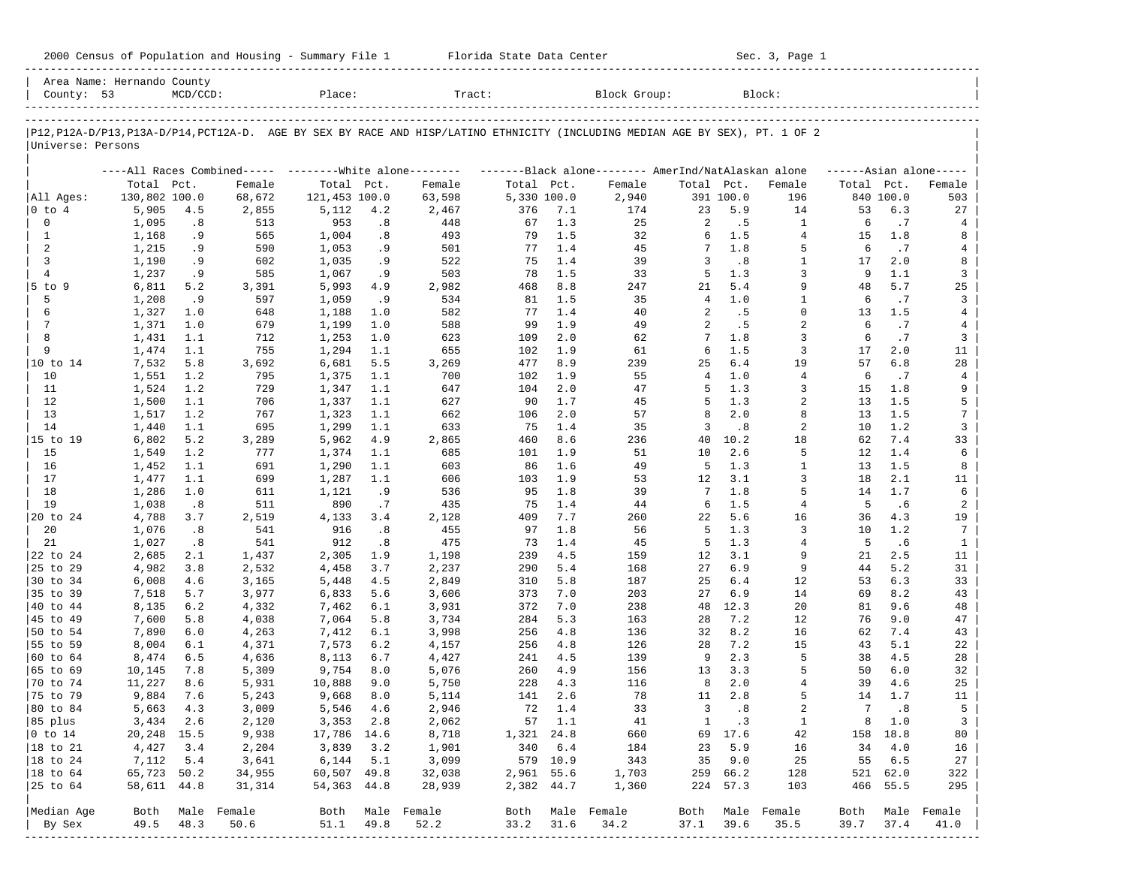| 2000<br>Housing<br>lensus<br>Population and<br>summa∼<br>. Le | Center<br>Tlorida State<br>Data | $C_{\Omega}$<br>Page |
|---------------------------------------------------------------|---------------------------------|----------------------|
|                                                               |                                 |                      |

| County: 53                | Area Name: Hernando County | $MCD/CCD$ : |                  | Place:                     |            | Tract:                                                                                                                        |             |            | Block Group:     |                |                      | Block:              |            |             |                     |
|---------------------------|----------------------------|-------------|------------------|----------------------------|------------|-------------------------------------------------------------------------------------------------------------------------------|-------------|------------|------------------|----------------|----------------------|---------------------|------------|-------------|---------------------|
|                           |                            |             |                  |                            |            |                                                                                                                               |             |            |                  |                |                      |                     |            |             |                     |
| Universe: Persons         |                            |             |                  |                            |            | P12, P12A-D/P13, P13A-D/P14, PCT12A-D. AGE BY SEX BY RACE AND HISP/LATINO ETHNICITY (INCLUDING MEDIAN AGE BY SEX), PT. 1 OF 2 |             |            |                  |                |                      |                     |            |             |                     |
|                           |                            |             |                  |                            |            | ----All Races Combined----- --------White alone-------- --------Black alone-------- AmerInd/NatAlaskan alone                  |             |            |                  |                |                      |                     |            |             | $---Asian alone---$ |
|                           | Total Pct.                 |             | Female           | Total Pct.                 |            | Female                                                                                                                        | Total Pct.  |            | Female           | Total Pct.     |                      | Female              | Total Pct. |             | Female              |
| All Ages:                 | 130,802 100.0              |             | 68,672           | 121,453 100.0              |            | 63,598                                                                                                                        | 5,330 100.0 |            | 2,940            |                | 391 100.0            | 196                 |            | 840 100.0   | 503                 |
| $0$ to $4$                | 5,905                      | 4.5         | 2,855            | 5,112                      | 4.2        | 2,467                                                                                                                         | 376         | 7.1        | 174              | 23             | 5.9                  | 14                  | 53         | 6.3         | 27                  |
| 0                         | 1,095                      | .8          | 513              | 953                        | .8         | 448                                                                                                                           | 67          | 1.3        | 25               | 2              | . 5                  | $\mathbf{1}$        | 6          | .7          | 4                   |
| $\mathbf{1}$              | 1,168                      | . 9         | 565              | 1,004                      | .8         | 493                                                                                                                           | 79          | 1.5        | 32               | 6              | 1.5                  | $\overline{4}$      | 15         | 1.8         | 8                   |
| 2<br>3                    | 1,215<br>1,190             | . 9<br>. 9  | 590<br>602       | 1,053<br>1,035             | . 9<br>. 9 | 501<br>522                                                                                                                    | 77<br>75    | 1.4<br>1.4 | 45<br>39         | 7<br>3         | 1.8<br>.8            | 5<br>1              | 6<br>17    | .7<br>2.0   | 4<br>8              |
| $\overline{4}$            | 1,237                      | . 9         | 585              | 1,067                      | . 9        | 503                                                                                                                           | 78          | 1.5        | 33               | 5              | 1.3                  | 3                   | 9          | 1.1         | 3                   |
| $5$ to $9$                | 6,811                      | 5.2         | 3,391            | 5,993                      | 4.9        | 2,982                                                                                                                         | 468         | 8.8        | 247              | 21             | 5.4                  | 9                   | 48         | 5.7         | 25                  |
| 5                         | 1,208                      | .9          | 597              | 1,059                      | .9         | 534                                                                                                                           | 81          | 1.5        | 35               | $\overline{4}$ | $1.0$                | $\mathbf{1}$        | 6          | .7          | 3                   |
| 6                         | 1,327                      | 1.0         | 648              | 1,188                      | 1.0        | 582                                                                                                                           | 77          | 1.4        | 40               | 2              | . 5                  | $\Omega$            | 13         | 1.5         | $\overline{4}$      |
| 7                         | 1,371                      | 1.0         | 679              | 1,199                      | 1.0        | 588                                                                                                                           | 99          | 1.9        | 49               | 2              | .5                   | $\overline{c}$      | 6          | .7          | 4                   |
| 8                         | 1,431                      | 1.1         | 712              | 1,253                      | 1.0        | 623                                                                                                                           | 109         | 2.0        | 62               |                | 1.8                  | 3                   | 6          | .7          | 3                   |
| 9                         | 1,474                      | 1.1         | 755              | 1,294                      | 1.1        | 655                                                                                                                           | 102         | 1.9        | 61               | 6              | 1.5                  | $\overline{3}$      | 17         | 2.0         | 11                  |
| 10 to 14                  | 7,532                      | 5.8         | 3,692            | 6,681                      | 5.5        | 3,269                                                                                                                         | 477         | 8.9        | 239              | 25             | 6.4                  | 19                  | 57         | 6.8         | 28                  |
| 10                        | 1,551                      | 1.2         | 795              | 1,375                      | 1.1        | 700                                                                                                                           | 102         | 1.9        | 55               | $\overline{4}$ | $1.0$                | $\overline{4}$      | 6          | .7          | $\overline{4}$      |
| 11                        | 1,524                      | 1.2         | 729              | 1,347                      | 1.1        | 647                                                                                                                           | 104         | 2.0        | 47               | 5              | 1.3                  | 3                   | 15         | 1.8         | 9                   |
| 12                        | 1,500                      | 1.1         | 706              | 1,337                      | 1.1        | 627                                                                                                                           | 90          | 1.7        | 45               | 5              | 1.3                  | $\overline{2}$      | 13         | 1.5         | 5                   |
| 13                        | 1,517                      | 1.2         | 767              | 1,323                      | 1.1        | 662                                                                                                                           | 106         | 2.0        | 57               | 8              | 2.0                  | 8                   | 13         | 1.5         | 7                   |
| 14                        | 1,440                      | 1.1         | 695              | 1,299                      | 1.1        | 633                                                                                                                           | 75          | 1.4        | 35               | 3              | .8                   | $\overline{a}$      | 10         | 1.2         | 3                   |
| 15 to 19                  | 6,802                      | 5.2         | 3,289            | 5,962                      | 4.9        | 2,865                                                                                                                         | 460         | 8.6        | 236              | 40             | 10.2                 | 18                  | 62         | 7.4         | 33                  |
| 15                        | 1,549                      | 1.2         | 777              | 1,374                      | 1.1        | 685                                                                                                                           | 101         | 1.9        | 51               | 10             | 2.6                  | 5                   | 12         | 1.4         | 6                   |
| 16<br>17                  | 1,452                      | 1.1         | 691              | 1,290                      | 1.1        | 603                                                                                                                           | 86          | 1.6        | 49               | 5<br>12        | 1.3<br>3.1           | 1<br>3              | 13<br>18   | 1.5<br>2.1  | 8                   |
| 18                        | 1,477<br>1,286             | 1.1<br>1.0  | 699<br>611       | 1,287<br>1,121             | 1.1<br>. 9 | 606<br>536                                                                                                                    | 103<br>95   | 1.9<br>1.8 | 53<br>39         | 7              | $1.8$                | 5                   | 14         | 1.7         | 11<br>6             |
| 19                        | 1,038                      | .8          | 511              | 890                        | .7         | 435                                                                                                                           | 75          | 1.4        | 44               | 6              | 1.5                  | $\overline{4}$      | 5          | .6          | 2                   |
| 20 to 24                  | 4,788                      | 3.7         | 2,519            | 4,133                      | 3.4        | 2,128                                                                                                                         | 409         | 7.7        | 260              | 22             | 5.6                  | 16                  | 36         | 4.3         | 19                  |
| 20                        | 1,076                      | .8          | 541              | 916                        | .8         | 455                                                                                                                           | 97          | 1.8        | 56               | 5              | 1.3                  | 3                   | 10         | 1.2         | 7                   |
| 21                        | 1,027                      | .8          | 541              | 912                        | .8         | 475                                                                                                                           | 73          | 1.4        | 45               | -5             | 1.3                  | $\overline{4}$      | 5          | .6          | $\mathbf{1}$        |
| 22 to 24                  | 2,685                      | 2.1         | 1,437            | 2,305                      | 1.9        | 1,198                                                                                                                         | 239         | 4.5        | 159              | 12             | 3.1                  | 9                   | 21         | 2.5         | 11                  |
| 25 to 29                  | 4,982                      | 3.8         | 2,532            | 4,458                      | 3.7        | 2,237                                                                                                                         | 290         | 5.4        | 168              | 27             | 6.9                  | 9                   | 44         | 5.2         | 31                  |
| 30 to 34                  | 6,008                      | 4.6         | 3,165            | 5,448                      | 4.5        | 2,849                                                                                                                         | 310         | 5.8        | 187              | 25             | 6.4                  | 12                  | 53         | 6.3         | 33                  |
| 35 to 39                  | 7,518                      | 5.7         | 3,977            | 6,833                      | 5.6        | 3,606                                                                                                                         | 373         | 7.0        | 203              | 27             | 6.9                  | 14                  | 69         | 8.2         | 43                  |
| 40 to 44                  | 8,135                      | 6.2         | 4,332            | 7,462                      | 6.1        | 3,931                                                                                                                         | 372         | 7.0        | 238              | 48             | 12.3                 | 20                  | 81         | 9.6         | 48                  |
| 45 to 49                  | 7,600                      | 5.8         | 4,038            | 7,064                      | 5.8        | 3,734                                                                                                                         | 284         | 5.3        | 163              | 28             | 7.2                  | 12                  | 76         | 9.0         | 47                  |
| 50 to 54                  | 7,890                      | 6.0         | 4,263            | 7,412                      | 6.1        | 3,998                                                                                                                         | 256         | 4.8        | 136              | 32             | 8.2                  | 16                  | 62         | 7.4         | 43                  |
| 55 to 59                  | 8,004                      | 6.1         | 4,371            | 7,573                      | 6.2        | 4,157                                                                                                                         | 256         | 4.8        | 126              | 28             | 7.2                  | 15                  | 43         | 5.1         | 22                  |
| 60 to 64                  | 8,474                      | 6.5         | 4,636            | 8,113                      | 6.7        | 4,427                                                                                                                         | 241         | 4.5        | 139              | 9              | 2.3                  | 5                   | 38         | 4.5         | 28                  |
| 65 to 69                  | 10,145                     | 7.8         | 5,309            | 9,754                      | 8.0        | 5,076                                                                                                                         | 260         | 4.9        | 156              | 13             | 3.3                  | 5                   | 50         | 6.0         | 32                  |
| 70 to 74                  | 11,227                     | 8.6         | 5,931            | 10,888                     | 9.0        | 5,750                                                                                                                         | 228         | 4.3        | 116              | 8              | 2.0                  | $\overline{4}$      | 39         | 4.6         | 25                  |
| 75 to 79                  | 9,884                      | 7.6         | 5,243            | 9,668                      | 8.0        | 5,114                                                                                                                         | 141         | 2.6        | 78               | 11             | 2.8                  | 5<br>$\overline{a}$ | 14<br>7    | 1.7         | 11                  |
| 80 to 84                  | 5,663                      | 4.3         | 3,009            | 5,546                      | 4.6        | 2,946                                                                                                                         | 72          | 1.4        | 33               | 3              | .8                   |                     |            | .8<br>8 1.0 | 5<br>3              |
| 85 plus<br>$ 0 \t{to} 14$ | 20,248 15.5                | 3,434 2.6   | 2,120<br>9,938   | $3,353$ 2.8<br>17,786 14.6 |            | 2,062<br>8,718                                                                                                                | 1,321 24.8  | 57 1.1     | 41<br>660        | $\mathbf{1}$   | $\cdot$ 3<br>69 17.6 | $\mathbf{1}$<br>42  |            | 158 18.8    | 80                  |
| $ 18 \text{ to } 21$      | 4,427                      | 3.4         | 2,204            | 3,839 3.2                  |            | 1,901                                                                                                                         |             | 340 6.4    | 184              | 23             | 5.9                  | 16                  | 34         | 4.0         | 16                  |
| $ 18 \text{ to } 24$      | 7,112                      | 5.4         | 3,641            | $6,144$ $5.1$              |            | 3,099                                                                                                                         |             | 579 10.9   | 343              |                | 35 9.0               | 25                  | 55         | 6.5         | 27                  |
| $ 18 \text{ to } 64$      | 65,723 50.2                |             | 34,955           | 60,507 49.8                |            | 32,038                                                                                                                        | 2,961 55.6  |            | 1,703            |                | 259 66.2             | 128                 |            | 521 62.0    | 322                 |
| 25 to 64                  | 58,611 44.8                |             | 31,314           | 54,363 44.8                |            | 28,939                                                                                                                        | 2,382 44.7  |            | 1,360            |                | 224 57.3             | 103                 |            | 466 55.5    | 295                 |
|                           |                            |             |                  |                            |            |                                                                                                                               |             |            |                  |                |                      |                     |            |             |                     |
| Median Age                |                            |             | Both Male Female |                            |            | Both Male Female                                                                                                              |             |            | Both Male Female |                |                      | Both Male Female    |            |             | Both Male Female    |
| By Sex                    | 49.5                       | 48.3        | 50.6             | 51.1 49.8                  |            | 52.2                                                                                                                          | 33.2 31.6   |            | 34.2             | 37.1           | 39.6                 | 35.5                | 39.7       | 37.4        | 41.0                |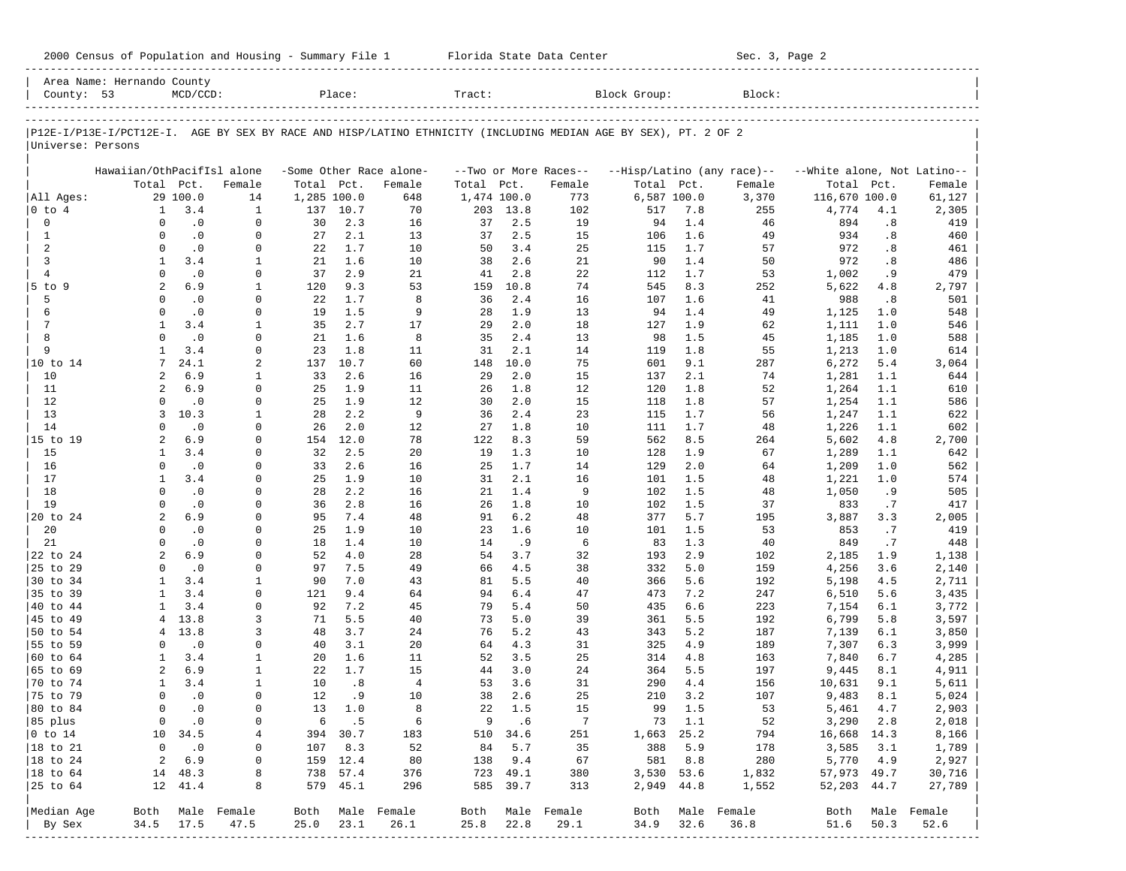|  |  |  | 2000 Census of Population and Housing - Summary File 1 |  |  |  |  |  |  |
|--|--|--|--------------------------------------------------------|--|--|--|--|--|--|
|--|--|--|--------------------------------------------------------|--|--|--|--|--|--|

2000 Florida State Data Center - Summary Sec. 3, Page 2 -----------------------------------------------------------------------------------------------------------------------------------------------------

|                             | Area Name: Hernando County |               |                          |             |               |                          |             |              |                       |                                                                                                                |            |                            |                             |            |                  |
|-----------------------------|----------------------------|---------------|--------------------------|-------------|---------------|--------------------------|-------------|--------------|-----------------------|----------------------------------------------------------------------------------------------------------------|------------|----------------------------|-----------------------------|------------|------------------|
| County: 53                  |                            | $MCD/CCD$ :   |                          |             | Place:        |                          | Tract:      |              |                       | Block Group:                                                                                                   |            | Block:                     |                             |            |                  |
|                             |                            |               |                          |             |               |                          |             |              |                       |                                                                                                                |            |                            |                             |            |                  |
| Universe: Persons           |                            |               |                          |             |               |                          |             |              |                       | P12E-I/P13E-I/PCT12E-I. AGE BY SEX BY RACE AND HISP/LATINO ETHNICITY (INCLUDING MEDIAN AGE BY SEX), PT. 2 OF 2 |            |                            |                             |            |                  |
|                             | Hawaiian/OthPacifIsl alone |               |                          |             |               | -Some Other Race alone-  |             |              | --Two or More Races-- |                                                                                                                |            | --Hisp/Latino (any race)-- | --White alone, Not Latino-- |            |                  |
|                             | Total Pct.                 |               | Female                   | Total Pct.  |               | Female                   | Total Pct.  |              | Female                | Total Pct.                                                                                                     |            | Female                     | Total Pct.                  |            | Female           |
| All Ages:                   |                            | 29 100.0      | 14                       | 1,285 100.0 |               | 648                      | 1,474 100.0 |              | 773                   | 6,587 100.0                                                                                                    |            | 3,370                      | 116,670 100.0               |            | 61,127           |
| 0 to 4                      | 1                          | 3.4           | $\mathbf{1}$             |             | 137 10.7      | 70                       | 203         | 13.8         | 102                   | 517                                                                                                            | 7.8        | 255                        | 4,774                       | 4.1        | 2,305            |
| 0                           | $\Omega$                   | $\cdot$ 0     | $\mathbf 0$              | 30          | 2.3           | 16                       | 37          | 2.5          | 19                    | 94                                                                                                             | 1.4        | 46                         | 894                         | .8         | 419              |
| 1                           | $\Omega$                   | $\cdot$ 0     | $\mathbf 0$              | 27          | 2.1           | 13                       | 37          | 2.5          | 15                    | 106                                                                                                            | 1.6        | 49                         | 934                         | .8         | 460              |
| 2                           | $\Omega$                   | $\cdot$ 0     | 0                        | 22          | 1.7           | 10                       | 50          | 3.4          | 25                    | 115                                                                                                            | 1.7        | 57                         | 972                         | .8         | 461              |
| 3                           | 1                          | 3.4           | 1                        | 21          | 1.6           | 10                       | 38          | 2.6          | 21                    | 90                                                                                                             | 1.4        | 50                         | 972                         | .8         | 486              |
| $\overline{4}$              | $\Omega$                   | $\cdot$ 0     | 0                        | 37          | 2.9           | 21                       | 41          | 2.8          | 22                    | 112                                                                                                            | 1.7        | 53                         | 1,002                       | .9         | 479              |
| $5$ to $9$                  | 2                          | 6.9           | 1                        | 120         | 9.3           | 53                       | 159         | 10.8         | 74                    | 545                                                                                                            | 8.3        | 252                        | 5,622                       | 4.8        | 2,797            |
| 5                           | $\mathbf 0$                | $\cdot$ 0     | 0                        | 22          | 1.7           | 8                        | 36          | 2.4          | 16                    | 107                                                                                                            | 1.6        | 41                         | 988                         | .8         | 501              |
| 6                           | $\Omega$                   | $\cdot$ 0     | $\mathbf 0$              | 19          | 1.5           | 9                        | 28          | 1.9          | 13                    | 94                                                                                                             | 1.4        | 49                         | 1,125                       | 1.0        | 548              |
| 7                           | $\mathbf{1}$               | 3.4           | 1                        | 35          | 2.7           | 17                       | 29          | 2.0          | 18                    | 127                                                                                                            | 1.9        | 62                         | 1,111                       | 1.0        | 546              |
| 8                           | $\Omega$                   | $\cdot$ 0     | $\mathbf 0$              | 21          | 1.6           | 8                        | 35          | 2.4          | 13                    | 98                                                                                                             | 1.5        | 45                         | 1,185                       | 1.0        | 588              |
| 9                           | $\mathbf{1}$               | 3.4           | $\mathbf 0$              | 23          | 1.8           | 11                       | 31          | 2.1          | 14                    | 119                                                                                                            | 1.8        | 55                         | 1,213                       | 1.0        | 614              |
| 10 to 14                    | 7                          | 24.1          | 2                        | 137         | 10.7          | 60                       | 148         | 10.0         | 75                    | 601                                                                                                            | 9.1        | 287                        | 6,272                       | 5.4        | 3,064            |
| 10                          | 2                          | 6.9           | 1                        | 33          | 2.6           | 16                       | 29          | 2.0          | 15                    | 137                                                                                                            | 2.1        | 74                         | 1,281                       | 1.1        | 644              |
| 11                          | 2                          | 6.9           | $\mathbf 0$              | 25          | 1.9           | 11                       | 26          | 1.8          | 12                    | 120                                                                                                            | 1.8        | 52                         | 1,264                       | 1.1        | 610              |
| 12                          | $\mathbf 0$                | $\cdot$ 0     | 0                        | 25          | 1.9           | 12                       | 30          | 2.0          | 15                    | 118                                                                                                            | 1.8        | 57                         | 1,254                       | 1.1        | 586              |
| 13                          | 3                          | 10.3          | 1                        | 28          | 2.2           | 9                        | 36          | 2.4          | 23                    | 115                                                                                                            | 1.7        | 56                         | 1,247                       | 1.1        | 622              |
| 14                          | $\Omega$                   | $\cdot$ 0     | $\mathbf 0$              | 26          | 2.0           | 12                       | 27          | 1.8          | 10                    | 111                                                                                                            | 1.7        | 48                         | 1,226                       | 1.1        | 602              |
| 15 to 19                    | 2                          | 6.9           | $\mathbf 0$              | 154         | 12.0          | 78                       | 122         | 8.3          | 59                    | 562                                                                                                            | 8.5        | 264                        | 5,602                       | 4.8        | 2,700            |
| 15                          | $\mathbf{1}$               | 3.4           | 0                        | 32          | 2.5           | 20                       | 19          | 1.3          | 10                    | 128                                                                                                            | 1.9        | 67                         | 1,289                       | 1.1        | 642              |
| 16                          | $\Omega$                   | $\cdot$ 0     | 0                        | 33          | 2.6           | 16                       | 25          | 1.7          | 14                    | 129                                                                                                            | 2.0        | 64                         | 1,209                       | 1.0        | 562              |
| 17                          | $\mathbf{1}$               | 3.4           | $\mathbf 0$              | 25          | 1.9           | 10                       | 31          | 2.1          | 16                    | 101                                                                                                            | 1.5        | 48                         | 1,221                       | 1.0        | 574              |
| 18                          | $\Omega$                   | $\cdot$ 0     | $\Omega$                 | 28          | 2.2           | 16                       | 21          | 1.4          | 9                     | 102                                                                                                            | 1.5        | 48                         | 1,050                       | .9         | 505              |
| 19                          | $\Omega$                   | $\cdot$ 0     | 0                        | 36          | 2.8           | 16                       | 26          | 1.8          | 10                    | 102                                                                                                            | 1.5        | 37                         | 833                         | .7         | 417              |
| 20 to 24                    | 2                          | 6.9           | $\mathbf 0$              | 95          | 7.4           | 48                       | 91          | 6.2          | 48                    | 377                                                                                                            | 5.7        | 195                        | 3,887                       | 3.3        | 2,005            |
| 20                          | $\Omega$                   | $\cdot$ 0     | 0                        | 25          | 1.9           | 10                       | 23          | 1.6          | 10                    | 101                                                                                                            | 1.5        | 53                         | 853                         | .7         | 419              |
| 21                          | $\Omega$                   | $\cdot$ 0     | $\Omega$                 | 18          | 1.4           | 10                       | 14          | .9           | 6                     | 83                                                                                                             | 1.3        | 40                         | 849                         | .7         | 448              |
| 22 to 24                    | $\overline{a}$             | 6.9           | $\Omega$                 | 52          | 4.0           | 28                       | 54          | 3.7          | 32                    | 193                                                                                                            | 2.9        | 102                        | 2,185                       | 1.9        | 1,138            |
| 25 to 29                    | $\Omega$                   | $\cdot$ 0     | $\mathbf 0$              | 97          | 7.5           | 49                       | 66          | 4.5          | 38                    | 332                                                                                                            | 5.0        | 159                        | 4,256                       | 3.6        | 2,140            |
| 30 to 34                    | $\mathbf{1}$               | 3.4<br>3.4    | 1                        | 90          | 7.0           | 43                       | 81          | 5.5          | 40                    | 366                                                                                                            | 5.6        | 192                        | 5,198                       | 4.5        | 2,711            |
| 35 to 39                    | 1                          |               | $\mathbf 0$              | 121         | 9.4           | 64                       | 94          | 6.4          | 47                    | 473                                                                                                            | 7.2        | 247                        | 6,510                       | 5.6        | 3,435            |
| 40 to 44                    | 1<br>4                     | 3.4<br>13.8   | 0                        | 92          | 7.2<br>5.5    | 45                       | 79<br>73    | $5.4$<br>5.0 | 50<br>39              | 435                                                                                                            | 6.6<br>5.5 | 223                        | 7,154                       | 6.1        | 3,772            |
| 45 to 49<br>50 to 54        | 4                          | 13.8          | 3<br>3                   | 71<br>48    | 3.7           | 40<br>24                 | 76          | 5.2          | 43                    | 361<br>343                                                                                                     | 5.2        | 192<br>187                 | 6,799<br>7,139              | 5.8<br>6.1 | 3,597<br>3,850   |
| 55 to 59                    | $\Omega$                   | $\cdot$ 0     | $\mathbf 0$              | 40          | 3.1           | 20                       | 64          | 4.3          | 31                    | 325                                                                                                            | 4.9        | 189                        | 7,307                       | 6.3        | 3,999            |
| 60 to 64                    | 1                          | 3.4           | $\mathbf{1}$             | 20          | 1.6           | 11                       | 52          | 3.5          | 25                    | 314                                                                                                            | 4.8        | 163                        | 7,840                       | 6.7        | 4,285            |
| 65 to 69                    | 2                          | 6.9           | 1                        | 22          | 1.7           | 15                       | 44          | 3.0          | 24                    | 364                                                                                                            | 5.5        | 197                        | 9,445                       | 8.1        | 4,911            |
| 70 to 74                    | $\mathbf{1}$               | 3.4           | 1                        | 10          | .8            | $\overline{4}$           | 53          | 3.6          | 31                    | 290                                                                                                            | 4.4        | 156                        | 10,631                      | 9.1        | 5,611            |
| 75 to 79                    | $\Omega$                   | $\cdot$ 0     | $\mathbf 0$              | 12          | .9            | 10                       | 38          | 2.6          | 25                    | 210                                                                                                            | 3.2        | 107                        | 9,483                       | 8.1        | 5,024            |
| 80 to 84                    | $\Omega$                   | $\cdot$ 0     | $\mathbf 0$              | 13          | 1.0           | 8                        | 22          | 1.5          | 15                    | 99                                                                                                             | 1.5        | 53                         | 5,461                       | 4.7        | 2,903            |
| 85 plus                     |                            | $0 \qquad .0$ | 0                        |             | $6 \qquad .5$ | 6                        |             | 9.6          | $7\overline{ }$       |                                                                                                                | $73 \t1.1$ | 52                         | 3,290 2.8                   |            | 2,018            |
| $ 0 \t\t \text{to} \t\t 14$ |                            | 10 34.5       | 4                        |             | 394 30.7      | 183                      |             | 510 34.6     | 251                   | 1,663 25.2                                                                                                     |            | 794                        | 16,668 14.3                 |            | 8,166            |
| 18 to 21                    | $\overline{0}$             | $\cdot$ 0     | 0                        |             | 107 8.3       | 52                       | 84          | 5.7          | 35                    |                                                                                                                | 388 5.9    | 178                        | 3,585 3.1                   |            | 1,789            |
| $ 18 \text{ to } 24$        |                            | 2 6.9         | 0                        |             | 159 12.4      | 80                       |             | 138 9.4      | 67                    |                                                                                                                | 581 8.8    | 280                        | 5,770 4.9                   |            | 2,927            |
| 18 to 64                    |                            | 14 48.3       | 8                        |             | 738 57.4      | 376                      |             | 723 49.1     | 380                   | 3,530 53.6                                                                                                     |            | 1,832                      | 57,973 49.7                 |            | 30,716           |
| 25 to 64                    |                            | 12 41.4       | 8                        |             | 579 45.1      | 296                      |             | 585 39.7     | 313                   | 2,949 44.8                                                                                                     |            | 1,552                      | 52,203 44.7                 |            | 27,789           |
|                             |                            |               |                          |             |               |                          |             |              | Both Male Female      |                                                                                                                |            | Male Female                |                             |            | Both Male Female |
| Median Age<br>By Sex        | 34.5                       | 17.5          | Both Male Female<br>47.5 | 25.0        | 23.1          | Both Male Female<br>26.1 | 25.8        | 22.8         | 29.1                  | Both<br>34.9                                                                                                   | 32.6       | 36.8                       | 51.6                        | 50.3       | 52.6             |
|                             |                            |               |                          |             |               |                          |             |              |                       |                                                                                                                |            |                            |                             |            |                  |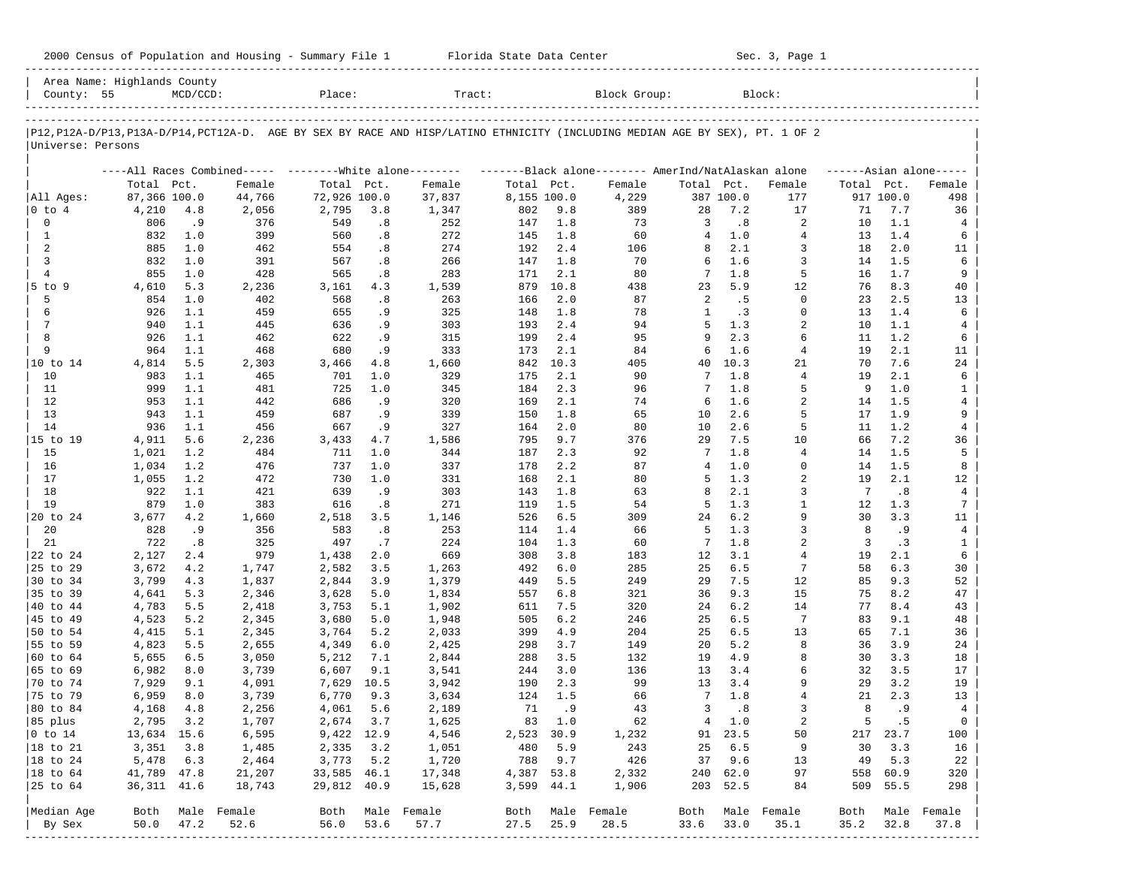| 2000 Census of Population and Housing - Summary File 1 |  | Florida State Data Center | Sec. 3, Page 1 |
|--------------------------------------------------------|--|---------------------------|----------------|
|--------------------------------------------------------|--|---------------------------|----------------|

| Area Name: Highlands County<br>County: 55 |              | $MCD/CCD$ : |                                                           | Place:       |      | Tract:           |             |        | Block Group:                                                                                                               |                |               | Block:           |            |           |                      |
|-------------------------------------------|--------------|-------------|-----------------------------------------------------------|--------------|------|------------------|-------------|--------|----------------------------------------------------------------------------------------------------------------------------|----------------|---------------|------------------|------------|-----------|----------------------|
|                                           |              |             |                                                           |              |      |                  |             |        |                                                                                                                            |                |               |                  |            |           |                      |
| Universe: Persons                         |              |             |                                                           |              |      |                  |             |        | P12,P12A-D/P13,P13A-D/P14,PCT12A-D. AGE BY SEX BY RACE AND HISP/LATINO ETHNICITY (INCLUDING MEDIAN AGE BY SEX), PT. 1 OF 2 |                |               |                  |            |           |                      |
|                                           |              |             | ----All Races Combined----- --------- White alone-------- |              |      |                  |             |        | -------Black alone------- AmerInd/NatAlaskan alone                                                                         |                |               |                  |            |           | $----Asian alone---$ |
|                                           | Total Pct.   |             | Female                                                    | Total Pct.   |      | Female           | Total Pct.  |        | Female                                                                                                                     | Total Pct.     |               | Female           | Total Pct. |           | Female               |
| All Ages:                                 | 87,366 100.0 |             | 44,766                                                    | 72,926 100.0 |      | 37,837           | 8,155 100.0 |        | 4,229                                                                                                                      |                | 387 100.0     | 177              |            | 917 100.0 | 498                  |
| $ 0 \t{to} 4$                             | 4,210        | 4.8         | 2,056                                                     | 2,795        | 3.8  | 1,347            | 802         | 9.8    | 389                                                                                                                        | 28             | 7.2           | 17               | 71         | 7.7       | 36                   |
| $\mathbf 0$                               | 806          | .9          | 376                                                       | 549          | .8   | 252              | 147         | 1.8    | 73                                                                                                                         | 3              | .8            | 2                | 10         | 1.1       | 4                    |
| 1                                         | 832          | 1.0         | 399                                                       | 560          | .8   | 272              | 145         | 1.8    | 60                                                                                                                         | $\overline{4}$ | 1.0           | $\overline{4}$   | 13         | 1.4       | 6                    |
| 2                                         | 885          | 1.0         | 462                                                       | 554          | .8   | 274              | 192         | 2.4    | 106                                                                                                                        | 8              | 2.1           | 3                | 18         | 2.0       | 11                   |
| 3                                         | 832          | 1.0         | 391                                                       | 567          | .8   | 266              | 147         | 1.8    | 70                                                                                                                         | 6              | 1.6           | 3                | 14         | 1.5       | 6                    |
| $\overline{4}$                            | 855          | 1.0         | 428                                                       | 565          | .8   | 283              | 171         | 2.1    | 80                                                                                                                         | 7              | 1.8           | 5                | 16         | 1.7       | 9                    |
| $5$ to $9$                                | 4,610        | 5.3         | 2,236                                                     | 3,161        | 4.3  | 1,539            | 879         | 10.8   | 438                                                                                                                        | 23             | 5.9           | 12               | 76         | 8.3       | 40                   |
| 5                                         | 854          | 1.0         | 402                                                       | 568          | .8   | 263              | 166         | 2.0    | 87                                                                                                                         | 2              | . 5           | $\Omega$         | 23         | 2.5       | 13                   |
| 6                                         | 926          | 1.1         | 459                                                       | 655          | .9   | 325              | 148         | 1.8    | 78                                                                                                                         | $\mathbf{1}$   | .3            | $\Omega$         | 13         | 1.4       | 6                    |
| 7                                         | 940          | 1.1         | 445                                                       | 636          | .9   | 303              | 193         | 2.4    | 94                                                                                                                         | 5              | 1.3           | $\overline{a}$   | 10         | 1.1       | 4                    |
| 8                                         | 926          | 1.1         | 462                                                       | 622          | . 9  | 315              | 199         | 2.4    | 95                                                                                                                         | 9              | 2.3           | 6                | 11         | 1.2       | 6                    |
| 9                                         | 964          | 1.1         | 468                                                       | 680          | . 9  | 333              | 173         | 2.1    | 84                                                                                                                         | 6              | 1.6           | $\overline{4}$   | 19         | 2.1       | 11                   |
| 10 to 14                                  | 4,814        | 5.5         | 2,303                                                     | 3,466        | 4.8  | 1,660            | 842         | 10.3   | 405                                                                                                                        | 40             | 10.3          | 21               | 70         | 7.6       | 24                   |
| 10                                        | 983          | 1.1         | 465                                                       | 701          | 1.0  | 329              | 175         | 2.1    | 90                                                                                                                         | 7              | 1.8           | $\overline{4}$   | 19         | 2.1       | 6                    |
| 11                                        | 999          | 1.1         | 481                                                       | 725          | 1.0  | 345              | 184         | 2.3    | 96                                                                                                                         | 7              | 1.8           | 5                | 9          | 1.0       | 1                    |
| 12                                        | 953          | 1.1         | 442                                                       | 686          | . 9  | 320              | 169         | 2.1    | 74                                                                                                                         | 6              | 1.6           | $\overline{a}$   | 14         | 1.5       | $\overline{4}$       |
| 13                                        | 943          | 1.1         | 459                                                       | 687          | . 9  | 339              | 150         | 1.8    | 65                                                                                                                         | 10             | 2.6           | 5                | 17         | 1.9       | 9                    |
| 14                                        | 936          | 1.1         | 456                                                       | 667          | . 9  | 327              | 164         | 2.0    | 80                                                                                                                         | 10             | 2.6           | 5                | 11         | 1.2       | 4                    |
| 15 to 19                                  | 4,911        | 5.6         | 2,236                                                     | 3,433        | 4.7  | 1,586            | 795         | 9.7    | 376                                                                                                                        | 29             | 7.5           | 10               | 66         | 7.2       | 36                   |
| 15                                        | 1,021        | 1.2         | 484                                                       | 711          | 1.0  | 344              | 187         | 2.3    | 92                                                                                                                         | 7              | 1.8           | $\overline{4}$   | 14         | 1.5       | 5                    |
| 16                                        | 1,034        | 1.2         | 476                                                       | 737          | 1.0  | 337              | 178         | 2.2    | 87                                                                                                                         | 4              | 1.0           | $\mathbf 0$      | 14         | 1.5       | 8                    |
| 17                                        | 1,055        | 1.2         | 472                                                       | 730          | 1.0  | 331              | 168         | 2.1    | 80                                                                                                                         | 5              | 1.3           | 2                | 19         | 2.1       | 12                   |
| 18                                        | 922          | 1.1         | 421                                                       | 639          | . 9  | 303              | 143         | 1.8    | 63                                                                                                                         | 8              | 2.1           | 3                | 7          | .8        | $\overline{4}$       |
| 19                                        | 879          | 1.0         | 383                                                       | 616          |      | 271              | 119         | 1.5    | 54                                                                                                                         | 5              | 1.3           | $\mathbf{1}$     | 12         | 1.3       | 7                    |
|                                           |              |             |                                                           |              | .8   |                  |             |        |                                                                                                                            |                |               |                  |            |           |                      |
| 20 to 24                                  | 3,677        | 4.2         | 1,660                                                     | 2,518        | 3.5  | 1,146            | 526         | 6.5    | 309                                                                                                                        | 24             | 6.2           | 9                | 30<br>8    | 3.3       | 11                   |
| 20                                        | 828          | .9          | 356                                                       | 583          | .8   | 253              | 114         | 1.4    | 66                                                                                                                         | 5              | 1.3           | 3                |            | .9        | $\overline{4}$       |
| 21                                        | 722          | .8          | 325                                                       | 497          | .7   | 224              | 104         | 1.3    | 60                                                                                                                         | 7              | 1.8           | 2                | 3          | .3        | $\mathbf{1}$         |
| 22 to 24                                  | 2,127        | 2.4         | 979                                                       | 1,438        | 2.0  | 669              | 308         | 3.8    | 183                                                                                                                        | 12             | 3.1           | $\overline{4}$   | 19         | 2.1       | 6                    |
| 25 to 29                                  | 3,672        | 4.2         | 1,747                                                     | 2,582        | 3.5  | 1,263            | 492         | 6.0    | 285                                                                                                                        | 25             | 6.5           | 7                | 58         | 6.3       | 30                   |
| 30 to 34                                  | 3,799        | 4.3         | 1,837                                                     | 2,844        | 3.9  | 1,379            | 449         | 5.5    | 249                                                                                                                        | 29             | 7.5           | 12               | 85         | 9.3       | 52                   |
| 35 to 39                                  | 4,641        | 5.3         | 2,346                                                     | 3,628        | 5.0  | 1,834            | 557         | 6.8    | 321                                                                                                                        | 36             | 9.3           | 15               | 75         | 8.2       | 47                   |
| 40 to 44                                  | 4,783        | 5.5         | 2,418                                                     | 3,753        | 5.1  | 1,902            | 611         | 7.5    | 320                                                                                                                        | 24             | 6.2           | 14               | 77         | 8.4       | 43                   |
| 45 to 49                                  | 4,523        | 5.2         | 2,345                                                     | 3,680        | 5.0  | 1,948            | 505         | 6.2    | 246                                                                                                                        | 25             | 6.5           | 7                | 83         | 9.1       | 48                   |
| 50 to 54                                  | 4,415        | 5.1         | 2,345                                                     | 3,764        | 5.2  | 2,033            | 399         | 4.9    | 204                                                                                                                        | 25             | 6.5           | 13               | 65         | 7.1       | 36                   |
| 55 to 59                                  | 4,823        | 5.5         | 2,655                                                     | 4,349        | 6.0  | 2,425            | 298         | 3.7    | 149                                                                                                                        | 20             | 5.2           | 8                | 36         | 3.9       | 24                   |
| 60 to 64                                  | 5,655        | 6.5         | 3,050                                                     | 5,212        | 7.1  | 2,844            | 288         | 3.5    | 132                                                                                                                        | 19             | 4.9           | 8                | 30         | 3.3       | 18                   |
| 65 to 69                                  | 6,982        | 8.0         | 3,739                                                     | 6,607        | 9.1  | 3,541            | 244         | 3.0    | 136                                                                                                                        | 13             | 3.4           | 6                | 32         | 3.5       | 17                   |
| 70 to 74                                  | 7,929        | 9.1         | 4,091                                                     | 7,629        | 10.5 | 3,942            | 190         | 2.3    | 99                                                                                                                         | 13             | 3.4           | 9                | 29         | 3.2       | 19                   |
| 75 to 79                                  | 6,959        | 8.0         | 3,739                                                     | 6,770        | 9.3  | 3,634            | 124         | 1.5    | 66                                                                                                                         | 7              | 1.8           | 4                | 21         | 2.3       | 13                   |
| 80 to 84                                  | 4,168        | 4.8         | 2,256                                                     | 4,061        | 5.6  | 2,189            | 71          | .9     | 43                                                                                                                         | 3              | .8            | 3                | 8          | . 9       | $\overline{4}$       |
| 85 plus                                   | 2,795 3.2    |             | 1,707                                                     | 2,674 3.7    |      | 1,625            |             | 83 1.0 | 62                                                                                                                         |                | $4 \quad 1.0$ | 2                | 5          | .5        | $\circ$              |
| $ 0 \t{to} 14$                            | 13,634 15.6  |             | 6,595                                                     | 9,422 12.9   |      | 4,546            | 2,523 30.9  |        | 1,232                                                                                                                      |                | 91 23.5       | 50               |            | 217 23.7  | 100                  |
| 18 to 21                                  | 3,351        | 3.8         | 1,485                                                     | 2,335        | 3.2  | 1,051            | 480         | 5.9    | 243                                                                                                                        | 25             | 6.5           | 9                | 30         | 3.3       | 16                   |
| 18 to 24                                  | 5,478        | 6.3         | 2,464                                                     | 3,773        | 5.2  | 1,720            | 788         | 9.7    | 426                                                                                                                        | 37             | 9.6           | 13               | 49         | 5.3       | 22                   |
| 18 to 64                                  | 41,789 47.8  |             | 21,207                                                    | 33,585 46.1  |      | 17,348           | 4,387 53.8  |        | 2,332                                                                                                                      | 240            | 62.0          | 97               | 558        | 60.9      | 320                  |
| 25 to 64                                  | 36, 311 41.6 |             | 18,743                                                    | 29,812 40.9  |      | 15,628           | 3,599 44.1  |        | 1,906                                                                                                                      | 203            | 52.5          | 84               | 509        | 55.5      | 298                  |
|                                           |              |             |                                                           |              |      |                  |             |        |                                                                                                                            |                |               |                  |            |           |                      |
| Median Age                                | Both         |             | Male Female                                               |              |      | Both Male Female | Both        |        | Male Female                                                                                                                |                |               | Both Male Female | Both       |           | Male Female          |
| By Sex<br>------------                    | 50.0         | 47.2        | 52.6                                                      | 56.0         | 53.6 | 57.7             | 27.5        | 25.9   | 28.5                                                                                                                       | 33.6           | 33.0          | 35.1             | 35.2       | 32.8      | 37.8                 |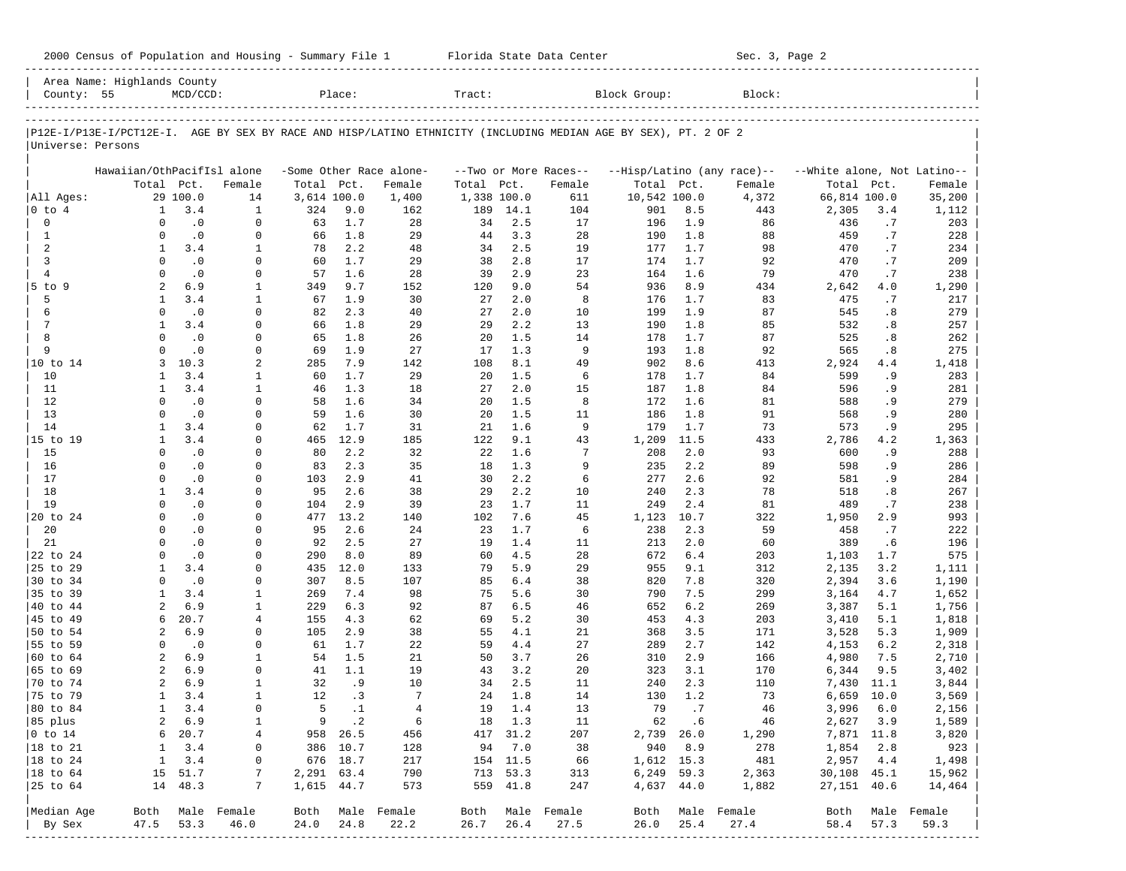|                                              | Area Name: Highlands County  |                        |                          |             |                      |                          |             |                    |                           |                                                                                                                |            |                            |                             |           |                          |
|----------------------------------------------|------------------------------|------------------------|--------------------------|-------------|----------------------|--------------------------|-------------|--------------------|---------------------------|----------------------------------------------------------------------------------------------------------------|------------|----------------------------|-----------------------------|-----------|--------------------------|
| County: 55                                   |                              | $MCD/CCD$ :            |                          |             | Place:               |                          | Tract:      |                    |                           | Block Group:                                                                                                   |            | Block:                     |                             |           |                          |
|                                              |                              |                        |                          |             |                      |                          |             |                    |                           | P12E-I/P13E-I/PCT12E-I. AGE BY SEX BY RACE AND HISP/LATINO ETHNICITY (INCLUDING MEDIAN AGE BY SEX), PT. 2 OF 2 |            |                            |                             |           |                          |
| Universe: Persons                            |                              |                        |                          |             |                      |                          |             |                    |                           |                                                                                                                |            |                            |                             |           |                          |
|                                              | Hawaiian/OthPacifIsl alone   |                        |                          |             |                      | -Some Other Race alone-  |             |                    | --Two or More Races--     |                                                                                                                |            | --Hisp/Latino (any race)-- | --White alone, Not Latino-- |           |                          |
|                                              | Total Pct.                   |                        | Female                   | Total Pct.  |                      | Female                   | Total       | Pct.               | Female                    | Total Pct.                                                                                                     |            | Female                     | Total Pct.                  |           | Female                   |
| All Ages:                                    |                              | 29 100.0               | 14                       | 3,614 100.0 |                      | 1,400                    | 1,338 100.0 |                    | 611                       | 10,542 100.0                                                                                                   |            | 4,372                      | 66,814 100.0                |           | 35,200                   |
| $0$ to $4$                                   | $\mathbf{1}$                 | 3.4                    | $\mathbf{1}$             | 324         | 9.0                  | 162                      | 189         | 14.1               | 104                       | 901                                                                                                            | 8.5        | 443                        | 2,305                       | 3.4       | 1,112                    |
| 0                                            | $\Omega$                     | $\cdot$ 0              | $\mathbf 0$              | 63          | 1.7                  | 28                       | 34          | 2.5                | 17                        | 196                                                                                                            | 1.9        | 86                         | 436                         | .7        | 203                      |
| $\mathbf{1}$                                 | $\Omega$                     | $\cdot$ 0              | $\mathbf 0$              | 66          | 1.8                  | 29                       | 44          | 3.3                | 28                        | 190                                                                                                            | 1.8        | 88                         | 459                         | .7        | 228                      |
| 2                                            | $\mathbf{1}$                 | 3.4                    | 1                        | 78          | 2.2                  | 48                       | 34          | 2.5                | 19                        | 177                                                                                                            | 1.7        | 98                         | 470                         | .7        | 234                      |
| 3                                            | $\Omega$                     | $\cdot$ 0              | $\mathbf 0$              | 60          | 1.7                  | 29                       | 38          | 2.8                | 17                        | 174                                                                                                            | 1.7        | 92                         | 470                         | .7        | 209                      |
| $\overline{4}$                               | $\Omega$                     | $\cdot$ 0              | 0                        | 57          | 1.6                  | 28                       | 39          | 2.9                | 23                        | 164                                                                                                            | 1.6        | 79                         | 470                         | .7        | 238                      |
| 5 to 9                                       | 2                            | 6.9                    | 1                        | 349         | 9.7                  | 152                      | 120         | 9.0                | 54                        | 936                                                                                                            | 8.9        | 434                        | 2,642                       | 4.0       | 1,290                    |
| 5                                            | $\mathbf{1}$                 | 3.4                    | 1                        | 67          | 1.9                  | 30                       | 27          | 2.0                | 8                         | 176                                                                                                            | 1.7        | 83                         | 475                         | .7        | 217                      |
| 6                                            | $\Omega$                     | $\cdot$ 0              | $\Omega$                 | 82          | 2.3                  | 40                       | 27          | 2.0                | 10                        | 199                                                                                                            | 1.9        | 87                         | 545                         | .8        | 279                      |
| 7                                            | $\mathbf{1}$                 | 3.4                    | 0                        | 66          | 1.8                  | 29                       | 29          | 2.2                | 13                        | 190                                                                                                            | 1.8        | 85                         | 532                         | .8        | 257                      |
| 8<br>9                                       | $\Omega$<br>$\Omega$         | $\cdot$ 0<br>$\cdot$ 0 | $\mathbf 0$              | 65          | 1.8<br>1.9           | 26                       | 20          | 1.5                | 14<br>9                   | 178                                                                                                            | 1.7        | 87                         | 525                         | .8        | 262                      |
|                                              | 3                            | 10.3                   | $\mathbf 0$<br>2         | 69<br>285   | 7.9                  | 27                       | 17<br>108   | 1.3<br>8.1         | 49                        | 193<br>902                                                                                                     | 1.8<br>8.6 | 92                         | 565                         | .8        | 275                      |
| 10 to 14<br>10                               | 1                            | 3.4                    | 1                        | 60          | 1.7                  | 142<br>29                | 20          | 1.5                | 6                         | 178                                                                                                            | 1.7        | 413<br>84                  | 2,924<br>599                | 4.4<br>.9 | 1,418<br>283             |
| 11                                           | 1                            | 3.4                    | $\mathbf{1}$             | 46          | 1.3                  | 18                       | 27          | 2.0                | 15                        | 187                                                                                                            | 1.8        | 84                         | 596                         | . 9       | 281                      |
| 12                                           | $\Omega$                     | $\cdot$ 0              | $\mathbf 0$              | 58          | 1.6                  | 34                       | 20          | 1.5                | 8                         | 172                                                                                                            | 1.6        | 81                         | 588                         | . 9       | 279                      |
| 13                                           | $\Omega$                     | $\cdot$ 0              | $\Omega$                 | 59          | 1.6                  | 30                       | 20          | 1.5                | 11                        | 186                                                                                                            | 1.8        | 91                         | 568                         | . 9       | 280                      |
| 14                                           | $\mathbf{1}$                 | 3.4                    | $\mathbf 0$              | 62          | 1.7                  | 31                       | 21          | 1.6                | 9                         | 179                                                                                                            | 1.7        | 73                         | 573                         | .9        | 295                      |
| 15 to 19                                     | $\mathbf{1}$                 | 3.4                    | $\Omega$                 | 465         | 12.9                 | 185                      | 122         | 9.1                | 43                        | 1,209                                                                                                          | 11.5       | 433                        | 2,786                       | 4.2       | 1,363                    |
| 15                                           | $\Omega$                     | $\cdot$ 0              | 0                        | 80          | 2.2                  | 32                       | 22          | 1.6                | 7                         | 208                                                                                                            | 2.0        | 93                         | 600                         | .9        | 288                      |
| 16                                           | $\Omega$                     | $\cdot$ 0              | 0                        | 83          | 2.3                  | 35                       | 18          | 1.3                | 9                         | 235                                                                                                            | 2.2        | 89                         | 598                         | .9        | 286                      |
| 17                                           | $\Omega$                     | $\cdot$ 0              | $\Omega$                 | 103         | 2.9                  | 41                       | 30          | 2.2                | 6                         | 277                                                                                                            | 2.6        | 92                         | 581                         | .9        | 284                      |
| 18                                           | 1                            | 3.4                    | $\Omega$                 | 95          | 2.6                  | 38                       | 29          | 2.2                | 10                        | 240                                                                                                            | 2.3        | 78                         | 518                         | .8        | 267                      |
| 19                                           | $\Omega$                     | $\cdot$ 0              | $\Omega$                 | 104         | 2.9                  | 39                       | 23          | 1.7                | 11                        | 249                                                                                                            | 2.4        | 81                         | 489                         | .7        | 238                      |
| 20 to 24                                     | $\Omega$                     | $\cdot$ 0              | 0                        | 477         | 13.2                 | 140                      | 102         | 7.6                | 45                        | 1,123                                                                                                          | 10.7       | 322                        | 1,950                       | 2.9       | 993                      |
| 20                                           | $\Omega$                     | $\cdot$ 0              | $\Omega$                 | 95          | 2.6                  | 24                       | 23          | 1.7                | 6                         | 238                                                                                                            | 2.3        | 59                         | 458                         | .7        | 222                      |
| 21                                           | $\Omega$                     | $\cdot$ 0              | 0                        | 92          | 2.5                  | 27                       | 19          | 1.4                | 11                        | 213                                                                                                            | 2.0        | 60                         | 389                         | .6        | 196                      |
| 22 to 24                                     | $\Omega$                     | $\cdot$ 0              | $\Omega$                 | 290         | 8.0                  | 89                       | 60          | 4.5                | 28                        | 672                                                                                                            | 6.4        | 203                        | 1,103                       | 1.7       | 575                      |
| 25 to 29                                     | 1                            | 3.4                    | 0                        | 435         | 12.0                 | 133                      | 79          | 5.9                | 29                        | 955                                                                                                            | 9.1        | 312                        | 2,135                       | 3.2       | 1,111                    |
| 30 to 34                                     | $\Omega$                     | $\cdot$ 0              | $\Omega$                 | 307         | 8.5                  | 107                      | 85          | $6.4$              | 38                        | 820                                                                                                            | 7.8        | 320                        | 2,394                       | 3.6       | 1,190                    |
| 35 to 39                                     | 1                            | 3.4                    | 1                        | 269         | 7.4                  | 98                       | 75          | 5.6                | 30                        | 790                                                                                                            | 7.5        | 299                        | 3,164                       | 4.7       | 1,652                    |
| 40 to 44                                     | $\overline{a}$               | 6.9                    | 1                        | 229         | 6.3                  | 92                       | 87          | 6.5                | 46                        | 652                                                                                                            | 6.2        | 269                        | 3,387                       | 5.1       | 1,756                    |
| 45 to 49                                     | 6                            | 20.7                   | 4                        | 155         | 4.3                  | 62                       | 69          | 5.2                | 30                        | 453                                                                                                            | 4.3        | 203                        | 3,410                       | 5.1       | 1,818                    |
| 50 to 54                                     | $\overline{a}$               | 6.9                    | $\Omega$                 | 105         | 2.9                  | 38                       | 55          | 4.1                | 21                        | 368                                                                                                            | 3.5        | 171                        | 3,528                       | 5.3       | 1,909                    |
| 55 to 59                                     | $\Omega$                     | $\cdot$ 0              | 0                        | 61          | 1.7                  | 22                       | 59          | 4.4                | 27                        | 289                                                                                                            | 2.7        | 142                        | 4,153                       | 6.2       | 2,318                    |
| 60 to 64                                     | 2                            | 6.9                    | 1                        | 54          | 1.5                  | 21                       | 50          | 3.7                | 26                        | 310                                                                                                            | 2.9        | 166                        | 4,980                       | 7.5       | 2,710                    |
| 65 to 69                                     | 2                            | 6.9                    | $\mathbf 0$              | 41          | 1.1                  | 19                       | 43          | 3.2                | 20                        | 323                                                                                                            | 3.1        | 170                        | 6,344                       | 9.5       | 3,402                    |
| 70 to 74                                     | $\overline{a}$               | 6.9                    | 1                        | 32          | . 9                  | 10                       | 34          | 2.5                | 11                        | 240                                                                                                            | 2.3        | 110                        | 7,430                       | 11.1      | 3,844                    |
| 75 to 79                                     | 1                            | 3.4                    | $\mathbf{1}$             | 12          | .3                   | 7                        | 24          | 1.8                | 14                        | 130                                                                                                            | 1.2        | 73                         | 6,659                       | 10.0      | 3,569                    |
| 80 to 84                                     | $\mathbf{1}$                 | 3.4                    | $\mathbf 0$              | 5           | $\cdot$ 1            | $\overline{4}$           | 19          | 1.4                | 13                        | 79                                                                                                             | .7         | 46                         | 3,996                       | 6.0       | 2,156                    |
| 85 plus                                      | 2                            | 6.9                    | 1                        |             | $9 \cdot 2$          | -6                       |             | 18 1.3             | 11                        |                                                                                                                | 62 .6      | 46                         |                             | 2,627 3.9 | 1,589                    |
| $ 0 \t{to} 14$                               | 6                            | 20.7                   | 4                        |             | 958 26.5             | 456                      |             | 417 31.2           | 207                       |                                                                                                                | 2,739 26.0 | 1,290                      | 7,871 11.8                  |           | 3,820                    |
| $ 18 \text{ to } 21$                         | $\mathbf{1}$<br>$\mathbf{1}$ | 3.4<br>3.4             | 0                        |             | 386 10.7<br>676 18.7 | 128<br>217               |             | 94 7.0<br>154 11.5 | 38<br>66                  | 940<br>1,612 15.3                                                                                              | 8.9        | 278<br>481                 | 1,854 2.8<br>2,957 4.4      |           | 923<br>1,498             |
| $ 18 \text{ to } 24$<br>$ 18 \text{ to } 64$ |                              | 15 51.7                | 0<br>7                   | 2,291 63.4  |                      | 790                      |             | 713 53.3           | 313                       |                                                                                                                | 6,249 59.3 | 2,363                      | 30,108 45.1                 |           | 15,962                   |
| 25 to 64                                     |                              | 14 48.3                | 7                        | 1,615 44.7  |                      | 573                      |             | 559 41.8           | 247                       |                                                                                                                | 4,637 44.0 | 1,882                      | 27, 151 40.6                |           | 14,464                   |
|                                              |                              |                        |                          |             |                      |                          |             |                    |                           |                                                                                                                |            |                            |                             |           |                          |
| Median Age<br>By Sex                         | 47.5                         | 53.3                   | Both Male Female<br>46.0 | 24.0        | 24.8                 | Both Male Female<br>22.2 | 26.7        | 26.4               | Both Male Female<br>27.5  | Both<br>26.0                                                                                                   | 25.4       | Male Female<br>27.4        | 58.4                        | 57.3      | Both Male Female<br>59.3 |
|                                              |                              |                        |                          |             |                      |                          |             |                    | ------------------------- |                                                                                                                |            | -------------------------- |                             |           |                          |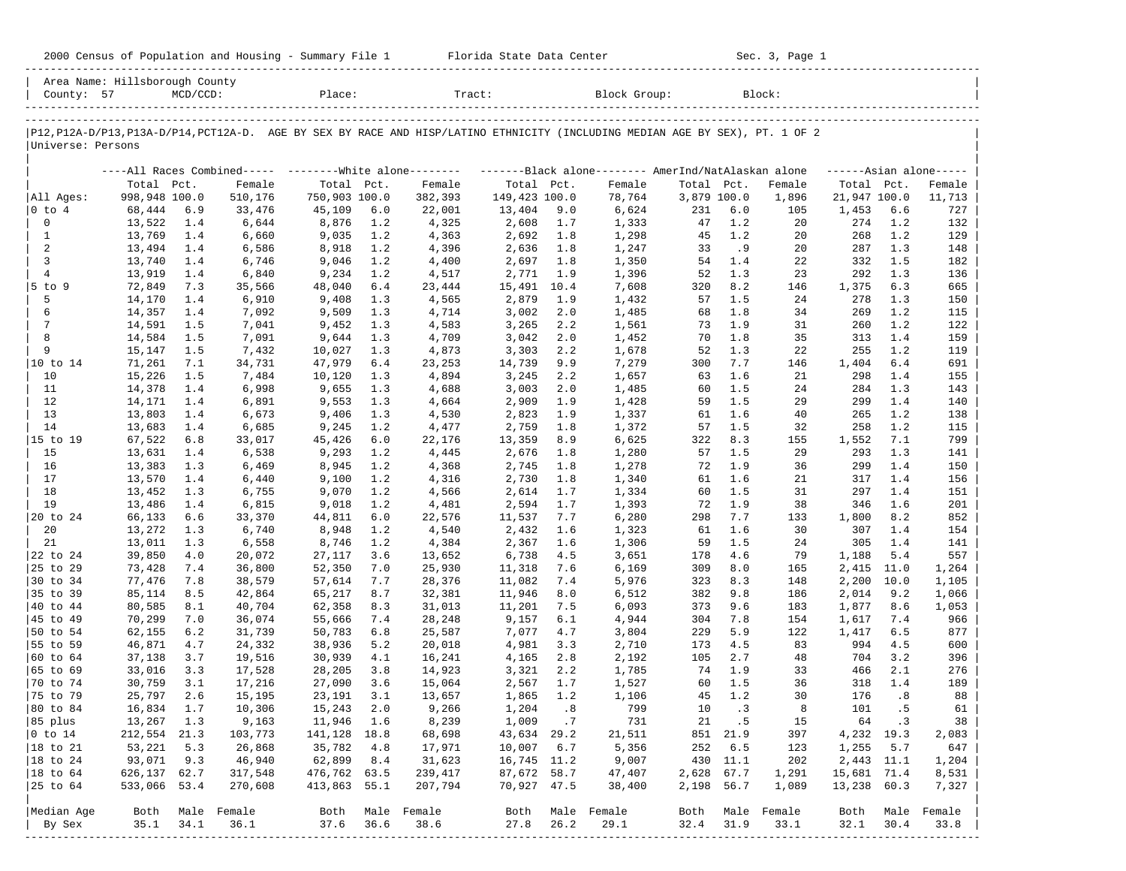| 2000 Census of Population and Housing - Summary File 1 |  | Florida State Data Center | Sec. 3, Page 1 |
|--------------------------------------------------------|--|---------------------------|----------------|
|--------------------------------------------------------|--|---------------------------|----------------|

|                        | County: 57    | $MCD/CCD$ : |                                                           | Place:        |      | Tract:           |               |           | Block Group:                                                                                                                  |             |           | Block:           |              |       |                     |
|------------------------|---------------|-------------|-----------------------------------------------------------|---------------|------|------------------|---------------|-----------|-------------------------------------------------------------------------------------------------------------------------------|-------------|-----------|------------------|--------------|-------|---------------------|
|                        |               |             |                                                           |               |      |                  |               |           |                                                                                                                               |             |           |                  |              |       |                     |
| Universe: Persons      |               |             |                                                           |               |      |                  |               |           | P12, P12A-D/P13, P13A-D/P14, PCT12A-D. AGE BY SEX BY RACE AND HISP/LATINO ETHNICITY (INCLUDING MEDIAN AGE BY SEX), PT. 1 OF 2 |             |           |                  |              |       |                     |
|                        |               |             |                                                           |               |      |                  |               |           |                                                                                                                               |             |           |                  |              |       |                     |
|                        |               |             | ----All Races Combined----- --------- White alone-------- |               |      |                  |               |           | -------Black alone-------- AmerInd/NatAlaskan alone                                                                           |             |           |                  |              |       | $---Asian alone---$ |
|                        | Total Pct.    |             | Female                                                    | Total Pct.    |      | Female           | Total Pct.    |           | Female                                                                                                                        | Total Pct.  |           | Female           | Total Pct.   |       | Female              |
| All Ages:              | 998,948 100.0 |             | 510,176                                                   | 750,903 100.0 |      | 382,393          | 149,423 100.0 |           | 78,764                                                                                                                        | 3,879 100.0 |           | 1,896            | 21,947 100.0 |       | 11,713              |
| 0 to 4                 | 68,444        | 6.9         | 33,476                                                    | 45,109        | 6.0  | 22,001           | 13,404        | 9.0       | 6,624                                                                                                                         | 231         | 6.0       | 105              | 1,453        | 6.6   | 727                 |
| $\mathbf 0$            | 13,522        | 1.4         | 6,644                                                     | 8,876         | 1.2  | 4,325            | 2,608         | 1.7       | 1,333                                                                                                                         | 47          | 1.2       | 20               | 274          | 1.2   | 132                 |
| $\mathbf{1}$           | 13,769        | 1.4         | 6,660                                                     | 9,035         | 1.2  | 4,363            | 2,692         | 1.8       | 1,298                                                                                                                         | 45          | 1.2       | 20               | 268          | 1.2   | 129                 |
| $\overline{a}$         | 13,494        | 1.4         | 6,586                                                     | 8,918         | 1.2  | 4,396            | 2,636         | 1.8       | 1,247                                                                                                                         | 33          | . 9       | 20               | 287          | 1.3   | 148                 |
| 3                      | 13,740        | 1.4         | 6,746                                                     | 9,046         | 1.2  | 4,400            | 2,697         | 1.8       | 1,350                                                                                                                         | 54          | 1.4       | 22               | 332          | 1.5   | 182                 |
| $\overline{4}$         | 13,919        | 1.4         | 6,840                                                     | 9,234         | 1.2  | 4,517            | 2,771         | 1.9       | 1,396                                                                                                                         | 52          | 1.3       | 23               | 292          | 1.3   | 136                 |
| $5$ to $9$             | 72,849        | 7.3         | 35,566                                                    | 48,040        | 6.4  | 23,444           | 15,491        | 10.4      | 7,608                                                                                                                         | 320         | 8.2       | 146              | 1,375        | 6.3   | 665                 |
| 5                      | 14,170        | 1.4         | 6,910                                                     | 9,408         | 1.3  | 4,565            | 2,879         | 1.9       | 1,432                                                                                                                         | 57          | 1.5       | 24               | 278          | 1.3   | 150                 |
| 6                      | 14,357        | 1.4         | 7,092                                                     | 9,509         | 1.3  | 4,714            | 3,002         | 2.0       | 1,485                                                                                                                         | 68          | 1.8       | 34               | 269          | 1.2   | 115                 |
| $7\phantom{.0}$        | 14,591        | 1.5         | 7,041                                                     | 9,452         | 1.3  | 4,583            | 3,265         | 2.2       | 1,561                                                                                                                         | 73          | 1.9       | 31               | 260          | 1.2   | 122                 |
| 8                      | 14,584        | 1.5         | 7,091                                                     | 9,644         | 1.3  | 4,709            | 3,042         | 2.0       | 1,452                                                                                                                         | 70          | 1.8       | 35               | 313          | 1.4   | 159                 |
| 9                      | 15,147        | 1.5         | 7,432                                                     | 10,027        | 1.3  | 4,873            | 3,303         | 2.2       | 1,678                                                                                                                         | 52          | 1.3       | 22               | 255          | 1.2   | 119                 |
| 10 to 14               | 71,261        | 7.1         | 34,731                                                    | 47,979        | 6.4  | 23,253           | 14,739        | 9.9       | 7,279                                                                                                                         | 300         | 7.7       | 146              | 1,404        | 6.4   | 691                 |
| 10                     | 15,226        | 1.5         | 7,484                                                     | 10,120        | 1.3  | 4,894            | 3,245         | 2.2       | 1,657                                                                                                                         | 63          | 1.6       | 21               | 298          | 1.4   | 155                 |
| 11                     | 14,378        | 1.4         | 6,998                                                     | 9,655         | 1.3  | 4,688            | 3,003         | 2.0       | 1,485                                                                                                                         | 60          | 1.5       | 24               | 284          | 1.3   | 143                 |
| 12                     | 14,171        | 1.4         | 6,891                                                     | 9,553         | 1.3  | 4,664            | 2,909         | 1.9       | 1,428                                                                                                                         | 59          | 1.5       | 29               | 299          | 1.4   | 140                 |
| 13                     | 13,803        | 1.4         | 6,673                                                     | 9,406         | 1.3  | 4,530            | 2,823         | 1.9       | 1,337                                                                                                                         | 61          | 1.6       | 40               | 265          | 1.2   | 138                 |
| 14                     | 13,683        | 1.4         | 6,685                                                     | 9,245         | 1.2  | 4,477            | 2,759         | 1.8       | 1,372                                                                                                                         | 57          | 1.5       | 32               | 258          | 1.2   | 115                 |
| 15 to 19               | 67,522        | 6.8         | 33,017                                                    | 45,426        | 6.0  | 22,176           | 13,359        | 8.9       | 6,625                                                                                                                         | 322         | 8.3       | 155              | 1,552        | 7.1   | 799                 |
| 15                     | 13,631        | 1.4         | 6,538                                                     | 9,293         | 1.2  | 4,445            | 2,676         | 1.8       | 1,280                                                                                                                         | 57          | 1.5       | 29               | 293          | 1.3   | 141                 |
| 16                     | 13,383        | 1.3         | 6,469                                                     | 8,945         | 1.2  | 4,368            | 2,745         | 1.8       | 1,278                                                                                                                         | 72          | 1.9       | 36               | 299          | 1.4   | 150                 |
| 17                     | 13,570        | 1.4         | 6,440                                                     | 9,100         | 1.2  | 4,316            | 2,730         | 1.8       | 1,340                                                                                                                         | 61          | 1.6       | 21               | 317          | 1.4   | 156                 |
| 18                     | 13,452        | 1.3         | 6,755                                                     | 9,070         | 1.2  | 4,566            | 2,614         | 1.7       | 1,334                                                                                                                         | 60          | 1.5       | 31               | 297          | 1.4   | 151                 |
| 19                     | 13,486        | 1.4         | 6,815                                                     | 9,018         | 1.2  | 4,481            | 2,594         | 1.7       | 1,393                                                                                                                         | 72          | 1.9       | 38               | 346          | 1.6   | 201                 |
| 20 to 24               | 66,133        | 6.6         | 33,370                                                    | 44,811        | 6.0  | 22,576           | 11,537        | 7.7       | 6,280                                                                                                                         | 298         | 7.7       | 133              | 1,800        | 8.2   | 852                 |
| 20                     | 13,272        | 1.3         | 6,740                                                     | 8,948         | 1.2  | 4,540            | 2,432         | 1.6       | 1,323                                                                                                                         | 61          | 1.6       | 30               | 307          | 1.4   | 154                 |
| 21                     | 13,011        | 1.3         | 6,558                                                     | 8,746         | 1.2  | 4,384            | 2,367         | 1.6       | 1,306                                                                                                                         | 59          | 1.5       | 24               | 305          | 1.4   | 141                 |
| 22 to 24               | 39,850        | 4.0         | 20,072                                                    | 27,117        | 3.6  | 13,652           | 6,738         | 4.5       | 3,651                                                                                                                         | 178         | 4.6       | 79               | 1,188        | 5.4   | 557                 |
| 25 to 29               | 73,428        | 7.4         | 36,800                                                    | 52,350        | 7.0  | 25,930           | 11,318        | 7.6       | 6,169                                                                                                                         | 309         | 8.0       | 165              | 2,415        | 11.0  | 1,264               |
| 30 to 34               | 77,476        | 7.8         | 38,579                                                    | 57,614        | 7.7  | 28,376           | 11,082        | 7.4       | 5,976                                                                                                                         | 323         | 8.3       | 148              | 2,200        | 10.0  | 1,105               |
| 35 to 39               | 85,114        | 8.5         | 42,864                                                    | 65,217        | 8.7  | 32,381           | 11,946        | 8.0       | 6,512                                                                                                                         | 382         | 9.8       | 186              | 2,014        | 9.2   | 1,066               |
| 40 to 44               | 80,585        | 8.1         | 40,704                                                    | 62,358        | 8.3  | 31,013           | 11,201        | 7.5       | 6,093                                                                                                                         | 373         | 9.6       | 183              | 1,877        | 8.6   | 1,053               |
| 45 to 49               | 70,299        | 7.0         | 36,074                                                    | 55,666        | 7.4  | 28,248           | 9,157         | 6.1       | 4,944                                                                                                                         | 304         | 7.8       | 154              | 1,617        | 7.4   | 966                 |
| 50 to 54               | 62,155        | 6.2         | 31,739                                                    | 50,783        | 6.8  | 25,587           | 7,077         | 4.7       | 3,804                                                                                                                         | 229         | 5.9       | 122              | 1,417        | 6.5   | 877                 |
| 55 to 59               | 46,871        | 4.7         | 24,332                                                    | 38,936        | 5.2  | 20,018           | 4,981         | 3.3       | 2,710                                                                                                                         | 173         | 4.5       | 83               | 994          | 4.5   | 600                 |
| 60 to 64               | 37,138        | 3.7         | 19,516                                                    | 30,939        | 4.1  | 16,241           | 4,165         | 2.8       | 2,192                                                                                                                         | 105         | 2.7       | 48               | 704          | 3.2   | 396                 |
| 65 to 69               | 33,016        | 3.3         | 17,528                                                    | 28,205        | 3.8  | 14,923           | 3,321         | 2.2       | 1,785                                                                                                                         | 74          | 1.9       | 33               | 466          | 2.1   | 276                 |
| 70 to 74               | 30,759        | 3.1         | 17,216                                                    | 27,090        | 3.6  | 15,064           | 2,567         | 1.7       | 1,527                                                                                                                         | 60          | 1.5       | 36               | 318          | 1.4   | 189                 |
| 75 to 79               | 25,797        | 2.6         | 15,195                                                    | 23,191        | 3.1  | 13,657           | 1,865         | 1.2       | 1,106                                                                                                                         | 45          | 1.2       | 30               | 176          | .8    | 88                  |
| 80 to 84               | 16,834        | 1.7         | 10,306                                                    | 15,243        | 2.0  | 9,266            | 1,204         | .8        | 799                                                                                                                           | 10          | $\cdot$ 3 | 8                | 101          | .5    | 61                  |
| 85 plus                | 13,267 1.3    |             | 9,163                                                     | 11,946 1.6    |      | 8,239            | 1,009         | $\cdot$ 7 | 731                                                                                                                           | 21          | .5        | 15               |              | 64 .3 | 38                  |
| $ 0 \t\t \text{to} 14$ | 212,554 21.3  |             | 103,773                                                   | 141,128 18.8  |      | 68,698           | 43,634 29.2   |           | 21,511                                                                                                                        |             | 851 21.9  | 397              | 4,232 19.3   |       | 2,083               |
| 18 to 21               | 53,221        | 5.3         | 26,868                                                    | 35,782        | 4.8  | 17,971           | 10,007 6.7    |           | 5,356                                                                                                                         |             | 252 6.5   | 123              | 1,255        | 5.7   | 647                 |
| 18 to 24               | 93,071        | 9.3         | 46,940                                                    | 62,899        | 8.4  | 31,623           | 16,745 11.2   |           | 9,007                                                                                                                         |             | 430 11.1  | 202              | 2,443 11.1   |       | 1,204               |
| $ 18$ to $64$          | 626,137 62.7  |             | 317,548                                                   | 476,762 63.5  |      | 239,417          | 87,672 58.7   |           | 47,407                                                                                                                        | 2,628 67.7  |           | 1,291            | 15,681 71.4  |       | 8,531               |
| 25 to 64               | 533,066 53.4  |             | 270,608                                                   | 413,863 55.1  |      | 207,794          | 70,927 47.5   |           | 38,400                                                                                                                        | 2,198 56.7  |           | 1,089            | 13,238 60.3  |       | 7,327               |
|                        |               |             |                                                           |               |      |                  |               |           |                                                                                                                               |             |           |                  |              |       |                     |
| Median Age             |               |             | Both Male Female                                          |               |      | Both Male Female |               |           | Both Male Female                                                                                                              |             |           | Both Male Female | Both         |       | Male Female         |
| By Sex                 | 35.1          | 34.1        | 36.1                                                      | 37.6          | 36.6 | 38.6             | 27.8          | 26.2      | 29.1                                                                                                                          | 32.4        | 31.9      | 33.1             | 32.1         | 30.4  | 33.8                |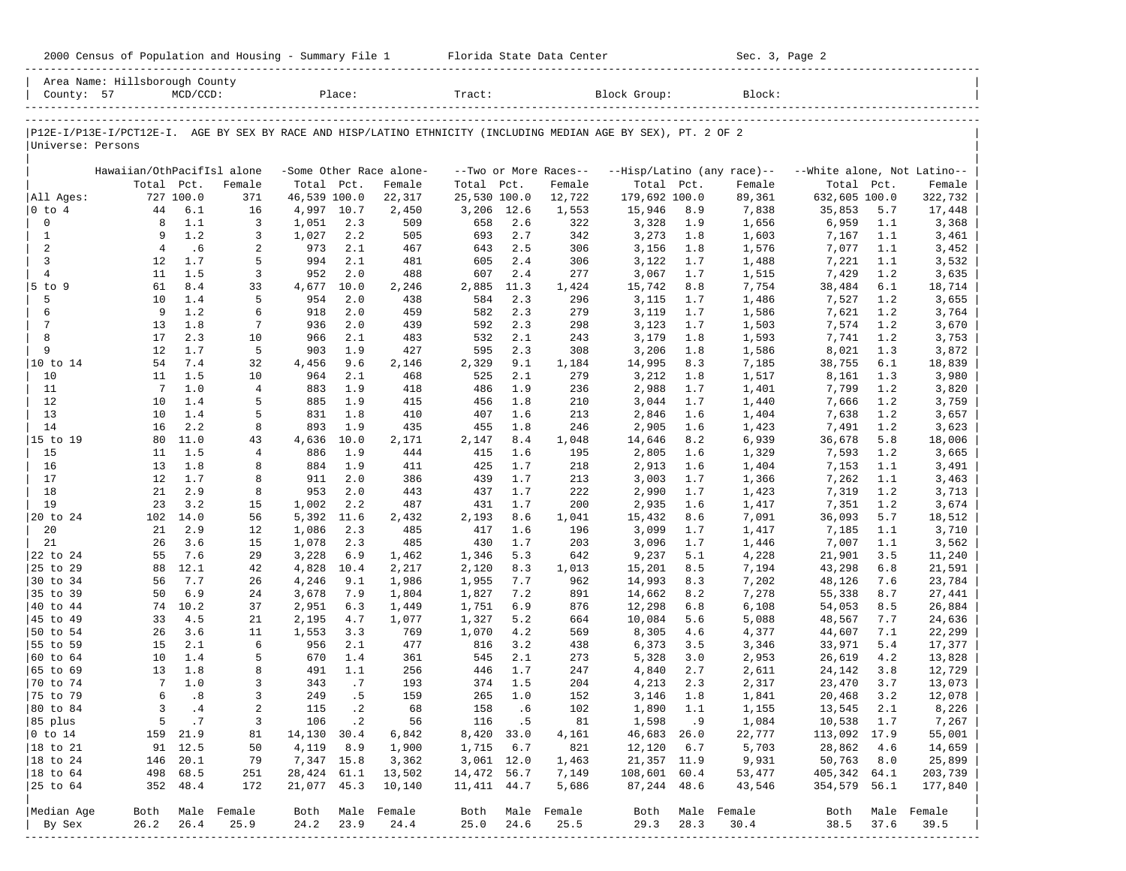| P12E-I/P13E-I/PCT12E-I. AGE BY SEX BY RACE AND HISP/LATINO ETHNICITY (INCLUDING MEDIAN AGE BY SEX), PT. 2 OF 2 |                            |            |                  |              |            |                         |              |            |                       |                | Block Group: |                            |                             |            |                  |
|----------------------------------------------------------------------------------------------------------------|----------------------------|------------|------------------|--------------|------------|-------------------------|--------------|------------|-----------------------|----------------|--------------|----------------------------|-----------------------------|------------|------------------|
| Universe: Persons                                                                                              |                            |            |                  |              |            |                         |              |            |                       |                |              |                            |                             |            |                  |
|                                                                                                                | Hawaiian/OthPacifIsl alone |            |                  |              |            | -Some Other Race alone- |              |            | --Two or More Races-- |                |              | --Hisp/Latino (any race)-- | --White alone, Not Latino-- |            |                  |
|                                                                                                                | Total Pct.                 |            | Female           | Total Pct.   |            | Female                  | Total        | Pct.       | Female                | Total Pct.     |              | Female                     | Total                       | Pct.       | Female           |
| All Ages:                                                                                                      |                            | 727 100.0  | 371              | 46,539 100.0 |            | 22,317                  | 25,530 100.0 |            | 12,722                | 179,692 100.0  |              | 89,361                     | 632,605 100.0               |            | 322,732          |
| $ 0 \t{to} 4$                                                                                                  | 44                         | 6.1        | 16               | 4,997 10.7   |            | 2,450                   | 3,206        | 12.6       | 1,553                 | 15,946         | 8.9          | 7,838                      | 35,853                      | 5.7        | 17,448           |
| 0                                                                                                              | 8                          | 1.1        | 3                | 1,051        | 2.3        | 509                     | 658          | 2.6        | 322                   | 3,328          | 1.9          | 1,656                      | 6,959                       | 1.1        | 3,368            |
| $\mathbf{1}$                                                                                                   | 9                          | 1.2        | 3                | 1,027        | 2.2        | 505                     | 693          | 2.7        | 342                   | 3,273          | 1.8          | 1,603                      | 7,167                       | 1.1        | 3,461            |
| 2                                                                                                              | $\overline{4}$             | .6         | 2                | 973          | 2.1        | 467                     | 643          | 2.5        | 306                   | 3,156          | 1.8          | 1,576                      | 7,077                       | 1.1        | 3,452            |
| 3                                                                                                              | 12                         | 1.7        | 5                | 994          | 2.1        | 481                     | 605          | 2.4        | 306                   | 3,122          | 1.7          | 1,488                      | 7,221                       | 1.1        | 3,532            |
| $\overline{4}$                                                                                                 | 11                         | 1.5        | 3                | 952          | 2.0        | 488                     | 607          | 2.4        | 277                   | 3,067          | 1.7          | 1,515                      | 7,429                       | 1.2        | 3,635            |
| 5 to 9<br>5                                                                                                    | 61<br>10                   | 8.4        | 33               | 4,677        | 10.0       | 2,246                   | 2,885        | 11.3       | 1,424                 | 15,742         | 8.8          | 7,754                      | 38,484                      | 6.1        | 18,714           |
| 6                                                                                                              | 9                          | 1.4<br>1.2 | 5<br>6           | 954<br>918   | 2.0<br>2.0 | 438<br>459              | 584<br>582   | 2.3<br>2.3 | 296<br>279            | 3,115<br>3,119 | 1.7<br>1.7   | 1,486<br>1,586             | 7,527<br>7,621              | 1.2<br>1.2 | 3,655            |
| 7                                                                                                              | 13                         | 1.8        | 7                | 936          | 2.0        | 439                     | 592          | 2.3        | 298                   | 3,123          | 1.7          | 1,503                      | 7,574                       | 1.2        | 3,764<br>3,670   |
| 8                                                                                                              | 17                         | 2.3        | 10               | 966          | 2.1        | 483                     | 532          | 2.1        | 243                   | 3,179          | 1.8          | 1,593                      | 7,741                       | 1.2        | 3,753            |
| 9                                                                                                              | 12                         | 1.7        | 5                | 903          | 1.9        | 427                     | 595          | 2.3        | 308                   | 3,206          | 1.8          | 1,586                      | 8,021                       | 1.3        | 3,872            |
| $ 10 \text{ to } 14$                                                                                           | 54                         | 7.4        | 32               | 4,456        | 9.6        | 2,146                   | 2,329        | 9.1        | 1,184                 | 14,995         | 8.3          | 7,185                      | 38,755                      | 6.1        | 18,839           |
| 10                                                                                                             | 11                         | 1.5        | 10               | 964          | 2.1        | 468                     | 525          | 2.1        | 279                   | 3,212          | 1.8          | 1,517                      | 8,161                       | 1.3        | 3,980            |
| 11                                                                                                             | $7\phantom{.0}$            | 1.0        | $\overline{4}$   | 883          | 1.9        | 418                     | 486          | 1.9        | 236                   | 2,988          | 1.7          | 1,401                      | 7,799                       | 1.2        | 3,820            |
| 12                                                                                                             | 10                         | 1.4        | 5                | 885          | 1.9        | 415                     | 456          | 1.8        | 210                   | 3,044          | 1.7          | 1,440                      | 7,666                       | 1.2        | 3,759            |
| 13                                                                                                             | 10                         | 1.4        | 5                | 831          | 1.8        | 410                     | 407          | 1.6        | 213                   | 2,846          | 1.6          | 1,404                      | 7,638                       | 1.2        | 3,657            |
| 14                                                                                                             | 16                         | 2.2        | 8                | 893          | 1.9        | 435                     | 455          | 1.8        | 246                   | 2,905          | 1.6          | 1,423                      | 7,491                       | 1.2        | 3,623            |
| 15 to 19                                                                                                       | 80                         | 11.0       | 43               | 4,636        | 10.0       | 2,171                   | 2,147        | 8.4        | 1,048                 | 14,646         | 8.2          | 6,939                      | 36,678                      | 5.8        | 18,006           |
| 15                                                                                                             | 11                         | 1.5        | 4                | 886          | 1.9        | 444                     | 415          | 1.6        | 195                   | 2,805          | 1.6          | 1,329                      | 7,593                       | 1.2        | 3,665            |
| 16                                                                                                             | 13                         | 1.8        | 8                | 884          | 1.9        | 411                     | 425          | 1.7        | 218                   | 2,913          | 1.6          | 1,404                      | 7,153                       | 1.1        | 3,491            |
| 17                                                                                                             | 12                         | 1.7        | 8                | 911          | 2.0        | 386                     | 439          | 1.7        | 213                   | 3,003          | 1.7          | 1,366                      | 7,262                       | 1.1        | 3,463            |
| 18                                                                                                             | 21                         | 2.9        | 8                | 953          | 2.0        | 443                     | 437          | 1.7        | 222                   | 2,990          | 1.7          | 1,423                      | 7,319                       | 1.2        | 3,713            |
| 19                                                                                                             | 23                         | 3.2        | 15               | 1,002        | 2.2        | 487                     | 431          | 1.7        | 200                   | 2,935          | 1.6          | 1,417                      | 7,351                       | 1.2        | 3,674            |
| 20 to 24                                                                                                       | 102                        | 14.0       | 56               | 5,392        | 11.6       | 2,432                   | 2,193        | 8.6        | 1,041                 | 15,432         | 8.6          | 7,091                      | 36,093                      | 5.7        | 18,512           |
| 20                                                                                                             | 21                         | 2.9        | 12               | 1,086        | 2.3        | 485                     | 417          | 1.6        | 196                   | 3,099          | 1.7          | 1,417                      | 7,185                       | 1.1        | 3,710            |
| 21                                                                                                             | 26                         | 3.6        | 15               | 1,078        | 2.3        | 485                     | 430          | 1.7        | 203                   | 3,096          | 1.7          | 1,446                      | 7,007                       | 1.1        | 3,562            |
| 22 to 24                                                                                                       | 55                         | 7.6        | 29               | 3,228        | 6.9        | 1,462                   | 1,346        | 5.3        | 642                   | 9,237          | 5.1          | 4,228                      | 21,901                      | 3.5        | 11,240           |
| 25 to 29                                                                                                       | 88                         | 12.1       | 42               | 4,828        | 10.4       | 2,217                   | 2,120        | 8.3        | 1,013                 | 15,201         | 8.5          | 7,194                      | 43,298                      | 6.8        | 21,591           |
| 30 to 34                                                                                                       | 56                         | 7.7        | 26               | 4,246        | 9.1        | 1,986                   | 1,955        | 7.7        | 962                   | 14,993         | 8.3          | 7,202                      | 48,126                      | 7.6        | 23,784           |
| 35 to 39                                                                                                       | 50                         | 6.9        | 24               | 3,678        | 7.9        | 1,804                   | 1,827        | 7.2        | 891                   | 14,662         | 8.2          | 7,278                      | 55,338                      | 8.7        | 27,441           |
| 40 to 44                                                                                                       | 74                         | 10.2       | 37               | 2,951        | 6.3        | 1,449                   | 1,751        | 6.9        | 876                   | 12,298         | 6.8          | 6,108                      | 54,053                      | 8.5        | 26,884           |
| 45 to 49                                                                                                       | 33                         | 4.5        | 21               | 2,195        | 4.7        | 1,077                   | 1,327        | 5.2        | 664                   | 10,084         | 5.6          | 5,088                      | 48,567                      | 7.7        | 24,636           |
| 50 to 54<br>55 to 59                                                                                           | 26                         | 3.6        | 11               | 1,553        | 3.3        | 769                     | 1,070        | 4.2        | 569                   | 8,305          | 4.6          | 4,377                      | 44,607                      | 7.1        | 22,299           |
| 60 to 64                                                                                                       | 15<br>10                   | 2.1<br>1.4 | 6<br>5           | 956<br>670   | 2.1<br>1.4 | 477                     | 816<br>545   | 3.2<br>2.1 | 438                   | 6,373          | 3.5          | 3,346                      | 33,971                      | 5.4<br>4.2 | 17,377           |
| 65 to 69                                                                                                       | 13                         | 1.8        | 8                | 491          | 1.1        | 361<br>256              | 446          | 1.7        | 273<br>247            | 5,328<br>4,840 | 3.0<br>2.7   | 2,953<br>2,611             | 26,619<br>24,142            | 3.8        | 13,828<br>12,729 |
| 70 to 74                                                                                                       | 7                          | 1.0        | 3                | 343          | .7         | 193                     | 374          | 1.5        | 204                   | 4,213          | 2.3          | 2,317                      | 23,470                      | 3.7        | 13,073           |
| 75 to 79                                                                                                       | 6                          | .8         | 3                | 249          | .5         | 159                     | 265          | 1.0        | 152                   | 3,146          | 1.8          | 1,841                      | 20,468                      | 3.2        | 12,078           |
| 80 to 84                                                                                                       | 3                          | .4         | 2                | 115          | $\cdot$ 2  | 68                      | 158          | . 6        | 102                   | 1,890          | 1.1          | 1,155                      | 13,545                      | 2.1        | 8,226            |
| 85 plus                                                                                                        |                            | 5 .7       | 3                | 106          | $\cdot$ 2  | 56                      | 116          | .5         | 81                    | 1,598          | .9           | 1,084                      | 10,538                      | 1.7        | 7,267            |
| $ 0 \t{to} 14$                                                                                                 |                            | 159 21.9   | 81               | 14,130 30.4  |            | 6,842                   | 8,420 33.0   |            | 4,161                 | 46,683 26.0    |              | 22,777                     | 113,092 17.9                |            | 55,001           |
| 18 to 21                                                                                                       |                            | 91 12.5    | 50               | 4,119        | 8.9        | 1,900                   | 1,715        | 6.7        | 821                   | 12,120         | 6.7          | 5,703                      | 28,862                      | 4.6        | 14,659           |
| $ 18 \text{ to } 24$                                                                                           |                            | 146 20.1   | 79               | 7,347 15.8   |            | 3,362                   | 3,061 12.0   |            | 1,463                 | 21,357 11.9    |              | 9,931                      | 50,763                      | 8.0        | 25,899           |
| $ 18 \text{ to } 64$                                                                                           |                            | 498 68.5   | 251              | 28,424 61.1  |            | 13,502                  | 14,472 56.7  |            | 7,149                 | 108,601 60.4   |              | 53,477                     | 405,342 64.1                |            | 203,739          |
| 25 to 64                                                                                                       |                            | 352 48.4   | 172              | 21,077 45.3  |            | 10,140                  | 11, 411 44.7 |            | 5,686                 | 87,244 48.6    |              | 43,546                     | 354,579 56.1                |            | 177,840          |
|                                                                                                                |                            |            |                  |              |            |                         |              |            |                       |                |              |                            |                             |            |                  |
| Median Age                                                                                                     |                            |            | Both Male Female |              |            | Both Male Female        |              |            | Both Male Female      | Both           |              | Male Female                | Both                        |            | Male Female      |
| By Sex                                                                                                         | 26.2                       | 26.4       | 25.9             | 24.2         | 23.9       | 24.4                    | 25.0         | 24.6       | 25.5                  | 29.3           | 28.3         | 30.4                       | 38.5                        | 37.6       | 39.5             |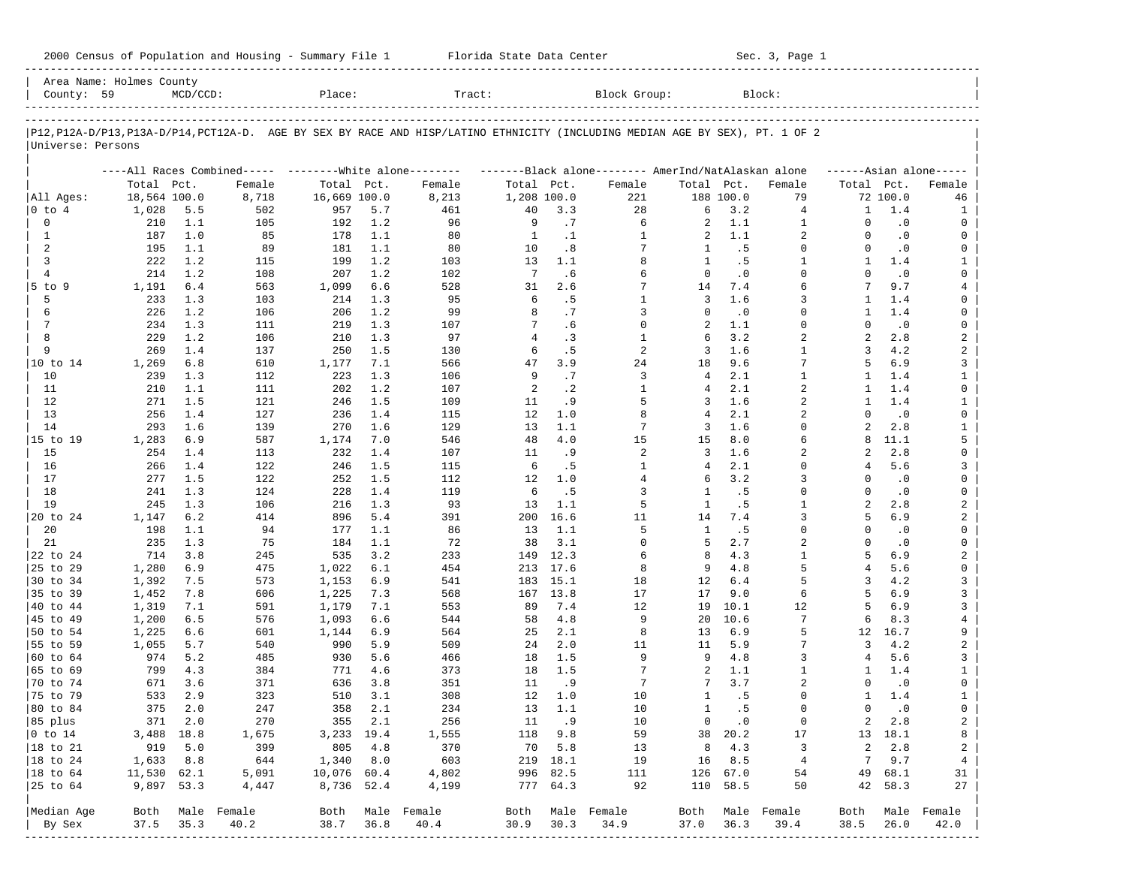| 2000 Census of Population and Housing - Summary File 1 |  | Florida State Data Center | Sec. 3, Page 1 |
|--------------------------------------------------------|--|---------------------------|----------------|
|--------------------------------------------------------|--|---------------------------|----------------|

| County: 59                  | Area Name: Holmes County | $MCD/CCD$ : |                                                         | Place:       |         | Tract:                                                                                                                     |              |           | Block Group:                                        |                |           | Block:         |                |           |                         |
|-----------------------------|--------------------------|-------------|---------------------------------------------------------|--------------|---------|----------------------------------------------------------------------------------------------------------------------------|--------------|-----------|-----------------------------------------------------|----------------|-----------|----------------|----------------|-----------|-------------------------|
|                             |                          |             |                                                         |              |         |                                                                                                                            |              |           |                                                     |                |           |                |                |           |                         |
|                             |                          |             |                                                         |              |         | P12,P12A-D/P13,P13A-D/P14,PCT12A-D. AGE BY SEX BY RACE AND HISP/LATINO ETHNICITY (INCLUDING MEDIAN AGE BY SEX), PT. 1 OF 2 |              |           |                                                     |                |           |                |                |           |                         |
| Universe: Persons           |                          |             |                                                         |              |         |                                                                                                                            |              |           |                                                     |                |           |                |                |           |                         |
|                             |                          |             | ----All Races Combined----- --------White alone-------- |              |         |                                                                                                                            |              |           | -------Black alone-------- AmerInd/NatAlaskan alone |                |           |                |                |           | $---Asian alone---$     |
|                             | Total Pct.               |             | Female                                                  | Total Pct.   |         | Female                                                                                                                     | Total Pct.   |           | Female                                              | Total Pct.     |           | Female         | Total Pct.     |           | Female                  |
| All Ages:                   | 18,564 100.0             |             | 8,718                                                   | 16,669 100.0 |         | 8,213                                                                                                                      | 1,208 100.0  |           | 221                                                 |                | 188 100.0 | 79             |                | 72 100.0  | 46                      |
| 0 to 4                      | 1,028                    | 5.5         | 502                                                     | 957          | 5.7     | 461                                                                                                                        | 40           | 3.3       | 28                                                  | 6              | 3.2       | 4              | 1              | 1.4       | 1                       |
| 0                           | 210                      | 1.1         | 105                                                     | 192          | 1.2     | 96                                                                                                                         | 9            | .7        | 6                                                   | 2              | 1.1       | $\mathbf{1}$   | $\Omega$       | $\cdot$ 0 | 0                       |
| 1                           | 187                      | 1.0         | 85                                                      | 178          | 1.1     | 80                                                                                                                         | <sup>1</sup> | $\cdot$ 1 | 1                                                   | 2              | 1.1       | 2              | $\Omega$       | $\cdot$ 0 | 0                       |
| 2                           | 195                      | 1.1         | 89                                                      | 181          | 1.1     | 80                                                                                                                         | 10           | .8        | 7                                                   | 1              | .5        | $\Omega$       | $\Omega$       | $\cdot$ 0 | 0                       |
| 3                           | 222                      | 1.2         | 115                                                     | 199          | 1.2     | 103                                                                                                                        | 13           | 1.1       | 8                                                   | $\mathbf{1}$   | .5        | $\mathbf{1}$   | 1              | 1.4       | 1                       |
| $\overline{4}$              | 214                      | 1.2         | 108                                                     | 207          | 1.2     | 102                                                                                                                        | 7            | .6        | 6                                                   | $\Omega$       | $\cdot$ 0 | $\Omega$       | $\Omega$       | $\cdot$ 0 | 0                       |
| $5$ to $9$                  | 1,191                    | 6.4         | 563                                                     | 1,099        | 6.6     | 528                                                                                                                        | 31           | 2.6       | 7                                                   | 14             | 7.4       | 6              |                | 9.7       | $\overline{4}$          |
| 5                           | 233                      | 1.3         | 103                                                     | 214          | 1.3     | 95                                                                                                                         | 6            | .5        | $\mathbf{1}$                                        | 3              | 1.6       | 3              | -1             | 1.4       | 0                       |
| 6                           | 226                      | 1.2         | 106                                                     | 206          | 1.2     | 99                                                                                                                         | 8            | .7        | 3                                                   | $\Omega$       | $\cdot$ 0 | $\Omega$       | -1             | 1.4       | 0                       |
| 7                           | 234                      | 1.3         | 111                                                     | 219          | 1.3     | 107                                                                                                                        | 7            | .6        | $\mathbf 0$                                         | 2              | 1.1       | $\Omega$       | $\Omega$       | $\cdot$ 0 | 0                       |
| 8                           | 229                      | 1.2         | 106                                                     | 210          | 1.3     | 97                                                                                                                         | 4            | .3        | 1                                                   | 6              | 3.2       | 2              | $\overline{a}$ | 2.8       | $\overline{a}$          |
| 9                           | 269                      | 1.4         | 137                                                     | 250          | 1.5     | 130                                                                                                                        | 6            | . 5       | 2                                                   | 3              | 1.6       | $\mathbf{1}$   | 3              | 4.2       | $\overline{a}$          |
| 10 to 14                    | 1,269                    | 6.8         | 610                                                     | 1,177        | 7.1     | 566                                                                                                                        | 47           | 3.9       | 24                                                  | 18             | 9.6       | 7              | 5              | 6.9       | 3                       |
| 10                          | 239                      | 1.3         | 112                                                     | 223          | 1.3     | 106                                                                                                                        | 9            | .7        | 3                                                   | $\overline{4}$ | 2.1       | $\mathbf{1}$   | $\mathbf{1}$   | 1.4       | $\mathbf{1}$            |
| 11                          | 210                      | 1.1         | 111                                                     | 202          | 1.2     | 107                                                                                                                        | 2            | $\cdot$ 2 | 1                                                   | 4              | 2.1       | 2              | -1             | 1.4       | 0                       |
| 12                          | 271                      | 1.5         | 121                                                     | 246          | 1.5     | 109                                                                                                                        | 11           | .9        | 5                                                   | 3              | 1.6       | $\overline{a}$ | $\mathbf{1}$   | 1.4       | $\mathbf{1}$            |
| 13                          | 256                      | 1.4         | 127                                                     | 236          | 1.4     | 115                                                                                                                        | 12           | 1.0       | 8                                                   | 4              | 2.1       | 2              | $\Omega$       | $\cdot$ 0 | 0                       |
| 14                          | 293                      | 1.6         | 139                                                     | 270          | 1.6     | 129                                                                                                                        | 13           | 1.1       | 7                                                   | 3              | 1.6       | $\Omega$       | $\overline{a}$ | 2.8       | $\mathbf{1}$            |
| 15 to 19                    | 1,283                    | 6.9         | 587                                                     | 1,174        | 7.0     | 546                                                                                                                        | 48           | 4.0       | 15                                                  | 15             | 8.0       | 6              | 8              | 11.1      | 5                       |
| 15                          | 254                      | 1.4         | 113                                                     | 232          | 1.4     | 107                                                                                                                        | 11           | . 9       | 2                                                   | 3              | 1.6       | 2              | 2              | 2.8       | 0                       |
| 16                          | 266                      | 1.4         | 122                                                     | 246          | 1.5     | 115                                                                                                                        | 6            | .5        | 1                                                   | 4              | 2.1       | $\Omega$       | 4              | 5.6       | 3                       |
|                             |                          | 1.5         |                                                         |              | 1.5     |                                                                                                                            | 12           |           |                                                     | 6              | 3.2       | 3              | $\Omega$       |           | 0                       |
| 17                          | 277                      |             | 122                                                     | 252          |         | 112                                                                                                                        | 6            | 1.0       | 4                                                   | $\mathbf{1}$   |           | $\Omega$       | $\Omega$       | $\cdot$ 0 |                         |
| 18                          | 241                      | 1.3         | 124                                                     | 228          | 1.4     | 119                                                                                                                        |              | .5        | 3                                                   |                | .5        |                |                | $\cdot$ 0 | 0                       |
| 19                          | 245                      | 1.3         | 106                                                     | 216          | 1.3     | 93                                                                                                                         | 13           | 1.1       | 5                                                   | $\mathbf{1}$   | .5        | $\mathbf{1}$   | 2              | 2.8       | 2                       |
| 20 to 24                    | 1,147                    | 6.2         | 414                                                     | 896          | 5.4     | 391                                                                                                                        | 200          | 16.6      | 11                                                  | 14             | 7.4       | 3              | 5              | 6.9       | 2                       |
| 20                          | 198                      | 1.1         | 94                                                      | 177          | 1.1     | 86                                                                                                                         | 13           | 1.1       | 5                                                   | $\overline{1}$ | .5        | $\Omega$       | $\Omega$       | $\cdot$ 0 | 0                       |
| 21                          | 235                      | 1.3         | 75                                                      | 184          | 1.1     | 72                                                                                                                         | 38           | 3.1       | 0                                                   | 5              | 2.7       | $\overline{a}$ | $\Omega$       | $\cdot$ 0 | 0                       |
| 22 to 24                    | 714                      | 3.8         | 245                                                     | 535          | 3.2     | 233                                                                                                                        | 149          | 12.3      | 6                                                   | 8              | 4.3       | $\mathbf{1}$   | 5              | 6.9       | 2                       |
| 25 to 29                    | 1,280                    | 6.9         | 475                                                     | 1,022        | 6.1     | 454                                                                                                                        | 213          | 17.6      | 8                                                   | 9              | 4.8       | 5              | 4              | 5.6       | 0                       |
| 30 to 34                    | 1,392                    | 7.5         | 573                                                     | 1,153        | 6.9     | 541                                                                                                                        | 183          | 15.1      | 18                                                  | 12             | 6.4       | 5              | 3              | 4.2       | 3                       |
| 35 to 39                    | 1,452                    | 7.8         | 606                                                     | 1,225        | 7.3     | 568                                                                                                                        | 167          | 13.8      | 17                                                  | 17             | 9.0       | 6              | 5              | 6.9       | 3                       |
| 40 to 44                    | 1,319                    | 7.1         | 591                                                     | 1,179        | 7.1     | 553                                                                                                                        | 89           | 7.4       | 12                                                  | 19             | 10.1      | 12             | 5              | 6.9       | 3                       |
| 45 to 49                    | 1,200                    | 6.5         | 576                                                     | 1,093        | 6.6     | 544                                                                                                                        | 58           | 4.8       | 9                                                   | 20             | 10.6      | 7              | 6              | 8.3       | 4                       |
| 50 to 54                    | 1,225                    | 6.6         | 601                                                     | 1,144        | 6.9     | 564                                                                                                                        | 25           | 2.1       | 8                                                   | 13             | 6.9       | 5              | 12             | 16.7      | 9                       |
| 55 to 59                    | 1,055                    | 5.7         | 540                                                     | 990          | 5.9     | 509                                                                                                                        | 24           | 2.0       | 11                                                  | 11             | 5.9       | 7              | 3              | 4.2       | $\overline{\mathbf{c}}$ |
| 60 to 64                    | 974                      | 5.2         | 485                                                     | 930          | 5.6     | 466                                                                                                                        | 18           | 1.5       | 9                                                   | 9              | 4.8       | 3              | 4              | 5.6       | 3                       |
| 65 to 69                    | 799                      | 4.3         | 384                                                     | 771          | 4.6     | 373                                                                                                                        | 18           | 1.5       | 7                                                   | 2              | 1.1       | 1              | 1              | 1.4       | $\mathbf{1}$            |
| 70 to 74                    | 671                      | 3.6         | 371                                                     | 636          | 3.8     | 351                                                                                                                        | 11           | . 9       | 7                                                   | 7              | 3.7       | $\overline{2}$ | $\Omega$       | $\cdot$ 0 | 0                       |
| 75 to 79                    | 533                      | 2.9         | 323                                                     | 510          | 3.1     | 308                                                                                                                        | 12           | 1.0       | 10                                                  | 1              | .5        | $\Omega$       | -1             | 1.4       | $\mathbf{1}$            |
| 80 to 84                    | 375                      | 2.0         | 247                                                     | 358          | 2.1     | 234                                                                                                                        | 13           | 1.1       | 10                                                  | $\mathbf{1}$   | . 5       | $\Omega$       | $\Omega$       | $\cdot$ 0 | $\mathbf 0$             |
| 85 plus                     |                          | 371 2.0     | 270                                                     |              | 355 2.1 | 256                                                                                                                        |              | 11.9      | 10                                                  | $\overline{0}$ | $\cdot$ 0 | 0              | 2              | 2.8       | 2                       |
| $ 0 \t\t \text{to} \t\t 14$ | 3,488 18.8               |             | 1,675                                                   | 3,233 19.4   |         | 1,555                                                                                                                      |              | 118 9.8   | 59                                                  |                | 38 20.2   | 17             |                | 13 18.1   | 8                       |
| 18 to 21                    | 919                      | 5.0         | 399                                                     | 805          | 4.8     | 370                                                                                                                        |              | 70 5.8    | 13                                                  | 8              | 4.3       | 3              | 2              | 2.8       | 2                       |
| 18 to 24                    | 1,633                    | 8.8         | 644                                                     | 1,340        | 8.0     | 603                                                                                                                        |              | 219 18.1  | 19                                                  | 16             | 8.5       | $\overline{4}$ | 7              | 9.7       | $\overline{4}$          |
| $ 18$ to $64$               | 11,530 62.1              |             | 5,091                                                   | 10,076 60.4  |         | 4,802                                                                                                                      |              | 996 82.5  | 111                                                 |                | 126 67.0  | 54             | 49             | 68.1      | 31                      |
| 25 to 64                    | 9,897 53.3               |             | 4,447                                                   | 8,736 52.4   |         | 4,199                                                                                                                      |              | 777 64.3  | 92                                                  |                | 110 58.5  | 50             | 42             | 58.3      | 27                      |
|                             |                          |             |                                                         |              |         |                                                                                                                            |              |           |                                                     |                |           |                |                |           |                         |
| Median Age                  | Both                     |             | Male Female                                             |              |         | Both Male Female                                                                                                           | Both         |           | Male Female                                         | Both           |           | Male Female    | Both           |           | Male Female             |
| By Sex                      | 37.5                     | 35.3        | 40.2                                                    | 38.7         | 36.8    | 40.4                                                                                                                       | 30.9         | 30.3      | 34.9                                                | 37.0           | 36.3      | 39.4           | 38.5           | 26.0      | 42.0                    |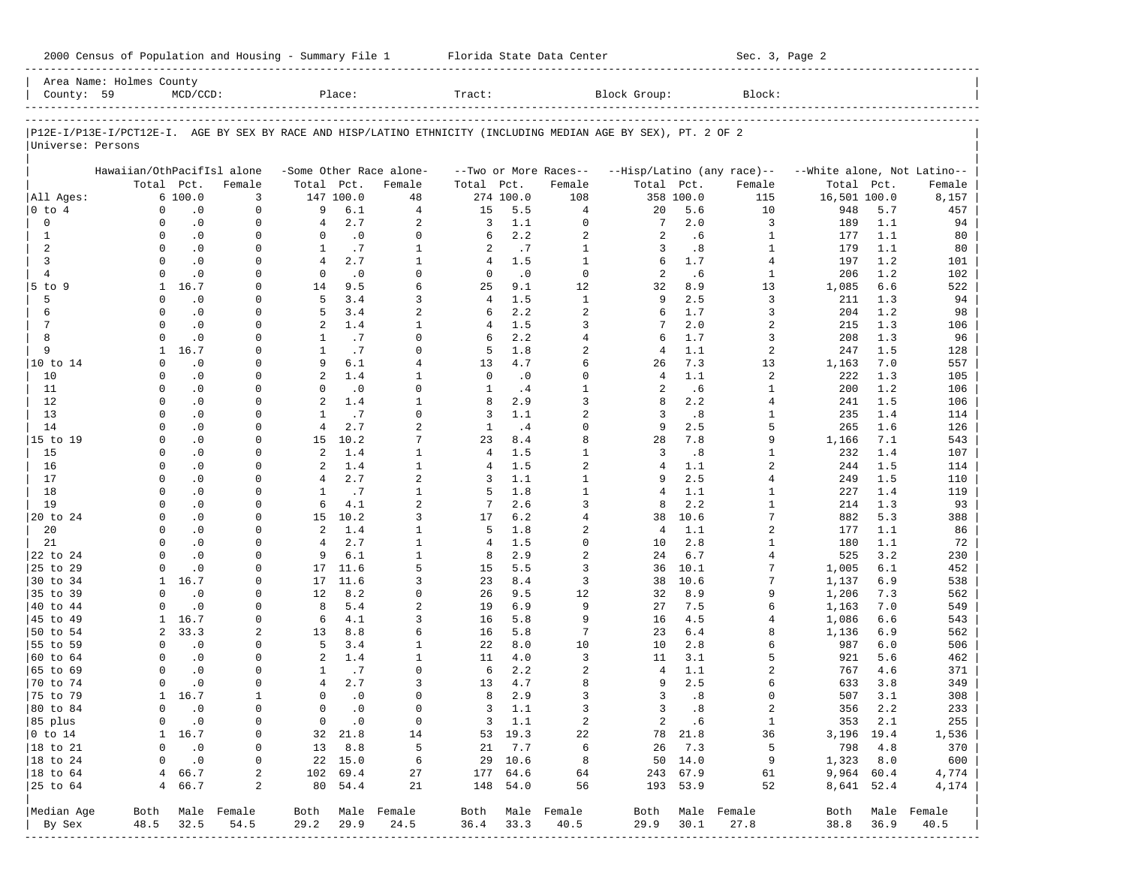|                        | Area Name: Holmes County   |                        |                      |                     |                  |                              |                |                  |                            |                                                                                                                |                  |                            |                             |            |                  |
|------------------------|----------------------------|------------------------|----------------------|---------------------|------------------|------------------------------|----------------|------------------|----------------------------|----------------------------------------------------------------------------------------------------------------|------------------|----------------------------|-----------------------------|------------|------------------|
| County: 59             |                            | $MCD/CCD$ :            |                      |                     | Place:           |                              | Tract:         |                  |                            | Block Group:                                                                                                   |                  | Block:                     |                             |            |                  |
|                        |                            |                        |                      |                     |                  |                              |                |                  |                            |                                                                                                                |                  |                            |                             |            |                  |
| Universe: Persons      |                            |                        |                      |                     |                  |                              |                |                  |                            | P12E-I/P13E-I/PCT12E-I. AGE BY SEX BY RACE AND HISP/LATINO ETHNICITY (INCLUDING MEDIAN AGE BY SEX), PT. 2 OF 2 |                  |                            |                             |            |                  |
|                        |                            |                        |                      |                     |                  |                              |                |                  |                            |                                                                                                                |                  |                            |                             |            |                  |
|                        | Hawaiian/OthPacifIsl alone |                        |                      |                     |                  | -Some Other Race alone-      |                |                  | --Two or More Races--      |                                                                                                                |                  | --Hisp/Latino (any race)-- | --White alone, Not Latino-- |            |                  |
|                        |                            | Total Pct.             | Female               | Total Pct.          |                  | Female                       | Total          | Pct.             | Female                     | Total Pct.                                                                                                     |                  | Female                     | Total                       | Pct.       | Female           |
| All Ages:              | 0                          | 6 100.0                | 3<br>0               |                     | 147 100.0<br>6.1 | 48<br>$\overline{4}$         | 15             | 274 100.0<br>5.5 | 108<br>$\overline{4}$      | 20                                                                                                             | 358 100.0<br>5.6 | 115<br>10                  | 16,501 100.0<br>948         | 5.7        | 8,157            |
| 0 to 4<br>0            | 0                          | $\cdot$ 0<br>$\cdot$ 0 | 0                    | 9<br>4              | 2.7              | $\overline{a}$               | 3              | 1.1              | $\mathbf 0$                | 7                                                                                                              | 2.0              | 3                          | 189                         | 1.1        | 457<br>94        |
| 1                      | $\Omega$                   | $\cdot$ 0              | $\Omega$             | $\mathbf 0$         | $\cdot$ 0        | $\Omega$                     | 6              | 2.2              | $\overline{a}$             | 2                                                                                                              | .6               | 1                          | 177                         | 1.1        | 80               |
| 2                      | $\Omega$                   | $\cdot$ 0              | $\Omega$             | 1                   | .7               | $\mathbf{1}$                 | 2              | .7               | $\mathbf{1}$               | 3                                                                                                              | .8               | 1                          | 179                         | 1.1        | 80               |
| 3                      | $\Omega$                   | $\cdot$ 0              | $\Omega$             | $\overline{4}$      | 2.7              | $\mathbf{1}$                 | 4              | 1.5              | $\mathbf{1}$               | 6                                                                                                              | 1.7              | 4                          | 197                         | 1.2        | 101              |
| $\overline{4}$         | $\Omega$                   | $\cdot$ 0              | $\Omega$             | $\Omega$            | $\cdot$ 0        | $\Omega$                     | $\Omega$       | $\cdot$ 0        | $\mathbf 0$                | 2                                                                                                              | .6               | 1                          | 206                         | 1.2        | 102              |
| $5$ to $9$             | $\mathbf{1}$               | 16.7                   | $\Omega$             | 14                  | 9.5              | 6                            | 25             | 9.1              | 12                         | 32                                                                                                             | 8.9              | 13                         | 1,085                       | 6.6        | 522              |
| 5                      | $\Omega$                   | $\cdot$ 0              | $\Omega$             | 5                   | 3.4              | 3                            | $\overline{4}$ | 1.5              | $\mathbf{1}$               | 9                                                                                                              | 2.5              | 3                          | 211                         | 1.3        | 94               |
| 6                      | $\Omega$                   | $\cdot$ 0              | $\Omega$             | 5                   | 3.4              | $\overline{a}$               | 6              | 2.2              | $\overline{a}$             | 6                                                                                                              | 1.7              | 3                          | 204                         | 1.2        | 98               |
| 7                      | $\Omega$                   | $\cdot$ 0              | $\Omega$             | 2                   | 1.4              | $\mathbf{1}$                 | 4              | 1.5              | 3                          | 7                                                                                                              | 2.0              | 2                          | 215                         | 1.3        | 106              |
| 8                      | $\Omega$                   | $\cdot$ 0              | $\Omega$             | $\mathbf{1}$        | .7               | $\Omega$                     | 6              | 2.2              | $\overline{4}$             | 6                                                                                                              | 1.7              | 3                          | 208                         | 1.3        | 96               |
| 9                      | $\mathbf{1}$               | 16.7                   | $\Omega$             | $\mathbf{1}$        | .7               | $\Omega$                     | 5              | 1.8              | $\overline{a}$             | $\overline{4}$                                                                                                 | 1.1              | $\overline{a}$             | 247                         | 1.5        | 128              |
| 10 to 14               | $\Omega$                   | $\cdot$ 0              | $\Omega$             | 9                   | 6.1              | $\overline{4}$               | 13             | 4.7              | 6                          | 26                                                                                                             | 7.3              | 13                         | 1,163                       | 7.0        | 557              |
| 10                     | $\Omega$                   | $\cdot$ 0              | $\Omega$             | 2                   | 1.4              | $\mathbf{1}$                 | $\Omega$       | $\cdot$ 0        | $\Omega$                   | $\overline{4}$                                                                                                 | 1.1              | 2                          | 222                         | 1.3        | 105              |
| 11                     | $\Omega$                   | $\cdot$ 0              | $\Omega$             | $\Omega$            | $\cdot$ 0        | $\Omega$                     | 1              | .4               | $\mathbf{1}$               | 2                                                                                                              | .6               | 1                          | 200                         | 1.2        | 106              |
| 12                     | $\Omega$                   | $\cdot$ 0              | $\Omega$             | $\overline{a}$      | 1.4              | $\mathbf{1}$                 | 8              | 2.9              | 3                          | 8                                                                                                              | 2.2              | 4                          | 241                         | 1.5        | 106              |
| 13                     | $\Omega$                   | $\cdot$ 0              | $\Omega$             | 1                   | .7               | $\Omega$                     | 3              | 1.1              | 2                          | 3                                                                                                              | .8               | 1                          | 235                         | 1.4        | 114              |
| 14                     | $\Omega$                   | $\cdot$ 0              | $\Omega$             | 4                   | 2.7              | $\overline{a}$               | 1              | .4               | $\Omega$                   | 9                                                                                                              | 2.5              | 5                          | 265                         | 1.6        | 126              |
| 15 to 19               | $\Omega$                   | $\cdot$ 0              | $\Omega$             | 15                  | 10.2             | 7                            | 23             | 8.4              | 8                          | 28                                                                                                             | 7.8              | 9                          | 1,166                       | 7.1        | 543              |
| 15                     | $\Omega$                   | $\cdot$ 0              | <sup>n</sup>         | 2                   | 1.4              | $\mathbf{1}$                 | 4              | 1.5              | $\mathbf{1}$               | 3                                                                                                              | .8               | 1                          | 232                         | 1.4        | 107              |
| 16                     | $\Omega$                   | $\cdot$ 0              | $\Omega$             | 2                   | 1.4              | $\mathbf{1}$                 | 4              | 1.5              | $\overline{a}$             | 4                                                                                                              | 1.1              | 2                          | 244                         | 1.5        | 114              |
| 17                     | $\Omega$                   | $\cdot$ 0              | $\Omega$             | $\overline{4}$      | 2.7              | $\overline{a}$               | 3              | 1.1              | $\mathbf{1}$               | 9                                                                                                              | 2.5              | 4                          | 249                         | 1.5        | 110              |
| 18                     | $\Omega$                   | $\cdot$ 0              | $\Omega$             | $\mathbf{1}$        | .7               | $\mathbf{1}$                 | 5              | 1.8              | $\mathbf{1}$               | 4                                                                                                              | 1.1              | 1                          | 227                         | 1.4        | 119              |
| 19                     | $\Omega$                   | $\cdot$ 0              | $\Omega$             | 6                   | 4.1              | $\overline{a}$               | 7              | 2.6              | 3                          | 8                                                                                                              | 2.2              | $\mathbf{1}$               | 214                         | 1.3        | 93               |
| 20 to 24               | $\Omega$                   | $\cdot$ 0              | $\Omega$             | 15                  | 10.2             | 3                            | 17             | 6.2              | $\overline{4}$             | 38                                                                                                             | 10.6             | 7                          | 882                         | 5.3        | 388              |
| 20                     | $\Omega$<br>$\Omega$       | $\cdot$ 0              | $\Omega$<br>$\Omega$ | 2<br>$\overline{4}$ | 1.4<br>2.7       | $\mathbf{1}$<br>$\mathbf{1}$ | 5              | 1.8<br>1.5       | $\overline{a}$<br>$\Omega$ | $\overline{4}$                                                                                                 | 1.1              | 2                          | 177                         | 1.1        | 86               |
| 21                     | $\Omega$                   | $\cdot$ 0<br>$\cdot$ 0 | $\Omega$             |                     | 6.1              | $\mathbf{1}$                 | 4              | 2.9              | $\overline{a}$             | 10                                                                                                             | 2.8<br>6.7       | $\mathbf{1}$               | 180                         | 1.1<br>3.2 | 72               |
| 22 to 24<br>25 to 29   | $\Omega$                   | $\cdot$ 0              | $\Omega$             | 9<br>17             | 11.6             | 5                            | 8<br>15        | 5.5              | 3                          | 24<br>36                                                                                                       | 10.1             | 4<br>7                     | 525                         | 6.1        | 230              |
| 30 to 34               | $\mathbf{1}$               | 16.7                   | $\Omega$             | 17                  | 11.6             | 3                            | 23             | 8.4              | 3                          | 38                                                                                                             | 10.6             | 7                          | 1,005<br>1,137              | 6.9        | 452<br>538       |
| 35 to 39               | $\Omega$                   | $\cdot$ 0              | $\Omega$             | 12                  | 8.2              | $\Omega$                     | 26             | 9.5              | 12                         | 32                                                                                                             | 8.9              | 9                          | 1,206                       | 7.3        | 562              |
| 40 to 44               | $\Omega$                   | $\cdot$ 0              | $\Omega$             | 8                   | 5.4              | $\overline{a}$               | 19             | 6.9              | 9                          | 27                                                                                                             | 7.5              | 6                          | 1,163                       | 7.0        | 549              |
| 45 to 49               | 1                          | 16.7                   | $\Omega$             | 6                   | 4.1              | 3                            | 16             | 5.8              | 9                          | 16                                                                                                             | 4.5              | 4                          | 1,086                       | 6.6        | 543              |
| 50 to 54               | 2                          | 33.3                   | 2                    | 13                  | 8.8              | б.                           | 16             | $5.8$            | 7                          | 23                                                                                                             | 6.4              | 8                          | 1,136                       | 6.9        | 562              |
| 55 to 59               | $\Omega$                   | $\cdot$ 0              | $\Omega$             | 5                   | 3.4              | $\mathbf{1}$                 | 22             | 8.0              | 10                         | 10                                                                                                             | 2.8              | 6                          | 987                         | 6.0        | 506              |
| 60 to 64               | $\Omega$                   | $\cdot$ 0              | 0                    | 2                   | 1.4              | $\mathbf{1}$                 | 11             | 4.0              | 3                          | 11                                                                                                             | 3.1              | 5                          | 921                         | 5.6        | 462              |
| 65 to 69               | $\Omega$                   | $\cdot$ 0              | $\Omega$             | 1                   | .7               | $\Omega$                     | 6              | 2.2              | $\overline{2}$             | $\overline{4}$                                                                                                 | 1.1              | 2                          | 767                         | 4.6        | 371              |
| 70 to 74               | $\Omega$                   | $\cdot$ 0              | 0                    | $\overline{4}$      | 2.7              | 3                            | 13             | 4.7              | 8                          | 9                                                                                                              | 2.5              | 6                          | 633                         | 3.8        | 349              |
| 75 to 79               | $\mathbf{1}$               | 16.7                   | 1                    | $\Omega$            | $\cdot$ 0        | $\Omega$                     | 8              | 2.9              | 3                          | 3                                                                                                              | .8               | $\Omega$                   | 507                         | 3.1        | 308              |
| 80 to 84               | $\Omega$                   | $\cdot$ 0              | 0                    | $\mathbf 0$         | $\cdot$ 0        | $\Omega$                     | 3              | 1.1              | 3                          | 3                                                                                                              | .8               | 2                          | 356                         | 2.2        | 233              |
| 85 plus                |                            | $0 \qquad .0$          | 0                    |                     | $0 \qquad .0$    | $\overline{0}$               |                | 3 1.1            | 2                          |                                                                                                                | 2 .6             | $\mathbf{1}$               | 353 2.1                     |            | 255              |
| $ 0 \t\t \text{to} 14$ |                            | $1 \quad 16.7$         | 0                    |                     | 32 21.8          | 14                           |                | 53 19.3          | 22                         |                                                                                                                | 78 21.8          | 36                         | 3,196 19.4                  |            | 1,536            |
| 18 to 21               | 0                          | $\cdot$ 0              | 0                    |                     | 13 8.8           | $5^{\circ}$                  |                | 21 7.7           | 6                          |                                                                                                                | 26 7.3           | 5                          | 798 4.8                     |            | 370              |
| $ 18$ to $24$          | 0                          | $\cdot$ 0              | 0                    |                     | 22 15.0          | 6                            |                | 29 10.6          | 8                          |                                                                                                                | 50 14.0          | 9                          | $1,323$ 8.0                 |            | 600              |
| 18 to 64               |                            | 4 66.7                 | 2                    |                     | 102 69.4         | 27                           |                | 177 64.6         | 64                         |                                                                                                                | 243 67.9         | 61                         | 9,964 60.4                  |            | 4,774            |
| 25 to 64               |                            | 4 66.7                 | 2                    |                     | 80 54.4          | 21                           |                | 148 54.0         | 56                         |                                                                                                                | 193 53.9         | 52                         | 8,641 52.4                  |            | 4,174            |
|                        |                            |                        |                      |                     |                  |                              |                |                  |                            |                                                                                                                |                  |                            |                             |            |                  |
| Median Age             |                            |                        | Both Male Female     |                     |                  | Both Male Female             |                |                  | Both Male Female           |                                                                                                                |                  | Both Male Female           |                             |            | Both Male Female |
| By Sex                 | 48.5                       | 32.5                   | 54.5                 | 29.2                | 29.9             | 24.5                         |                | $36.4$ $33.3$    | 40.5                       | 29.9                                                                                                           | 30.1             | 27.8                       | 38.8                        | 36.9       | 40.5             |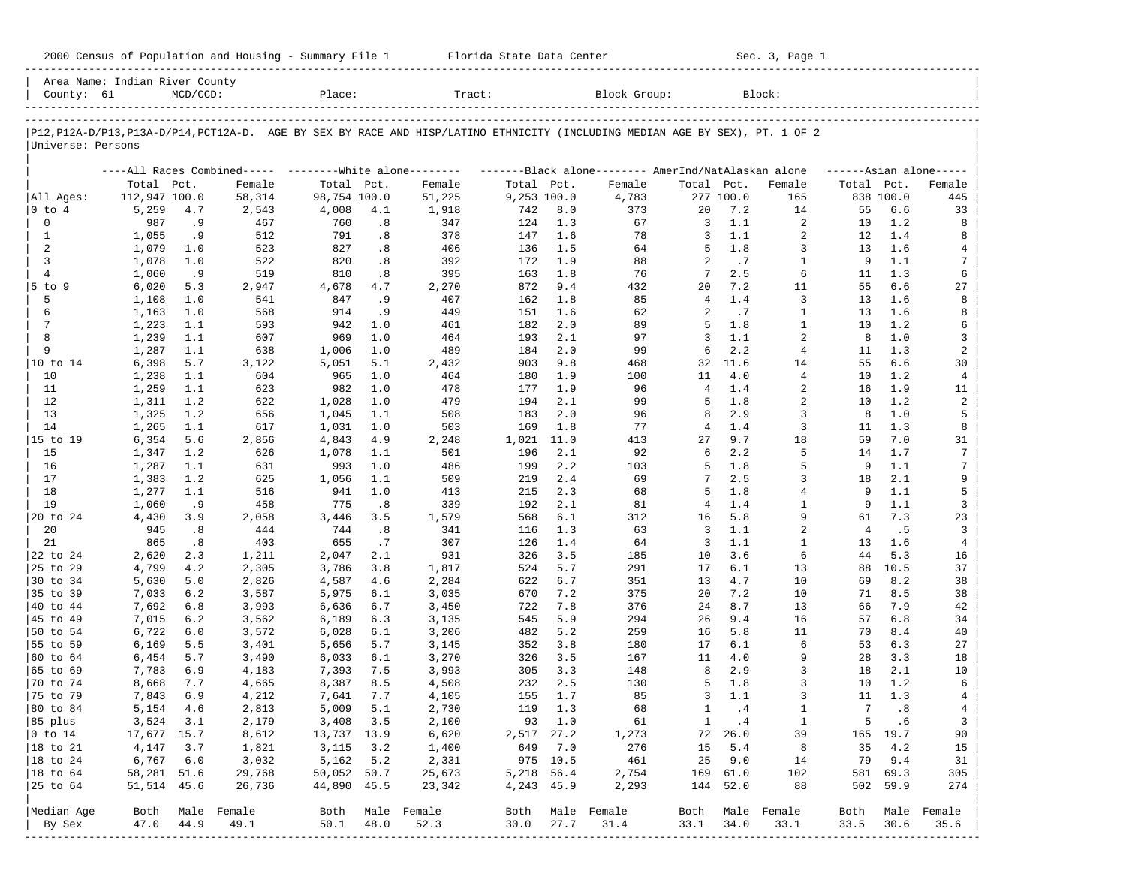| 2000 Census of Population and Housing - Summary File 1 |  | Florida State Data Center | Sec. 3, Page 1 |
|--------------------------------------------------------|--|---------------------------|----------------|
|--------------------------------------------------------|--|---------------------------|----------------|

| County: 61           |               | Area Name: Indian River County<br>$MCD/CCD$ : |                                                          | Place:       |      | Tract:                                                                                                                     |             |          | Block Group:                                        |                |           | Block:           |                |           |                     |
|----------------------|---------------|-----------------------------------------------|----------------------------------------------------------|--------------|------|----------------------------------------------------------------------------------------------------------------------------|-------------|----------|-----------------------------------------------------|----------------|-----------|------------------|----------------|-----------|---------------------|
|                      |               |                                               |                                                          |              |      |                                                                                                                            |             |          |                                                     |                |           |                  |                |           |                     |
| Universe: Persons    |               |                                               |                                                          |              |      | P12,P12A-D/P13,P13A-D/P14,PCT12A-D. AGE BY SEX BY RACE AND HISP/LATINO ETHNICITY (INCLUDING MEDIAN AGE BY SEX), PT. 1 OF 2 |             |          |                                                     |                |           |                  |                |           |                     |
|                      |               |                                               | ----All Races Combined----- -------- White alone-------- |              |      |                                                                                                                            |             |          | -------Black alone-------- AmerInd/NatAlaskan alone |                |           |                  |                |           | $---Asian alone---$ |
|                      | Total Pct.    |                                               | Female                                                   | Total Pct.   |      | Female                                                                                                                     | Total Pct.  |          | Female                                              | Total Pct.     |           | Female           | Total Pct.     |           | Female              |
| All Ages:            | 112,947 100.0 |                                               | 58,314                                                   | 98,754 100.0 |      | 51,225                                                                                                                     | 9,253 100.0 |          | 4,783                                               |                | 277 100.0 | 165              |                | 838 100.0 | 445                 |
| $ 0 \t{to} 4$        | 5,259         | 4.7                                           | 2,543                                                    | 4,008        | 4.1  | 1,918                                                                                                                      | 742         | 8.0      | 373                                                 | 20             | 7.2       | 14               | 55             | 6.6       | 33                  |
| $\mathbf 0$          | 987           | . 9                                           | 467                                                      | 760          | .8   | 347                                                                                                                        | 124         | 1.3      | 67                                                  | 3              | 1.1       | 2                | 10             | 1.2       | 8                   |
| $\mathbf{1}$         | 1,055         | .9                                            | 512                                                      | 791          | .8   | 378                                                                                                                        | 147         | 1.6      | 78                                                  | 3              | 1.1       | 2                | 12             | 1.4       | 8                   |
| 2                    | 1,079         | 1.0                                           | 523                                                      | 827          | .8   | 406                                                                                                                        | 136         | 1.5      | 64                                                  | 5              | $1.8$     | 3                | 13             | 1.6       | 4                   |
| 3                    | 1,078         | 1.0                                           | 522                                                      | 820          | .8   | 392                                                                                                                        | 172         | 1.9      | 88                                                  | 2              | .7        | $\mathbf{1}$     | 9              | 1.1       | 7                   |
| $\overline{4}$       | 1,060         | .9                                            | 519                                                      | 810          | .8   | 395                                                                                                                        | 163         | 1.8      | 76                                                  | 7              | 2.5       | 6                | 11             | 1.3       | 6                   |
| $5$ to $9$           | 6,020         | 5.3                                           | 2,947                                                    | 4,678        | 4.7  | 2,270                                                                                                                      | 872         | 9.4      | 432                                                 | 20             | 7.2       | 11               | 55             | 6.6       | 27                  |
| 5                    | 1,108         | 1.0                                           | 541                                                      | 847          | .9   | 407                                                                                                                        | 162         | 1.8      | 85                                                  | $\overline{4}$ | 1.4       | 3                | 13             | 1.6       | 8                   |
| 6                    | 1,163         | 1.0                                           | 568                                                      | 914          | . 9  | 449                                                                                                                        | 151         | 1.6      | 62                                                  | 2              | .7        | 1                | 13             | 1.6       | 8                   |
| $7\phantom{.0}$      | 1,223         | 1.1                                           | 593                                                      | 942          | 1.0  | 461                                                                                                                        | 182         | 2.0      | 89                                                  | 5              | 1.8       | $\mathbf{1}$     | 10             | 1.2       | 6                   |
| 8                    | 1,239         | 1.1                                           | 607                                                      | 969          | 1.0  | 464                                                                                                                        | 193         | 2.1      | 97                                                  | 3              | 1.1       | 2                | 8              | 1.0       | 3                   |
| 9                    | 1,287         | 1.1                                           | 638                                                      | 1,006        | 1.0  | 489                                                                                                                        | 184         | 2.0      | 99                                                  | 6              | 2.2       | $\overline{4}$   | 11             | 1.3       | $\overline{a}$      |
| 10 to 14             | 6,398         | 5.7                                           | 3,122                                                    | 5,051        | 5.1  | 2,432                                                                                                                      | 903         | 9.8      | 468                                                 | 32             | 11.6      | 14               | 55             | 6.6       | 30                  |
| 10                   | 1,238         | 1.1                                           | 604                                                      | 965          | 1.0  | 464                                                                                                                        | 180         | 1.9      | 100                                                 | 11             | 4.0       | $\overline{4}$   | 10             | 1.2       | $\overline{4}$      |
| 11                   | 1,259         | 1.1                                           | 623                                                      | 982          | 1.0  | 478                                                                                                                        | 177         | 1.9      | 96                                                  | $\overline{4}$ | 1.4       | 2                | 16             | 1.9       | 11                  |
| 12                   | 1,311         | 1.2                                           | 622                                                      | 1,028        | 1.0  | 479                                                                                                                        | 194         | 2.1      | 99                                                  | 5              | $1.8$     | $\overline{a}$   | 10             | 1.2       | $\overline{a}$      |
| 13                   | 1,325         | 1.2                                           | 656                                                      | 1,045        | 1.1  | 508                                                                                                                        | 183         | 2.0      | 96                                                  | 8              | 2.9       | 3                | 8              | 1.0       | 5                   |
| 14                   | 1,265         | 1.1                                           | 617                                                      | 1,031        | 1.0  | 503                                                                                                                        | 169         | 1.8      | 77                                                  | 4              | 1.4       | $\overline{3}$   | 11             | 1.3       | 8                   |
| 15 to 19             | 6,354         | 5.6                                           | 2,856                                                    | 4,843        | 4.9  | 2,248                                                                                                                      | 1,021       | 11.0     | 413                                                 | 27             | 9.7       | 18               | 59             | 7.0       | 31                  |
| 15                   | 1,347         | 1.2                                           | 626                                                      | 1,078        | 1.1  | 501                                                                                                                        | 196         | 2.1      | 92                                                  | 6              | 2.2       | 5                | 14             | 1.7       | $\overline{7}$      |
| 16                   | 1,287         | 1.1                                           | 631                                                      | 993          | 1.0  | 486                                                                                                                        | 199         | 2.2      | 103                                                 | 5              | 1.8       | 5                | 9              | 1.1       | 7                   |
| 17                   | 1,383         | 1.2                                           | 625                                                      | 1,056        | 1.1  | 509                                                                                                                        | 219         | 2.4      | 69                                                  | 7              | 2.5       | 3                | 18             | 2.1       | 9                   |
| 18                   | 1,277         | 1.1                                           | 516                                                      | 941          | 1.0  | 413                                                                                                                        | 215         | 2.3      | 68                                                  | 5              | 1.8       | 4                | 9              | 1.1       | 5                   |
| 19                   | 1,060         | . 9                                           | 458                                                      | 775          | .8   | 339                                                                                                                        | 192         | 2.1      | 81                                                  | 4              | $1.4$     | $\mathbf{1}$     | 9              | 1.1       | 3                   |
| 20 to 24             | 4,430         | 3.9                                           | 2,058                                                    | 3,446        | 3.5  | 1,579                                                                                                                      | 568         | 6.1      | 312                                                 | 16             | 5.8       | 9                | 61             | 7.3       | 23                  |
| 20                   | 945           | .8                                            | 444                                                      | 744          | .8   | 341                                                                                                                        | 116         | 1.3      | 63                                                  | 3              | 1.1       | 2                | $\overline{4}$ | .5        | 3                   |
| 21                   | 865           | .8                                            | 403                                                      | 655          | .7   | 307                                                                                                                        | 126         | 1.4      | 64                                                  | 3              | 1.1       | 1                | 13             | 1.6       | $\overline{4}$      |
| 22 to 24             | 2,620         | 2.3                                           | 1,211                                                    | 2,047        | 2.1  | 931                                                                                                                        | 326         | 3.5      | 185                                                 | 10             | 3.6       | 6                | 44             | 5.3       | 16                  |
| 25 to 29             | 4,799         | 4.2                                           | 2,305                                                    | 3,786        | 3.8  | 1,817                                                                                                                      | 524         | 5.7      | 291                                                 | 17             | 6.1       | 13               | 88             | 10.5      | 37                  |
| 30 to 34             | 5,630         | 5.0                                           | 2,826                                                    | 4,587        | 4.6  | 2,284                                                                                                                      | 622         | 6.7      | 351                                                 | 13             | 4.7       | 10               | 69             | 8.2       | 38                  |
| 35 to 39             | 7,033         | 6.2                                           | 3,587                                                    | 5,975        | 6.1  | 3,035                                                                                                                      | 670         | 7.2      | 375                                                 | 20             | 7.2       | 10               | 71             | 8.5       | 38                  |
| 40 to 44             | 7,692         | 6.8                                           | 3,993                                                    | 6,636        | 6.7  | 3,450                                                                                                                      | 722         | 7.8      | 376                                                 | 24             | 8.7       | 13               | 66             | 7.9       | 42                  |
| 45 to 49             | 7,015         | 6.2                                           | 3,562                                                    | 6,189        | 6.3  | 3,135                                                                                                                      | 545         | 5.9      | 294                                                 | 26             | 9.4       | 16               | 57             | 6.8       | 34                  |
| 50 to 54             | 6,722         | 6.0                                           | 3,572                                                    | 6,028        | 6.1  | 3,206                                                                                                                      | 482         | 5.2      | 259                                                 | 16             | 5.8       | 11               | 70             | 8.4       | 40                  |
| 55 to 59             | 6,169         | 5.5                                           | 3,401                                                    | 5,656        | 5.7  | 3,145                                                                                                                      | 352         | 3.8      | 180                                                 | 17             | 6.1       | 6                | 53             | 6.3       | 27                  |
| 60 to 64             | 6,454         | 5.7                                           | 3,490                                                    | 6,033        | 6.1  | 3,270                                                                                                                      | 326         | 3.5      | 167                                                 | 11             | 4.0       | 9                | 28             | 3.3       | 18                  |
| 65 to 69             | 7,783         | 6.9                                           | 4,183                                                    | 7,393        | 7.5  | 3,993                                                                                                                      | 305         | 3.3      | 148                                                 | 8              | 2.9       | 3                | 18             | 2.1       | 10                  |
| 70 to 74             | 8,668         | 7.7                                           | 4,665                                                    | 8,387        | 8.5  | 4,508                                                                                                                      | 232         | 2.5      | 130                                                 | 5              | 1.8       | 3                | 10             | 1.2       | 6                   |
| 75 to 79             | 7,843         | 6.9                                           | 4,212                                                    | 7,641        | 7.7  | 4,105                                                                                                                      | 155         | 1.7      | 85                                                  | 3              | 1.1       | 3                | 11             | 1.3       | 4                   |
| 80 to 84             | 5,154         | 4.6                                           | 2,813                                                    | 5,009        | 5.1  | 2,730                                                                                                                      | 119         | 1.3      | 68                                                  | 1              | .4        | $\mathbf{1}$     | 7              | .8        | $\overline{4}$      |
| 85 plus              | 3,524 3.1     |                                               | 2,179                                                    | 3,408 3.5    |      | 2,100                                                                                                                      |             | 93 1.0   | 61                                                  | $\mathbf{1}$   | $\cdot$ 4 | $\mathbf{1}$     | 5              | .6        | 3                   |
| $ 0 \t{to} 14$       | 17,677 15.7   |                                               | 8,612                                                    | 13,737 13.9  |      | 6,620                                                                                                                      | 2,517 27.2  |          | 1,273                                               |                | 72 26.0   | 39               |                | 165 19.7  | 90                  |
| 18 to 21             | 4,147         | 3.7                                           | 1,821                                                    | 3,115        | 3.2  | 1,400                                                                                                                      | 649         | 7.0      | 276                                                 | 15             | 5.4       | 8                | 35             | 4.2       | 15                  |
| $ 18 \text{ to } 24$ | 6,767         | 6.0                                           | 3,032                                                    | 5,162        | 5.2  | 2,331                                                                                                                      |             | 975 10.5 | 461                                                 | 25             | 9.0       | 14               | 79             | 9.4       | 31                  |
| $ 18$ to $64$        | 58,281 51.6   |                                               | 29,768                                                   | 50,052 50.7  |      | 25,673                                                                                                                     | 5,218 56.4  |          | 2,754                                               |                | 169 61.0  | 102              |                | 581 69.3  | 305                 |
| 25 to 64             | 51,514 45.6   |                                               | 26,736                                                   | 44,890 45.5  |      | 23,342                                                                                                                     | 4,243 45.9  |          | 2,293                                               |                | 144 52.0  | 88               |                | 502 59.9  | 274                 |
| Median Age           | Both          |                                               | Male Female                                              |              |      | Both Male Female                                                                                                           | Both        |          | Male Female                                         |                |           | Both Male Female | Both           | Male      | Female              |
| By Sex               | 47.0          | 44.9                                          | 49.1                                                     | 50.1         | 48.0 | 52.3                                                                                                                       | 30.0        | 27.7     | 31.4                                                | 33.1           | 34.0      | 33.1             | 33.5           | 30.6      | 35.6                |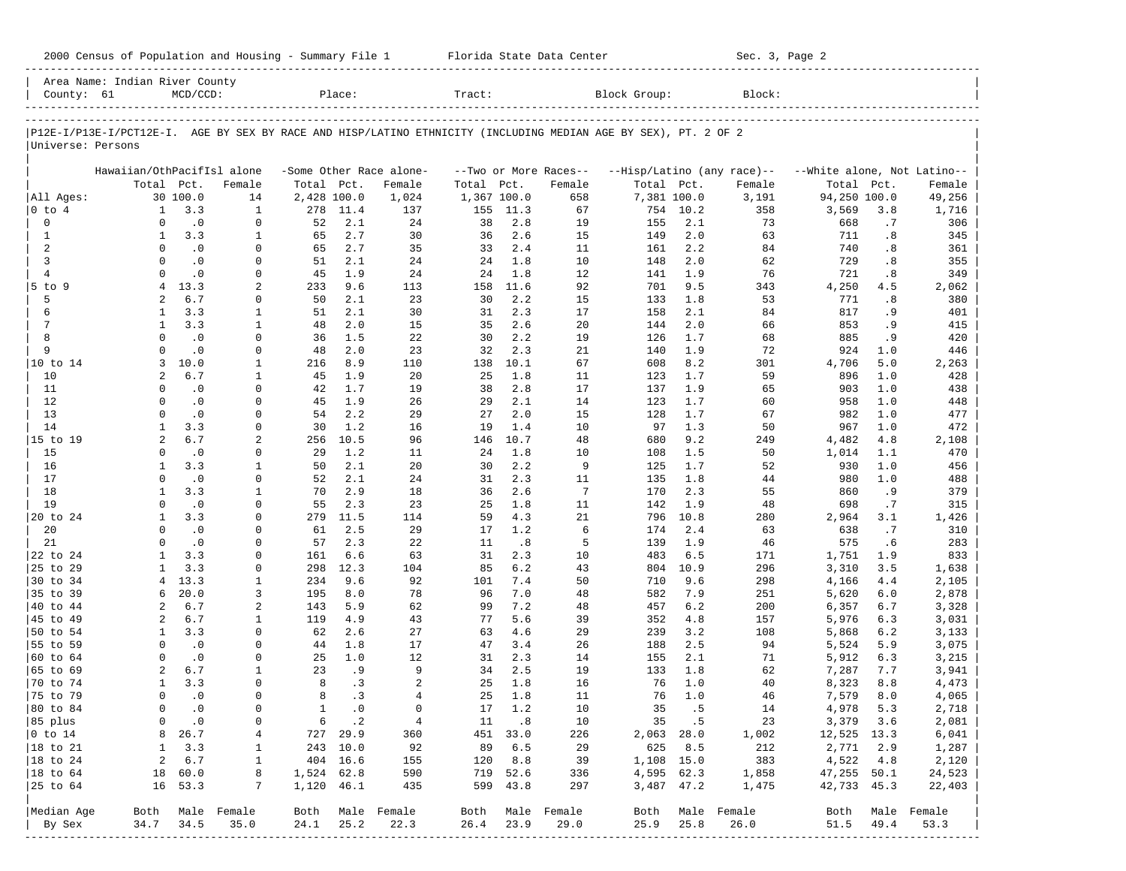|  |  |  |  |  |  |  | 2000 Census of Population and Housing - Summary File 1 |  |  |  |  |  |
|--|--|--|--|--|--|--|--------------------------------------------------------|--|--|--|--|--|
|--|--|--|--|--|--|--|--------------------------------------------------------|--|--|--|--|--|

2000 Florida State Data Center - Summary Sec. 3, Page 2 -----------------------------------------------------------------------------------------------------------------------------------------------------

| County: 61                  | Area Name: Indian River County                                                                                 | $MCD/CCD$ :            |                          |              | Place:      |                                   | Tract:      |            |                                 | Block Group: |            | Block:                               |                                           |            |                     |
|-----------------------------|----------------------------------------------------------------------------------------------------------------|------------------------|--------------------------|--------------|-------------|-----------------------------------|-------------|------------|---------------------------------|--------------|------------|--------------------------------------|-------------------------------------------|------------|---------------------|
|                             |                                                                                                                |                        |                          |              |             |                                   |             |            |                                 |              |            |                                      |                                           |            |                     |
|                             | P12E-I/P13E-I/PCT12E-I. AGE BY SEX BY RACE AND HISP/LATINO ETHNICITY (INCLUDING MEDIAN AGE BY SEX), PT. 2 OF 2 |                        |                          |              |             |                                   |             |            |                                 |              |            |                                      |                                           |            |                     |
| Universe: Persons           |                                                                                                                |                        |                          |              |             |                                   |             |            |                                 |              |            |                                      |                                           |            |                     |
|                             |                                                                                                                |                        |                          |              |             |                                   |             |            |                                 |              |            |                                      |                                           |            |                     |
|                             | Hawaiian/OthPacifIsl alone<br>Total Pct.                                                                       |                        | Female                   | Total Pct.   |             | -Some Other Race alone-<br>Female | Total Pct.  |            | --Two or More Races--<br>Female | Total Pct.   |            | --Hisp/Latino (any race)--<br>Female | --White alone, Not Latino--<br>Total Pct. |            | Female              |
| All Ages:                   |                                                                                                                | 30 100.0               | 14                       |              | 2,428 100.0 | 1,024                             | 1,367 100.0 |            | 658                             | 7,381 100.0  |            | 3,191                                | 94,250 100.0                              |            | 49,256              |
| 0 to 4                      | 1                                                                                                              | 3.3                    | $\mathbf{1}$             | 278          | 11.4        | 137                               | 155         | 11.3       | 67                              | 754          | 10.2       | 358                                  | 3,569                                     | 3.8        | 1,716               |
| 0                           | $\Omega$                                                                                                       | $\cdot$ 0              | 0                        | 52           | 2.1         | 24                                | 38          | 2.8        | 19                              | 155          | 2.1        | 73                                   | 668                                       | .7         | 306                 |
| 1                           | 1                                                                                                              | 3.3                    | 1                        | 65           | 2.7         | 30                                | 36          | 2.6        | 15                              | 149          | 2.0        | 63                                   | 711                                       | .8         | 345                 |
| 2                           | $\Omega$                                                                                                       | $\cdot$ 0              | 0                        | 65           | 2.7         | 35                                | 33          | 2.4        | 11                              | 161          | 2.2        | 84                                   | 740                                       | .8         | 361                 |
| 3                           | $\Omega$                                                                                                       | $\cdot$ 0              | $\mathbf 0$              | 51           | 2.1         | 24                                | 24          | 1.8        | 10                              | 148          | 2.0        | 62                                   | 729                                       | .8         | 355                 |
| $\overline{4}$              | $\Omega$                                                                                                       | $\cdot$ 0              | $\mathbf 0$              | 45           | 1.9         | 24                                | 24          | 1.8        | 12                              | 141          | 1.9        | 76                                   | 721                                       | .8         | 349                 |
| $5$ to $9$                  | 4                                                                                                              | 13.3                   | 2                        | 233          | 9.6         | 113                               | 158         | 11.6       | 92                              | 701          | 9.5        | 343                                  | 4,250                                     | 4.5        | 2,062               |
| 5                           | 2                                                                                                              | 6.7                    | 0                        | 50           | 2.1         | 23                                | 30          | 2.2        | 15                              | 133          | 1.8        | 53                                   | 771                                       | .8         | 380                 |
| 6                           | 1                                                                                                              | 3.3                    | 1                        | 51           | 2.1         | 30                                | 31          | 2.3        | 17                              | 158          | 2.1        | 84                                   | 817                                       | .9         | 401                 |
| 7                           | 1                                                                                                              | 3.3                    | 1                        | 48           | 2.0         | 15                                | 35          | 2.6        | 20                              | 144          | 2.0        | 66                                   | 853                                       | .9         | 415                 |
| 8                           | $\Omega$                                                                                                       | $\cdot$ 0              | $\mathbf 0$              | 36           | 1.5         | 22                                | 30          | 2.2        | 19                              | 126          | 1.7        | 68                                   | 885                                       | .9         | 420                 |
| 9                           | $\Omega$                                                                                                       | $\cdot$ 0              | $\mathbf 0$              | 48           | 2.0         | 23                                | 32          | 2.3        | 21                              | 140          | 1.9        | 72                                   | 924                                       | 1.0        | 446                 |
| 10 to 14                    | 3                                                                                                              | 10.0                   | 1                        | 216          | 8.9         | 110                               | 138         | 10.1       | 67                              | 608          | 8.2        | 301                                  | 4,706                                     | 5.0        | 2,263               |
| 10                          | 2<br>$\Omega$                                                                                                  | 6.7                    | 1<br>$\mathbf 0$         | 45           | 1.9<br>1.7  | 20                                | 25          | 1.8<br>2.8 | 11<br>17                        | 123          | 1.7        | 59                                   | 896                                       | 1.0<br>1.0 | 428                 |
| 11<br>12                    | $\Omega$                                                                                                       | $\cdot$ 0<br>$\cdot$ 0 | $\mathbf 0$              | 42<br>45     | 1.9         | 19<br>26                          | 38<br>29    | 2.1        | 14                              | 137<br>123   | 1.9<br>1.7 | 65<br>60                             | 903<br>958                                | 1.0        | 438<br>448          |
| 13                          | $\Omega$                                                                                                       | $\cdot$ 0              | $\mathbf 0$              | 54           | 2.2         | 29                                | 27          | 2.0        | 15                              | 128          | 1.7        | 67                                   | 982                                       | 1.0        | 477                 |
| 14                          | $\mathbf{1}$                                                                                                   | 3.3                    | $\mathbf 0$              | 30           | 1.2         | 16                                | 19          | 1.4        | 10                              | 97           | 1.3        | 50                                   | 967                                       | 1.0        | 472                 |
| 15 to 19                    | $\overline{2}$                                                                                                 | 6.7                    | 2                        | 256          | 10.5        | 96                                | 146         | 10.7       | 48                              | 680          | 9.2        | 249                                  | 4,482                                     | 4.8        | 2,108               |
| 15                          | $\Omega$                                                                                                       | $\cdot$ 0              | $\mathbf 0$              | 29           | 1.2         | 11                                | 24          | 1.8        | 10                              | 108          | 1.5        | 50                                   | 1,014                                     | 1.1        | 470                 |
| 16                          | 1                                                                                                              | 3.3                    | 1                        | 50           | 2.1         | 20                                | 30          | 2.2        | 9                               | 125          | 1.7        | 52                                   | 930                                       | 1.0        | 456                 |
| 17                          | $\Omega$                                                                                                       | $\cdot$ 0              | $\mathbf 0$              | 52           | 2.1         | 24                                | 31          | 2.3        | 11                              | 135          | 1.8        | 44                                   | 980                                       | 1.0        | 488                 |
| 18                          | 1                                                                                                              | 3.3                    | $\mathbf{1}$             | 70           | 2.9         | 18                                | 36          | 2.6        | $7\phantom{.0}$                 | 170          | 2.3        | 55                                   | 860                                       | .9         | 379                 |
| 19                          | $\Omega$                                                                                                       | $\cdot$ 0              | 0                        | 55           | 2.3         | 23                                | 25          | 1.8        | 11                              | 142          | 1.9        | 48                                   | 698                                       | .7         | 315                 |
| 20 to 24                    | 1                                                                                                              | 3.3                    | $\mathbf 0$              | 279          | 11.5        | 114                               | 59          | 4.3        | 21                              | 796          | 10.8       | 280                                  | 2,964                                     | 3.1        | 1,426               |
| 20                          | $\Omega$                                                                                                       | $\cdot$ 0              | 0                        | 61           | 2.5         | 29                                | 17          | 1.2        | 6                               | 174          | 2.4        | 63                                   | 638                                       | .7         | 310                 |
| 21                          | $\Omega$                                                                                                       | $\cdot$ 0              | $\mathbf 0$              | 57           | 2.3         | 22                                | 11          | .8         | 5                               | 139          | 1.9        | 46                                   | 575                                       | . 6        | 283                 |
| 22 to 24                    | 1                                                                                                              | 3.3                    | 0                        | 161          | 6.6         | 63                                | 31          | 2.3        | 10                              | 483          | 6.5        | 171                                  | 1,751                                     | 1.9        | 833                 |
| 25 to 29                    | 1                                                                                                              | 3.3                    | $\mathbf 0$              | 298          | 12.3        | 104                               | 85          | 6.2        | 43                              | 804          | 10.9       | 296                                  | 3,310                                     | 3.5        | 1,638               |
| 30 to 34                    | 4                                                                                                              | 13.3                   | 1                        | 234          | 9.6         | 92                                | 101         | 7.4        | 50                              | 710          | 9.6        | 298                                  | 4,166                                     | 4.4        | 2,105               |
| 35 to 39                    | 6                                                                                                              | 20.0                   | 3                        | 195          | 8.0         | 78                                | 96          | 7.0        | 48                              | 582          | 7.9        | 251                                  | 5,620                                     | 6.0        | 2,878               |
| 40 to 44                    | 2                                                                                                              | 6.7                    | 2                        | 143          | 5.9         | 62                                | 99          | 7.2        | 48                              | 457          | 6.2        | 200                                  | 6,357                                     | 6.7        | 3,328               |
| 45 to 49                    | 2                                                                                                              | 6.7                    | 1                        | 119          | 4.9<br>2.6  | 43                                | 77          | 5.6        | 39                              | 352          | 4.8        | 157                                  | 5,976                                     | 6.3        | 3,031               |
| 50 to 54<br>55 to 59        | $\mathbf{1}$<br>$\Omega$                                                                                       | 3.3                    | 0<br>$\mathbf 0$         | 62<br>44     | 1.8         | 27                                | 63<br>47    | 4.6<br>3.4 | 29<br>26                        | 239          | 3.2<br>2.5 | 108                                  | 5,868                                     | 6.2<br>5.9 | 3,133               |
| 60 to 64                    | $\Omega$                                                                                                       | $\cdot$ 0<br>$\cdot$ 0 | 0                        | 25           | 1.0         | 17<br>12                          | 31          | 2.3        | 14                              | 188<br>155   | 2.1        | 94<br>71                             | 5,524<br>5,912                            | 6.3        | 3,075<br>3,215      |
| 65 to 69                    | 2                                                                                                              | 6.7                    | 1                        | 23           | . 9         | 9                                 | 34          | 2.5        | 19                              | 133          | 1.8        | 62                                   | 7,287                                     | 7.7        | 3,941               |
| 70 to 74                    | $\mathbf{1}$                                                                                                   | 3.3                    | 0                        | 8            | .3          | 2                                 | 25          | 1.8        | 16                              | 76           | 1.0        | 40                                   | 8,323                                     | 8.8        | 4,473               |
| 75 to 79                    | $\Omega$                                                                                                       | $\cdot$ 0              | $\mathbf 0$              | 8            | .3          | $\overline{4}$                    | 25          | 1.8        | 11                              | 76           | 1.0        | 46                                   | 7,579                                     | 8.0        | 4,065               |
| 80 to 84                    | $\Omega$                                                                                                       | $\cdot$ 0              | $\mathbf 0$              | $\mathbf{1}$ | $\cdot$ 0   | $\Omega$                          | 17          | 1.2        | 10                              | 35           | .5         | 14                                   | 4,978                                     | 5.3        | 2,718               |
| 85 plus                     | 0                                                                                                              | $\cdot$ 0              | 0                        |              | 6 .2        | $\overline{4}$                    |             | 11 .8      | 10                              |              | 35 .5      | 23                                   | 3,379 3.6                                 |            | 2,081               |
| $ 0 \t\t \text{to} \t\t 14$ | 8                                                                                                              | 26.7                   | 4                        |              | 727 29.9    | 360                               |             | 451 33.0   | 226                             | $2,063$ 28.0 |            | 1,002                                | 12,525 13.3                               |            | 6,041               |
| 18 to 21                    | $\mathbf{1}$                                                                                                   | 3.3                    | $\mathbf{1}$             |              | 243 10.0    | 92                                | 89          | 6.5        | 29                              | 625          | 8.5        | 212                                  | 2,771 2.9                                 |            | 1,287               |
| $ 18$ to $24$               | 2                                                                                                              | 6.7                    | 1                        |              | 404 16.6    | 155                               |             | 120 8.8    | 39                              | 1,108 15.0   |            | 383                                  | 4,522 4.8                                 |            | 2,120               |
| $ 18$ to $64$               |                                                                                                                | 18 60.0                | 8                        | 1,524 62.8   |             | 590                               |             | 719 52.6   | 336                             | 4,595 62.3   |            | 1,858                                | 47,255 50.1                               |            | 24,523              |
| 25 to 64                    |                                                                                                                | 16 53.3                | 7                        | 1,120 46.1   |             | 435                               |             | 599 43.8   | 297                             |              | 3,487 47.2 | 1,475                                | 42,733 45.3                               |            | 22,403              |
|                             |                                                                                                                |                        |                          |              |             |                                   |             |            |                                 |              |            |                                      |                                           |            |                     |
| Median Age<br>By Sex        | 34.7                                                                                                           | 34.5                   | Both Male Female<br>35.0 | 24.1         | 25.2        | Both Male Female<br>22.3          | 26.4        | 23.9       | Both Male Female<br>29.0        | Both<br>25.9 | 25.8       | Male Female<br>26.0                  | Both<br>51.5                              | 49.4       | Male Female<br>53.3 |
|                             |                                                                                                                |                        |                          |              |             |                                   |             |            |                                 |              |            |                                      |                                           |            |                     |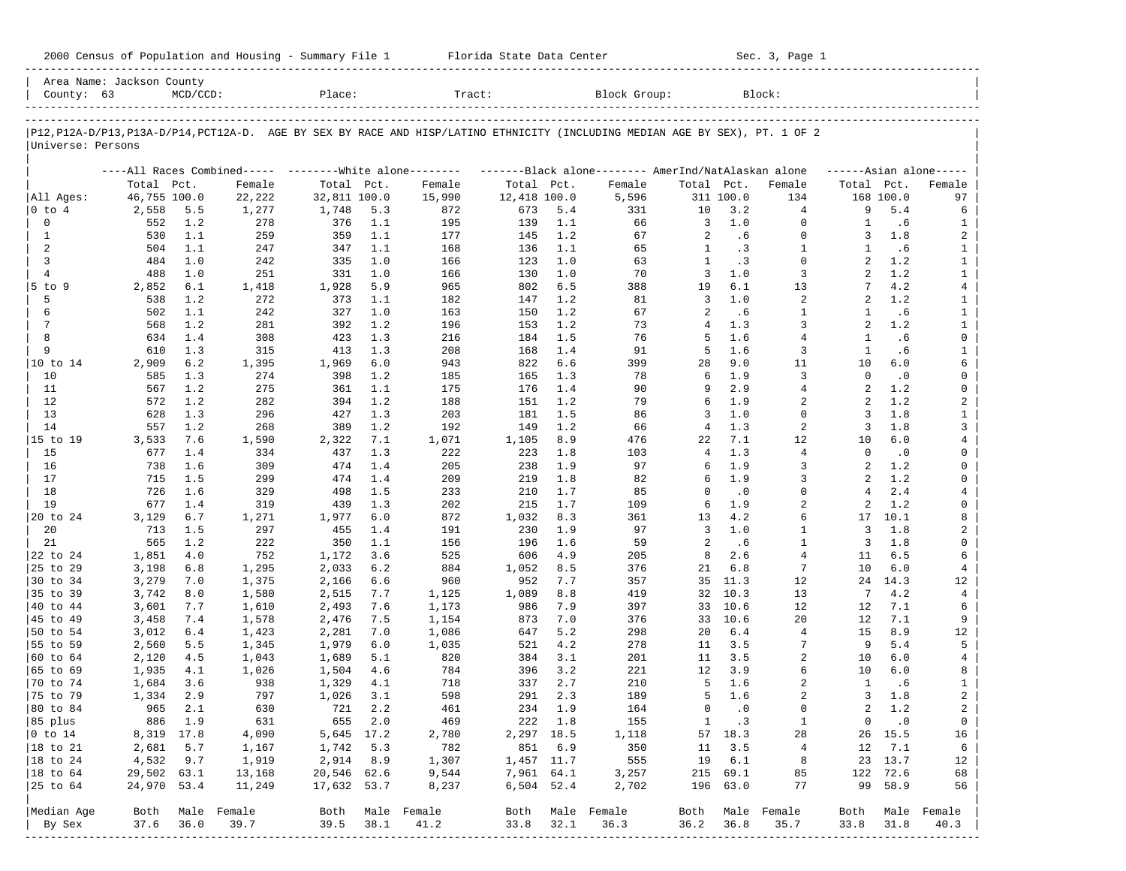| 2000 Census of Population and Housing - Summary File 1 |  | Florida State Data Center | Sec. 3, Page 1 |
|--------------------------------------------------------|--|---------------------------|----------------|
|--------------------------------------------------------|--|---------------------------|----------------|

| County: 63                  | Area Name: Jackson County | $MCD/CCD$ : |                                                          | Place:       |         | Tract:                                                                                                                     |              |         | Block Group:                                        |                |           | Block:         |                |           |                     |
|-----------------------------|---------------------------|-------------|----------------------------------------------------------|--------------|---------|----------------------------------------------------------------------------------------------------------------------------|--------------|---------|-----------------------------------------------------|----------------|-----------|----------------|----------------|-----------|---------------------|
|                             |                           |             |                                                          |              |         |                                                                                                                            |              |         |                                                     |                |           |                |                |           |                     |
| Universe: Persons           |                           |             |                                                          |              |         | P12,P12A-D/P13,P13A-D/P14,PCT12A-D. AGE BY SEX BY RACE AND HISP/LATINO ETHNICITY (INCLUDING MEDIAN AGE BY SEX), PT. 1 OF 2 |              |         |                                                     |                |           |                |                |           |                     |
|                             |                           |             | ----All Races Combined----- ---------White alone-------- |              |         |                                                                                                                            |              |         | -------Black alone-------- AmerInd/NatAlaskan alone |                |           |                |                |           | $---Asian alone---$ |
|                             | Total Pct.                |             | Female                                                   | Total Pct.   |         | Female                                                                                                                     | Total Pct.   |         | Female                                              | Total Pct.     |           | Female         | Total Pct.     |           | Female              |
| All Ages:                   | 46,755 100.0              |             | 22,222                                                   | 32,811 100.0 |         | 15,990                                                                                                                     | 12,418 100.0 |         | 5,596                                               |                | 311 100.0 | 134            |                | 168 100.0 | 97                  |
| 0 to 4                      | 2,558                     | 5.5         | 1,277                                                    | 1,748        | 5.3     | 872                                                                                                                        | 673          | 5.4     | 331                                                 | 10             | 3.2       | 4              | 9              | 5.4       | 6                   |
| 0                           | 552                       | 1.2         | 278                                                      | 376          | 1.1     | 195                                                                                                                        | 139          | 1.1     | 66                                                  | 3              | 1.0       | $\mathbf 0$    | 1              | .6        | 1                   |
| $\mathbf{1}$                | 530                       | 1.1         | 259                                                      | 359          | 1.1     | 177                                                                                                                        | 145          | 1.2     | 67                                                  | 2              | .6        | $\mathbf 0$    | 3              | 1.8       | 2                   |
| 2                           | 504                       | 1.1         | 247                                                      | 347          | 1.1     | 168                                                                                                                        | 136          | 1.1     | 65                                                  | 1              | .3        | $\mathbf{1}$   | 1              | .6        | $\mathbf{1}$        |
| 3                           | 484                       | 1.0         | 242                                                      | 335          | 1.0     | 166                                                                                                                        | 123          | 1.0     | 63                                                  | $\mathbf{1}$   | .3        | $\Omega$       | $\mathfrak{D}$ | 1.2       | $\mathbf{1}$        |
| $\overline{4}$              | 488                       | 1.0         | 251                                                      | 331          | 1.0     | 166                                                                                                                        | 130          | 1.0     | 70                                                  | 3              | 1.0       | 3              | $\mathfrak{D}$ | 1.2       | $\mathbf{1}$        |
| $5$ to $9$                  | 2,852                     | 6.1         | 1,418                                                    | 1,928        | 5.9     | 965                                                                                                                        | 802          | 6.5     | 388                                                 | 19             | 6.1       | 13             | 7              | 4.2       | $\overline{4}$      |
| 5                           | 538                       | 1.2         | 272                                                      | 373          | 1.1     | 182                                                                                                                        | 147          | 1.2     | 81                                                  | 3              | 1.0       | 2              | $\overline{a}$ | 1.2       | $\mathbf{1}$        |
| 6                           | 502                       | 1.1         | 242                                                      | 327          | 1.0     | 163                                                                                                                        | 150          | 1.2     | 67                                                  | 2              | .6        | 1              | 1              | .6        | $\mathbf{1}$        |
| 7                           | 568                       | 1.2         | 281                                                      | 392          | 1.2     | 196                                                                                                                        | 153          | 1.2     | 73                                                  | $\overline{4}$ | 1.3       | 3              | $\overline{a}$ | 1.2       | $\mathbf{1}$        |
| 8                           | 634                       | 1.4         | 308                                                      | 423          | 1.3     | 216                                                                                                                        | 184          | 1.5     | 76                                                  | 5              | 1.6       | $\overline{4}$ | 1              | .6        | 0                   |
| 9                           | 610                       | 1.3         | 315                                                      | 413          | 1.3     | 208                                                                                                                        | 168          | 1.4     | 91                                                  | 5              | 1.6       | 3              | $\mathbf{1}$   | .6        | $\mathbf{1}$        |
| 10 to 14                    | 2,909                     | 6.2         | 1,395                                                    | 1,969        | 6.0     | 943                                                                                                                        | 822          | 6.6     | 399                                                 | 28             | 9.0       | 11             | 10             | 6.0       | 6                   |
| 10                          | 585                       | 1.3         | 274                                                      | 398          | 1.2     | 185                                                                                                                        | 165          | 1.3     | 78                                                  | 6              | 1.9       | 3              | $\Omega$       | $\cdot$ 0 | 0                   |
| 11                          | 567                       | 1.2         | 275                                                      | 361          | 1.1     | 175                                                                                                                        | 176          | 1.4     | 90                                                  | 9              | 2.9       | 4              | $\mathfrak{D}$ | 1.2       | 0                   |
| 12                          | 572                       | 1.2         | 282                                                      | 394          | 1.2     | 188                                                                                                                        | 151          | 1.2     | 79                                                  | 6              | 1.9       | 2              | 2              | 1.2       | 2                   |
| 13                          | 628                       | 1.3         | 296                                                      | 427          | 1.3     | 203                                                                                                                        | 181          | 1.5     | 86                                                  | 3              | 1.0       | $\mathbf 0$    | 3              | 1.8       | $\mathbf{1}$        |
| 14                          | 557                       | 1.2         | 268                                                      | 389          | 1.2     | 192                                                                                                                        | 149          | 1.2     | 66                                                  | 4              | 1.3       | 2              | 3              | 1.8       | 3                   |
| 15 to 19                    | 3,533                     | 7.6         | 1,590                                                    | 2,322        | 7.1     | 1,071                                                                                                                      | 1,105        | 8.9     | 476                                                 | 22             | 7.1       | 12             | 10             | 6.0       | 4                   |
| 15                          | 677                       | 1.4         | 334                                                      | 437          | 1.3     | 222                                                                                                                        | 223          | 1.8     | 103                                                 | 4              | 1.3       | $\overline{4}$ | $\Omega$       | $\cdot$ 0 | 0                   |
| 16                          | 738                       | 1.6         | 309                                                      | 474          | 1.4     | 205                                                                                                                        | 238          | 1.9     | 97                                                  | 6              | 1.9       | 3              | $\mathfrak{D}$ | 1.2       | 0                   |
| 17                          | 715                       | 1.5         | 299                                                      | 474          | 1.4     | 209                                                                                                                        | 219          | 1.8     | 82                                                  | 6              | 1.9       | 3              | 2              | 1.2       | 0                   |
| 18                          | 726                       | 1.6         | 329                                                      | 498          | 1.5     | 233                                                                                                                        | 210          | 1.7     | 85                                                  | $\Omega$       | $\cdot$ 0 | $\Omega$       | 4              | 2.4       | 4                   |
| 19                          | 677                       | 1.4         | 319                                                      | 439          | 1.3     | 202                                                                                                                        | 215          | 1.7     | 109                                                 | 6              | 1.9       | $\overline{2}$ | 2              | 1.2       | 0                   |
| 20 to 24                    | 3,129                     | 6.7         | 1,271                                                    | 1,977        | 6.0     | 872                                                                                                                        | 1,032        | 8.3     | 361                                                 | 13             | 4.2       | 6              | 17             | 10.1      | 8                   |
| 20                          | 713                       | 1.5         | 297                                                      | 455          | 1.4     | 191                                                                                                                        | 230          | 1.9     | 97                                                  | 3              | 1.0       | $\mathbf{1}$   | 3              | 1.8       | 2                   |
| 21                          | 565                       | 1.2         | 222                                                      | 350          | 1.1     | 156                                                                                                                        | 196          | 1.6     | 59                                                  | 2              | .6        | $\mathbf{1}$   | 3              | 1.8       | 0                   |
| 22 to 24                    | 1,851                     | 4.0         | 752                                                      | 1,172        | 3.6     | 525                                                                                                                        | 606          | 4.9     | 205                                                 | 8              | 2.6       | $\overline{4}$ | 11             | 6.5       | 6                   |
| 25 to 29                    | 3,198                     | 6.8         | 1,295                                                    | 2,033        | 6.2     | 884                                                                                                                        | 1,052        | 8.5     | 376                                                 | 21             | 6.8       | 7              | 10             | 6.0       | 4                   |
| 30 to 34                    | 3,279                     | 7.0         | 1,375                                                    | 2,166        | 6.6     | 960                                                                                                                        | 952          | 7.7     | 357                                                 | 35             | 11.3      | 12             | 24             | 14.3      | 12                  |
| 35 to 39                    | 3,742                     | 8.0         | 1,580                                                    | 2,515        | 7.7     | 1,125                                                                                                                      | 1,089        | 8.8     | 419                                                 | 32             | 10.3      | 13             | 7              | 4.2       | 4                   |
| 40 to 44                    | 3,601                     | 7.7         | 1,610                                                    | 2,493        | 7.6     | 1,173                                                                                                                      | 986          | 7.9     | 397                                                 | 33             | 10.6      | 12             | 12             | 7.1       | 6                   |
| 45 to 49                    | 3,458                     | 7.4         | 1,578                                                    | 2,476        | 7.5     | 1,154                                                                                                                      | 873          | 7.0     | 376                                                 | 33             | 10.6      | 20             | 12             | 7.1       | 9                   |
| 50 to 54                    | 3,012                     | $6.4$       | 1,423                                                    | 2,281        | 7.0     | 1,086                                                                                                                      | 647          | 5.2     | 298                                                 | 20             | 6.4       | 4              | 15             | 8.9       | 12                  |
| 55 to 59                    | 2,560                     | 5.5         | 1,345                                                    | 1,979        | 6.0     | 1,035                                                                                                                      | 521          | 4.2     | 278                                                 | 11             | 3.5       | 7              | 9              | 5.4       | 5                   |
| 60 to 64                    | 2,120                     | 4.5         | 1,043                                                    | 1,689        | 5.1     | 820                                                                                                                        | 384          | 3.1     | 201                                                 | 11             | 3.5       | $\overline{a}$ | 10             | 6.0       | 4                   |
| 65 to 69                    | 1,935                     | 4.1         | 1,026                                                    | 1,504        | 4.6     | 784                                                                                                                        | 396          | 3.2     | 221                                                 | 12             | 3.9       | 6              | 10             | 6.0       | 8                   |
| 70 to 74                    | 1,684                     | 3.6         | 938                                                      | 1,329        | 4.1     | 718                                                                                                                        | 337          | 2.7     | 210                                                 | 5              | 1.6       | $\overline{a}$ | 1              | .6        | $\mathbf{1}$        |
| 75 to 79                    | 1,334                     | 2.9         | 797                                                      | 1,026        | 3.1     | 598                                                                                                                        | 291          | 2.3     | 189                                                 | 5              | 1.6       | 2              | 3              | 1.8       | 2                   |
| 80 to 84                    | 965                       | 2.1         | 630                                                      | 721          | 2.2     | 461                                                                                                                        | 234          | 1.9     | 164                                                 | $\mathbf 0$    | $\cdot$ 0 | $\Omega$       | 2              | 1.2       | $\overline{a}$      |
| 85 plus                     |                           | 886 1.9     | 631                                                      |              | 655 2.0 | 469                                                                                                                        |              | 222 1.8 | 155                                                 | $\mathbf{1}$   | $\cdot$ 3 | 1              | $\overline{0}$ | $\cdot$ 0 | $\overline{0}$      |
| $ 0 \t\t \text{to} \t\t 14$ | 8,319 17.8                |             | 4,090                                                    | 5,645 17.2   |         | 2,780                                                                                                                      | 2,297 18.5   |         | 1,118                                               |                | 57 18.3   | 28             |                | 26 15.5   | 16                  |
| 18 to 21                    | 2,681                     | 5.7         | 1,167                                                    | 1,742        | 5.3     | 782                                                                                                                        |              | 851 6.9 | 350                                                 | 11             | 3.5       | $\overline{4}$ | 12             | 7.1       | 6                   |
| 18 to 24                    | 4,532                     | 9.7         | 1,919                                                    | 2,914        | 8.9     | 1,307                                                                                                                      | 1,457 11.7   |         | 555                                                 | 19             | 6.1       | 8              |                | 23 13.7   | 12                  |
| $ 18$ to $64$               | 29,502 63.1               |             | 13,168                                                   | 20,546 62.6  |         | 9,544                                                                                                                      | 7,961 64.1   |         | 3,257                                               |                | 215 69.1  | 85             |                | 122 72.6  | 68                  |
| 25 to 64                    | 24,970 53.4               |             | 11,249                                                   | 17,632 53.7  |         | 8,237                                                                                                                      | 6,504 52.4   |         | 2,702                                               |                | 196 63.0  | 77             |                | 99 58.9   | 56                  |
|                             |                           |             |                                                          |              |         |                                                                                                                            |              |         |                                                     |                |           |                |                |           |                     |
| Median Age                  |                           |             | Both Male Female                                         |              |         | Both Male Female                                                                                                           |              |         | Both Male Female                                    | Both           |           | Male Female    | Both           |           | Male Female         |
| By Sex                      | 37.6                      | 36.0        | 39.7                                                     | 39.5         | 38.1    | 41.2                                                                                                                       | 33.8         | 32.1    | 36.3                                                | 36.2           | 36.8      | 35.7           | 33.8           | 31.8      | 40.3                |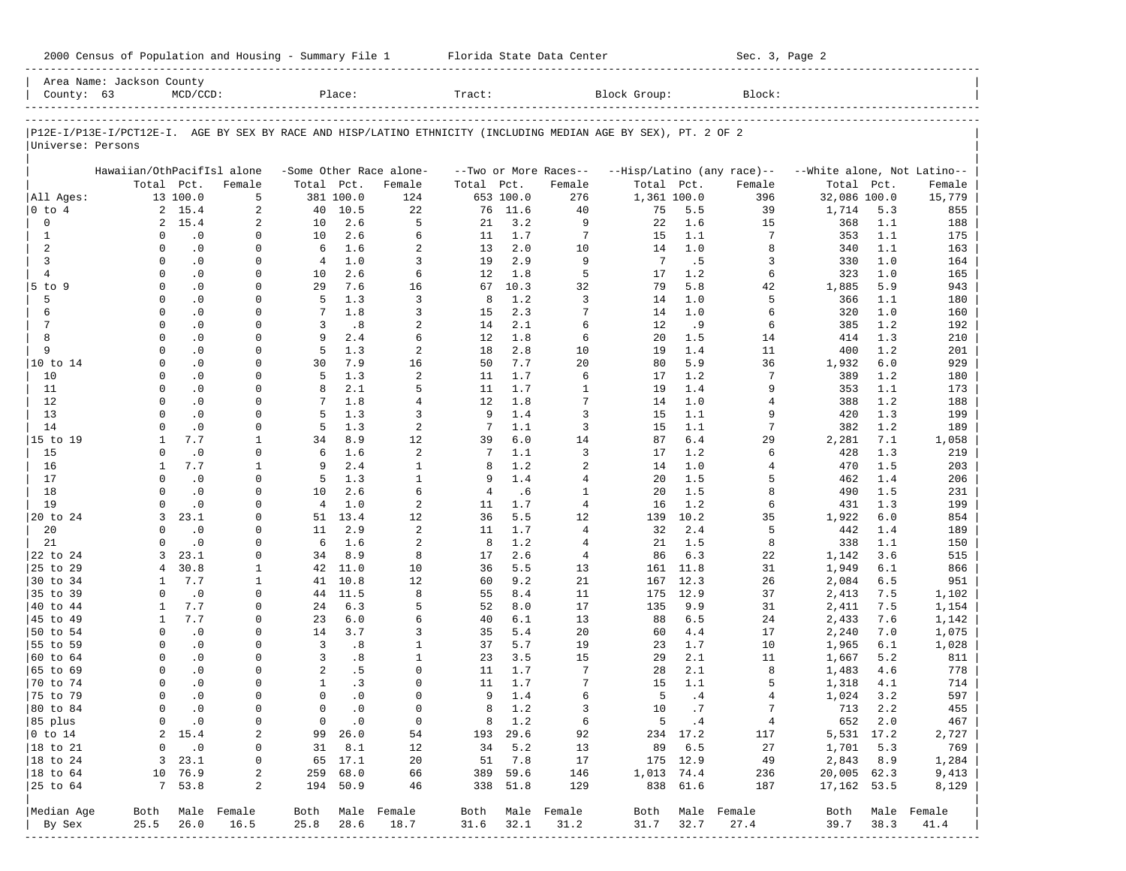| 2000 Census of Population and Housing - Summary File 1 |  | Florida State Data Center | Sec. 3, Page 2 |
|--------------------------------------------------------|--|---------------------------|----------------|
|--------------------------------------------------------|--|---------------------------|----------------|

|                      | Area Name: Jackson County  |               |                           |                 |               |                         |                |               |                       |                                                                                                                |          |                            |                             |      |                  |
|----------------------|----------------------------|---------------|---------------------------|-----------------|---------------|-------------------------|----------------|---------------|-----------------------|----------------------------------------------------------------------------------------------------------------|----------|----------------------------|-----------------------------|------|------------------|
| County: 63           |                            | $MCD/CCD$ :   |                           |                 | Place:        |                         | Tract:         |               |                       | Block Group:                                                                                                   |          | Block:                     |                             |      |                  |
|                      |                            |               |                           |                 |               |                         |                |               |                       | P12E-I/P13E-I/PCT12E-I. AGE BY SEX BY RACE AND HISP/LATINO ETHNICITY (INCLUDING MEDIAN AGE BY SEX), PT. 2 OF 2 |          |                            |                             |      |                  |
| Universe: Persons    |                            |               |                           |                 |               |                         |                |               |                       |                                                                                                                |          |                            |                             |      |                  |
|                      | Hawaiian/OthPacifIsl alone |               |                           |                 |               | -Some Other Race alone- |                |               | --Two or More Races-- |                                                                                                                |          | --Hisp/Latino (any race)-- | --White alone, Not Latino-- |      |                  |
|                      | Total Pct.                 |               | Female                    | Total Pct.      |               | Female                  | Total          | Pct.          | Female                | Total Pct.                                                                                                     |          | Female                     | Total Pct.                  |      | Female           |
| All Ages:            |                            | 13 100.0      | 5                         |                 | 381 100.0     | 124                     |                | 653 100.0     | 276                   | 1,361 100.0                                                                                                    |          | 396                        | 32,086 100.0                |      | 15,779           |
| $0$ to $4$           |                            | 2, 15.4       | $\overline{a}$            | 40              | 10.5          | 22                      | 76             | 11.6          | 40                    | 75                                                                                                             | 5.5      | 39                         | 1,714                       | 5.3  | 855              |
| 0                    | $\overline{2}$             | 15.4          | 2                         | 10              | 2.6           | 5                       | 21             | 3.2           | 9                     | 22                                                                                                             | 1.6      | 15                         | 368                         | 1.1  | 188              |
| 1                    | 0                          | $\cdot$ 0     | $\mathbf 0$               | 10              | 2.6           | 6                       | 11             | 1.7           | 7                     | 15                                                                                                             | 1.1      | 7                          | 353                         | 1.1  | 175              |
| 2                    | $\Omega$                   | $\cdot$ 0     | 0                         | 6               | 1.6           | $\overline{a}$          | 13             | 2.0           | 10                    | 14                                                                                                             | 1.0      | 8                          | 340                         | 1.1  | 163              |
| 3                    | $\Omega$                   | $\cdot$ 0     | $\Omega$                  | $\overline{4}$  | 1.0           | 3                       | 19             | 2.9           | 9                     | -7                                                                                                             | .5       | 3                          | 330                         | 1.0  | 164              |
| $\overline{4}$       | $\Omega$                   | $\cdot$ 0     | 0                         | 10              | 2.6           | 6                       | 12             | 1.8           | 5                     | 17                                                                                                             | 1.2      | 6                          | 323                         | 1.0  | 165              |
| 5 to 9               | $\Omega$                   | $\cdot$ 0     | $\Omega$                  | 29              | 7.6           | 16                      | 67             | 10.3          | 32                    | 79                                                                                                             | 5.8      | 42                         | 1,885                       | 5.9  | 943              |
| 5                    | $\Omega$                   | $\cdot$ 0     | 0                         | 5               | 1.3           | 3                       | 8              | 1.2           | 3                     | 14                                                                                                             | 1.0      | 5                          | 366                         | 1.1  | 180              |
| 6                    | $\Omega$                   | $\cdot$ 0     | 0                         | $7\phantom{.0}$ | 1.8           | 3                       | 15             | 2.3           | 7                     | 14                                                                                                             | 1.0      | 6                          | 320                         | 1.0  | 160              |
| 7                    | $\mathbf 0$                | $\cdot$ 0     | $\Omega$                  | 3               | .8            | $\overline{a}$          | 14             | 2.1           | 6                     | 12                                                                                                             | . 9      | 6                          | 385                         | 1.2  | 192              |
| 8                    | $\Omega$                   | $\cdot$ 0     | $\Omega$                  | 9               | 2.4           | 6                       | 12             | 1.8           | 6                     | 20                                                                                                             | 1.5      | 14                         | 414                         | 1.3  | 210              |
| 9                    | $\Omega$                   | $\cdot$ 0     | 0                         | 5               | 1.3           | $\overline{a}$          | 18             | 2.8           | 10                    | 19                                                                                                             | 1.4      | 11                         | 400                         | 1.2  | 201              |
| 10 to 14             | $\Omega$                   | $\cdot$ 0     | $\Omega$                  | 30              | 7.9           | 16                      | 50             | 7.7           | 20                    | 80                                                                                                             | 5.9      | 36                         | 1,932                       | 6.0  | 929              |
| 10                   | $\Omega$                   | $\cdot$ 0     | $\Omega$                  | 5               | 1.3           | $\overline{a}$          | 11             | 1.7           | 6                     | 17                                                                                                             | 1.2      | 7                          | 389                         | 1.2  | 180              |
| 11                   | $\Omega$                   | $\cdot$ 0     | $\Omega$                  | 8               | 2.1           | 5                       | 11             | 1.7           | $\mathbf{1}$          | 19                                                                                                             | 1.4      | 9                          | 353                         | 1.1  | 173              |
| 12                   | $\Omega$                   | $\cdot$ 0     | $\Omega$                  | 7               | 1.8           | $\overline{4}$          | 12             | 1.8           | 7                     | 14                                                                                                             | 1.0      | 4                          | 388                         | 1.2  | 188              |
| 13                   | $\Omega$                   | $\cdot$ 0     | $\Omega$                  | 5               | 1.3           | 3                       | 9              | 1.4           | 3                     | 15                                                                                                             | 1.1      | 9                          | 420                         | 1.3  | 199              |
| 14                   | $\Omega$                   | $\cdot$ 0     | $\mathbf 0$               | 5               | 1.3           | 2                       | 7              | 1.1           | 3                     | 15                                                                                                             | 1.1      | 7                          | 382                         | 1.2  | 189              |
| 15 to 19             | 1                          | 7.7           | $\mathbf{1}$              | 34              | 8.9           | 12                      | 39             | 6.0           | 14                    | 87                                                                                                             | 6.4      | 29                         | 2,281                       | 7.1  | 1,058            |
| 15                   | $\Omega$                   | $\cdot$ 0     | $\mathbf 0$               | 6               | 1.6           | $\overline{a}$          | 7              | 1.1           | 3                     | 17                                                                                                             | 1.2      | 6                          | 428                         | 1.3  | 219              |
| 16                   | 1                          | 7.7           | 1                         | 9               | 2.4           | $\mathbf{1}$            | 8              | 1.2           | 2                     | 14                                                                                                             | 1.0      | 4                          | 470                         | 1.5  | 203              |
| 17                   | $\Omega$                   | $\cdot$ 0     | $\mathbf 0$               | 5               | 1.3           | $\mathbf{1}$            | 9              | 1.4           | $\overline{4}$        | 20                                                                                                             | 1.5      | 5                          | 462                         | 1.4  | 206              |
| 18                   | $\Omega$                   | $\cdot$ 0     | $\Omega$                  | 10              | 2.6           | 6                       | $\overline{4}$ | .6            | $\mathbf{1}$          | 20                                                                                                             | 1.5      | 8                          | 490                         | 1.5  | 231              |
| 19                   | $\Omega$                   | $\cdot$ 0     | $\Omega$                  | $\overline{4}$  | 1.0           | $\overline{a}$          | 11             | 1.7           | $\overline{4}$        | 16                                                                                                             | 1.2      | 6                          | 431                         | 1.3  | 199              |
| 20 to 24             | 3                          | 23.1          | $\Omega$                  | 51              | 13.4          | 12                      | 36             | 5.5           | 12                    | 139                                                                                                            | 10.2     | 35                         | 1,922                       | 6.0  | 854              |
| 20                   | $\Omega$                   | $\cdot$ 0     | $\Omega$                  | 11              | 2.9           | 2                       | 11             | 1.7           | $\overline{4}$        | 32                                                                                                             | 2.4      | 5                          | 442                         | 1.4  | 189              |
| 21                   | $\Omega$                   | $\cdot$ 0     | $\Omega$                  | 6               | 1.6           | 2                       | 8              | 1.2           | 4                     | 21                                                                                                             | 1.5      | 8                          | 338                         | 1.1  | 150              |
| 22 to 24             | 3                          | 23.1          | $\Omega$                  | 34              | 8.9           | 8                       | 17             | 2.6           | $\overline{4}$        | 86                                                                                                             | 6.3      | 22                         | 1,142                       | 3.6  | 515              |
| 25 to 29             | 4                          | 30.8          | 1                         |                 | 42 11.0       | 10                      | 36             | 5.5           | 13                    | 161                                                                                                            | 11.8     | 31                         | 1,949                       | 6.1  | 866              |
| 30 to 34             | $\mathbf{1}$               | 7.7           | 1                         | 41              | 10.8          | 12                      | 60             | 9.2           | 21                    | 167                                                                                                            | 12.3     | 26                         | 2,084                       | 6.5  | 951              |
| 35 to 39             | $\Omega$                   | $\cdot$ 0     | $\mathbf 0$               | 44              | 11.5          | 8                       | 55             | 8.4           | 11                    | 175                                                                                                            | 12.9     | 37                         | 2,413                       | 7.5  | 1,102            |
| 40 to 44             | 1                          | 7.7           | 0                         | 24              | 6.3           | 5                       | 52             | 8.0           | 17                    | 135                                                                                                            | 9.9      | 31                         | 2,411                       | 7.5  | 1,154            |
| 45 to 49             | 1                          | 7.7           | 0                         | 23              | 6.0           | 6                       | 40             | 6.1           | 13                    | 88                                                                                                             | 6.5      | 24                         | 2,433                       | 7.6  | 1,142            |
| 50 to 54             | $\mathbf 0$                | $\cdot$ 0     | 0                         | 14              | 3.7           | 3                       | 35             | 5.4           | 20                    | 60                                                                                                             | 4.4      | 17                         | 2,240                       | 7.0  | 1,075            |
| 55 to 59             | $\Omega$                   | $\cdot$ 0     | 0                         | $\overline{3}$  | .8            | $\mathbf{1}$            | 37             | 5.7           | 19                    | 23                                                                                                             | 1.7      | 10                         | 1,965                       | 6.1  | 1,028            |
| 60 to 64             | $\Omega$                   | $\cdot$ 0     | 0                         | 3               | .8            | $\mathbf{1}$            | 23             | 3.5           | 15                    | 29                                                                                                             | 2.1      | 11                         | 1,667                       | 5.2  | 811              |
| 65 to 69             | $\Omega$                   | $\cdot$ 0     | 0                         | 2               | .5            | $\Omega$                | 11             | 1.7           | 7                     | 28                                                                                                             | 2.1      | 8                          | 1,483                       | 4.6  | 778              |
| 70 to 74             | $\Omega$                   | $\cdot$ 0     | $\Omega$                  | $\mathbf{1}$    | .3            | $\Omega$                | 11             | 1.7           | 7                     | 15                                                                                                             | 1.1      | 5                          | 1,318                       | 4.1  | 714              |
| 75 to 79             | $\Omega$                   | $\cdot$ 0     | $\Omega$                  | $\Omega$        | $\cdot$ 0     | $\Omega$                | 9              | 1.4           | 6                     | 5                                                                                                              | .4       | 4                          | 1,024                       | 3.2  | 597              |
| 80 to 84             | $\Omega$                   | $\cdot$ 0     | $\mathbf 0$               | $\mathbf 0$     | $\cdot$ 0     | $\Omega$                | 8              | 1.2           | 3                     | 10                                                                                                             | .7       | 7                          | 713                         | 2.2  | 455              |
| 85 plus              |                            | $0 \qquad .0$ | 0                         |                 | $0 \qquad .0$ | $\overline{0}$          |                | 8 1.2         | 6                     |                                                                                                                | 5 .4     | $\overline{4}$             | 652 2.0                     |      | 467              |
| $ 0 \t{to} 14$       |                            | 2, 15.4       | 2                         |                 | 99 26.0       | 54                      |                | 193 29.6      | 92                    |                                                                                                                | 234 17.2 | 117                        | 5,531 17.2                  |      | 2,727            |
| $ 18 \text{ to } 21$ | 0                          | $\cdot$ 0     | 0                         |                 | 31 8.1        | 12                      |                | 34 5.2        | 13                    |                                                                                                                | 89 6.5   | 27                         | 1,701 5.3                   |      | 769              |
| $ 18 \text{ to } 24$ |                            | 3, 23.1       | 0                         |                 | 65 17.1       | 20                      |                | 51 7.8        | 17                    |                                                                                                                | 175 12.9 | 49                         | 2,843 8.9                   |      | 1,284            |
| $ 18 \text{ to } 64$ |                            | 10 76.9       | 2                         |                 | 259 68.0      | 66                      |                | 389 59.6      | 146                   | 1,013 74.4                                                                                                     |          | 236                        | 20,005 62.3                 |      | 9,413            |
| $ 25$ to $64$        |                            | 7, 53.8       | 2                         |                 | 194 50.9      | 46                      |                | 338 51.8      | 129                   |                                                                                                                | 838 61.6 | 187                        | 17,162 53.5                 |      | 8,129            |
|                      |                            |               |                           |                 |               |                         |                |               |                       |                                                                                                                |          |                            |                             |      |                  |
| Median Age           |                            |               | Both Male Female          |                 |               | Both Male Female        |                |               | Both Male Female      |                                                                                                                |          | Both Male Female           |                             |      | Both Male Female |
| By Sex               | 25.5                       | 26.0          | 16.5<br>----------------- | 25.8            | 28.6          | 18.7                    |                | $31.6$ $32.1$ | 31.2                  | 31.7                                                                                                           | 32.7     | 27.4                       | 39.7                        | 38.3 | 41.4             |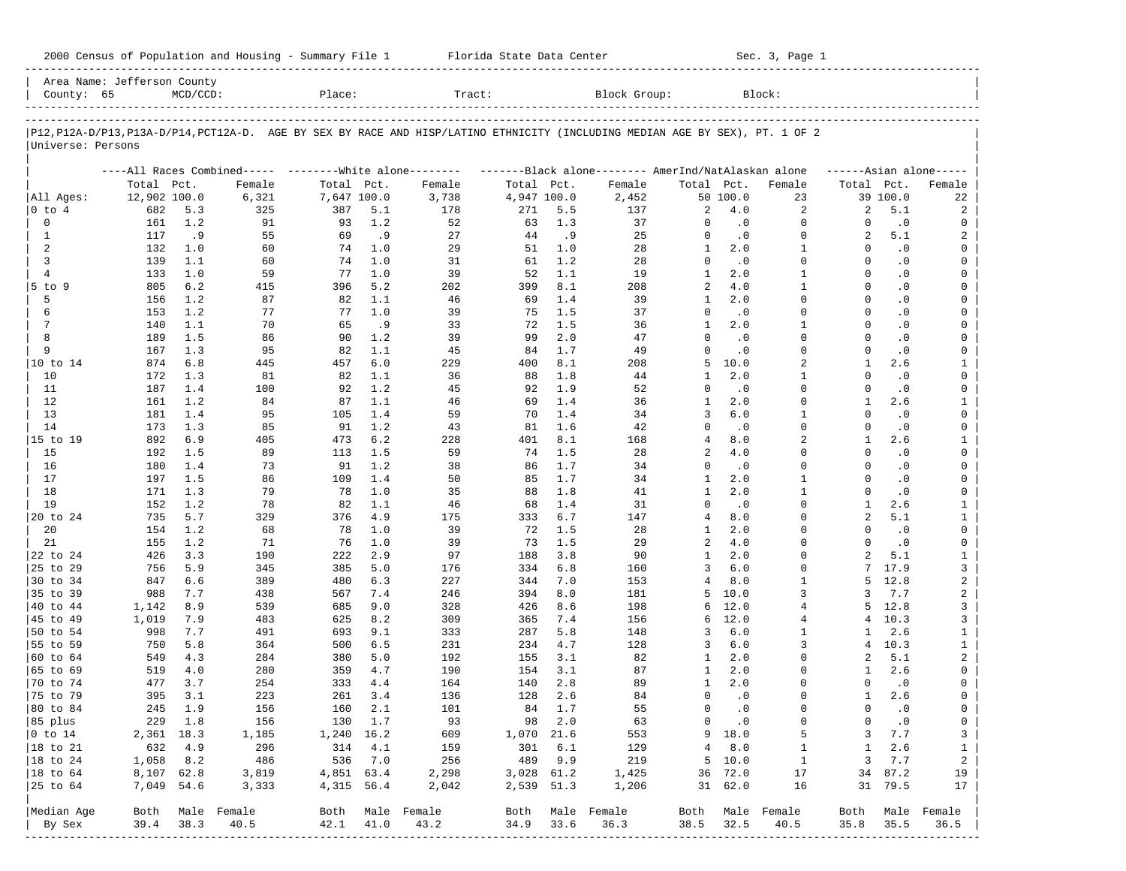| 2000 Census of Population and Housing - Summary File 1 |  | Florida State Data Center | Sec. 3, Page 1 |
|--------------------------------------------------------|--|---------------------------|----------------|
|--------------------------------------------------------|--|---------------------------|----------------|

| County: 65             | Area Name: Jefferson County | $MCD/CCD$ : |                                                                                                                            | Place:      |         | Tract:           |             |        | Block Group:                                        |                 |               | Block:           |                |           |                         |
|------------------------|-----------------------------|-------------|----------------------------------------------------------------------------------------------------------------------------|-------------|---------|------------------|-------------|--------|-----------------------------------------------------|-----------------|---------------|------------------|----------------|-----------|-------------------------|
|                        |                             |             |                                                                                                                            |             |         |                  |             |        |                                                     |                 |               |                  |                |           |                         |
|                        |                             |             | P12,P12A-D/P13,P13A-D/P14,PCT12A-D. AGE BY SEX BY RACE AND HISP/LATINO ETHNICITY (INCLUDING MEDIAN AGE BY SEX), PT. 1 OF 2 |             |         |                  |             |        |                                                     |                 |               |                  |                |           |                         |
| Universe: Persons      |                             |             |                                                                                                                            |             |         |                  |             |        |                                                     |                 |               |                  |                |           |                         |
|                        |                             |             | ----All Races Combined----- --------- White alone--------                                                                  |             |         |                  |             |        | -------Black alone-------- AmerInd/NatAlaskan alone |                 |               |                  |                |           | $---Asian alone---$     |
|                        | Total Pct.                  |             | Female                                                                                                                     | Total Pct.  |         | Female           | Total Pct.  |        | Female                                              | Total Pct.      |               | Female           | Total Pct.     |           | Female                  |
| All Ages:              | 12,902 100.0                |             | 6,321                                                                                                                      | 7,647 100.0 |         | 3,738            | 4,947 100.0 |        | 2,452                                               |                 | 50 100.0      | 23               |                | 39 100.0  | 22                      |
| 0 to 4                 | 682                         | 5.3         | 325                                                                                                                        | 387         | 5.1     | 178              | 271         | 5.5    | 137                                                 | 2               | 4.0           | 2                | 2              | 5.1       | 2                       |
| 0                      | 161                         | 1.2         | 91                                                                                                                         | 93          | 1.2     | 52               | 63          | 1.3    | 37                                                  | 0               | $\cdot$ 0     | $\mathbf 0$      | $\Omega$       | $\cdot$ 0 | 0                       |
| $\mathbf{1}$           | 117                         | .9          | 55                                                                                                                         | 69          | .9      | 27               | 44          | .9     | 25                                                  | $\Omega$        | $\cdot$ 0     | $\mathbf 0$      | 2              | 5.1       | 2                       |
| 2                      | 132                         | 1.0         | 60                                                                                                                         | 74          | 1.0     | 29               | 51          | 1.0    | 28                                                  | $\mathbf{1}$    | 2.0           | $\mathbf{1}$     | $\Omega$       | $\cdot$ 0 | 0                       |
| 3                      | 139                         | 1.1         | 60                                                                                                                         | 74          | 1.0     | 31               | 61          | 1.2    | 28                                                  | $\Omega$        | $\cdot$ 0     | $\Omega$         | $\Omega$       | $\cdot$ 0 | $\mathbf 0$             |
| $\overline{4}$         | 133                         | 1.0         | 59                                                                                                                         | 77          | 1.0     | 39               | 52          | 1.1    | 19                                                  | $\mathbf{1}$    | 2.0           | $\mathbf{1}$     | $\Omega$       | $\cdot$ 0 | 0                       |
| $5$ to $9$             | 805                         | 6.2         | 415                                                                                                                        | 396         | 5.2     | 202              | 399         | 8.1    | 208                                                 | 2               | 4.0           | $\mathbf{1}$     | $\Omega$       | $\cdot$ 0 | $\mathbf 0$             |
| 5                      | 156                         | 1.2         | 87                                                                                                                         | 82          | 1.1     | 46               | 69          | 1.4    | 39                                                  | $\mathbf{1}$    | 2.0           | $\Omega$         | $\Omega$       | $\cdot$ 0 | 0                       |
| 6                      | 153                         | 1.2         | 77                                                                                                                         | 77          | 1.0     | 39               | 75          | 1.5    | 37                                                  | $\Omega$        | $\cdot$ 0     | $\Omega$         | $\Omega$       | $\cdot$ 0 | $\mathbf 0$             |
| 7                      | 140                         | 1.1         | 70                                                                                                                         | 65          | .9      | 33               | 72          | 1.5    | 36                                                  | $\mathbf{1}$    | 2.0           | $\mathbf{1}$     | $\Omega$       | $\cdot$ 0 | 0                       |
| 8                      | 189                         | 1.5         | 86                                                                                                                         | 90          | 1.2     | 39               | 99          | 2.0    | 47                                                  | $\Omega$        | $\cdot$ 0     | $\Omega$         | $\Omega$       | $\cdot$ 0 | 0                       |
| 9                      | 167                         | 1.3         | 95                                                                                                                         | 82          | 1.1     | 45               | 84          | 1.7    | 49                                                  | $\Omega$        | $\cdot$ 0     | $\Omega$         | $\Omega$       | $\cdot$ 0 | 0                       |
| 10 to 14               | 874                         | 6.8         | 445                                                                                                                        | 457         | 6.0     | 229              | 400         | 8.1    | 208                                                 | 5               | 10.0          | 2                | 1              | 2.6       | 1                       |
| 10                     | 172                         | 1.3         | 81                                                                                                                         | 82          | 1.1     | 36               | 88          | 1.8    | 44                                                  | 1               | 2.0           | $\mathbf{1}$     | $\Omega$       | $\cdot$ 0 | 0                       |
| 11                     | 187                         | 1.4         | 100                                                                                                                        | 92          | 1.2     | 45               | 92          | 1.9    | 52                                                  | $\Omega$        | $\cdot$ 0     | $\Omega$         | $\Omega$       | $\cdot$ 0 | 0                       |
| 12                     | 161                         | 1.2         | 84                                                                                                                         | 87          | 1.1     | 46               | 69          | 1.4    | 36                                                  | 1               | 2.0           | $\Omega$         | 1              | 2.6       | $\mathbf{1}$            |
| 13                     | 181                         | 1.4         | 95                                                                                                                         | 105         | 1.4     | 59               | 70          | 1.4    | 34                                                  | 3               | 6.0           | 1                | $\Omega$       | $\cdot$ 0 | 0                       |
| 14                     | 173                         | 1.3         | 85                                                                                                                         | 91          | 1.2     | 43               | 81          | 1.6    | 42                                                  | 0               | $\cdot$ 0     | $\Omega$         | $\Omega$       | $\cdot$ 0 | 0                       |
| 15 to 19               | 892                         | 6.9         | 405                                                                                                                        | 473         | 6.2     | 228              | 401         | 8.1    | 168                                                 | 4               | 8.0           | 2                | 1              | 2.6       | $\mathbf{1}$            |
| 15                     | 192                         | 1.5         | 89                                                                                                                         | 113         | 1.5     | 59               | 74          | 1.5    | 28                                                  | 2               | 4.0           | $\Omega$         | $\Omega$       | $\cdot$ 0 | 0                       |
| 16                     | 180                         | 1.4         | 73                                                                                                                         | 91          | 1.2     | 38               | 86          | 1.7    | 34                                                  | $\Omega$        | $\cdot$ 0     | $\Omega$         | $\Omega$       | $\cdot$ 0 | 0                       |
| 17                     | 197                         | 1.5         | 86                                                                                                                         | 109         | 1.4     | 50               | 85          | 1.7    | 34                                                  | 1               | 2.0           | $\mathbf{1}$     | $\Omega$       | $\cdot$ 0 | 0                       |
| 18                     | 171                         | 1.3         | 79                                                                                                                         | 78          | 1.0     | 35               | 88          | 1.8    | 41                                                  | $\mathbf{1}$    | 2.0           | $\mathbf{1}$     | $\Omega$       | $\cdot$ 0 | 0                       |
| 19                     | 152                         | 1.2         | 78                                                                                                                         | 82          | 1.1     | 46               | 68          | 1.4    | 31                                                  | $\Omega$        | $\cdot$ 0     | $\Omega$         | $\mathbf{1}$   | 2.6       | $\mathbf{1}$            |
| 20 to 24               | 735                         | 5.7         | 329                                                                                                                        | 376         | 4.9     | 175              | 333         | 6.7    | 147                                                 | $\overline{4}$  | 8.0           | $\Omega$         | $\overline{a}$ | 5.1       | $\mathbf{1}$            |
| 20                     | 154                         | 1.2         | 68                                                                                                                         | 78          | 1.0     | 39               | 72          | 1.5    | 28                                                  | 1               | 2.0           | $\Omega$         | $\Omega$       | $\cdot$ 0 | 0                       |
| 21                     | 155                         | 1.2         | 71                                                                                                                         | 76          | 1.0     | 39               | 73          | 1.5    | 29                                                  | 2               | 4.0           | $\Omega$         | $\Omega$       | $\cdot$ 0 | 0                       |
| 22 to 24               | 426                         | 3.3         | 190                                                                                                                        | 222         | 2.9     | 97               | 188         | 3.8    | 90                                                  | $\mathbf{1}$    | 2.0           | $\Omega$         | $\overline{a}$ | 5.1       | $\mathbf{1}$            |
| 25 to 29               | 756                         | 5.9         | 345                                                                                                                        | 385         | 5.0     | 176              | 334         | 6.8    | 160                                                 | 3               | 6.0           | $\Omega$         |                | 17.9      | 3                       |
| 30 to 34               | 847                         | 6.6         | 389                                                                                                                        | 480         | 6.3     | 227              | 344         | 7.0    | 153                                                 | $\overline{4}$  | 8.0           | $\mathbf{1}$     | 5              | 12.8      | $\overline{\mathbf{c}}$ |
| 35 to 39               | 988                         | 7.7         | 438                                                                                                                        | 567         | 7.4     | 246              | 394         | 8.0    | 181                                                 | 5               | 10.0          | 3                | 3              | 7.7       | $\overline{\mathbf{c}}$ |
| 40 to 44               | 1,142                       | 8.9         | 539                                                                                                                        | 685         | 9.0     | 328              | 426         | 8.6    | 198                                                 | 6               | 12.0          | $\overline{4}$   | 5.             | 12.8      | 3                       |
| 45 to 49               | 1,019                       | 7.9         | 483                                                                                                                        | 625         | 8.2     | 309              | 365         | 7.4    | 156                                                 | 6               | 12.0          | 4                | 4              | 10.3      | 3                       |
| 50 to 54               | 998                         | 7.7         | 491                                                                                                                        | 693         | 9.1     | 333              | 287         | 5.8    | 148                                                 | 3               | 6.0           | $\mathbf{1}$     | 1              | 2.6       | $\mathbf{1}$            |
| 55 to 59               | 750                         | 5.8         | 364                                                                                                                        | 500         | 6.5     | 231              | 234         | 4.7    | 128                                                 | 3               | 6.0           | 3                | 4              | 10.3      | $\mathbf{1}$            |
| 60 to 64               | 549                         | 4.3         | 284                                                                                                                        | 380         | 5.0     | 192              | 155         | 3.1    | 82                                                  | 1               | 2.0           | $\Omega$         | 2              | 5.1       | 2                       |
| 65 to 69               | 519                         | 4.0         | 280                                                                                                                        | 359         | 4.7     | 190              | 154         | 3.1    | 87                                                  | 1               | 2.0           | $\Omega$         | 1              | 2.6       | 0                       |
| 70 to 74               | 477                         | 3.7         | 254                                                                                                                        | 333         | 4.4     | 164              | 140         | 2.8    | 89                                                  | $\mathbf{1}$    | 2.0           | $\Omega$         | $\Omega$       | $\cdot$ 0 | 0                       |
| 75 to 79               | 395                         | 3.1         | 223                                                                                                                        | 261         | 3.4     | 136              | 128         | 2.6    | 84                                                  | $\Omega$        | $\cdot$ 0     | $\Omega$         | 1              | 2.6       | 0                       |
| 80 to 84               | 245                         | 1.9         | 156                                                                                                                        | 160         | 2.1     | 101              | 84          | 1.7    | 55                                                  | 0               | $\cdot$ 0     | $\Omega$         | $\Omega$       | $\cdot$ 0 | 0                       |
| 85 plus                |                             | 229 1.8     | 156                                                                                                                        |             | 130 1.7 | 93               |             | 98 2.0 | 63                                                  | $\circ$         | $\cdot$ 0     | 0                | 0              | $\cdot$ 0 | 0                       |
| $ 0 \t\t \text{to} 14$ | 2,361 18.3                  |             | 1,185                                                                                                                      | 1,240 16.2  |         | 609              | 1,070 21.6  |        | 553                                                 |                 | 9 18.0        | 5                | 3              | 7.7       | 3                       |
| 18 to 21               | 632                         | 4.9         | 296                                                                                                                        |             | 314 4.1 | 159              | 301         | 6.1    | 129                                                 | $4\overline{ }$ | 8.0           | $\mathbf{1}$     | $\mathbf{1}$   | 2.6       | $\mathbf{1}$            |
| 18 to 24               | 1,058                       | 8.2         | 486                                                                                                                        |             | 536 7.0 | 256              | 489         | 9.9    | 219                                                 |                 | $5\quad 10.0$ | $\overline{1}$   | 3              | 7.7       | $\overline{a}$          |
| $ 18$ to $64$          | 8,107 62.8                  |             | 3,819                                                                                                                      | 4,851 63.4  |         | 2,298            | 3,028 61.2  |        | 1,425                                               |                 | 36 72.0       | 17               |                | 34 87.2   | 19                      |
| 25 to 64               | 7,049 54.6                  |             | 3,333                                                                                                                      | 4,315 56.4  |         | 2,042            | 2,539 51.3  |        | 1,206                                               |                 | 31 62.0       | 16               |                | 31 79.5   | 17                      |
|                        |                             |             |                                                                                                                            |             |         |                  |             |        |                                                     |                 |               |                  |                |           |                         |
| Median Age             |                             |             | Both Male Female                                                                                                           |             |         | Both Male Female | Both        |        | Male Female                                         |                 |               | Both Male Female | Both           |           | Male Female             |
| By Sex                 | 39.4                        | 38.3        | 40.5                                                                                                                       | 42.1        | 41.0    | 43.2             | 34.9        | 33.6   | 36.3                                                | 38.5            | 32.5          | 40.5             | 35.8           | 35.5      | 36.5                    |
|                        |                             |             |                                                                                                                            |             |         |                  |             |        |                                                     |                 |               |                  |                |           |                         |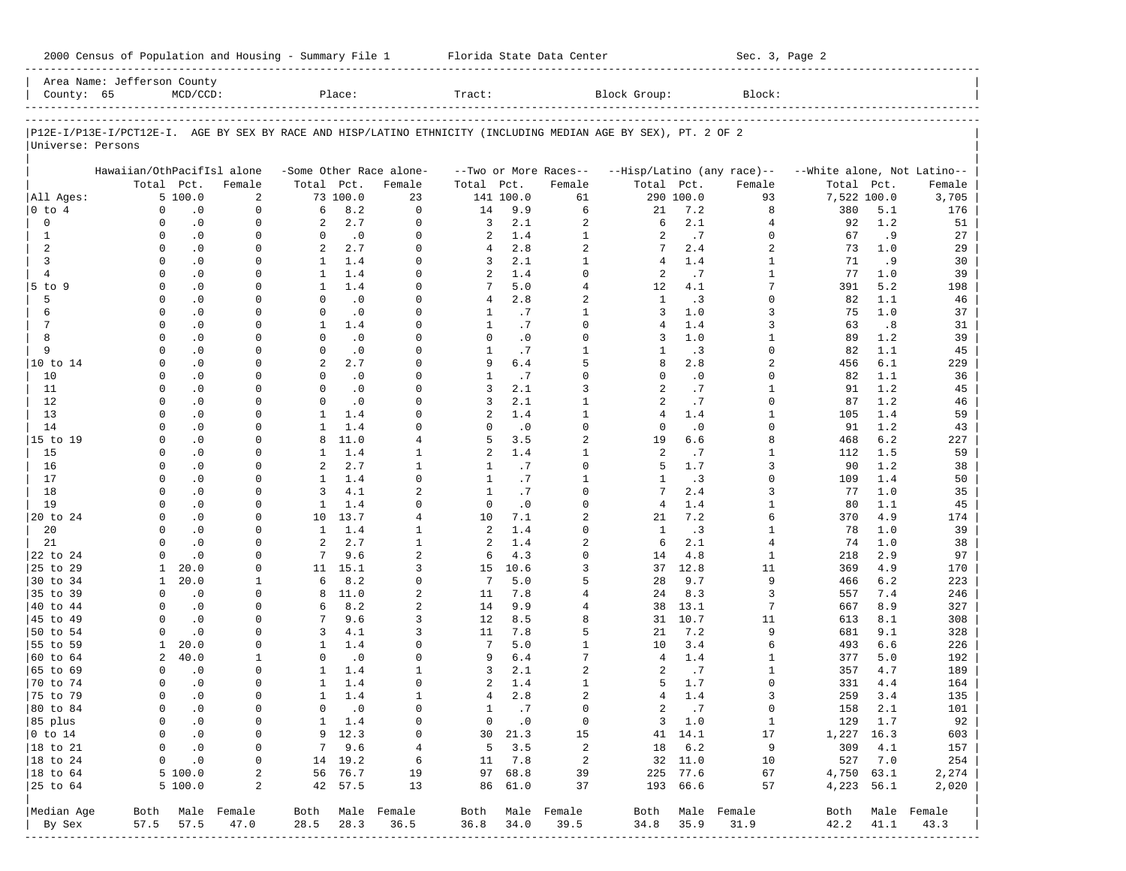|                        | Area Name: Jefferson County |               |                  |                |               |                         |                   |               |                       |                                                                                                                |           |                            |                             |            |                  |
|------------------------|-----------------------------|---------------|------------------|----------------|---------------|-------------------------|-------------------|---------------|-----------------------|----------------------------------------------------------------------------------------------------------------|-----------|----------------------------|-----------------------------|------------|------------------|
| County: 65             |                             | $MCD/CCD$ :   |                  |                | Place:        |                         | Tract:            |               |                       | Block Group:                                                                                                   |           | Block:                     |                             |            |                  |
|                        |                             |               |                  |                |               |                         |                   |               |                       |                                                                                                                |           |                            |                             |            |                  |
| Universe: Persons      |                             |               |                  |                |               |                         |                   |               |                       | P12E-I/P13E-I/PCT12E-I. AGE BY SEX BY RACE AND HISP/LATINO ETHNICITY (INCLUDING MEDIAN AGE BY SEX), PT. 2 OF 2 |           |                            |                             |            |                  |
|                        | Hawaiian/OthPacifIsl alone  |               |                  |                |               | -Some Other Race alone- |                   |               | --Two or More Races-- |                                                                                                                |           | --Hisp/Latino (any race)-- | --White alone, Not Latino-- |            |                  |
|                        |                             | Total Pct.    | Female           | Total Pct.     |               | Female                  | Total             | Pct.          | Female                | Total Pct.                                                                                                     |           | Female                     | Total                       | Pct.       | Female           |
| All Ages:              |                             | 5100.0        | 2                |                | 73 100.0      | 23                      |                   | 141 100.0     | 61                    |                                                                                                                | 290 100.0 | 93                         | 7,522 100.0                 |            | 3,705            |
| $0$ to $4$             | $\Omega$                    | $\cdot$ 0     | $\mathbf{0}$     | 6              | 8.2           | $\Omega$                | 14                | 9.9           | 6                     | 21                                                                                                             | 7.2       | 8                          | 380                         | 5.1        | 176              |
| $\mathbf 0$            | $\Omega$                    | $\cdot$ 0     | $\mathbf 0$      | 2              | 2.7           | $\Omega$                | 3                 | 2.1           | 2                     | 6                                                                                                              | 2.1       | 4                          | 92                          | 1.2        | 51               |
| $\mathbf{1}$           | $\Omega$                    | $\cdot$ 0     | $\Omega$         | $\Omega$       | $\cdot$ 0     | $\Omega$                | 2                 | 1.4           | $\mathbf{1}$          | $\overline{a}$                                                                                                 | .7        | $\Omega$                   | 67                          | .9         | 27               |
| 2                      | $\Omega$                    | $\cdot$ 0     | $\mathbf 0$      | $\overline{a}$ | 2.7           | $\Omega$                | 4                 | 2.8           | 2                     | 7                                                                                                              | 2.4       | $\overline{a}$             | 73                          | 1.0        | 29               |
| 3                      | $\Omega$                    | $\cdot$ 0     | $\Omega$         | 1              | 1.4           | $\Omega$                | 3                 | 2.1           | $\mathbf{1}$          | 4                                                                                                              | 1.4       | 1                          | 71                          | .9         | 30               |
| $\overline{4}$         | $\Omega$                    | $\cdot$ 0     | $\Omega$         | $\mathbf{1}$   | 1.4           | $\Omega$                | 2                 | 1.4           | $\Omega$              | $\overline{a}$                                                                                                 | .7        | 1                          | 77                          | 1.0        | 39               |
| $5$ to $9$             | $\Omega$                    | $\cdot$ 0     | $\Omega$         | $\mathbf{1}$   | 1.4           | $\Omega$                | 7                 | 5.0           | $\overline{4}$        | 12                                                                                                             | 4.1       | 7                          | 391                         | 5.2        | 198              |
| 5                      | $\Omega$                    | $\cdot$ 0     | $\Omega$         | $\Omega$       | $\cdot$ 0     | $\Omega$                | 4                 | 2.8           | 2                     | $\mathbf{1}$                                                                                                   | .3        | $\Omega$                   | 82                          | 1.1        | 46               |
| 6                      | $\Omega$                    | $\cdot$ 0     | $\Omega$         | $\Omega$       | $\cdot$ 0     | $\Omega$                | 1                 | .7            | $\mathbf{1}$          | 3                                                                                                              | 1.0       | 3                          | 75                          | 1.0        | 37               |
| $\overline{7}$         | $\Omega$                    | $\cdot$ 0     | 0                | $\mathbf{1}$   | 1.4           | $\Omega$                | 1                 | .7            | $\Omega$              | $\overline{4}$                                                                                                 | 1.4       | 3                          | 63                          | .8         | 31               |
| 8                      | $\Omega$                    | $\cdot$ 0     | $\Omega$         | $\Omega$       | .0            | $\Omega$                | $\Omega$          | $\cdot$ 0     | $\Omega$              | 3                                                                                                              | 1.0       | 1                          | 89                          | 1.2        | 39               |
| 9                      | $\Omega$                    | $\cdot$ 0     | 0                | $\mathbf 0$    | $\cdot$ 0     | $\Omega$                | 1                 | .7            | $\mathbf{1}$          | $\mathbf{1}$                                                                                                   | .3        | $\Omega$                   | 82                          | 1.1        | 45               |
| 10 to 14               | $\Omega$                    | $\cdot$ 0     | $\Omega$         | 2              | 2.7           | $\Omega$                | 9                 | 6.4           | 5                     | 8                                                                                                              | 2.8       | $\overline{a}$             | 456                         | 6.1        | 229              |
| 10                     | $\Omega$                    | $\cdot$ 0     | 0                | $\Omega$       | $\cdot$ 0     | $\Omega$                | 1                 | .7            | $\Omega$              | $\Omega$                                                                                                       | $\cdot$ 0 | <sup>0</sup>               | 82                          | 1.1        | 36               |
| 11                     | $\Omega$                    | $\cdot$ 0     | $\Omega$         | $\Omega$       | $\cdot$ 0     | $\Omega$                | 3                 | 2.1           | 3                     | 2                                                                                                              | .7        | 1                          | 91                          | 1.2        | 45               |
| 12                     | $\Omega$                    | $\cdot$ 0     | 0                | $\Omega$       | $\cdot$ 0     | $\Omega$                | 3                 | 2.1           | $\mathbf{1}$          | $\overline{a}$                                                                                                 | .7        | <sup>0</sup>               | 87                          | 1.2        | 46               |
| 13                     | $\Omega$                    | $\cdot$ 0     | $\Omega$         | $\mathbf{1}$   | 1.4           | $\Omega$                | 2                 | 1.4           | $\mathbf{1}$          | 4                                                                                                              | 1.4       | 1                          | 105                         | 1.4        | 59               |
| 14                     | $\Omega$                    | $\cdot$ 0     | 0                | $\mathbf{1}$   | 1.4           | $\Omega$                | $\Omega$          | $\cdot$ 0     | $\Omega$              | $\Omega$                                                                                                       | $\cdot$ 0 | <sup>0</sup>               | 91                          | 1.2        | 43               |
| 15 to 19               | $\Omega$                    | $\cdot$ 0     | $\Omega$         | 8              | 11.0          | $\overline{4}$          | 5                 | 3.5           | 2                     | 19                                                                                                             | 6.6       | 8                          | 468                         | 6.2        | 227              |
| 15                     | $\Omega$                    | $\cdot$ 0     | $\Omega$         | $\mathbf{1}$   | 1.4           | $\mathbf{1}$            | 2                 | 1.4           | $\mathbf{1}$          | 2                                                                                                              | .7        | 1                          | 112                         | 1.5        | 59               |
| 16                     | $\Omega$                    | $\cdot$ 0     | $\Omega$         | 2              | 2.7           | $\mathbf{1}$            | 1                 | .7            | $\Omega$              | 5                                                                                                              | 1.7       | 3                          | 90                          | 1.2        | 38               |
| 17                     | $\Omega$                    | $\cdot$ 0     | 0                | $\mathbf{1}$   | 1.4           | $\Omega$                |                   | .7            | $\mathbf{1}$          | 1                                                                                                              | .3        | 0                          |                             | 1.4        |                  |
|                        | $\Omega$                    |               | $\Omega$         | 3              | 4.1           | $\overline{2}$          | 1<br>$\mathbf{1}$ |               | $\Omega$              | 7                                                                                                              | 2.4       | 3                          | 109                         | 1.0        | 50               |
| 18                     | $\Omega$                    | $\cdot$ 0     |                  |                | 1.4           | $\Omega$                |                   | .7            | $\Omega$              |                                                                                                                |           |                            | 77                          |            | 35               |
| 19                     | $\Omega$                    | $\cdot$ 0     | $\Omega$         | $\mathbf{1}$   |               | 4                       | $\mathbf 0$       | $\cdot$ 0     | $\overline{a}$        | $\overline{4}$                                                                                                 | 1.4       | $\mathbf{1}$<br>б          | 80                          | 1.1<br>4.9 | 45               |
| 20 to 24               |                             | $\cdot$ 0     | $\Omega$         | 10             | 13.7          |                         | 10                | 7.1           |                       | 21                                                                                                             | 7.2       |                            | 370                         |            | 174              |
| 20                     | $\Omega$                    | $\cdot$ 0     | 0                | $\mathbf{1}$   | 1.4           | $\mathbf{1}$            | 2                 | 1.4           | 0                     | 1                                                                                                              | .3        | 1                          | 78                          | 1.0        | 39               |
| 21                     |                             | $\cdot$ 0     | U                | $\overline{a}$ | 2.7           | $\mathbf{1}$            | 2                 | 1.4           | 2                     | 6                                                                                                              | 2.1       | 4                          | 74                          | 1.0        | 38               |
| 22 to 24               | $\Omega$                    | $\cdot$ 0     | 0                | 7              | 9.6           | $\overline{a}$          | 6                 | 4.3           | $\Omega$              | 14                                                                                                             | 4.8       | $\mathbf{1}$               | 218                         | 2.9        | 97               |
| 25 to 29               | 1                           | 20.0          | <sup>0</sup>     |                | 11 15.1       | 3                       | 15                | 10.6          | 3                     | 37                                                                                                             | 12.8      | 11                         | 369                         | 4.9        | 170              |
| 30 to 34               | $\mathbf{1}$                | 20.0          | 1                | 6              | 8.2           | $\Omega$                | 7                 | $5.0$         | 5                     | 28                                                                                                             | 9.7       | 9                          | 466                         | 6.2        | 223              |
| 35 to 39               | $\Omega$                    | $\cdot$ 0     | $\Omega$         | 8              | 11.0          | $\overline{a}$          | 11                | 7.8           | $\overline{4}$        | 24                                                                                                             | 8.3       | 3                          | 557                         | 7.4        | 246              |
| 40 to 44               | $\Omega$                    | $\cdot$ 0     | $\Omega$         | 6              | 8.2           | $\overline{a}$          | 14                | 9.9           | $\overline{4}$        | 38                                                                                                             | 13.1      | 7                          | 667                         | 8.9        | 327              |
| 45 to 49               | $\Omega$                    | $\cdot$ 0     | $\Omega$         | 7              | 9.6           | 3                       | 12                | 8.5           | 8                     | 31                                                                                                             | 10.7      | 11                         | 613                         | 8.1        | 308              |
| 50 to 54               | $\Omega$                    | $\cdot$ 0     | U                | 3              | 4.1           | 3                       | 11                | 7.8           | 5                     | 21                                                                                                             | 7.2       | 9                          | 681                         | 9.1        | 328              |
| 55 to 59               | 1                           | 20.0          | $\Omega$         | $\mathbf{1}$   | 1.4           | $\Omega$                | 7                 | 5.0           | $\mathbf{1}$          | 10                                                                                                             | 3.4       | 6                          | 493                         | 6.6        | 226              |
| 60 to 64               | 2                           | 40.0          | 1                | $\Omega$       | $\cdot$ 0     | $\Omega$                | 9                 | 6.4           | 7                     | $\overline{4}$                                                                                                 | 1.4       | 1                          | 377                         | 5.0        | 192              |
| 65 to 69               | $\Omega$                    | $\cdot$ 0     | 0                | 1              | 1.4           | $\mathbf{1}$            | 3                 | 2.1           | 2                     | 2                                                                                                              | .7        | 1                          | 357                         | 4.7        | 189              |
| 70 to 74               | $\Omega$                    | $\cdot$ 0     | 0                | $\mathbf{1}$   | 1.4           | $\Omega$                | 2                 | 1.4           | $\mathbf{1}$          | 5                                                                                                              | 1.7       | $\Omega$                   | 331                         | 4.4        | 164              |
| 75 to 79               | $\Omega$                    | $\cdot$ 0     | <sup>0</sup>     | $\mathbf{1}$   | 1.4           | $\mathbf{1}$            | $\overline{4}$    | 2.8           | $\overline{a}$        | 4                                                                                                              | 1.4       | 3                          | 259                         | 3.4        | 135              |
| 80 to 84               | $\Omega$                    | $\cdot$ 0     | $\mathbf 0$      | $\Omega$       | $\cdot$ 0     | $\Omega$                | 1                 | .7            | $\Omega$              | $\overline{a}$                                                                                                 | .7        | $\mathbf 0$                | 158                         | 2.1        | 101              |
| 85 plus                |                             | $0 \qquad .0$ | $\circ$          |                | $1 \quad 1.4$ | 0                       |                   | $0 \qquad .0$ | $\overline{0}$        |                                                                                                                | 3 1.0     | $\mathbf{1}$               | 129 1.7                     |            | 92               |
| $ 0 \t\t \text{to} 14$ | $\mathbf{0}$                | $\ddotsc 0$   | $\circ$          |                | $9 \t12.3$    | $\overline{0}$          |                   | 30 21.3       | 15                    |                                                                                                                | 41 14.1   | 17                         | 1,227 16.3                  |            | 603              |
| 18 to 21               |                             | $0 \qquad .0$ | $\circ$          |                | 79.6          | $\frac{4}{3}$           |                   | $5 \t3.5$     | $\overline{a}$        |                                                                                                                | 18 6.2    | 9                          | 309 4.1                     |            | 157              |
| $ 18 \text{ to } 24$   |                             | $0 \qquad .0$ | 0                |                | 14 19.2       | 6                       |                   | 11 7.8        | $\overline{a}$        |                                                                                                                | 32 11.0   | 10                         | 527 7.0                     |            | 254              |
| $ 18 \text{ to } 64$   |                             | 5100.0        | $\overline{a}$   |                | 56 76.7       | 19                      |                   | 97 68.8       | 39                    |                                                                                                                | 225 77.6  | 67                         | 4,750 63.1                  |            | 2,274            |
| 25 to 64               |                             | 5 100.0       | 2                |                | 42 57.5       | 13                      |                   | 86 61.0       | 37                    |                                                                                                                | 193 66.6  | 57                         |                             | 4,223 56.1 | 2,020            |
| Median Age             |                             |               | Both Male Female |                |               | Both Male Female        |                   |               | Both Male Female      |                                                                                                                |           | Both Male Female           |                             |            | Both Male Female |
| By Sex                 |                             | 57.5 57.5     | 47.0             | 28.5           | 28.3          | 36.5                    | 36.8              | 34.0          | 39.5                  | 34.8                                                                                                           | 35.9      | 31.9                       | 42.2                        | 41.1       | 43.3             |
|                        |                             |               |                  |                |               |                         |                   |               |                       |                                                                                                                |           |                            |                             |            |                  |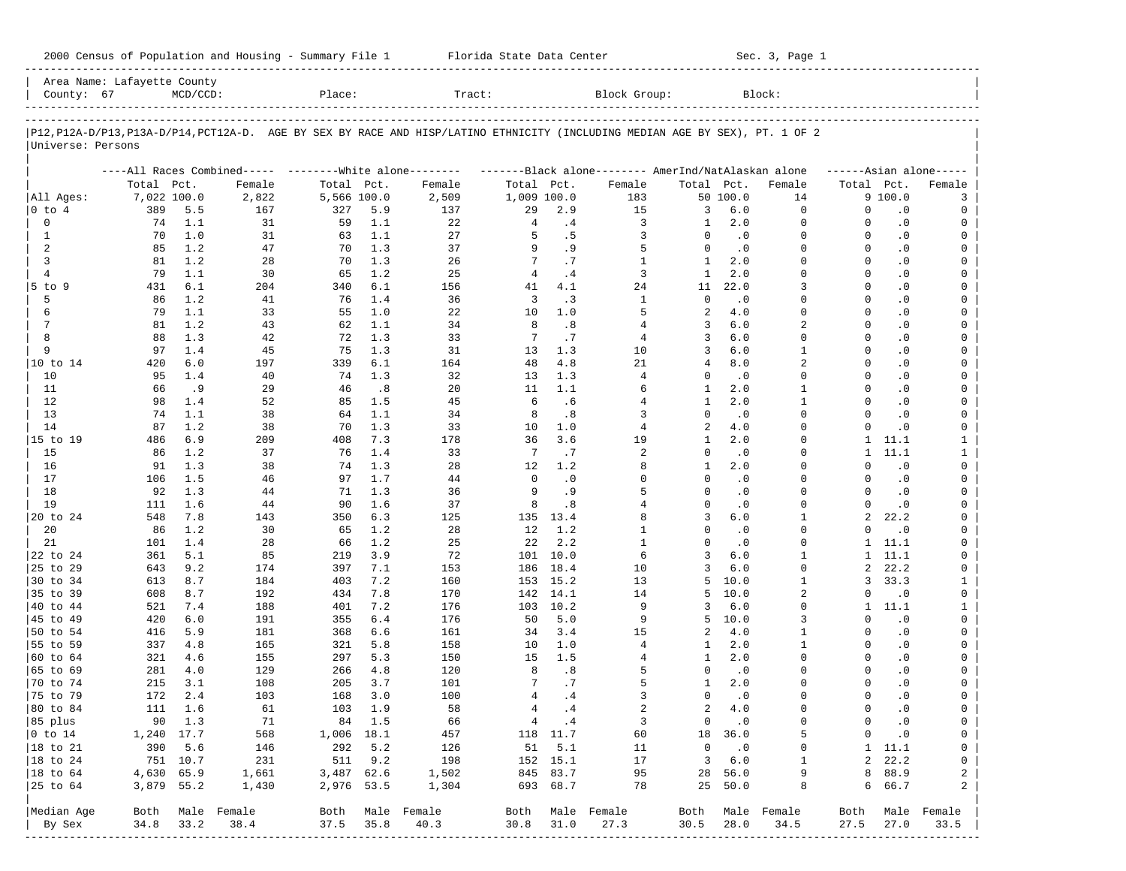| 2000 Census of Population and Housing - Summary File 1 |  | Florida State Data Center | Sec. 3, Page 1 |
|--------------------------------------------------------|--|---------------------------|----------------|
|--------------------------------------------------------|--|---------------------------|----------------|

| County: 67                  | Area Name: Lafayette County | $MCD/CCD$ : |                                                                                                                            | Place:      |            | Tract:           |                |             | Block Group:                                        |                |                  | Block:         |                      |                        |                     |
|-----------------------------|-----------------------------|-------------|----------------------------------------------------------------------------------------------------------------------------|-------------|------------|------------------|----------------|-------------|-----------------------------------------------------|----------------|------------------|----------------|----------------------|------------------------|---------------------|
|                             |                             |             |                                                                                                                            |             |            |                  |                |             |                                                     |                |                  |                |                      |                        |                     |
| Universe: Persons           |                             |             | P12,P12A-D/P13,P13A-D/P14,PCT12A-D. AGE BY SEX BY RACE AND HISP/LATINO ETHNICITY (INCLUDING MEDIAN AGE BY SEX), PT. 1 OF 2 |             |            |                  |                |             |                                                     |                |                  |                |                      |                        |                     |
|                             |                             |             | ----All Races Combined----- --------White alone--------                                                                    |             |            |                  |                |             | -------Black alone-------- AmerInd/NatAlaskan alone |                |                  |                |                      |                        | $---Asian alone---$ |
|                             | Total Pct.                  |             | Female                                                                                                                     | Total Pct.  |            | Female           | Total Pct.     |             | Female                                              | Total Pct.     |                  | Female         | Total Pct.           |                        | Female              |
| All Ages:                   | 7,022 100.0                 |             | 2,822                                                                                                                      | 5,566 100.0 |            | 2,509            | 1,009 100.0    |             | 183                                                 |                | 50 100.0         | 14             |                      | 9 100.0                | 3                   |
| 0 to 4                      | 389                         | 5.5         | 167                                                                                                                        | 327         | 5.9        | 137              | 29             | 2.9         | 15                                                  | 3              | $6.0$            | 0              | 0                    | $\cdot$ 0              | 0                   |
| 0                           | 74                          | 1.1         | 31                                                                                                                         | 59          | 1.1        | 22               | 4              | .4          | 3                                                   | 1              | 2.0              | $\mathbf 0$    | $\Omega$             | $\cdot$ 0              | 0                   |
| $\mathbf{1}$                | 70                          | 1.0         | 31                                                                                                                         | 63          | 1.1        | 27               | 5              | .5          | 3                                                   | $\Omega$       | $\cdot$ 0        | $\Omega$       | $\Omega$             | $\cdot$ 0              | 0                   |
| 2                           | 85                          | 1.2         | 47                                                                                                                         | 70          | 1.3        | 37               | 9              | .9          | 5                                                   | $\mathbf 0$    | $\cdot$ 0        | $\Omega$       | $\Omega$             | $\cdot$ 0              | 0                   |
| 3                           | 81                          | 1.2         | 28                                                                                                                         | 70          | 1.3        | 26               | 7              | .7          | 1                                                   | $\mathbf{1}$   | 2.0              | $\Omega$       | $\Omega$             | $\cdot$ 0              | $\mathbf 0$         |
| $\overline{4}$              | 79                          | 1.1         | 30                                                                                                                         | 65          | 1.2        | 25               | $\overline{4}$ | .4          | 3                                                   | $\mathbf{1}$   | 2.0              | $\Omega$       | $\Omega$             | $\cdot$ 0              | 0                   |
| $5$ to $9$<br>5             | 431                         | 6.1<br>1.2  | 204<br>41                                                                                                                  | 340<br>76   | 6.1<br>1.4 | 156<br>36        | 41<br>3        | 4.1<br>.3   | 24<br>$\mathbf{1}$                                  | 11<br>$\Omega$ | 22.0             | 3<br>$\Omega$  | $\Omega$<br>$\Omega$ | $\cdot$ 0              | $\mathbf 0$         |
| 6                           | 86<br>79                    | 1.1         | 33                                                                                                                         | 55          | 1.0        | 22               | 10             | 1.0         | 5                                                   | 2              | $\cdot$ 0<br>4.0 | $\Omega$       | $\Omega$             | $\cdot$ 0<br>$\cdot$ 0 | 0<br>$\mathbf 0$    |
| 7                           | 81                          | 1.2         | 43                                                                                                                         | 62          | 1.1        | 34               | 8              | .8          | 4                                                   | 3              | 6.0              | $\overline{a}$ | $\Omega$             | $\cdot$ 0              | 0                   |
| 8                           | 88                          | 1.3         | 42                                                                                                                         | 72          | 1.3        | 33               | 7              | .7          | 4                                                   | 3              | 6.0              | $\Omega$       | $\Omega$             | $\cdot$ 0              | $\mathbf 0$         |
| 9                           | 97                          | 1.4         | 45                                                                                                                         | 75          | 1.3        | 31               | 13             | 1.3         | 10                                                  | 3              | 6.0              | $\mathbf{1}$   | $\Omega$             | $\cdot$ 0              | 0                   |
| 10 to 14                    | 420                         | 6.0         | 197                                                                                                                        | 339         | 6.1        | 164              | 48             | 4.8         | 21                                                  | 4              | 8.0              | 2              | $\Omega$             | $\cdot$ 0              | $\mathbf 0$         |
| 10                          | 95                          | 1.4         | 40                                                                                                                         | 74          | 1.3        | 32               | 13             | 1.3         | 4                                                   | 0              | $\cdot$ 0        | $\Omega$       | $\Omega$             | $\cdot$ 0              | 0                   |
| 11                          | 66                          | .9          | 29                                                                                                                         | 46          | .8         | 20               | 11             | 1.1         | 6                                                   | 1              | 2.0              | 1              | $\Omega$             | $\cdot$ 0              | 0                   |
| 12                          | 98                          | 1.4         | 52                                                                                                                         | 85          | 1.5        | 45               | 6              | .6          | 4                                                   | $\mathbf{1}$   | 2.0              | $\mathbf{1}$   | $\Omega$             | $\cdot$ 0              | 0                   |
| 13                          | 74                          | 1.1         | 38                                                                                                                         | 64          | 1.1        | 34               | 8              | .8          | 3                                                   | $\Omega$       | $\cdot$ 0        | $\Omega$       | $\Omega$             | $\cdot$ 0              | 0                   |
| 14                          | 87                          | 1.2         | 38                                                                                                                         | 70          | 1.3        | 33               | 10             | 1.0         | 4                                                   | 2              | 4.0              | $\Omega$       | $\Omega$             | $\cdot$ 0              | 0                   |
| 15 to 19                    | 486                         | 6.9         | 209                                                                                                                        | 408         | 7.3        | 178              | 36             | 3.6         | 19                                                  | 1              | 2.0              | $\Omega$       | $\mathbf{1}$         | 11.1                   | $\mathbf{1}$        |
| 15                          | 86                          | 1.2         | 37                                                                                                                         | 76          | 1.4        | 33               | 7              | .7          | 2                                                   | 0              | $\cdot$ 0        | $\Omega$       | $\mathbf{1}$         | 11.1                   | $\mathbf{1}$        |
| 16                          | 91                          | 1.3         | 38                                                                                                                         | 74          | 1.3        | 28               | 12             | 1.2         | 8                                                   | $\mathbf{1}$   | 2.0              | $\Omega$       | $\Omega$             | $\cdot$ 0              | 0                   |
| 17                          | 106                         | 1.5         | 46                                                                                                                         | 97          | 1.7        | 44               | $\Omega$       | $\cdot$ 0   | $\Omega$                                            | $\Omega$       | $\cdot$ 0        | $\Omega$       | $\Omega$             | $\cdot$ 0              | 0                   |
| 18                          | 92                          | 1.3         | 44                                                                                                                         | 71          | 1.3        | 36               | 9              | .9          | 5                                                   | $\Omega$       | $\cdot$ 0        | $\Omega$       | $\Omega$             | $\cdot$ 0              | 0                   |
| 19                          | 111                         | 1.6         | 44                                                                                                                         | 90          | 1.6        | 37               | 8              | .8          | 4                                                   | $\Omega$       | $\cdot$ 0        | $\Omega$       | $\Omega$             | $\cdot$ 0              | 0                   |
| 20 to 24                    | 548                         | 7.8         | 143                                                                                                                        | 350         | 6.3        | 125              |                | 135 13.4    | 8                                                   | 3              | 6.0              | $\mathbf{1}$   | $\overline{a}$       | 22.2                   | 0                   |
| 20                          | 86                          | 1.2         | 30                                                                                                                         | 65          | 1.2        | 28               | 12             | 1.2         | 1                                                   | $\Omega$       | $\cdot$ 0        | $\Omega$       | $\Omega$             | $\cdot$ 0              | 0                   |
| 21                          | 101                         | 1.4         | 28                                                                                                                         | 66          | 1.2        | 25               | 22             | 2.2         | $\mathbf{1}$                                        | $\Omega$       | $\cdot$ 0        | $\Omega$       | $\mathbf{1}$         | 11.1                   | 0                   |
| 22 to 24                    | 361                         | 5.1         | 85                                                                                                                         | 219         | 3.9        | 72               | 101            | 10.0        | 6                                                   | 3              | 6.0              | $\mathbf{1}$   | $\mathbf{1}$         | 11.1                   | 0                   |
| 25 to 29                    | 643                         | 9.2         | 174                                                                                                                        | 397         | 7.1        | 153              | 186            | 18.4        | 10                                                  | 3              | 6.0              | $\Omega$       | 2                    | 22.2                   | 0                   |
| 30 to 34                    | 613                         | 8.7         | 184                                                                                                                        | 403         | 7.2        | 160              | 153            | 15.2        | 13                                                  | 5<br>5         | 10.0<br>10.0     | $\mathbf{1}$   | 3<br>$\Omega$        | 33.3                   | $\mathbf{1}$        |
| 35 to 39                    | 608                         | 8.7<br>7.4  | 192                                                                                                                        | 434         | 7.8<br>7.2 | 170              | 142            | 14.1        | 14<br>9                                             | 3              | $6.0$            | 2<br>$\Omega$  | $\mathbf{1}$         | $\cdot$ 0<br>11.1      | 0                   |
| 40 to 44<br>45 to 49        | 521<br>420                  | 6.0         | 188<br>191                                                                                                                 | 401<br>355  | 6.4        | 176<br>176       | 103<br>50      | 10.2<br>5.0 | 9                                                   | 5              | 10.0             | 3              | $\Omega$             | $\cdot$ 0              | $\mathbf{1}$<br>0   |
| 50 to 54                    | 416                         | 5.9         | 181                                                                                                                        | 368         | 6.6        | 161              | 34             | 3.4         | 15                                                  | 2              | 4.0              | $\mathbf{1}$   | $\Omega$             | $\cdot$ 0              | 0                   |
| 55 to 59                    | 337                         | 4.8         | 165                                                                                                                        | 321         | 5.8        | 158              | 10             | 1.0         | 4                                                   | 1              | 2.0              | 1              | $\Omega$             | $\cdot$ 0              | 0                   |
| 60 to 64                    | 321                         | 4.6         | 155                                                                                                                        | 297         | 5.3        | 150              | 15             | 1.5         | 4                                                   | 1              | 2.0              | $\Omega$       | $\Omega$             | $\cdot$ 0              | 0                   |
| 65 to 69                    | 281                         | 4.0         | 129                                                                                                                        | 266         | 4.8        | 120              | 8              | .8          | 5                                                   | 0              | $\cdot$ 0        | $\Omega$       | $\Omega$             | $\cdot$ 0              | 0                   |
| 70 to 74                    | 215                         | 3.1         | 108                                                                                                                        | 205         | 3.7        | 101              | 7              | .7          | 5                                                   | 1              | 2.0              | $\Omega$       | $\Omega$             | $\cdot$ 0              | 0                   |
| 75 to 79                    | 172                         | 2.4         | 103                                                                                                                        | 168         | 3.0        | 100              | 4              | .4          | 3                                                   | $\mathbf 0$    | $\cdot$ 0        | $\Omega$       | $\Omega$             | $\cdot$ 0              | 0                   |
| 80 to 84                    | 111                         | 1.6         | 61                                                                                                                         | 103         | 1.9        | 58               | $\overline{4}$ | .4          | 2                                                   | 2              | 4.0              | $\Omega$       | $\Omega$             | $\cdot$ 0              | 0                   |
| 85 plus                     |                             | 90 1.3      | 71                                                                                                                         |             | 84 1.5     | 66               |                | $4 \quad 4$ | 3                                                   |                | $0 \qquad .0$    | 0              | 0                    | $\cdot$ 0              | 0                   |
| $ 0 \t\t \text{to} \t\t 14$ | 1,240 17.7                  |             | 568                                                                                                                        | 1,006 18.1  |            | 457              |                | 118 11.7    | 60                                                  |                | 18 36.0          | 5              | 0                    | $\cdot$ 0              | 0                   |
| 18 to 21                    |                             | 390 5.6     | 146                                                                                                                        |             | 292 5.2    | 126              | 51             | 5.1         | 11                                                  | $\overline{0}$ | $\cdot$ 0        | 0              |                      | $1 \quad 11.1$         | 0                   |
| 18 to 24                    |                             | 751 10.7    | 231                                                                                                                        |             | 511 9.2    | 198              |                | 152 15.1    | 17                                                  | 3              | 6.0              | 1              |                      | 2, 22.2                | 0                   |
| $ 18$ to $64$               | 4,630 65.9                  |             | 1,661                                                                                                                      | 3,487 62.6  |            | 1,502            |                | 845 83.7    | 95                                                  |                | 28 56.0          | 9              |                      | 8 88.9                 | 2                   |
| 25 to 64                    | 3,879 55.2                  |             | 1,430                                                                                                                      | 2,976 53.5  |            | 1,304            |                | 693 68.7    | 78                                                  |                | 25 50.0          | 8              |                      | 6 66.7                 | 2                   |
| Median Age                  |                             |             | Both Male Female                                                                                                           |             |            | Both Male Female | Both           |             | Male Female                                         | Both           |                  | Male Female    | Both                 |                        | Male Female         |
| By Sex                      | 34.8                        | 33.2        | 38.4                                                                                                                       | 37.5        | 35.8       | 40.3             | 30.8           | 31.0        | 27.3                                                | 30.5           | 28.0             | 34.5           | 27.5                 | 27.0                   | 33.5                |
|                             |                             |             |                                                                                                                            |             |            |                  |                |             |                                                     |                |                  |                |                      |                        |                     |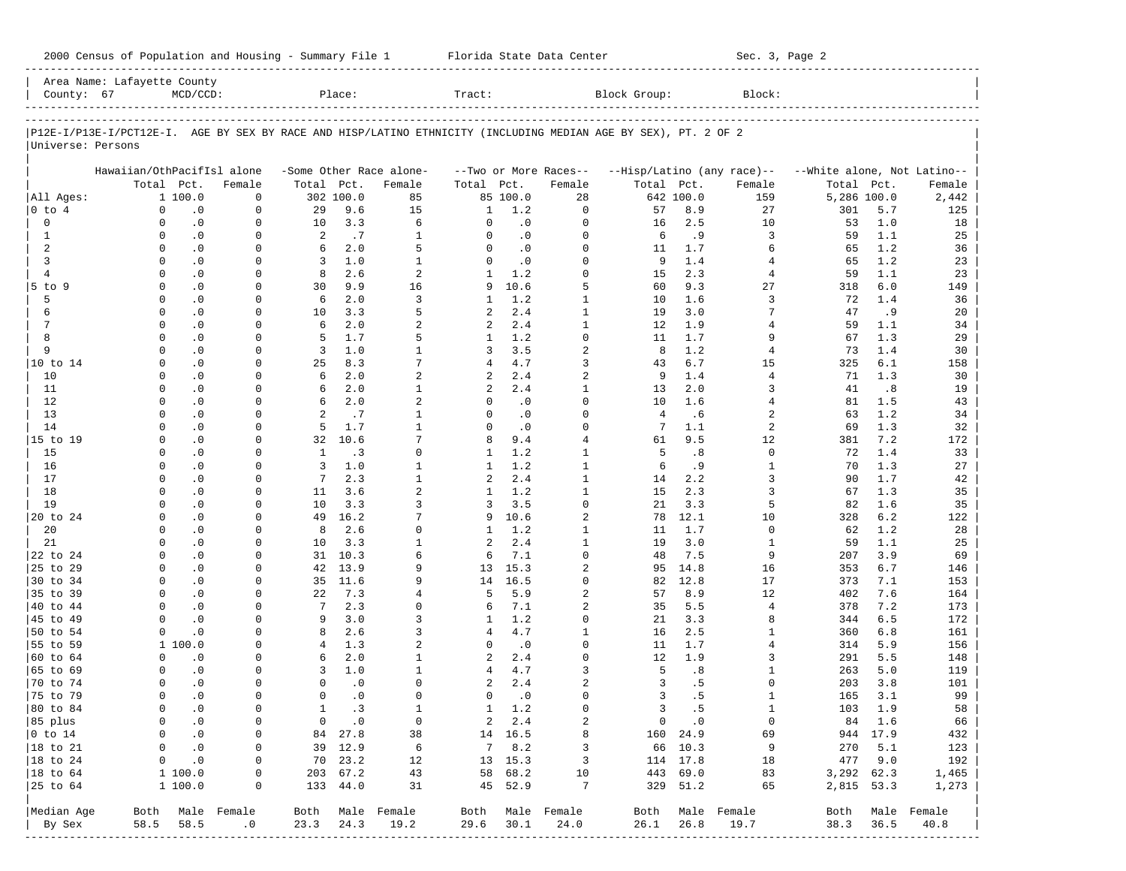| 2000 Census of Population and Housing - Summary File 1 |  | Florida State Data Center | Sec. 3, Page 2 |
|--------------------------------------------------------|--|---------------------------|----------------|
|--------------------------------------------------------|--|---------------------------|----------------|

|                        | Area Name: Lafayette County |               |                  |                |               |                         |              |           |                         |                                                                                                                |               |                            |                             |          |                  |
|------------------------|-----------------------------|---------------|------------------|----------------|---------------|-------------------------|--------------|-----------|-------------------------|----------------------------------------------------------------------------------------------------------------|---------------|----------------------------|-----------------------------|----------|------------------|
| County: 67             |                             | $MCD/CCD$ :   |                  |                | Place:        |                         | Tract:       |           |                         | Block Group:                                                                                                   |               | Block:                     |                             |          |                  |
|                        |                             |               |                  |                |               |                         |              |           |                         |                                                                                                                |               |                            |                             |          |                  |
| Universe: Persons      |                             |               |                  |                |               |                         |              |           |                         | P12E-I/P13E-I/PCT12E-I. AGE BY SEX BY RACE AND HISP/LATINO ETHNICITY (INCLUDING MEDIAN AGE BY SEX), PT. 2 OF 2 |               |                            |                             |          |                  |
|                        | Hawaiian/OthPacifIsl alone  |               |                  |                |               | -Some Other Race alone- |              |           | --Two or More Races--   |                                                                                                                |               | --Hisp/Latino (any race)-- | --White alone, Not Latino-- |          |                  |
|                        |                             | Total Pct.    | Female           | Total Pct.     |               | Female                  | Total Pct.   |           | Female                  | Total Pct.                                                                                                     |               | Female                     | Total                       | Pct.     | Female           |
| All Ages:              |                             | 1 100.0       | $\mathbf 0$      |                | 302 100.0     | 85                      |              | 85 100.0  | 28                      |                                                                                                                | 642 100.0     | 159                        | 5,286 100.0                 |          | 2,442            |
| $0$ to $4$             | $\Omega$                    | $\cdot$ 0     | $\Omega$         | 29             | 9.6           | 15                      | 1            | 1.2       | $\Omega$                | 57                                                                                                             | 8.9           | 27                         | 301                         | 5.7      | 125              |
| $\mathbf 0$            | $\Omega$                    | $\cdot$ 0     | $\mathbf 0$      | 10             | 3.3           | 6                       | $\Omega$     | $\cdot$ 0 | $\Omega$                | 16                                                                                                             | 2.5           | 10                         | 53                          | 1.0      | 18               |
| $\mathbf{1}$           | $\Omega$                    | $\cdot$ 0     | $\Omega$         | 2              | .7            | $\mathbf{1}$            | $\Omega$     | $\cdot$ 0 | $\Omega$                | 6                                                                                                              | .9            | 3                          | 59                          | 1.1      | 25               |
| 2                      | $\Omega$                    | $\cdot$ 0     | $\Omega$         | 6              | 2.0           | 5                       | $\Omega$     | $\cdot$ 0 | $\Omega$                | 11                                                                                                             | 1.7           | 6                          | 65                          | 1.2      | 36               |
| 3                      | $\Omega$                    | $\cdot$ 0     | $\Omega$         | 3              | 1.0           | $\mathbf{1}$            | $\Omega$     | $\cdot$ 0 | $\Omega$                | 9                                                                                                              | 1.4           | 4                          | 65                          | 1.2      | 23               |
| $\overline{4}$         | $\Omega$                    | $\cdot$ 0     | $\Omega$         | 8              | 2.6           | $\overline{a}$          | 1            | 1.2       | $\Omega$                | 15                                                                                                             | 2.3           | 4                          | 59                          | 1.1      | 23               |
| $5$ to $9$             | $\Omega$                    | $\cdot$ 0     | $\Omega$         | 30             | 9.9           | 16                      | 9            | 10.6      | 5                       | 60                                                                                                             | 9.3           | 27                         | 318                         | 6.0      | 149              |
| 5                      | $\Omega$                    | $\cdot$ 0     | $\Omega$         | 6              | 2.0           | 3                       | 1            | 1.2       | $\mathbf{1}$            | 10                                                                                                             | 1.6           | 3                          | 72                          | 1.4      | 36               |
| 6                      | $\Omega$                    | $\cdot$ 0     | $\Omega$         | 10             | 3.3           | 5                       | 2            | 2.4       | $\mathbf{1}$            | 19                                                                                                             | 3.0           | 7                          | 47                          | .9       | 20               |
| $\overline{7}$         | $\Omega$                    | $\cdot$ 0     | 0                | 6              | 2.0           | $\overline{a}$          | 2            | 2.4       | $\mathbf{1}$            | 12                                                                                                             | 1.9           | 4                          | 59                          | 1.1      | 34               |
| 8                      | $\Omega$                    | $\cdot$ 0     | $\Omega$         | 5              | 1.7           | 5                       | 1            | 1.2       | 0                       | 11                                                                                                             | 1.7           | 9                          | 67                          | 1.3      | 29               |
| 9                      | $\Omega$                    | $\cdot$ 0     | $\Omega$         | 3              | 1.0           | $\mathbf{1}$            | 3            | 3.5       | 2                       | 8                                                                                                              | 1.2           | 4                          | 73                          | 1.4      | 30               |
| 10 to 14               | $\Omega$                    | $\cdot$ 0     | $\Omega$         | 25             | 8.3           | 7                       | 4            | 4.7       | 3                       | 43                                                                                                             | 6.7           | 15                         | 325                         | 6.1      | 158              |
| 10                     | $\Omega$                    | $\cdot$ 0     | 0                | 6              | 2.0           | $\overline{a}$          | 2            | 2.4       | 2                       | 9                                                                                                              | 1.4           | $\overline{4}$             | 71                          | 1.3      | 30               |
| 11                     | $\Omega$                    | $\cdot$ 0     | $\Omega$         | 6              | 2.0           | $\mathbf{1}$            | 2            | 2.4       | $\mathbf{1}$            | 13                                                                                                             | 2.0           | 3                          | 41                          | .8       | 19               |
| 12                     | $\Omega$                    | $\cdot$ 0     | 0                | 6              | 2.0           | $\overline{a}$          | 0            | $\cdot$ 0 | $\Omega$                | 10                                                                                                             | 1.6           | 4                          | 81                          | 1.5      | 43               |
| 13                     | $\Omega$                    | $\cdot$ 0     | $\Omega$         | 2              | .7            | $\mathbf{1}$            | $\Omega$     | $\cdot$ 0 | $\Omega$                | 4                                                                                                              | .6            | 2                          | 63                          | 1.2      | 34               |
| 14                     | $\Omega$                    | $\cdot$ 0     | 0                | 5              | 1.7           | $\mathbf{1}$            | 0            | $\cdot$ 0 | $\Omega$                | 7                                                                                                              | 1.1           | $\overline{a}$             | 69                          | 1.3      | 32               |
| 15 to 19               | $\Omega$                    | $\cdot$ 0     | $\Omega$         | 32             | 10.6          | 7                       | 8            | 9.4       | $\overline{4}$          | 61                                                                                                             | 9.5           | 12                         | 381                         | 7.2      | 172              |
| 15                     | $\Omega$                    | $\cdot$ 0     | 0                | $\mathbf{1}$   | $\cdot$ 3     | $\Omega$                | 1            | 1.2       | $\mathbf{1}$            | 5                                                                                                              | .8            | $\mathbf 0$                | 72                          | 1.4      | 33               |
| 16                     | $\Omega$                    | $\cdot$ 0     | 0                | 3              | 1.0           | $\mathbf{1}$            | 1            | 1.2       | $\mathbf{1}$            | 6                                                                                                              | .9            | $\mathbf{1}$               | 70                          | 1.3      | 27               |
| 17                     | $\Omega$                    | $\cdot$ 0     | 0                | 7              | 2.3           | $\mathbf{1}$            | 2            | 2.4       | $\mathbf{1}$            | 14                                                                                                             | 2.2           | 3                          | 90                          | 1.7      | 42               |
| 18                     | $\Omega$                    | $\cdot$ 0     | $\Omega$         | 11             | 3.6           | $\overline{a}$          | 1            | 1.2       | $\mathbf{1}$            | 15                                                                                                             | 2.3           | 3                          | 67                          | 1.3      | 35               |
| 19                     | $\Omega$                    | $\cdot$ 0     | 0                | 10             | 3.3           | 3                       | 3            | 3.5       | $\Omega$                | 21                                                                                                             | 3.3           | 5                          | 82                          | 1.6      | 35               |
| 20 to 24               | $\Omega$                    | $\cdot$ 0     | <sup>0</sup>     | 49             | 16.2          | 7                       | 9            | 10.6      | 2                       | 78                                                                                                             | 12.1          | 10                         | 328                         | 6.2      | 122              |
| 20                     | $\Omega$                    | $\cdot$ 0     | 0                | 8              | 2.6           | $\Omega$                | 1            | 1.2       | $\mathbf{1}$            | 11                                                                                                             | 1.7           | $\mathbf 0$                | 62                          | 1.2      | 28               |
| 21                     | $\Omega$                    | $\cdot$ 0     | $\Omega$         | 10             | 3.3           | $\mathbf{1}$            | 2            | 2.4       | $\mathbf{1}$            | 19                                                                                                             | 3.0           | $\mathbf{1}$               | 59                          | 1.1      | 25               |
| 22 to 24               | $\Omega$                    | $\cdot$ 0     | 0                | 31             | 10.3          | 6                       | 6            | 7.1       | $\Omega$                | 48                                                                                                             | 7.5           | 9                          | 207                         | 3.9      | 69               |
| 25 to 29               | $\Omega$                    | $\cdot$ 0     | $\Omega$         | 42             | 13.9          | 9                       | 13           | 15.3      | 2                       | 95                                                                                                             | 14.8          | 16                         | 353                         | 6.7      | 146              |
| 30 to 34               | $\Omega$                    | $\cdot$ 0     | 0                | 35             | 11.6          | $\mathsf{Q}$            | 14           | 16.5      | $\Omega$                | 82                                                                                                             | 12.8          | 17                         | 373                         | 7.1      | 153              |
| 35 to 39               | $\Omega$                    | $\cdot$ 0     | $\Omega$         | 22             | 7.3           | 4                       | 5            | 5.9       | 2                       | 57                                                                                                             | 8.9           | 12                         | 402                         | 7.6      | 164              |
| 40 to 44               | $\Omega$                    | $\cdot$ 0     | $\Omega$         | 7              | 2.3           | $\Omega$                | 6            | 7.1       | 2                       | 35                                                                                                             | 5.5           | 4                          | 378                         | 7.2      | 173              |
| 45 to 49               | $\Omega$                    | $\cdot$ 0     | $\Omega$         | 9              | 3.0           | 3                       | 1            | 1.2       | $\Omega$                | 21                                                                                                             | 3.3           | 8                          | 344                         | 6.5      | 172              |
| 50 to 54               | $\Omega$                    | $\cdot$ 0     | $\Omega$         | 8              | 2.6           | 3                       | 4            | 4.7       | $\mathbf{1}$            | 16                                                                                                             | 2.5           | 1                          | 360                         | 6.8      | 161              |
| 55 to 59               |                             | 1 100.0       | $\Omega$         | $\overline{4}$ | 1.3           | $\overline{a}$          | $\Omega$     | $\cdot$ 0 | $\Omega$                | 11                                                                                                             | 1.7           | 4                          | 314                         | 5.9      | 156              |
| 60 to 64               | $\Omega$                    | $\cdot$ 0     | 0                | 6              | 2.0           | $\mathbf{1}$            | 2            | 2.4       | $\Omega$                | $12 \overline{ }$                                                                                              | 1.9           | 3                          | 291                         | 5.5      | 148              |
| 65 to 69               | $\Omega$                    | $\cdot$ 0     | $\Omega$         | 3              | 1.0           | $\mathbf{1}$            | 4            | 4.7       | 3                       | 5                                                                                                              | .8            | 1                          | 263                         | 5.0      | 119              |
| 70 to 74               | $\Omega$                    | $\cdot$ 0     | 0                | $\Omega$       | $\cdot$ 0     | $\Omega$                | 2            | 2.4       | $\overline{a}$          | 3                                                                                                              | .5            | $\Omega$                   | 203                         | 3.8      | 101              |
| 75 to 79               | $\Omega$                    | $\cdot$ 0     | $\Omega$         | $\Omega$       | $\cdot$ 0     | $\Omega$                | 0            | $\cdot$ 0 | $\Omega$                | 3                                                                                                              | .5            | $\mathbf{1}$               | 165                         | 3.1      | 99               |
| 80 to 84               | $\Omega$                    | $\cdot$ 0     | $\mathbf 0$      | $\mathbf{1}$   | . 3           | $\mathbf{1}$            | $\mathbf{1}$ | 1.2       | $\Omega$                | 3                                                                                                              | .5            | $\mathbf{1}$               | 103                         | 1.9      | 58               |
| 85 plus                |                             | $0 \qquad .0$ | $\circ$          |                | $0 \qquad .0$ | $\overline{0}$          |              | 2 2.4     | 2                       |                                                                                                                | $0 \qquad .0$ | $\overline{0}$             |                             | 84 1.6   | 66               |
| $ 0 \t\t \text{to} 14$ |                             | $0 \qquad .0$ | $\circ$          |                | 84 27.8       | 38                      |              | 14 16.5   | 8                       |                                                                                                                | 160 24.9      | 69                         |                             | 944 17.9 | 432              |
| 18 to 21               |                             | $0 \qquad .0$ | $\overline{0}$   |                | 39 12.9       | 6                       |              | 7 8.2     | 3                       |                                                                                                                | 66 10.3       | 9                          |                             | 270 5.1  | 123              |
| $ 18$ to $24$          |                             | $0 \qquad .0$ | $\circ$          |                | 70 23.2       | 12                      |              | 13 15.3   | $\overline{\mathbf{3}}$ |                                                                                                                | 114 17.8      | 18                         |                             | 477 9.0  | 192              |
| $ 18 \text{ to } 64$   |                             | 1 100.0       | 0                |                | 203 67.2      | 43                      |              | 58 68.2   | 10                      | 443 69.0                                                                                                       |               | 83                         | 3,292 62.3                  |          | 1,465            |
| 25 to 64               |                             | 1 100.0       | 0                |                | 133 44.0      | 31                      |              | 45 52.9   | 7                       |                                                                                                                | 329 51.2      | 65                         | 2,815 53.3                  |          | 1,273            |
| Median Age             |                             |               | Both Male Female |                |               | Both Male Female        |              |           | Both Male Female        |                                                                                                                |               | Both Male Female           |                             |          | Both Male Female |
| By Sex                 |                             | 58.5 58.5     | .0               | 23.3           | 24.3          | 19.2                    | 29.6 30.1    |           | 24.0                    | 26.1                                                                                                           | 26.8          | 19.7                       | 38.3 36.5                   |          | 40.8             |
|                        |                             |               |                  |                |               |                         |              |           |                         |                                                                                                                |               |                            |                             |          |                  |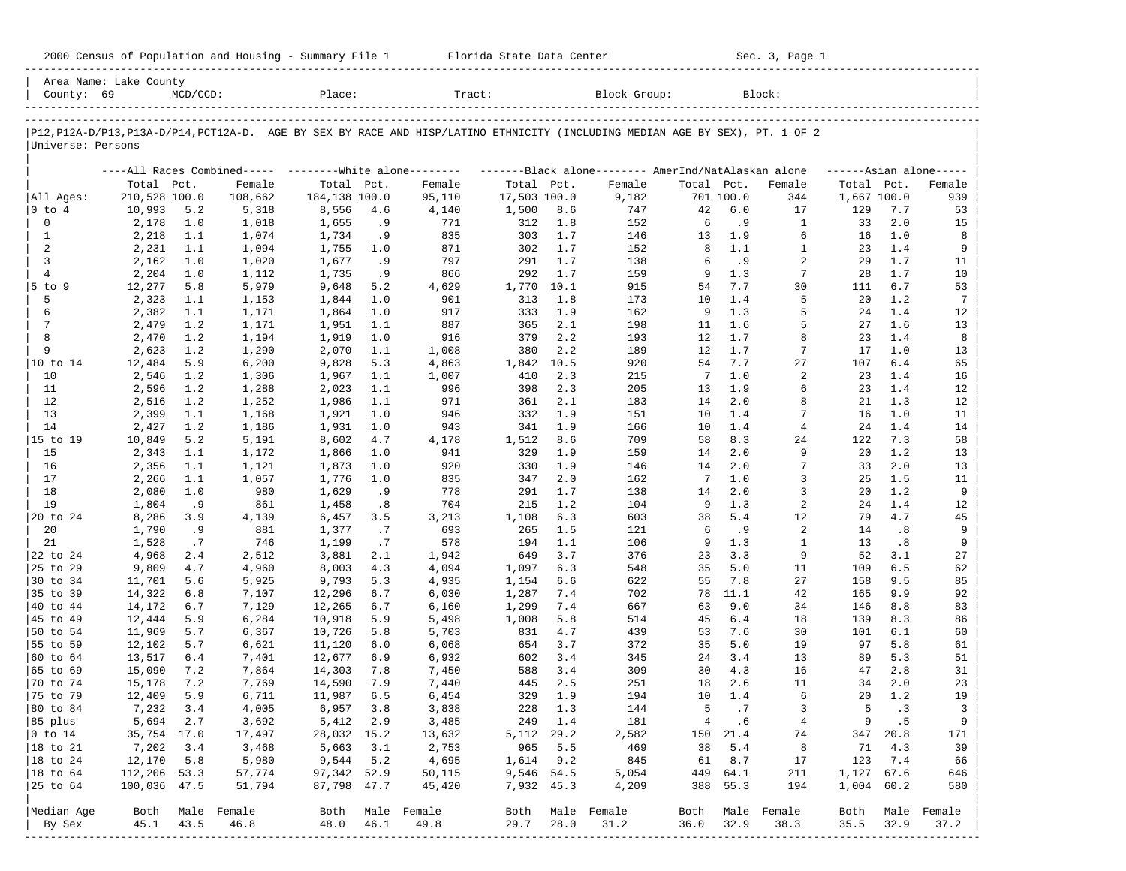| 2000 Census of Population and Housing - Summary File 1 |  | Florida State Data Center | Sec. 3, Page 1 |
|--------------------------------------------------------|--|---------------------------|----------------|
|--------------------------------------------------------|--|---------------------------|----------------|

| P12, P12A-D/P13, P13A-D/P14, PCT12A-D. AGE BY SEX BY RACE AND HISP/LATINO ETHNICITY (INCLUDING MEDIAN AGE BY SEX), PT. 1 OF 2<br>Universe: Persons |               |      |                  |               |      |                                                           |              |      |                                                    |                |           |                  |             |            |                      |
|----------------------------------------------------------------------------------------------------------------------------------------------------|---------------|------|------------------|---------------|------|-----------------------------------------------------------|--------------|------|----------------------------------------------------|----------------|-----------|------------------|-------------|------------|----------------------|
|                                                                                                                                                    |               |      |                  |               |      |                                                           |              |      |                                                    |                |           |                  |             |            |                      |
|                                                                                                                                                    |               |      |                  |               |      |                                                           |              |      |                                                    |                |           |                  |             |            |                      |
|                                                                                                                                                    |               |      |                  |               |      | ----All Races Combined----- --------- White alone-------- |              |      | -------Black alone------- AmerInd/NatAlaskan alone |                |           |                  |             |            | $----Asian alone---$ |
|                                                                                                                                                    | Total Pct.    |      | Female           | Total Pct.    |      | Female                                                    | Total Pct.   |      | Female                                             | Total Pct.     |           | Female           | Total Pct.  |            | Female               |
| All Ages:                                                                                                                                          | 210,528 100.0 |      | 108,662          | 184,138 100.0 |      | 95,110                                                    | 17,503 100.0 |      | 9,182                                              |                | 701 100.0 | 344              | 1,667 100.0 |            | 939                  |
| $ 0 \t{to} 4$                                                                                                                                      | 10,993        | 5.2  | 5,318            | 8,556         | 4.6  | 4,140                                                     | 1,500        | 8.6  | 747                                                | 42             | 6.0       | 17               | 129         | 7.7        | 53                   |
| $\mathbf 0$                                                                                                                                        | 2,178         | 1.0  | 1,018            | 1,655         | .9   | 771                                                       | 312          | 1.8  | 152                                                | 6              | . 9       | $\mathbf{1}$     | 33          | 2.0        | 15                   |
| 1                                                                                                                                                  | 2,218         | 1.1  | 1,074            | 1,734         | .9   | 835                                                       | 303          | 1.7  | 146                                                | 13             | 1.9       | 6                | 16          | 1.0        | 8                    |
| 2                                                                                                                                                  | 2,231         | 1.1  | 1,094            | 1,755         | 1.0  | 871                                                       | 302          | 1.7  | 152                                                | 8              | 1.1       | $\mathbf{1}$     | 23          | 1.4        | 9                    |
| 3                                                                                                                                                  | 2,162         | 1.0  | 1,020            | 1,677         | .9   | 797                                                       | 291          | 1.7  | 138                                                | 6              | .9        | 2                | 29          | 1.7        | 11                   |
| $\overline{4}$                                                                                                                                     | 2,204         | 1.0  | 1,112            | 1,735         | .9   | 866                                                       | 292          | 1.7  | 159                                                | 9              | 1.3       | $7\phantom{.0}$  | 28          | 1.7        | 10                   |
| $5$ to $9$                                                                                                                                         | 12,277        | 5.8  | 5,979            | 9,648         | 5.2  | 4,629                                                     | 1,770        | 10.1 | 915                                                | 54             | 7.7       | 30               | 111         | 6.7        | 53                   |
| 5                                                                                                                                                  | 2,323         | 1.1  | 1,153            | 1,844         | 1.0  | 901                                                       | 313          | 1.8  | 173                                                | 10             | 1.4       | 5                | 20          | 1.2        | $7\phantom{.0}$      |
| 6                                                                                                                                                  | 2,382         | 1.1  | 1,171            | 1,864         | 1.0  | 917                                                       | 333          | 1.9  | 162                                                | 9              | 1.3       | 5                | 24          | 1.4        | 12                   |
| 7                                                                                                                                                  | 2,479         | 1.2  | 1,171            | 1,951         | 1.1  | 887                                                       | 365          | 2.1  | 198                                                | 11             | 1.6       | 5                | 27          | 1.6        | 13                   |
| 8                                                                                                                                                  | 2,470         | 1.2  | 1,194            | 1,919         | 1.0  | 916                                                       | 379          | 2.2  | 193                                                | 12             | 1.7       | 8                | 23          | 1.4        | 8                    |
| 9                                                                                                                                                  | 2,623         | 1.2  | 1,290            | 2,070         | 1.1  | 1,008                                                     | 380          | 2.2  | 189                                                | 12             | 1.7       | 7                | 17          | 1.0        | 13                   |
| 10 to 14                                                                                                                                           | 12,484        | 5.9  | 6,200            | 9,828         | 5.3  | 4,863                                                     | 1,842        | 10.5 | 920                                                | 54             | 7.7       | 27               | 107         | 6.4        | 65                   |
| 10                                                                                                                                                 | 2,546         | 1.2  | 1,306            | 1,967         | 1.1  | 1,007                                                     | 410          | 2.3  | 215                                                | 7              | 1.0       | 2                | 23          | 1.4        | 16                   |
| 11                                                                                                                                                 | 2,596         | 1.2  | 1,288            | 2,023         | 1.1  | 996                                                       | 398          | 2.3  | 205                                                | 13             | 1.9       | 6                | 23          | 1.4        | 12                   |
| 12                                                                                                                                                 | 2,516         | 1.2  | 1,252            | 1,986         | 1.1  | 971                                                       | 361          | 2.1  | 183                                                | 14             | 2.0       | 8                | 21          | 1.3        | 12                   |
| 13                                                                                                                                                 | 2,399         | 1.1  | 1,168            | 1,921         | 1.0  | 946                                                       | 332          | 1.9  | 151                                                | 10             | 1.4       | 7                | 16          | 1.0        | 11                   |
| 14                                                                                                                                                 | 2,427         | 1.2  | 1,186            | 1,931         | 1.0  | 943                                                       | 341          | 1.9  | 166                                                | 10             | 1.4       | $\overline{4}$   | 24          | 1.4        | 14                   |
| 15 to 19                                                                                                                                           | 10,849        | 5.2  | 5,191            | 8,602         | 4.7  | 4,178                                                     | 1,512        | 8.6  | 709                                                | 58             | 8.3       | 24               | 122         | 7.3        | 58                   |
| 15                                                                                                                                                 | 2,343         | 1.1  | 1,172            | 1,866         | 1.0  | 941                                                       | 329          | 1.9  | 159                                                | 14             | 2.0       | 9                | 20          | 1.2        | 13                   |
| 16                                                                                                                                                 | 2,356         | 1.1  | 1,121            | 1,873         | 1.0  | 920                                                       | 330          | 1.9  | 146                                                | 14             | 2.0       | 7                | 33          | 2.0        | 13                   |
| 17                                                                                                                                                 | 2,266         | 1.1  | 1,057            | 1,776         | 1.0  | 835                                                       | 347          | 2.0  | 162                                                | 7              | 1.0       | 3                | 25          | 1.5        | 11                   |
| 18                                                                                                                                                 | 2,080         | 1.0  | 980              | 1,629         | .9   | 778                                                       | 291          | 1.7  | 138                                                | 14             | 2.0       | 3                | 20          | 1.2        | 9                    |
| 19                                                                                                                                                 | 1,804         | . 9  | 861              | 1,458         | .8   | 704                                                       | 215          | 1.2  | 104                                                | 9              | 1.3       | 2                | 24          | 1.4        | 12                   |
| 20 to 24                                                                                                                                           | 8,286         | 3.9  | 4,139            | 6,457         | 3.5  | 3,213                                                     | 1,108        | 6.3  | 603                                                | 38             | 5.4       | 12               | 79          | 4.7        | 45                   |
| 20                                                                                                                                                 | 1,790         | . 9  | 881              | 1,377         | .7   | 693                                                       | 265          | 1.5  | 121                                                | 6              | . 9       | 2                | 14          | .8         | 9                    |
| 21                                                                                                                                                 | 1,528         | .7   | 746              | 1,199         | .7   | 578                                                       | 194          | 1.1  | 106                                                | 9              | 1.3       | $\mathbf{1}$     | 13          | .8         | 9                    |
| 22 to 24                                                                                                                                           | 4,968         | 2.4  | 2,512            | 3,881         | 2.1  | 1,942                                                     | 649          | 3.7  | 376                                                | 23             | 3.3       | 9                | 52          | 3.1        | 27                   |
| 25 to 29                                                                                                                                           | 9,809         | 4.7  | 4,960            | 8,003         | 4.3  | 4,094                                                     | 1,097        | 6.3  | 548                                                | 35             | 5.0       | 11               | 109         | 6.5        | 62                   |
| 30 to 34                                                                                                                                           | 11,701        | 5.6  | 5,925            | 9,793         | 5.3  | 4,935                                                     | 1,154        | 6.6  | 622                                                | 55             | 7.8       | 27               | 158         | 9.5        | 85                   |
| 35 to 39                                                                                                                                           | 14,322        | 6.8  | 7,107            | 12,296        | 6.7  | 6,030                                                     | 1,287        | 7.4  | 702                                                | 78             | 11.1      | 42               | 165         | 9.9        | 92                   |
| 40 to 44                                                                                                                                           | 14,172        | 6.7  | 7,129            | 12,265        | 6.7  | 6,160                                                     | 1,299        | 7.4  | 667                                                | 63             | 9.0       | 34               | 146         | 8.8        | 83                   |
| 45 to 49                                                                                                                                           | 12,444        | 5.9  | 6,284            | 10,918        | 5.9  | 5,498                                                     | 1,008        | 5.8  | 514                                                | 45             | 6.4       | 18               | 139         | 8.3        | 86                   |
| 50 to 54                                                                                                                                           | 11,969        | 5.7  | 6,367            | 10,726        | 5.8  | 5,703                                                     | 831          | 4.7  | 439                                                | 53             | 7.6       | 30               | 101         | 6.1        | 60                   |
| 55 to 59                                                                                                                                           | 12,102        | 5.7  | 6,621            | 11,120        | 6.0  | 6,068                                                     | 654          | 3.7  | 372                                                | 35             | 5.0       | 19               | 97          | 5.8        | 61                   |
| 60 to 64                                                                                                                                           | 13,517        | 6.4  | 7,401            | 12,677        | 6.9  | 6,932                                                     | 602          | 3.4  | 345                                                | 24             | 3.4       | 13               | 89          | 5.3        | 51                   |
| 65 to 69                                                                                                                                           | 15,090        | 7.2  | 7,864            | 14,303        | 7.8  | 7,450                                                     | 588          | 3.4  | 309                                                | 30             | 4.3       | 16               | 47          | 2.8        | 31                   |
| 70 to 74                                                                                                                                           | 15,178        | 7.2  | 7,769            | 14,590        | 7.9  | 7,440                                                     | 445          | 2.5  | 251                                                | 18             | 2.6       | 11               | 34          | 2.0        | 23                   |
| 75 to 79                                                                                                                                           | 12,409        | 5.9  | 6,711            | 11,987        | 6.5  | 6,454                                                     | 329          | 1.9  | 194                                                | 10             | 1.4       | 6                | 20          | 1.2        | 19                   |
| 80 to 84                                                                                                                                           | 7,232         | 3.4  | 4,005            | 6,957         | 3.8  | 3,838                                                     | 228          | 1.3  | 144                                                | 5              | .7        | 3                | 5           | . 3        | 3                    |
| 85 plus                                                                                                                                            | 5,694 2.7     |      | 3,692            | 5,412 2.9     |      | 3,485                                                     | 249 1.4      |      | 181                                                | $\overline{4}$ | . 6       | $\overline{4}$   | 9           | .5         | 9                    |
| $ 0 \t{to} 14$                                                                                                                                     | 35,754 17.0   |      | 17,497           | 28,032 15.2   |      | 13,632                                                    | 5, 112 29.2  |      | 2,582                                              |                | 150 21.4  | 74               |             | 347 20.8   | 171                  |
| 18 to 21                                                                                                                                           | 7,202         | 3.4  | 3,468            | 5,663         | 3.1  | 2,753                                                     | 965          | 5.5  | 469                                                | 38             | 5.4       | 8                | 71          | 4.3        | 39                   |
| 18 to 24                                                                                                                                           | 12,170        | 5.8  | 5,980            | 9,544 5.2     |      | 4,695                                                     | 1,614        | 9.2  | 845                                                | 61             | 8.7       | 17               | 123         | 7.4        | 66                   |
| 18 to 64                                                                                                                                           | 112,206 53.3  |      | 57,774           | 97,342 52.9   |      | 50,115                                                    | 9,546 54.5   |      | 5,054                                              | 449            | 64.1      | 211              |             | 1,127 67.6 | 646                  |
| 25 to 64                                                                                                                                           | 100,036 47.5  |      | 51,794           | 87,798 47.7   |      | 45,420                                                    | 7,932 45.3   |      | 4,209                                              | 388            | 55.3      | 194              | 1,004 60.2  |            | 580                  |
|                                                                                                                                                    |               |      |                  |               |      |                                                           |              |      |                                                    |                |           |                  |             |            |                      |
| Median Age                                                                                                                                         |               |      | Both Male Female |               |      | Both Male Female                                          |              |      | Both Male Female                                   |                |           | Both Male Female | Both        |            | Male Female          |
| By Sex                                                                                                                                             | 45.1          | 43.5 | 46.8             | 48.0          | 46.1 | 49.8                                                      | 29.7         | 28.0 | 31.2                                               | 36.0           | 32.9      | 38.3             | 35.5        | 32.9       | 37.2                 |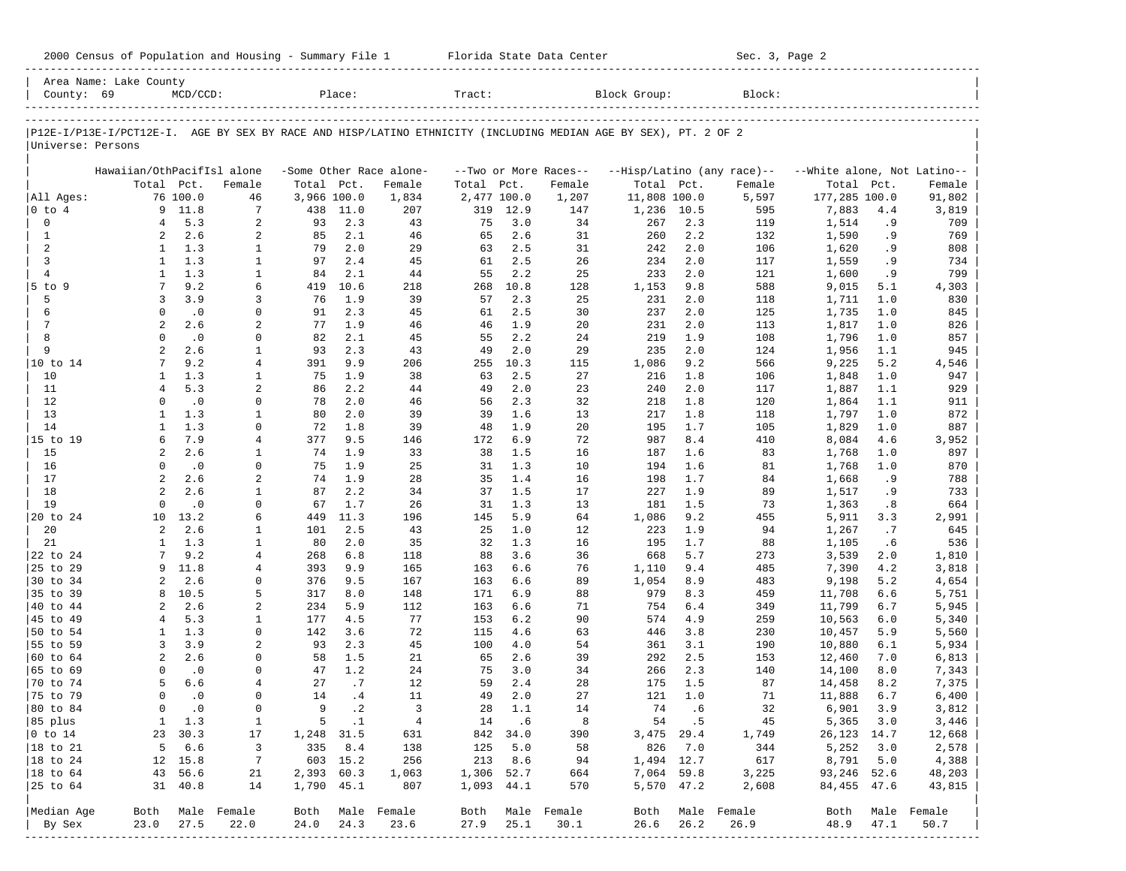| County: 69             | Area Name: Lake County     | $MCD/CCD$ :            |                  |             | Place:     |                         | Tract:      |            |                       | Block Group:                                                                                                   |            | Block:                     |                             |            |                  |
|------------------------|----------------------------|------------------------|------------------|-------------|------------|-------------------------|-------------|------------|-----------------------|----------------------------------------------------------------------------------------------------------------|------------|----------------------------|-----------------------------|------------|------------------|
|                        |                            |                        |                  |             |            |                         |             |            |                       |                                                                                                                |            |                            |                             |            |                  |
|                        |                            |                        |                  |             |            |                         |             |            |                       | P12E-I/P13E-I/PCT12E-I. AGE BY SEX BY RACE AND HISP/LATINO ETHNICITY (INCLUDING MEDIAN AGE BY SEX), PT. 2 OF 2 |            |                            |                             |            |                  |
| Universe: Persons      |                            |                        |                  |             |            |                         |             |            |                       |                                                                                                                |            |                            |                             |            |                  |
|                        |                            |                        |                  |             |            |                         |             |            |                       |                                                                                                                |            |                            |                             |            |                  |
|                        | Hawaiian/OthPacifIsl alone |                        |                  |             |            | -Some Other Race alone- |             |            | --Two or More Races-- |                                                                                                                |            | --Hisp/Latino (any race)-- | --White alone, Not Latino-- |            |                  |
|                        | Total Pct.                 |                        | Female           | Total Pct.  |            | Female                  | Total       | Pct.       | Female                | Total Pct.                                                                                                     |            | Female                     | Total                       | Pct.       | Female           |
| All Ages:              |                            | 76 100.0               | 46               | 3,966 100.0 |            | 1,834                   | 2,477 100.0 |            | 1,207                 | 11,808 100.0                                                                                                   |            | 5,597                      | 177,285 100.0               |            | 91,802           |
| 0 to 4                 |                            | 9 11.8<br>5.3          | 7                | 438         | 11.0       | 207                     | 319         | 12.9       | 147                   | 1,236                                                                                                          | 10.5       | 595                        | 7,883                       | 4.4        | 3,819            |
| 0<br>$\mathbf{1}$      | $\overline{4}$<br>2        | 2.6                    | 2<br>2           | 93<br>85    | 2.3<br>2.1 | 43<br>46                | 75<br>65    | 3.0<br>2.6 | 34<br>31              | 267<br>260                                                                                                     | 2.3<br>2.2 | 119<br>132                 | 1,514<br>1,590              | . 9<br>. 9 | 709<br>769       |
| 2                      | 1                          | 1.3                    | 1                | 79          | 2.0        | 29                      | 63          | 2.5        | 31                    | 242                                                                                                            | 2.0        | 106                        | 1,620                       | . 9        | 808              |
| 3                      | 1                          | 1.3                    | $\mathbf{1}$     | 97          | 2.4        | 45                      | 61          | 2.5        | 26                    | 234                                                                                                            | 2.0        | 117                        | 1,559                       | . 9        | 734              |
| $\overline{4}$         | $\mathbf{1}$               | 1.3                    | 1                | 84          | 2.1        | 44                      | 55          | 2.2        | 25                    | 233                                                                                                            | 2.0        | 121                        | 1,600                       | . 9        | 799              |
| $5$ to $9$             | 7                          | 9.2                    | 6                | 419         | 10.6       | 218                     | 268         | 10.8       | 128                   | 1,153                                                                                                          | 9.8        | 588                        | 9,015                       | 5.1        | 4,303            |
| 5                      | 3                          | 3.9                    | 3                | 76          | 1.9        | 39                      | 57          | 2.3        | 25                    | 231                                                                                                            | 2.0        | 118                        | 1,711                       | 1.0        | 830              |
| 6                      | $\Omega$                   | $\cdot$ 0              | 0                | 91          | 2.3        | 45                      | 61          | 2.5        | 30                    | 237                                                                                                            | 2.0        | 125                        | 1,735                       | 1.0        | 845              |
| $\overline{7}$         | $\overline{a}$             | 2.6                    | 2                | 77          | 1.9        | 46                      | 46          | 1.9        | 20                    | 231                                                                                                            | 2.0        | 113                        | 1,817                       | 1.0        | 826              |
| 8                      | $\Omega$                   | $\cdot$ 0              | 0                | 82          | 2.1        | 45                      | 55          | 2.2        | 24                    | 219                                                                                                            | 1.9        | 108                        | 1,796                       | 1.0        | 857              |
| 9                      | $\overline{a}$             | 2.6                    | $\mathbf{1}$     | 93          | 2.3        | 43                      | 49          | 2.0        | 29                    | 235                                                                                                            | 2.0        | 124                        | 1,956                       | 1.1        | 945              |
| 10 to 14               | 7                          | 9.2                    | $\overline{4}$   | 391         | 9.9        | 206                     | 255         | 10.3       | 115                   | 1,086                                                                                                          | 9.2        | 566                        | 9,225                       | 5.2        | 4,546            |
| 10                     | $\mathbf{1}$               | 1.3                    | 1                | 75          | 1.9        | 38                      | 63          | 2.5        | 27                    | 216                                                                                                            | 1.8        | 106                        | 1,848                       | 1.0        | 947              |
| 11                     | 4                          | 5.3                    | 2                | 86          | 2.2        | 44                      | 49          | 2.0        | 23                    | 240                                                                                                            | 2.0        | 117                        | 1,887                       | 1.1        | 929              |
| 12                     | $\Omega$                   | $\cdot$ 0              | 0                | 78          | 2.0        | 46                      | 56          | 2.3        | 32                    | 218                                                                                                            | 1.8        | 120                        | 1,864                       | 1.1        | 911              |
| 13                     | 1                          | 1.3                    | 1                | 80          | 2.0        | 39                      | 39          | 1.6        | 13                    | 217                                                                                                            | 1.8        | 118                        | 1,797                       | 1.0        | 872              |
| 14                     | 1                          | 1.3                    | 0                | 72          | 1.8        | 39                      | 48          | 1.9        | 20                    | 195                                                                                                            | 1.7        | 105                        | 1,829                       | 1.0        | 887              |
| 15 to 19               | 6                          | 7.9<br>2.6             | 4                | 377         | 9.5        | 146                     | 172         | 6.9<br>1.5 | 72                    | 987                                                                                                            | 8.4        | 410                        | 8,084                       | 4.6        | 3,952            |
| 15<br>16               | 2<br>$\Omega$              | .0                     | 1<br>0           | 74<br>75    | 1.9<br>1.9 | 33<br>25                | 38<br>31    | 1.3        | 16<br>10              | 187<br>194                                                                                                     | 1.6<br>1.6 | 83<br>81                   | 1,768<br>1,768              | 1.0<br>1.0 | 897<br>870       |
| 17                     | $\overline{a}$             | 2.6                    | 2                | 74          | 1.9        | 28                      | 35          | 1.4        | 16                    | 198                                                                                                            | 1.7        | 84                         | 1,668                       | . 9        | 788              |
| 18                     | 2                          | 2.6                    | 1                | 87          | 2.2        | 34                      | 37          | 1.5        | 17                    | 227                                                                                                            | 1.9        | 89                         | 1,517                       | . 9        | 733              |
| 19                     | $\Omega$                   | $\cdot$ 0              | 0                | 67          | 1.7        | 26                      | 31          | 1.3        | 13                    | 181                                                                                                            | 1.5        | 73                         | 1,363                       | .8         | 664              |
| 20 to 24               | 10                         | 13.2                   | 6                | 449         | 11.3       | 196                     | 145         | 5.9        | 64                    | 1,086                                                                                                          | 9.2        | 455                        | 5,911                       | 3.3        | 2,991            |
| 20                     | 2                          | 2.6                    | 1                | 101         | 2.5        | 43                      | 25          | 1.0        | 12                    | 223                                                                                                            | 1.9        | 94                         | 1,267                       | .7         | 645              |
| 21                     | 1                          | 1.3                    | $\mathbf{1}$     | 80          | 2.0        | 35                      | 32          | 1.3        | 16                    | 195                                                                                                            | 1.7        | 88                         | 1,105                       | .6         | 536              |
| 22 to 24               | 7                          | 9.2                    | 4                | 268         | $6.8$      | 118                     | 88          | 3.6        | 36                    | 668                                                                                                            | 5.7        | 273                        | 3,539                       | 2.0        | 1,810            |
| 25 to 29               | 9                          | 11.8                   | 4                | 393         | 9.9        | 165                     | 163         | 6.6        | 76                    | 1,110                                                                                                          | 9.4        | 485                        | 7,390                       | 4.2        | 3,818            |
| 30 to 34               | 2                          | 2.6                    | 0                | 376         | 9.5        | 167                     | 163         | 6.6        | 89                    | 1,054                                                                                                          | 8.9        | 483                        | 9,198                       | 5.2        | 4,654            |
| 35 to 39               | 8                          | 10.5                   | 5                | 317         | 8.0        | 148                     | 171         | 6.9        | 88                    | 979                                                                                                            | 8.3        | 459                        | 11,708                      | 6.6        | 5,751            |
| 40 to 44               | 2                          | 2.6                    | 2                | 234         | 5.9        | 112                     | 163         | 6.6        | 71                    | 754                                                                                                            | 6.4        | 349                        | 11,799                      | 6.7        | 5,945            |
| 45 to 49               | 4                          | 5.3                    | 1                | 177         | 4.5        | 77                      | 153         | 6.2        | 90                    | 574                                                                                                            | 4.9        | 259                        | 10,563                      | 6.0        | 5,340            |
| 50 to 54               | 1                          | 1.3                    | 0                | 142         | 3.6        | 72                      | 115         | 4.6        | 63                    | 446                                                                                                            | 3.8        | 230                        | 10,457                      | 5.9        | 5,560            |
| 55 to 59               | 3                          | 3.9                    | 2                | 93          | 2.3        | 45                      | 100         | 4.0        | 54                    | 361                                                                                                            | 3.1        | 190                        | 10,880                      | 6.1        | 5,934            |
| 60 to 64               | $\overline{a}$             | 2.6                    | 0                | 58          | 1.5        | 21                      | 65          | 2.6        | 39                    | 292                                                                                                            | 2.5        | 153                        | 12,460                      | 7.0        | 6,813            |
| 65 to 69               | $\Omega$                   | $\cdot$ 0              | $\Omega$         | 47          | 1.2        | 24                      | 75          | 3.0        | 34                    | 266                                                                                                            | 2.3        | 140                        | 14,100                      | 8.0        | 7,343            |
| 70 to 74               | 5<br>$\Omega$              | 6.6                    | 4<br>$\Omega$    | 27<br>14    | .7<br>.4   | 12<br>11                | 59<br>49    | 2.4<br>2.0 | 28<br>27              | 175<br>121                                                                                                     | 1.5<br>1.0 | 87<br>71                   | 14,458                      | 8.2<br>6.7 | 7,375            |
| 75 to 79<br>80 to 84   | $\Omega$                   | $\cdot$ 0<br>$\cdot$ 0 | $\mathbf 0$      | 9           | $\cdot$ 2  | $\overline{3}$          | 28          | 1.1        | 14                    | 74                                                                                                             | .6         | 32                         | 11,888<br>6,901             | 3.9        | 6,400<br>3,812   |
| 85 plus                |                            | 1 1.3                  | 1                |             | 5 .1       | $\frac{4}{3}$           |             | 14 .6      | 8                     |                                                                                                                | 54.5       | 45                         | 5,365 3.0                   |            | 3,446            |
| $ 0 \t\t \text{to} 14$ |                            | 23 30.3                | 17               | 1,248 31.5  |            | 631                     |             | 842 34.0   | 390                   | 3,475 29.4                                                                                                     |            | 1,749                      | 26, 123 14.7                |            | 12,668           |
| 18 to 21               |                            | 5 6.6                  | 3                |             | 335 8.4    | 138                     | 125         | 5.0        | 58                    | 826                                                                                                            | 7.0        | 344                        | 5,252                       | 3.0        | 2,578            |
| 18 to 24               |                            | 12 15.8                | 7                |             | 603 15.2   | 256                     | 213         | 8.6        | 94                    | 1,494 12.7                                                                                                     |            | 617                        | 8,791 5.0                   |            | 4,388            |
| $ 18$ to $64$          |                            | 43 56.6                | 21               | 2,393 60.3  |            | 1,063                   | 1,306 52.7  |            | 664                   | 7,064 59.8                                                                                                     |            | 3,225                      | 93,246 52.6                 |            | 48,203           |
| 25 to 64               |                            | 31 40.8                | 14               | 1,790 45.1  |            | 807                     | 1,093 44.1  |            | 570                   | 5,570 47.2                                                                                                     |            | 2,608                      | 84,455 47.6                 |            | 43,815           |
|                        |                            |                        |                  |             |            |                         |             |            |                       |                                                                                                                |            |                            |                             |            |                  |
| Median Age             |                            |                        | Both Male Female |             |            | Both Male Female        |             |            | Both Male Female      |                                                                                                                |            | Both Male Female           |                             |            | Both Male Female |
| By Sex                 | 23.0                       | 27.5                   | 22.0             | 24.0        | 24.3       | 23.6                    | 27.9        | 25.1       | 30.1                  | 26.6                                                                                                           | 26.2       | 26.9                       | 48.9                        | 47.1       | 50.7             |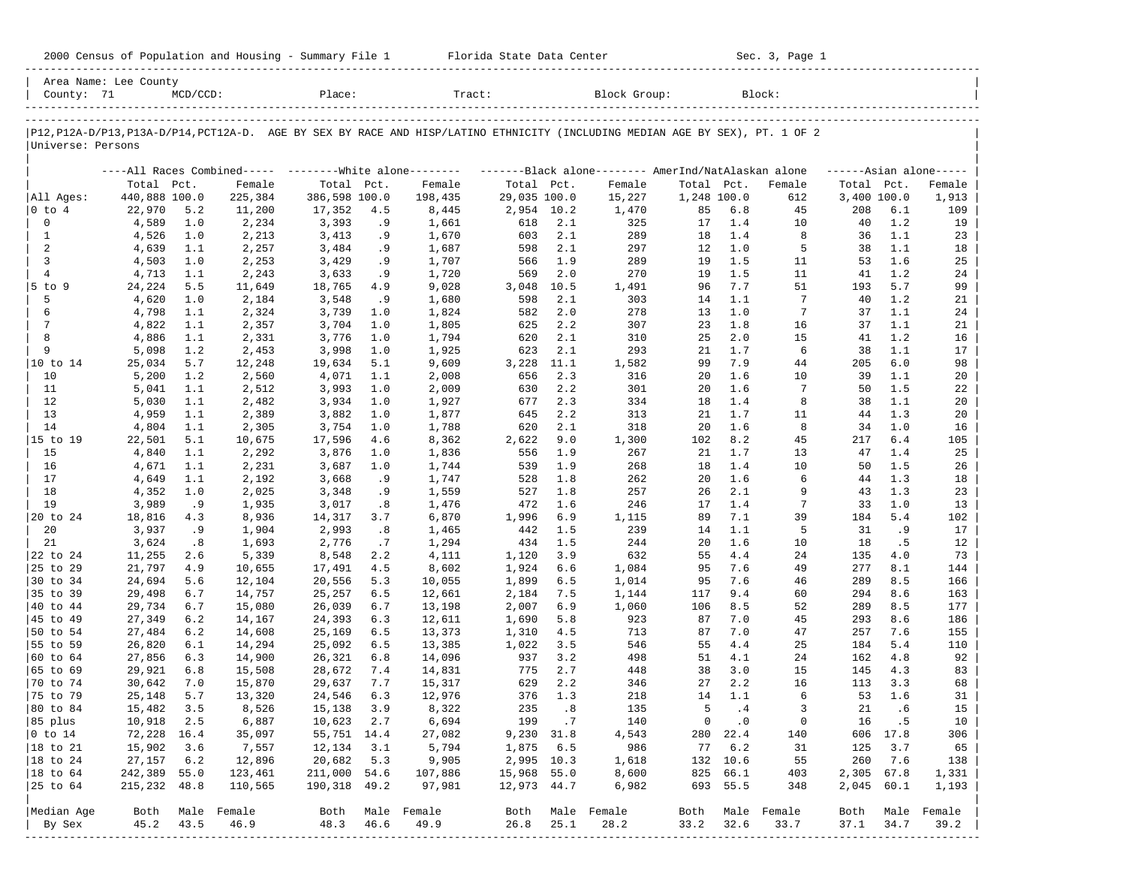| 2000 Census of Population and Housing - Summary File 1 |  | Florida State Data Center | Sec. 3, Page 1 |
|--------------------------------------------------------|--|---------------------------|----------------|
|--------------------------------------------------------|--|---------------------------|----------------|

| P12, P12A-D/P13, P13A-D/P14, PCT12A-D. AGE BY SEX BY RACE AND HISP/LATINO ETHNICITY (INCLUDING MEDIAN AGE BY SEX), PT. 1 OF 2<br>Universe: Persons<br>All Ages:<br>$ 0 \t{to} 4$<br>$\mathbf 0$<br>$\mathbf{1}$<br>2<br>3<br>$\overline{4}$<br>$5$ to $9$<br>5<br>6<br>$7\phantom{.0}$<br>8 | Total Pct.<br>440,888 100.0<br>22,970<br>4,589<br>4,526<br>4,639<br>4,503<br>4,713<br>24,224<br>4,620<br>4,798<br>4,822 | 5.2<br>1.0<br>1.0<br>1.1<br>1.0<br>1.1<br>5.5<br>1.0 | ----All Races Combined----- -------- White alone--------<br>Female<br>225,384<br>11,200<br>2,234<br>2,213<br>2,257<br>2,253<br>2,243<br>11,649 | Total Pct.<br>386,598 100.0<br>17,352<br>3,393<br>3,413<br>3,484<br>3,429<br>3,633 | 4.5<br>. 9<br>. 9<br>.9<br>. 9 | Female<br>198,435<br>8,445<br>1,661<br>1,670 | Total Pct.<br>29,035 100.0<br>2,954 10.2<br>618 |        | -------Black alone-------- AmerInd/NatAlaskan alone<br>Female<br>15,227 | Total Pct.<br>1,248 100.0 |           | Female<br>612    | $---Asian alone---$<br>Total Pct.<br>3,400 100.0 |          | Female<br>1,913 |
|---------------------------------------------------------------------------------------------------------------------------------------------------------------------------------------------------------------------------------------------------------------------------------------------|-------------------------------------------------------------------------------------------------------------------------|------------------------------------------------------|------------------------------------------------------------------------------------------------------------------------------------------------|------------------------------------------------------------------------------------|--------------------------------|----------------------------------------------|-------------------------------------------------|--------|-------------------------------------------------------------------------|---------------------------|-----------|------------------|--------------------------------------------------|----------|-----------------|
|                                                                                                                                                                                                                                                                                             |                                                                                                                         |                                                      |                                                                                                                                                |                                                                                    |                                |                                              |                                                 |        |                                                                         |                           |           |                  |                                                  |          |                 |
|                                                                                                                                                                                                                                                                                             |                                                                                                                         |                                                      |                                                                                                                                                |                                                                                    |                                |                                              |                                                 |        |                                                                         |                           |           |                  |                                                  |          |                 |
|                                                                                                                                                                                                                                                                                             |                                                                                                                         |                                                      |                                                                                                                                                |                                                                                    |                                |                                              |                                                 |        |                                                                         |                           |           |                  |                                                  |          |                 |
|                                                                                                                                                                                                                                                                                             |                                                                                                                         |                                                      |                                                                                                                                                |                                                                                    |                                |                                              |                                                 |        |                                                                         |                           |           |                  |                                                  |          |                 |
|                                                                                                                                                                                                                                                                                             |                                                                                                                         |                                                      |                                                                                                                                                |                                                                                    |                                |                                              |                                                 |        |                                                                         |                           |           |                  |                                                  |          |                 |
|                                                                                                                                                                                                                                                                                             |                                                                                                                         |                                                      |                                                                                                                                                |                                                                                    |                                |                                              |                                                 |        | 1,470                                                                   | 85                        | 6.8       | 45               | 208                                              | 6.1      | 109             |
|                                                                                                                                                                                                                                                                                             |                                                                                                                         |                                                      |                                                                                                                                                |                                                                                    |                                |                                              |                                                 | 2.1    | 325                                                                     | 17                        | 1.4       | 10               | 40                                               | 1.2      | 19              |
|                                                                                                                                                                                                                                                                                             |                                                                                                                         |                                                      |                                                                                                                                                |                                                                                    |                                |                                              | 603                                             | 2.1    | 289                                                                     | 18                        | 1.4       | 8                | 36                                               | 1.1      | 23              |
|                                                                                                                                                                                                                                                                                             |                                                                                                                         |                                                      |                                                                                                                                                |                                                                                    |                                | 1,687                                        | 598                                             | 2.1    | 297                                                                     | 12                        | 1.0       | 5                | 38                                               | 1.1      | 18              |
|                                                                                                                                                                                                                                                                                             |                                                                                                                         |                                                      |                                                                                                                                                |                                                                                    |                                | 1,707                                        | 566                                             | 1.9    | 289                                                                     | 19                        | 1.5       | 11               | 53                                               | 1.6      | 25              |
|                                                                                                                                                                                                                                                                                             |                                                                                                                         |                                                      |                                                                                                                                                |                                                                                    | . 9                            | 1,720                                        | 569                                             | 2.0    | 270                                                                     | 19                        | 1.5       | 11               | 41                                               | 1.2      | 24              |
|                                                                                                                                                                                                                                                                                             |                                                                                                                         |                                                      |                                                                                                                                                | 18,765                                                                             | 4.9                            | 9,028                                        | 3,048                                           | 10.5   | 1,491                                                                   | 96                        | 7.7       | 51               | 193                                              | 5.7      | 99              |
|                                                                                                                                                                                                                                                                                             |                                                                                                                         |                                                      | 2,184                                                                                                                                          | 3,548                                                                              | . 9                            | 1,680                                        | 598                                             | 2.1    | 303                                                                     | 14                        | 1.1       | 7                | 40                                               | 1.2      | 21              |
|                                                                                                                                                                                                                                                                                             |                                                                                                                         | 1.1                                                  | 2,324                                                                                                                                          | 3,739                                                                              | 1.0                            | 1,824                                        | 582                                             | 2.0    | 278                                                                     | 13                        | 1.0       | $\overline{7}$   | 37                                               | 1.1      | 24              |
|                                                                                                                                                                                                                                                                                             |                                                                                                                         | 1.1                                                  | 2,357                                                                                                                                          | 3,704                                                                              | 1.0                            | 1,805                                        | 625                                             | 2.2    | 307                                                                     | 23                        | 1.8       | 16               | 37                                               | 1.1      | 21              |
|                                                                                                                                                                                                                                                                                             | 4,886                                                                                                                   | 1.1                                                  | 2,331                                                                                                                                          | 3,776                                                                              | 1.0                            | 1,794                                        | 620                                             | 2.1    | 310                                                                     | 25                        | 2.0       | 15               | 41                                               | 1.2      | 16              |
| 9                                                                                                                                                                                                                                                                                           | 5,098                                                                                                                   | 1.2                                                  | 2,453                                                                                                                                          | 3,998                                                                              | 1.0                            | 1,925                                        | 623                                             | 2.1    | 293                                                                     | 21                        | 1.7       | 6                | 38                                               | 1.1      | 17              |
| 10 to 14                                                                                                                                                                                                                                                                                    | 25,034                                                                                                                  | 5.7                                                  | 12,248                                                                                                                                         | 19,634                                                                             | 5.1                            | 9,609                                        | 3,228                                           | 11.1   | 1,582                                                                   | 99                        | 7.9       | 44               | 205                                              | 6.0      | 98              |
| 10                                                                                                                                                                                                                                                                                          | 5,200                                                                                                                   | 1.2                                                  | 2,560                                                                                                                                          | 4,071                                                                              | 1.1                            | 2,008                                        | 656                                             | 2.3    | 316                                                                     | 20                        | 1.6       | 10               | 39                                               | 1.1      | 20              |
| 11                                                                                                                                                                                                                                                                                          | 5,041                                                                                                                   | 1.1                                                  | 2,512                                                                                                                                          | 3,993                                                                              | 1.0                            | 2,009                                        | 630                                             | 2.2    | 301                                                                     | 20                        | 1.6       | 7                | 50                                               | 1.5      | 22              |
| 12                                                                                                                                                                                                                                                                                          | 5,030                                                                                                                   | 1.1                                                  | 2,482                                                                                                                                          | 3,934                                                                              | 1.0                            | 1,927                                        | 677                                             | 2.3    | 334                                                                     | 18                        | 1.4       | 8                | 38                                               | 1.1      | 20              |
| 13                                                                                                                                                                                                                                                                                          | 4,959                                                                                                                   | 1.1                                                  | 2,389                                                                                                                                          | 3,882                                                                              | 1.0                            | 1,877                                        | 645                                             | 2.2    | 313                                                                     | 21                        | 1.7       | 11               | 44                                               | 1.3      | 20              |
| 14                                                                                                                                                                                                                                                                                          | 4,804                                                                                                                   | 1.1                                                  | 2,305                                                                                                                                          | 3,754                                                                              | 1.0                            | 1,788                                        | 620                                             | 2.1    | 318                                                                     | 20                        | 1.6       | 8                | 34                                               | 1.0      | 16              |
| 15 to 19                                                                                                                                                                                                                                                                                    | 22,501                                                                                                                  | 5.1                                                  | 10,675                                                                                                                                         | 17,596                                                                             | 4.6                            | 8,362                                        | 2,622                                           | 9.0    | 1,300                                                                   | 102                       | 8.2       | 45               | 217                                              | 6.4      | 105             |
| 15                                                                                                                                                                                                                                                                                          | 4,840                                                                                                                   | 1.1                                                  | 2,292                                                                                                                                          | 3,876                                                                              | 1.0                            | 1,836                                        | 556                                             | 1.9    | 267                                                                     | 21                        | 1.7       | 13               | 47                                               | 1.4      | 25              |
| 16                                                                                                                                                                                                                                                                                          | 4,671                                                                                                                   | 1.1                                                  | 2,231                                                                                                                                          | 3,687                                                                              | 1.0                            | 1,744                                        | 539                                             | 1.9    | 268                                                                     | 18                        | 1.4       | 10               | 50                                               | 1.5      | 26              |
| 17                                                                                                                                                                                                                                                                                          | 4,649                                                                                                                   | 1.1                                                  | 2,192                                                                                                                                          | 3,668                                                                              | . 9                            | 1,747                                        | 528                                             | 1.8    | 262                                                                     | 20                        | 1.6       | 6                | 44                                               | 1.3      | 18              |
| 18                                                                                                                                                                                                                                                                                          |                                                                                                                         | 1.0                                                  |                                                                                                                                                |                                                                                    |                                |                                              |                                                 |        |                                                                         | 26                        | 2.1       | 9                | 43                                               |          |                 |
|                                                                                                                                                                                                                                                                                             | 4,352                                                                                                                   |                                                      | 2,025                                                                                                                                          | 3,348                                                                              | . 9                            | 1,559                                        | 527                                             | 1.8    | 257                                                                     |                           | 1.4       | $\overline{7}$   |                                                  | 1.3      | 23              |
| 19                                                                                                                                                                                                                                                                                          | 3,989                                                                                                                   | .9                                                   | 1,935                                                                                                                                          | 3,017                                                                              | .8                             | 1,476                                        | 472                                             | 1.6    | 246                                                                     | 17                        |           |                  | 33                                               | 1.0      | 13              |
| 20 to 24                                                                                                                                                                                                                                                                                    | 18,816                                                                                                                  | 4.3                                                  | 8,936                                                                                                                                          | 14,317                                                                             | 3.7                            | 6,870                                        | 1,996                                           | 6.9    | 1,115                                                                   | 89                        | 7.1       | 39               | 184                                              | 5.4      | 102             |
| 20                                                                                                                                                                                                                                                                                          | 3,937                                                                                                                   | . 9                                                  | 1,904                                                                                                                                          | 2,993                                                                              | .8                             | 1,465                                        | 442                                             | 1.5    | 239                                                                     | 14                        | 1.1       | 5                | 31                                               | .9       | 17              |
| 21                                                                                                                                                                                                                                                                                          | 3,624                                                                                                                   | .8                                                   | 1,693                                                                                                                                          | 2,776                                                                              | .7                             | 1,294                                        | 434                                             | 1.5    | 244                                                                     | 20                        | 1.6       | 10               | 18                                               | .5       | 12              |
| 22 to 24                                                                                                                                                                                                                                                                                    | 11,255                                                                                                                  | 2.6                                                  | 5,339                                                                                                                                          | 8,548                                                                              | 2.2                            | 4,111                                        | 1,120                                           | 3.9    | 632                                                                     | 55                        | 4.4       | 24               | 135                                              | 4.0      | 73              |
| 25 to 29                                                                                                                                                                                                                                                                                    | 21,797                                                                                                                  | 4.9                                                  | 10,655                                                                                                                                         | 17,491                                                                             | 4.5                            | 8,602                                        | 1,924                                           | 6.6    | 1,084                                                                   | 95                        | 7.6       | 49               | 277                                              | 8.1      | 144             |
| 30 to 34                                                                                                                                                                                                                                                                                    | 24,694                                                                                                                  | 5.6                                                  | 12,104                                                                                                                                         | 20,556                                                                             | 5.3                            | 10,055                                       | 1,899                                           | 6.5    | 1,014                                                                   | 95                        | 7.6       | 46               | 289                                              | 8.5      | 166             |
| 35 to 39                                                                                                                                                                                                                                                                                    | 29,498                                                                                                                  | $6.7$                                                | 14,757                                                                                                                                         | 25,257                                                                             | 6.5                            | 12,661                                       | 2,184                                           | 7.5    | 1,144                                                                   | 117                       | 9.4       | 60               | 294                                              | 8.6      | 163             |
| 40 to 44                                                                                                                                                                                                                                                                                    | 29,734                                                                                                                  | $6.7$                                                | 15,080                                                                                                                                         | 26,039                                                                             | 6.7                            | 13,198                                       | 2,007                                           | 6.9    | 1,060                                                                   | 106                       | 8.5       | 52               | 289                                              | 8.5      | 177             |
| 45 to 49                                                                                                                                                                                                                                                                                    | 27,349                                                                                                                  | 6.2                                                  | 14,167                                                                                                                                         | 24,393                                                                             | 6.3                            | 12,611                                       | 1,690                                           | 5.8    | 923                                                                     | 87                        | 7.0       | 45               | 293                                              | 8.6      | 186             |
| 50 to 54                                                                                                                                                                                                                                                                                    | 27,484                                                                                                                  | 6.2                                                  | 14,608                                                                                                                                         | 25,169                                                                             | 6.5                            | 13,373                                       | 1,310                                           | 4.5    | 713                                                                     | 87                        | 7.0       | 47               | 257                                              | 7.6      | 155             |
| 55 to 59                                                                                                                                                                                                                                                                                    | 26,820                                                                                                                  | 6.1                                                  | 14,294                                                                                                                                         | 25,092                                                                             | 6.5                            | 13,385                                       | 1,022                                           | 3.5    | 546                                                                     | 55                        | 4.4       | 25               | 184                                              | 5.4      | 110             |
| 60 to 64                                                                                                                                                                                                                                                                                    | 27,856                                                                                                                  | 6.3                                                  | 14,900                                                                                                                                         | 26,321                                                                             | 6.8                            | 14,096                                       | 937                                             | 3.2    | 498                                                                     | 51                        | 4.1       | 24               | 162                                              | 4.8      | 92              |
| 65 to 69                                                                                                                                                                                                                                                                                    | 29,921                                                                                                                  | 6.8                                                  | 15,508                                                                                                                                         | 28,672                                                                             | 7.4                            | 14,831                                       | 775                                             | 2.7    | 448                                                                     | 38                        | 3.0       | 15               | 145                                              | 4.3      | 83              |
| 70 to 74                                                                                                                                                                                                                                                                                    | 30,642                                                                                                                  | 7.0                                                  | 15,870                                                                                                                                         | 29,637                                                                             | 7.7                            | 15,317                                       | 629                                             | 2.2    | 346                                                                     | 27                        | 2.2       | 16               | 113                                              | 3.3      | 68              |
| 75 to 79                                                                                                                                                                                                                                                                                    | 25,148                                                                                                                  | 5.7                                                  | 13,320                                                                                                                                         | 24,546                                                                             | 6.3                            | 12,976                                       | 376                                             | 1.3    | 218                                                                     | 14                        | 1.1       | 6                | 53                                               | 1.6      | 31              |
| 80 to 84                                                                                                                                                                                                                                                                                    | 15,482                                                                                                                  | 3.5                                                  | 8,526                                                                                                                                          | 15,138                                                                             | 3.9                            | 8,322                                        | 235                                             | .8     | 135                                                                     | 5                         | .4        | 3                | 21                                               | .6       | 15              |
| 85 plus                                                                                                                                                                                                                                                                                     | 10,918                                                                                                                  | 2.5                                                  | 6,887                                                                                                                                          | 10,623                                                                             | 2.7                            | 6,694                                        |                                                 | 199 .7 | 140                                                                     | $\overline{0}$            | $\cdot$ 0 | 0                | 16                                               | .5       | 10              |
| $ 0 \t{to} 14$                                                                                                                                                                                                                                                                              | 72,228 16.4                                                                                                             |                                                      | 35,097                                                                                                                                         | 55,751 14.4                                                                        |                                | 27,082                                       | 9,230 31.8                                      |        | 4,543                                                                   |                           | 280 22.4  | 140              |                                                  | 606 17.8 | 306             |
| 18 to 21                                                                                                                                                                                                                                                                                    | 15,902                                                                                                                  | 3.6                                                  | 7,557                                                                                                                                          | 12,134                                                                             | 3.1                            | 5,794                                        | 1,875 6.5                                       |        | 986                                                                     | 77                        | 6.2       | 31               | 125                                              | 3.7      | 65              |
| 18 to 24                                                                                                                                                                                                                                                                                    | 27,157                                                                                                                  | 6.2                                                  | 12,896                                                                                                                                         | 20,682                                                                             | 5.3                            | 9,905                                        | 2,995 10.3                                      |        | 1,618                                                                   |                           | 132 10.6  | 55               | 260                                              | 7.6      | 138             |
| $ 18$ to $64$                                                                                                                                                                                                                                                                               | 242,389 55.0                                                                                                            |                                                      | 123,461                                                                                                                                        | 211,000 54.6                                                                       |                                | 107,886                                      | 15,968 55.0                                     |        | 8,600                                                                   |                           | 825 66.1  | 403              | 2,305 67.8                                       |          | 1,331           |
| 25 to 64                                                                                                                                                                                                                                                                                    | 215,232 48.8                                                                                                            |                                                      | 110,565                                                                                                                                        | 190,318 49.2                                                                       |                                | 97,981                                       | 12,973 44.7                                     |        | 6,982                                                                   |                           | 693 55.5  | 348              | 2,045 60.1                                       |          | 1,193           |
|                                                                                                                                                                                                                                                                                             |                                                                                                                         |                                                      |                                                                                                                                                |                                                                                    |                                |                                              |                                                 |        |                                                                         |                           |           |                  |                                                  |          |                 |
| Median Age                                                                                                                                                                                                                                                                                  | Both                                                                                                                    |                                                      | Male Female                                                                                                                                    |                                                                                    |                                | Both Male Female                             | Both                                            |        | Male Female                                                             |                           |           | Both Male Female | Both                                             | Male     | Female          |
| By Sex                                                                                                                                                                                                                                                                                      | 45.2                                                                                                                    | 43.5                                                 | 46.9                                                                                                                                           | 48.3                                                                               | 46.6                           | 49.9                                         | 26.8                                            | 25.1   | 28.2                                                                    | 33.2                      | 32.6      | 33.7             | 37.1                                             | 34.7     | 39.2            |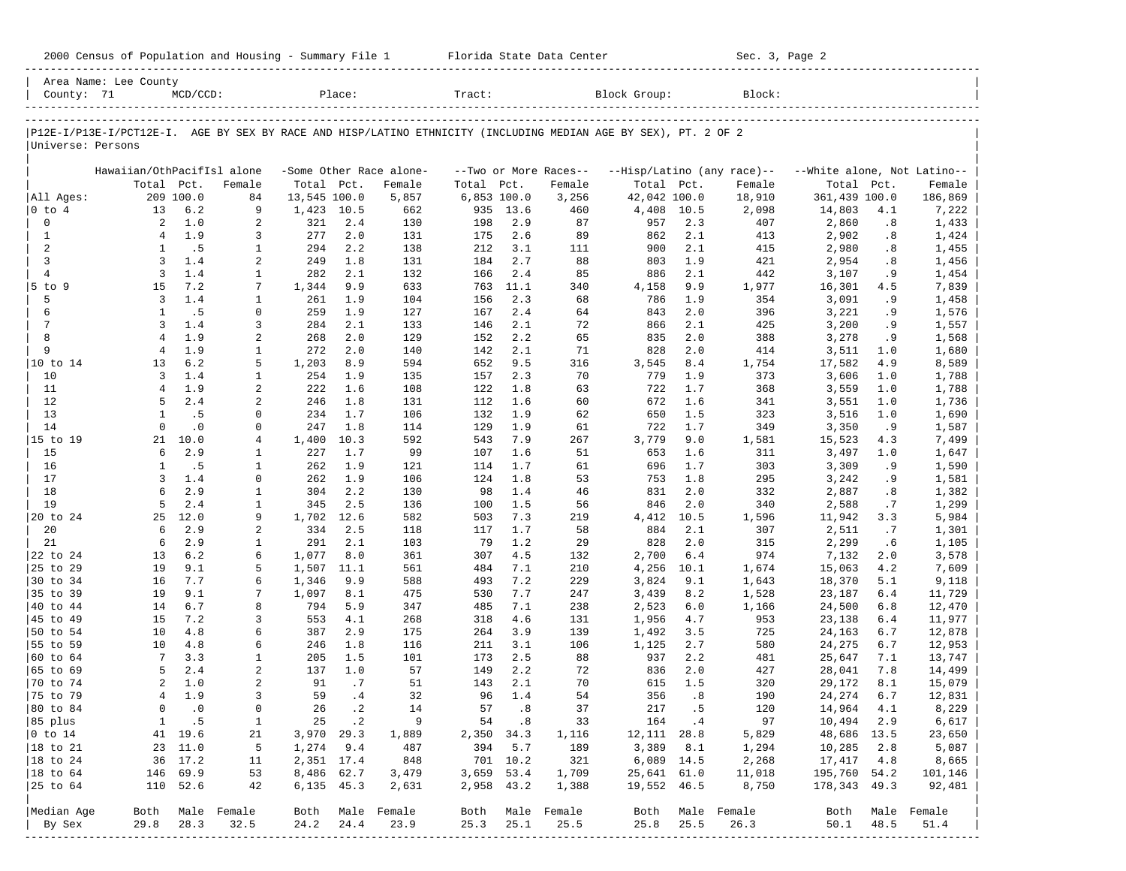|                             | Area Name: Lee County      |              |                   |              |             |                         |               |             |                       |                                                                                                                |             |                            |                             |           |                          |
|-----------------------------|----------------------------|--------------|-------------------|--------------|-------------|-------------------------|---------------|-------------|-----------------------|----------------------------------------------------------------------------------------------------------------|-------------|----------------------------|-----------------------------|-----------|--------------------------|
| County: 71                  |                            | $MCD/CCD$ :  |                   |              | Place:      |                         | Tract:        |             |                       | Block Group:                                                                                                   |             | Block:                     |                             |           |                          |
|                             |                            |              |                   |              |             |                         |               |             |                       |                                                                                                                |             |                            |                             |           |                          |
| Universe: Persons           |                            |              |                   |              |             |                         |               |             |                       | P12E-I/P13E-I/PCT12E-I. AGE BY SEX BY RACE AND HISP/LATINO ETHNICITY (INCLUDING MEDIAN AGE BY SEX), PT. 2 OF 2 |             |                            |                             |           |                          |
|                             |                            |              |                   |              |             |                         |               |             |                       |                                                                                                                |             |                            |                             |           |                          |
|                             | Hawaiian/OthPacifIsl alone |              |                   |              |             | -Some Other Race alone- |               |             | --Two or More Races-- |                                                                                                                |             | --Hisp/Latino (any race)-- | --White alone, Not Latino-- |           |                          |
|                             | Total Pct.                 |              | Female            | Total Pct.   |             | Female                  | Total         | Pct.        | Female                | Total Pct.                                                                                                     |             | Female                     | Total                       | Pct.      | Female                   |
| All Ages:                   |                            | 209 100.0    | 84                | 13,545 100.0 |             | 5,857                   | $6,853$ 100.0 |             | 3,256                 | 42,042 100.0                                                                                                   |             | 18,910                     | 361,439 100.0               |           | 186,869                  |
| $0$ to $4$<br>0             | 13<br>2                    | 6.2<br>1.0   | 9<br>2            | 1,423<br>321 | 10.5<br>2.4 | 662                     | 935<br>198    | 13.6<br>2.9 | 460<br>87             | 4,408                                                                                                          | 10.5<br>2.3 | 2,098<br>407               | 14,803<br>2,860             | 4.1<br>.8 | 7,222                    |
| $\mathbf{1}$                | $\overline{4}$             | 1.9          | 3                 | 277          | 2.0         | 130<br>131              | 175           | 2.6         | 89                    | 957<br>862                                                                                                     | 2.1         | 413                        | 2,902                       | .8        | 1,433<br>1,424           |
| $\overline{a}$              | 1                          | .5           | 1                 | 294          | 2.2         | 138                     | 212           | 3.1         | 111                   | 900                                                                                                            | 2.1         | 415                        | 2,980                       | .8        | 1,455                    |
| 3                           | 3                          | 1.4          | 2                 | 249          | 1.8         | 131                     | 184           | 2.7         | 88                    | 803                                                                                                            | 1.9         | 421                        | 2,954                       | .8        | 1,456                    |
| $\overline{4}$              | $\overline{3}$             | 1.4          | $\mathbf{1}$      | 282          | 2.1         | 132                     | 166           | 2.4         | 85                    | 886                                                                                                            | 2.1         | 442                        | 3,107                       | .9        | 1,454                    |
| $5$ to $9$                  | 15                         | 7.2          | 7                 | 1,344        | 9.9         | 633                     | 763           | 11.1        | 340                   | 4,158                                                                                                          | 9.9         | 1,977                      | 16,301                      | 4.5       | 7,839                    |
| 5                           | 3                          | 1.4          | $\mathbf{1}$      | 261          | 1.9         | 104                     | 156           | 2.3         | 68                    | 786                                                                                                            | 1.9         | 354                        | 3,091                       | .9        | 1,458                    |
| 6                           | $\mathbf{1}$               | .5           | $\mathbf 0$       | 259          | 1.9         | 127                     | 167           | 2.4         | 64                    | 843                                                                                                            | 2.0         | 396                        | 3,221                       | . 9       | 1,576                    |
| $\overline{7}$              | 3                          | 1.4          | 3                 | 284          | 2.1         | 133                     | 146           | 2.1         | 72                    | 866                                                                                                            | 2.1         | 425                        | 3,200                       | . 9       | 1,557                    |
| 8                           | $\overline{4}$             | 1.9          | 2                 | 268          | 2.0         | 129                     | 152           | 2.2         | 65                    | 835                                                                                                            | 2.0         | 388                        | 3,278                       | .9        | 1,568                    |
| 9                           | $\overline{4}$             | 1.9          | $\mathbf{1}$      | 272          | 2.0         | 140                     | 142           | 2.1         | 71                    | 828                                                                                                            | 2.0         | 414                        | 3,511                       | 1.0       | 1,680                    |
| 10 to 14                    | 13                         | 6.2          | 5                 | 1,203        | 8.9         | 594                     | 652           | 9.5         | 316                   | 3,545                                                                                                          | 8.4         | 1,754                      | 17,582                      | 4.9       | 8,589                    |
| 10                          | 3                          | 1.4          | 1                 | 254          | 1.9         | 135                     | 157           | 2.3         | 70                    | 779                                                                                                            | 1.9         | 373                        | 3,606                       | 1.0       | 1,788                    |
| 11                          | $\overline{4}$             | 1.9          | 2                 | 222          | 1.6         | 108                     | 122           | 1.8         | 63                    | 722                                                                                                            | 1.7         | 368                        | 3,559                       | 1.0       | 1,788                    |
| 12                          | 5                          | 2.4          | 2                 | 246          | 1.8         | 131                     | 112           | 1.6         | 60                    | 672                                                                                                            | 1.6         | 341                        | 3,551                       | 1.0       | 1,736                    |
| 13                          | 1                          | .5           | 0                 | 234          | 1.7         | 106                     | 132           | 1.9         | 62                    | 650                                                                                                            | 1.5         | 323                        | 3,516                       | 1.0       | 1,690                    |
| 14                          | $\mathbf 0$                | $\cdot$ 0    | 0                 | 247          | 1.8         | 114                     | 129           | 1.9         | 61                    | 722                                                                                                            | 1.7         | 349                        | 3,350                       | .9        | 1,587                    |
| 15 to 19                    | 21                         | 10.0         | 4                 | 1,400        | 10.3        | 592                     | 543           | 7.9         | 267                   | 3,779                                                                                                          | 9.0         | 1,581                      | 15,523                      | 4.3       | 7,499                    |
| 15                          | 6                          | 2.9          | 1                 | 227          | 1.7         | 99                      | 107           | 1.6         | 51                    | 653                                                                                                            | 1.6         | 311                        | 3,497                       | 1.0       | 1,647                    |
| 16                          | 1                          | .5           | $\mathbf{1}$      | 262          | 1.9         | 121                     | 114           | 1.7         | 61                    | 696                                                                                                            | 1.7         | 303                        | 3,309                       | .9        | 1,590                    |
| 17                          | 3                          | 1.4          | 0                 | 262          | 1.9         | 106                     | 124           | 1.8         | 53                    | 753                                                                                                            | 1.8         | 295                        | 3,242                       | . 9       | 1,581                    |
| 18                          | 6                          | 2.9          | $\mathbf{1}$      | 304          | 2.2         | 130                     | 98            | 1.4         | 46                    | 831                                                                                                            | 2.0         | 332                        | 2,887                       | .8        | 1,382                    |
| 19                          | 5                          | 2.4          | $\mathbf{1}$      | 345          | 2.5         | 136                     | 100           | 1.5         | 56                    | 846                                                                                                            | 2.0         | 340                        | 2,588                       | .7        | 1,299                    |
| 20 to 24                    | 25<br>6                    | 12.0         | 9                 | 1,702        | 12.6        | 582                     | 503           | 7.3         | 219                   | 4,412                                                                                                          | 10.5        | 1,596                      | 11,942                      | 3.3       | 5,984                    |
| 20                          | 6                          | 2.9<br>2.9   | 2                 | 334          | 2.5<br>2.1  | 118                     | 117<br>79     | 1.7         | 58                    | 884<br>828                                                                                                     | 2.1<br>2.0  | 307<br>315                 | 2,511                       | .7        | 1,301                    |
| 21<br>22 to 24              | 13                         | 6.2          | $\mathbf{1}$<br>6 | 291<br>1,077 | 8.0         | 103<br>361              | 307           | 1.2<br>4.5  | 29<br>132             | 2,700                                                                                                          | 6.4         | 974                        | 2,299<br>7,132              | .6<br>2.0 | 1,105                    |
| 25 to 29                    | 19                         | 9.1          | 5                 | 1,507        | 11.1        | 561                     | 484           | 7.1         | 210                   | 4,256                                                                                                          | 10.1        | 1,674                      | 15,063                      | 4.2       | 3,578<br>7,609           |
| 30 to 34                    | 16                         | 7.7          | 6                 | 1,346        | 9.9         | 588                     | 493           | 7.2         | 229                   | 3,824                                                                                                          | 9.1         | 1,643                      | 18,370                      | 5.1       | 9,118                    |
| 35 to 39                    | 19                         | 9.1          | 7                 | 1,097        | 8.1         | 475                     | 530           | 7.7         | 247                   | 3,439                                                                                                          | 8.2         | 1,528                      | 23,187                      | 6.4       | 11,729                   |
| 40 to 44                    | 14                         | 6.7          | 8                 | 794          | 5.9         | 347                     | 485           | 7.1         | 238                   | 2,523                                                                                                          | 6.0         | 1,166                      | 24,500                      | 6.8       | 12,470                   |
| 45 to 49                    | 15                         | 7.2          | 3                 | 553          | 4.1         | 268                     | 318           | 4.6         | 131                   | 1,956                                                                                                          | 4.7         | 953                        | 23,138                      | 6.4       | 11,977                   |
| 50 to 54                    | 10                         | 4.8          | 6                 | 387          | 2.9         | 175                     | 264           | 3.9         | 139                   | 1,492                                                                                                          | 3.5         | 725                        | 24,163                      | 6.7       | 12,878                   |
| 55 to 59                    | 10                         | 4.8          | 6                 | 246          | 1.8         | 116                     | 211           | 3.1         | 106                   | 1,125                                                                                                          | 2.7         | 580                        | 24,275                      | 6.7       | 12,953                   |
| 60 to 64                    | 7                          | 3.3          | 1                 | 205          | 1.5         | 101                     | 173           | 2.5         | 88                    | 937                                                                                                            | 2.2         | 481                        | 25,647                      | 7.1       | 13,747                   |
| 65 to 69                    | 5                          | 2.4          | 2                 | 137          | 1.0         | 57                      | 149           | 2.2         | 72                    | 836                                                                                                            | 2.0         | 427                        | 28,041                      | 7.8       | 14,499                   |
| 70 to 74                    | 2                          | 1.0          | 2                 | 91           | .7          | 51                      | 143           | 2.1         | 70                    | 615                                                                                                            | 1.5         | 320                        | 29,172                      | 8.1       | 15,079                   |
| 75 to 79                    | $\overline{4}$             | 1.9          | 3                 | 59           | .4          | 32                      | 96            | 1.4         | 54                    | 356                                                                                                            | .8          | 190                        | 24,274                      | 6.7       | 12,831                   |
| 80 to 84                    | $\mathbf 0$                | $\cdot$ 0    | 0                 | 26           | $\cdot$ 2   | 14                      | 57            | .8          | 37                    | 217                                                                                                            | .5          | 120                        | 14,964                      | 4.1       | 8,229                    |
| 85 plus                     |                            | $1 \quad .5$ | 1                 |              | 25 .2       | $\overline{9}$          |               | 54.8        | 33                    |                                                                                                                | 164.4       | 97                         | 10,494 2.9                  |           | 6,617                    |
| $ 0 \t\t \text{to} \t\t 14$ |                            | 41 19.6      | 21                | 3,970 29.3   |             | 1,889                   | 2,350 34.3    |             | 1,116                 | 12, 111 28.8                                                                                                   |             | 5,829                      | 48,686 13.5                 |           | 23,650                   |
| 18 to 21                    |                            | 23 11.0      | 5                 | 1,274 9.4    |             | 487                     | 394           | 5.7         | 189                   |                                                                                                                | 3,389 8.1   | 1,294                      | 10,285                      | 2.8       | 5,087                    |
| 18 to 24                    |                            | 36 17.2      | 11                | 2,351 17.4   |             | 848                     |               | 701 10.2    | 321                   | 6,089 14.5                                                                                                     |             | 2,268                      | 17,417                      | 4.8       | 8,665                    |
| 18 to 64                    |                            | 146 69.9     | 53                | 8,486 62.7   |             | 3,479                   | 3,659 53.4    |             | 1,709                 | 25,641 61.0                                                                                                    |             | 11,018                     | 195,760 54.2                |           | 101,146                  |
| 25 to 64                    |                            | 110 52.6     | 42                | 6,135 45.3   |             | 2,631                   | 2,958 43.2    |             | 1,388                 | 19,552 46.5                                                                                                    |             | 8,750                      | 178,343 49.3                |           | 92,481                   |
| Median Age                  |                            |              | Both Male Female  |              |             | Both Male Female        |               |             | Both Male Female      |                                                                                                                |             | Both Male Female           |                             |           |                          |
| By Sex                      | 29.8                       | 28.3         | 32.5              | 24.2         | 24.4        | 23.9                    | 25.3          | 25.1        | 25.5                  | 25.8                                                                                                           | 25.5        | 26.3                       | 50.1                        | 48.5      | Both Male Female<br>51.4 |
|                             |                            |              |                   |              |             |                         |               |             |                       |                                                                                                                |             |                            |                             |           |                          |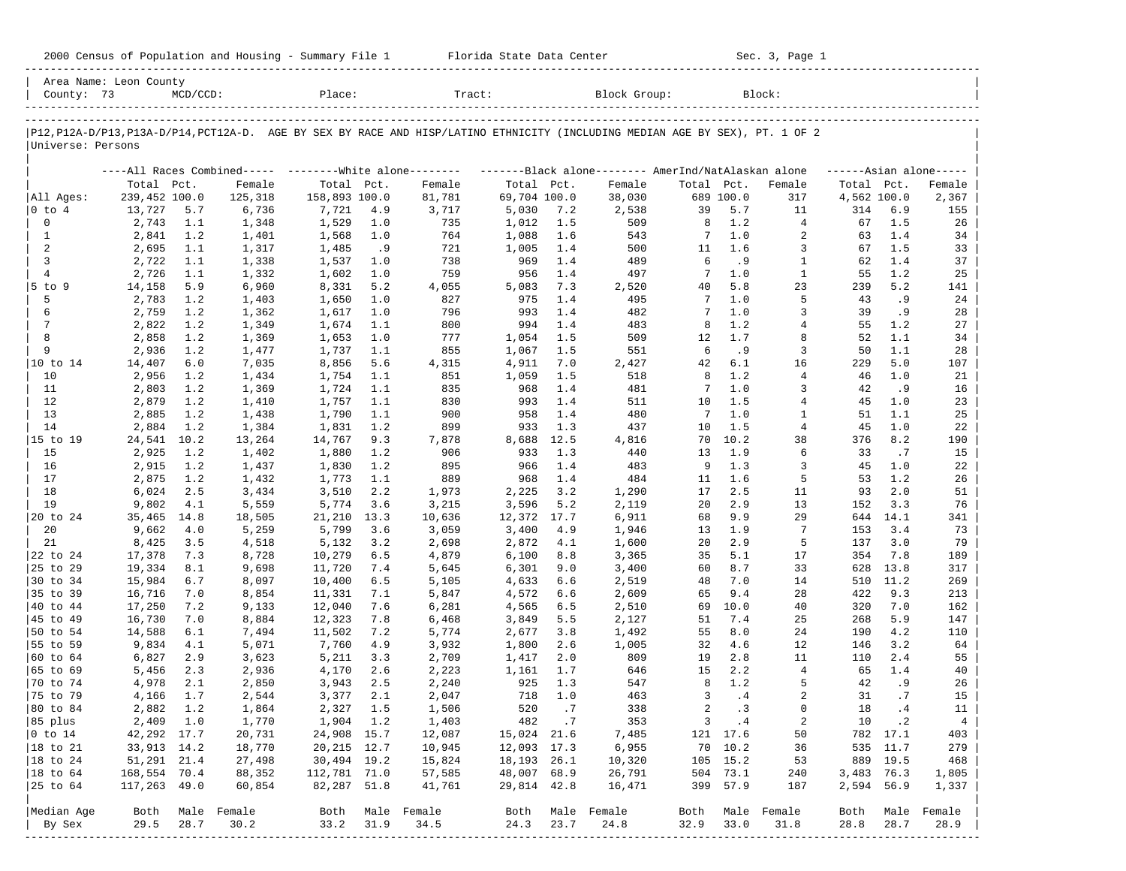| 2000 Census of Population and Housing - Summary File 1 |  | Florida State Data Center | Sec. 3, Page 1 |
|--------------------------------------------------------|--|---------------------------|----------------|
|--------------------------------------------------------|--|---------------------------|----------------|

| County: 73           | Area Name: Leon County | $MCD/CCD$ : |                                                           | Place:        |      | Tract:                                                                                                                        |               |       | Block Group:                                        |            |             | Block:           |             |           |                     |
|----------------------|------------------------|-------------|-----------------------------------------------------------|---------------|------|-------------------------------------------------------------------------------------------------------------------------------|---------------|-------|-----------------------------------------------------|------------|-------------|------------------|-------------|-----------|---------------------|
|                      |                        |             |                                                           |               |      |                                                                                                                               |               |       |                                                     |            |             |                  |             |           |                     |
| Universe: Persons    |                        |             |                                                           |               |      | P12, P12A-D/P13, P13A-D/P14, PCT12A-D. AGE BY SEX BY RACE AND HISP/LATINO ETHNICITY (INCLUDING MEDIAN AGE BY SEX), PT. 1 OF 2 |               |       |                                                     |            |             |                  |             |           |                     |
|                      |                        |             | ----All Races Combined----- --------- White alone-------- |               |      |                                                                                                                               |               |       | -------Black alone-------- AmerInd/NatAlaskan alone |            |             |                  |             |           | $---Asian alone---$ |
|                      | Total Pct.             |             | Female                                                    | Total Pct.    |      | Female                                                                                                                        | Total Pct.    |       | Female                                              | Total Pct. |             | Female           | Total Pct.  |           | Female              |
| All Ages:            | 239,452 100.0          |             | 125,318                                                   | 158,893 100.0 |      | 81,781                                                                                                                        | 69,704 100.0  |       | 38,030                                              |            | 689 100.0   | 317              | 4,562 100.0 |           | 2,367               |
| $ 0 \t{to} 4$        | 13,727                 | 5.7         | 6,736                                                     | 7,721         | 4.9  | 3,717                                                                                                                         | 5,030         | 7.2   | 2,538                                               | 39         | 5.7         | 11               | 314         | 6.9       | 155                 |
| $\mathbf 0$          | 2,743                  | 1.1         | 1,348                                                     | 1,529         | 1.0  | 735                                                                                                                           | 1,012         | 1.5   | 509                                                 | 8          | 1.2         | $\overline{4}$   | 67          | 1.5       | 26                  |
| $\mathbf{1}$         | 2,841                  | 1.2         | 1,401                                                     | 1,568         | 1.0  | 764                                                                                                                           | 1,088         | 1.6   | 543                                                 | 7          | 1.0         | 2                | 63          | 1.4       | 34                  |
| 2                    | 2,695                  | 1.1         | 1,317                                                     | 1,485         | . 9  | 721                                                                                                                           | 1,005         | 1.4   | 500                                                 | 11         | 1.6         | $\overline{3}$   | 67          | 1.5       | 33                  |
| 3                    | 2,722                  | 1.1         | 1,338                                                     | 1,537         | 1.0  | 738                                                                                                                           | 969           | 1.4   | 489                                                 | 6          | .9          | $\mathbf{1}$     | 62          | 1.4       | 37                  |
| $\overline{4}$       | 2,726                  | 1.1         | 1,332                                                     | 1,602         | 1.0  | 759                                                                                                                           | 956           | 1.4   | 497                                                 | 7          | $1.0$       | $\mathbf{1}$     | 55          | 1.2       | 25                  |
| $5$ to $9$           | 14,158                 | 5.9         | 6,960                                                     | 8,331         | 5.2  | 4,055                                                                                                                         | 5,083         | 7.3   | 2,520                                               | 40         | 5.8         | 23               | 239         | 5.2       | 141                 |
| 5                    | 2,783                  | 1.2         | 1,403                                                     | 1,650         | 1.0  | 827                                                                                                                           | 975           | 1.4   | 495                                                 | 7          | 1.0         | 5                | 43          | .9        | 24                  |
| 6                    | 2,759                  | 1.2         | 1,362                                                     | 1,617         | 1.0  | 796                                                                                                                           | 993           | 1.4   | 482                                                 | 7          | 1.0         | 3                | 39          | . 9       | 28                  |
| $7\phantom{.0}$      | 2,822                  | 1.2         | 1,349                                                     | 1,674         | 1.1  | 800                                                                                                                           | 994           | 1.4   | 483                                                 | 8          | 1.2         | $\overline{4}$   | 55          | 1.2       | 27                  |
| 8                    | 2,858                  | 1.2         | 1,369                                                     | 1,653         | 1.0  | 777                                                                                                                           | 1,054         | 1.5   | 509                                                 | 12         | 1.7         | 8                | 52          | 1.1       | 34                  |
| 9                    | 2,936                  | 1.2         | 1,477                                                     | 1,737         | 1.1  | 855                                                                                                                           | 1,067         | 1.5   | 551                                                 | 6          | . 9         | 3                | 50          | 1.1       | 28                  |
| 10 to 14             | 14,407                 | $6.0$       | 7,035                                                     | 8,856         | 5.6  | 4,315                                                                                                                         | 4,911         | 7.0   | 2,427                                               | 42         | 6.1         | 16               | 229         | 5.0       | 107                 |
| 10                   | 2,956                  | 1.2         | 1,434                                                     | 1,754         | 1.1  | 851                                                                                                                           | 1,059         | 1.5   | 518                                                 | 8          | 1.2         | $\overline{4}$   | 46          | 1.0       | 21                  |
| 11                   | 2,803                  | 1.2         | 1,369                                                     | 1,724         | 1.1  | 835                                                                                                                           | 968           | 1.4   | 481                                                 | 7          | 1.0         | 3                | 42          | .9        | 16                  |
| 12                   | 2,879                  | 1.2         | 1,410                                                     | 1,757         | 1.1  | 830                                                                                                                           | 993           | 1.4   | 511                                                 | 10         | 1.5         | $\overline{4}$   | 45          | 1.0       | 23                  |
| 13                   | 2,885                  | 1.2         | 1,438                                                     | 1,790         | 1.1  | 900                                                                                                                           | 958           | 1.4   | 480                                                 | 7          | 1.0         | 1                | 51          | 1.1       | 25                  |
| 14                   | 2,884                  | 1.2         | 1,384                                                     | 1,831         | 1.2  | 899                                                                                                                           | 933           | 1.3   | 437                                                 | 10         | 1.5         | $\overline{4}$   | 45          | 1.0       | 22                  |
| 15 to 19             | 24,541                 | 10.2        | 13,264                                                    | 14,767        | 9.3  | 7,878                                                                                                                         | 8,688         | 12.5  | 4,816                                               | 70         | 10.2        | 38               | 376         | 8.2       | 190                 |
| 15                   | 2,925                  | 1.2         | 1,402                                                     | 1,880         | 1.2  | 906                                                                                                                           | 933           | 1.3   | 440                                                 | 13         | 1.9         | 6                | 33          | .7        | 15                  |
| 16                   | 2,915                  | 1.2         | 1,437                                                     | 1,830         | 1.2  | 895                                                                                                                           | 966           | 1.4   | 483                                                 | 9          | 1.3         | 3                | 45          | 1.0       | 22                  |
| 17                   | 2,875                  | 1.2         | 1,432                                                     | 1,773         | 1.1  | 889                                                                                                                           | 968           | 1.4   | 484                                                 | 11         | 1.6         | 5                | 53          | 1.2       | 26                  |
| 18                   | 6,024                  | 2.5         | 3,434                                                     | 3,510         | 2.2  | 1,973                                                                                                                         | 2,225         | 3.2   | 1,290                                               | 17         | 2.5         | 11               | 93          | 2.0       | 51                  |
| 19                   | 9,802                  | 4.1         | 5,559                                                     | 5,774         | 3.6  | 3,215                                                                                                                         | 3,596         | 5.2   | 2,119                                               | 20         | 2.9         | 13               | 152         | 3.3       | 76                  |
| 20 to 24             | 35,465                 | 14.8        | 18,505                                                    | 21,210        | 13.3 | 10,636                                                                                                                        | 12,372        | 17.7  | 6,911                                               | 68         | 9.9         | 29               | 644         | 14.1      | 341                 |
| 20                   | 9,662                  | 4.0         | 5,259                                                     | 5,799         | 3.6  | 3,059                                                                                                                         | 3,400         | 4.9   | 1,946                                               | 13         | 1.9         | 7                | 153         | 3.4       | 73                  |
| 21                   | 8,425                  | 3.5         | 4,518                                                     | 5,132         | 3.2  | 2,698                                                                                                                         | 2,872         | 4.1   | 1,600                                               | 20         | 2.9         | 5                | 137         | 3.0       | 79                  |
| 22 to 24             | 17,378                 | 7.3         | 8,728                                                     | 10,279        | 6.5  | 4,879                                                                                                                         | 6,100         | 8.8   | 3,365                                               | 35         | 5.1         | 17               | 354         | 7.8       | 189                 |
| 25 to 29             | 19,334                 | 8.1         | 9,698                                                     | 11,720        | 7.4  | 5,645                                                                                                                         | 6,301         | 9.0   | 3,400                                               | 60         | 8.7         | 33               | 628         | 13.8      | 317                 |
| 30 to 34             | 15,984                 | 6.7         | 8,097                                                     | 10,400        | 6.5  | 5,105                                                                                                                         | 4,633         | 6.6   | 2,519                                               | 48         | 7.0         | 14               | 510         | 11.2      | 269                 |
| 35 to 39             | 16,716                 | 7.0         | 8,854                                                     | 11,331        | 7.1  | 5,847                                                                                                                         | 4,572         | 6.6   | 2,609                                               | 65         | 9.4         | 28               | 422         | 9.3       | 213                 |
| 40 to 44             | 17,250                 | 7.2         | 9,133                                                     | 12,040        | 7.6  | 6,281                                                                                                                         | 4,565         | 6.5   | 2,510                                               | 69         | 10.0        | 40               | 320         | 7.0       | 162                 |
| 45 to 49             | 16,730                 | 7.0         | 8,884                                                     | 12,323        | 7.8  | 6,468                                                                                                                         | 3,849         | 5.5   | 2,127                                               | 51         | 7.4         | 25               | 268         | 5.9       | 147                 |
| 50 to 54             | 14,588                 | 6.1         | 7,494                                                     | 11,502        | 7.2  | 5,774                                                                                                                         | 2,677         | 3.8   | 1,492                                               | 55         | 8.0         | 24               | 190         | 4.2       | 110                 |
| 55 to 59             | 9,834                  | 4.1         | 5,071                                                     | 7,760         | 4.9  | 3,932                                                                                                                         | 1,800         | 2.6   | 1,005                                               | 32         | 4.6         | 12               | 146         | 3.2       | 64                  |
| 60 to 64             | 6,827                  | 2.9         | 3,623                                                     | 5,211         | 3.3  | 2,709                                                                                                                         | 1,417         | 2.0   | 809                                                 | 19         | 2.8         | 11               | 110         | 2.4       | 55                  |
| 65 to 69             | 5,456                  | 2.3         | 2,936                                                     | 4,170         | 2.6  | 2,223                                                                                                                         | 1,161         | 1.7   | 646                                                 | 15         | 2.2         | $\overline{4}$   | 65          | 1.4       | 40                  |
| 70 to 74             | 4,978                  | 2.1         | 2,850                                                     | 3,943         | 2.5  | 2,240                                                                                                                         | 925           | 1.3   | 547                                                 | 8          | 1.2         | 5                | 42          | .9        | 26                  |
| 75 to 79             | 4,166                  | 1.7         | 2,544                                                     | 3,377         | 2.1  | 2,047                                                                                                                         | 718           | 1.0   | 463                                                 | 3          | .4          | 2                | 31          | .7        | 15                  |
| 80 to 84             | 2,882                  | 1.2         | 1,864                                                     | 2,327         | 1.5  | 1,506                                                                                                                         | 520           | .7    | 338                                                 | 2          | .3          | $\Omega$         | 18          | .4        | 11                  |
| 85 plus              | 2,409 1.0              |             | 1,770                                                     | 1,904 1.2     |      | 1,403                                                                                                                         |               | 482.7 | 353                                                 |            | $3 \cdot 4$ | 2                | 10          | $\cdot$ 2 | 4                   |
| $ 0 \t{to} 14$       | 42,292 17.7            |             | 20,731                                                    | 24,908 15.7   |      | 12,087                                                                                                                        | 15,024 21.6   |       | 7,485                                               |            | 121 17.6    | 50               |             | 782 17.1  | 403                 |
| 18 to 21             | 33,913 14.2            |             | 18,770                                                    | 20,215 12.7   |      | 10,945                                                                                                                        | 12,093 17.3   |       | 6,955                                               |            | 70 10.2     | 36               |             | 535 11.7  | 279                 |
| $ 18 \text{ to } 24$ | 51,291 21.4            |             | 27,498                                                    | 30,494 19.2   |      | 15,824                                                                                                                        | 18, 193 26. 1 |       | 10,320                                              |            | 105 15.2    | 53               |             | 889 19.5  | 468                 |
| $ 18$ to $64$        | 168,554 70.4           |             | 88,352                                                    | 112,781 71.0  |      | 57,585                                                                                                                        | 48,007 68.9   |       | 26,791                                              |            | 504 73.1    | 240              | 3,483 76.3  |           | 1,805               |
| 25 to 64             | 117,263 49.0           |             | 60,854                                                    | 82,287 51.8   |      | 41,761                                                                                                                        | 29,814 42.8   |       | 16,471                                              |            | 399 57.9    | 187              | 2,594 56.9  |           | 1,337               |
|                      |                        |             |                                                           |               |      |                                                                                                                               |               |       |                                                     |            |             |                  |             |           |                     |
| Median Age           | Both                   |             | Male Female                                               |               |      | Both Male Female                                                                                                              |               |       | Both Male Female                                    |            |             | Both Male Female | Both        | Male      | Female              |
| By Sex               | 29.5                   | 28.7        | 30.2                                                      | 33.2          | 31.9 | 34.5                                                                                                                          | 24.3          | 23.7  | 24.8                                                | 32.9       | 33.0        | 31.8             | 28.8        | 28.7      | 28.9                |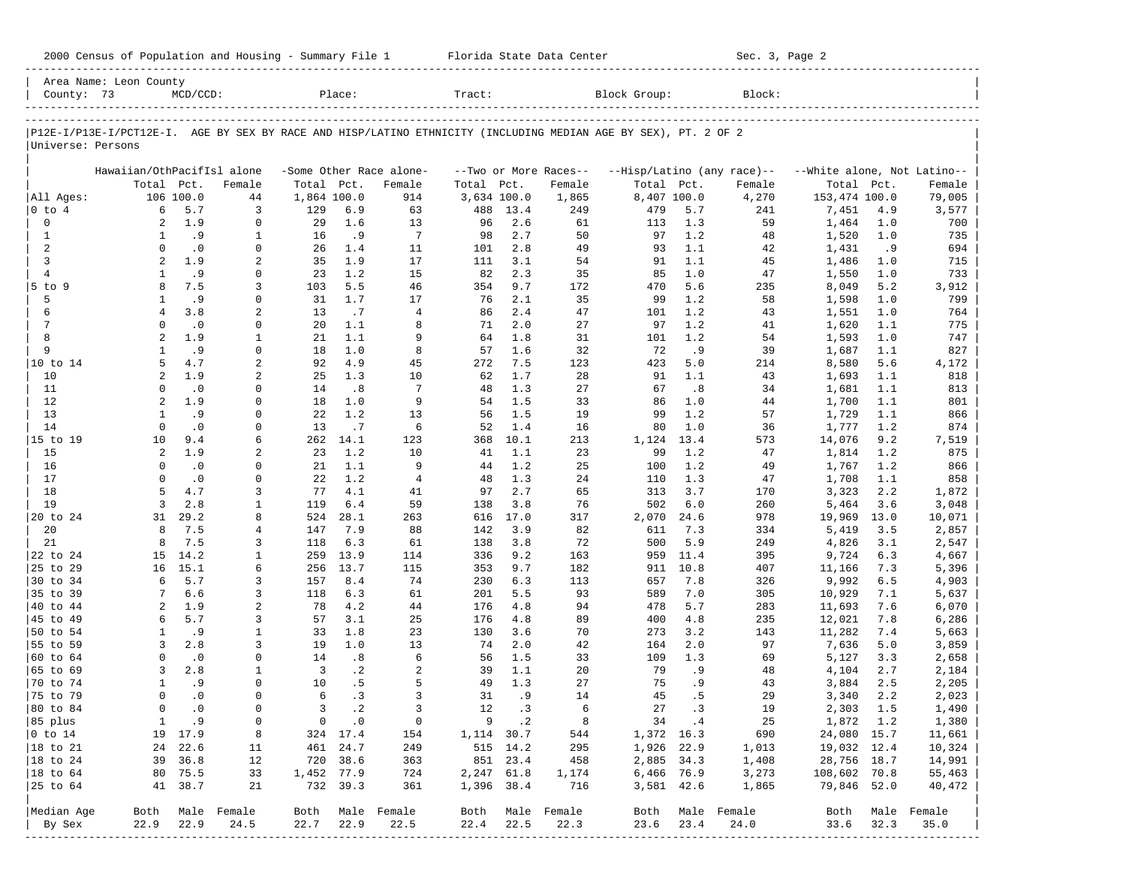| County: 73                  | Area Name: Leon County     | $MCD/CCD$ :      |                          |                           | Place:          |                          | Tract:               |            |                          | Block Group:                                                                                                   |            | Block:                     |                             |            |                          |
|-----------------------------|----------------------------|------------------|--------------------------|---------------------------|-----------------|--------------------------|----------------------|------------|--------------------------|----------------------------------------------------------------------------------------------------------------|------------|----------------------------|-----------------------------|------------|--------------------------|
|                             |                            |                  |                          |                           |                 |                          |                      |            |                          |                                                                                                                |            |                            |                             |            |                          |
|                             |                            |                  |                          |                           |                 |                          |                      |            |                          | P12E-I/P13E-I/PCT12E-I. AGE BY SEX BY RACE AND HISP/LATINO ETHNICITY (INCLUDING MEDIAN AGE BY SEX), PT. 2 OF 2 |            |                            |                             |            |                          |
| Universe: Persons           |                            |                  |                          |                           |                 |                          |                      |            |                          |                                                                                                                |            |                            |                             |            |                          |
|                             |                            |                  |                          |                           |                 |                          |                      |            |                          |                                                                                                                |            |                            |                             |            |                          |
|                             | Hawaiian/OthPacifIsl alone |                  |                          |                           |                 | -Some Other Race alone-  |                      |            | --Two or More Races--    |                                                                                                                |            | --Hisp/Latino (any race)-- | --White alone, Not Latino-- |            |                          |
| All Ages:                   | Total Pct.                 | 106 100.0        | Female<br>44             | Total Pct.<br>1,864 100.0 |                 | Female<br>914            | Total<br>3,634 100.0 | Pct.       | Female<br>1,865          | Total Pct.<br>8,407 100.0                                                                                      |            | Female<br>4,270            | Total<br>153,474 100.0      | Pct.       | Female<br>79,005         |
| 0 to 4                      | 6                          | 5.7              | 3                        | 129                       | 6.9             | 63                       | 488                  | 13.4       | 249                      | 479                                                                                                            | 5.7        | 241                        | 7,451                       | 4.9        | 3,577                    |
| 0                           | 2                          | 1.9              | 0                        | 29                        | 1.6             | 13                       | 96                   | 2.6        | 61                       | 113                                                                                                            | 1.3        | 59                         | 1,464                       | 1.0        | 700                      |
| $\mathbf{1}$                | 1                          | .9               | 1                        | 16                        | .9              | 7                        | 98                   | 2.7        | 50                       | 97                                                                                                             | 1.2        | 48                         | 1,520                       | 1.0        | 735                      |
| 2                           | $\Omega$                   | $\cdot$ 0        | 0                        | 26                        | 1.4             | 11                       | 101                  | 2.8        | 49                       | 93                                                                                                             | 1.1        | 42                         | 1,431                       | .9         | 694                      |
| 3                           | 2                          | 1.9              | 2                        | 35                        | 1.9             | 17                       | 111                  | 3.1        | 54                       | 91                                                                                                             | 1.1        | 45                         | 1,486                       | 1.0        | 715                      |
| $\overline{4}$              | $\mathbf{1}$               | . 9              | 0                        | 23                        | 1.2             | 15                       | 82                   | 2.3        | 35                       | 85                                                                                                             | 1.0        | 47                         | 1,550                       | 1.0        | 733                      |
| $5$ to $9$                  | 8                          | 7.5              | 3                        | 103                       | 5.5             | 46                       | 354                  | 9.7        | 172                      | 470                                                                                                            | 5.6        | 235                        | 8,049                       | 5.2        | 3,912                    |
| 5                           | 1                          | . 9              | 0                        | 31                        | 1.7             | 17                       | 76                   | 2.1        | 35                       | 99                                                                                                             | 1.2        | 58                         | 1,598                       | 1.0        | 799                      |
| 6                           | 4                          | 3.8              | 2                        | 13                        | $\cdot$ 7       | $\overline{4}$           | 86                   | 2.4        | 47                       | 101                                                                                                            | 1.2        | 43                         | 1,551                       | 1.0        | 764                      |
| 7<br>8                      | $\Omega$<br>2              | $\cdot$ 0<br>1.9 | 0<br>$\mathbf{1}$        | 20<br>21                  | 1.1<br>1.1      | 8<br>9                   | 71<br>64             | 2.0<br>1.8 | 27<br>31                 | 97                                                                                                             | 1.2<br>1.2 | 41<br>54                   | 1,620                       | 1.1<br>1.0 | 775                      |
| 9                           | -1                         | . 9              | 0                        | 18                        | 1.0             | 8                        | 57                   | 1.6        | 32                       | 101<br>72                                                                                                      | . 9        | 39                         | 1,593<br>1,687              | 1.1        | 747<br>827               |
| 10 to 14                    | 5                          | 4.7              | 2                        | 92                        | 4.9             | 45                       | 272                  | 7.5        | 123                      | 423                                                                                                            | 5.0        | 214                        | 8,580                       | 5.6        | 4,172                    |
| 10                          | 2                          | 1.9              | 2                        | 25                        | 1.3             | 10                       | 62                   | 1.7        | 28                       | 91                                                                                                             | 1.1        | 43                         | 1,693                       | 1.1        | 818                      |
| 11                          | $\Omega$                   | $\cdot$ 0        | 0                        | 14                        | .8              | 7                        | 48                   | 1.3        | 27                       | 67                                                                                                             | .8         | 34                         | 1,681                       | 1.1        | 813                      |
| 12                          | 2                          | 1.9              | 0                        | 18                        | 1.0             | 9                        | 54                   | 1.5        | 33                       | 86                                                                                                             | 1.0        | 44                         | 1,700                       | 1.1        | 801                      |
| 13                          | 1                          | .9               | 0                        | 22                        | 1.2             | 13                       | 56                   | 1.5        | 19                       | 99                                                                                                             | 1.2        | 57                         | 1,729                       | 1.1        | 866                      |
| 14                          | $\Omega$                   | $\cdot$ 0        | 0                        | 13                        | .7              | 6                        | 52                   | 1.4        | 16                       | 80                                                                                                             | 1.0        | 36                         | 1,777                       | 1.2        | 874                      |
| 15 to 19                    | 10                         | 9.4              | 6                        | 262                       | 14.1            | 123                      | 368                  | 10.1       | 213                      | 1,124                                                                                                          | 13.4       | 573                        | 14,076                      | 9.2        | 7,519                    |
| 15                          | 2                          | 1.9              | 2                        | 23                        | 1.2             | 10                       | 41                   | 1.1        | 23                       | 99                                                                                                             | 1.2        | 47                         | 1,814                       | 1.2        | 875                      |
| 16                          | $\Omega$                   | $\cdot$ 0        | 0                        | 21                        | 1.1             | 9                        | 44                   | 1.2        | 25                       | 100                                                                                                            | 1.2        | 49                         | 1,767                       | 1.2        | 866                      |
| 17                          | $\Omega$                   | $\cdot$ 0        | 0                        | 22                        | 1.2             | $\overline{4}$           | 48                   | 1.3        | 24                       | 110                                                                                                            | 1.3        | 47                         | 1,708                       | 1.1        | 858                      |
| 18<br>19                    | 5<br>$\overline{3}$        | 4.7<br>2.8       | 3<br>$\mathbf{1}$        | 77<br>119                 | 4.1<br>6.4      | 41<br>59                 | 97<br>138            | 2.7<br>3.8 | 65<br>76                 | 313<br>502                                                                                                     | 3.7<br>6.0 | 170<br>260                 | 3,323                       | 2.2<br>3.6 | 1,872                    |
| 20 to 24                    | 31                         | 29.2             | 8                        | 524                       | 28.1            | 263                      | 616                  | 17.0       | 317                      | 2,070                                                                                                          | 24.6       | 978                        | 5,464<br>19,969             | 13.0       | 3,048<br>10,071          |
| 20                          | 8                          | 7.5              | 4                        | 147                       | 7.9             | 88                       | 142                  | 3.9        | 82                       | 611                                                                                                            | 7.3        | 334                        | 5,419                       | 3.5        | 2,857                    |
| 21                          | 8                          | 7.5              | 3                        | 118                       | 6.3             | 61                       | 138                  | 3.8        | 72                       | 500                                                                                                            | 5.9        | 249                        | 4,826                       | 3.1        | 2,547                    |
| 22 to 24                    | 15                         | 14.2             | $\mathbf{1}$             | 259                       | 13.9            | 114                      | 336                  | 9.2        | 163                      | 959                                                                                                            | 11.4       | 395                        | 9,724                       | 6.3        | 4,667                    |
| 25 to 29                    | 16                         | 15.1             | 6                        | 256                       | 13.7            | 115                      | 353                  | 9.7        | 182                      | 911                                                                                                            | 10.8       | 407                        | 11,166                      | 7.3        | 5,396                    |
| 30 to 34                    | 6                          | 5.7              | 3                        | 157                       | 8.4             | 74                       | 230                  | 6.3        | 113                      | 657                                                                                                            | 7.8        | 326                        | 9,992                       | 6.5        | 4,903                    |
| 35 to 39                    | 7                          | 6.6              | 3                        | 118                       | 6.3             | 61                       | 201                  | 5.5        | 93                       | 589                                                                                                            | 7.0        | 305                        | 10,929                      | 7.1        | 5,637                    |
| 40 to 44                    | 2                          | 1.9              | 2                        | 78                        | 4.2             | 44                       | 176                  | 4.8        | 94                       | 478                                                                                                            | 5.7        | 283                        | 11,693                      | 7.6        | 6,070                    |
| 45 to 49                    | 6                          | 5.7              | 3                        | 57                        | 3.1             | 25                       | 176                  | 4.8        | 89                       | 400                                                                                                            | 4.8        | 235                        | 12,021                      | 7.8        | 6,286                    |
| 50 to 54                    | 1                          | .9               | 1                        | 33                        | 1.8             | 23                       | 130                  | 3.6        | 70                       | 273                                                                                                            | 3.2        | 143                        | 11,282                      | 7.4        | 5,663                    |
| 55 to 59                    | 3<br>$\Omega$              | 2.8              | 3                        | 19                        | 1.0             | 13<br>6                  | 74                   | 2.0<br>1.5 | 42                       | 164                                                                                                            | 2.0        | 97                         | 7,636                       | 5.0        | 3,859                    |
| 60 to 64<br>65 to 69        | 3                          | $\cdot$ 0<br>2.8 | 0<br>1                   | 14<br>3                   | .8<br>$\cdot$ 2 | 2                        | 56<br>39             | 1.1        | 33<br>20                 | 109<br>79                                                                                                      | 1.3<br>.9  | 69<br>48                   | 5,127<br>4,104              | 3.3<br>2.7 | 2,658<br>2,184           |
| 70 to 74                    | 1                          | .9               | 0                        | 10                        | .5              | 5                        | 49                   | 1.3        | 27                       | 75                                                                                                             | . 9        | 43                         | 3,884                       | 2.5        | 2,205                    |
| 75 to 79                    | $\Omega$                   | $\cdot$ 0        | $\Omega$                 | 6                         | .3              | 3                        | 31                   | .9         | 14                       | 45                                                                                                             | . 5        | 29                         | 3,340                       | 2.2        | 2,023                    |
| 80 to 84                    | $\Omega$                   | $\cdot$ 0        | $\mathbf 0$              | $\overline{3}$            | $\cdot$ 2       | $\overline{3}$           | 12                   | $\cdot$ 3  | 6                        | 27                                                                                                             | .3         | 19                         | 2,303                       | 1.5        | 1,490                    |
| 85 plus                     |                            | 1 .9             | 0                        |                           | $0 \qquad .0$   | $\overline{0}$           |                      | $9 \t 3$   | 8 <sup>8</sup>           |                                                                                                                | 34.4       | 25                         | 1,872 1.2                   |            | 1,380                    |
| $ 0 \t\t \text{to} \t\t 14$ |                            | 19 17.9          | 8                        |                           | 324 17.4        | 154                      | 1,114 30.7           |            | 544                      | 1,372 16.3                                                                                                     |            | 690                        | 24,080 15.7                 |            | 11,661                   |
| 18 to 21                    |                            | 24 22.6          | 11                       |                           | 461 24.7        | 249                      | 515 14.2             |            | 295                      | 1,926 22.9                                                                                                     |            | 1,013                      | 19,032 12.4                 |            | 10,324                   |
| 18 to 24                    |                            | 39 36.8          | 12                       |                           | 720 38.6        | 363                      |                      | 851 23.4   | 458                      |                                                                                                                | 2,885 34.3 | 1,408                      | 28,756 18.7                 |            | 14,991                   |
| $ 18$ to $64$               |                            | 80 75.5          | 33                       | 1,452 77.9                |                 | 724                      | 2,247 61.8           |            | 1,174                    | 6,466 76.9                                                                                                     |            | 3,273                      | 108,602 70.8                |            | 55,463                   |
| 25 to 64                    |                            | 41 38.7          | 21                       |                           | 732 39.3        | 361                      |                      | 1,396 38.4 | 716                      | 3,581 42.6                                                                                                     |            | 1,865                      | 79,846 52.0                 |            | 40,472                   |
|                             |                            |                  |                          |                           |                 |                          |                      |            |                          |                                                                                                                |            |                            |                             |            |                          |
| Median Age<br>By Sex        | 22.9                       | 22.9             | Both Male Female<br>24.5 | 22.7                      | 22.9            | Both Male Female<br>22.5 | 22.4                 | 22.5       | Both Male Female<br>22.3 | 23.6                                                                                                           | 23.4       | Both Male Female<br>24.0   | 33.6                        | 32.3       | Both Male Female<br>35.0 |
|                             |                            |                  |                          |                           |                 |                          |                      |            |                          |                                                                                                                |            |                            |                             |            |                          |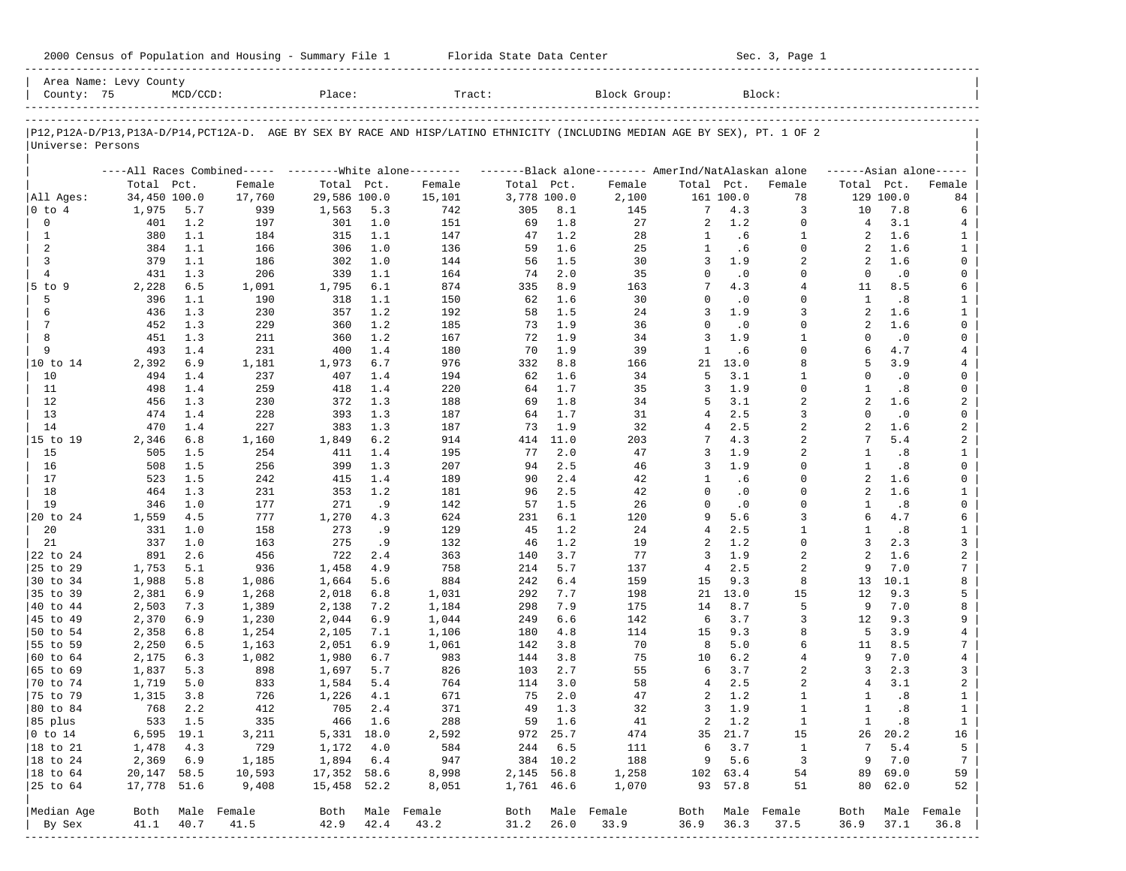| 2000 Census of Population and Housing - Summary File 1 |  | Florida State Data Center | Sec. 3, Page 1 |
|--------------------------------------------------------|--|---------------------------|----------------|
|--------------------------------------------------------|--|---------------------------|----------------|

| P12,P12A-D/P13,P13A-D/P14,PCT12A-D. AGE BY SEX BY RACE AND HISP/LATINO ETHNICITY (INCLUDING MEDIAN AGE BY SEX), PT. 1 OF 2 <br>Universe: Persons<br>All Ages:<br>$ 0 \t{to} 4$<br>$\mathbf 0$<br>1 | Total Pct.<br>34,450 100.0<br>1,975<br>401<br>380 | 5.7        | ----All Races Combined----- --------White alone--------<br>Female |                |            |                  |             |            |                                                     |                |            |                         |                     |            |                     |
|----------------------------------------------------------------------------------------------------------------------------------------------------------------------------------------------------|---------------------------------------------------|------------|-------------------------------------------------------------------|----------------|------------|------------------|-------------|------------|-----------------------------------------------------|----------------|------------|-------------------------|---------------------|------------|---------------------|
|                                                                                                                                                                                                    |                                                   |            |                                                                   |                |            |                  |             |            |                                                     |                |            |                         |                     |            |                     |
|                                                                                                                                                                                                    |                                                   |            |                                                                   |                |            |                  |             |            |                                                     |                |            |                         |                     |            |                     |
|                                                                                                                                                                                                    |                                                   |            |                                                                   |                |            |                  |             |            | -------Black alone-------- AmerInd/NatAlaskan alone |                |            |                         |                     |            | $---Asian alone---$ |
|                                                                                                                                                                                                    |                                                   |            |                                                                   | Total Pct.     |            | Female           | Total Pct.  |            | Female                                              | Total Pct.     |            | Female                  | Total Pct.          |            | Female              |
|                                                                                                                                                                                                    |                                                   |            | 17,760                                                            | 29,586 100.0   |            | 15,101           | 3,778 100.0 |            | 2,100                                               |                | 161 100.0  | 78                      |                     | 129 100.0  | 84                  |
|                                                                                                                                                                                                    |                                                   |            | 939                                                               | 1,563          | 5.3        | 742              | 305         | 8.1        | 145                                                 | 7              | 4.3        | 3                       | 10                  | 7.8        | 6                   |
|                                                                                                                                                                                                    |                                                   | 1.2        | 197                                                               | 301            | 1.0        | 151              | 69          | 1.8        | 27                                                  | 2              | 1.2        | $\mathbf 0$             | 4                   | 3.1        | 4                   |
|                                                                                                                                                                                                    |                                                   | 1.1        | 184                                                               | 315            | 1.1        | 147              | 47          | 1.2        | 28                                                  | $\mathbf{1}$   | .6         | 1<br>$\mathbf 0$        | 2                   | 1.6        | 1                   |
| 2<br>3                                                                                                                                                                                             | 384<br>379                                        | 1.1<br>1.1 | 166<br>186                                                        | 306<br>302     | 1.0<br>1.0 | 136<br>144       | 59<br>56    | 1.6<br>1.5 | 25<br>30                                            | 1<br>3         | .6<br>1.9  | 2                       | 2<br>2              | 1.6<br>1.6 | $\mathbf{1}$<br>0   |
| $\overline{4}$                                                                                                                                                                                     | 431                                               | 1.3        | 206                                                               | 339            | 1.1        | 164              | 74          | 2.0        | 35                                                  | $\Omega$       | $\cdot$ 0  | $\Omega$                | $\Omega$            | $\cdot$ 0  | 0                   |
| $5$ to $9$                                                                                                                                                                                         | 2,228                                             | 6.5        | 1,091                                                             | 1,795          | 6.1        | 874              | 335         | 8.9        | 163                                                 | 7              | 4.3        | $\overline{4}$          | 11                  | 8.5        | 6                   |
| 5                                                                                                                                                                                                  | 396                                               | 1.1        | 190                                                               | 318            | 1.1        | 150              | 62          | 1.6        | 30                                                  | $\Omega$       | $\cdot$ 0  | $\Omega$                | 1                   | .8         | $\mathbf{1}$        |
| 6                                                                                                                                                                                                  | 436                                               | 1.3        | 230                                                               | 357            | 1.2        | 192              | 58          | 1.5        | 24                                                  | 3              | 1.9        | 3                       | $\overline{a}$      | 1.6        | $\mathbf{1}$        |
| $7\phantom{.0}$                                                                                                                                                                                    | 452                                               | 1.3        | 229                                                               | 360            | 1.2        | 185              | 73          | 1.9        | 36                                                  | $\Omega$       | $\cdot$ 0  | $\Omega$                | 2                   | 1.6        | 0                   |
| 8                                                                                                                                                                                                  | 451                                               | 1.3        | 211                                                               | 360            | 1.2        | 167              | 72          | 1.9        | 34                                                  | 3              | 1.9        | $\mathbf{1}$            | $\Omega$            | $\cdot$ 0  | 0                   |
| 9                                                                                                                                                                                                  | 493                                               | 1.4        | 231                                                               | 400            | 1.4        | 180              | 70          | 1.9        | 39                                                  | $\mathbf{1}$   | .6         | $\Omega$                | 6                   | 4.7        | 4                   |
| 10 to 14                                                                                                                                                                                           | 2,392                                             | 6.9        | 1,181                                                             | 1,973          | 6.7        | 976              | 332         | 8.8        | 166                                                 | 21             | 13.0       | 8                       | 5                   | 3.9        | 4                   |
| 10                                                                                                                                                                                                 | 494                                               | 1.4        | 237                                                               | 407            | 1.4        | 194              | 62          | 1.6        | 34                                                  | 5              | 3.1        | $\mathbf{1}$            | $\Omega$            | $\cdot$ 0  | 0                   |
| 11                                                                                                                                                                                                 | 498                                               | 1.4        | 259                                                               | 418            | 1.4        | 220              | 64          | 1.7        | 35                                                  | 3              | 1.9        | 0                       | 1                   | .8         | 0                   |
| 12                                                                                                                                                                                                 | 456                                               | 1.3        | 230                                                               | 372            | 1.3        | 188              | 69          | 1.8        | 34                                                  | 5              | 3.1        | $\overline{a}$          | $\overline{a}$      | 1.6        | 2                   |
| 13                                                                                                                                                                                                 | 474                                               | 1.4        | 228                                                               | 393            | 1.3        | 187              | 64          | 1.7        | 31                                                  | 4              | 2.5        | 3                       | $\Omega$            | $\cdot$ 0  | 0                   |
| 14                                                                                                                                                                                                 | 470                                               | 1.4        | 227                                                               | 383            | 1.3        | 187              | 73          | 1.9        | 32                                                  | 4              | 2.5        | $\overline{a}$          | $\overline{a}$      | 1.6        | 2                   |
| 15 to 19                                                                                                                                                                                           | 2,346                                             | 6.8        | 1,160                                                             | 1,849          | 6.2        | 914              | 414         | 11.0       | 203                                                 | 7              | 4.3        | 2                       | 7                   | 5.4        | 2                   |
| 15                                                                                                                                                                                                 | 505                                               | 1.5        | 254                                                               | 411            | 1.4        | 195              | 77          | 2.0        | 47                                                  | 3              | 1.9        | $\overline{a}$          | 1                   | .8         | $\mathbf{1}$        |
| 16                                                                                                                                                                                                 | 508                                               | 1.5        | 256                                                               | 399            | 1.3        | 207              | 94          | 2.5        | 46                                                  | 3              | 1.9        | $\Omega$                | 1                   | .8         | 0                   |
| 17                                                                                                                                                                                                 | 523                                               | 1.5        | 242                                                               | 415            | 1.4        | 189              | 90          | 2.4        | 42                                                  | 1              | .6         | $\Omega$                | $\overline{a}$      | 1.6        | 0                   |
| 18                                                                                                                                                                                                 | 464                                               | 1.3        | 231                                                               | 353            | 1.2        | 181              | 96          | 2.5        | 42                                                  | $\Omega$       | $\cdot$ 0  | $\Omega$                | 2                   | 1.6        | $\mathbf{1}$        |
| 19                                                                                                                                                                                                 | 346                                               | 1.0        | 177                                                               | 271            | .9         | 142              | 57          | 1.5        | 26                                                  | $\Omega$       | $\cdot$ 0  | $\Omega$                | $\mathbf{1}$        | .8         | $\mathsf{O}$        |
| 20 to 24                                                                                                                                                                                           | 1,559                                             | 4.5        | 777                                                               | 1,270          | 4.3        | 624              | 231         | 6.1        | 120                                                 | 9              | 5.6        | 3                       | 6                   | 4.7        | 6                   |
| 20                                                                                                                                                                                                 | 331                                               | 1.0        | 158                                                               | 273            | . 9        | 129              | 45          | 1.2        | 24                                                  | $\overline{4}$ | 2.5        | $\mathbf{1}$            | -1                  | .8         | $\mathbf{1}$        |
| 21                                                                                                                                                                                                 | 337                                               | 1.0        | 163                                                               | 275            | .9         | 132              | 46          | 1.2        | 19                                                  | 2              | 1.2        | $\Omega$                | 3                   | 2.3        | 3                   |
| 22 to 24                                                                                                                                                                                           | 891                                               | 2.6        | 456<br>936                                                        | 722            | 2.4        | 363              | 140         | 3.7        | 77                                                  | 3              | 1.9<br>2.5 | $\overline{a}$          | $\overline{a}$<br>9 | 1.6<br>7.0 | $\overline{a}$      |
| 25 to 29                                                                                                                                                                                           | 1,753<br>1,988                                    | 5.1<br>5.8 |                                                                   | 1,458          | 4.9<br>5.6 | 758<br>884       | 214<br>242  | 5.7<br>6.4 | 137<br>159                                          | 4<br>15        | 9.3        | 2<br>8                  | 13                  | 10.1       | 7<br>8              |
| 30 to 34<br>35 to 39                                                                                                                                                                               | 2,381                                             | 6.9        | 1,086<br>1,268                                                    | 1,664<br>2,018 | 6.8        | 1,031            | 292         | 7.7        | 198                                                 | 21             | 13.0       | 15                      | 12                  | 9.3        | 5                   |
| 40 to 44                                                                                                                                                                                           | 2,503                                             | 7.3        | 1,389                                                             | 2,138          | 7.2        | 1,184            | 298         | 7.9        | 175                                                 | 14             | 8.7        | 5                       | 9                   | 7.0        | 8                   |
| 45 to 49                                                                                                                                                                                           | 2,370                                             | 6.9        | 1,230                                                             | 2,044          | 6.9        | 1,044            | 249         | 6.6        | 142                                                 | 6              | 3.7        | 3                       | 12                  | 9.3        | 9                   |
| 50 to 54                                                                                                                                                                                           | 2,358                                             | 6.8        | 1,254                                                             | 2,105          | 7.1        | 1,106            | 180         | 4.8        | 114                                                 | 15             | 9.3        | 8                       | 5                   | 3.9        | $\overline{4}$      |
| 55 to 59                                                                                                                                                                                           | 2,250                                             | 6.5        | 1,163                                                             | 2,051          | 6.9        | 1,061            | 142         | 3.8        | 70                                                  | 8              | 5.0        | 6                       | 11                  | 8.5        | 7                   |
| 60 to 64                                                                                                                                                                                           | 2,175                                             | 6.3        | 1,082                                                             | 1,980          | 6.7        | 983              | 144         | 3.8        | 75                                                  | 10             | 6.2        | $\overline{4}$          | 9                   | 7.0        | $\overline{4}$      |
| 65 to 69                                                                                                                                                                                           | 1,837                                             | 5.3        | 898                                                               | 1,697          | 5.7        | 826              | 103         | 2.7        | 55                                                  | 6              | 3.7        | 2                       | 3                   | 2.3        | 3                   |
| 70 to 74                                                                                                                                                                                           | 1,719                                             | 5.0        | 833                                                               | 1,584          | 5.4        | 764              | 114         | 3.0        | 58                                                  | 4              | 2.5        | $\overline{a}$          | 4                   | 3.1        | 2                   |
| 75 to 79                                                                                                                                                                                           | 1,315                                             | 3.8        | 726                                                               | 1,226          | 4.1        | 671              | 75          | 2.0        | 47                                                  | 2              | 1.2        | 1                       | 1                   | .8         | $\mathbf{1}$        |
| 80 to 84                                                                                                                                                                                           | 768                                               | 2.2        | 412                                                               | 705            | 2.4        | 371              | 49          | 1.3        | 32                                                  | 3              | 1.9        | $\mathbf{1}$            | $\mathbf{1}$        | .8         | $\mathbf{1}$        |
| 85 plus                                                                                                                                                                                            |                                                   | 533 1.5    | 335                                                               |                | 466 1.6    | 288              |             | 59 1.6     | 41                                                  |                | 2 1.2      | $\mathbf{1}$            | $\mathbf{1}$        | $\cdot$ 8  | $\mathbf{1}$        |
| $ 0 \t{to} 14$                                                                                                                                                                                     | $6,595$ 19.1                                      |            | 3,211                                                             | 5,331 18.0     |            | 2,592            |             | 972 25.7   | 474                                                 |                | 35 21.7    | 15                      |                     | 26 20.2    | 16                  |
| 18 to 21                                                                                                                                                                                           | 1,478                                             | 4.3        | 729                                                               | 1,172          | 4.0        | 584              | 244         | 6.5        | 111                                                 | 6              | 3.7        | $\mathbf{1}$            | 7                   | 5.4        | 5                   |
| $ 18$ to $24$                                                                                                                                                                                      | 2,369                                             | 6.9        | 1,185                                                             | 1,894          | 6.4        | 947              |             | 384 10.2   | 188                                                 |                | 9 5.6      | $\overline{\mathbf{3}}$ | 9                   | 7.0        | $7\phantom{.0}$     |
| 18 to 64                                                                                                                                                                                           | 20,147 58.5                                       |            | 10,593                                                            | 17,352 58.6    |            | 8,998            | 2,145 56.8  |            | 1,258                                               |                | 102 63.4   | 54                      | 89                  | 69.0       | 59                  |
| 25 to 64                                                                                                                                                                                           | 17,778 51.6                                       |            | 9,408                                                             | 15,458 52.2    |            | 8,051            | 1,761 46.6  |            | 1,070                                               |                | 93 57.8    | 51                      | 80                  | 62.0       | 52                  |
| Median Age                                                                                                                                                                                         | Both                                              |            | Male Female                                                       |                |            | Both Male Female |             |            | Both Male Female                                    | Both           |            | Male Female             | Both                |            | Male Female         |
| By Sex                                                                                                                                                                                             | 41.1                                              | 40.7       | 41.5                                                              | 42.9           | 42.4       | 43.2             | 31.2        | 26.0       | 33.9                                                | 36.9           | 36.3       | 37.5                    | 36.9                | 37.1       | 36.8                |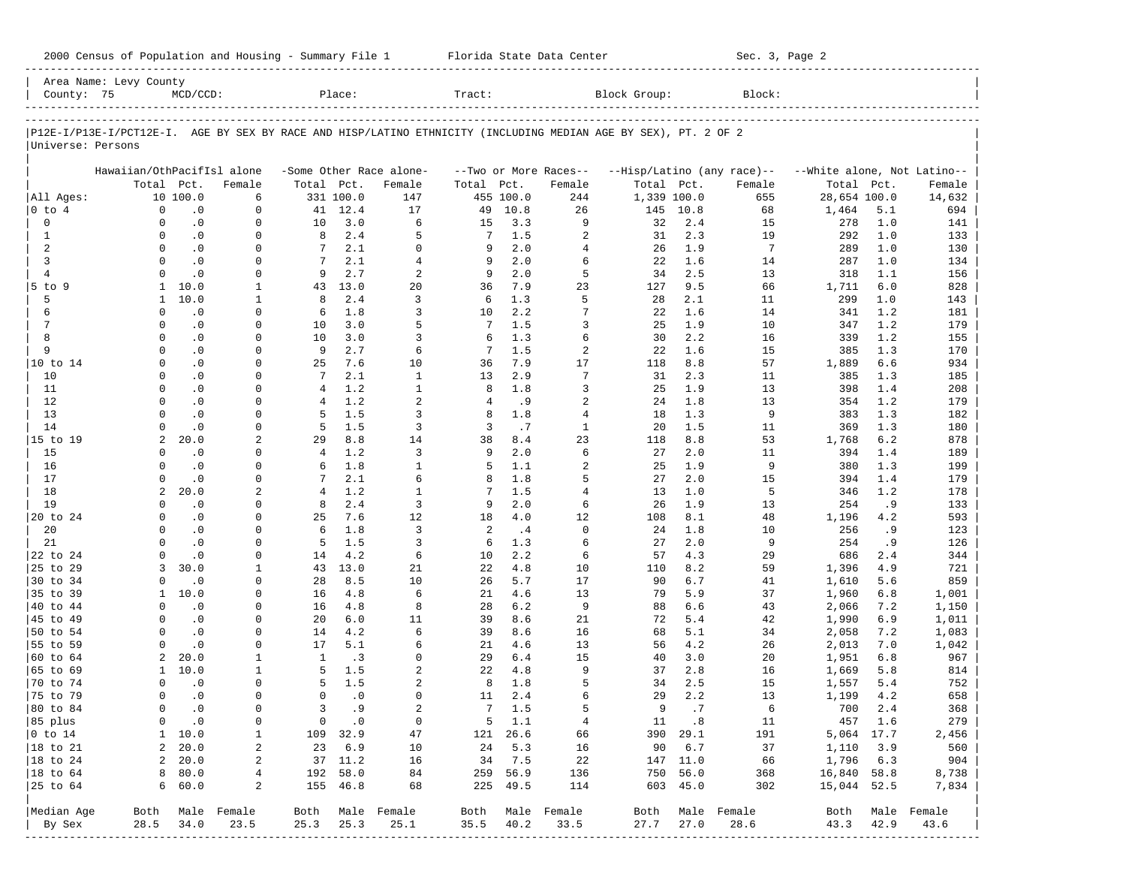| 2000 Census of Population and Housing - Summary File 1 |  | Florida State Data Center | Sec. 3, Page 2 |
|--------------------------------------------------------|--|---------------------------|----------------|
|--------------------------------------------------------|--|---------------------------|----------------|

| County: 75                                   | Area Name: Levy County                                                                                         | $MCD/CCD$ :            |                          |                 | Place:               |                          | Tract:          |                      |                          | Block Group: |                      | Block:                     |                             |            |                          |
|----------------------------------------------|----------------------------------------------------------------------------------------------------------------|------------------------|--------------------------|-----------------|----------------------|--------------------------|-----------------|----------------------|--------------------------|--------------|----------------------|----------------------------|-----------------------------|------------|--------------------------|
|                                              |                                                                                                                |                        |                          |                 |                      |                          |                 |                      |                          |              |                      |                            |                             |            |                          |
|                                              | P12E-I/P13E-I/PCT12E-I. AGE BY SEX BY RACE AND HISP/LATINO ETHNICITY (INCLUDING MEDIAN AGE BY SEX), PT. 2 OF 2 |                        |                          |                 |                      |                          |                 |                      |                          |              |                      |                            |                             |            |                          |
| Universe: Persons                            |                                                                                                                |                        |                          |                 |                      |                          |                 |                      |                          |              |                      |                            |                             |            |                          |
|                                              | Hawaiian/OthPacifIsl alone                                                                                     |                        |                          |                 |                      | -Some Other Race alone-  |                 |                      | --Two or More Races--    |              |                      | --Hisp/Latino (any race)-- | --White alone, Not Latino-- |            |                          |
|                                              | Total Pct.                                                                                                     |                        | Female                   | Total Pct.      |                      | Female                   | Total           | Pct.                 | Female                   | Total Pct.   |                      | Female                     | Total                       | Pct.       | Female                   |
| All Ages:                                    |                                                                                                                | 10 100.0               | 6                        |                 | 331 100.0            | 147                      |                 | 455 100.0            | 244                      | 1,339 100.0  |                      | 655                        | 28,654 100.0                |            | 14,632                   |
| $0$ to $4$                                   | $\mathbf 0$                                                                                                    | $\cdot$ 0              | $\mathbf 0$              |                 | 41 12.4              | 17                       | 49              | 10.8                 | 26                       | 145          | 10.8                 | 68                         | 1,464                       | 5.1        | 694                      |
| 0                                            | $\Omega$                                                                                                       | $\cdot$ 0              | $\mathbf 0$              | 10              | 3.0                  | 6                        | 15              | 3.3                  | 9                        | 32           | 2.4                  | 15                         | 278                         | 1.0        | 141                      |
| $\mathbf{1}$                                 | $\Omega$                                                                                                       | $\cdot$ 0              | $\Omega$                 | 8               | 2.4                  | 5                        | 7               | 1.5                  | $\overline{2}$           | 31           | 2.3                  | 19                         | 292                         | 1.0        | 133                      |
| 2                                            | $\Omega$                                                                                                       | $\cdot$ 0              | 0                        | 7               | 2.1                  | $\Omega$                 | 9               | 2.0                  | $\overline{4}$           | 26           | 1.9                  | $7\phantom{.0}$            | 289                         | 1.0        | 130                      |
| 3                                            | $\Omega$                                                                                                       | $\cdot$ 0              | $\Omega$                 | $7\phantom{.0}$ | 2.1                  | $\overline{4}$           | 9               | 2.0                  | 6                        | 22           | 1.6                  | 14                         | 287                         | 1.0        | 134                      |
| $\overline{4}$                               | $\Omega$                                                                                                       | $\cdot$ 0              | 0                        | 9               | 2.7<br>13.0          | 2                        | 9               | 2.0<br>7.9           | 5                        | 34           | 2.5                  | 13                         | 318                         | 1.1<br>6.0 | 156                      |
| 5 to 9<br>5                                  | 1<br>$\mathbf{1}$                                                                                              | 10.0<br>10.0           | 1<br>1                   | 43<br>8         | 2.4                  | 20<br>3                  | 36<br>6         | 1.3                  | 23<br>5                  | 127<br>28    | 9.5<br>2.1           | 66<br>11                   | 1,711<br>299                | 1.0        | 828<br>143               |
| 6                                            | $\Omega$                                                                                                       | $\cdot$ 0              | $\Omega$                 | 6               | 1.8                  | 3                        | 10              | 2.2                  | 7                        | 22           | 1.6                  | 14                         | 341                         | 1.2        | 181                      |
| 7                                            | $\Omega$                                                                                                       | $\cdot$ 0              | 0                        | 10              | 3.0                  | 5                        | 7               | 1.5                  | 3                        | 25           | 1.9                  | 10                         | 347                         | 1.2        | 179                      |
| 8                                            | $\Omega$                                                                                                       | $\cdot$ 0              | $\Omega$                 | 10              | 3.0                  | 3                        | 6               | 1.3                  | 6                        | 30           | 2.2                  | 16                         | 339                         | 1.2        | 155                      |
| 9                                            | $\Omega$                                                                                                       | $\cdot$ 0              | 0                        | 9               | 2.7                  | 6                        | 7               | 1.5                  | $\overline{2}$           | 22           | 1.6                  | 15                         | 385                         | 1.3        | 170                      |
| 10 to 14                                     | $\Omega$                                                                                                       | $\cdot$ 0              | $\Omega$                 | 25              | 7.6                  | 10                       | 36              | 7.9                  | 17                       | 118          | 8.8                  | 57                         | 1,889                       | 6.6        | 934                      |
| 10                                           | $\Omega$                                                                                                       | $\cdot$ 0              | 0                        | 7               | 2.1                  | $\mathbf{1}$             | 13              | 2.9                  | $\overline{7}$           | 31           | 2.3                  | 11                         | 385                         | 1.3        | 185                      |
| 11                                           | $\Omega$                                                                                                       | $\cdot$ 0              | $\Omega$                 | $\overline{4}$  | 1.2                  | $\mathbf{1}$             | 8               | 1.8                  | 3                        | 25           | 1.9                  | 13                         | 398                         | 1.4        | 208                      |
| 12                                           | $\Omega$                                                                                                       | $\cdot$ 0              | $\Omega$                 | $\overline{4}$  | 1.2                  | $\overline{a}$           | 4               | .9                   | $\overline{a}$           | 24           | 1.8                  | 13                         | 354                         | 1.2        | 179                      |
| 13                                           | $\Omega$                                                                                                       | $\cdot$ 0              | $\Omega$                 | 5               | 1.5                  | 3                        | 8               | 1.8                  | $\overline{4}$           | 18           | 1.3                  | 9                          | 383                         | 1.3        | 182                      |
| 14                                           | $\Omega$                                                                                                       | $\cdot$ 0              | $\Omega$                 | 5               | 1.5                  | $\overline{3}$           | 3               | .7                   | $\mathbf{1}$             | 20           | 1.5                  | 11                         | 369                         | 1.3        | 180                      |
| 15 to 19                                     | $\overline{a}$                                                                                                 | 20.0                   | 2                        | 29              | 8.8                  | 14                       | 38              | 8.4                  | 23                       | 118          | 8.8                  | 53                         | 1,768                       | 6.2        | 878                      |
| 15                                           | $\Omega$                                                                                                       | $\cdot$ 0              | 0                        | $\overline{4}$  | 1.2                  | $\overline{3}$           | 9               | 2.0                  | 6                        | 27           | 2.0                  | 11                         | 394                         | 1.4        | 189                      |
| 16                                           | $\Omega$                                                                                                       | $\cdot$ 0              | $\Omega$                 | 6               | 1.8                  | $\mathbf{1}$             | 5               | 1.1                  | $\overline{2}$           | 25           | 1.9                  | 9                          | 380                         | 1.3        | 199                      |
| 17                                           | $\Omega$                                                                                                       | $\cdot$ 0              | $\mathbf 0$              |                 | 2.1                  | б.                       | 8               | 1.8                  | 5                        | 27           | 2.0                  | 15                         | 394                         | 1.4        | 179                      |
| 18                                           | $\overline{a}$                                                                                                 | 20.0                   | 2                        | $\overline{4}$  | 1.2                  | $\mathbf{1}$             | 7               | 1.5                  | $\overline{4}$           | 13           | 1.0                  | 5                          | 346                         | 1.2        | 178                      |
| 19                                           | $\Omega$                                                                                                       | $\cdot$ 0              | 0<br>$\Omega$            | 8               | 2.4<br>7.6           | $\overline{3}$           | 9               | 2.0                  | 6                        | 26           | 1.9                  | 13                         | 254                         | .9         | 133                      |
| 20 to 24<br>20                               | $\Omega$<br>$\Omega$                                                                                           | $\cdot$ 0<br>$\cdot$ 0 | 0                        | 25<br>6         | 1.8                  | 12<br>$\overline{3}$     | 18<br>2         | 4.0<br>.4            | 12<br>$\mathbf 0$        | 108<br>24    | 8.1<br>1.8           | 48<br>10                   | 1,196<br>256                | 4.2<br>. 9 | 593                      |
| 21                                           | $\Omega$                                                                                                       | $\cdot$ 0              | $\Omega$                 | 5               | 1.5                  | 3                        | 6               | 1.3                  | 6                        | 27           | 2.0                  | 9                          | 254                         | .9         | 123<br>126               |
| 22 to 24                                     | $\Omega$                                                                                                       | $\cdot$ 0              | 0                        | 14              | 4.2                  | 6                        | 10              | 2.2                  | 6                        | 57           | 4.3                  | 29                         | 686                         | 2.4        | 344                      |
| 25 to 29                                     | 3                                                                                                              | 30.0                   | 1                        | 43              | 13.0                 | 21                       | 22              | 4.8                  | 10                       | 110          | 8.2                  | 59                         | 1,396                       | 4.9        | 721                      |
| 30 to 34                                     | $\Omega$                                                                                                       | $\cdot$ 0              | 0                        | 28              | 8.5                  | 10                       | 26              | 5.7                  | 17                       | 90           | 6.7                  | 41                         | 1,610                       | 5.6        | 859                      |
| 35 to 39                                     | 1                                                                                                              | 10.0                   | $\Omega$                 | 16              | 4.8                  | 6                        | 21              | 4.6                  | 13                       | 79           | 5.9                  | 37                         | 1,960                       | 6.8        | 1,001                    |
| 40 to 44                                     | $\Omega$                                                                                                       | $\cdot$ 0              | 0                        | 16              | 4.8                  | 8                        | 28              | $6.2$                | 9                        | 88           | 6.6                  | 43                         | 2,066                       | 7.2        | 1,150                    |
| 45 to 49                                     | $\Omega$                                                                                                       | $\cdot$ 0              | 0                        | 20              | 6.0                  | 11                       | 39              | 8.6                  | 21                       | 72           | 5.4                  | 42                         | 1,990                       | 6.9        | 1,011                    |
| 50 to 54                                     | $\Omega$                                                                                                       | $\cdot$ 0              | 0                        | 14              | 4.2                  | 6                        | 39              | 8.6                  | 16                       | 68           | 5.1                  | 34                         | 2,058                       | 7.2        | 1,083                    |
| 55 to 59                                     | $\Omega$                                                                                                       | $\cdot$ 0              | $\Omega$                 | 17              | 5.1                  | 6                        | 21              | 4.6                  | 13                       | 56           | 4.2                  | 26                         | 2,013                       | 7.0        | 1,042                    |
| 60 to 64                                     | 2                                                                                                              | 20.0                   | 1                        | $\mathbf{1}$    | .3                   | $\Omega$                 | 29              | 6.4                  | 15                       | 40           | 3.0                  | 20                         | 1,951                       | 6.8        | 967                      |
| 65 to 69                                     | 1                                                                                                              | 10.0                   | 1                        | 5               | 1.5                  | $\overline{a}$           | 22              | 4.8                  | 9                        | 37           | 2.8                  | 16                         | 1,669                       | 5.8        | 814                      |
| 70 to 74                                     | $\Omega$                                                                                                       | $\cdot$ 0              | 0                        | 5               | 1.5                  | $\overline{a}$           | 8               | 1.8                  | 5                        | 34           | 2.5                  | 15                         | 1,557                       | 5.4        | 752                      |
| 75 to 79                                     | $\Omega$                                                                                                       | $\cdot$ 0              | $\Omega$                 | $\Omega$        | $\cdot$ 0            | $\Omega$                 | 11              | 2.4                  | 6                        | 29           | 2.2                  | 13                         | 1,199                       | 4.2        | 658                      |
| 80 to 84                                     | $\Omega$                                                                                                       | $\cdot$ 0              | $\mathbf 0$              | 3               | . 9                  | $\overline{a}$           | $7\overline{ }$ | 1.5                  | 5                        | 9            | .7                   | 6                          | 700                         | 2.4        | 368                      |
| 85 plus                                      |                                                                                                                | $0 \qquad .0$          | 0                        |                 | $0 \qquad .0$        | $\circ$                  |                 | $5 \quad 1.1$        | $\overline{4}$           |              | 11 .8                | 11                         | 457 1.6                     |            | 279                      |
| $ 0 \t{to} 14$                               |                                                                                                                | $1 \quad 10.0$         | 1                        |                 | 109 32.9             | 47                       |                 | 121 26.6             | 66                       |              | 390 29.1             | 191                        | 5,064 17.7                  |            | 2,456                    |
| $ 18 \text{ to } 21$                         |                                                                                                                | 2, 20.0                | 2                        |                 | 23 6.9<br>37 11.2    | 10                       |                 | 24 5.3               | 16                       |              | 90 6.7               | 37                         | 1,110 3.9                   |            | 560                      |
| $ 18 \text{ to } 24$<br>$ 18 \text{ to } 64$ |                                                                                                                | 2, 20.0<br>8 80.0      | 2                        |                 |                      | 16                       |                 | 34 7.5               | 22                       |              | 147 11.0<br>750 56.0 | 66                         | 1,796 6.3                   |            | 904                      |
| $ 25$ to $64$                                |                                                                                                                | 660.0                  | 4<br>2                   |                 | 192 58.0<br>155 46.8 | 84<br>68                 |                 | 259 56.9<br>225 49.5 | 136<br>114               |              | 603 45.0             | 368<br>302                 | 16,840 58.8<br>15,044 52.5  |            | 8,738<br>7,834           |
|                                              |                                                                                                                |                        |                          |                 |                      |                          |                 |                      |                          |              |                      |                            |                             |            |                          |
| Median Age<br>By Sex                         | 28.5                                                                                                           | 34.0                   | Both Male Female<br>23.5 | 25.3            | 25.3                 | Both Male Female<br>25.1 | $35.5$ 40.2     |                      | Both Male Female<br>33.5 | 27.7         | 27.0                 | Both Male Female<br>28.6   | 43.3                        | 42.9       | Both Male Female<br>43.6 |
|                                              |                                                                                                                |                        |                          |                 |                      |                          |                 |                      |                          |              |                      |                            |                             |            |                          |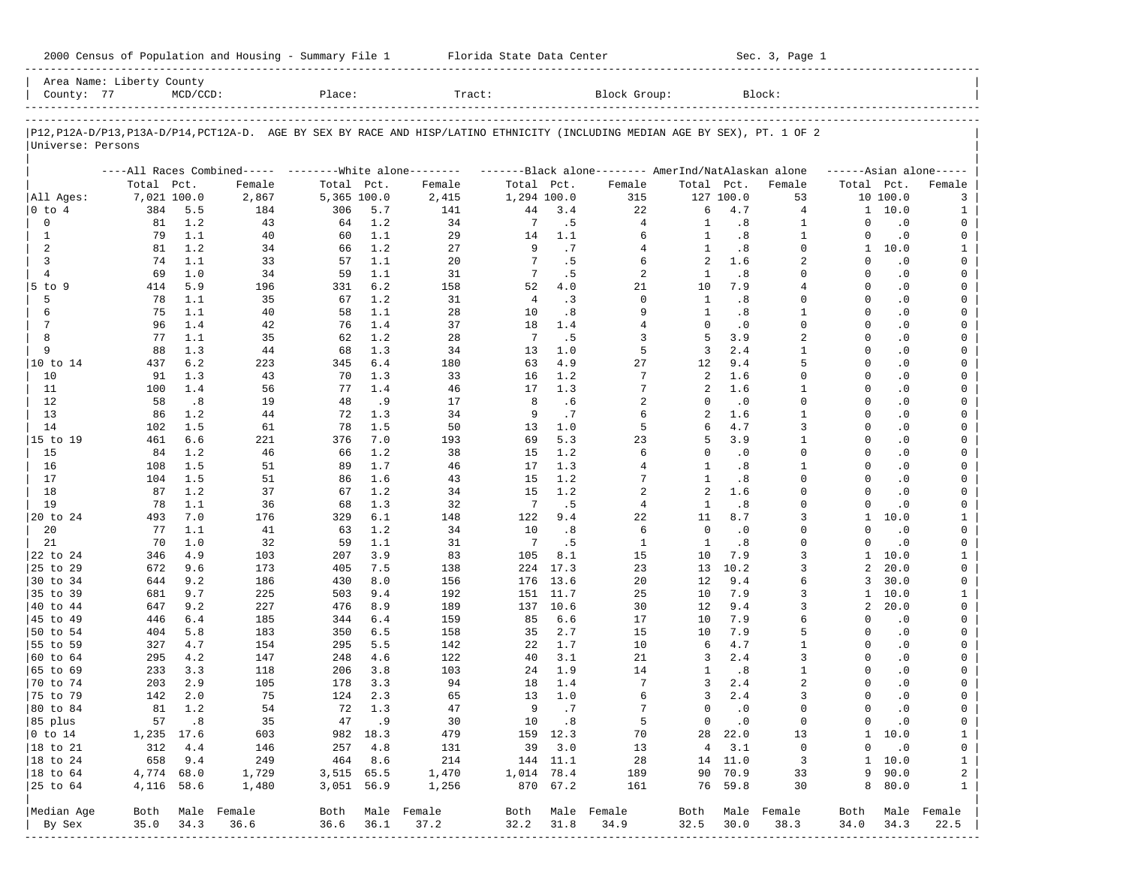|                                         |             |             |           |             |            | 2000 Census of Population and Housing - Summary File 1 Florida State Data Center |                |             |                                                                                                                               |            |                  | Sec. 3, Page 1 |               |                             |                       |
|-----------------------------------------|-------------|-------------|-----------|-------------|------------|----------------------------------------------------------------------------------|----------------|-------------|-------------------------------------------------------------------------------------------------------------------------------|------------|------------------|----------------|---------------|-----------------------------|-----------------------|
| Area Name: Liberty County<br>County: 77 |             | $MCD/CCD$ : |           | Place:      |            | Tract:                                                                           |                |             | Block Group:                                                                                                                  |            |                  | Block:         |               |                             |                       |
|                                         |             |             |           |             |            |                                                                                  |                |             | P12, P12A-D/P13, P13A-D/P14, PCT12A-D. AGE BY SEX BY RACE AND HISP/LATINO ETHNICITY (INCLUDING MEDIAN AGE BY SEX), PT. 1 OF 2 |            |                  |                |               |                             |                       |
| Universe: Persons                       |             |             |           |             |            |                                                                                  |                |             |                                                                                                                               |            |                  |                |               |                             |                       |
|                                         |             |             |           |             |            |                                                                                  |                |             | ----All Races Combined----- --------White alone-------- ---------Black alone-------- AmerInd/NatAlaskan alone                 |            |                  |                |               |                             | $----A sian alone---$ |
|                                         | Total Pct.  |             | Female    | Total Pct.  |            | Female                                                                           | Total Pct.     |             | Female                                                                                                                        | Total Pct. |                  | Female         | Total Pct.    |                             | Female                |
| All Ages:                               | 7,021 100.0 |             | 2,867     | 5,365 100.0 |            | 2,415                                                                            | 1,294 100.0    |             | 315                                                                                                                           |            | 127 100.0        | 53             |               | 10 100.0                    | 3                     |
| $ 0 \t{to} 4$                           | 384         | 5.5         | 184       | 306         | 5.7        | 141                                                                              | 44             | 3.4         | 22                                                                                                                            | 6          | 4.7              | 4              |               | 1 10.0                      | 1                     |
| 0                                       | 81          | 1.2         | 43        | 64          | 1.2        | 34                                                                               | 7              | .5          | 4                                                                                                                             | 1          | .8               | 1              | 0             | $\cdot$ 0                   | 0                     |
| 1                                       | 79          | 1.1         | 40        | 60          | 1.1        | 29                                                                               | 14             | 1.1         | 6                                                                                                                             | 1          | .8               | 1              | 0             | $\cdot$ 0                   | 0                     |
| 2                                       | 81          | 1.2         | 34        | 66          | 1.2        | 27                                                                               | 9              | .7          | 4                                                                                                                             | 1          | .8               | 0              | $\mathbf{1}$  | 10.0                        | 1                     |
| 3<br>4                                  | 74<br>69    | 1.1<br>1.0  | 33<br>34  | 57          | 1.1<br>1.1 | 20<br>31                                                                         | 7<br>7         | .5<br>. 5   | 6<br>2                                                                                                                        | 2<br>1     | 1.6<br>.8        | 2<br>0         | $\Omega$<br>0 | $\cdot$ 0<br>$\cdot$ 0      | 0<br>0                |
| $5$ to $9$                              | 414         | 5.9         | 196       | 59<br>331   | 6.2        | 158                                                                              | 52             | 4.0         | 21                                                                                                                            | 10         | 7.9              | 4              | 0             | $\cdot$ 0                   | 0                     |
| 5                                       | 78          | 1.1         | 35        | 67          | 1.2        | 31                                                                               | $\overline{4}$ | $\cdot$ 3   | $\mathbf 0$                                                                                                                   | 1          | .8               | 0              | 0             | $\cdot$ 0                   | 0                     |
| 6                                       | 75          | 1.1         | 40        | 58          | 1.1        | 28                                                                               | 10             | .8          | 9                                                                                                                             | 1          | .8               | 1              | 0             | $\cdot$ 0                   | 0                     |
| 7                                       | 96          | 1.4         | 42        | 76          | 1.4        | 37                                                                               | 18             | 1.4         | 4                                                                                                                             | $\Omega$   | $\cdot$ 0        | 0              | 0             | $\cdot$ 0                   | 0                     |
| 8                                       | 77          | 1.1         | 35        | 62          | 1.2        | 28                                                                               | -7             | .5          | 3                                                                                                                             | 5          | 3.9              | 2              | 0             | $\cdot$ 0                   | 0                     |
| 9                                       | 88          | 1.3         | 44        | 68          | 1.3        | 34                                                                               | 13             | 1.0         | 5                                                                                                                             | 3          | 2.4              | 1              | 0             | $\cdot$ 0                   | 0                     |
|                                         | 437         | 6.2         | 223       | 345         | 6.4        | 180                                                                              | 63             | 4.9         | 27                                                                                                                            | 12         | 9.4              | 5              | 0             | $\cdot$ 0                   | 0                     |
| 10                                      | 91          | 1.3         | 43        | 70          | 1.3        | 33                                                                               | 16             | 1.2         | 7                                                                                                                             | 2          | 1.6              | 0              | 0             | $\cdot$ 0                   | 0                     |
| 11                                      | 100         | 1.4         | 56        | 77          | 1.4        | 46                                                                               | 17             | 1.3         | 7                                                                                                                             | 2          | 1.6              | 1              | 0             | $\cdot$ 0                   | 0                     |
| 12<br>13                                | 58          | .8          | 19<br>44  | 48          | .9<br>1.3  | 17<br>34                                                                         | 8<br>9         | .6<br>.7    | 2                                                                                                                             | 0<br>2     | $\cdot$ 0<br>1.6 | 0<br>1         | 0<br>0        | $\cdot$ 0<br>$\cdot$ 0      | 0                     |
| 14                                      | 86<br>102   | 1.2<br>1.5  | 61        | 72<br>78    | 1.5        | 50                                                                               | 13             | 1.0         | 6<br>5                                                                                                                        | 6          | 4.7              | 3              | 0             | $\cdot$ 0                   | 0<br>0                |
| 15 to 19                                | 461         | 6.6         | 221       | 376         | 7.0        | 193                                                                              | 69             | 5.3         | 23                                                                                                                            | 5          | 3.9              | 1              | 0             | $\cdot$ 0                   | 0                     |
| 15                                      | 84          | 1.2         | 46        | 66          | 1.2        | 38                                                                               | 15             | 1.2         | 6                                                                                                                             | $\Omega$   | $\cdot$ 0        | 0              | 0             | $\cdot$ 0                   | 0                     |
| 16                                      | 108         | 1.5         | 51        | 89          | 1.7        | 46                                                                               | 17             | 1.3         | 4                                                                                                                             | 1          | .8               | 1              | 0             | $\cdot$ 0                   | 0                     |
| 17                                      | 104         | 1.5         | 51        | 86          | 1.6        | 43                                                                               | 15             | 1.2         | 7                                                                                                                             | 1          | .8               | 0              | 0             | $\cdot$ 0                   | 0                     |
| 18                                      | 87          | 1.2         | 37        | 67          | 1.2        | 34                                                                               | 15             | 1.2         | 2                                                                                                                             | 2          | 1.6              | 0              | 0             | $\cdot$ 0                   | 0                     |
| 19                                      | 78          | 1.1         | 36        | 68          | 1.3        | 32                                                                               | -7             | .5          | 4                                                                                                                             | 1          | .8               | 0              | 0             | $\cdot$ 0                   | 0                     |
| 20 to 24                                | 493         | 7.0         | 176       | 329         | 6.1        | 148                                                                              | 122            | 9.4         | 22                                                                                                                            | 11         | 8.7              | 3              | $\mathbf{1}$  | 10.0                        | 1                     |
| 20                                      | 77          | 1.1         | 41        | 63          | 1.2        | 34                                                                               | 10             | .8          | 6                                                                                                                             | $\circ$    | $\cdot$ 0        | 0              | 0             | $\cdot$ 0                   | 0                     |
| 21                                      | 70<br>346   | 1.0         | 32<br>103 | 59<br>207   | 1.1        | 31<br>83                                                                         | -7<br>105      | .5          | 1<br>15                                                                                                                       | 1<br>10    | .8<br>7.9        | 0<br>3         | $\Omega$      | $\cdot$ 0<br>$1 \quad 10.0$ | 0<br>$\mathbf{1}$     |
| 22 to 24<br>25 to 29                    | 672         | 4.9<br>9.6  | 173       | 405         | 3.9<br>7.5 | 138                                                                              | 224            | 8.1<br>17.3 | 23                                                                                                                            | 13         | 10.2             | 3              | 2             | 20.0                        | 0                     |
| 30 to 34                                | 644         | 9.2         | 186       | 430         | 8.0        | 156                                                                              | 176            | 13.6        | 20                                                                                                                            | 12         | 9.4              | 6              | 3             | 30.0                        | 0                     |
| 35 to 39                                | 681         | 9.7         | 225       | 503         | 9.4        | 192                                                                              | 151            | 11.7        | 25                                                                                                                            | 10         | 7.9              | 3              | $\mathbf{1}$  | 10.0                        | 1                     |
| 40 to 44                                | 647         | 9.2         | 227       | 476         | 8.9        | 189                                                                              |                | 137 10.6    | 30                                                                                                                            | 12         | 9.4              | 3              | 2             | 20.0                        | 0                     |
| 45 to 49                                | 446         | 6.4         | 185       | 344         | 6.4        | 159                                                                              | 85             | 6.6         | 17                                                                                                                            | 10         | 7.9              | 6              | 0             | $\cdot$ 0                   | 0                     |
| 50 to 54                                | 404         | 5.8         | 183       | 350         | 6.5        | 158                                                                              | 35             | 2.7         | 15                                                                                                                            | 10         | 7.9              | 5              | 0             | $\cdot$ 0                   | 0                     |
| 55 to 59                                | 327         | 4.7         | 154       | 295         | 5.5        | 142                                                                              | 22             | 1.7         | 10                                                                                                                            | 6          | 4.7              | $\mathbf{1}$   | $\Omega$      | $\cdot$ 0                   | 0                     |
| 60 to 64                                | 295         | 4.2         | 147       | 248         | 4.6        | 122                                                                              | 40             | 3.1         | 21                                                                                                                            | 3          | 2.4              | 3              | $\Omega$      | $\cdot$ 0                   | 0                     |
| 65 to 69                                | 233         | 3.3         | 118       | 206         | 3.8        | 103                                                                              | 24             | 1.9         | 14                                                                                                                            | 1          | .8               | $\mathbf{1}$   | 0             | $\cdot$ 0                   | 0                     |
| $ 70 \tto 74$                           | 203         | 2.9         | 105       |             | 178 3.3    | 94                                                                               |                | 18 1.4      | 7                                                                                                                             | 3          | 2.4              | 2              | 0<br>0        | $\cdot$ 0                   | 0                     |
| 75 to 79<br>80 to 84                    | 142<br>81   | 2.0<br>1.2  | 75<br>54  | 124<br>72   | 2.3<br>1.3 | 65<br>47                                                                         | 13<br>9        | 1.0<br>.7   | 6<br>7                                                                                                                        | 3<br>0     | 2.4<br>$\cdot$ 0 | 3<br>0         | 0             | $\cdot$ 0                   | 0<br>0                |
| 85 plus                                 | 57          | .8          | 35        | 47          | .9         | 30                                                                               | 10             | .8          | 5                                                                                                                             | 0          | $\cdot$ 0        | 0              | 0             | $\cdot$ 0<br>$\cdot$ 0      | 0                     |
| $ 0 \t{to} 14$                          | 1,235       | 17.6        | 603       | 982         | 18.3       | 479                                                                              | 159            | 12.3        | 70                                                                                                                            | 28         | 22.0             | 13             | $\mathbf{1}$  | 10.0                        | $\mathbf 1$           |
| 18 to 21                                | 312         | 4.4         | 146       | 257         | 4.8        | 131                                                                              | 39             | 3.0         | 13                                                                                                                            | 4          | 3.1              | 0              | 0             | $\cdot$ 0                   | 0                     |
| 18 to 24                                | 658         | 9.4         | 249       | 464         | 8.6        | 214                                                                              | 144            | 11.1        | 28                                                                                                                            | 14         | 11.0             | 3              | 1             | 10.0                        | $\mathbf{1}$          |
| $ 18$ to $64$                           | 4,774       | 68.0        | 1,729     | 3,515       | 65.5       | 1,470                                                                            | 1,014          | 78.4        | 189                                                                                                                           | 90         | 70.9             | 33             | 9             | 90.0                        | 2                     |
| 25 to 64                                | 4,116       | 58.6        | 1,480     | 3,051       | 56.9       | 1,256                                                                            | 870            | 67.2        | 161                                                                                                                           | 76         | 59.8             | 30             | 8             | 80.0                        | 1                     |
| Median Age                              | Both        | Male        | Female    | Both        |            | Male Female                                                                      | Both           |             | Male Female                                                                                                                   | Both       | Male             | Female         | Both          |                             | Male Female           |
| By Sex                                  | 35.0        | 34.3        | 36.6      | 36.6        | 36.1       | 37.2                                                                             | 32.2           | 31.8        | 34.9                                                                                                                          | 32.5       | 30.0             | 38.3           | 34.0          | 34.3                        | 22.5                  |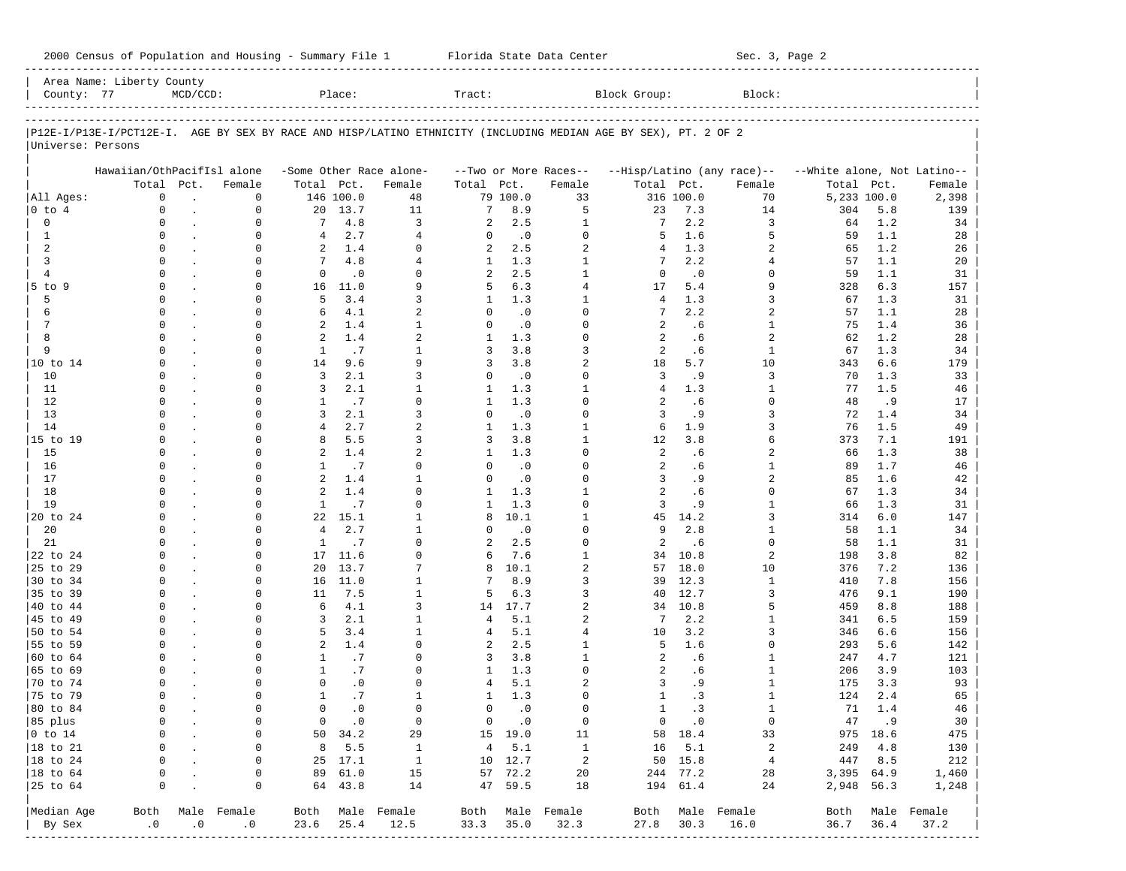| County: 77              | Area Name: Liberty County  | $MCD/CCD$ :                     |                         |                   | Place:             |                         | Tract:       |                    |                             | Block Group:                                                                                                   |                      | Block:                     |                             |            |                  |
|-------------------------|----------------------------|---------------------------------|-------------------------|-------------------|--------------------|-------------------------|--------------|--------------------|-----------------------------|----------------------------------------------------------------------------------------------------------------|----------------------|----------------------------|-----------------------------|------------|------------------|
|                         |                            |                                 |                         |                   |                    |                         |              |                    |                             | P12E-I/P13E-I/PCT12E-I. AGE BY SEX BY RACE AND HISP/LATINO ETHNICITY (INCLUDING MEDIAN AGE BY SEX), PT. 2 OF 2 |                      |                            |                             |            |                  |
| Universe: Persons       |                            |                                 |                         |                   |                    |                         |              |                    |                             |                                                                                                                |                      |                            |                             |            |                  |
|                         | Hawaiian/OthPacifIsl alone |                                 |                         |                   |                    | -Some Other Race alone- |              |                    | --Two or More Races--       |                                                                                                                |                      | --Hisp/Latino (any race)-- | --White alone, Not Latino-- |            |                  |
|                         |                            | Total Pct.                      | Female                  | Total Pct.        |                    | Female                  | Total Pct.   |                    | Female                      | Total Pct.                                                                                                     |                      | Female                     | Total                       | Pct.       | Female           |
| All Ages:<br>$0$ to $4$ | $\Omega$<br>0              | $\ddot{\phantom{a}}$            | 0<br>0                  | 20                | 146 100.0<br>13.7  | 48<br>11                | 7            | 79 100.0<br>8.9    | 33<br>5                     | 23                                                                                                             | 316 100.0<br>7.3     | 70<br>14                   | 5,233 100.0<br>304          | 5.8        | 2,398<br>139     |
| $\mathbf 0$             | 0                          | $\cdot$<br>$\ddot{\phantom{a}}$ | $\mathbf 0$             | 7                 | 4.8                | 3                       | 2            | 2.5                | $\mathbf{1}$                | 7                                                                                                              | 2.2                  | 3                          | 64                          | 1.2        | 34               |
| $\mathbf{1}$            | 0                          |                                 | 0                       | $\overline{4}$    | 2.7                | 4                       | $\mathbf 0$  | $\cdot$ 0          | $\mathbf 0$                 | 5                                                                                                              | 1.6                  | 5                          | 59                          | 1.1        | 28               |
| 2                       | $\Omega$                   |                                 | 0                       | 2                 | 1.4                | $\Omega$                | 2            | 2.5                | 2                           | 4                                                                                                              | 1.3                  | 2                          | 65                          | 1.2        | 26               |
| 3                       | 0                          |                                 | $\mathbf 0$             | 7                 | 4.8                | $\overline{4}$          | $\mathbf{1}$ | 1.3                | $\mathbf{1}$                | 7                                                                                                              | 2.2                  | 4                          | 57                          | 1.1        | 20               |
| 4                       | $\Omega$                   |                                 | $\Omega$                | $\mathbf{0}$      | $\cdot$ 0          | $\Omega$                | 2            | 2.5                | $\mathbf{1}$                | $\mathbf 0$                                                                                                    | $\cdot$ 0            | <sup>0</sup>               | 59                          | 1.1        | 31               |
| $5$ to $9$              | 0                          |                                 | $\mathbf 0$             | 16                | 11.0               | 9                       | 5            | 6.3                | 4                           | 17                                                                                                             | 5.4                  | 9                          | 328                         | 6.3        | 157              |
| 5                       | $\Omega$                   |                                 | $\Omega$                | 5                 | 3.4                | 3                       | 1            | 1.3                | 1                           | 4                                                                                                              | 1.3                  | 3                          | 67                          | 1.3        | 31               |
| 6                       | 0                          |                                 | $\mathbf 0$             | 6                 | 4.1                | 2                       | $\mathbf 0$  | $\cdot$ 0          | $\Omega$                    | 7                                                                                                              | 2.2                  | 2                          | 57                          | 1.1        | 28               |
| 7                       | $\Omega$                   |                                 | $\Omega$                | 2                 | 1.4                | $\mathbf{1}$            | $\Omega$     | $\cdot$ 0          | $\Omega$                    | 2                                                                                                              | .6                   | 1                          | 75                          | 1.4        | 36               |
| 8                       | $\Omega$                   |                                 | $\mathbf 0$             | 2                 | 1.4                | 2                       | 1            | 1.3                | $\mathbf 0$                 | 2                                                                                                              | .6                   | 2                          | 62                          | 1.2        | 28               |
| 9                       | $\Omega$                   |                                 | $\Omega$                | $\mathbf{1}$      | .7                 | $\mathbf{1}$            | 3            | 3.8                | 3                           | 2                                                                                                              | .6                   | 1                          | 67                          | 1.3        | 34               |
| 10 to 14                | $\Omega$                   |                                 | $\mathbf 0$             | 14                | 9.6                | 9                       | 3            | 3.8                | $\overline{a}$              | 18                                                                                                             | 5.7                  | 10                         | 343                         | 6.6        | 179              |
| 10                      | $\Omega$<br>$\Omega$       |                                 | $\Omega$                | 3                 | 2.1                | 3<br>$\mathbf{1}$       | $\mathbf 0$  | $\cdot$ 0          | $\Omega$                    | 3<br>$\overline{4}$                                                                                            | .9                   | 3                          | 70                          | 1.3        | 33               |
| 11<br>12                | $\Omega$                   |                                 | $\mathbf 0$<br>$\Omega$ | 3<br>$\mathbf{1}$ | 2.1<br>.7          | $\Omega$                | 1<br>1       | 1.3<br>1.3         | $\mathbf{1}$<br>$\mathbf 0$ | 2                                                                                                              | 1.3<br>.6            | 1<br>$\Omega$              | 77<br>48                    | 1.5<br>.9  | 46<br>17         |
| 13                      | $\Omega$                   |                                 | $\mathbf 0$             | 3                 | 2.1                | 3                       | $\mathbf 0$  | $\cdot$ 0          | $\Omega$                    | 3                                                                                                              | . 9                  | 3                          | 72                          | 1.4        | 34               |
| 14                      | $\Omega$                   |                                 | $\Omega$                | $\overline{4}$    | 2.7                | 2                       | 1            | 1.3                | 1                           | 6                                                                                                              | 1.9                  | 3                          | 76                          | 1.5        | 49               |
| 15 to 19                | $\Omega$                   |                                 | $\mathbf 0$             | 8                 | 5.5                | 3                       | 3            | 3.8                | $\mathbf{1}$                | $12 \overline{ }$                                                                                              | 3.8                  | б                          | 373                         | 7.1        | 191              |
| 15                      | $\Omega$                   |                                 | $\Omega$                | 2                 | 1.4                | 2                       | 1            | 1.3                | $\mathbf 0$                 | 2                                                                                                              | .6                   | 2                          | 66                          | 1.3        | 38               |
| 16                      | $\Omega$                   |                                 | $\mathbf 0$             | $\mathbf{1}$      | .7                 | $\Omega$                | $\mathbf 0$  | $\cdot$ 0          | $\Omega$                    | 2                                                                                                              | .6                   | 1                          | 89                          | 1.7        | 46               |
| 17                      | $\Omega$                   |                                 | $\Omega$                | 2                 | 1.4                | $\mathbf{1}$            | $\Omega$     | $\cdot$ 0          | $\Omega$                    | 3                                                                                                              | .9                   | 2                          | 85                          | 1.6        | 42               |
| 18                      | $\Omega$                   |                                 | $\mathbf 0$             | 2                 | 1.4                | $\Omega$                | 1            | 1.3                | $\mathbf{1}$                | 2                                                                                                              | . 6                  | 0                          | 67                          | 1.3        | 34               |
| 19                      | $\Omega$                   |                                 | $\mathbf 0$             | $\mathbf{1}$      | .7                 | $\Omega$                | 1            | 1.3                | $\mathbf 0$                 | 3                                                                                                              | . 9                  | $\mathbf{1}$               | 66                          | 1.3        | 31               |
| 20 to 24                | $\Omega$                   |                                 | 0                       | 22                | 15.1               | $\mathbf{1}$            | 8            | 10.1               | $\mathbf{1}$                | 45                                                                                                             | 14.2                 | 3                          | 314                         | 6.0        | 147              |
| 20                      | $\Omega$                   |                                 | $\mathbf 0$             | $\overline{4}$    | 2.7                | $\mathbf{1}$            | $\mathbf 0$  | $\cdot$ 0          | 0                           | 9                                                                                                              | 2.8                  | 1                          | 58                          | 1.1        | 34               |
| 21                      | $\Omega$                   |                                 | 0                       | 1                 | .7                 | $\Omega$                | 2            | 2.5                | 0                           | 2                                                                                                              | . 6                  | 0                          | 58                          | 1.1        | 31               |
| 22 to 24                | $\Omega$                   |                                 | $\mathbf 0$             | 17                | 11.6               | $\Omega$                | 6            | 7.6                | $\mathbf{1}$                | 34                                                                                                             | 10.8                 | 2                          | 198                         | 3.8        | 82               |
| 25 to 29                | $\Omega$<br>$\Omega$       |                                 | $\mathbf 0$             | 20                | 13.7               | 7                       | 8            | 10.1               | 2                           | 57                                                                                                             | 18.0                 | 10                         | 376                         | 7.2        | 136              |
| 30 to 34<br>35 to 39    | $\Omega$                   |                                 | $\Omega$<br>$\mathbf 0$ | 16<br>11          | 11.0<br>7.5        | 1<br>$\mathbf{1}$       | 7<br>5       | 8.9<br>6.3         | 3<br>3                      | 39<br>40                                                                                                       | 12.3<br>12.7         | 1<br>3                     | 410<br>476                  | 7.8<br>9.1 | 156              |
| 40 to 44                | $\Omega$                   |                                 | $\Omega$                | 6                 | 4.1                | 3                       | 14           | 17.7               | 2                           | 34                                                                                                             | 10.8                 | 5                          | 459                         | 8.8        | 190<br>188       |
| 45 to 49                | $\Omega$                   |                                 | $\mathbf 0$             | 3                 | 2.1                | $\mathbf{1}$            | 4            | 5.1                | 2                           | 7                                                                                                              | 2.2                  | 1                          | 341                         | 6.5        | 159              |
| 50 to 54                | $\Omega$                   |                                 | $\Omega$                | 5                 | 3.4                | $\mathbf{1}$            | 4            | 5.1                | 4                           | 10                                                                                                             | 3.2                  | 3                          | 346                         | 6.6        | 156              |
| 55 to 59                | $\Omega$                   |                                 | $\mathbf 0$             | 2                 | 1.4                | $\Omega$                | 2            | 2.5                | $\mathbf{1}$                | 5                                                                                                              | 1.6                  | 0                          | 293                         | 5.6        | 142              |
| 60 to 64                | $\Omega$                   |                                 | $\Omega$                | $\mathbf{1}$      | .7                 | $\Omega$                | 3            | 3.8                | $\mathbf{1}$                | 2                                                                                                              | .6                   | 1                          | 247                         | 4.7        | 121              |
| 65 to 69                | $\Omega$                   |                                 | $\mathbf 0$             | $\mathbf{1}$      | .7                 | $\Omega$                | 1            | 1.3                | $\Omega$                    | 2                                                                                                              | .6                   | 1                          | 206                         | 3.9        | 103              |
| 70 to 74                | $\Omega$                   |                                 | $\Omega$                | $\Omega$          | $\cdot$ 0          | $\Omega$                | 4            | 5.1                | 2                           | 3                                                                                                              | .9                   | 1                          | 175                         | 3.3        | 93               |
| 75 to 79                | $\Omega$                   |                                 | 0                       | $\mathbf{1}$      | .7                 | $\mathbf{1}$            | $\mathbf{1}$ | 1.3                | $\Omega$                    | $\mathbf{1}$                                                                                                   | .3                   | 1                          | 124                         | 2.4        | 65               |
| 80 to 84                | $\Omega$                   |                                 | $\cap$                  | 0                 | . 0                | $\Omega$                | 0            | $\cdot$ 0          | $\Omega$                    | 1                                                                                                              | $\cdot$ 3            |                            | 71                          | 1.4        | 46               |
| 85 plus                 |                            |                                 | 0                       |                   | $0 \qquad .0$      | $\mathbf 0$             |              | $0 \qquad .0$      | $\mathbf 0$                 |                                                                                                                | $0 \qquad .0$        | $\mathbf 0$                |                             | 47 .9      | 30               |
| $0$ to $14$             | $\mathbf 0$                | $\cdot$                         | 0                       |                   | 50 34.2            | 29                      |              | 15 19.0            | 11                          |                                                                                                                | 58 18.4              | 33                         |                             | 975 18.6   | 475              |
| 18 to 21                | 0                          |                                 | 0                       |                   | 8, 5.5             | $\mathbf{1}$            |              | 4 5.1              | $\mathbf{1}$                |                                                                                                                | $16$ 5.1             | $\overline{a}$             |                             | 249 4.8    | 130              |
| 18 to 24                | $\mathbf 0$                |                                 | 0                       |                   | 25 17.1            | $\mathbf{1}$            |              | 10 12.7            | $\overline{c}$              |                                                                                                                | 50 15.8              | $\overline{4}$             |                             | 447 8.5    | 212              |
| 18 to 64<br>25 to 64    | 0<br>$\mathbf 0$           |                                 | 0<br>0                  |                   | 89 61.0<br>64 43.8 | 15<br>14                |              | 57 72.2<br>47 59.5 | 20<br>18                    |                                                                                                                | 244 77.2<br>194 61.4 | 28<br>24                   | 3,395 64.9<br>2,948 56.3    |            | 1,460<br>1,248   |
|                         |                            |                                 |                         |                   |                    |                         |              |                    |                             |                                                                                                                |                      |                            |                             |            |                  |
| Median Age              | Both                       |                                 | Male Female             |                   |                    | Both Male Female        |              |                    | Both Male Female            |                                                                                                                |                      | Both Male Female           |                             |            | Both Male Female |
| By Sex                  | $\cdot$ 0                  | .0                              | .0                      | 23.6              | 25.4               | 12.5                    | 33.3         | 35.0               | 32.3                        | 27.8                                                                                                           | 30.3                 | 16.0                       | 36.7                        | 36.4       | 37.2             |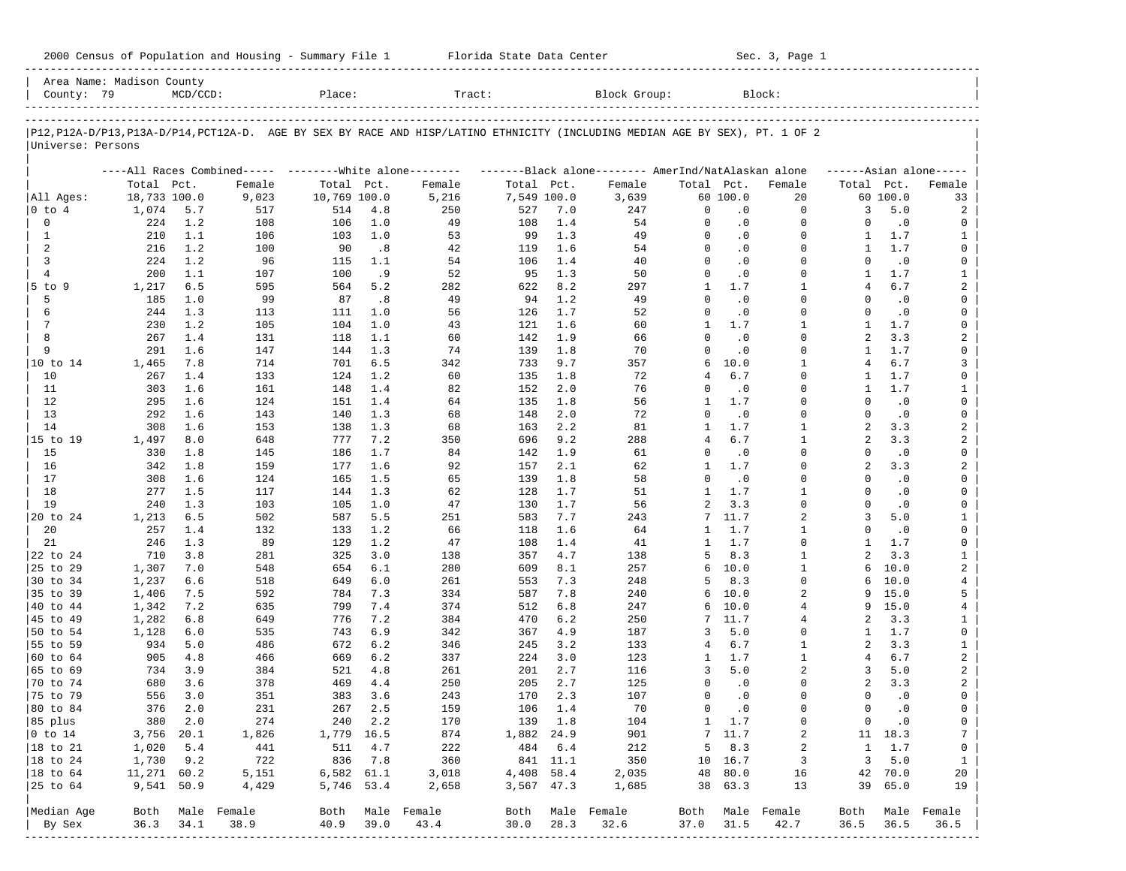| 2000 Census of Population and Housing - Summary File 1 |  | Florida State Data Center | Sec. 3, Page 1 |
|--------------------------------------------------------|--|---------------------------|----------------|
|--------------------------------------------------------|--|---------------------------|----------------|

| County: 79            | Area Name: Madison County | $MCD/CCD$ : |                                                                                                                               | Place:       |            | Tract:           |             |            | Block Group:     |                      |                        | Block:                   |                   |                  |                         |
|-----------------------|---------------------------|-------------|-------------------------------------------------------------------------------------------------------------------------------|--------------|------------|------------------|-------------|------------|------------------|----------------------|------------------------|--------------------------|-------------------|------------------|-------------------------|
|                       |                           |             |                                                                                                                               |              |            |                  |             |            |                  |                      |                        |                          |                   |                  |                         |
|                       |                           |             | P12, P12A-D/P13, P13A-D/P14, PCT12A-D. AGE BY SEX BY RACE AND HISP/LATINO ETHNICITY (INCLUDING MEDIAN AGE BY SEX), PT. 1 OF 2 |              |            |                  |             |            |                  |                      |                        |                          |                   |                  |                         |
| Universe: Persons     |                           |             |                                                                                                                               |              |            |                  |             |            |                  |                      |                        |                          |                   |                  |                         |
|                       |                           |             | ----All Races Combined----- --------White alone-------- --------Black alone-------- AmerInd/NatAlaskan alone                  |              |            |                  |             |            |                  |                      |                        |                          |                   |                  | $----Asian alone---$    |
|                       | Total Pct.                |             | Female                                                                                                                        | Total Pct.   |            | Female           | Total Pct.  |            | Female           | Total Pct.           |                        | Female                   | Total Pct.        |                  | Female                  |
| All Ages:             | 18,733 100.0              |             | 9,023                                                                                                                         | 10,769 100.0 |            | 5,216            | 7,549 100.0 |            | 3,639            |                      | 60 100.0               | 20                       |                   | 60 100.0         | 33                      |
| $0$ to $4$            | 1,074                     | 5.7         | 517                                                                                                                           | 514          | 4.8        | 250              | 527         | 7.0        | 247              | 0                    | $\cdot$ 0              | $\Omega$                 | 3                 | 5.0              | 2                       |
| 0                     | 224                       | 1.2         | 108                                                                                                                           | 106          | 1.0        | 49               | 108         | 1.4        | 54               | 0                    | $\cdot$ 0              | $\Omega$                 | $\Omega$          | $\cdot$ 0        | 0                       |
| 1                     | 210                       | 1.1         | 106                                                                                                                           | 103          | 1.0        | 53               | 99          | 1.3        | 49               | $\Omega$<br>$\Omega$ | $\cdot$ 0              | $\Omega$<br>$\Omega$     | 1<br>$\mathbf{1}$ | 1.7              | $\mathbf{1}$            |
| 2<br>3                | 216<br>224                | 1.2<br>1.2  | 100<br>96                                                                                                                     | 90<br>115    | .8         | 42<br>54         | 119<br>106  | 1.6<br>1.4 | 54<br>40         | $\Omega$             | $\cdot$ 0<br>$\cdot$ 0 | $\Omega$                 | $\Omega$          | 1.7<br>$\cdot$ 0 | 0<br>$\mathbf 0$        |
| $\overline{4}$        | 200                       | 1.1         | 107                                                                                                                           | 100          | 1.1<br>.9  | 52               | 95          | 1.3        | 50               | $\mathbf 0$          | $\cdot$ 0              | $\Omega$                 | 1                 | 1.7              | $\mathbf{1}$            |
| 5 to 9                | 1,217                     | 6.5         | 595                                                                                                                           | 564          | 5.2        | 282              | 622         | 8.2        | 297              | $\mathbf{1}$         | 1.7                    | $\mathbf{1}$             | $\overline{4}$    | 6.7              | $\overline{\mathbf{c}}$ |
| 5                     | 185                       | 1.0         | 99                                                                                                                            | 87           | .8         | 49               | 94          | 1.2        | 49               | $\Omega$             | $\cdot$ 0              | $\Omega$                 | $\Omega$          | $\cdot$ 0        | 0                       |
| 6                     | 244                       | 1.3         | 113                                                                                                                           | 111          | 1.0        | 56               | 126         | 1.7        | 52               | $\Omega$             | $\cdot$ 0              | $\Omega$                 | $\Omega$          | $\cdot$ 0        | $\mathbf 0$             |
| 7                     | 230                       | 1.2         | 105                                                                                                                           | 104          | 1.0        | 43               | 121         | 1.6        | 60               | $\mathbf{1}$         | 1.7                    | $\mathbf{1}$             | $\mathbf{1}$      | 1.7              | $\mathbf 0$             |
| 8                     | 267                       | 1.4         | 131                                                                                                                           | 118          | 1.1        | 60               | 142         | 1.9        | 66               | $\Omega$             | $\cdot$ 0              | $\Omega$                 | 2                 | 3.3              | $\overline{\mathbf{c}}$ |
| 9                     | 291                       | 1.6         | 147                                                                                                                           | 144          | 1.3        | 74               | 139         | 1.8        | 70               | $\mathbf 0$          | .0                     | $\Omega$                 | $\mathbf{1}$      | 1.7              | 0                       |
| 10 to 14              | 1,465                     | 7.8         | 714                                                                                                                           | 701          | 6.5        | 342              | 733         | 9.7        | 357              | 6                    | 10.0                   | $\mathbf{1}$             | 4                 | 6.7              | 3                       |
| 10                    | 267                       | 1.4         | 133                                                                                                                           | 124          | 1.2        | 60               | 135         | 1.8        | 72               | $\overline{4}$       | 6.7                    | $\Omega$                 | 1                 | 1.7              | 0                       |
| 11                    | 303                       | 1.6         | 161                                                                                                                           | 148          | 1.4        | 82               | 152         | 2.0        | 76               | $\Omega$             | $\cdot$ 0              | $\Omega$                 | 1                 | 1.7              | $\mathbf{1}$            |
| 12                    | 295                       | 1.6         | 124                                                                                                                           | 151          | 1.4        | 64               | 135         | 1.8        | 56               | $\mathbf{1}$         | 1.7                    | $\Omega$                 | $\Omega$          | $\cdot$ 0        | 0                       |
| 13                    | 292                       | 1.6         | 143                                                                                                                           | 140          | 1.3        | 68               | 148         | 2.0        | 72               | $\Omega$             | $\cdot$ 0              | $\Omega$                 | $\Omega$          | $\cdot$ 0        | $\mathbf 0$             |
| 14                    | 308                       | 1.6         | 153                                                                                                                           | 138          | 1.3        | 68               | 163         | 2.2        | 81               | $\mathbf{1}$         | 1.7                    | $\mathbf{1}$             | 2                 | 3.3              | 2                       |
| 15 to 19              | 1,497                     | 8.0         | 648                                                                                                                           | 777          | 7.2        | 350              | 696         | 9.2        | 288              | $\overline{4}$       | 6.7                    | $\mathbf{1}$             | 2                 | 3.3              | $\overline{\mathbf{c}}$ |
| 15                    | 330                       | 1.8         | 145                                                                                                                           | 186          | 1.7        | 84               | 142         | 1.9        | 61               | 0                    | $\cdot$ 0              | $\Omega$                 | $\Omega$          | $\cdot$ 0        | 0                       |
| 16                    | 342                       | 1.8         | 159                                                                                                                           | 177          | 1.6        | 92               | 157         | 2.1        | 62               | 1                    | 1.7                    | $\Omega$                 | 2                 | 3.3              | $\overline{\mathbf{c}}$ |
| 17                    | 308                       | 1.6         | 124                                                                                                                           | 165          | 1.5        | 65               | 139         | 1.8        | 58               | $\Omega$             | $\cdot$ 0              | $\Omega$                 | $\Omega$          | $\cdot$ 0        | 0                       |
| 18                    | 277                       | 1.5         | 117                                                                                                                           | 144          | 1.3        | 62               | 128         | 1.7        | 51               | $\mathbf{1}$         | 1.7                    | $\mathbf{1}$             | $\Omega$          | $\cdot$ 0        | $\mathbf 0$             |
| 19                    | 240                       | 1.3         | 103                                                                                                                           | 105          | 1.0        | 47               | 130         | 1.7        | 56               | 2                    | 3.3                    | $\Omega$                 | $\Omega$          | $\cdot$ 0        | $\mathbf 0$             |
| 20 to 24              | 1,213                     | 6.5         | 502                                                                                                                           | 587          | 5.5        | 251              | 583         | 7.7        | 243              | 7                    | 11.7                   | $\overline{a}$           | 3                 | 5.0              | $\mathbf{1}$            |
| 20                    | 257                       | 1.4         | 132                                                                                                                           | 133          | 1.2        | 66               | 118         | 1.6        | 64               | $\mathbf{1}$         | 1.7                    | $\mathbf{1}$             | $\Omega$          | $\cdot$ 0        | $\mathbf 0$             |
| 21                    | 246                       | 1.3         | 89                                                                                                                            | 129          | 1.2        | 47               | 108         | 1.4        | 41               | 1                    | 1.7                    | $\Omega$                 | 1                 | 1.7              | $\mathbf 0$             |
| 22 to 24              | 710                       | 3.8         | 281                                                                                                                           | 325          | 3.0        | 138              | 357         | 4.7        | 138              | 5                    | 8.3                    | $\mathbf{1}$             | 2                 | 3.3              | $\mathbf{1}$            |
| 25 to 29              | 1,307                     | 7.0         | 548                                                                                                                           | 654          | 6.1        | 280              | 609         | 8.1        | 257              | 6                    | 10.0                   | $\mathbf{1}$<br>$\Omega$ | 6                 | 10.0             | $\overline{a}$          |
| 30 to 34              | 1,237                     | 6.6         | 518                                                                                                                           | 649          | 6.0        | 261              | 553         | 7.3        | 248              | 5                    | 8.3                    | $\overline{2}$           | 6<br>9            | 10.0             | $\overline{4}$          |
| 35 to 39              | 1,406                     | 7.5         | 592                                                                                                                           | 784          | 7.3<br>7.4 | 334              | 587         | 7.8        | 240              | 6<br>6               | 10.0                   | $\overline{4}$           | 9                 | 15.0<br>15.0     | 5                       |
| 40 to 44<br>45 to 49  | 1,342<br>1,282            | 7.2<br>6.8  | 635<br>649                                                                                                                    | 799<br>776   | 7.2        | 374<br>384       | 512<br>470  | 6.8<br>6.2 | 247<br>250       | 7                    | 10.0<br>11.7           | 4                        | 2                 | 3.3              | $\overline{4}$<br>1     |
| 50 to 54              | 1,128                     | 6.0         | 535                                                                                                                           | 743          | 6.9        | 342              | 367         | 4.9        | 187              | 3                    | 5.0                    | $\Omega$                 | 1                 | 1.7              | $\mathbf 0$             |
| 55 to 59              | 934                       | 5.0         | 486                                                                                                                           | 672          | 6.2        | 346              | 245         | 3.2        | 133              | 4                    | 6.7                    | $\mathbf{1}$             | 2                 | 3.3              | $\mathbf{1}$            |
| 60 to 64              | 905                       | 4.8         | 466                                                                                                                           | 669          | 6.2        | 337              | 224         | 3.0        | 123              | 1                    | 1.7                    | $\mathbf{1}$             | 4                 | 6.7              | $\overline{\mathbf{c}}$ |
| 65 to 69              | 734                       | 3.9         | 384                                                                                                                           | 521          | 4.8        | 261              | 201         | 2.7        | 116              | 3                    | 5.0                    | 2                        | 3                 | 5.0              | $\overline{a}$          |
| 70 to 74              | 680                       | 3.6         | 378                                                                                                                           | 469          | 4.4        | 250              | 205         | 2.7        | 125              | $\mathbf 0$          | $\cdot$ 0              | $\Omega$                 | 2                 | 3.3              | $\overline{a}$          |
| 75 to 79              | 556                       | 3.0         | 351                                                                                                                           | 383          | 3.6        | 243              | 170         | 2.3        | 107              | $\Omega$             | $\cdot$ 0              | $\Omega$                 | $\Omega$          | .0               | 0                       |
| 80 to 84              | 376                       | 2.0         | 231                                                                                                                           | 267          | 2.5        | 159              | 106         | 1.4        | 70               | 0                    | $\cdot$ 0              | $\Omega$                 | $\Omega$          | $\cdot$ 0        | $\mathbf 0$             |
| 85 plus               |                           | 380 2.0     | 274                                                                                                                           |              | 240 2.2    | 170              |             | 139 1.8    | 104              |                      | $1 \quad 1.7$          | 0                        | $\overline{0}$    | $\cdot$ 0        | 0                       |
| $ 0 \t{to} 14$        | 3,756 20.1                |             | 1,826                                                                                                                         | 1,779 16.5   |            | 874              | 1,882 24.9  |            | 901              |                      | 7 11.7                 | 2                        |                   | 11 18.3          | 7                       |
| $ 18 \text{ to } 21$  | 1,020                     | 5.4         | 441                                                                                                                           |              | 511 4.7    | 222              |             | 484 6.4    | 212              |                      | $5 \t 8.3$             | 2                        | $\mathbf{1}$      | 1.7              | 0                       |
| $ 18 \text{ to } 24$  | 1,730                     | 9.2         | 722                                                                                                                           |              | 836 7.8    | 360              |             | 841 11.1   | 350              |                      | 10 16.7                | $\overline{3}$           | $\overline{3}$    | 5.0              | $\mathbf{1}$            |
| $ 18 \text{ to } 64$  | 11,271 60.2               |             | 5,151                                                                                                                         | 6,582 61.1   |            | 3,018            | 4,408 58.4  |            | 2,035            |                      | 48 80.0                | 16                       |                   | 42 70.0          | 20                      |
| 25 to 64              | 9,541 50.9                |             | 4,429                                                                                                                         | 5,746 53.4   |            | 2,658            | 3,567 47.3  |            | 1,685            |                      | 38 63.3                | 13                       | 39                | 65.0             | 19                      |
| Median Age            |                           |             | Both Male Female                                                                                                              |              |            | Both Male Female |             |            | Both Male Female |                      |                        | Both Male Female         | Both              |                  | Male Female             |
|                       |                           |             |                                                                                                                               |              |            |                  |             |            |                  |                      |                        |                          |                   |                  | 36.5                    |
| By Sex<br>----------- | 36.3                      | 34.1        | 38.9                                                                                                                          | 40.9         | 39.0       | 43.4             | 30.0        | 28.3       | 32.6             | 37.0                 | 31.5                   | 42.7                     | 36.5              | 36.5             |                         |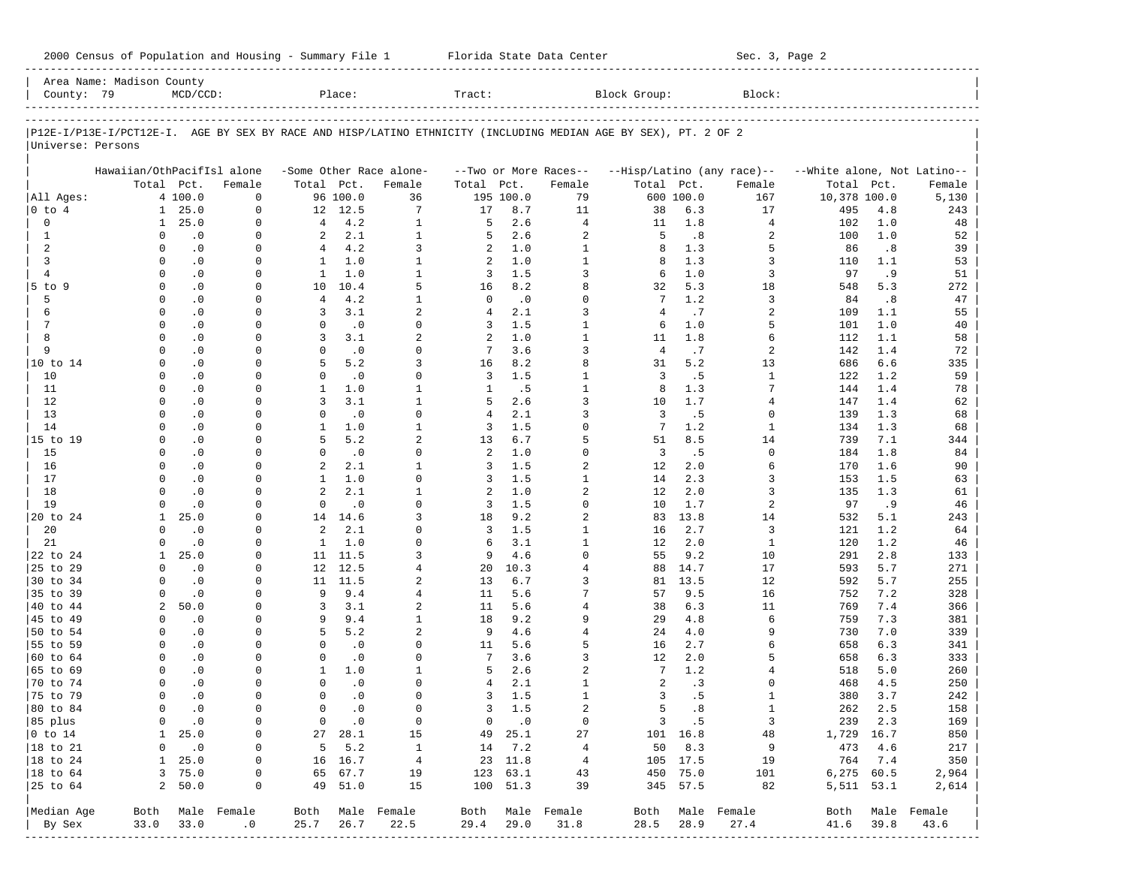|                           | Area Name: Madison County                                                                                      |                    |                        |                          |                    |                          |                |                      |                                |                   |                      |                            |                              |      |                  |
|---------------------------|----------------------------------------------------------------------------------------------------------------|--------------------|------------------------|--------------------------|--------------------|--------------------------|----------------|----------------------|--------------------------------|-------------------|----------------------|----------------------------|------------------------------|------|------------------|
| County: 79                |                                                                                                                | $MCD/CCD$ :        |                        |                          | Place:             |                          | Tract:         |                      |                                | Block Group:      |                      | Block:                     |                              |      |                  |
|                           |                                                                                                                |                    |                        |                          |                    |                          |                |                      |                                |                   |                      |                            |                              |      |                  |
| Universe: Persons         | P12E-I/P13E-I/PCT12E-I. AGE BY SEX BY RACE AND HISP/LATINO ETHNICITY (INCLUDING MEDIAN AGE BY SEX), PT. 2 OF 2 |                    |                        |                          |                    |                          |                |                      |                                |                   |                      |                            |                              |      |                  |
|                           | Hawaiian/OthPacifIsl alone                                                                                     |                    |                        |                          |                    | -Some Other Race alone-  |                |                      | --Two or More Races--          |                   |                      | --Hisp/Latino (any race)-- | --White alone, Not Latino--  |      |                  |
|                           |                                                                                                                | Total Pct.         | Female                 | Total Pct.               |                    | Female                   | Total Pct.     |                      | Female                         | Total Pct.        |                      | Female                     | Total                        | Pct. | Female           |
| All Ages:                 |                                                                                                                | 4 100.0            | $\Omega$               |                          | 96 100.0           | 36                       |                | 195 100.0            | 79                             |                   | 600 100.0            | 167                        | 10,378 100.0                 |      | 5,130            |
| $0$ to $4$                | 1                                                                                                              | 25.0               | $\Omega$               |                          | 12 12.5            | 7                        | 17             | 8.7                  | 11                             | 38                | 6.3                  | 17                         | 495                          | 4.8  | 243              |
| $\mathbf 0$               | $\mathbf{1}$                                                                                                   | 25.0               | $\Omega$               | $\overline{4}$           | 4.2                | $\mathbf{1}$             | 5              | 2.6                  | $\overline{4}$                 | 11                | 1.8                  | $\overline{4}$             | 102                          | 1.0  | 48               |
| $\mathbf{1}$              | $\Omega$                                                                                                       | $\cdot$ 0          | $\Omega$               | 2                        | 2.1                | $\mathbf{1}$             | 5              | 2.6                  | $\overline{a}$                 | 5                 | .8                   | 2                          | 100                          | 1.0  | 52               |
| 2                         | $\Omega$                                                                                                       | $\cdot$ 0          | $\Omega$               | $\overline{4}$           | 4.2                | 3                        | 2              | 1.0                  | $\mathbf 1$                    | 8                 | 1.3                  | 5                          | 86                           | .8   | 39               |
| 3                         | $\Omega$                                                                                                       | $\cdot$ 0          | $\Omega$               | $\mathbf{1}$             | 1.0                | $\mathbf{1}$             | 2              | 1.0                  | $\mathbf{1}$                   | 8                 | 1.3                  | 3                          | 110                          | 1.1  | 53               |
| $\overline{4}$            | $\Omega$                                                                                                       | $\cdot$ 0          | $\Omega$               | $\mathbf{1}$             | 1.0                | $\mathbf{1}$             | 3              | 1.5                  | 3                              | 6                 | 1.0                  | 3                          | 97                           | .9   | 51               |
| $5$ to $9$                | $\Omega$                                                                                                       | $\cdot$ 0          | $\Omega$               | 10                       | 10.4               | 5                        | 16             | 8.2                  | 8                              | 32                | 5.3                  | 18                         | 548                          | 5.3  | 272              |
| 5                         | $\Omega$                                                                                                       | $\cdot$ 0          | $\Omega$               | $\overline{4}$           | 4.2                | $\mathbf{1}$             | $\mathbf 0$    | $\cdot$ 0            | $\Omega$                       | $7\phantom{.0}$   | 1.2                  | 3                          | 84                           | .8   | 47               |
| 6                         | $\Omega$                                                                                                       | $\cdot$ 0          | $\Omega$               | 3                        | 3.1                | 2                        | $\overline{4}$ | 2.1                  | 3                              | $\overline{4}$    | .7                   | 2                          | 109                          | 1.1  | 55               |
| $7\phantom{.0}$           | $\Omega$                                                                                                       | $\cdot$ 0          | $\Omega$               | $\mathbf 0$              | $\cdot$ 0          | $\Omega$                 | 3              | 1.5                  | $\mathbf 1$                    | 6                 | 1.0                  | 5                          | 101                          | 1.0  | 40               |
| 8                         | $\Omega$                                                                                                       | $\cdot$ 0          | $\Omega$               | 3                        | 3.1                | $\overline{a}$           | 2              | 1.0                  | $\mathbf{1}$                   | 11                | 1.8                  | б                          | 112                          | 1.1  | 58               |
| 9                         | $\Omega$                                                                                                       | .0                 | $\Omega$               | $\Omega$                 | $\cdot$ 0          | $\Omega$                 | 7              | 3.6                  | 3                              | $\overline{4}$    | .7                   | 2                          | 142                          | 1.4  | 72               |
| 10 to 14                  | $\Omega$                                                                                                       | $\cdot$ 0          | $\Omega$               | 5                        | 5.2                | 3                        | 16             | 8.2                  | 8                              | 31                | 5.2                  | 13                         | 686                          | 6.6  | 335              |
| 10                        | $\Omega$                                                                                                       | .0                 | $\Omega$               | $\Omega$                 | $\cdot$ 0          | $\Omega$                 | 3              | 1.5                  | $\mathbf{1}$                   | $\overline{3}$    | .5                   | $\mathbf{1}$               | 122                          | 1.2  | 59               |
| 11                        | $\Omega$                                                                                                       | $\cdot$ 0          | $\Omega$               | $\mathbf{1}$             | 1.0                | $\mathbf{1}$             | $\mathbf{1}$   | .5                   | $\mathbf{1}$                   | 8                 | 1.3                  | 7                          | 144                          | 1.4  | 78               |
| 12                        | $\Omega$                                                                                                       | $\cdot$ 0          | $\Omega$               | 3                        | 3.1                | $\mathbf{1}$             | 5              | 2.6                  | 3                              | 10                | 1.7                  | 4                          | 147                          | 1.4  | 62               |
| 13                        | $\Omega$                                                                                                       | $\cdot$ 0          | $\Omega$               | $\Omega$                 | .0                 | $\Omega$                 | $\overline{4}$ | 2.1                  | 3                              | 3                 | .5                   | $\Omega$                   | 139                          | 1.3  | 68               |
| 14                        | $\Omega$                                                                                                       | .0                 | $\Omega$               | $\mathbf{1}$             | 1.0                | $\mathbf{1}$             | 3              | 1.5                  | $\Omega$                       | $7\phantom{.0}$   | 1.2                  | $\mathbf{1}$               | 134                          | 1.3  | 68               |
| 15 to 19                  | $\Omega$                                                                                                       | $\cdot$ 0          | $\Omega$               | 5                        | 5.2                | $\overline{a}$           | 13             | 6.7                  | 5                              | 51                | 8.5                  | 14                         | 739                          | 7.1  | 344              |
| 15                        | $\Omega$                                                                                                       | .0                 | $\Omega$               | $\Omega$                 | $\cdot$ 0          | $\Omega$                 | 2              | 1.0                  | $\Omega$                       | $\overline{3}$    | .5                   | $\Omega$                   | 184                          | 1.8  | 84               |
| 16                        | $\Omega$                                                                                                       | $\cdot$ 0          | $\Omega$               | 2                        | 2.1                | $\mathbf{1}$             | 3              | 1.5                  | $\overline{a}$                 | $12 \overline{ }$ | 2.0                  | б                          | 170                          | 1.6  | 90               |
| 17                        | $\Omega$                                                                                                       | $\cdot$ 0          | $\Omega$               | $\mathbf{1}$             | 1.0                | $\Omega$                 | 3              | 1.5                  | $\mathbf{1}$                   | 14                | 2.3                  | 3                          | 153                          | 1.5  | 63               |
| 18                        | $\Omega$                                                                                                       | $\cdot$ 0          | $\Omega$               | 2                        | 2.1                | $\mathbf{1}$             | 2              | 1.0                  | $\overline{a}$                 | $12 \overline{ }$ | 2.0                  | 3                          | 135                          | 1.3  | 61               |
| 19                        | $\Omega$                                                                                                       | $\cdot$ 0          | $\Omega$               | $\mathbf 0$              | .0                 | $\Omega$                 | 3              | 1.5                  | $\Omega$                       | 10                | 1.7                  | 2                          | 97                           | .9   | 46               |
| 20 to 24                  | $\mathbf{1}$                                                                                                   | 25.0               | $\Omega$               |                          | 14 14.6            | $\mathbf{3}$             | 18             | 9.2                  | $\overline{a}$                 | 83                | 13.8                 | 14                         | 532                          | 5.1  | 243              |
| 20                        | $\Omega$                                                                                                       | $\cdot$ 0          | $\Omega$               | 2                        | 2.1                | $\Omega$                 | 3              | 1.5                  | $\mathbf{1}$                   | 16                | 2.7                  | 3                          | 121                          | 1.2  | 64               |
| 21                        |                                                                                                                | $\cdot$ 0          | $\Omega$               | $\mathbf{1}$             | 1.0                | $\Omega$                 | 6              | 3.1                  | $\mathbf 1$                    | 12                | 2.0                  | $\mathbf{1}$               | 120                          | 1.2  | 46               |
| 22 to 24                  | $\mathbf{1}$                                                                                                   | 25.0               | $\Omega$               | 11                       | 11.5               | 3                        | 9              | 4.6                  | $\Omega$                       | 55                | 9.2                  | 10                         | 291                          | 2.8  | 133              |
| 25 to 29                  | $\Omega$                                                                                                       | $\cdot$ 0          | $\Omega$               | 12                       | 12.5               | $\overline{4}$           | 20             | 10.3                 | 4                              | 88                | 14.7                 | 17                         | 593                          | 5.7  | 271              |
| 30 to 34                  | $\Omega$                                                                                                       | $\cdot$ 0          | $\Omega$               | 11                       | 11.5               | 2                        | 13             | 6.7                  | 3                              | 81                | 13.5                 | 12                         | 592                          | 5.7  | 255              |
| 35 to 39                  |                                                                                                                | $\cdot$ 0          | $\Omega$               | 9                        | 9.4                | $\overline{4}$           | 11             | 5.6                  | 7                              | 57                | 9.5                  | 16                         | 752                          | 7.2  | 328              |
| 40 to 44                  | 2                                                                                                              | 50.0               | $\Omega$               | 3                        | 3.1                | 2                        | 11             | 5.6                  | 4                              | 38                | 6.3                  | 11                         | 769                          | 7.4  | 366              |
| 45 to 49                  | $\Omega$                                                                                                       | $\cdot$ 0          | $\Omega$               | 9                        | 9.4                | $\mathbf{1}$             | 18             | 9.2                  | 9                              | 29                | 4.8                  | 6                          | 759                          | 7.3  | 381              |
| 50 to 54                  | $\Omega$                                                                                                       | $\cdot$ 0          | $\Omega$               | 5                        | 5.2                | 2                        | 9              | 4.6                  | $\overline{4}$                 | 24                | 4.0                  | 9                          | 730                          | 7.0  | 339              |
| 55 to 59                  | $\Omega$                                                                                                       | $\cdot$ 0          | $\Omega$               | $\Omega$                 | $\cdot$ 0          | $\Omega$                 | 11             | 5.6                  | 5                              | 16                | 2.7                  | 6                          | 658                          | 6.3  | 341              |
| 60 to 64                  | $\Omega$                                                                                                       | $\cdot$ 0          | $\Omega$               | $\mathbf 0$              | $\cdot$ 0          | $\Omega$                 | 7              | 3.6                  | 3                              | $12 \overline{ }$ | 2.0                  | 5                          | 658                          | 6.3  | 333              |
| 65 to 69                  | $\Omega$<br>$\Omega$                                                                                           | $\cdot$ 0          | $\Omega$<br>$\Omega$   | $\mathbf{1}$<br>$\Omega$ | 1.0                | $\mathbf{1}$<br>$\Omega$ | 5              | 2.6<br>2.1           | $\overline{a}$<br>$\mathbf{1}$ | 7                 | 1.2                  | 4<br><sup>0</sup>          | 518                          | 5.0  | 260              |
| 70 to 74                  |                                                                                                                | $\cdot$ 0          |                        | $\Omega$                 | .0                 | $\Omega$                 | 4              |                      |                                | 2                 | .3                   |                            | 468                          | 4.5  | 250              |
| 75 to 79                  | $\Omega$<br>$\Omega$                                                                                           | $\cdot$ 0          | $\Omega$               | $\Omega$                 | $\cdot$ 0          |                          | 3              | 1.5                  | $\mathbf{1}$<br>$\overline{a}$ | 3<br>5            | .5                   | $\mathbf{1}$               | 380                          | 3.7  | 242              |
| 80 to 84                  |                                                                                                                | $\cdot$ 0          | $\Omega$               |                          | $\cdot$ 0          | $\Omega$                 | 3              | 1.5                  |                                |                   | .8                   | $\mathbf{1}$               | 262                          | 2.5  | 158              |
| 85 plus                   | $\overline{0}$                                                                                                 | $\sim$ 0           | 0                      |                          | $0 \qquad .0$      | $\overline{0}$           |                | $0 \qquad .0$        | 0                              |                   | 3 .5                 | $\overline{\mathbf{3}}$    | 239 2.3                      |      | 169              |
| $ 0 \t\t \text{to} 14$    |                                                                                                                | $1 \quad 25.0$     | 0                      |                          | 27 28.1            | 15                       |                | 49 25.1              | 27                             |                   | 101 16.8             | 48                         | 1,729 16.7                   |      | 850              |
| 18 to 21                  | 0                                                                                                              | $\cdot$ 0          | $\mathbf 0$            |                          | $5 \t 5.2$         | $\overline{1}$           |                | 14 7.2               | $\overline{4}$                 |                   | 50 8.3               | 9                          | 473 4.6                      |      | 217              |
| $ 18$ to $24$             |                                                                                                                | 1 25.0             | 0                      |                          | 16 16.7            | $\overline{4}$           |                | 23 11.8              | $\overline{4}$                 |                   | 105 17.5             | 19                         | 764 7.4                      |      | 350              |
| $ 18$ to $64$<br>25 to 64 |                                                                                                                | 3, 75.0<br>2, 50.0 | 0<br>0                 |                          | 65 67.7<br>49 51.0 | 19<br>15                 |                | 123 63.1<br>100 51.3 | 43<br>39                       |                   | 450 75.0<br>345 57.5 | 101<br>82                  | $6,275$ $60.5$<br>5,511 53.1 |      | 2,964<br>2,614   |
|                           |                                                                                                                |                    |                        |                          |                    |                          |                |                      |                                |                   |                      |                            |                              |      |                  |
| Median Age                |                                                                                                                |                    | Both Male Female       |                          |                    | Both Male Female         |                |                      | Both Male Female               |                   |                      | Both Male Female           |                              |      | Both Male Female |
| By Sex                    | 33.0                                                                                                           | 33.0               | $\cdot$ 0              | 25.7                     | 26.7               | 22.5                     | 29.4           | 29.0                 | 31.8                           | 28.5              | 28.9                 | 27.4                       | 41.6                         | 39.8 | 43.6             |
| ---------                 |                                                                                                                |                    | ---------------------- |                          |                    |                          |                |                      |                                |                   |                      |                            |                              |      |                  |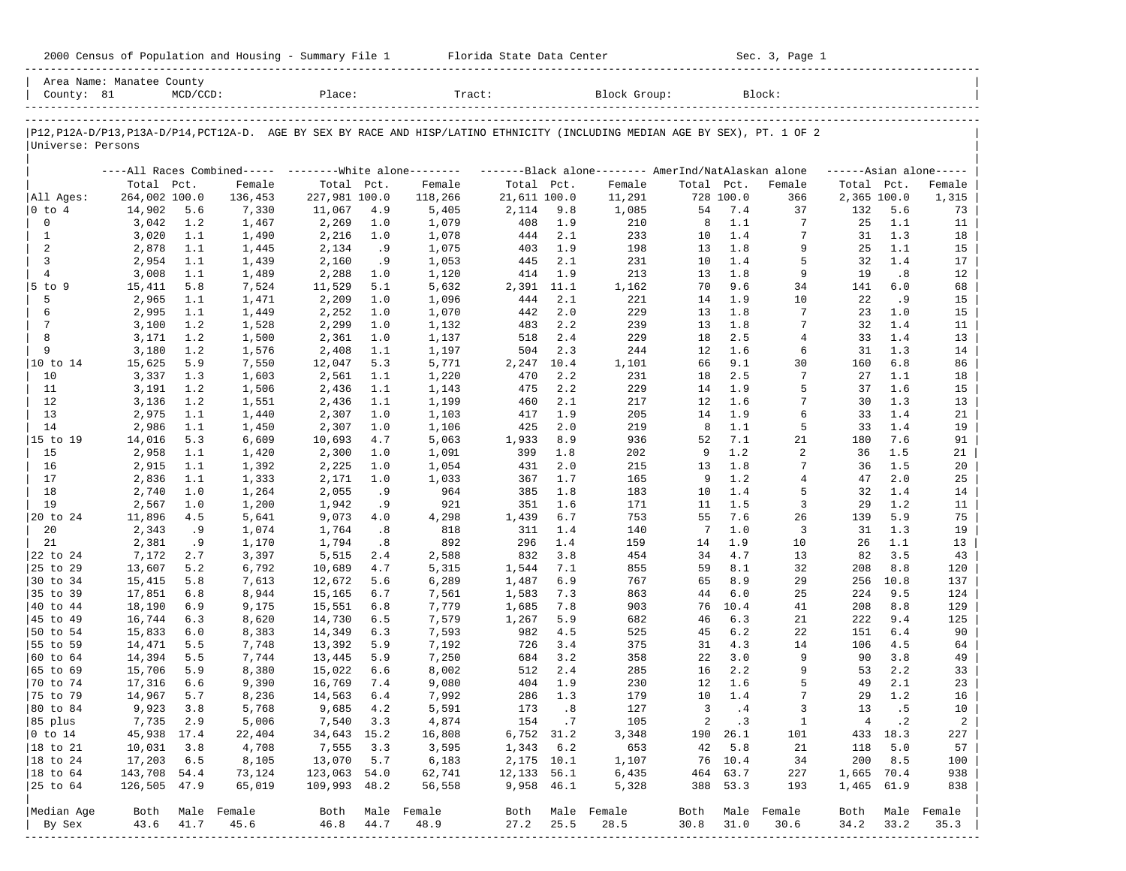| 2000 Census of Population and Housing - Summary File 1 |  | Florida State Data Center | Sec. 3, Page 1 |
|--------------------------------------------------------|--|---------------------------|----------------|
|--------------------------------------------------------|--|---------------------------|----------------|

| Area Name: Manatee County<br>County: 81 |                  | $MCD/CCD$ : |                                                         | Place:               |            | Tract:                                                                                                                        |                           |                             | Block Group:                                       |                |                 | Block:         |             |            |                     |
|-----------------------------------------|------------------|-------------|---------------------------------------------------------|----------------------|------------|-------------------------------------------------------------------------------------------------------------------------------|---------------------------|-----------------------------|----------------------------------------------------|----------------|-----------------|----------------|-------------|------------|---------------------|
| Universe: Persons                       |                  |             |                                                         |                      |            | P12, P12A-D/P13, P13A-D/P14, PCT12A-D. AGE BY SEX BY RACE AND HISP/LATINO ETHNICITY (INCLUDING MEDIAN AGE BY SEX), PT. 1 OF 2 |                           |                             |                                                    |                |                 |                |             |            |                     |
|                                         |                  |             | ----All Races Combined----- --------White alone-------- |                      |            |                                                                                                                               |                           |                             | -------Black alone------- AmerInd/NatAlaskan alone |                |                 |                |             |            | $---Asian alone---$ |
|                                         | Total Pct.       |             | Female                                                  | Total Pct.           |            | Female                                                                                                                        | Total Pct.                |                             | Female                                             | Total Pct.     |                 | Female         | Total Pct.  |            | Female              |
| All Ages:                               | 264,002 100.0    |             | 136,453                                                 | 227,981 100.0        |            | 118,266                                                                                                                       | 21,611 100.0              |                             | 11,291                                             |                | 728 100.0       | 366            | 2,365 100.0 |            | 1,315               |
| 0 to 4                                  | 14,902           | 5.6         | 7,330                                                   | 11,067               | 4.9        | 5,405                                                                                                                         | 2,114                     | 9.8                         | 1,085                                              | 54             | 7.4             | 37             | 132         | 5.6        | 73                  |
| 0                                       | 3,042            | 1.2         | 1,467                                                   | 2,269                | 1.0        | 1,079                                                                                                                         | 408                       | 1.9                         | 210                                                | 8              | 1.1             | 7              | 25          | 1.1        | 11                  |
| 1                                       | 3,020            | 1.1         | 1,490                                                   | 2,216                | 1.0        | 1,078                                                                                                                         | 444                       | 2.1                         | 233                                                | 10             | 1.4             | 7              | 31          | 1.3        | 18                  |
| 2                                       | 2,878            | 1.1         | 1,445                                                   | 2,134                | .9         | 1,075                                                                                                                         | 403                       | 1.9                         | 198                                                | 13             | 1.8             | 9              | 25          | 1.1        | 15                  |
| 3                                       | 2,954            | 1.1         | 1,439                                                   | 2,160                | . 9        | 1,053                                                                                                                         | 445                       | 2.1                         | 231                                                | 10             | 1.4             | 5<br>9         | 32          | 1.4        | 17                  |
| 4<br>$5$ to $9$                         | 3,008<br>15,411  | 1.1<br>5.8  | 1,489                                                   | 2,288<br>11,529      | 1.0<br>5.1 | 1,120<br>5,632                                                                                                                | 414<br>2,391              | 1.9<br>11.1                 | 213<br>1,162                                       | 13<br>70       | 1.8<br>9.6      | 34             | 19<br>141   | .8<br>6.0  | 12<br>68            |
| 5                                       | 2,965            | 1.1         | 7,524<br>1,471                                          | 2,209                | 1.0        | 1,096                                                                                                                         | 444                       | 2.1                         | 221                                                | 14             | 1.9             | 10             | 22          | . 9        | 15                  |
| 6                                       | 2,995            | 1.1         | 1,449                                                   | 2,252                | 1.0        | 1,070                                                                                                                         | 442                       | 2.0                         | 229                                                | 13             | 1.8             | 7              | 23          | 1.0        | 15                  |
| 7                                       | 3,100            | 1.2         | 1,528                                                   | 2,299                | 1.0        | 1,132                                                                                                                         | 483                       | 2.2                         | 239                                                | 13             | 1.8             | 7              | 32          | 1.4        | 11                  |
| 8                                       | 3,171            | 1.2         | 1,500                                                   | 2,361                | 1.0        | 1,137                                                                                                                         | 518                       | 2.4                         | 229                                                | 18             | 2.5             | $\overline{4}$ | 33          | 1.4        | 13                  |
| 9                                       | 3,180            | 1.2         | 1,576                                                   | 2,408                | 1.1        | 1,197                                                                                                                         | 504                       | 2.3                         | 244                                                | 12             | 1.6             | 6              | 31          | 1.3        | 14                  |
| 10 to 14                                | 15,625           | 5.9         | 7,550                                                   | 12,047               | 5.3        | 5,771                                                                                                                         | 2,247                     | 10.4                        | 1,101                                              | 66             | 9.1             | 30             | 160         | 6.8        | 86                  |
| 10                                      | 3,337            | 1.3         | 1,603                                                   | 2,561                | 1.1        | 1,220                                                                                                                         | 470                       | 2.2                         | 231                                                | 18             | 2.5             | 7              | 27          | 1.1        | 18                  |
| 11                                      | 3,191            | 1.2         | 1,506                                                   | 2,436                | 1.1        | 1,143                                                                                                                         | 475                       | 2.2                         | 229                                                | 14             | 1.9             | 5              | 37          | 1.6        | 15                  |
| 12                                      | 3,136            | 1.2         | 1,551                                                   | 2,436                | 1.1        | 1,199                                                                                                                         | 460                       | 2.1                         | 217                                                | 12             | 1.6             | 7              | 30          | 1.3        | 13                  |
| 13                                      | 2,975            | 1.1         | 1,440                                                   | 2,307                | 1.0        | 1,103                                                                                                                         | 417                       | 1.9                         | 205                                                | 14             | 1.9             | 6              | 33          | 1.4        | 21                  |
| 14                                      | 2,986            | 1.1         | 1,450                                                   | 2,307                | 1.0        | 1,106                                                                                                                         | 425                       | 2.0                         | 219                                                | 8              | 1.1             | 5              | 33          | 1.4        | 19                  |
| 15 to 19                                | 14,016           | 5.3         | 6,609                                                   | 10,693               | 4.7        | 5,063                                                                                                                         | 1,933                     | 8.9                         | 936                                                | 52             | 7.1             | 21             | 180         | 7.6        | 91                  |
| 15                                      | 2,958            | 1.1         | 1,420                                                   | 2,300                | 1.0        | 1,091                                                                                                                         | 399                       | 1.8                         | 202                                                | 9              | 1.2             | 2              | 36          | 1.5        | 21                  |
| 16                                      | 2,915            | 1.1         | 1,392                                                   | 2,225                | 1.0        | 1,054                                                                                                                         | 431                       | 2.0                         | 215                                                | 13             | 1.8             | 7              | 36          | 1.5        | 20                  |
| 17                                      | 2,836            | 1.1         | 1,333                                                   | 2,171                | 1.0        | 1,033                                                                                                                         | 367                       | 1.7                         | 165                                                | 9              | 1.2             | 4              | 47          | 2.0        | 25                  |
| 18                                      | 2,740            | 1.0         | 1,264                                                   | 2,055                | .9         | 964                                                                                                                           | 385                       | 1.8                         | 183                                                | 10             | 1.4<br>1.5      | 5<br>3         | 32          | 1.4        | 14                  |
| 19<br>20 to 24                          | 2,567<br>11,896  | 1.0<br>4.5  | 1,200<br>5,641                                          | 1,942<br>9,073       | .9<br>4.0  | 921<br>4,298                                                                                                                  | 351<br>1,439              | 1.6<br>6.7                  | 171<br>753                                         | 11<br>55       | 7.6             | 26             | 29<br>139   | 1.2<br>5.9 | 11<br>75            |
| 20                                      | 2,343            | .9          | 1,074                                                   | 1,764                | .8         | 818                                                                                                                           | 311                       | 1.4                         | 140                                                | 7              | $1.0$           | 3              | 31          | 1.3        | 19                  |
| 21                                      | 2,381            | .9          | 1,170                                                   | 1,794                | .8         | 892                                                                                                                           | 296                       | 1.4                         | 159                                                | 14             | 1.9             | 10             | 26          | 1.1        | 13                  |
| 22 to 24                                | 7,172            | 2.7         | 3,397                                                   | 5,515                | 2.4        | 2,588                                                                                                                         | 832                       | 3.8                         | 454                                                | 34             | 4.7             | 13             | 82          | 3.5        | 43                  |
| 25 to 29                                | 13,607           | 5.2         | 6,792                                                   | 10,689               | 4.7        | 5,315                                                                                                                         | 1,544                     | 7.1                         | 855                                                | 59             | 8.1             | 32             | 208         | 8.8        | 120                 |
| 30 to 34                                | 15,415           | 5.8         | 7,613                                                   | 12,672               | 5.6        | 6,289                                                                                                                         | 1,487                     | 6.9                         | 767                                                | 65             | 8.9             | 29             | 256         | 10.8       | 137                 |
| 35 to 39                                | 17,851           | 6.8         | 8,944                                                   | 15,165               | 6.7        | 7,561                                                                                                                         | 1,583                     | 7.3                         | 863                                                | 44             | 6.0             | 25             | 224         | 9.5        | 124                 |
| 40 to 44                                | 18,190           | 6.9         | 9,175                                                   | 15,551               | 6.8        | 7,779                                                                                                                         | 1,685                     | 7.8                         | 903                                                | 76             | 10.4            | 41             | 208         | 8.8        | 129                 |
| 45 to 49                                | 16,744           | 6.3         | 8,620                                                   | 14,730               | 6.5        | 7,579                                                                                                                         | 1,267                     | 5.9                         | 682                                                | 46             | 6.3             | 21             | 222         | 9.4        | 125                 |
| 50 to 54                                | 15,833           | 6.0         | 8,383                                                   | 14,349               | 6.3        | 7,593                                                                                                                         | 982                       | 4.5                         | 525                                                | 45             | 6.2             | 22             | 151         | 6.4        | 90                  |
| 55 to 59                                | 14,471           | 5.5         | 7,748                                                   | 13,392               | 5.9        | 7,192                                                                                                                         | 726                       | 3.4                         | 375                                                | 31             | 4.3             | 14             | 106         | 4.5        | 64                  |
| 60 to 64                                | 14,394           | 5.5         | 7,744                                                   | 13,445               | 5.9        | 7,250                                                                                                                         | 684                       | 3.2                         | 358                                                | 22             | 3.0             | 9              | 90          | 3.8        | 49                  |
| 65 to 69                                | 15,706           | 5.9         | 8,380                                                   | 15,022               | 6.6        | 8,002                                                                                                                         | 512                       | 2.4                         | 285                                                | 16             | 2.2             | 9              | 53          | 2.2        | 33                  |
| 70 to 74                                | 17,316           | 6.6         | 9,390                                                   | 16,769               | 7.4        | 9,080                                                                                                                         | 404                       | 1.9                         | 230                                                | 12             | 1.6             | 5              | 49          | 2.1        | 23                  |
| 75 to 79                                | 14,967           | 5.7         | 8,236                                                   | 14,563               | 6.4        | 7,992                                                                                                                         | 286                       | 1.3                         | 179                                                | 10             | $1.4\,$         | 7              | 29          | 1.2        | 16                  |
| 80 to 84                                | 9,923            | 3.8         | 5,768                                                   | 9,685                | 4.2        | 5,591                                                                                                                         | 173                       | $\overline{\phantom{0}}$ .8 | 127                                                | 3              | .4              | 3              | 13          | .5         | 10                  |
| 85 plus                                 | 7,735 2.9        |             | 5,006                                                   | 7,540 3.3            |            | 4,874                                                                                                                         | 154.7                     |                             | 105                                                | $\overline{a}$ | $\cdot$ 3       | $\mathbf{1}$   | 4           | $\cdot$ 2  | $\overline{a}$      |
| $ 0 \t\t \text{to} 14$<br>18 to 21      | 45,938 17.4      |             | 22,404                                                  | 34,643 15.2<br>7,555 |            | 16,808                                                                                                                        | 6,752 31.2                |                             | 3,348                                              | 42             | 190 26.1<br>5.8 | 101            |             | 433 18.3   | 227                 |
| 18 to 24                                | 10,031<br>17,203 | 3.8<br>6.5  | 4,708<br>8,105                                          | 13,070 5.7           | 3.3        | 3,595<br>6,183                                                                                                                | $1,343$ 6.2<br>2,175 10.1 |                             | 653<br>1,107                                       |                | 76 10.4         | 21<br>34       | 118<br>200  | 5.0<br>8.5 | 57<br>100           |
| 18 to 64                                | 143,708 54.4     |             | 73,124                                                  | 123,063 54.0         |            | 62,741                                                                                                                        | 12,133 56.1               |                             | 6,435                                              |                | 464 63.7        | 227            | 1,665 70.4  |            | 938                 |
| 25 to 64                                | 126,505 47.9     |             | 65,019                                                  | 109,993 48.2         |            | 56,558                                                                                                                        | 9,958 46.1                |                             | 5,328                                              |                | 388 53.3        | 193            | 1,465 61.9  |            | 838                 |
|                                         |                  |             |                                                         |                      |            |                                                                                                                               |                           |                             |                                                    |                |                 |                |             |            |                     |
| Median Age                              | Both             |             | Male Female                                             | Both                 |            | Male Female                                                                                                                   |                           |                             | Both Male Female                                   | Both           |                 | Male Female    | Both        | Male       | Female              |
| By Sex                                  | 43.6             | 41.7        | 45.6                                                    | 46.8 44.7            |            | 48.9                                                                                                                          | 27.2                      | 25.5                        | 28.5                                               | 30.8           | 31.0            | 30.6           | 34.2        | 33.2       | 35.3                |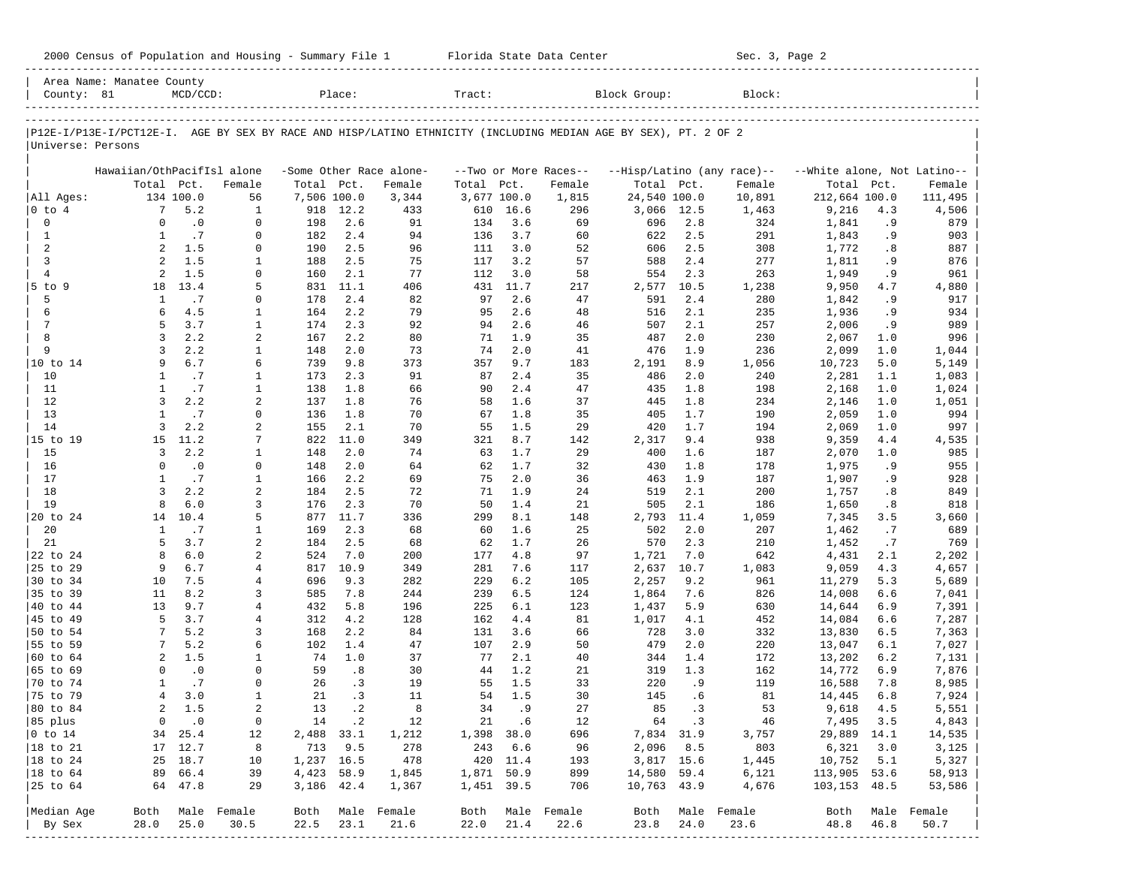|                      | Area Name: Manatee County                                                                                      |                  |                             |             |            |                         |             |            |                       |              |            |                            |                             |           |            |
|----------------------|----------------------------------------------------------------------------------------------------------------|------------------|-----------------------------|-------------|------------|-------------------------|-------------|------------|-----------------------|--------------|------------|----------------------------|-----------------------------|-----------|------------|
| County: 81           |                                                                                                                | $MCD/CCD$ :      |                             |             | Place:     |                         | Tract:      |            |                       | Block Group: |            | Block:                     |                             |           |            |
|                      | P12E-I/P13E-I/PCT12E-I. AGE BY SEX BY RACE AND HISP/LATINO ETHNICITY (INCLUDING MEDIAN AGE BY SEX), PT. 2 OF 2 |                  |                             |             |            |                         |             |            |                       |              |            |                            |                             |           |            |
| Universe: Persons    |                                                                                                                |                  |                             |             |            |                         |             |            |                       |              |            |                            |                             |           |            |
|                      | Hawaiian/OthPacifIsl alone                                                                                     |                  |                             |             |            | -Some Other Race alone- |             |            | --Two or More Races-- |              |            | --Hisp/Latino (any race)-- | --White alone, Not Latino-- |           |            |
|                      | Total Pct.                                                                                                     |                  | Female                      | Total Pct.  |            | Female                  | Total       | Pct.       | Female                | Total Pct.   |            | Female                     | Total                       | Pct.      | Female     |
| All Ages:            |                                                                                                                | 134 100.0        | 56                          | 7,506 100.0 |            | 3,344                   | 3,677 100.0 |            | 1,815                 | 24,540 100.0 |            | 10,891                     | 212,664 100.0               |           | 111,495    |
| $ 0 \t{to} 4$        | $7^{\circ}$                                                                                                    | 5.2              | $\mathbf{1}$                | 918         | 12.2       | 433                     | 610         | 16.6       | 296                   | 3,066        | 12.5       | 1,463                      | 9,216                       | 4.3       | 4,506      |
| 0                    | $\Omega$                                                                                                       | $\cdot$ 0        | $\mathbf 0$                 | 198         | 2.6        | 91                      | 134         | 3.6        | 69                    | 696          | 2.8        | 324                        | 1,841                       | . 9       | 879        |
| $\mathbf{1}$         | 1                                                                                                              | .7               | $\mathbf 0$                 | 182         | 2.4        | 94                      | 136         | 3.7        | 60                    | 622          | 2.5        | 291                        | 1,843                       | . 9       | 903        |
| 2                    | 2                                                                                                              | 1.5              | 0                           | 190         | 2.5        | 96                      | 111         | 3.0        | 52                    | 606          | 2.5        | 308                        | 1,772                       | .8        | 887        |
| 3                    | 2                                                                                                              | 1.5              | 1                           | 188         | 2.5        | 75                      | 117         | 3.2        | 57                    | 588          | 2.4        | 277                        | 1,811                       | . 9       | 876        |
| $\overline{4}$       | 2                                                                                                              | 1.5              | 0                           | 160         | 2.1        | 77                      | 112         | 3.0        | 58                    | 554          | 2.3        | 263                        | 1,949                       | . 9       | 961        |
| 5 to 9               | 18                                                                                                             | 13.4             | 5                           | 831         | 11.1       | 406                     | 431         | 11.7       | 217                   | 2,577        | 10.5       | 1,238                      | 9,950                       | 4.7       | 4,880      |
| 5                    | 1                                                                                                              | .7               | 0                           | 178         | 2.4        | 82                      | 97          | 2.6        | 47                    | 591          | 2.4        | 280                        | 1,842                       | . 9       | 917        |
| 6                    | 6                                                                                                              | 4.5              | 1                           | 164         | 2.2        | 79                      | 95          | 2.6        | 48                    | 516          | 2.1        | 235                        | 1,936                       | .9        | 934        |
| 7                    | 5                                                                                                              | 3.7              | $\mathbf{1}$                | 174         | 2.3        | 92                      | 94          | 2.6        | 46                    | 507          | 2.1        | 257                        | 2,006                       | . 9       | 989        |
| 8                    | 3                                                                                                              | 2.2              | 2                           | 167         | 2.2        | 80                      | 71          | 1.9        | 35                    | 487          | 2.0        | 230                        | 2,067                       | 1.0       | 996        |
| 9                    | $\overline{3}$                                                                                                 | 2.2              | $\mathbf{1}$                | 148         | 2.0        | 73                      | 74          | 2.0        | 41                    | 476          | 1.9        | 236                        | 2,099                       | 1.0       | 1,044      |
| 10 to 14             | 9                                                                                                              | 6.7              | 6                           | 739         | 9.8        | 373                     | 357         | 9.7        | 183                   | 2,191        | 8.9        | 1,056                      | 10,723                      | 5.0       | 5,149      |
| 10                   | $\mathbf{1}$                                                                                                   | .7               | 1                           | 173         | 2.3        | 91                      | 87          | 2.4        | 35                    | 486          | 2.0        | 240                        | 2,281                       | 1.1       | 1,083      |
| 11                   | $\mathbf{1}$                                                                                                   | .7               | $\mathbf{1}$                | 138         | 1.8        | 66                      | 90          | 2.4        | 47                    | 435          | 1.8        | 198                        | 2,168                       | 1.0       | 1,024      |
| 12                   | $\overline{3}$                                                                                                 | 2.2              | $\overline{a}$              | 137         | 1.8        | 76                      | 58          | 1.6        | 37                    | 445          | 1.8        | 234                        | 2,146                       | 1.0       | 1,051      |
| 13                   | $\mathbf{1}$                                                                                                   | .7               | $\mathbf 0$                 | 136         | 1.8        | 70                      | 67          | 1.8        | 35                    | 405          | 1.7        | 190                        | 2,059                       | 1.0       | 994        |
| 14                   | 3                                                                                                              | 2.2              | 2                           | 155         | 2.1        | 70                      | 55          | 1.5        | 29                    | 420          | 1.7        | 194                        | 2,069                       | 1.0       | 997        |
| 15 to 19             | 15<br>$\overline{3}$                                                                                           | 11.2             | 7                           | 822         | 11.0       | 349                     | 321         | 8.7<br>1.7 | 142                   | 2,317        | 9.4        | 938                        | 9,359                       | 4.4       | 4,535      |
| 15                   | $\Omega$                                                                                                       | 2.2<br>$\cdot$ 0 | $\mathbf{1}$<br>$\mathbf 0$ | 148         | 2.0<br>2.0 | 74                      | 63<br>62    | 1.7        | 29                    | 400          | 1.6        | 187                        | 2,070                       | 1.0       | 985        |
| 16<br>17             | $\mathbf{1}$                                                                                                   | .7               | $\mathbf{1}$                | 148<br>166  | 2.2        | 64<br>69                | 75          | 2.0        | 32<br>36              | 430          | 1.8<br>1.9 | 178                        | 1,975                       | .9        | 955        |
| 18                   | 3                                                                                                              | 2.2              | 2                           | 184         | 2.5        | 72                      | 71          | 1.9        | 24                    | 463<br>519   | 2.1        | 187<br>200                 | 1,907                       | . 9<br>.8 | 928<br>849 |
| 19                   | 8                                                                                                              | 6.0              | 3                           | 176         | 2.3        | 70                      | 50          | 1.4        | 21                    | 505          | 2.1        | 186                        | 1,757<br>1,650              | .8        | 818        |
| 20 to 24             | 14                                                                                                             | 10.4             | 5                           | 877         | 11.7       | 336                     | 299         | 8.1        | 148                   | 2,793        | 11.4       | 1,059                      | 7,345                       | 3.5       | 3,660      |
| 20                   | $\mathbf{1}$                                                                                                   | .7               | $\mathbf{1}$                | 169         | 2.3        | 68                      | 60          | 1.6        | 25                    | 502          | 2.0        | 207                        | 1,462                       | .7        | 689        |
| 21                   | 5                                                                                                              | 3.7              | 2                           | 184         | 2.5        | 68                      | 62          | 1.7        | 26                    | 570          | 2.3        | 210                        | 1,452                       | .7        | 769        |
| 22 to 24             | 8                                                                                                              | 6.0              | 2                           | 524         | 7.0        | 200                     | 177         | 4.8        | 97                    | 1,721        | 7.0        | 642                        | 4,431                       | 2.1       | 2,202      |
| 25 to 29             | 9                                                                                                              | 6.7              | 4                           | 817         | 10.9       | 349                     | 281         | 7.6        | 117                   | 2,637        | 10.7       | 1,083                      | 9,059                       | 4.3       | 4,657      |
| 30 to 34             | 10                                                                                                             | 7.5              | 4                           | 696         | 9.3        | 282                     | 229         | 6.2        | 105                   | 2,257        | 9.2        | 961                        | 11,279                      | 5.3       | 5,689      |
| 35 to 39             | 11                                                                                                             | 8.2              | 3                           | 585         | 7.8        | 244                     | 239         | 6.5        | 124                   | 1,864        | 7.6        | 826                        | 14,008                      | 6.6       | 7,041      |
| 40 to 44             | 13                                                                                                             | 9.7              | 4                           | 432         | 5.8        | 196                     | 225         | 6.1        | 123                   | 1,437        | 5.9        | 630                        | 14,644                      | 6.9       | 7,391      |
| 45 to 49             | 5                                                                                                              | 3.7              | 4                           | 312         | 4.2        | 128                     | 162         | 4.4        | 81                    | 1,017        | 4.1        | 452                        | 14,084                      | 6.6       | 7,287      |
| 50 to 54             | 7                                                                                                              | 5.2              | 3                           | 168         | 2.2        | 84                      | 131         | 3.6        | 66                    | 728          | 3.0        | 332                        | 13,830                      | 6.5       | 7,363      |
| 55 to 59             |                                                                                                                | 5.2              | 6                           | 102         | 1.4        | 47                      | 107         | 2.9        | 50                    | 479          | 2.0        | 220                        | 13,047                      | 6.1       | 7,027      |
| 60 to 64             | $\overline{a}$                                                                                                 | 1.5              | 1                           | 74          | 1.0        | 37                      | 77          | 2.1        | 40                    | 344          | 1.4        | 172                        | 13,202                      | 6.2       | 7,131      |
| 65 to 69             | $\Omega$                                                                                                       | $\cdot$ 0        | $\mathbf 0$                 | 59          | .8         | 30                      | 44          | 1.2        | 21                    | 319          | 1.3        | 162                        | 14,772                      | 6.9       | 7,876      |
| 70 to 74             | 1                                                                                                              | .7               | $\mathbf 0$                 | 26          | $\cdot$ 3  | 19                      | 55          | 1.5        | 33                    | 220          | . 9        | 119                        | 16,588                      | 7.8       | 8,985      |
| 75 to 79             | 4                                                                                                              | 3.0              | $\mathbf{1}$                | 21          | .3         | 11                      | 54          | 1.5        | 30                    | 145          | . 6        | 81                         | 14,445                      | 6.8       | 7,924      |
| 80 to 84             | $\overline{a}$                                                                                                 | 1.5              | 2                           | 13          | $\cdot$ 2  | 8                       | 34          | . 9        | 27                    | 85           | .3         | 53                         | 9,618                       | 4.5       | 5,551      |
| 85 plus              |                                                                                                                | $0 \qquad .0$    | 0                           |             | 14.2       | 12                      |             | 21 .6      | 12                    |              | 64 .3      | 46                         | 7,495 3.5                   |           | 4,843      |
| $ 0 \t{to} 14$       |                                                                                                                | 34 25.4          | 12                          | 2,488 33.1  |            | 1,212                   | 1,398 38.0  |            | 696                   |              | 7,834 31.9 | 3,757                      | 29,889 14.1                 |           | 14,535     |
| $ 18 \text{ to } 21$ |                                                                                                                | 17 12.7          | 8                           |             | 713 9.5    | 278                     | 243 6.6     |            | 96                    |              | 2,096 8.5  | 803                        | 6,321                       | 3.0       | 3,125      |
| $ 18 \text{ to } 24$ |                                                                                                                | 25 18.7          | 10                          | 1,237 16.5  |            | 478                     |             | 420 11.4   | 193                   |              | 3,817 15.6 | 1,445                      | 10,752                      | 5.1       | 5,327      |
| $ 18 \text{ to } 64$ |                                                                                                                | 89 66.4          | 39                          | 4,423 58.9  |            | 1,845                   | 1,871 50.9  |            | 899                   | 14,580 59.4  |            | 6,121                      | 113,905 53.6                |           | 58,913     |
| 25 to 64             |                                                                                                                | 64 47.8          | 29                          | 3,186 42.4  |            | 1,367                   | 1,451 39.5  |            | 706                   | 10,763 43.9  |            | 4,676                      | 103,153 48.5                |           | 53,586     |
| Median Age           |                                                                                                                |                  | Both Male Female            |             |            | Both Male Female        |             |            | Both Male Female      |              |            | Both Male Female           | Both Male Female            |           |            |
| By Sex               | 28.0                                                                                                           | 25.0             | 30.5                        | 22.5        | 23.1       | 21.6                    | 22.0        | 21.4       | 22.6                  | 23.8         | 24.0       | 23.6                       | 48.8                        | 46.8      | 50.7       |
|                      |                                                                                                                |                  | --------------              |             |            |                         |             |            |                       |              |            |                            |                             |           |            |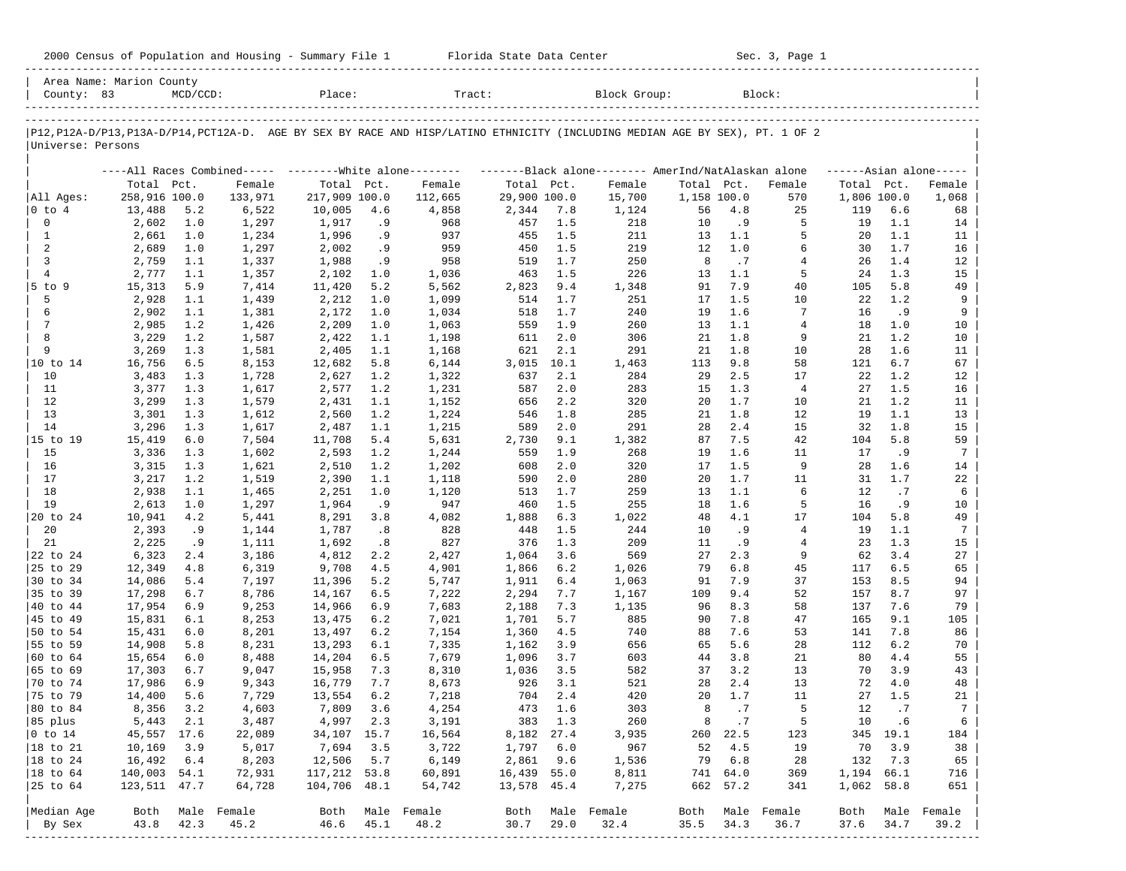| 2000 Census of Population and Housing - Summary File 1 |  | Florida State Data Center | Sec. 3, Page 1 |
|--------------------------------------------------------|--|---------------------------|----------------|
|--------------------------------------------------------|--|---------------------------|----------------|

| County: 83           | Area Name: Marion County | $MCD/CCD$ : |                                                         | Place:        |      | Tract:                                                                                                                        |              |      | Block Group:                                        |             |           | Block:           |                     |          |        |
|----------------------|--------------------------|-------------|---------------------------------------------------------|---------------|------|-------------------------------------------------------------------------------------------------------------------------------|--------------|------|-----------------------------------------------------|-------------|-----------|------------------|---------------------|----------|--------|
|                      |                          |             |                                                         |               |      | P12, P12A-D/P13, P13A-D/P14, PCT12A-D. AGE BY SEX BY RACE AND HISP/LATINO ETHNICITY (INCLUDING MEDIAN AGE BY SEX), PT. 1 OF 2 |              |      |                                                     |             |           |                  |                     |          |        |
| Universe: Persons    |                          |             |                                                         |               |      |                                                                                                                               |              |      |                                                     |             |           |                  |                     |          |        |
|                      |                          |             | ----All Races Combined----- --------White alone-------- |               |      |                                                                                                                               |              |      | -------Black alone-------- AmerInd/NatAlaskan alone |             |           |                  | $---Asian alone---$ |          |        |
|                      | Total Pct.               |             | Female                                                  | Total Pct.    |      | Female                                                                                                                        | Total Pct.   |      | Female                                              | Total Pct.  |           | Female           | Total Pct.          |          | Female |
| All Ages:            | 258,916 100.0            |             | 133,971                                                 | 217,909 100.0 |      | 112,665                                                                                                                       | 29,900 100.0 |      | 15,700                                              | 1,158 100.0 |           | 570              | 1,806 100.0         |          | 1,068  |
| $ 0 \t{to} 4$        | 13,488                   | 5.2         | 6,522                                                   | 10,005        | 4.6  | 4,858                                                                                                                         | 2,344        | 7.8  | 1,124                                               | 56          | 4.8       | 25               | 119                 | 6.6      | 68     |
| $\mathbf 0$          | 2,602                    | 1.0         | 1,297                                                   | 1,917         | . 9  | 968                                                                                                                           | 457          | 1.5  | 218                                                 | 10          | . 9       | 5                | 19                  | 1.1      | 14     |
| $\mathbf{1}$         | 2,661                    | 1.0         | 1,234                                                   | 1,996         | . 9  | 937                                                                                                                           | 455          | 1.5  | 211                                                 | 13          | 1.1       | 5                | 20                  | 1.1      | 11     |
| 2                    | 2,689                    | 1.0         | 1,297                                                   | 2,002         | .9   | 959                                                                                                                           | 450          | 1.5  | 219                                                 | 12          | 1.0       | 6                | 30                  | 1.7      | 16     |
| 3                    | 2,759                    | 1.1         | 1,337                                                   | 1,988         | . 9  | 958                                                                                                                           | 519          | 1.7  | 250                                                 | 8           | .7        | 4                | 26                  | 1.4      | 12     |
| $\overline{4}$       | 2,777                    | 1.1         | 1,357                                                   | 2,102         | 1.0  | 1,036                                                                                                                         | 463          | 1.5  | 226                                                 | 13          | 1.1       | 5                | 24                  | 1.3      | 15     |
| $5$ to $9$           | 15,313                   | 5.9         | 7,414                                                   | 11,420        | 5.2  | 5,562                                                                                                                         | 2,823        | 9.4  | 1,348                                               | 91          | 7.9       | 40               | 105                 | 5.8      | 49     |
| 5                    | 2,928                    | 1.1         | 1,439                                                   | 2,212         | 1.0  | 1,099                                                                                                                         | 514          | 1.7  | 251                                                 | 17          | 1.5       | 10               | 22                  | 1.2      |        |
| 6                    | 2,902                    | 1.1         | 1,381                                                   | 2,172         | 1.0  | 1,034                                                                                                                         | 518          | 1.7  | 240                                                 | 19          | 1.6       | 7                | 16                  | .9       |        |
| $7\phantom{.0}$      | 2,985                    | 1.2         | 1,426                                                   | 2,209         | 1.0  | 1,063                                                                                                                         | 559          | 1.9  | 260                                                 | 13          | 1.1       | 4                | 18                  | 1.0      | 10     |
| 8                    | 3,229                    | 1.2         | 1,587                                                   | 2,422         | 1.1  | 1,198                                                                                                                         | 611          | 2.0  | 306                                                 | 21          | 1.8       | 9                | 21                  | 1.2      | 10     |
| 9                    | 3,269                    | 1.3         | 1,581                                                   | 2,405         | 1.1  | 1,168                                                                                                                         | 621          | 2.1  | 291                                                 | 21          | 1.8       | 10               | 28                  | 1.6      | 11     |
| 10 to 14             | 16,756                   | 6.5         | 8,153                                                   | 12,682        | 5.8  | 6,144                                                                                                                         | 3,015        | 10.1 | 1,463                                               | 113         | 9.8       | 58               | 121                 | 6.7      | 67     |
| 10                   | 3,483                    | 1.3         | 1,728                                                   | 2,627         | 1.2  | 1,322                                                                                                                         | 637          | 2.1  | 284                                                 | 29          | 2.5       | 17               | 22                  | 1.2      | 12     |
| 11                   | 3,377                    | 1.3         | 1,617                                                   | 2,577         | 1.2  | 1,231                                                                                                                         | 587          | 2.0  | 283                                                 | 15          | 1.3       | $\overline{4}$   | 27                  | 1.5      | 16     |
| 12                   | 3,299                    | 1.3         | 1,579                                                   | 2,431         | 1.1  | 1,152                                                                                                                         | 656          | 2.2  | 320                                                 | 20          | 1.7       | 10               | 21                  | 1.2      | 11     |
| 13                   | 3,301                    | 1.3         | 1,612                                                   | 2,560         | 1.2  | 1,224                                                                                                                         | 546          | 1.8  | 285                                                 | 21          | 1.8       | 12               | 19                  | 1.1      | 13     |
| 14                   | 3,296                    | 1.3         | 1,617                                                   | 2,487         | 1.1  | 1,215                                                                                                                         | 589          | 2.0  | 291                                                 | 28          | 2.4       | 15               | 32                  | 1.8      | 15     |
| 15 to 19             | 15,419                   | $6.0$       | 7,504                                                   | 11,708        | 5.4  | 5,631                                                                                                                         | 2,730        | 9.1  | 1,382                                               | 87          | 7.5       | 42               | 104                 | 5.8      |        |
| 15                   | 3,336                    | 1.3         | 1,602                                                   | 2,593         | 1.2  | 1,244                                                                                                                         | 559          | 1.9  | 268                                                 | 19          | 1.6       | 11               | 17                  | .9       |        |
| 16                   | 3,315                    | 1.3         | 1,621                                                   | 2,510         | 1.2  | 1,202                                                                                                                         | 608          | 2.0  | 320                                                 | 17          | 1.5       | 9                | 28                  | 1.6      | 14     |
| 17                   | 3,217                    | 1.2         | 1,519                                                   | 2,390         | 1.1  | 1,118                                                                                                                         | 590          | 2.0  | 280                                                 | 20          | 1.7       | 11               | 31                  | 1.7      | 22     |
| 18                   | 2,938                    | 1.1         | 1,465                                                   | 2,251         | 1.0  | 1,120                                                                                                                         | 513          | 1.7  | 259                                                 | 13          | 1.1       | 6                | 12                  | .7       |        |
| 19                   | 2,613                    | 1.0         | 1,297                                                   | 1,964         | . 9  | 947                                                                                                                           | 460          | 1.5  | 255                                                 | 18          | 1.6       | 5                | 16                  | . 9      | 10     |
| 20 to 24             | 10,941                   | 4.2         | 5,441                                                   | 8,291         | 3.8  | 4,082                                                                                                                         | 1,888        | 6.3  | 1,022                                               | 48          | 4.1       | 17               | 104                 | 5.8      | 49     |
| 20                   | 2,393                    | . 9         | 1,144                                                   | 1,787         | .8   | 828                                                                                                                           | 448          | 1.5  | 244                                                 | 10          | . 9       | $\overline{4}$   | 19                  | 1.1      |        |
| 21                   | 2,225                    | .9          | 1,111                                                   | 1,692         | .8   | 827                                                                                                                           | 376          | 1.3  | 209                                                 | 11          | .9        | 4                | 23                  | 1.3      | 15     |
| 22 to 24             | 6,323                    | 2.4         | 3,186                                                   | 4,812         | 2.2  | 2,427                                                                                                                         | 1,064        | 3.6  | 569                                                 | 27          | 2.3       | 9                | 62                  | 3.4      | 27     |
| 25 to 29             | 12,349                   | 4.8         | 6,319                                                   | 9,708         | 4.5  | 4,901                                                                                                                         | 1,866        | 6.2  | 1,026                                               | 79          | 6.8       | 45               | 117                 | 6.5      | 65     |
| 30 to 34             | 14,086                   | 5.4         | 7,197                                                   | 11,396        | 5.2  | 5,747                                                                                                                         | 1,911        | 6.4  | 1,063                                               | 91          | 7.9       | 37               | 153                 | 8.5      | 94     |
| 35 to 39             | 17,298                   | 6.7         | 8,786                                                   | 14,167        | 6.5  | 7,222                                                                                                                         | 2,294        | 7.7  | 1,167                                               | 109         | 9.4       | 52               | 157                 | 8.7      | 97     |
| 40 to 44             | 17,954                   | 6.9         | 9,253                                                   | 14,966        | 6.9  | 7,683                                                                                                                         | 2,188        | 7.3  | 1,135                                               | 96          | 8.3       | 58               | 137                 | 7.6      | 79     |
| 45 to 49             | 15,831                   | 6.1         | 8,253                                                   | 13,475        | 6.2  | 7,021                                                                                                                         | 1,701        | 5.7  | 885                                                 | 90          | 7.8       | 47               | 165                 | 9.1      | 105    |
| 50 to 54             | 15,431                   | $6.0$       | 8,201                                                   | 13,497        | 6.2  | 7,154                                                                                                                         | 1,360        | 4.5  | 740                                                 | 88          | 7.6       | 53               | 141                 | 7.8      | 86     |
| 55 to 59             | 14,908                   | 5.8         | 8,231                                                   | 13,293        | 6.1  | 7,335                                                                                                                         | 1,162        | 3.9  | 656                                                 | 65          | 5.6       | 28               | 112                 | 6.2      | 70     |
| 60 to 64             | 15,654                   | 6.0         | 8,488                                                   | 14,204        | 6.5  | 7,679                                                                                                                         | 1,096        | 3.7  | 603                                                 | 44          | 3.8       | 21               | 80                  | 4.4      | 55     |
| 65 to 69             | 17,303                   | 6.7         | 9,047                                                   | 15,958        | 7.3  | 8,310                                                                                                                         | 1,036        | 3.5  | 582                                                 | 37          | 3.2       | 13               | 70                  | 3.9      | 43     |
| 70 to 74             | 17,986                   | 6.9         | 9,343                                                   | 16,779        | 7.7  | 8,673                                                                                                                         | 926          | 3.1  | 521                                                 | 28          | 2.4       | 13               | 72                  | 4.0      | 48     |
| 75 to 79             | 14,400                   | 5.6         | 7,729                                                   | 13,554        | 6.2  | 7,218                                                                                                                         | 704          | 2.4  | 420                                                 | 20          | 1.7       | 11               | 27                  | 1.5      |        |
| 80 to 84             | 8,356                    | 3.2         | 4,603                                                   | 7,809         | 3.6  | 4,254                                                                                                                         | 473          | 1.6  | 303                                                 | 8           | .7        | 5                | 12                  | .7       | 21     |
| 85 plus              | 5,443                    | 2.1         | 3,487                                                   | 4,997 2.3     |      | 3,191                                                                                                                         | 383 1.3      |      | 260                                                 | 8           | $\cdot$ 7 | -5               |                     | 10 .6    |        |
| $ 0 \t{to} 14$       | 45,557 17.6              |             | 22,089                                                  | 34,107 15.7   |      | 16,564                                                                                                                        | 8,182 27.4   |      | 3,935                                               |             | 260 22.5  | 123              |                     | 345 19.1 | 184    |
| 18 to 21             | 10,169                   | 3.9         | 5,017                                                   | 7,694         | 3.5  | 3,722                                                                                                                         | 1,797        | 6.0  | 967                                                 | 52          | 4.5       | 19               | 70                  | 3.9      | 38     |
| $ 18 \text{ to } 24$ | 16,492                   | 6.4         | 8,203                                                   | 12,506        | 5.7  | 6,149                                                                                                                         | 2,861        | 9.6  | 1,536                                               | 79          | 6.8       | 28               | 132                 | 7.3      | 65     |
| $ 18$ to $64$        | 140,003 54.1             |             | 72,931                                                  | 117,212 53.8  |      | 60,891                                                                                                                        | 16,439 55.0  |      | 8,811                                               |             | 741 64.0  | 369              | 1,194 66.1          |          | 716    |
| 25 to 64             | 123,511 47.7             |             | 64,728                                                  | 104,706 48.1  |      | 54,742                                                                                                                        | 13,578 45.4  |      | 7,275                                               |             | 662 57.2  | 341              | 1,062 58.8          |          | 651    |
|                      |                          |             |                                                         |               |      |                                                                                                                               |              |      |                                                     |             |           |                  |                     |          |        |
| Median Age           | Both                     |             | Male Female                                             | 46.6          |      | Both Male Female                                                                                                              |              |      | Both Male Female                                    |             |           | Both Male Female | Both                | Male     | Female |
| By Sex               | 43.8                     | 42.3        | 45.2                                                    |               | 45.1 | 48.2                                                                                                                          | 30.7         | 29.0 | 32.4                                                | 35.5        | 34.3      | 36.7             | 37.6                | 34.7     | 39.2   |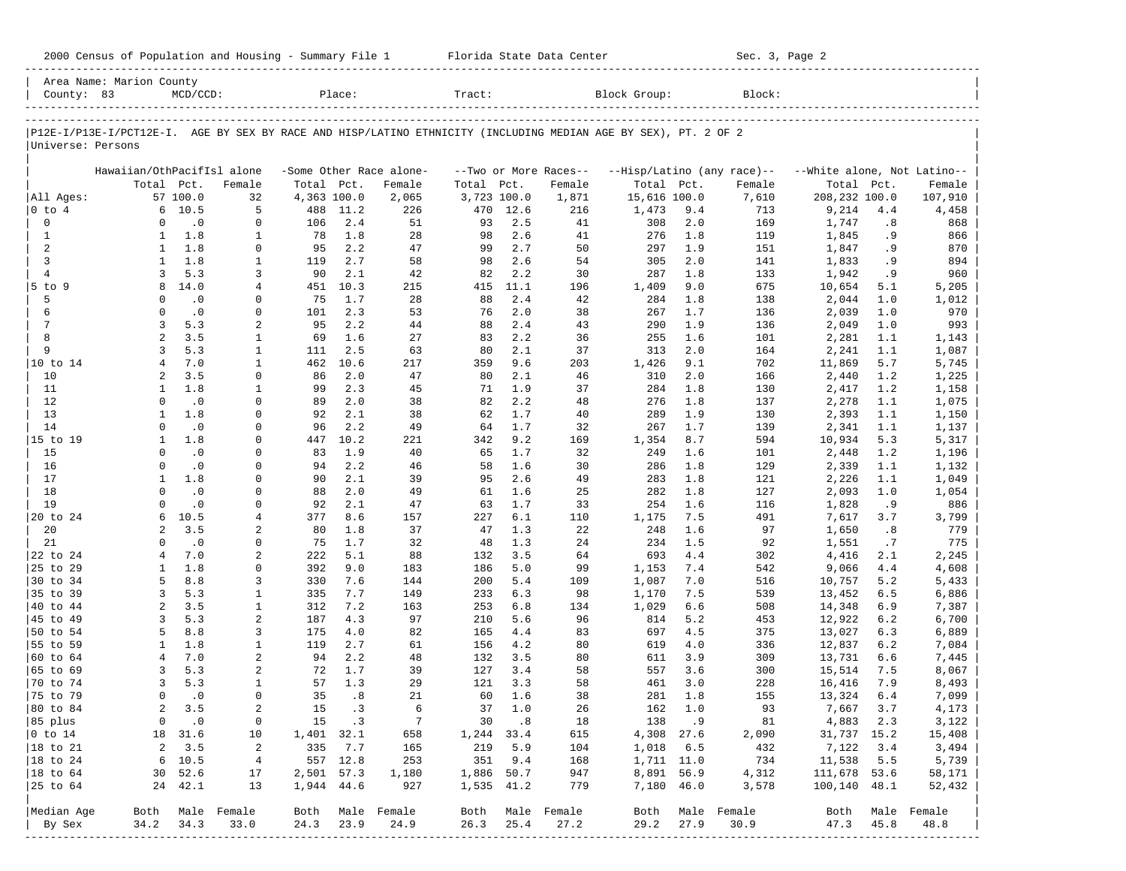|                      | Area Name: Marion County                                                                                       |                        |                  |             |            |                         |             |            |                       |              |            |                            |                             |           |                          |
|----------------------|----------------------------------------------------------------------------------------------------------------|------------------------|------------------|-------------|------------|-------------------------|-------------|------------|-----------------------|--------------|------------|----------------------------|-----------------------------|-----------|--------------------------|
| County: 83           |                                                                                                                | $MCD/CCD$ :            |                  |             | Place:     |                         | Tract:      |            |                       | Block Group: |            | Block:                     |                             |           |                          |
|                      | P12E-I/P13E-I/PCT12E-I. AGE BY SEX BY RACE AND HISP/LATINO ETHNICITY (INCLUDING MEDIAN AGE BY SEX), PT. 2 OF 2 |                        |                  |             |            |                         |             |            |                       |              |            |                            |                             |           |                          |
| Universe: Persons    |                                                                                                                |                        |                  |             |            |                         |             |            |                       |              |            |                            |                             |           |                          |
|                      | Hawaiian/OthPacifIsl alone                                                                                     |                        |                  |             |            | -Some Other Race alone- |             |            | --Two or More Races-- |              |            | --Hisp/Latino (any race)-- | --White alone, Not Latino-- |           |                          |
|                      | Total Pct.                                                                                                     |                        | Female           | Total Pct.  |            | Female                  | Total       | Pct.       | Female                | Total Pct.   |            | Female                     | Total                       | Pct.      | Female                   |
| All Ages:            |                                                                                                                | 57 100.0               | 32               | 4,363 100.0 |            | 2,065                   | 3,723 100.0 |            | 1,871                 | 15,616 100.0 |            | 7,610                      | 208,232 100.0               |           | 107,910                  |
| $ 0 \t{to} 4$        |                                                                                                                | 6 10.5                 | 5                | 488         | 11.2       | 226                     | 470         | 12.6       | 216                   | 1,473        | 9.4        | 713                        | 9,214                       | 4.4       | 4,458                    |
| 0                    | $\Omega$                                                                                                       | $\cdot$ 0              | $\mathbf 0$      | 106         | 2.4        | 51                      | 93          | 2.5        | 41                    | 308          | 2.0        | 169                        | 1,747                       | .8        | 868                      |
| $\mathbf{1}$         | 1                                                                                                              | 1.8                    | $\mathbf{1}$     | 78          | 1.8        | 28                      | 98          | 2.6        | 41                    | 276          | 1.8        | 119                        | 1,845                       | . 9       | 866                      |
| 2                    | 1                                                                                                              | 1.8                    | $\mathbf 0$      | 95          | 2.2        | 47                      | 99          | 2.7        | 50                    | 297          | 1.9        | 151                        | 1,847                       | . 9       | 870                      |
| 3                    | 1                                                                                                              | 1.8                    | $\mathbf{1}$     | 119         | 2.7        | 58                      | 98          | 2.6        | 54                    | 305          | 2.0        | 141                        | 1,833                       | . 9       | 894                      |
| $\overline{4}$       | 3                                                                                                              | 5.3                    | 3                | 90          | 2.1        | 42                      | 82          | 2.2        | 30                    | 287          | 1.8        | 133                        | 1,942                       | . 9       | 960                      |
| 5 to 9               | 8                                                                                                              | 14.0                   | 4                | 451         | 10.3       | 215                     | 415         | 11.1       | 196                   | 1,409        | 9.0        | 675                        | 10,654                      | 5.1       | 5,205                    |
| 5                    | $\Omega$                                                                                                       | $\cdot$ 0              | 0                | 75          | 1.7        | 28                      | 88          | 2.4        | 42                    | 284          | 1.8        | 138                        | 2,044                       | 1.0       | 1,012                    |
| 6                    | $\Omega$                                                                                                       | $\cdot$ 0              | $\mathbf 0$      | 101         | 2.3        | 53                      | 76          | 2.0        | 38                    | 267          | 1.7        | 136                        | 2,039                       | 1.0       | 970                      |
| 7                    | 3                                                                                                              | 5.3                    | 2                | 95          | 2.2        | 44                      | 88          | 2.4        | 43                    | 290          | 1.9        | 136                        | 2,049                       | 1.0       | 993                      |
| 8                    | 2                                                                                                              | 3.5                    | $\mathbf{1}$     | 69          | 1.6        | 27                      | 83          | 2.2        | 36                    | 255          | 1.6        | 101                        | 2,281                       | 1.1       | 1,143                    |
| 9                    | $\overline{3}$                                                                                                 | 5.3                    | $\mathbf{1}$     | 111         | 2.5        | 63                      | 80          | 2.1        | 37                    | 313          | 2.0        | 164                        | 2,241                       | 1.1       | 1,087                    |
| 10 to 14             | $\overline{4}$                                                                                                 | 7.0                    | 1                | 462         | 10.6       | 217                     | 359         | 9.6        | 203                   | 1,426        | 9.1        | 702                        | 11,869                      | 5.7       | 5,745                    |
| 10                   | 2                                                                                                              | 3.5                    | 0                | 86          | 2.0        | 47                      | 80          | 2.1        | 46                    | 310          | 2.0        | 166                        | 2,440                       | 1.2       | 1,225                    |
| 11                   | 1                                                                                                              | 1.8                    | $\mathbf{1}$     | 99          | 2.3        | 45                      | 71          | 1.9        | 37                    | 284          | 1.8        | 130                        | 2,417                       | 1.2       | 1,158                    |
| 12                   | $\Omega$                                                                                                       | $\cdot$ 0              | $\mathbf 0$      | 89          | 2.0        | 38                      | 82          | 2.2        | 48                    | 276          | 1.8        | 137                        | 2,278                       | 1.1       | 1,075                    |
| 13                   | 1                                                                                                              | 1.8                    | $\mathbf 0$      | 92          | 2.1        | 38                      | 62          | 1.7        | 40                    | 289          | 1.9        | 130                        | 2,393                       | 1.1       | 1,150                    |
| 14                   | $\Omega$                                                                                                       | $\cdot$ 0              | 0                | 96          | 2.2        | 49                      | 64          | 1.7        | 32                    | 267          | 1.7        | 139                        | 2,341                       | 1.1       | 1,137                    |
| 15 to 19             | 1                                                                                                              | 1.8                    | $\Omega$         | 447         | 10.2       | 221                     | 342         | 9.2        | 169                   | 1,354        | 8.7        | 594                        | 10,934                      | 5.3       | 5,317                    |
| 15                   | $\Omega$                                                                                                       | $\cdot$ 0              | $\Omega$         | 83          | 1.9        | 40                      | 65          | 1.7        | 32                    | 249          | 1.6        | 101                        | 2,448                       | 1.2       | 1,196                    |
| 16                   | $\Omega$                                                                                                       | $\cdot$ 0              | $\Omega$         | 94          | 2.2        | 46                      | 58          | 1.6        | 30                    | 286          | 1.8        | 129                        | 2,339                       | 1.1       | 1,132                    |
| 17                   | $\mathbf{1}$                                                                                                   | 1.8                    | $\mathbf 0$      | 90          | 2.1        | 39                      | 95          | 2.6        | 49                    | 283          | 1.8        | 121                        | 2,226                       | 1.1       | 1,049                    |
| 18                   | $\Omega$<br>$\Omega$                                                                                           | $\cdot$ 0<br>$\cdot$ 0 | $\Omega$         | 88          | 2.0<br>2.1 | 49                      | 61          | 1.6        | 25                    | 282          | 1.8        | 127                        | 2,093                       | 1.0       | 1,054                    |
| 19                   | 6                                                                                                              | 10.5                   | $\mathbf 0$<br>4 | 92<br>377   | 8.6        | 47                      | 63<br>227   | 1.7<br>6.1 | 33                    | 254          | 1.6<br>7.5 | 116<br>491                 | 1,828                       | .9<br>3.7 | 886                      |
| 20 to 24<br>20       | 2                                                                                                              | 3.5                    | 2                | 80          | 1.8        | 157<br>37               | 47          | 1.3        | 110<br>22             | 1,175<br>248 | 1.6        | 97                         | 7,617                       | .8        | 3,799<br>779             |
| 21                   | $\Omega$                                                                                                       | $\cdot$ 0              | $\mathbf 0$      | 75          | 1.7        | 32                      | 48          | 1.3        | 24                    | 234          | 1.5        | 92                         | 1,650<br>1,551              | .7        | 775                      |
| 22 to 24             | 4                                                                                                              | 7.0                    | 2                | 222         | 5.1        | 88                      | 132         | 3.5        | 64                    | 693          | 4.4        | 302                        | 4,416                       | 2.1       | 2,245                    |
| 25 to 29             | 1                                                                                                              | 1.8                    | 0                | 392         | 9.0        | 183                     | 186         | 5.0        | 99                    | 1,153        | 7.4        | 542                        | 9,066                       | 4.4       | 4,608                    |
| 30 to 34             | 5                                                                                                              | 8.8                    | 3                | 330         | 7.6        | 144                     | 200         | 5.4        | 109                   | 1,087        | 7.0        | 516                        | 10,757                      | 5.2       | 5,433                    |
| 35 to 39             | 3                                                                                                              | 5.3                    | 1                | 335         | 7.7        | 149                     | 233         | 6.3        | 98                    | 1,170        | 7.5        | 539                        | 13,452                      | 6.5       | 6,886                    |
| 40 to 44             | $\overline{a}$                                                                                                 | 3.5                    | 1                | 312         | 7.2        | 163                     | 253         | 6.8        | 134                   | 1,029        | 6.6        | 508                        | 14,348                      | 6.9       | 7,387                    |
| 45 to 49             | 3                                                                                                              | 5.3                    | 2                | 187         | 4.3        | 97                      | 210         | 5.6        | 96                    | 814          | 5.2        | 453                        | 12,922                      | 6.2       | 6,700                    |
| 50 to 54             | 5                                                                                                              | 8.8                    | 3                | 175         | 4.0        | 82                      | 165         | 4.4        | 83                    | 697          | 4.5        | 375                        | 13,027                      | 6.3       | 6,889                    |
| 55 to 59             | $\mathbf{1}$                                                                                                   | 1.8                    | 1                | 119         | 2.7        | 61                      | 156         | 4.2        | 80                    | 619          | 4.0        | 336                        | 12,837                      | 6.2       | 7,084                    |
| 60 to 64             | $\overline{4}$                                                                                                 | 7.0                    | 2                | 94          | 2.2        | 48                      | 132         | 3.5        | 80                    | 611          | 3.9        | 309                        | 13,731                      | 6.6       | 7,445                    |
| 65 to 69             | 3                                                                                                              | 5.3                    | 2                | 72          | 1.7        | 39                      | 127         | 3.4        | 58                    | 557          | 3.6        | 300                        | 15,514                      | 7.5       | 8,067                    |
| 70 to 74             | $\overline{3}$                                                                                                 | 5.3                    | 1                | 57          | 1.3        | 29                      | 121         | 3.3        | 58                    | 461          | 3.0        | 228                        | 16,416                      | 7.9       | 8,493                    |
| 75 to 79             | $\Omega$                                                                                                       | .0                     | $\Omega$         | 35          | .8         | 21                      | 60          | 1.6        | 38                    | 281          | 1.8        | 155                        | 13,324                      | 6.4       | 7,099                    |
| 80 to 84             | $\overline{a}$                                                                                                 | 3.5                    | 2                | 15          | . 3        | 6                       | 37          | 1.0        | 26                    | 162          | 1.0        | 93                         | 7,667                       | 3.7       | 4,173                    |
| 85 plus              |                                                                                                                | $0 \qquad .0$          | $\overline{0}$   |             | 15 .3      | $\overline{7}$          |             | 30 .8      | 18                    |              | 138.9      | 81                         | 4,883 2.3                   |           | 3,122                    |
| $ 0 \t{to} 14$       |                                                                                                                | 18 31.6                | 10               | 1,401 32.1  |            | 658                     | 1,244 33.4  |            | 615                   |              | 4,308 27.6 | 2,090                      | 31,737 15.2                 |           | 15,408                   |
| $ 18 \text{ to } 21$ |                                                                                                                | 2, 3.5                 | 2                |             | 335 7.7    | 165                     | 219 5.9     |            | 104                   | 1,018 6.5    |            | 432                        | 7,122                       | 3.4       | 3,494                    |
| $ 18 \text{ to } 24$ |                                                                                                                | 6 10.5                 | 4                |             | 557 12.8   | 253                     |             | 351 9.4    | 168                   | 1,711 11.0   |            | 734                        | 11,538 5.5                  |           | 5,739                    |
| $ 18 \text{ to } 64$ |                                                                                                                | 30 52.6                | 17               | 2,501 57.3  |            | 1,180                   | 1,886 50.7  |            | 947                   | 8,891 56.9   |            | 4,312                      | 111,678 53.6                |           | 58,171                   |
| 25 to 64             |                                                                                                                | 24 42.1                | 13               | 1,944 44.6  |            | 927                     | 1,535 41.2  |            | 779                   |              | 7,180 46.0 | 3,578                      | 100,140 48.1                |           | 52,432                   |
| Median Age           |                                                                                                                |                        | Both Male Female |             |            | Both Male Female        |             |            | Both Male Female      |              |            | Both Male Female           |                             |           |                          |
| By Sex               | 34.2                                                                                                           | 34.3                   | 33.0             | 24.3        | 23.9       | 24.9                    | 26.3        | 25.4       | 27.2                  | 29.2         | 27.9       | 30.9                       | 47.3                        | 45.8      | Both Male Female<br>48.8 |
|                      |                                                                                                                |                        |                  |             |            |                         |             |            |                       |              |            |                            |                             |           |                          |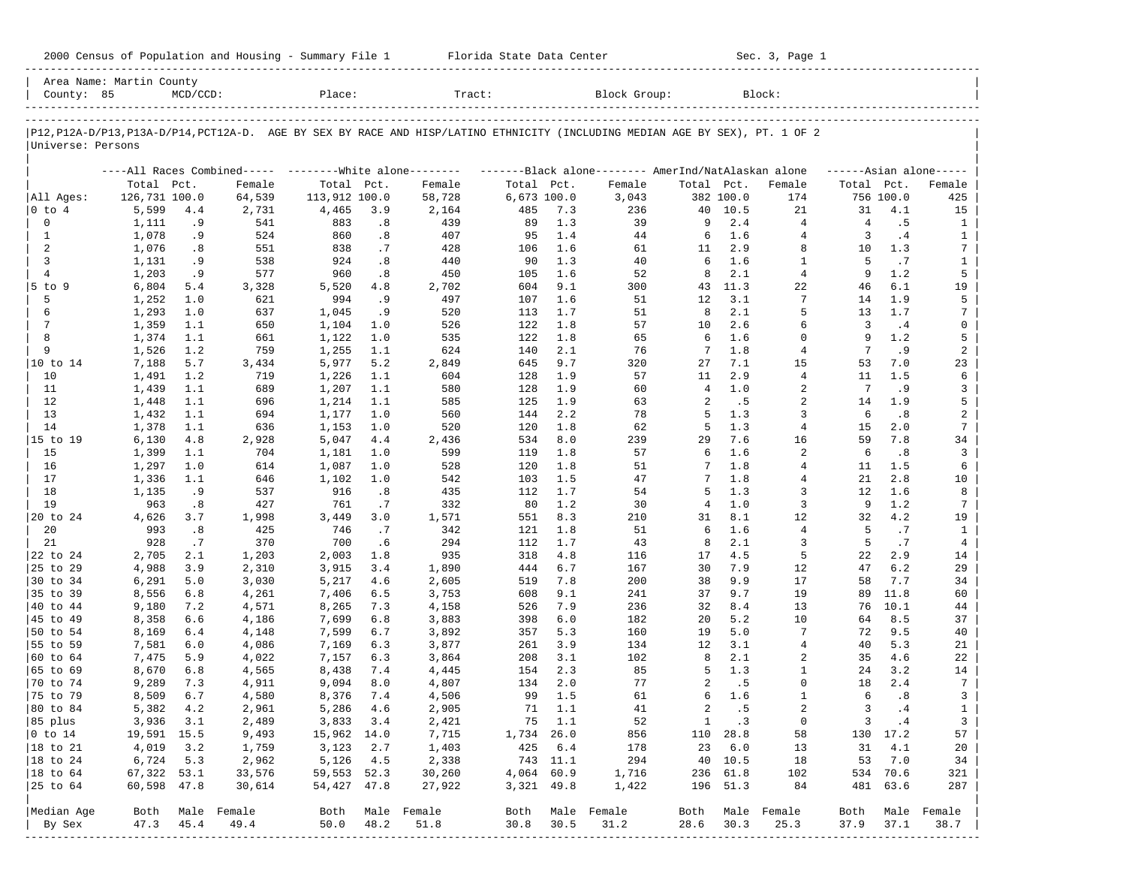| 2000 Census of Population and Housing - Summary File 1 |  | Florida State Data Center | Sec. 3, Page 1 |
|--------------------------------------------------------|--|---------------------------|----------------|
|--------------------------------------------------------|--|---------------------------|----------------|

| County: 85             | Area Name: Martin County | $MCD/CCD$ : |                                                           | Place:        |      | Tract:                                                                                                                     |             |            | Block Group:                                        |                |           | Block:         |            |             |                     |
|------------------------|--------------------------|-------------|-----------------------------------------------------------|---------------|------|----------------------------------------------------------------------------------------------------------------------------|-------------|------------|-----------------------------------------------------|----------------|-----------|----------------|------------|-------------|---------------------|
|                        |                          |             |                                                           |               |      |                                                                                                                            |             |            |                                                     |                |           |                |            |             |                     |
| Universe: Persons      |                          |             |                                                           |               |      | P12,P12A-D/P13,P13A-D/P14,PCT12A-D. AGE BY SEX BY RACE AND HISP/LATINO ETHNICITY (INCLUDING MEDIAN AGE BY SEX), PT. 1 OF 2 |             |            |                                                     |                |           |                |            |             |                     |
|                        |                          |             | ----All Races Combined----- --------- White alone-------- |               |      |                                                                                                                            |             |            | -------Black alone-------- AmerInd/NatAlaskan alone |                |           |                |            |             | $---Asian alone---$ |
|                        | Total Pct.               |             | Female                                                    | Total Pct.    |      | Female                                                                                                                     | Total Pct.  |            | Female                                              | Total Pct.     |           | Female         | Total Pct. |             | Female              |
| All Ages:              | 126,731 100.0            |             | 64,539                                                    | 113,912 100.0 |      | 58,728                                                                                                                     | 6,673 100.0 |            | 3,043                                               |                | 382 100.0 | 174            |            | 756 100.0   | 425                 |
| 0 to 4                 | 5,599                    | 4.4         | 2,731                                                     | 4,465         | 3.9  | 2,164                                                                                                                      | 485         | 7.3        | 236                                                 | 40             | 10.5      | 21             | 31         | 4.1         | 15                  |
| 0                      | 1,111                    | .9          | 541                                                       | 883           | .8   | 439                                                                                                                        | 89          | 1.3        | 39                                                  | 9              | 2.4       | $\overline{4}$ | 4          | .5          | $\mathbf{1}$        |
| $\mathbf{1}$           | 1,078                    | .9          | 524                                                       | 860           | .8   | 407                                                                                                                        | 95          | 1.4        | 44                                                  | 6              | 1.6       | 4              | 3          | .4          | 1                   |
| 2                      | 1,076                    | .8          | 551                                                       | 838           | .7   | 428                                                                                                                        | 106         | 1.6        | 61                                                  | 11             | 2.9       | 8              | 10         | 1.3         | 7                   |
| 3                      | 1,131                    | .9          | 538                                                       | 924           | .8   | 440                                                                                                                        | 90          | 1.3        | 40                                                  | 6              | 1.6       | 1              | 5          | .7          | 1                   |
| $\overline{4}$         | 1,203                    | .9          | 577                                                       | 960           | .8   | 450                                                                                                                        | 105         | 1.6        | 52                                                  | 8              | 2.1       | $\overline{4}$ | 9          | 1.2         | 5                   |
| $5$ to $9$             | 6,804                    | 5.4         | 3,328                                                     | 5,520         | 4.8  | 2,702                                                                                                                      | 604         | 9.1        | 300                                                 | 43             | 11.3      | 22             | 46         | 6.1         | 19                  |
| 5                      | 1,252                    | 1.0         | 621                                                       | 994           | .9   | 497                                                                                                                        | 107         | 1.6        | 51                                                  | 12             | 3.1       | 7              | 14         | 1.9         | 5                   |
| 6                      | 1,293                    | 1.0         | 637                                                       | 1,045         | .9   | 520                                                                                                                        | 113         | 1.7        | 51                                                  | 8              | 2.1       | 5              | 13         | 1.7         | 7                   |
| 7                      | 1,359                    | 1.1         | 650                                                       | 1,104         | 1.0  | 526                                                                                                                        | 122         | 1.8        | 57                                                  | 10             | 2.6       | 6              | 3          | .4          | 0                   |
| 8                      | 1,374                    | 1.1         | 661                                                       | 1,122         | 1.0  | 535                                                                                                                        | 122         | 1.8        | 65                                                  | 6              | 1.6       | $\mathbf 0$    | 9          | 1.2         | 5                   |
| 9                      | 1,526                    | 1.2         | 759                                                       | 1,255         | 1.1  | 624                                                                                                                        | 140         | 2.1        | 76                                                  | 7              | 1.8       | $\overline{4}$ | 7          | . 9         | 2                   |
| 10 to 14               | 7,188                    | 5.7         | 3,434                                                     | 5,977         | 5.2  | 2,849                                                                                                                      | 645         | 9.7        | 320                                                 | 27             | 7.1       | 15             | 53         | 7.0         | 23                  |
| 10                     | 1,491                    | 1.2         | 719                                                       | 1,226         | 1.1  | 604                                                                                                                        | 128         | 1.9        | 57                                                  | 11             | 2.9       | $\overline{4}$ | 11         | 1.5         | 6                   |
| 11                     | 1,439                    | 1.1         | 689                                                       | 1,207         | 1.1  | 580                                                                                                                        | 128         | 1.9        | 60                                                  | $\overline{4}$ | 1.0       | 2              | 7          | . 9         | 3                   |
| 12                     | 1,448                    | 1.1         | 696                                                       | 1,214         | 1.1  | 585                                                                                                                        | 125         | 1.9        | 63                                                  | 2              | .5        | 2              | 14         | 1.9         | 5                   |
| 13                     | 1,432                    | 1.1         | 694                                                       | 1,177         | 1.0  | 560                                                                                                                        | 144         | 2.2        | 78                                                  | 5              | 1.3       | 3              | 6          | .8          | 2                   |
| 14                     | 1,378                    | 1.1         | 636                                                       | 1,153         | 1.0  | 520                                                                                                                        | 120         | 1.8        | 62                                                  | 5              | 1.3       | $\overline{4}$ | 15         | 2.0         | $7\phantom{.0}$     |
| 15 to 19               | 6,130                    | 4.8         | 2,928                                                     | 5,047         | 4.4  | 2,436                                                                                                                      | 534         | 8.0        | 239                                                 | 29             | 7.6       | 16             | 59         | 7.8         | 34                  |
| 15                     | 1,399                    | 1.1         | 704                                                       | 1,181         | 1.0  | 599                                                                                                                        | 119         | 1.8        | 57                                                  | 6              | 1.6       | 2              | 6          | .8          | 3                   |
| 16                     | 1,297                    | 1.0         | 614                                                       | 1,087         | 1.0  | 528                                                                                                                        | 120         | 1.8        | 51                                                  | 7              | $1.8$     | 4              | 11         | 1.5         | 6                   |
| 17                     | 1,336                    | 1.1         | 646                                                       | 1,102         | 1.0  | 542                                                                                                                        | 103         | 1.5        | 47                                                  | 7              | 1.8       | $\overline{4}$ | 21         | 2.8         | 10                  |
| 18                     | 1,135                    | .9          | 537                                                       | 916           | .8   | 435                                                                                                                        | 112         | 1.7        | 54                                                  | 5              | 1.3       | 3              | 12         | 1.6         | 8                   |
| 19                     | 963                      | .8          | 427                                                       | 761           | .7   | 332                                                                                                                        | 80          | 1.2        | 30                                                  | 4              | 1.0       | 3              | 9          | 1.2         | 7                   |
| 20 to 24               | 4,626                    | 3.7         | 1,998                                                     | 3,449         | 3.0  | 1,571                                                                                                                      | 551         | 8.3        | 210                                                 | 31             | 8.1       | 12             | 32         | 4.2         | 19                  |
| 20                     | 993                      | .8          | 425                                                       | 746           | .7   | 342                                                                                                                        | 121         | 1.8        | 51                                                  | 6              | 1.6       | $\overline{4}$ | 5          | .7          | 1                   |
| 21                     | 928                      | .7          | 370                                                       | 700           | .6   | 294                                                                                                                        | 112         | 1.7        | 43                                                  | 8              | 2.1       | 3              | 5          | .7          | 4                   |
| 22 to 24               | 2,705                    | 2.1         | 1,203                                                     | 2,003         | 1.8  | 935                                                                                                                        | 318         | 4.8        | 116                                                 | 17             | 4.5       | 5              | 22         | 2.9         | 14                  |
| 25 to 29               | 4,988                    | 3.9         | 2,310                                                     | 3,915         | 3.4  | 1,890                                                                                                                      | 444         | 6.7        | 167                                                 | 30             | 7.9       | 12             | 47         | 6.2         | 29                  |
| 30 to 34               | 6,291                    | 5.0         | 3,030                                                     | 5,217         | 4.6  | 2,605                                                                                                                      | 519         | 7.8        | 200                                                 | 38             | 9.9       | 17             | 58         | 7.7         | 34                  |
| 35 to 39               | 8,556                    | 6.8         | 4,261                                                     | 7,406         | 6.5  | 3,753                                                                                                                      | 608         | 9.1        | 241                                                 | 37             | 9.7       | 19             | 89         | 11.8        | 60                  |
| 40 to 44               | 9,180                    | 7.2         | 4,571                                                     | 8,265         | 7.3  | 4,158                                                                                                                      | 526         | 7.9        | 236                                                 | 32             | 8.4       | 13             | 76         | 10.1        | 44                  |
| 45 to 49               | 8,358                    | 6.6         | 4,186                                                     | 7,699         | 6.8  | 3,883                                                                                                                      | 398         | 6.0        | 182                                                 | 20             | 5.2       | 10             | 64         | 8.5         | 37                  |
| 50 to 54               | 8,169                    | 6.4         | 4,148                                                     | 7,599         | 6.7  | 3,892                                                                                                                      | 357         | 5.3        | 160                                                 | 19             | 5.0       | 7              | 72         | 9.5         | 40                  |
| 55 to 59               | 7,581                    | 6.0         | 4,086                                                     | 7,169         | 6.3  | 3,877                                                                                                                      | 261         | 3.9        | 134                                                 | 12             | 3.1       | 4              | 40         | 5.3         | 21                  |
| 60 to 64               | 7,475                    | 5.9         | 4,022                                                     | 7,157         | 6.3  | 3,864                                                                                                                      | 208         | 3.1        | 102                                                 | 8              | 2.1       | 2              | 35         | 4.6         | 22                  |
| 65 to 69               | 8,670                    | 6.8         | 4,565                                                     | 8,438         | 7.4  | 4,445                                                                                                                      | 154         | 2.3        | 85                                                  | 5              | 1.3       | 1              | 24         | 3.2         | 14                  |
| 70 to 74               | 9,289                    | 7.3         | 4,911                                                     | 9,094         | 8.0  | 4,807                                                                                                                      | 134         | 2.0        | 77                                                  | 2              | .5        | $\mathbf 0$    | 18         | 2.4         | $7\phantom{.0}$     |
| 75 to 79               | 8,509                    | 6.7         | 4,580                                                     | 8,376         | 7.4  | 4,506                                                                                                                      | 99          | 1.5        | 61                                                  | 6              | 1.6       | 1              | 6          | .8          | 3                   |
| 80 to 84               | 5,382                    | 4.2         | 2,961                                                     | 5,286         | 4.6  | 2,905                                                                                                                      | 71          | 1.1        | 41                                                  | 2              | .5        | $\overline{a}$ | 3          | .4          | $\mathbf{1}$        |
| 85 plus                |                          | 3,936 3.1   | 2,489                                                     | 3,833 3.4     |      | 2,421                                                                                                                      |             | $75 \t1.1$ | 52                                                  |                | 1 .3      | $\overline{0}$ |            | $3 \cdot 4$ | 3 <sup>7</sup>      |
| $ 0 \t\t \text{to} 14$ | 19,591 15.5              |             | 9,493                                                     | 15,962 14.0   |      | 7,715                                                                                                                      | 1,734 26.0  |            | 856                                                 |                | 110 28.8  | 58             |            | 130 17.2    | 57                  |
| 18 to 21               | 4,019                    | 3.2         | 1,759                                                     | 3,123         | 2.7  | 1,403                                                                                                                      |             | 425 6.4    | 178                                                 |                | 23 6.0    | 13             | 31         | 4.1         | 20                  |
| $ 18$ to $24$          | 6,724                    | 5.3         | 2,962                                                     | 5,126         | 4.5  | 2,338                                                                                                                      |             | 743 11.1   | 294                                                 |                | 40 10.5   | 18             | 53         | 7.0         | 34                  |
| $ 18$ to $64$          | 67,322 53.1              |             | 33,576                                                    | 59,553 52.3   |      | 30,260                                                                                                                     | 4,064 60.9  |            | 1,716                                               |                | 236 61.8  | 102            |            | 534 70.6    | 321                 |
| 25 to 64               | 60,598 47.8              |             | 30,614                                                    | 54,427 47.8   |      | 27,922                                                                                                                     | 3,321 49.8  |            | 1,422                                               |                | 196 51.3  | 84             |            | 481 63.6    | 287                 |
| Median Age             |                          |             | Both Male Female                                          |               |      | Both Male Female                                                                                                           |             |            | Both Male Female                                    | Both           |           | Male Female    | Both       |             | Male Female         |
| By Sex                 | 47.3                     | 45.4        | 49.4                                                      | 50.0          | 48.2 | 51.8                                                                                                                       | 30.8        | 30.5       | 31.2                                                | 28.6           | 30.3      | 25.3           | 37.9       | 37.1        | 38.7                |
| -------------          |                          |             |                                                           |               |      |                                                                                                                            |             |            |                                                     |                |           |                |            |             |                     |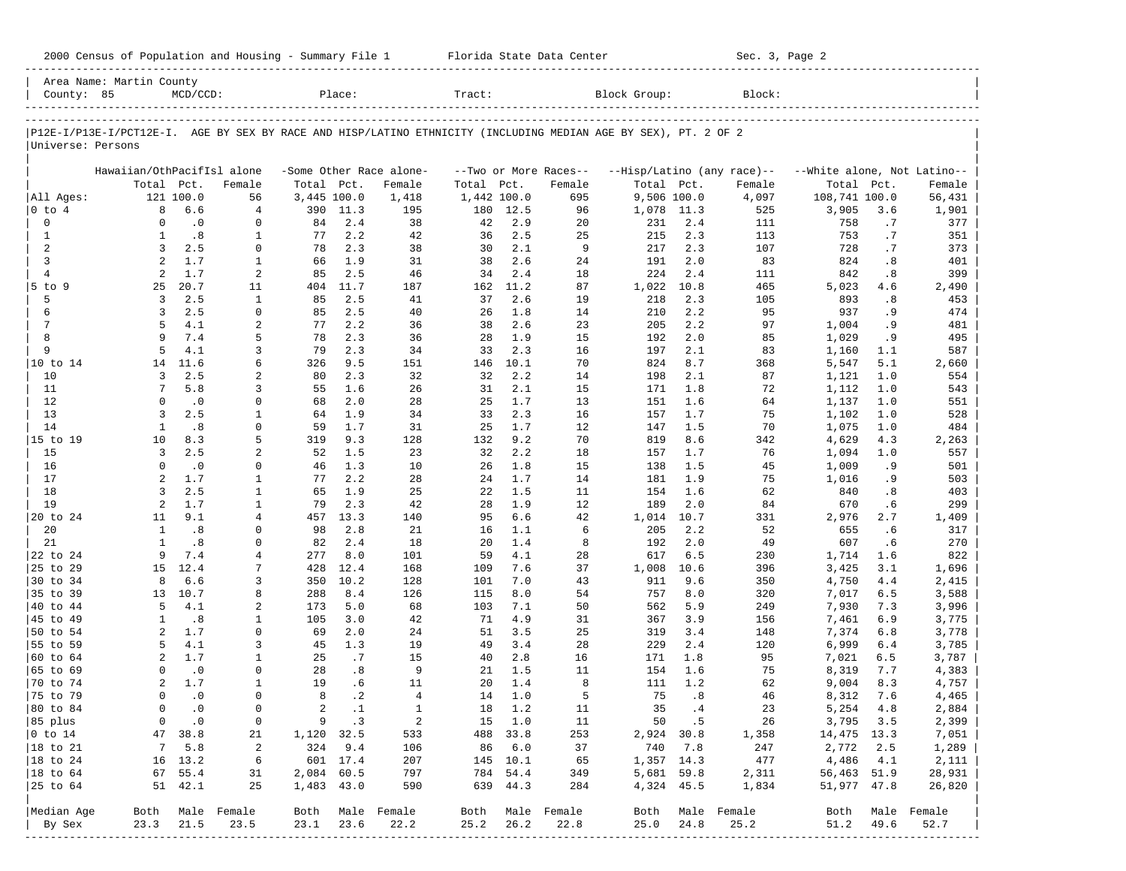|                             | Area Name: Martin County   |                    |                          |             |                        |                            |             |                      |                       |                                                                                                                |                     |                            |                             |      |                  |
|-----------------------------|----------------------------|--------------------|--------------------------|-------------|------------------------|----------------------------|-------------|----------------------|-----------------------|----------------------------------------------------------------------------------------------------------------|---------------------|----------------------------|-----------------------------|------|------------------|
| County: 85                  |                            | $MCD/CCD$ :        |                          |             | Place:                 |                            | Tract:      |                      |                       | Block Group:                                                                                                   |                     | Block:                     |                             |      |                  |
|                             |                            |                    |                          |             |                        |                            |             |                      |                       | P12E-I/P13E-I/PCT12E-I. AGE BY SEX BY RACE AND HISP/LATINO ETHNICITY (INCLUDING MEDIAN AGE BY SEX), PT. 2 OF 2 |                     |                            |                             |      |                  |
| Universe: Persons           |                            |                    |                          |             |                        |                            |             |                      |                       |                                                                                                                |                     |                            |                             |      |                  |
|                             | Hawaiian/OthPacifIsl alone |                    |                          |             |                        | -Some Other Race alone-    |             |                      | --Two or More Races-- |                                                                                                                |                     | --Hisp/Latino (any race)-- | --White alone, Not Latino-- |      |                  |
|                             |                            | Total Pct.         | Female                   | Total Pct.  |                        | Female                     | Total       | Pct.                 | Female                | Total Pct.                                                                                                     |                     | Female                     | Total                       | Pct. | Female           |
| All Ages:                   |                            | 121 100.0          | 56                       | 3,445 100.0 |                        | 1,418                      | 1,442 100.0 |                      | 695                   | 9,506 100.0                                                                                                    |                     | 4,097                      | 108,741 100.0               |      | 56,431           |
| $0$ to $4$                  | 8                          | 6.6                | $\overline{4}$           | 390         | 11.3                   | 195                        | 180         | 12.5                 | 96                    | 1,078 11.3                                                                                                     |                     | 525                        | 3,905                       | 3.6  | 1,901            |
| $\mathbf 0$                 | $\Omega$                   | $\cdot$ 0          | $\mathbf 0$              | 84          | 2.4                    | 38                         | 42          | 2.9                  | 20                    | 231                                                                                                            | 2.4                 | 111                        | 758                         | .7   | 377              |
| $\mathbf{1}$                | 1                          | .8                 | $\mathbf{1}$             | 77          | 2.2                    | 42                         | 36          | 2.5                  | 25                    | 215                                                                                                            | 2.3                 | 113                        | 753                         | .7   | 351              |
| $\overline{c}$              | 3                          | 2.5                | $\mathbf 0$              | 78          | 2.3                    | 38                         | 30          | 2.1                  | 9                     | 217                                                                                                            | 2.3                 | 107                        | 728                         | .7   | 373              |
| 3                           | 2                          | 1.7                | $\mathbf{1}$             | 66          | 1.9                    | 31                         | 38          | 2.6                  | 24                    | 191                                                                                                            | 2.0                 | 83                         | 824                         | .8   | 401              |
| $\overline{4}$              | 2                          | 1.7                | 2                        | 85          | 2.5                    | 46                         | 34          | 2.4                  | 18                    | 224                                                                                                            | 2.4                 | 111                        | 842                         | .8   | 399              |
| 5 to 9                      | 25                         | 20.7               | 11                       | 404         | 11.7                   | 187                        | 162         | 11.2                 | 87                    | 1,022                                                                                                          | 10.8                | 465                        | 5,023                       | 4.6  | 2,490            |
| 5                           | 3                          | 2.5                | $\mathbf{1}$             | 85          | 2.5                    | 41                         | 37          | 2.6                  | 19                    | 218                                                                                                            | 2.3                 | 105                        | 893                         | .8   | 453              |
| 6                           | 3                          | 2.5                | $\mathbf 0$              | 85          | 2.5                    | 40                         | 26          | 1.8                  | 14                    | 210                                                                                                            | 2.2                 | 95                         | 937                         | . 9  | 474              |
| $7\phantom{.0}$             | 5                          | 4.1                | 2                        | 77          | 2.2                    | 36                         | 38          | 2.6                  | 23                    | 205                                                                                                            | 2.2                 | 97                         | 1,004                       | . 9  | 481              |
| 8                           | 9                          | 7.4                | 5                        | 78          | 2.3                    | 36                         | 28          | 1.9                  | 15                    | 192                                                                                                            | 2.0                 | 85                         | 1,029                       | . 9  | 495              |
| 9                           | 5                          | 4.1                | 3                        | 79          | 2.3                    | 34                         | 33          | 2.3                  | 16                    | 197                                                                                                            | 2.1                 | 83                         | 1,160                       | 1.1  | 587              |
| 10 to 14                    | 14                         | 11.6               | 6                        | 326         | 9.5                    | 151                        | 146         | 10.1                 | 70                    | 824                                                                                                            | 8.7                 | 368                        | 5,547                       | 5.1  | 2,660            |
| 10                          | 3                          | 2.5                | 2                        | 80          | 2.3                    | 32                         | 32          | 2.2                  | 14                    | 198                                                                                                            | 2.1                 | 87                         | 1,121                       | 1.0  | 554              |
| 11                          | 7                          | 5.8                | 3                        | 55          | 1.6                    | 26                         | 31          | 2.1                  | 15                    | 171                                                                                                            | 1.8                 | 72                         | 1,112                       | 1.0  | 543              |
| 12                          | $\Omega$                   | $\cdot$ 0          | $\mathbf 0$              | 68          | 2.0                    | 28                         | 25          | 1.7                  | 13                    | 151                                                                                                            | 1.6                 | 64                         | 1,137                       | 1.0  | 551              |
| 13                          | 3                          | 2.5                | $\mathbf{1}$             | 64          | 1.9                    | 34                         | 33          | 2.3                  | 16                    | 157                                                                                                            | 1.7                 | 75                         | 1,102                       | 1.0  | 528              |
| 14                          | $\mathbf{1}$               | .8                 | $\Omega$                 | 59          | 1.7                    | 31                         | 25          | 1.7                  | 12                    | 147                                                                                                            | 1.5                 | 70                         | 1,075                       | 1.0  | 484              |
| 15 to 19                    | 10                         | 8.3                | 5                        | 319         | 9.3                    | 128                        | 132         | 9.2                  | 70                    | 819                                                                                                            | 8.6                 | 342                        | 4,629                       | 4.3  | 2,263            |
| 15                          | $\overline{3}$             | 2.5                | 2                        | 52          | 1.5                    | 23                         | 32          | 2.2                  | 18                    | 157                                                                                                            | 1.7                 | 76                         | 1,094                       | 1.0  | 557              |
| 16                          | $\Omega$                   | $\cdot$ 0          | $\Omega$                 | 46          | 1.3                    | 10                         | 26          | 1.8                  | 15                    | 138                                                                                                            | 1.5                 | 45                         | 1,009                       | . 9  | 501              |
| 17                          | $\overline{a}$             | 1.7                | $\mathbf{1}$             | 77          | 2.2                    | 28                         | 24          | 1.7                  | 14                    | 181                                                                                                            | 1.9                 | 75                         | 1,016                       | . 9  | 503              |
| 18                          | 3                          | 2.5                | $\mathbf{1}$             | 65          | 1.9                    | 25                         | 22          | 1.5                  | 11                    | 154                                                                                                            | 1.6                 | 62                         | 840                         | .8   | 403              |
| 19                          | 2                          | 1.7                | $\mathbf{1}$             | 79          | 2.3                    | 42                         | 28          | 1.9                  | 12                    | 189                                                                                                            | 2.0                 | 84                         | 670                         | . 6  | 299              |
| 20 to 24                    | 11                         | 9.1                | $\overline{4}$           | 457         | 13.3                   | 140                        | 95          | 6.6                  | 42                    | 1,014                                                                                                          | 10.7                | 331                        | 2,976                       | 2.7  | 1,409            |
| 20                          | $\mathbf{1}$               | .8                 | $\Omega$                 | 98          | 2.8                    | 21                         | 16          | 1.1                  | 6                     | 205                                                                                                            | 2.2                 | 52                         | 655                         | . 6  | 317              |
| 21                          | $\mathbf{1}$               | .8                 | $\Omega$                 | 82          | 2.4                    | 18                         | 20          | 1.4                  | 8                     | 192                                                                                                            | 2.0                 | 49                         | 607                         | .6   | 270              |
| 22 to 24                    | 9                          | 7.4                | 4                        | 277         | 8.0                    | 101                        | 59          | 4.1                  | 28                    | 617                                                                                                            | 6.5                 | 230                        | 1,714                       | 1.6  | 822              |
| 25 to 29                    | 15                         | 12.4               | 7                        | 428         | 12.4                   | 168                        | 109         | 7.6                  | 37                    | 1,008                                                                                                          | 10.6                | 396                        | 3,425                       | 3.1  | 1,696            |
| 30 to 34                    | 8                          | 6.6                | 3                        | 350         | 10.2                   | 128                        | 101         | 7.0                  | 43                    | 911                                                                                                            | 9.6                 | 350                        | 4,750                       | 4.4  | 2,415            |
| 35 to 39                    | 13                         | 10.7               | 8                        | 288         | 8.4                    | 126                        | 115         | 8.0                  | 54                    | 757                                                                                                            | 8.0                 | 320                        | 7,017                       | 6.5  | 3,588            |
| 40 to 44                    | 5                          | 4.1                | 2                        | 173         | 5.0                    | 68                         | 103         | 7.1                  | 50                    | 562                                                                                                            | 5.9                 | 249                        | 7,930                       | 7.3  | 3,996            |
| 45 to 49                    | 1                          | .8                 | 1                        | 105         | 3.0                    | 42                         | 71          | 4.9                  | 31                    | 367                                                                                                            | 3.9                 | 156                        | 7,461                       | 6.9  | 3,775            |
| 50 to 54                    | $\overline{a}$             | 1.7                | $\mathbf 0$              | 69          | 2.0                    | 24                         | 51          | 3.5                  | 25                    | 319                                                                                                            | 3.4                 | 148                        | 7,374                       | 6.8  | 3,778            |
| 55 to 59                    | 5                          | 4.1                | 3                        | 45          | 1.3                    | 19                         | 49          | 3.4                  | 28                    | 229                                                                                                            | 2.4                 | 120                        | 6,999                       | 6.4  | 3,785            |
| 60 to 64                    | 2                          | 1.7                | $\mathbf{1}$<br>$\Omega$ | 25          | .7                     | 15                         | 40          | 2.8                  | 16                    | 171                                                                                                            | 1.8                 | 95                         | 7,021                       | 6.5  | 3,787            |
| 65 to 69                    | $\Omega$                   | $\cdot$ 0          |                          | 28          | .8                     | 9                          | 21          | 1.5                  | 11<br>8               | 154                                                                                                            | 1.6                 | 75                         | 8,319                       | 7.7  | 4,383            |
| 70 to 74                    | 2<br>$\Omega$              | 1.7<br>$\cdot$ 0   | $\mathbf{1}$<br>$\Omega$ | 19<br>8     | . 6                    | 11<br>$\overline{4}$       | 20          | 1.4                  | 5                     | 111                                                                                                            | 1.2<br>.8           | 62                         | 9,004                       | 8.3  | 4,757            |
| 75 to 79                    | $\Omega$                   | $\cdot$ 0          | $\Omega$                 | 2           | $\cdot$ 2<br>$\cdot$ 1 | $\mathbf{1}$               | 14          | 1.0                  |                       | 75<br>35                                                                                                       |                     | 46                         | 8,312                       | 7.6  | 4,465            |
| 80 to 84                    |                            |                    |                          |             | $9 \t3$                |                            | 18          | 1.2                  | 11                    |                                                                                                                | .4                  | 23<br>26                   | 5,254                       | 4.8  | 2,884            |
| 85 plus                     |                            | $0 \qquad .0$      | $\overline{0}$           |             |                        | $\overline{\phantom{0}}^2$ |             | 15 1.0               | 11                    |                                                                                                                | 50 .5<br>2,924 30.8 |                            | 3,795 3.5                   |      | 2,399            |
| $ 0 \t\t \text{to} \t\t 14$ |                            | 47 38.8            | 21                       | 1,120 32.5  | 324 9.4                | 533                        |             | 488 33.8             | 253                   |                                                                                                                |                     | 1,358                      | 14,475 13.3                 |      | 7,051            |
| 18 to 21                    |                            | 7 5.8              | $\overline{a}$           |             | 601 17.4               | 106                        |             | 86 6.0               | 37                    |                                                                                                                | 740 7.8             | 247                        | 2,772 2.5                   |      | 1,289            |
| $ 18$ to $24$               |                            | 16 13.2<br>67 55.4 | 6                        | 2,084 60.5  |                        | 207                        |             | 145 10.1<br>784 54.4 | 65                    | 1,357 14.3                                                                                                     |                     | 477                        | 4,486 4.1                   |      | 2,111            |
| 18 to 64<br>25 to 64        |                            | 51 42.1            | 31<br>25                 |             |                        | 797                        |             | 639 44.3             | 349                   | 5,681 59.8                                                                                                     |                     | 2,311                      | 56,463 51.9                 |      | 28,931           |
|                             |                            |                    |                          | 1,483 43.0  |                        | 590                        |             |                      | 284                   |                                                                                                                | 4,324 45.5          | 1,834                      | 51,977 47.8                 |      | 26,820           |
| Median Age                  |                            |                    | Both Male Female         |             |                        | Both Male Female           |             |                      | Both Male Female      |                                                                                                                |                     | Both Male Female           |                             |      | Both Male Female |
| By Sex                      | 23.3                       | 21.5               | 23.5                     | 23.1 23.6   |                        | 22.2                       | 25.2        | 26.2                 | 22.8                  | 25.0                                                                                                           | 24.8                | 25.2                       | 51.2                        | 49.6 | 52.7             |
|                             |                            |                    |                          |             |                        |                            |             |                      |                       |                                                                                                                |                     |                            |                             |      |                  |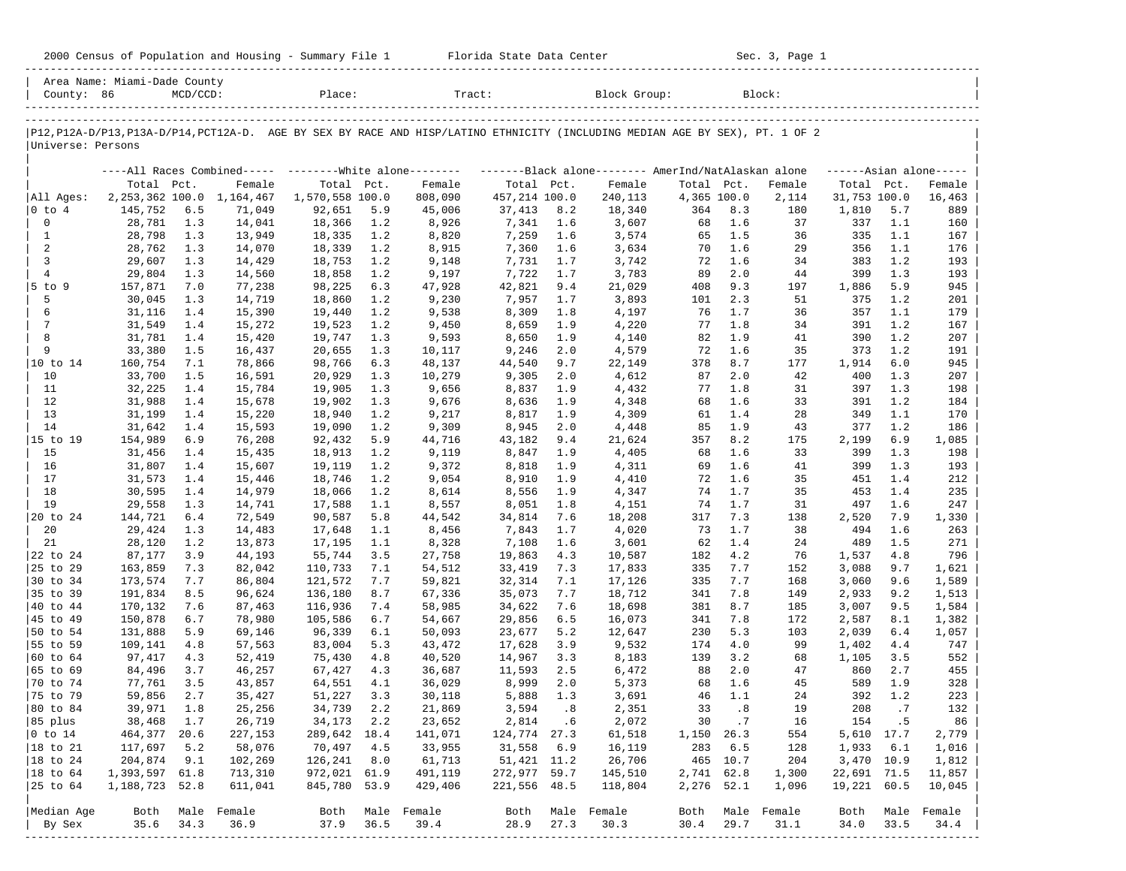| 2000 Census of Population and Housing - Summary File 1 |  | Florida State Data Center | Sec. 3, Page 1 |
|--------------------------------------------------------|--|---------------------------|----------------|
|--------------------------------------------------------|--|---------------------------|----------------|

| County: 86             | Area Name: Miami-Dade County | $MCD/CCD$ : |                                                         | Place:          |      | Tract:           |               |      | Block Group:                                                                                                                  |             |          | Block:           |              |            |                     |
|------------------------|------------------------------|-------------|---------------------------------------------------------|-----------------|------|------------------|---------------|------|-------------------------------------------------------------------------------------------------------------------------------|-------------|----------|------------------|--------------|------------|---------------------|
|                        |                              |             |                                                         |                 |      |                  |               |      |                                                                                                                               |             |          |                  |              |            |                     |
|                        |                              |             |                                                         |                 |      |                  |               |      | P12, P12A-D/P13, P13A-D/P14, PCT12A-D. AGE BY SEX BY RACE AND HISP/LATINO ETHNICITY (INCLUDING MEDIAN AGE BY SEX), PT. 1 OF 2 |             |          |                  |              |            |                     |
| Universe: Persons      |                              |             |                                                         |                 |      |                  |               |      |                                                                                                                               |             |          |                  |              |            |                     |
|                        |                              |             | ----All Races Combined----- --------White alone-------- |                 |      |                  |               |      | -------Black alone-------- AmerInd/NatAlaskan alone                                                                           |             |          |                  |              |            | $---Asian alone---$ |
|                        | Total Pct.                   |             | Female                                                  | Total Pct.      |      | Female           | Total Pct.    |      | Female                                                                                                                        | Total Pct.  |          | Female           | Total Pct.   |            | Female              |
| All Ages:              |                              |             | 2, 253, 362 100.0 1, 164, 467                           | 1,570,558 100.0 |      | 808,090          | 457,214 100.0 |      | 240,113                                                                                                                       | 4,365 100.0 |          | 2,114            | 31,753 100.0 |            | 16,463              |
| 0 to 4                 | 145,752                      | 6.5         | 71,049                                                  | 92,651          | 5.9  | 45,006           | 37,413        | 8.2  | 18,340                                                                                                                        | 364         | 8.3      | 180              | 1,810        | 5.7        | 889                 |
| 0                      | 28,781                       | 1.3         | 14,041                                                  | 18,366          | 1.2  | 8,926            | 7,341         | 1.6  | 3,607                                                                                                                         | 68          | 1.6      | 37               | 337          | 1.1        | 160                 |
| $\mathbf{1}$           | 28,798                       | 1.3         | 13,949                                                  | 18,335          | 1.2  | 8,820            | 7,259         | 1.6  | 3,574                                                                                                                         | 65          | 1.5      | 36               | 335          | 1.1        | 167                 |
| $\overline{a}$         | 28,762                       | 1.3         | 14,070                                                  | 18,339          | 1.2  | 8,915            | 7,360         | 1.6  | 3,634                                                                                                                         | 70          | 1.6      | 29               | 356          | 1.1        | 176                 |
| 3                      | 29,607                       | 1.3         | 14,429                                                  | 18,753          | 1.2  | 9,148            | 7,731         | 1.7  | 3,742                                                                                                                         | 72          | 1.6      | 34               | 383          | 1.2        | 193                 |
| $\overline{4}$         | 29,804                       | 1.3         | 14,560                                                  | 18,858          | 1.2  | 9,197            | 7,722         | 1.7  | 3,783                                                                                                                         | 89          | 2.0      | 44               | 399          | 1.3        | 193                 |
| $5$ to $9$             | 157,871                      | 7.0         | 77,238                                                  | 98,225          | 6.3  | 47,928           | 42,821        | 9.4  | 21,029                                                                                                                        | 408         | 9.3      | 197              | 1,886        | 5.9        | 945                 |
| 5                      | 30,045                       | 1.3         | 14,719                                                  | 18,860          | 1.2  | 9,230            | 7,957         | 1.7  | 3,893                                                                                                                         | 101         | 2.3      | 51               | 375          | 1.2        | 201                 |
| 6                      | 31,116                       | 1.4         | 15,390                                                  | 19,440          | 1.2  | 9,538            | 8,309         | 1.8  | 4,197                                                                                                                         | 76          | 1.7      | 36               | 357          | 1.1        | 179                 |
| $7\phantom{.0}$        | 31,549                       | 1.4         | 15,272                                                  | 19,523          | 1.2  | 9,450            | 8,659         | 1.9  | 4,220                                                                                                                         | 77          | 1.8      | 34               | 391          | 1.2        | 167                 |
| 8                      | 31,781                       | 1.4         | 15,420                                                  | 19,747          | 1.3  | 9,593            | 8,650         | 1.9  | 4,140                                                                                                                         | 82          | 1.9      | 41               | 390          | 1.2        | 207                 |
| 9                      | 33,380                       | 1.5         | 16,437                                                  | 20,655          | 1.3  | 10,117           | 9,246         | 2.0  | 4,579                                                                                                                         | 72          | 1.6      | 35               | 373          | 1.2        | 191                 |
| 10 to 14               | 160,754                      | 7.1         | 78,866                                                  | 98,766          | 6.3  | 48,137           | 44,540        | 9.7  | 22,149                                                                                                                        | 378         | 8.7      | 177              | 1,914        | 6.0        | 945                 |
| 10                     | 33,700                       | 1.5         | 16,591                                                  | 20,929          | 1.3  | 10,279           | 9,305         | 2.0  | 4,612                                                                                                                         | 87          | 2.0      | 42               | 400          | 1.3        | 207                 |
| 11                     | 32,225                       | 1.4         | 15,784                                                  | 19,905          | 1.3  | 9,656            | 8,837         | 1.9  | 4,432                                                                                                                         | 77          | 1.8      | 31               | 397          | 1.3        | 198                 |
| 12                     | 31,988                       | 1.4         | 15,678                                                  | 19,902          | 1.3  | 9,676            | 8,636         | 1.9  | 4,348                                                                                                                         | 68          | 1.6      | 33               | 391          | 1.2        | 184                 |
| 13                     | 31,199                       | 1.4         |                                                         | 18,940          | 1.2  | 9,217            |               | 1.9  | 4,309                                                                                                                         | 61          | 1.4      | 28               | 349          | 1.1        | 170                 |
| 14                     |                              |             | 15,220                                                  |                 |      |                  | 8,817         |      |                                                                                                                               | 85          | 1.9      |                  |              | 1.2        |                     |
|                        | 31,642                       | 1.4         | 15,593                                                  | 19,090          | 1.2  | 9,309            | 8,945         | 2.0  | 4,448                                                                                                                         |             |          | 43               | 377          |            | 186                 |
| 15 to 19               | 154,989                      | 6.9         | 76,208                                                  | 92,432          | 5.9  | 44,716           | 43,182        | 9.4  | 21,624                                                                                                                        | 357         | 8.2      | 175              | 2,199        | 6.9        | 1,085               |
| 15                     | 31,456                       | 1.4         | 15,435                                                  | 18,913          | 1.2  | 9,119            | 8,847         | 1.9  | 4,405                                                                                                                         | 68          | 1.6      | 33               | 399          | 1.3        | 198                 |
| 16                     | 31,807                       | 1.4         | 15,607                                                  | 19,119          | 1.2  | 9,372            | 8,818         | 1.9  | 4,311                                                                                                                         | 69          | 1.6      | 41               | 399          | 1.3        | 193                 |
| 17                     | 31,573                       | 1.4         | 15,446                                                  | 18,746          | 1.2  | 9,054            | 8,910         | 1.9  | 4,410                                                                                                                         | 72          | 1.6      | 35               | 451          | 1.4        | 212                 |
| 18                     | 30,595                       | 1.4         | 14,979                                                  | 18,066          | 1.2  | 8,614            | 8,556         | 1.9  | 4,347                                                                                                                         | 74          | 1.7      | 35               | 453          | 1.4        | 235                 |
| 19                     | 29,558                       | 1.3         | 14,741                                                  | 17,588          | 1.1  | 8,557            | 8,051         | 1.8  | 4,151                                                                                                                         | 74          | 1.7      | 31               | 497          | 1.6        | 247                 |
| 20 to 24               | 144,721                      | 6.4         | 72,549                                                  | 90,587          | 5.8  | 44,542           | 34,814        | 7.6  | 18,208                                                                                                                        | 317         | 7.3      | 138              | 2,520        | 7.9        | 1,330               |
| 20                     | 29,424                       | 1.3         | 14,483                                                  | 17,648          | 1.1  | 8,456            | 7,843         | 1.7  | 4,020                                                                                                                         | 73          | 1.7      | 38               | 494          | 1.6        | 263                 |
| 21                     | 28,120                       | 1.2         | 13,873                                                  | 17,195          | 1.1  | 8,328            | 7,108         | 1.6  | 3,601                                                                                                                         | 62          | 1.4      | 24               | 489          | 1.5        | 271                 |
| 22 to 24               | 87,177                       | 3.9         | 44,193                                                  | 55,744          | 3.5  | 27,758           | 19,863        | 4.3  | 10,587                                                                                                                        | 182         | 4.2      | 76               | 1,537        | 4.8        | 796                 |
| 25 to 29               | 163,859                      | 7.3         | 82,042                                                  | 110,733         | 7.1  | 54,512           | 33,419        | 7.3  | 17,833                                                                                                                        | 335         | 7.7      | 152              | 3,088        | 9.7        | 1,621               |
| 30 to 34               | 173,574                      | 7.7         | 86,804                                                  | 121,572         | 7.7  | 59,821           | 32,314        | 7.1  | 17,126                                                                                                                        | 335         | 7.7      | 168              | 3,060        | 9.6        | 1,589               |
| 35 to 39               | 191,834                      | 8.5         | 96,624                                                  | 136,180         | 8.7  | 67,336           | 35,073        | 7.7  | 18,712                                                                                                                        | 341         | 7.8      | 149              | 2,933        | 9.2        | 1,513               |
| 40 to 44               | 170,132                      | 7.6         | 87,463                                                  | 116,936         | 7.4  | 58,985           | 34,622        | 7.6  | 18,698                                                                                                                        | 381         | 8.7      | 185              | 3,007        | 9.5        | 1,584               |
| 45 to 49               | 150,878                      | 6.7         | 78,980                                                  | 105,586         | 6.7  | 54,667           | 29,856        | 6.5  | 16,073                                                                                                                        | 341         | 7.8      | 172              | 2,587        | 8.1        | 1,382               |
| 50 to 54               | 131,888                      | 5.9         | 69,146                                                  | 96,339          | 6.1  | 50,093           | 23,677        | 5.2  | 12,647                                                                                                                        | 230         | 5.3      | 103              | 2,039        | 6.4        | 1,057               |
| 55 to 59               | 109,141                      | 4.8         | 57,563                                                  | 83,004          | 5.3  | 43,472           | 17,628        | 3.9  | 9,532                                                                                                                         | 174         | 4.0      | 99               | 1,402        | 4.4        | 747                 |
| 60 to 64               | 97,417                       | 4.3         | 52,419                                                  | 75,430          | 4.8  | 40,520           | 14,967        | 3.3  | 8,183                                                                                                                         | 139         | 3.2      | 68               | 1,105        | 3.5        | 552                 |
| 65 to 69               | 84,496                       | 3.7         | 46,257                                                  | 67,427          | 4.3  | 36,687           | 11,593        | 2.5  | 6,472                                                                                                                         | 88          | 2.0      | 47               | 860          | 2.7        | 455                 |
| 70 to 74               | 77,761                       | 3.5         | 43,857                                                  | 64,551          | 4.1  | 36,029           | 8,999         | 2.0  | 5,373                                                                                                                         | 68          | 1.6      | 45               | 589          | 1.9        | 328                 |
| 75 to 79               | 59,856                       | 2.7         | 35,427                                                  | 51,227          | 3.3  | 30,118           | 5,888         | 1.3  | 3,691                                                                                                                         | 46          | 1.1      | 24               | 392          | 1.2        | 223                 |
| 80 to 84               | 39,971                       | 1.8         | 25,256                                                  | 34,739          | 2.2  | 21,869           | 3,594         | .8   | 2,351                                                                                                                         | 33          | .8       | 19               | 208          | .7         | 132                 |
| 85 plus                | 38,468                       | 1.7         | 26,719                                                  | 34,173 2.2      |      | 23,652           | 2,814 .6      |      | 2,072                                                                                                                         |             | 30 .7    | 16               |              | 154.5      | 86                  |
| $ 0 \t\t \text{to} 14$ | 464,377 20.6                 |             | 227,153                                                 | 289,642 18.4    |      | 141,071          | 124,774 27.3  |      | 61,518                                                                                                                        | 1,150 26.3  |          | 554              |              | 5,610 17.7 | 2,779               |
| 18 to 21               | 117,697                      | 5.2         | 58,076                                                  | 70,497          | 4.5  | 33,955           | 31,558 6.9    |      | 16,119                                                                                                                        |             | 283 6.5  | 128              | 1,933 6.1    |            | 1,016               |
| 18 to 24               | 204,874                      | 9.1         | 102,269                                                 | 126,241         | 8.0  | 61,713           | 51,421 11.2   |      | 26,706                                                                                                                        |             | 465 10.7 | 204              |              | 3,470 10.9 | 1,812               |
| $ 18$ to $64$          | 1,393,597 61.8               |             | 713,310                                                 | 972,021 61.9    |      | 491,119          | 272,977 59.7  |      | 145,510                                                                                                                       | 2,741 62.8  |          | 1,300            | 22,691 71.5  |            | 11,857              |
| 25 to 64               | 1, 188, 723 52.8             |             | 611,041                                                 | 845,780 53.9    |      | 429,406          | 221,556 48.5  |      | 118,804                                                                                                                       | 2,276 52.1  |          | 1,096            | 19,221 60.5  |            | 10,045              |
|                        |                              |             |                                                         |                 |      |                  |               |      |                                                                                                                               |             |          |                  |              |            |                     |
| Median Age             |                              |             | Both Male Female                                        |                 |      | Both Male Female | Both          |      | Male Female                                                                                                                   |             |          | Both Male Female | Both         |            | Male Female         |
| By Sex                 | 35.6                         | 34.3        | 36.9                                                    | 37.9            | 36.5 | 39.4             | 28.9          | 27.3 | 30.3                                                                                                                          | 30.4        | 29.7     | 31.1             | 34.0         | 33.5       | 34.4                |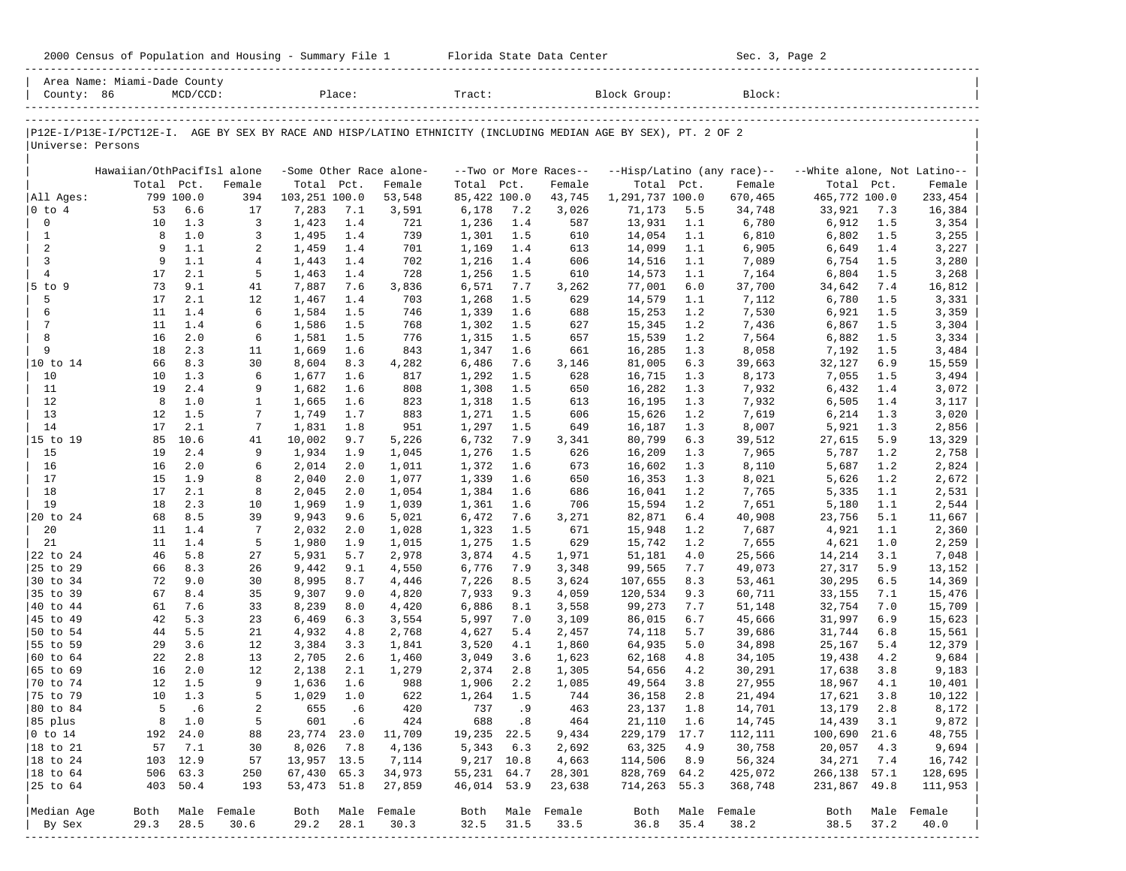| County: 86             | Area Name: Miami-Dade County                                                                                   | $MCD/CCD$ : |                     |                | Place:     |                          | Tract:         |                             |                       | Block Group:     |            | Block:                     |                             |            |                     |
|------------------------|----------------------------------------------------------------------------------------------------------------|-------------|---------------------|----------------|------------|--------------------------|----------------|-----------------------------|-----------------------|------------------|------------|----------------------------|-----------------------------|------------|---------------------|
| Universe: Persons      | P12E-I/P13E-I/PCT12E-I. AGE BY SEX BY RACE AND HISP/LATINO ETHNICITY (INCLUDING MEDIAN AGE BY SEX), PT. 2 OF 2 |             |                     |                |            |                          |                |                             |                       |                  |            |                            |                             |            |                     |
|                        | Hawaiian/OthPacifIsl alone                                                                                     |             |                     |                |            | -Some Other Race alone-  |                |                             | --Two or More Races-- |                  |            | --Hisp/Latino (any race)-- | --White alone, Not Latino-- |            |                     |
|                        | Total Pct.                                                                                                     |             | Female              | Total Pct.     |            | Female                   | Total          | Pct.                        | Female                | Total Pct.       |            | Female                     | Total                       | Pct.       | Female              |
| All Ages:              |                                                                                                                | 799 100.0   | 394                 | 103,251 100.0  |            | 53,548                   | 85,422 100.0   |                             | 43,745                | 1,291,737 100.0  |            | 670,465                    | 465,772 100.0               |            | 233,454             |
| $ 0 \t{to} 4$          | 53                                                                                                             | 6.6         | 17                  | 7,283          | 7.1        | 3,591                    | 6,178          | 7.2                         | 3,026                 | 71,173           | 5.5        | 34,748                     | 33,921                      | 7.3        | 16,384              |
| 0                      | 10                                                                                                             | 1.3         | 3                   | 1,423          | 1.4        | 721                      | 1,236          | 1.4                         | 587                   | 13,931           | 1.1        | 6,780                      | 6,912                       | 1.5        | 3,354               |
| $\mathbf{1}$           | 8                                                                                                              | 1.0         | 3                   | 1,495          | 1.4        | 739                      | 1,301          | 1.5                         | 610                   | 14,054           | 1.1        | 6,810                      | 6,802                       | 1.5        | 3,255               |
| 2                      | 9                                                                                                              | 1.1         | 2                   | 1,459          | 1.4        | 701                      | 1,169          | 1.4                         | 613                   | 14,099           | 1.1        | 6,905                      | 6,649                       | 1.4        | 3,227               |
| 3                      | 9                                                                                                              | 1.1         | 4                   | 1,443          | 1.4        | 702                      | 1,216          | 1.4                         | 606                   | 14,516           | 1.1        | 7,089                      | 6,754                       | 1.5        | 3,280               |
| $\overline{4}$         | 17                                                                                                             | 2.1         | 5                   | 1,463          | 1.4        | 728                      | 1,256          | 1.5                         | 610                   | 14,573           | 1.1        | 7,164                      | 6,804                       | 1.5        | 3,268               |
| $5$ to $9$<br>5        | 73<br>17                                                                                                       | 9.1<br>2.1  | 41<br>12            | 7,887          | 7.6        | 3,836                    | 6,571          | 7.7<br>1.5                  | 3,262                 | 77,001           | 6.0        | 37,700                     | 34,642                      | 7.4<br>1.5 | 16,812              |
| 6                      | 11                                                                                                             | 1.4         | 6                   | 1,467<br>1,584 | 1.4<br>1.5 | 703<br>746               | 1,268<br>1,339 | 1.6                         | 629<br>688            | 14,579<br>15,253 | 1.1<br>1.2 | 7,112<br>7,530             | 6,780<br>6,921              | 1.5        | 3,331<br>3,359      |
| 7                      | 11                                                                                                             | 1.4         | 6                   | 1,586          | 1.5        | 768                      | 1,302          | 1.5                         | 627                   | 15,345           | 1.2        | 7,436                      | 6,867                       | 1.5        | 3,304               |
| 8                      | 16                                                                                                             | 2.0         | 6                   | 1,581          | 1.5        | 776                      | 1,315          | 1.5                         | 657                   | 15,539           | 1.2        | 7,564                      | 6,882                       | 1.5        | 3,334               |
| 9                      | 18                                                                                                             | 2.3         | 11                  | 1,669          | 1.6        | 843                      | 1,347          | 1.6                         | 661                   | 16,285           | 1.3        | 8,058                      | 7,192                       | 1.5        | 3,484               |
| 10 to 14               | 66                                                                                                             | 8.3         | 30                  | 8,604          | 8.3        | 4,282                    | 6,486          | 7.6                         | 3,146                 | 81,005           | 6.3        | 39,663                     | 32,127                      | 6.9        | 15,559              |
| 10                     | 10                                                                                                             | 1.3         | 6                   | 1,677          | 1.6        | 817                      | 1,292          | 1.5                         | 628                   | 16,715           | 1.3        | 8,173                      | 7,055                       | 1.5        | 3,494               |
| 11                     | 19                                                                                                             | 2.4         | 9                   | 1,682          | 1.6        | 808                      | 1,308          | 1.5                         | 650                   | 16,282           | 1.3        | 7,932                      | 6,432                       | 1.4        | 3,072               |
| 12                     | 8                                                                                                              | 1.0         | 1                   | 1,665          | 1.6        | 823                      | 1,318          | 1.5                         | 613                   | 16,195           | 1.3        | 7,932                      | 6,505                       | 1.4        | 3,117               |
| 13                     | 12                                                                                                             | 1.5         | 7                   | 1,749          | 1.7        | 883                      | 1,271          | 1.5                         | 606                   | 15,626           | 1.2        | 7,619                      | 6,214                       | 1.3        | 3,020               |
| 14                     | 17                                                                                                             | 2.1         | 7                   | 1,831          | 1.8        | 951                      | 1,297          | 1.5                         | 649                   | 16,187           | 1.3        | 8,007                      | 5,921                       | 1.3        | 2,856               |
| 15 to 19               | 85                                                                                                             | 10.6        | 41                  | 10,002         | 9.7        | 5,226                    | 6,732          | 7.9                         | 3,341                 | 80,799           | 6.3        | 39,512                     | 27,615                      | 5.9        | 13,329              |
| 15                     | 19                                                                                                             | 2.4         | 9                   | 1,934          | 1.9        | 1,045                    | 1,276          | 1.5                         | 626                   | 16,209           | 1.3        | 7,965                      | 5,787                       | 1.2        | 2,758               |
| 16                     | 16                                                                                                             | 2.0         | 6                   | 2,014          | 2.0        | 1,011                    | 1,372          | 1.6                         | 673                   | 16,602           | 1.3        | 8,110                      | 5,687                       | 1.2        | 2,824               |
| 17                     | 15                                                                                                             | 1.9         | 8                   | 2,040          | 2.0        | 1,077                    | 1,339          | 1.6                         | 650                   | 16,353           | 1.3        | 8,021                      | 5,626                       | 1.2        | 2,672               |
| 18                     | 17                                                                                                             | 2.1         | 8                   | 2,045          | 2.0        | 1,054                    | 1,384          | 1.6                         | 686                   | 16,041           | 1.2        | 7,765                      | 5,335                       | 1.1        | 2,531               |
| 19                     | 18                                                                                                             | 2.3         | 10                  | 1,969          | 1.9        | 1,039                    | 1,361          | 1.6                         | 706                   | 15,594           | 1.2        | 7,651                      | 5,180                       | 1.1        | 2,544               |
| 20 to 24               | 68                                                                                                             | 8.5         | 39                  | 9,943          | 9.6        | 5,021                    | 6,472          | 7.6                         | 3,271                 | 82,871           | 6.4        | 40,908                     | 23,756                      | 5.1        | 11,667              |
| 20                     | 11                                                                                                             | 1.4         | 7                   | 2,032          | 2.0        | 1,028                    | 1,323          | 1.5                         | 671                   | 15,948           | 1.2        | 7,687                      | 4,921                       | 1.1        | 2,360               |
| 21                     | 11                                                                                                             | 1.4         | 5                   | 1,980          | 1.9        | 1,015                    | 1,275          | 1.5                         | 629                   | 15,742           | 1.2        | 7,655                      | 4,621                       | 1.0        | 2,259               |
| 22 to 24               | 46                                                                                                             | 5.8         | 27                  | 5,931          | 5.7        | 2,978                    | 3,874          | 4.5                         | 1,971                 | 51,181           | 4.0        | 25,566                     | 14,214                      | 3.1        | 7,048               |
| 25 to 29               | 66                                                                                                             | 8.3         | 26                  | 9,442          | 9.1        | 4,550                    | 6,776          | 7.9                         | 3,348                 | 99,565           | 7.7        | 49,073                     | 27,317                      | 5.9        | 13,152              |
| 30 to 34               | 72                                                                                                             | 9.0         | 30                  | 8,995          | 8.7        | 4,446                    | 7,226          | 8.5                         | 3,624                 | 107,655          | 8.3        | 53,461                     | 30,295                      | 6.5        | 14,369              |
| 35 to 39<br>40 to 44   | 67<br>61                                                                                                       | 8.4<br>7.6  | 35                  | 9,307          | 9.0        | 4,820                    | 7,933          | 9.3                         | 4,059                 | 120,534          | 9.3        | 60,711                     | 33,155                      | 7.1        | 15,476              |
| 45 to 49               | 42                                                                                                             | 5.3         | 33<br>23            | 8,239<br>6,469 | 8.0<br>6.3 | 4,420<br>3,554           | 6,886<br>5,997 | 8.1<br>7.0                  | 3,558<br>3,109        | 99,273<br>86,015 | 7.7<br>6.7 | 51,148<br>45,666           | 32,754<br>31,997            | 7.0<br>6.9 | 15,709<br>15,623    |
| 50 to 54               | 44                                                                                                             | 5.5         | 21                  | 4,932          | 4.8        | 2,768                    | 4,627          | 5.4                         | 2,457                 | 74,118           | 5.7        | 39,686                     | 31,744                      | 6.8        | 15,561              |
| 55 to 59               | 29                                                                                                             | 3.6         | 12                  | 3,384          | 3.3        | 1,841                    | 3,520          | 4.1                         | 1,860                 | 64,935           | 5.0        | 34,898                     | 25,167                      | 5.4        | 12,379              |
| 60 to 64               | 22                                                                                                             | 2.8         | 13                  | 2,705          | 2.6        | 1,460                    | 3,049          | 3.6                         | 1,623                 | 62,168           | 4.8        | 34,105                     | 19,438                      | 4.2        | 9,684               |
| 65 to 69               | 16                                                                                                             | 2.0         | 12                  | 2,138          | 2.1        | 1,279                    | 2,374          | 2.8                         | 1,305                 | 54,656           | 4.2        | 30,291                     | 17,638                      | 3.8        | 9,183               |
| 70 to 74               | 12                                                                                                             | 1.5         | 9                   | 1,636          | 1.6        | 988                      | 1,906          | 2.2                         | 1,085                 | 49,564           | 3.8        | 27,955                     | 18,967                      | 4.1        | 10,401              |
| 75 to 79               | 10                                                                                                             | 1.3         | 5                   | 1,029          | 1.0        | 622                      | 1,264          | 1.5                         | 744                   | 36,158           | 2.8        | 21,494                     | 17,621                      | 3.8        | 10,122              |
| 80 to 84               | 5                                                                                                              | . 6         | 2                   | 655            | . 6        | 420                      | 737            | . 9                         | 463                   | 23,137           | 1.8        | 14,701                     | 13,179                      | 2.8        | 8,172               |
| 85 plus                |                                                                                                                | 8 1.0       | 5                   | 601            | .6         | 424                      | 688            | $\overline{\phantom{0}}$ .8 | 464                   | 21,110 1.6       |            | 14,745                     | 14,439                      | 3.1        | 9,872               |
| $ 0 \t{to} 14$         |                                                                                                                | 192 24.0    | 88                  | 23,774 23.0    |            | 11,709                   | 19,235 22.5    |                             | 9,434                 | 229, 179 17.7    |            | 112,111                    | 100,690 21.6                |            | 48,755              |
| 18 to 21               | 57                                                                                                             | 7.1         | 30                  | 8,026          | 7.8        | 4,136                    | 5,343          | 6.3                         | 2,692                 | 63,325           | 4.9        | 30,758                     | 20,057                      | 4.3        | 9,694               |
| $ 18 \text{ to } 24$   |                                                                                                                | 103 12.9    | 57                  | 13,957 13.5    |            | 7,114                    |                | 9,217 10.8                  | 4,663                 | 114,506          | 8.9        | 56,324                     | 34,271                      | 7.4        | 16,742              |
| $ 18 \text{ to } 64$   |                                                                                                                | 506 63.3    | 250                 | 67,430 65.3    |            | 34,973                   | 55,231 64.7    |                             | 28,301                | 828,769 64.2     |            | 425,072                    | 266,138 57.1                |            | 128,695             |
| 25 to 64               |                                                                                                                | 403 50.4    | 193                 | 53,473 51.8    |            | 27,859                   | 46,014 53.9    |                             | 23,638                | 714,263 55.3     |            | 368,748                    | 231,867 49.8                |            | 111,953             |
|                        |                                                                                                                |             |                     |                |            |                          |                |                             |                       |                  |            |                            |                             |            |                     |
| Median Age<br>  By Sex | Both<br>29.3                                                                                                   | 28.5        | Male Female<br>30.6 | 29.2           | 28.1       | Both Male Female<br>30.3 | Both<br>32.5   | 31.5                        | Male Female<br>33.5   | Both<br>36.8     | 35.4       | Male Female<br>38.2        | Both<br>38.5                | 37.2       | Male Female<br>40.0 |
|                        |                                                                                                                |             |                     |                |            |                          |                |                             |                       |                  |            |                            |                             |            |                     |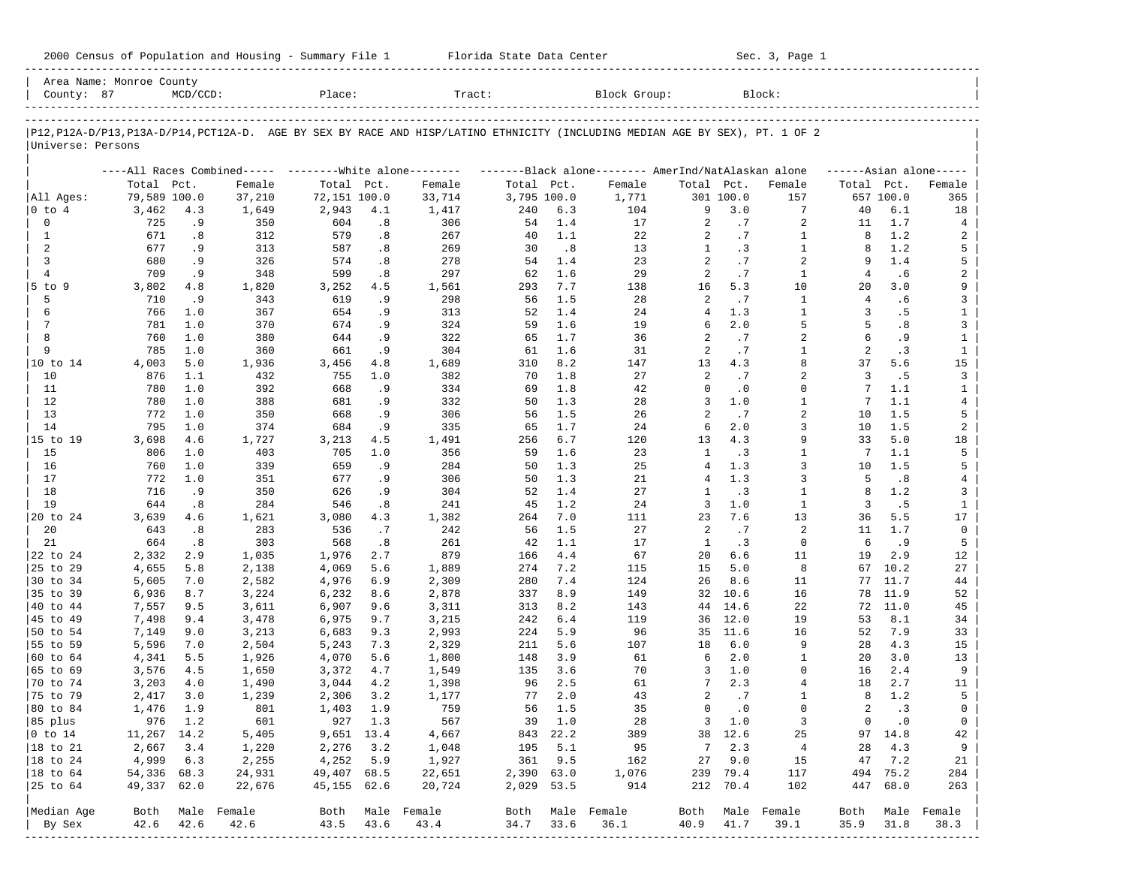| 2000 Census of Population and Housing - Summary File 1 |  | Florida State Data Center | Sec. 3, Page 1 |
|--------------------------------------------------------|--|---------------------------|----------------|
|--------------------------------------------------------|--|---------------------------|----------------|

| County: 87           | Area Name: Monroe County | $MCD/CCD$ : |                             | Place:         |            | Tract:                                                                                                                     |             |            | Block Group:                                        |                   |            | Block:            |                |              |                     |
|----------------------|--------------------------|-------------|-----------------------------|----------------|------------|----------------------------------------------------------------------------------------------------------------------------|-------------|------------|-----------------------------------------------------|-------------------|------------|-------------------|----------------|--------------|---------------------|
|                      |                          |             |                             |                |            | P12,P12A-D/P13,P13A-D/P14,PCT12A-D. AGE BY SEX BY RACE AND HISP/LATINO ETHNICITY (INCLUDING MEDIAN AGE BY SEX), PT. 1 OF 2 |             |            |                                                     |                   |            |                   |                |              |                     |
| Universe: Persons    |                          |             |                             |                |            |                                                                                                                            |             |            |                                                     |                   |            |                   |                |              |                     |
|                      |                          |             | ----All Races Combined----- |                |            | --------White alone--------                                                                                                |             |            | -------Black alone-------- AmerInd/NatAlaskan alone |                   |            |                   |                |              | $---Asian alone---$ |
|                      | Total Pct.               |             | Female                      | Total Pct.     |            | Female                                                                                                                     | Total Pct.  |            | Female                                              | Total Pct.        |            | Female            | Total Pct.     |              | Female              |
| All Ages:            | 79,589 100.0             |             | 37,210                      | 72,151 100.0   |            | 33,714                                                                                                                     | 3,795 100.0 |            | 1,771                                               |                   | 301 100.0  | 157               |                | 657 100.0    | 365                 |
| $ 0 \tto 4$          | 3,462                    | 4.3         | 1,649                       | 2,943          | 4.1        | 1,417                                                                                                                      | 240         | 6.3        | 104                                                 | 9                 | 3.0        | 7                 | 40             | 6.1          | 18                  |
| $\mathbf 0$          | 725                      | .9          | 350                         | 604            | .8         | 306                                                                                                                        | 54          | 1.4        | 17                                                  | 2                 | .7         | 2                 | 11             | 1.7          | 4                   |
| 1                    | 671                      | .8          | 312                         | 579            | .8         | 267                                                                                                                        | 40          | 1.1        | 22                                                  | 2                 | .7         | 1                 | 8              | 1.2          | 2                   |
| 2<br>3               | 677<br>680               | .9          | 313<br>326                  | 587<br>574     | .8         | 269<br>278                                                                                                                 | 30<br>54    | .8<br>1.4  | 13<br>23                                            | $\mathbf{1}$<br>2 | . 3        | $\mathbf{1}$<br>2 | 8<br>9         | 1.2<br>1.4   | 5<br>5              |
| $\overline{4}$       | 709                      | . 9<br>.9   | 348                         | 599            | .8<br>.8   | 297                                                                                                                        | 62          | 1.6        | 29                                                  | $\overline{a}$    | .7<br>.7   | $\mathbf{1}$      | 4              | .6           | 2                   |
| 5 to 9               | 3,802                    | 4.8         | 1,820                       | 3,252          | 4.5        | 1,561                                                                                                                      | 293         | 7.7        | 138                                                 | 16                | 5.3        | 10                | 20             | 3.0          | 9                   |
| 5                    | 710                      | .9          | 343                         | 619            | .9         | 298                                                                                                                        | 56          | 1.5        | 28                                                  | 2                 | .7         | $\mathbf{1}$      | 4              | .6           | 3                   |
| 6                    | 766                      | 1.0         | 367                         | 654            | .9         | 313                                                                                                                        | 52          | 1.4        | 24                                                  | 4                 | 1.3        | $\mathbf{1}$      | 3              | .5           | $\mathbf{1}$        |
| $7\phantom{.0}$      | 781                      | 1.0         | 370                         | 674            | .9         | 324                                                                                                                        | 59          | 1.6        | 19                                                  | 6                 | 2.0        | 5                 | 5              | .8           | 3                   |
| 8                    | 760                      | 1.0         | 380                         | 644            | .9         | 322                                                                                                                        | 65          | 1.7        | 36                                                  | 2                 | .7         | 2                 | 6              | .9           | $\mathbf{1}$        |
| 9                    | 785                      | 1.0         | 360                         | 661            | .9         | 304                                                                                                                        | 61          | 1.6        | 31                                                  | 2                 | .7         | $\mathbf{1}$      | 2              | .3           | $\mathbf{1}$        |
| 10 to 14             | 4,003                    | 5.0         | 1,936                       | 3,456          | 4.8        | 1,689                                                                                                                      | 310         | 8.2        | 147                                                 | 13                | 4.3        | 8                 | 37             | 5.6          | 15                  |
| 10                   | 876                      | 1.1         | 432                         | 755            | 1.0        | 382                                                                                                                        | 70          | 1.8        | 27                                                  | 2                 | .7         | $\overline{a}$    | 3              | .5           | 3                   |
| 11                   | 780                      | 1.0         | 392                         | 668            | .9         | 334                                                                                                                        | 69          | 1.8        | 42                                                  | $\Omega$          | $\cdot$ 0  | 0                 | 7              | 1.1          | $\mathbf{1}$        |
| 12                   | 780                      | 1.0         | 388                         | 681            | .9         | 332                                                                                                                        | 50          | 1.3        | 28                                                  | 3                 | 1.0        | $\mathbf{1}$      | 7              | 1.1          | 4                   |
| 13                   | 772                      | 1.0         | 350                         | 668            | .9         | 306                                                                                                                        | 56          | 1.5        | 26                                                  | 2                 | .7         | 2                 | 10             | 1.5          | 5                   |
| 14                   | 795                      | 1.0         | 374                         | 684            | .9         | 335                                                                                                                        | 65          | 1.7        | 24                                                  | 6                 | 2.0        | 3                 | 10             | 1.5          | 2                   |
| 15 to 19             | 3,698                    | 4.6         | 1,727                       | 3,213          | 4.5        | 1,491                                                                                                                      | 256         | 6.7        | 120                                                 | 13                | 4.3        | 9                 | 33             | 5.0          | 18                  |
| 15                   | 806                      | 1.0         | 403                         | 705            | 1.0        | 356                                                                                                                        | 59          | 1.6        | 23                                                  | 1                 | $\cdot$ 3  | $\mathbf{1}$      | 7              | 1.1          | 5                   |
| 16                   | 760                      | 1.0         | 339                         | 659            | .9         | 284                                                                                                                        | 50          | 1.3        | 25                                                  | $\overline{4}$    | 1.3        | 3                 | 10             | 1.5          | 5                   |
| 17                   | 772                      | 1.0         | 351                         | 677            | .9         | 306                                                                                                                        | 50          | 1.3        | 21                                                  | 4                 | 1.3        | 3                 | 5              | .8           | 4                   |
| 18                   | 716                      | .9          | 350                         | 626            | .9         | 304                                                                                                                        | 52          | 1.4        | 27                                                  | $\mathbf{1}$      | .3         | 1                 | 8              | 1.2          | 3                   |
| 19                   | 644                      | .8          | 284                         | 546            | .8         | 241                                                                                                                        | 45          | 1.2        | 24                                                  | 3                 | 1.0        | $\mathbf{1}$      | 3              | .5           | $\mathbf{1}$        |
| 20 to 24             | 3,639                    | 4.6         | 1,621                       | 3,080          | 4.3        | 1,382                                                                                                                      | 264         | 7.0        | 111                                                 | 23                | 7.6        | 13                | 36             | 5.5          | 17                  |
| 20                   | 643                      | .8          | 283                         | 536            | .7         | 242                                                                                                                        | 56          | 1.5        | 27                                                  | 2                 | .7         | 2                 | 11             | 1.7          | $\mathbf 0$         |
| 21                   | 664                      | .8          | 303                         | 568            | .8         | 261                                                                                                                        | 42          | 1.1        | 17                                                  | <sup>1</sup>      | .3         | $\mathbf 0$       | 6              | .9           | 5                   |
| 22 to 24             | 2,332                    | 2.9         | 1,035                       | 1,976          | 2.7        | 879                                                                                                                        | 166         | 4.4        | 67                                                  | 20                | 6.6        | 11                | 19             | 2.9          | 12                  |
| 25 to 29             | 4,655                    | 5.8         | 2,138                       | 4,069          | 5.6        | 1,889                                                                                                                      | 274         | 7.2<br>7.4 | 115                                                 | 15                | 5.0<br>8.6 | 8<br>11           | 67<br>77       | 10.2         | 27                  |
| 30 to 34<br>35 to 39 | 5,605                    | 7.0         | 2,582                       | 4,976          | 6.9<br>8.6 | 2,309                                                                                                                      | 280<br>337  | 8.9        | 124<br>149                                          | 26<br>32          | 10.6       | 16                | 78             | 11.7<br>11.9 | 44                  |
| 40 to 44             | 6,936<br>7,557           | 8.7<br>9.5  | 3,224<br>3,611              | 6,232<br>6,907 | 9.6        | 2,878<br>3,311                                                                                                             | 313         | 8.2        | 143                                                 | 44                | 14.6       | 22                | 72             | 11.0         | 52<br>45            |
| 45 to 49             | 7,498                    | 9.4         | 3,478                       | 6,975          | 9.7        | 3,215                                                                                                                      | 242         | 6.4        | 119                                                 | 36                | 12.0       | 19                | 53             | 8.1          | 34                  |
| 50 to 54             | 7,149                    | 9.0         | 3,213                       | 6,683          | 9.3        | 2,993                                                                                                                      | 224         | 5.9        | 96                                                  | 35                | 11.6       | 16                | 52             | 7.9          | 33                  |
| 55 to 59             | 5,596                    | 7.0         | 2,504                       | 5,243          | 7.3        | 2,329                                                                                                                      | 211         | 5.6        | 107                                                 | 18                | 6.0        | 9                 | 28             | 4.3          | 15                  |
| 60 to 64             | 4,341                    | 5.5         | 1,926                       | 4,070          | 5.6        | 1,800                                                                                                                      | 148         | 3.9        | 61                                                  | 6                 | 2.0        | 1                 | 20             | 3.0          | 13                  |
| 65 to 69             | 3,576                    | 4.5         | 1,650                       | 3,372          | 4.7        | 1,549                                                                                                                      | 135         | 3.6        | 70                                                  | 3                 | 1.0        | 0                 | 16             | 2.4          | 9                   |
| 70 to 74             | 3,203                    | 4.0         | 1,490                       | 3,044          | 4.2        | 1,398                                                                                                                      | 96          | 2.5        | 61                                                  | 7                 | 2.3        | 4                 | 18             | 2.7          | 11                  |
| 75 to 79             | 2,417                    | 3.0         | 1,239                       | 2,306          | 3.2        | 1,177                                                                                                                      | 77          | 2.0        | 43                                                  | 2                 | .7         | 1                 | 8              | 1.2          | 5                   |
| 80 to 84             | 1,476                    | 1.9         | 801                         | 1,403          | 1.9        | 759                                                                                                                        | 56          | 1.5        | 35                                                  | $\mathbf 0$       | $\cdot$ 0  | $\Omega$          | 2              | .3           | $\mathbf 0$         |
| 85 plus              |                          | 976 1.2     | 601                         |                | 927 1.3    | 567                                                                                                                        |             | 39 1.0     | 28                                                  |                   | $3 \t1.0$  | 3                 | $\overline{0}$ | $\cdot$ 0    | $\overline{0}$      |
| $ 0 \t{to} 14$       | 11,267 14.2              |             | 5,405                       | 9,651 13.4     |            | 4,667                                                                                                                      |             | 843 22.2   | 389                                                 |                   | 38 12.6    | 25                |                | 97 14.8      | 42                  |
| 18 to 21             | 2,667                    | 3.4         | 1,220                       | 2,276          | 3.2        | 1,048                                                                                                                      | 195         | 5.1        | 95                                                  | 7                 | 2.3        | $\overline{4}$    | 28             | 4.3          | 9                   |
| $ 18$ to 24          | 4,999                    | 6.3         | 2,255                       | 4,252          | 5.9        | 1,927                                                                                                                      | 361         | 9.5        | 162                                                 | 27                | 9.0        | 15                | 47             | 7.2          | 21                  |
| 18 to 64             | 54,336 68.3              |             | 24,931                      | 49,407 68.5    |            | 22,651                                                                                                                     | 2,390 63.0  |            | 1,076                                               |                   | 239 79.4   | 117               |                | 494 75.2     | 284                 |
| 25 to 64             | 49,337 62.0              |             | 22,676                      | 45,155 62.6    |            | 20,724                                                                                                                     | 2,029 53.5  |            | 914                                                 |                   | 212 70.4   | 102               |                | 447 68.0     | 263                 |
| Median Age           | Both                     |             | Male Female                 |                |            | Both Male Female                                                                                                           | Both        |            | Male Female                                         | Both              |            | Male Female       | Both           |              | Male Female         |
| By Sex               | 42.6                     | 42.6        | 42.6                        | 43.5           | 43.6       | 43.4                                                                                                                       | 34.7        | 33.6       | 36.1                                                | 40.9              | 41.7       | 39.1              | 35.9           | 31.8         | 38.3                |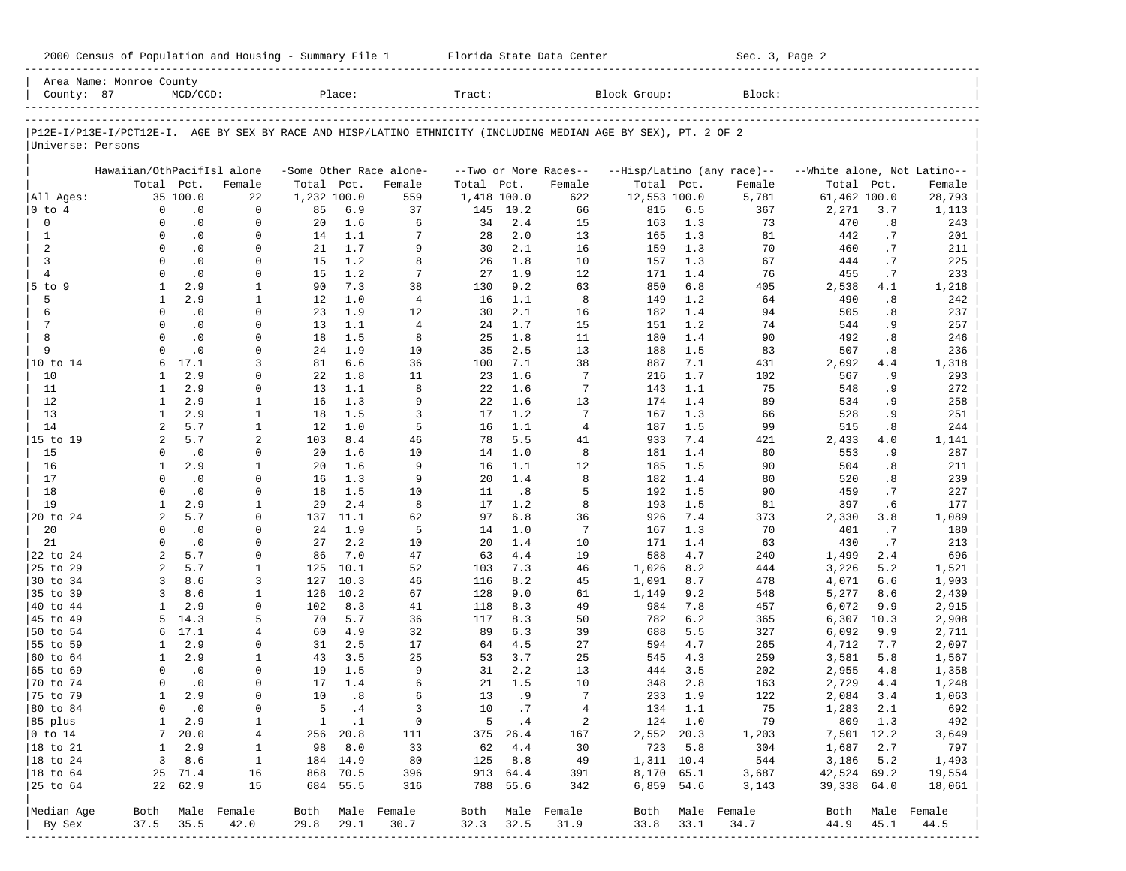|                      | Area Name: Monroe County   |             |                                  |             |              |                         |             |          |                       |                                                                                                                |         |                                    |                             |      |                  |
|----------------------|----------------------------|-------------|----------------------------------|-------------|--------------|-------------------------|-------------|----------|-----------------------|----------------------------------------------------------------------------------------------------------------|---------|------------------------------------|-----------------------------|------|------------------|
| County: 87           |                            | $MCD/CCD$ : |                                  |             | Place:       |                         | Tract:      |          |                       | Block Group:                                                                                                   |         | Block:                             |                             |      |                  |
|                      |                            |             |                                  |             |              |                         |             |          |                       | P12E-I/P13E-I/PCT12E-I. AGE BY SEX BY RACE AND HISP/LATINO ETHNICITY (INCLUDING MEDIAN AGE BY SEX), PT. 2 OF 2 |         |                                    |                             |      |                  |
| Universe: Persons    |                            |             |                                  |             |              |                         |             |          |                       |                                                                                                                |         |                                    |                             |      |                  |
|                      | Hawaiian/OthPacifIsl alone |             |                                  |             |              | -Some Other Race alone- |             |          | --Two or More Races-- |                                                                                                                |         | --Hisp/Latino (any race)--         | --White alone, Not Latino-- |      |                  |
|                      | Total Pct.                 |             | Female                           | Total Pct.  |              | Female                  | Total       | Pct.     | Female                | Total Pct.                                                                                                     |         | Female                             | Total Pct.                  |      | Female           |
| All Ages:            |                            | 35 100.0    | 22                               | 1,232 100.0 |              | 559                     | 1,418 100.0 |          | 622                   | 12,553 100.0                                                                                                   |         | 5,781                              | 61,462 100.0                |      | 28,793           |
| $0$ to $4$           | $\mathbf 0$                | $\cdot$ 0   | $\mathbf 0$                      | 85          | 6.9          | 37                      | 145         | 10.2     | 66                    | 815                                                                                                            | 6.5     | 367                                | 2,271                       | 3.7  | 1,113            |
| 0                    | $\Omega$                   | $\cdot$ 0   | $\mathbf 0$                      | 20          | 1.6          | 6                       | 34          | 2.4      | 15                    | 163                                                                                                            | 1.3     | 73                                 | 470                         | .8   | 243              |
| $\mathbf{1}$         | $\Omega$                   | $\cdot$ 0   | $\mathbf 0$                      | 14          | 1.1          | 7                       | 28          | 2.0      | 13                    | 165                                                                                                            | 1.3     | 81                                 | 442                         | .7   | 201              |
| 2                    | $\Omega$                   | $\cdot$ 0   | 0                                | 21          | 1.7          | 9                       | 30          | 2.1      | 16                    | 159                                                                                                            | 1.3     | 70                                 | 460                         | .7   | 211              |
| 3                    | $\Omega$                   | $\cdot$ 0   | $\Omega$                         | 15          | 1.2          | 8                       | 26          | 1.8      | 10                    | 157                                                                                                            | 1.3     | 67                                 | 444                         | .7   | 225              |
| $\overline{4}$       | $\Omega$                   | $\cdot$ 0   | 0                                | 15          | 1.2          | 7                       | 27          | 1.9      | 12                    | 171                                                                                                            | 1.4     | 76                                 | 455                         | .7   | 233              |
| 5 to 9               | 1                          | 2.9         | 1                                | 90          | 7.3          | 38                      | 130         | 9.2      | 63                    | 850                                                                                                            | 6.8     | 405                                | 2,538                       | 4.1  | 1,218            |
| 5                    | $\mathbf{1}$               | 2.9         | 1                                | 12          | 1.0          | $\overline{4}$          | 16          | 1.1      | 8                     | 149                                                                                                            | 1.2     | 64                                 | 490                         | .8   | 242              |
| 6                    | $\Omega$                   | $\cdot$ 0   | 0                                | 23          | 1.9          | 12                      | 30          | 2.1      | 16                    | 182                                                                                                            | 1.4     | 94                                 | 505                         | .8   | 237              |
| 7                    | $\Omega$                   | $\cdot$ 0   | 0                                | 13          | 1.1          | $\overline{4}$          | 24          | 1.7      | 15                    | 151                                                                                                            | 1.2     | 74                                 | 544                         | . 9  | 257              |
| 8                    | $\Omega$                   | $\cdot$ 0   | $\Omega$                         | 18          | 1.5          | 8                       | 25          | 1.8      | 11                    | 180                                                                                                            | 1.4     | 90                                 | 492                         | .8   | 246              |
| 9                    | $\Omega$                   | $\cdot$ 0   | $\mathbf 0$                      | 24          | 1.9          | 10                      | 35          | 2.5      | 13                    | 188                                                                                                            | 1.5     | 83                                 | 507                         | .8   | 236              |
| 10 to 14             | 6                          | 17.1        | 3                                | 81          | 6.6          | 36                      | 100         | 7.1      | 38                    | 887                                                                                                            | 7.1     | 431                                | 2,692                       | 4.4  | 1,318            |
| 10                   | $\mathbf{1}$               | 2.9         | $\mathbf 0$                      | 22          | 1.8          | 11                      | 23          | 1.6      | 7                     | 216                                                                                                            | 1.7     | 102                                | 567                         | .9   | 293              |
| 11                   | 1                          | 2.9         | $\mathbf 0$                      | 13          | 1.1          | 8                       | 22          | 1.6      | 7                     | 143                                                                                                            | 1.1     | 75                                 | 548                         | .9   | 272              |
| 12                   | $\mathbf{1}$               | 2.9         | $\mathbf{1}$                     | 16          | 1.3          | 9                       | 22          | 1.6      | 13                    | 174                                                                                                            | 1.4     | 89                                 | 534                         | . 9  | 258              |
| 13                   | $\mathbf{1}$               | 2.9         | $\mathbf{1}$                     | 18          | 1.5          | 3                       | 17          | 1.2      | 7                     | 167                                                                                                            | 1.3     | 66                                 | 528                         | . 9  | 251              |
| 14                   | $\overline{a}$             | 5.7         | $\mathbf{1}$                     | 12          | 1.0          | 5                       | 16          | 1.1      | $\overline{4}$        | 187                                                                                                            | 1.5     | 99                                 | 515                         | .8   | 244              |
| 15 to 19             | 2                          | 5.7         | 2                                | 103         | 8.4          | 46                      | 78          | 5.5      | 41                    | 933                                                                                                            | 7.4     | 421                                | 2,433                       | 4.0  | 1,141            |
| 15                   | $\Omega$                   | $\cdot$ 0   | $\mathbf 0$                      | 20          | 1.6          | 10                      | 14          | 1.0      | 8                     | 181                                                                                                            | 1.4     | 80                                 | 553                         | .9   | 287              |
| 16                   | 1                          | 2.9         | 1                                | 20          | 1.6          | 9                       | 16          | 1.1      | 12                    | 185                                                                                                            | 1.5     | 90                                 | 504                         | .8   | 211              |
| 17                   | $\Omega$                   | $\cdot$ 0   | $\mathbf 0$                      | 16          | 1.3          | 9                       | 20          | 1.4      | 8                     | 182                                                                                                            | 1.4     | 80                                 | 520                         | .8   | 239              |
| 18                   | $\Omega$                   | $\cdot$ 0   | $\Omega$                         | 18          | 1.5          | 10                      | 11          | .8       | 5                     | 192                                                                                                            | 1.5     | 90                                 | 459                         | .7   | 227              |
| 19                   | $\mathbf{1}$               | 2.9         | 1                                | 29          | 2.4          | 8                       | 17          | 1.2      | 8                     | 193                                                                                                            | 1.5     | 81                                 | 397                         | .6   | 177              |
| 20 to 24             | 2                          | 5.7         | $\Omega$                         | 137         | 11.1         | 62                      | 97          | 6.8      | 36                    | 926                                                                                                            | 7.4     | 373                                | 2,330                       | 3.8  | 1,089            |
| 20                   | $\Omega$                   | $\cdot$ 0   | $\Omega$                         | 24          | 1.9          | 5                       | 14          | 1.0      | 7                     | 167                                                                                                            | 1.3     | 70                                 | 401                         | .7   | 180              |
| 21                   | $\Omega$                   | $\cdot$ 0   | $\mathbf 0$                      | 27          | 2.2          | 10                      | 20          | 1.4      | 10                    | 171                                                                                                            | 1.4     | 63                                 | 430                         | .7   | 213              |
| 22 to 24             | $\overline{a}$             | 5.7         | $\mathbf 0$                      | 86          | 7.0          | 47                      | 63          | 4.4      | 19                    | 588                                                                                                            | 4.7     | 240                                | 1,499                       | 2.4  | 696              |
| 25 to 29             | 2                          | 5.7         | 1                                | 125         | 10.1         | 52                      | 103         | 7.3      | 46                    | 1,026                                                                                                          | 8.2     | 444                                | 3,226                       | 5.2  | 1,521            |
| 30 to 34             | 3                          | 8.6         | 3                                | 127         | 10.3         | 46                      | 116         | 8.2      | 45                    | 1,091                                                                                                          | 8.7     | 478                                | 4,071                       | 6.6  | 1,903            |
| 35 to 39             | 3                          | 8.6         | 1                                | 126         | 10.2         | 67                      | 128         | 9.0      | 61                    | 1,149                                                                                                          | 9.2     | 548                                | 5,277                       | 8.6  | 2,439            |
| 40 to 44             | $\mathbf{1}$               | 2.9         | 0                                | 102         | 8.3          | 41                      | 118         | 8.3      | 49                    | 984                                                                                                            | 7.8     | 457                                | 6,072                       | 9.9  | 2,915            |
| 45 to 49             | 5                          | 14.3        | 5                                | 70          | 5.7          | 36                      | 117         | 8.3      | 50                    | 782                                                                                                            | 6.2     | 365                                | 6,307                       | 10.3 | 2,908            |
| 50 to 54             | 6                          | 17.1        | 4                                | 60          | 4.9          | 32                      | 89          | 6.3      | 39                    | 688                                                                                                            | 5.5     | 327                                | 6,092                       | 9.9  | 2,711            |
| 55 to 59             | 1                          | 2.9         | 0                                | 31          | 2.5          | 17                      | 64          | 4.5      | 27                    | 594                                                                                                            | 4.7     | 265                                | 4,712                       | 7.7  | 2,097            |
| 60 to 64             | $\mathbf{1}$               | 2.9         | 1                                | 43          | 3.5          | 25                      | 53          | 3.7      | 25                    | 545                                                                                                            | 4.3     | 259                                | 3,581                       | 5.8  | 1,567            |
| 65 to 69             | $\Omega$                   | $\cdot$ 0   | $\Omega$                         | 19          | 1.5          | 9                       | 31          | 2.2      | 13                    | 444                                                                                                            | 3.5     | 202                                | 2,955                       | 4.8  | 1,358            |
| 70 to 74             | $\Omega$                   | $\cdot$ 0   | $\Omega$                         | 17          | 1.4          | 6                       | 21          | 1.5      | 10                    | 348                                                                                                            | 2.8     | 163                                | 2,729                       | 4.4  | 1,248            |
| 75 to 79             | 1                          | 2.9         | $\Omega$                         | 10          | .8           | 6                       | 13          | .9       | 7                     | 233                                                                                                            | 1.9     | 122                                | 2,084                       | 3.4  | 1,063            |
| 80 to 84             | $\Omega$                   | $\cdot$ 0   | $\mathbf 0$                      | 5           | .4           | 3                       | 10          | .7       | $\overline{4}$        | 134                                                                                                            | 1.1     | 75                                 | 1,283                       | 2.1  | 692              |
| 85 plus              | $\mathbf{I}$               | 2.9         | 1                                |             | $1 \quad .1$ | $\circ$                 |             | 5 .4     | 2                     |                                                                                                                | 124 1.0 | 79                                 | 809 1.3                     |      | 492              |
| $ 0 \t{to} 14$       | 7 <sup>7</sup>             | 20.0        | 4                                |             | 256 20.8     | 111                     |             | 375 26.4 | 167                   | 2,552 20.3                                                                                                     |         | 1,203                              | 7,501 12.2                  |      | 3,649            |
| $ 18 \text{ to } 21$ | $\mathbf{1}$               | 2.9         | $\mathbf{1}$                     |             | 98 8.0       | 33                      |             | 62 4.4   | 30                    |                                                                                                                | 723 5.8 | 304                                | 1,687 2.7                   |      | 797              |
| $ 18 \text{ to } 24$ | $\overline{\mathbf{3}}$    | 8.6         | $\mathbf{1}$                     |             | 184 14.9     | 80                      |             | 125 8.8  | 49                    | 1,311 10.4                                                                                                     |         | 544                                | 3,186 5.2                   |      | 1,493            |
| $ 18 \text{ to } 64$ |                            | 25 71.4     | 16                               |             | 868 70.5     | 396                     |             | 913 64.4 | 391                   | 8,170 65.1                                                                                                     |         | 3,687                              | 42,524 69.2                 |      | 19,554           |
| 25 to 64             |                            | 22 62.9     | 15                               |             | 684 55.5     | 316                     |             | 788 55.6 | 342                   | 6,859 54.6                                                                                                     |         | 3,143                              | 39,338 64.0                 |      | 18,061           |
|                      |                            |             |                                  |             |              |                         |             |          |                       |                                                                                                                |         |                                    |                             |      |                  |
| Median Age           |                            |             | Both Male Female                 |             |              | Both Male Female        |             |          | Both Male Female      |                                                                                                                |         | Both Male Female                   |                             |      | Both Male Female |
| By Sex               | 37.5                       | 35.5        | 42.0<br>------------------------ | 29.8        | 29.1         | 30.7                    | 32.3        | 32.5     | 31.9                  | 33.8                                                                                                           | 33.1    | 34.7<br>-------------------------- | 44.9                        | 45.1 | 44.5             |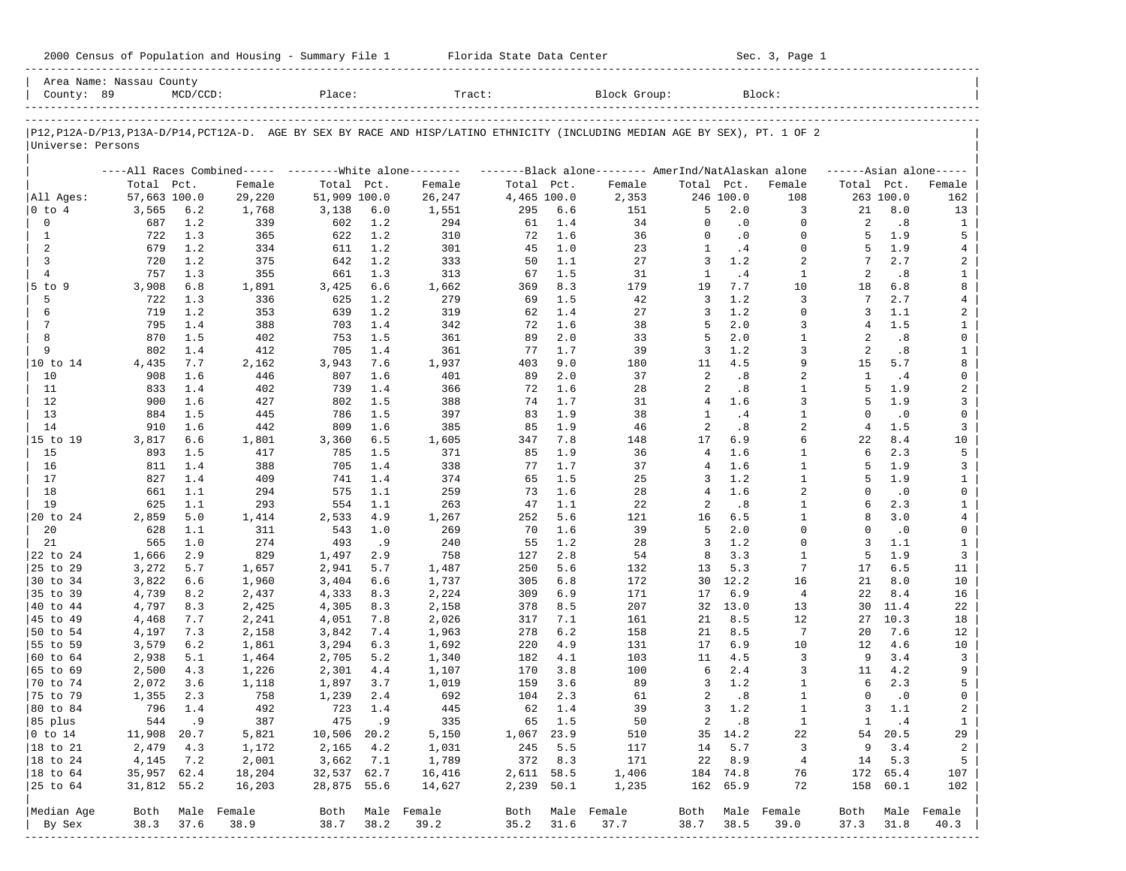| 2000 Census of Population and Housing - Summary File 1 |  | Florida State Data Center | Sec. 3, Page 1 |
|--------------------------------------------------------|--|---------------------------|----------------|
|--------------------------------------------------------|--|---------------------------|----------------|

| County: 89                  | Area Name: Nassau County | $MCD/CCD$ : |                             | Place:       |       | Tract:                                                                                                                     |             |         | Block Group:                                        |                |           | Block:                  |              |           |                     |
|-----------------------------|--------------------------|-------------|-----------------------------|--------------|-------|----------------------------------------------------------------------------------------------------------------------------|-------------|---------|-----------------------------------------------------|----------------|-----------|-------------------------|--------------|-----------|---------------------|
|                             |                          |             |                             |              |       |                                                                                                                            |             |         |                                                     |                |           |                         |              |           |                     |
|                             |                          |             |                             |              |       | P12,P12A-D/P13,P13A-D/P14,PCT12A-D. AGE BY SEX BY RACE AND HISP/LATINO ETHNICITY (INCLUDING MEDIAN AGE BY SEX), PT. 1 OF 2 |             |         |                                                     |                |           |                         |              |           |                     |
| Universe: Persons           |                          |             |                             |              |       |                                                                                                                            |             |         |                                                     |                |           |                         |              |           |                     |
|                             |                          |             | ----All Races Combined----- |              |       | --------White alone--------                                                                                                |             |         | -------Black alone-------- AmerInd/NatAlaskan alone |                |           |                         |              |           | $---Asian alone---$ |
|                             | Total Pct.               |             | Female                      | Total Pct.   |       | Female                                                                                                                     | Total Pct.  |         | Female                                              | Total Pct.     |           | Female                  | Total Pct.   |           | Female              |
| All Ages:                   | 57,663 100.0             |             | 29,220                      | 51,909 100.0 |       | 26,247                                                                                                                     | 4,465 100.0 |         | 2,353                                               |                | 246 100.0 | 108                     |              | 263 100.0 | 162                 |
| 0 to 4                      | 3,565                    | 6.2         | 1,768                       | 3,138        | 6.0   | 1,551                                                                                                                      | 295         | 6.6     | 151                                                 | 5              | 2.0       | 3                       | 21           | 8.0       | 13                  |
| 0                           | 687                      | 1.2         | 339                         | 602          | 1.2   | 294                                                                                                                        | 61          | 1.4     | 34                                                  | 0              | $\cdot$ 0 | $\mathbf 0$             | 2            | .8        | 1                   |
| $\mathbf{1}$                | 722                      | 1.3         | 365                         | 622          | 1.2   | 310                                                                                                                        | 72          | 1.6     | 36                                                  | $\Omega$       | $\cdot$ 0 | $\mathbf 0$             | 5            | 1.9       | 5                   |
| 2                           | 679                      | 1.2         | 334                         | 611          | 1.2   | 301                                                                                                                        | 45          | 1.0     | 23                                                  | 1              | .4        | $\Omega$                | 5            | 1.9       | 4                   |
| 3                           | 720                      | 1.2         | 375                         | 642          | 1.2   | 333                                                                                                                        | 50          | 1.1     | 27                                                  | 3              | 1.2       | 2                       | 7            | 2.7       | 2                   |
| $\overline{4}$              | 757                      | 1.3         | 355                         | 661          | 1.3   | 313                                                                                                                        | 67          | 1.5     | 31                                                  | $\mathbf{1}$   | .4        | $\mathbf{1}$            | 2            | .8        | $\mathbf{1}$        |
| $5$ to $9$                  | 3,908                    | 6.8         | 1,891                       | 3,425        | 6.6   | 1,662                                                                                                                      | 369         | 8.3     | 179                                                 | 19             | 7.7       | 10                      | 18           | 6.8       | 8                   |
| 5                           | 722                      | 1.3         | 336                         | 625          | 1.2   | 279                                                                                                                        | 69          | 1.5     | 42                                                  | 3              | 1.2       | 3                       | 7            | 2.7       | 4                   |
| 6                           | 719                      | 1.2         | 353                         | 639          | 1.2   | 319                                                                                                                        | 62          | 1.4     | 27                                                  | 3              | 1.2       | $\mathbf 0$             | 3            | 1.1       | 2                   |
| 7                           | 795                      | 1.4         | 388                         | 703          | 1.4   | 342                                                                                                                        | 72          | 1.6     | 38                                                  | 5              | 2.0       | 3                       | 4            | 1.5       | $\mathbf{1}$        |
| 8                           | 870                      | 1.5         | 402                         | 753          | 1.5   | 361                                                                                                                        | 89          | 2.0     | 33                                                  | 5              | 2.0       | $\mathbf{1}$            | 2            | .8        | 0                   |
| 9                           | 802                      | 1.4         | 412                         | 705          | 1.4   | 361                                                                                                                        | 77          | 1.7     | 39                                                  | 3              | 1.2       | 3                       | 2            | .8        | $\mathbf{1}$        |
| 10 to 14                    | 4,435                    | 7.7         | 2,162                       | 3,943        | 7.6   | 1,937                                                                                                                      | 403         | 9.0     | 180                                                 | 11             | 4.5       | 9                       | 15           | 5.7       | 8                   |
| 10                          | 908                      | 1.6         | 446                         | 807          | 1.6   | 401                                                                                                                        | 89          | 2.0     | 37                                                  | 2              | .8        | 2                       | $\mathbf{1}$ | .4        | 0                   |
| 11                          | 833                      | 1.4         | 402                         | 739          | 1.4   | 366                                                                                                                        | 72          | 1.6     | 28                                                  | 2              | .8        | $\mathbf{1}$            | 5            | 1.9       | 2                   |
| 12                          | 900                      | 1.6         | 427                         | 802          | 1.5   | 388                                                                                                                        | 74          | 1.7     | 31                                                  | $\overline{4}$ | 1.6       | 3                       | 5            | 1.9       | 3                   |
| 13                          | 884                      | 1.5         | 445                         | 786          | 1.5   | 397                                                                                                                        | 83          | 1.9     | 38                                                  | 1              | .4        | 1                       | $\Omega$     | $\cdot$ 0 | 0                   |
| 14                          | 910                      | 1.6         | 442                         | 809          | 1.6   | 385                                                                                                                        | 85          | 1.9     | 46                                                  | 2              | .8        | $\overline{a}$          | 4            | 1.5       | 3                   |
| 15 to 19                    | 3,817                    | 6.6         | 1,801                       | 3,360        | 6.5   | 1,605                                                                                                                      | 347         | 7.8     | 148                                                 | 17             | 6.9       | 6                       | 22           | 8.4       | 10                  |
| 15                          | 893                      | 1.5         | 417                         | 785          | 1.5   | 371                                                                                                                        | 85          | 1.9     | 36                                                  | $\overline{4}$ | 1.6       | $\mathbf{1}$            | 6            | 2.3       | 5                   |
| 16                          | 811                      | 1.4         | 388                         | 705          | 1.4   | 338                                                                                                                        | 77          | 1.7     | 37                                                  | 4              | 1.6       | 1                       | 5            | 1.9       | 3                   |
| 17                          | 827                      | 1.4         | 409                         | 741          | 1.4   | 374                                                                                                                        | 65          | 1.5     | 25                                                  | 3              | 1.2       | $\mathbf{1}$            | 5            | 1.9       | $\mathbf{1}$        |
| 18                          | 661                      | 1.1         | 294                         | 575          | 1.1   | 259                                                                                                                        | 73          | 1.6     | 28                                                  | 4              | 1.6       | $\overline{a}$          | $\Omega$     | $\cdot$ 0 | 0                   |
| 19                          | 625                      | 1.1         | 293                         | 554          | 1.1   | 263                                                                                                                        | 47          | 1.1     | 22                                                  | 2              | .8        | $\mathbf{1}$            | 6            | 2.3       | $\mathbf{1}$        |
| 20 to 24                    | 2,859                    | 5.0         | 1,414                       | 2,533        | 4.9   | 1,267                                                                                                                      | 252         | 5.6     | 121                                                 | 16             | 6.5       | $\mathbf{1}$            | 8            | 3.0       | 4                   |
| 20                          | 628                      | 1.1         | 311                         | 543          | 1.0   | 269                                                                                                                        | 70          | 1.6     | 39                                                  | 5              | 2.0       | $\Omega$                | $\Omega$     | $\cdot$ 0 | 0                   |
| 21                          | 565                      | 1.0         | 274                         | 493          | .9    | 240                                                                                                                        | 55          | 1.2     | 28                                                  | 3              | 1.2       | $\Omega$                | 3            | 1.1       | $\mathbf{1}$        |
| 22 to 24                    | 1,666                    | 2.9         | 829                         | 1,497        | 2.9   | 758                                                                                                                        | 127         | 2.8     | 54                                                  | 8              | 3.3       | $\mathbf{1}$            | 5            | 1.9       | 3                   |
| 25 to 29                    | 3,272                    | 5.7         | 1,657                       | 2,941        | 5.7   | 1,487                                                                                                                      | 250         | 5.6     | 132                                                 | 13             | 5.3       | 7                       | 17           | 6.5       | 11                  |
| 30 to 34                    | 3,822                    | 6.6         | 1,960                       | 3,404        | 6.6   | 1,737                                                                                                                      | 305         | 6.8     | 172                                                 | 30             | 12.2      | 16                      | 21           | 8.0       | 10                  |
| 35 to 39                    | 4,739                    | 8.2         | 2,437                       | 4,333        | 8.3   | 2,224                                                                                                                      | 309         | 6.9     | 171                                                 | 17             | 6.9       | $\overline{4}$          | 22           | 8.4       | 16                  |
| 40 to 44                    | 4,797                    | 8.3         | 2,425                       | 4,305        | 8.3   | 2,158                                                                                                                      | 378         | 8.5     | 207                                                 | 32             | 13.0      | 13                      | 30           | 11.4      | 22                  |
| 45 to 49                    | 4,468                    | 7.7         | 2,241                       | 4,051        | 7.8   | 2,026                                                                                                                      | 317         | 7.1     | 161                                                 | 21             | 8.5       | 12                      | 27           | 10.3      | 18                  |
| 50 to 54                    | 4,197                    | 7.3         | 2,158                       | 3,842        | 7.4   | 1,963                                                                                                                      | 278         | 6.2     | 158                                                 | 21             | 8.5       | $7\phantom{.0}$         | 20           | 7.6       | 12                  |
| 55 to 59                    | 3,579                    | 6.2         | 1,861                       | 3,294        | 6.3   | 1,692                                                                                                                      | 220         | 4.9     | 131                                                 | 17             | 6.9       | 10                      | 12           | 4.6       | 10                  |
| 60 to 64                    | 2,938                    | 5.1         | 1,464                       | 2,705        | 5.2   | 1,340                                                                                                                      | 182         | 4.1     | 103                                                 | 11             | 4.5       | 3                       | 9            | 3.4       | 3                   |
| 65 to 69                    | 2,500                    | 4.3         | 1,226                       | 2,301        | 4.4   | 1,107                                                                                                                      | 170         | 3.8     | 100                                                 | 6              | 2.4       | 3                       | 11           | 4.2       | 9                   |
| 70 to 74                    | 2,072                    | 3.6         | 1,118                       | 1,897        | 3.7   | 1,019                                                                                                                      | 159         | 3.6     | 89                                                  | 3              | 1.2       | 1                       | 6            | 2.3       | 5                   |
| 75 to 79                    | 1,355                    | 2.3         | 758                         | 1,239        | 2.4   | 692                                                                                                                        | 104         | 2.3     | 61                                                  | 2              | .8        | 1                       | 0            | $\cdot$ 0 | 0                   |
| 80 to 84                    | 796                      | 1.4         | 492                         | 723          | 1.4   | 445                                                                                                                        | 62          | 1.4     | 39                                                  | 3              | 1.2       | $\mathbf{1}$            | 3            | 1.1       | 2                   |
| 85 plus                     |                          | 544.9       | 387                         |              | 475.9 | 335                                                                                                                        |             | 65 1.5  | 50                                                  | 2              | $\cdot$ 8 | $\mathbf{1}$            | $\mathbf{1}$ | $\cdot$ 4 | $\mathbf{1}$        |
| $ 0 \t\t \text{to} \t\t 14$ | 11,908 20.7              |             | 5,821                       | 10,506 20.2  |       | 5,150                                                                                                                      | 1,067 23.9  |         | 510                                                 |                | 35 14.2   | 22                      |              | 54 20.5   | 29                  |
| 18 to 21                    | 2,479                    | 4.3         | 1,172                       | 2,165        | 4.2   | 1,031                                                                                                                      |             | 245 5.5 | 117                                                 | 14             | 5.7       | $\overline{\mathbf{3}}$ | 9            | 3.4       | $\overline{a}$      |
| 18 to 24                    | 4,145                    | 7.2         | 2,001                       | 3,662        | 7.1   | 1,789                                                                                                                      |             | 372 8.3 | 171                                                 | 22             | 8.9       | $\overline{4}$          | 14           | 5.3       | 5                   |
| $ 18$ to $64$               | 35,957 62.4              |             | 18,204                      | 32,537 62.7  |       | 16,416                                                                                                                     | 2,611 58.5  |         | 1,406                                               |                | 184 74.8  | 76                      |              | 172 65.4  | 107                 |
| 25 to 64                    | 31,812 55.2              |             | 16,203                      | 28,875 55.6  |       | 14,627                                                                                                                     | 2,239 50.1  |         | 1,235                                               |                | 162 65.9  | 72                      |              | 158 60.1  | 102                 |
|                             |                          |             |                             |              |       |                                                                                                                            |             |         |                                                     |                |           |                         |              |           |                     |
| Median Age                  |                          |             | Both Male Female            |              |       | Both Male Female                                                                                                           |             |         | Both Male Female                                    | Both           |           | Male Female             | Both         |           | Male Female         |
| By Sex                      | 38.3                     | 37.6        | 38.9                        | 38.7         | 38.2  | 39.2                                                                                                                       | 35.2        | 31.6    | 37.7                                                | 38.7           | 38.5      | 39.0                    | 37.3         | 31.8      | 40.3                |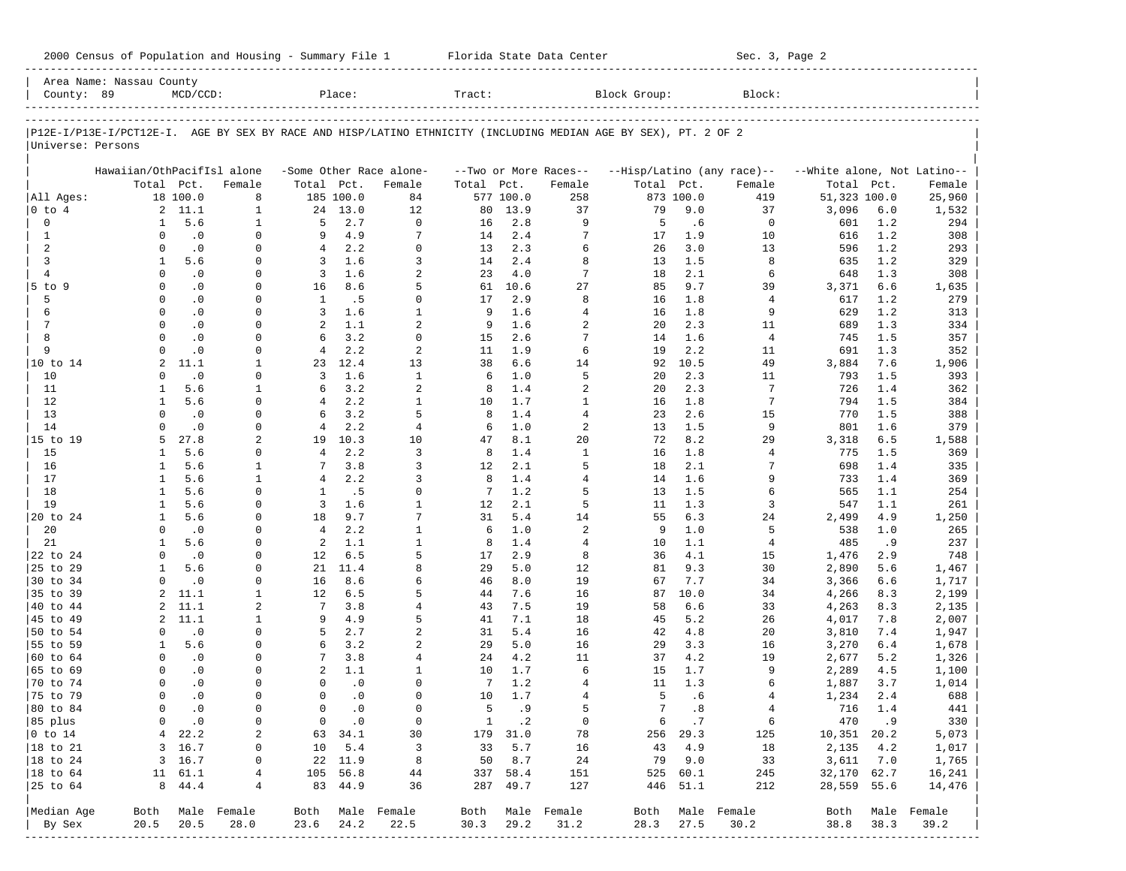| Block Group:<br>County: 89<br>$MCD/CCD$ :<br>Place:<br>Tract:<br>Block:<br>P12E-I/P13E-I/PCT12E-I. AGE BY SEX BY RACE AND HISP/LATINO ETHNICITY (INCLUDING MEDIAN AGE BY SEX), PT. 2 OF 2<br>Universe: Persons<br>Hawaiian/OthPacifIsl alone<br>-Some Other Race alone-<br>--Two or More Races--<br>--Hisp/Latino (any race)--<br>Total Pct.<br>Total Pct.<br>Female<br>Total Pct.<br>Total Pct.<br>Female<br>Female<br>Female<br>18 100.0<br>8<br>185 100.0<br>84<br>577 100.0<br>258<br>873 100.0<br>419<br>All Ages:<br>2, 11.1<br>$\mathbf{1}$<br>9.0<br>$0$ to $4$<br>24 13.0<br>12<br>80<br>13.9<br>37<br>79<br>37<br>$\mathbf 0$<br>5.6<br>2.7<br>$\Omega$<br>2.8<br>9<br>5<br>$\mathbf{1}$<br>5<br>.6<br>$\mathbf 0$<br>$\mathbf{1}$<br>16<br>$\cdot$ 0<br>4.9<br>2.4<br>7<br>$\mathbf{1}$<br>$\Omega$<br>9<br>7<br>17<br>1.9<br>10<br>$\Omega$<br>14<br>2<br>$\cdot$ 0<br>2.2<br>$\Omega$<br>2.3<br>6<br>$\overline{4}$<br>26<br>3.0<br>13<br>$\Omega$<br>$\Omega$<br>13<br>1.6<br>2.4<br>3<br>5.6<br>3<br>8<br>1.5<br>8<br>1<br>$\Omega$<br>3<br>14<br>13<br>$\overline{4}$<br>$\cdot$ 0<br>1.6<br>2<br>7<br>2.1<br>$\Omega$<br>3<br>4.0<br>18<br>6<br>$\Omega$<br>23<br>$\cdot$ 0<br>8.6<br>27<br>$\Omega$<br>5<br>10.6<br>85<br>9.7<br>5 to 9<br>$\Omega$<br>16<br>61<br>39<br>5<br>$\Omega$<br>8<br>$\Omega$<br>$\cdot$ 0<br>$\mathbf{1}$<br>. 5<br>2.9<br>1.8<br>$\overline{4}$<br>$\Omega$<br>17<br>16<br>$\mathbf{1}$<br>1.6<br>$\cdot$ 0<br>3<br>1.6<br>$\overline{4}$<br>1.8<br>9<br>6<br>$\Omega$<br>$\Omega$<br>9<br>16<br>$7\phantom{.0}$<br>1.1<br>2<br>1.6<br>$\overline{a}$<br>$\Omega$<br>$\cdot$ 0<br>2<br>2.3<br>11<br>$\Omega$<br>9<br>20<br>$\cdot$ 0<br>3.2<br>2.6<br>7<br>8<br>$\Omega$<br>$\Omega$<br>6<br>$\Omega$<br>1.6<br>$\overline{4}$<br>15<br>14<br>2.2<br>9<br>$\Omega$<br>$\cdot$ 0<br>2<br>6<br>2.2<br>$\overline{4}$<br>1.9<br>19<br>$\Omega$<br>11<br>11<br>11.1<br>12.4<br>6.6<br>10 to 14<br>$\overline{a}$<br>13<br>38<br>14<br>10.5<br>49<br>1<br>23<br>92<br>$\cdot$ 0<br>1.6<br>$\mathbf{1}$<br>1.0<br>5<br>10<br>$\Omega$<br>3<br>2.3<br>11<br>$\Omega$<br>6<br>20<br>5.6<br>3.2<br>$\overline{a}$<br>1.4<br>$\overline{a}$<br>$\mathbf{1}$<br>6<br>8<br>20<br>2.3<br>7<br>11<br>$\mathbf{1}$<br>5.6<br>2.2<br>$\mathbf{1}$<br>1.7<br>$\mathbf{1}$<br>$\overline{7}$<br>12<br>$\mathbf{1}$<br>$\Omega$<br>$\overline{4}$<br>16<br>1.8<br>10<br>$\cdot$ 0<br>3.2<br>5<br>1.4<br>$\overline{4}$<br>2.6<br>13<br>$\Omega$<br>$\Omega$<br>6<br>8<br>23<br>15<br>2.2<br>$\overline{c}$<br>14<br>$\cdot$ 0<br>$\overline{4}$<br>1.0<br>$\Omega$<br>$\Omega$<br>4<br>13<br>1.5<br>9<br>6 |                          |                                  |
|---------------------------------------------------------------------------------------------------------------------------------------------------------------------------------------------------------------------------------------------------------------------------------------------------------------------------------------------------------------------------------------------------------------------------------------------------------------------------------------------------------------------------------------------------------------------------------------------------------------------------------------------------------------------------------------------------------------------------------------------------------------------------------------------------------------------------------------------------------------------------------------------------------------------------------------------------------------------------------------------------------------------------------------------------------------------------------------------------------------------------------------------------------------------------------------------------------------------------------------------------------------------------------------------------------------------------------------------------------------------------------------------------------------------------------------------------------------------------------------------------------------------------------------------------------------------------------------------------------------------------------------------------------------------------------------------------------------------------------------------------------------------------------------------------------------------------------------------------------------------------------------------------------------------------------------------------------------------------------------------------------------------------------------------------------------------------------------------------------------------------------------------------------------------------------------------------------------------------------------------------------------------------------------------------------------------------------------------------------------------------------------------------------------------------------------------------------------------------------------------------------------------------------------------------------------------------------------------------------------------------------------|--------------------------|----------------------------------|
|                                                                                                                                                                                                                                                                                                                                                                                                                                                                                                                                                                                                                                                                                                                                                                                                                                                                                                                                                                                                                                                                                                                                                                                                                                                                                                                                                                                                                                                                                                                                                                                                                                                                                                                                                                                                                                                                                                                                                                                                                                                                                                                                                                                                                                                                                                                                                                                                                                                                                                                                                                                                                                       |                          |                                  |
|                                                                                                                                                                                                                                                                                                                                                                                                                                                                                                                                                                                                                                                                                                                                                                                                                                                                                                                                                                                                                                                                                                                                                                                                                                                                                                                                                                                                                                                                                                                                                                                                                                                                                                                                                                                                                                                                                                                                                                                                                                                                                                                                                                                                                                                                                                                                                                                                                                                                                                                                                                                                                                       |                          |                                  |
|                                                                                                                                                                                                                                                                                                                                                                                                                                                                                                                                                                                                                                                                                                                                                                                                                                                                                                                                                                                                                                                                                                                                                                                                                                                                                                                                                                                                                                                                                                                                                                                                                                                                                                                                                                                                                                                                                                                                                                                                                                                                                                                                                                                                                                                                                                                                                                                                                                                                                                                                                                                                                                       |                          |                                  |
|                                                                                                                                                                                                                                                                                                                                                                                                                                                                                                                                                                                                                                                                                                                                                                                                                                                                                                                                                                                                                                                                                                                                                                                                                                                                                                                                                                                                                                                                                                                                                                                                                                                                                                                                                                                                                                                                                                                                                                                                                                                                                                                                                                                                                                                                                                                                                                                                                                                                                                                                                                                                                                       |                          | --White alone, Not Latino--      |
|                                                                                                                                                                                                                                                                                                                                                                                                                                                                                                                                                                                                                                                                                                                                                                                                                                                                                                                                                                                                                                                                                                                                                                                                                                                                                                                                                                                                                                                                                                                                                                                                                                                                                                                                                                                                                                                                                                                                                                                                                                                                                                                                                                                                                                                                                                                                                                                                                                                                                                                                                                                                                                       | Total                    | Pct.<br>Female                   |
|                                                                                                                                                                                                                                                                                                                                                                                                                                                                                                                                                                                                                                                                                                                                                                                                                                                                                                                                                                                                                                                                                                                                                                                                                                                                                                                                                                                                                                                                                                                                                                                                                                                                                                                                                                                                                                                                                                                                                                                                                                                                                                                                                                                                                                                                                                                                                                                                                                                                                                                                                                                                                                       | 51,323 100.0             | 25,960                           |
|                                                                                                                                                                                                                                                                                                                                                                                                                                                                                                                                                                                                                                                                                                                                                                                                                                                                                                                                                                                                                                                                                                                                                                                                                                                                                                                                                                                                                                                                                                                                                                                                                                                                                                                                                                                                                                                                                                                                                                                                                                                                                                                                                                                                                                                                                                                                                                                                                                                                                                                                                                                                                                       | 3,096                    | 6.0<br>1,532                     |
|                                                                                                                                                                                                                                                                                                                                                                                                                                                                                                                                                                                                                                                                                                                                                                                                                                                                                                                                                                                                                                                                                                                                                                                                                                                                                                                                                                                                                                                                                                                                                                                                                                                                                                                                                                                                                                                                                                                                                                                                                                                                                                                                                                                                                                                                                                                                                                                                                                                                                                                                                                                                                                       | 601                      | 1.2<br>294                       |
|                                                                                                                                                                                                                                                                                                                                                                                                                                                                                                                                                                                                                                                                                                                                                                                                                                                                                                                                                                                                                                                                                                                                                                                                                                                                                                                                                                                                                                                                                                                                                                                                                                                                                                                                                                                                                                                                                                                                                                                                                                                                                                                                                                                                                                                                                                                                                                                                                                                                                                                                                                                                                                       | 616                      | 1.2<br>308                       |
|                                                                                                                                                                                                                                                                                                                                                                                                                                                                                                                                                                                                                                                                                                                                                                                                                                                                                                                                                                                                                                                                                                                                                                                                                                                                                                                                                                                                                                                                                                                                                                                                                                                                                                                                                                                                                                                                                                                                                                                                                                                                                                                                                                                                                                                                                                                                                                                                                                                                                                                                                                                                                                       | 596                      | 1.2<br>293                       |
|                                                                                                                                                                                                                                                                                                                                                                                                                                                                                                                                                                                                                                                                                                                                                                                                                                                                                                                                                                                                                                                                                                                                                                                                                                                                                                                                                                                                                                                                                                                                                                                                                                                                                                                                                                                                                                                                                                                                                                                                                                                                                                                                                                                                                                                                                                                                                                                                                                                                                                                                                                                                                                       | 635                      | 1.2<br>329                       |
|                                                                                                                                                                                                                                                                                                                                                                                                                                                                                                                                                                                                                                                                                                                                                                                                                                                                                                                                                                                                                                                                                                                                                                                                                                                                                                                                                                                                                                                                                                                                                                                                                                                                                                                                                                                                                                                                                                                                                                                                                                                                                                                                                                                                                                                                                                                                                                                                                                                                                                                                                                                                                                       | 648                      | 1.3<br>308                       |
|                                                                                                                                                                                                                                                                                                                                                                                                                                                                                                                                                                                                                                                                                                                                                                                                                                                                                                                                                                                                                                                                                                                                                                                                                                                                                                                                                                                                                                                                                                                                                                                                                                                                                                                                                                                                                                                                                                                                                                                                                                                                                                                                                                                                                                                                                                                                                                                                                                                                                                                                                                                                                                       | 3,371                    | 6.6<br>1,635                     |
|                                                                                                                                                                                                                                                                                                                                                                                                                                                                                                                                                                                                                                                                                                                                                                                                                                                                                                                                                                                                                                                                                                                                                                                                                                                                                                                                                                                                                                                                                                                                                                                                                                                                                                                                                                                                                                                                                                                                                                                                                                                                                                                                                                                                                                                                                                                                                                                                                                                                                                                                                                                                                                       | 617                      | 1.2<br>279                       |
|                                                                                                                                                                                                                                                                                                                                                                                                                                                                                                                                                                                                                                                                                                                                                                                                                                                                                                                                                                                                                                                                                                                                                                                                                                                                                                                                                                                                                                                                                                                                                                                                                                                                                                                                                                                                                                                                                                                                                                                                                                                                                                                                                                                                                                                                                                                                                                                                                                                                                                                                                                                                                                       | 629                      | 1.2<br>313                       |
|                                                                                                                                                                                                                                                                                                                                                                                                                                                                                                                                                                                                                                                                                                                                                                                                                                                                                                                                                                                                                                                                                                                                                                                                                                                                                                                                                                                                                                                                                                                                                                                                                                                                                                                                                                                                                                                                                                                                                                                                                                                                                                                                                                                                                                                                                                                                                                                                                                                                                                                                                                                                                                       | 689                      | 1.3<br>334                       |
|                                                                                                                                                                                                                                                                                                                                                                                                                                                                                                                                                                                                                                                                                                                                                                                                                                                                                                                                                                                                                                                                                                                                                                                                                                                                                                                                                                                                                                                                                                                                                                                                                                                                                                                                                                                                                                                                                                                                                                                                                                                                                                                                                                                                                                                                                                                                                                                                                                                                                                                                                                                                                                       | 745                      | 1.5<br>357                       |
|                                                                                                                                                                                                                                                                                                                                                                                                                                                                                                                                                                                                                                                                                                                                                                                                                                                                                                                                                                                                                                                                                                                                                                                                                                                                                                                                                                                                                                                                                                                                                                                                                                                                                                                                                                                                                                                                                                                                                                                                                                                                                                                                                                                                                                                                                                                                                                                                                                                                                                                                                                                                                                       | 691                      | 1.3<br>352                       |
|                                                                                                                                                                                                                                                                                                                                                                                                                                                                                                                                                                                                                                                                                                                                                                                                                                                                                                                                                                                                                                                                                                                                                                                                                                                                                                                                                                                                                                                                                                                                                                                                                                                                                                                                                                                                                                                                                                                                                                                                                                                                                                                                                                                                                                                                                                                                                                                                                                                                                                                                                                                                                                       | 3,884                    | 7.6<br>1,906                     |
|                                                                                                                                                                                                                                                                                                                                                                                                                                                                                                                                                                                                                                                                                                                                                                                                                                                                                                                                                                                                                                                                                                                                                                                                                                                                                                                                                                                                                                                                                                                                                                                                                                                                                                                                                                                                                                                                                                                                                                                                                                                                                                                                                                                                                                                                                                                                                                                                                                                                                                                                                                                                                                       | 793                      | 1.5<br>393                       |
|                                                                                                                                                                                                                                                                                                                                                                                                                                                                                                                                                                                                                                                                                                                                                                                                                                                                                                                                                                                                                                                                                                                                                                                                                                                                                                                                                                                                                                                                                                                                                                                                                                                                                                                                                                                                                                                                                                                                                                                                                                                                                                                                                                                                                                                                                                                                                                                                                                                                                                                                                                                                                                       | 726                      | 1.4<br>362                       |
|                                                                                                                                                                                                                                                                                                                                                                                                                                                                                                                                                                                                                                                                                                                                                                                                                                                                                                                                                                                                                                                                                                                                                                                                                                                                                                                                                                                                                                                                                                                                                                                                                                                                                                                                                                                                                                                                                                                                                                                                                                                                                                                                                                                                                                                                                                                                                                                                                                                                                                                                                                                                                                       | 794                      | 1.5<br>384                       |
|                                                                                                                                                                                                                                                                                                                                                                                                                                                                                                                                                                                                                                                                                                                                                                                                                                                                                                                                                                                                                                                                                                                                                                                                                                                                                                                                                                                                                                                                                                                                                                                                                                                                                                                                                                                                                                                                                                                                                                                                                                                                                                                                                                                                                                                                                                                                                                                                                                                                                                                                                                                                                                       | 770                      | 1.5<br>388                       |
|                                                                                                                                                                                                                                                                                                                                                                                                                                                                                                                                                                                                                                                                                                                                                                                                                                                                                                                                                                                                                                                                                                                                                                                                                                                                                                                                                                                                                                                                                                                                                                                                                                                                                                                                                                                                                                                                                                                                                                                                                                                                                                                                                                                                                                                                                                                                                                                                                                                                                                                                                                                                                                       | 801                      | 1.6<br>379                       |
| 27.8<br>$\overline{a}$<br>10.3<br>8.1<br>20<br>72<br>15 to 19<br>10<br>8.2<br>29<br>5<br>19<br>47                                                                                                                                                                                                                                                                                                                                                                                                                                                                                                                                                                                                                                                                                                                                                                                                                                                                                                                                                                                                                                                                                                                                                                                                                                                                                                                                                                                                                                                                                                                                                                                                                                                                                                                                                                                                                                                                                                                                                                                                                                                                                                                                                                                                                                                                                                                                                                                                                                                                                                                                     | 3,318                    | 6.5<br>1,588                     |
| 5.6<br>$\overline{4}$<br>2.2<br>3<br>1.4<br>$\mathbf{1}$<br>15<br>$\mathbf{1}$<br>$\mathbf 0$<br>8<br>16<br>1.8<br>4                                                                                                                                                                                                                                                                                                                                                                                                                                                                                                                                                                                                                                                                                                                                                                                                                                                                                                                                                                                                                                                                                                                                                                                                                                                                                                                                                                                                                                                                                                                                                                                                                                                                                                                                                                                                                                                                                                                                                                                                                                                                                                                                                                                                                                                                                                                                                                                                                                                                                                                  | 775                      | 1.5<br>369                       |
| 5.6<br>3.8<br>3<br>2.1<br>5<br>2.1<br>$\mathbf{1}$<br>7<br>18<br>7<br>16<br>$\mathbf{1}$<br>12                                                                                                                                                                                                                                                                                                                                                                                                                                                                                                                                                                                                                                                                                                                                                                                                                                                                                                                                                                                                                                                                                                                                                                                                                                                                                                                                                                                                                                                                                                                                                                                                                                                                                                                                                                                                                                                                                                                                                                                                                                                                                                                                                                                                                                                                                                                                                                                                                                                                                                                                        | 698                      | 1.4<br>335                       |
| 5.6<br>2.2<br>3<br>1.4<br>$\overline{4}$<br>17<br>$\mathbf{1}$<br>$\mathbf{1}$<br>$\overline{4}$<br>8<br>14<br>1.6<br>9                                                                                                                                                                                                                                                                                                                                                                                                                                                                                                                                                                                                                                                                                                                                                                                                                                                                                                                                                                                                                                                                                                                                                                                                                                                                                                                                                                                                                                                                                                                                                                                                                                                                                                                                                                                                                                                                                                                                                                                                                                                                                                                                                                                                                                                                                                                                                                                                                                                                                                               | 733                      | 1.4<br>369                       |
| 18<br>5.6<br>. 5<br>1.2<br>5<br>$\Omega$<br>$\mathbf{1}$<br>$\Omega$<br>7<br>13<br>1.5<br>б<br>$\mathbf{1}$                                                                                                                                                                                                                                                                                                                                                                                                                                                                                                                                                                                                                                                                                                                                                                                                                                                                                                                                                                                                                                                                                                                                                                                                                                                                                                                                                                                                                                                                                                                                                                                                                                                                                                                                                                                                                                                                                                                                                                                                                                                                                                                                                                                                                                                                                                                                                                                                                                                                                                                           | 565                      | 1.1<br>254                       |
| 19<br>5.6<br>1.6<br>$\mathbf{1}$<br>2.1<br>5<br>$\mathbf{1}$<br>$\Omega$<br>3<br>11<br>1.3<br>3<br>12                                                                                                                                                                                                                                                                                                                                                                                                                                                                                                                                                                                                                                                                                                                                                                                                                                                                                                                                                                                                                                                                                                                                                                                                                                                                                                                                                                                                                                                                                                                                                                                                                                                                                                                                                                                                                                                                                                                                                                                                                                                                                                                                                                                                                                                                                                                                                                                                                                                                                                                                 | 547                      | 1.1<br>261                       |
| 5.6<br>9.7<br>7<br>5.4<br>6.3<br>31<br>14<br>55<br>20 to 24<br>$\mathbf{1}$<br>$\Omega$<br>18<br>24                                                                                                                                                                                                                                                                                                                                                                                                                                                                                                                                                                                                                                                                                                                                                                                                                                                                                                                                                                                                                                                                                                                                                                                                                                                                                                                                                                                                                                                                                                                                                                                                                                                                                                                                                                                                                                                                                                                                                                                                                                                                                                                                                                                                                                                                                                                                                                                                                                                                                                                                   | 2,499                    | 4.9<br>1,250                     |
| $\cdot$ 0<br>$\overline{4}$<br>2.2<br>$\mathbf{1}$<br>1.0<br>$\overline{a}$<br>5<br>20<br>9<br>1.0<br>$\Omega$<br>$\Omega$<br>6                                                                                                                                                                                                                                                                                                                                                                                                                                                                                                                                                                                                                                                                                                                                                                                                                                                                                                                                                                                                                                                                                                                                                                                                                                                                                                                                                                                                                                                                                                                                                                                                                                                                                                                                                                                                                                                                                                                                                                                                                                                                                                                                                                                                                                                                                                                                                                                                                                                                                                       | 538                      | 1.0<br>265                       |
| 5.6<br>2<br>1.1<br>1.4<br>21<br>$\Omega$<br>$\mathbf{1}$<br>8<br>$\overline{4}$<br>1.1<br>$\mathbf{1}$<br>10<br>4                                                                                                                                                                                                                                                                                                                                                                                                                                                                                                                                                                                                                                                                                                                                                                                                                                                                                                                                                                                                                                                                                                                                                                                                                                                                                                                                                                                                                                                                                                                                                                                                                                                                                                                                                                                                                                                                                                                                                                                                                                                                                                                                                                                                                                                                                                                                                                                                                                                                                                                     | 485                      | .9<br>237                        |
| $\cdot$ 0<br>6.5<br>5<br>2.9<br>8<br>$\Omega$<br>4.1<br>22 to 24<br>$\Omega$<br>12<br>17<br>36<br>15                                                                                                                                                                                                                                                                                                                                                                                                                                                                                                                                                                                                                                                                                                                                                                                                                                                                                                                                                                                                                                                                                                                                                                                                                                                                                                                                                                                                                                                                                                                                                                                                                                                                                                                                                                                                                                                                                                                                                                                                                                                                                                                                                                                                                                                                                                                                                                                                                                                                                                                                  | 1,476                    | 2.9<br>748                       |
| 25 to 29<br>5.6<br>11.4<br>$\mathsf{R}$<br>5.0<br>12<br>9.3<br>30<br>$\mathbf{1}$<br>$\Omega$<br>21<br>29<br>81                                                                                                                                                                                                                                                                                                                                                                                                                                                                                                                                                                                                                                                                                                                                                                                                                                                                                                                                                                                                                                                                                                                                                                                                                                                                                                                                                                                                                                                                                                                                                                                                                                                                                                                                                                                                                                                                                                                                                                                                                                                                                                                                                                                                                                                                                                                                                                                                                                                                                                                       | 2,890                    | 5.6<br>1,467                     |
| $\cdot$ 0<br>8.6<br>8.0<br>7.7<br>30 to 34<br>$\Omega$<br>6<br>19<br>34<br>$\Omega$<br>16<br>46<br>67                                                                                                                                                                                                                                                                                                                                                                                                                                                                                                                                                                                                                                                                                                                                                                                                                                                                                                                                                                                                                                                                                                                                                                                                                                                                                                                                                                                                                                                                                                                                                                                                                                                                                                                                                                                                                                                                                                                                                                                                                                                                                                                                                                                                                                                                                                                                                                                                                                                                                                                                 | 3,366                    | 6.6<br>1,717                     |
| 11.1<br>6.5<br>35 to 39<br>2<br>$\mathbf{1}$<br>12<br>5<br>7.6<br>16<br>10.0<br>34<br>44<br>87                                                                                                                                                                                                                                                                                                                                                                                                                                                                                                                                                                                                                                                                                                                                                                                                                                                                                                                                                                                                                                                                                                                                                                                                                                                                                                                                                                                                                                                                                                                                                                                                                                                                                                                                                                                                                                                                                                                                                                                                                                                                                                                                                                                                                                                                                                                                                                                                                                                                                                                                        | 4,266                    | 8.3<br>2,199                     |
| 11.1<br>3.8<br>$\overline{4}$<br>7.5<br>2<br>2<br>$7\phantom{.0}$<br>19<br>6.6<br>33<br>40 to 44<br>43<br>58                                                                                                                                                                                                                                                                                                                                                                                                                                                                                                                                                                                                                                                                                                                                                                                                                                                                                                                                                                                                                                                                                                                                                                                                                                                                                                                                                                                                                                                                                                                                                                                                                                                                                                                                                                                                                                                                                                                                                                                                                                                                                                                                                                                                                                                                                                                                                                                                                                                                                                                          | 4,263                    | 8.3<br>2,135                     |
| 11.1<br>4.9<br>45 to 49<br>2<br>9<br>5<br>7.1<br>18<br>5.2<br>26<br>1<br>41<br>45                                                                                                                                                                                                                                                                                                                                                                                                                                                                                                                                                                                                                                                                                                                                                                                                                                                                                                                                                                                                                                                                                                                                                                                                                                                                                                                                                                                                                                                                                                                                                                                                                                                                                                                                                                                                                                                                                                                                                                                                                                                                                                                                                                                                                                                                                                                                                                                                                                                                                                                                                     | 4,017                    | 7.8<br>2,007                     |
| $\cdot$ 0<br>2.7<br>2<br>50 to 54<br>5<br>5.4<br>16<br>4.8<br>20<br>$\Omega$<br>$\Omega$<br>31<br>42                                                                                                                                                                                                                                                                                                                                                                                                                                                                                                                                                                                                                                                                                                                                                                                                                                                                                                                                                                                                                                                                                                                                                                                                                                                                                                                                                                                                                                                                                                                                                                                                                                                                                                                                                                                                                                                                                                                                                                                                                                                                                                                                                                                                                                                                                                                                                                                                                                                                                                                                  | 3,810                    | 7.4<br>1,947                     |
| 5.6<br>3.2<br>$\overline{a}$<br>5.0<br>55 to 59<br>$\Omega$<br>6<br>29<br>16<br>3.3<br>16<br>1<br>29                                                                                                                                                                                                                                                                                                                                                                                                                                                                                                                                                                                                                                                                                                                                                                                                                                                                                                                                                                                                                                                                                                                                                                                                                                                                                                                                                                                                                                                                                                                                                                                                                                                                                                                                                                                                                                                                                                                                                                                                                                                                                                                                                                                                                                                                                                                                                                                                                                                                                                                                  | 3,270                    | 6.4<br>1,678                     |
| 3.8<br>$\overline{4}$<br>4.2<br>60 to 64<br>$\Omega$<br>$\cdot$ 0<br>7<br>11<br>37<br>4.2<br>$\Omega$<br>24<br>19                                                                                                                                                                                                                                                                                                                                                                                                                                                                                                                                                                                                                                                                                                                                                                                                                                                                                                                                                                                                                                                                                                                                                                                                                                                                                                                                                                                                                                                                                                                                                                                                                                                                                                                                                                                                                                                                                                                                                                                                                                                                                                                                                                                                                                                                                                                                                                                                                                                                                                                     | 2,677                    | 5.2<br>1,326                     |
| 1.1<br>65 to 69<br>$\cdot$ 0<br>2<br>$\mathbf{1}$<br>1.7<br>6<br>1.7<br>$\Omega$<br>$\Omega$<br>10<br>15<br>9<br>$\Omega$<br>$\Omega$<br>$\Omega$<br>$\overline{4}$                                                                                                                                                                                                                                                                                                                                                                                                                                                                                                                                                                                                                                                                                                                                                                                                                                                                                                                                                                                                                                                                                                                                                                                                                                                                                                                                                                                                                                                                                                                                                                                                                                                                                                                                                                                                                                                                                                                                                                                                                                                                                                                                                                                                                                                                                                                                                                                                                                                                   | 2,289                    | 4.5<br>1,100                     |
| 70 to 74<br>$\cdot$ 0<br>$\cdot$ 0<br>1.2<br>1.3<br>$\Omega$<br>7<br>11<br>6<br>$\Omega$<br>$\Omega$                                                                                                                                                                                                                                                                                                                                                                                                                                                                                                                                                                                                                                                                                                                                                                                                                                                                                                                                                                                                                                                                                                                                                                                                                                                                                                                                                                                                                                                                                                                                                                                                                                                                                                                                                                                                                                                                                                                                                                                                                                                                                                                                                                                                                                                                                                                                                                                                                                                                                                                                  | 1,887                    | 3.7<br>1,014                     |
| 1.7<br>5<br>75 to 79<br>$\cdot$ 0<br>$\cdot$ 0<br>10<br>$\overline{4}$<br>.6<br>$\Omega$<br>$\Omega$<br>4<br>$\Omega$<br>$\Omega$<br>$\Omega$                                                                                                                                                                                                                                                                                                                                                                                                                                                                                                                                                                                                                                                                                                                                                                                                                                                                                                                                                                                                                                                                                                                                                                                                                                                                                                                                                                                                                                                                                                                                                                                                                                                                                                                                                                                                                                                                                                                                                                                                                                                                                                                                                                                                                                                                                                                                                                                                                                                                                         | 1,234                    | 2.4<br>688                       |
| $\cdot$ 0<br>5<br>$7\overline{ }$<br>.8<br>$\Omega$<br>$\cdot$ 0<br>5<br>. 9<br>80 to 84<br>4                                                                                                                                                                                                                                                                                                                                                                                                                                                                                                                                                                                                                                                                                                                                                                                                                                                                                                                                                                                                                                                                                                                                                                                                                                                                                                                                                                                                                                                                                                                                                                                                                                                                                                                                                                                                                                                                                                                                                                                                                                                                                                                                                                                                                                                                                                                                                                                                                                                                                                                                         | 716                      | 1.4<br>441                       |
| 85 plus<br>$\mathbf{0}$<br>$\cdot$ 0<br>0<br>$0 \qquad .0$<br>$\overline{0}$<br>$1 \quad .2$<br>$\circ$<br>6 .7<br>6                                                                                                                                                                                                                                                                                                                                                                                                                                                                                                                                                                                                                                                                                                                                                                                                                                                                                                                                                                                                                                                                                                                                                                                                                                                                                                                                                                                                                                                                                                                                                                                                                                                                                                                                                                                                                                                                                                                                                                                                                                                                                                                                                                                                                                                                                                                                                                                                                                                                                                                  | 470.9                    | 330                              |
| 2<br>78<br>$ 0 \t\t \text{to} 14$<br>$4 \quad 22.2$<br>63 34.1<br>30<br>179 31.0<br>256 29.3<br>125                                                                                                                                                                                                                                                                                                                                                                                                                                                                                                                                                                                                                                                                                                                                                                                                                                                                                                                                                                                                                                                                                                                                                                                                                                                                                                                                                                                                                                                                                                                                                                                                                                                                                                                                                                                                                                                                                                                                                                                                                                                                                                                                                                                                                                                                                                                                                                                                                                                                                                                                   | 10,351 20.2              | 5,073                            |
| 18 to 21<br>3, 16.7<br>10 5.4<br>43 4.9<br>0<br>$\overline{\mathbf{3}}$<br>33 5.7<br>18<br>16<br>3, 16.7                                                                                                                                                                                                                                                                                                                                                                                                                                                                                                                                                                                                                                                                                                                                                                                                                                                                                                                                                                                                                                                                                                                                                                                                                                                                                                                                                                                                                                                                                                                                                                                                                                                                                                                                                                                                                                                                                                                                                                                                                                                                                                                                                                                                                                                                                                                                                                                                                                                                                                                              | 2,135<br>4.2             | 1,017                            |
| $ 18$ to $24$<br>22 11.9<br>8<br>50 8.7<br>24<br>79 9.0<br>0<br>33                                                                                                                                                                                                                                                                                                                                                                                                                                                                                                                                                                                                                                                                                                                                                                                                                                                                                                                                                                                                                                                                                                                                                                                                                                                                                                                                                                                                                                                                                                                                                                                                                                                                                                                                                                                                                                                                                                                                                                                                                                                                                                                                                                                                                                                                                                                                                                                                                                                                                                                                                                    | 3,611 7.0<br>32,170 62.7 | 1,765                            |
| 11 61.1<br>105 56.8<br>337 58.4<br>525 60.1<br>18 to 64<br>4<br>44<br>151<br>245<br>25 to 64<br>8 44.4<br>83 44.9<br>36<br>287 49.7<br>127<br>446 51.1<br>4<br>212                                                                                                                                                                                                                                                                                                                                                                                                                                                                                                                                                                                                                                                                                                                                                                                                                                                                                                                                                                                                                                                                                                                                                                                                                                                                                                                                                                                                                                                                                                                                                                                                                                                                                                                                                                                                                                                                                                                                                                                                                                                                                                                                                                                                                                                                                                                                                                                                                                                                    |                          | 16,241                           |
|                                                                                                                                                                                                                                                                                                                                                                                                                                                                                                                                                                                                                                                                                                                                                                                                                                                                                                                                                                                                                                                                                                                                                                                                                                                                                                                                                                                                                                                                                                                                                                                                                                                                                                                                                                                                                                                                                                                                                                                                                                                                                                                                                                                                                                                                                                                                                                                                                                                                                                                                                                                                                                       |                          |                                  |
| Median Age<br>Both Male Female<br>Both Male Female<br>Both Male Female<br>Both Male Female                                                                                                                                                                                                                                                                                                                                                                                                                                                                                                                                                                                                                                                                                                                                                                                                                                                                                                                                                                                                                                                                                                                                                                                                                                                                                                                                                                                                                                                                                                                                                                                                                                                                                                                                                                                                                                                                                                                                                                                                                                                                                                                                                                                                                                                                                                                                                                                                                                                                                                                                            | 28,559 55.6              | 14,476                           |
| 30.3<br>27.5<br>By Sex<br>20.5<br>20.5<br>28.0<br>23.6<br>24.2<br>22.5<br>29.2<br>31.2<br>28.3<br>30.2                                                                                                                                                                                                                                                                                                                                                                                                                                                                                                                                                                                                                                                                                                                                                                                                                                                                                                                                                                                                                                                                                                                                                                                                                                                                                                                                                                                                                                                                                                                                                                                                                                                                                                                                                                                                                                                                                                                                                                                                                                                                                                                                                                                                                                                                                                                                                                                                                                                                                                                                |                          |                                  |
| ----------------------                                                                                                                                                                                                                                                                                                                                                                                                                                                                                                                                                                                                                                                                                                                                                                                                                                                                                                                                                                                                                                                                                                                                                                                                                                                                                                                                                                                                                                                                                                                                                                                                                                                                                                                                                                                                                                                                                                                                                                                                                                                                                                                                                                                                                                                                                                                                                                                                                                                                                                                                                                                                                | 38.8                     | Both Male Female<br>38.3<br>39.2 |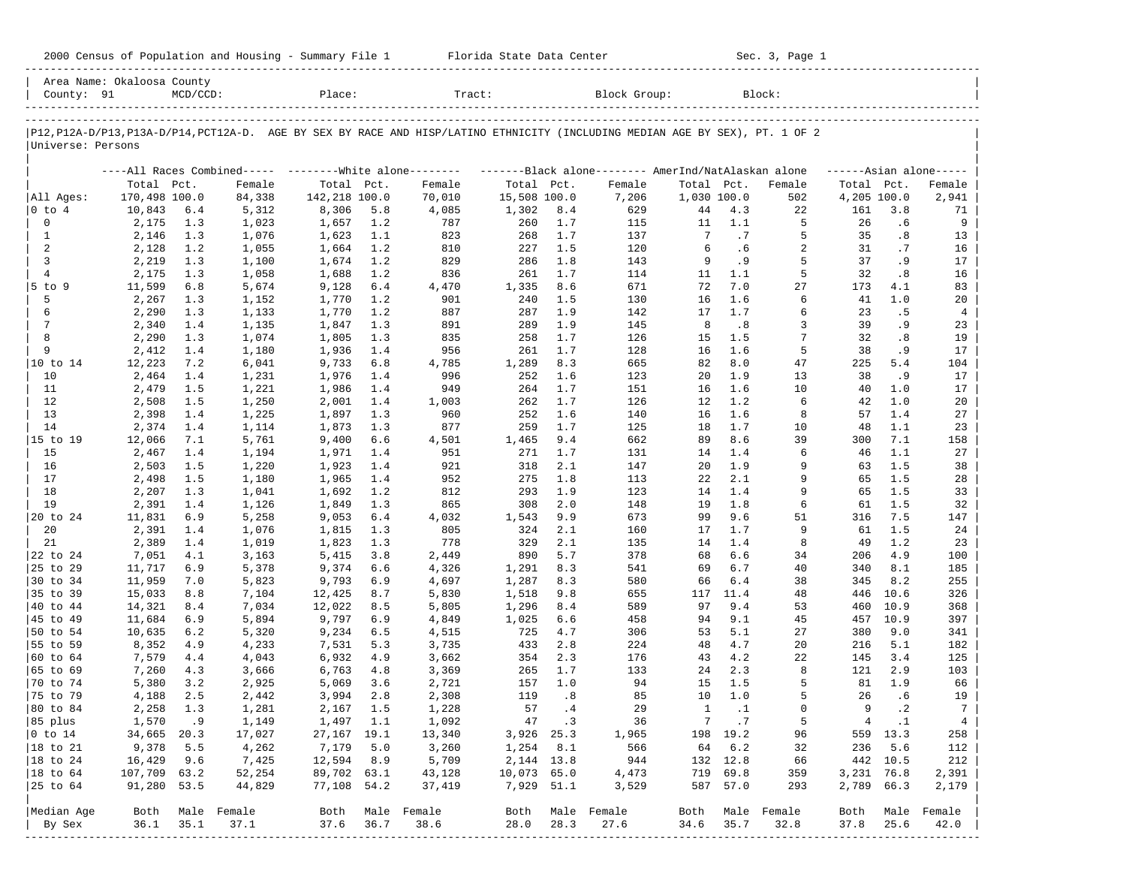| 2000 Census of Population and Housing - Summary File 1 |  | Florida State Data Center | Sec. 3, Page 1 |
|--------------------------------------------------------|--|---------------------------|----------------|
|--------------------------------------------------------|--|---------------------------|----------------|

| P12, P12A-D/P13, P13A-D/P14, PCT12A-D. AGE BY SEX BY RACE AND HISP/LATINO ETHNICITY (INCLUDING MEDIAN AGE BY SEX), PT. 1 OF 2<br>Universe: Persons<br>----All Races Combined----- --------White alone--------<br>-------Black alone------- AmerInd/NatAlaskan alone<br>$---Asian alone---$<br>Total Pct.<br>Total<br>Total Pct.<br>Total Pct.<br>Female<br>Pct.<br>Female<br>Total Pct.<br>Female<br>Female<br>170,498 100.0<br>84,338<br>142,218 100.0<br>15,508 100.0<br>1,030 100.0<br>4,205 100.0<br>All Ages:<br>70,010<br>7,206<br>502<br>8,306<br>4.3<br>161<br>0 to 4<br>10,843<br>6.4<br>5,312<br>5.8<br>4,085<br>1,302<br>8.4<br>629<br>44<br>22<br>3.8<br>0<br>5<br>2,175<br>1.3<br>1,023<br>1,657<br>1.2<br>787<br>260<br>1.7<br>115<br>11<br>1.1<br>26<br>.6<br>5<br>35<br>$\mathbf{1}$<br>2,146<br>1.3<br>1,076<br>1,623<br>1.1<br>823<br>268<br>1.7<br>137<br>7<br>.7<br>.8<br>2<br>6<br>2<br>31<br>2,128<br>1.2<br>1,055<br>1,664<br>1.2<br>810<br>227<br>1.5<br>120<br>.6<br>.7<br>3<br>829<br>1.8<br>9<br>.9<br>5<br>37<br>.9<br>2,219<br>1.3<br>1,100<br>1,674<br>1.2<br>286<br>143<br>$\overline{4}$<br>836<br>5<br>32<br>2,175<br>1.3<br>1,058<br>1,688<br>1.2<br>261<br>1.7<br>114<br>11<br>1.1<br>.8<br>7.0<br>27<br>$5$ to 9<br>11,599<br>6.8<br>5,674<br>9,128<br>6.4<br>4,470<br>1,335<br>8.6<br>671<br>72<br>173<br>4.1<br>5<br>1.6<br>2,267<br>1.3<br>1,152<br>1,770<br>1.2<br>901<br>240<br>1.5<br>130<br>16<br>6<br>41<br>1.0<br>6<br>1.9<br>6<br>2,290<br>1.3<br>1,133<br>1,770<br>1.2<br>887<br>287<br>142<br>17<br>1.7<br>23<br>.5<br>7<br>1.9<br>.8<br>3<br>39<br>.9<br>2,340<br>1.4<br>1,135<br>1,847<br>1.3<br>891<br>289<br>145<br>8<br>8<br>7<br>835<br>258<br>1.7<br>1.5<br>32<br>.8<br>2,290<br>1.3<br>1,074<br>1,805<br>1.3<br>126<br>15<br>9<br>956<br>1.7<br>1.6<br>5<br>2,412<br>1.4<br>1,180<br>1,936<br>1.4<br>261<br>128<br>16<br>38<br>.9<br>665<br>8.0<br>47<br>225<br>5.4<br>10 to 14<br>12,223<br>7.2<br>6,041<br>9,733<br>6.8<br>4,785<br>1,289<br>8.3<br>82<br>10<br>2,464<br>1.4<br>1,231<br>1,976<br>996<br>252<br>1.6<br>123<br>20<br>1.9<br>13<br>38<br>. 9<br>1.4<br>11<br>949<br>1.7<br>151<br>1.6<br>10<br>2,479<br>1.5<br>1,221<br>1,986<br>1.4<br>264<br>16<br>40<br>1.0<br>12<br>1.2<br>2,508<br>1.5<br>1,250<br>2,001<br>1.4<br>1,003<br>262<br>1.7<br>126<br>12<br>6<br>42<br>1.0<br>13<br>1.6<br>2,398<br>1.4<br>1,225<br>1,897<br>1.3<br>960<br>252<br>140<br>16<br>1.6<br>8<br>57<br>1.4<br>14<br>877<br>259<br>2,374<br>1.4<br>1,114<br>1,873<br>1.3<br>1.7<br>125<br>18<br>1.7<br>10<br>48<br>1.1<br>39<br>15 to 19<br>12,066<br>7.1<br>5,761<br>9,400<br>6.6<br>4,501<br>1,465<br>9.4<br>662<br>89<br>8.6<br>300<br>7.1<br>15<br>2,467<br>1.4<br>1,194<br>1,971<br>1.4<br>951<br>271<br>1.7<br>131<br>14<br>1.4<br>6<br>46<br>1.1<br>16<br>1.9<br>1.5<br>2,503<br>1.5<br>1,220<br>1,923<br>1.4<br>921<br>318<br>2.1<br>147<br>20<br>9<br>63<br>9<br>17<br>2,498<br>1.5<br>1,180<br>1,965<br>1.4<br>952<br>275<br>1.8<br>113<br>22<br>2.1<br>65<br>1.5<br>18<br>293<br>1.9<br>123<br>9<br>2,207<br>1.3<br>1,041<br>1,692<br>1.2<br>812<br>14<br>1.4<br>65<br>1.5<br>19<br>1.8<br>6<br>2,391<br>1.4<br>1,126<br>1,849<br>1.3<br>865<br>308<br>2.0<br>148<br>19<br>61<br>1.5<br>9.6<br>51<br>7.5<br>20 to 24<br>11,831<br>6.9<br>5,258<br>9,053<br>6.4<br>4,032<br>1,543<br>9.9<br>673<br>99<br>316<br>20<br>9<br>2,391<br>1.4<br>1,076<br>1,815<br>1.3<br>805<br>324<br>2.1<br>160<br>17<br>1.7<br>61<br>1.5<br>21<br>778<br>329<br>135<br>8<br>1.2<br>2,389<br>1.4<br>1,019<br>1,823<br>1.3<br>2.1<br>14<br>1.4<br>49<br>890<br>5.7<br>6.6<br>4.9<br>22 to 24<br>7,051<br>4.1<br>3,163<br>5,415<br>3.8<br>2,449<br>378<br>68<br>34<br>206<br>6.7<br>25 to 29<br>11,717<br>6.9<br>5,378<br>9,374<br>6.6<br>4,326<br>1,291<br>8.3<br>541<br>69<br>40<br>340<br>8.1<br>30 to 34<br>11,959<br>7.0<br>5,823<br>9,793<br>6.9<br>4,697<br>1,287<br>8.3<br>580<br>66<br>6.4<br>38<br>345<br>8.2<br>35 to 39<br>15,033<br>8.8<br>7,104<br>12,425<br>8.7<br>5,830<br>1,518<br>9.8<br>655<br>117<br>11.4<br>48<br>446<br>10.6<br>9.4<br>40 to 44<br>14,321<br>8.4<br>7,034<br>12,022<br>8.5<br>5,805<br>1,296<br>8.4<br>589<br>97<br>53<br>460<br>10.9<br>45 to 49<br>11,684<br>6.9<br>5,894<br>9,797<br>6.9<br>4,849<br>1,025<br>6.6<br>458<br>94<br>9.1<br>45<br>457<br>10.9<br>50 to 54<br>10,635<br>6.2<br>5,320<br>9,234<br>6.5<br>4,515<br>725<br>4.7<br>306<br>53<br>5.1<br>27<br>380<br>9.0<br>55 to 59<br>8,352<br>4.9<br>4,233<br>7,531<br>5.3<br>3,735<br>433<br>2.8<br>224<br>48<br>4.7<br>20<br>216<br>5.1<br>60 to 64<br>7,579<br>4.4<br>4,043<br>6,932<br>4.9<br>3,662<br>354<br>2.3<br>176<br>43<br>4.2<br>22<br>145<br>3.4<br>65 to 69<br>7,260<br>4.3<br>6,763<br>3,369<br>265<br>1.7<br>133<br>2.3<br>8<br>121<br>2.9<br>3,666<br>4.8<br>24<br>1.0<br>5<br>70 to 74<br>5,380<br>3.2<br>2,925<br>5,069<br>3.6<br>2,721<br>157<br>94<br>15<br>1.5<br>81<br>1.9<br>2.5<br>119<br>.8<br>85<br>10<br>1.0<br>5<br>26<br>.6<br>75 to 79<br>4,188<br>3,994<br>2.8<br>2,308<br>2,442<br>57<br>9<br>80 to 84<br>2,258<br>1.3<br>1,281<br>2,167<br>1.5<br>1,228<br>.4<br>29<br>0<br>$\cdot$ 2<br>1<br>. 1<br>47 .3<br>7.7<br>5<br>$4 \quad .1$<br>85 plus<br>1,570<br>.9<br>1,149<br>1,497 1.1<br>1,092<br>36<br>$ 0 \t\t \text{to} 14$<br>34,665 20.3<br>198 19.2<br>17,027<br>27,167 19.1<br>13,340<br>3,926 25.3<br>1,965<br>96<br>559 13.3<br>18 to 21<br>9,378<br>7,179<br>3,260<br>566<br>64<br>6.2<br>236<br>5.6<br>5.5<br>4,262<br>5.0<br>$1,254$ 8.1<br>32<br>16,429<br>7,425<br>12,594<br>2, 144 13.8<br>944<br>132 12.8<br>442 10.5<br>18 to 24<br>9.6<br>8.9<br>5,709<br>66<br>89,702 63.1<br>719 69.8<br>18 to 64<br>107,709 63.2<br>52,254<br>43,128<br>10,073 65.0<br>4,473<br>359<br>3,231 76.8 | County: 91 | Area Name: Okaloosa County | $MCD/CCD$ : |        | Place: | Tract: |  | Block Group: |  | Block: |  |            |
|------------------------------------------------------------------------------------------------------------------------------------------------------------------------------------------------------------------------------------------------------------------------------------------------------------------------------------------------------------------------------------------------------------------------------------------------------------------------------------------------------------------------------------------------------------------------------------------------------------------------------------------------------------------------------------------------------------------------------------------------------------------------------------------------------------------------------------------------------------------------------------------------------------------------------------------------------------------------------------------------------------------------------------------------------------------------------------------------------------------------------------------------------------------------------------------------------------------------------------------------------------------------------------------------------------------------------------------------------------------------------------------------------------------------------------------------------------------------------------------------------------------------------------------------------------------------------------------------------------------------------------------------------------------------------------------------------------------------------------------------------------------------------------------------------------------------------------------------------------------------------------------------------------------------------------------------------------------------------------------------------------------------------------------------------------------------------------------------------------------------------------------------------------------------------------------------------------------------------------------------------------------------------------------------------------------------------------------------------------------------------------------------------------------------------------------------------------------------------------------------------------------------------------------------------------------------------------------------------------------------------------------------------------------------------------------------------------------------------------------------------------------------------------------------------------------------------------------------------------------------------------------------------------------------------------------------------------------------------------------------------------------------------------------------------------------------------------------------------------------------------------------------------------------------------------------------------------------------------------------------------------------------------------------------------------------------------------------------------------------------------------------------------------------------------------------------------------------------------------------------------------------------------------------------------------------------------------------------------------------------------------------------------------------------------------------------------------------------------------------------------------------------------------------------------------------------------------------------------------------------------------------------------------------------------------------------------------------------------------------------------------------------------------------------------------------------------------------------------------------------------------------------------------------------------------------------------------------------------------------------------------------------------------------------------------------------------------------------------------------------------------------------------------------------------------------------------------------------------------------------------------------------------------------------------------------------------------------------------------------------------------------------------------------------------------------------------------------------------------------------------------------------------------------------------------------------------------------------------------------------------------------------------------------------------------------------------------------------------------------------------------------------------------------------------------------------------------------------------------------------------------------------------------------------------------------------------------------------------------------------------------------------------------------------------------------------------------------------------------------------------------------------------------------------------------------------------------------------------------------------------------------------------------------------------------------------------------------------------------------------------------------------------------------------------------------------------------------------------------------------------------------------------------|------------|----------------------------|-------------|--------|--------|--------|--|--------------|--|--------|--|------------|
|                                                                                                                                                                                                                                                                                                                                                                                                                                                                                                                                                                                                                                                                                                                                                                                                                                                                                                                                                                                                                                                                                                                                                                                                                                                                                                                                                                                                                                                                                                                                                                                                                                                                                                                                                                                                                                                                                                                                                                                                                                                                                                                                                                                                                                                                                                                                                                                                                                                                                                                                                                                                                                                                                                                                                                                                                                                                                                                                                                                                                                                                                                                                                                                                                                                                                                                                                                                                                                                                                                                                                                                                                                                                                                                                                                                                                                                                                                                                                                                                                                                                                                                                                                                                                                                                                                                                                                                                                                                                                                                                                                                                                                                                                                                                                                                                                                                                                                                                                                                                                                                                                                                                                                                                                                                                                                                                                                                                                                                                                                                                                                                                                                                                                                                                                                                    |            |                            |             |        |        |        |  |              |  |        |  |            |
|                                                                                                                                                                                                                                                                                                                                                                                                                                                                                                                                                                                                                                                                                                                                                                                                                                                                                                                                                                                                                                                                                                                                                                                                                                                                                                                                                                                                                                                                                                                                                                                                                                                                                                                                                                                                                                                                                                                                                                                                                                                                                                                                                                                                                                                                                                                                                                                                                                                                                                                                                                                                                                                                                                                                                                                                                                                                                                                                                                                                                                                                                                                                                                                                                                                                                                                                                                                                                                                                                                                                                                                                                                                                                                                                                                                                                                                                                                                                                                                                                                                                                                                                                                                                                                                                                                                                                                                                                                                                                                                                                                                                                                                                                                                                                                                                                                                                                                                                                                                                                                                                                                                                                                                                                                                                                                                                                                                                                                                                                                                                                                                                                                                                                                                                                                                    |            |                            |             |        |        |        |  |              |  |        |  |            |
|                                                                                                                                                                                                                                                                                                                                                                                                                                                                                                                                                                                                                                                                                                                                                                                                                                                                                                                                                                                                                                                                                                                                                                                                                                                                                                                                                                                                                                                                                                                                                                                                                                                                                                                                                                                                                                                                                                                                                                                                                                                                                                                                                                                                                                                                                                                                                                                                                                                                                                                                                                                                                                                                                                                                                                                                                                                                                                                                                                                                                                                                                                                                                                                                                                                                                                                                                                                                                                                                                                                                                                                                                                                                                                                                                                                                                                                                                                                                                                                                                                                                                                                                                                                                                                                                                                                                                                                                                                                                                                                                                                                                                                                                                                                                                                                                                                                                                                                                                                                                                                                                                                                                                                                                                                                                                                                                                                                                                                                                                                                                                                                                                                                                                                                                                                                    |            |                            |             |        |        |        |  |              |  |        |  | Female     |
|                                                                                                                                                                                                                                                                                                                                                                                                                                                                                                                                                                                                                                                                                                                                                                                                                                                                                                                                                                                                                                                                                                                                                                                                                                                                                                                                                                                                                                                                                                                                                                                                                                                                                                                                                                                                                                                                                                                                                                                                                                                                                                                                                                                                                                                                                                                                                                                                                                                                                                                                                                                                                                                                                                                                                                                                                                                                                                                                                                                                                                                                                                                                                                                                                                                                                                                                                                                                                                                                                                                                                                                                                                                                                                                                                                                                                                                                                                                                                                                                                                                                                                                                                                                                                                                                                                                                                                                                                                                                                                                                                                                                                                                                                                                                                                                                                                                                                                                                                                                                                                                                                                                                                                                                                                                                                                                                                                                                                                                                                                                                                                                                                                                                                                                                                                                    |            |                            |             |        |        |        |  |              |  |        |  | 2,941      |
|                                                                                                                                                                                                                                                                                                                                                                                                                                                                                                                                                                                                                                                                                                                                                                                                                                                                                                                                                                                                                                                                                                                                                                                                                                                                                                                                                                                                                                                                                                                                                                                                                                                                                                                                                                                                                                                                                                                                                                                                                                                                                                                                                                                                                                                                                                                                                                                                                                                                                                                                                                                                                                                                                                                                                                                                                                                                                                                                                                                                                                                                                                                                                                                                                                                                                                                                                                                                                                                                                                                                                                                                                                                                                                                                                                                                                                                                                                                                                                                                                                                                                                                                                                                                                                                                                                                                                                                                                                                                                                                                                                                                                                                                                                                                                                                                                                                                                                                                                                                                                                                                                                                                                                                                                                                                                                                                                                                                                                                                                                                                                                                                                                                                                                                                                                                    |            |                            |             |        |        |        |  |              |  |        |  | 71         |
|                                                                                                                                                                                                                                                                                                                                                                                                                                                                                                                                                                                                                                                                                                                                                                                                                                                                                                                                                                                                                                                                                                                                                                                                                                                                                                                                                                                                                                                                                                                                                                                                                                                                                                                                                                                                                                                                                                                                                                                                                                                                                                                                                                                                                                                                                                                                                                                                                                                                                                                                                                                                                                                                                                                                                                                                                                                                                                                                                                                                                                                                                                                                                                                                                                                                                                                                                                                                                                                                                                                                                                                                                                                                                                                                                                                                                                                                                                                                                                                                                                                                                                                                                                                                                                                                                                                                                                                                                                                                                                                                                                                                                                                                                                                                                                                                                                                                                                                                                                                                                                                                                                                                                                                                                                                                                                                                                                                                                                                                                                                                                                                                                                                                                                                                                                                    |            |                            |             |        |        |        |  |              |  |        |  | 9          |
|                                                                                                                                                                                                                                                                                                                                                                                                                                                                                                                                                                                                                                                                                                                                                                                                                                                                                                                                                                                                                                                                                                                                                                                                                                                                                                                                                                                                                                                                                                                                                                                                                                                                                                                                                                                                                                                                                                                                                                                                                                                                                                                                                                                                                                                                                                                                                                                                                                                                                                                                                                                                                                                                                                                                                                                                                                                                                                                                                                                                                                                                                                                                                                                                                                                                                                                                                                                                                                                                                                                                                                                                                                                                                                                                                                                                                                                                                                                                                                                                                                                                                                                                                                                                                                                                                                                                                                                                                                                                                                                                                                                                                                                                                                                                                                                                                                                                                                                                                                                                                                                                                                                                                                                                                                                                                                                                                                                                                                                                                                                                                                                                                                                                                                                                                                                    |            |                            |             |        |        |        |  |              |  |        |  | 13<br>16   |
|                                                                                                                                                                                                                                                                                                                                                                                                                                                                                                                                                                                                                                                                                                                                                                                                                                                                                                                                                                                                                                                                                                                                                                                                                                                                                                                                                                                                                                                                                                                                                                                                                                                                                                                                                                                                                                                                                                                                                                                                                                                                                                                                                                                                                                                                                                                                                                                                                                                                                                                                                                                                                                                                                                                                                                                                                                                                                                                                                                                                                                                                                                                                                                                                                                                                                                                                                                                                                                                                                                                                                                                                                                                                                                                                                                                                                                                                                                                                                                                                                                                                                                                                                                                                                                                                                                                                                                                                                                                                                                                                                                                                                                                                                                                                                                                                                                                                                                                                                                                                                                                                                                                                                                                                                                                                                                                                                                                                                                                                                                                                                                                                                                                                                                                                                                                    |            |                            |             |        |        |        |  |              |  |        |  | 17         |
|                                                                                                                                                                                                                                                                                                                                                                                                                                                                                                                                                                                                                                                                                                                                                                                                                                                                                                                                                                                                                                                                                                                                                                                                                                                                                                                                                                                                                                                                                                                                                                                                                                                                                                                                                                                                                                                                                                                                                                                                                                                                                                                                                                                                                                                                                                                                                                                                                                                                                                                                                                                                                                                                                                                                                                                                                                                                                                                                                                                                                                                                                                                                                                                                                                                                                                                                                                                                                                                                                                                                                                                                                                                                                                                                                                                                                                                                                                                                                                                                                                                                                                                                                                                                                                                                                                                                                                                                                                                                                                                                                                                                                                                                                                                                                                                                                                                                                                                                                                                                                                                                                                                                                                                                                                                                                                                                                                                                                                                                                                                                                                                                                                                                                                                                                                                    |            |                            |             |        |        |        |  |              |  |        |  | 16         |
|                                                                                                                                                                                                                                                                                                                                                                                                                                                                                                                                                                                                                                                                                                                                                                                                                                                                                                                                                                                                                                                                                                                                                                                                                                                                                                                                                                                                                                                                                                                                                                                                                                                                                                                                                                                                                                                                                                                                                                                                                                                                                                                                                                                                                                                                                                                                                                                                                                                                                                                                                                                                                                                                                                                                                                                                                                                                                                                                                                                                                                                                                                                                                                                                                                                                                                                                                                                                                                                                                                                                                                                                                                                                                                                                                                                                                                                                                                                                                                                                                                                                                                                                                                                                                                                                                                                                                                                                                                                                                                                                                                                                                                                                                                                                                                                                                                                                                                                                                                                                                                                                                                                                                                                                                                                                                                                                                                                                                                                                                                                                                                                                                                                                                                                                                                                    |            |                            |             |        |        |        |  |              |  |        |  | 83         |
|                                                                                                                                                                                                                                                                                                                                                                                                                                                                                                                                                                                                                                                                                                                                                                                                                                                                                                                                                                                                                                                                                                                                                                                                                                                                                                                                                                                                                                                                                                                                                                                                                                                                                                                                                                                                                                                                                                                                                                                                                                                                                                                                                                                                                                                                                                                                                                                                                                                                                                                                                                                                                                                                                                                                                                                                                                                                                                                                                                                                                                                                                                                                                                                                                                                                                                                                                                                                                                                                                                                                                                                                                                                                                                                                                                                                                                                                                                                                                                                                                                                                                                                                                                                                                                                                                                                                                                                                                                                                                                                                                                                                                                                                                                                                                                                                                                                                                                                                                                                                                                                                                                                                                                                                                                                                                                                                                                                                                                                                                                                                                                                                                                                                                                                                                                                    |            |                            |             |        |        |        |  |              |  |        |  | 20         |
|                                                                                                                                                                                                                                                                                                                                                                                                                                                                                                                                                                                                                                                                                                                                                                                                                                                                                                                                                                                                                                                                                                                                                                                                                                                                                                                                                                                                                                                                                                                                                                                                                                                                                                                                                                                                                                                                                                                                                                                                                                                                                                                                                                                                                                                                                                                                                                                                                                                                                                                                                                                                                                                                                                                                                                                                                                                                                                                                                                                                                                                                                                                                                                                                                                                                                                                                                                                                                                                                                                                                                                                                                                                                                                                                                                                                                                                                                                                                                                                                                                                                                                                                                                                                                                                                                                                                                                                                                                                                                                                                                                                                                                                                                                                                                                                                                                                                                                                                                                                                                                                                                                                                                                                                                                                                                                                                                                                                                                                                                                                                                                                                                                                                                                                                                                                    |            |                            |             |        |        |        |  |              |  |        |  | 4          |
|                                                                                                                                                                                                                                                                                                                                                                                                                                                                                                                                                                                                                                                                                                                                                                                                                                                                                                                                                                                                                                                                                                                                                                                                                                                                                                                                                                                                                                                                                                                                                                                                                                                                                                                                                                                                                                                                                                                                                                                                                                                                                                                                                                                                                                                                                                                                                                                                                                                                                                                                                                                                                                                                                                                                                                                                                                                                                                                                                                                                                                                                                                                                                                                                                                                                                                                                                                                                                                                                                                                                                                                                                                                                                                                                                                                                                                                                                                                                                                                                                                                                                                                                                                                                                                                                                                                                                                                                                                                                                                                                                                                                                                                                                                                                                                                                                                                                                                                                                                                                                                                                                                                                                                                                                                                                                                                                                                                                                                                                                                                                                                                                                                                                                                                                                                                    |            |                            |             |        |        |        |  |              |  |        |  | 23         |
|                                                                                                                                                                                                                                                                                                                                                                                                                                                                                                                                                                                                                                                                                                                                                                                                                                                                                                                                                                                                                                                                                                                                                                                                                                                                                                                                                                                                                                                                                                                                                                                                                                                                                                                                                                                                                                                                                                                                                                                                                                                                                                                                                                                                                                                                                                                                                                                                                                                                                                                                                                                                                                                                                                                                                                                                                                                                                                                                                                                                                                                                                                                                                                                                                                                                                                                                                                                                                                                                                                                                                                                                                                                                                                                                                                                                                                                                                                                                                                                                                                                                                                                                                                                                                                                                                                                                                                                                                                                                                                                                                                                                                                                                                                                                                                                                                                                                                                                                                                                                                                                                                                                                                                                                                                                                                                                                                                                                                                                                                                                                                                                                                                                                                                                                                                                    |            |                            |             |        |        |        |  |              |  |        |  | 19         |
|                                                                                                                                                                                                                                                                                                                                                                                                                                                                                                                                                                                                                                                                                                                                                                                                                                                                                                                                                                                                                                                                                                                                                                                                                                                                                                                                                                                                                                                                                                                                                                                                                                                                                                                                                                                                                                                                                                                                                                                                                                                                                                                                                                                                                                                                                                                                                                                                                                                                                                                                                                                                                                                                                                                                                                                                                                                                                                                                                                                                                                                                                                                                                                                                                                                                                                                                                                                                                                                                                                                                                                                                                                                                                                                                                                                                                                                                                                                                                                                                                                                                                                                                                                                                                                                                                                                                                                                                                                                                                                                                                                                                                                                                                                                                                                                                                                                                                                                                                                                                                                                                                                                                                                                                                                                                                                                                                                                                                                                                                                                                                                                                                                                                                                                                                                                    |            |                            |             |        |        |        |  |              |  |        |  | 17<br>104  |
|                                                                                                                                                                                                                                                                                                                                                                                                                                                                                                                                                                                                                                                                                                                                                                                                                                                                                                                                                                                                                                                                                                                                                                                                                                                                                                                                                                                                                                                                                                                                                                                                                                                                                                                                                                                                                                                                                                                                                                                                                                                                                                                                                                                                                                                                                                                                                                                                                                                                                                                                                                                                                                                                                                                                                                                                                                                                                                                                                                                                                                                                                                                                                                                                                                                                                                                                                                                                                                                                                                                                                                                                                                                                                                                                                                                                                                                                                                                                                                                                                                                                                                                                                                                                                                                                                                                                                                                                                                                                                                                                                                                                                                                                                                                                                                                                                                                                                                                                                                                                                                                                                                                                                                                                                                                                                                                                                                                                                                                                                                                                                                                                                                                                                                                                                                                    |            |                            |             |        |        |        |  |              |  |        |  | 17         |
|                                                                                                                                                                                                                                                                                                                                                                                                                                                                                                                                                                                                                                                                                                                                                                                                                                                                                                                                                                                                                                                                                                                                                                                                                                                                                                                                                                                                                                                                                                                                                                                                                                                                                                                                                                                                                                                                                                                                                                                                                                                                                                                                                                                                                                                                                                                                                                                                                                                                                                                                                                                                                                                                                                                                                                                                                                                                                                                                                                                                                                                                                                                                                                                                                                                                                                                                                                                                                                                                                                                                                                                                                                                                                                                                                                                                                                                                                                                                                                                                                                                                                                                                                                                                                                                                                                                                                                                                                                                                                                                                                                                                                                                                                                                                                                                                                                                                                                                                                                                                                                                                                                                                                                                                                                                                                                                                                                                                                                                                                                                                                                                                                                                                                                                                                                                    |            |                            |             |        |        |        |  |              |  |        |  | 17         |
|                                                                                                                                                                                                                                                                                                                                                                                                                                                                                                                                                                                                                                                                                                                                                                                                                                                                                                                                                                                                                                                                                                                                                                                                                                                                                                                                                                                                                                                                                                                                                                                                                                                                                                                                                                                                                                                                                                                                                                                                                                                                                                                                                                                                                                                                                                                                                                                                                                                                                                                                                                                                                                                                                                                                                                                                                                                                                                                                                                                                                                                                                                                                                                                                                                                                                                                                                                                                                                                                                                                                                                                                                                                                                                                                                                                                                                                                                                                                                                                                                                                                                                                                                                                                                                                                                                                                                                                                                                                                                                                                                                                                                                                                                                                                                                                                                                                                                                                                                                                                                                                                                                                                                                                                                                                                                                                                                                                                                                                                                                                                                                                                                                                                                                                                                                                    |            |                            |             |        |        |        |  |              |  |        |  | 20         |
|                                                                                                                                                                                                                                                                                                                                                                                                                                                                                                                                                                                                                                                                                                                                                                                                                                                                                                                                                                                                                                                                                                                                                                                                                                                                                                                                                                                                                                                                                                                                                                                                                                                                                                                                                                                                                                                                                                                                                                                                                                                                                                                                                                                                                                                                                                                                                                                                                                                                                                                                                                                                                                                                                                                                                                                                                                                                                                                                                                                                                                                                                                                                                                                                                                                                                                                                                                                                                                                                                                                                                                                                                                                                                                                                                                                                                                                                                                                                                                                                                                                                                                                                                                                                                                                                                                                                                                                                                                                                                                                                                                                                                                                                                                                                                                                                                                                                                                                                                                                                                                                                                                                                                                                                                                                                                                                                                                                                                                                                                                                                                                                                                                                                                                                                                                                    |            |                            |             |        |        |        |  |              |  |        |  | 27         |
|                                                                                                                                                                                                                                                                                                                                                                                                                                                                                                                                                                                                                                                                                                                                                                                                                                                                                                                                                                                                                                                                                                                                                                                                                                                                                                                                                                                                                                                                                                                                                                                                                                                                                                                                                                                                                                                                                                                                                                                                                                                                                                                                                                                                                                                                                                                                                                                                                                                                                                                                                                                                                                                                                                                                                                                                                                                                                                                                                                                                                                                                                                                                                                                                                                                                                                                                                                                                                                                                                                                                                                                                                                                                                                                                                                                                                                                                                                                                                                                                                                                                                                                                                                                                                                                                                                                                                                                                                                                                                                                                                                                                                                                                                                                                                                                                                                                                                                                                                                                                                                                                                                                                                                                                                                                                                                                                                                                                                                                                                                                                                                                                                                                                                                                                                                                    |            |                            |             |        |        |        |  |              |  |        |  | 23         |
|                                                                                                                                                                                                                                                                                                                                                                                                                                                                                                                                                                                                                                                                                                                                                                                                                                                                                                                                                                                                                                                                                                                                                                                                                                                                                                                                                                                                                                                                                                                                                                                                                                                                                                                                                                                                                                                                                                                                                                                                                                                                                                                                                                                                                                                                                                                                                                                                                                                                                                                                                                                                                                                                                                                                                                                                                                                                                                                                                                                                                                                                                                                                                                                                                                                                                                                                                                                                                                                                                                                                                                                                                                                                                                                                                                                                                                                                                                                                                                                                                                                                                                                                                                                                                                                                                                                                                                                                                                                                                                                                                                                                                                                                                                                                                                                                                                                                                                                                                                                                                                                                                                                                                                                                                                                                                                                                                                                                                                                                                                                                                                                                                                                                                                                                                                                    |            |                            |             |        |        |        |  |              |  |        |  | 158        |
|                                                                                                                                                                                                                                                                                                                                                                                                                                                                                                                                                                                                                                                                                                                                                                                                                                                                                                                                                                                                                                                                                                                                                                                                                                                                                                                                                                                                                                                                                                                                                                                                                                                                                                                                                                                                                                                                                                                                                                                                                                                                                                                                                                                                                                                                                                                                                                                                                                                                                                                                                                                                                                                                                                                                                                                                                                                                                                                                                                                                                                                                                                                                                                                                                                                                                                                                                                                                                                                                                                                                                                                                                                                                                                                                                                                                                                                                                                                                                                                                                                                                                                                                                                                                                                                                                                                                                                                                                                                                                                                                                                                                                                                                                                                                                                                                                                                                                                                                                                                                                                                                                                                                                                                                                                                                                                                                                                                                                                                                                                                                                                                                                                                                                                                                                                                    |            |                            |             |        |        |        |  |              |  |        |  | 27         |
|                                                                                                                                                                                                                                                                                                                                                                                                                                                                                                                                                                                                                                                                                                                                                                                                                                                                                                                                                                                                                                                                                                                                                                                                                                                                                                                                                                                                                                                                                                                                                                                                                                                                                                                                                                                                                                                                                                                                                                                                                                                                                                                                                                                                                                                                                                                                                                                                                                                                                                                                                                                                                                                                                                                                                                                                                                                                                                                                                                                                                                                                                                                                                                                                                                                                                                                                                                                                                                                                                                                                                                                                                                                                                                                                                                                                                                                                                                                                                                                                                                                                                                                                                                                                                                                                                                                                                                                                                                                                                                                                                                                                                                                                                                                                                                                                                                                                                                                                                                                                                                                                                                                                                                                                                                                                                                                                                                                                                                                                                                                                                                                                                                                                                                                                                                                    |            |                            |             |        |        |        |  |              |  |        |  | 38         |
|                                                                                                                                                                                                                                                                                                                                                                                                                                                                                                                                                                                                                                                                                                                                                                                                                                                                                                                                                                                                                                                                                                                                                                                                                                                                                                                                                                                                                                                                                                                                                                                                                                                                                                                                                                                                                                                                                                                                                                                                                                                                                                                                                                                                                                                                                                                                                                                                                                                                                                                                                                                                                                                                                                                                                                                                                                                                                                                                                                                                                                                                                                                                                                                                                                                                                                                                                                                                                                                                                                                                                                                                                                                                                                                                                                                                                                                                                                                                                                                                                                                                                                                                                                                                                                                                                                                                                                                                                                                                                                                                                                                                                                                                                                                                                                                                                                                                                                                                                                                                                                                                                                                                                                                                                                                                                                                                                                                                                                                                                                                                                                                                                                                                                                                                                                                    |            |                            |             |        |        |        |  |              |  |        |  | 28<br>33   |
|                                                                                                                                                                                                                                                                                                                                                                                                                                                                                                                                                                                                                                                                                                                                                                                                                                                                                                                                                                                                                                                                                                                                                                                                                                                                                                                                                                                                                                                                                                                                                                                                                                                                                                                                                                                                                                                                                                                                                                                                                                                                                                                                                                                                                                                                                                                                                                                                                                                                                                                                                                                                                                                                                                                                                                                                                                                                                                                                                                                                                                                                                                                                                                                                                                                                                                                                                                                                                                                                                                                                                                                                                                                                                                                                                                                                                                                                                                                                                                                                                                                                                                                                                                                                                                                                                                                                                                                                                                                                                                                                                                                                                                                                                                                                                                                                                                                                                                                                                                                                                                                                                                                                                                                                                                                                                                                                                                                                                                                                                                                                                                                                                                                                                                                                                                                    |            |                            |             |        |        |        |  |              |  |        |  | 32         |
|                                                                                                                                                                                                                                                                                                                                                                                                                                                                                                                                                                                                                                                                                                                                                                                                                                                                                                                                                                                                                                                                                                                                                                                                                                                                                                                                                                                                                                                                                                                                                                                                                                                                                                                                                                                                                                                                                                                                                                                                                                                                                                                                                                                                                                                                                                                                                                                                                                                                                                                                                                                                                                                                                                                                                                                                                                                                                                                                                                                                                                                                                                                                                                                                                                                                                                                                                                                                                                                                                                                                                                                                                                                                                                                                                                                                                                                                                                                                                                                                                                                                                                                                                                                                                                                                                                                                                                                                                                                                                                                                                                                                                                                                                                                                                                                                                                                                                                                                                                                                                                                                                                                                                                                                                                                                                                                                                                                                                                                                                                                                                                                                                                                                                                                                                                                    |            |                            |             |        |        |        |  |              |  |        |  | 147        |
|                                                                                                                                                                                                                                                                                                                                                                                                                                                                                                                                                                                                                                                                                                                                                                                                                                                                                                                                                                                                                                                                                                                                                                                                                                                                                                                                                                                                                                                                                                                                                                                                                                                                                                                                                                                                                                                                                                                                                                                                                                                                                                                                                                                                                                                                                                                                                                                                                                                                                                                                                                                                                                                                                                                                                                                                                                                                                                                                                                                                                                                                                                                                                                                                                                                                                                                                                                                                                                                                                                                                                                                                                                                                                                                                                                                                                                                                                                                                                                                                                                                                                                                                                                                                                                                                                                                                                                                                                                                                                                                                                                                                                                                                                                                                                                                                                                                                                                                                                                                                                                                                                                                                                                                                                                                                                                                                                                                                                                                                                                                                                                                                                                                                                                                                                                                    |            |                            |             |        |        |        |  |              |  |        |  | 24         |
|                                                                                                                                                                                                                                                                                                                                                                                                                                                                                                                                                                                                                                                                                                                                                                                                                                                                                                                                                                                                                                                                                                                                                                                                                                                                                                                                                                                                                                                                                                                                                                                                                                                                                                                                                                                                                                                                                                                                                                                                                                                                                                                                                                                                                                                                                                                                                                                                                                                                                                                                                                                                                                                                                                                                                                                                                                                                                                                                                                                                                                                                                                                                                                                                                                                                                                                                                                                                                                                                                                                                                                                                                                                                                                                                                                                                                                                                                                                                                                                                                                                                                                                                                                                                                                                                                                                                                                                                                                                                                                                                                                                                                                                                                                                                                                                                                                                                                                                                                                                                                                                                                                                                                                                                                                                                                                                                                                                                                                                                                                                                                                                                                                                                                                                                                                                    |            |                            |             |        |        |        |  |              |  |        |  | 23         |
|                                                                                                                                                                                                                                                                                                                                                                                                                                                                                                                                                                                                                                                                                                                                                                                                                                                                                                                                                                                                                                                                                                                                                                                                                                                                                                                                                                                                                                                                                                                                                                                                                                                                                                                                                                                                                                                                                                                                                                                                                                                                                                                                                                                                                                                                                                                                                                                                                                                                                                                                                                                                                                                                                                                                                                                                                                                                                                                                                                                                                                                                                                                                                                                                                                                                                                                                                                                                                                                                                                                                                                                                                                                                                                                                                                                                                                                                                                                                                                                                                                                                                                                                                                                                                                                                                                                                                                                                                                                                                                                                                                                                                                                                                                                                                                                                                                                                                                                                                                                                                                                                                                                                                                                                                                                                                                                                                                                                                                                                                                                                                                                                                                                                                                                                                                                    |            |                            |             |        |        |        |  |              |  |        |  | 100        |
|                                                                                                                                                                                                                                                                                                                                                                                                                                                                                                                                                                                                                                                                                                                                                                                                                                                                                                                                                                                                                                                                                                                                                                                                                                                                                                                                                                                                                                                                                                                                                                                                                                                                                                                                                                                                                                                                                                                                                                                                                                                                                                                                                                                                                                                                                                                                                                                                                                                                                                                                                                                                                                                                                                                                                                                                                                                                                                                                                                                                                                                                                                                                                                                                                                                                                                                                                                                                                                                                                                                                                                                                                                                                                                                                                                                                                                                                                                                                                                                                                                                                                                                                                                                                                                                                                                                                                                                                                                                                                                                                                                                                                                                                                                                                                                                                                                                                                                                                                                                                                                                                                                                                                                                                                                                                                                                                                                                                                                                                                                                                                                                                                                                                                                                                                                                    |            |                            |             |        |        |        |  |              |  |        |  | 185        |
|                                                                                                                                                                                                                                                                                                                                                                                                                                                                                                                                                                                                                                                                                                                                                                                                                                                                                                                                                                                                                                                                                                                                                                                                                                                                                                                                                                                                                                                                                                                                                                                                                                                                                                                                                                                                                                                                                                                                                                                                                                                                                                                                                                                                                                                                                                                                                                                                                                                                                                                                                                                                                                                                                                                                                                                                                                                                                                                                                                                                                                                                                                                                                                                                                                                                                                                                                                                                                                                                                                                                                                                                                                                                                                                                                                                                                                                                                                                                                                                                                                                                                                                                                                                                                                                                                                                                                                                                                                                                                                                                                                                                                                                                                                                                                                                                                                                                                                                                                                                                                                                                                                                                                                                                                                                                                                                                                                                                                                                                                                                                                                                                                                                                                                                                                                                    |            |                            |             |        |        |        |  |              |  |        |  | 255        |
|                                                                                                                                                                                                                                                                                                                                                                                                                                                                                                                                                                                                                                                                                                                                                                                                                                                                                                                                                                                                                                                                                                                                                                                                                                                                                                                                                                                                                                                                                                                                                                                                                                                                                                                                                                                                                                                                                                                                                                                                                                                                                                                                                                                                                                                                                                                                                                                                                                                                                                                                                                                                                                                                                                                                                                                                                                                                                                                                                                                                                                                                                                                                                                                                                                                                                                                                                                                                                                                                                                                                                                                                                                                                                                                                                                                                                                                                                                                                                                                                                                                                                                                                                                                                                                                                                                                                                                                                                                                                                                                                                                                                                                                                                                                                                                                                                                                                                                                                                                                                                                                                                                                                                                                                                                                                                                                                                                                                                                                                                                                                                                                                                                                                                                                                                                                    |            |                            |             |        |        |        |  |              |  |        |  | 326        |
|                                                                                                                                                                                                                                                                                                                                                                                                                                                                                                                                                                                                                                                                                                                                                                                                                                                                                                                                                                                                                                                                                                                                                                                                                                                                                                                                                                                                                                                                                                                                                                                                                                                                                                                                                                                                                                                                                                                                                                                                                                                                                                                                                                                                                                                                                                                                                                                                                                                                                                                                                                                                                                                                                                                                                                                                                                                                                                                                                                                                                                                                                                                                                                                                                                                                                                                                                                                                                                                                                                                                                                                                                                                                                                                                                                                                                                                                                                                                                                                                                                                                                                                                                                                                                                                                                                                                                                                                                                                                                                                                                                                                                                                                                                                                                                                                                                                                                                                                                                                                                                                                                                                                                                                                                                                                                                                                                                                                                                                                                                                                                                                                                                                                                                                                                                                    |            |                            |             |        |        |        |  |              |  |        |  | 368<br>397 |
|                                                                                                                                                                                                                                                                                                                                                                                                                                                                                                                                                                                                                                                                                                                                                                                                                                                                                                                                                                                                                                                                                                                                                                                                                                                                                                                                                                                                                                                                                                                                                                                                                                                                                                                                                                                                                                                                                                                                                                                                                                                                                                                                                                                                                                                                                                                                                                                                                                                                                                                                                                                                                                                                                                                                                                                                                                                                                                                                                                                                                                                                                                                                                                                                                                                                                                                                                                                                                                                                                                                                                                                                                                                                                                                                                                                                                                                                                                                                                                                                                                                                                                                                                                                                                                                                                                                                                                                                                                                                                                                                                                                                                                                                                                                                                                                                                                                                                                                                                                                                                                                                                                                                                                                                                                                                                                                                                                                                                                                                                                                                                                                                                                                                                                                                                                                    |            |                            |             |        |        |        |  |              |  |        |  | 341        |
|                                                                                                                                                                                                                                                                                                                                                                                                                                                                                                                                                                                                                                                                                                                                                                                                                                                                                                                                                                                                                                                                                                                                                                                                                                                                                                                                                                                                                                                                                                                                                                                                                                                                                                                                                                                                                                                                                                                                                                                                                                                                                                                                                                                                                                                                                                                                                                                                                                                                                                                                                                                                                                                                                                                                                                                                                                                                                                                                                                                                                                                                                                                                                                                                                                                                                                                                                                                                                                                                                                                                                                                                                                                                                                                                                                                                                                                                                                                                                                                                                                                                                                                                                                                                                                                                                                                                                                                                                                                                                                                                                                                                                                                                                                                                                                                                                                                                                                                                                                                                                                                                                                                                                                                                                                                                                                                                                                                                                                                                                                                                                                                                                                                                                                                                                                                    |            |                            |             |        |        |        |  |              |  |        |  | 182        |
|                                                                                                                                                                                                                                                                                                                                                                                                                                                                                                                                                                                                                                                                                                                                                                                                                                                                                                                                                                                                                                                                                                                                                                                                                                                                                                                                                                                                                                                                                                                                                                                                                                                                                                                                                                                                                                                                                                                                                                                                                                                                                                                                                                                                                                                                                                                                                                                                                                                                                                                                                                                                                                                                                                                                                                                                                                                                                                                                                                                                                                                                                                                                                                                                                                                                                                                                                                                                                                                                                                                                                                                                                                                                                                                                                                                                                                                                                                                                                                                                                                                                                                                                                                                                                                                                                                                                                                                                                                                                                                                                                                                                                                                                                                                                                                                                                                                                                                                                                                                                                                                                                                                                                                                                                                                                                                                                                                                                                                                                                                                                                                                                                                                                                                                                                                                    |            |                            |             |        |        |        |  |              |  |        |  | 125        |
|                                                                                                                                                                                                                                                                                                                                                                                                                                                                                                                                                                                                                                                                                                                                                                                                                                                                                                                                                                                                                                                                                                                                                                                                                                                                                                                                                                                                                                                                                                                                                                                                                                                                                                                                                                                                                                                                                                                                                                                                                                                                                                                                                                                                                                                                                                                                                                                                                                                                                                                                                                                                                                                                                                                                                                                                                                                                                                                                                                                                                                                                                                                                                                                                                                                                                                                                                                                                                                                                                                                                                                                                                                                                                                                                                                                                                                                                                                                                                                                                                                                                                                                                                                                                                                                                                                                                                                                                                                                                                                                                                                                                                                                                                                                                                                                                                                                                                                                                                                                                                                                                                                                                                                                                                                                                                                                                                                                                                                                                                                                                                                                                                                                                                                                                                                                    |            |                            |             |        |        |        |  |              |  |        |  | 103        |
|                                                                                                                                                                                                                                                                                                                                                                                                                                                                                                                                                                                                                                                                                                                                                                                                                                                                                                                                                                                                                                                                                                                                                                                                                                                                                                                                                                                                                                                                                                                                                                                                                                                                                                                                                                                                                                                                                                                                                                                                                                                                                                                                                                                                                                                                                                                                                                                                                                                                                                                                                                                                                                                                                                                                                                                                                                                                                                                                                                                                                                                                                                                                                                                                                                                                                                                                                                                                                                                                                                                                                                                                                                                                                                                                                                                                                                                                                                                                                                                                                                                                                                                                                                                                                                                                                                                                                                                                                                                                                                                                                                                                                                                                                                                                                                                                                                                                                                                                                                                                                                                                                                                                                                                                                                                                                                                                                                                                                                                                                                                                                                                                                                                                                                                                                                                    |            |                            |             |        |        |        |  |              |  |        |  | 66         |
|                                                                                                                                                                                                                                                                                                                                                                                                                                                                                                                                                                                                                                                                                                                                                                                                                                                                                                                                                                                                                                                                                                                                                                                                                                                                                                                                                                                                                                                                                                                                                                                                                                                                                                                                                                                                                                                                                                                                                                                                                                                                                                                                                                                                                                                                                                                                                                                                                                                                                                                                                                                                                                                                                                                                                                                                                                                                                                                                                                                                                                                                                                                                                                                                                                                                                                                                                                                                                                                                                                                                                                                                                                                                                                                                                                                                                                                                                                                                                                                                                                                                                                                                                                                                                                                                                                                                                                                                                                                                                                                                                                                                                                                                                                                                                                                                                                                                                                                                                                                                                                                                                                                                                                                                                                                                                                                                                                                                                                                                                                                                                                                                                                                                                                                                                                                    |            |                            |             |        |        |        |  |              |  |        |  | 19         |
|                                                                                                                                                                                                                                                                                                                                                                                                                                                                                                                                                                                                                                                                                                                                                                                                                                                                                                                                                                                                                                                                                                                                                                                                                                                                                                                                                                                                                                                                                                                                                                                                                                                                                                                                                                                                                                                                                                                                                                                                                                                                                                                                                                                                                                                                                                                                                                                                                                                                                                                                                                                                                                                                                                                                                                                                                                                                                                                                                                                                                                                                                                                                                                                                                                                                                                                                                                                                                                                                                                                                                                                                                                                                                                                                                                                                                                                                                                                                                                                                                                                                                                                                                                                                                                                                                                                                                                                                                                                                                                                                                                                                                                                                                                                                                                                                                                                                                                                                                                                                                                                                                                                                                                                                                                                                                                                                                                                                                                                                                                                                                                                                                                                                                                                                                                                    |            |                            |             |        |        |        |  |              |  |        |  | 7          |
|                                                                                                                                                                                                                                                                                                                                                                                                                                                                                                                                                                                                                                                                                                                                                                                                                                                                                                                                                                                                                                                                                                                                                                                                                                                                                                                                                                                                                                                                                                                                                                                                                                                                                                                                                                                                                                                                                                                                                                                                                                                                                                                                                                                                                                                                                                                                                                                                                                                                                                                                                                                                                                                                                                                                                                                                                                                                                                                                                                                                                                                                                                                                                                                                                                                                                                                                                                                                                                                                                                                                                                                                                                                                                                                                                                                                                                                                                                                                                                                                                                                                                                                                                                                                                                                                                                                                                                                                                                                                                                                                                                                                                                                                                                                                                                                                                                                                                                                                                                                                                                                                                                                                                                                                                                                                                                                                                                                                                                                                                                                                                                                                                                                                                                                                                                                    |            |                            |             |        |        |        |  |              |  |        |  | 4          |
|                                                                                                                                                                                                                                                                                                                                                                                                                                                                                                                                                                                                                                                                                                                                                                                                                                                                                                                                                                                                                                                                                                                                                                                                                                                                                                                                                                                                                                                                                                                                                                                                                                                                                                                                                                                                                                                                                                                                                                                                                                                                                                                                                                                                                                                                                                                                                                                                                                                                                                                                                                                                                                                                                                                                                                                                                                                                                                                                                                                                                                                                                                                                                                                                                                                                                                                                                                                                                                                                                                                                                                                                                                                                                                                                                                                                                                                                                                                                                                                                                                                                                                                                                                                                                                                                                                                                                                                                                                                                                                                                                                                                                                                                                                                                                                                                                                                                                                                                                                                                                                                                                                                                                                                                                                                                                                                                                                                                                                                                                                                                                                                                                                                                                                                                                                                    |            |                            |             |        |        |        |  |              |  |        |  | 258        |
|                                                                                                                                                                                                                                                                                                                                                                                                                                                                                                                                                                                                                                                                                                                                                                                                                                                                                                                                                                                                                                                                                                                                                                                                                                                                                                                                                                                                                                                                                                                                                                                                                                                                                                                                                                                                                                                                                                                                                                                                                                                                                                                                                                                                                                                                                                                                                                                                                                                                                                                                                                                                                                                                                                                                                                                                                                                                                                                                                                                                                                                                                                                                                                                                                                                                                                                                                                                                                                                                                                                                                                                                                                                                                                                                                                                                                                                                                                                                                                                                                                                                                                                                                                                                                                                                                                                                                                                                                                                                                                                                                                                                                                                                                                                                                                                                                                                                                                                                                                                                                                                                                                                                                                                                                                                                                                                                                                                                                                                                                                                                                                                                                                                                                                                                                                                    |            |                            |             |        |        |        |  |              |  |        |  | 112<br>212 |
|                                                                                                                                                                                                                                                                                                                                                                                                                                                                                                                                                                                                                                                                                                                                                                                                                                                                                                                                                                                                                                                                                                                                                                                                                                                                                                                                                                                                                                                                                                                                                                                                                                                                                                                                                                                                                                                                                                                                                                                                                                                                                                                                                                                                                                                                                                                                                                                                                                                                                                                                                                                                                                                                                                                                                                                                                                                                                                                                                                                                                                                                                                                                                                                                                                                                                                                                                                                                                                                                                                                                                                                                                                                                                                                                                                                                                                                                                                                                                                                                                                                                                                                                                                                                                                                                                                                                                                                                                                                                                                                                                                                                                                                                                                                                                                                                                                                                                                                                                                                                                                                                                                                                                                                                                                                                                                                                                                                                                                                                                                                                                                                                                                                                                                                                                                                    |            |                            |             |        |        |        |  |              |  |        |  | 2,391      |
| 91,280 53.5<br>77,108 54.2<br>7,929 51.1<br>587 57.0<br>2,789 66.3                                                                                                                                                                                                                                                                                                                                                                                                                                                                                                                                                                                                                                                                                                                                                                                                                                                                                                                                                                                                                                                                                                                                                                                                                                                                                                                                                                                                                                                                                                                                                                                                                                                                                                                                                                                                                                                                                                                                                                                                                                                                                                                                                                                                                                                                                                                                                                                                                                                                                                                                                                                                                                                                                                                                                                                                                                                                                                                                                                                                                                                                                                                                                                                                                                                                                                                                                                                                                                                                                                                                                                                                                                                                                                                                                                                                                                                                                                                                                                                                                                                                                                                                                                                                                                                                                                                                                                                                                                                                                                                                                                                                                                                                                                                                                                                                                                                                                                                                                                                                                                                                                                                                                                                                                                                                                                                                                                                                                                                                                                                                                                                                                                                                                                                 | 25 to 64   |                            |             | 44,829 |        | 37,419 |  | 3,529        |  | 293    |  | 2,179      |
| Median Age<br>Both<br>Male Female<br>Both Male Female<br>Male Female<br>Both Male Female<br>Both<br>Both<br>Male                                                                                                                                                                                                                                                                                                                                                                                                                                                                                                                                                                                                                                                                                                                                                                                                                                                                                                                                                                                                                                                                                                                                                                                                                                                                                                                                                                                                                                                                                                                                                                                                                                                                                                                                                                                                                                                                                                                                                                                                                                                                                                                                                                                                                                                                                                                                                                                                                                                                                                                                                                                                                                                                                                                                                                                                                                                                                                                                                                                                                                                                                                                                                                                                                                                                                                                                                                                                                                                                                                                                                                                                                                                                                                                                                                                                                                                                                                                                                                                                                                                                                                                                                                                                                                                                                                                                                                                                                                                                                                                                                                                                                                                                                                                                                                                                                                                                                                                                                                                                                                                                                                                                                                                                                                                                                                                                                                                                                                                                                                                                                                                                                                                                   |            |                            |             |        |        |        |  |              |  |        |  | Female     |
| 28.3<br>27.6<br>34.6 35.7<br>By Sex<br>36.1<br>35.1<br>37.1<br>37.6 36.7<br>38.6<br>28.0<br>32.8<br>37.8<br>25.6<br>---------------------------                                                                                                                                                                                                                                                                                                                                                                                                                                                                                                                                                                                                                                                                                                                                                                                                                                                                                                                                                                                                                                                                                                                                                                                                                                                                                                                                                                                                                                                                                                                                                                                                                                                                                                                                                                                                                                                                                                                                                                                                                                                                                                                                                                                                                                                                                                                                                                                                                                                                                                                                                                                                                                                                                                                                                                                                                                                                                                                                                                                                                                                                                                                                                                                                                                                                                                                                                                                                                                                                                                                                                                                                                                                                                                                                                                                                                                                                                                                                                                                                                                                                                                                                                                                                                                                                                                                                                                                                                                                                                                                                                                                                                                                                                                                                                                                                                                                                                                                                                                                                                                                                                                                                                                                                                                                                                                                                                                                                                                                                                                                                                                                                                                    |            |                            |             |        |        |        |  |              |  |        |  | 42.0       |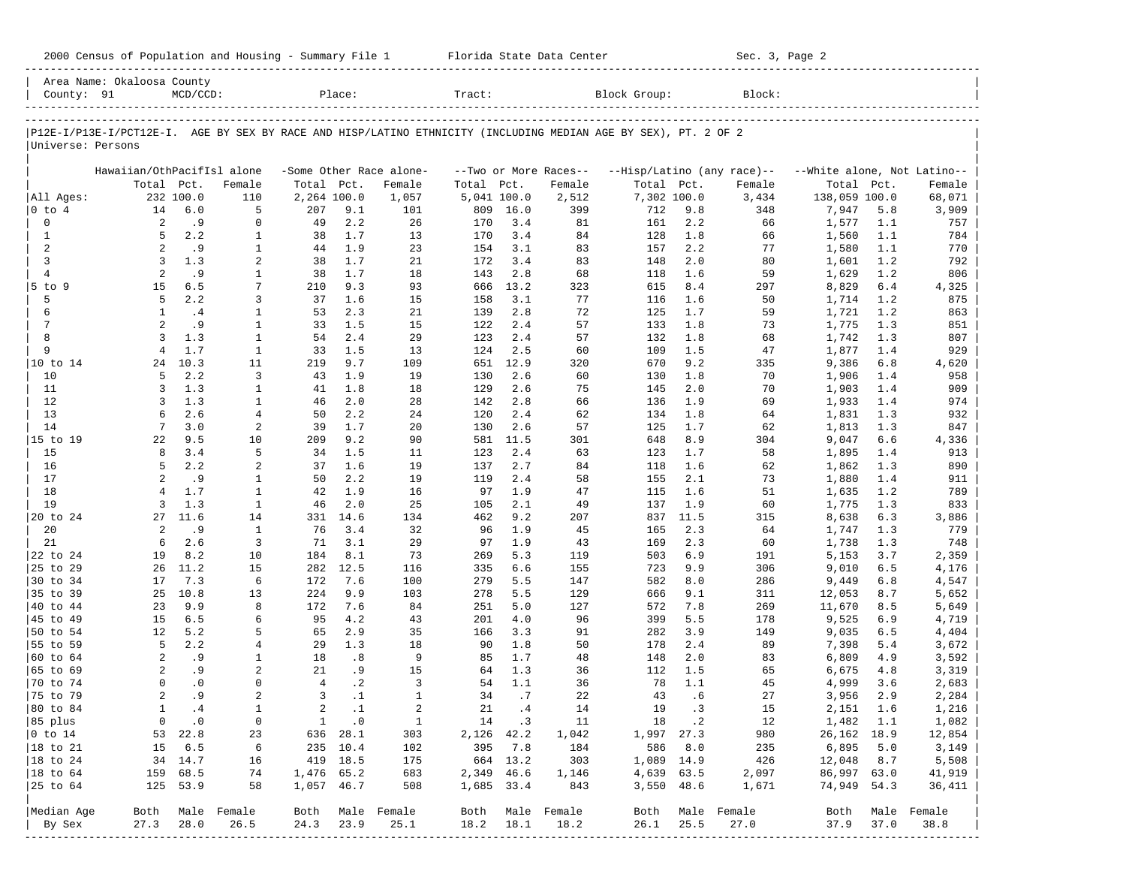|  |  |  |  |  |  |  |  |  |  |  | 2000 Census of Population and Housing - Summary File 1 |  |  |  |
|--|--|--|--|--|--|--|--|--|--|--|--------------------------------------------------------|--|--|--|
|--|--|--|--|--|--|--|--|--|--|--|--------------------------------------------------------|--|--|--|

2000 Florida State Data Center - Summary Sec. 3, Page 2 -----------------------------------------------------------------------------------------------------------------------------------------------------

|                                         | Area Name: Okaloosa County |                   |                              |                |                      |                         |                   |            |                       |                                                                                                                |            |                            |                             |            |                |
|-----------------------------------------|----------------------------|-------------------|------------------------------|----------------|----------------------|-------------------------|-------------------|------------|-----------------------|----------------------------------------------------------------------------------------------------------------|------------|----------------------------|-----------------------------|------------|----------------|
| County: 91                              |                            | $MCD/CCD$ :       |                              |                | Place:               |                         | Tract:            |            |                       | Block Group:                                                                                                   |            | Block:                     |                             |            |                |
|                                         |                            |                   |                              |                |                      |                         |                   |            |                       |                                                                                                                |            |                            |                             |            |                |
| Universe: Persons                       |                            |                   |                              |                |                      |                         |                   |            |                       | P12E-I/P13E-I/PCT12E-I. AGE BY SEX BY RACE AND HISP/LATINO ETHNICITY (INCLUDING MEDIAN AGE BY SEX), PT. 2 OF 2 |            |                            |                             |            |                |
|                                         |                            |                   |                              |                |                      |                         |                   |            |                       |                                                                                                                |            |                            |                             |            |                |
|                                         | Hawaiian/OthPacifIsl alone |                   |                              |                |                      | -Some Other Race alone- |                   |            | --Two or More Races-- |                                                                                                                |            | --Hisp/Latino (any race)-- | --White alone, Not Latino-- |            |                |
|                                         | Total Pct.                 |                   | Female                       | Total Pct.     |                      | Female                  | Total Pct.        |            | Female                | Total Pct.                                                                                                     |            | Female                     | Total Pct.                  |            | Female         |
| All Ages:                               |                            | 232 100.0         | 110                          | 2,264 100.0    |                      | 1,057                   | 5,041 100.0       |            | 2,512                 | 7,302 100.0                                                                                                    |            | 3,434                      | 138,059 100.0               |            | 68,071         |
| 0 to 4                                  | 14                         | 6.0               | 5                            | 207            | 9.1                  | 101                     | 809               | 16.0       | 399                   | 712                                                                                                            | 9.8        | 348                        | 7,947                       | 5.8        | 3,909          |
| 0                                       | 2                          | .9                | 0                            | 49             | 2.2                  | 26                      | 170               | 3.4        | 81                    | 161                                                                                                            | 2.2        | 66                         | 1,577                       | 1.1        | 757            |
| $\mathbf{1}$                            | 5                          | 2.2               | $\mathbf{1}$                 | 38             | 1.7                  | 13                      | 170               | 3.4        | 84                    | 128                                                                                                            | 1.8        | 66                         | 1,560                       | 1.1        | 784            |
| 2<br>3                                  | 2<br>3                     | . 9<br>1.3        | $\mathbf{1}$<br>2            | 44<br>38       | 1.9<br>1.7           | 23                      | 154               | 3.1<br>3.4 | 83<br>83              | 157                                                                                                            | 2.2        | 77<br>80                   | 1,580                       | 1.1<br>1.2 | 770<br>792     |
| $\overline{4}$                          | 2                          | .9                | 1                            | 38             | 1.7                  | 21<br>18                | 172<br>143        | 2.8        | 68                    | 148<br>118                                                                                                     | 2.0<br>1.6 | 59                         | 1,601<br>1,629              | 1.2        | 806            |
| $5$ to $9$                              | 15                         | 6.5               | 7                            | 210            | 9.3                  | 93                      | 666               | 13.2       | 323                   | 615                                                                                                            | 8.4        | 297                        | 8,829                       | 6.4        | 4,325          |
| 5                                       | 5                          | 2.2               | 3                            | 37             | 1.6                  | 15                      | 158               | 3.1        | 77                    | 116                                                                                                            | 1.6        | 50                         | 1,714                       | 1.2        | 875            |
| 6                                       | 1                          | .4                | 1                            | 53             | 2.3                  | 21                      | 139               | 2.8        | 72                    | 125                                                                                                            | 1.7        | 59                         | 1,721                       | 1.2        | 863            |
| 7                                       | $\overline{a}$             | .9                | $\mathbf{1}$                 | 33             | 1.5                  | 15                      | 122               | 2.4        | 57                    | 133                                                                                                            | 1.8        | 73                         | 1,775                       | 1.3        | 851            |
| 8                                       | 3                          | 1.3               | $\mathbf{1}$                 | 54             | 2.4                  | 29                      | 123               | 2.4        | 57                    | 132                                                                                                            | 1.8        | 68                         | 1,742                       | 1.3        | 807            |
| 9                                       | $\overline{4}$             | 1.7               | $\mathbf{1}$                 | 33             | 1.5                  | 13                      | 124               | 2.5        | 60                    | 109                                                                                                            | 1.5        | 47                         | 1,877                       | 1.4        | 929            |
| 10 to 14                                | 24                         | 10.3              | 11                           | 219            | 9.7                  | 109                     | 651               | 12.9       | 320                   | 670                                                                                                            | 9.2        | 335                        | 9,386                       | 6.8        | 4,620          |
| 10                                      | 5                          | 2.2               | 3                            | 43             | 1.9                  | 19                      | 130               | 2.6        | 60                    | 130                                                                                                            | 1.8        | 70                         | 1,906                       | 1.4        | 958            |
| 11                                      | 3                          | 1.3               | $\mathbf{1}$                 | 41             | 1.8                  | 18                      | 129               | 2.6        | 75                    | 145                                                                                                            | 2.0        | 70                         | 1,903                       | 1.4        | 909            |
| 12                                      | 3                          | 1.3               | $\mathbf{1}$                 | 46             | 2.0                  | 28                      | 142               | 2.8        | 66                    | 136                                                                                                            | 1.9        | 69                         | 1,933                       | 1.4        | 974            |
| 13                                      | 6                          | 2.6               | $\overline{4}$               | 50             | 2.2                  | 24                      | 120               | 2.4        | 62                    | 134                                                                                                            | 1.8        | 64                         | 1,831                       | 1.3        | 932            |
| 14                                      | 7                          | 3.0               | $\overline{a}$               | 39             | 1.7                  | 20                      | 130               | 2.6        | 57                    | 125                                                                                                            | 1.7        | 62                         | 1,813                       | 1.3        | 847            |
| 15 to 19                                | 22                         | 9.5               | 10                           | 209            | 9.2                  | 90                      | 581               | 11.5       | 301                   | 648                                                                                                            | 8.9        | 304                        | 9,047                       | 6.6        | 4,336          |
| 15                                      | 8                          | 3.4               | 5                            | 34             | 1.5                  | 11                      | 123               | 2.4        | 63                    | 123                                                                                                            | 1.7        | 58                         | 1,895                       | 1.4        | 913            |
| 16                                      | 5                          | 2.2               | $\overline{a}$               | 37             | 1.6                  | 19                      | 137               | 2.7        | 84                    | 118                                                                                                            | 1.6        | 62                         | 1,862                       | 1.3        | 890            |
| 17                                      | $\overline{2}$             | .9                | $\mathbf{1}$                 | 50             | 2.2<br>1.9           | 19                      | 119               | 2.4        | 58                    | 155                                                                                                            | 2.1        | 73                         | 1,880                       | 1.4        | 911            |
| 18<br>19                                | $\overline{4}$<br>3        | 1.7<br>1.3        | $\mathbf{1}$<br>$\mathbf{1}$ | 42<br>46       | 2.0                  | 16<br>25                | 97<br>105         | 1.9<br>2.1 | 47<br>49              | 115<br>137                                                                                                     | 1.6<br>1.9 | 51<br>60                   | 1,635<br>1,775              | 1.2<br>1.3 | 789<br>833     |
| 20 to 24                                | 27                         | 11.6              | 14                           | 331            | 14.6                 | 134                     | 462               | 9.2        | 207                   | 837                                                                                                            | 11.5       | 315                        | 8,638                       | 6.3        | 3,886          |
| 20                                      | 2                          | .9                | $\mathbf{1}$                 | 76             | 3.4                  | 32                      | 96                | 1.9        | 45                    | 165                                                                                                            | 2.3        | 64                         | 1,747                       | 1.3        | 779            |
| 21                                      | 6                          | 2.6               | 3                            | 71             | 3.1                  | 29                      | 97                | 1.9        | 43                    | 169                                                                                                            | 2.3        | 60                         | 1,738                       | 1.3        | 748            |
| 22 to 24                                | 19                         | 8.2               | 10                           | 184            | 8.1                  | 73                      | 269               | 5.3        | 119                   | 503                                                                                                            | 6.9        | 191                        | 5,153                       | 3.7        | 2,359          |
| 25 to 29                                | 26                         | 11.2              | 15                           | 282            | 12.5                 | 116                     | 335               | 6.6        | 155                   | 723                                                                                                            | 9.9        | 306                        | 9,010                       | 6.5        | 4,176          |
| 30 to 34                                | 17                         | 7.3               | 6                            | 172            | 7.6                  | 100                     | 279               | 5.5        | 147                   | 582                                                                                                            | 8.0        | 286                        | 9,449                       | 6.8        | 4,547          |
| 35 to 39                                | 25                         | 10.8              | 13                           | 224            | 9.9                  | 103                     | 278               | 5.5        | 129                   | 666                                                                                                            | 9.1        | 311                        | 12,053                      | 8.7        | 5,652          |
| 40 to 44                                | 23                         | 9.9               | 8                            | 172            | 7.6                  | 84                      | 251               | 5.0        | 127                   | 572                                                                                                            | 7.8        | 269                        | 11,670                      | 8.5        | 5,649          |
| 45 to 49                                | 15                         | 6.5               | 6                            | 95             | 4.2                  | 43                      | 201               | 4.0        | 96                    | 399                                                                                                            | 5.5        | 178                        | 9,525                       | 6.9        | 4,719          |
| 50 to 54                                | 12                         | 5.2               | 5                            | 65             | 2.9                  | 35                      | 166               | 3.3        | 91                    | 282                                                                                                            | 3.9        | 149                        | 9,035                       | 6.5        | 4,404          |
| 55 to 59                                | 5                          | 2.2               | $\overline{4}$               | 29             | 1.3                  | 18                      | 90                | 1.8        | 50                    | 178                                                                                                            | 2.4        | 89                         | 7,398                       | 5.4        | 3,672          |
| 60 to 64                                | 2                          | .9                | 1                            | 18             | .8                   | 9                       | 85                | 1.7        | 48                    | 148                                                                                                            | 2.0        | 83                         | 6,809                       | 4.9        | 3,592          |
| 65 to 69                                | 2                          | . 9               | 2                            | 21             | . 9                  | 15                      | 64                | 1.3        | 36                    | 112                                                                                                            | 1.5        | 65                         | 6,675                       | 4.8        | 3,319          |
| 70 to 74                                | $\Omega$                   | $\cdot$ 0         | $\mathbf 0$                  | $\overline{4}$ | $\cdot$ 2            | 3                       | 54                | 1.1        | 36                    | 78                                                                                                             | 1.1        | 45                         | 4,999                       | 3.6        | 2,683          |
| 75 to 79                                | $\overline{a}$             | .9                | $\overline{a}$               | 3              | $\cdot$ 1            | $\mathbf{1}$            | 34                | .7         | 22                    | 43                                                                                                             | .6         | 27                         | 3,956                       | 2.9        | 2,284          |
| 80 to 84                                | $\mathbf{1}$               | .4                | $\mathbf{1}$                 | $\overline{a}$ | $\cdot$ 1            | 2                       | 21                | .4         | 14                    | 19                                                                                                             | .3         | 15                         | 2,151                       | 1.6        | 1,216          |
| 85 plus                                 |                            | $0 \qquad .0$     | $\overline{0}$               |                | $1 \qquad .0$        | $\overline{1}$          |                   | 14 .3      | 11                    |                                                                                                                | 18.2       | 12                         | 1,482 1.1                   |            | 1,082          |
| $ 0 \t\t \text{to} \t\t 14$<br>18 to 21 |                            | 53 22.8<br>15 6.5 | 23                           |                | 636 28.1             | 303                     | 2,126 42.2<br>395 | 7.8        | 1,042                 | 1,997 27.3<br>586                                                                                              | 8.0        | 980                        | 26, 162 18.9<br>6,895       | 5.0        | 12,854         |
| 18 to 24                                |                            | 34 14.7           | 6<br>16                      |                | 235 10.4<br>419 18.5 | 102<br>175              |                   | 664 13.2   | 184<br>303            | 1,089 14.9                                                                                                     |            | 235<br>426                 | 12,048 8.7                  |            | 3,149<br>5,508 |
| 18 to 64                                |                            | 159 68.5          | 74                           | 1,476 65.2     |                      | 683                     | 2,349 46.6        |            | 1,146                 | 4,639 63.5                                                                                                     |            | 2,097                      | 86,997 63.0                 |            | 41,919         |
| 25 to 64                                |                            | 125 53.9          | 58                           | 1,057 46.7     |                      | 508                     | 1,685 33.4        |            | 843                   |                                                                                                                | 3,550 48.6 | 1,671                      | 74,949 54.3                 |            | 36,411         |
|                                         |                            |                   |                              |                |                      |                         |                   |            |                       |                                                                                                                |            |                            |                             |            |                |
| Median Age                              |                            |                   | Both Male Female             |                |                      | Both Male Female        |                   |            | Both Male Female      | Both                                                                                                           |            | Male Female                | Both                        |            | Male Female    |
| By Sex                                  | 27.3                       | 28.0              | 26.5                         | 24.3           | 23.9                 | 25.1                    | 18.2              | 18.1       | 18.2                  | 26.1                                                                                                           | 25.5       | 27.0                       | 37.9                        | 37.0       | 38.8           |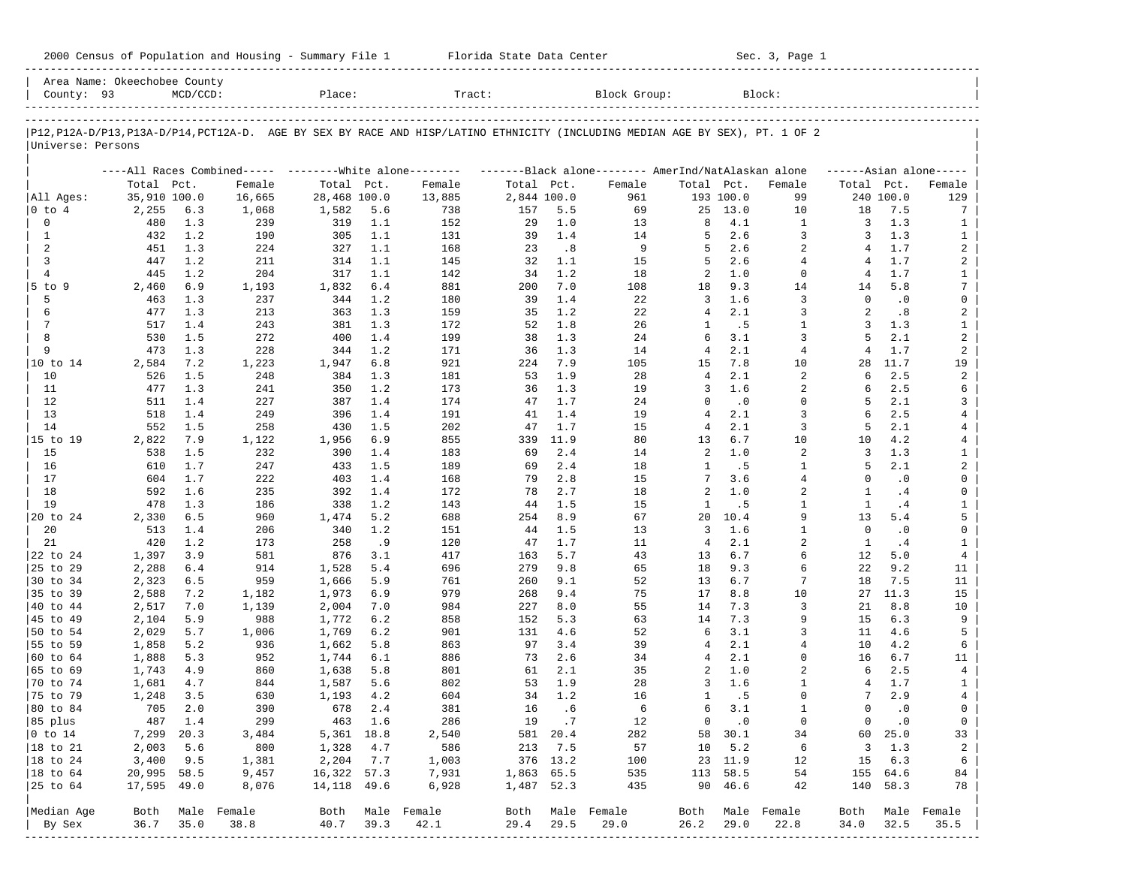| 2000 Census of Population and Housing - Summary File 1 |  | Florida State Data Center | Sec. 3, Page 1 |
|--------------------------------------------------------|--|---------------------------|----------------|
|--------------------------------------------------------|--|---------------------------|----------------|

| County: 93                | Area Name: Okeechobee County | $MCD/CCD$ :  |             | Place:       |            | Tract:                                                                                                                     |                          |            | Block Group:     |                      |               | Block:            |                                |               |                                |
|---------------------------|------------------------------|--------------|-------------|--------------|------------|----------------------------------------------------------------------------------------------------------------------------|--------------------------|------------|------------------|----------------------|---------------|-------------------|--------------------------------|---------------|--------------------------------|
|                           |                              |              |             |              |            |                                                                                                                            |                          |            |                  |                      |               |                   |                                |               |                                |
| Universe: Persons         |                              |              |             |              |            | P12,P12A-D/P13,P13A-D/P14,PCT12A-D. AGE BY SEX BY RACE AND HISP/LATINO ETHNICITY (INCLUDING MEDIAN AGE BY SEX), PT. 1 OF 2 |                          |            |                  |                      |               |                   |                                |               |                                |
|                           |                              |              |             |              |            | ----All Races Combined----- --------White alone-------- ---------Black alone-------- AmerInd/NatAlaskan alone              |                          |            |                  |                      |               |                   |                                |               | $---Asian alone---$            |
|                           | Total Pct.                   |              | Female      | Total Pct.   |            | Female                                                                                                                     | Total Pct.               |            | Female           | Total Pct.           |               | Female            | Total Pct.                     |               | Female                         |
| All Ages:                 | 35,910 100.0                 |              | 16,665      | 28,468 100.0 |            | 13,885                                                                                                                     | 2,844 100.0              |            | 961              |                      | 193 100.0     | 99                |                                | 240 100.0     | 129                            |
| $ 0 \t{to} 4$             | 2,255                        | 6.3          | 1,068       | 1,582        | 5.6        | 738                                                                                                                        | 157                      | 5.5        | 69               | 25                   | 13.0          | 10                | 18                             | 7.5           | 7                              |
| $\mathbf 0$               | 480                          | 1.3          | 239         | 319          | 1.1        | 152                                                                                                                        | 29                       | 1.0        | 13               | 8                    | 4.1           | 1                 | 3                              | 1.3           | 1                              |
| 1                         | 432                          | 1.2          | 190         | 305          | 1.1        | 131                                                                                                                        | 39                       | 1.4        | 14               | 5                    | 2.6           | 3                 | 3                              | 1.3           | $\mathbf{1}$                   |
| 2                         | 451                          | 1.3          | 224         | 327          | 1.1        | 168                                                                                                                        | 23                       | .8         | 9                | 5                    | 2.6           | $\overline{a}$    | 4                              | 1.7           | 2                              |
| 3                         | 447                          | 1.2          | 211         | 314          | 1.1        | 145                                                                                                                        | 32                       | 1.1        | 15               | 5                    | 2.6           | $\overline{4}$    | 4                              | 1.7           | 2                              |
| $\overline{4}$            | 445                          | 1.2          | 204         | 317          | 1.1        | 142                                                                                                                        | 34                       | 1.2        | 18               | 2                    | 1.0           | $\mathbf 0$       | 4                              | 1.7           | $\mathbf{1}$                   |
| $5$ to $9$                | 2,460                        | 6.9          | 1,193       | 1,832        | 6.4        | 881                                                                                                                        | 200                      | 7.0        | 108              | 18                   | 9.3<br>1.6    | 14                | 14<br>$\Omega$                 | 5.8           | 7                              |
| 5                         | 463                          | 1.3          | 237         | 344          | 1.2        | 180                                                                                                                        | 39                       | 1.4        | 22               | $\overline{3}$       |               | 3                 | $\overline{a}$                 | $\cdot$ 0     | 0                              |
| 6<br>$7\phantom{.0}$      | 477                          | 1.3<br>1.4   | 213         | 363          | 1.3<br>1.3 | 159                                                                                                                        | 35<br>52                 | 1.2<br>1.8 | 22               | $\overline{4}$<br>1  | 2.1<br>.5     | 3<br>$\mathbf{1}$ | 3                              | .8<br>1.3     | 2<br>$\mathbf{1}$              |
| 8                         | 517<br>530                   | 1.5          | 243         | 381<br>400   | 1.4        | 172                                                                                                                        | 38                       | 1.3        | 26               | 6                    | 3.1           | 3                 | 5                              | 2.1           | $\overline{a}$                 |
| 9                         | 473                          | 1.3          | 272<br>228  | 344          | 1.2        | 199                                                                                                                        | 36                       | 1.3        | 24               | $\overline{4}$       | 2.1           | $\overline{4}$    | $\overline{4}$                 | 1.7           | $\overline{a}$                 |
|                           |                              |              |             |              |            | 171                                                                                                                        |                          |            | 14               |                      |               |                   |                                |               |                                |
| 10 to 14<br>10            | 2,584                        | 7.2<br>1.5   | 1,223       | 1,947<br>384 | 6.8        | 921                                                                                                                        | 224<br>53                | 7.9<br>1.9 | 105              | 15<br>$\overline{4}$ | 7.8<br>2.1    | 10<br>2           | 28<br>6                        | 11.7<br>2.5   | 19<br>2                        |
| 11                        | 526<br>477                   | 1.3          | 248<br>241  | 350          | 1.3<br>1.2 | 181                                                                                                                        | 36                       | 1.3        | 28<br>19         | 3                    | 1.6           | 2                 | 6                              | 2.5           | 6                              |
| 12                        | 511                          | 1.4          |             | 387          | 1.4        | 173<br>174                                                                                                                 | 47                       | 1.7        |                  | $\Omega$             | $\cdot$ 0     | $\mathbf 0$       | 5                              | 2.1           | 3                              |
| 13                        | 518                          | 1.4          | 227<br>249  | 396          | 1.4        |                                                                                                                            | 41                       | 1.4        | 24<br>19         | $\overline{4}$       | 2.1           | 3                 | 6                              | 2.5           | 4                              |
| 14                        | 552                          | 1.5          | 258         | 430          | 1.5        | 191                                                                                                                        | 47                       | 1.7        | 15               | 4                    | 2.1           | 3                 | 5                              | 2.1           |                                |
|                           |                              |              |             |              | 6.9        | 202                                                                                                                        |                          | 11.9       |                  |                      | 6.7           |                   | 10                             | 4.2           | 4                              |
| 15 to 19                  | 2,822                        | 7.9<br>1.5   | 1,122       | 1,956        |            | 855                                                                                                                        | 339<br>69                | 2.4        | 80               | 13<br>2              | 1.0           | 10<br>2           | 3                              | 1.3           | 4                              |
| 15                        | 538                          | 1.7          | 232         | 390<br>433   | 1.4        | 183                                                                                                                        | 69                       | 2.4        | 14               | 1                    |               | 1                 | 5                              | 2.1           | $\mathbf{1}$<br>$\overline{a}$ |
| 16                        | 610                          |              | 247         |              | 1.5        | 189                                                                                                                        |                          |            | 18               | 7                    | . 5<br>3.6    | $\overline{4}$    | $\Omega$                       |               |                                |
| 17                        | 604                          | 1.7          | 222         | 403          | 1.4        | 168                                                                                                                        | 79                       | 2.8        | 15               | 2                    | 1.0           |                   |                                | $\cdot$ 0     | 0                              |
| 18                        | 592                          | 1.6<br>1.3   | 235         | 392          | 1.4        | 172                                                                                                                        | 78                       | 2.7        | 18               | $\mathbf{1}$         |               | 2<br>$\mathbf{1}$ | 1<br>$\mathbf{1}$              | .4            | 0                              |
| 19                        | 478                          |              | 186         | 338          | 1.2        | 143                                                                                                                        | 44                       | 1.5        | 15               |                      | .5<br>10.4    | 9                 |                                | .4            | $\mathbf{1}$<br>5              |
| 20 to 24                  | 2,330                        | 6.5          | 960         | 1,474        | 5.2        | 688                                                                                                                        | 254                      | 8.9        | 67               | 20                   |               |                   | 13<br>$\Omega$                 | 5.4           |                                |
| 20                        | 513                          | 1.4          | 206         | 340          | 1.2        | 151                                                                                                                        | 44                       | 1.5        | 13               | 3                    | 1.6           | $\mathbf{1}$      |                                | $\cdot$ 0     | 0                              |
| 21                        | 420                          | 1.2          | 173         | 258          | .9         | 120                                                                                                                        | 47                       | 1.7        | 11               | $\overline{4}$       | 2.1           | 2<br>б.           | 1                              | .4            | $\mathbf{1}$                   |
| 22 to 24                  | 1,397                        | 3.9          | 581         | 876          | 3.1        | 417                                                                                                                        | 163                      | 5.7        | 43               | 13                   | 6.7           |                   | 12                             | 5.0           | $\overline{4}$                 |
| 25 to 29                  | 2,288                        | 6.4          | 914         | 1,528        | 5.4        | 696                                                                                                                        | 279                      | 9.8        | 65               | 18                   | 9.3           | 6                 | 22                             | 9.2           | 11                             |
| 30 to 34                  | 2,323                        | 6.5          | 959         | 1,666        | 5.9        | 761                                                                                                                        | 260                      | 9.1        | 52               | 13                   | 6.7           | 7                 | 18                             | 7.5           | 11                             |
| 35 to 39                  | 2,588                        | 7.2          | 1,182       | 1,973        | 6.9        | 979                                                                                                                        | 268                      | 9.4        | 75               | 17                   | 8.8           | 10                | 27                             | 11.3          | 15                             |
| 40 to 44                  | 2,517                        | 7.0          | 1,139       | 2,004        | 7.0        | 984                                                                                                                        | 227                      | 8.0        | 55               | 14                   | 7.3           | 3                 | 21                             | 8.8           | 10<br>9                        |
| 45 to 49                  | 2,104                        | 5.9          | 988         | 1,772        | 6.2        | 858                                                                                                                        | 152                      | 5.3        | 63               | 14                   | 7.3           | 9                 | 15                             | 6.3           |                                |
| 50 to 54                  | 2,029                        | 5.7          | 1,006       | 1,769        | 6.2        | 901                                                                                                                        | 131                      | 4.6        | 52               | 6                    | 3.1           | 3                 | 11                             | 4.6           | 5                              |
| 55 to 59<br>60 to 64      | 1,858                        | 5.2          | 936         | 1,662        | 5.8        | 863                                                                                                                        | 97                       | 3.4        | 39               | 4                    | 2.1           | 4<br>$\mathbf 0$  | 10                             | 4.2           | 6                              |
|                           | 1,888                        | 5.3          | 952         | 1,744        | 6.1        | 886                                                                                                                        | 73                       | 2.6        | 34               | 4                    | 2.1           |                   | 16                             | 6.7           | 11                             |
| 65 to 69                  | 1,743                        | 4.9          | 860         | 1,638        | 5.8        | 801                                                                                                                        | 61                       | 2.1        | 35               | 2<br>3               | 1.0<br>1.6    | 2<br>$\mathbf{1}$ | 6<br>4                         | 2.5           | 4                              |
| 70 to 74                  | 1,681                        | 4.7          | 844         | 1,587        | 5.6        | 802                                                                                                                        | 53<br>34                 | 1.9<br>1.2 | 28               | $\mathbf{1}$         |               | $\Omega$          | 7                              | 1.7<br>2.9    | $\mathbf{1}$                   |
| 75 to 79                  | 1,248<br>705                 | 3.5<br>$2.0$ | 630<br>390  | 1,193<br>678 | 4.2<br>2.4 | 604<br>381                                                                                                                 | 16                       | .6         | 16<br>6          | 6                    | .5<br>3.1     | $\mathbf{1}$      | $\mathbf 0$                    | $\cdot$ 0     | 4<br>0                         |
| 80 to 84                  |                              |              |             |              |            |                                                                                                                            |                          |            |                  |                      |               |                   |                                |               |                                |
| 85 plus                   |                              | 487 1.4      | 299         |              | 463 1.6    | 286                                                                                                                        |                          | 19.7       | 12               |                      | $0 \qquad .0$ | 0                 |                                | $0 \qquad .0$ | $\overline{0}$                 |
| $ 0 \t{to} 14$            | 7,299 20.3                   |              | 3,484       | 5,361 18.8   |            | 2,540                                                                                                                      |                          | 581 20.4   | 282              |                      | 58 30.1       | 34                |                                | 60 25.0       | 33                             |
| 18 to 21<br>$ 18$ to $24$ | 2,003                        | 5.6          | 800         | 1,328        | 4.7        | 586                                                                                                                        |                          | 213 7.5    | 57               | 10                   | 5.2           | 6                 |                                | 3 1.3         | $\overline{a}$                 |
|                           | 3,400                        | 9.5          | 1,381       | 2,204        | 7.7        | 1,003                                                                                                                      |                          | 376 13.2   | 100              |                      | 23 11.9       | 12                | 15                             | 6.3           | 6                              |
| 18 to 64                  | 20,995 58.5                  |              | 9,457       | 16,322 57.3  |            | 7,931                                                                                                                      | 1,863 65.5<br>1,487 52.3 |            | 535              |                      | 113 58.5      | 54                |                                | 155 64.6      | 84                             |
| 25 to 64                  | 17,595 49.0                  |              | 8,076       | 14,118 49.6  |            | 6,928                                                                                                                      |                          |            | 435              |                      | 90 46.6       | 42                |                                | 140 58.3      | 78                             |
| Median Age                | Both                         |              | Male Female |              |            | Both Male Female                                                                                                           |                          |            | Both Male Female | Both                 |               | Male Female       | Both                           |               | Male Female                    |
| By Sex                    | 36.7                         | 35.0         | 38.8        | 40.7         | 39.3       | 42.1                                                                                                                       | 29.4                     | 29.5       | 29.0             | 26.2                 | 29.0          | 22.8              | 34.0<br>---------------------- | 32.5          | 35.5                           |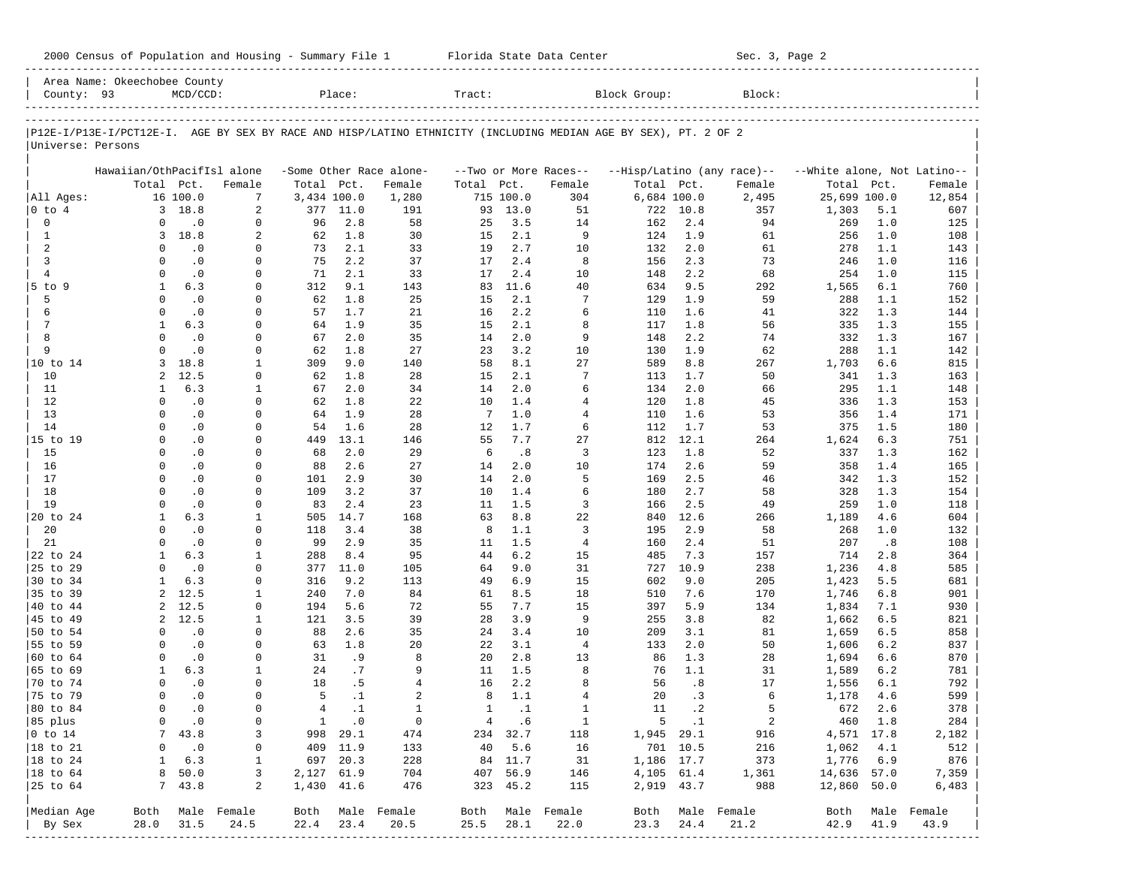|                             | Area Name: Okeechobee County                                                                                   |                        |                            |                     |                       |                                |                   |                |                                |              |                             |                            |                             |            |              |
|-----------------------------|----------------------------------------------------------------------------------------------------------------|------------------------|----------------------------|---------------------|-----------------------|--------------------------------|-------------------|----------------|--------------------------------|--------------|-----------------------------|----------------------------|-----------------------------|------------|--------------|
| County: 93                  |                                                                                                                | $MCD/CCD$ :            |                            |                     | Place:                |                                | Tract:            |                |                                | Block Group: |                             | Block:                     |                             |            |              |
|                             |                                                                                                                |                        |                            |                     |                       |                                |                   |                |                                |              |                             |                            |                             |            |              |
|                             | P12E-I/P13E-I/PCT12E-I. AGE BY SEX BY RACE AND HISP/LATINO ETHNICITY (INCLUDING MEDIAN AGE BY SEX), PT. 2 OF 2 |                        |                            |                     |                       |                                |                   |                |                                |              |                             |                            |                             |            |              |
| Universe: Persons           |                                                                                                                |                        |                            |                     |                       |                                |                   |                |                                |              |                             |                            |                             |            |              |
|                             |                                                                                                                |                        |                            |                     |                       |                                |                   |                |                                |              |                             |                            |                             |            |              |
|                             | Hawaiian/OthPacifIsl alone                                                                                     |                        |                            |                     |                       | -Some Other Race alone-        |                   |                | --Two or More Races--          |              |                             | --Hisp/Latino (any race)-- | --White alone, Not Latino-- |            |              |
|                             | Total Pct.                                                                                                     |                        | Female                     | Total Pct.          |                       | Female                         | Total             | Pct.           | Female                         | Total Pct.   |                             | Female                     | Total                       | Pct.       | Female       |
| All Ages:                   |                                                                                                                | 16 100.0               | 7                          | 3,434 100.0         |                       | 1,280                          |                   | 715 100.0      | 304                            |              | 6,684 100.0                 | 2,495                      | 25,699 100.0                |            | 12,854       |
| $0$ to $4$                  |                                                                                                                | 3 18.8<br>$\cdot$ 0    | 2                          | 377                 | 11.0                  | 191                            | 93                | 13.0           | 51                             | 722          | 10.8                        | 357                        | 1,303                       | 5.1        | 607          |
| $\mathbf 0$<br>$\mathbf{1}$ | $\circ$<br>3                                                                                                   | 18.8                   | 0<br>2                     | 96<br>62            | 2.8<br>1.8            | 58<br>30                       | 25<br>15          | 3.5<br>2.1     | 14<br>9                        | 162<br>124   | 2.4<br>1.9                  | 94<br>61                   | 269<br>256                  | 1.0<br>1.0 | 125<br>108   |
| 2                           | $\circ$                                                                                                        | $\cdot$ 0              | $\mathbf 0$                | 73                  | 2.1                   | 33                             | 19                | 2.7            | 10                             | 132          | 2.0                         | 61                         | 278                         | 1.1        | 143          |
| 3                           | $\mathbf 0$                                                                                                    | $\cdot$ 0              | $\mathbf 0$                | 75                  | 2.2                   | 37                             | 17                | 2.4            | 8                              | 156          | 2.3                         | 73                         | 246                         | 1.0        | 116          |
| $\overline{4}$              | $\Omega$                                                                                                       | $\cdot$ 0              | $\mathbf 0$                | 71                  | 2.1                   | 33                             | 17                | 2.4            | 10                             | 148          | 2.2                         | 68                         | 254                         | 1.0        | 115          |
| $5$ to $9$                  | 1                                                                                                              | 6.3                    | $\mathbf 0$                | 312                 | 9.1                   | 143                            | 83                | 11.6           | 40                             | 634          | 9.5                         | 292                        | 1,565                       | 6.1        | 760          |
| 5                           | $\mathbf 0$                                                                                                    | $\cdot$ 0              | $\mathbf 0$                | 62                  | 1.8                   | 25                             | 15                | 2.1            | 7                              | 129          | 1.9                         | 59                         | 288                         | 1.1        | 152          |
| 6                           | $\mathbf 0$                                                                                                    | $\cdot$ 0              | $\mathbf 0$                | 57                  | 1.7                   | 21                             | 16                | 2.2            | 6                              | 110          | 1.6                         | 41                         | 322                         | 1.3        | 144          |
| 7                           | $\mathbf{1}$                                                                                                   | 6.3                    | $\mathbf 0$                | 64                  | 1.9                   | 35                             | 15                | 2.1            | 8                              | 117          | 1.8                         | 56                         | 335                         | 1.3        | 155          |
| 8                           | $\Omega$                                                                                                       | $\cdot$ 0              | $\mathbf 0$                | 67                  | 2.0                   | 35                             | 14                | 2.0            | 9                              | 148          | 2.2                         | 74                         | 332                         | 1.3        | 167          |
| 9                           | $\Omega$                                                                                                       | $\overline{0}$         | $\mathbf 0$                | 62                  | 1.8                   | 27                             | 23                | 3.2            | 10                             | 130          | 1.9                         | 62                         | 288                         | 1.1        | 142          |
| 10 to 14                    | 3                                                                                                              | 18.8                   | $\mathbf{1}$               | 309                 | 9.0                   | 140                            | 58                | 8.1            | 27                             | 589          | 8.8                         | 267                        | 1,703                       | 6.6        | 815          |
| 10                          | $\overline{a}$                                                                                                 | 12.5                   | 0                          | 62                  | 1.8                   | 28                             | 15                | 2.1            | 7                              | 113          | 1.7                         | 50                         | 341                         | 1.3        | 163          |
| 11                          | 1                                                                                                              | 6.3                    | $\mathbf{1}$               | 67                  | 2.0                   | 34                             | 14                | 2.0            | 6                              | 134          | 2.0                         | 66                         | 295                         | 1.1        | 148          |
| 12                          | $\mathbf 0$                                                                                                    | $\cdot$ 0              | $\mathbf 0$                | 62                  | 1.8                   | 22                             | 10                | 1.4            | $\overline{4}$                 | 120          | 1.8                         | 45                         | 336                         | 1.3        | 153          |
| 13                          | $\Omega$                                                                                                       | $\cdot$ 0              | $\mathbf 0$                | 64                  | 1.9                   | 28                             | 7                 | 1.0            | $\overline{4}$                 | 110          | 1.6                         | 53                         | 356                         | 1.4        | 171          |
| 14                          | $\Omega$                                                                                                       | $\cdot$ 0              | $\mathbf 0$                | 54                  | 1.6                   | 28                             | 12                | 1.7            | 6                              | 112          | 1.7                         | 53                         | 375                         | 1.5        | 180          |
| 15 to 19                    | $\Omega$                                                                                                       | $\cdot$ 0              | $\mathbf 0$                | 449                 | 13.1                  | 146                            | 55                | 7.7            | 27                             | 812          | 12.1                        | 264                        | 1,624                       | 6.3        | 751          |
| 15                          | 0                                                                                                              | $\cdot$ 0              | $\mathbf 0$                | 68                  | 2.0                   | 29                             | 6                 | .8             | 3                              | 123          | 1.8                         | 52                         | 337                         | 1.3        | 162          |
| 16<br>17                    | $\mathbf 0$<br>$\Omega$                                                                                        | $\cdot$ 0<br>$\cdot$ 0 | $\mathbf 0$<br>$\mathbf 0$ | 88<br>101           | 2.6<br>2.9            | 27<br>30                       | 14<br>14          | 2.0<br>2.0     | 10<br>5                        | 174<br>169   | 2.6<br>2.5                  | 59<br>46                   | 358<br>342                  | 1.4<br>1.3 | 165<br>152   |
| 18                          | $\Omega$                                                                                                       | $\cdot$ 0              | $\mathbf 0$                | 109                 | 3.2                   | 37                             | 10                | 1.4            | 6                              | 180          | 2.7                         | 58                         | 328                         | 1.3        | 154          |
| 19                          | $\Omega$                                                                                                       | $\cdot$ 0              | 0                          | 83                  | 2.4                   | 23                             | 11                | 1.5            | 3                              | 166          | 2.5                         | 49                         | 259                         | 1.0        | 118          |
| 20 to 24                    | $\mathbf{1}$                                                                                                   | 6.3                    | $\mathbf{1}$               | 505                 | 14.7                  | 168                            | 63                | 8.8            | 22                             | 840          | 12.6                        | 266                        | 1,189                       | 4.6        | 604          |
| 20                          | $\Omega$                                                                                                       | $\cdot$ 0              | 0                          | 118                 | 3.4                   | 38                             | 8                 | 1.1            | 3                              | 195          | 2.9                         | 58                         | 268                         | 1.0        | 132          |
| 21                          | $\Omega$                                                                                                       | $\cdot$ 0              | $\mathbf 0$                | 99                  | 2.9                   | 35                             | 11                | 1.5            | $\overline{4}$                 | 160          | 2.4                         | 51                         | 207                         | .8         | 108          |
| 22 to 24                    | 1                                                                                                              | 6.3                    | 1                          | 288                 | 8.4                   | 95                             | 44                | 6.2            | 15                             | 485          | 7.3                         | 157                        | 714                         | 2.8        | 364          |
| 25 to 29                    | $\mathbf 0$                                                                                                    | $\cdot$ 0              | $\mathbf 0$                | 377                 | 11.0                  | 105                            | 64                | 9.0            | 31                             | 727          | 10.9                        | 238                        | 1,236                       | 4.8        | 585          |
| 30 to 34                    | 1                                                                                                              | 6.3                    | 0                          | 316                 | 9.2                   | 113                            | 49                | 6.9            | 15                             | 602          | 9.0                         | 205                        | 1,423                       | 5.5        | 681          |
| 35 to 39                    | $\overline{a}$                                                                                                 | 12.5                   | $\mathbf{1}$               | 240                 | 7.0                   | 84                             | 61                | 8.5            | 18                             | 510          | 7.6                         | 170                        | 1,746                       | 6.8        | 901          |
| 40 to 44                    | 2                                                                                                              | 12.5                   | 0                          | 194                 | 5.6                   | 72                             | 55                | 7.7            | 15                             | 397          | 5.9                         | 134                        | 1,834                       | 7.1        | 930          |
| 45 to 49                    | $\overline{2}$                                                                                                 | 12.5                   | $\mathbf{1}$               | 121                 | 3.5                   | 39                             | 28                | 3.9            | 9                              | 255          | 3.8                         | 82                         | 1,662                       | 6.5        | 821          |
| 50 to 54                    | $\mathbf 0$                                                                                                    | $\cdot$ 0              | 0                          | 88                  | 2.6                   | 35                             | 24                | 3.4            | 10                             | 209          | 3.1                         | 81                         | 1,659                       | 6.5        | 858          |
| 55 to 59                    | $\mathbf 0$                                                                                                    | $\cdot$ 0              | $\mathbf 0$                | 63                  | 1.8                   | 20                             | 22                | 3.1            | $\overline{4}$                 | 133          | 2.0                         | 50                         | 1,606                       | 6.2        | 837          |
| 60 to 64                    | $\circ$                                                                                                        | $\cdot$ 0              | 0                          | 31                  | . 9                   | 8                              | 20                | 2.8            | 13                             | 86           | 1.3                         | 28                         | 1,694                       | 6.6        | 870          |
| 65 to 69                    | 1                                                                                                              | 6.3                    | 1                          | 24                  | .7                    | 9                              | 11                | 1.5            | 8                              | 76           | 1.1                         | 31                         | 1,589                       | 6.2        | 781          |
| 70 to 74                    | 0                                                                                                              | $\cdot$ 0              | 0                          | 18                  | .5                    | $\overline{4}$                 | 16                | 2.2            | 8                              | 56           | .8                          | 17                         | 1,556                       | 6.1        | 792          |
| 75 to 79                    | $\mathbf 0$<br>$\Omega$                                                                                        | $\cdot$ 0<br>$\cdot$ 0 | $\mathbf 0$<br>$\mathbf 0$ | 5<br>$\overline{4}$ | $\cdot$ 1             | $\overline{a}$<br>$\mathbf{1}$ | 8<br>$\mathbf{1}$ | 1.1            | $\overline{4}$<br>$\mathbf{1}$ | 20<br>11     | .3<br>$\cdot$ 2             | 6<br>5                     | 1,178                       | 4.6        | 599          |
| 80 to 84                    |                                                                                                                |                        |                            |                     | $\cdot$ 1             |                                |                   | $\cdot$ 1      |                                |              |                             |                            | 672                         | 2.6        | 378          |
| 85 plus<br>$0$ to $14$      | 0<br>7                                                                                                         | $\cdot$ 0<br>43.8      | 0<br>3                     | $\mathbf{1}$        | $\cdot$ 0<br>998 29.1 | 0<br>474                       | $4\overline{ }$   | .6<br>234 32.7 | $\mathbf{1}$<br>118            |              | $5 \qquad .1$<br>1,945 29.1 | $\overline{a}$<br>916      | 4,571 17.8                  | 460 1.8    | 284<br>2,182 |
| 18 to 21                    | 0                                                                                                              | $\cdot$ 0              | 0                          |                     | 409 11.9              | 133                            | 40                | 5.6            | 16                             |              | 701 10.5                    | 216                        | 1,062                       | 4.1        | 512          |
| 18 to 24                    | 1                                                                                                              | 6.3                    | $\mathbf 1$                |                     | 697 20.3              | 228                            |                   | 84 11.7        | 31                             |              | 1,186 17.7                  | 373                        | 1,776                       | 6.9        | 876          |
| 18 to 64                    | 8                                                                                                              | 50.0                   | 3                          | 2,127 61.9          |                       | 704                            |                   | 407 56.9       | 146                            |              | 4,105 61.4                  | 1,361                      | 14,636 57.0                 |            | 7,359        |
| 25 to 64                    | 7                                                                                                              | 43.8                   | 2                          | 1,430 41.6          |                       | 476                            |                   | 323 45.2       | 115                            |              | 2,919 43.7                  | 988                        | 12,860 50.0                 |            | 6,483        |
|                             |                                                                                                                |                        |                            |                     |                       |                                |                   |                |                                |              |                             |                            |                             |            |              |
| Median Age                  | Both                                                                                                           |                        | Male Female                | Both                |                       | Male Female                    | Both              |                | Male Female                    | Both         |                             | Male Female                | Both                        |            | Male Female  |
| By Sex                      | 28.0                                                                                                           | 31.5                   | 24.5                       | 22.4                | 23.4                  | 20.5                           | 25.5              | 28.1           | 22.0                           | 23.3         | 24.4                        | 21.2                       | 42.9                        | 41.9       | 43.9         |
|                             |                                                                                                                |                        |                            |                     |                       |                                |                   |                |                                |              |                             |                            |                             |            |              |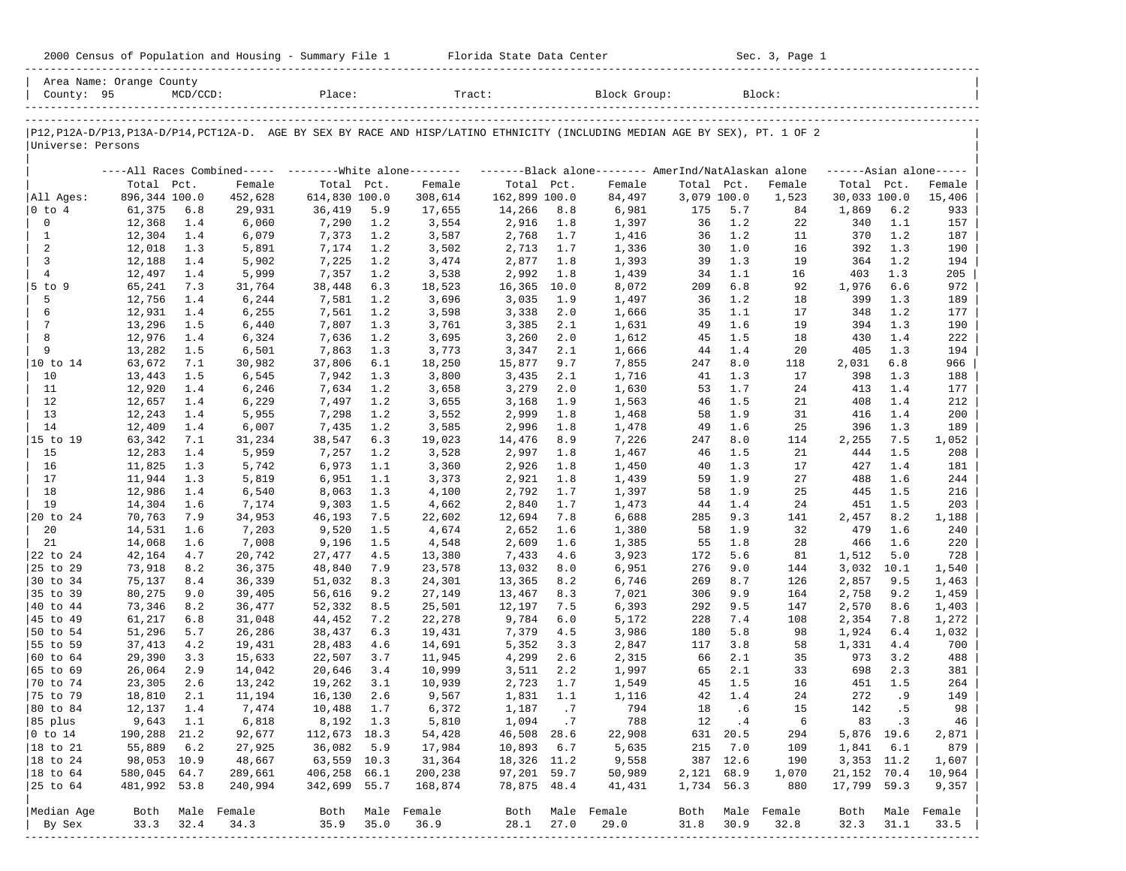| 2000 Census of Population and Housing - Summary File 1 |  | Florida State Data Center | Sec. 3, Page 1 |
|--------------------------------------------------------|--|---------------------------|----------------|
|--------------------------------------------------------|--|---------------------------|----------------|

| County: 95        | Area Name: Orange County | $MCD/CCD$ : |             | Place:                                                  |      | Tract:                                                                                                                        |               |      | Block Group:                                       |             |           | Block:           |                     |            |        |
|-------------------|--------------------------|-------------|-------------|---------------------------------------------------------|------|-------------------------------------------------------------------------------------------------------------------------------|---------------|------|----------------------------------------------------|-------------|-----------|------------------|---------------------|------------|--------|
|                   |                          |             |             |                                                         |      |                                                                                                                               |               |      |                                                    |             |           |                  |                     |            |        |
| Universe: Persons |                          |             |             |                                                         |      | P12, P12A-D/P13, P13A-D/P14, PCT12A-D. AGE BY SEX BY RACE AND HISP/LATINO ETHNICITY (INCLUDING MEDIAN AGE BY SEX), PT. 1 OF 2 |               |      |                                                    |             |           |                  |                     |            |        |
|                   |                          |             |             | ----All Races Combined----- --------White alone-------- |      |                                                                                                                               |               |      | -------Black alone------- AmerInd/NatAlaskan alone |             |           |                  | $---Asian alone---$ |            |        |
|                   | Total Pct.               |             | Female      | Total Pct.                                              |      | Female                                                                                                                        | Total Pct.    |      | Female                                             | Total Pct.  |           | Female           | Total Pct.          |            | Female |
| All Ages:         | 896,344 100.0            |             | 452,628     | 614,830 100.0                                           |      | 308,614                                                                                                                       | 162,899 100.0 |      | 84,497                                             | 3,079 100.0 |           | 1,523            | 30,033 100.0        |            | 15,406 |
| $ 0 \t{to} 4$     | 61,375                   | 6.8         | 29,931      | 36,419                                                  | 5.9  | 17,655                                                                                                                        | 14,266        | 8.8  | 6,981                                              | 175         | 5.7       | 84               | 1,869               | $6.2$      | 933    |
| $\mathbb O$       | 12,368                   | 1.4         | 6,060       | 7,290                                                   | 1.2  | 3,554                                                                                                                         | 2,916         | 1.8  | 1,397                                              | 36          | 1.2       | 22               | 340                 | 1.1        | 157    |
| $\mathbf{1}$      | 12,304                   | 1.4         | 6,079       | 7,373                                                   | 1.2  | 3,587                                                                                                                         | 2,768         | 1.7  | 1,416                                              | 36          | 1.2       | 11               | 370                 | 1.2        | 187    |
| 2                 | 12,018                   | 1.3         | 5,891       | 7,174                                                   | 1.2  | 3,502                                                                                                                         | 2,713         | 1.7  | 1,336                                              | 30          | 1.0       | 16               | 392                 | 1.3        | 190    |
| 3                 | 12,188                   | 1.4         | 5,902       | 7,225                                                   | 1.2  | 3,474                                                                                                                         | 2,877         | 1.8  | 1,393                                              | 39          | 1.3       | 19               | 364                 | 1.2        | 194    |
| $\overline{4}$    | 12,497                   | 1.4         | 5,999       | 7,357                                                   | 1.2  | 3,538                                                                                                                         | 2,992         | 1.8  | 1,439                                              | 34          | 1.1       | 16               | 403                 | 1.3        | 205    |
| $5$ to $9$        | 65,241                   | 7.3         | 31,764      | 38,448                                                  | 6.3  | 18,523                                                                                                                        | 16,365        | 10.0 | 8,072                                              | 209         | 6.8       | 92               | 1,976               | 6.6        | 972    |
| 5                 | 12,756                   | 1.4         | 6,244       | 7,581                                                   | 1.2  | 3,696                                                                                                                         | 3,035         | 1.9  | 1,497                                              | 36          | 1.2       | 18               | 399                 | 1.3        | 189    |
| 6                 | 12,931                   | 1.4         | 6,255       | 7,561                                                   | 1.2  | 3,598                                                                                                                         | 3,338         | 2.0  | 1,666                                              | 35          | 1.1       | 17               | 348                 | 1.2        | 177    |
| $7\phantom{.0}$   | 13,296                   | 1.5         | 6,440       | 7,807                                                   | 1.3  | 3,761                                                                                                                         | 3,385         | 2.1  | 1,631                                              | 49          | 1.6       | 19               | 394                 | 1.3        | 190    |
| 8                 | 12,976                   | 1.4         | 6,324       | 7,636                                                   | 1.2  | 3,695                                                                                                                         | 3,260         | 2.0  | 1,612                                              | 45          | 1.5       | 18               | 430                 | 1.4        | 222    |
| 9                 | 13,282                   | 1.5         | 6,501       | 7,863                                                   | 1.3  | 3,773                                                                                                                         | 3,347         | 2.1  | 1,666                                              | 44          | 1.4       | 20               | 405                 | 1.3        | 194    |
| 10 to 14          | 63,672                   | 7.1         | 30,982      | 37,806                                                  | 6.1  | 18,250                                                                                                                        | 15,877        | 9.7  | 7,855                                              | 247         | 8.0       | 118              | 2,031               | 6.8        | 966    |
| 10                | 13,443                   | 1.5         | 6,545       | 7,942                                                   | 1.3  | 3,800                                                                                                                         | 3,435         | 2.1  | 1,716                                              | 41          | 1.3       | 17               | 398                 | 1.3        | 188    |
| 11                | 12,920                   | 1.4         | 6,246       | 7,634                                                   | 1.2  | 3,658                                                                                                                         | 3,279         | 2.0  | 1,630                                              | 53          | 1.7       | 24               | 413                 | 1.4        | 177    |
| 12                | 12,657                   | 1.4         | 6,229       | 7,497                                                   | 1.2  | 3,655                                                                                                                         | 3,168         | 1.9  | 1,563                                              | 46          | 1.5       | 21               | 408                 | 1.4        | 212    |
| 13                | 12,243                   | 1.4         | 5,955       | 7,298                                                   | 1.2  | 3,552                                                                                                                         | 2,999         | 1.8  | 1,468                                              | 58          | 1.9       | 31               | 416                 | 1.4        | 200    |
| 14                | 12,409                   | 1.4         | 6,007       | 7,435                                                   | 1.2  | 3,585                                                                                                                         | 2,996         | 1.8  | 1,478                                              | 49          | 1.6       | 25               | 396                 | 1.3        | 189    |
| 15 to 19          | 63,342                   | 7.1         | 31,234      | 38,547                                                  | 6.3  | 19,023                                                                                                                        | 14,476        | 8.9  | 7,226                                              | 247         | 8.0       | 114              | 2,255               | 7.5        | 1,052  |
| 15                | 12,283                   | 1.4         | 5,959       | 7,257                                                   | 1.2  | 3,528                                                                                                                         | 2,997         | 1.8  | 1,467                                              | 46          | 1.5       | 21               | 444                 | 1.5        | 208    |
| 16                | 11,825                   | 1.3         | 5,742       | 6,973                                                   | 1.1  | 3,360                                                                                                                         | 2,926         | 1.8  | 1,450                                              | 40          | 1.3       | 17               | 427                 | 1.4        | 181    |
| 17                | 11,944                   | 1.3         | 5,819       | 6,951                                                   | 1.1  | 3,373                                                                                                                         | 2,921         | 1.8  | 1,439                                              | 59          | 1.9       | 27               | 488                 | 1.6        | 244    |
| 18                | 12,986                   | 1.4         | 6,540       | 8,063                                                   | 1.3  | 4,100                                                                                                                         | 2,792         | 1.7  | 1,397                                              | 58          | 1.9       | 25               | 445                 | 1.5        | 216    |
| 19                | 14,304                   | 1.6         | 7,174       | 9,303                                                   | 1.5  | 4,662                                                                                                                         | 2,840         | 1.7  | 1,473                                              | 44          | 1.4       | 24               | 451                 | 1.5        | 203    |
| 20 to 24          | 70,763                   | 7.9         | 34,953      | 46,193                                                  | 7.5  | 22,602                                                                                                                        | 12,694        | 7.8  | 6,688                                              | 285         | 9.3       | 141              | 2,457               | 8.2        | 1,188  |
| 20                | 14,531                   | 1.6         | 7,203       | 9,520                                                   | 1.5  | 4,674                                                                                                                         | 2,652         | 1.6  | 1,380                                              | 58          | 1.9       | 32               | 479                 | 1.6        | 240    |
| 21                | 14,068                   | 1.6         | 7,008       | 9,196                                                   | 1.5  | 4,548                                                                                                                         | 2,609         | 1.6  | 1,385                                              | 55          | 1.8       | 28               | 466                 | 1.6        | 220    |
| 22 to 24          | 42,164                   | 4.7         | 20,742      | 27,477                                                  | 4.5  | 13,380                                                                                                                        | 7,433         | 4.6  | 3,923                                              | 172         | 5.6       | 81               | 1,512               | 5.0        | 728    |
| 25 to 29          | 73,918                   | 8.2         | 36,375      | 48,840                                                  | 7.9  | 23,578                                                                                                                        | 13,032        | 8.0  | 6,951                                              | 276         | 9.0       | 144              | 3,032               | 10.1       | 1,540  |
| 30 to 34          | 75,137                   | 8.4         | 36,339      | 51,032                                                  | 8.3  | 24,301                                                                                                                        | 13,365        | 8.2  | 6,746                                              | 269         | 8.7       | 126              | 2,857               | 9.5        | 1,463  |
| 35 to 39          | 80,275                   | 9.0         | 39,405      | 56,616                                                  | 9.2  | 27,149                                                                                                                        | 13,467        | 8.3  | 7,021                                              | 306         | 9.9       | 164              | 2,758               | 9.2        | 1,459  |
| 40 to 44          | 73,346                   | 8.2         | 36,477      | 52,332                                                  | 8.5  | 25,501                                                                                                                        | 12,197        | 7.5  | 6,393                                              | 292         | 9.5       | 147              | 2,570               | 8.6        | 1,403  |
| 45 to 49          | 61,217                   | 6.8         | 31,048      | 44,452                                                  | 7.2  | 22,278                                                                                                                        | 9,784         | 6.0  | 5,172                                              | 228         | 7.4       | 108              | 2,354               | 7.8        | 1,272  |
| 50 to 54          | 51,296                   | 5.7         | 26,286      | 38,437                                                  | 6.3  | 19,431                                                                                                                        | 7,379         | 4.5  | 3,986                                              | 180         | 5.8       | 98               | 1,924               | 6.4        | 1,032  |
| 55 to 59          | 37,413                   | 4.2         | 19,431      | 28,483                                                  | 4.6  | 14,691                                                                                                                        | 5,352         | 3.3  | 2,847                                              | 117         | 3.8       | 58               | 1,331               | 4.4        | 700    |
| 60 to 64          | 29,390                   | 3.3         | 15,633      | 22,507                                                  | 3.7  | 11,945                                                                                                                        | 4,299         | 2.6  | 2,315                                              | 66          | 2.1       | 35               | 973                 | 3.2        | 488    |
| 65 to 69          | 26,064                   | 2.9         | 14,042      | 20,646                                                  | 3.4  | 10,999                                                                                                                        | 3,511         | 2.2  | 1,997                                              | 65          | 2.1       | 33               | 698                 | 2.3        | 381    |
| 70 to 74          | 23,305                   | 2.6         | 13,242      | 19,262                                                  | 3.1  | 10,939                                                                                                                        | 2,723         | 1.7  | 1,549                                              | 45          | 1.5       | 16               | 451                 | 1.5        | 264    |
| 75 to 79          | 18,810                   | 2.1         | 11,194      | 16,130                                                  | 2.6  | 9,567                                                                                                                         | 1,831         | 1.1  | 1,116                                              | 42          | 1.4       | 24               | 272                 | .9         | 149    |
| 80 to 84          | 12,137                   | 1.4         | 7,474       | 10,488                                                  | 1.7  | 6,372                                                                                                                         | 1,187         | .7   | 794                                                | 18          | .6        | 15               | 142                 | .5         | 98     |
| 85 plus           | 9,643 1.1                |             | 6,818       | 8,192 1.3                                               |      | 5,810                                                                                                                         | 1,094.7       |      | 788                                                | 12          | $\cdot$ 4 | 6                |                     | 83.3       | 46     |
| $ 0 \t{to} 14$    | 190,288 21.2             |             | 92,677      | 112,673 18.3                                            |      | 54,428                                                                                                                        | 46,508 28.6   |      | 22,908                                             |             | 631 20.5  | 294              |                     | 5,876 19.6 | 2,871  |
| 18 to 21          | 55,889                   | 6.2         |             | 36,082                                                  | 5.9  |                                                                                                                               | 10,893 6.7    |      | 5,635                                              |             | 215 7.0   |                  |                     | 1,841 6.1  | 879    |
|                   | 98,053 10.9              |             | 27,925      | 63,559 10.3                                             |      | 17,984                                                                                                                        |               |      |                                                    |             | 387 12.6  | 109              |                     |            |        |
| $ 18$ to $24$     |                          |             | 48,667      |                                                         |      | 31,364                                                                                                                        | 18,326 11.2   |      | 9,558                                              |             |           | 190              | 3,353 11.2          |            | 1,607  |
| $ 18$ to $64$     | 580,045 64.7             |             | 289,661     | 406,258 66.1                                            |      | 200,238                                                                                                                       | 97,201 59.7   |      | 50,989                                             | 2,121 68.9  |           | 1,070            | 21,152 70.4         |            | 10,964 |
| 25 to 64          | 481,992 53.8             |             | 240,994     | 342,699 55.7                                            |      | 168,874                                                                                                                       | 78,875 48.4   |      | 41,431                                             | 1,734 56.3  |           | 880              | 17,799 59.3         |            | 9,357  |
| Median Age        | Both                     |             | Male Female |                                                         |      | Both Male Female                                                                                                              | Both          |      | Male Female                                        |             |           | Both Male Female | Both                | Male       | Female |
| By Sex            | 33.3                     | 32.4        | 34.3        | 35.9                                                    | 35.0 | 36.9                                                                                                                          | 28.1          | 27.0 | 29.0                                               | 31.8        | 30.9      | 32.8             | 32.3                | 31.1       | 33.5   |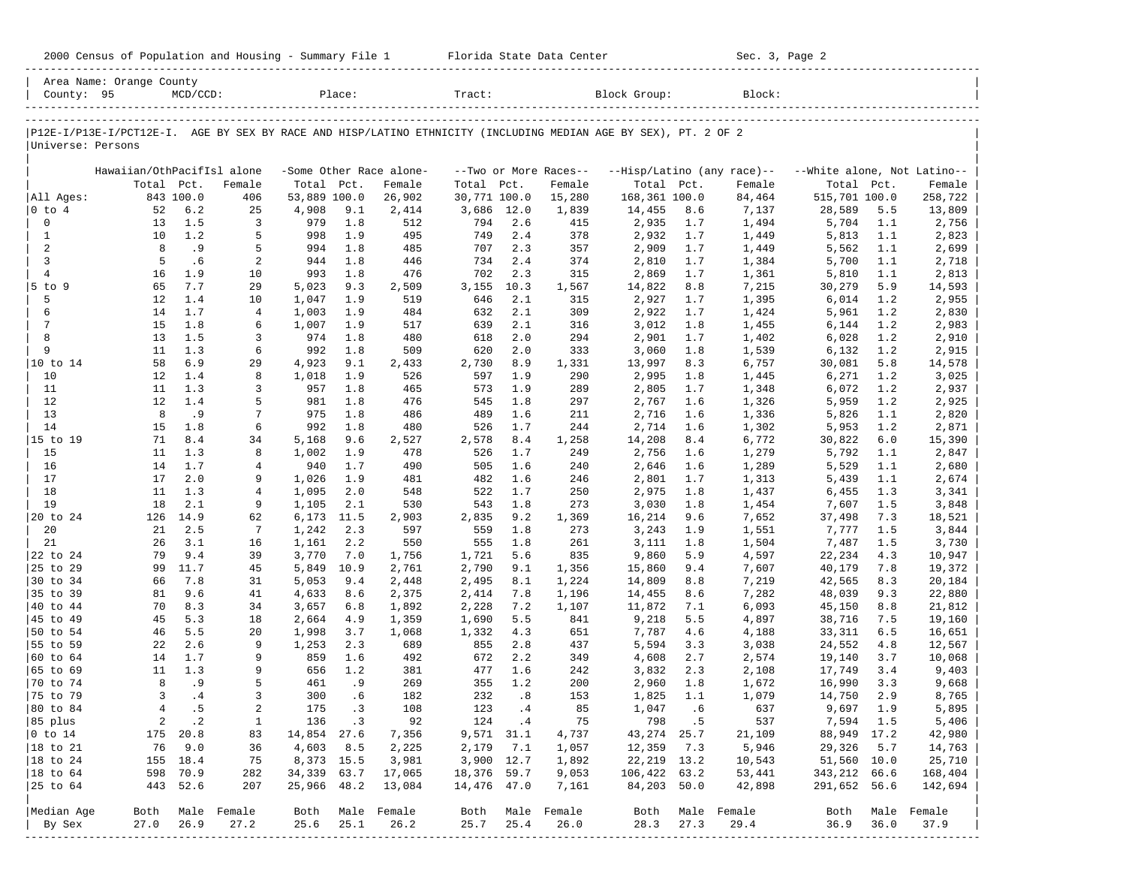|                      | Area Name: Orange County                                                                                       |             |                          |              |        |                          |                 |      |                          |               |       |                            |                             |      |         |
|----------------------|----------------------------------------------------------------------------------------------------------------|-------------|--------------------------|--------------|--------|--------------------------|-----------------|------|--------------------------|---------------|-------|----------------------------|-----------------------------|------|---------|
| County: 95           |                                                                                                                | $MCD/CCD$ : |                          |              | Place: |                          | Tract:          |      |                          | Block Group:  |       | Block:                     |                             |      |         |
|                      | P12E-I/P13E-I/PCT12E-I. AGE BY SEX BY RACE AND HISP/LATINO ETHNICITY (INCLUDING MEDIAN AGE BY SEX), PT. 2 OF 2 |             |                          |              |        |                          |                 |      |                          |               |       |                            |                             |      |         |
| Universe: Persons    |                                                                                                                |             |                          |              |        |                          |                 |      |                          |               |       |                            |                             |      |         |
|                      | Hawaiian/OthPacifIsl alone                                                                                     |             |                          |              |        | -Some Other Race alone-  |                 |      | --Two or More Races--    |               |       | --Hisp/Latino (any race)-- | --White alone, Not Latino-- |      |         |
|                      | Total Pct.                                                                                                     |             | Female                   | Total Pct.   |        | Female                   | Total Pct.      |      | Female                   | Total Pct.    |       | Female                     | Total                       | Pct. | Female  |
| All Ages:            |                                                                                                                | 843 100.0   | 406                      | 53,889 100.0 |        | 26,902                   | 30,771 100.0    |      | 15,280                   | 168,361 100.0 |       | 84,464                     | 515,701 100.0               |      | 258,722 |
| $ 0 \t{to} 4$        | 52                                                                                                             | 6.2         | 25                       | 4,908        | 9.1    | 2,414                    | 3,686           | 12.0 | 1,839                    | 14,455        | 8.6   | 7,137                      | 28,589                      | 5.5  | 13,809  |
| $\mathsf{O}\xspace$  | 13                                                                                                             | 1.5         | 3                        | 979          | 1.8    | 512                      | 794             | 2.6  | 415                      | 2,935         | 1.7   | 1,494                      | 5,704                       | 1.1  | 2,756   |
| $\mathbf{1}$         | 10                                                                                                             | 1.2         | 5                        | 998          | 1.9    | 495                      | 749             | 2.4  | 378                      | 2,932         | 1.7   | 1,449                      | 5,813                       | 1.1  | 2,823   |
| 2                    | 8                                                                                                              | .9          | 5                        | 994          | 1.8    | 485                      | 707             | 2.3  | 357                      | 2,909         | 1.7   | 1,449                      | 5,562                       | 1.1  | 2,699   |
| 3                    | 5                                                                                                              | .6          | 2                        | 944          | 1.8    | 446                      | 734             | 2.4  | 374                      | 2,810         | 1.7   | 1,384                      | 5,700                       | 1.1  | 2,718   |
| $\overline{4}$       | 16                                                                                                             | 1.9         | 10                       | 993          | 1.8    | 476                      | 702             | 2.3  | 315                      | 2,869         | 1.7   | 1,361                      | 5,810                       | 1.1  | 2,813   |
| 5 to 9               | 65                                                                                                             | 7.7         | 29                       | 5,023        | 9.3    | 2,509                    | 3,155           | 10.3 | 1,567                    | 14,822        | 8.8   | 7,215                      | 30,279                      | 5.9  | 14,593  |
| 5                    | 12                                                                                                             | 1.4         | 10                       | 1,047        | 1.9    | 519                      | 646             | 2.1  | 315                      | 2,927         | 1.7   | 1,395                      | 6,014                       | 1.2  | 2,955   |
| 6                    | 14                                                                                                             | 1.7         | 4                        | 1,003        | 1.9    | 484                      | 632             | 2.1  | 309                      | 2,922         | 1.7   | 1,424                      | 5,961                       | 1.2  | 2,830   |
| $\overline{7}$       | 15                                                                                                             | 1.8         | 6                        | 1,007        | 1.9    | 517                      | 639             | 2.1  | 316                      | 3,012         | 1.8   | 1,455                      | 6,144                       | 1.2  | 2,983   |
| 8                    | 13                                                                                                             | 1.5         | 3                        | 974          | 1.8    | 480                      | 618             | 2.0  | 294                      | 2,901         | 1.7   | 1,402                      | 6,028                       | 1.2  | 2,910   |
| 9                    | 11                                                                                                             | 1.3         | 6                        | 992          | 1.8    | 509                      | 620             | 2.0  | 333                      | 3,060         | 1.8   | 1,539                      | 6,132                       | 1.2  | 2,915   |
| 10 to 14             | 58                                                                                                             | 6.9         | 29                       | 4,923        | 9.1    | 2,433                    | 2,730           | 8.9  | 1,331                    | 13,997        | 8.3   | 6,757                      | 30,081                      | 5.8  | 14,578  |
| 10                   | $12 \overline{ }$                                                                                              | 1.4         | 8                        | 1,018        | 1.9    | 526                      | 597             | 1.9  | 290                      | 2,995         | 1.8   | 1,445                      | 6,271                       | 1.2  | 3,025   |
| 11                   | 11                                                                                                             | 1.3         | 3                        | 957          | 1.8    | 465                      | 573             | 1.9  | 289                      | 2,805         | 1.7   | 1,348                      | 6,072                       | 1.2  | 2,937   |
| 12                   | 12                                                                                                             | 1.4         | 5                        | 981          | 1.8    | 476                      | 545             | 1.8  | 297                      | 2,767         | 1.6   | 1,326                      | 5,959                       | 1.2  | 2,925   |
| 13                   | 8                                                                                                              | .9          | 7                        | 975          | 1.8    | 486                      | 489             | 1.6  | 211                      | 2,716         | 1.6   | 1,336                      | 5,826                       | 1.1  | 2,820   |
| 14                   | 15                                                                                                             | 1.8         | 6                        | 992          | 1.8    | 480                      | 526             | 1.7  | 244                      | 2,714         | 1.6   | 1,302                      | 5,953                       | 1.2  | 2,871   |
| 15 to 19             | 71                                                                                                             | 8.4         | 34                       | 5,168        | 9.6    | 2,527                    | 2,578           | 8.4  | 1,258                    | 14,208        | 8.4   | 6,772                      | 30,822                      | 6.0  | 15,390  |
| 15                   | 11                                                                                                             | 1.3         | 8                        | 1,002        | 1.9    | 478                      | 526             | 1.7  | 249                      | 2,756         | 1.6   | 1,279                      | 5,792                       | 1.1  | 2,847   |
| 16                   | 14                                                                                                             | 1.7         | 4                        | 940          | 1.7    | 490                      | 505             | 1.6  | 240                      | 2,646         | 1.6   | 1,289                      | 5,529                       | 1.1  | 2,680   |
| 17                   | 17                                                                                                             | 2.0         | 9                        | 1,026        | 1.9    | 481                      | 482             | 1.6  | 246                      | 2,801         | 1.7   | 1,313                      | 5,439                       | 1.1  | 2,674   |
| 18                   | 11                                                                                                             | 1.3         | 4                        | 1,095        | 2.0    | 548                      | 522             | 1.7  | 250                      | 2,975         | 1.8   | 1,437                      | 6,455                       | 1.3  | 3,341   |
| 19                   | 18                                                                                                             | 2.1         | 9                        | 1,105        | 2.1    | 530                      | 543             | 1.8  | 273                      | 3,030         | 1.8   | 1,454                      | 7,607                       | 1.5  | 3,848   |
| 20 to 24             | 126                                                                                                            | 14.9        | 62                       | 6,173        | 11.5   | 2,903                    | 2,835           | 9.2  | 1,369                    | 16,214        | 9.6   | 7,652                      | 37,498                      | 7.3  | 18,521  |
| 20                   | 21                                                                                                             | 2.5         | 7                        | 1,242        | 2.3    | 597                      | 559             | 1.8  | 273                      | 3,243         | 1.9   | 1,551                      | 7,777                       | 1.5  | 3,844   |
| 21                   | 26                                                                                                             | 3.1         | 16                       | 1,161        | 2.2    | 550                      | 555             | 1.8  | 261                      | 3,111         | 1.8   | 1,504                      | 7,487                       | 1.5  | 3,730   |
| 24<br>22 to          | 79                                                                                                             | 9.4         | 39                       | 3,770        | 7.0    | 1,756                    | 1,721           | 5.6  | 835                      | 9,860         | 5.9   | 4,597                      | 22,234                      | 4.3  | 10,947  |
| 25 to 29             | 99                                                                                                             | 11.7        | 45                       | 5,849        | 10.9   | 2,761                    | 2,790           | 9.1  | 1,356                    | 15,860        | 9.4   | 7,607                      | 40,179                      | 7.8  | 19,372  |
| 30 to 34             | 66                                                                                                             | 7.8         | 31                       | 5,053        | 9.4    | 2,448                    | 2,495           | 8.1  | 1,224                    | 14,809        | 8.8   | 7,219                      | 42,565                      | 8.3  | 20,184  |
| 35 to 39             | 81                                                                                                             | 9.6         | 41                       | 4,633        | 8.6    | 2,375                    | 2,414           | 7.8  | 1,196                    | 14,455        | 8.6   | 7,282                      | 48,039                      | 9.3  | 22,880  |
| 40 to 44             | 70                                                                                                             | 8.3         | 34                       | 3,657        | 6.8    | 1,892                    | 2,228           | 7.2  | 1,107                    | 11,872        | 7.1   | 6,093                      | 45,150                      | 8.8  | 21,812  |
| 45 to 49             | 45                                                                                                             | 5.3         | 18                       | 2,664        | 4.9    | 1,359                    | 1,690           | 5.5  | 841                      | 9,218         | 5.5   | 4,897                      | 38,716                      | 7.5  | 19,160  |
| 50 to 54             | 46                                                                                                             | 5.5         | 20                       | 1,998        | 3.7    | 1,068                    | 1,332           | 4.3  | 651                      | 7,787         | 4.6   | 4,188                      | 33,311                      | 6.5  | 16,651  |
| 55 to 59             | 22                                                                                                             | 2.6         | 9                        | 1,253        | 2.3    | 689                      | 855             | 2.8  | 437                      | 5,594         | 3.3   | 3,038                      | 24,552                      | 4.8  | 12,567  |
| 60 to 64             | 14                                                                                                             | 1.7         | 9                        | 859          | 1.6    | 492                      | 672             | 2.2  | 349                      | 4,608         | 2.7   | 2,574                      | 19,140                      | 3.7  | 10,068  |
| 65 to 69             | 11                                                                                                             | 1.3         | 9                        | 656          | 1.2    | 381                      | 477             | 1.6  | 242                      | 3,832         | 2.3   | 2,108                      | 17,749                      | 3.4  | 9,403   |
| 70 to 74             | 8                                                                                                              | .9          | 5                        | 461          | . 9    | 269                      | 355             | 1.2  | 200                      | 2,960         | 1.8   | 1,672                      | 16,990                      | 3.3  | 9,668   |
| 75 to 79             | 3                                                                                                              | .4          | 3                        | 300          | .6     | 182                      | 232             | .8   | 153                      | 1,825         | 1.1   | 1,079                      | 14,750                      | 2.9  | 8,765   |
| 80 to 84             | $\overline{4}$                                                                                                 | . 5         | 2                        | 175          | . 3    | 108                      | 123             | .4   | 85                       | 1,047         | .6    | 637                        | 9,697                       | 1.9  | 5,895   |
| 85 plus              |                                                                                                                | 2 .2        | $\mathbf{1}$             |              | 136.3  | 92                       | $124 \qquad .4$ |      | 75                       |               | 798.5 | 537                        | 7,594 1.5                   |      | 5,406   |
| $ 0 \t{to} 14$       |                                                                                                                | 175 20.8    | 83                       | 14,854 27.6  |        | 7,356                    | 9,571 31.1      |      | 4,737                    | 43, 274 25.7  |       | 21,109                     | 88,949 17.2                 |      | 42,980  |
| $ 18 \text{ to } 21$ |                                                                                                                | 76 9.0      | 36                       | 4,603 8.5    |        | 2,225                    | 2,179           | 7.1  | 1,057                    | 12,359 7.3    |       | 5,946                      | 29,326                      | 5.7  | 14,763  |
| $ 18 \text{ to } 24$ |                                                                                                                | 155 18.4    | 75                       | 8,373 15.5   |        | 3,981                    | 3,900 12.7      |      | 1,892                    | 22, 219 13.2  |       | 10,543                     | 51,560 10.0                 |      | 25,710  |
| $ 18 \text{ to } 64$ |                                                                                                                | 598 70.9    | 282                      | 34,339 63.7  |        | 17,065                   | 18,376 59.7     |      | 9,053                    | 106,422 63.2  |       | 53,441                     | 343,212 66.6                |      | 168,404 |
|                      |                                                                                                                | 443 52.6    | 207                      | 25,966 48.2  |        | 13,084                   | 14,476 47.0     |      | 7,161                    | 84,203 50.0   |       | 42,898                     | 291,652 56.6                |      | 142,694 |
|                      |                                                                                                                |             |                          |              |        |                          |                 |      |                          |               |       |                            | Both Male Female            |      |         |
| Median Age<br>By Sex | 27.0                                                                                                           | 26.9        | Both Male Female<br>27.2 | 25.6         | 25.1   | Both Male Female<br>26.2 | 25.7            | 25.4 | Both Male Female<br>26.0 | 28.3          | 27.3  | Both Male Female<br>29.4   | 36.9                        | 36.0 | 37.9    |
|                      |                                                                                                                |             | --------------           |              |        |                          |                 |      |                          |               |       |                            |                             |      |         |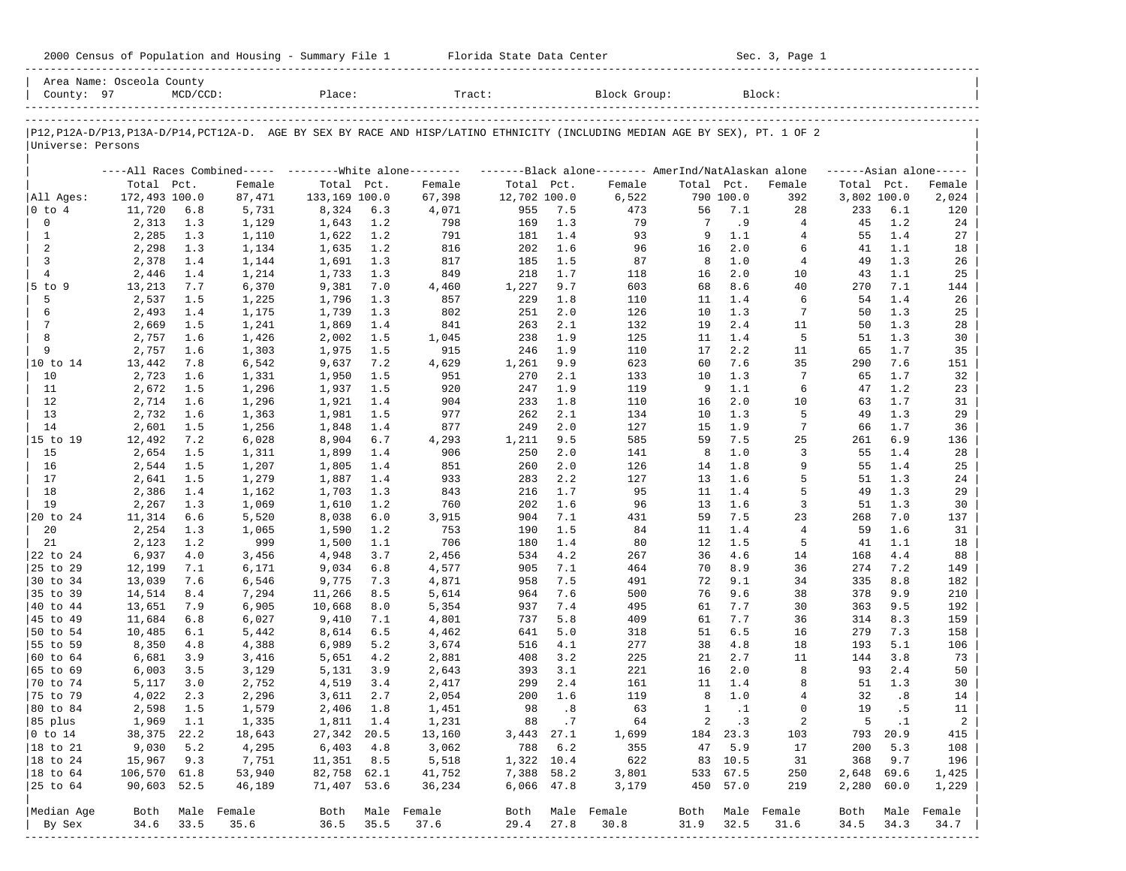| 2000 Census of Population and Housing - Summary File 1 |  | Florida State Data Center | Sec. 3, Page 1 |
|--------------------------------------------------------|--|---------------------------|----------------|
|--------------------------------------------------------|--|---------------------------|----------------|

| County: 97              | Area Name: Osceola County | $MCD/CCD$ : |                                                         | Place:         |            | Tract:                                                                                                                        |              |            | Block Group:                                       |                |            | Block:                   |             |            |                      |
|-------------------------|---------------------------|-------------|---------------------------------------------------------|----------------|------------|-------------------------------------------------------------------------------------------------------------------------------|--------------|------------|----------------------------------------------------|----------------|------------|--------------------------|-------------|------------|----------------------|
|                         |                           |             |                                                         |                |            |                                                                                                                               |              |            |                                                    |                |            |                          |             |            |                      |
|                         |                           |             |                                                         |                |            | P12, P12A-D/P13, P13A-D/P14, PCT12A-D. AGE BY SEX BY RACE AND HISP/LATINO ETHNICITY (INCLUDING MEDIAN AGE BY SEX), PT. 1 OF 2 |              |            |                                                    |                |            |                          |             |            |                      |
| Universe: Persons       |                           |             |                                                         |                |            |                                                                                                                               |              |            |                                                    |                |            |                          |             |            |                      |
|                         |                           |             | ----All Races Combined----- --------White alone-------- |                |            |                                                                                                                               |              |            | -------Black alone------- AmerInd/NatAlaskan alone |                |            |                          |             |            | $----Asian alone---$ |
|                         | Total Pct.                |             | Female                                                  | Total Pct.     |            | Female                                                                                                                        | Total Pct.   |            | Female                                             | Total Pct.     |            | Female                   | Total Pct.  |            | Female               |
| All Ages:               | 172,493 100.0             |             | 87,471                                                  | 133,169 100.0  |            | 67,398                                                                                                                        | 12,702 100.0 |            | 6,522                                              |                | 790 100.0  | 392                      | 3,802 100.0 |            | 2,024                |
| 0 to 4                  | 11,720                    | 6.8         | 5,731                                                   | 8,324          | 6.3        | 4,071                                                                                                                         | 955          | 7.5        | 473                                                | 56             | 7.1        | 28                       | 233         | 6.1        | 120                  |
| $\mathbf 0$             | 2,313                     | 1.3         | 1,129                                                   | 1,643          | 1.2        | 798                                                                                                                           | 169          | 1.3        | 79                                                 | 7              | . 9        | 4                        | 45          | 1.2        | 24                   |
| 1                       | 2,285                     | 1.3         | 1,110                                                   | 1,622          | 1.2        | 791                                                                                                                           | 181          | 1.4        | 93                                                 | 9              | 1.1        | 4                        | 55          | 1.4        | 27                   |
| 2                       | 2,298                     | 1.3         | 1,134                                                   | 1,635          | 1.2        | 816                                                                                                                           | 202          | 1.6        | 96                                                 | 16             | 2.0        | 6                        | 41          | 1.1        | 18                   |
| 3                       | 2,378                     | 1.4         | 1,144                                                   | 1,691          | 1.3        | 817                                                                                                                           | 185          | 1.5        | 87                                                 | 8              | 1.0        | $\overline{4}$           | 49          | 1.3        | 26                   |
| $\overline{4}$          | 2,446                     | 1.4         | 1,214                                                   | 1,733          | 1.3        | 849                                                                                                                           | 218          | 1.7        | 118                                                | 16             | 2.0        | 10                       | 43          | 1.1        | 25                   |
| $5$ to $9$              | 13,213                    | 7.7         | 6,370                                                   | 9,381          | 7.0        | 4,460                                                                                                                         | 1,227        | 9.7        | 603                                                | 68             | 8.6        | 40<br>6                  | 270         | 7.1        | 144                  |
| 5<br>6                  | 2,537                     | 1.5<br>1.4  | 1,225                                                   | 1,796          | 1.3        | 857<br>802                                                                                                                    | 229          | 1.8<br>2.0 | 110<br>126                                         | 11<br>10       | 1.4<br>1.3 | 7                        | 54<br>50    | 1.4<br>1.3 | 26                   |
| 7                       | 2,493<br>2,669            | 1.5         | 1,175<br>1,241                                          | 1,739<br>1,869 | 1.3<br>1.4 | 841                                                                                                                           | 251<br>263   | 2.1        | 132                                                | 19             | 2.4        | 11                       | 50          | 1.3        | 25<br>28             |
| 8                       | 2,757                     | 1.6         | 1,426                                                   | 2,002          | 1.5        | 1,045                                                                                                                         | 238          | 1.9        | 125                                                | 11             | 1.4        | -5                       | 51          | 1.3        | 30                   |
| 9                       | 2,757                     | 1.6         | 1,303                                                   | 1,975          | 1.5        | 915                                                                                                                           | 246          | 1.9        | 110                                                | 17             | 2.2        | 11                       | 65          | 1.7        | 35                   |
| 10 to 14                | 13,442                    | 7.8         | 6,542                                                   | 9,637          | 7.2        | 4,629                                                                                                                         | 1,261        | 9.9        | 623                                                | 60             | 7.6        | 35                       | 290         | 7.6        | 151                  |
| 10                      | 2,723                     | 1.6         | 1,331                                                   | 1,950          | 1.5        | 951                                                                                                                           | 270          | 2.1        | 133                                                | 10             | 1.3        | 7                        | 65          | 1.7        | 32                   |
| 11                      | 2,672                     | 1.5         | 1,296                                                   | 1,937          | 1.5        | 920                                                                                                                           | 247          | 1.9        | 119                                                | 9              | 1.1        | 6                        | 47          | 1.2        | 23                   |
| 12                      | 2,714                     | 1.6         | 1,296                                                   | 1,921          | 1.4        | 904                                                                                                                           | 233          | 1.8        | 110                                                | 16             | 2.0        | 10                       | 63          | 1.7        | 31                   |
| 13                      | 2,732                     | 1.6         | 1,363                                                   | 1,981          | 1.5        | 977                                                                                                                           | 262          | 2.1        | 134                                                | 10             | 1.3        | 5                        | 49          | 1.3        | 29                   |
| 14                      | 2,601                     | 1.5         | 1,256                                                   | 1,848          | 1.4        | 877                                                                                                                           | 249          | 2.0        | 127                                                | 15             | 1.9        | $7\phantom{.0}$          | 66          | 1.7        | 36                   |
| 15 to 19                | 12,492                    | 7.2         | 6,028                                                   | 8,904          | 6.7        | 4,293                                                                                                                         | 1,211        | 9.5        | 585                                                | 59             | 7.5        | 25                       | 261         | 6.9        | 136                  |
| 15                      | 2,654                     | 1.5         | 1,311                                                   | 1,899          | 1.4        | 906                                                                                                                           | 250          | 2.0        | 141                                                | 8              | 1.0        | 3                        | 55          | 1.4        | 28                   |
| 16                      | 2,544                     | 1.5         | 1,207                                                   | 1,805          | 1.4        | 851                                                                                                                           | 260          | 2.0        | 126                                                | 14             | 1.8        | 9                        | 55          | 1.4        | 25                   |
| 17                      | 2,641                     | 1.5         | 1,279                                                   | 1,887          | 1.4        | 933                                                                                                                           | 283          | 2.2        | 127                                                | 13             | 1.6        | 5                        | 51          | 1.3        | 24                   |
| 18                      | 2,386                     | 1.4         | 1,162                                                   | 1,703          | 1.3        | 843                                                                                                                           | 216          | 1.7        | 95                                                 | 11             | 1.4        | 5                        | 49          | 1.3        | 29                   |
| 19                      | 2,267                     | 1.3         | 1,069                                                   | 1,610          | 1.2        | 760                                                                                                                           | 202          | 1.6        | 96                                                 | 13             | 1.6        | 3                        | 51          | 1.3        | 30                   |
| 20 to 24                | 11,314                    | 6.6         | 5,520                                                   | 8,038          | 6.0        | 3,915                                                                                                                         | 904          | 7.1        | 431                                                | 59             | 7.5        | 23                       | 268         | 7.0        | 137                  |
| 20                      | 2,254                     | 1.3         | 1,065                                                   | 1,590          | 1.2        | 753                                                                                                                           | 190          | 1.5        | 84                                                 | 11             | 1.4        | $\overline{4}$           | 59          | 1.6        | 31                   |
| 21                      | 2,123                     | 1.2         | 999                                                     | 1,500          | 1.1        | 706                                                                                                                           | 180          | 1.4        | 80                                                 | 12             | 1.5        | -5                       | 41          | 1.1        | 18                   |
| 22 to 24                | 6,937                     | 4.0         | 3,456                                                   | 4,948          | 3.7        | 2,456                                                                                                                         | 534          | 4.2        | 267                                                | 36             | 4.6        | 14                       | 168         | 4.4        | 88                   |
| 25 to 29                | 12,199                    | 7.1         | 6,171                                                   | 9,034          | 6.8        | 4,577                                                                                                                         | 905          | 7.1        | 464                                                | 70             | 8.9        | 36                       | 274         | 7.2        | 149                  |
| 30 to 34                | 13,039                    | 7.6         | 6,546                                                   | 9,775          | 7.3        | 4,871                                                                                                                         | 958          | 7.5        | 491                                                | 72             | 9.1        | 34                       | 335         | 8.8        | 182                  |
| 35 to 39                | 14,514                    | $8.4\,$     | 7,294                                                   | 11,266         | 8.5        | 5,614                                                                                                                         | 964          | 7.6        | 500                                                | 76             | 9.6        | 38                       | 378         | 9.9        | 210                  |
| 40 to 44                | 13,651                    | 7.9         | 6,905                                                   | 10,668         | 8.0        | 5,354                                                                                                                         | 937          | 7.4        | 495                                                | 61             | 7.7        | 30                       | 363         | 9.5        | 192                  |
| 45 to 49                | 11,684                    | 6.8         | 6,027                                                   | 9,410          | 7.1        | 4,801                                                                                                                         | 737          | 5.8        | 409                                                | 61             | 7.7        | 36                       | 314         | 8.3        | 159                  |
| 50 to 54                | 10,485                    | 6.1         | 5,442                                                   | 8,614          | 6.5        | 4,462                                                                                                                         | 641          | 5.0        | 318                                                | 51             | 6.5        | 16                       | 279         | 7.3        | 158                  |
| 55 to 59                | 8,350                     | 4.8         | 4,388                                                   | 6,989          | 5.2        | 3,674                                                                                                                         | 516          | 4.1        | 277                                                | 38             | 4.8        | 18                       | 193         | 5.1        | 106                  |
| 60 to 64                | 6,681                     | 3.9         | 3,416                                                   | 5,651          | 4.2        | 2,881                                                                                                                         | 408          | 3.2        | 225                                                | 21             | 2.7        | 11                       | 144         | 3.8        | 73                   |
| 65 to 69                | 6,003                     | 3.5         | 3,129                                                   | 5,131          | 3.9        | 2,643                                                                                                                         | 393          | 3.1        | 221                                                | 16             | 2.0        | 8                        | 93          | 2.4        | 50                   |
| 70 to 74                | 5,117                     | 3.0         | 2,752                                                   | 4,519          | 3.4        | 2,417                                                                                                                         | 299          | 2.4        | 161                                                | 11             | 1.4        | 8                        | 51          | 1.3        | 30                   |
| 75 to 79                | 4,022                     | 2.3         | 2,296                                                   | 3,611          | 2.7        | 2,054                                                                                                                         | 200          | 1.6        | 119                                                | 8              | 1.0        | 4                        | 32          | .8         | 14                   |
| 80 to 84                | 2,598                     | 1.5         | 1,579                                                   | 2,406          | 1.8        | 1,451                                                                                                                         | 98           | .8         | 63                                                 | $\mathbf{1}$   | $\cdot$ 1  | $\Omega$                 | 19          | . 5        | 11                   |
| 85 plus                 | 1,969                     | 1.1         | 1,335                                                   | 1,811 1.4      |            | 1,231                                                                                                                         |              | 88.7       | 64                                                 | $\overline{a}$ | $\cdot$ 3  | 2                        | - 5         | $\ldots$   | $\overline{a}$       |
| $ 0 \t\t \text{to} 14$  | 38,375 22.2               |             | 18,643                                                  | 27,342 20.5    |            | 13,160                                                                                                                        | 3,443 27.1   |            | 1,699                                              |                | 184 23.3   | 103                      |             | 793 20.9   | 415                  |
| 18 to 21                | 9,030                     | 5.2         | 4,295                                                   | $6,403$ $4.8$  |            | 3,062                                                                                                                         |              | 788 6.2    | 355                                                | 47             | 5.9        | 17                       | 200         | 5.3        | 108                  |
| 18 to 24                | 15,967                    | 9.3         | 7,751                                                   | $11,351$ 8.5   |            | 5,518                                                                                                                         | 1,322 10.4   |            | 622                                                |                | 83 10.5    | 31                       | 368         | 9.7        | 196                  |
| 18 to 64                | 106,570 61.8              |             | 53,940                                                  | 82,758 62.1    |            | 41,752                                                                                                                        | 7,388 58.2   |            | 3,801                                              |                | 533 67.5   | 250                      | 2,648 69.6  |            | 1,425                |
| 25 to 64                | 90,603 52.5               |             | 46,189                                                  | 71,407 53.6    |            | 36,234                                                                                                                        | 6,066 47.8   |            | 3,179                                              |                | 450 57.0   | 219                      | 2,280 60.0  |            | 1,229                |
|                         |                           |             |                                                         |                |            |                                                                                                                               |              |            |                                                    |                |            |                          |             |            |                      |
| Median Age              | Both<br>34.6              | 33.5        | Male Female<br>35.6                                     | 36.5           | 35.5       | Both Male Female<br>37.6                                                                                                      |              |            | Both Male Female                                   |                | 32.5       | Both Male Female<br>31.6 | Both        |            | Male Female<br>34.7  |
| By Sex<br>------------- |                           |             |                                                         |                |            |                                                                                                                               | 29.4         | 27.8       | 30.8                                               | 31.9           |            |                          | 34.5        | 34.3       |                      |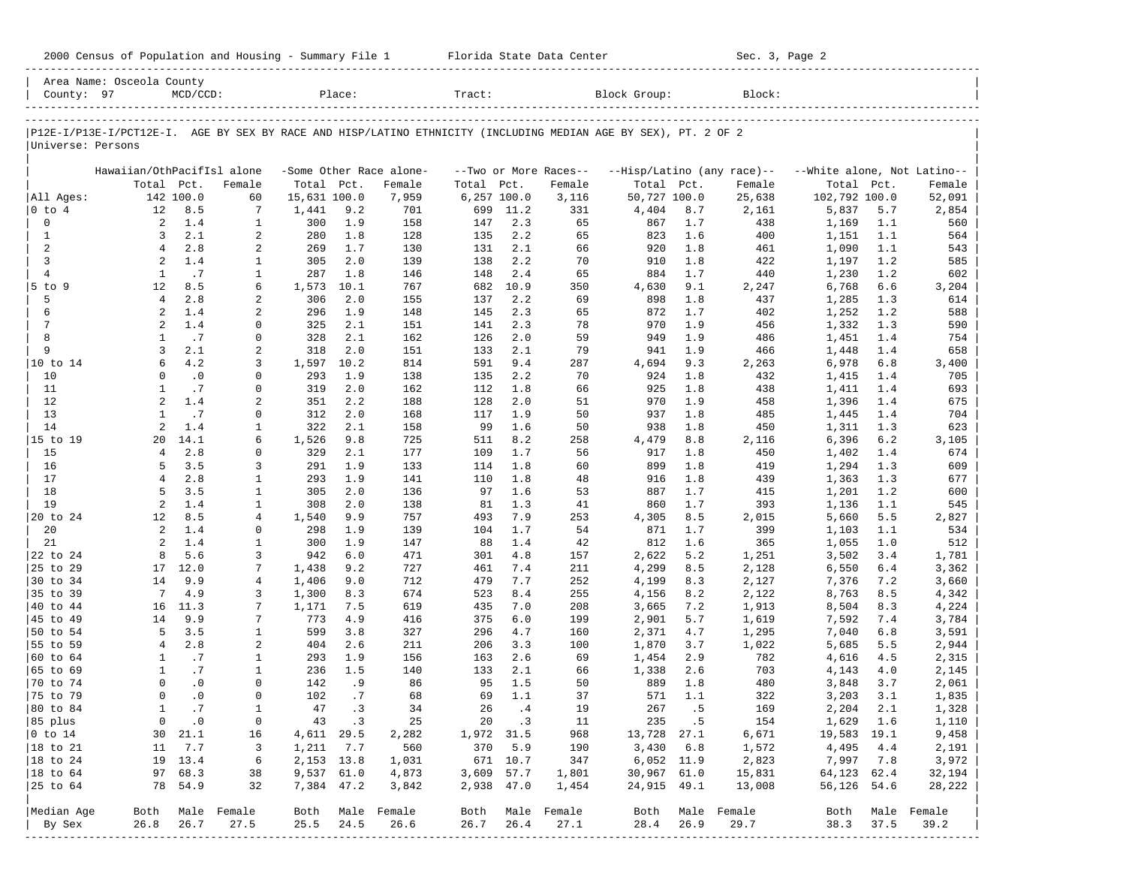| 2000 Census of Population and Housing - Summary File 1 |  | Florida State Data Center | Sec. 3, Page 2 |
|--------------------------------------------------------|--|---------------------------|----------------|
|--------------------------------------------------------|--|---------------------------|----------------|

|                             | Area Name: Osceola County  |               |                         |              |        |                         |             |      |                       |                                                                                                                |       |                            |                             |      |                  |
|-----------------------------|----------------------------|---------------|-------------------------|--------------|--------|-------------------------|-------------|------|-----------------------|----------------------------------------------------------------------------------------------------------------|-------|----------------------------|-----------------------------|------|------------------|
| County: 97                  |                            | $MCD/CCD$ :   |                         |              | Place: |                         | Tract:      |      |                       | Block Group:                                                                                                   |       | Block:                     |                             |      |                  |
|                             |                            |               |                         |              |        |                         |             |      |                       | P12E-I/P13E-I/PCT12E-I. AGE BY SEX BY RACE AND HISP/LATINO ETHNICITY (INCLUDING MEDIAN AGE BY SEX), PT. 2 OF 2 |       |                            |                             |      |                  |
| Universe: Persons           |                            |               |                         |              |        |                         |             |      |                       |                                                                                                                |       |                            |                             |      |                  |
|                             | Hawaiian/OthPacifIsl alone |               |                         |              |        | -Some Other Race alone- |             |      | --Two or More Races-- |                                                                                                                |       | --Hisp/Latino (any race)-- | --White alone, Not Latino-- |      |                  |
|                             | Total Pct.                 |               | Female                  | Total Pct.   |        | Female                  | Total       | Pct. | Female                | Total Pct.                                                                                                     |       | Female                     | Total Pct.                  |      | Female           |
| All Ages:                   |                            | 142 100.0     | 60                      | 15,631 100.0 |        | 7,959                   | 6,257,100.0 |      | 3,116                 | 50,727 100.0                                                                                                   |       | 25,638                     | 102,792 100.0               |      | 52,091           |
| $0$ to $4$                  | 12                         | 8.5           | $7\phantom{.0}$         | 1,441        | 9.2    | 701                     | 699         | 11.2 | 331                   | 4,404                                                                                                          | 8.7   | 2,161                      | 5,837                       | 5.7  | 2,854            |
| $\mathbf 0$                 | 2                          | 1.4           | $\mathbf{1}$            | 300          | 1.9    | 158                     | 147         | 2.3  | 65                    | 867                                                                                                            | 1.7   | 438                        | 1,169                       | 1.1  | 560              |
| $\mathbf{1}$                | 3                          | 2.1           | 2                       | 280          | 1.8    | 128                     | 135         | 2.2  | 65                    | 823                                                                                                            | 1.6   | 400                        | 1,151                       | 1.1  | 564              |
| $\overline{a}$              | $\overline{4}$             | 2.8           | 2                       | 269          | 1.7    | 130                     | 131         | 2.1  | 66                    | 920                                                                                                            | 1.8   | 461                        | 1,090                       | 1.1  | 543              |
| $\overline{3}$              | 2                          | 1.4           | $\mathbf{1}$            | 305          | 2.0    | 139                     | 138         | 2.2  | 70                    | 910                                                                                                            | 1.8   | 422                        | 1,197                       | 1.2  | 585              |
| $\overline{4}$              | $\mathbf{1}$               | .7            | $\mathbf{1}$            | 287          | 1.8    | 146                     | 148         | 2.4  | 65                    | 884                                                                                                            | 1.7   | 440                        | 1,230                       | 1.2  | 602              |
| $5$ to $9$                  | 12                         | 8.5           | 6                       | 1,573        | 10.1   | 767                     | 682         | 10.9 | 350                   | 4,630                                                                                                          | 9.1   | 2,247                      | 6,768                       | 6.6  | 3,204            |
| 5                           | $\overline{4}$             | 2.8           | 2                       | 306          | 2.0    | 155                     | 137         | 2.2  | 69                    | 898                                                                                                            | 1.8   | 437                        | 1,285                       | 1.3  | 614              |
| 6                           | 2                          | 1.4           | 2                       | 296          | 1.9    | 148                     | 145         | 2.3  | 65                    | 872                                                                                                            | 1.7   | 402                        | 1,252                       | 1.2  | 588              |
| $7\phantom{.0}$             | 2                          | 1.4           | 0                       | 325          | 2.1    | 151                     | 141         | 2.3  | 78                    | 970                                                                                                            | 1.9   | 456                        | 1,332                       | 1.3  | 590              |
| 8                           | $\mathbf{1}$               | .7            | $\mathbf 0$             | 328          | 2.1    | 162                     | 126         | 2.0  | 59                    | 949                                                                                                            | 1.9   | 486                        | 1,451                       | 1.4  | 754              |
| 9                           | 3                          | 2.1           | $\overline{\mathbf{c}}$ | 318          | 2.0    | 151                     | 133         | 2.1  | 79                    | 941                                                                                                            | 1.9   | 466                        | 1,448                       | 1.4  | 658              |
| 10 to 14                    | 6                          | 4.2           | 3                       | 1,597        | 10.2   | 814                     | 591         | 9.4  | 287                   | 4,694                                                                                                          | 9.3   | 2,263                      | 6,978                       | 6.8  | 3,400            |
| 10                          | $\Omega$                   | $\cdot$ 0     | 0                       | 293          | 1.9    | 138                     | 135         | 2.2  | 70                    | 924                                                                                                            | 1.8   | 432                        | 1,415                       | 1.4  | 705              |
| 11                          | 1                          | .7            | $\mathbf 0$             | 319          | 2.0    | 162                     | 112         | 1.8  | 66                    | 925                                                                                                            | 1.8   | 438                        | 1,411                       | 1.4  | 693              |
| 12                          | 2                          | 1.4           | 2                       | 351          | 2.2    | 188                     | 128         | 2.0  | 51                    | 970                                                                                                            | 1.9   | 458                        | 1,396                       | 1.4  | 675              |
| 13                          | $\mathbf{1}$               | .7            | 0                       | 312          | 2.0    | 168                     | 117         | 1.9  | 50                    | 937                                                                                                            | 1.8   | 485                        | 1,445                       | 1.4  | 704              |
| 14                          | 2                          | 1.4           | $\mathbf{1}$            | 322          | 2.1    | 158                     | 99          | 1.6  | 50                    | 938                                                                                                            | 1.8   | 450                        | 1,311                       | 1.3  | 623              |
| 15 to 19                    | 20                         | 14.1          | 6                       | 1,526        | 9.8    | 725                     | 511         | 8.2  | 258                   | 4,479                                                                                                          | 8.8   | 2,116                      | 6,396                       | 6.2  | 3,105            |
| 15                          | $\overline{4}$             | 2.8           | 0                       | 329          | 2.1    | 177                     | 109         | 1.7  | 56                    | 917                                                                                                            | 1.8   | 450                        | 1,402                       | 1.4  | 674              |
| 16                          | 5                          | 3.5           | 3                       | 291          | 1.9    | 133                     | 114         | 1.8  | 60                    | 899                                                                                                            | 1.8   | 419                        | 1,294                       | 1.3  | 609              |
| 17                          | $\overline{4}$             | 2.8           | $\mathbf{1}$            | 293          | 1.9    | 141                     | 110         | 1.8  | 48                    | 916                                                                                                            | 1.8   | 439                        | 1,363                       | 1.3  | 677              |
| 18                          | 5                          | 3.5           | $\mathbf{1}$            | 305          | 2.0    | 136                     | 97          | 1.6  | 53                    | 887                                                                                                            | 1.7   | 415                        | 1,201                       | 1.2  | 600              |
| 19                          | 2                          | 1.4           | $\mathbf{1}$            | 308          | 2.0    | 138                     | 81          | 1.3  | 41                    | 860                                                                                                            | 1.7   | 393                        | 1,136                       | 1.1  | 545              |
| 20 to 24                    | 12                         | 8.5           | 4                       | 1,540        | 9.9    | 757                     | 493         | 7.9  | 253                   | 4,305                                                                                                          | 8.5   | 2,015                      | 5,660                       | 5.5  | 2,827            |
| 20                          | 2                          | 1.4           | 0                       | 298          | 1.9    | 139                     | 104         | 1.7  | 54                    | 871                                                                                                            | 1.7   | 399                        | 1,103                       | 1.1  | 534              |
| 21                          | 2                          | 1.4           | $\mathbf{1}$            | 300          | 1.9    | 147                     | 88          | 1.4  | 42                    | 812                                                                                                            | 1.6   | 365                        | 1,055                       | 1.0  | 512              |
| 22 to 24                    | 8                          | 5.6           | 3                       | 942          | 6.0    | 471                     | 301         | 4.8  | 157                   | 2,622                                                                                                          | 5.2   | 1,251                      | 3,502                       | 3.4  | 1,781            |
| 25 to 29                    | 17                         | 12.0          | 7                       | 1,438        | 9.2    | 727                     | 461         | 7.4  | 211                   | 4,299                                                                                                          | 8.5   | 2,128                      | 6,550                       | 6.4  | 3,362            |
| 30 to 34                    | 14                         | 9.9           | 4                       | 1,406        | 9.0    | 712                     | 479         | 7.7  | 252                   | 4,199                                                                                                          | 8.3   | 2,127                      | 7,376                       | 7.2  | 3,660            |
| 35 to 39                    | 7                          | 4.9           | 3                       | 1,300        | 8.3    | 674                     | 523         | 8.4  | 255                   | 4,156                                                                                                          | 8.2   | 2,122                      | 8,763                       | 8.5  | 4,342            |
| 40 to 44                    | 16                         | 11.3          | 7                       | 1,171        | 7.5    | 619                     | 435         | 7.0  | 208                   | 3,665                                                                                                          | 7.2   | 1,913                      | 8,504                       | 8.3  | 4,224            |
| 45 to 49                    | 14                         | 9.9           | 7                       | 773          | 4.9    | 416                     | 375         | 6.0  | 199                   | 2,901                                                                                                          | 5.7   | 1,619                      | 7,592                       | 7.4  | 3,784            |
| 50 to 54                    | 5                          | 3.5           | $\mathbf{1}$            | 599          | 3.8    | 327                     | 296         | 4.7  | 160                   | 2,371                                                                                                          | 4.7   | 1,295                      | 7,040                       | 6.8  | 3,591            |
| 55 to 59                    | $\overline{4}$             | 2.8           | $\overline{a}$          | 404          | 2.6    | 211                     | 206         | 3.3  | 100                   | 1,870                                                                                                          | 3.7   | 1,022                      | 5,685                       | 5.5  | 2,944            |
| 60 to 64                    | $\mathbf{1}$               | .7            | 1                       | 293          | 1.9    | 156                     | 163         | 2.6  | 69                    | 1,454                                                                                                          | 2.9   | 782                        | 4,616                       | 4.5  | 2,315            |
| 65 to 69                    | $\mathbf{1}$               | .7            | $\mathbf{1}$            | 236          | 1.5    | 140                     | 133         | 2.1  | 66                    | 1,338                                                                                                          | 2.6   | 703                        | 4,143                       | 4.0  | 2,145            |
| 70 to 74                    | $\Omega$                   | $\cdot$ 0     | 0                       | 142          | . 9    | 86                      | 95          | 1.5  | 50                    | 889                                                                                                            | 1.8   | 480                        | 3,848                       | 3.7  | 2,061            |
| 75 to 79                    | $\Omega$                   | $\cdot$ 0     | $\Omega$                | 102          | .7     | 68                      | 69          | 1.1  | 37                    | 571                                                                                                            | 1.1   | 322                        | 3,203                       | 3.1  | 1,835            |
| 80 to 84                    | $\mathbf{1}$               | . 7           | $\mathbf{1}$            | 47           | .3     | 34                      | 26          | .4   | 19                    | 267                                                                                                            | .5    | 169                        | 2,204                       | 2.1  | 1,328            |
| 85 plus                     |                            | $0 \qquad .0$ | 0                       |              | 43 .3  | 25                      | 20 .3       |      | 11                    |                                                                                                                | 235.5 | 154                        | 1,629 1.6                   |      | 1,110            |
| $ 0 \t\t \text{to} \t\t 14$ |                            | 30 21.1       | 16                      | 4,611 29.5   |        | 2,282                   | 1,972 31.5  |      | 968                   | 13,728 27.1                                                                                                    |       | 6,671                      | 19,583 19.1                 |      | 9,458            |
| 18 to 21                    |                            | 11 7.7        | 3                       | 1,211 7.7    |        | 560                     | 370 5.9     |      | 190                   | 3,430 6.8                                                                                                      |       | 1,572                      | 4,495                       | 4.4  | 2,191            |
| $ 18$ to $24$               |                            | 19 13.4       | 6                       | 2, 153 13.8  |        | 1,031                   | 671 10.7    |      | 347                   | 6,052 11.9                                                                                                     |       | 2,823                      | 7,997 7.8                   |      | 3,972            |
| 18 to 64                    |                            | 97 68.3       | 38                      | 9,537 61.0   |        | 4,873                   | 3,609 57.7  |      | 1,801                 | 30,967 61.0                                                                                                    |       | 15,831                     | 64,123 62.4                 |      | 32,194           |
| 25 to 64                    |                            | 78 54.9       | 32                      | 7,384 47.2   |        | 3,842                   | 2,938 47.0  |      | 1,454                 | 24,915 49.1                                                                                                    |       | 13,008                     | 56,126 54.6                 |      | 28,222           |
| Median Age                  |                            |               | Both Male Female        |              |        | Both Male Female        |             |      | Both Male Female      |                                                                                                                |       | Both Male Female           |                             |      | Both Male Female |
| By Sex                      | 26.8                       | 26.7          | 27.5                    | 25.5         | 24.5   | 26.6                    | 26.7        | 26.4 | 27.1                  | 28.4                                                                                                           | 26.9  | 29.7                       | 38.3                        | 37.5 | 39.2             |
|                             |                            |               |                         |              |        |                         |             |      |                       |                                                                                                                |       |                            |                             |      |                  |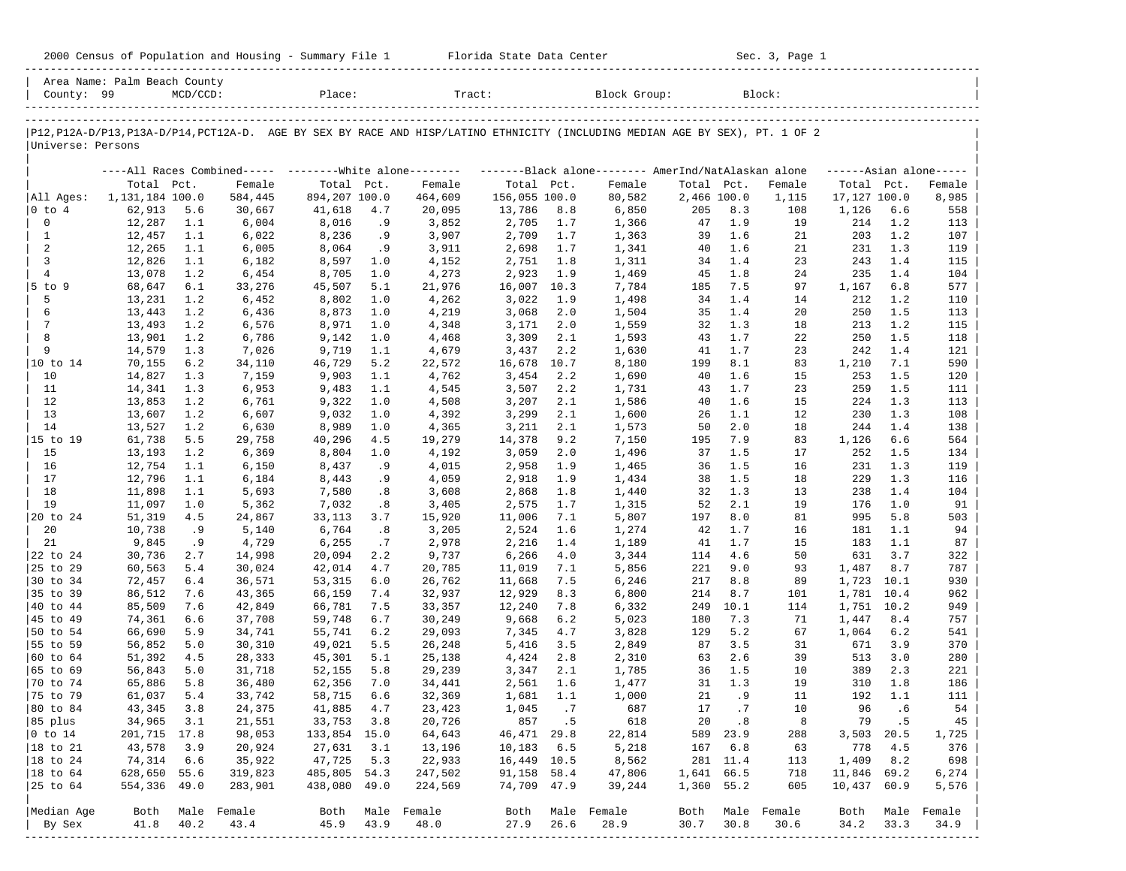| 2000 Census of Population and Housing - Summary File 1 |  | Florida State Data Center | Sec. 3, Page 1 |
|--------------------------------------------------------|--|---------------------------|----------------|
|--------------------------------------------------------|--|---------------------------|----------------|

| County: 99             | Area Name: Palm Beach County | $MCD/CCD$ : |                                                           | Place:        |            | Tract:           |               |            | Block Group:                                                                                                                  |             |           | Block:           |              |            |                     |
|------------------------|------------------------------|-------------|-----------------------------------------------------------|---------------|------------|------------------|---------------|------------|-------------------------------------------------------------------------------------------------------------------------------|-------------|-----------|------------------|--------------|------------|---------------------|
|                        |                              |             |                                                           |               |            |                  |               |            |                                                                                                                               |             |           |                  |              |            |                     |
| Universe: Persons      |                              |             |                                                           |               |            |                  |               |            | P12, P12A-D/P13, P13A-D/P14, PCT12A-D. AGE BY SEX BY RACE AND HISP/LATINO ETHNICITY (INCLUDING MEDIAN AGE BY SEX), PT. 1 OF 2 |             |           |                  |              |            |                     |
|                        |                              |             | ----All Races Combined----- --------- White alone-------- |               |            |                  |               |            | -------Black alone-------- AmerInd/NatAlaskan alone                                                                           |             |           |                  |              |            | $---Asian alone---$ |
|                        | Total Pct.                   |             | Female                                                    | Total Pct.    |            | Female           | Total Pct.    |            | Female                                                                                                                        | Total Pct.  |           | Female           | Total Pct.   |            | Female              |
| All Ages:              | 1,131,184 100.0              |             | 584,445                                                   | 894,207 100.0 |            | 464,609          | 156,055 100.0 |            | 80,582                                                                                                                        | 2,466 100.0 |           | 1,115            | 17,127 100.0 |            | 8,985               |
| 0 to 4                 | 62,913                       | 5.6         | 30,667                                                    | 41,618        | 4.7        | 20,095           | 13,786        | 8.8        | 6,850                                                                                                                         | 205         | 8.3       | 108              | 1,126        | 6.6        | 558                 |
| $\mathbf 0$            | 12,287                       | 1.1         | 6,004                                                     | 8,016         | .9         | 3,852            | 2,705         | 1.7        | 1,366                                                                                                                         | 47          | 1.9       | 19               | 214          | 1.2        | 113                 |
| $\mathbf{1}$           | 12,457                       | 1.1         | 6,022                                                     | 8,236         | .9         | 3,907            | 2,709         | 1.7        | 1,363                                                                                                                         | 39          | 1.6       | 21               | 203          | 1.2        | 107                 |
| $\overline{a}$         | 12,265                       | 1.1         | 6,005                                                     | 8,064         | .9         | 3,911            | 2,698         | 1.7        | 1,341                                                                                                                         | 40          | 1.6       | 21               | 231          | 1.3        | 119                 |
| 3                      | 12,826                       | 1.1         | 6,182                                                     | 8,597         | 1.0        | 4,152            | 2,751         | 1.8        | 1,311                                                                                                                         | 34          | 1.4       | 23               | 243          | 1.4        | 115                 |
| $\overline{4}$         | 13,078                       | 1.2         | 6,454                                                     | 8,705         | 1.0        | 4,273            | 2,923         | 1.9        | 1,469                                                                                                                         | 45          | 1.8       | 24               | 235          | 1.4        | 104                 |
| $5$ to $9$             | 68,647                       | 6.1         | 33,276                                                    | 45,507        | 5.1        | 21,976           | 16,007        | 10.3       | 7,784                                                                                                                         | 185         | 7.5       | 97               | 1,167        | 6.8        | 577                 |
| 5                      | 13,231                       | 1.2         | 6,452                                                     | 8,802         | 1.0        | 4,262            | 3,022         | 1.9        | 1,498                                                                                                                         | 34          | 1.4       | 14               | 212          | 1.2        | 110                 |
| 6                      | 13,443                       | 1.2         | 6,436                                                     | 8,873         | 1.0        | 4,219            | 3,068         | 2.0        | 1,504                                                                                                                         | 35          | 1.4       | 20               | 250          | 1.5        | 113                 |
| $7\phantom{.0}$        | 13,493                       | 1.2         | 6,576                                                     | 8,971         | 1.0        | 4,348            | 3,171         | 2.0        | 1,559                                                                                                                         | 32          | 1.3       | 18               | 213          | 1.2        | 115                 |
| 8                      | 13,901                       | 1.2         | 6,786                                                     | 9,142         | 1.0        | 4,468            | 3,309         | 2.1        | 1,593                                                                                                                         | 43          | 1.7       | 22               | 250          | 1.5        | 118                 |
| 9                      | 14,579                       | 1.3         | 7,026                                                     | 9,719         | 1.1        | 4,679            | 3,437         | 2.2        | 1,630                                                                                                                         | 41          | 1.7       | 23               | 242          | 1.4        | 121                 |
| 10 to 14               | 70,155                       | 6.2         | 34,110                                                    | 46,729        | 5.2        | 22,572           | 16,678        | 10.7       | 8,180                                                                                                                         | 199         | 8.1       | 83               | 1,210        | 7.1        | 590                 |
| 10                     | 14,827                       | 1.3         | 7,159                                                     | 9,903         | 1.1        | 4,762            | 3,454         | 2.2        | 1,690                                                                                                                         | 40          | 1.6       | 15               | 253          | 1.5        | 120                 |
| 11                     | 14,341                       | 1.3         | 6,953                                                     | 9,483         | 1.1        | 4,545            | 3,507         | 2.2        | 1,731                                                                                                                         | 43          | 1.7       | 23               | 259          | 1.5        | 111                 |
| 12                     | 13,853                       | 1.2         | 6,761                                                     | 9,322         | 1.0        | 4,508            | 3,207         | 2.1        | 1,586                                                                                                                         | 40          | 1.6       | 15               | 224          | 1.3        | 113                 |
| 13                     | 13,607                       | 1.2         | 6,607                                                     | 9,032         | 1.0        | 4,392            | 3,299         | 2.1        | 1,600                                                                                                                         | 26          | 1.1       | 12               | 230          | 1.3        | 108                 |
| 14                     | 13,527                       | 1.2         | 6,630                                                     | 8,989         | 1.0        | 4,365            | 3,211         | 2.1        | 1,573                                                                                                                         | 50          | 2.0       | 18               | 244          | 1.4        | 138                 |
| 15 to 19               | 61,738                       | 5.5         | 29,758                                                    | 40,296        | 4.5        | 19,279           | 14,378        | 9.2        | 7,150                                                                                                                         | 195         | 7.9       | 83               | 1,126        | 6.6        | 564                 |
| 15                     | 13,193                       | 1.2         | 6,369                                                     | 8,804         | 1.0        | 4,192            | 3,059         | 2.0        | 1,496                                                                                                                         | 37          | 1.5       | 17               | 252          | 1.5        | 134                 |
| 16                     | 12,754                       | 1.1         | 6,150                                                     | 8,437         | .9         | 4,015            | 2,958         | 1.9        | 1,465                                                                                                                         | 36          | 1.5       | 16               | 231          | 1.3        | 119                 |
| 17                     | 12,796                       | 1.1         | 6,184                                                     | 8,443         | . 9        | 4,059            | 2,918         | 1.9        | 1,434                                                                                                                         | 38          | 1.5       | 18               | 229          | 1.3        | 116                 |
| 18                     | 11,898                       | 1.1         | 5,693                                                     | 7,580         | .8         | 3,608            | 2,868         | 1.8        | 1,440                                                                                                                         | 32          | 1.3       | 13               | 238          | 1.4        | 104                 |
| 19                     | 11,097                       | 1.0         | 5,362                                                     | 7,032         | .8         | 3,405            | 2,575         | 1.7        | 1,315                                                                                                                         | 52          | 2.1       | 19               | 176          | 1.0        | 91                  |
| 20 to 24               | 51,319                       | 4.5         | 24,867                                                    | 33,113        | 3.7        | 15,920           | 11,006        | 7.1        | 5,807                                                                                                                         | 197         | 8.0       | 81               | 995          | 5.8        | 503                 |
| 20                     | 10,738                       | .9          | 5,140                                                     | 6,764         | .8         | 3,205            | 2,524         | 1.6        | 1,274                                                                                                                         | 42          | 1.7       | 16               | 181          | 1.1        | 94                  |
| 21                     | 9,845                        | .9          | 4,729                                                     | 6,255         | .7         | 2,978            | 2,216         | 1.4        | 1,189                                                                                                                         | 41          | 1.7       | 15               | 183          | 1.1        | 87                  |
| 22 to 24               | 30,736                       | 2.7         | 14,998                                                    | 20,094        | 2.2        | 9,737            | 6,266         | 4.0        | 3,344                                                                                                                         | 114         | 4.6       | 50               | 631          | 3.7        | 322                 |
| 25 to 29               | 60,563                       | 5.4         | 30,024                                                    | 42,014        | 4.7        | 20,785           | 11,019        | 7.1        | 5,856                                                                                                                         | 221         | 9.0       | 93               | 1,487        | 8.7        | 787                 |
| 30 to 34               | 72,457                       | $6.4$       | 36,571                                                    | 53,315        | 6.0        | 26,762           | 11,668        | 7.5        | 6,246                                                                                                                         | 217         | 8.8       | 89               | 1,723        | 10.1       | 930                 |
| 35 to 39               | 86,512                       | 7.6         | 43,365                                                    | 66,159        | 7.4        | 32,937           | 12,929        | 8.3        | 6,800                                                                                                                         | 214         | 8.7       | 101              | 1,781 10.4   |            | 962                 |
| 40 to 44               | 85,509                       | 7.6         | 42,849                                                    | 66,781        | 7.5        | 33,357           | 12,240        | 7.8        | 6,332                                                                                                                         | 249         | 10.1      | 114              | 1,751        | 10.2       | 949                 |
| 45 to 49               | 74,361                       | 6.6         | 37,708                                                    | 59,748        | 6.7        | 30,249           | 9,668         | 6.2        | 5,023                                                                                                                         | 180         | 7.3       | 71               | 1,447        | 8.4        | 757                 |
| 50 to 54               | 66,690                       | 5.9         | 34,741                                                    | 55,741        | 6.2        | 29,093           | 7,345         | 4.7        | 3,828                                                                                                                         | 129         | 5.2       | 67               | 1,064        | 6.2        | 541                 |
| 55 to 59               | 56,852                       | 5.0         |                                                           | 49,021        | 5.5        |                  | 5,416         | 3.5        | 2,849                                                                                                                         | 87          | 3.5       | 31               | 671          | 3.9        | 370                 |
| 60 to 64               | 51,392                       | 4.5         | 30,310<br>28,333                                          | 45,301        | 5.1        | 26,248<br>25,138 | 4,424         | 2.8        |                                                                                                                               | 63          | 2.6       | 39               | 513          | 3.0        | 280                 |
|                        |                              |             |                                                           |               |            |                  |               |            | 2,310                                                                                                                         | 36          | 1.5       |                  |              |            |                     |
| 65 to 69               | 56,843                       | 5.0         | 31,718                                                    | 52,155        | 5.8        | 29,239           | 3,347         | 2.1        | 1,785                                                                                                                         | 31          | 1.3       | 10<br>19         | 389          | 2.3<br>1.8 | 221                 |
| 70 to 74               | 65,886                       | 5.8         | 36,480                                                    | 62,356        | 7.0<br>6.6 | 34,441           | 2,561         | 1.6<br>1.1 | 1,477                                                                                                                         | 21          | .9        | 11               | 310<br>192   | 1.1        | 186<br>111          |
| 75 to 79               | 61,037                       | 5.4<br>3.8  | 33,742                                                    | 58,715        | 4.7        | 32,369           | 1,681         | .7         | 1,000<br>687                                                                                                                  | 17          | .7        | 10               | 96           | .6         | 54                  |
| 80 to 84               | 43,345                       |             | 24,375                                                    | 41,885        |            | 23,423           | 1,045         |            |                                                                                                                               |             |           |                  |              |            |                     |
| 85 plus                | 34,965 3.1                   |             | 21,551                                                    | 33,753 3.8    |            | 20,726           |               | 857.5      | 618                                                                                                                           | 20          | $\cdot$ 8 | 8                |              | 79.5       | 45                  |
| $ 0 \t\t \text{to} 14$ | 201,715 17.8                 |             | 98,053                                                    | 133,854 15.0  |            | 64,643           | 46,471 29.8   |            | 22,814                                                                                                                        |             | 589 23.9  | 288              |              | 3,503 20.5 | 1,725               |
| 18 to 21               | 43,578                       | 3.9         | 20,924                                                    | 27,631        | 3.1        | 13,196           | $10,183$ 6.5  |            | 5,218                                                                                                                         |             | 167 6.8   | 63               | 778          | 4.5        | 376                 |
| 18 to 24               | 74,314                       | 6.6         | 35,922                                                    | 47,725        | 5.3        | 22,933           | 16,449 10.5   |            | 8,562                                                                                                                         |             | 281 11.4  | 113              | 1,409        | 8.2        | 698                 |
| $ 18$ to $64$          | 628,650 55.6                 |             | 319,823                                                   | 485,805 54.3  |            | 247,502          | 91,158 58.4   |            | 47,806                                                                                                                        | 1,641 66.5  |           | 718              | 11,846 69.2  |            | 6,274               |
| 25 to 64               | 554,336 49.0                 |             | 283,901                                                   | 438,080 49.0  |            | 224,569          | 74,709 47.9   |            | 39,244                                                                                                                        | 1,360 55.2  |           | 605              | 10,437 60.9  |            | 5,576               |
| Median Age             |                              |             | Both Male Female                                          |               |            | Both Male Female | Both          |            | Male Female                                                                                                                   |             |           | Both Male Female | Both         |            | Male Female         |
| By Sex                 | 41.8                         | 40.2        | 43.4                                                      | 45.9          | 43.9       | 48.0             | 27.9          | 26.6       | 28.9                                                                                                                          | 30.7        | 30.8      | 30.6             | 34.2         | 33.3       | 34.9                |
|                        |                              |             |                                                           |               |            |                  |               |            |                                                                                                                               |             |           |                  |              |            |                     |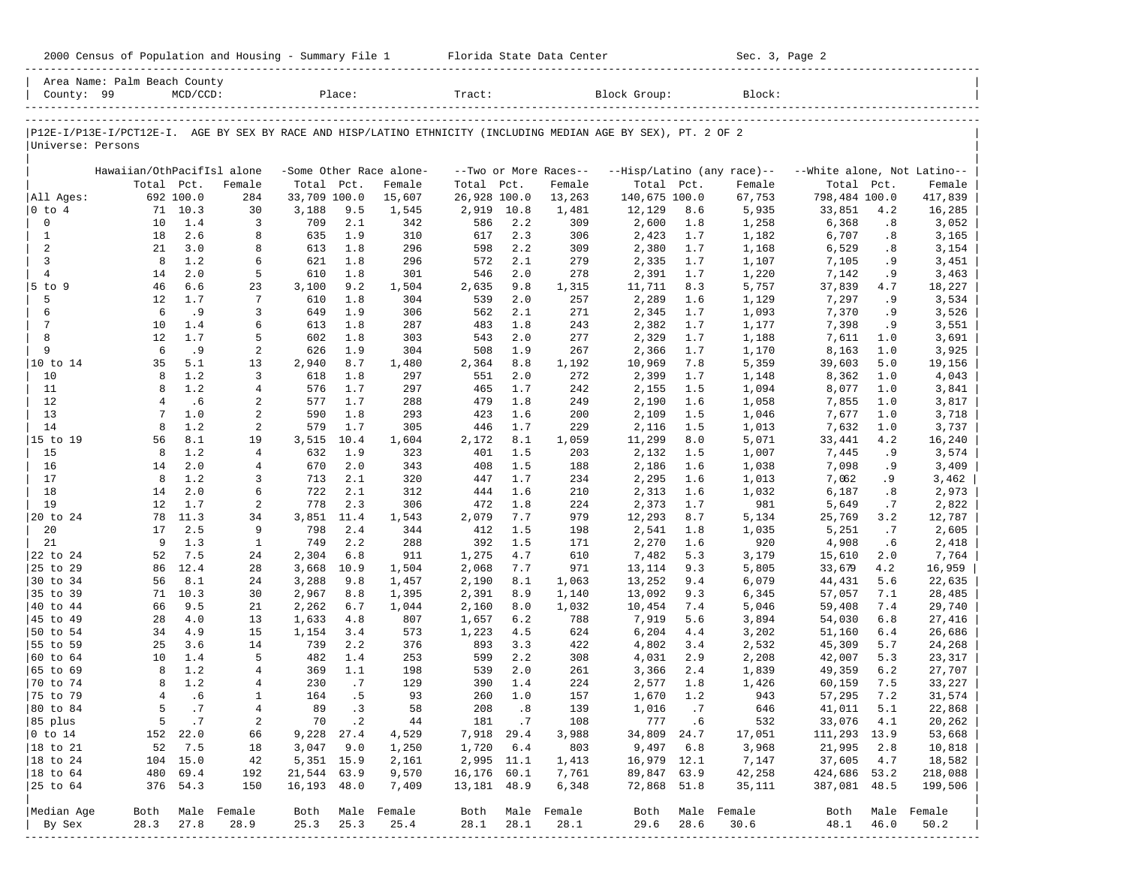| County: 99<br>Block Group:<br>$MCD/CCD$ :<br>Place:<br>Tract:<br>Block:<br>P12E-I/P13E-I/PCT12E-I. AGE BY SEX BY RACE AND HISP/LATINO ETHNICITY (INCLUDING MEDIAN AGE BY SEX), PT. 2 OF 2<br>Universe: Persons<br>Hawaiian/OthPacifIsl alone<br>-Some Other Race alone-<br>--White alone, Not Latino--<br>--Two or More Races--<br>--Hisp/Latino (any race)--<br>Total Pct.<br>Total Pct.<br>Total Pct.<br>Total Pct.<br>Total Pct.<br>Female<br>Female<br>Female<br>Female<br>All Ages:<br>692 100.0<br>284<br>33,709 100.0<br>26,928 100.0<br>140,675 100.0<br>67,753<br>798,484 100.0<br>15,607<br>13,263<br>$0$ to $4$<br>71 10.3<br>30<br>3,188<br>9.5<br>1,545<br>2,919<br>10.8<br>12,129<br>8.6<br>5,935<br>33,851<br>1,481<br>$\mathbf 0$<br>1.4<br>3<br>2.1<br>342<br>586<br>2.2<br>1,258<br>6,368<br>10<br>709<br>309<br>2,600<br>1.8<br>2.6<br>$\mathbf{1}$<br>18<br>8<br>635<br>1.9<br>310<br>617<br>2.3<br>1,182<br>6,707<br>306<br>2,423<br>1.7<br>2<br>21<br>3.0<br>1.8<br>296<br>598<br>2.2<br>8<br>613<br>309<br>2,380<br>1.7<br>1,168<br>6,529<br>3<br>8<br>1.2<br>6<br>621<br>1.8<br>296<br>572<br>2.1<br>279<br>1,107<br>2,335<br>1.7<br>7,105<br>$\overline{4}$<br>2.0<br>14<br>5<br>1.8<br>301<br>546<br>2.0<br>278<br>610<br>2,391<br>1.7<br>1,220<br>7,142<br>$5$ to $9$<br>46<br>6.6<br>23<br>3,100<br>9.2<br>2,635<br>9.8<br>1,315<br>5,757<br>1,504<br>11,711<br>8.3<br>37,839<br>5<br>12<br>1.7<br>$7\phantom{.0}$<br>1.8<br>539<br>2.0<br>1,129<br>610<br>304<br>257<br>2,289<br>1.6<br>7,297<br>6<br>6<br>.9<br>3<br>649<br>1.9<br>2.1<br>271<br>1,093<br>306<br>562<br>2,345<br>1.7<br>7,370<br>7<br>10<br>1.4<br>1.8<br>287<br>1.8<br>243<br>6<br>613<br>483<br>2,382<br>1.7<br>1,177<br>7,398<br>8<br>12<br>1.7<br>5<br>602<br>1.8<br>303<br>543<br>2.0<br>277<br>1,188<br>2,329<br>1.7<br>7,611<br>9<br>.9<br>1.9<br>6<br>2<br>626<br>304<br>508<br>1.9<br>267<br>2,366<br>1.7<br>1,170<br>8,163<br>10 to 14<br>35<br>5.1<br>13<br>2,940<br>8.7<br>1,480<br>8.8<br>1,192<br>5,359<br>39,603<br>2,364<br>10,969<br>7.8<br>1.2<br>10<br>8<br>3<br>1.8<br>297<br>2.0<br>272<br>618<br>551<br>2,399<br>1.7<br>1,148<br>8,362 |             |                  |
|------------------------------------------------------------------------------------------------------------------------------------------------------------------------------------------------------------------------------------------------------------------------------------------------------------------------------------------------------------------------------------------------------------------------------------------------------------------------------------------------------------------------------------------------------------------------------------------------------------------------------------------------------------------------------------------------------------------------------------------------------------------------------------------------------------------------------------------------------------------------------------------------------------------------------------------------------------------------------------------------------------------------------------------------------------------------------------------------------------------------------------------------------------------------------------------------------------------------------------------------------------------------------------------------------------------------------------------------------------------------------------------------------------------------------------------------------------------------------------------------------------------------------------------------------------------------------------------------------------------------------------------------------------------------------------------------------------------------------------------------------------------------------------------------------------------------------------------------------------------------------------------------------------------------------------------------------------------------------------------------------------------------------------------------------------------------------------------------------------------------------------------------------------|-------------|------------------|
|                                                                                                                                                                                                                                                                                                                                                                                                                                                                                                                                                                                                                                                                                                                                                                                                                                                                                                                                                                                                                                                                                                                                                                                                                                                                                                                                                                                                                                                                                                                                                                                                                                                                                                                                                                                                                                                                                                                                                                                                                                                                                                                                                            |             |                  |
|                                                                                                                                                                                                                                                                                                                                                                                                                                                                                                                                                                                                                                                                                                                                                                                                                                                                                                                                                                                                                                                                                                                                                                                                                                                                                                                                                                                                                                                                                                                                                                                                                                                                                                                                                                                                                                                                                                                                                                                                                                                                                                                                                            |             |                  |
|                                                                                                                                                                                                                                                                                                                                                                                                                                                                                                                                                                                                                                                                                                                                                                                                                                                                                                                                                                                                                                                                                                                                                                                                                                                                                                                                                                                                                                                                                                                                                                                                                                                                                                                                                                                                                                                                                                                                                                                                                                                                                                                                                            |             |                  |
|                                                                                                                                                                                                                                                                                                                                                                                                                                                                                                                                                                                                                                                                                                                                                                                                                                                                                                                                                                                                                                                                                                                                                                                                                                                                                                                                                                                                                                                                                                                                                                                                                                                                                                                                                                                                                                                                                                                                                                                                                                                                                                                                                            |             |                  |
|                                                                                                                                                                                                                                                                                                                                                                                                                                                                                                                                                                                                                                                                                                                                                                                                                                                                                                                                                                                                                                                                                                                                                                                                                                                                                                                                                                                                                                                                                                                                                                                                                                                                                                                                                                                                                                                                                                                                                                                                                                                                                                                                                            |             |                  |
|                                                                                                                                                                                                                                                                                                                                                                                                                                                                                                                                                                                                                                                                                                                                                                                                                                                                                                                                                                                                                                                                                                                                                                                                                                                                                                                                                                                                                                                                                                                                                                                                                                                                                                                                                                                                                                                                                                                                                                                                                                                                                                                                                            |             | Female           |
|                                                                                                                                                                                                                                                                                                                                                                                                                                                                                                                                                                                                                                                                                                                                                                                                                                                                                                                                                                                                                                                                                                                                                                                                                                                                                                                                                                                                                                                                                                                                                                                                                                                                                                                                                                                                                                                                                                                                                                                                                                                                                                                                                            |             | 417,839          |
|                                                                                                                                                                                                                                                                                                                                                                                                                                                                                                                                                                                                                                                                                                                                                                                                                                                                                                                                                                                                                                                                                                                                                                                                                                                                                                                                                                                                                                                                                                                                                                                                                                                                                                                                                                                                                                                                                                                                                                                                                                                                                                                                                            | 4.2         | 16,285           |
|                                                                                                                                                                                                                                                                                                                                                                                                                                                                                                                                                                                                                                                                                                                                                                                                                                                                                                                                                                                                                                                                                                                                                                                                                                                                                                                                                                                                                                                                                                                                                                                                                                                                                                                                                                                                                                                                                                                                                                                                                                                                                                                                                            | .8          | 3,052            |
|                                                                                                                                                                                                                                                                                                                                                                                                                                                                                                                                                                                                                                                                                                                                                                                                                                                                                                                                                                                                                                                                                                                                                                                                                                                                                                                                                                                                                                                                                                                                                                                                                                                                                                                                                                                                                                                                                                                                                                                                                                                                                                                                                            | .8<br>.8    | 3,165            |
|                                                                                                                                                                                                                                                                                                                                                                                                                                                                                                                                                                                                                                                                                                                                                                                                                                                                                                                                                                                                                                                                                                                                                                                                                                                                                                                                                                                                                                                                                                                                                                                                                                                                                                                                                                                                                                                                                                                                                                                                                                                                                                                                                            | . 9         | 3,154<br>3,451   |
|                                                                                                                                                                                                                                                                                                                                                                                                                                                                                                                                                                                                                                                                                                                                                                                                                                                                                                                                                                                                                                                                                                                                                                                                                                                                                                                                                                                                                                                                                                                                                                                                                                                                                                                                                                                                                                                                                                                                                                                                                                                                                                                                                            | .9          | 3,463            |
|                                                                                                                                                                                                                                                                                                                                                                                                                                                                                                                                                                                                                                                                                                                                                                                                                                                                                                                                                                                                                                                                                                                                                                                                                                                                                                                                                                                                                                                                                                                                                                                                                                                                                                                                                                                                                                                                                                                                                                                                                                                                                                                                                            | 4.7         | 18,227           |
|                                                                                                                                                                                                                                                                                                                                                                                                                                                                                                                                                                                                                                                                                                                                                                                                                                                                                                                                                                                                                                                                                                                                                                                                                                                                                                                                                                                                                                                                                                                                                                                                                                                                                                                                                                                                                                                                                                                                                                                                                                                                                                                                                            | .9          | 3,534            |
|                                                                                                                                                                                                                                                                                                                                                                                                                                                                                                                                                                                                                                                                                                                                                                                                                                                                                                                                                                                                                                                                                                                                                                                                                                                                                                                                                                                                                                                                                                                                                                                                                                                                                                                                                                                                                                                                                                                                                                                                                                                                                                                                                            | . 9         | 3,526            |
|                                                                                                                                                                                                                                                                                                                                                                                                                                                                                                                                                                                                                                                                                                                                                                                                                                                                                                                                                                                                                                                                                                                                                                                                                                                                                                                                                                                                                                                                                                                                                                                                                                                                                                                                                                                                                                                                                                                                                                                                                                                                                                                                                            | .9          | 3,551            |
|                                                                                                                                                                                                                                                                                                                                                                                                                                                                                                                                                                                                                                                                                                                                                                                                                                                                                                                                                                                                                                                                                                                                                                                                                                                                                                                                                                                                                                                                                                                                                                                                                                                                                                                                                                                                                                                                                                                                                                                                                                                                                                                                                            | 1.0         | 3,691            |
|                                                                                                                                                                                                                                                                                                                                                                                                                                                                                                                                                                                                                                                                                                                                                                                                                                                                                                                                                                                                                                                                                                                                                                                                                                                                                                                                                                                                                                                                                                                                                                                                                                                                                                                                                                                                                                                                                                                                                                                                                                                                                                                                                            | 1.0         | 3,925            |
|                                                                                                                                                                                                                                                                                                                                                                                                                                                                                                                                                                                                                                                                                                                                                                                                                                                                                                                                                                                                                                                                                                                                                                                                                                                                                                                                                                                                                                                                                                                                                                                                                                                                                                                                                                                                                                                                                                                                                                                                                                                                                                                                                            | 5.0         | 19,156           |
|                                                                                                                                                                                                                                                                                                                                                                                                                                                                                                                                                                                                                                                                                                                                                                                                                                                                                                                                                                                                                                                                                                                                                                                                                                                                                                                                                                                                                                                                                                                                                                                                                                                                                                                                                                                                                                                                                                                                                                                                                                                                                                                                                            | 1.0         | 4,043            |
| 1.2<br>11<br>8<br>$\overline{4}$<br>576<br>1.7<br>297<br>465<br>1.7<br>242<br>1,094<br>8,077<br>2,155<br>1.5                                                                                                                                                                                                                                                                                                                                                                                                                                                                                                                                                                                                                                                                                                                                                                                                                                                                                                                                                                                                                                                                                                                                                                                                                                                                                                                                                                                                                                                                                                                                                                                                                                                                                                                                                                                                                                                                                                                                                                                                                                               | 1.0         | 3,841            |
| .6<br>12<br>$\overline{4}$<br>2<br>577<br>1.7<br>288<br>479<br>1.8<br>249<br>2,190<br>1.6<br>1,058<br>7,855                                                                                                                                                                                                                                                                                                                                                                                                                                                                                                                                                                                                                                                                                                                                                                                                                                                                                                                                                                                                                                                                                                                                                                                                                                                                                                                                                                                                                                                                                                                                                                                                                                                                                                                                                                                                                                                                                                                                                                                                                                                | 1.0         | 3,817            |
| 13<br>1.0<br>2<br>590<br>1.8<br>293<br>423<br>1.6<br>7<br>200<br>2,109<br>1.5<br>1,046<br>7,677                                                                                                                                                                                                                                                                                                                                                                                                                                                                                                                                                                                                                                                                                                                                                                                                                                                                                                                                                                                                                                                                                                                                                                                                                                                                                                                                                                                                                                                                                                                                                                                                                                                                                                                                                                                                                                                                                                                                                                                                                                                            | 1.0         | 3,718            |
| 14<br>8<br>1.2<br>2<br>1.7<br>305<br>1.7<br>229<br>579<br>446<br>2,116<br>1.5<br>1,013<br>7,632                                                                                                                                                                                                                                                                                                                                                                                                                                                                                                                                                                                                                                                                                                                                                                                                                                                                                                                                                                                                                                                                                                                                                                                                                                                                                                                                                                                                                                                                                                                                                                                                                                                                                                                                                                                                                                                                                                                                                                                                                                                            | 1.0         | 3,737            |
| 8.1<br>15 to 19<br>56<br>19<br>3,515<br>10.4<br>1,604<br>2,172<br>8.1<br>1,059<br>5,071<br>11,299<br>8.0<br>33,441                                                                                                                                                                                                                                                                                                                                                                                                                                                                                                                                                                                                                                                                                                                                                                                                                                                                                                                                                                                                                                                                                                                                                                                                                                                                                                                                                                                                                                                                                                                                                                                                                                                                                                                                                                                                                                                                                                                                                                                                                                         | 4.2         | 16,240           |
| 1.2<br>15<br>8<br>$\overline{4}$<br>632<br>1.9<br>323<br>1.5<br>1,007<br>401<br>203<br>2,132<br>1.5<br>7,445                                                                                                                                                                                                                                                                                                                                                                                                                                                                                                                                                                                                                                                                                                                                                                                                                                                                                                                                                                                                                                                                                                                                                                                                                                                                                                                                                                                                                                                                                                                                                                                                                                                                                                                                                                                                                                                                                                                                                                                                                                               | .9          | 3,574            |
| 2.0<br>2.0<br>16<br>$\overline{4}$<br>670<br>343<br>408<br>1.5<br>2,186<br>1,038<br>7,098<br>14<br>188<br>1.6                                                                                                                                                                                                                                                                                                                                                                                                                                                                                                                                                                                                                                                                                                                                                                                                                                                                                                                                                                                                                                                                                                                                                                                                                                                                                                                                                                                                                                                                                                                                                                                                                                                                                                                                                                                                                                                                                                                                                                                                                                              | .9          | 3,409            |
| 1.2<br>17<br>8<br>2.1<br>320<br>1.7<br>234<br>3<br>713<br>447<br>2,295<br>1.6<br>1,013<br>7,062                                                                                                                                                                                                                                                                                                                                                                                                                                                                                                                                                                                                                                                                                                                                                                                                                                                                                                                                                                                                                                                                                                                                                                                                                                                                                                                                                                                                                                                                                                                                                                                                                                                                                                                                                                                                                                                                                                                                                                                                                                                            | . 9         | 3,462            |
| 2.0<br>18<br>14<br>6<br>722<br>2.1<br>312<br>444<br>1.6<br>210<br>2,313<br>1,032<br>6,187<br>1.6                                                                                                                                                                                                                                                                                                                                                                                                                                                                                                                                                                                                                                                                                                                                                                                                                                                                                                                                                                                                                                                                                                                                                                                                                                                                                                                                                                                                                                                                                                                                                                                                                                                                                                                                                                                                                                                                                                                                                                                                                                                           | .8          | 2,973            |
| 19<br>12<br>1.7<br>2<br>778<br>2.3<br>306<br>472<br>1.8<br>224<br>981<br>2,373<br>1.7<br>5,649                                                                                                                                                                                                                                                                                                                                                                                                                                                                                                                                                                                                                                                                                                                                                                                                                                                                                                                                                                                                                                                                                                                                                                                                                                                                                                                                                                                                                                                                                                                                                                                                                                                                                                                                                                                                                                                                                                                                                                                                                                                             | .7          | 2,822            |
| 20 to 24<br>78<br>11.3<br>34<br>3,851<br>11.4<br>1,543<br>2,079<br>7.7<br>979<br>12,293<br>5,134<br>8.7<br>25,769                                                                                                                                                                                                                                                                                                                                                                                                                                                                                                                                                                                                                                                                                                                                                                                                                                                                                                                                                                                                                                                                                                                                                                                                                                                                                                                                                                                                                                                                                                                                                                                                                                                                                                                                                                                                                                                                                                                                                                                                                                          | 3.2         | 12,787           |
| 20<br>17<br>2.5<br>9<br>798<br>2.4<br>344<br>412<br>1.5<br>198<br>1,035<br>2,541<br>1.8<br>5,251                                                                                                                                                                                                                                                                                                                                                                                                                                                                                                                                                                                                                                                                                                                                                                                                                                                                                                                                                                                                                                                                                                                                                                                                                                                                                                                                                                                                                                                                                                                                                                                                                                                                                                                                                                                                                                                                                                                                                                                                                                                           | .7          | 2,605            |
| 2.2<br>21<br>9<br>1.3<br>$\mathbf{1}$<br>749<br>288<br>392<br>1.5<br>2,270<br>920<br>4,908<br>171<br>1.6                                                                                                                                                                                                                                                                                                                                                                                                                                                                                                                                                                                                                                                                                                                                                                                                                                                                                                                                                                                                                                                                                                                                                                                                                                                                                                                                                                                                                                                                                                                                                                                                                                                                                                                                                                                                                                                                                                                                                                                                                                                   | .6          | 2,418            |
| 7.5<br>22 to 24<br>52<br>2,304<br>6.8<br>911<br>1,275<br>4.7<br>610<br>5.3<br>3,179<br>24<br>7,482<br>15,610<br>25 to 29                                                                                                                                                                                                                                                                                                                                                                                                                                                                                                                                                                                                                                                                                                                                                                                                                                                                                                                                                                                                                                                                                                                                                                                                                                                                                                                                                                                                                                                                                                                                                                                                                                                                                                                                                                                                                                                                                                                                                                                                                                   | 2.0         | 7,764            |
| 86<br>12.4<br>28<br>10.9<br>1,504<br>2,068<br>7.7<br>971<br>5,805<br>33,679<br>3,668<br>13,114<br>9.3<br>8.1<br>30 to 34<br>56<br>9.8<br>8.1                                                                                                                                                                                                                                                                                                                                                                                                                                                                                                                                                                                                                                                                                                                                                                                                                                                                                                                                                                                                                                                                                                                                                                                                                                                                                                                                                                                                                                                                                                                                                                                                                                                                                                                                                                                                                                                                                                                                                                                                               | 4.2<br>5.6  | 16,959           |
| 3,288<br>6,079<br>24<br>1,457<br>2,190<br>1,063<br>13,252<br>9.4<br>44,431<br>10.3<br>35 to 39<br>30<br>2,967<br>8.8<br>2,391<br>8.9<br>1,140<br>6,345<br>71<br>9.3                                                                                                                                                                                                                                                                                                                                                                                                                                                                                                                                                                                                                                                                                                                                                                                                                                                                                                                                                                                                                                                                                                                                                                                                                                                                                                                                                                                                                                                                                                                                                                                                                                                                                                                                                                                                                                                                                                                                                                                        | 7.1         | 22,635           |
| 1,395<br>13,092<br>57,057<br>40 to 44<br>66<br>9.5<br>6.7<br>8.0<br>5,046<br>21<br>2,262<br>1,044<br>2,160<br>1,032<br>10,454<br>7.4<br>59,408                                                                                                                                                                                                                                                                                                                                                                                                                                                                                                                                                                                                                                                                                                                                                                                                                                                                                                                                                                                                                                                                                                                                                                                                                                                                                                                                                                                                                                                                                                                                                                                                                                                                                                                                                                                                                                                                                                                                                                                                             | 7.4         | 28,485<br>29,740 |
| 45 to 49<br>28<br>4.0<br>13<br>4.8<br>1,657<br>6.2<br>788<br>7,919<br>5.6<br>3,894<br>54,030<br>1,633<br>807                                                                                                                                                                                                                                                                                                                                                                                                                                                                                                                                                                                                                                                                                                                                                                                                                                                                                                                                                                                                                                                                                                                                                                                                                                                                                                                                                                                                                                                                                                                                                                                                                                                                                                                                                                                                                                                                                                                                                                                                                                               | 6.8         | 27,416           |
| 50 to 54<br>34<br>4.9<br>15<br>3.4<br>573<br>1,223<br>4.5<br>624<br>3,202<br>1,154<br>6,204<br>4.4<br>51,160                                                                                                                                                                                                                                                                                                                                                                                                                                                                                                                                                                                                                                                                                                                                                                                                                                                                                                                                                                                                                                                                                                                                                                                                                                                                                                                                                                                                                                                                                                                                                                                                                                                                                                                                                                                                                                                                                                                                                                                                                                               | 6.4         | 26,686           |
| 55 to 59<br>25<br>3.6<br>14<br>739<br>2.2<br>376<br>893<br>3.3<br>422<br>4,802<br>2,532<br>3.4<br>45,309                                                                                                                                                                                                                                                                                                                                                                                                                                                                                                                                                                                                                                                                                                                                                                                                                                                                                                                                                                                                                                                                                                                                                                                                                                                                                                                                                                                                                                                                                                                                                                                                                                                                                                                                                                                                                                                                                                                                                                                                                                                   | 5.7         | 24,268           |
| 1.4<br>1.4<br>2.2<br>60 to 64<br>10<br>5<br>482<br>253<br>599<br>2,208<br>308<br>4,031<br>2.9<br>42,007                                                                                                                                                                                                                                                                                                                                                                                                                                                                                                                                                                                                                                                                                                                                                                                                                                                                                                                                                                                                                                                                                                                                                                                                                                                                                                                                                                                                                                                                                                                                                                                                                                                                                                                                                                                                                                                                                                                                                                                                                                                    | 5.3         | 23,317           |
| 65 to 69<br>8<br>1.2<br>$\overline{4}$<br>1.1<br>198<br>539<br>2.0<br>1,839<br>369<br>261<br>3,366<br>2.4<br>49,359                                                                                                                                                                                                                                                                                                                                                                                                                                                                                                                                                                                                                                                                                                                                                                                                                                                                                                                                                                                                                                                                                                                                                                                                                                                                                                                                                                                                                                                                                                                                                                                                                                                                                                                                                                                                                                                                                                                                                                                                                                        | 6.2         | 27,707           |
| 1.2<br>70 to 74<br>8<br>230<br>.7<br>129<br>1.4<br>224<br>4<br>390<br>2,577<br>1.8<br>1,426<br>60,159                                                                                                                                                                                                                                                                                                                                                                                                                                                                                                                                                                                                                                                                                                                                                                                                                                                                                                                                                                                                                                                                                                                                                                                                                                                                                                                                                                                                                                                                                                                                                                                                                                                                                                                                                                                                                                                                                                                                                                                                                                                      | 7.5         | 33,227           |
| .6<br>75 to 79<br>$\overline{4}$<br>164<br>.5<br>93<br>260<br>1.0<br>157<br>1.2<br>943<br>57,295<br>1<br>1,670                                                                                                                                                                                                                                                                                                                                                                                                                                                                                                                                                                                                                                                                                                                                                                                                                                                                                                                                                                                                                                                                                                                                                                                                                                                                                                                                                                                                                                                                                                                                                                                                                                                                                                                                                                                                                                                                                                                                                                                                                                             | 7.2         | 31,574           |
| 80 to 84<br>5<br>.7<br>$\overline{4}$<br>89<br>$\cdot$ 3<br>58<br>208<br>.8<br>139<br>1,016<br>.7<br>646<br>41,011                                                                                                                                                                                                                                                                                                                                                                                                                                                                                                                                                                                                                                                                                                                                                                                                                                                                                                                                                                                                                                                                                                                                                                                                                                                                                                                                                                                                                                                                                                                                                                                                                                                                                                                                                                                                                                                                                                                                                                                                                                         | 5.1         | 22,868           |
| $5 \qquad .7$<br>2<br>70 .2<br>44<br>$\cdot$ 7<br>532<br>85 plus<br>181<br>108<br>777.6<br>33,076                                                                                                                                                                                                                                                                                                                                                                                                                                                                                                                                                                                                                                                                                                                                                                                                                                                                                                                                                                                                                                                                                                                                                                                                                                                                                                                                                                                                                                                                                                                                                                                                                                                                                                                                                                                                                                                                                                                                                                                                                                                          | 4.1         | 20,262           |
| $0$ to $14$<br>152 22.0<br>9,228 27.4<br>4,529<br>7,918 29.4<br>3,988<br>34,809 24.7<br>17,051<br>111,293 13.9<br>66                                                                                                                                                                                                                                                                                                                                                                                                                                                                                                                                                                                                                                                                                                                                                                                                                                                                                                                                                                                                                                                                                                                                                                                                                                                                                                                                                                                                                                                                                                                                                                                                                                                                                                                                                                                                                                                                                                                                                                                                                                       |             | 53,668           |
| 7.5<br>3,968<br>21,995<br>18 to 21<br>52<br>3,047<br>9.0<br>1,250<br>1,720<br>6.4<br>803<br>9,497<br>6.8<br>18                                                                                                                                                                                                                                                                                                                                                                                                                                                                                                                                                                                                                                                                                                                                                                                                                                                                                                                                                                                                                                                                                                                                                                                                                                                                                                                                                                                                                                                                                                                                                                                                                                                                                                                                                                                                                                                                                                                                                                                                                                             | 2.8         | 10,818           |
| 5,351 15.9<br>37,605<br>$ 18$ to $24$<br>104 15.0<br>42<br>2,161<br>2,995 11.1<br>1,413<br>16,979 12.1<br>7,147                                                                                                                                                                                                                                                                                                                                                                                                                                                                                                                                                                                                                                                                                                                                                                                                                                                                                                                                                                                                                                                                                                                                                                                                                                                                                                                                                                                                                                                                                                                                                                                                                                                                                                                                                                                                                                                                                                                                                                                                                                            | 4.7         | 18,582           |
| 21,544 63.9<br>424,686 53.2<br>18 to 64<br>480 69.4<br>192<br>9,570<br>16,176 60.1<br>7,761<br>89,847 63.9<br>42,258                                                                                                                                                                                                                                                                                                                                                                                                                                                                                                                                                                                                                                                                                                                                                                                                                                                                                                                                                                                                                                                                                                                                                                                                                                                                                                                                                                                                                                                                                                                                                                                                                                                                                                                                                                                                                                                                                                                                                                                                                                       |             | 218,088          |
| 16,193 48.0<br>13, 181 48.9<br>25 to 64<br>376 54.3<br>150<br>7,409<br>6,348<br>72,868 51.8<br>35,111<br>387,081 48.5                                                                                                                                                                                                                                                                                                                                                                                                                                                                                                                                                                                                                                                                                                                                                                                                                                                                                                                                                                                                                                                                                                                                                                                                                                                                                                                                                                                                                                                                                                                                                                                                                                                                                                                                                                                                                                                                                                                                                                                                                                      |             | 199,506          |
|                                                                                                                                                                                                                                                                                                                                                                                                                                                                                                                                                                                                                                                                                                                                                                                                                                                                                                                                                                                                                                                                                                                                                                                                                                                                                                                                                                                                                                                                                                                                                                                                                                                                                                                                                                                                                                                                                                                                                                                                                                                                                                                                                            |             |                  |
| Median Age<br>Both<br>Male Female<br>Male Female<br>Both Male Female<br>Both Male Female<br>Both<br>Both<br>25.3<br>28.6<br>By Sex<br>28.3<br>27.8<br>28.9<br>25.3<br>25.4<br>28.1<br>28.1<br>28.1<br>29.6<br>30.6<br>48.1                                                                                                                                                                                                                                                                                                                                                                                                                                                                                                                                                                                                                                                                                                                                                                                                                                                                                                                                                                                                                                                                                                                                                                                                                                                                                                                                                                                                                                                                                                                                                                                                                                                                                                                                                                                                                                                                                                                                 | Male Female |                  |
|                                                                                                                                                                                                                                                                                                                                                                                                                                                                                                                                                                                                                                                                                                                                                                                                                                                                                                                                                                                                                                                                                                                                                                                                                                                                                                                                                                                                                                                                                                                                                                                                                                                                                                                                                                                                                                                                                                                                                                                                                                                                                                                                                            | 46.0        | 50.2             |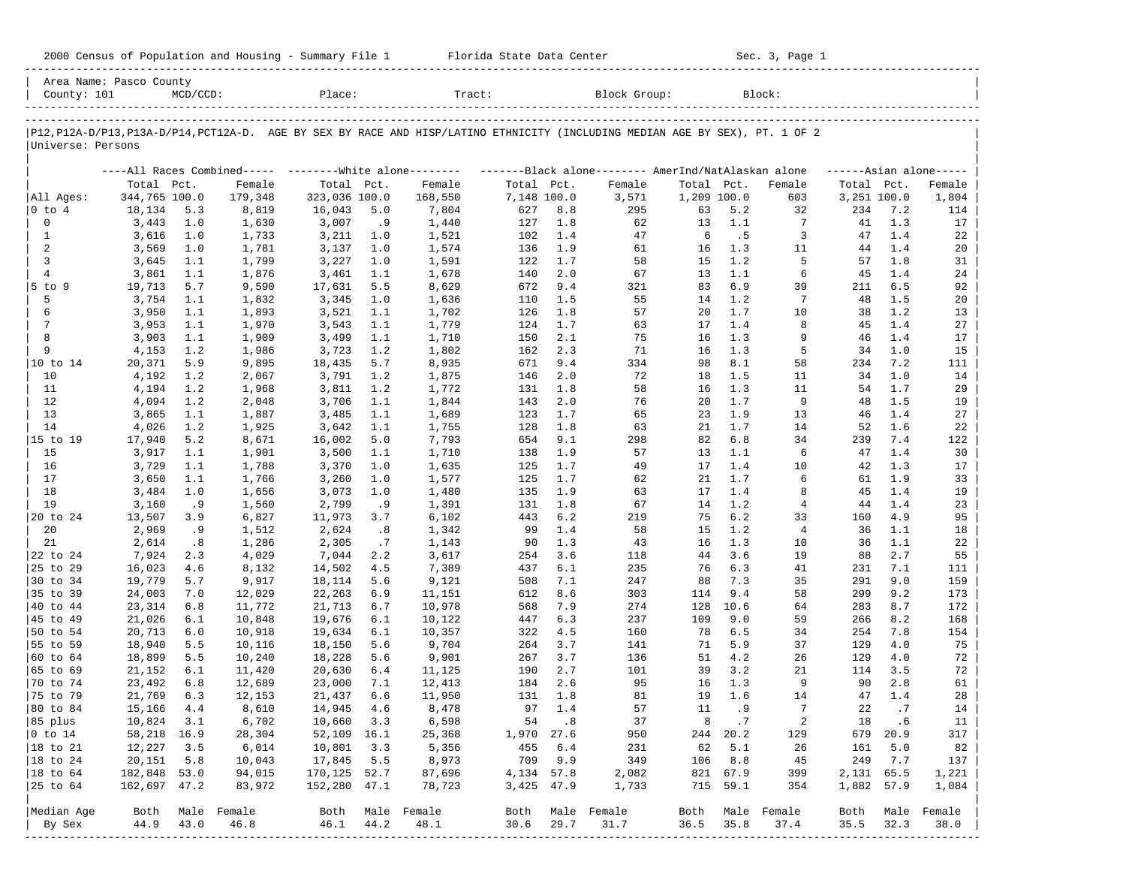| 2000 Census of Population and Housing - Summary File 1 |  | Florida State Data Center | Sec. 3, Page 1 |
|--------------------------------------------------------|--|---------------------------|----------------|
|--------------------------------------------------------|--|---------------------------|----------------|

| Area Name: Pasco County<br>County: 101 |                  | $MCD/CCD$ : |                                                           | Place:           |            | Tract:           |             |            | Block Group:                                                                                                                  |             |                 | Block:                |            |             |                     |
|----------------------------------------|------------------|-------------|-----------------------------------------------------------|------------------|------------|------------------|-------------|------------|-------------------------------------------------------------------------------------------------------------------------------|-------------|-----------------|-----------------------|------------|-------------|---------------------|
|                                        |                  |             |                                                           |                  |            |                  |             |            | P12, P12A-D/P13, P13A-D/P14, PCT12A-D. AGE BY SEX BY RACE AND HISP/LATINO ETHNICITY (INCLUDING MEDIAN AGE BY SEX), PT. 1 OF 2 |             |                 |                       |            |             |                     |
| Universe: Persons                      |                  |             |                                                           |                  |            |                  |             |            |                                                                                                                               |             |                 |                       |            |             |                     |
|                                        |                  |             | ----All Races Combined----- --------- White alone-------- |                  |            |                  |             |            | -------Black alone-------- AmerInd/NatAlaskan alone                                                                           |             |                 |                       |            |             | $---Asian alone---$ |
|                                        | Total Pct.       |             | Female                                                    | Total Pct.       |            | Female           | Total Pct.  |            | Female                                                                                                                        | Total Pct.  |                 | Female                |            | Total Pct.  | Female              |
| All Ages:                              | 344,765 100.0    |             | 179,348                                                   | 323,036 100.0    |            | 168,550          | 7,148 100.0 |            | 3,571                                                                                                                         | 1,209 100.0 |                 | 603                   |            | 3,251 100.0 | 1,804               |
| $ 0 \t{to} 4$                          | 18,134           | 5.3         | 8,819                                                     | 16,043           | 5.0        | 7,804            | 627         | 8.8        | 295                                                                                                                           | 63          | 5.2             | 32                    | 234        | 7.2         | 114                 |
| $\mathbf 0$                            | 3,443            | 1.0         | 1,630                                                     | 3,007            | .9         | 1,440            | 127         | 1.8        | 62                                                                                                                            | 13          | 1.1             | 7                     | 41         | 1.3         | 17                  |
| 1                                      | 3,616            | 1.0         | 1,733                                                     | 3,211            | 1.0        | 1,521            | 102         | 1.4        | 47                                                                                                                            | 6           | . 5             | 3                     | 47         | 1.4         | 22                  |
| 2                                      | 3,569            | 1.0         | 1,781                                                     | 3,137            | 1.0        | 1,574            | 136         | 1.9        | 61                                                                                                                            | 16          | 1.3             | 11                    | 44         | 1.4         | 20                  |
| 3                                      | 3,645            | 1.1         | 1,799                                                     | 3,227            | 1.0        | 1,591            | 122         | 1.7        | 58                                                                                                                            | 15          | 1.2             | 5                     | 57         | 1.8         | 31                  |
| $\overline{4}$                         | 3,861            | 1.1         | 1,876                                                     | 3,461            | 1.1<br>5.5 | 1,678            | 140         | 2.0        | 67                                                                                                                            | 13<br>83    | 1.1<br>6.9      | 6                     | 45         | 1.4<br>6.5  | 24                  |
| $5$ to $9$<br>5                        | 19,713<br>3,754  | 5.7<br>1.1  | 9,590<br>1,832                                            | 17,631<br>3,345  | 1.0        | 8,629<br>1,636   | 672<br>110  | 9.4<br>1.5 | 321<br>55                                                                                                                     | 14          | 1.2             | 39<br>$7\phantom{.0}$ | 211<br>48  | 1.5         | 92<br>20            |
| 6                                      | 3,950            | 1.1         | 1,893                                                     | 3,521            | 1.1        | 1,702            | 126         | 1.8        | 57                                                                                                                            | 20          | 1.7             | 10                    | 38         | 1.2         | 13                  |
| 7                                      | 3,953            | 1.1         | 1,970                                                     | 3,543            | 1.1        | 1,779            | 124         | 1.7        | 63                                                                                                                            | 17          | 1.4             | 8                     | 45         | 1.4         | 27                  |
| 8                                      | 3,903            | 1.1         | 1,909                                                     | 3,499            | 1.1        | 1,710            | 150         | 2.1        | 75                                                                                                                            | 16          | 1.3             | 9                     | 46         | 1.4         | 17                  |
| 9                                      | 4,153            | 1.2         | 1,986                                                     | 3,723            | 1.2        | 1,802            | 162         | 2.3        | 71                                                                                                                            | 16          | 1.3             | 5                     | 34         | 1.0         | 15                  |
| 10 to 14                               | 20,371           | 5.9         | 9,895                                                     | 18,435           | 5.7        | 8,935            | 671         | 9.4        | 334                                                                                                                           | 98          | 8.1             | 58                    | 234        | 7.2         | 111                 |
| 10                                     | 4,192            | 1.2         | 2,067                                                     | 3,791            | 1.2        | 1,875            | 146         | 2.0        | 72                                                                                                                            | 18          | 1.5             | 11                    | 34         | 1.0         | 14                  |
| 11                                     | 4,194            | 1.2         | 1,968                                                     | 3,811            | 1.2        | 1,772            | 131         | 1.8        | 58                                                                                                                            | 16          | 1.3             | 11                    | 54         | 1.7         | 29                  |
| 12                                     | 4,094            | 1.2         | 2,048                                                     | 3,706            | 1.1        | 1,844            | 143         | 2.0        | 76                                                                                                                            | 20          | 1.7             | 9                     | 48         | 1.5         | 19                  |
| 13                                     | 3,865            | 1.1         | 1,887                                                     | 3,485            | 1.1        | 1,689            | 123         | 1.7        | 65                                                                                                                            | 23          | 1.9             | 13                    | 46         | 1.4         | 27                  |
| 14                                     | 4,026            | 1.2         | 1,925                                                     | 3,642            | 1.1        | 1,755            | 128         | 1.8        | 63                                                                                                                            | 21          | 1.7             | 14                    | 52         | 1.6         | 22                  |
| 15 to 19                               | 17,940           | 5.2         | 8,671                                                     | 16,002           | 5.0        | 7,793            | 654         | 9.1        | 298                                                                                                                           | 82          | 6.8             | 34                    | 239        | 7.4         | 122                 |
| 15                                     | 3,917            | 1.1         | 1,901                                                     | 3,500            | 1.1        | 1,710            | 138         | 1.9        | 57                                                                                                                            | 13          | 1.1             | 6                     | 47         | 1.4         | 30                  |
| 16                                     | 3,729            | 1.1         | 1,788                                                     | 3,370            | 1.0        | 1,635            | 125         | 1.7        | 49                                                                                                                            | 17          | 1.4             | 10                    | 42         | 1.3         | 17                  |
| 17                                     | 3,650            | 1.1         | 1,766                                                     | 3,260            | 1.0        | 1,577            | 125         | 1.7        | 62                                                                                                                            | 21          | 1.7             | 6                     | 61         | 1.9         | 33                  |
| 18                                     | 3,484            | 1.0         | 1,656                                                     | 3,073            | 1.0        | 1,480            | 135         | 1.9        | 63                                                                                                                            | 17          | 1.4             | 8                     | 45         | 1.4         | 19                  |
| 19                                     | 3,160            | . 9         | 1,560                                                     | 2,799            | . 9        | 1,391            | 131         | 1.8        | 67                                                                                                                            | 14          | 1.2             | $\overline{4}$        | 44         | 1.4         | 23                  |
| 20 to 24                               | 13,507           | 3.9         | 6,827                                                     | 11,973           | 3.7        | 6,102            | 443         | 6.2        | 219                                                                                                                           | 75          | 6.2             | 33                    | 160        | 4.9         | 95                  |
| 20                                     | 2,969            | . 9         | 1,512                                                     | 2,624            | .8         | 1,342            | 99          | 1.4        | 58                                                                                                                            | 15          | 1.2             | $\overline{4}$        | 36         | 1.1         | 18                  |
| 21                                     | 2,614            | .8          | 1,286                                                     | 2,305            | .7         | 1,143            | 90          | 1.3        | 43                                                                                                                            | 16          | 1.3             | 10                    | 36         | 1.1         | 22                  |
| 22 to 24                               | 7,924            | 2.3         | 4,029                                                     | 7,044            | 2.2        | 3,617            | 254         | 3.6        | 118                                                                                                                           | 44          | 3.6             | 19                    | 88         | 2.7         | 55                  |
| 25 to 29                               | 16,023           | 4.6         | 8,132                                                     | 14,502           | 4.5        | 7,389            | 437         | 6.1        | 235                                                                                                                           | 76          | 6.3             | 41                    | 231        | 7.1         | 111                 |
| 30 to 34                               | 19,779           | 5.7         | 9,917                                                     | 18,114           | 5.6        | 9,121            | 508         | 7.1        | 247                                                                                                                           | 88          | 7.3             | 35                    | 291        | 9.0         | 159                 |
| 35 to 39                               | 24,003           | 7.0         | 12,029                                                    | 22,263           | 6.9        | 11,151           | 612         | 8.6        | 303                                                                                                                           | 114         | 9.4             | 58                    | 299        | 9.2         | 173                 |
| 40 to 44                               | 23,314           | 6.8         | 11,772                                                    | 21,713           | 6.7        | 10,978           | 568         | 7.9        | 274                                                                                                                           | 128         | 10.6            | 64                    | 283        | 8.7         | 172                 |
| 45 to 49                               | 21,026           | 6.1         | 10,848                                                    | 19,676           | 6.1        | 10,122           | 447         | 6.3        | 237                                                                                                                           | 109         | 9.0             | 59                    | 266        | 8.2         | 168                 |
| 50 to 54                               | 20,713           | 6.0         | 10,918                                                    | 19,634           | 6.1        | 10,357           | 322         | 4.5        | 160                                                                                                                           | 78          | 6.5             | 34                    | 254        | 7.8         | 154                 |
| 55 to 59                               | 18,940           | 5.5         | 10,116                                                    | 18,150           | 5.6        | 9,704            | 264         | 3.7        | 141                                                                                                                           | 71          | 5.9             | 37                    | 129        | 4.0         | 75                  |
| 60 to 64                               | 18,899           | 5.5         | 10,240                                                    | 18,228           | 5.6        | 9,901            | 267         | 3.7        | 136                                                                                                                           | 51          | 4.2             | 26                    | 129        | 4.0         | 72                  |
| 65 to 69                               | 21,152           | 6.1         | 11,420                                                    | 20,630           | 6.4        | 11,125           | 190         | 2.7        | 101                                                                                                                           | 39          | 3.2             | 21                    | 114        | 3.5         | 72                  |
| 70 to 74                               | 23,492           | 6.8         | 12,689                                                    | 23,000           | 7.1        | 12,413           | 184         | 2.6        | 95                                                                                                                            | 16          | 1.3             | 9                     | 90         | 2.8         | 61                  |
| 75 to 79                               | 21,769           | 6.3         | 12,153                                                    | 21,437           | 6.6        | 11,950           | 131         | 1.8        | 81                                                                                                                            | 19          | 1.6             | 14                    | 47         | 1.4         | 28                  |
| 80 to 84                               | 15,166           | 4.4         | 8,610                                                     | 14,945           | 4.6        | 8,478            | 97          | 1.4        | 57                                                                                                                            | 11          | . 9             | $7\phantom{.0}$       | 22         | .7          | 14                  |
| 85 plus<br>$ 0 \t{to} 14$              | 10,824           | 3.1         | 6,702                                                     | 10,660 3.3       |            | 6,598            | 1,970 27.6  | 54.8       | 37                                                                                                                            | 8           | $\cdot$ 7       | 2                     | 18         | .6          | 11                  |
| 18 to 21                               | 58,218 16.9      | 3.5         | 28,304                                                    | 52,109 16.1      | 3.3        | 25,368           |             | 6.4        | 950                                                                                                                           |             | 244 20.2<br>5.1 | 129                   | 679        | 20.9<br>5.0 | 317                 |
|                                        | 12,227<br>20,151 | 5.8         | 6,014                                                     | 10,801<br>17,845 | 5.5        | 5,356<br>8,973   | 455<br>709  | 9.9        | 231<br>349                                                                                                                    | 62          | 106 8.8         | 26<br>45              | 161<br>249 | 7.7         | 82<br>137           |
| 18 to 24<br>18 to 64                   | 182,848 53.0     |             | 10,043<br>94,015                                          | 170, 125 52.7    |            | 87,696           | 4,134 57.8  |            | 2,082                                                                                                                         |             | 821 67.9        | 399                   |            | 2,131 65.5  | 1,221               |
| 25 to 64                               | 162,697 47.2     |             | 83,972                                                    | 152,280 47.1     |            | 78,723           | 3,425 47.9  |            | 1,733                                                                                                                         |             | 715 59.1        | 354                   |            | 1,882 57.9  | 1,084               |
|                                        |                  |             |                                                           |                  |            |                  |             |            |                                                                                                                               |             |                 |                       |            |             |                     |
| Median Age                             | Both             |             | Male Female                                               |                  |            | Both Male Female | Both        |            | Male Female                                                                                                                   |             |                 | Both Male Female      | Both       | Male        | Female              |
| By Sex                                 | 44.9             | 43.0        | 46.8                                                      | 46.1             | 44.2       | 48.1             | 30.6        | 29.7       | 31.7                                                                                                                          | 36.5        | 35.8            | 37.4                  | 35.5       | 32.3        | 38.0                |
| ---------                              |                  |             |                                                           |                  |            |                  |             |            |                                                                                                                               |             |                 |                       |            |             |                     |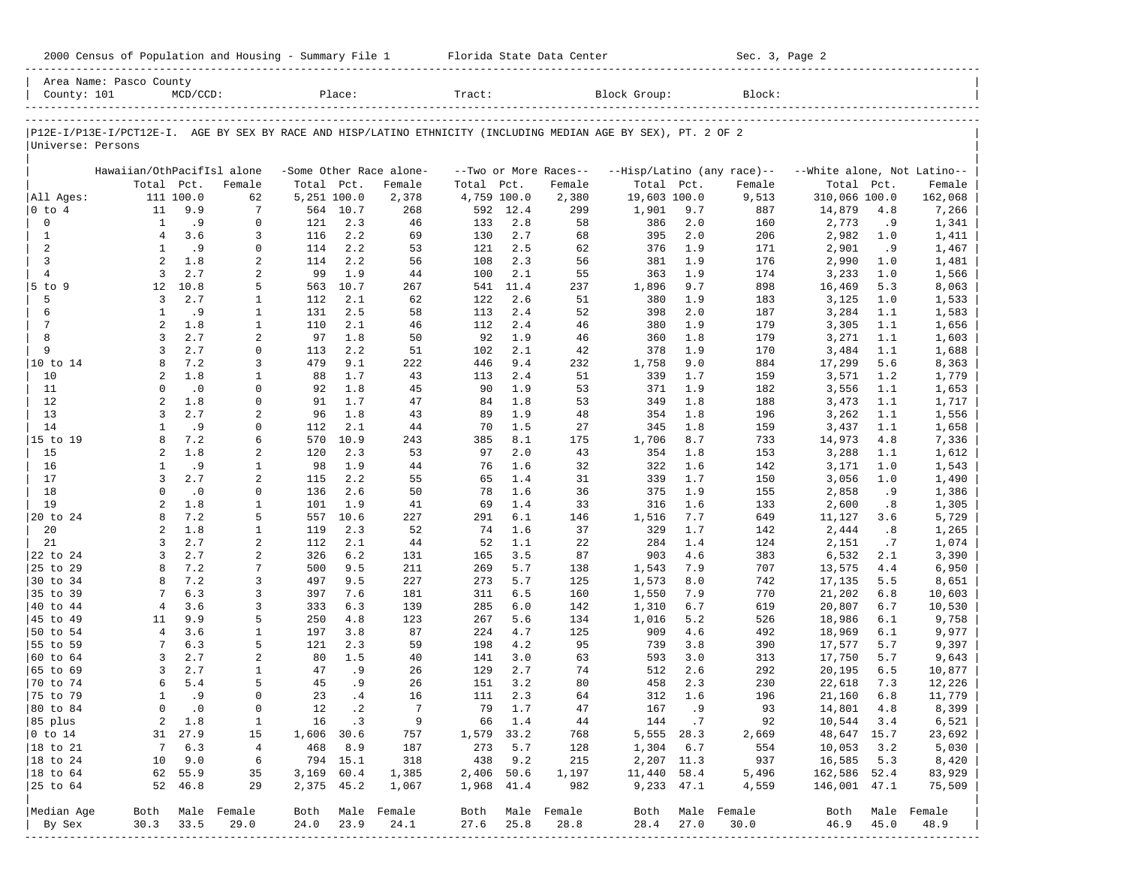| County: 101          | Area Name: Pasco County    | $MCD/CCD$ :            |                  |             | Place:     |                         | Tract:      |            |                       | Block Group:                                                                                                   |                  | Block:     |                             |            |                 |
|----------------------|----------------------------|------------------------|------------------|-------------|------------|-------------------------|-------------|------------|-----------------------|----------------------------------------------------------------------------------------------------------------|------------------|------------|-----------------------------|------------|-----------------|
|                      |                            |                        |                  |             |            |                         |             |            |                       |                                                                                                                |                  |            |                             |            |                 |
|                      |                            |                        |                  |             |            |                         |             |            |                       | P12E-I/P13E-I/PCT12E-I. AGE BY SEX BY RACE AND HISP/LATINO ETHNICITY (INCLUDING MEDIAN AGE BY SEX), PT. 2 OF 2 |                  |            |                             |            |                 |
| Universe: Persons    |                            |                        |                  |             |            |                         |             |            |                       |                                                                                                                |                  |            |                             |            |                 |
|                      | Hawaiian/OthPacifIsl alone |                        |                  |             |            | -Some Other Race alone- |             |            | --Two or More Races-- | --Hisp/Latino (any race)--                                                                                     |                  |            | --White alone, Not Latino-- |            |                 |
|                      |                            | Total Pct.             | Female           | Total Pct.  |            | Female                  | Total       | Pct.       | Female                | Total Pct.                                                                                                     |                  | Female     | Total Pct.                  |            | Female          |
| All Ages:            |                            | 111 100.0              | 62               | 5,251 100.0 |            | 2,378                   | 4,759 100.0 |            | 2,380                 | 19,603 100.0                                                                                                   |                  | 9,513      | 310,066 100.0               |            | 162,068         |
| $ 0 \t{to} 4$        | 11                         | 9.9                    | 7                |             | 564 10.7   | 268                     |             | 592 12.4   | 299                   | 1,901                                                                                                          | 9.7              | 887        | 14,879                      | 4.8        | 7,266           |
| 0                    | 1                          | .9                     | $\mathbf 0$      | 121         | 2.3        | 46                      | 133         | 2.8        | 58                    | 386                                                                                                            | 2.0              | 160        | 2,773                       | .9         | 1,341           |
| $\mathbf{1}$         | $\overline{4}$             | 3.6                    | 3                | 116         | 2.2        | 69                      | 130         | 2.7        | 68                    | 395                                                                                                            | 2.0              | 206        | 2,982                       | 1.0        | 1,411           |
| 2                    | $\mathbf{1}$               | .9                     | $\mathbf 0$      | 114         | 2.2        | 53                      | 121         | 2.5        | 62                    | 376                                                                                                            | 1.9              | 171        | 2,901                       | .9         | 1,467           |
| 3                    | 2                          | 1.8                    | 2                | 114         | 2.2        | 56                      | 108         | 2.3        | 56                    | 381                                                                                                            | 1.9              | 176        | 2,990                       | 1.0        | 1,481           |
| $\overline{4}$       | $\overline{3}$             | 2.7                    | 2                | 99          | 1.9        | 44                      | 100         | 2.1        | 55                    | 363                                                                                                            | 1.9              | 174        | 3,233                       | 1.0        | 1,566           |
| 5 to 9               | 12                         | 10.8                   | 5                | 563         | 10.7       | 267                     | 541         | 11.4       | 237                   | 1,896                                                                                                          | 9.7              | 898        | 16,469                      | 5.3        | 8,063           |
| 5                    | 3                          | 2.7                    | 1                | 112         | 2.1        | 62                      | 122         | 2.6        | 51                    | 380                                                                                                            | 1.9              | 183        | 3,125                       | 1.0        | 1,533           |
| 6                    | 1                          | .9                     | 1                | 131         | 2.5        | 58                      | 113         | 2.4        | 52                    | 398                                                                                                            | 2.0              | 187        | 3,284                       | 1.1        | 1,583           |
| $\overline{7}$<br>8  | 2<br>3                     | 1.8<br>2.7             | $\mathbf{1}$     | 110<br>97   | 2.1<br>1.8 | 46                      | 112         | 2.4        | 46<br>46              | 380                                                                                                            | 1.9              | 179        | 3,305                       | 1.1        | 1,656           |
| 9                    | $\overline{3}$             | 2.7                    | 2<br>$\mathbf 0$ | 113         | 2.2        | 50<br>51                | 92<br>102   | 1.9<br>2.1 | 42                    | 360                                                                                                            | 1.8<br>1.9       | 179        | 3,271                       | 1.1<br>1.1 | 1,603           |
| 10 to 14             | 8                          | 7.2                    | 3                | 479         | 9.1        | 222                     | 446         | 9.4        | 232                   | 378<br>1,758                                                                                                   | 9.0              | 170<br>884 | 3,484<br>17,299             | 5.6        | 1,688<br>8,363  |
| 10                   | $\overline{a}$             | 1.8                    | 1                | 88          | 1.7        | 43                      | 113         | 2.4        | 51                    | 339                                                                                                            | 1.7              | 159        | 3,571                       | 1.2        | 1,779           |
| 11                   | $\Omega$                   | $\cdot$ 0              | $\mathbf 0$      | 92          | 1.8        | 45                      | 90          | 1.9        | 53                    | 371                                                                                                            | 1.9              | 182        | 3,556                       | 1.1        | 1,653           |
| 12                   | $\overline{a}$             | 1.8                    | $\mathbf 0$      | 91          | 1.7        | 47                      | 84          | 1.8        | 53                    | 349                                                                                                            | 1.8              | 188        | 3,473                       | 1.1        | 1,717           |
| 13                   | 3                          | 2.7                    | 2                | 96          | 1.8        | 43                      | 89          | 1.9        | 48                    | 354                                                                                                            | 1.8              | 196        | 3,262                       | 1.1        | 1,556           |
| 14                   | $\mathbf{1}$               | .9                     | $\mathbf 0$      | 112         | 2.1        | 44                      | 70          | 1.5        | 27                    | 345                                                                                                            | 1.8              | 159        | 3,437                       | 1.1        | 1,658           |
| 15 to 19             | 8                          | 7.2                    | 6                | 570         | 10.9       | 243                     | 385         | 8.1        | 175                   | 1,706                                                                                                          | 8.7              | 733        | 14,973                      | 4.8        | 7,336           |
| 15                   | $\overline{a}$             | 1.8                    | 2                | 120         | 2.3        | 53                      | 97          | 2.0        | 43                    | 354                                                                                                            | 1.8              | 153        | 3,288                       | 1.1        | 1,612           |
| 16                   | 1                          | .9                     | 1                | 98          | 1.9        | 44                      | 76          | 1.6        | 32                    | 322                                                                                                            | 1.6              | 142        | 3,171                       | 1.0        | 1,543           |
| 17                   | $\overline{3}$             | 2.7                    | $\overline{a}$   | 115         | 2.2        | 55                      | 65          | 1.4        | 31                    | 339                                                                                                            | 1.7              | 150        | 3,056                       | 1.0        | 1,490           |
| 18                   | $\Omega$                   | $\cdot$ 0              | $\mathbf 0$      | 136         | 2.6        | 50                      | 78          | 1.6        | 36                    | 375                                                                                                            | 1.9              | 155        | 2,858                       | .9         | 1,386           |
| 19                   | $\overline{a}$             | 1.8                    | $\mathbf{1}$     | 101         | 1.9        | 41                      | 69          | 1.4        | 33                    | 316                                                                                                            | 1.6              | 133        | 2,600                       | .8         | 1,305           |
| 20 to 24             | 8                          | 7.2                    | 5                | 557         | 10.6       | 227                     | 291         | 6.1        | 146                   | 1,516                                                                                                          | 7.7              | 649        | 11,127                      | 3.6        | 5,729           |
| 20                   | $\overline{a}$             | 1.8                    | 1                | 119         | 2.3        | 52                      | 74          | 1.6        | 37                    | 329                                                                                                            | 1.7              | 142        | 2,444                       | .8         | 1,265           |
| 21                   | 3                          | 2.7                    | 2                | 112         | 2.1        | 44                      | 52          | 1.1        | 22                    | 284                                                                                                            | 1.4              | 124        | 2,151                       | .7         | 1,074           |
| 22 to 24             | $\overline{3}$             | 2.7                    | 2                | 326         | 6.2        | 131                     | 165         | 3.5        | 87                    | 903                                                                                                            | 4.6              | 383        | 6,532                       | 2.1        | 3,390           |
| 25 to 29             | 8                          | 7.2                    | 7                | 500         | 9.5        | 211                     | 269         | 5.7        | 138                   | 1,543                                                                                                          | 7.9              | 707        | 13,575                      | 4.4        | 6,950           |
| 30 to 34             | 8                          | 7.2                    | 3                | 497         | 9.5        | 227                     | 273         | 5.7        | 125                   | 1,573                                                                                                          | 8.0              | 742        | 17,135                      | 5.5        | 8,651           |
| 35 to 39             |                            | 6.3                    | 3                | 397         | 7.6        | 181                     | 311         | 6.5        | 160                   | 1,550                                                                                                          | 7.9              | 770        | 21,202                      | 6.8        | 10,603          |
| 40 to 44             | $\overline{4}$             | 3.6                    | 3                | 333         | 6.3        | 139                     | 285         | 6.0        | 142                   | 1,310                                                                                                          | 6.7              | 619        | 20,807                      | 6.7        | 10,530          |
| 45 to 49             | 11                         | 9.9                    | 5                | 250         | 4.8        | 123                     | 267         | 5.6        | 134                   | 1,016                                                                                                          | 5.2              | 526        | 18,986                      | 6.1        | 9,758           |
| 50 to 54             | $\overline{4}$             | 3.6                    | 1                | 197         | 3.8        | 87                      | 224         | 4.7        | 125                   | 909                                                                                                            | 4.6              | 492        | 18,969                      | 6.1        | 9,977           |
| 55 to 59             | 7                          | 6.3<br>2.7             | 5                | 121         | 2.3<br>1.5 | 59                      | 198         | 4.2        | 95                    | 739                                                                                                            | 3.8              | 390        | 17,577                      | 5.7        | 9,397           |
| 60 to 64<br>65 to 69 | $\overline{3}$<br>3        | 2.7                    | 2<br>1           | 80<br>47    | .9         | 40<br>26                | 141<br>129  | 3.0<br>2.7 | 63<br>74              | 593<br>512                                                                                                     | 3.0<br>2.6       | 313<br>292 | 17,750<br>20,195            | 5.7<br>6.5 | 9,643<br>10,877 |
| 70 to 74             | 6                          | 5.4                    | 5                | 45          | . 9        | 26                      | 151         | 3.2        | 80                    | 458                                                                                                            | 2.3              | 230        | 22,618                      | 7.3        | 12,226          |
| 75 to 79             | $\mathbf{1}$               | .9                     | $\Omega$         | 23          | .4         | 16                      | 111         | 2.3        | 64                    | 312                                                                                                            | 1.6              | 196        | 21,160                      | 6.8        | 11,779          |
| 80 to 84             | $\Omega$                   | $\cdot$ 0              | $\mathbf 0$      | 12          | $\cdot$ 2  | $7\phantom{.0}$         | 79          | 1.7        | 47                    | 167                                                                                                            | .9               | 93         | 14,801                      | 4.8        | 8,399           |
| 85 plus              |                            | 1.8<br>2               | 1                |             | 16.3       | $\overline{9}$          |             | 66 1.4     | 44                    |                                                                                                                | 144.7            | 92         | 10,544 3.4                  |            | 6,521           |
| $ 0 \t{to} 14$       |                            | 31 27.9                | 15               | 1,606 30.6  |            | 757                     | 1,579 33.2  |            | 768                   |                                                                                                                | 5,555 28.3       | 2,669      | 48,647 15.7                 |            | 23,692          |
| 18 to 21             |                            | 6.3<br>$7\overline{ }$ | $\overline{4}$   |             | 468 8.9    | 187                     | 273         | 5.7        | 128                   | 1,304 6.7                                                                                                      |                  | 554        | 10,053                      | 3.2        | 5,030           |
| $ 18 \text{ to } 24$ | 10                         | 9.0                    | 6                |             | 794 15.1   | 318                     | 438         | 9.2        | 215                   |                                                                                                                | 2,207 11.3       | 937        | 16,585                      | 5.3        | 8,420           |
| $ 18 \text{ to } 64$ |                            | 62 55.9                | 35               | 3,169 60.4  |            | 1,385                   | 2,406 50.6  |            | 1,197                 | 11,440 58.4                                                                                                    |                  | 5,496      | 162,586 52.4                |            | 83,929          |
| 25 to 64             |                            | 52 46.8                | 29               | 2,375 45.2  |            | 1,067                   | 1,968 41.4  |            | 982                   | 9,233 47.1                                                                                                     |                  | 4,559      | 146,001 47.1                |            | 75,509          |
| Median Age           |                            |                        | Both Male Female |             |            | Both Male Female        |             |            | Both Male Female      |                                                                                                                | Both Male Female |            | Both                        |            | Male Female     |
| By Sex               | 30.3                       | 33.5                   | 29.0             | 24.0        | 23.9       | 24.1                    | 27.6        | 25.8       | 28.8                  | 28.4                                                                                                           | 27.0             | 30.0       | 46.9                        | 45.0       | 48.9            |
|                      |                            |                        |                  |             |            |                         |             |            |                       |                                                                                                                |                  |            |                             |            |                 |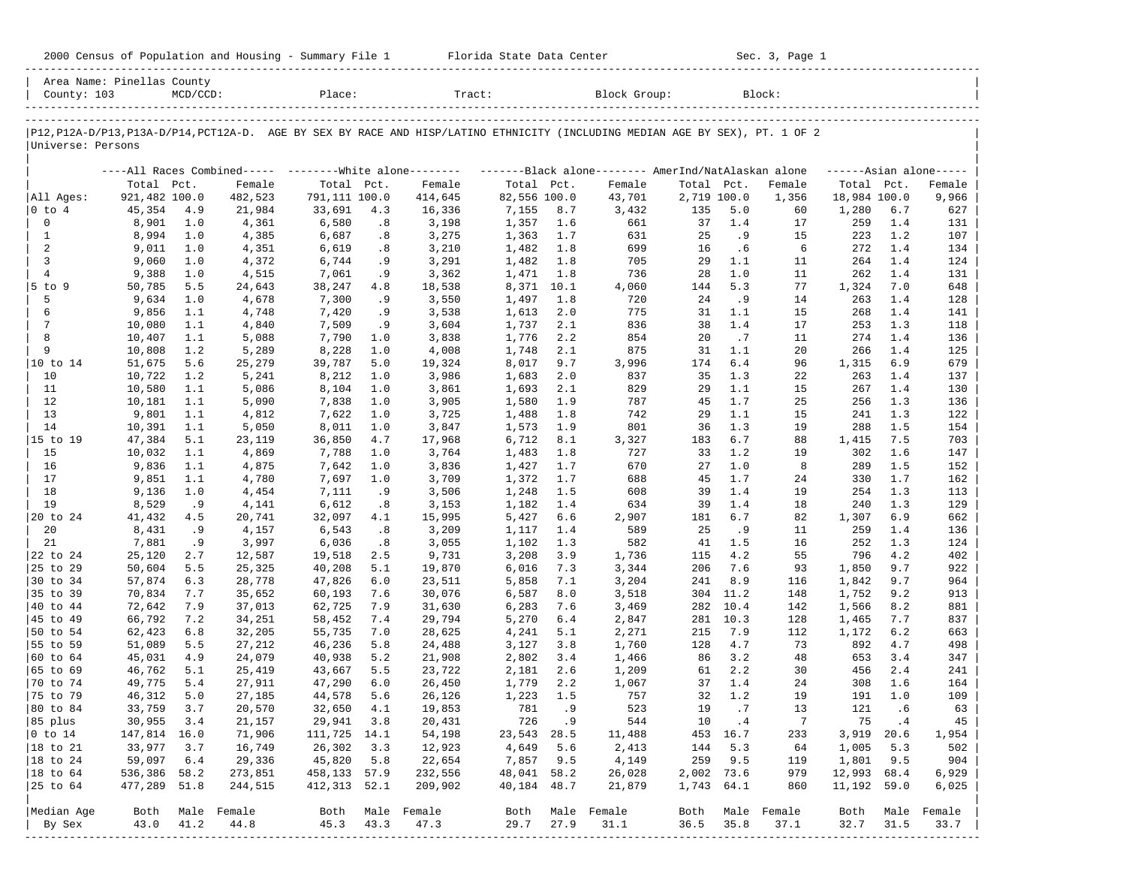| 2000 Census of Population and Housing - Summary File 1 |  | Florida State Data Center | Sec. 3, Page 1 |
|--------------------------------------------------------|--|---------------------------|----------------|
|--------------------------------------------------------|--|---------------------------|----------------|

| County: 103          | Area Name: Pinellas County | $MCD/CCD$ : |                  | Place:          |            | Tract:                                                                                                                        |                |            | Block Group:     |             |                  | Block:                        |              |            |                     |
|----------------------|----------------------------|-------------|------------------|-----------------|------------|-------------------------------------------------------------------------------------------------------------------------------|----------------|------------|------------------|-------------|------------------|-------------------------------|--------------|------------|---------------------|
|                      |                            |             |                  |                 |            |                                                                                                                               |                |            |                  |             |                  | _____________________________ |              |            |                     |
| Universe: Persons    |                            |             |                  |                 |            | P12, P12A-D/P13, P13A-D/P14, PCT12A-D. AGE BY SEX BY RACE AND HISP/LATINO ETHNICITY (INCLUDING MEDIAN AGE BY SEX), PT. 1 OF 2 |                |            |                  |             |                  |                               |              |            |                     |
|                      |                            |             |                  |                 |            | ----All Races Combined----- --------White alone-------- --------Black alone-------- AmerInd/NatAlaskan alone                  |                |            |                  |             |                  |                               |              |            | $---Asian alone---$ |
|                      | Total Pct.                 |             | Female           | Total Pct.      |            | Female                                                                                                                        | Total Pct.     |            | Female           | Total Pct.  |                  | Female                        | Total Pct.   |            | Female              |
| All Ages:            | 921,482 100.0              |             | 482,523          | 791,111 100.0   |            | 414,645                                                                                                                       | 82,556 100.0   |            | 43,701           | 2,719 100.0 |                  | 1,356                         | 18,984 100.0 |            | 9,966               |
| $ 0 \t{to} 4$        | 45,354                     | 4.9         | 21,984           | 33,691          | 4.3        | 16,336                                                                                                                        | 7,155          | 8.7        | 3,432            | 135         | 5.0              | 60                            | 1,280        | 6.7        | 627                 |
| 0                    | 8,901                      | 1.0         | 4,361            | 6,580           | .8         | 3,198                                                                                                                         | 1,357          | 1.6        | 661              | 37          | 1.4              | 17                            | 259          | 1.4        | 131                 |
| $\mathbf{1}$         | 8,994                      | 1.0         | 4,385            | 6,687           | .8         | 3,275                                                                                                                         | 1,363          | 1.7        | 631              | 25          | .9               | 15                            | 223          | 1.2        | 107                 |
| 2                    | 9,011                      | 1.0         | 4,351            | 6,619           | .8         | 3,210                                                                                                                         | 1,482          | 1.8        | 699              | 16          | .6               | 6                             | 272          | 1.4        | 134                 |
| 3                    | 9,060                      | 1.0         | 4,372            | 6,744           | . 9        | 3,291                                                                                                                         | 1,482          | 1.8        | 705              | 29          | 1.1              | 11                            | 264          | 1.4        | 124                 |
| $\overline{4}$       | 9,388                      | 1.0         | 4,515            | 7,061           | . 9        | 3,362                                                                                                                         | 1,471          | 1.8        | 736              | 28          | 1.0              | 11                            | 262          | 1.4        | 131                 |
| 5 to 9               | 50,785                     | 5.5         | 24,643           | 38,247          | 4.8        | 18,538                                                                                                                        | 8,371          | 10.1       | 4,060            | 144         | 5.3              | 77                            | 1,324        | 7.0        | 648                 |
| 5                    | 9,634                      | 1.0         | 4,678            | 7,300           | . 9        | 3,550                                                                                                                         | 1,497          | 1.8        | 720              | 24          | . 9              | 14                            | 263          | 1.4        | 128                 |
| 6<br>7               | 9,856                      | 1.1         | 4,748            | 7,420           | . 9        | 3,538                                                                                                                         | 1,613          | 2.0        | 775              | 31          | 1.1              | 15                            | 268          | 1.4        | 141                 |
|                      | 10,080                     | 1.1         | 4,840            | 7,509           | . 9        | 3,604                                                                                                                         | 1,737          | 2.1        | 836              | 38          | 1.4              | 17                            | 253          | 1.3        | 118                 |
| 8<br>9               | 10,407                     | 1.1         | 5,088            | 7,790           | 1.0<br>1.0 | 3,838                                                                                                                         | 1,776          | 2.2        | 854              | 20          | $\cdot$ 7<br>1.1 | 11                            | 274          | 1.4        | 136                 |
|                      | 10,808                     | 1.2         | 5,289            | 8,228           |            | 4,008                                                                                                                         | 1,748          | 2.1        | 875              | 31          |                  | 20                            | 266          | 1.4        | 125                 |
| 10 to 14             | 51,675                     | 5.6         | 25,279           | 39,787          | 5.0        | 19,324                                                                                                                        | 8,017          | 9.7        | 3,996            | 174         | 6.4              | 96                            | 1,315        | 6.9        | 679                 |
| 10                   | 10,722                     | 1.2         | 5,241            | 8,212           | 1.0        | 3,986                                                                                                                         | 1,683          | 2.0        | 837              | 35          | 1.3<br>1.1       | 22                            | 263          | 1.4        | 137                 |
| 11<br>12             | 10,580                     | 1.1         | 5,086            | 8,104           | 1.0        | 3,861                                                                                                                         | 1,693          | 2.1        | 829              | 29<br>45    | 1.7              | 15                            | 267          | 1.4        | 130                 |
|                      | 10,181                     | 1.1         | 5,090            | 7,838           | 1.0        | 3,905                                                                                                                         | 1,580          | 1.9        | 787              |             | 1.1              | 25                            | 256          | 1.3        | 136                 |
| 13<br>14             | 9,801                      | 1.1         | 4,812            | 7,622           | 1.0<br>1.0 | 3,725                                                                                                                         | 1,488          | 1.8        | 742<br>801       | 29<br>36    | 1.3              | 15<br>19                      | 241<br>288   | 1.3<br>1.5 | 122                 |
|                      | 10,391<br>47,384           | 1.1<br>5.1  | 5,050            | 8,011<br>36,850 | 4.7        | 3,847                                                                                                                         | 1,573          | 1.9        |                  | 183         | 6.7              | 88                            |              | 7.5        | 154<br>703          |
| 15 to 19<br>15       | 10,032                     | 1.1         | 23,119<br>4,869  | 7,788           | 1.0        | 17,968<br>3,764                                                                                                               | 6,712<br>1,483 | 8.1<br>1.8 | 3,327<br>727     | 33          | 1.2              | 19                            | 1,415<br>302 | 1.6        | 147                 |
| 16                   | 9,836                      | 1.1         | 4,875            | 7,642           | 1.0        | 3,836                                                                                                                         | 1,427          | 1.7        | 670              | 27          | 1.0              | 8                             | 289          | 1.5        | 152                 |
| 17                   | 9,851                      | 1.1         | 4,780            | 7,697           | 1.0        | 3,709                                                                                                                         | 1,372          | 1.7        | 688              | 45          | 1.7              | 24                            | 330          | 1.7        | 162                 |
| 18                   | 9,136                      | 1.0         | 4,454            | 7,111           | .9         | 3,506                                                                                                                         | 1,248          | 1.5        | 608              | 39          | 1.4              | 19                            | 254          | 1.3        | 113                 |
| 19                   | 8,529                      | . 9         | 4,141            | 6,612           | . 8        | 3,153                                                                                                                         | 1,182          | 1.4        | 634              | 39          | 1.4              | 18                            | 240          | 1.3        | 129                 |
| 20 to 24             | 41,432                     | 4.5         | 20,741           | 32,097          | 4.1        | 15,995                                                                                                                        | 5,427          | 6.6        | 2,907            | 181         | 6.7              | 82                            | 1,307        | 6.9        | 662                 |
| 20                   | 8,431                      | . 9         | 4,157            | 6,543           | .8         | 3,209                                                                                                                         | 1,117          | 1.4        | 589              | 25          | . 9              | 11                            | 259          | 1.4        | 136                 |
| 21                   | 7,881                      | .9          | 3,997            | 6,036           | .8         | 3,055                                                                                                                         | 1,102          | 1.3        | 582              | 41          | 1.5              | 16                            | 252          | 1.3        | 124                 |
| 22 to 24             | 25,120                     | 2.7         | 12,587           | 19,518          | 2.5        | 9,731                                                                                                                         | 3,208          | 3.9        | 1,736            | 115         | 4.2              | 55                            | 796          | 4.2        | 402                 |
| 25 to 29             | 50,604                     | 5.5         | 25,325           | 40,208          | 5.1        | 19,870                                                                                                                        | 6,016          | 7.3        | 3,344            | 206         | 7.6              | 93                            | 1,850        | 9.7        | 922                 |
| 30 to 34             | 57,874                     | 6.3         | 28,778           | 47,826          | 6.0        | 23,511                                                                                                                        | 5,858          | 7.1        | 3,204            | 241         | 8.9              | 116                           | 1,842        | 9.7        | 964                 |
| 35 to 39             | 70,834                     | 7.7         | 35,652           | 60,193          | 7.6        | 30,076                                                                                                                        | 6,587          | 8.0        | 3,518            | 304         | 11.2             | 148                           | 1,752        | 9.2        | 913                 |
| 40 to 44             | 72,642                     | 7.9         | 37,013           | 62,725          | 7.9        | 31,630                                                                                                                        | 6,283          | 7.6        | 3,469            | 282         | 10.4             | 142                           | 1,566        | 8.2        | 881                 |
| 45 to 49             | 66,792                     | 7.2         | 34,251           | 58,452          | 7.4        | 29,794                                                                                                                        | 5,270          | 6.4        | 2,847            | 281         | 10.3             | 128                           | 1,465        | 7.7        | 837                 |
| 50 to 54             | 62,423                     | 6.8         | 32,205           | 55,735          | 7.0        | 28,625                                                                                                                        | 4,241          | 5.1        | 2,271            | 215         | 7.9              | 112                           | 1,172        | 6.2        | 663                 |
| 55 to 59             | 51,089                     | 5.5         | 27,212           | 46,236          | 5.8        | 24,488                                                                                                                        | 3,127          | 3.8        | 1,760            | 128         | 4.7              | 73                            | 892          | 4.7        | 498                 |
| 60 to 64             | 45,031                     | 4.9         | 24,079           | 40,938          | 5.2        | 21,908                                                                                                                        | 2,802          | 3.4        | 1,466            | 86          | 3.2              | 48                            | 653          | 3.4        | 347                 |
| 65 to 69             | 46,762                     | 5.1         | 25,419           | 43,667          | 5.5        | 23,722                                                                                                                        | 2,181          | 2.6        | 1,209            | 61          | 2.2              | 30                            | 456          | 2.4        | 241                 |
| 70 to 74             | 49,775                     | 5.4         | 27,911           | 47,290          | 6.0        | 26,450                                                                                                                        | 1,779          | 2.2        | 1,067            | 37          | 1.4              | 24                            | 308          | 1.6        | 164                 |
| 75 to 79             | 46,312                     | 5.0         | 27,185           | 44,578          | 5.6        | 26,126                                                                                                                        | 1,223          | 1.5        | 757              | 32          | 1.2              | 19                            | 191          | 1.0        | 109                 |
| 80 to 84             | 33,759                     | 3.7         | 20,570           | 32,650          | 4.1        | 19,853                                                                                                                        | 781            | . 9        | 523              | 19          | .7               | 13                            | 121          | .6         | 63                  |
| 85 plus              | 30,955 3.4                 |             | 21,157           | 29,941 3.8      |            | 20,431                                                                                                                        | 726 .9         |            | 544              | 10          | $\cdot$ 4        | $\overline{7}$                | 75           | $\cdot$ 4  | 45                  |
| $ 0 \t{to} 14$       | 147,814 16.0               |             | 71,906           | 111,725 14.1    |            | 54,198                                                                                                                        | 23,543 28.5    |            | 11,488           |             | 453 16.7         | 233                           |              | 3,919 20.6 | 1,954               |
| $ 18 \text{ to } 21$ | 33,977                     | 3.7         | 16,749           | 26,302          | 3.3        | 12,923                                                                                                                        | 4,649 5.6      |            | 2,413            |             | 144 5.3          | 64                            | 1,005        | 5.3        | 502                 |
| $ 18 \text{ to } 24$ | 59,097                     | 6.4         | 29,336           | 45,820 5.8      |            | 22,654                                                                                                                        | 7,857 9.5      |            | 4,149            |             | 259 9.5          | 119                           | 1,801        | 9.5        | 904                 |
| $ 18 \text{ to } 64$ | 536,386 58.2               |             | 273,851          | 458,133 57.9    |            | 232,556                                                                                                                       | 48,041 58.2    |            | 26,028           | 2,002 73.6  |                  | 979                           | 12,993 68.4  |            | 6,929               |
| 25 to 64             | 477,289 51.8               |             | 244,515          | 412,313 52.1    |            | 209,902                                                                                                                       | 40,184 48.7    |            | 21,879           | 1,743 64.1  |                  | 860                           | 11,192 59.0  |            | 6,025               |
|                      |                            |             |                  |                 |            |                                                                                                                               |                |            |                  |             |                  |                               |              |            |                     |
| Median Age           |                            |             | Both Male Female |                 |            | Both Male Female                                                                                                              |                |            | Both Male Female |             |                  | Both Male Female              | Both         |            | Male Female         |
| By Sex               | 43.0                       | 41.2        | 44.8             | 45.3 43.3       |            | 47.3                                                                                                                          | 29.7           | 27.9       | 31.1             | 36.5        | 35.8             | 37.1                          | 32.7         | 31.5       | 33.7                |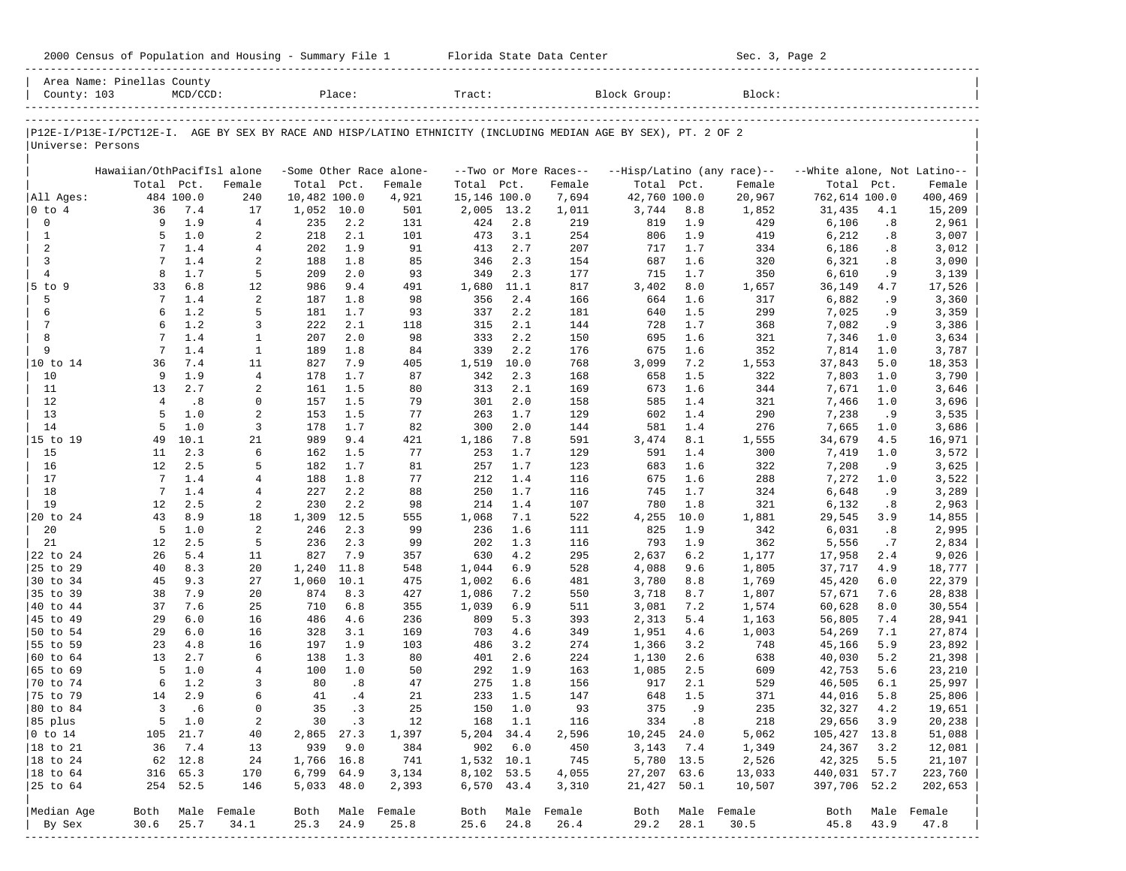| 2000 Census of Population and Housing - Summary File 1 |  | Florida State Data Center | Sec. 3, Page 2 |
|--------------------------------------------------------|--|---------------------------|----------------|
|--------------------------------------------------------|--|---------------------------|----------------|

|                      | Area Name: Pinellas County                                                                                     |             |                      |              |            |                         |                |             |                                 |                |            |                            |                             |            |                  |
|----------------------|----------------------------------------------------------------------------------------------------------------|-------------|----------------------|--------------|------------|-------------------------|----------------|-------------|---------------------------------|----------------|------------|----------------------------|-----------------------------|------------|------------------|
| County: 103          |                                                                                                                | $MCD/CCD$ : |                      |              | Place:     |                         | Tract:         |             |                                 | Block Group:   |            | Block:                     |                             |            |                  |
|                      | P12E-I/P13E-I/PCT12E-I. AGE BY SEX BY RACE AND HISP/LATINO ETHNICITY (INCLUDING MEDIAN AGE BY SEX), PT. 2 OF 2 |             |                      |              |            |                         |                |             |                                 |                |            |                            |                             |            |                  |
| Universe: Persons    |                                                                                                                |             |                      |              |            |                         |                |             |                                 |                |            |                            |                             |            |                  |
|                      |                                                                                                                |             |                      |              |            | -Some Other Race alone- |                |             |                                 |                |            | --Hisp/Latino (any race)-- | --White alone, Not Latino-- |            |                  |
|                      | Hawaiian/OthPacifIsl alone<br>Total                                                                            | Pct.        | Female               | Total Pct.   |            | Female                  | Total          | Pct.        | --Two or More Races--<br>Female | Total Pct.     |            | Female                     | Total                       | Pct.       | Female           |
| All Ages:            |                                                                                                                | 484 100.0   | 240                  | 10,482 100.0 |            | 4,921                   | 15,146 100.0   |             | 7,694                           | 42,760 100.0   |            | 20,967                     | 762,614 100.0               |            | 400,469          |
| $0$ to $4$           | 36                                                                                                             | 7.4         | 17                   | 1,052 10.0   |            | 501                     | 2,005          | 13.2        | 1,011                           | 3,744          | 8.8        | 1,852                      | 31,435                      | 4.1        | 15,209           |
| $\mathbb O$          | 9                                                                                                              | 1.9         | $\overline{4}$       | 235          | 2.2        | 131                     | 424            | 2.8         | 219                             | 819            | 1.9        | 429                        | 6,106                       | .8         | 2,961            |
| $\mathbf{1}$         | 5                                                                                                              | 1.0         | 2                    | 218          | 2.1        | 101                     | 473            | 3.1         | 254                             | 806            | 1.9        | 419                        | 6,212                       | .8         | 3,007            |
| $\overline{a}$       | 7                                                                                                              | 1.4         | 4                    | 202          | 1.9        | 91                      | 413            | 2.7         | 207                             | 717            | 1.7        | 334                        | 6,186                       | .8         | 3,012            |
| $\overline{3}$       | 7                                                                                                              | 1.4         | 2                    | 188          | 1.8        | 85                      | 346            | 2.3         | 154                             | 687            | 1.6        | 320                        | 6,321                       | .8         | 3,090            |
| $\overline{4}$       | 8                                                                                                              | 1.7         | 5                    | 209          | 2.0        | 93                      | 349            | 2.3         | 177                             | 715            | 1.7        | 350                        | 6,610                       | . 9        | 3,139            |
| $5$ to $9$           | 33                                                                                                             | 6.8         | 12                   | 986          | 9.4        | 491                     | 1,680          | 11.1        | 817                             | 3,402          | 8.0        | 1,657                      | 36,149                      | 4.7        | 17,526           |
| 5                    | 7                                                                                                              | 1.4         | $\sqrt{2}$           | 187          | 1.8        | 98                      | 356            | 2.4         | 166                             | 664            | 1.6        | 317                        | 6,882                       | .9         | 3,360            |
| 6                    | 6                                                                                                              | 1.2         | 5                    | 181          | 1.7        | 93                      | 337            | 2.2         | 181                             | 640            | 1.5        | 299                        | 7,025                       | .9         | 3,359            |
| $7\phantom{.0}$      | 6                                                                                                              | 1.2         | 3                    | 222          | 2.1        | 118                     | 315            | 2.1         | 144                             | 728            | 1.7        | 368                        | 7,082                       | .9         | 3,386            |
| 8                    | 7                                                                                                              | 1.4         | $\mathbf{1}$         | 207          | 2.0        | 98                      | 333            | 2.2         | 150                             | 695            | 1.6        | 321                        | 7,346                       | 1.0        | 3,634            |
| 9                    | $7\phantom{.0}$                                                                                                | 1.4         | $\mathbf{1}$         | 189          | 1.8        | 84                      | 339            | 2.2         | 176                             | 675            | 1.6        | 352                        | 7,814                       | 1.0        | 3,787            |
| 10 to 14<br>10       | 36<br>9                                                                                                        | 7.4<br>1.9  | 11<br>$\overline{4}$ | 827<br>178   | 7.9<br>1.7 | 405<br>87               | 1,519<br>342   | 10.0<br>2.3 | 768<br>168                      | 3,099          | 7.2<br>1.5 | 1,553<br>322               | 37,843                      | 5.0<br>1.0 | 18,353           |
| 11                   | 13                                                                                                             | 2.7         | 2                    | 161          | 1.5        | 80                      | 313            | 2.1         | 169                             | 658<br>673     | 1.6        | 344                        | 7,803<br>7,671              | 1.0        | 3,790<br>3,646   |
| 12                   | $\overline{4}$                                                                                                 | .8          | $\mathbf 0$          | 157          | 1.5        | 79                      | 301            | 2.0         | 158                             | 585            | 1.4        | 321                        | 7,466                       | 1.0        | 3,696            |
| 13                   | 5                                                                                                              | 1.0         | $\overline{a}$       | 153          | 1.5        | 77                      | 263            | 1.7         | 129                             | 602            | 1.4        | 290                        | 7,238                       | .9         | 3,535            |
| 14                   | 5                                                                                                              | 1.0         | 3                    | 178          | 1.7        | 82                      | 300            | 2.0         | 144                             | 581            | 1.4        | 276                        | 7,665                       | 1.0        | 3,686            |
| 15 to 19             | 49                                                                                                             | 10.1        | 21                   | 989          | 9.4        | 421                     | 1,186          | 7.8         | 591                             | 3,474          | 8.1        | 1,555                      | 34,679                      | 4.5        | 16,971           |
| 15                   | 11                                                                                                             | 2.3         | 6                    | 162          | 1.5        | 77                      | 253            | 1.7         | 129                             | 591            | 1.4        | 300                        | 7,419                       | 1.0        | 3,572            |
| 16                   | 12                                                                                                             | 2.5         | 5                    | 182          | 1.7        | 81                      | 257            | 1.7         | 123                             | 683            | 1.6        | 322                        | 7,208                       | .9         | 3,625            |
| 17                   | $7\phantom{.0}$                                                                                                | 1.4         | 4                    | 188          | 1.8        | 77                      | 212            | 1.4         | 116                             | 675            | 1.6        | 288                        | 7,272                       | 1.0        | 3,522            |
| 18                   | 7                                                                                                              | 1.4         | $\overline{4}$       | 227          | 2.2        | 88                      | 250            | 1.7         | 116                             | 745            | 1.7        | 324                        | 6,648                       | .9         | 3,289            |
| 19                   | 12                                                                                                             | 2.5         | $\sqrt{2}$           | 230          | 2.2        | 98                      | 214            | 1.4         | 107                             | 780            | 1.8        | 321                        | 6,132                       | .8         | 2,963            |
| 20 to 24             | 43                                                                                                             | 8.9         | 18                   | 1,309        | 12.5       | 555                     | 1,068          | 7.1         | 522                             | 4,255          | 10.0       | 1,881                      | 29,545                      | 3.9        | 14,855           |
| 20                   | 5                                                                                                              | 1.0         | 2                    | 246          | 2.3        | 99                      | 236            | 1.6         | 111                             | 825            | 1.9        | 342                        | 6,031                       | .8         | 2,995            |
| 21                   | 12                                                                                                             | 2.5         | 5                    | 236          | 2.3        | 99                      | 202            | 1.3         | 116                             | 793            | 1.9        | 362                        | 5,556                       | .7         | 2,834            |
| 22 to 24             | 26                                                                                                             | 5.4         | 11                   | 827          | 7.9        | 357                     | 630            | 4.2         | 295                             | 2,637          | 6.2        | 1,177                      | 17,958                      | 2.4        | 9,026            |
| 25 to 29             | 40                                                                                                             | 8.3         | 20                   | 1,240        | 11.8       | 548                     | 1,044          | 6.9         | 528                             | 4,088          | 9.6        | 1,805                      | 37,717                      | 4.9        | 18,777           |
| 30 to 34             | 45                                                                                                             | 9.3         | 27                   | 1,060        | 10.1       | 475                     | 1,002          | 6.6         | 481                             | 3,780          | 8.8        | 1,769                      | 45,420                      | 6.0        | 22,379           |
| 35 to 39<br>40 to 44 | 38<br>37                                                                                                       | 7.9<br>7.6  | 20<br>25             | 874<br>710   | 8.3<br>6.8 | 427                     | 1,086<br>1,039 | 7.2<br>6.9  | 550<br>511                      | 3,718          | 8.7        | 1,807                      | 57,671                      | 7.6<br>8.0 | 28,838           |
| 45 to 49             | 29                                                                                                             | 6.0         | 16                   | 486          | 4.6        | 355<br>236              | 809            | 5.3         | 393                             | 3,081<br>2,313 | 7.2<br>5.4 | 1,574<br>1,163             | 60,628<br>56,805            | 7.4        | 30,554<br>28,941 |
| 50 to 54             | 29                                                                                                             | 6.0         | 16                   | 328          | 3.1        | 169                     | 703            | 4.6         | 349                             | 1,951          | 4.6        | 1,003                      | 54,269                      | 7.1        | 27,874           |
| 55 to 59             | 23                                                                                                             | 4.8         | 16                   | 197          | 1.9        | 103                     | 486            | 3.2         | 274                             | 1,366          | 3.2        | 748                        | 45,166                      | 5.9        | 23,892           |
| 60 to 64             | 13                                                                                                             | 2.7         | 6                    | 138          | 1.3        | 80                      | 401            | 2.6         | 224                             | 1,130          | 2.6        | 638                        | 40,030                      | 5.2        | 21,398           |
| 65 to 69             | 5                                                                                                              | 1.0         | $\overline{4}$       | 100          | 1.0        | 50                      | 292            | 1.9         | 163                             | 1,085          | 2.5        | 609                        | 42,753                      | 5.6        | 23,210           |
| 70 to 74             | 6                                                                                                              | 1.2         | 3                    | 80           | .8         | 47                      | 275            | 1.8         | 156                             | 917            | 2.1        | 529                        | 46,505                      | 6.1        | 25,997           |
| 75 to 79             | 14                                                                                                             | 2.9         | 6                    | 41           | .4         | 21                      | 233            | 1.5         | 147                             | 648            | 1.5        | 371                        | 44,016                      | 5.8        | 25,806           |
| 80 to 84             | $\overline{3}$                                                                                                 | .6          | $\mathbf 0$          | 35           | .3         | 25                      | 150            | 1.0         | 93                              | 375            | . 9        | 235                        | 32,327                      | 4.2        | 19,651           |
| 85 plus              |                                                                                                                | 5 1.0       | 2                    |              | 30 .3      | 12                      |                | 168 1.1     | 116                             |                | 334.8      | 218                        | 29,656 3.9                  |            | 20,238           |
| $ 0 \t\t \tto 14$    |                                                                                                                | 105 21.7    | 40                   | 2,865 27.3   |            | 1,397                   | 5,204 34.4     |             | 2,596                           | $10, 245$ 24.0 |            | 5,062                      | 105,427 13.8                |            | 51,088           |
| 18 to 21             | 36                                                                                                             | 7.4         | 13                   | 939          | 9.0        | 384                     | 902 6.0        |             | 450                             |                | 3, 143 7.4 | 1,349                      | 24,367                      | 3.2        | 12,081           |
| $ 18$ to $24$        |                                                                                                                | 62 12.8     | 24                   | 1,766 16.8   |            | 741                     | 1,532 10.1     |             | 745                             |                | 5,780 13.5 | 2,526                      | 42,325                      | 5.5        | 21,107           |
| 18 to 64             |                                                                                                                | 316 65.3    | 170                  | 6,799 64.9   |            | 3,134                   | 8,102 53.5     |             | 4,055                           | 27,207 63.6    |            | 13,033                     | 440,031 57.7                |            | 223,760          |
| 25 to 64             |                                                                                                                | 254 52.5    | 146                  | 5,033 48.0   |            | 2,393                   | 6,570 43.4     |             | 3,310                           | 21,427 50.1    |            | 10,507                     | 397,706 52.2                |            | 202,653          |
| Median Age           |                                                                                                                |             | Both Male Female     |              |            | Both Male Female        |                |             | Both Male Female                |                |            | Both Male Female           |                             |            | Both Male Female |
| By Sex               | 30.6                                                                                                           | 25.7        | 34.1                 | 25.3         | 24.9       | 25.8                    | 25.6           | 24.8        | 26.4                            | 29.2           | 28.1       | 30.5                       | 45.8                        | 43.9       | 47.8             |
|                      |                                                                                                                |             |                      |              |            |                         |                |             |                                 |                |            |                            |                             |            |                  |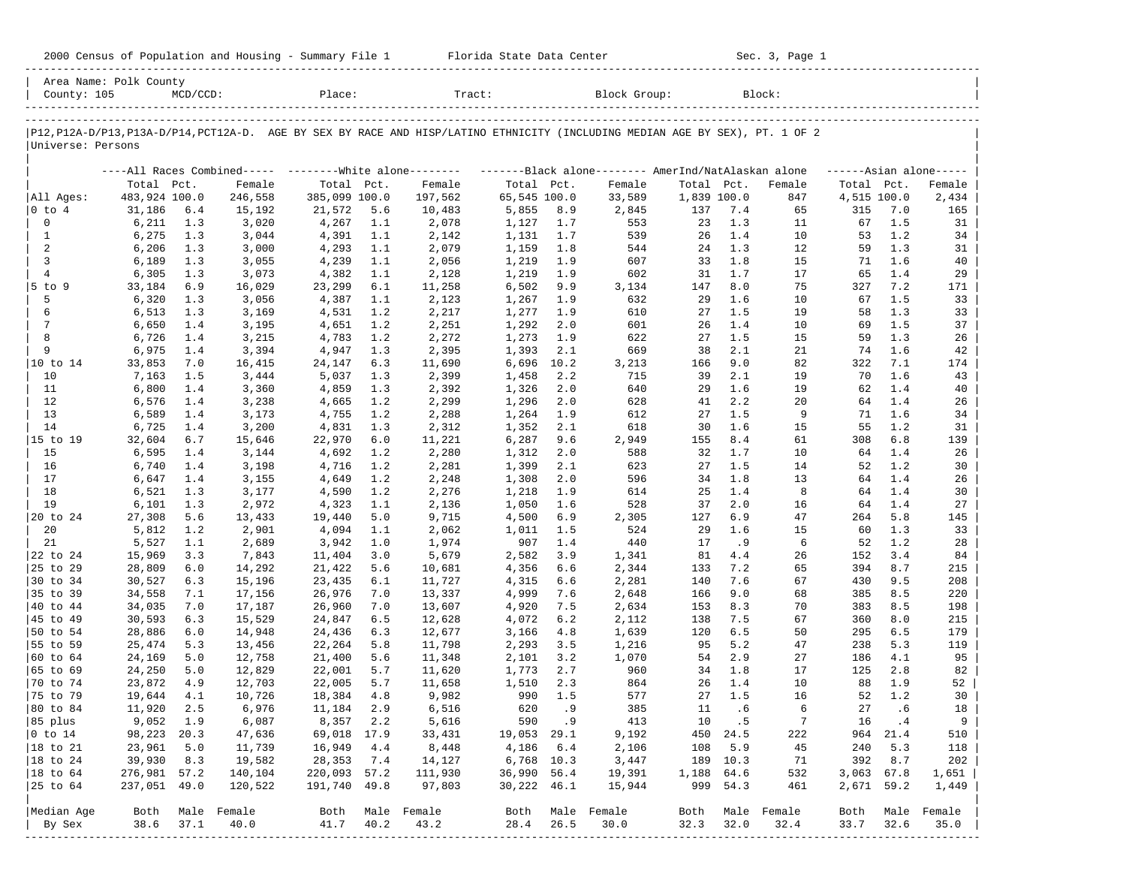| 2000 Census of Population and Housing - Summary File 1 |  | Florida State Data Center | Sec. 3, Page 1 |
|--------------------------------------------------------|--|---------------------------|----------------|
|--------------------------------------------------------|--|---------------------------|----------------|

| Area Name: Polk County<br>County: 105 |               | $MCD/CCD$ : |                                                         | Place:                      |      | Tract:                                                                                                                        |                            |       | Block Group:                                        |             |          | Block:        |              |            |                     |
|---------------------------------------|---------------|-------------|---------------------------------------------------------|-----------------------------|------|-------------------------------------------------------------------------------------------------------------------------------|----------------------------|-------|-----------------------------------------------------|-------------|----------|---------------|--------------|------------|---------------------|
| Universe: Persons                     |               |             |                                                         |                             |      | P12, P12A-D/P13, P13A-D/P14, PCT12A-D. AGE BY SEX BY RACE AND HISP/LATINO ETHNICITY (INCLUDING MEDIAN AGE BY SEX), PT. 1 OF 2 |                            |       |                                                     |             |          |               |              |            |                     |
|                                       |               |             |                                                         |                             |      |                                                                                                                               |                            |       |                                                     |             |          |               |              |            |                     |
|                                       | Total Pct.    |             | ----All Races Combined----- --------White alone-------- |                             |      |                                                                                                                               |                            |       | -------Black alone-------- AmerInd/NatAlaskan alone | Total Pct.  |          |               | Total Pct.   |            | $---Asian alone---$ |
| All Ages:                             | 483,924 100.0 |             | Female<br>246,558                                       | Total Pct.<br>385,099 100.0 |      | Female<br>197,562                                                                                                             | Total Pct.<br>65,545 100.0 |       | Female<br>33,589                                    | 1,839 100.0 |          | Female<br>847 | 4,515 100.0  |            | Female<br>2,434     |
| 0 to 4                                | 31,186        | $6.4$       | 15,192                                                  | 21,572                      | 5.6  | 10,483                                                                                                                        | 5,855                      | 8.9   | 2,845                                               | 137         | 7.4      | 65            | 315          | 7.0        | 165                 |
| 0                                     | 6,211         | 1.3         | 3,020                                                   | 4,267                       | 1.1  | 2,078                                                                                                                         | 1,127                      | 1.7   | 553                                                 | 23          | 1.3      | 11            | 67           | 1.5        | 31                  |
| $\mathbf{1}$                          | 6,275         | 1.3         | 3,044                                                   | 4,391                       | 1.1  | 2,142                                                                                                                         | 1,131                      | 1.7   | 539                                                 | 26          | 1.4      | 10            | 53           | 1.2        | 34                  |
| $\overline{a}$                        | 6,206         | 1.3         | 3,000                                                   | 4,293                       | 1.1  | 2,079                                                                                                                         | 1,159                      | 1.8   | 544                                                 | 24          | 1.3      | 12            | 59           | 1.3        | 31                  |
| 3                                     | 6,189         | 1.3         | 3,055                                                   | 4,239                       | 1.1  | 2,056                                                                                                                         | 1,219                      | 1.9   | 607                                                 | 33          | 1.8      | 15            | 71           | 1.6        | 40                  |
| $\overline{4}$                        | 6,305         | 1.3         | 3,073                                                   | 4,382                       | 1.1  | 2,128                                                                                                                         | 1,219                      | 1.9   | 602                                                 | 31          | 1.7      | 17            | 65           | 1.4        | 29                  |
| $5$ to $9$                            | 33,184        | 6.9         | 16,029                                                  | 23,299                      | 6.1  | 11,258                                                                                                                        | 6,502                      | 9.9   | 3,134                                               | 147         | 8.0      | 75            | 327          | 7.2        | 171                 |
| 5                                     |               |             |                                                         |                             | 1.1  |                                                                                                                               |                            | 1.9   | 632                                                 | 29          | 1.6      | 10            | 67           | 1.5        | 33                  |
| 6                                     | 6,320         | 1.3         | 3,056                                                   | 4,387                       |      | 2,123                                                                                                                         | 1,267                      |       |                                                     |             | 1.5      |               |              | 1.3        | 33                  |
| 7                                     | 6,513         | 1.3         | 3,169                                                   | 4,531                       | 1.2  | 2,217                                                                                                                         | 1,277                      | 1.9   | 610                                                 | 27          | 1.4      | 19            | 58           | 1.5        |                     |
|                                       | 6,650         | 1.4         | 3,195                                                   | 4,651                       | 1.2  | 2,251                                                                                                                         | 1,292                      | 2.0   | 601                                                 | 26          |          | 10            | 69           |            | 37                  |
| 8                                     | 6,726         | 1.4         | 3,215                                                   | 4,783                       | 1.2  | 2,272                                                                                                                         | 1,273                      | 1.9   | 622                                                 | 27          | 1.5      | 15            | 59           | 1.3        | 26                  |
| 9                                     | 6,975         | 1.4         | 3,394                                                   | 4,947                       | 1.3  | 2,395                                                                                                                         | 1,393                      | 2.1   | 669                                                 | 38          | 2.1      | 21            | 74           | 1.6        | 42                  |
| 10 to 14                              | 33,853        | 7.0         | 16,415                                                  | 24,147                      | 6.3  | 11,690                                                                                                                        | 6,696                      | 10.2  | 3,213                                               | 166         | 9.0      | 82            | 322          | 7.1        | 174                 |
| 10                                    | 7,163         | 1.5         | 3,444                                                   | 5,037                       | 1.3  | 2,399                                                                                                                         | 1,458                      | 2.2   | 715                                                 | 39          | 2.1      | 19            | 70           | 1.6        | 43                  |
| 11                                    | 6,800         | 1.4         | 3,360                                                   | 4,859                       | 1.3  | 2,392                                                                                                                         | 1,326                      | 2.0   | 640                                                 | 29          | 1.6      | 19            | 62           | 1.4        | 40                  |
| 12                                    | 6,576         | 1.4         | 3,238                                                   | 4,665                       | 1.2  | 2,299                                                                                                                         | 1,296                      | 2.0   | 628                                                 | 41          | 2.2      | 20            | 64           | 1.4        | 26                  |
| 13                                    | 6,589         | 1.4         | 3,173                                                   | 4,755                       | 1.2  | 2,288                                                                                                                         | 1,264                      | 1.9   | 612                                                 | 27          | 1.5      | 9             | 71           | 1.6        | 34                  |
| 14                                    | 6,725         | 1.4         | 3,200                                                   | 4,831                       | 1.3  | 2,312                                                                                                                         | 1,352                      | 2.1   | 618                                                 | 30          | 1.6      | 15            | 55           | 1.2        | 31                  |
| 15 to 19                              | 32,604        | $6.7$       | 15,646                                                  | 22,970                      | 6.0  | 11,221                                                                                                                        | 6,287                      | 9.6   | 2,949                                               | 155         | 8.4      | 61            | 308          | 6.8        | 139                 |
| 15                                    | 6,595         | 1.4         | 3,144                                                   | 4,692                       | 1.2  | 2,280                                                                                                                         | 1,312                      | 2.0   | 588                                                 | 32          | 1.7      | 10            | 64           | 1.4        | 26                  |
| 16                                    | 6,740         | 1.4         | 3,198                                                   | 4,716                       | 1.2  | 2,281                                                                                                                         | 1,399                      | 2.1   | 623                                                 | 27          | 1.5      | 14            | 52           | 1.2        | 30                  |
| 17                                    | 6,647         | 1.4         | 3,155                                                   | 4,649                       | 1.2  | 2,248                                                                                                                         | 1,308                      | 2.0   | 596                                                 | 34          | 1.8      | 13            | 64           | 1.4        | 26                  |
| 18                                    | 6,521         | 1.3         | 3,177                                                   | 4,590                       | 1.2  | 2,276                                                                                                                         | 1,218                      | 1.9   | 614                                                 | 25          | 1.4      | 8             | 64           | 1.4        | 30                  |
| 19                                    | 6,101         | 1.3         | 2,972                                                   | 4,323                       | 1.1  | 2,136                                                                                                                         | 1,050                      | 1.6   | 528                                                 | 37          | 2.0      | 16            | 64           | 1.4        | 27                  |
| 20 to 24                              | 27,308        | 5.6         | 13,433                                                  | 19,440                      | 5.0  | 9,715                                                                                                                         | 4,500                      | 6.9   | 2,305                                               | 127         | 6.9      | 47            | 264          | 5.8        | 145                 |
| 20                                    | 5,812         | 1.2         | 2,901                                                   | 4,094                       | 1.1  | 2,062                                                                                                                         | 1,011                      | 1.5   | 524                                                 | 29          | 1.6      | 15            | 60           | 1.3        | 33                  |
| 21                                    | 5,527         | 1.1         | 2,689                                                   | 3,942                       | 1.0  | 1,974                                                                                                                         | 907                        | 1.4   | 440                                                 | 17          | .9       | 6             | 52           | 1.2        | 28                  |
| 22 to 24                              | 15,969        | 3.3         | 7,843                                                   | 11,404                      | 3.0  | 5,679                                                                                                                         | 2,582                      | 3.9   | 1,341                                               | 81          | 4.4      | 26            | 152          | 3.4        | 84                  |
| 25 to 29                              | 28,809        | $6.0$       | 14,292                                                  | 21,422                      | 5.6  | 10,681                                                                                                                        | 4,356                      | 6.6   | 2,344                                               | 133         | 7.2      | 65            | 394          | 8.7        | 215                 |
| 30 to 34                              | 30,527        | 6.3         | 15,196                                                  | 23,435                      | 6.1  | 11,727                                                                                                                        | 4,315                      | 6.6   | 2,281                                               | 140         | 7.6      | 67            | 430          | 9.5        | 208                 |
| 35 to 39                              | 34,558        | 7.1         | 17,156                                                  | 26,976                      | 7.0  | 13,337                                                                                                                        | 4,999                      | 7.6   | 2,648                                               | 166         | 9.0      | 68            | 385          | 8.5        | 220                 |
| 40 to 44                              | 34,035        | 7.0         | 17,187                                                  | 26,960                      | 7.0  | 13,607                                                                                                                        | 4,920                      | 7.5   | 2,634                                               | 153         | 8.3      | 70            | 383          | 8.5        | 198                 |
| 45 to 49                              | 30,593        | 6.3         | 15,529                                                  | 24,847                      | 6.5  | 12,628                                                                                                                        | 4,072                      | 6.2   | 2,112                                               | 138         | 7.5      | 67            | 360          | 8.0        | 215                 |
| 50 to 54                              | 28,886        | 6.0         | 14,948                                                  | 24,436                      | 6.3  | 12,677                                                                                                                        | 3,166                      | 4.8   | 1,639                                               | 120         | 6.5      | 50            | 295          | 6.5        | 179                 |
| 55 to 59                              | 25,474        | 5.3         | 13,456                                                  | 22,264                      | 5.8  | 11,798                                                                                                                        | 2,293                      | 3.5   | 1,216                                               | 95          | 5.2      | 47            | 238          | 5.3        | 119                 |
| 60 to 64                              | 24,169        | 5.0         | 12,758                                                  | 21,400                      | 5.6  | 11,348                                                                                                                        | 2,101                      | 3.2   | 1,070                                               | 54          | 2.9      | 27            | 186          | 4.1        | 95                  |
| 65 to 69                              | 24,250        | 5.0         | 12,829                                                  | 22,001                      | 5.7  | 11,620                                                                                                                        | 1,773                      | 2.7   | 960                                                 | 34          | 1.8      | 17            | 125          | 2.8        | 82                  |
| 70 to 74                              | 23,872        | 4.9         | 12,703                                                  | 22,005                      | 5.7  | 11,658                                                                                                                        | 1,510                      | 2.3   | 864                                                 | 26          | 1.4      | 10            | 88           | 1.9        | 52                  |
| 75 to 79                              | 19,644        | 4.1         | 10,726                                                  | 18,384                      | 4.8  | 9,982                                                                                                                         | 990                        | 1.5   | 577                                                 | 27          | 1.5      | 16            | 52           | 1.2        | 30                  |
| 80 to 84                              | 11,920        | 2.5         | 6,976                                                   | 11,184                      | 2.9  | 6,516                                                                                                                         | 620                        | . 9   | 385                                                 | 11          | .6       | 6             | 27           | .6         | 18                  |
| 85 plus                               | $9,052$ 1.9   |             | 6,087                                                   | 8,357 2.2                   |      | 5,616                                                                                                                         |                            | 590.9 | 413                                                 | 10          | .5       | 7             | 16           | $\cdot$ 4  | 9                   |
| $ 0 \t\t \text{to} \t\t 14$           | 98,223 20.3   |             | 47,636                                                  | 69,018 17.9                 |      | 33,431                                                                                                                        | 19,053 29.1                |       | 9,192                                               |             | 450 24.5 | 222           |              | 964 21.4   | 510                 |
| 18 to 21                              | 23,961        | 5.0         | 11,739                                                  | 16,949                      | 4.4  | 8,448                                                                                                                         | 4,186 6.4                  |       | 2,106                                               | 108         | 5.9      | 45            | 240          | 5.3        | 118                 |
| 18 to 24                              | 39,930        | 8.3         | 19,582                                                  | 28,353                      | 7.4  | 14,127                                                                                                                        | 6,768 10.3                 |       | 3,447                                               |             | 189 10.3 | 71            | 392          | 8.7        | 202                 |
| $ 18$ to $64$                         | 276,981 57.2  |             | 140,104                                                 | 220,093 57.2                |      | 111,930                                                                                                                       | 36,990 56.4                |       | 19,391                                              | 1,188 64.6  |          | 532           |              | 3,063 67.8 | 1,651               |
|                                       |               |             |                                                         | 191,740 49.8                |      |                                                                                                                               | 30,222 46.1                |       |                                                     |             | 999 54.3 | 461           |              | 2,671 59.2 |                     |
| 25 to 64                              | 237,051 49.0  |             | 120,522                                                 |                             |      | 97,803                                                                                                                        |                            |       | 15,944                                              |             |          |               |              |            | 1,449               |
|                                       |               |             | Both Male Female                                        |                             |      | Both Male Female                                                                                                              |                            |       |                                                     |             |          |               |              |            | Male Female         |
| Median Age                            | 38.6          | 37.1        | 40.0                                                    | 41.7                        | 40.2 | 43.2                                                                                                                          |                            |       | Both Male Female<br>30.0                            | Both        | 32.0     | Male Female   | Both<br>33.7 | 32.6       | 35.0                |
| By Sex                                |               |             |                                                         |                             |      |                                                                                                                               | 28.4                       | 26.5  |                                                     | 32.3        |          | 32.4          |              |            |                     |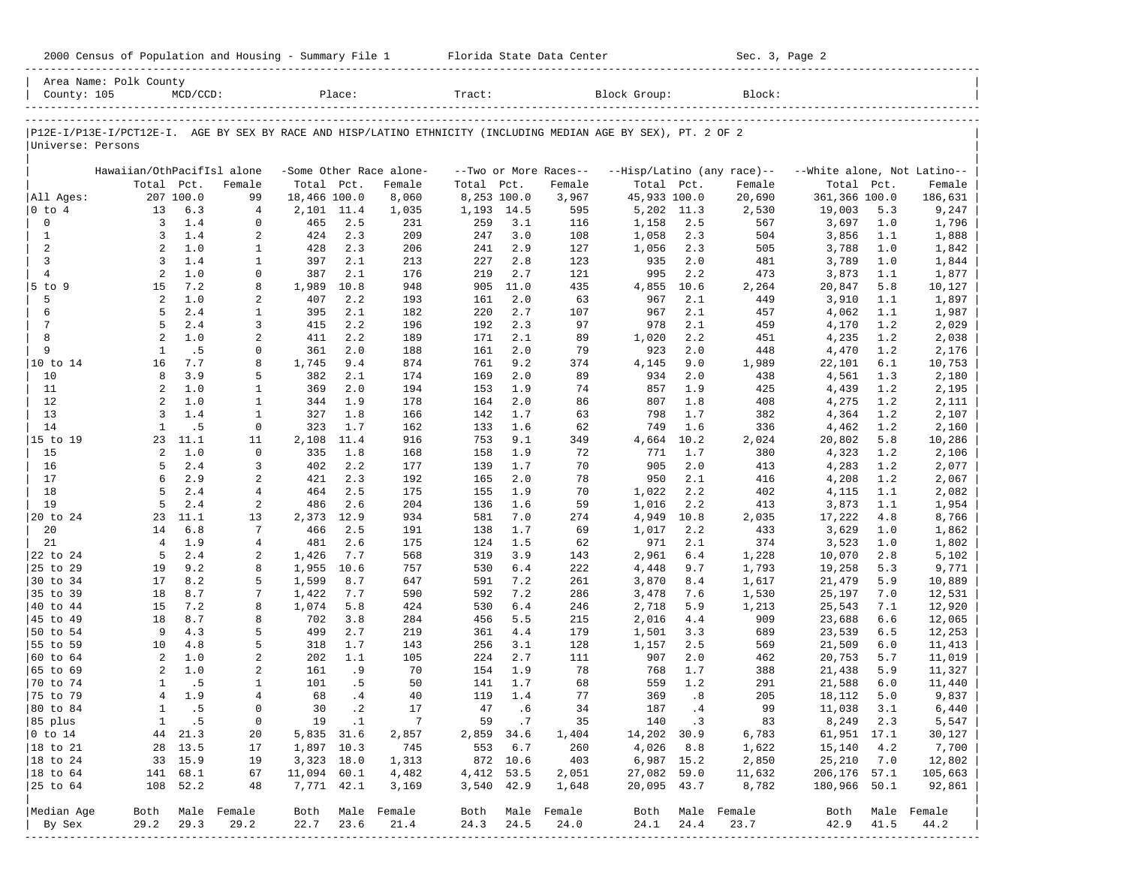| County: 105          | Area Name: Polk County                                                                                         | $MCD/CCD$ :  |                  |                | Place:      |                         | Tract:      |            |                       | Block Group:   |            | Block:                     |                             |            |                  |
|----------------------|----------------------------------------------------------------------------------------------------------------|--------------|------------------|----------------|-------------|-------------------------|-------------|------------|-----------------------|----------------|------------|----------------------------|-----------------------------|------------|------------------|
|                      |                                                                                                                |              |                  |                |             |                         |             |            |                       |                |            |                            |                             |            |                  |
|                      | P12E-I/P13E-I/PCT12E-I. AGE BY SEX BY RACE AND HISP/LATINO ETHNICITY (INCLUDING MEDIAN AGE BY SEX), PT. 2 OF 2 |              |                  |                |             |                         |             |            |                       |                |            |                            |                             |            |                  |
| Universe: Persons    |                                                                                                                |              |                  |                |             |                         |             |            |                       |                |            |                            |                             |            |                  |
|                      | Hawaiian/OthPacifIsl alone                                                                                     |              |                  |                |             | -Some Other Race alone- |             |            | --Two or More Races-- |                |            | --Hisp/Latino (any race)-- | --White alone, Not Latino-- |            |                  |
|                      | Total Pct.                                                                                                     |              | Female           | Total Pct.     |             | Female                  | Total       | Pct.       | Female                | Total Pct.     |            | Female                     | Total                       | Pct.       | Female           |
| All Ages:            |                                                                                                                | 207 100.0    | 99               | 18,466 100.0   |             | 8,060                   | 8,253 100.0 |            | 3,967                 | 45,933 100.0   |            | 20,690                     | 361,366 100.0               |            | 186,631          |
| $ 0 \tto 4$          | 13                                                                                                             | 6.3          | 4                | 2,101          | 11.4        | 1,035                   | 1,193       | 14.5       | 595                   |                | 5,202 11.3 | 2,530                      | 19,003                      | 5.3        | 9,247            |
| $\mathsf{O}\xspace$  | 3                                                                                                              | 1.4          | $\mathbf 0$      | 465            | 2.5         | 231                     | 259         | 3.1        | 116                   | 1,158          | 2.5        | 567                        | 3,697                       | 1.0        | 1,796            |
| $\mathbf{1}$         | 3                                                                                                              | 1.4          | 2                | 424            | 2.3         | 209                     | 247         | 3.0        | 108                   | 1,058          | 2.3        | 504                        | 3,856                       | 1.1        | 1,888            |
| 2                    | $\overline{a}$                                                                                                 | 1.0          | 1                | 428            | 2.3         | 206                     | 241         | 2.9        | 127                   | 1,056          | 2.3        | 505                        | 3,788                       | 1.0        | 1,842            |
| 3                    | 3                                                                                                              | 1.4          | $\mathbf{1}$     | 397            | 2.1         | 213                     | 227         | 2.8        | 123                   | 935            | 2.0        | 481                        | 3,789                       | 1.0        | 1,844            |
| $\overline{4}$       | 2                                                                                                              | 1.0          | 0                | 387            | 2.1         | 176                     | 219         | 2.7        | 121                   | 995            | 2.2        | 473                        | 3,873                       | 1.1        | 1,877            |
| 5 to 9               | 15                                                                                                             | 7.2          | 8                | 1,989          | 10.8        | 948                     | 905         | 11.0       | 435                   | 4,855          | 10.6       | 2,264                      | 20,847                      | 5.8        | 10,127           |
| 5                    | 2                                                                                                              | 1.0          | 2                | 407            | 2.2         | 193                     | 161         | 2.0        | 63                    | 967            | 2.1        | 449                        | 3,910                       | 1.1        | 1,897            |
| 6                    | 5                                                                                                              | 2.4          | 1                | 395            | 2.1         | 182                     | 220         | 2.7        | 107                   | 967            | 2.1        | 457                        | 4,062                       | 1.1        | 1,987            |
| $\overline{7}$<br>8  | 5<br>2                                                                                                         | 2.4          | 3                | 415            | 2.2         | 196                     | 192         | 2.3        | 97                    | 978            | 2.1        | 459                        | 4,170                       | 1.2        | 2,029            |
| 9                    | $\mathbf{1}$                                                                                                   | 1.0<br>.5    | 2<br>0           | 411<br>361     | 2.2<br>2.0  | 189                     | 171<br>161  | 2.1<br>2.0 | 89<br>79              | 1,020<br>923   | 2.2<br>2.0 | 451<br>448                 | 4,235                       | 1.2<br>1.2 | 2,038            |
| 10 to 14             | 16                                                                                                             | 7.7          | 8                | 1,745          | 9.4         | 188<br>874              | 761         | 9.2        | 374                   | 4,145          | 9.0        | 1,989                      | 4,470<br>22,101             | 6.1        | 2,176<br>10,753  |
| 10                   | 8                                                                                                              | 3.9          | 5                | 382            | 2.1         | 174                     | 169         | 2.0        | 89                    | 934            | 2.0        | 438                        | 4,561                       | 1.3        | 2,180            |
| 11                   | $\overline{a}$                                                                                                 | 1.0          | $\mathbf{1}$     | 369            | 2.0         | 194                     | 153         | 1.9        | 74                    | 857            | 1.9        | 425                        | 4,439                       | 1.2        | 2,195            |
| 12                   | $\overline{a}$                                                                                                 | 1.0          | $\mathbf{1}$     | 344            | 1.9         | 178                     | 164         | 2.0        | 86                    | 807            | 1.8        | 408                        | 4,275                       | 1.2        | 2,111            |
| 13                   | $\overline{3}$                                                                                                 | 1.4          | $\mathbf{1}$     | 327            | 1.8         | 166                     | 142         | 1.7        | 63                    | 798            | 1.7        | 382                        | 4,364                       | 1.2        | 2,107            |
| 14                   | $\mathbf{1}$                                                                                                   | .5           | $\mathbf 0$      | 323            | 1.7         | 162                     | 133         | 1.6        | 62                    | 749            | 1.6        | 336                        | 4,462                       | 1.2        | 2,160            |
| 15 to 19             | 23                                                                                                             | 11.1         | 11               | 2,108          | 11.4        | 916                     | 753         | 9.1        | 349                   | 4,664          | 10.2       | 2,024                      | 20,802                      | 5.8        | 10,286           |
| 15                   | 2                                                                                                              | 1.0          | $\mathbf 0$      | 335            | 1.8         | 168                     | 158         | 1.9        | 72                    | 771            | 1.7        | 380                        | 4,323                       | 1.2        | 2,106            |
| 16                   | 5                                                                                                              | 2.4          | 3                | 402            | 2.2         | 177                     | 139         | 1.7        | 70                    | 905            | 2.0        | 413                        | 4,283                       | 1.2        | 2,077            |
| 17                   | б.                                                                                                             | 2.9          | 2                | 421            | 2.3         | 192                     | 165         | 2.0        | 78                    | 950            | 2.1        | 416                        | 4,208                       | 1.2        | 2,067            |
| 18                   | 5                                                                                                              | 2.4          | $\overline{4}$   | 464            | 2.5         | 175                     | 155         | 1.9        | 70                    | 1,022          | 2.2        | 402                        | 4,115                       | 1.1        | 2,082            |
| 19                   | 5                                                                                                              | 2.4          | 2                | 486            | 2.6         | 204                     | 136         | 1.6        | 59                    | 1,016          | 2.2        | 413                        | 3,873                       | 1.1        | 1,954            |
| 20 to 24             | 23                                                                                                             | 11.1         | 13               | 2,373          | 12.9        | 934                     | 581         | 7.0        | 274                   | 4,949          | 10.8       | 2,035                      | 17,222                      | 4.8        | 8,766            |
| 20                   | 14                                                                                                             | 6.8          | 7                | 466            | 2.5         | 191                     | 138         | 1.7        | 69                    | 1,017          | 2.2        | 433                        | 3,629                       | 1.0        | 1,862            |
| 21                   | $\overline{4}$                                                                                                 | 1.9          | $\overline{4}$   | 481            | 2.6         | 175                     | 124         | 1.5        | 62                    | 971            | 2.1        | 374                        | 3,523                       | 1.0        | 1,802            |
| 22 to 24             | 5                                                                                                              | 2.4          | 2                | 1,426          | 7.7         | 568                     | 319         | 3.9        | 143                   | 2,961          | 6.4        | 1,228                      | 10,070                      | 2.8        | 5,102            |
| 25 to 29<br>30 to 34 | 19<br>17                                                                                                       | 9.2<br>8.2   | 8<br>5           | 1,955          | 10.6<br>8.7 | 757                     | 530         | 6.4<br>7.2 | 222                   | 4,448          | 9.7        | 1,793                      | 19,258                      | 5.3<br>5.9 | 9,771            |
| 35 to 39             | 18                                                                                                             | 8.7          | 7                | 1,599<br>1,422 | 7.7         | 647<br>590              | 591<br>592  | 7.2        | 261<br>286            | 3,870<br>3,478 | 8.4<br>7.6 | 1,617<br>1,530             | 21,479<br>25,197            | 7.0        | 10,889           |
| 40 to 44             | 15                                                                                                             | 7.2          | 8                | 1,074          | 5.8         | 424                     | 530         | 6.4        | 246                   | 2,718          | 5.9        | 1,213                      | 25,543                      | 7.1        | 12,531<br>12,920 |
| 45 to 49             | 18                                                                                                             | 8.7          | 8                | 702            | 3.8         | 284                     | 456         | 5.5        | 215                   | 2,016          | 4.4        | 909                        | 23,688                      | 6.6        | 12,065           |
| 50 to 54             | 9                                                                                                              | 4.3          | 5                | 499            | 2.7         | 219                     | 361         | 4.4        | 179                   | 1,501          | 3.3        | 689                        | 23,539                      | 6.5        | 12,253           |
| 55 to 59             | 10                                                                                                             | 4.8          | 5                | 318            | 1.7         | 143                     | 256         | 3.1        | 128                   | 1,157          | 2.5        | 569                        | 21,509                      | 6.0        | 11,413           |
| 60 to 64             | 2                                                                                                              | 1.0          | 2                | 202            | 1.1         | 105                     | 224         | 2.7        | 111                   | 907            | 2.0        | 462                        | 20,753                      | 5.7        | 11,019           |
| 65 to 69             | 2                                                                                                              | 1.0          | 2                | 161            | .9          | 70                      | 154         | 1.9        | 78                    | 768            | 1.7        | 388                        | 21,438                      | 5.9        | 11,327           |
| 70 to 74             | $\mathbf{1}$                                                                                                   | .5           | 1                | 101            | . 5         | 50                      | 141         | 1.7        | 68                    | 559            | 1.2        | 291                        | 21,588                      | 6.0        | 11,440           |
| 75 to 79             | $\overline{4}$                                                                                                 | 1.9          | $\overline{4}$   | 68             | .4          | 40                      | 119         | 1.4        | 77                    | 369            | .8         | 205                        | 18,112                      | 5.0        | 9,837            |
| 80 to 84             | $\mathbf{1}$                                                                                                   | .5           | $\mathbf 0$      | 30             | $\cdot$ 2   | 17                      | 47          | .6         | 34                    | 187            | .4         | 99                         | 11,038                      | 3.1        | 6,440            |
| 85 plus              |                                                                                                                | $1 \quad .5$ | 0                |                | 19 .1       | $\overline{7}$          |             | 59.7       | 35                    |                | 140.3      | 83                         | 8,249 2.3                   |            | 5,547            |
| $ 0 \t{to} 14$       |                                                                                                                | 44 21.3      | 20               | 5,835 31.6     |             | 2,857                   | 2,859 34.6  |            | 1,404                 | 14,202 30.9    |            | 6,783                      | 61,951 17.1                 |            | 30,127           |
| $ 18 \text{ to } 21$ |                                                                                                                | 28 13.5      | 17               | 1,897 10.3     |             | 745                     | 553 6.7     |            | 260                   |                | 4,026 8.8  | 1,622                      | 15,140                      | 4.2        | 7,700            |
| $ 18 \text{ to } 24$ |                                                                                                                | 33 15.9      | 19               | 3,323 18.0     |             | 1,313                   | 872 10.6    |            | 403                   |                | 6,987 15.2 | 2,850                      | 25,210                      | 7.0        | 12,802           |
| $ 18 \text{ to } 64$ |                                                                                                                | 141 68.1     | 67               | 11,094 60.1    |             | 4,482                   | 4,412 53.5  |            | 2,051                 | 27,082 59.0    |            | 11,632                     | 206,176 57.1                |            | 105,663          |
| 25 to 64             |                                                                                                                | 108 52.2     | 48               | 7,771 42.1     |             | 3,169                   | 3,540 42.9  |            | 1,648                 | 20,095 43.7    |            | 8,782                      | 180,966 50.1                |            | 92,861           |
| Median Age           |                                                                                                                |              | Both Male Female |                |             | Both Male Female        |             |            | Both Male Female      |                |            | Both Male Female           |                             |            | Both Male Female |
| By Sex               | 29.2                                                                                                           | 29.3         | 29.2             | 22.7 23.6      |             | 21.4                    | 24.3        | 24.5       | 24.0                  | 24.1           | 24.4       | 23.7                       | 42.9                        | 41.5       | 44.2             |
|                      |                                                                                                                |              |                  |                |             |                         |             |            |                       |                |            |                            |                             |            |                  |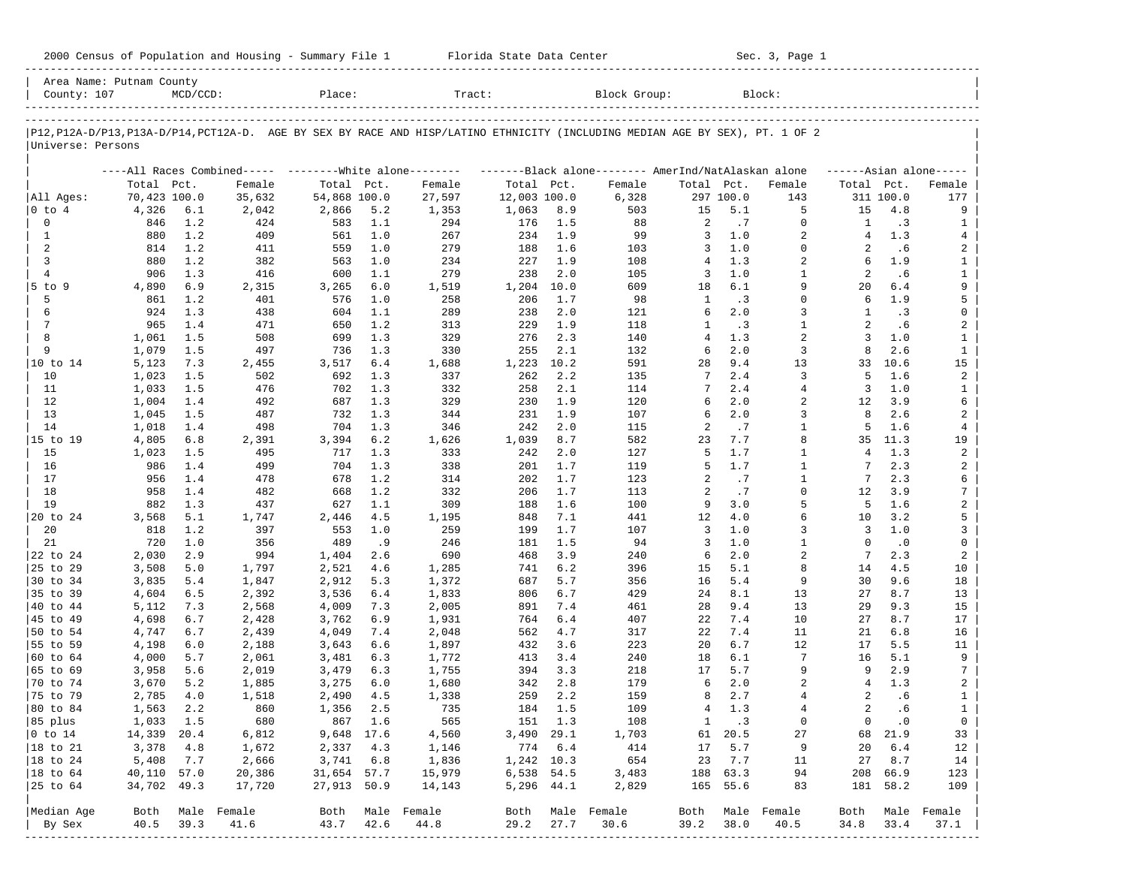| 2000 Census of Population and Housing - Summary File 1 |  | Florida State Data Center | Sec. 3, Page 1 |
|--------------------------------------------------------|--|---------------------------|----------------|
|--------------------------------------------------------|--|---------------------------|----------------|

| P12,P12A-D/P13,P13A-D/P14,PCT12A-D. AGE BY SEX BY RACE AND HISP/LATINO ETHNICITY (INCLUDING MEDIAN AGE BY SEX), PT. 1 OF 2<br>Universe: Persons<br>Total Pct.<br>70,423 100.0<br>All Ages:<br>4,326<br>0 to 4<br>0<br>846<br>$\mathbf{1}$<br>880<br>2<br>814<br>3<br>880<br>$\overline{4}$<br>906<br>5 to 9<br>4,890<br>5<br>861<br>6<br>924<br>7<br>965<br>8<br>1,061<br>9<br>1,079<br>10 to 14<br>5,123<br>10<br>1,023<br>11<br>1,033<br>12<br>1,004<br>13<br>1,045<br>14<br>1,018<br>15 to 19<br>4,805<br>15<br>1,023<br>16<br>986<br>17<br>956<br>18<br>958<br>19<br>882<br>20 to 24<br>3,568<br>20<br>818<br>21<br>720<br>22 to 24<br>2,030<br>25 to 29<br>3,508<br>30 to 34<br>3,835<br>35 to 39<br>4,604<br>40 to 44<br>5,112<br>45 to 49<br>4,698<br>50 to 54<br>4,747<br>55 to 59<br>4,198<br>60 to 64<br>4,000<br>65 to 69<br>3,958<br>70 to 74<br>3,670<br>75 to 79<br>2,785<br>80 to 84<br>1,563 |       |                                                           |              |         |                  |              |         |                                                     |                |              |                |                |           |                     |
|--------------------------------------------------------------------------------------------------------------------------------------------------------------------------------------------------------------------------------------------------------------------------------------------------------------------------------------------------------------------------------------------------------------------------------------------------------------------------------------------------------------------------------------------------------------------------------------------------------------------------------------------------------------------------------------------------------------------------------------------------------------------------------------------------------------------------------------------------------------------------------------------------------------|-------|-----------------------------------------------------------|--------------|---------|------------------|--------------|---------|-----------------------------------------------------|----------------|--------------|----------------|----------------|-----------|---------------------|
|                                                                                                                                                                                                                                                                                                                                                                                                                                                                                                                                                                                                                                                                                                                                                                                                                                                                                                              |       |                                                           |              |         |                  |              |         |                                                     |                |              |                |                |           |                     |
|                                                                                                                                                                                                                                                                                                                                                                                                                                                                                                                                                                                                                                                                                                                                                                                                                                                                                                              |       |                                                           |              |         |                  |              |         |                                                     |                |              |                |                |           |                     |
|                                                                                                                                                                                                                                                                                                                                                                                                                                                                                                                                                                                                                                                                                                                                                                                                                                                                                                              |       | ----All Races Combined----- --------- White alone-------- |              |         |                  |              |         | -------Black alone-------- AmerInd/NatAlaskan alone |                |              |                |                |           | $---Asian alone---$ |
|                                                                                                                                                                                                                                                                                                                                                                                                                                                                                                                                                                                                                                                                                                                                                                                                                                                                                                              |       | Female                                                    | Total Pct.   |         | Female           | Total Pct.   |         | Female                                              | Total Pct.     |              | Female         | Total Pct.     |           | Female              |
|                                                                                                                                                                                                                                                                                                                                                                                                                                                                                                                                                                                                                                                                                                                                                                                                                                                                                                              |       | 35,632                                                    | 54,868 100.0 |         | 27,597           | 12,003 100.0 |         | 6,328                                               |                | 297 100.0    | 143            |                | 311 100.0 | 177                 |
|                                                                                                                                                                                                                                                                                                                                                                                                                                                                                                                                                                                                                                                                                                                                                                                                                                                                                                              | 6.1   | 2,042                                                     | 2,866        | 5.2     | 1,353            | 1,063        | 8.9     | 503                                                 | 15             | 5.1          | 5              | 15             | 4.8       | 9                   |
|                                                                                                                                                                                                                                                                                                                                                                                                                                                                                                                                                                                                                                                                                                                                                                                                                                                                                                              | 1.2   | 424                                                       | 583          | 1.1     | 294              | 176          | 1.5     | 88                                                  | 2              | .7           | $\mathbf 0$    | 1              | .3        | 1                   |
|                                                                                                                                                                                                                                                                                                                                                                                                                                                                                                                                                                                                                                                                                                                                                                                                                                                                                                              | 1.2   | 409                                                       | 561          | 1.0     | 267              | 234          | 1.9     | 99                                                  | 3              | 1.0          | 2              | 4              | 1.3       | 4                   |
|                                                                                                                                                                                                                                                                                                                                                                                                                                                                                                                                                                                                                                                                                                                                                                                                                                                                                                              | 1.2   | 411                                                       | 559          | 1.0     | 279              | 188          | 1.6     | 103                                                 | 3              | 1.0          | $\mathbf 0$    | 2              | .6        | 2                   |
|                                                                                                                                                                                                                                                                                                                                                                                                                                                                                                                                                                                                                                                                                                                                                                                                                                                                                                              | 1.2   | 382                                                       | 563          | 1.0     | 234              | 227          | 1.9     | 108                                                 | 4              | 1.3          | 2              | 6              | 1.9       | $\mathbf{1}$        |
|                                                                                                                                                                                                                                                                                                                                                                                                                                                                                                                                                                                                                                                                                                                                                                                                                                                                                                              | 1.3   | 416                                                       | 600          | 1.1     | 279              | 238          | 2.0     | 105                                                 | 3              | 1.0          | $\mathbf{1}$   | 2              | .6        | $\mathbf{1}$        |
|                                                                                                                                                                                                                                                                                                                                                                                                                                                                                                                                                                                                                                                                                                                                                                                                                                                                                                              | 6.9   | 2,315                                                     | 3,265        | 6.0     | 1,519            | 1,204        | 10.0    | 609                                                 | 18             | 6.1          | 9              | 20             | 6.4       | 9                   |
|                                                                                                                                                                                                                                                                                                                                                                                                                                                                                                                                                                                                                                                                                                                                                                                                                                                                                                              | 1.2   | 401                                                       | 576          | 1.0     | 258              | 206          | 1.7     | 98                                                  | 1              | .3           | $\Omega$       | 6              | 1.9       | 5                   |
|                                                                                                                                                                                                                                                                                                                                                                                                                                                                                                                                                                                                                                                                                                                                                                                                                                                                                                              | 1.3   | 438                                                       | 604          | 1.1     | 289              | 238          | 2.0     | 121                                                 | 6              | 2.0          | 3              | 1              | $\cdot$ 3 | 0                   |
|                                                                                                                                                                                                                                                                                                                                                                                                                                                                                                                                                                                                                                                                                                                                                                                                                                                                                                              | 1.4   | 471                                                       | 650          | 1.2     | 313              | 229          | 1.9     | 118                                                 | 1              | .3           | $\mathbf{1}$   | $\overline{a}$ | .6        | 2                   |
|                                                                                                                                                                                                                                                                                                                                                                                                                                                                                                                                                                                                                                                                                                                                                                                                                                                                                                              | 1.5   | 508                                                       | 699          | 1.3     | 329              | 276          | 2.3     | 140                                                 | $\overline{4}$ | 1.3          | $\overline{a}$ | 3              | 1.0       | $\mathbf{1}$        |
|                                                                                                                                                                                                                                                                                                                                                                                                                                                                                                                                                                                                                                                                                                                                                                                                                                                                                                              | 1.5   | 497                                                       | 736          | 1.3     | 330              | 255          | 2.1     | 132                                                 | 6              | 2.0          | 3              | 8              | 2.6       | $\mathbf{1}$        |
|                                                                                                                                                                                                                                                                                                                                                                                                                                                                                                                                                                                                                                                                                                                                                                                                                                                                                                              | 7.3   | 2,455                                                     | 3,517        | 6.4     | 1,688            | 1,223        | 10.2    | 591                                                 | 28             | 9.4          | 13             | 33             | 10.6      | 15                  |
|                                                                                                                                                                                                                                                                                                                                                                                                                                                                                                                                                                                                                                                                                                                                                                                                                                                                                                              | 1.5   | 502                                                       | 692          | 1.3     | 337              | 262          | 2.2     | 135                                                 | 7              | 2.4          | 3              | 5              | 1.6       | 2                   |
|                                                                                                                                                                                                                                                                                                                                                                                                                                                                                                                                                                                                                                                                                                                                                                                                                                                                                                              | 1.5   | 476                                                       | 702          | 1.3     | 332              | 258          | 2.1     | 114                                                 | 7              | 2.4          | 4              | 3              | 1.0       | 1                   |
|                                                                                                                                                                                                                                                                                                                                                                                                                                                                                                                                                                                                                                                                                                                                                                                                                                                                                                              | 1.4   | 492                                                       | 687          | 1.3     | 329              | 230          | 1.9     | 120                                                 | 6              | 2.0          | 2              | 12             | 3.9       | 6                   |
|                                                                                                                                                                                                                                                                                                                                                                                                                                                                                                                                                                                                                                                                                                                                                                                                                                                                                                              | 1.5   | 487                                                       | 732          | 1.3     | 344              | 231          | 1.9     | 107                                                 | 6              | 2.0          | 3              | 8              | 2.6       | 2                   |
|                                                                                                                                                                                                                                                                                                                                                                                                                                                                                                                                                                                                                                                                                                                                                                                                                                                                                                              | 1.4   | 498                                                       | 704          | 1.3     | 346              | 242          | 2.0     | 115                                                 | 2              | .7           | $\mathbf{1}$   | 5              | 1.6       | 4                   |
|                                                                                                                                                                                                                                                                                                                                                                                                                                                                                                                                                                                                                                                                                                                                                                                                                                                                                                              | 6.8   | 2,391                                                     | 3,394        | 6.2     | 1,626            | 1,039        | 8.7     | 582                                                 | 23             | 7.7          | 8              | 35             | 11.3      | 19                  |
|                                                                                                                                                                                                                                                                                                                                                                                                                                                                                                                                                                                                                                                                                                                                                                                                                                                                                                              | 1.5   | 495                                                       | 717          | 1.3     | 333              | 242          | 2.0     | 127                                                 | 5              | 1.7          | $\mathbf{1}$   | $\overline{4}$ | 1.3       | 2                   |
|                                                                                                                                                                                                                                                                                                                                                                                                                                                                                                                                                                                                                                                                                                                                                                                                                                                                                                              | 1.4   | 499                                                       | 704          | 1.3     | 338              | 201          | 1.7     | 119                                                 | 5              | 1.7          | $\mathbf{1}$   | 7              | 2.3       | 2                   |
|                                                                                                                                                                                                                                                                                                                                                                                                                                                                                                                                                                                                                                                                                                                                                                                                                                                                                                              | 1.4   | 478                                                       | 678          | 1.2     | 314              | 202          | 1.7     | 123                                                 | 2              | .7           | $\mathbf{1}$   | 7              | 2.3       | 6                   |
|                                                                                                                                                                                                                                                                                                                                                                                                                                                                                                                                                                                                                                                                                                                                                                                                                                                                                                              | 1.4   | 482                                                       | 668          | 1.2     | 332              | 206          | 1.7     | 113                                                 | 2              | .7           | $\mathbf 0$    | 12             | 3.9       | $\overline{7}$      |
|                                                                                                                                                                                                                                                                                                                                                                                                                                                                                                                                                                                                                                                                                                                                                                                                                                                                                                              | 1.3   | 437                                                       | 627          | 1.1     | 309              | 188          | 1.6     | 100                                                 | 9              | 3.0          | 5              | 5              | 1.6       | $\overline{a}$      |
|                                                                                                                                                                                                                                                                                                                                                                                                                                                                                                                                                                                                                                                                                                                                                                                                                                                                                                              | 5.1   | 1,747                                                     | 2,446        | 4.5     | 1,195            | 848          | 7.1     | 441                                                 | 12             | 4.0          | 6              | 10             | 3.2       | 5                   |
|                                                                                                                                                                                                                                                                                                                                                                                                                                                                                                                                                                                                                                                                                                                                                                                                                                                                                                              | 1.2   | 397                                                       | 553          | 1.0     | 259              | 199          | 1.7     | 107                                                 | 3              | 1.0          | 3              | 3              | 1.0       | 3                   |
|                                                                                                                                                                                                                                                                                                                                                                                                                                                                                                                                                                                                                                                                                                                                                                                                                                                                                                              | 1.0   | 356                                                       | 489          | .9      | 246              | 181          | 1.5     | 94                                                  | 3              | $1\,.$ $0\,$ | $\mathbf{1}$   | $\Omega$       | $\cdot$ 0 | 0                   |
|                                                                                                                                                                                                                                                                                                                                                                                                                                                                                                                                                                                                                                                                                                                                                                                                                                                                                                              | 2.9   | 994                                                       | 1,404        | 2.6     | 690              | 468          | 3.9     |                                                     | 6              | 2.0          | $\overline{a}$ | 7              | 2.3       | 2                   |
|                                                                                                                                                                                                                                                                                                                                                                                                                                                                                                                                                                                                                                                                                                                                                                                                                                                                                                              | 5.0   |                                                           |              | 4.6     |                  | 741          | 6.2     | 240<br>396                                          | 15             | 5.1          | 8              | 14             | 4.5       |                     |
|                                                                                                                                                                                                                                                                                                                                                                                                                                                                                                                                                                                                                                                                                                                                                                                                                                                                                                              |       | 1,797                                                     | 2,521        |         | 1,285            |              | 5.7     |                                                     | 16             | 5.4          | 9              | 30             |           | 10                  |
|                                                                                                                                                                                                                                                                                                                                                                                                                                                                                                                                                                                                                                                                                                                                                                                                                                                                                                              | 5.4   | 1,847                                                     | 2,912        | 5.3     | 1,372            | 687          |         | 356                                                 |                |              |                |                | 9.6       | 18                  |
|                                                                                                                                                                                                                                                                                                                                                                                                                                                                                                                                                                                                                                                                                                                                                                                                                                                                                                              | 6.5   | 2,392                                                     | 3,536        | 6.4     | 1,833            | 806          | 6.7     | 429                                                 | 24             | 8.1          | 13             | 27             | 8.7       | 13                  |
|                                                                                                                                                                                                                                                                                                                                                                                                                                                                                                                                                                                                                                                                                                                                                                                                                                                                                                              | 7.3   | 2,568                                                     | 4,009        | 7.3     | 2,005            | 891          | 7.4     | 461                                                 | 28             | 9.4          | 13             | 29             | 9.3       | 15                  |
|                                                                                                                                                                                                                                                                                                                                                                                                                                                                                                                                                                                                                                                                                                                                                                                                                                                                                                              | $6.7$ | 2,428                                                     | 3,762        | 6.9     | 1,931            | 764          | 6.4     | 407                                                 | 22             | 7.4          | 10             | 27             | 8.7       | 17                  |
|                                                                                                                                                                                                                                                                                                                                                                                                                                                                                                                                                                                                                                                                                                                                                                                                                                                                                                              | 6.7   | 2,439                                                     | 4,049        | 7.4     | 2,048            | 562          | 4.7     | 317                                                 | 22             | 7.4          | 11             | 21             | 6.8       | 16                  |
|                                                                                                                                                                                                                                                                                                                                                                                                                                                                                                                                                                                                                                                                                                                                                                                                                                                                                                              | 6.0   | 2,188                                                     | 3,643        | 6.6     | 1,897            | 432          | 3.6     | 223                                                 | 20             | 6.7          | 12             | 17             | 5.5       | 11                  |
|                                                                                                                                                                                                                                                                                                                                                                                                                                                                                                                                                                                                                                                                                                                                                                                                                                                                                                              | 5.7   | 2,061                                                     | 3,481        | 6.3     | 1,772            | 413          | 3.4     | 240                                                 | 18             | 6.1          | 7              | 16             | 5.1       | 9                   |
|                                                                                                                                                                                                                                                                                                                                                                                                                                                                                                                                                                                                                                                                                                                                                                                                                                                                                                              | 5.6   | 2,019                                                     | 3,479        | 6.3     | 1,755            | 394          | 3.3     | 218                                                 | 17             | 5.7          | 9              | 9              | 2.9       | 7                   |
|                                                                                                                                                                                                                                                                                                                                                                                                                                                                                                                                                                                                                                                                                                                                                                                                                                                                                                              | 5.2   | 1,885                                                     | 3,275        | 6.0     | 1,680            | 342          | 2.8     | 179                                                 | 6              | 2.0          | 2              | 4              | 1.3       | 2                   |
|                                                                                                                                                                                                                                                                                                                                                                                                                                                                                                                                                                                                                                                                                                                                                                                                                                                                                                              | 4.0   | 1,518                                                     | 2,490        | 4.5     | 1,338            | 259          | 2.2     | 159                                                 | 8              | 2.7          | 4              | 2              | .6        | $\mathbf{1}$        |
|                                                                                                                                                                                                                                                                                                                                                                                                                                                                                                                                                                                                                                                                                                                                                                                                                                                                                                              | 2.2   | 860                                                       | 1,356        | 2.5     | 735              | 184          | 1.5     | 109                                                 | 4              | 1.3          | $\overline{4}$ | $\overline{a}$ | .6        | $\mathbf{1}$        |
| 85 plus<br>1,033 1.5                                                                                                                                                                                                                                                                                                                                                                                                                                                                                                                                                                                                                                                                                                                                                                                                                                                                                         |       | 680                                                       |              | 867 1.6 | 565              |              | 151 1.3 | 108                                                 | $\mathbf{1}$   | $\cdot$ 3    | 0              | $\overline{0}$ | $\cdot$ 0 | $\overline{0}$      |
| $ 0 \t\t \text{to} \t\t 14$<br>14,339 20.4                                                                                                                                                                                                                                                                                                                                                                                                                                                                                                                                                                                                                                                                                                                                                                                                                                                                   |       | 6,812                                                     | 9,648 17.6   |         | 4,560            | $3,490$ 29.1 |         | 1,703                                               |                | 61 20.5      | 27             |                | 68 21.9   | 33                  |
| 3,378<br>18 to 21                                                                                                                                                                                                                                                                                                                                                                                                                                                                                                                                                                                                                                                                                                                                                                                                                                                                                            | 4.8   | 1,672                                                     | 2,337        | 4.3     | 1,146            | 774 6.4      |         | 414                                                 | 17             | 5.7          | 9              | 20             | 6.4       | 12                  |
| 5,408<br>18 to 24                                                                                                                                                                                                                                                                                                                                                                                                                                                                                                                                                                                                                                                                                                                                                                                                                                                                                            | 7.7   | 2,666                                                     | 3,741        | 6.8     | 1,836            | 1,242 10.3   |         | 654                                                 | 23             | 7.7          | 11             | 27             | 8.7       | 14                  |
| 40,110 57.0<br>$ 18$ to $64$                                                                                                                                                                                                                                                                                                                                                                                                                                                                                                                                                                                                                                                                                                                                                                                                                                                                                 |       | 20,386                                                    | 31,654 57.7  |         | 15,979           | 6,538 54.5   |         | 3,483                                               |                | 188 63.3     | 94             |                | 208 66.9  | 123                 |
| 25 to 64<br>34,702 49.3                                                                                                                                                                                                                                                                                                                                                                                                                                                                                                                                                                                                                                                                                                                                                                                                                                                                                      |       | 17,720                                                    | 27,913 50.9  |         | 14,143           | 5,296 44.1   |         | 2,829                                               |                | 165 55.6     | 83             |                | 181 58.2  | 109                 |
| Median Age<br>Both Male Female                                                                                                                                                                                                                                                                                                                                                                                                                                                                                                                                                                                                                                                                                                                                                                                                                                                                               |       |                                                           |              |         | Both Male Female | Both         |         | Male Female                                         | Both           |              | Male Female    | Both           |           | Male Female         |
| 40.5<br>By Sex                                                                                                                                                                                                                                                                                                                                                                                                                                                                                                                                                                                                                                                                                                                                                                                                                                                                                               | 39.3  | 41.6                                                      | 43.7         | 42.6    | 44.8             | 29.2         | 27.7    | 30.6                                                | 39.2           | 38.0         | 40.5           | 34.8           | 33.4      | 37.1                |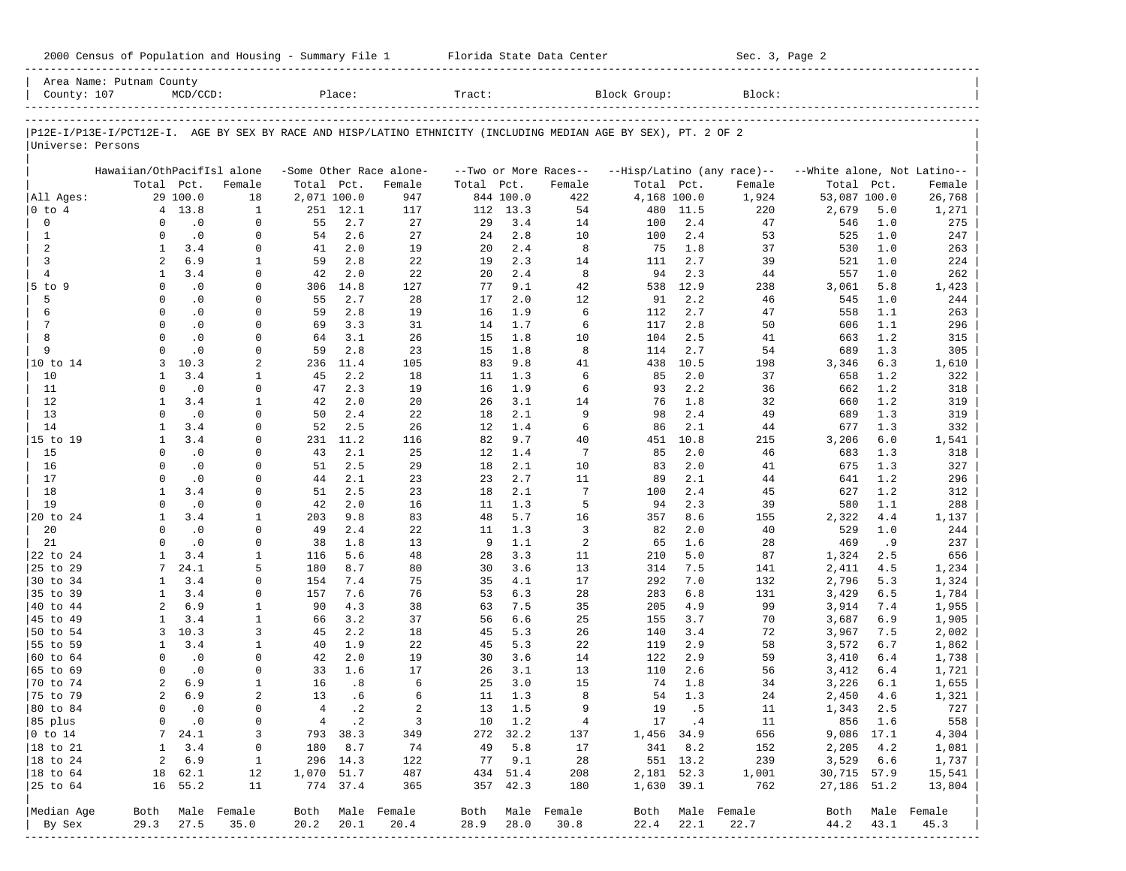|                      | Area Name: Putnam County   |             |                              |                |             |                         |                   |            |                       |                                                                                                                |            |                            |                             |            |                  |
|----------------------|----------------------------|-------------|------------------------------|----------------|-------------|-------------------------|-------------------|------------|-----------------------|----------------------------------------------------------------------------------------------------------------|------------|----------------------------|-----------------------------|------------|------------------|
| County: 107          |                            | $MCD/CCD$ : |                              |                | Place:      |                         | Tract:            |            |                       | Block Group:                                                                                                   |            | Block:                     |                             |            |                  |
|                      |                            |             |                              |                |             |                         |                   |            |                       | P12E-I/P13E-I/PCT12E-I. AGE BY SEX BY RACE AND HISP/LATINO ETHNICITY (INCLUDING MEDIAN AGE BY SEX), PT. 2 OF 2 |            |                            |                             |            |                  |
| Universe: Persons    |                            |             |                              |                |             |                         |                   |            |                       |                                                                                                                |            |                            |                             |            |                  |
|                      | Hawaiian/OthPacifIsl alone |             |                              |                |             | -Some Other Race alone- |                   |            | --Two or More Races-- |                                                                                                                |            | --Hisp/Latino (any race)-- | --White alone, Not Latino-- |            |                  |
|                      |                            | Total Pct.  | Female                       | Total Pct.     |             | Female                  | Total             | Pct.       | Female                | Total Pct.                                                                                                     |            | Female                     | Total                       | Pct.       | Female           |
| All Ages:            |                            | 29 100.0    | 18                           | 2,071 100.0    |             | 947                     |                   | 844 100.0  | 422                   | 4,168 100.0                                                                                                    |            | 1,924                      | 53,087 100.0                |            | 26,768           |
| $0$ to $4$           |                            | 4 13.8      | $\mathbf{1}$                 |                | 251 12.1    | 117                     |                   | 112 13.3   | 54                    | 480                                                                                                            | 11.5       | 220                        | 2,679                       | 5.0        | 1,271            |
| $\mathbf 0$          | $\Omega$                   | $\cdot$ 0   | $\Omega$                     | 55             | 2.7         | 27                      | 29                | 3.4        | 14                    | 100                                                                                                            | 2.4        | 47                         | 546                         | 1.0        | 275              |
| $\mathbf{1}$         | $\Omega$                   | $\cdot$ 0   | $\Omega$                     | 54             | 2.6         | 27                      | 24                | 2.8        | 10                    | 100                                                                                                            | 2.4        | 53                         | 525                         | 1.0        | 247              |
| $\overline{a}$       | $\mathbf{1}$               | 3.4         | $\mathbf 0$                  | 41             | 2.0         | 19                      | 20                | 2.4        | 8                     | 75                                                                                                             | 1.8        | 37                         | 530                         | 1.0        | 263              |
| 3                    | 2                          | 6.9         | 1                            | 59             | 2.8         | 22                      | 19                | 2.3        | 14                    | 111                                                                                                            | 2.7        | 39                         | 521                         | 1.0        | 224              |
| $\overline{4}$       | $\mathbf{1}$               | 3.4         | $\Omega$                     | 42             | 2.0         | 22                      | 20                | 2.4        | 8                     | 94                                                                                                             | 2.3        | 44                         | 557                         | 1.0        | 262              |
| 5 to 9               | $\Omega$                   | $\cdot$ 0   | $\Omega$                     | 306            | 14.8        | 127                     | 77                | 9.1        | 42                    | 538                                                                                                            | 12.9       | 238                        | 3,061                       | 5.8        | 1,423            |
| 5                    | $\Omega$                   | $\cdot$ 0   | $\Omega$                     | 55             | 2.7         | 28                      | 17                | 2.0        | 12                    | 91                                                                                                             | 2.2        | 46                         | 545                         | 1.0        | 244              |
| 6                    | $\Omega$                   | $\cdot$ 0   | $\Omega$                     | 59             | 2.8         | 19                      | 16                | 1.9        | 6                     | 112                                                                                                            | 2.7        | 47                         | 558                         | 1.1        | 263              |
| $7\phantom{.0}$      | $\Omega$                   | $\cdot$ 0   | $\Omega$                     | 69             | 3.3         | 31                      | 14                | 1.7        | 6                     | 117                                                                                                            | 2.8        | 50                         | 606                         | 1.1        | 296              |
| 8                    | $\Omega$                   | $\cdot$ 0   | $\Omega$                     | 64             | 3.1         | 26                      | 15                | 1.8        | 10                    | 104                                                                                                            | 2.5        | 41                         | 663                         | 1.2        | 315              |
| 9                    | $\Omega$                   | $\cdot$ 0   | $\Omega$                     | 59             | 2.8         | 23                      | 15                | 1.8        | 8                     | 114                                                                                                            | 2.7        | 54                         | 689                         | 1.3        | 305              |
| 10 to 14             | 3                          | 10.3        | 2                            | 236            | 11.4        | 105                     | 83                | 9.8        | 41                    | 438                                                                                                            | 10.5       | 198                        | 3,346                       | 6.3        | 1,610            |
| 10                   | $\mathbf{1}$               | 3.4         | 1                            | 45             | 2.2         | 18                      | 11                | 1.3        | 6                     | 85                                                                                                             | 2.0        | 37                         | 658                         | 1.2        | 322              |
| 11                   | $\Omega$                   | $\cdot$ 0   | $\Omega$                     | 47             | 2.3         | 19                      | 16                | 1.9        | 6                     | 93                                                                                                             | 2.2        | 36                         | 662                         | 1.2        | 318              |
| 12                   | $\mathbf{1}$               | 3.4         | $\mathbf{1}$                 | 42             | 2.0         | 20                      | 26                | 3.1        | 14                    | 76                                                                                                             | 1.8        | 32                         | 660                         | 1.2        | 319              |
| 13                   | $\Omega$                   | $\cdot$ 0   | $\Omega$                     | 50             | 2.4         | 22                      | 18                | 2.1        | 9                     | 98                                                                                                             | 2.4        | 49                         | 689                         | 1.3        | 319              |
| 14                   | $\mathbf{1}$               | 3.4         | $\Omega$                     | 52             | 2.5         | 26                      | $12 \overline{ }$ | 1.4        | 6                     | 86                                                                                                             | 2.1        | 44                         | 677                         | 1.3        | 332              |
| 15 to 19             | $\mathbf{1}$               | 3.4         | $\Omega$                     | 231            | 11.2        | 116                     | 82                | 9.7        | 40                    | 451                                                                                                            | 10.8       | 215                        | 3,206                       | 6.0        | 1,541            |
| 15                   | $\Omega$                   | .0          | $\Omega$                     | 43             | 2.1         | 25                      | 12                | 1.4        | $\overline{7}$        | 85                                                                                                             | 2.0        | 46                         | 683                         | 1.3        | 318              |
| 16                   | $\Omega$                   | $\cdot$ 0   | $\Omega$                     | 51             | 2.5         | 29                      | 18                | 2.1        | 10                    | 83                                                                                                             | 2.0        | 41                         | 675                         | 1.3        | 327              |
| 17                   | $\Omega$                   | $\cdot$ 0   | $\Omega$                     | 44             | 2.1         | 23                      | 23                | 2.7        | 11                    | 89                                                                                                             | 2.1        | 44                         | 641                         | 1.2        | 296              |
| 18                   | $\mathbf{1}$               | 3.4         | $\Omega$                     | 51             | 2.5         | 23                      | 18                | 2.1        | 7                     | 100                                                                                                            | 2.4        | 45                         | 627                         | 1.2        | 312              |
| 19                   | $\Omega$                   | $\cdot$ 0   | $\mathbf 0$                  | 42             | 2.0         | 16                      | 11                | 1.3        | 5                     | 94                                                                                                             | 2.3        | 39                         | 580                         | 1.1        | 288              |
| 20 to 24             | $\mathbf{1}$               | 3.4         | $\mathbf{1}$                 | 203            | 9.8         | 83                      | 48                | 5.7        | 16                    | 357                                                                                                            | 8.6        | 155                        | 2,322                       | 4.4        | 1,137            |
| 20                   | $\Omega$                   | $\cdot$ 0   | $\Omega$                     | 49             | 2.4         | 22                      | 11                | 1.3        | 3                     | 82                                                                                                             | 2.0        | 40                         | 529                         | 1.0        | 244              |
| 21                   | $\Omega$                   | $\cdot$ 0   | $\Omega$                     | 38             | 1.8         | 13                      | 9                 | 1.1        | $\overline{a}$        | 65                                                                                                             | 1.6        | 28                         | 469                         | .9         | 237              |
| 22 to 24             | $\mathbf{1}$               | 3.4         | $\mathbf{1}$                 | 116            | 5.6         | 48                      | 28                | 3.3        | 11                    | 210                                                                                                            | 5.0        | 87                         | 1,324                       | 2.5        | 656              |
| 25 to 29             |                            | 24.1        | 5                            | 180            | 8.7         | 80                      | 30                | 3.6        | 13                    | 314                                                                                                            | 7.5        | 141                        | 2,411                       | 4.5        | 1,234            |
| 30 to 34             | $\mathbf{1}$               | 3.4         | $\Omega$<br>$\Omega$         | 154            | 7.4         | 75                      | 35                | 4.1        | 17                    | 292                                                                                                            | 7.0        | 132                        | 2,796                       | 5.3        | 1,324            |
| 35 to 39             | 1                          | 3.4<br>6.9  |                              | 157<br>90      | 7.6<br>4.3  | 76                      | 53                | 6.3<br>7.5 | 28                    | 283                                                                                                            | 6.8        | 131                        | 3,429                       | 6.5        | 1,784            |
| 40 to 44<br>45 to 49 | 2<br>$\mathbf{1}$          | 3.4         | $\mathbf{1}$<br>$\mathbf{1}$ |                |             | 38                      | 63                | 6.6        | 35                    | 205                                                                                                            | 4.9        | 99<br>70                   | 3,914                       | 7.4        | 1,955            |
| 50 to 54             | 3                          | 10.3        | 3                            | 66<br>45       | 3.2<br>2.2  | 37<br>18                | 56<br>45          | 5.3        | 25<br>26              | 155<br>140                                                                                                     | 3.7<br>3.4 | 72                         | 3,687                       | 6.9<br>7.5 | 1,905            |
| 55 to 59             | 1                          | 3.4         | $\mathbf{1}$                 | 40             | 1.9         | 22                      | 45                | 5.3        | 22                    | 119                                                                                                            | 2.9        | 58                         | 3,967<br>3,572              | 6.7        | 2,002<br>1,862   |
| 60 to 64             | $\Omega$                   | $\cdot$ 0   | 0                            | 42             | 2.0         | 19                      | 30                | 3.6        | 14                    | 122                                                                                                            | 2.9        | 59                         | 3,410                       | 6.4        | 1,738            |
| 65 to 69             | $\Omega$                   | $\cdot$ 0   | $\Omega$                     | 33             | 1.6         | 17                      | 26                | 3.1        | 13                    | 110                                                                                                            | 2.6        | 56                         | 3,412                       | 6.4        | 1,721            |
| 70 to 74             | 2                          | 6.9         | $\mathbf{1}$                 | 16             | .8          | 6                       | 25                | 3.0        | 15                    | 74                                                                                                             | 1.8        | 34                         | 3,226                       | 6.1        | 1,655            |
| 75 to 79             | 2                          | 6.9         | $\overline{a}$               | 13             | .6          | 6                       | 11                | 1.3        | 8                     | 54                                                                                                             | 1.3        | 24                         | 2,450                       | 4.6        | 1,321            |
| 80 to 84             | $\Omega$                   | $\cdot$ 0   | $\Omega$                     | $\overline{4}$ | $\cdot$ 2   | $\overline{a}$          | 13                | 1.5        | 9                     | 19                                                                                                             | .5         | 11                         | 1,343                       | 2.5        | 727              |
| 85 plus              | 0                          | $\cdot$ 0   | 0                            |                | $4 \cdot 2$ | $\overline{\mathbf{3}}$ |                   | 10 1.2     | $\overline{4}$        |                                                                                                                | 17.4       | 11                         |                             | 856 1.6    | 558              |
| $0$ to $14$          | 7 <sup>7</sup>             | 24.1        | 3                            |                | 793 38.3    | 349                     |                   | 272 32.2   | 137                   | 1,456 34.9                                                                                                     |            | 656                        | 9,086 17.1                  |            | 4,304            |
| 18 to 21             | $\mathbf{1}$               | 3.4         | 0                            |                | 180 8.7     | 74                      | 49                | 5.8        | 17                    |                                                                                                                | 341 8.2    | 152                        | 2,205                       | 4.2        | 1,081            |
| 18 to 24             | $\overline{a}$             | 6.9         | 1                            |                | 296 14.3    | 122                     |                   | 77 9.1     | 28                    |                                                                                                                | 551 13.2   | 239                        | 3,529 6.6                   |            | 1,737            |
| 18 to 64             |                            | 18 62.1     | 12                           | 1,070 51.7     |             | 487                     |                   | 434 51.4   | 208                   |                                                                                                                | 2,181 52.3 | 1,001                      | 30,715 57.9                 |            | 15,541           |
| 25 to 64             |                            | 16 55.2     | 11                           |                | 774 37.4    | 365                     |                   | 357 42.3   | 180                   |                                                                                                                | 1,630 39.1 | 762                        | 27,186 51.2                 |            | 13,804           |
|                      |                            |             |                              |                |             |                         |                   |            |                       |                                                                                                                |            |                            |                             |            |                  |
| Median Age           |                            |             | Both Male Female             |                |             | Both Male Female        |                   |            | Both Male Female      |                                                                                                                |            | Both Male Female           |                             |            | Both Male Female |
| By Sex               | 29.3                       | 27.5        | 35.0<br>______________       | 20.2           | 20.1        | 20.4                    | 28.9              | 28.0       | 30.8                  | 22.4                                                                                                           | 22.1       | 22.7                       | 44.2                        | 43.1       | 45.3             |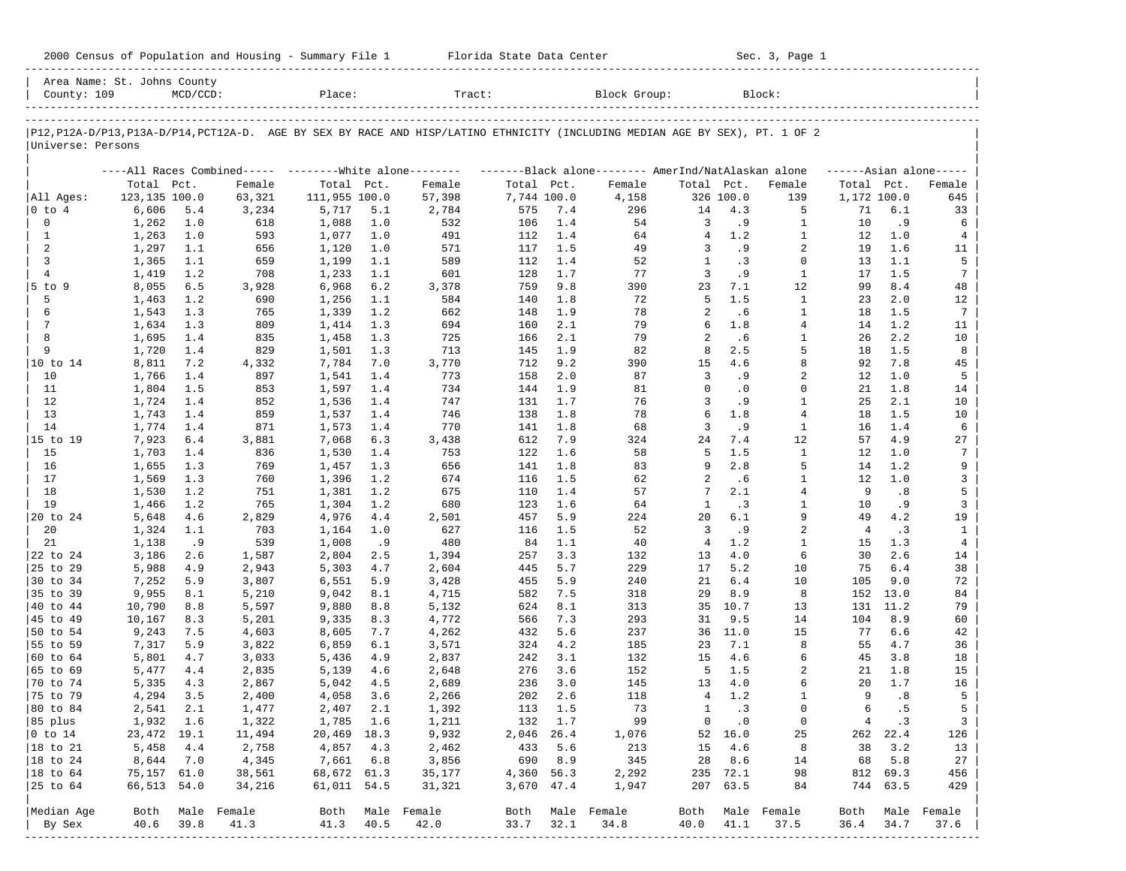| 2000 Census of Population and Housing - Summary File 1 |  | Florida State Data Center | Sec. 3, Page 1 |
|--------------------------------------------------------|--|---------------------------|----------------|
|--------------------------------------------------------|--|---------------------------|----------------|

| County: 109               | Area Name: St. Johns County | $MCD/CCD$ : |                  | Place:                   |            | Tract:                                                                                                                        |             |            | Block Group:                                        |                |                   | Block:             |                |                    |                     |
|---------------------------|-----------------------------|-------------|------------------|--------------------------|------------|-------------------------------------------------------------------------------------------------------------------------------|-------------|------------|-----------------------------------------------------|----------------|-------------------|--------------------|----------------|--------------------|---------------------|
|                           |                             |             |                  |                          |            |                                                                                                                               |             |            |                                                     |                |                   |                    |                |                    |                     |
| Universe: Persons         |                             |             |                  |                          |            | P12, P12A-D/P13, P13A-D/P14, PCT12A-D. AGE BY SEX BY RACE AND HISP/LATINO ETHNICITY (INCLUDING MEDIAN AGE BY SEX), PT. 1 OF 2 |             |            |                                                     |                |                   |                    |                |                    |                     |
|                           |                             |             |                  |                          |            | ----All Races Combined----- --------White alone--------                                                                       |             |            | -------Black alone-------- AmerInd/NatAlaskan alone |                |                   |                    |                |                    | $---Asian alone---$ |
|                           | Total Pct.                  |             | Female           | Total Pct.               |            | Female                                                                                                                        | Total Pct.  |            | Female                                              | Total Pct.     |                   | Female             | Total Pct.     |                    | Female              |
| All Ages:                 | 123,135 100.0               |             | 63,321           | 111,955 100.0            |            | 57,398                                                                                                                        | 7,744 100.0 |            | 4,158                                               |                | 326 100.0         | 139                |                | 1,172 100.0        | 645                 |
| $0$ to $4$                | 6,606                       | 5.4         | 3,234            | 5,717                    | 5.1        | 2,784                                                                                                                         | 575         | 7.4        | 296                                                 | 14             | 4.3               | 5                  | 71             | 6.1                | 33                  |
| 0                         | 1,262                       | 1.0         | 618              | 1,088                    | 1.0        | 532                                                                                                                           | 106         | 1.4        | 54                                                  | 3              | . 9               | 1                  | 10             | . 9                | 6                   |
| $\mathbf{1}$              | 1,263                       | 1.0         | 593              | 1,077                    | 1.0        | 491                                                                                                                           | 112         | 1.4        | 64                                                  | $\overline{4}$ | 1.2               | $\mathbf{1}$       | 12             | 1.0                | 4                   |
| 2                         | 1,297                       | 1.1         | 656              | 1,120                    | 1.0        | 571                                                                                                                           | 117         | 1.5        | 49                                                  | 3              | . 9               | $\overline{a}$     | 19             | 1.6                | 11                  |
| 3                         | 1,365                       | 1.1         | 659              | 1,199                    | 1.1        | 589                                                                                                                           | 112         | 1.4        | 52                                                  | $\mathbf{1}$   | .3                | $\Omega$           | 13             | 1.1                | 5                   |
| $\overline{4}$            | 1,419                       | 1.2         | 708              | 1,233                    | 1.1        | 601                                                                                                                           | 128<br>759  | 1.7<br>9.8 | 77<br>390                                           | 3<br>23        | . 9<br>7.1        | $\mathbf{1}$<br>12 | 17<br>99       | 1.5<br>8.4         | $7\phantom{.0}$     |
| 5 to 9<br>5               | 8,055<br>1,463              | 6.5<br>1.2  | 3,928<br>690     | 6,968<br>1,256           | 6.2<br>1.1 | 3,378<br>584                                                                                                                  | 140         | 1.8        | 72                                                  | 5              | 1.5               | $\mathbf{1}$       | 23             | 2.0                | 48<br>12            |
| 6                         | 1,543                       | 1.3         | 765              | 1,339                    | 1.2        | 662                                                                                                                           | 148         | 1.9        | 78                                                  | 2              | .6                | $\mathbf{1}$       | 18             | 1.5                | $7\phantom{.0}$     |
| 7                         | 1,634                       | 1.3         | 809              | 1,414                    | 1.3        | 694                                                                                                                           | 160         | 2.1        | 79                                                  | 6              | 1.8               | $\overline{4}$     | 14             | 1.2                | 11                  |
| 8                         | 1,695                       | 1.4         | 835              | 1,458                    | 1.3        | 725                                                                                                                           | 166         | 2.1        | 79                                                  | 2              | . 6               | 1                  | 26             | 2.2                | 10                  |
| 9                         | 1,720                       | 1.4         | 829              | 1,501                    | 1.3        | 713                                                                                                                           | 145         | 1.9        | 82                                                  | 8              | 2.5               | 5                  | 18             | 1.5                | 8                   |
| 10 to 14                  | 8,811                       | 7.2         | 4,332            | 7,784                    | 7.0        | 3,770                                                                                                                         | 712         | 9.2        | 390                                                 | 15             | 4.6               | 8                  | 92             | 7.8                | 45                  |
| 10                        | 1,766                       | 1.4         | 897              | 1,541                    | 1.4        | 773                                                                                                                           | 158         | 2.0        | 87                                                  | 3              | . 9               | $\overline{2}$     | 12             | 1.0                | 5                   |
| 11                        | 1,804                       | 1.5         | 853              | 1,597                    | 1.4        | 734                                                                                                                           | 144         | 1.9        | 81                                                  | $\Omega$       | $\cdot$ 0         | $\Omega$           | 21             | 1.8                | 14                  |
| 12                        | 1,724                       | 1.4         | 852              | 1,536                    | 1.4        | 747                                                                                                                           | 131         | 1.7        | 76                                                  | 3              | . 9               | $\mathbf{1}$       | 25             | 2.1                | 10                  |
| 13                        | 1,743                       | 1.4         | 859              | 1,537                    | 1.4        | 746                                                                                                                           | 138         | 1.8        | 78                                                  | 6              | 1.8               | 4                  | 18             | 1.5                | 10                  |
| 14                        | 1,774                       | 1.4         | 871              | 1,573                    | 1.4        | 770                                                                                                                           | 141         | 1.8        | 68                                                  | 3              | . 9               | $\mathbf{1}$       | 16             | 1.4                | 6                   |
| 15 to 19                  | 7,923                       | $6.4$       | 3,881            | 7,068                    | 6.3        | 3,438                                                                                                                         | 612         | 7.9        | 324                                                 | 24             | 7.4               | 12                 | 57             | 4.9                | 27                  |
| 15                        | 1,703                       | 1.4         | 836              | 1,530                    | 1.4        | 753                                                                                                                           | 122         | 1.6        | 58                                                  | 5              | 1.5               | $\mathbf{1}$       | 12             | 1.0                | 7                   |
| 16                        | 1,655                       | 1.3         | 769              | 1,457                    | 1.3        | 656                                                                                                                           | 141         | 1.8        | 83                                                  | 9              | 2.8               | 5                  | 14             | 1.2                | 9                   |
| 17                        | 1,569                       | 1.3         | 760              | 1,396                    | 1.2        | 674                                                                                                                           | 116         | 1.5        | 62                                                  | 2              | .6                | $\mathbf{1}$       | 12             | 1.0                | 3                   |
| 18                        | 1,530                       | 1.2         | 751              | 1,381                    | 1.2        | 675                                                                                                                           | 110         | 1.4        | 57                                                  | 7              | 2.1               | $\overline{4}$     | 9              | .8                 | 5                   |
| 19                        | 1,466                       | 1.2         | 765              | 1,304                    | 1.2        | 680                                                                                                                           | 123         | 1.6        | 64                                                  | $\mathbf{1}$   | . 3               | $\mathbf{1}$       | 10             | . 9                | 3                   |
| 20 to 24                  | 5,648                       | 4.6         | 2,829            | 4,976                    | 4.4        | 2,501                                                                                                                         | 457         | 5.9        | 224                                                 | 20             | 6.1               | 9                  | 49             | 4.2                | 19                  |
| 20                        | 1,324                       | 1.1         | 703              | 1,164                    | 1.0        | 627                                                                                                                           | 116         | 1.5        | 52                                                  | 3              | . 9               | $\overline{2}$     | $\overline{4}$ | .3                 | $\mathbf{1}$        |
| 21                        | 1,138                       | .9          | 539              | 1,008                    | .9         | 480                                                                                                                           | 84          | 1.1        | 40                                                  | 4              | 1.2               | 1                  | 15             | 1.3                | $\overline{4}$      |
| 22 to 24                  | 3,186                       | 2.6         | 1,587            | 2,804                    | 2.5        | 1,394                                                                                                                         | 257         | 3.3        | 132                                                 | 13             | 4.0               | 6                  | 30             | 2.6                | 14                  |
| 25 to 29                  | 5,988                       | 4.9         | 2,943            | 5,303                    | 4.7        | 2,604                                                                                                                         | 445         | 5.7        | 229                                                 | 17             | 5.2               | 10                 | 75             | 6.4                | 38                  |
| 30 to 34                  | 7,252                       | 5.9         | 3,807            | 6,551                    | 5.9        | 3,428                                                                                                                         | 455         | 5.9        | 240                                                 | 21             | 6.4               | 10                 | 105            | 9.0                | 72                  |
| 35 to 39                  | 9,955                       | 8.1         | 5,210            | 9,042                    | 8.1        | 4,715                                                                                                                         | 582         | 7.5        | 318                                                 | 29             | 8.9               | 8                  | 152            | 13.0               | 84                  |
| 40 to 44                  | 10,790                      | 8.8         | 5,597            | 9,880                    | 8.8        | 5,132                                                                                                                         | 624         | 8.1        | 313                                                 | 35             | 10.7              | 13                 | 131            | 11.2               | 79                  |
| 45 to 49                  | 10,167                      | 8.3         | 5,201            | 9,335                    | 8.3        | 4,772                                                                                                                         | 566         | 7.3        | 293                                                 | 31             | 9.5               | 14                 | 104            | 8.9                | 60                  |
| 50 to 54                  | 9,243                       | 7.5         | 4,603            | 8,605                    | 7.7        | 4,262                                                                                                                         | 432         | 5.6        | 237                                                 | 36             | 11.0              | 15                 | 77             | 6.6                | 42                  |
| 55 to 59                  | 7,317                       | 5.9         | 3,822            | 6,859                    | 6.1        | 3,571                                                                                                                         | 324         | 4.2        | 185                                                 | 23             | 7.1               | 8                  | 55             | 4.7                | 36                  |
| 60 to 64                  | 5,801                       | 4.7         | 3,033            | 5,436                    | 4.9        | 2,837                                                                                                                         | 242         | 3.1        | 132                                                 | 15             | 4.6               | 6                  | 45             | 3.8                | 18                  |
| 65 to 69                  | 5,477                       | 4.4         | 2,835            | 5,139                    | 4.6        | 2,648                                                                                                                         | 276         | 3.6        | 152                                                 | 5              | 1.5               | 2                  | 21             | 1.8                | 15                  |
| 70 to 74                  | 5,335                       | 4.3         | 2,867            | 5,042                    | 4.5        | 2,689                                                                                                                         | 236         | 3.0        | 145                                                 | 13             | 4.0               | 6                  | 20             | 1.7                | 16                  |
| 75 to 79                  | 4,294                       | 3.5         | 2,400            | 4,058                    | 3.6        | 2,266                                                                                                                         | 202         | 2.6        | 118                                                 | 4              | 1.2               | 1<br>$\Omega$      | 9              | .8                 | 5                   |
| 80 to 84                  | 2,541                       | 2.1         | 1,477            | 2,407                    | 2.1        | 1,392                                                                                                                         | 113         | 1.5        | 73                                                  | $\mathbf{1}$   | .3                |                    | 6              | . 5                | 5                   |
| 85 plus<br>$ 0 \t{to} 14$ | 1,932 1.6<br>23, 472 19.1   |             | 1,322            | 1,785 1.6                |            | 1,211<br>9,932                                                                                                                | 2,046 26.4  | 132 1.7    | 99                                                  |                | $0 \qquad .0$     | 0                  |                | 4.3                | 3 <sup>1</sup>      |
| $ 18 \text{ to } 21$      | 5,458                       | 4.4         | 11,494           | 20,469 18.3<br>4,857 4.3 |            |                                                                                                                               |             | 433 5.6    | 1,076<br>213                                        |                | 52 16.0<br>15 4.6 | 25<br>8            |                | 262 22.4<br>38 3.2 | 126<br>13           |
| $ 18 \text{ to } 24$      | 8,644                       | 7.0         | 2,758<br>4,345   | 7,661 6.8                |            | 2,462<br>3,856                                                                                                                |             | 690 8.9    | 345                                                 |                | 28 8.6            | 14                 |                | 68 5.8             | 27                  |
| $ 18 \text{ to } 64$      | 75,157 61.0                 |             | 38,561           | 68,672 61.3              |            | 35,177                                                                                                                        | 4,360 56.3  |            | 2,292                                               |                | 235 72.1          | 98                 |                | 812 69.3           | 456                 |
| 25 to 64                  | 66,513 54.0                 |             | 34,216           | 61,011 54.5              |            | 31,321                                                                                                                        | 3,670 47.4  |            | 1,947                                               |                | 207 63.5          | 84                 |                | 744 63.5           | 429                 |
|                           |                             |             |                  |                          |            |                                                                                                                               |             |            |                                                     |                |                   |                    |                |                    |                     |
| Median Age                |                             |             | Both Male Female |                          |            | Both Male Female                                                                                                              |             |            | Both Male Female                                    |                |                   | Both Male Female   | Both           |                    | Male Female         |
| By Sex                    | 40.6                        | 39.8        | 41.3             | 41.3 40.5                |            | 42.0                                                                                                                          | 33.7        | 32.1       | 34.8                                                | 40.0           | 41.1              | 37.5               | 36.4           | 34.7               | 37.6                |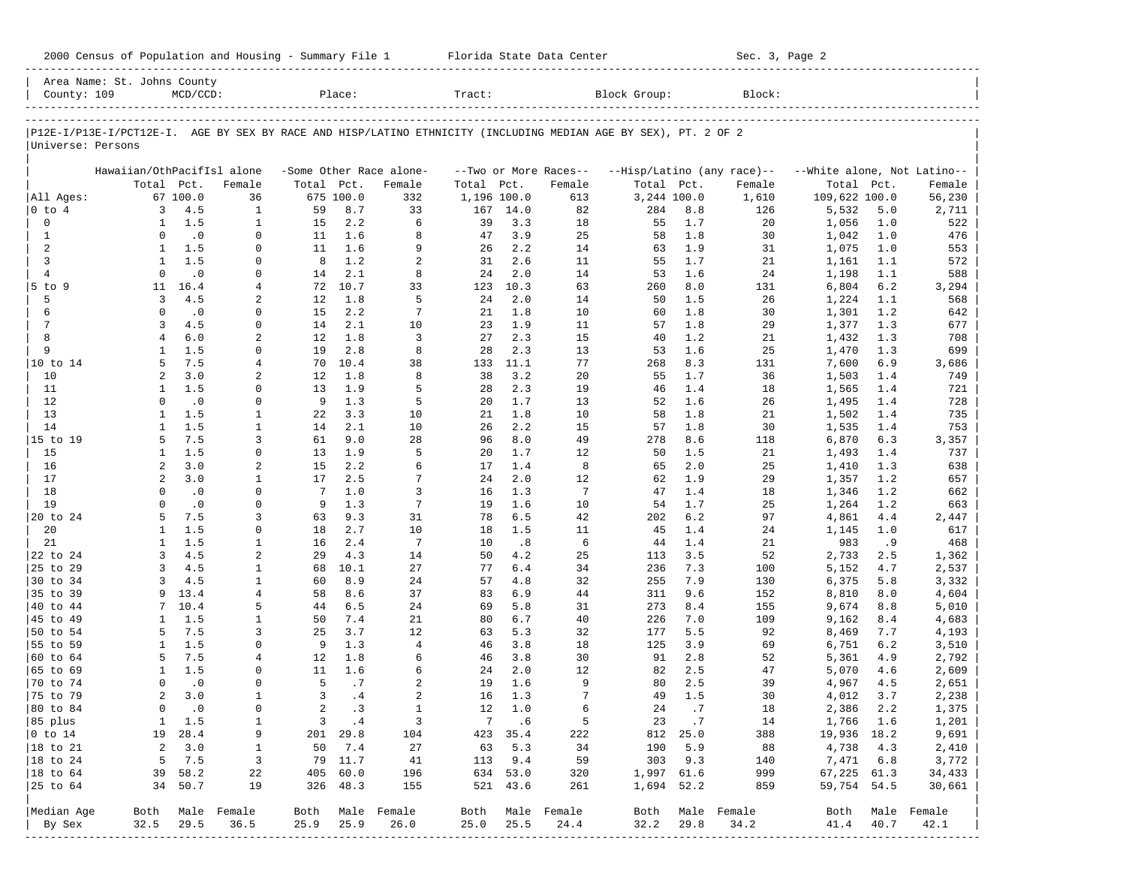|  |  |  |  |  |  |  |  | 2000 Census of Population and Housing - Summary File 1 |  |  |  |
|--|--|--|--|--|--|--|--|--------------------------------------------------------|--|--|--|
|--|--|--|--|--|--|--|--|--------------------------------------------------------|--|--|--|

2000 Florida State Data Center - Summary Sec. 3, Page 2 -----------------------------------------------------------------------------------------------------------------------------------------------------

|                      | Area Name: St. Johns County      |                    |                   |                 |                  |                                   |             |                      |                                 |                                                                                                                |             |                                      |                                      |            |                  |
|----------------------|----------------------------------|--------------------|-------------------|-----------------|------------------|-----------------------------------|-------------|----------------------|---------------------------------|----------------------------------------------------------------------------------------------------------------|-------------|--------------------------------------|--------------------------------------|------------|------------------|
| County: 109          |                                  | $MCD/CCD$ :        |                   |                 | Place:           |                                   | Tract:      |                      |                                 | Block Group:                                                                                                   |             | Block:                               |                                      |            |                  |
|                      |                                  |                    |                   |                 |                  |                                   |             |                      |                                 | P12E-I/P13E-I/PCT12E-I. AGE BY SEX BY RACE AND HISP/LATINO ETHNICITY (INCLUDING MEDIAN AGE BY SEX), PT. 2 OF 2 |             |                                      |                                      |            |                  |
| Universe: Persons    |                                  |                    |                   |                 |                  |                                   |             |                      |                                 |                                                                                                                |             |                                      |                                      |            |                  |
|                      |                                  |                    |                   |                 |                  |                                   |             |                      |                                 |                                                                                                                |             |                                      |                                      |            |                  |
|                      | Hawaiian/OthPacifIsl alone       | Total Pct.         | Female            | Total           | Pct.             | -Some Other Race alone-<br>Female | Total       | Pct.                 | --Two or More Races--<br>Female | Total Pct.                                                                                                     |             | --Hisp/Latino (any race)--<br>Female | --White alone, Not Latino--<br>Total | Pct.       | Female           |
| All Ages:            |                                  | 67 100.0           | 36                |                 | 675 100.0        | 332                               | 1,196 100.0 |                      | 613                             |                                                                                                                | 3,244 100.0 | 1,610                                | 109,622 100.0                        |            | 56,230           |
| 0 to 4               | 3                                | 4.5                | $\mathbf{1}$      | 59              | 8.7              | 33                                | 167         | 14.0                 | 82                              | 284                                                                                                            | 8.8         | 126                                  | 5,532                                | 5.0        | 2,711            |
| $\mathbf 0$          | 1                                | 1.5                | $\mathbf{1}$      | 15              | 2.2              | 6                                 | 39          | 3.3                  | 18                              | 55                                                                                                             | 1.7         | 20                                   | 1,056                                | 1.0        | 522              |
| 1                    | $\Omega$                         | $\cdot$ 0          | $\Omega$          | 11              | 1.6              | 8                                 | 47          | 3.9                  | 25                              | 58                                                                                                             | 1.8         | 30                                   | 1,042                                | 1.0        | 476              |
| 2                    | 1                                | 1.5                | $\Omega$          | 11              | 1.6              | 9                                 | 26          | 2.2                  | 14                              | 63                                                                                                             | 1.9         | 31                                   | 1,075                                | 1.0        | 553              |
| 3                    | 1                                | 1.5                | $\Omega$          | 8               | 1.2              | 2                                 | 31          | 2.6                  | 11                              | 55                                                                                                             | 1.7         | 21                                   | 1,161                                | 1.1        | 572              |
| $\overline{4}$       | $\Omega$                         | $\cdot$ 0          | $\Omega$          | 14              | 2.1              | 8                                 | 24          | 2.0                  | 14                              | 53                                                                                                             | 1.6         | 24                                   | 1,198                                | 1.1        | 588              |
| $5$ to<br>9          | 11                               | 16.4               | 4                 | 72              | 10.7             | 33                                | 123         | 10.3                 | 63                              | 260                                                                                                            | 8.0         | 131                                  | 6,804                                | 6.2        | 3,294            |
| 5                    | 3                                | 4.5                | 2                 | 12              | 1.8              | 5                                 | 24          | 2.0                  | 14                              | 50                                                                                                             | 1.5         | 26                                   | 1,224                                | 1.1        | 568              |
| 6                    | $\Omega$                         | $\cdot$ 0          | $\Omega$          | 15              | 2.2              | 7                                 | 21          | 1.8                  | 10                              | 60                                                                                                             | 1.8         | 30                                   | 1,301                                | 1.2        | 642              |
| 7                    | 3                                | 4.5                | $\Omega$          | 14              | 2.1              | 10                                | 23          | 1.9                  | 11                              | 57                                                                                                             | 1.8         | 29                                   | 1,377                                | 1.3        | 677              |
| 8                    | $\overline{4}$                   | 6.0                | 2                 | 12              | 1.8              | 3                                 | 27          | 2.3                  | 15                              | 40                                                                                                             | 1.2         | 21                                   | 1,432                                | 1.3        | 708              |
| 9                    | $\mathbf{1}$                     | 1.5                | $\Omega$          | 19              | 2.8              | 8                                 | 28          | 2.3                  | 13                              | 53                                                                                                             | 1.6         | 25                                   | 1,470                                | 1.3        | 699              |
| 10 to 14             | 5                                | 7.5                | 4                 | 70              | 10.4             | 38                                | 133         | 11.1                 | 77                              | 268                                                                                                            | 8.3         | 131                                  | 7,600                                | 6.9        | 3,686            |
| 10                   | $\overline{2}$                   | 3.0                | 2                 | 12              | 1.8              | 8                                 | 38          | 3.2                  | 20                              | 55                                                                                                             | 1.7         | 36                                   | 1,503                                | 1.4        | 749              |
| 11                   | 1                                | 1.5                | $\Omega$          | 13              | 1.9              | 5                                 | 28          | 2.3                  | 19                              | 46                                                                                                             | 1.4         | 18                                   | 1,565                                | 1.4        | 721              |
| 12                   | $\Omega$                         | $\cdot$ 0          | 0                 | 9               | 1.3              | 5                                 | 20          | 1.7                  | 13                              | 52                                                                                                             | 1.6         | 26                                   | 1,495                                | 1.4        | 728              |
| 13                   | $\mathbf{1}$                     | 1.5                | $\mathbf{1}$      | 22              | 3.3              | 10                                | 21          | 1.8                  | 10                              | 58                                                                                                             | 1.8         | 21                                   | 1,502                                | 1.4        | 735              |
| 14                   | $\mathbf{1}$                     | 1.5                | $\mathbf{1}$      | 14              | 2.1              | 10                                | 26          | 2.2                  | 15                              | 57                                                                                                             | 1.8         | 30                                   | 1,535                                | 1.4        | 753              |
| 15 to 19             | 5                                | 7.5                | 3                 | 61              | 9.0              | 28                                | 96          | 8.0                  | 49                              | 278                                                                                                            | 8.6         | 118                                  | 6,870                                | 6.3        | 3,357            |
| 15                   | 1                                | 1.5                | $\mathbf 0$       | 13              | 1.9              | 5                                 | 20          | 1.7                  | 12                              | 50                                                                                                             | 1.5         | 21                                   | 1,493                                | 1.4        | 737              |
| 16<br>17             | $\overline{a}$<br>$\overline{a}$ | 3.0<br>3.0         | 2<br>$\mathbf{1}$ | 15<br>17        | 2.2<br>2.5       | 6<br>7                            | 17<br>24    | 1.4<br>2.0           | 8<br>12                         | 65<br>62                                                                                                       | 2.0<br>1.9  | 25<br>29                             | 1,410                                | 1.3<br>1.2 | 638              |
| 18                   | $\Omega$                         | $\cdot$ 0          | $\Omega$          | $7\phantom{.0}$ | 1.0              | 3                                 | 16          | 1.3                  | $7\phantom{.0}$                 | 47                                                                                                             | 1.4         | 18                                   | 1,357<br>1,346                       | 1.2        | 657<br>662       |
| 19                   | $\Omega$                         | $\cdot$ 0          | $\Omega$          | 9               | 1.3              | $7\phantom{.0}$                   | 19          | 1.6                  | 10                              | 54                                                                                                             | 1.7         | 25                                   | 1,264                                | 1.2        | 663              |
| 20 to 24             | .5                               | 7.5                | 3                 | 63              | 9.3              | 31                                | 78          | 6.5                  | 42                              | 202                                                                                                            | 6.2         | 97                                   | 4,861                                | 4.4        | 2,447            |
| 20                   | $\mathbf{1}$                     | 1.5                | $\mathbf 0$       | 18              | 2.7              | 10                                | 18          | 1.5                  | 11                              | 45                                                                                                             | 1.4         | 24                                   | 1,145                                | 1.0        | 617              |
| 21                   | 1                                | 1.5                | $\mathbf{1}$      | 16              | 2.4              | 7                                 | 10          | .8                   | 6                               | 44                                                                                                             | 1.4         | 21                                   | 983                                  | .9         | 468              |
| 22 to 24             | 3                                | 4.5                | $\overline{2}$    | 29              | 4.3              | 14                                | 50          | 4.2                  | 25                              | 113                                                                                                            | 3.5         | 52                                   | 2,733                                | 2.5        | 1,362            |
| 25 to 29             | 3                                | 4.5                | $\mathbf{1}$      | 68              | 10.1             | 27                                | 77          | 6.4                  | 34                              | 236                                                                                                            | 7.3         | 100                                  | 5,152                                | 4.7        | 2,537            |
| 30 to 34             | 3                                | 4.5                | $\mathbf{1}$      | 60              | 8.9              | 24                                | 57          | 4.8                  | 32                              | 255                                                                                                            | 7.9         | 130                                  | 6,375                                | 5.8        | 3,332            |
| 35 to 39             | 9                                | 13.4               | $\overline{4}$    | 58              | 8.6              | 37                                | 83          | 6.9                  | 44                              | 311                                                                                                            | 9.6         | 152                                  | 8,810                                | 8.0        | 4,604            |
| 40 to 44             | 7                                | 10.4               | 5                 | 44              | 6.5              | 24                                | 69          | 5.8                  | 31                              | 273                                                                                                            | 8.4         | 155                                  | 9,674                                | 8.8        | 5,010            |
| 45 to 49             | -1                               | 1.5                | $\mathbf{1}$      | 50              | 7.4              | 21                                | 80          | 6.7                  | 40                              | 226                                                                                                            | 7.0         | 109                                  | 9,162                                | 8.4        | 4,683            |
| 50 to 54             | 5                                | 7.5                | 3                 | 25              | 3.7              | 12                                | 63          | 5.3                  | 32                              | 177                                                                                                            | 5.5         | 92                                   | 8,469                                | 7.7        | 4,193            |
| 55 to 59             | 1                                | 1.5                | $\Omega$          | 9               | 1.3              | $\overline{4}$                    | 46          | 3.8                  | 18                              | 125                                                                                                            | 3.9         | 69                                   | 6,751                                | 6.2        | 3,510            |
| 60 to 64             | 5                                | 7.5                | 4                 | 12              | 1.8              | 6                                 | 46          | 3.8                  | 30                              | 91                                                                                                             | 2.8         | 52                                   | 5,361                                | 4.9        | 2,792            |
| 65 to 69             | 1                                | 1.5                | $\Omega$          | 11              | 1.6              | 6                                 | 24          | 2.0                  | 12                              | 82                                                                                                             | 2.5         | 47                                   | 5,070                                | 4.6        | 2,609            |
| 70 to 74             | $\Omega$                         | $\cdot$ 0          | $\Omega$          | 5               | .7               | $\overline{a}$                    | 19          | 1.6                  | 9                               | 80                                                                                                             | 2.5         | 39                                   | 4,967                                | 4.5        | 2,651            |
| 75 to 79             | 2                                | 3.0                | $\mathbf{1}$      | 3               | .4               | $\overline{a}$                    | 16          | 1.3                  | 7                               | 49                                                                                                             | 1.5         | 30                                   | 4,012                                | 3.7        | 2,238            |
| 80 to 84             | $\Omega$                         | $\cdot$ 0          | $\mathbf 0$       | 2               | .3               | $\mathbf{1}$                      | 12          | 1.0                  | 6                               | 24                                                                                                             | .7          | 18                                   | 2,386                                | 2.2        | 1,375            |
| 85 plus              |                                  | 1 1.5              | 1                 |                 | $3 \cdot 4$      | 3                                 |             | 7 .6                 | 5                               | 23                                                                                                             | $\cdot$ 7   | 14                                   | 1,766 1.6                            |            | 1,201            |
| $ 0 \t{to} 14$       |                                  | 19 28.4            | 9                 |                 | 201 29.8         | 104                               |             | 423 35.4             | 222                             |                                                                                                                | 812 25.0    | 388                                  | 19,936 18.2                          |            | 9,691            |
| $ 18$ to $21$        | $\overline{a}$                   | 3.0                | 1                 |                 | 50 7.4           | 27                                |             | 63 5.3               | 34                              | 190                                                                                                            | 5.9         | 88                                   | 4,738                                | 4.3        | 2,410            |
| $ 18 \text{ to } 24$ | 5                                | 7.5                | $\overline{3}$    |                 | 79 11.7          | 41                                |             | 113 9.4              | 59                              | 303                                                                                                            | 9.3         | 140                                  | 7,471 6.8                            |            | 3,772            |
| $ 18 \text{ to } 64$ |                                  | 39 58.2<br>34 50.7 | 22<br>19          | 405             | 60.0<br>326 48.3 | 196<br>155                        |             | 634 53.0<br>521 43.6 | 320<br>261                      | 1,997 61.6                                                                                                     | 1,694 52.2  | 999<br>859                           | 67,225 61.3<br>59,754 54.5           |            | 34,433<br>30,661 |
|                      |                                  |                    |                   |                 |                  |                                   |             |                      |                                 |                                                                                                                |             |                                      |                                      |            |                  |
| Median Age           |                                  |                    | Both Male Female  |                 |                  | Both Male Female                  |             |                      | Both Male Female                | Both                                                                                                           |             | Male Female                          | Both                                 |            | Male Female      |
| By Sex               | 32.5                             | 29.5               | 36.5              | 25.9            | 25.9             | 26.0                              | 25.0        | 25.5                 | 24.4                            | 32.2                                                                                                           | 29.8        | 34.2                                 | 41.4                                 | 40.7       | 42.1             |
|                      |                                  |                    |                   |                 |                  |                                   |             |                      |                                 |                                                                                                                |             |                                      |                                      |            |                  |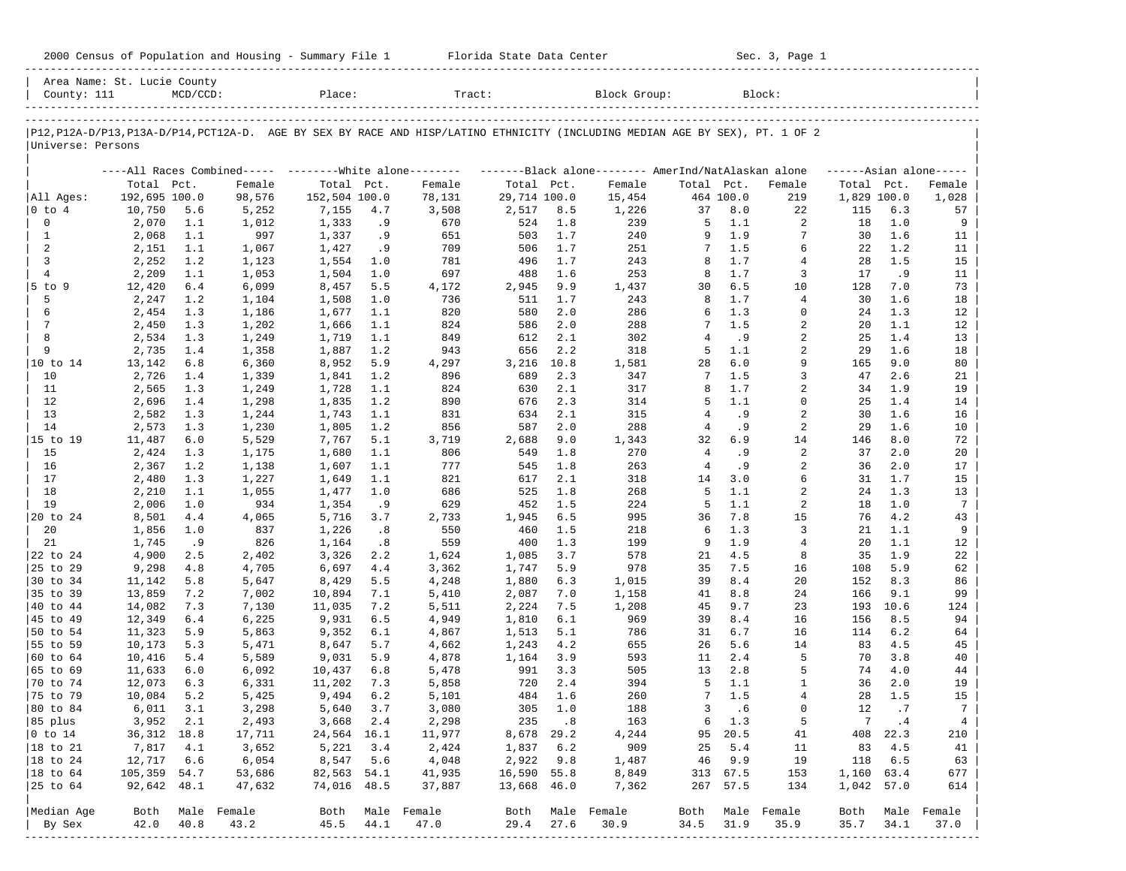| 2000 Census of Population and Housing - Summary File 1 |  | Florida State Data Center | Sec. 3, Page 1 |
|--------------------------------------------------------|--|---------------------------|----------------|
|--------------------------------------------------------|--|---------------------------|----------------|

| County: 111               | Area Name: St. Lucie County | $MCD/CCD$ : |                                                         | Place:        |     | Tract:                                                                                                                                                |              |       | Block Group:                                        |                |           | Block:                  |             |          |                     |
|---------------------------|-----------------------------|-------------|---------------------------------------------------------|---------------|-----|-------------------------------------------------------------------------------------------------------------------------------------------------------|--------------|-------|-----------------------------------------------------|----------------|-----------|-------------------------|-------------|----------|---------------------|
|                           |                             |             |                                                         |               |     | ____________________<br>P12, P12A-D/P13, P13A-D/P14, PCT12A-D. AGE BY SEX BY RACE AND HISP/LATINO ETHNICITY (INCLUDING MEDIAN AGE BY SEX), PT. 1 OF 2 |              |       |                                                     |                |           |                         |             |          |                     |
| Universe: Persons         |                             |             |                                                         |               |     |                                                                                                                                                       |              |       |                                                     |                |           |                         |             |          |                     |
|                           |                             |             | ----All Races Combined----- --------White alone-------- |               |     |                                                                                                                                                       |              |       | -------Black alone-------- AmerInd/NatAlaskan alone |                |           |                         |             |          | $---Asian alone---$ |
|                           | Total Pct.                  |             | Female                                                  | Total Pct.    |     | Female                                                                                                                                                | Total Pct.   |       | Female                                              | Total Pct.     |           | Female                  | Total Pct.  |          | Female              |
| All Ages:                 | 192,695 100.0               |             | 98,576                                                  | 152,504 100.0 |     | 78,131                                                                                                                                                | 29,714 100.0 |       | 15,454                                              |                | 464 100.0 | 219                     | 1,829 100.0 |          | 1,028               |
| $0$ to $4$                | 10,750                      | 5.6         | 5,252                                                   | 7,155         | 4.7 | 3,508                                                                                                                                                 | 2,517        | 8.5   | 1,226                                               | 37             | 8.0       | 22                      | 115         | 6.3      | 57                  |
| 0                         | 2,070                       | 1.1         | 1,012                                                   | 1,333         | . 9 | 670                                                                                                                                                   | 524          | 1.8   | 239                                                 | 5              | 1.1       | 2                       | 18          | 1.0      | 9                   |
| $\mathbf{1}$              | 2,068                       | 1.1         | 997                                                     | 1,337         | . 9 | 651                                                                                                                                                   | 503          | 1.7   | 240                                                 | 9              | 1.9       | 7                       | 30          | 1.6      | 11                  |
| 2                         | 2,151                       | 1.1         | 1,067                                                   | 1,427         | . 9 | 709                                                                                                                                                   | 506          | 1.7   | 251                                                 | 7              | 1.5       | 6                       | 22          | 1.2      | 11                  |
| 3                         | 2,252                       | 1.2         | 1,123                                                   | 1,554         | 1.0 | 781                                                                                                                                                   | 496          | 1.7   | 243                                                 | 8              | 1.7       | 4                       | 28          | 1.5      | 15                  |
| $\overline{4}$            | 2,209                       | 1.1         | 1,053                                                   | 1,504         | 1.0 | 697                                                                                                                                                   | 488          | 1.6   | 253                                                 | 8              | 1.7       | 3                       | 17          | .9       | 11                  |
| 5 to 9                    | 12,420                      | $6.4$       | 6,099                                                   | 8,457         | 5.5 | 4,172                                                                                                                                                 | 2,945        | 9.9   | 1,437                                               | 30             | 6.5       | 10                      | 128         | 7.0      | 73                  |
| 5                         | 2,247                       | 1.2         | 1,104                                                   | 1,508         | 1.0 | 736                                                                                                                                                   | 511          | 1.7   | 243                                                 | 8              | 1.7       | $\overline{4}$          | 30          | 1.6      | 18                  |
| 6                         | 2,454                       | 1.3         | 1,186                                                   | 1,677         | 1.1 | 820                                                                                                                                                   | 580          | 2.0   | 286                                                 | 6              | 1.3       | $\Omega$                | 24          | 1.3      | 12                  |
| 7                         | 2,450                       | 1.3         | 1,202                                                   | 1,666         | 1.1 | 824                                                                                                                                                   | 586          | 2.0   | 288                                                 | 7              | 1.5       | $\overline{2}$          | 20          | 1.1      | 12                  |
| 8                         | 2,534                       | 1.3         | 1,249                                                   | 1,719         | 1.1 | 849                                                                                                                                                   | 612          | 2.1   | 302                                                 | $\overline{4}$ | .9        | 2                       | 25          | 1.4      | 13                  |
| 9                         | 2,735                       | 1.4         | 1,358                                                   | 1,887         | 1.2 | 943                                                                                                                                                   | 656          | 2.2   | 318                                                 | 5              | 1.1       | $\overline{2}$          | 29          | 1.6      | 18                  |
| 10 to 14                  | 13,142                      | 6.8         | 6,360                                                   | 8,952         | 5.9 | 4,297                                                                                                                                                 | 3,216        | 10.8  | 1,581                                               | 28             | 6.0       | 9                       | 165         | 9.0      | 80                  |
| 10                        | 2,726                       | 1.4         | 1,339                                                   | 1,841         | 1.2 | 896                                                                                                                                                   | 689          | 2.3   | 347                                                 | 7              | 1.5       | 3                       | 47          | 2.6      | 21                  |
| 11                        | 2,565                       | 1.3         | 1,249                                                   | 1,728         | 1.1 | 824                                                                                                                                                   | 630          | 2.1   | 317                                                 | 8              | 1.7       | 2                       | 34          | 1.9      | 19                  |
| 12                        | 2,696                       | 1.4         | 1,298                                                   | 1,835         | 1.2 | 890                                                                                                                                                   | 676          | 2.3   | 314                                                 | 5              | 1.1       | $\Omega$                | 25          | 1.4      | 14                  |
| 13                        | 2,582                       | 1.3         | 1,244                                                   | 1,743         | 1.1 | 831                                                                                                                                                   | 634          | 2.1   | 315                                                 | 4              | . 9       | $\overline{\mathbf{c}}$ | 30          | 1.6      | 16                  |
| 14                        | 2,573                       | 1.3         | 1,230                                                   | 1,805         | 1.2 | 856                                                                                                                                                   | 587          | 2.0   | 288                                                 | 4              | . 9       | 2                       | 29          | 1.6      | 10                  |
| 15 to 19                  | 11,487                      | 6.0         | 5,529                                                   | 7,767         | 5.1 | 3,719                                                                                                                                                 | 2,688        | 9.0   | 1,343                                               | 32             | 6.9       | 14                      | 146         | 8.0      | 72                  |
| 15                        | 2,424                       | 1.3         | 1,175                                                   | 1,680         | 1.1 | 806                                                                                                                                                   | 549          | 1.8   | 270                                                 | $\overline{4}$ | . 9       | 2                       | 37          | 2.0      | 20                  |
| 16                        | 2,367                       | 1.2         | 1,138                                                   | 1,607         | 1.1 | 777                                                                                                                                                   | 545          | 1.8   | 263                                                 | $\overline{4}$ | . 9       | 2                       | 36          | 2.0      | 17                  |
| 17                        | 2,480                       | 1.3         | 1,227                                                   | 1,649         | 1.1 | 821                                                                                                                                                   | 617          | 2.1   | 318                                                 | 14             | 3.0       | 6                       | 31          | 1.7      | 15                  |
| 18                        | 2,210                       | 1.1         | 1,055                                                   | 1,477         | 1.0 | 686                                                                                                                                                   | 525          | 1.8   | 268                                                 | 5              | 1.1       | 2                       | 24          | 1.3      | 13                  |
| 19                        | 2,006                       | 1.0         | 934                                                     | 1,354         | .9  | 629                                                                                                                                                   | 452          | 1.5   | 224                                                 | 5              | 1.1       | 2                       | 18          | 1.0      | $7\phantom{.0}$     |
| 20 to 24                  | 8,501                       | 4.4         | 4,065                                                   | 5,716         | 3.7 | 2,733                                                                                                                                                 | 1,945        | 6.5   | 995                                                 | 36             | 7.8       | 15                      | 76          | 4.2      | 43                  |
| 20                        | 1,856                       | 1.0         | 837                                                     | 1,226         | .8  | 550                                                                                                                                                   | 460          | 1.5   | 218                                                 | 6              | 1.3       | 3                       | 21          | 1.1      | 9                   |
| 21                        | 1,745                       | .9          | 826                                                     | 1,164         | .8  | 559                                                                                                                                                   | 400          | 1.3   | 199                                                 | 9              | 1.9       | 4                       | 20          | 1.1      | 12                  |
| 22 to 24                  | 4,900                       | 2.5         | 2,402                                                   | 3,326         | 2.2 | 1,624                                                                                                                                                 | 1,085        | 3.7   | 578                                                 | 21             | 4.5       | 8                       | 35          | 1.9      | 22                  |
| 25 to 29                  | 9,298                       | 4.8         | 4,705                                                   | 6,697         | 4.4 | 3,362                                                                                                                                                 | 1,747        | 5.9   | 978                                                 | 35             | 7.5       | 16                      | 108         | 5.9      | 62                  |
| 30 to 34                  | 11,142                      | 5.8         | 5,647                                                   | 8,429         | 5.5 | 4,248                                                                                                                                                 | 1,880        | 6.3   | 1,015                                               | 39             | 8.4       | 20                      | 152         | 8.3      | 86                  |
| 35 to 39                  | 13,859                      | 7.2         | 7,002                                                   | 10,894        | 7.1 | 5,410                                                                                                                                                 | 2,087        | 7.0   | 1,158                                               | 41             | 8.8       | 24                      | 166         | 9.1      | 99                  |
| 40 to 44                  | 14,082                      | 7.3         | 7,130                                                   | 11,035        | 7.2 | 5,511                                                                                                                                                 | 2,224        | 7.5   | 1,208                                               | 45             | 9.7       | 23                      | 193         | 10.6     | 124                 |
| 45 to 49                  | 12,349                      | 6.4         | 6,225                                                   | 9,931         | 6.5 | 4,949                                                                                                                                                 | 1,810        | 6.1   | 969                                                 | 39             | 8.4       | 16                      | 156         | 8.5      | 94                  |
| 50 to 54                  | 11,323                      | 5.9         | 5,863                                                   | 9,352         | 6.1 | 4,867                                                                                                                                                 | 1,513        | 5.1   | 786                                                 | 31             | 6.7       | 16                      | 114         | 6.2      | 64                  |
| 55 to 59                  | 10,173                      | 5.3         | 5,471                                                   | 8,647         | 5.7 | 4,662                                                                                                                                                 | 1,243        | 4.2   | 655                                                 | 26             | 5.6       | 14                      | 83          | 4.5      | 45                  |
| 60 to 64                  | 10,416                      | 5.4         | 5,589                                                   | 9,031         | 5.9 | 4,878                                                                                                                                                 | 1,164        | 3.9   | 593                                                 | 11             | 2.4       | 5                       | 70          | 3.8      | 40                  |
| 65 to 69                  | 11,633                      | 6.0         | 6,092                                                   | 10,437        | 6.8 | 5,478                                                                                                                                                 | 991          | 3.3   | 505                                                 | 13             | 2.8       | 5                       | 74          | 4.0      | 44                  |
| 70 to 74                  | 12,073                      | 6.3         | 6,331                                                   | 11,202        | 7.3 | 5,858                                                                                                                                                 | 720          | 2.4   | 394                                                 | 5              | 1.1       | $\mathbf{1}$            | 36          | 2.0      | 19                  |
| 75 to 79                  | 10,084                      | 5.2         | 5,425                                                   | 9,494         | 6.2 | 5,101                                                                                                                                                 | 484          | 1.6   | 260                                                 | 7              | 1.5       | $\overline{4}$          | 28          | 1.5      | 15                  |
|                           |                             |             |                                                         |               | 3.7 |                                                                                                                                                       | 305          | 1.0   | 188                                                 | 3              | . 6       | $\Omega$                | 12          | .7       | $7\phantom{.0}$     |
| 80 to 84                  | 6,011                       | 3.1         | 3,298                                                   | 5,640         |     | 3,080                                                                                                                                                 |              |       |                                                     |                |           |                         |             |          |                     |
| 85 plus<br>$ 0 \t{to} 14$ | 3,952 2.1<br>36, 312 18.8   |             | 2,493                                                   | 3,668 2.4     |     | 2,298                                                                                                                                                 |              | 235.8 | 163                                                 |                | 6 1.3     | 5                       |             | 7 .4     | 4                   |
|                           |                             |             | 17,711                                                  | 24,564 16.1   |     | 11,977                                                                                                                                                | 8,678 29.2   |       | 4,244                                               |                | 95 20.5   | 41                      |             | 408 22.3 | 210                 |
| $ 18 \text{ to } 21$      | 7,817                       | 4.1         | 3,652                                                   | 5,221         | 3.4 | 2,424                                                                                                                                                 | 1,837 6.2    |       | 909                                                 | 25             | 5.4       | 11                      | 83          | 4.5      | 41                  |
| $ 18 \text{ to } 24$      | 12,717                      | 6.6         | 6,054                                                   | 8,547 5.6     |     | 4,048                                                                                                                                                 | 2,922        | 9.8   | 1,487                                               | 46             | 9.9       | 19                      | 118         | 6.5      | 63                  |
| $ 18 \text{ to } 64$      | 105,359 54.7                |             | 53,686                                                  | 82,563 54.1   |     | 41,935                                                                                                                                                | 16,590 55.8  |       | 8,849                                               |                | 313 67.5  | 153                     | 1,160 63.4  |          | 677                 |
| 25 to 64                  | 92,642 48.1                 |             | 47,632                                                  | 74,016 48.5   |     | 37,887                                                                                                                                                | 13,668 46.0  |       | 7,362                                               |                | 267 57.5  | 134                     | 1,042 57.0  |          | 614                 |
| Median Age                |                             |             | Both Male Female                                        |               |     | Both Male Female                                                                                                                                      |              |       | Both Male Female                                    |                |           | Both Male Female        | Both        |          | Male Female         |
| By Sex                    | 42.0                        | 40.8        | 43.2                                                    | 45.5 44.1     |     | 47.0                                                                                                                                                  | 29.4         | 27.6  | 30.9                                                | 34.5           | 31.9      | 35.9                    | 35.7        | 34.1     | 37.0                |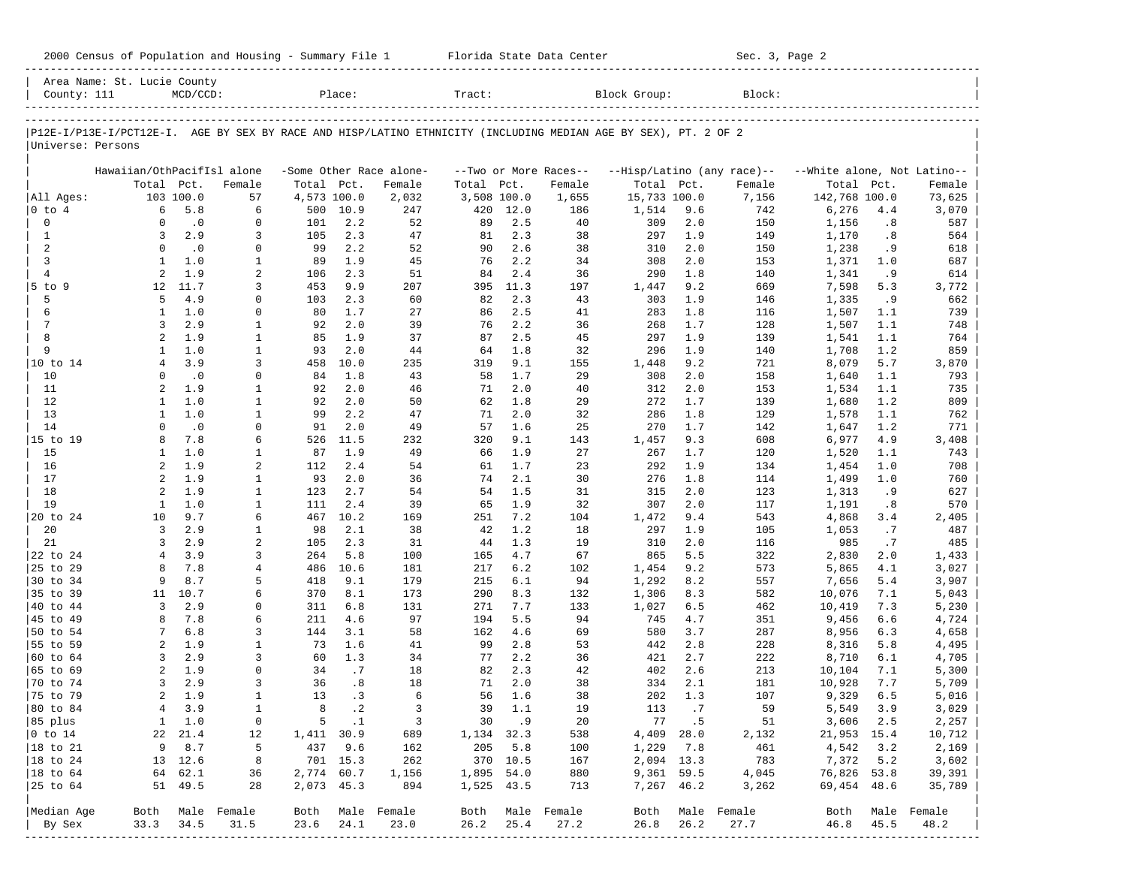|  |  |  |  |  |  |  |  | 2000 Census of Population and Housing - Summary File 1 |  |  |  |
|--|--|--|--|--|--|--|--|--------------------------------------------------------|--|--|--|
|--|--|--|--|--|--|--|--|--------------------------------------------------------|--|--|--|

2000 Florida State Data Center - Summary Sec. 3, Page 2 -----------------------------------------------------------------------------------------------------------------------------------------------------

|                      | Area Name: St. Lucie County |                  |                             |             |               |                         |             |            |                       |                                                                                                                |            |                            |                             |            |              |
|----------------------|-----------------------------|------------------|-----------------------------|-------------|---------------|-------------------------|-------------|------------|-----------------------|----------------------------------------------------------------------------------------------------------------|------------|----------------------------|-----------------------------|------------|--------------|
| County: 111          |                             | $MCD/CCD$ :      |                             |             | Place:        |                         | Tract:      |            |                       | Block Group:                                                                                                   |            | Block:                     |                             |            |              |
|                      |                             |                  |                             |             |               |                         |             |            |                       | P12E-I/P13E-I/PCT12E-I. AGE BY SEX BY RACE AND HISP/LATINO ETHNICITY (INCLUDING MEDIAN AGE BY SEX), PT. 2 OF 2 |            |                            |                             |            |              |
| Universe: Persons    |                             |                  |                             |             |               |                         |             |            |                       |                                                                                                                |            |                            |                             |            |              |
|                      | Hawaiian/OthPacifIsl alone  |                  |                             |             |               | -Some Other Race alone- |             |            | --Two or More Races-- |                                                                                                                |            | --Hisp/Latino (any race)-- | --White alone, Not Latino-- |            |              |
|                      |                             | Total Pct.       | Female                      | Total       | Pct.          | Female                  | Total       | Pct.       | Female                | Total Pct.                                                                                                     |            | Female                     | Total                       | Pct.       | Female       |
| All Ages:            |                             | 103 100.0        | 57                          | 4,573 100.0 |               | 2,032                   | 3,508 100.0 |            | 1,655                 | 15,733 100.0                                                                                                   |            | 7,156                      | 142,768 100.0               |            | 73,625       |
| 0 to 4               | 6                           | 5.8              | 6                           | 500         | 10.9          | 247                     | 420         | 12.0       | 186                   | 1,514                                                                                                          | 9.6        | 742                        | 6,276                       | 4.4        | 3,070        |
| $\mathbf 0$          | $\Omega$                    | $\cdot$ 0        | $\mathbf 0$                 | 101         | 2.2           | 52                      | 89          | 2.5        | 40                    | 309                                                                                                            | 2.0        | 150                        | 1,156                       | .8         | 587          |
| 1                    | 3                           | 2.9              | 3                           | 105         | 2.3           | 47                      | 81          | 2.3        | 38                    | 297                                                                                                            | 1.9        | 149                        | 1,170                       | .8         | 564          |
| 2                    | $\Omega$                    | $\cdot$ 0        | 0                           | 99          | 2.2           | 52                      | 90          | 2.6        | 38                    | 310                                                                                                            | 2.0        | 150                        | 1,238                       | . 9        | 618          |
| 3                    | 1                           | 1.0              | $\mathbf{1}$                | 89          | 1.9           | 45                      | 76          | 2.2        | 34                    | 308                                                                                                            | 2.0        | 153                        | 1,371                       | 1.0        | 687          |
| $\overline{4}$       | 2                           | 1.9              | $\overline{2}$              | 106         | 2.3           | 51                      | 84          | 2.4        | 36                    | 290                                                                                                            | 1.8        | 140                        | 1,341                       | . 9        | 614          |
| $5$ to<br>9          | $12^{\circ}$                | 11.7             | 3                           | 453         | 9.9           | 207                     | 395         | 11.3       | 197                   | 1,447                                                                                                          | 9.2        | 669                        | 7,598                       | 5.3        | 3,772        |
| 5                    | 5                           | 4.9              | $\Omega$                    | 103         | 2.3           | 60                      | 82          | 2.3        | 43                    | 303                                                                                                            | 1.9        | 146                        | 1,335                       | .9         | 662          |
| 6                    | 1                           | 1.0              | $\Omega$                    | 80          | 1.7           | 27                      | 86          | 2.5        | 41                    | 283                                                                                                            | 1.8        | 116                        | 1,507                       | 1.1        | 739          |
| 7                    | 3                           | 2.9              | 1                           | 92          | 2.0           | 39                      | 76          | 2.2        | 36                    | 268                                                                                                            | 1.7        | 128                        | 1,507                       | 1.1        | 748          |
| 8                    | $\overline{a}$              | 1.9              | $\mathbf{1}$                | 85          | 1.9           | 37                      | 87          | 2.5        | 45                    | 297                                                                                                            | 1.9        | 139                        | 1,541                       | 1.1        | 764          |
| 9                    | $\mathbf{1}$                | 1.0              | $\mathbf{1}$                | 93          | 2.0           | 44                      | 64          | 1.8        | 32                    | 296                                                                                                            | 1.9        | 140                        | 1,708                       | 1.2        | 859          |
| 10 to 14             | $\overline{4}$              | 3.9              | 3                           | 458         | 10.0          | 235                     | 319         | 9.1        | 155                   | 1,448                                                                                                          | 9.2        | 721                        | 8,079                       | 5.7        | 3,870        |
| 10                   | $\Omega$                    | $\cdot$ 0        | $\Omega$                    | 84          | 1.8           | 43                      | 58          | 1.7        | 29                    | 308                                                                                                            | 2.0        | 158                        | 1,640                       | 1.1        | 793          |
| 11                   | 2                           | 1.9              | $\mathbf{1}$                | 92          | 2.0           | 46                      | 71          | 2.0        | 40                    | 312                                                                                                            | 2.0        | 153                        | 1,534                       | 1.1        | 735          |
| 12                   | $\mathbf{1}$                | 1.0              | $\mathbf{1}$                | 92          | 2.0           | 50                      | 62          | 1.8        | 29                    | 272                                                                                                            | 1.7        | 139                        | 1,680                       | 1.2        | 809          |
| 13<br>14             | 1<br>$\Omega$               | 1.0<br>$\cdot$ 0 | $\mathbf{1}$<br>$\mathbf 0$ | 99<br>91    | 2.2<br>2.0    | 47                      | 71<br>57    | 2.0<br>1.6 | 32<br>25              | 286<br>270                                                                                                     | 1.8<br>1.7 | 129<br>142                 | 1,578                       | 1.1<br>1.2 | 762<br>771   |
| 15 to 19             | 8                           | 7.8              | 6                           | 526         | 11.5          | 49                      | 320         | 9.1        | 143                   |                                                                                                                | 9.3        | 608                        | 1,647<br>6,977              | 4.9        |              |
| 15                   | 1                           | 1.0              | 1                           | 87          | 1.9           | 232<br>49               | 66          | 1.9        | 27                    | 1,457<br>267                                                                                                   | 1.7        | 120                        | 1,520                       | 1.1        | 3,408<br>743 |
| 16                   | $\overline{a}$              | 1.9              | 2                           | 112         | 2.4           | 54                      | 61          | 1.7        | 23                    | 292                                                                                                            | 1.9        | 134                        | 1,454                       | 1.0        | 708          |
| 17                   | $\overline{2}$              | 1.9              | 1                           | 93          | 2.0           | 36                      | 74          | 2.1        | 30                    | 276                                                                                                            | 1.8        | 114                        | 1,499                       | 1.0        | 760          |
| 18                   | 2                           | 1.9              | $\mathbf{1}$                | 123         | 2.7           | 54                      | 54          | 1.5        | 31                    | 315                                                                                                            | 2.0        | 123                        | 1,313                       | .9         | 627          |
| 19                   | $\mathbf{1}$                | 1.0              | $\mathbf{1}$                | 111         | 2.4           | 39                      | 65          | 1.9        | 32                    | 307                                                                                                            | 2.0        | 117                        | 1,191                       | .8         | 570          |
| 20 to 24             | 10                          | 9.7              | 6                           | 467         | 10.2          | 169                     | 251         | 7.2        | 104                   | 1,472                                                                                                          | 9.4        | 543                        | 4,868                       | 3.4        | 2,405        |
| 20                   | 3                           | 2.9              | 1                           | 98          | 2.1           | 38                      | 42          | 1.2        | 18                    | 297                                                                                                            | 1.9        | 105                        | 1,053                       | .7         | 487          |
| 21                   | 3                           | 2.9              | 2                           | 105         | 2.3           | 31                      | 44          | 1.3        | 19                    | 310                                                                                                            | 2.0        | 116                        | 985                         | .7         | 485          |
| 22 to 24             | $\overline{4}$              | 3.9              | 3                           | 264         | 5.8           | 100                     | 165         | 4.7        | 67                    | 865                                                                                                            | 5.5        | 322                        | 2,830                       | 2.0        | 1,433        |
| 25 to 29             | 8                           | 7.8              | 4                           | 486         | 10.6          | 181                     | 217         | 6.2        | 102                   | 1,454                                                                                                          | 9.2        | 573                        | 5,865                       | 4.1        | 3,027        |
| 30 to 34             | 9                           | 8.7              | 5                           | 418         | 9.1           | 179                     | 215         | 6.1        | 94                    | 1,292                                                                                                          | 8.2        | 557                        | 7,656                       | 5.4        | 3,907        |
| 35 to 39             | 11                          | 10.7             | 6                           | 370         | 8.1           | 173                     | 290         | 8.3        | 132                   | 1,306                                                                                                          | 8.3        | 582                        | 10,076                      | 7.1        | 5,043        |
| 40 to 44             | 3                           | 2.9              | $\Omega$                    | 311         | 6.8           | 131                     | 271         | 7.7        | 133                   | 1,027                                                                                                          | 6.5        | 462                        | 10,419                      | 7.3        | 5,230        |
| 45 to 49             | 8                           | 7.8              | 6                           | 211         | 4.6           | 97                      | 194         | 5.5        | 94                    | 745                                                                                                            | 4.7        | 351                        | 9,456                       | 6.6        | 4,724        |
| 50 to 54             | 7                           | 6.8              | 3                           | 144         | 3.1           | 58                      | 162         | 4.6        | 69                    | 580                                                                                                            | 3.7        | 287                        | 8,956                       | 6.3        | 4,658        |
| 55 to 59             | 2                           | 1.9              | $\mathbf{1}$                | 73          | 1.6           | 41                      | 99          | 2.8        | 53                    | 442                                                                                                            | 2.8        | 228                        | 8,316                       | 5.8        | 4,495        |
| 60 to 64             | 3                           | 2.9              | 3                           | 60          | 1.3           | 34                      | 77          | 2.2        | 36                    | 421                                                                                                            | 2.7        | 222                        | 8,710                       | 6.1        | 4,705        |
| 65 to 69             | 2                           | 1.9              | $\Omega$                    | 34          | .7            | 18                      | 82          | 2.3        | 42                    | 402                                                                                                            | 2.6        | 213                        | 10,104                      | 7.1        | 5,300        |
| 70 to 74             | 3                           | 2.9              | 3                           | 36          | .8            | 18                      | 71          | 2.0        | 38                    | 334                                                                                                            | 2.1        | 181                        | 10,928                      | 7.7        | 5,709        |
| 75 to 79             | $\overline{a}$              | 1.9              | $\mathbf{1}$                | 13          | .3            | 6                       | 56          | 1.6        | 38                    | 202                                                                                                            | 1.3        | 107                        | 9,329                       | 6.5        | 5,016        |
| 80 to 84             | $\overline{4}$              | 3.9              | $\mathbf{1}$                | 8           | $\cdot$ 2     | 3                       | 39          | 1.1        | 19                    | 113                                                                                                            | .7         | 59                         | 5,549                       | 3.9        | 3,029        |
| 85 plus              |                             | 1 1.0            | 0                           |             | $5 \qquad .1$ | $\overline{\mathbf{3}}$ | 30 .9       |            | 20                    |                                                                                                                | 77.5       | 51                         | 3,606 2.5                   |            | 2,257        |
| $ 0 \t{to} 14$       |                             | 22 21.4          | 12                          | 1,411 30.9  |               | 689                     | 1,134 32.3  |            | 538                   |                                                                                                                | 4,409 28.0 | 2,132                      | 21,953 15.4                 |            | 10,712       |
| $ 18$ to $21$        |                             | 9 8.7            | 5                           |             | 437 9.6       | 162                     | 205 5.8     |            | 100                   | 1,229 7.8                                                                                                      |            | 461                        | 4,542                       | 3.2        | 2,169        |
| $ 18 \text{ to } 24$ |                             | 13 12.6          | 8                           |             | 701 15.3      | 262                     | 370 10.5    |            | 167                   | 2,094 13.3                                                                                                     |            | 783                        | 7,372 5.2                   |            | 3,602        |
| $ 18 \text{ to } 64$ |                             | 64 62.1          | 36                          | 2,774 60.7  |               | 1,156                   | 1,895 54.0  |            | 880                   | 9,361 59.5                                                                                                     |            | 4,045                      | 76,826 53.8                 |            | 39,391       |
|                      |                             | 51 49.5          | 28                          | 2,073 45.3  |               | 894                     | 1,525 43.5  |            | 713                   | 7,267 46.2                                                                                                     |            | 3,262                      | 69,454 48.6                 |            | 35,789       |
| Median Age           |                             |                  | Both Male Female            |             |               | Both Male Female        |             |            | Both Male Female      | Both                                                                                                           |            | Male Female                | Both                        |            | Male Female  |
| By Sex               | 33.3                        | 34.5             | 31.5                        | 23.6        | 24.1          | 23.0                    | 26.2        | 25.4       | 27.2                  | 26.8                                                                                                           | 26.2       | 27.7                       | 46.8                        | 45.5       | 48.2         |
|                      |                             |                  |                             |             |               |                         |             |            |                       |                                                                                                                |            |                            |                             |            |              |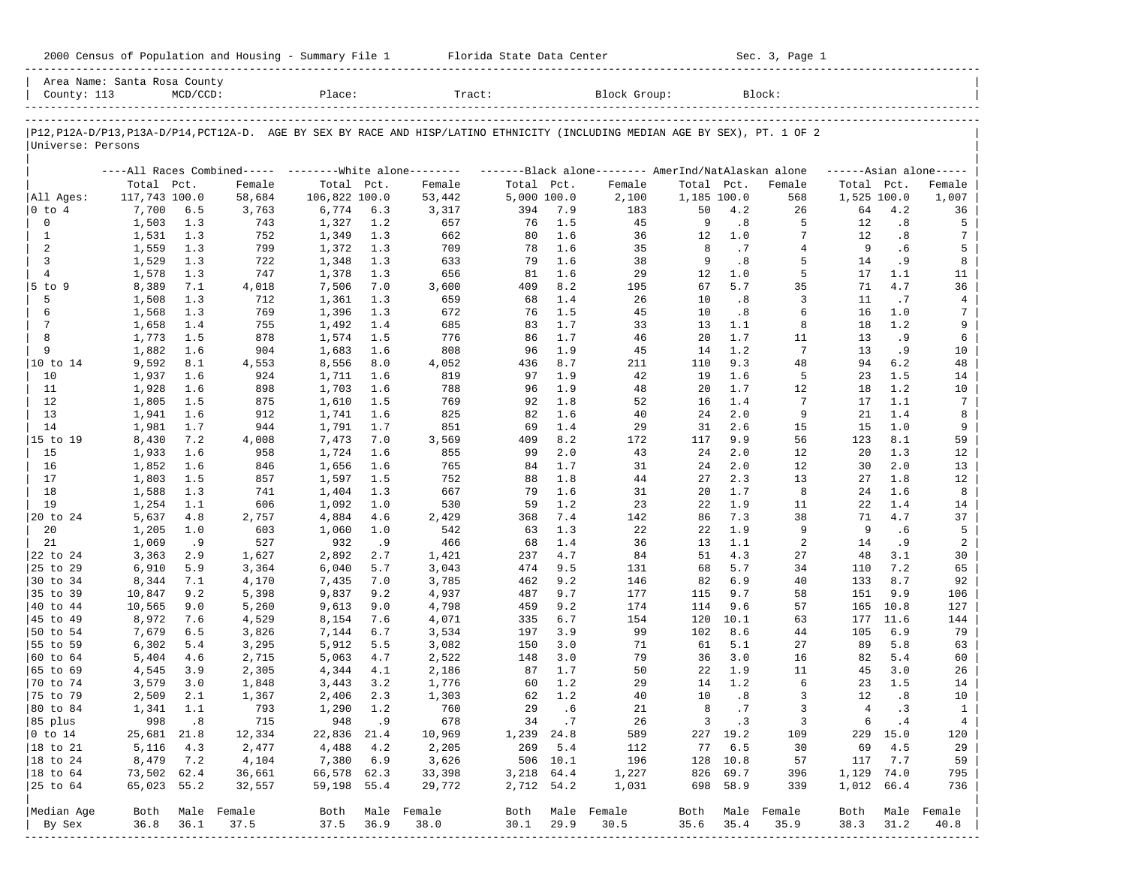| 2000 Census of Population and Housing - Summary File 1 |  | Florida State Data Center | Sec. 3, Page 1 |
|--------------------------------------------------------|--|---------------------------|----------------|
|--------------------------------------------------------|--|---------------------------|----------------|

| County: 113            | Area Name: Santa Rosa County | $MCD/CCD$ : |                                                          | Place:         |            | Tract:                                                                                                                     |             |            | Block Group:                                        |             |             | Block:                   |                |              |                     |
|------------------------|------------------------------|-------------|----------------------------------------------------------|----------------|------------|----------------------------------------------------------------------------------------------------------------------------|-------------|------------|-----------------------------------------------------|-------------|-------------|--------------------------|----------------|--------------|---------------------|
|                        |                              |             |                                                          |                |            |                                                                                                                            |             |            |                                                     |             |             |                          |                |              |                     |
| Universe: Persons      |                              |             |                                                          |                |            | P12,P12A-D/P13,P13A-D/P14,PCT12A-D. AGE BY SEX BY RACE AND HISP/LATINO ETHNICITY (INCLUDING MEDIAN AGE BY SEX), PT. 1 OF 2 |             |            |                                                     |             |             |                          |                |              |                     |
|                        |                              |             | ----All Races Combined----- -------- White alone-------- |                |            |                                                                                                                            |             |            | -------Black alone-------- AmerInd/NatAlaskan alone |             |             |                          |                |              | $---Asian alone---$ |
|                        | Total Pct.                   |             | Female                                                   | Total Pct.     |            | Female                                                                                                                     | Total Pct.  |            | Female                                              | Total Pct.  |             | Female                   | Total Pct.     |              | Female              |
| All Ages:              | 117,743 100.0                |             | 58,684                                                   | 106,822 100.0  |            | 53,442                                                                                                                     | 5,000 100.0 |            | 2,100                                               | 1,185 100.0 |             | 568                      | 1,525 100.0    |              | 1,007               |
| $ 0 \t{to} 4$          | 7,700                        | 6.5         | 3,763                                                    | 6,774          | 6.3        | 3,317                                                                                                                      | 394         | 7.9        | 183                                                 | 50          | 4.2         | 26                       | 64             | 4.2          | 36                  |
| $\mathbf 0$            | 1,503                        | 1.3         | 743                                                      | 1,327          | 1.2        | 657                                                                                                                        | 76          | 1.5        | 45                                                  | 9           | .8          | 5                        | 12             | .8           | 5                   |
| 1                      | 1,531                        | 1.3         | 752                                                      | 1,349          | 1.3        | 662                                                                                                                        | 80          | 1.6        | 36                                                  | 12          | 1.0         | 7                        | 12             | .8           | 7                   |
| 2                      | 1,559                        | 1.3         | 799                                                      | 1,372          | 1.3        | 709                                                                                                                        | 78          | 1.6        | 35                                                  | 8<br>9      | .7          | $\overline{4}$<br>5      | 9              | . 6          | 5                   |
| 3<br>$\overline{4}$    | 1,529                        | 1.3<br>1.3  | 722<br>747                                               | 1,348          | 1.3<br>1.3 | 633<br>656                                                                                                                 | 79<br>81    | 1.6<br>1.6 | 38<br>29                                            | 12          | .8<br>1.0   | 5                        | 14<br>17       | .9<br>1.1    | 8<br>11             |
| $5$ to $9$             | 1,578<br>8,389               | 7.1         | 4,018                                                    | 1,378<br>7,506 | 7.0        | 3,600                                                                                                                      | 409         | 8.2        | 195                                                 | 67          | 5.7         | 35                       | 71             | 4.7          | 36                  |
| 5                      | 1,508                        | 1.3         | 712                                                      | 1,361          | 1.3        | 659                                                                                                                        | 68          | 1.4        | 26                                                  | 10          | .8          | 3                        | 11             | .7           | 4                   |
| 6                      | 1,568                        | 1.3         | 769                                                      | 1,396          | 1.3        | 672                                                                                                                        | 76          | 1.5        | 45                                                  | 10          | .8          | 6                        | 16             | 1.0          | 7                   |
| 7                      | 1,658                        | 1.4         | 755                                                      | 1,492          | 1.4        | 685                                                                                                                        | 83          | 1.7        | 33                                                  | 13          | 1.1         | 8                        | 18             | 1.2          | 9                   |
| 8                      | 1,773                        | 1.5         | 878                                                      | 1,574          | 1.5        | 776                                                                                                                        | 86          | 1.7        | 46                                                  | 20          | 1.7         | 11                       | 13             | . 9          | 6                   |
| 9                      | 1,882                        | 1.6         | 904                                                      | 1,683          | 1.6        | 808                                                                                                                        | 96          | 1.9        | 45                                                  | 14          | 1.2         | $7\phantom{.0}$          | 13             | . 9          | 10                  |
| 10 to 14               | 9,592                        | 8.1         | 4,553                                                    | 8,556          | 8.0        | 4,052                                                                                                                      | 436         | 8.7        | 211                                                 | 110         | 9.3         | 48                       | 94             | 6.2          | 48                  |
| 10                     | 1,937                        | 1.6         | 924                                                      | 1,711          | 1.6        | 819                                                                                                                        | 97          | 1.9        | 42                                                  | 19          | 1.6         | 5                        | 23             | 1.5          | 14                  |
| 11                     | 1,928                        | 1.6         | 898                                                      | 1,703          | 1.6        | 788                                                                                                                        | 96          | 1.9        | 48                                                  | 20          | 1.7         | 12                       | 18             | 1.2          | 10                  |
| 12                     | 1,805                        | 1.5         | 875                                                      | 1,610          | 1.5        | 769                                                                                                                        | 92          | 1.8        | 52                                                  | 16          | 1.4         | 7                        | 17             | 1.1          | 7                   |
| 13                     | 1,941                        | 1.6         | 912                                                      | 1,741          | 1.6        | 825                                                                                                                        | 82          | 1.6        | 40                                                  | 24          | 2.0         | 9                        | 21             | 1.4          | 8                   |
| 14                     | 1,981                        | 1.7         | 944                                                      | 1,791          | 1.7        | 851                                                                                                                        | 69          | 1.4        | 29                                                  | 31          | 2.6         | 15                       | 15             | 1.0          | 9                   |
| 15 to 19               | 8,430                        | 7.2         | 4,008                                                    | 7,473          | 7.0        | 3,569                                                                                                                      | 409         | 8.2        | 172                                                 | 117         | 9.9         | 56                       | 123            | 8.1          | 59                  |
| 15                     | 1,933                        | 1.6         | 958                                                      | 1,724          | 1.6        | 855                                                                                                                        | 99          | 2.0        | 43                                                  | 24          | 2.0         | 12                       | 20             | 1.3          | 12                  |
| 16                     | 1,852                        | 1.6         | 846                                                      | 1,656          | 1.6        | 765                                                                                                                        | 84          | 1.7        | 31                                                  | 24          | 2.0         | 12                       | 30             | 2.0          | 13                  |
| 17                     | 1,803                        | 1.5         | 857                                                      | 1,597          | 1.5        | 752                                                                                                                        | 88          | 1.8        | 44                                                  | 27          | 2.3         | 13                       | 27             | 1.8          | 12                  |
| 18                     | 1,588                        | 1.3         | 741                                                      | 1,404          | 1.3        | 667                                                                                                                        | 79          | 1.6        | 31                                                  | 20          | 1.7         | 8                        | 24             | 1.6          | 8                   |
| 19                     | 1,254                        | 1.1         | 606                                                      | 1,092          | 1.0        | 530                                                                                                                        | 59          | 1.2        | 23                                                  | 22          | 1.9         | 11                       | 22             | 1.4          | 14                  |
| 20 to 24               | 5,637                        | 4.8         | 2,757                                                    | 4,884          | 4.6        | 2,429                                                                                                                      | 368         | 7.4        | 142                                                 | 86          | 7.3         | 38                       | 71             | 4.7          | 37                  |
| 20                     | 1,205                        | 1.0         | 603                                                      | 1,060          | 1.0        | 542                                                                                                                        | 63          | 1.3        | 22                                                  | 22          | 1.9         | 9                        | 9              | .6           | 5                   |
| 21                     | 1,069                        | .9          | 527                                                      | 932            | .9         | 466                                                                                                                        | 68          | 1.4        | 36                                                  | 13          | 1.1         | 2                        | 14             | . 9          | 2                   |
| 22 to 24               | 3,363                        | 2.9         | 1,627                                                    | 2,892          | 2.7        | 1,421                                                                                                                      | 237         | 4.7        | 84                                                  | 51          | 4.3         | 27                       | 48             | 3.1          | 30                  |
| 25 to 29               | 6,910                        | 5.9         | 3,364                                                    | 6,040          | 5.7        | 3,043                                                                                                                      | 474         | 9.5        | 131                                                 | 68          | 5.7         | 34                       | 110            | 7.2          | 65                  |
| 30 to 34               | 8,344                        | 7.1         | 4,170                                                    | 7,435          | 7.0        | 3,785                                                                                                                      | 462         | 9.2        | 146                                                 | 82          | 6.9         | 40                       | 133            | 8.7          | 92                  |
| 35 to 39               | 10,847                       | 9.2         | 5,398                                                    | 9,837          | 9.2        | 4,937                                                                                                                      | 487         | 9.7        | 177                                                 | 115         | 9.7         | 58                       | 151            | 9.9          | 106                 |
| 40 to 44               | 10,565                       | 9.0         | 5,260                                                    | 9,613          | 9.0<br>7.6 | 4,798                                                                                                                      | 459<br>335  | 9.2<br>6.7 | 174<br>154                                          | 114<br>120  | 9.6<br>10.1 | 57<br>63                 | 165<br>177     | 10.8<br>11.6 | 127<br>144          |
| 45 to 49<br>50 to 54   | 8,972<br>7,679               | 7.6<br>6.5  | 4,529<br>3,826                                           | 8,154<br>7,144 | 6.7        | 4,071<br>3,534                                                                                                             | 197         | 3.9        | 99                                                  | 102         | 8.6         | 44                       | 105            | 6.9          | 79                  |
| 55 to 59               | 6,302                        | 5.4         | 3,295                                                    | 5,912          | 5.5        | 3,082                                                                                                                      | 150         | 3.0        | 71                                                  | 61          | 5.1         | 27                       | 89             | 5.8          | 63                  |
| 60 to 64               | 5,404                        | 4.6         | 2,715                                                    | 5,063          | 4.7        | 2,522                                                                                                                      | 148         | 3.0        | 79                                                  | 36          | 3.0         | 16                       | 82             | 5.4          | 60                  |
| 65 to 69               | 4,545                        | 3.9         | 2,305                                                    | 4,344          | 4.1        | 2,186                                                                                                                      | 87          | 1.7        | 50                                                  | 22          | 1.9         | 11                       | 45             | 3.0          | 26                  |
| 70 to 74               | 3,579                        | 3.0         | 1,848                                                    | 3,443          | 3.2        | 1,776                                                                                                                      | 60          | 1.2        | 29                                                  | 14          | 1.2         | 6                        | 23             | 1.5          | 14                  |
| 75 to 79               | 2,509                        | 2.1         | 1,367                                                    | 2,406          | 2.3        | 1,303                                                                                                                      | 62          | 1.2        | 40                                                  | 10          | .8          | 3                        | 12             | .8           | 10                  |
| 80 to 84               | 1,341                        | 1.1         | 793                                                      | 1,290          | 1.2        | 760                                                                                                                        | 29          | .6         | 21                                                  | 8           | .7          | 3                        | $\overline{4}$ | .3           | $\mathbf{1}$        |
| 85 plus                |                              | 998.8       | 715                                                      | 948            | .9         | 678                                                                                                                        |             | 34.7       | 26                                                  |             | $3 \cdot 3$ | 3                        | 6              | $\cdot$ 4    | $4\overline{ }$     |
| $ 0 \t\t \text{to} 14$ | 25,681 21.8                  |             | 12,334                                                   | 22,836 21.4    |            | 10,969                                                                                                                     | 1,239 24.8  |            | 589                                                 |             | 227 19.2    | 109                      |                | 229 15.0     | 120                 |
| 18 to 21               | 5,116                        | 4.3         | 2,477                                                    | 4,488          | 4.2        | 2,205                                                                                                                      |             | 269 5.4    | 112                                                 |             | 77 6.5      | 30                       | 69             | 4.5          | 29                  |
| 18 to 24               | 8,479                        | 7.2         | 4,104                                                    | 7,380 6.9      |            | 3,626                                                                                                                      |             | 506 10.1   | 196                                                 |             | 128 10.8    | 57                       | 117            | 7.7          | 59                  |
| 18 to 64               | 73,502 62.4                  |             | 36,661                                                   | 66,578 62.3    |            | 33,398                                                                                                                     | 3,218 64.4  |            | 1,227                                               |             | 826 69.7    | 396                      | 1,129 74.0     |              | 795                 |
| 25 to 64               | 65,023 55.2                  |             | 32,557                                                   | 59,198 55.4    |            | 29,772                                                                                                                     | 2,712 54.2  |            | 1,031                                               |             | 698 58.9    | 339                      | 1,012 66.4     |              | 736                 |
|                        |                              |             |                                                          |                |            |                                                                                                                            |             |            |                                                     |             |             |                          |                |              |                     |
| Median Age<br>By Sex   | Both<br>36.8                 | 36.1        | Male Female<br>37.5                                      | 37.5           | 36.9       | Both Male Female<br>38.0                                                                                                   | 30.1        | 29.9       | Both Male Female<br>30.5                            | 35.6        | 35.4        | Both Male Female<br>35.9 | Both<br>38.3   | 31.2         | Male Female<br>40.8 |
| ------------           |                              |             |                                                          |                |            |                                                                                                                            |             |            |                                                     |             |             |                          |                |              |                     |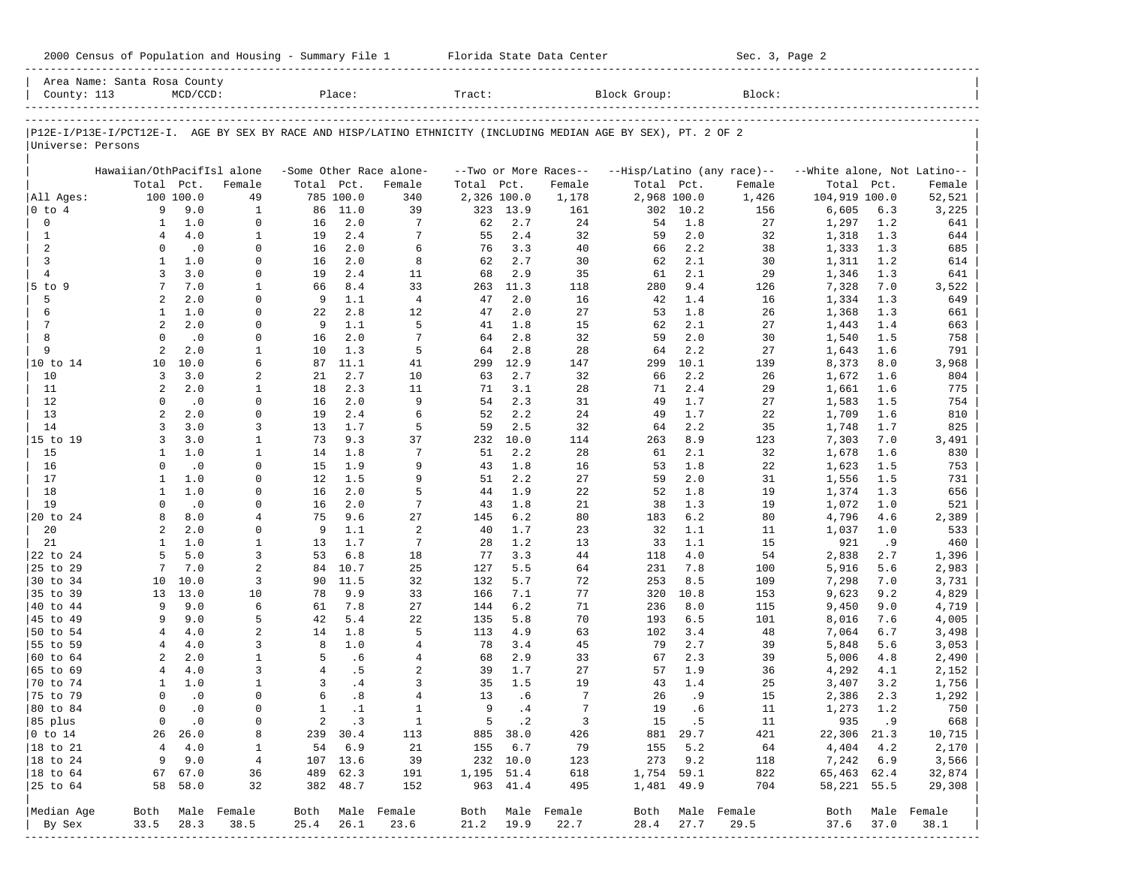2000 Census of Population and Housing - Summary File 1 Telorida State Data Center Sec. 3, Page 2

|                                 | Area Name: Santa Rosa County                                                                                   |                          |                  |                   |                 |                         |             |                 |                         |              |                 |                            |                             |            |                 |
|---------------------------------|----------------------------------------------------------------------------------------------------------------|--------------------------|------------------|-------------------|-----------------|-------------------------|-------------|-----------------|-------------------------|--------------|-----------------|----------------------------|-----------------------------|------------|-----------------|
| County: 113                     |                                                                                                                | $MCD/CCD$ :              |                  |                   | Place:          |                         | Tract:      |                 |                         | Block Group: |                 | Block:                     |                             |            |                 |
|                                 | P12E-I/P13E-I/PCT12E-I. AGE BY SEX BY RACE AND HISP/LATINO ETHNICITY (INCLUDING MEDIAN AGE BY SEX), PT. 2 OF 2 |                          |                  |                   |                 |                         |             |                 |                         |              |                 |                            |                             |            |                 |
| Universe: Persons               |                                                                                                                |                          |                  |                   |                 |                         |             |                 |                         |              |                 |                            |                             |            |                 |
|                                 | Hawaiian/OthPacifIsl alone                                                                                     |                          |                  |                   |                 | -Some Other Race alone- |             |                 | --Two or More Races--   |              |                 | --Hisp/Latino (any race)-- | --White alone, Not Latino-- |            |                 |
|                                 |                                                                                                                | Total Pct.               | Female           | Total Pct.        |                 | Female                  | Total       | Pct.            | Female                  | Total Pct.   |                 | Female                     | Total                       | Pct.       | Female          |
| All Ages:                       |                                                                                                                | 100 100.0                | 49               |                   | 785 100.0       | 340                     | 2,326 100.0 |                 | 1,178                   |              | 2,968 100.0     | 1,426                      | 104,919 100.0               |            | 52,521          |
| $0$ to $4$                      | 9                                                                                                              | 9.0                      | $\mathbf{1}$     | 86                | 11.0            | 39                      | 323         | 13.9            | 161                     | 302          | 10.2            | 156                        | 6,605                       | 6.3        | 3,225           |
| $\mathbf 0$                     | $\mathbf{1}$                                                                                                   | 1.0                      | $\mathbf 0$      | 16                | 2.0             | 7                       | 62          | 2.7             | 24                      | 54           | 1.8             | 27                         | 1,297                       | 1.2        | 641             |
| $\mathbf{1}$                    | 4                                                                                                              | 4.0                      | $\mathbf{1}$     | 19                | 2.4             | 7                       | 55          | 2.4             | 32                      | 59           | 2.0             | 32                         | 1,318                       | 1.3        | 644             |
| 2                               | $\mathbf 0$                                                                                                    | $\cdot$ 0                | $\mathbf 0$      | 16                | 2.0             | 6                       | 76          | 3.3             | 40                      | 66           | 2.2             | 38                         | 1,333                       | 1.3        | 685             |
| 3                               | $\mathbf{1}$                                                                                                   | 1.0                      | $\mathbf 0$      | 16                | 2.0             | 8                       | 62          | 2.7             | 30                      | 62           | 2.1             | 30                         | 1,311                       | 1.2        | 614             |
| $\overline{4}$                  | 3                                                                                                              | 3.0                      | 0                | 19                | 2.4             | 11                      | 68          | 2.9             | 35                      | 61           | 2.1             | 29                         | 1,346                       | 1.3        | 641             |
| 5 to 9                          | 7                                                                                                              | 7.0                      | $\mathbf{1}$     | 66                | 8.4             | 33                      | 263         | 11.3            | 118                     | 280          | 9.4             | 126                        | 7,328                       | 7.0        | 3,522           |
| 5                               | 2                                                                                                              | 2.0                      | 0                | 9                 | 1.1             | $\overline{4}$          | 47          | 2.0             | 16                      | 42           | 1.4             | 16                         | 1,334                       | 1.3        | 649             |
| 6                               | $\mathbf{1}$                                                                                                   | 1.0                      | $\mathbf 0$      | 22                | 2.8             | 12                      | 47          | 2.0             | 27                      | 53           | 1.8             | 26                         | 1,368                       | 1.3        | 661             |
| 7                               | 2                                                                                                              | 2.0                      | 0                | 9                 | 1.1             | 5                       | 41          | 1.8             | 15                      | 62           | 2.1             | 27                         | 1,443                       | 1.4        | 663             |
| 8                               | $\mathbf 0$                                                                                                    | $\cdot$ 0                | $\mathbf 0$      | 16                | 2.0             | 7                       | 64          | 2.8             | 32                      | 59           | 2.0             | 30                         | 1,540                       | 1.5        | 758             |
| 9                               | 2                                                                                                              | 2.0                      | $\mathbf{1}$     | 10                | 1.3             | 5                       | 64          | 2.8             | 28                      | 64           | 2.2             | 27                         | 1,643                       | 1.6        | 791             |
| 10 to 14                        | 10                                                                                                             | 10.0                     | 6                | 87                | 11.1            | 41                      | 299         | 12.9            | 147                     | 299          | 10.1            | 139                        | 8,373                       | 8.0        | 3,968           |
| 10                              | 3                                                                                                              | 3.0                      | 2                | 21                | 2.7             | 10                      | 63          | 2.7             | 32                      | 66           | 2.2             | 26                         | 1,672                       | 1.6        | 804             |
| 11                              | 2                                                                                                              | 2.0                      | $\mathbf{1}$     | 18                | 2.3             | 11                      | 71          | 3.1             | 28                      | 71           | 2.4             | 29                         | 1,661                       | 1.6        | 775             |
| 12                              | $\mathbf 0$                                                                                                    | $\cdot$ 0                | 0                | 16                | 2.0             | 9                       | 54          | 2.3             | 31                      | 49           | 1.7             | 27                         | 1,583                       | 1.5        | 754             |
| 13<br>14                        | $\overline{a}$<br>3                                                                                            | 2.0<br>3.0               | $\mathbf 0$<br>3 | 19<br>13          | 2.4<br>1.7      | 6<br>5                  | 52<br>59    | 2.2<br>2.5      | 24<br>32                | 49           | 1.7<br>2.2      | 22<br>35                   | 1,709                       | 1.6<br>1.7 | 810             |
| 15 to 19                        | 3                                                                                                              | 3.0                      | $\mathbf{1}$     | 73                | 9.3             | 37                      | 232         | 10.0            | 114                     | 64<br>263    | 8.9             | 123                        | 1,748<br>7,303              | 7.0        | 825<br>3,491    |
| 15                              | $\mathbf{1}$                                                                                                   | 1.0                      | 1                | 14                | 1.8             | 7                       | 51          | 2.2             | 28                      | 61           | 2.1             | 32                         | 1,678                       | 1.6        | 830             |
| 16                              | $\mathbf 0$                                                                                                    | $\cdot$ 0                | $\mathbf 0$      | 15                | 1.9             | 9                       | 43          | 1.8             | 16                      | 53           | 1.8             | 22                         | 1,623                       | 1.5        | 753             |
| 17                              | $\mathbf{1}$                                                                                                   | 1.0                      | 0                | $12 \overline{ }$ | 1.5             | 9                       | 51          | 2.2             | 27                      | 59           | 2.0             | 31                         | 1,556                       | 1.5        | 731             |
| 18                              | $\mathbf{1}$                                                                                                   | 1.0                      | $\mathbf 0$      | 16                | 2.0             | 5                       | 44          | 1.9             | 22                      | 52           | 1.8             | 19                         | 1,374                       | 1.3        | 656             |
| 19                              | $\mathbf 0$                                                                                                    | $\cdot$ 0                | $\mathbf 0$      | 16                | 2.0             | 7                       | 43          | 1.8             | 21                      | 38           | 1.3             | 19                         | 1,072                       | 1.0        | 521             |
| 20 to 24                        | 8                                                                                                              | 8.0                      | 4                | 75                | 9.6             | 27                      | 145         | 6.2             | 80                      | 183          | 6.2             | 80                         | 4,796                       | 4.6        | 2,389           |
| 20                              | 2                                                                                                              | 2.0                      | 0                | 9                 | 1.1             | 2                       | 40          | 1.7             | 23                      | 32           | 1.1             | 11                         | 1,037                       | 1.0        | 533             |
| 21                              | $\mathbf{1}$                                                                                                   | 1.0                      | $\mathbf{1}$     | 13                | 1.7             | 7                       | 28          | 1.2             | 13                      | 33           | 1.1             | 15                         | 921                         | .9         | 460             |
| 22 to 24                        | 5                                                                                                              | 5.0                      | 3                | 53                | 6.8             | 18                      | 77          | 3.3             | 44                      | 118          | 4.0             | 54                         | 2,838                       | 2.7        | 1,396           |
| 25 to 29                        | 7                                                                                                              | 7.0                      | $\overline{a}$   | 84                | 10.7            | 25                      | 127         | 5.5             | 64                      | 231          | 7.8             | 100                        | 5,916                       | 5.6        | 2,983           |
| 30 to 34                        | 10                                                                                                             | 10.0                     | 3                | 90                | 11.5            | 32                      | 132         | 5.7             | 72                      | 253          | 8.5             | 109                        | 7,298                       | 7.0        | 3,731           |
| 35 to 39                        | 13                                                                                                             | 13.0                     | 10               | 78                | 9.9             | 33                      | 166         | 7.1             | 77                      | 320          | 10.8            | 153                        | 9,623                       | 9.2        | 4,829           |
| 40 to 44                        | 9                                                                                                              | 9.0                      | 6                | 61                | 7.8             | 27                      | 144         | 6.2             | 71                      | 236          | 8.0             | 115                        | 9,450                       | 9.0        | 4,719           |
| 45 to 49                        | 9                                                                                                              | 9.0                      | 5                | 42                | 5.4             | 22                      | 135         | 5.8             | 70                      | 193          | 6.5             | 101                        | 8,016                       | 7.6        | 4,005           |
| 50 to 54                        | $\overline{4}$                                                                                                 | 4.0                      | 2                | 14                | 1.8             | 5                       | 113         | 4.9             | 63                      | 102          | 3.4             | 48                         | 7,064                       | 6.7        | 3,498           |
| 55 to 59                        | $\overline{4}$                                                                                                 | 4.0                      | 3                | 8                 | 1.0             | $\overline{4}$          | 78          | 3.4             | 45                      | 79           | 2.7             | 39                         | 5,848                       | 5.6        | 3,053           |
| 60 to 64                        | 2                                                                                                              | 2.0                      | $\mathbf{1}$     | 5                 | .6              | $\overline{4}$          | 68          | 2.9             | 33                      | 67           | 2.3             | 39                         | 5,006                       | 4.8        | 2,490           |
| 65 to 69                        | 4                                                                                                              | 4.0                      | 3                | $\overline{4}$    | .5              | 2                       | 39          | 1.7             | 27                      | 57           | 1.9             | 36                         | 4,292                       | 4.1        | 2,152           |
| 70 to 74                        | 1                                                                                                              | 1.0                      | 1                | 3                 | .4              | 3                       | 35          | 1.5             | 19                      | 43           | 1.4             | 25                         | 3,407                       | 3.2        | 1,756           |
| 75 to 79                        | $\mathbf 0$                                                                                                    | $\cdot$ 0                | $\mathbf 0$      | 6                 | .8              | $\overline{4}$          | 13          | .6              | 7                       | 26           | . 9             | 15                         | 2,386                       | 2.3        | 1,292           |
| 80 to 84                        | $\mathbf 0$                                                                                                    | $\overline{\phantom{0}}$ | $\mathbf 0$      | $\mathbf{1}$      | $\cdot$ 1       | $\mathbf{1}$            | 9           | .4              | $7\phantom{.0}$         | 19           | .6              | 11                         | 1,273                       | 1.2        | 750             |
| 85 plus                         | 0                                                                                                              | $\cdot$ 0                | 0                |                   | 2 .3            | $\mathbf{1}$            |             | $5 \qquad .2$   | $\overline{\mathbf{3}}$ |              | 15 .5           | 11                         |                             | 935.9      | 668             |
| $ 0 \t{to} 14$<br>$ 18$ to $21$ | 26<br>4                                                                                                        | 26.0<br>4.0              | 8<br>1           | 54                | 239 30.4<br>6.9 | 113<br>21               | 155         | 885 38.0<br>6.7 | 426<br>79               | 155          | 881 29.7<br>5.2 | 421<br>64                  | 22,306 21.3<br>4,404        | 4.2        | 10,715<br>2,170 |
| $ 18 \text{ to } 24$            | 9                                                                                                              | 9.0                      | $\overline{4}$   |                   | 107 13.6        | 39                      |             | 232 10.0        | 123                     | 273          | 9.2             | 118                        | 7,242 6.9                   |            | 3,566           |
| $ 18 \text{ to } 64$            |                                                                                                                | 67 67.0                  | 36               | 489               | 62.3            | 191                     | 1,195 51.4  |                 | 618                     |              | 1,754 59.1      | 822                        | 65,463 62.4                 |            | 32,874          |
| 25 to 64                        | 58                                                                                                             | 58.0                     | 32               |                   | 382 48.7        | 152                     |             | 963 41.4        | 495                     |              | 1,481 49.9      | 704                        | 58,221 55.5                 |            | 29,308          |
|                                 |                                                                                                                |                          |                  |                   |                 |                         |             |                 |                         |              |                 |                            |                             |            |                 |
| Median Age                      | Both                                                                                                           |                          | Male Female      | Both              |                 | Male Female             |             |                 | Both Male Female        | Both         |                 | Male Female                | Both                        |            | Male Female     |
| By Sex                          | 33.5                                                                                                           | 28.3                     | 38.5             | 25.4              | 26.1            | 23.6                    | 21.2        | 19.9            | 22.7                    | 28.4         | 27.7            | 29.5                       | 37.6                        | 37.0       | 38.1            |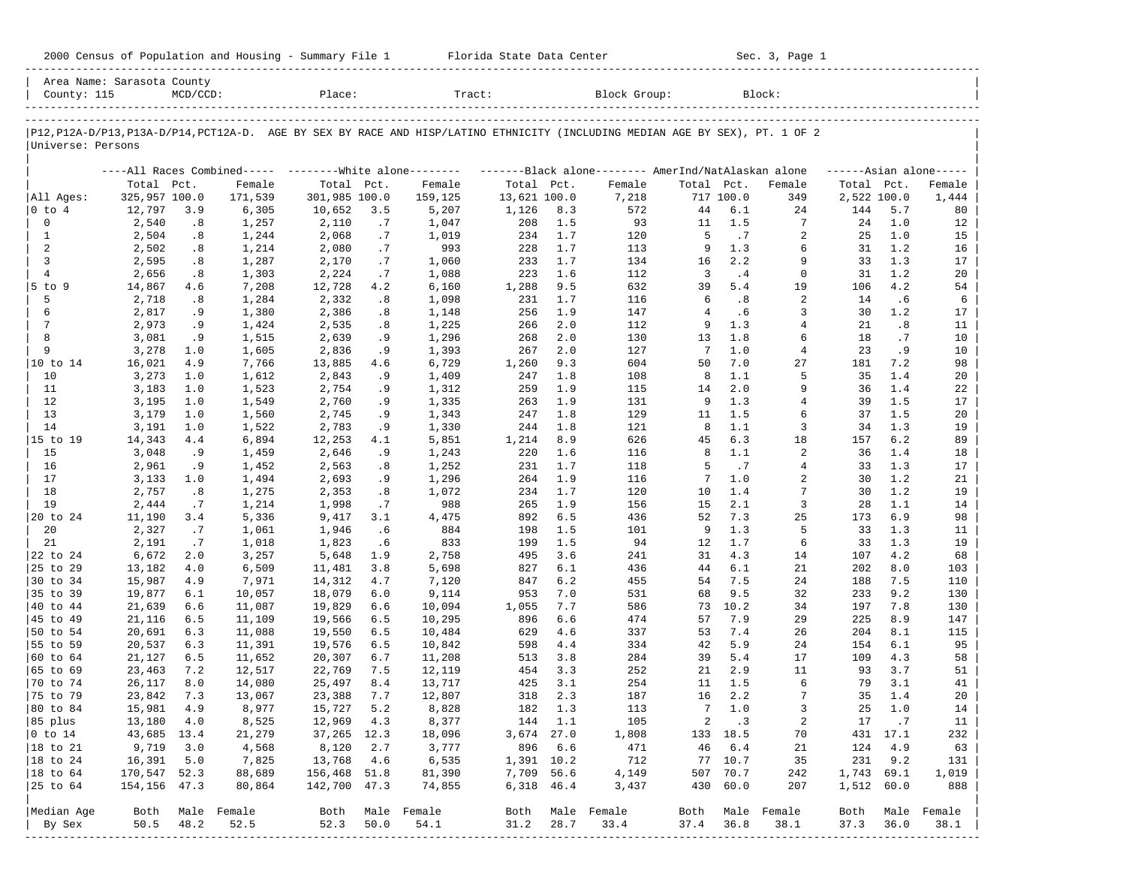| 2000 Census of Population and Housing - Summary File 1 |  | Florida State Data Center | Sec. 3, Page 1 |
|--------------------------------------------------------|--|---------------------------|----------------|
|--------------------------------------------------------|--|---------------------------|----------------|

| Area Name: Sarasota County<br>County: 115                                                                                                          |                  | $MCD/CCD$ : |                                                          | Place:           |            | Tract:          |              |            | Block Group:                                        |              |              | Block:         |             |            |                     |
|----------------------------------------------------------------------------------------------------------------------------------------------------|------------------|-------------|----------------------------------------------------------|------------------|------------|-----------------|--------------|------------|-----------------------------------------------------|--------------|--------------|----------------|-------------|------------|---------------------|
| P12, P12A-D/P13, P13A-D/P14, PCT12A-D. AGE BY SEX BY RACE AND HISP/LATINO ETHNICITY (INCLUDING MEDIAN AGE BY SEX), PT. 1 OF 2<br>Universe: Persons |                  |             |                                                          |                  |            |                 |              |            |                                                     |              |              |                |             |            |                     |
|                                                                                                                                                    |                  |             | ----All Races Combined----- -------- White alone-------- |                  |            |                 |              |            | -------Black alone-------- AmerInd/NatAlaskan alone |              |              |                |             |            | $---Asian alone---$ |
|                                                                                                                                                    | Total Pct.       |             | Female                                                   | Total Pct.       |            | Female          | Total Pct.   |            | Female                                              | Total Pct.   |              | Female         | Total Pct.  |            | Female              |
| All Ages:                                                                                                                                          | 325,957 100.0    |             | 171,539                                                  | 301,985 100.0    |            | 159,125         | 13,621 100.0 |            | 7,218                                               |              | 717 100.0    | 349            | 2,522 100.0 |            | 1,444               |
| 0 to 4                                                                                                                                             | 12,797           | 3.9         | 6,305                                                    | 10,652           | 3.5        | 5,207           | 1,126        | 8.3        | 572                                                 | 44           | 6.1          | 24             | 144         | 5.7        | 80                  |
| 0                                                                                                                                                  | 2,540            | .8          | 1,257                                                    | 2,110            | .7         | 1,047           | 208          | 1.5        | 93                                                  | 11           | 1.5          | 7              | 24          | 1.0        | 12                  |
| 1<br>2                                                                                                                                             | 2,504            | .8          | 1,244                                                    | 2,068            | .7         | 1,019           | 234          | 1.7        | 120                                                 | 5<br>9       | .7           | 2<br>6         | 25          | 1.0<br>1.2 | 15                  |
| 3                                                                                                                                                  | 2,502<br>2,595   | .8<br>.8    | 1,214<br>1,287                                           | 2,080<br>2,170   | .7<br>.7   | 993<br>1,060    | 228<br>233   | 1.7<br>1.7 | 113<br>134                                          | 16           | 1.3<br>2.2   | 9              | 31<br>33    | 1.3        | 16<br>17            |
| 4                                                                                                                                                  | 2,656            | .8          | 1,303                                                    | 2,224            | .7         | 1,088           | 223          | 1.6        | 112                                                 | 3            | .4           | $\mathbf 0$    | 31          | 1.2        | 20                  |
| $5$ to $9$                                                                                                                                         | 14,867           | 4.6         | 7,208                                                    | 12,728           | 4.2        | 6,160           | 1,288        | 9.5        | 632                                                 | 39           | 5.4          | 19             | 106         | 4.2        | 54                  |
| 5                                                                                                                                                  | 2,718            | .8          | 1,284                                                    | 2,332            | .8         | 1,098           | 231          | 1.7        | 116                                                 | 6            | .8           | 2              | 14          | .6         | 6                   |
| 6                                                                                                                                                  | 2,817            | . 9         | 1,380                                                    | 2,386            | .8         | 1,148           | 256          | 1.9        | 147                                                 | 4            | .6           | 3              | 30          | 1.2        | 17                  |
| 7                                                                                                                                                  | 2,973            | .9          | 1,424                                                    | 2,535            | .8         | 1,225           | 266          | 2.0        | 112                                                 | 9            | 1.3          | 4              | 21          | .8         | 11                  |
| 8                                                                                                                                                  | 3,081            | .9          | 1,515                                                    | 2,639            | . 9        | 1,296           | 268          | 2.0        | 130                                                 | 13           | 1.8          | 6              | 18          | .7         | 10                  |
| 9                                                                                                                                                  | 3,278            | 1.0         | 1,605                                                    | 2,836            | .9         | 1,393           | 267          | 2.0        | 127                                                 | 7            | 1.0          | 4              | 23          | . 9        | 10                  |
| 10 to 14                                                                                                                                           | 16,021           | 4.9         | 7,766                                                    | 13,885           | 4.6        | 6,729           | 1,260        | 9.3        | 604                                                 | 50           | 7.0          | 27             | 181         | 7.2        | 98                  |
| 10                                                                                                                                                 | 3,273            | 1.0         | 1,612                                                    | 2,843            | .9         | 1,409           | 247          | 1.8        | 108                                                 | 8            | 1.1          | 5              | 35          | 1.4        | 20                  |
| 11                                                                                                                                                 | 3,183            | 1.0         | 1,523                                                    | 2,754            | . 9        | 1,312           | 259          | 1.9        | 115                                                 | 14           | 2.0          | 9              | 36          | 1.4        | 22                  |
| 12                                                                                                                                                 | 3,195            | 1.0         | 1,549                                                    | 2,760            | .9         | 1,335           | 263          | 1.9        | 131                                                 | 9            | 1.3          | 4              | 39          | 1.5        | 17                  |
| 13                                                                                                                                                 | 3,179            | 1.0         | 1,560                                                    | 2,745            | .9         | 1,343           | 247          | 1.8        | 129                                                 | 11           | 1.5          | 6              | 37          | 1.5        | 20                  |
| 14                                                                                                                                                 | 3,191            | 1.0         | 1,522                                                    | 2,783            | .9         | 1,330           | 244          | 1.8        | 121                                                 | 8            | 1.1          | 3              | 34          | 1.3        | 19                  |
| 15 to 19                                                                                                                                           | 14,343           | 4.4         | 6,894                                                    | 12,253           | 4.1        | 5,851           | 1,214        | 8.9        | 626                                                 | 45           | 6.3          | 18             | 157         | 6.2        | 89                  |
| 15                                                                                                                                                 | 3,048            | . 9         | 1,459                                                    | 2,646            | .9         | 1,243           | 220          | 1.6        | 116                                                 | 8            | 1.1          | 2              | 36          | 1.4        | 18                  |
| 16<br>17                                                                                                                                           | 2,961<br>3,133   | . 9<br>1.0  | 1,452                                                    | 2,563<br>2,693   | .8         | 1,252<br>1,296  | 231<br>264   | 1.7<br>1.9 | 118<br>116                                          | 5<br>7       | .7<br>1.0    | 4<br>2         | 33<br>30    | 1.3<br>1.2 | 17<br>21            |
| 18                                                                                                                                                 | 2,757            | .8          | 1,494<br>1,275                                           | 2,353            | . 9<br>.8  | 1,072           | 234          | 1.7        | 120                                                 | 10           | 1.4          | 7              | 30          | 1.2        | 19                  |
| 19                                                                                                                                                 | 2,444            | .7          | 1,214                                                    | 1,998            | .7         | 988             | 265          | 1.9        | 156                                                 | 15           | 2.1          | 3              | 28          | 1.1        | 14                  |
| 20 to 24                                                                                                                                           | 11,190           | 3.4         | 5,336                                                    | 9,417            | 3.1        | 4,475           | 892          | 6.5        | 436                                                 | 52           | 7.3          | 25             | 173         | 6.9        | 98                  |
| 20                                                                                                                                                 | 2,327            | .7          | 1,061                                                    | 1,946            | .6         | 884             | 198          | 1.5        | 101                                                 | 9            | 1.3          | 5              | 33          | 1.3        | 11                  |
| 21                                                                                                                                                 | 2,191            | .7          | 1,018                                                    | 1,823            | .6         | 833             | 199          | 1.5        | 94                                                  | 12           | 1.7          | 6              | 33          | 1.3        | 19                  |
| 22 to 24                                                                                                                                           | 6,672            | 2.0         | 3,257                                                    | 5,648            | 1.9        | 2,758           | 495          | 3.6        | 241                                                 | 31           | 4.3          | 14             | 107         | 4.2        | 68                  |
| 25 to 29                                                                                                                                           | 13,182           | 4.0         | 6,509                                                    | 11,481           | 3.8        | 5,698           | 827          | 6.1        | 436                                                 | 44           | 6.1          | 21             | 202         | 8.0        | 103                 |
| 30 to 34                                                                                                                                           | 15,987           | 4.9         | 7,971                                                    | 14,312           | 4.7        | 7,120           | 847          | 6.2        | 455                                                 | 54           | 7.5          | 24             | 188         | 7.5        | 110                 |
| 35 to 39                                                                                                                                           | 19,877           | 6.1         | 10,057                                                   | 18,079           | 6.0        | 9,114           | 953          | 7.0        | 531                                                 | 68           | 9.5          | 32             | 233         | 9.2        | 130                 |
| 40 to 44                                                                                                                                           | 21,639           | 6.6         | 11,087                                                   | 19,829           | 6.6        | 10,094          | 1,055        | 7.7        | 586                                                 | 73           | 10.2         | 34             | 197         | 7.8        | 130                 |
| 45 to 49                                                                                                                                           | 21,116           | 6.5         | 11,109                                                   | 19,566           | 6.5        | 10,295          | 896          | 6.6        | 474                                                 | 57           | 7.9          | 29             | 225         | 8.9        | 147                 |
| 50 to 54                                                                                                                                           | 20,691           | 6.3         | 11,088                                                   | 19,550           | 6.5        | 10,484          | 629          | 4.6        | 337                                                 | 53           | 7.4          | 26             | 204         | 8.1        | 115                 |
| 55 to 59                                                                                                                                           | 20,537           | 6.3         | 11,391                                                   | 19,576           | 6.5        | 10,842          | 598          | 4.4        | 334                                                 | 42           | 5.9          | 24             | 154         | 6.1        | 95                  |
| 60 to 64                                                                                                                                           | 21,127           | 6.5         | 11,652                                                   | 20,307           | 6.7        | 11,208          | 513          | 3.8        | 284                                                 | 39           | 5.4          | 17             | 109         | 4.3        | 58                  |
| 65 to 69                                                                                                                                           | 23,463           | 7.2         | 12,517                                                   | 22,769           | 7.5        | 12,119          | 454          | 3.3        | 252                                                 | 21           | 2.9          | 11             | 93          | 3.7        | 51                  |
| 70 to 74                                                                                                                                           | 26,117           | 8.0         | 14,080                                                   | 25,497           | 8.4        | 13,717          | 425          | 3.1        | 254                                                 | 11<br>16     | 1.5          | 6              | 79<br>35    | 3.1        | 41                  |
| 75 to 79<br>80 to 84                                                                                                                               | 23,842<br>15,981 | 7.3<br>4.9  | 13,067                                                   | 23,388<br>15,727 | 7.7<br>5.2 | 12,807<br>8,828 | 318<br>182   | 2.3<br>1.3 | 187<br>113                                          |              | 2.2<br>7 1.0 | 7<br>3         | 25          | 1.4<br>1.0 | 20<br>14            |
| 85 plus                                                                                                                                            | 13,180 4.0       |             | 8,977<br>8,525                                           | 12,969           | 4.3        | 8,377           | 144 1.1      |            | 105                                                 | $\mathbf{2}$ | $\cdot$ 3    | $\overline{a}$ |             | 17 .7      | 11                  |
| $ 0 \t{to} 14$                                                                                                                                     | 43,685 13.4      |             | 21,279                                                   | 37,265 12.3      |            | 18,096          | 3,674 27.0   |            | 1,808                                               |              | 133 18.5     | 70             |             | 431 17.1   | 232                 |
| 18 to 21                                                                                                                                           | 9,719            | 3.0         | 4,568                                                    | 8,120            | 2.7        | 3,777           | 896 6.6      |            | 471                                                 | 46           | 6.4          | 21             | 124         | 4.9        | 63                  |
| 18 to 24                                                                                                                                           | 16,391           | 5.0         | 7,825                                                    | 13,768           | 4.6        | 6,535           | 1,391 10.2   |            | 712                                                 |              | 77 10.7      | 35             | 231         | 9.2        | 131                 |
| 18 to 64                                                                                                                                           | 170,547 52.3     |             | 88,689                                                   | 156,468 51.8     |            | 81,390          | 7,709 56.6   |            | 4,149                                               |              | 507 70.7     | 242            | 1,743 69.1  |            | 1,019               |
| 25 to 64                                                                                                                                           | 154, 156 47.3    |             | 80,864                                                   | 142,700 47.3     |            | 74,855          | 6,318 46.4   |            | 3,437                                               |              | 430 60.0     | 207            | 1,512 60.0  |            | 888                 |
| Median Age                                                                                                                                         | Both             |             | Male Female                                              | Both             |            | Male Female     |              |            | Both Male Female                                    | Both         |              | Male Female    | Both        |            | Male Female         |
| By Sex                                                                                                                                             | 50.5             | 48.2        | 52.5                                                     | 52.3             | 50.0       | 54.1            | 31.2         | 28.7       | 33.4                                                | 37.4 36.8    |              | 38.1           | 37.3        | 36.0       | 38.1                |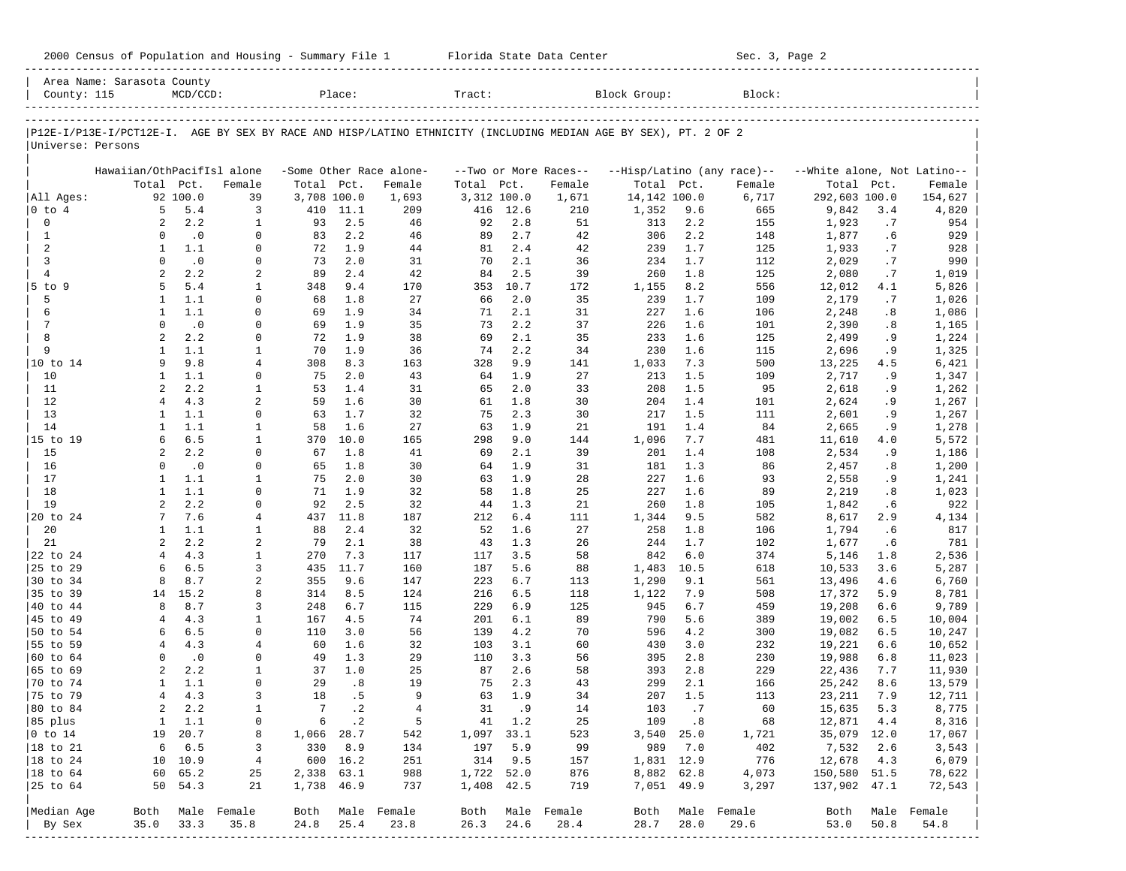| 2000 Census of Population and Housing - Summary File 1 |  | Florida State Data Center | Sec. 3, Page 2 |
|--------------------------------------------------------|--|---------------------------|----------------|
|--------------------------------------------------------|--|---------------------------|----------------|

|                      | Area Name: Sarasota County |               |                   |                       |                  |                         |             |         |                       |                                                                                                                |       |             |                             |      |             |
|----------------------|----------------------------|---------------|-------------------|-----------------------|------------------|-------------------------|-------------|---------|-----------------------|----------------------------------------------------------------------------------------------------------------|-------|-------------|-----------------------------|------|-------------|
| County: 115          |                            | $MCD/CCD$ :   |                   |                       | Place:           |                         | Tract:      |         |                       | Block Group:                                                                                                   |       | Block:      |                             |      |             |
|                      |                            |               |                   |                       |                  |                         |             |         |                       |                                                                                                                |       |             |                             |      |             |
| Universe: Persons    |                            |               |                   |                       |                  |                         |             |         |                       | P12E-I/P13E-I/PCT12E-I. AGE BY SEX BY RACE AND HISP/LATINO ETHNICITY (INCLUDING MEDIAN AGE BY SEX), PT. 2 OF 2 |       |             |                             |      |             |
|                      | Hawaiian/OthPacifIsl alone |               |                   |                       |                  | -Some Other Race alone- |             |         | --Two or More Races-- | --Hisp/Latino (any race)--                                                                                     |       |             | --White alone, Not Latino-- |      |             |
|                      |                            | Total Pct.    | Female            | Total                 | Pct.             | Female                  | Total       | Pct.    | Female                | Total Pct.                                                                                                     |       | Female      | Total                       | Pct. | Female      |
| All Ages:            |                            | 92 100.0      | 39                | 3,708 100.0           |                  | 1,693                   | 3,312 100.0 |         | 1,671                 | 14,142 100.0                                                                                                   |       | 6,717       | 292,603 100.0               |      | 154,627     |
| $ 0 \t{to} 4$        | 5                          | 5.4           | 3                 | 410                   | 11.1             | 209                     | 416         | 12.6    | 210                   | 1,352                                                                                                          | 9.6   | 665         | 9,842                       | 3.4  | 4,820       |
| $\mathbf 0$          | 2                          | 2.2           | $\mathbf{1}$      | 93                    | 2.5              | 46                      | 92          | 2.8     | 51                    | 313                                                                                                            | 2.2   | 155         | 1,923                       | .7   | 954         |
| $\mathbf{1}$         | $\Omega$                   | $\cdot$ 0     | $\Omega$          | 83                    | 2.2              | 46                      | 89          | 2.7     | 42                    | 306                                                                                                            | 2.2   | 148         | 1,877                       | .6   | 929         |
| 2                    | $\mathbf{1}$               | 1.1           | $\mathbf 0$       | 72                    | 1.9              | 44                      | 81          | 2.4     | 42                    | 239                                                                                                            | 1.7   | 125         | 1,933                       | .7   | 928         |
| 3                    | $\Omega$                   | $\cdot$ 0     | $\Omega$          | 73                    | 2.0              | 31                      | 70          | 2.1     | 36                    | 234                                                                                                            | 1.7   | 112         | 2,029                       | .7   | 990         |
| $\overline{4}$       | 2                          | 2.2           | $\overline{2}$    | 89                    | 2.4              | 42                      | 84          | 2.5     | 39                    | 260                                                                                                            | 1.8   | 125         | 2,080                       | .7   | 1,019       |
| $5$ to<br>9          | 5                          | 5.4           | $\mathbf{1}$      | 348                   | 9.4              | 170                     | 353         | 10.7    | 172                   | 1,155                                                                                                          | 8.2   | 556         | 12,012                      | 4.1  | 5,826       |
| 5                    | $\mathbf{1}$               | 1.1           | $\mathbf 0$       | 68                    | 1.8              | 27                      | 66          | 2.0     | 35                    | 239                                                                                                            | 1.7   | 109         | 2,179                       | .7   | 1,026       |
| 6                    | 1                          | 1.1           | $\Omega$          | 69                    | 1.9              | 34                      | 71          | 2.1     | 31                    | 227                                                                                                            | 1.6   | 106         | 2,248                       | .8   | 1,086       |
| 7                    | $\mathbf 0$                | $\cdot$ 0     | $\Omega$          | 69                    | 1.9              | 35                      | 73          | 2.2     | 37                    | 226                                                                                                            | 1.6   | 101         | 2,390                       | .8   | 1,165       |
| 8                    | $\overline{a}$             | 2.2           | $\Omega$          | 72                    | 1.9              | 38                      | 69          | 2.1     | 35                    | 233                                                                                                            | 1.6   | 125         | 2,499                       | .9   | 1,224       |
| 9                    | $\mathbf{1}$               | 1.1           | $\mathbf{1}$      | 70                    | 1.9              | 36                      | 74          | 2.2     | 34                    | 230                                                                                                            | 1.6   | 115         | 2,696                       | . 9  | 1,325       |
| 10 to 14             | 9                          | 9.8           | $\overline{4}$    | 308                   | 8.3              | 163                     | 328         | 9.9     | 141                   | 1,033                                                                                                          | 7.3   | 500         | 13,225                      | 4.5  | 6,421       |
| 10                   | 1                          | 1.1           | $\Omega$          | 75                    | 2.0              | 43                      | 64          | 1.9     | 27                    | 213                                                                                                            | 1.5   | 109         | 2,717                       | .9   | 1,347       |
| 11                   | $\overline{a}$             | 2.2           | $\mathbf{1}$      | 53                    | 1.4              | 31                      | 65          | 2.0     | 33                    | 208                                                                                                            | 1.5   | 95          | 2,618                       | .9   | 1,262       |
| 12                   | $\overline{4}$             | 4.3           | $\overline{2}$    | 59                    | 1.6              | 30                      | 61          | 1.8     | 30                    | 204                                                                                                            | 1.4   | 101         | 2,624                       | . 9  | 1,267       |
| 13                   | $\mathbf{1}$               | 1.1           | $\Omega$          | 63                    | 1.7              | 32                      | 75          | 2.3     | 30                    | 217                                                                                                            | 1.5   | 111         | 2,601                       | .9   | 1,267       |
| 14                   | $\mathbf{1}$               | 1.1           | 1                 | 58                    | 1.6              | 27                      | 63          | 1.9     | 21                    | 191                                                                                                            | 1.4   | 84          | 2,665                       | .9   | 1,278       |
| 15 to 19             | 6                          | 6.5           | $\mathbf{1}$      | 370                   | 10.0             | 165                     | 298         | 9.0     | 144                   | 1,096                                                                                                          | 7.7   | 481         | 11,610                      | 4.0  | 5,572       |
| 15                   | $\overline{a}$             | 2.2           | $\mathbf 0$       | 67                    | 1.8              | 41                      | 69          | 2.1     | 39                    | 201                                                                                                            | 1.4   | 108         | 2,534                       | .9   | 1,186       |
| 16                   | $\Omega$                   | $\cdot$ 0     | $\Omega$          | 65                    | 1.8              | 30                      | 64          | 1.9     | 31                    | 181                                                                                                            | 1.3   | 86          | 2,457                       | .8   | 1,200       |
| 17                   | 1                          | 1.1           | $\mathbf 1$       | 75                    | 2.0              | 30                      | 63          | 1.9     | 28                    | 227                                                                                                            | 1.6   | 93          | 2,558                       | . 9  | 1,241       |
| 18                   | $\mathbf{1}$               | 1.1           | $\Omega$          | 71                    | 1.9              | 32                      | 58          | 1.8     | 25                    | 227                                                                                                            | 1.6   | 89          | 2,219                       | .8   | 1,023       |
| 19                   | $\overline{a}$             | 2.2           | $\mathbf 0$       | 92                    | 2.5              | 32                      | 44          | 1.3     | 21                    | 260                                                                                                            | 1.8   | 105         | 1,842                       | .6   | 922         |
| 20 to 24             | 7                          | 7.6           | 4                 | 437                   | 11.8             | 187                     | 212         | 6.4     | 111                   | 1,344                                                                                                          | 9.5   | 582         | 8,617                       | 2.9  | 4,134       |
| 20                   | 1                          | 1.1           | $\mathbf{1}$      | 88                    | 2.4              | 32                      | 52          | 1.6     | 27                    | 258                                                                                                            | 1.8   | 106         | 1,794                       | .6   | 817         |
| 21                   | 2                          | 2.2           | 2                 | 79                    | 2.1              | 38                      | 43          | 1.3     | 26                    | 244                                                                                                            | 1.7   | 102         | 1,677                       | . 6  | 781         |
| 22 to 24             | $\overline{4}$             | 4.3           | $\mathbf{1}$      | 270                   | 7.3              | 117                     | 117         | 3.5     | 58                    | 842                                                                                                            | 6.0   | 374         | 5,146                       | 1.8  | 2,536       |
| 25 to 29             | 6                          | 6.5           | 3                 | 435                   | 11.7             | 160                     | 187         | 5.6     | 88                    | 1,483                                                                                                          | 10.5  | 618         | 10,533                      | 3.6  | 5,287       |
| 30 to 34             | 8                          | 8.7           | 2                 | 355                   | 9.6              | 147                     | 223         | 6.7     | 113                   | 1,290                                                                                                          | 9.1   | 561         | 13,496                      | 4.6  | 6,760       |
| 35 to 39             | 14                         | 15.2          | 8                 | 314                   | 8.5              | 124                     | 216         | 6.5     | 118                   | 1,122                                                                                                          | 7.9   | 508         | 17,372                      | 5.9  | 8,781       |
| 40 to 44             | 8                          | 8.7           | 3                 | 248                   | 6.7              | 115                     | 229         | 6.9     | 125                   | 945                                                                                                            | 6.7   | 459         | 19,208                      | 6.6  | 9,789       |
| 45 to 49             | $\overline{4}$             | 4.3           | 1                 | 167                   | 4.5              | 74                      | 201         | 6.1     | 89                    | 790                                                                                                            | 5.6   | 389         | 19,002                      | 6.5  | 10,004      |
| 50 to 54             | 6                          | 6.5           | $\mathbf 0$       | 110                   | 3.0              | 56                      | 139         | 4.2     | 70                    | 596                                                                                                            | 4.2   | 300         | 19,082                      | 6.5  | 10,247      |
| 55 to 59             | 4                          | 4.3           | $\overline{4}$    | 60                    | 1.6              | 32                      | 103         | 3.1     | 60                    | 430                                                                                                            | 3.0   | 232         | 19,221                      | 6.6  | 10,652      |
| 60 to 64             | $\Omega$                   | $\cdot$ 0     | 0                 | 49                    | 1.3<br>1.0       | 29                      | 110         | 3.3     | 56                    | 395                                                                                                            | 2.8   | 230         | 19,988                      | 6.8  | 11,023      |
| 65 to 69             | $\overline{2}$             | 2.2           | $\mathbf{1}$      | 37                    |                  | 25                      | 87          | 2.6     | 58                    | 393                                                                                                            | 2.8   | 229         | 22,436                      | 7.7  | 11,930      |
| 70 to 74             | $\mathbf{1}$               | 1.1           | $\mathbf 0$       | 29                    | .8               | 19                      | 75          | 2.3     | 43                    | 299                                                                                                            | 2.1   | 166         | 25,242                      | 8.6  | 13,579      |
| 75 to 79             | 4<br>$\overline{c}$        | 4.3<br>2.2    | 3<br>$\mathbf{1}$ | 18<br>$7\phantom{.0}$ | . 5<br>$\cdot$ 2 | 9<br>$\overline{4}$     | 63<br>31    | 1.9     | 34<br>14              | 207                                                                                                            | 1.5   | 113         | 23,211                      | 7.9  | 12,711      |
| 80 to 84             |                            |               |                   |                       |                  |                         |             | . 9     |                       | 103                                                                                                            | .7    | 60          | 15,635                      | 5.3  | 8,775       |
| 85 plus              |                            | $1 \quad 1.1$ | 0                 |                       | 6 .2             | - 5                     |             | 41 1.2  | 25                    |                                                                                                                | 109.8 | 68          | 12,871 4.4                  |      | 8,316       |
| $ 0 \t{to} 14$       |                            | 19 20.7       | 8                 | 1,066 28.7            |                  | 542                     | 1,097 33.1  |         | 523                   | $3,540$ 25.0                                                                                                   |       | 1,721       | 35,079 12.0                 |      | 17,067      |
| $ 18$ to $21$        | 6                          | 6.5           | 3                 |                       | 330 8.9          | 134                     | 197         | 5.9     | 99                    | 989                                                                                                            | 7.0   | 402         | 7,532                       | 2.6  | 3,543       |
| $ 18 \text{ to } 24$ |                            | 10 10.9       | 4                 |                       | 600 16.2         | 251                     |             | 314 9.5 | 157                   | 1,831 12.9                                                                                                     |       | 776         | 12,678 4.3                  |      | 6,079       |
| 18 to 64             |                            | 60 65.2       | 25                | 2,338 63.1            |                  | 988                     | 1,722 52.0  |         | 876                   | 8,882 62.8                                                                                                     |       | 4,073       | 150,580 51.5                |      | 78,622      |
|                      |                            | 50 54.3       | 21                | 1,738 46.9            |                  | 737                     | 1,408 42.5  |         | 719                   | 7,051 49.9                                                                                                     |       | 3,297       | 137,902 47.1                |      | 72,543      |
| Median Age           |                            |               | Both Male Female  |                       |                  | Both Male Female        |             |         | Both Male Female      | Both                                                                                                           |       | Male Female | Both                        |      | Male Female |
| By Sex               | 35.0                       | 33.3          | 35.8              | 24.8                  | 25.4             | 23.8                    | 26.3        | 24.6    | 28.4                  | 28.7                                                                                                           | 28.0  | 29.6        | 53.0                        | 50.8 | 54.8        |
|                      |                            |               |                   |                       |                  |                         |             |         |                       |                                                                                                                |       |             |                             |      |             |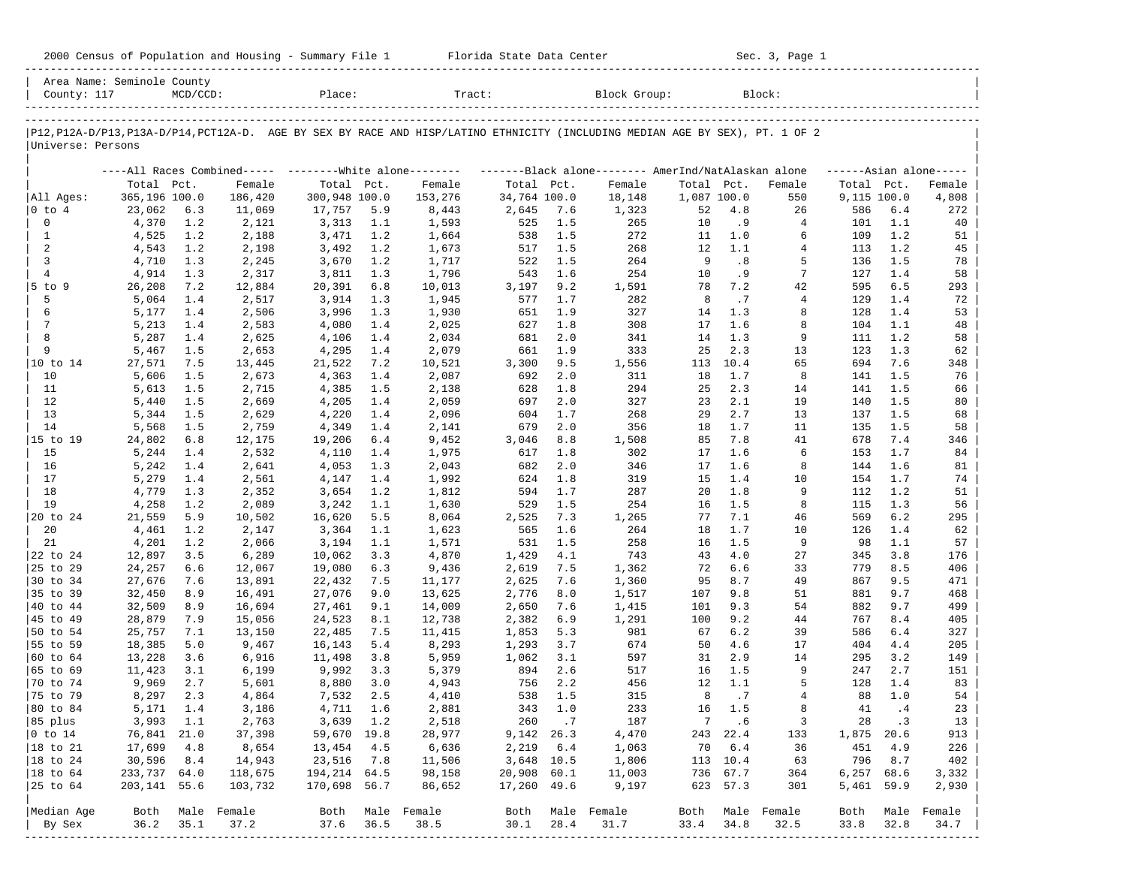| 2000 Census of Population and Housing - Summary File 1 |  | Florida State Data Center | Sec. 3, Page 1 |
|--------------------------------------------------------|--|---------------------------|----------------|
|--------------------------------------------------------|--|---------------------------|----------------|

| P12, P12A-D/P13, P13A-D/P14, PCT12A-D. AGE BY SEX BY RACE AND HISP/LATINO ETHNICITY (INCLUDING MEDIAN AGE BY SEX), PT. 1 OF 2<br>Universe: Persons<br>----All Races Combined----- --------White alone-------- --------Black alone-------- AmerInd/NatAlaskan alone<br>$---Asian alone---$<br>Total Pct.<br>Total Pct.<br>Total Pct.<br>Female<br>Total Pct.<br>Total Pct.<br>Female<br>Female<br>Female<br>365,196 100.0<br>186,420<br>300,948 100.0<br>153,276<br>34,764 100.0<br>18,148<br>1,087 100.0<br>9,115 100.0<br>All Ages:<br>550<br>23,062<br>6.3<br>17,757<br>2,645<br>4.8<br>0 to 4<br>11,069<br>5.9<br>8,443<br>7.6<br>1,323<br>52<br>26<br>586<br>0<br>4,370<br>1.2<br>2,121<br>3,313<br>1.1<br>1,593<br>525<br>1.5<br>265<br>10<br>. 9<br>4<br>101<br>1.0<br>$\mathbf{1}$<br>4,525<br>1.2<br>2,188<br>3,471<br>1.2<br>1,664<br>538<br>1.5<br>272<br>11<br>6<br>109<br>2<br>1.1<br>$\overline{4}$<br>4,543<br>1.2<br>2,198<br>3,492<br>1.2<br>1,673<br>517<br>1.5<br>268<br>12<br>113<br>3<br>9<br>4,710<br>1.3<br>2,245<br>3,670<br>1.2<br>1,717<br>522<br>1.5<br>264<br>.8<br>5<br>136<br>$7\phantom{.0}$<br>$\overline{4}$<br>1.6<br>4,914<br>1.3<br>2,317<br>3,811<br>1.3<br>1,796<br>543<br>254<br>10<br>. 9<br>127<br>7.2<br>20,391<br>6.8<br>9.2<br>7.2<br>42<br>$5$ to $9$<br>26,208<br>12,884<br>10,013<br>3,197<br>1,591<br>78<br>595<br>5<br>1.4<br>8<br>.7<br>$\overline{4}$<br>5,064<br>2,517<br>3,914<br>1.3<br>1,945<br>577<br>1.7<br>282<br>129<br>6<br>1.4<br>327<br>1.3<br>8<br>5,177<br>2,506<br>3,996<br>1.3<br>1,930<br>651<br>1.9<br>14<br>128<br>7<br>8<br>1.8<br>1.6<br>5,213<br>1.4<br>2,583<br>4,080<br>1.4<br>2,025<br>627<br>308<br>17<br>104<br>8<br>5,287<br>2.0<br>1.3<br>1.4<br>2,625<br>4,106<br>1.4<br>2,034<br>681<br>341<br>14<br>9<br>111<br>9<br>1.5<br>2.3<br>13<br>5,467<br>2,653<br>4,295<br>1.4<br>2,079<br>661<br>1.9<br>333<br>25<br>123<br>7.5<br>10.4<br>10 to 14<br>27,571<br>13,445<br>21,522<br>7.2<br>10,521<br>3,300<br>9.5<br>1,556<br>113<br>65<br>694<br>10<br>1.5<br>2.0<br>1.7<br>8<br>5,606<br>2,673<br>4,363<br>1.4<br>2,087<br>692<br>311<br>18<br>141<br>2.3<br>11<br>5,613<br>1.5<br>2,715<br>4,385<br>1.5<br>2,138<br>628<br>1.8<br>294<br>25<br>14<br>141<br>2.1<br>12<br>5,440<br>1.5<br>2,669<br>4,205<br>1.4<br>2,059<br>697<br>2.0<br>327<br>23<br>19<br>140<br>13<br>2.7<br>5,344<br>1.5<br>2,629<br>4,220<br>1.4<br>2,096<br>604<br>1.7<br>268<br>29<br>13<br>137<br>14<br>2.0<br>1.7<br>5,568<br>1.5<br>2,759<br>4,349<br>1.4<br>2,141<br>679<br>356<br>18<br>11<br>135<br>6.8<br>7.8<br>15 to 19<br>24,802<br>12,175<br>19,206<br>6.4<br>9,452<br>3,046<br>8.8<br>1,508<br>85<br>41<br>678<br>1.4<br>1.6<br>15<br>5,244<br>2,532<br>4,110<br>1.4<br>1,975<br>617<br>1.8<br>302<br>17<br>6<br>153<br>1.6<br>16<br>5,242<br>1.4<br>2,641<br>4,053<br>1.3<br>2,043<br>682<br>2.0<br>346<br>17<br>8<br>144<br>1.4<br>17<br>5,279<br>1.4<br>2,561<br>4,147<br>1.4<br>1,992<br>624<br>1.8<br>319<br>15<br>10<br>154<br>18<br>1.8<br>4,779<br>1.3<br>2,352<br>3,654<br>1.2<br>1,812<br>594<br>1.7<br>287<br>20<br>9<br>112<br>19<br>1.2<br>1.5<br>8<br>4,258<br>2,089<br>3,242<br>1.1<br>1,630<br>529<br>1.5<br>254<br>16<br>115<br>5.9<br>7.3<br>7.1<br>20 to 24<br>21,559<br>10,502<br>16,620<br>5.5<br>8,064<br>2,525<br>1,265<br>77<br>46<br>569<br>20<br>1.2<br>1.7<br>4,461<br>2,147<br>3,364<br>1.1<br>1,623<br>565<br>1.6<br>264<br>18<br>10<br>126<br>21<br>1.2<br>3,194<br>258<br>1.5<br>4,201<br>2,066<br>1.1<br>1,571<br>531<br>1.5<br>16<br>9<br>98<br>4.0<br>22 to 24<br>12,897<br>3.5<br>6,289<br>10,062<br>3.3<br>4,870<br>1,429<br>4.1<br>743<br>43<br>27<br>345<br>6.6<br>25 to 29<br>24,257<br>6.6<br>12,067<br>19,080<br>6.3<br>9,436<br>2,619<br>7.5<br>1,362<br>72<br>33<br>779<br>8.7<br>30 to 34<br>27,676<br>7.6<br>13,891<br>22,432<br>7.5<br>11,177<br>2,625<br>7.6<br>1,360<br>95<br>49<br>867<br>8.9<br>27,076<br>35 to 39<br>32,450<br>16,491<br>9.0<br>13,625<br>2,776<br>8.0<br>1,517<br>107<br>9.8<br>51<br>881<br>40 to 44<br>32,509<br>8.9<br>16,694<br>27,461<br>9.1<br>14,009<br>2,650<br>7.6<br>1,415<br>101<br>9.3<br>54<br>882<br>45 to 49<br>28,879<br>7.9<br>15,056<br>24,523<br>8.1<br>12,738<br>2,382<br>6.9<br>1,291<br>100<br>9.2<br>44<br>767<br>7.1<br>$6.2$<br>50 to 54<br>25,757<br>13,150<br>22,485<br>7.5<br>11,415<br>1,853<br>5.3<br>981<br>67<br>39<br>586<br>4.6<br>55 to 59<br>18,385<br>5.0<br>9,467<br>16,143<br>5.4<br>8,293<br>1,293<br>3.7<br>674<br>50<br>17<br>404<br>2.9<br>60 to 64<br>13,228<br>3.6<br>6,916<br>11,498<br>3.8<br>5,959<br>1,062<br>3.1<br>597<br>31<br>14<br>295<br>65 to 69<br>11,423<br>3.1<br>6,199<br>9,992<br>3.3<br>5,379<br>894<br>2.6<br>517<br>16<br>1.5<br>9<br>247<br>2.7<br>5<br>70 to 74<br>9,969<br>8,880<br>3.0<br>4,943<br>756<br>2.2<br>456<br>12<br>1.1<br>128<br>5,601<br>8<br>.7<br>75 to 79<br>8,297<br>2.3<br>4,864<br>7,532<br>2.5<br>4,410<br>538<br>1.5<br>315<br>4<br>88<br>8<br>80 to 84<br>5,171<br>1.4<br>3,186<br>4,711<br>1.6<br>2,881<br>343<br>1.0<br>233<br>16<br>1.5<br>41<br>2,763<br>3,639 1.2<br>7 .6<br>85 plus<br>3,993<br>1.1<br>2,518<br>260.7<br>187<br>3<br>28<br>$ 0 \t\t \text{to} 14$<br>76,841 21.0<br>37,398<br>59,670 19.8<br>28,977<br>9,142 26.3<br>4,470<br>243 22.4<br>133<br>1,875 20.6<br>17,699<br>4.8<br>13,454<br>2,219 6.4<br>70 6.4<br>18 to 21<br>8,654<br>4.5<br>6,636<br>1,063<br>36<br>451<br>30,596<br>23,516<br>796<br>18 to 24<br>8.4<br>14,943<br>7.8<br>11,506<br>3,648 10.5<br>1,806<br>113 10.4<br>63<br>194,214 64.5<br>20,908 60.1<br>6,257 68.6<br>$ 18$ to $64$<br>233,737 64.0<br>118,675<br>98,158<br>11,003<br>736 67.7<br>364<br>25 to 64<br>203,141 55.6<br>103,732<br>170,698 56.7<br>86,652<br>17,260 49.6<br>9,197<br>623 57.3<br>301<br>5,461 59.9 | Area Name: Seminole County<br>County: 117 | $MCD/CCD$ : | Place: | Tract: |  | Block Group: |  | Block: |           |        |
|-----------------------------------------------------------------------------------------------------------------------------------------------------------------------------------------------------------------------------------------------------------------------------------------------------------------------------------------------------------------------------------------------------------------------------------------------------------------------------------------------------------------------------------------------------------------------------------------------------------------------------------------------------------------------------------------------------------------------------------------------------------------------------------------------------------------------------------------------------------------------------------------------------------------------------------------------------------------------------------------------------------------------------------------------------------------------------------------------------------------------------------------------------------------------------------------------------------------------------------------------------------------------------------------------------------------------------------------------------------------------------------------------------------------------------------------------------------------------------------------------------------------------------------------------------------------------------------------------------------------------------------------------------------------------------------------------------------------------------------------------------------------------------------------------------------------------------------------------------------------------------------------------------------------------------------------------------------------------------------------------------------------------------------------------------------------------------------------------------------------------------------------------------------------------------------------------------------------------------------------------------------------------------------------------------------------------------------------------------------------------------------------------------------------------------------------------------------------------------------------------------------------------------------------------------------------------------------------------------------------------------------------------------------------------------------------------------------------------------------------------------------------------------------------------------------------------------------------------------------------------------------------------------------------------------------------------------------------------------------------------------------------------------------------------------------------------------------------------------------------------------------------------------------------------------------------------------------------------------------------------------------------------------------------------------------------------------------------------------------------------------------------------------------------------------------------------------------------------------------------------------------------------------------------------------------------------------------------------------------------------------------------------------------------------------------------------------------------------------------------------------------------------------------------------------------------------------------------------------------------------------------------------------------------------------------------------------------------------------------------------------------------------------------------------------------------------------------------------------------------------------------------------------------------------------------------------------------------------------------------------------------------------------------------------------------------------------------------------------------------------------------------------------------------------------------------------------------------------------------------------------------------------------------------------------------------------------------------------------------------------------------------------------------------------------------------------------------------------------------------------------------------------------------------------------------------------------------------------------------------------------------------------------------------------------------------------------------------------------------------------------------------------------------------------------------------------------------------------------------------------------------------------------------------------------------------------------------------------------------------------------------------------------------------------------------------------------------------------------------------------------------------------------------------------------------------------------------------------------------------------------------------------------------------------------------------------------------------------------------------------------------------------------------------------------------------------------------------------------------------------------------------------------------------------------------|-------------------------------------------|-------------|--------|--------|--|--------------|--|--------|-----------|--------|
|                                                                                                                                                                                                                                                                                                                                                                                                                                                                                                                                                                                                                                                                                                                                                                                                                                                                                                                                                                                                                                                                                                                                                                                                                                                                                                                                                                                                                                                                                                                                                                                                                                                                                                                                                                                                                                                                                                                                                                                                                                                                                                                                                                                                                                                                                                                                                                                                                                                                                                                                                                                                                                                                                                                                                                                                                                                                                                                                                                                                                                                                                                                                                                                                                                                                                                                                                                                                                                                                                                                                                                                                                                                                                                                                                                                                                                                                                                                                                                                                                                                                                                                                                                                                                                                                                                                                                                                                                                                                                                                                                                                                                                                                                                                                                                                                                                                                                                                                                                                                                                                                                                                                                                                                                                                                                                                                                                                                                                                                                                                                                                                                                                                                                                                                                                                                           |                                           |             |        |        |  |              |  |        |           |        |
|                                                                                                                                                                                                                                                                                                                                                                                                                                                                                                                                                                                                                                                                                                                                                                                                                                                                                                                                                                                                                                                                                                                                                                                                                                                                                                                                                                                                                                                                                                                                                                                                                                                                                                                                                                                                                                                                                                                                                                                                                                                                                                                                                                                                                                                                                                                                                                                                                                                                                                                                                                                                                                                                                                                                                                                                                                                                                                                                                                                                                                                                                                                                                                                                                                                                                                                                                                                                                                                                                                                                                                                                                                                                                                                                                                                                                                                                                                                                                                                                                                                                                                                                                                                                                                                                                                                                                                                                                                                                                                                                                                                                                                                                                                                                                                                                                                                                                                                                                                                                                                                                                                                                                                                                                                                                                                                                                                                                                                                                                                                                                                                                                                                                                                                                                                                                           |                                           |             |        |        |  |              |  |        |           |        |
|                                                                                                                                                                                                                                                                                                                                                                                                                                                                                                                                                                                                                                                                                                                                                                                                                                                                                                                                                                                                                                                                                                                                                                                                                                                                                                                                                                                                                                                                                                                                                                                                                                                                                                                                                                                                                                                                                                                                                                                                                                                                                                                                                                                                                                                                                                                                                                                                                                                                                                                                                                                                                                                                                                                                                                                                                                                                                                                                                                                                                                                                                                                                                                                                                                                                                                                                                                                                                                                                                                                                                                                                                                                                                                                                                                                                                                                                                                                                                                                                                                                                                                                                                                                                                                                                                                                                                                                                                                                                                                                                                                                                                                                                                                                                                                                                                                                                                                                                                                                                                                                                                                                                                                                                                                                                                                                                                                                                                                                                                                                                                                                                                                                                                                                                                                                                           |                                           |             |        |        |  |              |  |        |           |        |
|                                                                                                                                                                                                                                                                                                                                                                                                                                                                                                                                                                                                                                                                                                                                                                                                                                                                                                                                                                                                                                                                                                                                                                                                                                                                                                                                                                                                                                                                                                                                                                                                                                                                                                                                                                                                                                                                                                                                                                                                                                                                                                                                                                                                                                                                                                                                                                                                                                                                                                                                                                                                                                                                                                                                                                                                                                                                                                                                                                                                                                                                                                                                                                                                                                                                                                                                                                                                                                                                                                                                                                                                                                                                                                                                                                                                                                                                                                                                                                                                                                                                                                                                                                                                                                                                                                                                                                                                                                                                                                                                                                                                                                                                                                                                                                                                                                                                                                                                                                                                                                                                                                                                                                                                                                                                                                                                                                                                                                                                                                                                                                                                                                                                                                                                                                                                           |                                           |             |        |        |  |              |  |        |           | Female |
|                                                                                                                                                                                                                                                                                                                                                                                                                                                                                                                                                                                                                                                                                                                                                                                                                                                                                                                                                                                                                                                                                                                                                                                                                                                                                                                                                                                                                                                                                                                                                                                                                                                                                                                                                                                                                                                                                                                                                                                                                                                                                                                                                                                                                                                                                                                                                                                                                                                                                                                                                                                                                                                                                                                                                                                                                                                                                                                                                                                                                                                                                                                                                                                                                                                                                                                                                                                                                                                                                                                                                                                                                                                                                                                                                                                                                                                                                                                                                                                                                                                                                                                                                                                                                                                                                                                                                                                                                                                                                                                                                                                                                                                                                                                                                                                                                                                                                                                                                                                                                                                                                                                                                                                                                                                                                                                                                                                                                                                                                                                                                                                                                                                                                                                                                                                                           |                                           |             |        |        |  |              |  |        |           | 4,808  |
|                                                                                                                                                                                                                                                                                                                                                                                                                                                                                                                                                                                                                                                                                                                                                                                                                                                                                                                                                                                                                                                                                                                                                                                                                                                                                                                                                                                                                                                                                                                                                                                                                                                                                                                                                                                                                                                                                                                                                                                                                                                                                                                                                                                                                                                                                                                                                                                                                                                                                                                                                                                                                                                                                                                                                                                                                                                                                                                                                                                                                                                                                                                                                                                                                                                                                                                                                                                                                                                                                                                                                                                                                                                                                                                                                                                                                                                                                                                                                                                                                                                                                                                                                                                                                                                                                                                                                                                                                                                                                                                                                                                                                                                                                                                                                                                                                                                                                                                                                                                                                                                                                                                                                                                                                                                                                                                                                                                                                                                                                                                                                                                                                                                                                                                                                                                                           |                                           |             |        |        |  |              |  |        | 6.4       | 272    |
|                                                                                                                                                                                                                                                                                                                                                                                                                                                                                                                                                                                                                                                                                                                                                                                                                                                                                                                                                                                                                                                                                                                                                                                                                                                                                                                                                                                                                                                                                                                                                                                                                                                                                                                                                                                                                                                                                                                                                                                                                                                                                                                                                                                                                                                                                                                                                                                                                                                                                                                                                                                                                                                                                                                                                                                                                                                                                                                                                                                                                                                                                                                                                                                                                                                                                                                                                                                                                                                                                                                                                                                                                                                                                                                                                                                                                                                                                                                                                                                                                                                                                                                                                                                                                                                                                                                                                                                                                                                                                                                                                                                                                                                                                                                                                                                                                                                                                                                                                                                                                                                                                                                                                                                                                                                                                                                                                                                                                                                                                                                                                                                                                                                                                                                                                                                                           |                                           |             |        |        |  |              |  |        | 1.1       | 40     |
|                                                                                                                                                                                                                                                                                                                                                                                                                                                                                                                                                                                                                                                                                                                                                                                                                                                                                                                                                                                                                                                                                                                                                                                                                                                                                                                                                                                                                                                                                                                                                                                                                                                                                                                                                                                                                                                                                                                                                                                                                                                                                                                                                                                                                                                                                                                                                                                                                                                                                                                                                                                                                                                                                                                                                                                                                                                                                                                                                                                                                                                                                                                                                                                                                                                                                                                                                                                                                                                                                                                                                                                                                                                                                                                                                                                                                                                                                                                                                                                                                                                                                                                                                                                                                                                                                                                                                                                                                                                                                                                                                                                                                                                                                                                                                                                                                                                                                                                                                                                                                                                                                                                                                                                                                                                                                                                                                                                                                                                                                                                                                                                                                                                                                                                                                                                                           |                                           |             |        |        |  |              |  |        | 1.2       | 51     |
|                                                                                                                                                                                                                                                                                                                                                                                                                                                                                                                                                                                                                                                                                                                                                                                                                                                                                                                                                                                                                                                                                                                                                                                                                                                                                                                                                                                                                                                                                                                                                                                                                                                                                                                                                                                                                                                                                                                                                                                                                                                                                                                                                                                                                                                                                                                                                                                                                                                                                                                                                                                                                                                                                                                                                                                                                                                                                                                                                                                                                                                                                                                                                                                                                                                                                                                                                                                                                                                                                                                                                                                                                                                                                                                                                                                                                                                                                                                                                                                                                                                                                                                                                                                                                                                                                                                                                                                                                                                                                                                                                                                                                                                                                                                                                                                                                                                                                                                                                                                                                                                                                                                                                                                                                                                                                                                                                                                                                                                                                                                                                                                                                                                                                                                                                                                                           |                                           |             |        |        |  |              |  |        | 1.2       | 45     |
|                                                                                                                                                                                                                                                                                                                                                                                                                                                                                                                                                                                                                                                                                                                                                                                                                                                                                                                                                                                                                                                                                                                                                                                                                                                                                                                                                                                                                                                                                                                                                                                                                                                                                                                                                                                                                                                                                                                                                                                                                                                                                                                                                                                                                                                                                                                                                                                                                                                                                                                                                                                                                                                                                                                                                                                                                                                                                                                                                                                                                                                                                                                                                                                                                                                                                                                                                                                                                                                                                                                                                                                                                                                                                                                                                                                                                                                                                                                                                                                                                                                                                                                                                                                                                                                                                                                                                                                                                                                                                                                                                                                                                                                                                                                                                                                                                                                                                                                                                                                                                                                                                                                                                                                                                                                                                                                                                                                                                                                                                                                                                                                                                                                                                                                                                                                                           |                                           |             |        |        |  |              |  |        | 1.5       | 78     |
|                                                                                                                                                                                                                                                                                                                                                                                                                                                                                                                                                                                                                                                                                                                                                                                                                                                                                                                                                                                                                                                                                                                                                                                                                                                                                                                                                                                                                                                                                                                                                                                                                                                                                                                                                                                                                                                                                                                                                                                                                                                                                                                                                                                                                                                                                                                                                                                                                                                                                                                                                                                                                                                                                                                                                                                                                                                                                                                                                                                                                                                                                                                                                                                                                                                                                                                                                                                                                                                                                                                                                                                                                                                                                                                                                                                                                                                                                                                                                                                                                                                                                                                                                                                                                                                                                                                                                                                                                                                                                                                                                                                                                                                                                                                                                                                                                                                                                                                                                                                                                                                                                                                                                                                                                                                                                                                                                                                                                                                                                                                                                                                                                                                                                                                                                                                                           |                                           |             |        |        |  |              |  |        | 1.4       | 58     |
|                                                                                                                                                                                                                                                                                                                                                                                                                                                                                                                                                                                                                                                                                                                                                                                                                                                                                                                                                                                                                                                                                                                                                                                                                                                                                                                                                                                                                                                                                                                                                                                                                                                                                                                                                                                                                                                                                                                                                                                                                                                                                                                                                                                                                                                                                                                                                                                                                                                                                                                                                                                                                                                                                                                                                                                                                                                                                                                                                                                                                                                                                                                                                                                                                                                                                                                                                                                                                                                                                                                                                                                                                                                                                                                                                                                                                                                                                                                                                                                                                                                                                                                                                                                                                                                                                                                                                                                                                                                                                                                                                                                                                                                                                                                                                                                                                                                                                                                                                                                                                                                                                                                                                                                                                                                                                                                                                                                                                                                                                                                                                                                                                                                                                                                                                                                                           |                                           |             |        |        |  |              |  |        | 6.5       | 293    |
|                                                                                                                                                                                                                                                                                                                                                                                                                                                                                                                                                                                                                                                                                                                                                                                                                                                                                                                                                                                                                                                                                                                                                                                                                                                                                                                                                                                                                                                                                                                                                                                                                                                                                                                                                                                                                                                                                                                                                                                                                                                                                                                                                                                                                                                                                                                                                                                                                                                                                                                                                                                                                                                                                                                                                                                                                                                                                                                                                                                                                                                                                                                                                                                                                                                                                                                                                                                                                                                                                                                                                                                                                                                                                                                                                                                                                                                                                                                                                                                                                                                                                                                                                                                                                                                                                                                                                                                                                                                                                                                                                                                                                                                                                                                                                                                                                                                                                                                                                                                                                                                                                                                                                                                                                                                                                                                                                                                                                                                                                                                                                                                                                                                                                                                                                                                                           |                                           |             |        |        |  |              |  |        | 1.4       | 72     |
|                                                                                                                                                                                                                                                                                                                                                                                                                                                                                                                                                                                                                                                                                                                                                                                                                                                                                                                                                                                                                                                                                                                                                                                                                                                                                                                                                                                                                                                                                                                                                                                                                                                                                                                                                                                                                                                                                                                                                                                                                                                                                                                                                                                                                                                                                                                                                                                                                                                                                                                                                                                                                                                                                                                                                                                                                                                                                                                                                                                                                                                                                                                                                                                                                                                                                                                                                                                                                                                                                                                                                                                                                                                                                                                                                                                                                                                                                                                                                                                                                                                                                                                                                                                                                                                                                                                                                                                                                                                                                                                                                                                                                                                                                                                                                                                                                                                                                                                                                                                                                                                                                                                                                                                                                                                                                                                                                                                                                                                                                                                                                                                                                                                                                                                                                                                                           |                                           |             |        |        |  |              |  |        | 1.4       | 53     |
|                                                                                                                                                                                                                                                                                                                                                                                                                                                                                                                                                                                                                                                                                                                                                                                                                                                                                                                                                                                                                                                                                                                                                                                                                                                                                                                                                                                                                                                                                                                                                                                                                                                                                                                                                                                                                                                                                                                                                                                                                                                                                                                                                                                                                                                                                                                                                                                                                                                                                                                                                                                                                                                                                                                                                                                                                                                                                                                                                                                                                                                                                                                                                                                                                                                                                                                                                                                                                                                                                                                                                                                                                                                                                                                                                                                                                                                                                                                                                                                                                                                                                                                                                                                                                                                                                                                                                                                                                                                                                                                                                                                                                                                                                                                                                                                                                                                                                                                                                                                                                                                                                                                                                                                                                                                                                                                                                                                                                                                                                                                                                                                                                                                                                                                                                                                                           |                                           |             |        |        |  |              |  |        | 1.1       | 48     |
|                                                                                                                                                                                                                                                                                                                                                                                                                                                                                                                                                                                                                                                                                                                                                                                                                                                                                                                                                                                                                                                                                                                                                                                                                                                                                                                                                                                                                                                                                                                                                                                                                                                                                                                                                                                                                                                                                                                                                                                                                                                                                                                                                                                                                                                                                                                                                                                                                                                                                                                                                                                                                                                                                                                                                                                                                                                                                                                                                                                                                                                                                                                                                                                                                                                                                                                                                                                                                                                                                                                                                                                                                                                                                                                                                                                                                                                                                                                                                                                                                                                                                                                                                                                                                                                                                                                                                                                                                                                                                                                                                                                                                                                                                                                                                                                                                                                                                                                                                                                                                                                                                                                                                                                                                                                                                                                                                                                                                                                                                                                                                                                                                                                                                                                                                                                                           |                                           |             |        |        |  |              |  |        | 1.2       | 58     |
|                                                                                                                                                                                                                                                                                                                                                                                                                                                                                                                                                                                                                                                                                                                                                                                                                                                                                                                                                                                                                                                                                                                                                                                                                                                                                                                                                                                                                                                                                                                                                                                                                                                                                                                                                                                                                                                                                                                                                                                                                                                                                                                                                                                                                                                                                                                                                                                                                                                                                                                                                                                                                                                                                                                                                                                                                                                                                                                                                                                                                                                                                                                                                                                                                                                                                                                                                                                                                                                                                                                                                                                                                                                                                                                                                                                                                                                                                                                                                                                                                                                                                                                                                                                                                                                                                                                                                                                                                                                                                                                                                                                                                                                                                                                                                                                                                                                                                                                                                                                                                                                                                                                                                                                                                                                                                                                                                                                                                                                                                                                                                                                                                                                                                                                                                                                                           |                                           |             |        |        |  |              |  |        | 1.3       | 62     |
|                                                                                                                                                                                                                                                                                                                                                                                                                                                                                                                                                                                                                                                                                                                                                                                                                                                                                                                                                                                                                                                                                                                                                                                                                                                                                                                                                                                                                                                                                                                                                                                                                                                                                                                                                                                                                                                                                                                                                                                                                                                                                                                                                                                                                                                                                                                                                                                                                                                                                                                                                                                                                                                                                                                                                                                                                                                                                                                                                                                                                                                                                                                                                                                                                                                                                                                                                                                                                                                                                                                                                                                                                                                                                                                                                                                                                                                                                                                                                                                                                                                                                                                                                                                                                                                                                                                                                                                                                                                                                                                                                                                                                                                                                                                                                                                                                                                                                                                                                                                                                                                                                                                                                                                                                                                                                                                                                                                                                                                                                                                                                                                                                                                                                                                                                                                                           |                                           |             |        |        |  |              |  |        | 7.6       | 348    |
|                                                                                                                                                                                                                                                                                                                                                                                                                                                                                                                                                                                                                                                                                                                                                                                                                                                                                                                                                                                                                                                                                                                                                                                                                                                                                                                                                                                                                                                                                                                                                                                                                                                                                                                                                                                                                                                                                                                                                                                                                                                                                                                                                                                                                                                                                                                                                                                                                                                                                                                                                                                                                                                                                                                                                                                                                                                                                                                                                                                                                                                                                                                                                                                                                                                                                                                                                                                                                                                                                                                                                                                                                                                                                                                                                                                                                                                                                                                                                                                                                                                                                                                                                                                                                                                                                                                                                                                                                                                                                                                                                                                                                                                                                                                                                                                                                                                                                                                                                                                                                                                                                                                                                                                                                                                                                                                                                                                                                                                                                                                                                                                                                                                                                                                                                                                                           |                                           |             |        |        |  |              |  |        | 1.5       | 76     |
|                                                                                                                                                                                                                                                                                                                                                                                                                                                                                                                                                                                                                                                                                                                                                                                                                                                                                                                                                                                                                                                                                                                                                                                                                                                                                                                                                                                                                                                                                                                                                                                                                                                                                                                                                                                                                                                                                                                                                                                                                                                                                                                                                                                                                                                                                                                                                                                                                                                                                                                                                                                                                                                                                                                                                                                                                                                                                                                                                                                                                                                                                                                                                                                                                                                                                                                                                                                                                                                                                                                                                                                                                                                                                                                                                                                                                                                                                                                                                                                                                                                                                                                                                                                                                                                                                                                                                                                                                                                                                                                                                                                                                                                                                                                                                                                                                                                                                                                                                                                                                                                                                                                                                                                                                                                                                                                                                                                                                                                                                                                                                                                                                                                                                                                                                                                                           |                                           |             |        |        |  |              |  |        | 1.5       | 66     |
|                                                                                                                                                                                                                                                                                                                                                                                                                                                                                                                                                                                                                                                                                                                                                                                                                                                                                                                                                                                                                                                                                                                                                                                                                                                                                                                                                                                                                                                                                                                                                                                                                                                                                                                                                                                                                                                                                                                                                                                                                                                                                                                                                                                                                                                                                                                                                                                                                                                                                                                                                                                                                                                                                                                                                                                                                                                                                                                                                                                                                                                                                                                                                                                                                                                                                                                                                                                                                                                                                                                                                                                                                                                                                                                                                                                                                                                                                                                                                                                                                                                                                                                                                                                                                                                                                                                                                                                                                                                                                                                                                                                                                                                                                                                                                                                                                                                                                                                                                                                                                                                                                                                                                                                                                                                                                                                                                                                                                                                                                                                                                                                                                                                                                                                                                                                                           |                                           |             |        |        |  |              |  |        | 1.5       | 80     |
|                                                                                                                                                                                                                                                                                                                                                                                                                                                                                                                                                                                                                                                                                                                                                                                                                                                                                                                                                                                                                                                                                                                                                                                                                                                                                                                                                                                                                                                                                                                                                                                                                                                                                                                                                                                                                                                                                                                                                                                                                                                                                                                                                                                                                                                                                                                                                                                                                                                                                                                                                                                                                                                                                                                                                                                                                                                                                                                                                                                                                                                                                                                                                                                                                                                                                                                                                                                                                                                                                                                                                                                                                                                                                                                                                                                                                                                                                                                                                                                                                                                                                                                                                                                                                                                                                                                                                                                                                                                                                                                                                                                                                                                                                                                                                                                                                                                                                                                                                                                                                                                                                                                                                                                                                                                                                                                                                                                                                                                                                                                                                                                                                                                                                                                                                                                                           |                                           |             |        |        |  |              |  |        | 1.5       | 68     |
|                                                                                                                                                                                                                                                                                                                                                                                                                                                                                                                                                                                                                                                                                                                                                                                                                                                                                                                                                                                                                                                                                                                                                                                                                                                                                                                                                                                                                                                                                                                                                                                                                                                                                                                                                                                                                                                                                                                                                                                                                                                                                                                                                                                                                                                                                                                                                                                                                                                                                                                                                                                                                                                                                                                                                                                                                                                                                                                                                                                                                                                                                                                                                                                                                                                                                                                                                                                                                                                                                                                                                                                                                                                                                                                                                                                                                                                                                                                                                                                                                                                                                                                                                                                                                                                                                                                                                                                                                                                                                                                                                                                                                                                                                                                                                                                                                                                                                                                                                                                                                                                                                                                                                                                                                                                                                                                                                                                                                                                                                                                                                                                                                                                                                                                                                                                                           |                                           |             |        |        |  |              |  |        | 1.5       | 58     |
|                                                                                                                                                                                                                                                                                                                                                                                                                                                                                                                                                                                                                                                                                                                                                                                                                                                                                                                                                                                                                                                                                                                                                                                                                                                                                                                                                                                                                                                                                                                                                                                                                                                                                                                                                                                                                                                                                                                                                                                                                                                                                                                                                                                                                                                                                                                                                                                                                                                                                                                                                                                                                                                                                                                                                                                                                                                                                                                                                                                                                                                                                                                                                                                                                                                                                                                                                                                                                                                                                                                                                                                                                                                                                                                                                                                                                                                                                                                                                                                                                                                                                                                                                                                                                                                                                                                                                                                                                                                                                                                                                                                                                                                                                                                                                                                                                                                                                                                                                                                                                                                                                                                                                                                                                                                                                                                                                                                                                                                                                                                                                                                                                                                                                                                                                                                                           |                                           |             |        |        |  |              |  |        | 7.4       | 346    |
|                                                                                                                                                                                                                                                                                                                                                                                                                                                                                                                                                                                                                                                                                                                                                                                                                                                                                                                                                                                                                                                                                                                                                                                                                                                                                                                                                                                                                                                                                                                                                                                                                                                                                                                                                                                                                                                                                                                                                                                                                                                                                                                                                                                                                                                                                                                                                                                                                                                                                                                                                                                                                                                                                                                                                                                                                                                                                                                                                                                                                                                                                                                                                                                                                                                                                                                                                                                                                                                                                                                                                                                                                                                                                                                                                                                                                                                                                                                                                                                                                                                                                                                                                                                                                                                                                                                                                                                                                                                                                                                                                                                                                                                                                                                                                                                                                                                                                                                                                                                                                                                                                                                                                                                                                                                                                                                                                                                                                                                                                                                                                                                                                                                                                                                                                                                                           |                                           |             |        |        |  |              |  |        | 1.7       | 84     |
|                                                                                                                                                                                                                                                                                                                                                                                                                                                                                                                                                                                                                                                                                                                                                                                                                                                                                                                                                                                                                                                                                                                                                                                                                                                                                                                                                                                                                                                                                                                                                                                                                                                                                                                                                                                                                                                                                                                                                                                                                                                                                                                                                                                                                                                                                                                                                                                                                                                                                                                                                                                                                                                                                                                                                                                                                                                                                                                                                                                                                                                                                                                                                                                                                                                                                                                                                                                                                                                                                                                                                                                                                                                                                                                                                                                                                                                                                                                                                                                                                                                                                                                                                                                                                                                                                                                                                                                                                                                                                                                                                                                                                                                                                                                                                                                                                                                                                                                                                                                                                                                                                                                                                                                                                                                                                                                                                                                                                                                                                                                                                                                                                                                                                                                                                                                                           |                                           |             |        |        |  |              |  |        | 1.6       | 81     |
|                                                                                                                                                                                                                                                                                                                                                                                                                                                                                                                                                                                                                                                                                                                                                                                                                                                                                                                                                                                                                                                                                                                                                                                                                                                                                                                                                                                                                                                                                                                                                                                                                                                                                                                                                                                                                                                                                                                                                                                                                                                                                                                                                                                                                                                                                                                                                                                                                                                                                                                                                                                                                                                                                                                                                                                                                                                                                                                                                                                                                                                                                                                                                                                                                                                                                                                                                                                                                                                                                                                                                                                                                                                                                                                                                                                                                                                                                                                                                                                                                                                                                                                                                                                                                                                                                                                                                                                                                                                                                                                                                                                                                                                                                                                                                                                                                                                                                                                                                                                                                                                                                                                                                                                                                                                                                                                                                                                                                                                                                                                                                                                                                                                                                                                                                                                                           |                                           |             |        |        |  |              |  |        | 1.7       | 74     |
|                                                                                                                                                                                                                                                                                                                                                                                                                                                                                                                                                                                                                                                                                                                                                                                                                                                                                                                                                                                                                                                                                                                                                                                                                                                                                                                                                                                                                                                                                                                                                                                                                                                                                                                                                                                                                                                                                                                                                                                                                                                                                                                                                                                                                                                                                                                                                                                                                                                                                                                                                                                                                                                                                                                                                                                                                                                                                                                                                                                                                                                                                                                                                                                                                                                                                                                                                                                                                                                                                                                                                                                                                                                                                                                                                                                                                                                                                                                                                                                                                                                                                                                                                                                                                                                                                                                                                                                                                                                                                                                                                                                                                                                                                                                                                                                                                                                                                                                                                                                                                                                                                                                                                                                                                                                                                                                                                                                                                                                                                                                                                                                                                                                                                                                                                                                                           |                                           |             |        |        |  |              |  |        | 1.2       | 51     |
|                                                                                                                                                                                                                                                                                                                                                                                                                                                                                                                                                                                                                                                                                                                                                                                                                                                                                                                                                                                                                                                                                                                                                                                                                                                                                                                                                                                                                                                                                                                                                                                                                                                                                                                                                                                                                                                                                                                                                                                                                                                                                                                                                                                                                                                                                                                                                                                                                                                                                                                                                                                                                                                                                                                                                                                                                                                                                                                                                                                                                                                                                                                                                                                                                                                                                                                                                                                                                                                                                                                                                                                                                                                                                                                                                                                                                                                                                                                                                                                                                                                                                                                                                                                                                                                                                                                                                                                                                                                                                                                                                                                                                                                                                                                                                                                                                                                                                                                                                                                                                                                                                                                                                                                                                                                                                                                                                                                                                                                                                                                                                                                                                                                                                                                                                                                                           |                                           |             |        |        |  |              |  |        | 1.3       | 56     |
|                                                                                                                                                                                                                                                                                                                                                                                                                                                                                                                                                                                                                                                                                                                                                                                                                                                                                                                                                                                                                                                                                                                                                                                                                                                                                                                                                                                                                                                                                                                                                                                                                                                                                                                                                                                                                                                                                                                                                                                                                                                                                                                                                                                                                                                                                                                                                                                                                                                                                                                                                                                                                                                                                                                                                                                                                                                                                                                                                                                                                                                                                                                                                                                                                                                                                                                                                                                                                                                                                                                                                                                                                                                                                                                                                                                                                                                                                                                                                                                                                                                                                                                                                                                                                                                                                                                                                                                                                                                                                                                                                                                                                                                                                                                                                                                                                                                                                                                                                                                                                                                                                                                                                                                                                                                                                                                                                                                                                                                                                                                                                                                                                                                                                                                                                                                                           |                                           |             |        |        |  |              |  |        | 6.2       | 295    |
|                                                                                                                                                                                                                                                                                                                                                                                                                                                                                                                                                                                                                                                                                                                                                                                                                                                                                                                                                                                                                                                                                                                                                                                                                                                                                                                                                                                                                                                                                                                                                                                                                                                                                                                                                                                                                                                                                                                                                                                                                                                                                                                                                                                                                                                                                                                                                                                                                                                                                                                                                                                                                                                                                                                                                                                                                                                                                                                                                                                                                                                                                                                                                                                                                                                                                                                                                                                                                                                                                                                                                                                                                                                                                                                                                                                                                                                                                                                                                                                                                                                                                                                                                                                                                                                                                                                                                                                                                                                                                                                                                                                                                                                                                                                                                                                                                                                                                                                                                                                                                                                                                                                                                                                                                                                                                                                                                                                                                                                                                                                                                                                                                                                                                                                                                                                                           |                                           |             |        |        |  |              |  |        | 1.4       | 62     |
|                                                                                                                                                                                                                                                                                                                                                                                                                                                                                                                                                                                                                                                                                                                                                                                                                                                                                                                                                                                                                                                                                                                                                                                                                                                                                                                                                                                                                                                                                                                                                                                                                                                                                                                                                                                                                                                                                                                                                                                                                                                                                                                                                                                                                                                                                                                                                                                                                                                                                                                                                                                                                                                                                                                                                                                                                                                                                                                                                                                                                                                                                                                                                                                                                                                                                                                                                                                                                                                                                                                                                                                                                                                                                                                                                                                                                                                                                                                                                                                                                                                                                                                                                                                                                                                                                                                                                                                                                                                                                                                                                                                                                                                                                                                                                                                                                                                                                                                                                                                                                                                                                                                                                                                                                                                                                                                                                                                                                                                                                                                                                                                                                                                                                                                                                                                                           |                                           |             |        |        |  |              |  |        | 1.1       | 57     |
|                                                                                                                                                                                                                                                                                                                                                                                                                                                                                                                                                                                                                                                                                                                                                                                                                                                                                                                                                                                                                                                                                                                                                                                                                                                                                                                                                                                                                                                                                                                                                                                                                                                                                                                                                                                                                                                                                                                                                                                                                                                                                                                                                                                                                                                                                                                                                                                                                                                                                                                                                                                                                                                                                                                                                                                                                                                                                                                                                                                                                                                                                                                                                                                                                                                                                                                                                                                                                                                                                                                                                                                                                                                                                                                                                                                                                                                                                                                                                                                                                                                                                                                                                                                                                                                                                                                                                                                                                                                                                                                                                                                                                                                                                                                                                                                                                                                                                                                                                                                                                                                                                                                                                                                                                                                                                                                                                                                                                                                                                                                                                                                                                                                                                                                                                                                                           |                                           |             |        |        |  |              |  |        | 3.8       | 176    |
|                                                                                                                                                                                                                                                                                                                                                                                                                                                                                                                                                                                                                                                                                                                                                                                                                                                                                                                                                                                                                                                                                                                                                                                                                                                                                                                                                                                                                                                                                                                                                                                                                                                                                                                                                                                                                                                                                                                                                                                                                                                                                                                                                                                                                                                                                                                                                                                                                                                                                                                                                                                                                                                                                                                                                                                                                                                                                                                                                                                                                                                                                                                                                                                                                                                                                                                                                                                                                                                                                                                                                                                                                                                                                                                                                                                                                                                                                                                                                                                                                                                                                                                                                                                                                                                                                                                                                                                                                                                                                                                                                                                                                                                                                                                                                                                                                                                                                                                                                                                                                                                                                                                                                                                                                                                                                                                                                                                                                                                                                                                                                                                                                                                                                                                                                                                                           |                                           |             |        |        |  |              |  |        | 8.5       | 406    |
|                                                                                                                                                                                                                                                                                                                                                                                                                                                                                                                                                                                                                                                                                                                                                                                                                                                                                                                                                                                                                                                                                                                                                                                                                                                                                                                                                                                                                                                                                                                                                                                                                                                                                                                                                                                                                                                                                                                                                                                                                                                                                                                                                                                                                                                                                                                                                                                                                                                                                                                                                                                                                                                                                                                                                                                                                                                                                                                                                                                                                                                                                                                                                                                                                                                                                                                                                                                                                                                                                                                                                                                                                                                                                                                                                                                                                                                                                                                                                                                                                                                                                                                                                                                                                                                                                                                                                                                                                                                                                                                                                                                                                                                                                                                                                                                                                                                                                                                                                                                                                                                                                                                                                                                                                                                                                                                                                                                                                                                                                                                                                                                                                                                                                                                                                                                                           |                                           |             |        |        |  |              |  |        | 9.5       | 471    |
|                                                                                                                                                                                                                                                                                                                                                                                                                                                                                                                                                                                                                                                                                                                                                                                                                                                                                                                                                                                                                                                                                                                                                                                                                                                                                                                                                                                                                                                                                                                                                                                                                                                                                                                                                                                                                                                                                                                                                                                                                                                                                                                                                                                                                                                                                                                                                                                                                                                                                                                                                                                                                                                                                                                                                                                                                                                                                                                                                                                                                                                                                                                                                                                                                                                                                                                                                                                                                                                                                                                                                                                                                                                                                                                                                                                                                                                                                                                                                                                                                                                                                                                                                                                                                                                                                                                                                                                                                                                                                                                                                                                                                                                                                                                                                                                                                                                                                                                                                                                                                                                                                                                                                                                                                                                                                                                                                                                                                                                                                                                                                                                                                                                                                                                                                                                                           |                                           |             |        |        |  |              |  |        | 9.7       | 468    |
|                                                                                                                                                                                                                                                                                                                                                                                                                                                                                                                                                                                                                                                                                                                                                                                                                                                                                                                                                                                                                                                                                                                                                                                                                                                                                                                                                                                                                                                                                                                                                                                                                                                                                                                                                                                                                                                                                                                                                                                                                                                                                                                                                                                                                                                                                                                                                                                                                                                                                                                                                                                                                                                                                                                                                                                                                                                                                                                                                                                                                                                                                                                                                                                                                                                                                                                                                                                                                                                                                                                                                                                                                                                                                                                                                                                                                                                                                                                                                                                                                                                                                                                                                                                                                                                                                                                                                                                                                                                                                                                                                                                                                                                                                                                                                                                                                                                                                                                                                                                                                                                                                                                                                                                                                                                                                                                                                                                                                                                                                                                                                                                                                                                                                                                                                                                                           |                                           |             |        |        |  |              |  |        | 9.7       | 499    |
|                                                                                                                                                                                                                                                                                                                                                                                                                                                                                                                                                                                                                                                                                                                                                                                                                                                                                                                                                                                                                                                                                                                                                                                                                                                                                                                                                                                                                                                                                                                                                                                                                                                                                                                                                                                                                                                                                                                                                                                                                                                                                                                                                                                                                                                                                                                                                                                                                                                                                                                                                                                                                                                                                                                                                                                                                                                                                                                                                                                                                                                                                                                                                                                                                                                                                                                                                                                                                                                                                                                                                                                                                                                                                                                                                                                                                                                                                                                                                                                                                                                                                                                                                                                                                                                                                                                                                                                                                                                                                                                                                                                                                                                                                                                                                                                                                                                                                                                                                                                                                                                                                                                                                                                                                                                                                                                                                                                                                                                                                                                                                                                                                                                                                                                                                                                                           |                                           |             |        |        |  |              |  |        | 8.4       | 405    |
|                                                                                                                                                                                                                                                                                                                                                                                                                                                                                                                                                                                                                                                                                                                                                                                                                                                                                                                                                                                                                                                                                                                                                                                                                                                                                                                                                                                                                                                                                                                                                                                                                                                                                                                                                                                                                                                                                                                                                                                                                                                                                                                                                                                                                                                                                                                                                                                                                                                                                                                                                                                                                                                                                                                                                                                                                                                                                                                                                                                                                                                                                                                                                                                                                                                                                                                                                                                                                                                                                                                                                                                                                                                                                                                                                                                                                                                                                                                                                                                                                                                                                                                                                                                                                                                                                                                                                                                                                                                                                                                                                                                                                                                                                                                                                                                                                                                                                                                                                                                                                                                                                                                                                                                                                                                                                                                                                                                                                                                                                                                                                                                                                                                                                                                                                                                                           |                                           |             |        |        |  |              |  |        | 6.4       | 327    |
|                                                                                                                                                                                                                                                                                                                                                                                                                                                                                                                                                                                                                                                                                                                                                                                                                                                                                                                                                                                                                                                                                                                                                                                                                                                                                                                                                                                                                                                                                                                                                                                                                                                                                                                                                                                                                                                                                                                                                                                                                                                                                                                                                                                                                                                                                                                                                                                                                                                                                                                                                                                                                                                                                                                                                                                                                                                                                                                                                                                                                                                                                                                                                                                                                                                                                                                                                                                                                                                                                                                                                                                                                                                                                                                                                                                                                                                                                                                                                                                                                                                                                                                                                                                                                                                                                                                                                                                                                                                                                                                                                                                                                                                                                                                                                                                                                                                                                                                                                                                                                                                                                                                                                                                                                                                                                                                                                                                                                                                                                                                                                                                                                                                                                                                                                                                                           |                                           |             |        |        |  |              |  |        | 4.4       | 205    |
|                                                                                                                                                                                                                                                                                                                                                                                                                                                                                                                                                                                                                                                                                                                                                                                                                                                                                                                                                                                                                                                                                                                                                                                                                                                                                                                                                                                                                                                                                                                                                                                                                                                                                                                                                                                                                                                                                                                                                                                                                                                                                                                                                                                                                                                                                                                                                                                                                                                                                                                                                                                                                                                                                                                                                                                                                                                                                                                                                                                                                                                                                                                                                                                                                                                                                                                                                                                                                                                                                                                                                                                                                                                                                                                                                                                                                                                                                                                                                                                                                                                                                                                                                                                                                                                                                                                                                                                                                                                                                                                                                                                                                                                                                                                                                                                                                                                                                                                                                                                                                                                                                                                                                                                                                                                                                                                                                                                                                                                                                                                                                                                                                                                                                                                                                                                                           |                                           |             |        |        |  |              |  |        | 3.2       | 149    |
|                                                                                                                                                                                                                                                                                                                                                                                                                                                                                                                                                                                                                                                                                                                                                                                                                                                                                                                                                                                                                                                                                                                                                                                                                                                                                                                                                                                                                                                                                                                                                                                                                                                                                                                                                                                                                                                                                                                                                                                                                                                                                                                                                                                                                                                                                                                                                                                                                                                                                                                                                                                                                                                                                                                                                                                                                                                                                                                                                                                                                                                                                                                                                                                                                                                                                                                                                                                                                                                                                                                                                                                                                                                                                                                                                                                                                                                                                                                                                                                                                                                                                                                                                                                                                                                                                                                                                                                                                                                                                                                                                                                                                                                                                                                                                                                                                                                                                                                                                                                                                                                                                                                                                                                                                                                                                                                                                                                                                                                                                                                                                                                                                                                                                                                                                                                                           |                                           |             |        |        |  |              |  |        | 2.7       | 151    |
|                                                                                                                                                                                                                                                                                                                                                                                                                                                                                                                                                                                                                                                                                                                                                                                                                                                                                                                                                                                                                                                                                                                                                                                                                                                                                                                                                                                                                                                                                                                                                                                                                                                                                                                                                                                                                                                                                                                                                                                                                                                                                                                                                                                                                                                                                                                                                                                                                                                                                                                                                                                                                                                                                                                                                                                                                                                                                                                                                                                                                                                                                                                                                                                                                                                                                                                                                                                                                                                                                                                                                                                                                                                                                                                                                                                                                                                                                                                                                                                                                                                                                                                                                                                                                                                                                                                                                                                                                                                                                                                                                                                                                                                                                                                                                                                                                                                                                                                                                                                                                                                                                                                                                                                                                                                                                                                                                                                                                                                                                                                                                                                                                                                                                                                                                                                                           |                                           |             |        |        |  |              |  |        | 1.4       | 83     |
|                                                                                                                                                                                                                                                                                                                                                                                                                                                                                                                                                                                                                                                                                                                                                                                                                                                                                                                                                                                                                                                                                                                                                                                                                                                                                                                                                                                                                                                                                                                                                                                                                                                                                                                                                                                                                                                                                                                                                                                                                                                                                                                                                                                                                                                                                                                                                                                                                                                                                                                                                                                                                                                                                                                                                                                                                                                                                                                                                                                                                                                                                                                                                                                                                                                                                                                                                                                                                                                                                                                                                                                                                                                                                                                                                                                                                                                                                                                                                                                                                                                                                                                                                                                                                                                                                                                                                                                                                                                                                                                                                                                                                                                                                                                                                                                                                                                                                                                                                                                                                                                                                                                                                                                                                                                                                                                                                                                                                                                                                                                                                                                                                                                                                                                                                                                                           |                                           |             |        |        |  |              |  |        | 1.0       | 54     |
|                                                                                                                                                                                                                                                                                                                                                                                                                                                                                                                                                                                                                                                                                                                                                                                                                                                                                                                                                                                                                                                                                                                                                                                                                                                                                                                                                                                                                                                                                                                                                                                                                                                                                                                                                                                                                                                                                                                                                                                                                                                                                                                                                                                                                                                                                                                                                                                                                                                                                                                                                                                                                                                                                                                                                                                                                                                                                                                                                                                                                                                                                                                                                                                                                                                                                                                                                                                                                                                                                                                                                                                                                                                                                                                                                                                                                                                                                                                                                                                                                                                                                                                                                                                                                                                                                                                                                                                                                                                                                                                                                                                                                                                                                                                                                                                                                                                                                                                                                                                                                                                                                                                                                                                                                                                                                                                                                                                                                                                                                                                                                                                                                                                                                                                                                                                                           |                                           |             |        |        |  |              |  |        | .4        | 23     |
|                                                                                                                                                                                                                                                                                                                                                                                                                                                                                                                                                                                                                                                                                                                                                                                                                                                                                                                                                                                                                                                                                                                                                                                                                                                                                                                                                                                                                                                                                                                                                                                                                                                                                                                                                                                                                                                                                                                                                                                                                                                                                                                                                                                                                                                                                                                                                                                                                                                                                                                                                                                                                                                                                                                                                                                                                                                                                                                                                                                                                                                                                                                                                                                                                                                                                                                                                                                                                                                                                                                                                                                                                                                                                                                                                                                                                                                                                                                                                                                                                                                                                                                                                                                                                                                                                                                                                                                                                                                                                                                                                                                                                                                                                                                                                                                                                                                                                                                                                                                                                                                                                                                                                                                                                                                                                                                                                                                                                                                                                                                                                                                                                                                                                                                                                                                                           |                                           |             |        |        |  |              |  |        | $\cdot$ 3 | 13     |
|                                                                                                                                                                                                                                                                                                                                                                                                                                                                                                                                                                                                                                                                                                                                                                                                                                                                                                                                                                                                                                                                                                                                                                                                                                                                                                                                                                                                                                                                                                                                                                                                                                                                                                                                                                                                                                                                                                                                                                                                                                                                                                                                                                                                                                                                                                                                                                                                                                                                                                                                                                                                                                                                                                                                                                                                                                                                                                                                                                                                                                                                                                                                                                                                                                                                                                                                                                                                                                                                                                                                                                                                                                                                                                                                                                                                                                                                                                                                                                                                                                                                                                                                                                                                                                                                                                                                                                                                                                                                                                                                                                                                                                                                                                                                                                                                                                                                                                                                                                                                                                                                                                                                                                                                                                                                                                                                                                                                                                                                                                                                                                                                                                                                                                                                                                                                           |                                           |             |        |        |  |              |  |        |           | 913    |
|                                                                                                                                                                                                                                                                                                                                                                                                                                                                                                                                                                                                                                                                                                                                                                                                                                                                                                                                                                                                                                                                                                                                                                                                                                                                                                                                                                                                                                                                                                                                                                                                                                                                                                                                                                                                                                                                                                                                                                                                                                                                                                                                                                                                                                                                                                                                                                                                                                                                                                                                                                                                                                                                                                                                                                                                                                                                                                                                                                                                                                                                                                                                                                                                                                                                                                                                                                                                                                                                                                                                                                                                                                                                                                                                                                                                                                                                                                                                                                                                                                                                                                                                                                                                                                                                                                                                                                                                                                                                                                                                                                                                                                                                                                                                                                                                                                                                                                                                                                                                                                                                                                                                                                                                                                                                                                                                                                                                                                                                                                                                                                                                                                                                                                                                                                                                           |                                           |             |        |        |  |              |  |        | 4.9       | 226    |
|                                                                                                                                                                                                                                                                                                                                                                                                                                                                                                                                                                                                                                                                                                                                                                                                                                                                                                                                                                                                                                                                                                                                                                                                                                                                                                                                                                                                                                                                                                                                                                                                                                                                                                                                                                                                                                                                                                                                                                                                                                                                                                                                                                                                                                                                                                                                                                                                                                                                                                                                                                                                                                                                                                                                                                                                                                                                                                                                                                                                                                                                                                                                                                                                                                                                                                                                                                                                                                                                                                                                                                                                                                                                                                                                                                                                                                                                                                                                                                                                                                                                                                                                                                                                                                                                                                                                                                                                                                                                                                                                                                                                                                                                                                                                                                                                                                                                                                                                                                                                                                                                                                                                                                                                                                                                                                                                                                                                                                                                                                                                                                                                                                                                                                                                                                                                           |                                           |             |        |        |  |              |  |        | 8.7       | 402    |
|                                                                                                                                                                                                                                                                                                                                                                                                                                                                                                                                                                                                                                                                                                                                                                                                                                                                                                                                                                                                                                                                                                                                                                                                                                                                                                                                                                                                                                                                                                                                                                                                                                                                                                                                                                                                                                                                                                                                                                                                                                                                                                                                                                                                                                                                                                                                                                                                                                                                                                                                                                                                                                                                                                                                                                                                                                                                                                                                                                                                                                                                                                                                                                                                                                                                                                                                                                                                                                                                                                                                                                                                                                                                                                                                                                                                                                                                                                                                                                                                                                                                                                                                                                                                                                                                                                                                                                                                                                                                                                                                                                                                                                                                                                                                                                                                                                                                                                                                                                                                                                                                                                                                                                                                                                                                                                                                                                                                                                                                                                                                                                                                                                                                                                                                                                                                           |                                           |             |        |        |  |              |  |        |           | 3,332  |
|                                                                                                                                                                                                                                                                                                                                                                                                                                                                                                                                                                                                                                                                                                                                                                                                                                                                                                                                                                                                                                                                                                                                                                                                                                                                                                                                                                                                                                                                                                                                                                                                                                                                                                                                                                                                                                                                                                                                                                                                                                                                                                                                                                                                                                                                                                                                                                                                                                                                                                                                                                                                                                                                                                                                                                                                                                                                                                                                                                                                                                                                                                                                                                                                                                                                                                                                                                                                                                                                                                                                                                                                                                                                                                                                                                                                                                                                                                                                                                                                                                                                                                                                                                                                                                                                                                                                                                                                                                                                                                                                                                                                                                                                                                                                                                                                                                                                                                                                                                                                                                                                                                                                                                                                                                                                                                                                                                                                                                                                                                                                                                                                                                                                                                                                                                                                           |                                           |             |        |        |  |              |  |        |           | 2,930  |
|                                                                                                                                                                                                                                                                                                                                                                                                                                                                                                                                                                                                                                                                                                                                                                                                                                                                                                                                                                                                                                                                                                                                                                                                                                                                                                                                                                                                                                                                                                                                                                                                                                                                                                                                                                                                                                                                                                                                                                                                                                                                                                                                                                                                                                                                                                                                                                                                                                                                                                                                                                                                                                                                                                                                                                                                                                                                                                                                                                                                                                                                                                                                                                                                                                                                                                                                                                                                                                                                                                                                                                                                                                                                                                                                                                                                                                                                                                                                                                                                                                                                                                                                                                                                                                                                                                                                                                                                                                                                                                                                                                                                                                                                                                                                                                                                                                                                                                                                                                                                                                                                                                                                                                                                                                                                                                                                                                                                                                                                                                                                                                                                                                                                                                                                                                                                           |                                           |             |        |        |  |              |  |        |           |        |
| Median Age<br>Both Male Female<br>Both Male Female<br>Both Male Female<br>Both Male Female<br>Both Male Female                                                                                                                                                                                                                                                                                                                                                                                                                                                                                                                                                                                                                                                                                                                                                                                                                                                                                                                                                                                                                                                                                                                                                                                                                                                                                                                                                                                                                                                                                                                                                                                                                                                                                                                                                                                                                                                                                                                                                                                                                                                                                                                                                                                                                                                                                                                                                                                                                                                                                                                                                                                                                                                                                                                                                                                                                                                                                                                                                                                                                                                                                                                                                                                                                                                                                                                                                                                                                                                                                                                                                                                                                                                                                                                                                                                                                                                                                                                                                                                                                                                                                                                                                                                                                                                                                                                                                                                                                                                                                                                                                                                                                                                                                                                                                                                                                                                                                                                                                                                                                                                                                                                                                                                                                                                                                                                                                                                                                                                                                                                                                                                                                                                                                            |                                           |             |        |        |  |              |  |        |           |        |
| 37.6<br>36.2<br>35.1<br>37.2<br>36.5<br>38.5<br>30.1<br>28.4<br>31.7<br>33.4<br>34.8<br>32.5<br>33.8<br>By Sex                                                                                                                                                                                                                                                                                                                                                                                                                                                                                                                                                                                                                                                                                                                                                                                                                                                                                                                                                                                                                                                                                                                                                                                                                                                                                                                                                                                                                                                                                                                                                                                                                                                                                                                                                                                                                                                                                                                                                                                                                                                                                                                                                                                                                                                                                                                                                                                                                                                                                                                                                                                                                                                                                                                                                                                                                                                                                                                                                                                                                                                                                                                                                                                                                                                                                                                                                                                                                                                                                                                                                                                                                                                                                                                                                                                                                                                                                                                                                                                                                                                                                                                                                                                                                                                                                                                                                                                                                                                                                                                                                                                                                                                                                                                                                                                                                                                                                                                                                                                                                                                                                                                                                                                                                                                                                                                                                                                                                                                                                                                                                                                                                                                                                            |                                           |             |        |        |  |              |  |        | 32.8      | 34.7   |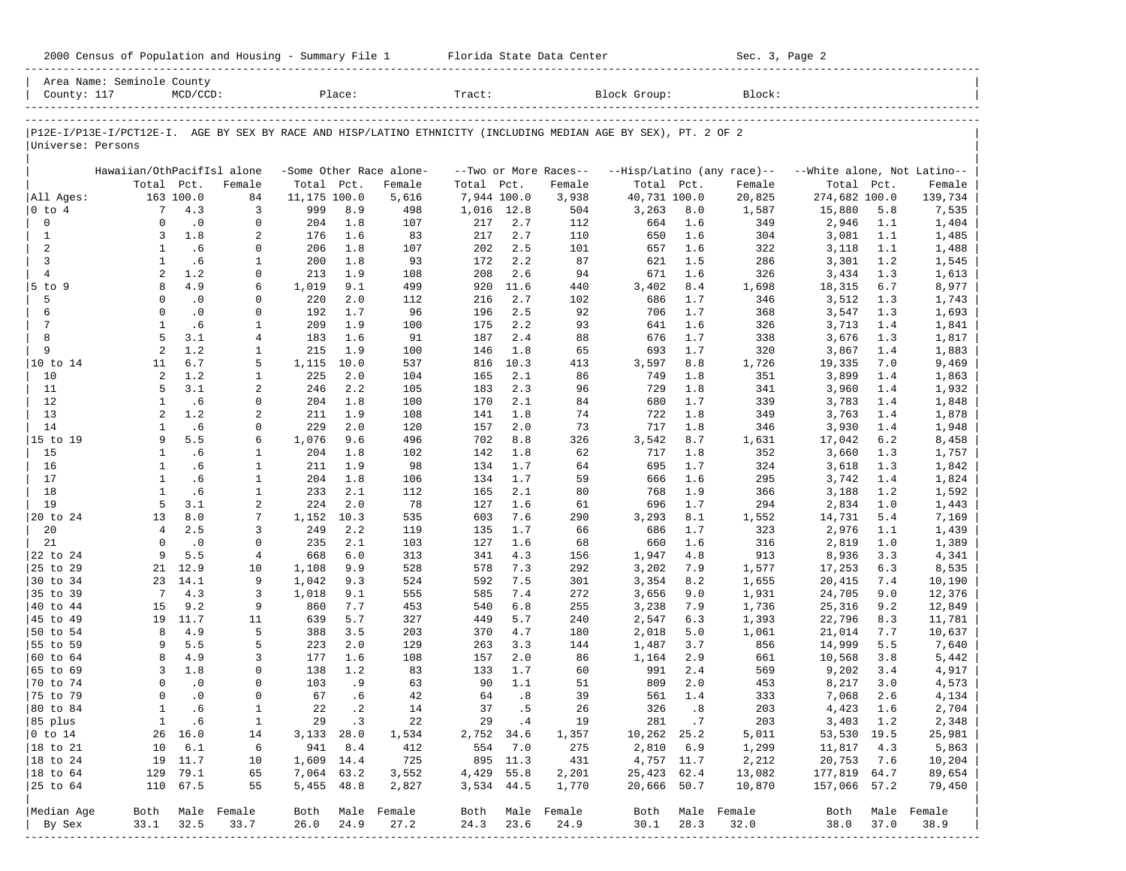| 2000 Census of Population and Housing - Summary File 1 |  | Florida State Data Center | Sec. 3, Page 2 |
|--------------------------------------------------------|--|---------------------------|----------------|
|--------------------------------------------------------|--|---------------------------|----------------|

|                        | Area Name: Seminole County                                                                                     |              |                  |              |             |                         |             |            |                       |              |            |                            |                             |            |                  |
|------------------------|----------------------------------------------------------------------------------------------------------------|--------------|------------------|--------------|-------------|-------------------------|-------------|------------|-----------------------|--------------|------------|----------------------------|-----------------------------|------------|------------------|
| County: 117            |                                                                                                                | $MCD/CCD$ :  |                  |              | Place:      |                         | Tract:      |            |                       | Block Group: |            | Block:                     |                             |            |                  |
|                        |                                                                                                                |              |                  |              |             |                         |             |            |                       |              |            |                            |                             |            |                  |
| Universe: Persons      | P12E-I/P13E-I/PCT12E-I. AGE BY SEX BY RACE AND HISP/LATINO ETHNICITY (INCLUDING MEDIAN AGE BY SEX), PT. 2 OF 2 |              |                  |              |             |                         |             |            |                       |              |            |                            |                             |            |                  |
|                        | Hawaiian/OthPacifIsl alone                                                                                     |              |                  |              |             | -Some Other Race alone- |             |            | --Two or More Races-- |              |            | --Hisp/Latino (any race)-- | --White alone, Not Latino-- |            |                  |
|                        | Total                                                                                                          | Pct.         | Female           | Total        | Pct.        | Female                  | Total Pct.  |            | Female                | Total Pct.   |            | Female                     | Total                       | Pct.       | Female           |
| All Ages:              |                                                                                                                | 163 100.0    | 84               | 11,175 100.0 |             | 5,616                   | 7,944 100.0 |            | 3,938                 | 40,731 100.0 |            | 20,825                     | 274,682 100.0               |            | 139,734          |
| $0$ to $4$             | $7\phantom{.0}$                                                                                                | 4.3          | 3                | 999          | 8.9         | 498                     | 1,016 12.8  |            | 504                   | 3,263        | 8.0        | 1,587                      | 15,880                      | 5.8        | 7,535            |
| $\mathbf 0$            | $\Omega$                                                                                                       | $\cdot$ 0    | $\mathbf 0$      | 204          | 1.8         | 107                     | 217         | 2.7        | 112                   | 664          | 1.6        | 349                        | 2,946                       | 1.1        | 1,404            |
| $\mathbf{1}$           | 3                                                                                                              | 1.8          | 2                | 176          | 1.6         | 83                      | 217         | 2.7        | 110                   | 650          | 1.6        | 304                        | 3,081                       | 1.1        | 1,485            |
| $\overline{a}$         | $\mathbf{1}$                                                                                                   | .6           | 0                | 206          | 1.8         | 107                     | 202         | 2.5        | 101                   | 657          | 1.6        | 322                        | 3,118                       | 1.1        | 1,488            |
| $\overline{3}$         | $\mathbf{1}$                                                                                                   | .6           | $\mathbf{1}$     | 200          | 1.8         | 93                      | 172         | 2.2        | 87                    | 621          | 1.5        | 286                        | 3,301                       | 1.2        | 1,545            |
| $\overline{4}$         | 2                                                                                                              | 1.2          | $\mathbf 0$      | 213          | 1.9         | 108                     | 208         | 2.6        | 94                    | 671          | 1.6        | 326                        | 3,434                       | 1.3        | 1,613            |
| $5$ to $9$             | 8                                                                                                              | 4.9          | 6                | 1,019        | 9.1         | 499                     | 920         | 11.6       | 440                   | 3,402        | 8.4        | 1,698                      | 18,315                      | 6.7        | 8,977            |
| 5                      | $\Omega$                                                                                                       | $\cdot$ 0    | 0                | 220          | 2.0         | 112                     | 216         | 2.7        | 102                   | 686          | 1.7        | 346                        | 3,512                       | 1.3        | 1,743            |
| 6                      | $\Omega$                                                                                                       | $\cdot$ 0    | $\Omega$         | 192          | 1.7         | 96                      | 196         | 2.5        | 92                    | 706          | 1.7        | 368                        | 3,547                       | 1.3        | 1,693            |
| $7\phantom{.0}$        | $\mathbf{1}$                                                                                                   | .6           | $\mathbf{1}$     | 209          | 1.9         | 100                     | 175         | 2.2        | 93                    | 641          | 1.6        | 326                        | 3,713                       | 1.4        | 1,841            |
| 8                      | 5                                                                                                              | 3.1          | $\overline{4}$   | 183          | 1.6         | 91                      | 187         | 2.4        | 88                    | 676          | 1.7        | 338                        | 3,676                       | 1.3        | 1,817            |
| 9                      | 2                                                                                                              | 1.2          | $\mathbf{1}$     | 215          | 1.9         | 100                     | 146         | 1.8        | 65                    | 693          | 1.7        | 320                        | 3,867                       | 1.4        | 1,883            |
| 10 to 14               | 11                                                                                                             | 6.7          | 5                | 1,115        | 10.0        | 537                     | 816         | 10.3       | 413                   | 3,597        | 8.8        | 1,726                      | 19,335                      | 7.0        | 9,469            |
| 10                     | 2                                                                                                              | 1.2          | $\mathbf{1}$     | 225          | 2.0         | 104                     | 165         | 2.1        | 86                    | 749          | 1.8        | 351                        | 3,899                       | 1.4        | 1,863            |
| 11                     | 5                                                                                                              | 3.1          | 2                | 246          | 2.2         | 105                     | 183         | 2.3        | 96                    | 729          | 1.8        | 341                        | 3,960                       | 1.4        | 1,932            |
| 12                     | $\mathbf{1}$                                                                                                   | .6           | $\mathbf 0$      | 204          | 1.8         | 100                     | 170         | 2.1        | 84                    | 680          | 1.7        | 339                        | 3,783                       | 1.4        | 1,848            |
| 13                     | 2                                                                                                              | 1.2          | $\overline{a}$   | 211          | 1.9         | 108                     | 141         | 1.8        | 74                    | 722          | 1.8        | 349                        | 3,763                       | 1.4        | 1,878            |
| 14                     | $\mathbf{1}$                                                                                                   | .6           | $\mathbf 0$      | 229          | 2.0         | 120                     | 157         | 2.0        | 73                    | 717          | 1.8        | 346                        | 3,930                       | 1.4        | 1,948            |
| 15 to 19               | 9                                                                                                              | 5.5          | 6                | 1,076        | 9.6         | 496                     | 702         | 8.8        | 326                   | 3,542        | 8.7        | 1,631                      | 17,042                      | 6.2        | 8,458            |
| 15                     | $\mathbf{1}$                                                                                                   | .6           | $\mathbf{1}$     | 204          | 1.8         | 102                     | 142         | 1.8        | 62                    | 717          | 1.8        | 352                        | 3,660                       | 1.3        | 1,757            |
| 16                     | $\mathbf{1}$                                                                                                   | .6           | $\mathbf{1}$     | 211          | 1.9         | 98                      | 134         | 1.7        | 64                    | 695          | 1.7        | 324                        | 3,618                       | 1.3        | 1,842            |
| 17                     | $\mathbf{1}$                                                                                                   | .6           | $\mathbf{1}$     | 204          | 1.8         | 106                     | 134         | 1.7        | 59                    | 666          | 1.6        | 295                        | 3,742                       | 1.4        | 1,824            |
| 18                     | $\mathbf{1}$                                                                                                   | .6           | $\mathbf{1}$     | 233          | 2.1         | 112                     | 165         | 2.1        | 80                    | 768          | 1.9        | 366                        | 3,188                       | 1.2        | 1,592            |
| 19                     | 5                                                                                                              | 3.1          | 2                | 224          | 2.0         | 78                      | 127         | 1.6        | 61                    | 696          | 1.7        | 294                        | 2,834                       | 1.0        | 1,443            |
| 20 to 24               | 13<br>$\overline{4}$                                                                                           | 8.0<br>2.5   | 7                | 1,152        | 10.3<br>2.2 | 535                     | 603         | 7.6<br>1.7 | 290<br>66             | 3,293        | 8.1        | 1,552                      | 14,731                      | 5.4        | 7,169            |
| 20<br>21               | $\Omega$                                                                                                       | $\cdot$ 0    | 3<br>$\Omega$    | 249<br>235   | 2.1         | 119                     | 135<br>127  | 1.6        | 68                    | 686<br>660   | 1.7<br>1.6 | 323<br>316                 | 2,976<br>2,819              | 1.1<br>1.0 | 1,439            |
| 22 to 24               | 9                                                                                                              | 5.5          | $\overline{4}$   | 668          | 6.0         | 103<br>313              | 341         | 4.3        | 156                   | 1,947        | 4.8        | 913                        | 8,936                       | 3.3        | 1,389<br>4,341   |
| 25 to 29               | 21                                                                                                             | 12.9         | 10               | 1,108        | 9.9         | 528                     | 578         | 7.3        | 292                   | 3,202        | 7.9        | 1,577                      | 17,253                      | 6.3        | 8,535            |
| 30 to 34               | 23                                                                                                             | 14.1         | 9                | 1,042        | 9.3         | 524                     | 592         | 7.5        | 301                   | 3,354        | 8.2        | 1,655                      | 20,415                      | 7.4        | 10,190           |
| 35 to 39               | 7                                                                                                              | 4.3          | 3                | 1,018        | 9.1         | 555                     | 585         | 7.4        | 272                   | 3,656        | 9.0        | 1,931                      | 24,705                      | 9.0        | 12,376           |
| 40 to 44               | 15                                                                                                             | 9.2          | 9                | 860          | 7.7         | 453                     | 540         | 6.8        | 255                   | 3,238        | 7.9        | 1,736                      | 25,316                      | 9.2        | 12,849           |
| 45 to 49               | 19                                                                                                             | 11.7         | 11               | 639          | 5.7         | 327                     | 449         | 5.7        | 240                   | 2,547        | 6.3        | 1,393                      | 22,796                      | 8.3        | 11,781           |
| 50 to 54               | 8                                                                                                              | 4.9          | 5                | 388          | 3.5         | 203                     | 370         | 4.7        | 180                   | 2,018        | 5.0        | 1,061                      | 21,014                      | 7.7        | 10,637           |
| 55 to 59               | 9                                                                                                              | 5.5          | 5                | 223          | 2.0         | 129                     | 263         | 3.3        | 144                   | 1,487        | 3.7        | 856                        | 14,999                      | 5.5        | 7,640            |
| 60 to 64               | 8                                                                                                              | 4.9          | 3                | 177          | 1.6         | 108                     | 157         | 2.0        | 86                    | 1,164        | 2.9        | 661                        | 10,568                      | 3.8        | 5,442            |
| 65 to 69               | 3                                                                                                              | 1.8          | $\Omega$         | 138          | 1.2         | 83                      | 133         | 1.7        | 60                    | 991          | 2.4        | 569                        | 9,202                       | 3.4        | 4,917            |
| 70 to 74               | $\Omega$                                                                                                       | $\cdot$ 0    | $\Omega$         | 103          | .9          | 63                      | 90          | 1.1        | 51                    | 809          | 2.0        | 453                        | 8,217                       | 3.0        | 4,573            |
| 75 to 79               | $\Omega$                                                                                                       | $\cdot$ 0    | $\Omega$         | 67           | .6          | 42                      | 64          | .8         | 39                    | 561          | 1.4        | 333                        | 7,068                       | 2.6        | 4,134            |
| 80 to 84               | $\mathbf{1}$                                                                                                   | . 6          | $\mathbf{1}$     | 22           | $\cdot$ 2   | 14                      | 37          | . 5        | 26                    | 326          | .8         | 203                        | 4,423                       | 1.6        | 2,704            |
| 85 plus                |                                                                                                                | $1 \quad .6$ | $\mathbf{1}$     |              | 29 .3       | 22                      | 29 .4       |            | 19                    |              | 281.7      | 203                        | 3,403 1.2                   |            | 2,348            |
| $ 0 \t\t \text{to} 14$ |                                                                                                                | 26 16.0      | 14               | $3,133$ 28.0 |             | 1,534                   | 2,752 34.6  |            | 1,357                 | 10,262 25.2  |            | 5,011                      | 53,530 19.5                 |            | 25,981           |
| 18 to 21               |                                                                                                                | 10 6.1       | 6                | 941          | 8.4         | 412                     | 554         | 7.0        | 275                   |              | 2,810 6.9  | 1,299                      | 11,817                      | 4.3        | 5,863            |
| $ 18$ to $24$          |                                                                                                                | 19 11.7      | 10               | 1,609 14.4   |             | 725                     |             | 895 11.3   | 431                   | 4,757 11.7   |            | 2,212                      | 20,753                      | 7.6        | 10,204           |
| 18 to 64               |                                                                                                                | 129 79.1     | 65               | 7,064 63.2   |             | 3,552                   | 4,429 55.8  |            | 2,201                 | 25,423 62.4  |            | 13,082                     | 177,819 64.7                |            | 89,654           |
| 25 to 64               |                                                                                                                | 110 67.5     | 55               |              | 5,455 48.8  | 2,827                   | 3,534 44.5  |            | 1,770                 | 20,666 50.7  |            | 10,870                     | 157,066 57.2                |            | 79,450           |
| Median Age             |                                                                                                                |              | Both Male Female |              |             | Both Male Female        |             |            | Both Male Female      |              |            | Both Male Female           |                             |            | Both Male Female |
| By Sex                 | 33.1                                                                                                           | 32.5         | 33.7             | 26.0         | 24.9        | 27.2                    | 24.3        | 23.6       | 24.9                  | 30.1         | 28.3       | 32.0                       | 38.0                        | 37.0       | 38.9             |
|                        |                                                                                                                |              |                  |              |             |                         |             |            |                       |              |            |                            |                             |            |                  |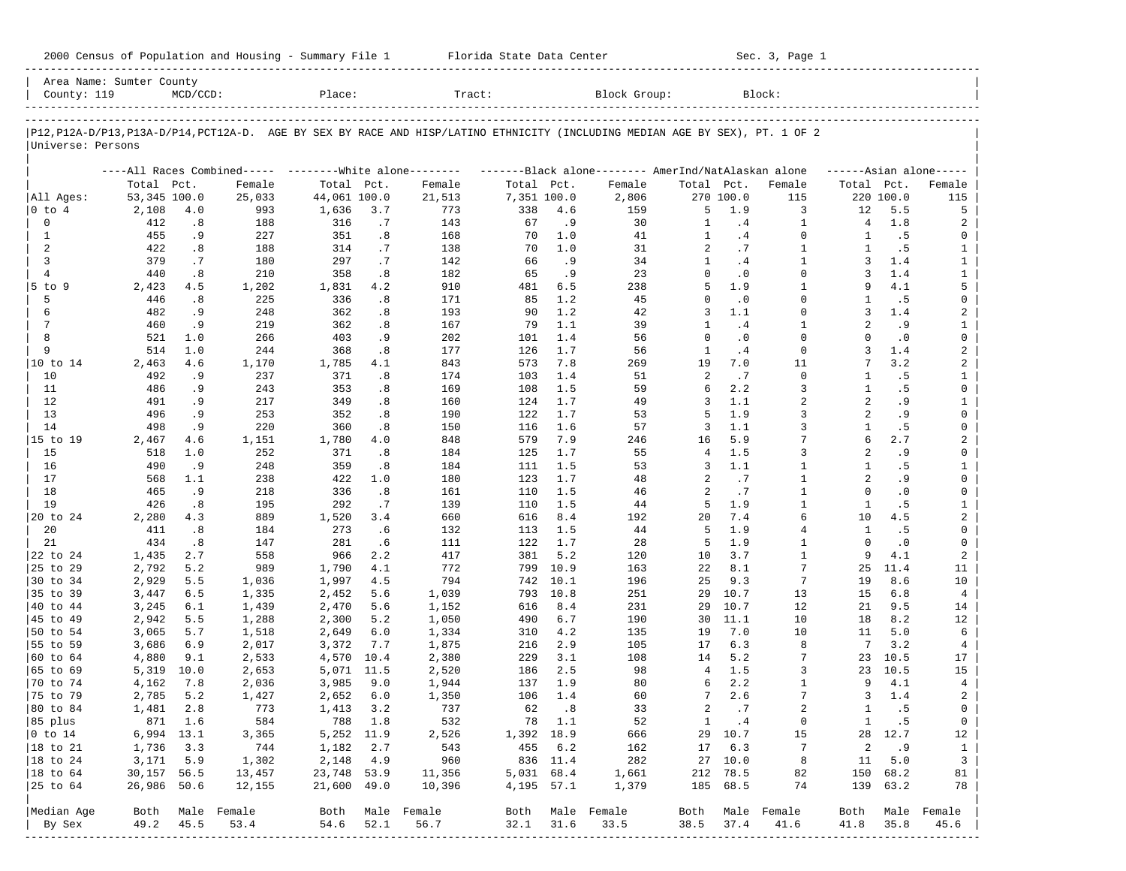| 2000 Census of Population and Housing - Summary File 1 |  | Florida State Data Center | Sec. 3, Page 1 |
|--------------------------------------------------------|--|---------------------------|----------------|
|--------------------------------------------------------|--|---------------------------|----------------|

| Area Name: Sumter County<br>County: 119 |              | $MCD/CCD$ : |                  | Place:       |         | Tract:                                                                                                                        |             |          | Block Group:     |                |                  | Block:           |                      |                  |                         |
|-----------------------------------------|--------------|-------------|------------------|--------------|---------|-------------------------------------------------------------------------------------------------------------------------------|-------------|----------|------------------|----------------|------------------|------------------|----------------------|------------------|-------------------------|
|                                         |              |             |                  |              |         |                                                                                                                               |             |          |                  |                |                  |                  |                      |                  |                         |
| Universe: Persons                       |              |             |                  |              |         | P12, P12A-D/P13, P13A-D/P14, PCT12A-D. AGE BY SEX BY RACE AND HISP/LATINO ETHNICITY (INCLUDING MEDIAN AGE BY SEX), PT. 1 OF 2 |             |          |                  |                |                  |                  |                      |                  |                         |
|                                         |              |             |                  |              |         |                                                                                                                               |             |          |                  |                |                  |                  |                      |                  |                         |
|                                         |              |             |                  |              |         | ----All Races Combined----- --------White alone-------- --------Black alone-------- AmerInd/NatAlaskan alone                  |             |          |                  |                |                  |                  |                      |                  | $---Asian alone---$     |
|                                         | Total Pct.   |             | Female           | Total Pct.   |         | Female                                                                                                                        | Total Pct.  |          | Female           | Total Pct.     |                  | Female           | Total Pct.           |                  | Female                  |
| All Ages:                               | 53,345 100.0 |             | 25,033           | 44,061 100.0 | 3.7     | 21,513                                                                                                                        | 7,351 100.0 | 4.6      | 2,806            |                | 270 100.0<br>1.9 | 115<br>3         |                      | 220 100.0<br>5.5 | 115                     |
| 0 to 4<br>0                             | 2,108<br>412 | 4.0<br>.8   | 993<br>188       | 1,636<br>316 | .7      | 773<br>143                                                                                                                    | 338<br>67   | .9       | 159<br>30        | 5<br>1         | .4               | $\mathbf{1}$     | 12<br>$\overline{4}$ | 1.8              | 5                       |
| $\mathbf{1}$                            | 455          | .9          | 227              | 351          | .8      | 168                                                                                                                           | 70          | 1.0      | 41               | $\mathbf{1}$   | .4               | $\Omega$         | 1                    | .5               | 2<br>0                  |
| 2                                       | 422          | .8          | 188              | 314          | .7      | 138                                                                                                                           | 70          | 1.0      | 31               | 2              | .7               | $\mathbf{1}$     | $\mathbf{1}$         | . 5              | $\mathbf{1}$            |
| 3                                       | 379          | .7          | 180              | 297          | .7      | 142                                                                                                                           | 66          | .9       | 34               | $\mathbf{1}$   | .4               | $\mathbf{1}$     | 3                    | 1.4              | $\mathbf{1}$            |
| $\overline{4}$                          | 440          | .8          | 210              | 358          | .8      | 182                                                                                                                           | 65          | .9       | 23               | $\Omega$       | $\cdot$ 0        | $\Omega$         | 3                    | 1.4              | $\mathbf{1}$            |
| $5$ to $9$                              | 2,423        | 4.5         | 1,202            | 1,831        | 4.2     | 910                                                                                                                           | 481         | 6.5      | 238              | 5              | 1.9              | $\mathbf{1}$     | 9                    | 4.1              | 5                       |
| 5                                       | 446          | .8          | 225              | 336          | .8      | 171                                                                                                                           | 85          | 1.2      | 45               | $\Omega$       | $\cdot$ 0        | $\Omega$         | -1.                  | .5               | $\mathbf 0$             |
| 6                                       | 482          | .9          | 248              | 362          | .8      | 193                                                                                                                           | 90          | 1.2      | 42               | 3              | 1.1              | $\Omega$         | 3                    | 1.4              | $\overline{\mathbf{c}}$ |
| 7                                       | 460          | .9          | 219              | 362          | .8      | 167                                                                                                                           | 79          | 1.1      | 39               | 1              | .4               | $\mathbf{1}$     | 2                    | . 9              | 1                       |
| 8                                       | 521          | 1.0         | 266              | 403          | .9      | 202                                                                                                                           | 101         | 1.4      | 56               | $\Omega$       | $\cdot$ 0        | $\Omega$         | $\Omega$             | $\cdot$ 0        | $\mathbf 0$             |
| 9                                       | 514          | 1.0         | 244              | 368          | .8      | 177                                                                                                                           | 126         | 1.7      | 56               | $\mathbf{1}$   | .4               | $\mathbf 0$      | 3                    | 1.4              | $\overline{a}$          |
| 10 to 14                                | 2,463        | 4.6         | 1,170            | 1,785        | 4.1     | 843                                                                                                                           | 573         | 7.8      | 269              | 19             | 7.0              | 11               |                      | 3.2              | 2                       |
| 10                                      | 492          | .9          | 237              | 371          | .8      | 174                                                                                                                           | 103         | 1.4      | 51               | 2              | .7               | $\Omega$         | 1                    | . 5              | 1                       |
| 11                                      | 486          | .9          | 243              | 353          | .8      | 169                                                                                                                           | 108         | 1.5      | 59               | 6              | 2.2              | 3                | 1                    | .5               | $\mathbf 0$             |
| 12                                      | 491          | . 9         | 217              | 349          | .8      | 160                                                                                                                           | 124         | 1.7      | 49               | 3              | 1.1              | $\overline{a}$   | $\overline{2}$       | .9               | $\mathbf{1}$            |
| 13                                      | 496          | .9          | 253              | 352          | .8      | 190                                                                                                                           | 122         | 1.7      | 53               | 5              | 1.9              | 3                | 2                    | .9               | $\mathbf 0$             |
| 14                                      | 498          | .9          | 220              | 360          | .8      | 150                                                                                                                           | 116         | 1.6      | 57               | 3              | 1.1              | $\overline{3}$   | $\mathbf{1}$         | .5               | $\mathbf 0$             |
| 15 to 19                                | 2,467        | 4.6         | 1,151            | 1,780        | 4.0     | 848                                                                                                                           | 579         | 7.9      | 246              | 16             | 5.9              | 7                | 6                    | 2.7              | $\overline{\mathbf{c}}$ |
| 15                                      | 518          | 1.0         | 252              | 371          | .8      | 184                                                                                                                           | 125         | 1.7      | 55               | $\overline{4}$ | 1.5              | $\overline{3}$   | 2                    | . 9              | $\mathbf 0$             |
| 16                                      | 490          | .9          | 248              | 359          | .8      | 184                                                                                                                           | 111         | 1.5      | 53               | 3              | 1.1              | $\mathbf{1}$     | 1                    | .5               | $\mathbf{1}$            |
| 17                                      | 568          | 1.1         | 238              | 422          | 1.0     | 180                                                                                                                           | 123         | 1.7      | 48               | 2              | .7               | $\mathbf{1}$     | $\overline{2}$       | .9               | 0                       |
| 18                                      | 465          | .9          | 218              | 336          | .8      | 161                                                                                                                           | 110         | 1.5      | 46               | 2              | .7               | $\mathbf{1}$     | $\Omega$             | $\cdot$ 0        | $\mathbf 0$             |
| 19                                      | 426          | .8          | 195              | 292          | .7      | 139                                                                                                                           | 110         | 1.5      | 44               | 5              | 1.9              | $\mathbf{1}$     | $\mathbf{1}$         | . 5              | $\mathbf{1}$            |
| 20 to 24                                | 2,280        | 4.3         | 889              | 1,520        | 3.4     | 660                                                                                                                           | 616         | 8.4      | 192              | 20             | 7.4              | 6                | 10                   | 4.5              | $\overline{a}$          |
| 20                                      | 411          | .8          | 184              | 273          | .6      | 132                                                                                                                           | 113         | 1.5      | 44               | 5              | 1.9              | $\overline{4}$   | $\mathbf{1}$         | . 5              | $\mathbf 0$             |
| 21                                      | 434          | .8          | 147              | 281          | .6      | 111                                                                                                                           | 122         | 1.7      | 28               | 5              | 1.9              | $\mathbf{1}$     | $\Omega$             | $\cdot$ 0        | $\mathbf 0$             |
| 22 to 24                                | 1,435        | 2.7         | 558              | 966          | 2.2     | 417                                                                                                                           | 381         | 5.2      | 120              | 10             | 3.7              | $\mathbf{1}$     | 9                    | 4.1              | $\overline{a}$          |
| 25 to 29                                | 2,792        | 5.2         | 989              | 1,790        | 4.1     | 772                                                                                                                           | 799         | 10.9     | 163              | 22             | 8.1              | 7                | 25                   | 11.4             | 11                      |
| 30 to 34                                | 2,929        | 5.5         | 1,036            | 1,997        | 4.5     | 794                                                                                                                           | 742         | 10.1     | 196              | 25             | 9.3              | $7\phantom{.0}$  | 19                   | 8.6              | 10                      |
| 35 to 39                                | 3,447        | 6.5         | 1,335            | 2,452        | 5.6     | 1,039                                                                                                                         | 793         | 10.8     | 251              | 29             | 10.7             | 13               | 15                   | 6.8              | $\overline{4}$          |
| 40 to 44                                | 3,245        | 6.1         | 1,439            | 2,470        | 5.6     | 1,152                                                                                                                         | 616         | 8.4      | 231              | 29             | 10.7             | 12               | 21                   | 9.5              | 14                      |
| 45 to 49                                | 2,942        | 5.5         | 1,288            | 2,300        | 5.2     | 1,050                                                                                                                         | 490         | 6.7      | 190              | 30             | 11.1             | 10               | 18                   | 8.2              | 12                      |
| 50 to 54                                | 3,065        | 5.7         | 1,518            | 2,649        | 6.0     | 1,334                                                                                                                         | 310         | 4.2      | 135              | 19             | 7.0              | 10               | 11                   | 5.0              | 6                       |
| 55 to 59                                | 3,686        | 6.9         | 2,017            | 3,372        | 7.7     | 1,875                                                                                                                         | 216         | 2.9      | 105              | 17             | 6.3              | 8                | 7                    | 3.2              | $\overline{4}$          |
| 60 to 64                                | 4,880        | 9.1         | 2,533            | 4,570        | 10.4    | 2,380                                                                                                                         | 229         | 3.1      | 108              | 14             | 5.2              | 7                | 23                   | 10.5             | 17                      |
| 65 to 69                                | 5,319        | 10.0        | 2,653            | 5,071 11.5   |         | 2,520                                                                                                                         | 186         | 2.5      | 98               | $\overline{4}$ | 1.5              | 3                | 23                   | 10.5             | 15                      |
| 70 to 74                                | 4,162        | 7.8         | 2,036            | 3,985        | 9.0     | 1,944                                                                                                                         | 137         | 1.9      | 80               | 6              | 2.2              | $\mathbf{1}$     | 9                    | 4.1              | $\overline{4}$          |
| 75 to 79                                | 2,785        | 5.2         | 1,427            | 2,652        | 6.0     | 1,350                                                                                                                         | 106         | 1.4      | 60               | 7              | 2.6              | 7                | 3                    | 1.4              | 2                       |
| 80 to 84                                | 1,481        | 2.8         | 773              | 1,413        | 3.2     | 737                                                                                                                           | 62          | .8       | 33               | 2              | .7               | $\overline{a}$   | $\mathbf{1}$         | . 5              | $\mathbf 0$             |
| 85 plus                                 |              | 871 1.6     | 584              |              | 788 1.8 | 532                                                                                                                           |             | 78 1.1   | 52               | $\mathbf{1}$   | $\cdot$ 4        | 0                |                      | 1 .5             | 0                       |
| $ 0 \t\t \text{to} 14$                  | 6,994 13.1   |             | 3,365            | 5,252 11.9   |         | 2,526                                                                                                                         | 1,392 18.9  |          | 666              |                | 29 10.7          | 15               |                      | 28 12.7          | 12                      |
| 18 to 21                                | 1,736        | 3.3         | 744              | 1,182        | 2.7     | 543                                                                                                                           |             | 455 6.2  | 162              |                | 17 6.3           | 7                | 2                    | .9               | $\mathbf{1}$            |
| 18 to 24                                | 3,171        | 5.9         | 1,302            | 2,148        | 4.9     | 960                                                                                                                           |             | 836 11.4 | 282              |                | 27 10.0          | 8                | 11                   | 5.0              | $\overline{\mathbf{3}}$ |
| $ 18$ to $64$                           | 30,157 56.5  |             | 13,457           | 23,748 53.9  |         | 11,356                                                                                                                        | 5,031 68.4  |          | 1,661            |                | 212 78.5         | 82               | 150                  | 68.2             | 81                      |
| 25 to 64                                | 26,986 50.6  |             | 12,155           | 21,600 49.0  |         | 10,396                                                                                                                        | 4,195 57.1  |          | 1,379            |                | 185 68.5         | 74               |                      | 139 63.2         | 78                      |
| Median Age                              |              |             | Both Male Female |              |         | Both Male Female                                                                                                              |             |          | Both Male Female |                |                  | Both Male Female | Both                 |                  | Male Female             |
| By Sex                                  | 49.2         | 45.5        | 53.4             | 54.6         | 52.1    | 56.7                                                                                                                          | 32.1        | 31.6     | 33.5             | 38.5           | 37.4             | 41.6             | 41.8                 | 35.8             | 45.6                    |
|                                         |              |             |                  |              |         |                                                                                                                               |             |          |                  |                |                  |                  |                      |                  |                         |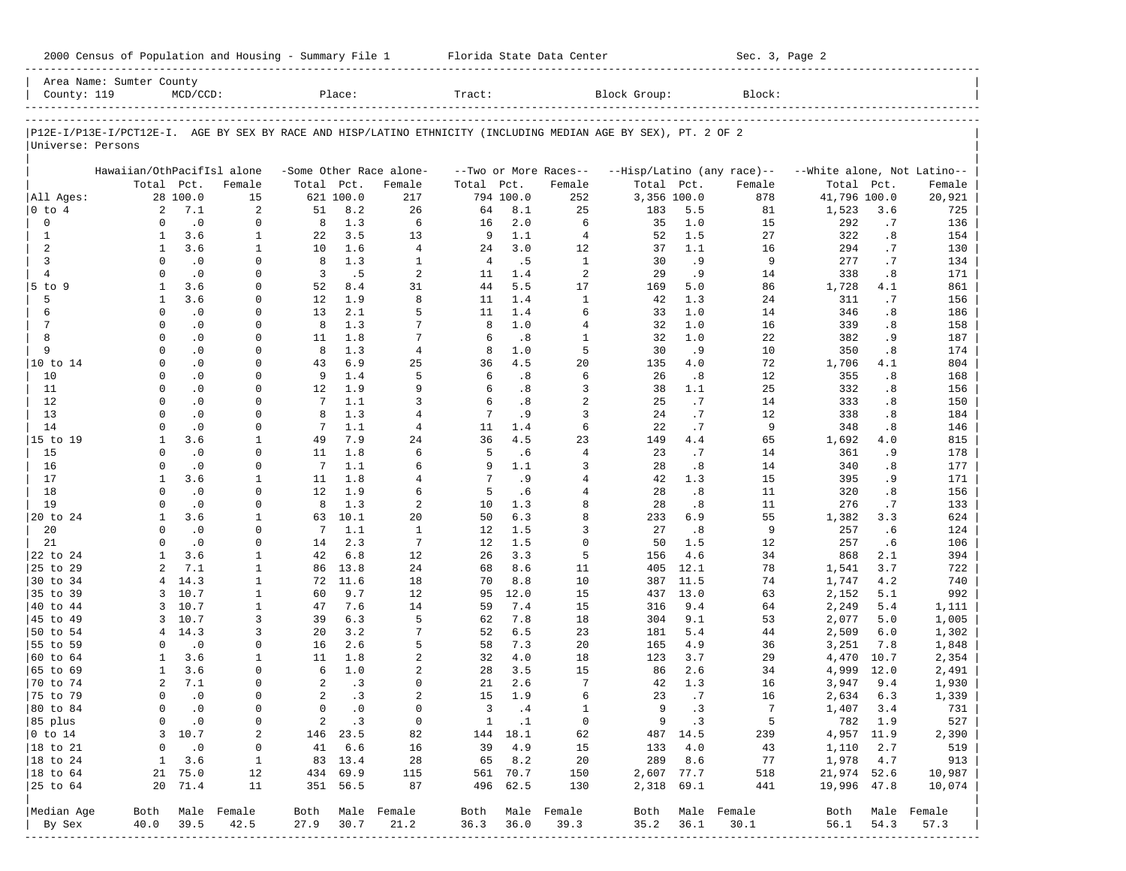| 2000 Census of Population and Housing - Summary File 1 |  | Florida State Data Center | Sec. 3, Page 2 |
|--------------------------------------------------------|--|---------------------------|----------------|
|--------------------------------------------------------|--|---------------------------|----------------|

| County: 119          | Area Name: Sumter County   | $MCD/CCD$ :                        |                      |                | Place:       |                         | Tract:     |            |                       | Block Group:                                                                                                   |              | Block:                     |                             |            |                  |
|----------------------|----------------------------|------------------------------------|----------------------|----------------|--------------|-------------------------|------------|------------|-----------------------|----------------------------------------------------------------------------------------------------------------|--------------|----------------------------|-----------------------------|------------|------------------|
|                      |                            |                                    |                      |                |              |                         |            |            |                       |                                                                                                                |              |                            |                             |            |                  |
|                      |                            |                                    |                      |                |              |                         |            |            |                       | P12E-I/P13E-I/PCT12E-I. AGE BY SEX BY RACE AND HISP/LATINO ETHNICITY (INCLUDING MEDIAN AGE BY SEX), PT. 2 OF 2 |              |                            |                             |            |                  |
| Universe: Persons    |                            |                                    |                      |                |              |                         |            |            |                       |                                                                                                                |              |                            |                             |            |                  |
|                      | Hawaiian/OthPacifIsl alone |                                    |                      |                |              | -Some Other Race alone- |            |            | --Two or More Races-- |                                                                                                                |              | --Hisp/Latino (any race)-- | --White alone, Not Latino-- |            |                  |
|                      |                            | Total Pct.                         | Female               | Total Pct.     |              | Female                  | Total Pct. |            | Female                | Total Pct.                                                                                                     |              | Female                     | Total                       | Pct.       | Female           |
| All Ages:            |                            | 28 100.0                           | 15                   |                | 621 100.0    | 217                     |            | 794 100.0  | 252                   |                                                                                                                | 3,356 100.0  | 878                        | 41,796 100.0                |            | 20,921           |
| 0 to 4               |                            | 7.1<br>2                           | 2                    | 51             | 8.2          | 26                      | 64         | 8.1        | 25                    | 183                                                                                                            | 5.5          | 81                         | 1,523                       | 3.6        | 725              |
| $\mathbf 0$          |                            | $\cdot$ 0<br>$\Omega$              | $\mathbf 0$          | 8              | 1.3          | 6                       | 16         | 2.0        | 6                     | 35                                                                                                             | 1.0          | 15                         | 292                         | .7         | 136              |
| $\mathbf{1}$         |                            | 3.6<br>1                           | $\mathbf{1}$         | 22             | 3.5          | 13                      | 9          | 1.1        | $\overline{4}$        | 52                                                                                                             | 1.5          | 27                         | 322                         | .8         | 154              |
| 2                    |                            | 3.6<br>$\mathbf{1}$                | $\mathbf{1}$         | 10             | 1.6          | $\overline{4}$          | 24         | 3.0        | 12                    | 37                                                                                                             | 1.1          | 16                         | 294                         | .7         | 130              |
| 3                    |                            | $\Omega$<br>$\cdot$ 0              | $\Omega$             | 8              | 1.3          | $\mathbf{1}$            | 4          | .5         | $\mathbf{1}$          | 30                                                                                                             | .9           | 9                          | 277                         | .7         | 134              |
| $\overline{4}$       |                            | $\cdot$ 0<br>$\Omega$              | $\Omega$             | 3              | .5           | 2                       | 11         | 1.4        | $\overline{a}$        | 29                                                                                                             | .9           | 14                         | 338                         | .8         | 171              |
| 5 to 9               |                            | 3.6<br>1                           | $\Omega$             | 52             | 8.4          | 31                      | 44         | 5.5        | 17                    | 169                                                                                                            | 5.0          | 86                         | 1,728                       | 4.1        | 861              |
| 5                    |                            | 3.6<br>$\mathbf{1}$                | $\Omega$             | 12             | 1.9          | 8                       | 11         | 1.4        | $\mathbf{1}$          | 42                                                                                                             | 1.3          | 24                         | 311                         | .7         | 156              |
| 6                    |                            | $\Omega$<br>$\cdot$ 0              | $\Omega$             | 13             | 2.1          | 5                       | 11         | 1.4        | 6                     | 33                                                                                                             | 1.0          | 14                         | 346                         | .8         | 186              |
| 7<br>8               |                            | $\Omega$<br>$\cdot$ 0<br>$\Omega$  | $\Omega$<br>$\Omega$ | 8<br>11        | 1.3<br>1.8   | 7<br>7                  | 8<br>6     | 1.0        | $\overline{4}$        | 32                                                                                                             | 1.0          | 16                         | 339                         | .8         | 158              |
| 9                    |                            | $\cdot$ 0<br>$\Omega$<br>$\cdot$ 0 | $\Omega$             | 8              | 1.3          | $\overline{4}$          | 8          | .8<br>1.0  | $\mathbf{1}$<br>5     | 32<br>30                                                                                                       | 1.0          | 22                         | 382<br>350                  | . 9<br>.8  | 187              |
| 10 to 14             |                            | $\cdot$ 0<br>$\Omega$              | $\Omega$             | 43             | 6.9          | 25                      | 36         | 4.5        | 20                    | 135                                                                                                            | .9<br>4.0    | 10<br>72                   | 1,706                       | 4.1        | 174<br>804       |
| 10                   |                            | $\Omega$<br>$\cdot$ 0              | $\Omega$             | 9              | 1.4          | 5                       | 6          | .8         | 6                     | 26                                                                                                             | .8           | 12                         | 355                         | .8         | 168              |
| 11                   |                            | $\cdot$ 0<br>$\Omega$              | $\Omega$             | 12             | 1.9          | 9                       | 6          | .8         | 3                     | 38                                                                                                             | 1.1          | 25                         | 332                         | .8         | 156              |
| 12                   |                            | $\Omega$<br>$\cdot$ 0              | $\Omega$             | 7              | 1.1          | 3                       | 6          | .8         | $\overline{a}$        | 25                                                                                                             | .7           | 14                         | 333                         | .8         | 150              |
| 13                   |                            | $\Omega$<br>$\cdot$ 0              | $\Omega$             | 8              | 1.3          | 4                       | 7          | .9         | 3                     | 24                                                                                                             | .7           | 12                         | 338                         | .8         | 184              |
| 14                   |                            | $\Omega$<br>$\cdot$ 0              | $\Omega$             | 7              | 1.1          | $\overline{4}$          | 11         | 1.4        | 6                     | 22                                                                                                             | .7           | 9                          | 348                         | .8         | 146              |
| 15 to 19             |                            | 3.6<br>1                           | 1                    | 49             | 7.9          | 24                      | 36         | 4.5        | 23                    | 149                                                                                                            | 4.4          | 65                         | 1,692                       | 4.0        | 815              |
| 15                   |                            | $\Omega$<br>$\cdot$ 0              | $\Omega$             | 11             | 1.8          | 6                       | 5          | .6         | $\overline{4}$        | 23                                                                                                             | .7           | 14                         | 361                         | . 9        | 178              |
| 16                   |                            | $\cdot$ 0<br>$\Omega$              | $\Omega$             | 7              | 1.1          | 6                       | 9          | 1.1        | 3                     | 28                                                                                                             | .8           | 14                         | 340                         | .8         | 177              |
| 17                   |                            | $\mathbf{1}$<br>3.6                | 1                    | 11             | 1.8          | $\overline{4}$          | 7          | .9         | $\overline{4}$        | 42                                                                                                             | 1.3          | 15                         | 395                         | . 9        | 171              |
| 18                   |                            | $\Omega$<br>$\cdot$ 0              | $\Omega$             | 12             | 1.9          | 6                       | 5          | .6         | $\overline{4}$        | 28                                                                                                             | .8           | 11                         | 320                         | .8         | 156              |
| 19                   |                            | $\cdot$ 0<br>$\Omega$              | $\Omega$             | 8              | 1.3          | 2                       | 10         | 1.3        | 8                     | 28                                                                                                             | .8           | 11                         | 276                         | .7         | 133              |
| 20 to 24             |                            | 3.6<br>1                           | 1                    | 63             | 10.1         | 20                      | 50         | 6.3        | 8                     | 233                                                                                                            | 6.9          | 55                         | 1,382                       | 3.3        | 624              |
| 20                   |                            | $\cdot$ 0<br>$\Omega$              | $\Omega$             | 7              | 1.1          | $\mathbf{1}$            | 12         | 1.5        | 3                     | 27                                                                                                             | .8           | 9                          | 257                         | .6         | 124              |
| 21                   |                            | $\cdot$ 0<br>$\Omega$              | $\Omega$             | 14             | 2.3          | 7                       | 12         | 1.5        | $\mathbf 0$           | 50                                                                                                             | 1.5          | 12                         | 257                         | . 6        | 106              |
| 22 to 24             |                            | $\mathbf{1}$<br>3.6                | $\mathbf{1}$         | 42             | 6.8          | 12                      | 26         | 3.3        | 5                     | 156                                                                                                            | 4.6          | 34                         | 868                         | 2.1        | 394              |
| 25 to 29<br>30 to 34 |                            | 7.1<br>$\overline{a}$<br>14.3<br>4 | $\mathbf{1}$         | 86<br>72       | 13.8<br>11.6 | 24<br>18                | 68<br>70   | 8.6<br>8.8 | 11<br>10              | 405                                                                                                            | 12.1<br>11.5 | 78<br>74                   | 1,541                       | 3.7<br>4.2 | 722<br>740       |
| 35 to 39             |                            | 10.7<br>3                          | 1<br>$\mathbf{1}$    | 60             | 9.7          | 12                      | 95         | 12.0       | 15                    | 387<br>437                                                                                                     | 13.0         | 63                         | 1,747<br>2,152              | 5.1        | 992              |
| 40 to 44             |                            | 10.7<br>3                          | $\mathbf{1}$         | 47             | 7.6          | 14                      | 59         | 7.4        | 15                    | 316                                                                                                            | 9.4          | 64                         | 2,249                       | 5.4        | 1,111            |
| 45 to 49             |                            | 10.7<br>3                          | 3                    | 39             | 6.3          | 5                       | 62         | 7.8        | 18                    | 304                                                                                                            | 9.1          | 53                         | 2,077                       | 5.0        | 1,005            |
| 50 to 54             |                            | 14.3<br>4                          | 3                    | 20             | 3.2          | 7                       | 52         | 6.5        | 23                    | 181                                                                                                            | 5.4          | 44                         | 2,509                       | 6.0        | 1,302            |
| 55 to 59             |                            | $\cdot$ 0<br>$\Omega$              | 0                    | 16             | 2.6          | 5                       | 58         | 7.3        | 20                    | 165                                                                                                            | 4.9          | 36                         | 3,251                       | 7.8        | 1,848            |
| 60 to 64             |                            | 3.6<br>1                           | 1                    | 11             | 1.8          | $\overline{a}$          | 32         | 4.0        | 18                    | 123                                                                                                            | 3.7          | 29                         | 4,470                       | 10.7       | 2,354            |
| 65 to 69             |                            | 3.6<br>1                           | $\Omega$             | 6              | 1.0          | $\overline{a}$          | 28         | 3.5        | 15                    | 86                                                                                                             | 2.6          | 34                         | 4,999                       | 12.0       | 2,491            |
| 70 to 74             |                            | 7.1<br>$\overline{a}$              | $\Omega$             | 2              | .3           | $\Omega$                | 21         | 2.6        | 7                     | 42                                                                                                             | 1.3          | 16                         | 3,947                       | 9.4        | 1,930            |
| 75 to 79             |                            | $\Omega$<br>$\cdot$ 0              | $\Omega$             | $\overline{a}$ | .3           | $\overline{a}$          | 15         | 1.9        | 6                     | 23                                                                                                             | .7           | 16                         | 2,634                       | 6.3        | 1,339            |
| 80 to 84             |                            | $\mathbf 0$<br>$\cdot$ 0           | 0                    | $\Omega$       | $\cdot$ 0    | $\Omega$                | 3          | .4         | $\mathbf{1}$          | 9                                                                                                              | .3           | $7\phantom{.0}$            | 1,407                       | 3.4        | 731              |
| 85 plus              |                            | $0 \qquad .0$                      | $\overline{0}$       |                | 2 .3         | $\overline{0}$          |            | 1 .1       | $\overline{0}$        |                                                                                                                | $9 \cdot 3$  | $\overline{5}$             | 782 1.9                     |            | 527              |
| $ 0 \t{to} 14$       |                            | 3 10.7                             | 2                    |                | 146 23.5     | 82                      |            | 144 18.1   | 62                    |                                                                                                                | 487 14.5     | 239                        | 4,957 11.9                  |            | 2,390            |
| $ 18 \text{ to } 21$ |                            | 0<br>$\cdot$ 0                     | $\circ$              |                | 41 6.6       | 16                      | 39         | 4.9        | 15                    | 133                                                                                                            | 4.0          | 43                         | 1,110 2.7                   |            | 519              |
| $ 18 \text{ to } 24$ |                            | $1 \quad 3.6$                      | $\mathbf{1}$         |                | 83 13.4      | 28                      |            | 65 8.2     | 20                    |                                                                                                                | 289 8.6      | 77                         | 1,978 4.7                   |            | 913              |
| $ 18 \text{ to } 64$ |                            | 21 75.0                            | 12                   |                | 434 69.9     | 115                     |            | 561 70.7   | 150                   |                                                                                                                | 2,607 77.7   | 518                        | 21,974 52.6                 |            | 10,987           |
| $ 25$ to $64$        |                            | 20 71.4                            | 11                   |                | 351 56.5     | 87                      |            | 496 62.5   | 130                   |                                                                                                                | 2,318 69.1   | 441                        | 19,996 47.8                 |            | 10,074           |
| Median Age           |                            |                                    | Both Male Female     |                |              | Both Male Female        |            |            | Both Male Female      |                                                                                                                |              | Both Male Female           |                             |            | Both Male Female |
| By Sex               | 40.0                       | 39.5                               | 42.5                 |                | 27.9 30.7    | 21.2                    | 36.3       | 36.0       | 39.3                  | 35.2                                                                                                           | 36.1         | 30.1                       | 56.1 54.3                   |            | 57.3             |
|                      |                            |                                    |                      |                |              |                         |            |            |                       |                                                                                                                |              |                            |                             |            |                  |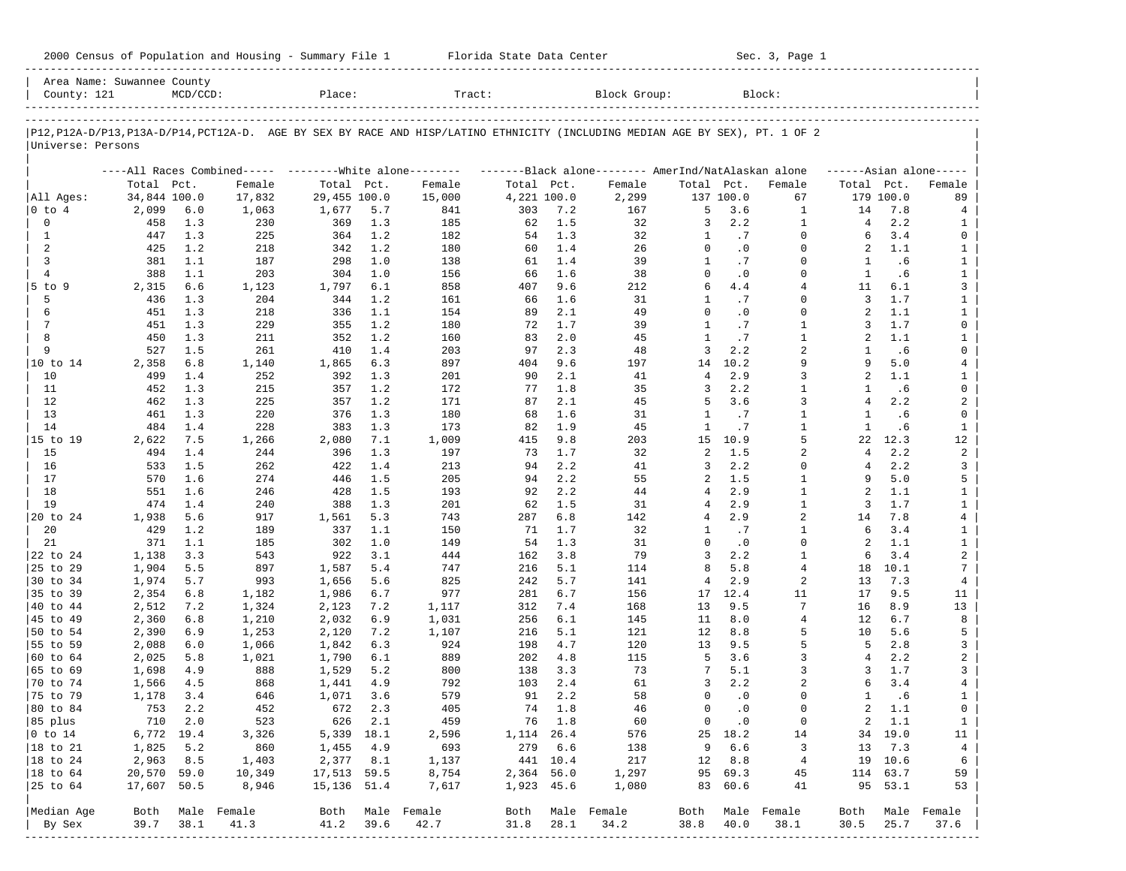| 2000 Census of Population and Housing - Summary File 1 |  | Florida State Data Center | Sec. 3, Page 1 |
|--------------------------------------------------------|--|---------------------------|----------------|
|--------------------------------------------------------|--|---------------------------|----------------|

| Area Name: Suwannee County<br>County: 121 |                | $MCD/CCD$ : |                  | Place:         |            | Tract:                                                                                                                        |             |            | Block Group:     |                  |               | Block:                  |                      |               |                              |
|-------------------------------------------|----------------|-------------|------------------|----------------|------------|-------------------------------------------------------------------------------------------------------------------------------|-------------|------------|------------------|------------------|---------------|-------------------------|----------------------|---------------|------------------------------|
|                                           |                |             |                  |                |            |                                                                                                                               |             |            |                  |                  |               |                         |                      |               |                              |
| Universe: Persons                         |                |             |                  |                |            | P12, P12A-D/P13, P13A-D/P14, PCT12A-D. AGE BY SEX BY RACE AND HISP/LATINO ETHNICITY (INCLUDING MEDIAN AGE BY SEX), PT. 1 OF 2 |             |            |                  |                  |               |                         |                      |               |                              |
|                                           |                |             |                  |                |            | ----All Races Combined----- --------White alone-------- --------Black alone-------- AmerInd/NatAlaskan alone                  |             |            |                  |                  |               |                         |                      |               | $---Asian alone---$          |
|                                           | Total Pct.     |             | Female           | Total Pct.     |            | Female                                                                                                                        | Total Pct.  |            | Female           | Total Pct.       |               | Female                  | Total Pct.           |               | Female                       |
| All Ages:                                 | 34,844 100.0   |             | 17,832           | 29,455 100.0   |            | 15,000                                                                                                                        | 4,221 100.0 |            | 2,299            |                  | 137 100.0     | 67                      |                      | 179 100.0     | 89                           |
| 0 to 4                                    | 2,099          | $6.0$       | 1,063            | 1,677          | 5.7        | 841                                                                                                                           | 303         | 7.2        | 167              | 5                | 3.6           | $\mathbf{1}$            | 14                   | 7.8           | 4                            |
| 0                                         | 458            | 1.3         | 230              | 369            | 1.3        | 185                                                                                                                           | 62          | 1.5        | 32               | 3                | 2.2           | $\mathbf{1}$            | 4                    | 2.2           | 1                            |
| 1                                         | 447            | 1.3         | 225              | 364            | 1.2        | 182                                                                                                                           | 54          | 1.3        | 32               | $\mathbf{1}$     | .7            | $\Omega$                | 6                    | 3.4           | $\mathbf 0$                  |
| 2                                         | 425            | 1.2         | 218              | 342            | 1.2        | 180                                                                                                                           | 60          | 1.4        | 26               | $\mathbf 0$      | $\cdot$ 0     | $\Omega$                | 2                    | 1.1           | $\mathbf{1}$                 |
| 3                                         | 381            | 1.1         | 187              | 298            | 1.0        | 138                                                                                                                           | 61          | 1.4        | 39               | $\mathbf{1}$     | .7            | $\Omega$<br>$\Omega$    | 1                    | . 6           | $\mathbf{1}$                 |
| $\overline{4}$                            | 388            | 1.1         | 203              | 304            | 1.0        | 156                                                                                                                           | 66          | 1.6        | 38               | $\mathbf 0$<br>6 | $\cdot$ 0     | $\overline{4}$          | $\mathbf{1}$         | .6            | $\mathbf{1}$                 |
| $5$ to $9$<br>5                           | 2,315<br>436   | 6.6<br>1.3  | 1,123<br>204     | 1,797<br>344   | 6.1<br>1.2 | 858<br>161                                                                                                                    | 407<br>66   | 9.6<br>1.6 | 212<br>31        | $\mathbf{1}$     | 4.4<br>.7     | $\Omega$                | 11<br>$\overline{3}$ | 6.1<br>1.7    | 3                            |
| 6                                         | 451            | 1.3         | 218              | 336            | 1.1        | 154                                                                                                                           | 89          | 2.1        | 49               | $\Omega$         | $\cdot$ 0     | $\Omega$                | 2                    | 1.1           | $\mathbf{1}$<br>$\mathbf{1}$ |
| 7                                         | 451            | 1.3         | 229              | 355            | 1.2        | 180                                                                                                                           | 72          | 1.7        | 39               | $\mathbf{1}$     | .7            | $\mathbf{1}$            | 3                    | 1.7           | $\mathbf 0$                  |
| 8                                         | 450            | 1.3         | 211              | 352            | 1.2        | 160                                                                                                                           | 83          | 2.0        | 45               | $\mathbf{1}$     | .7            | $\mathbf{1}$            | 2                    | 1.1           | $\mathbf{1}$                 |
| 9                                         | 527            | 1.5         | 261              | 410            | 1.4        | 203                                                                                                                           | 97          | 2.3        | 48               | $\overline{3}$   | 2.2           | $\overline{a}$          | 1                    | .6            | $\mathbf 0$                  |
| 10 to 14                                  | 2,358          | 6.8         | 1,140            | 1,865          | 6.3        | 897                                                                                                                           | 404         | 9.6        | 197              | 14               | 10.2          | 9                       | 9                    | 5.0           | $\overline{4}$               |
| 10                                        | 499            | 1.4         | 252              | 392            | 1.3        | 201                                                                                                                           | 90          | 2.1        | 41               | $\overline{4}$   | 2.9           | $\overline{3}$          | 2                    | 1.1           | 1                            |
| 11                                        | 452            | 1.3         | 215              | 357            | 1.2        | 172                                                                                                                           | 77          | 1.8        | 35               | 3                | 2.2           | $\mathbf{1}$            | 1                    | . 6           | $\mathbf 0$                  |
| 12                                        | 462            | 1.3         | 225              | 357            | 1.2        | 171                                                                                                                           | 87          | 2.1        | 45               | 5                | 3.6           | $\overline{3}$          | $\overline{4}$       | 2.2           | $\overline{a}$               |
| 13                                        | 461            | 1.3         | 220              | 376            | 1.3        | 180                                                                                                                           | 68          | 1.6        | 31               | $\mathbf{1}$     | .7            | $\mathbf{1}$            | 1                    | .6            | $\mathbf 0$                  |
| 14                                        | 484            | 1.4         | 228              | 383            | 1.3        | 173                                                                                                                           | 82          | 1.9        | 45               | $\mathbf{1}$     | .7            | $\mathbf{1}$            | $\mathbf{1}$         | .6            | $\mathbf{1}$                 |
| 15 to 19                                  | 2,622          | 7.5         | 1,266            | 2,080          | 7.1        | 1,009                                                                                                                         | 415         | 9.8        | 203              | 15               | 10.9          | 5                       | 22                   | 12.3          | 12                           |
| 15                                        | 494            | 1.4         | 244              | 396            | 1.3        | 197                                                                                                                           | 73          | 1.7        | 32               | 2                | 1.5           | $\overline{a}$          | $\overline{4}$       | 2.2           | $\overline{a}$               |
| 16                                        | 533            | 1.5         | 262              | 422            | 1.4        | 213                                                                                                                           | 94          | 2.2        | 41               | 3                | 2.2           | $\Omega$                | 4                    | 2.2           | 3                            |
| 17                                        | 570            | 1.6         | 274              | 446            | 1.5        | 205                                                                                                                           | 94          | 2.2        | 55               | 2                | 1.5           | $\mathbf{1}$            | 9                    | 5.0           | 5                            |
| 18                                        | 551            | 1.6         | 246              | 428            | 1.5        | 193                                                                                                                           | 92          | 2.2        | 44               | 4                | 2.9           | $\mathbf{1}$            | 2                    | 1.1           | $\mathbf{1}$                 |
| 19                                        | 474            | 1.4         | 240              | 388            | 1.3        | 201                                                                                                                           | 62          | 1.5        | 31               | $\overline{4}$   | 2.9           | $\mathbf{1}$            | 3                    | 1.7           | $\mathbf{1}$                 |
| 20 to 24                                  | 1,938          | 5.6         | 917              | 1,561          | 5.3        | 743                                                                                                                           | 287         | 6.8        | 142              | 4                | 2.9           | 2                       | 14                   | 7.8           | $\overline{4}$               |
| 20                                        | 429            | 1.2         | 189              | 337            | 1.1        | 150                                                                                                                           | 71          | 1.7        | 32               | 1                | .7            | $\mathbf{1}$            | 6                    | 3.4           | $\mathbf{1}$                 |
| 21                                        | 371            | 1.1         | 185              | 302            | 1.0        | 149                                                                                                                           | 54          | 1.3        | 31               | $\Omega$         | $\cdot$ 0     | $\Omega$                | 2                    | 1.1           | $\mathbf{1}$                 |
| 22 to 24                                  | 1,138          | 3.3         | 543              | 922            | 3.1        | 444                                                                                                                           | 162         | 3.8        | 79               | 3                | 2.2           | $\mathbf{1}$            | 6                    | 3.4           | $\overline{a}$               |
| 25 to 29                                  | 1,904          | 5.5         | 897              | 1,587          | 5.4        | 747                                                                                                                           | 216         | 5.1        | 114              | 8                | 5.8           | $\overline{4}$          | 18                   | 10.1          | $\overline{7}$               |
| 30 to 34                                  | 1,974          | 5.7         | 993              | 1,656          | 5.6        | 825                                                                                                                           | 242         | 5.7        | 141              | $\overline{4}$   | 2.9           | 2                       | 13                   | 7.3           | $\overline{4}$               |
| 35 to 39                                  | 2,354          | 6.8         | 1,182            | 1,986          | 6.7        | 977                                                                                                                           | 281         | 6.7        | 156              | 17               | 12.4          | 11                      | 17                   | 9.5           | 11                           |
| 40 to 44                                  | 2,512          | 7.2         | 1,324            | 2,123          | 7.2        | 1,117                                                                                                                         | 312         | 7.4        | 168              | 13               | 9.5           | 7                       | 16                   | 8.9           | 13                           |
| 45 to 49                                  | 2,360          | 6.8         | 1,210            | 2,032          | 6.9        | 1,031                                                                                                                         | 256         | 6.1        | 145              | 11               | 8.0           | $\overline{4}$          | 12                   | 6.7           | 8                            |
| 50 to 54                                  | 2,390          | 6.9         | 1,253            | 2,120          | 7.2        | 1,107                                                                                                                         | 216         | 5.1        | 121              | 12               | 8.8           | 5                       | 10                   | 5.6           | 5                            |
| 55 to 59                                  | 2,088          | 6.0         | 1,066            | 1,842          | 6.3        | 924                                                                                                                           | 198         | 4.7        | 120              | 13               | 9.5           | 5                       | -5                   | 2.8           | 3                            |
| 60 to 64                                  | 2,025          | 5.8         | 1,021            | 1,790          | 6.1        | 889                                                                                                                           | 202         | 4.8        | 115              | 5                | 3.6           | 3<br>3                  | $\overline{4}$       | 2.2           | $\overline{\mathbf{c}}$      |
| 65 to 69                                  | 1,698          | 4.9<br>4.5  | 888<br>868       | 1,529          | 5.2<br>4.9 | 800<br>792                                                                                                                    | 138<br>103  | 3.3<br>2.4 | 73<br>61         | 7<br>3           | 5.1<br>2.2    | $\overline{2}$          | 3<br>6               | 1.7<br>3.4    | 3<br>$\overline{4}$          |
| 70 to 74<br>75 to 79                      | 1,566<br>1,178 | 3.4         | 646              | 1,441<br>1,071 | 3.6        | 579                                                                                                                           | 91          | 2.2        | 58               | $\Omega$         | $\cdot$ 0     | $\Omega$                | 1                    | .6            | $\mathbf{1}$                 |
| 80 to 84                                  | 753            | 2.2         | 452              | 672            | 2.3        | 405                                                                                                                           | 74          | 1.8        | 46               | 0                | $\cdot$ 0     | $\Omega$                | $\overline{a}$       | 1.1           | $\mathbf{0}$                 |
| 85 plus                                   |                | 710 2.0     | 523              |                | 626 2.1    | 459                                                                                                                           |             | 76 1.8     | 60               |                  | $0 \qquad .0$ | 0                       |                      | $2 \quad 1.1$ | $\mathbf{1}$                 |
| $ 0 \t\t \text{to} 14$                    | 6,772 19.4     |             | 3,326            | 5,339 18.1     |            | 2,596                                                                                                                         | 1, 114 26.4 |            | 576              |                  | 25 18.2       | 14                      |                      | 34 19.0       | 11                           |
| 18 to 21                                  | 1,825          | 5.2         | 860              | 1,455          | 4.9        | 693                                                                                                                           |             | 279 6.6    | 138              | 9                | 6.6           | $\overline{\mathbf{3}}$ | 13                   | 7.3           | $\overline{4}$               |
| 18 to 24                                  | 2,963          | 8.5         | 1,403            | 2,377 8.1      |            | 1,137                                                                                                                         |             | 441 10.4   | 217              |                  | 12 8.8        | $\overline{4}$          |                      | 19 10.6       | 6                            |
| $ 18$ to $64$                             | 20,570 59.0    |             | 10,349           | 17,513 59.5    |            | 8,754                                                                                                                         | 2,364 56.0  |            | 1,297            |                  | 95 69.3       | 45                      |                      | 114 63.7      | 59                           |
| 25 to 64                                  | 17,607 50.5    |             | 8,946            | 15,136 51.4    |            | 7,617                                                                                                                         | 1,923 45.6  |            | 1,080            |                  | 83 60.6       | 41                      |                      | 95 53.1       | 53                           |
|                                           |                |             |                  |                |            |                                                                                                                               |             |            |                  |                  |               |                         |                      |               |                              |
| Median Age                                |                |             | Both Male Female |                |            | Both Male Female                                                                                                              |             |            | Both Male Female |                  |               | Both Male Female        | Both                 |               | Male Female                  |
| By Sex                                    | 39.7           | 38.1        | 41.3             | 41.2           | 39.6       | 42.7                                                                                                                          | 31.8        | 28.1       | 34.2             | 38.8             | 40.0          | 38.1                    | 30.5                 | 25.7          | 37.6                         |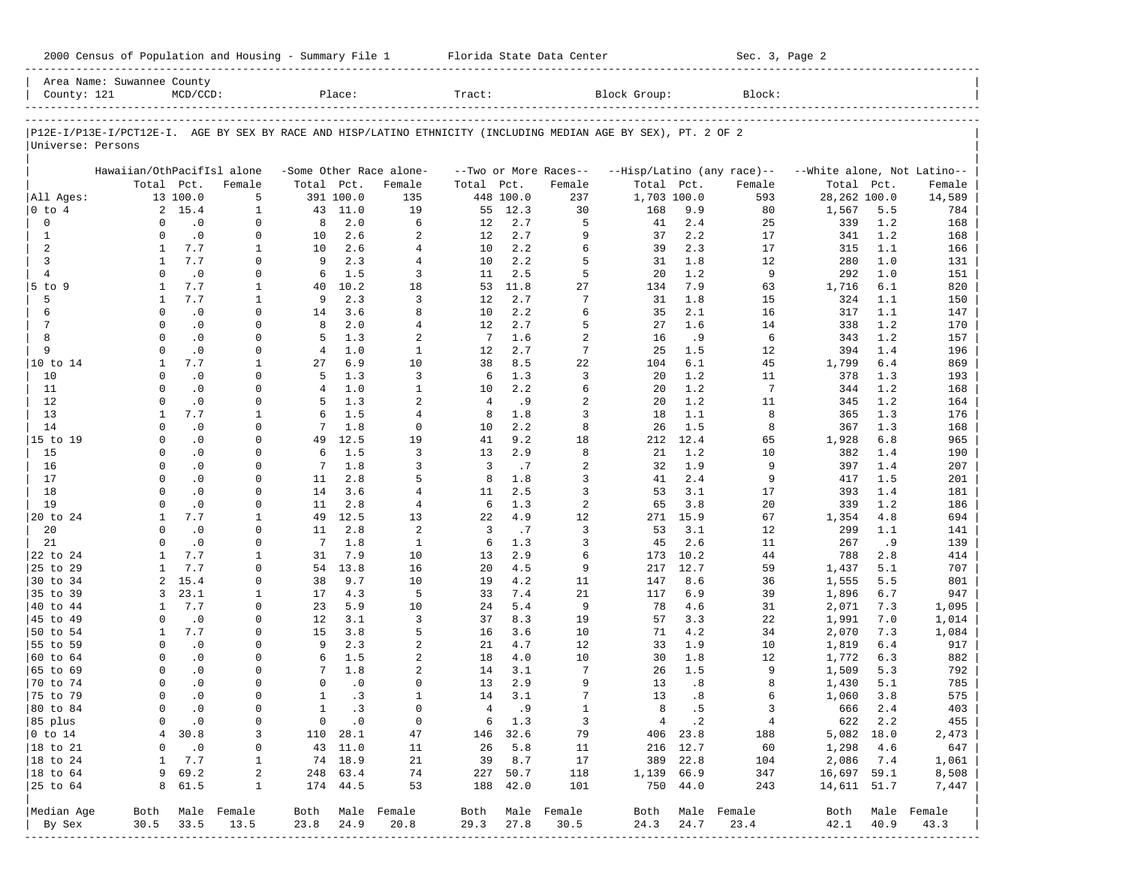| 2000 Census of Population and Housing - Summary File 1 |  | Florida State Data Center | Sec. 3, Page 2 |
|--------------------------------------------------------|--|---------------------------|----------------|
|--------------------------------------------------------|--|---------------------------|----------------|

|                      | Area Name: Suwannee County                                                                                     |             |                  |                |               |                         |                 |               |                       |              |          |                            |                             |       |                  |
|----------------------|----------------------------------------------------------------------------------------------------------------|-------------|------------------|----------------|---------------|-------------------------|-----------------|---------------|-----------------------|--------------|----------|----------------------------|-----------------------------|-------|------------------|
| County: 121          |                                                                                                                | $MCD/CCD$ : |                  |                | Place:        |                         | Tract:          |               |                       | Block Group: |          | Block:                     |                             |       |                  |
|                      | P12E-I/P13E-I/PCT12E-I. AGE BY SEX BY RACE AND HISP/LATINO ETHNICITY (INCLUDING MEDIAN AGE BY SEX), PT. 2 OF 2 |             |                  |                |               |                         |                 |               |                       |              |          |                            |                             |       |                  |
| Universe: Persons    |                                                                                                                |             |                  |                |               |                         |                 |               |                       |              |          |                            |                             |       |                  |
|                      | Hawaiian/OthPacifIsl alone                                                                                     |             |                  |                |               | -Some Other Race alone- |                 |               | --Two or More Races-- |              |          | --Hisp/Latino (any race)-- | --White alone, Not Latino-- |       |                  |
|                      |                                                                                                                | Total Pct.  | Female           | Total Pct.     |               | Female                  | Total Pct.      |               | Female                | Total Pct.   |          | Female                     | Total                       | Pct.  | Female           |
| All Ages:            |                                                                                                                | 13 100.0    | 5                |                | 391 100.0     | 135                     |                 | 448 100.0     | 237                   | 1,703 100.0  |          | 593                        | 28,262 100.0                |       | 14,589           |
| 0 to 4               |                                                                                                                | 2, 15.4     | $\mathbf{1}$     |                | 43 11.0       | 19                      | 55              | 12.3          | 30                    | 168          | 9.9      | 80                         | 1,567                       | 5.5   | 784              |
| $\mathbf 0$          | $\Omega$                                                                                                       | $\cdot$ 0   | $\mathbf 0$      | 8              | 2.0           | 6                       | 12              | 2.7           | 5                     | 41           | 2.4      | 25                         | 339                         | 1.2   | 168              |
| $\mathbf{1}$         | $\Omega$                                                                                                       | $\cdot$ 0   | $\Omega$         | 10             | 2.6           | 2                       | 12              | 2.7           | 9                     | 37           | 2.2      | 17                         | 341                         | 1.2   | 168              |
| 2                    | $\mathbf{1}$                                                                                                   | 7.7         | $\mathbf{1}$     | 10             | 2.6           | $\overline{4}$          | 10              | 2.2           | 6                     | 39           | 2.3      | 17                         | 315                         | 1.1   | 166              |
| 3                    | 1                                                                                                              | 7.7         | $\mathbf 0$      | 9              | 2.3           | $\overline{4}$          | 10              | 2.2           | 5                     | 31           | 1.8      | 12                         | 280                         | 1.0   | 131              |
| $\overline{4}$       | $\Omega$                                                                                                       | $\cdot$ 0   | 0                | 6              | 1.5           | 3                       | 11              | 2.5           | 5                     | 20           | 1.2      | 9                          | 292                         | 1.0   | 151              |
| 5 to 9               | 1                                                                                                              | 7.7         | 1                | 40             | 10.2          | 18                      | 53              | 11.8          | 27                    | 134          | 7.9      | 63                         | 1,716                       | 6.1   | 820              |
| 5                    | $\mathbf{1}$                                                                                                   | 7.7         | 1                | 9              | 2.3           | 3                       | 12              | 2.7           | $\overline{7}$        | 31           | 1.8      | 15                         | 324                         | 1.1   | 150              |
| 6                    | $\Omega$                                                                                                       | $\cdot$ 0   | 0                | 14             | 3.6           | 8                       | 10              | 2.2           | 6                     | 35           | 2.1      | 16                         | 317                         | 1.1   | 147              |
| 7                    | $\Omega$                                                                                                       | $\cdot$ 0   | 0                | 8              | 2.0           | $\overline{4}$          | 12              | 2.7           | 5                     | 27           | 1.6      | 14                         | 338                         | 1.2   | 170              |
| 8                    | $\Omega$                                                                                                       | $\cdot$ 0   | $\Omega$         | 5              | 1.3           | $\overline{a}$          | $7\phantom{.0}$ | 1.6           | $\overline{2}$        | 16           | .9       | 6                          | 343                         | 1.2   | 157              |
| 9                    | $\Omega$                                                                                                       | $\cdot$ 0   | 0                | $\overline{4}$ | 1.0           | $\mathbf{1}$            | 12              | 2.7           | 7                     | 25           | 1.5      | 12                         | 394                         | 1.4   | 196              |
| 10 to 14             | 1                                                                                                              | 7.7         | 1                | 27             | 6.9           | 10                      | 38              | 8.5           | 22                    | 104          | 6.1      | 45                         | 1,799                       | $6.4$ | 869              |
| 10                   | $\Omega$                                                                                                       | $\cdot$ 0   | $\mathbf 0$      | 5              | 1.3           | $\overline{3}$          | 6               | 1.3           | 3                     | 20           | 1.2      | 11                         | 378                         | 1.3   | 193              |
| 11                   | $\Omega$                                                                                                       | $\cdot$ 0   | $\Omega$         | $\overline{4}$ | 1.0           | $\mathbf{1}$            | 10              | 2.2           | 6                     | 20           | 1.2      | $7\phantom{.0}$            | 344                         | 1.2   | 168              |
| 12                   | $\Omega$                                                                                                       | $\cdot$ 0   | $\mathbf 0$      | 5              | 1.3           | $\overline{a}$          | $\overline{4}$  | .9            | $\overline{2}$        | 20           | 1.2      | 11                         | 345                         | 1.2   | 164              |
| 13                   | 1                                                                                                              | 7.7         | 1                | 6              | 1.5           | $\overline{4}$          | 8               | 1.8           | 3                     | 18           | 1.1      | 8                          | 365                         | 1.3   | 176              |
| 14                   | $\Omega$                                                                                                       | $\cdot$ 0   | $\Omega$         | 7              | 1.8           | $\Omega$                | 10              | 2.2           | 8                     | 26           | 1.5      | 8                          | 367                         | 1.3   | 168              |
| 15 to 19             | $\Omega$                                                                                                       | $\cdot$ 0   | $\Omega$         | 49             | 12.5          | 19                      | 41              | 9.2           | 18                    | 212          | 12.4     | 65                         | 1,928                       | 6.8   | 965              |
| 15                   | $\Omega$                                                                                                       | $\cdot$ 0   | $\Omega$         | 6              | 1.5           | $\overline{3}$          | 13              | 2.9           | 8                     | 21           | 1.2      | 10                         | 382                         | 1.4   | 190              |
| 16                   | $\Omega$                                                                                                       | $\cdot$ 0   | $\Omega$         | 7              | 1.8           | 3                       | 3               | .7            | $\overline{2}$        | 32           | 1.9      | 9                          | 397                         | 1.4   | 207              |
| 17                   | $\Omega$                                                                                                       | $\cdot$ 0   | $\mathbf 0$      | 11             | 2.8           | 5                       | 8               | 1.8           | 3                     | 41           | 2.4      | 9                          | 417                         | 1.5   | 201              |
| 18                   | $\Omega$                                                                                                       | $\cdot$ 0   | $\Omega$         | 14             | 3.6           | $\overline{4}$          | 11              | 2.5           | 3                     | 53           | 3.1      | 17                         | 393                         | 1.4   | 181              |
| 19                   | $\Omega$                                                                                                       | $\cdot$ 0   | $\mathbf 0$      | 11             | 2.8           | $\overline{4}$          | 6               | 1.3           | 2                     | 65           | 3.8      | 20                         | 339                         | 1.2   | 186              |
| 20 to 24             | 1                                                                                                              | 7.7         | 1                | 49             | 12.5          | 13                      | 22              | 4.9           | 12                    | 271          | 15.9     | 67                         | 1,354                       | 4.8   | 694              |
| 20                   | $\Omega$                                                                                                       | $\cdot$ 0   | $\mathbf 0$      | 11             | 2.8           | 2                       | 3               | .7            | 3                     | 53           | 3.1      | 12                         | 299                         | 1.1   | 141              |
| 21                   | $\Omega$                                                                                                       | $\cdot$ 0   | $\Omega$         | 7              | 1.8           | $\mathbf{1}$            | 6               | 1.3           | 3                     | 45           | 2.6      | 11                         | 267                         | .9    | 139              |
| 22 to 24             | 1                                                                                                              | 7.7         | $\mathbf{1}$     | 31             | 7.9           | 10                      | 13              | 2.9           | 6                     | 173          | 10.2     | 44                         | 788                         | 2.8   | 414              |
| 25 to 29             | 1                                                                                                              | 7.7         | $\Omega$         | 54             | 13.8          | 16                      | 20              | 4.5           | 9                     | 217          | 12.7     | 59                         | 1,437                       | 5.1   | 707              |
| 30 to 34             | 2                                                                                                              | 15.4        | 0                | 38             | 9.7           | 10                      | 19              | 4.2           | 11                    | 147          | 8.6      | 36                         | 1,555                       | 5.5   | 801              |
| 35 to 39             | 3                                                                                                              | 23.1        | 1                | 17             | 4.3           | 5                       | 33              | 7.4           | 21                    | 117          | 6.9      | 39                         | 1,896                       | 6.7   | 947              |
| 40 to 44             | $\mathbf{1}$                                                                                                   | 7.7         | 0                | 23             | 5.9           | 10                      | 24              | 5.4           | 9                     | 78           | 4.6      | 31                         | 2,071                       | 7.3   | 1,095            |
| 45 to 49             | $\Omega$                                                                                                       | $\cdot$ 0   | $\Omega$         | 12             | 3.1           | 3                       | 37              | 8.3           | 19                    | 57           | 3.3      | 22                         | 1,991                       | 7.0   | 1,014            |
| 50 to 54             | 1                                                                                                              | 7.7         | $\mathbf 0$      | 15             | 3.8           | 5                       | 16              | 3.6           | 10                    | 71           | 4.2      | 34                         | 2,070                       | 7.3   | 1,084            |
| 55 to 59             | $\Omega$                                                                                                       | $\cdot$ 0   | $\Omega$         | 9              | 2.3           | $\overline{a}$          | 21              | 4.7           | 12                    | 33           | 1.9      | 10                         | 1,819                       | 6.4   | 917              |
| 60 to 64             | $\Omega$                                                                                                       | $\cdot$ 0   | 0                | 6              | 1.5           | $\overline{a}$          | 18              | 4.0           | 10                    | 30           | 1.8      | 12                         | 1,772                       | 6.3   | 882              |
| 65 to 69             | $\Omega$                                                                                                       | $\cdot$ 0   | $\Omega$         | 7              | 1.8           | $\overline{a}$          | 14              | 3.1           | 7                     | 26           | 1.5      | 9                          | 1,509                       | 5.3   | 792              |
| 70 to 74             | $\Omega$                                                                                                       | $\cdot$ 0   | 0                | $\Omega$       | $\cdot$ 0     | $\Omega$                | 13              | 2.9           | 9                     | 13           | .8       | 8                          | 1,430                       | 5.1   | 785              |
| 75 to 79             | $\Omega$                                                                                                       | $\cdot$ 0   | $\Omega$         | $\mathbf{1}$   | .3            | $\mathbf{1}$            | 14              | 3.1           | 7                     | 13           | .8       | 6                          | 1,060                       | 3.8   | 575              |
| 80 to 84             | $\Omega$                                                                                                       | $\cdot$ 0   | $\mathbf 0$      | $\mathbf{1}$   | . 3           | $\Omega$                | $\overline{4}$  | . 9           | $\mathbf{1}$          | 8            | .5       | 3                          | 666                         | 2.4   | 403              |
| 85 plus              | 0                                                                                                              | $\cdot$ 0   | 0                |                | $0 \qquad .0$ | $\circ$                 |                 | $6 \quad 1.3$ | 3                     |              | 4.2      | 4                          | 622 2.2                     |       | 455              |
| $ 0 \t{to} 14$       |                                                                                                                | 4 30.8      | 3                |                | 110 28.1      | 47                      |                 | 146 32.6      | 79                    |              | 406 23.8 | 188                        | 5,082 18.0                  |       | 2,473            |
| $ 18 \text{ to } 21$ | 0                                                                                                              | $\cdot$ 0   | 0                |                | 43 11.0       | 11                      |                 | 26 5.8        | 11                    |              | 216 12.7 | 60                         | 1,298                       | 4.6   | 647              |
| $ 18 \text{ to } 24$ | 1                                                                                                              | 7.7         | $\mathbf{1}$     |                | 74 18.9       | 21                      |                 | 39 8.7        | 17                    |              | 389 22.8 | 104                        | 2,086 7.4                   |       | 1,061            |
| $ 18 \text{ to } 64$ |                                                                                                                | 969.2       | 2                |                | 248 63.4      | 74                      |                 | 227 50.7      | 118                   | 1,139 66.9   |          | 347                        | 16,697 59.1                 |       | 8,508            |
| $ 25$ to $64$        |                                                                                                                | 8 61.5      | $\mathbf{1}$     |                | 174 44.5      | 53                      |                 | 188 42.0      | 101                   |              | 750 44.0 | 243                        | 14,611 51.7                 |       | 7,447            |
| Median Age           |                                                                                                                |             | Both Male Female |                |               | Both Male Female        |                 |               | Both Male Female      |              |          | Both Male Female           |                             |       | Both Male Female |
| By Sex               | 30.5                                                                                                           | 33.5        | 13.5             | 23.8           | 24.9          | 20.8                    | 29.3            | 27.8          | 30.5                  | 24.3         | 24.7     | 23.4                       | 42.1                        | 40.9  | 43.3             |
|                      |                                                                                                                |             |                  |                |               |                         |                 |               |                       |              |          |                            |                             |       |                  |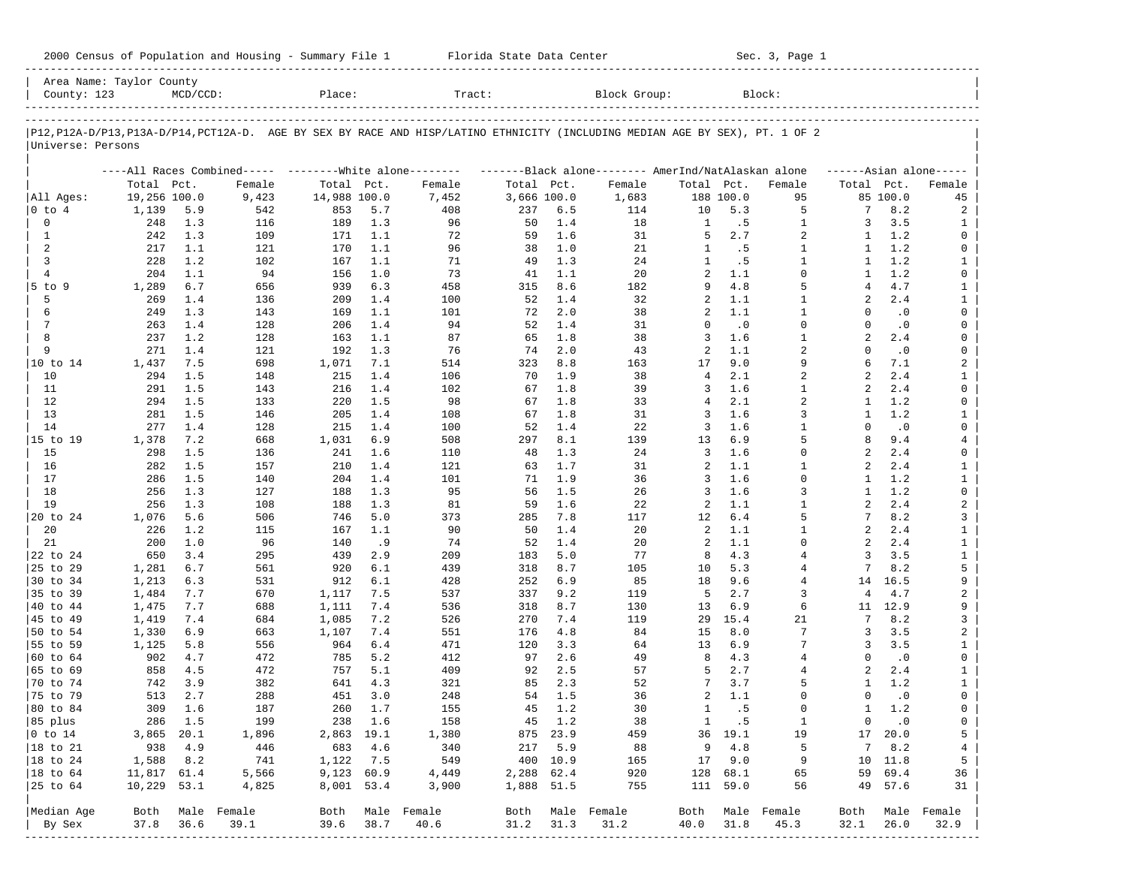| 2000 Census of Population and Housing - Summary File 1 |  | Florida State Data Center | Sec. 3, Page 1 |
|--------------------------------------------------------|--|---------------------------|----------------|
|--------------------------------------------------------|--|---------------------------|----------------|

| Area Name: Taylor County<br>County: 123 |               | $MCD/CCD$ : |                                                         | Place:       |         | Tract:                                                                                                                     |             |          | Block Group:                                        |                |           | Block:           |                     |               |                |
|-----------------------------------------|---------------|-------------|---------------------------------------------------------|--------------|---------|----------------------------------------------------------------------------------------------------------------------------|-------------|----------|-----------------------------------------------------|----------------|-----------|------------------|---------------------|---------------|----------------|
|                                         |               |             |                                                         |              |         |                                                                                                                            |             |          |                                                     |                |           |                  |                     |               |                |
| Universe: Persons                       |               |             |                                                         |              |         | P12,P12A-D/P13,P13A-D/P14,PCT12A-D. AGE BY SEX BY RACE AND HISP/LATINO ETHNICITY (INCLUDING MEDIAN AGE BY SEX), PT. 1 OF 2 |             |          |                                                     |                |           |                  |                     |               |                |
|                                         |               |             | ----All Races Combined----- --------White alone-------- |              |         |                                                                                                                            |             |          | -------Black alone-------- AmerInd/NatAlaskan alone |                |           |                  | $---Asian alone---$ |               |                |
|                                         | Total Pct.    |             | Female                                                  | Total Pct.   |         | Female                                                                                                                     | Total Pct.  |          | Female                                              | Total Pct.     |           | Female           | Total Pct.          |               | Female         |
| All Ages:                               | 19,256 100.0  |             | 9,423                                                   | 14,988 100.0 |         | 7,452                                                                                                                      | 3,666 100.0 |          | 1,683                                               |                | 188 100.0 | 95               |                     | 85 100.0      | 45             |
| 0 to 4                                  | 1,139         | 5.9         | 542                                                     | 853          | 5.7     | 408                                                                                                                        | 237         | 6.5      | 114                                                 | 10             | 5.3       | 5                | 7                   | 8.2           | 2              |
| 0                                       | 248           | 1.3         | 116                                                     | 189          | 1.3     | 96                                                                                                                         | 50          | 1.4      | 18                                                  | $\mathbf{1}$   | .5        | $\mathbf{1}$     | 3                   | 3.5           | 1              |
| 1                                       | 242           | 1.3         | 109                                                     | 171          | 1.1     | 72                                                                                                                         | 59          | 1.6      | 31                                                  | 5              | 2.7       | 2                | 1                   | 1.2           | 0              |
| 2                                       | 217           | 1.1         | 121                                                     | 170          | 1.1     | 96                                                                                                                         | 38          | 1.0      | 21                                                  | 1              | .5        | $\mathbf{1}$     | 1                   | 1.2           | 0              |
| 3                                       | 228           | 1.2         | 102                                                     | 167          | 1.1     | 71                                                                                                                         | 49          | 1.3      | 24                                                  | $\mathbf{1}$   | .5        | $\mathbf{1}$     | 1                   | 1.2           | $\mathbf{1}$   |
| $\overline{4}$                          | 204           | 1.1         | 94                                                      | 156          | 1.0     | 73                                                                                                                         | 41          | 1.1      | 20                                                  | $\overline{a}$ | 1.1       | $\Omega$         | -1                  | 1.2           | 0              |
| $5$ to $9$                              | 1,289         | $6.7$       | 656                                                     | 939          | 6.3     | 458                                                                                                                        | 315         | 8.6      | 182                                                 | 9              | 4.8       | 5                | 4                   | 4.7           | $\mathbf{1}$   |
| 5                                       | 269           | 1.4         | 136                                                     | 209          | 1.4     | 100                                                                                                                        | 52          | 1.4      | 32                                                  | 2              | 1.1       | $\mathbf{1}$     | $\overline{a}$      | 2.4           | $\mathbf{1}$   |
| 6                                       | 249           | 1.3         | 143                                                     | 169          | 1.1     | 101                                                                                                                        | 72          | 2.0      | 38                                                  | 2              | 1.1       | 1                | $\Omega$            | $\cdot$ 0     | 0              |
| 7                                       | 263           | 1.4         | 128                                                     | 206          | 1.4     | 94                                                                                                                         | 52          | 1.4      | 31                                                  | $\Omega$       | $\cdot$ 0 | $\mathbf 0$      | $\Omega$            | $\cdot$ 0     | 0              |
| 8                                       | 237           | 1.2         | 128                                                     | 163          | 1.1     | 87                                                                                                                         | 65          | 1.8      | 38                                                  | 3              | 1.6       | $\mathbf{1}$     | $\overline{a}$      | 2.4           | 0              |
| 9                                       | 271           | 1.4         | 121                                                     | 192          | 1.3     | 76                                                                                                                         | 74          | 2.0      | 43                                                  | 2              | 1.1       | $\overline{a}$   | $\Omega$            | $\cdot$ 0     | 0              |
| 10 to 14                                | 1,437         | 7.5         | 698                                                     | 1,071        | 7.1     | 514                                                                                                                        | 323         | 8.8      | 163                                                 | 17             | 9.0       | 9                | 6                   | 7.1           | 2              |
| 10                                      | 294           | 1.5         | 148                                                     | 215          | 1.4     | 106                                                                                                                        | 70          | 1.9      | 38                                                  | 4              | 2.1       | $\overline{a}$   | $\overline{a}$      | 2.4           | $\mathbf{1}$   |
| 11                                      | 291           | 1.5         | 143                                                     | 216          | 1.4     | 102                                                                                                                        | 67          | 1.8      | 39                                                  | 3              | 1.6       | 1                | 2                   | 2.4           | 0              |
| 12                                      | 294           | 1.5         | 133                                                     | 220          | 1.5     | 98                                                                                                                         | 67          | 1.8      | 33                                                  | 4              | 2.1       | $\overline{a}$   | 1                   | 1.2           | 0              |
| 13                                      | 281           | 1.5         | 146                                                     | 205          | 1.4     | 108                                                                                                                        | 67          | 1.8      | 31                                                  | 3              | 1.6       | 3                | 1                   | 1.2           | $\mathbf{1}$   |
| 14                                      | 277           | 1.4         | 128                                                     | 215          | 1.4     | 100                                                                                                                        | 52          | 1.4      | 22                                                  | 3              | 1.6       | $\mathbf{1}$     | $\Omega$            | $\cdot$ 0     | 0              |
| 15 to 19                                | 1,378         | 7.2         | 668                                                     | 1,031        | 6.9     | 508                                                                                                                        | 297         | 8.1      | 139                                                 | 13             | 6.9       | 5                | 8                   | 9.4           | $\overline{4}$ |
| 15                                      | 298           | 1.5         | 136                                                     | 241          | 1.6     | 110                                                                                                                        | 48          | 1.3      | 24                                                  | 3              | 1.6       | $\mathbf 0$      | 2                   | 2.4           | 0              |
| 16                                      | 282           | 1.5         | 157                                                     | 210          | 1.4     | 121                                                                                                                        | 63          | 1.7      | 31                                                  | 2              | 1.1       | 1                | 2                   | 2.4           | $\mathbf{1}$   |
| 17                                      | 286           | 1.5         | 140                                                     | 204          | 1.4     | 101                                                                                                                        | 71          | 1.9      | 36                                                  | 3              | 1.6       | $\Omega$         | 1                   | 1.2           | $\mathbf{1}$   |
| 18                                      | 256           | 1.3         | 127                                                     | 188          | 1.3     | 95                                                                                                                         | 56          | 1.5      | 26                                                  | 3              | 1.6       | 3                | 1                   | 1.2           | $\mathsf{O}$   |
| 19                                      | 256           | 1.3         | 108                                                     | 188          | 1.3     | 81                                                                                                                         | 59          | 1.6      | 22                                                  | 2              | 1.1       | $\mathbf{1}$     | $\overline{a}$      | 2.4           | $\overline{a}$ |
| 20 to 24                                | 1,076         | 5.6         | 506                                                     | 746          | 5.0     | 373                                                                                                                        | 285         | 7.8      | 117                                                 | 12             | $6.4$     | 5                | 7                   | 8.2           | 3              |
| 20                                      | 226           | 1.2         | 115                                                     | 167          | 1.1     | 90                                                                                                                         | 50          | 1.4      | 20                                                  | 2              | 1.1       | $\mathbf{1}$     | $\overline{a}$      | 2.4           | $\mathbf{1}$   |
| 21                                      | 200           | 1.0         | 96                                                      | 140          | .9      | 74                                                                                                                         | 52          | 1.4      | 20                                                  | 2              | 1.1       | $\Omega$         | $\overline{a}$      | 2.4           | $\mathbf{1}$   |
| 22 to 24                                | 650           | 3.4         | 295                                                     | 439          | 2.9     | 209                                                                                                                        | 183         | 5.0      | 77                                                  | 8              | 4.3       | $\overline{4}$   | 3                   | 3.5           | $\mathbf{1}$   |
| 25 to 29                                | 1,281         | 6.7         | 561                                                     | 920          | 6.1     | 439                                                                                                                        | 318         | 8.7      | 105                                                 | 10             | 5.3       | 4                | 7                   | 8.2           | 5              |
|                                         |               |             |                                                         |              |         |                                                                                                                            |             |          |                                                     |                |           | $\overline{4}$   |                     |               |                |
| 30 to 34                                | 1,213         | 6.3         | 531                                                     | 912          | 6.1     | 428                                                                                                                        | 252         | 6.9      | 85                                                  | 18<br>5        | 9.6       | 3                | 14<br>4             | 16.5          | 9              |
| 35 to 39                                | 1,484         | 7.7         | 670                                                     | 1,117        | 7.5     | 537                                                                                                                        | 337         | 9.2      | 119                                                 |                | 2.7       |                  |                     | 4.7           | 2              |
| 40 to 44                                | 1,475         | 7.7         | 688                                                     | 1,111        | 7.4     | 536                                                                                                                        | 318         | 8.7      | 130                                                 | 13             | 6.9       | 6                | 11                  | 12.9          | 9              |
| 45 to 49                                | 1,419         | 7.4         | 684                                                     | 1,085        | 7.2     | 526                                                                                                                        | 270         | 7.4      | 119                                                 | 29             | 15.4      | 21               | 7                   | 8.2           | 3              |
| 50 to 54                                | 1,330         | 6.9         | 663                                                     | 1,107        | 7.4     | 551                                                                                                                        | 176         | 4.8      | 84                                                  | 15             | 8.0       | 7                | 3                   | 3.5           | 2              |
| 55 to 59                                | 1,125         | 5.8         | 556                                                     | 964          | 6.4     | 471                                                                                                                        | 120         | 3.3      | 64                                                  | 13             | 6.9       | 7                | 3                   | 3.5           | $\mathbf{1}$   |
| 60 to 64                                | 902           | 4.7         | 472                                                     | 785          | 5.2     | 412                                                                                                                        | 97          | 2.6      | 49                                                  | 8              | 4.3       | $\overline{4}$   | $\Omega$            | $\cdot$ 0     | 0              |
| 65 to 69                                | 858           | 4.5         | 472                                                     | 757          | 5.1     | 409                                                                                                                        | 92          | 2.5      | 57                                                  | 5              | 2.7       | 4                | 2                   | 2.4           | $\mathbf{1}$   |
| 70 to 74                                | 742           | 3.9         | 382                                                     | 641          | 4.3     | 321                                                                                                                        | 85          | 2.3      | 52                                                  | 7              | 3.7       | 5                | -1                  | 1.2           | $\mathbf{1}$   |
| 75 to 79                                | 513           | 2.7         | 288                                                     | 451          | 3.0     | 248                                                                                                                        | 54          | 1.5      | 36                                                  | 2              | 1.1       | $\Omega$         | $\Omega$            | $\cdot$ 0     | 0              |
| 80 to 84                                | 309           | 1.6         | 187                                                     | 260          | 1.7     | 155                                                                                                                        | 45          | 1.2      | 30                                                  | 1              | . 5       | $\Omega$         | 1                   | 1.2           | 0              |
| 85 plus                                 |               | 286 1.5     | 199                                                     |              | 238 1.6 | 158                                                                                                                        |             | 45 1.2   | 38                                                  |                | 1 .5      | $\mathbf{1}$     |                     | $0 \qquad .0$ | 0              |
| $ 0 \t\t \tto 14$                       | 3,865 20.1    |             | 1,896                                                   | 2,863 19.1   |         | 1,380                                                                                                                      |             | 875 23.9 | 459                                                 |                | 36 19.1   | 19               |                     | 17 20.0       | 5              |
| 18 to 21                                | 938           | 4.9         | 446                                                     | 683          | 4.6     | 340                                                                                                                        |             | 217 5.9  | 88                                                  | 9              | 4.8       | 5                | 7                   | 8.2           | $\overline{4}$ |
| $ 18$ to $24$                           | 1,588         | 8.2         | 741                                                     | 1,122 7.5    |         | 549                                                                                                                        |             | 400 10.9 | 165                                                 |                | 17 9.0    | 9                |                     | 10 11.8       | 5              |
| 18 to 64                                | 11,817 61.4   |             | 5,566                                                   | 9,123 60.9   |         | 4,449                                                                                                                      | 2,288 62.4  |          | 920                                                 |                | 128 68.1  | 65               |                     | 59 69.4       | 36             |
| 25 to 64                                | $10,229$ 53.1 |             | 4,825                                                   | 8,001 53.4   |         | 3,900                                                                                                                      | 1,888 51.5  |          | 755                                                 |                | 111 59.0  | 56               |                     | 49 57.6       | 31             |
| Median Age                              |               |             | Both Male Female                                        |              |         | Both Male Female                                                                                                           |             |          | Both Male Female                                    |                |           | Both Male Female | Both                |               | Male Female    |
| By Sex                                  | 37.8          | 36.6        | 39.1                                                    | 39.6         | 38.7    | 40.6                                                                                                                       | 31.2        | 31.3     | 31.2                                                | 40.0           | 31.8      | 45.3             | 32.1                | 26.0          | 32.9           |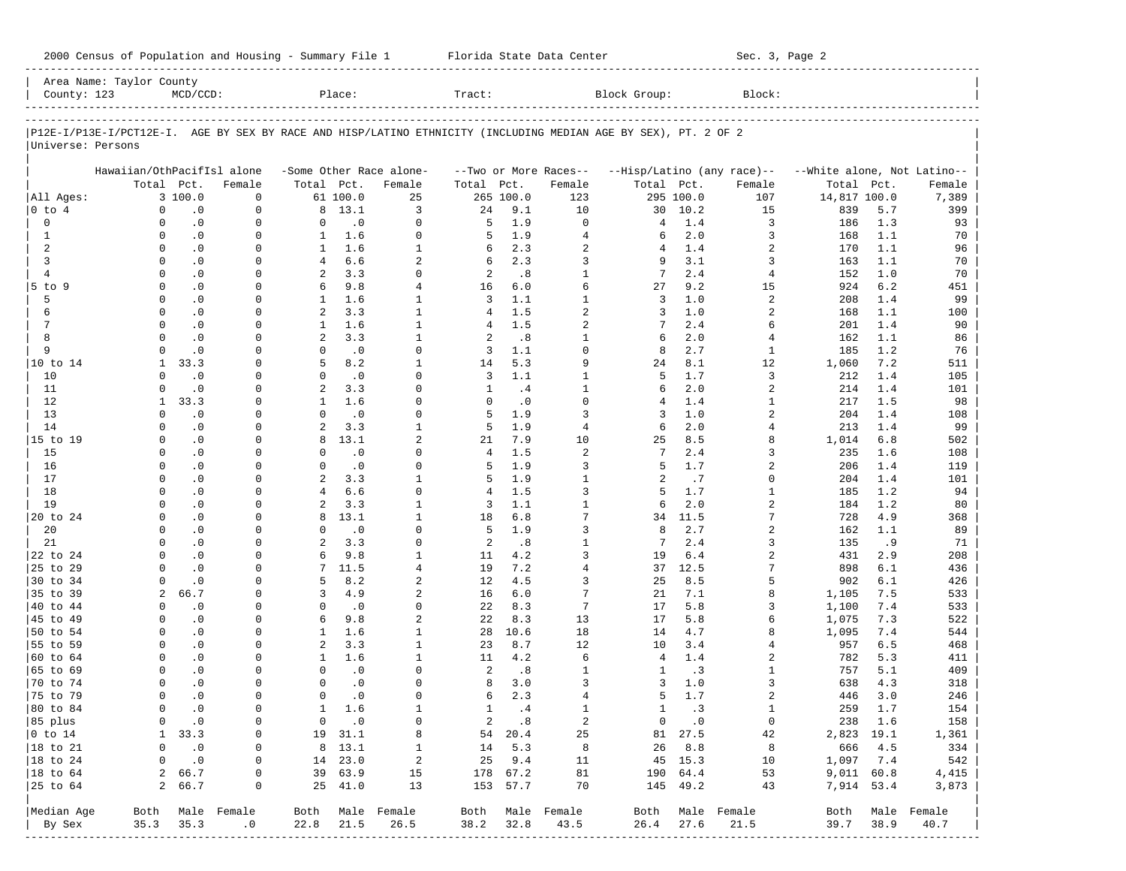2000 Census of Population and Housing - Summary File 1 Telorida State Data Center Sec. 3, Page 2

| County: 123               | Area Name: Taylor County                                                                                       | $MCD/CCD$ :                 |                        |                              | Place:               |                          | Tract:              |                 |                                  | Block Group:        |                          | Block:                         |                             |            |                               |
|---------------------------|----------------------------------------------------------------------------------------------------------------|-----------------------------|------------------------|------------------------------|----------------------|--------------------------|---------------------|-----------------|----------------------------------|---------------------|--------------------------|--------------------------------|-----------------------------|------------|-------------------------------|
|                           |                                                                                                                |                             |                        |                              |                      |                          |                     |                 |                                  |                     |                          |                                |                             |            |                               |
|                           | P12E-I/P13E-I/PCT12E-I. AGE BY SEX BY RACE AND HISP/LATINO ETHNICITY (INCLUDING MEDIAN AGE BY SEX), PT. 2 OF 2 |                             |                        |                              |                      |                          |                     |                 |                                  |                     |                          |                                |                             |            |                               |
| Universe: Persons         |                                                                                                                |                             |                        |                              |                      |                          |                     |                 |                                  |                     |                          |                                |                             |            |                               |
|                           | Hawaiian/OthPacifIsl alone                                                                                     |                             |                        |                              |                      | -Some Other Race alone-  |                     |                 | --Two or More Races--            |                     |                          | --Hisp/Latino (any race)--     | --White alone, Not Latino-- |            |                               |
|                           |                                                                                                                | Total Pct.                  | Female                 | Total Pct.                   |                      | Female                   | Total               | Pct.            | Female                           | Total Pct.          |                          | Female                         | Total                       | Pct.       | Female                        |
| All Ages:                 |                                                                                                                | 3 100.0                     | $\mathbf 0$            |                              | 61 100.0             | 25                       |                     | 265 100.0       | 123                              |                     | 295 100.0                | 107                            | 14,817 100.0                |            | 7,389                         |
| $0$ to $4$                | $\mathbf 0$                                                                                                    | $\cdot$ 0                   | $\mathbf 0$            | 8                            | 13.1                 | 3                        | 24                  | 9.1             | 10                               | 30                  | 10.2                     | 15                             | 839                         | 5.7        | 399                           |
| 0                         | $\Omega$                                                                                                       | $\cdot$ 0                   | $\mathbf 0$            | 0                            | $\cdot$ 0            | $\Omega$                 | 5                   | 1.9             | $\Omega$                         | 4                   | 1.4                      | 3                              | 186                         | 1.3        | 93                            |
| 1<br>2                    | $\Omega$<br>$\Omega$                                                                                           | $\cdot$ 0                   | $\mathbf 0$            | $\mathbf{1}$<br>$\mathbf{1}$ | 1.6<br>1.6           | $\Omega$<br>$\mathbf{1}$ | 5                   | 1.9<br>2.3      | $\overline{4}$<br>$\overline{2}$ | 6<br>$\overline{4}$ | 2.0                      | 3                              | 168                         | 1.1<br>1.1 | 70                            |
| 3                         | $\Omega$                                                                                                       | $\cdot$ 0<br>$\cdot$ 0      | 0<br>$\Omega$          | $\overline{4}$               | 6.6                  | 2                        | 6<br>6              | 2.3             | 3                                | 9                   | 1.4<br>3.1               | 2<br>3                         | 170<br>163                  | 1.1        | 96<br>70                      |
| $\overline{4}$            | $\Omega$                                                                                                       | $\cdot$ 0                   | 0                      | 2                            | 3.3                  | $\Omega$                 | $\overline{c}$      | .8              | $\mathbf{1}$                     | 7                   | 2.4                      | 4                              | 152                         | 1.0        | 70                            |
| 5 to 9                    | $\Omega$                                                                                                       | $\cdot$ 0                   | $\Omega$               | 6                            | 9.8                  | 4                        | 16                  | 6.0             | 6                                | 27                  | 9.2                      | 15                             | 924                         | 6.2        | 451                           |
| 5                         | $\Omega$                                                                                                       | $\cdot$ 0                   | $\Omega$               | $\mathbf{1}$                 | 1.6                  | $\mathbf{1}$             | 3                   | 1.1             | $\mathbf{1}$                     | 3                   | 1.0                      | 2                              | 208                         | 1.4        | 99                            |
| 6                         | $\Omega$                                                                                                       | $\cdot$ 0                   | $\Omega$               | $\overline{a}$               | 3.3                  | $\mathbf{1}$             | 4                   | 1.5             | $\overline{2}$                   | 3                   | 1.0                      | 2                              | 168                         | 1.1        | 100                           |
| 7                         | $\Omega$                                                                                                       | $\cdot$ 0                   | $\Omega$               | $\mathbf{1}$                 | 1.6                  | $\mathbf{1}$             | 4                   | 1.5             | $\overline{2}$                   | 7                   | 2.4                      | 6                              | 201                         | 1.4        | 90                            |
| 8                         | $\Omega$                                                                                                       | $\cdot$ 0                   | $\Omega$               | $\overline{a}$               | 3.3                  | $\mathbf{1}$             | 2                   | .8              | $\mathbf{1}$                     | 6                   | 2.0                      | 4                              | 162                         | 1.1        | 86                            |
| 9                         | $\Omega$                                                                                                       | $\cdot$ 0                   | 0                      | $\mathbf 0$                  | $\cdot$ 0            | $\Omega$                 | 3                   | 1.1             | $\Omega$                         | 8                   | 2.7                      | $\mathbf{1}$                   | 185                         | 1.2        | 76                            |
| 10 to 14                  | 1                                                                                                              | 33.3                        | U                      | 5                            | 8.2                  | $\mathbf{1}$             | 14                  | 5.3             | 9                                | 24                  | 8.1                      | 12                             | 1,060                       | 7.2        | 511                           |
| 10                        | $\Omega$                                                                                                       | $\cdot$ 0                   | 0                      | $\Omega$                     | $\cdot$ 0            | $\Omega$                 | 3                   | 1.1             | $\mathbf{1}$                     | 5                   | 1.7                      | 3                              | 212                         | 1.4        | 105                           |
| 11                        | $\Omega$                                                                                                       | $\cdot$ 0                   | $\Omega$               | $\overline{a}$               | 3.3                  | $\Omega$                 | 1                   | .4              | $\mathbf{1}$                     | 6                   | 2.0                      | 2                              | 214                         | 1.4        | 101                           |
| 12                        | $\mathbf{1}$                                                                                                   | 33.3                        | 0                      | $\mathbf{1}$                 | 1.6                  | $\Omega$                 | $\Omega$            | $\cdot$ 0       | $\Omega$                         | $\overline{4}$      | 1.4                      | 1                              | 217                         | 1.5        | 98                            |
| 13                        | $\Omega$                                                                                                       | $\cdot$ 0                   | $\Omega$               | $\Omega$                     | $\cdot$ 0            | $\Omega$                 | 5                   | 1.9             | 3                                | 3                   | 1.0                      | 2                              | 204                         | 1.4        | 108                           |
| 14                        | $\Omega$                                                                                                       | $\cdot$ 0                   | $\Omega$               | $\overline{a}$               | 3.3                  | $\mathbf{1}$             | 5                   | 1.9             | $\overline{4}$                   | 6                   | 2.0                      | 4                              | 213                         | 1.4        | 99                            |
| 15 to 19                  | $\Omega$                                                                                                       | $\cdot$ 0                   | $\Omega$               | 8                            | 13.1                 | $\overline{a}$           | 21                  | 7.9             | 10                               | 25                  | 8.5                      | 8                              | 1,014                       | 6.8        | 502                           |
| 15                        | $\Omega$                                                                                                       | $\cdot$ 0                   | U                      | $\Omega$                     | $\cdot$ 0            | $\Omega$                 | 4                   | 1.5             | $\overline{2}$                   | 7                   | 2.4                      | 3                              | 235                         | 1.6        | 108                           |
| 16                        | $\Omega$<br>$\Omega$                                                                                           | $\cdot$ 0<br>$\cdot$ 0      | $\Omega$<br>0          | $\Omega$<br>$\overline{a}$   | $\cdot$ 0<br>3.3     | $\Omega$<br>$\mathbf{1}$ | 5                   | 1.9<br>1.9      | 3<br>$\mathbf{1}$                | 5<br>$\overline{a}$ | 1.7                      | 2<br>$\Omega$                  | 206                         | 1.4<br>1.4 | 119                           |
| 17<br>18                  | $\Omega$                                                                                                       | $\cdot$ 0                   | $\Omega$               | $\overline{4}$               | 6.6                  | $\Omega$                 | 5<br>$\overline{4}$ | 1.5             | 3                                | 5                   | .7<br>1.7                | $\mathbf{1}$                   | 204<br>185                  | 1.2        | 101<br>94                     |
| 19                        | $\Omega$                                                                                                       | $\cdot$ 0                   | U                      | 2                            | 3.3                  | $\mathbf{1}$             | 3                   | 1.1             | $\mathbf{1}$                     | 6                   | 2.0                      | 2                              | 184                         | 1.2        | 80                            |
| 20 to 24                  | $\Omega$                                                                                                       | $\cdot$ 0                   | $\Omega$               | 8                            | 13.1                 | $\mathbf{1}$             | 18                  | 6.8             | 7                                | 34                  | 11.5                     | 7                              | 728                         | 4.9        | 368                           |
| 20                        | $\Omega$                                                                                                       | $\cdot$ 0                   | 0                      | $\Omega$                     | $\cdot$ 0            | $\Omega$                 | 5                   | 1.9             | 3                                | 8                   | 2.7                      | 2                              | 162                         | 1.1        | 89                            |
| 21                        | <sup>0</sup>                                                                                                   | $\cdot$ 0                   | $\Omega$               | 2                            | 3.3                  | $\Omega$                 | 2                   | .8              | $\mathbf{1}$                     | 7                   | 2.4                      | 3                              | 135                         | .9         | 71                            |
| 22 to 24                  | $\Omega$                                                                                                       | $\cdot$ 0                   | 0                      | 6                            | 9.8                  | $\mathbf{1}$             | 11                  | 4.2             | 3                                | 19                  | 6.4                      | 2                              | 431                         | 2.9        | 208                           |
| 25 to 29                  | $\Omega$                                                                                                       | $\cdot$ 0                   | $\Omega$               | $7\phantom{.0}$              | 11.5                 | 4                        | 19                  | 7.2             | $\overline{4}$                   | 37                  | 12.5                     | 7                              | 898                         | 6.1        | 436                           |
| 30 to 34                  | $\Omega$                                                                                                       | $\cdot$ 0                   | 0                      | 5                            | 8.2                  | $\overline{a}$           | 12                  | 4.5             | 3                                | 25                  | 8.5                      | 5                              | 902                         | 6.1        | 426                           |
| 35 to 39                  | 2                                                                                                              | 66.7                        | $\Omega$               | 3                            | 4.9                  | $\overline{a}$           | 16                  | 6.0             | 7                                | 21                  | 7.1                      | 8                              | 1,105                       | 7.5        | 533                           |
| 40 to 44                  | $\Omega$                                                                                                       | $\cdot$ 0                   | 0                      | 0                            | $\cdot$ 0            | $\Omega$                 | 22                  | 8.3             | 7                                | 17                  | 5.8                      | 3                              | 1,100                       | 7.4        | 533                           |
| 45 to 49                  | $\Omega$                                                                                                       | $\cdot$ 0                   | 0                      | 6                            | 9.8                  | $\overline{a}$           | 22                  | 8.3             | 13                               | 17                  | 5.8                      | 6                              | 1,075                       | 7.3        | 522                           |
| 50 to 54                  | $\Omega$                                                                                                       | $\cdot$ 0                   | 0                      | $\mathbf{1}$                 | 1.6                  | $\mathbf{1}$             | 28                  | 10.6            | 18                               | 14                  | 4.7                      | 8                              | 1,095                       | 7.4        | 544                           |
| 55 to 59                  | $\Omega$                                                                                                       | $\cdot$ 0                   | $\Omega$               | 2                            | 3.3                  | $\mathbf{1}$             | 23                  | 8.7             | 12                               | 10                  | 3.4                      | 4                              | 957                         | 6.5        | 468                           |
| 60 to 64                  | $\Omega$                                                                                                       | $\cdot$ 0                   | $\Omega$               | $\mathbf{1}$                 | 1.6                  | $\mathbf{1}$             | 11                  | 4.2             | 6                                | $\overline{4}$      | 1.4                      | 2                              | 782                         | 5.3        | 411                           |
| 65 to 69                  | $\Omega$                                                                                                       | $\cdot$ 0                   | $\Omega$               | $\Omega$                     | $\cdot$ 0            | $\Omega$                 | 2                   | .8              | $\mathbf{1}$                     | 1                   | .3                       | 1                              | 757                         | 5.1        | 409                           |
| 70 to 74                  | $\Omega$                                                                                                       | $\cdot$ 0                   | 0                      | $\Omega$                     | $\cdot$ 0            | $\Omega$                 | 8                   | 3.0             | 3                                | 3                   | 1.0                      | 3                              | 638                         | 4.3        | 318                           |
| 75 to 79                  | $\Omega$<br>$\Omega$                                                                                           | $\cdot$ 0                   | U<br>$\mathbf 0$       | $\Omega$<br>$\mathbf{1}$     | $\cdot$ 0            | U<br>$\mathbf{1}$        | 6                   | 2.3             | $\overline{4}$<br>$\mathbf{1}$   | 5<br>$\mathbf{1}$   | 1.7                      | $\overline{a}$<br>$\mathbf{1}$ | 446                         | 3.0        | 246                           |
| 80 to 84                  |                                                                                                                | $\cdot$ 0                   |                        |                              | 1.6<br>$0 \qquad .0$ |                          | $\mathbf{1}$        | .4              |                                  |                     | .3                       |                                | 259<br>238 1.6              | 1.7        | 154                           |
| 85 plus<br>$ 0 \t{to} 14$ |                                                                                                                | $0 \qquad .0$<br>1, 33.3    | 0<br>0                 |                              | 19 31.1              | 0<br>8                   |                     | 2 .8<br>54 20.4 | $\overline{a}$<br>25             |                     | $0 \qquad .0$<br>81 27.5 | $\overline{0}$<br>42           | 2,823 19.1                  |            | 158<br>1,361                  |
| $ 18 \text{ to } 21$      | 0                                                                                                              | $\cdot$ 0                   | $\circ$                |                              | 8 13.1               | $\mathbf{1}$             |                     | 14 5.3          | 8                                |                     | 26 8.8                   | 8                              | 666 4.5                     |            | 334                           |
| $ 18 \text{ to } 24$      | $\mathbf{0}$                                                                                                   | $\overline{\phantom{0}}$ .0 | 0                      |                              | 14 23.0              | $\overline{a}$           |                     | 25 9.4          | 11                               |                     | 45 15.3                  | 10                             | 1,097 7.4                   |            | 542                           |
| $ 18 \text{ to } 64$      |                                                                                                                | 2 66.7                      | 0                      |                              | 39 63.9              | 15                       |                     | 178 67.2        | 81                               |                     | 190 64.4                 | 53                             | $9,011$ $60.8$              |            | 4,415                         |
| $ 25$ to $64$             |                                                                                                                | 2 66.7                      | 0                      |                              | 25 41.0              | 13                       |                     | 153 57.7        | 70                               |                     | 145 49.2                 | 43                             | 7,914 53.4                  |            | 3,873                         |
|                           |                                                                                                                |                             |                        |                              |                      |                          |                     |                 |                                  |                     |                          |                                |                             |            |                               |
| Median Age<br>By Sex      |                                                                                                                | $35.3$ $35.3$               | Both Male Female<br>.0 | 22.8 21.5                    |                      | Both Male Female<br>26.5 |                     | 38.2 32.8       | Both Male Female<br>43.5         | 26.4                | 27.6                     | Both Male Female<br>21.5       | 39.7 38.9                   |            | Both Male Female<br>40.7      |
|                           |                                                                                                                |                             |                        |                              |                      |                          |                     |                 |                                  |                     |                          |                                |                             |            | ----------------------------- |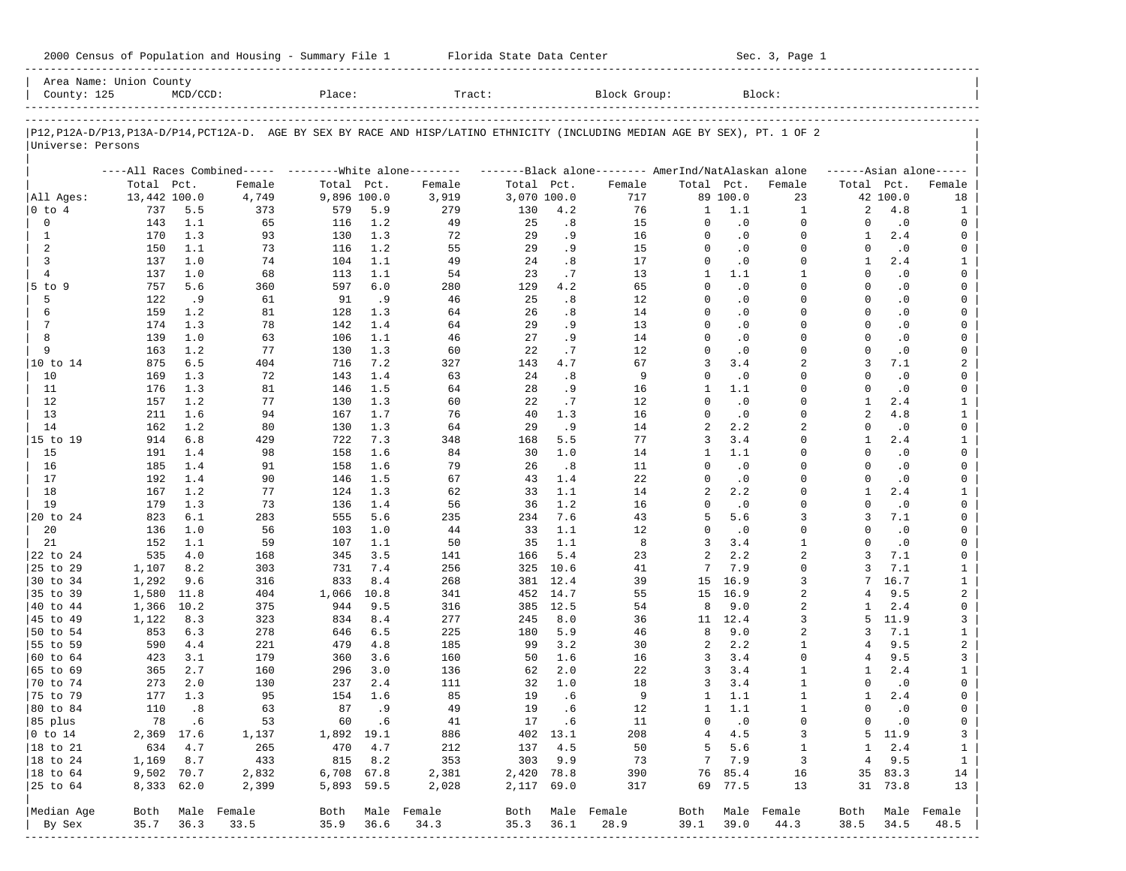| 2000 Census of Population and Housing - Summary File 1 |  | Florida State Data Center | Sec. 3, Page 1 |
|--------------------------------------------------------|--|---------------------------|----------------|
|--------------------------------------------------------|--|---------------------------|----------------|

| Area Name: Union County<br>County: 125 |                     | $MCD/CCD$ : |                                                                                                                            | Place:             |      | Tract:           |                    |          | Block Group:                                        |                |           | Block:           |                |                 |                         |
|----------------------------------------|---------------------|-------------|----------------------------------------------------------------------------------------------------------------------------|--------------------|------|------------------|--------------------|----------|-----------------------------------------------------|----------------|-----------|------------------|----------------|-----------------|-------------------------|
| Universe: Persons                      |                     |             | P12,P12A-D/P13,P13A-D/P14,PCT12A-D. AGE BY SEX BY RACE AND HISP/LATINO ETHNICITY (INCLUDING MEDIAN AGE BY SEX), PT. 1 OF 2 |                    |      |                  |                    |          |                                                     |                |           |                  |                |                 |                         |
|                                        |                     |             |                                                                                                                            |                    |      |                  |                    |          |                                                     |                |           |                  |                |                 |                         |
|                                        |                     |             | ----All Races Combined----- --------White alone--------                                                                    |                    |      |                  |                    |          | -------Black alone-------- AmerInd/NatAlaskan alone |                |           |                  |                |                 | $---Asian alone---$     |
|                                        | Total Pct.          |             | Female                                                                                                                     | Total Pct.         |      | Female           | Total Pct.         |          | Female                                              | Total Pct.     | 89 100.0  | Female           | Total Pct.     |                 | Female                  |
| All Ages:<br>$ 0 \tto 4$               | 13,442 100.0<br>737 | 5.5         | 4,749<br>373                                                                                                               | 9,896 100.0<br>579 | 5.9  | 3,919<br>279     | 3,070 100.0<br>130 | 4.2      | 717<br>76                                           | 1              | 1.1       | 23<br>1          | 2              | 42 100.0<br>4.8 | 18<br>1                 |
| $\mathbf 0$                            | 143                 | 1.1         | 65                                                                                                                         | 116                | 1.2  | 49               | 25                 | .8       | 15                                                  | 0              | $\cdot$ 0 | $\Omega$         | $\Omega$       | $\cdot$ 0       | 0                       |
| 1                                      | 170                 | 1.3         | 93                                                                                                                         | 130                | 1.3  | 72               | 29                 | .9       | 16                                                  | $\Omega$       | $\cdot$ 0 | $\Omega$         | 1              | 2.4             | 0                       |
| 2                                      | 150                 | 1.1         | 73                                                                                                                         | 116                | 1.2  | 55               | 29                 | . 9      | 15                                                  | $\Omega$       | $\cdot$ 0 | $\Omega$         | $\Omega$       | $\cdot$ 0       | 0                       |
| 3                                      | 137                 | 1.0         | 74                                                                                                                         | 104                | 1.1  | 49               | 24                 | .8       | 17                                                  | $\Omega$       | $\cdot$ 0 | $\Omega$         | 1              | 2.4             | $\mathbf{1}$            |
| $\overline{4}$                         | 137                 | 1.0         | 68                                                                                                                         | 113                | 1.1  | 54               | 23                 | .7       | 13                                                  | $\mathbf{1}$   | 1.1       | $\mathbf{1}$     | $\Omega$       | $\cdot$ 0       | 0                       |
| 5 to 9                                 | 757                 | 5.6         | 360                                                                                                                        | 597                | 6.0  | 280              | 129                | 4.2      | 65                                                  | $\Omega$       | $\cdot$ 0 | $\Omega$         | $\Omega$       | $\cdot$ 0       | 0                       |
| 5                                      | 122                 | .9          | 61                                                                                                                         | 91                 | .9   | 46               | 25                 | .8       | 12                                                  | $\Omega$       | $\cdot$ 0 | $\Omega$         | $\Omega$       | $\cdot$ 0       | 0                       |
| 6                                      | 159                 | 1.2         | 81                                                                                                                         | 128                | 1.3  | 64               | 26                 | .8       | 14                                                  | $\Omega$       | $\cdot$ 0 | $\Omega$         | $\Omega$       | $\cdot$ 0       | $\mathbf 0$             |
| $7\phantom{.0}$                        | 174                 | 1.3         | 78                                                                                                                         | 142                | 1.4  | 64               | 29                 | . 9      | 13                                                  | $\Omega$       | $\cdot$ 0 | $\Omega$         | $\Omega$       | $\cdot$ 0       | 0                       |
| 8                                      | 139                 | 1.0         | 63                                                                                                                         | 106                | 1.1  | 46               | 27                 | . 9      | 14                                                  | $\Omega$       | $\cdot$ 0 | $\Omega$         | $\Omega$       | $\cdot$ 0       | 0                       |
| 9                                      | 163                 | 1.2         | 77                                                                                                                         | 130                | 1.3  | 60               | 22                 | .7       | 12                                                  | $\mathbf 0$    | $\cdot$ 0 | $\Omega$         | $\Omega$       | $\cdot$ 0       | 0                       |
| 10 to 14                               | 875                 | 6.5         | 404                                                                                                                        | 716                | 7.2  | 327              | 143                | 4.7      | 67                                                  | 3              | 3.4       | 2                | 3              | 7.1             | 2                       |
| 10                                     | 169                 | 1.3         | 72                                                                                                                         | 143                | 1.4  | 63               | 24                 | .8       | 9                                                   | $\mathbf 0$    | $\cdot$ 0 | $\Omega$         | $\Omega$       | $\cdot$ 0       | 0                       |
| 11                                     | 176                 | 1.3         | 81                                                                                                                         | 146                | 1.5  | 64               | 28                 | . 9      | 16                                                  | $\mathbf{1}$   | 1.1       | $\Omega$         | $\Omega$       | $\cdot$ 0       | 0                       |
| 12                                     | 157                 | 1.2         | 77                                                                                                                         | 130                | 1.3  | 60               | 22                 | .7       | 12                                                  | $\Omega$       | $\cdot$ 0 | $\Omega$         | 1              | 2.4             | $\mathbf{1}$            |
| 13                                     | 211                 | 1.6         | 94                                                                                                                         | 167                | 1.7  | 76               | 40                 | 1.3      | 16                                                  | $\Omega$       | $\cdot$ 0 | $\Omega$         | $\overline{a}$ | 4.8             | $\mathbf{1}$            |
| 14                                     | 162                 | 1.2         | 80                                                                                                                         | 130                | 1.3  | 64               | 29                 | .9       | 14                                                  | $\overline{a}$ | 2.2       | $\overline{a}$   | $\Omega$       | $\cdot$ 0       | 0                       |
| 15 to 19                               | 914                 | 6.8         | 429                                                                                                                        | 722                | 7.3  | 348              | 168                | 5.5      | 77                                                  | 3              | 3.4       | $\Omega$         | 1              | 2.4             | $\mathbf{1}$            |
| 15                                     | 191                 | 1.4         | 98                                                                                                                         | 158                | 1.6  | 84               | 30                 | 1.0      | 14                                                  | $\mathbf{1}$   | 1.1       | $\Omega$         | $\Omega$       | $\cdot$ 0       | 0                       |
| 16                                     | 185                 | 1.4         | 91                                                                                                                         | 158                | 1.6  | 79               | 26                 | .8       | 11                                                  | $\Omega$       | $\cdot$ 0 | $\Omega$         | $\Omega$       | $\cdot$ 0       | 0                       |
| 17                                     | 192                 | 1.4         | 90                                                                                                                         | 146                | 1.5  | 67               | 43                 | 1.4      | 22                                                  | $\mathbf 0$    | $\cdot$ 0 | $\Omega$         | $\Omega$       | $\cdot$ 0       | 0                       |
| 18                                     | 167                 | 1.2         | 77                                                                                                                         | 124                | 1.3  | 62               | 33                 | 1.1      | 14                                                  | 2              | 2.2       | $\Omega$         | $\mathbf{1}$   | 2.4             | $\mathbf{1}$            |
| 19                                     | 179                 | 1.3         | 73                                                                                                                         | 136                | 1.4  | 56               | 36                 | 1.2      | 16                                                  | $\Omega$       | $\cdot$ 0 | $\Omega$         | $\Omega$       | $\cdot$ 0       | 0                       |
| 20 to 24                               | 823                 | 6.1         | 283                                                                                                                        | 555                | 5.6  | 235              | 234                | 7.6      | 43                                                  | 5              | 5.6       | 3                | 3              | 7.1             | 0                       |
| 20                                     | 136                 | 1.0         | 56                                                                                                                         | 103                | 1.0  | 44               | 33                 | 1.1      | 12                                                  | $\Omega$       | $\cdot$ 0 | $\Omega$         | $\Omega$       | $\cdot$ 0       | 0                       |
| 21                                     | 152                 | 1.1         | 59                                                                                                                         | 107                | 1.1  | 50               | 35                 | 1.1      | 8                                                   | 3              | 3.4       | $\mathbf{1}$     | $\Omega$       | $\cdot$ 0       | 0                       |
| 22 to 24                               | 535                 | 4.0         | 168                                                                                                                        | 345                | 3.5  | 141              | 166                | 5.4      | 23                                                  | 2              | 2.2       | $\overline{2}$   | 3              | 7.1             | 0                       |
| 25 to 29                               | 1,107               | 8.2         | 303                                                                                                                        | 731                | 7.4  | 256              | 325                | 10.6     | 41                                                  | 7              | 7.9       | $\Omega$         | ζ              | 7.1             | $\mathbf{1}$            |
| 30 to 34                               | 1,292               | 9.6         | 316                                                                                                                        | 833                | 8.4  | 268              | 381                | 12.4     | 39                                                  | 15             | 16.9      | 3                | 7              | 16.7            | $\mathbf{1}$            |
| 35 to 39                               | 1,580               | 11.8        | 404                                                                                                                        | 1,066              | 10.8 | 341              | 452                | 14.7     | 55                                                  | 15             | 16.9      | 2                | 4              | 9.5             | $\overline{a}$          |
| 40 to 44                               | 1,366               | 10.2        | 375                                                                                                                        | 944                | 9.5  | 316              | 385                | 12.5     | 54                                                  | 8              | 9.0       | $\overline{a}$   | $\mathbf{1}$   | 2.4             | 0                       |
| 45 to 49                               | 1,122               | 8.3         | 323                                                                                                                        | 834                | 8.4  | 277              | 245                | 8.0      | 36                                                  |                | 11 12.4   | 3                | 5              | 11.9            | 3                       |
| 50 to 54                               | 853                 | 6.3         | 278                                                                                                                        | 646                | 6.5  | 225              | 180                | 5.9      | 46                                                  | 8              | 9.0       | $\overline{a}$   | 3              | 7.1             | $\mathbf{1}$            |
| 55 to 59                               | 590                 | 4.4         | 221                                                                                                                        | 479                | 4.8  | 185              | 99                 | 3.2      | 30                                                  | 2              | 2.2       | 1                | 4              | 9.5             | $\overline{\mathbf{c}}$ |
| 60 to 64                               | 423                 | 3.1         | 179                                                                                                                        | 360                | 3.6  | 160              | 50                 | 1.6      | 16                                                  | 3              | 3.4       | $\Omega$         | 4              | 9.5             | 3                       |
| 65 to 69                               | 365                 | 2.7         | 160                                                                                                                        | 296                | 3.0  | 136              | 62                 | 2.0      | 22                                                  | 3              | 3.4       | 1                | 1              | 2.4             | $\mathbf{1}$            |
| 70 to 74                               | 273                 | 2.0         | 130                                                                                                                        | 237                | 2.4  | 111              | 32                 | 1.0      | 18                                                  | 3              | 3.4       | $\mathbf{1}$     | $\Omega$       | $\cdot$ 0       | 0                       |
| 75 to 79                               | 177                 | 1.3         | 95                                                                                                                         | 154                | 1.6  | 85               | 19                 | .6       | 9                                                   | 1              | 1.1       | 1                | $\mathbf{1}$   | 2.4             | 0                       |
| 80 to 84                               | 110                 | .8          | 63                                                                                                                         | 87                 | . 9  | 49               | 19                 | .6       | 12                                                  | $\mathbf{1}$   | 1.1       | $\mathbf{1}$     | $\Omega$       | $\cdot$ 0       | 0                       |
| 85 plus                                |                     | 78.6        | 53                                                                                                                         | 60                 | .6   | 41               | 17                 | .6       | 11                                                  | 0              | $\cdot$ 0 | 0                | $\circ$        | $\cdot$ 0       | $\mathbf 0$             |
| $ 0 \t{to} 14$                         | 2,369 17.6          |             | 1,137                                                                                                                      | 1,892 19.1         |      | 886              |                    | 402 13.1 | 208                                                 | 4              | 4.5       | 3                |                | 5 11.9          | $\mathbf{3}$            |
| 18 to 21                               | 634                 | 4.7         | 265                                                                                                                        | 470                | 4.7  | 212              | 137                | 4.5      | 50                                                  | 5              | 5.6       | 1                | $\mathbf{1}$   | 2.4             | $\mathbf{1}$            |
| $ 18$ to $24$                          | 1,169               | 8.7         | 433                                                                                                                        | 815                | 8.2  | 353              | 303                | 9.9      | 73                                                  | 7              | 7.9       | $\overline{3}$   | 4              | 9.5             | $\mathbf{1}$            |
| $ 18$ to $64$                          | 9,502 70.7          |             | 2,832                                                                                                                      | 6,708 67.8         |      | 2,381            | 2,420 78.8         |          | 390                                                 | 76             | 85.4      | 16               |                | 35 83.3         | 14                      |
| 25 to 64                               | 8,333 62.0          |             | 2,399                                                                                                                      | 5,893 59.5         |      | 2,028            | 2,117 69.0         |          | 317                                                 |                | 69 77.5   | 13               |                | 31 73.8         | 13                      |
|                                        |                     |             |                                                                                                                            |                    |      |                  |                    |          |                                                     |                |           |                  |                |                 |                         |
| Median Age                             | Both                |             | Male Female                                                                                                                |                    |      | Both Male Female | Both               |          | Male Female                                         |                |           | Both Male Female | Both           |                 | Male Female             |
| By Sex                                 | 35.7                | 36.3        | 33.5                                                                                                                       | 35.9               | 36.6 | 34.3             | 35.3               | 36.1     | 28.9                                                | 39.1           | 39.0      | 44.3             | 38.5           | 34.5            | 48.5                    |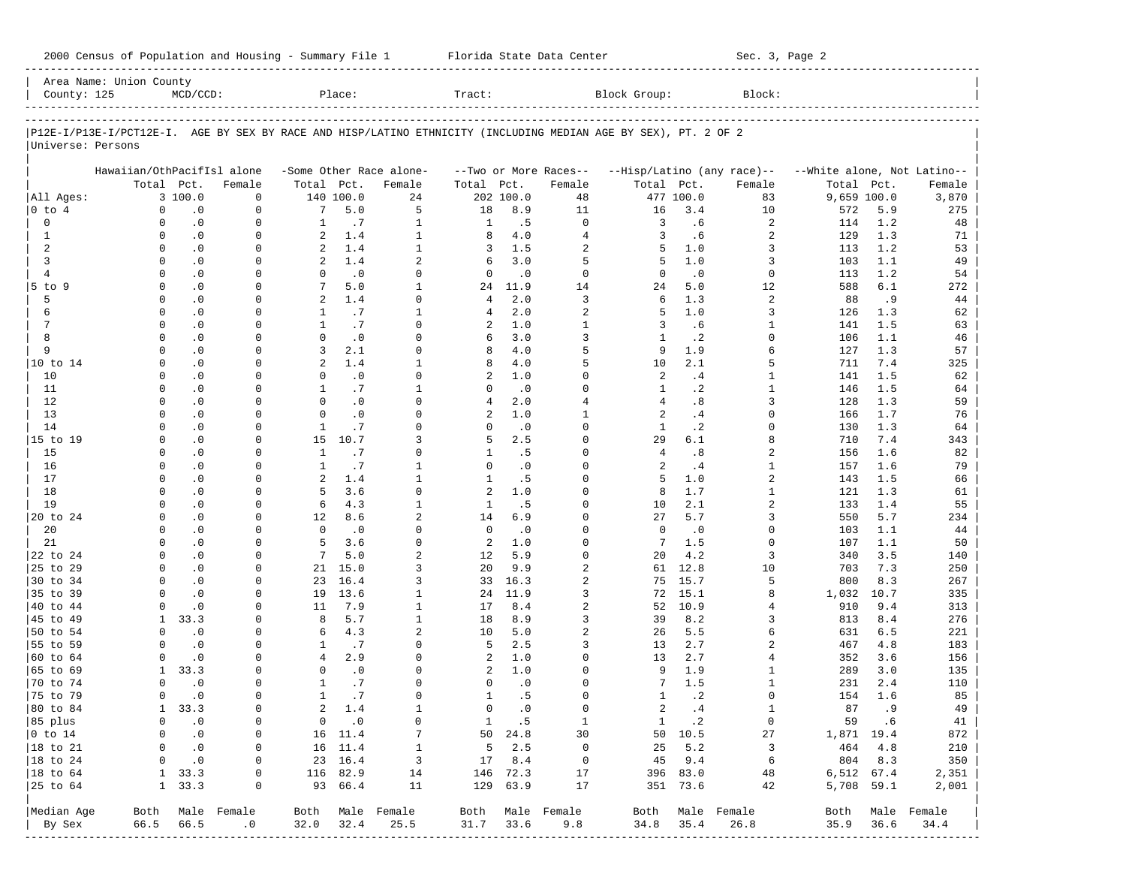2000 Census of Population and Housing - Summary File 1 Telorida State Data Center Sec. 3, Page 2

| County: 125          | Area Name: Union County    | $MCD/CCD$ :            |                  |                          | Place:           |                         | Tract:      |              |                       | Block Group:                                                                                                   |                  | Block:                     |                             |             |                  |
|----------------------|----------------------------|------------------------|------------------|--------------------------|------------------|-------------------------|-------------|--------------|-----------------------|----------------------------------------------------------------------------------------------------------------|------------------|----------------------------|-----------------------------|-------------|------------------|
|                      |                            |                        |                  |                          |                  |                         |             |              |                       |                                                                                                                |                  |                            |                             |             |                  |
|                      |                            |                        |                  |                          |                  |                         |             |              |                       | P12E-I/P13E-I/PCT12E-I. AGE BY SEX BY RACE AND HISP/LATINO ETHNICITY (INCLUDING MEDIAN AGE BY SEX), PT. 2 OF 2 |                  |                            |                             |             |                  |
| Universe: Persons    |                            |                        |                  |                          |                  |                         |             |              |                       |                                                                                                                |                  |                            |                             |             |                  |
|                      | Hawaiian/OthPacifIsl alone |                        |                  |                          |                  | -Some Other Race alone- |             |              | --Two or More Races-- |                                                                                                                |                  | --Hisp/Latino (any race)-- | --White alone, Not Latino-- |             |                  |
|                      |                            | Total Pct.             | Female           | Total Pct.               |                  | Female                  | Total       | Pct.         | Female                | Total Pct.                                                                                                     |                  | Female                     | Total                       | Pct.        | Female           |
| All Ages:            |                            | 3 100.0                | $\mathbf 0$      |                          | 140 100.0        | 24                      |             | 202 100.0    | 48                    |                                                                                                                | 477 100.0        | 83                         | 9,659 100.0                 |             | 3,870            |
| $0$ to $4$           | $\Omega$                   | $\cdot$ 0              | $\Omega$         | 7                        | 5.0              | 5                       | 18          | 8.9          | 11                    | 16                                                                                                             | 3.4              | 10                         | 572                         | 5.9         | 275              |
| $\mathbf 0$          | $\Omega$                   | $\cdot$ 0              | $\mathbf 0$      | $\mathbf{1}$             | .7               | $\mathbf{1}$            | 1           | .5           | $\Omega$              | 3                                                                                                              | .6               | $\overline{a}$             | 114                         | 1.2         | 48               |
| $\mathbf{1}$         | $\Omega$                   | $\cdot$ 0              | $\Omega$         | 2                        | 1.4              | $\mathbf{1}$            | 8           | 4.0          | $\overline{4}$        | 3                                                                                                              | .6               | $\overline{a}$             | 129                         | 1.3         | 71               |
| 2                    | $\Omega$                   | $\cdot$ 0              | $\mathbf 0$      | $\overline{a}$           | 1.4              | $\mathbf{1}$            | 3           | 1.5          | 2                     | 5                                                                                                              | 1.0              | 3                          | 113                         | 1.2         | 53               |
| 3                    | $\Omega$                   | $\cdot$ 0              | $\Omega$         | 2                        | 1.4              | $\overline{a}$          | 6           | 3.0          | 5                     | 5                                                                                                              | 1.0              | 3                          | 103                         | 1.1         | 49               |
| $\overline{4}$       | $\Omega$                   | $\cdot$ 0              | $\Omega$         | $\Omega$                 | .0               | $\Omega$                | $\mathbf 0$ | $\cdot$ 0    | $\Omega$              | $\Omega$                                                                                                       | $\cdot$ 0        | $\mathbf 0$                | 113                         | 1.2         | 54               |
| $5$ to $9$           | $\Omega$                   | $\cdot$ 0              | $\Omega$         | 7                        | 5.0              | $\mathbf{1}$            | 24          | 11.9         | 14                    | 24                                                                                                             | 5.0              | 12                         | 588                         | 6.1         | 272              |
| 5                    | $\Omega$                   | $\cdot$ 0              | U                | $\overline{a}$           | 1.4              | $\Omega$                | 4           | 2.0          | 3                     | 6                                                                                                              | 1.3              | $\overline{a}$             | 88                          | .9          | 44               |
| 6                    | $\Omega$                   | $\cdot$ 0              | $\Omega$         | $\mathbf{1}$             | .7               | $\mathbf{1}$            | 4           | 2.0          | 2                     | 5                                                                                                              | 1.0              | 3                          | 126                         | 1.3         | 62               |
| $\overline{7}$       | $\Omega$<br>$\Omega$       | $\cdot$ 0              | $\mathbf 0$      | $\mathbf{1}$<br>$\Omega$ | .7               | $\Omega$<br>$\Omega$    | 2           | 1.0<br>3.0   | $\mathbf{1}$          | 3                                                                                                              | .6               | 1                          | 141                         | 1.5         | 63               |
| 8<br>9               | $\Omega$                   | $\cdot$ 0<br>$\cdot$ 0 | $\Omega$<br>0    | 3                        | $\cdot$ 0<br>2.1 | $\Omega$                | 6<br>8      | 4.0          | 3<br>5                | $\mathbf{1}$<br>9                                                                                              | $\cdot$ 2<br>1.9 | $\Omega$<br>б              | 106<br>127                  | 1.1<br>1.3  | 46<br>57         |
| 10 to 14             | $\Omega$                   | $\cdot$ 0              | $\Omega$         | $\overline{a}$           | 1.4              | $\mathbf{1}$            | 8           | 4.0          | 5                     | 10                                                                                                             | 2.1              | 5                          | 711                         | 7.4         | 325              |
| 10                   | $\Omega$                   | $\cdot$ 0              | 0                | $\Omega$                 | $\cdot$ 0        | $\Omega$                | 2           | 1.0          | $\Omega$              | $\overline{a}$                                                                                                 | .4               | $\mathbf{1}$               | 141                         | 1.5         | 62               |
| 11                   | $\Omega$                   | $\cdot$ 0              | $\Omega$         | $\mathbf{1}$             | .7               | $\mathbf{1}$            | $\Omega$    | $\cdot$ 0    | $\Omega$              | $\mathbf{1}$                                                                                                   | $\cdot$ 2        | $\mathbf{1}$               | 146                         | 1.5         | 64               |
| 12                   | $\Omega$                   | $\cdot$ 0              | 0                | $\Omega$                 | $\cdot$ 0        | $\Omega$                | 4           | 2.0          | $\overline{4}$        | $\overline{4}$                                                                                                 | .8               | 3                          | 128                         | 1.3         | 59               |
| 13                   | $\Omega$                   | $\cdot$ 0              | $\Omega$         | $\Omega$                 | $\cdot$ 0        | $\Omega$                | 2           | 1.0          | 1                     | 2                                                                                                              | .4               | $\Omega$                   | 166                         | 1.7         | 76               |
| 14                   | $\Omega$                   | $\cdot$ 0              | 0                | $\mathbf{1}$             | .7               | $\Omega$                | 0           | $\cdot$ 0    | $\Omega$              | 1                                                                                                              | $\cdot$ 2        | <sup>0</sup>               | 130                         | 1.3         | 64               |
| 15 to 19             | $\Omega$                   | $\cdot$ 0              | $\Omega$         | 15                       | 10.7             | 3                       | 5           | 2.5          | $\Omega$              | 29                                                                                                             | 6.1              | 8                          | 710                         | 7.4         | 343              |
| 15                   | $\Omega$                   | $\cdot$ 0              | 0                | $\mathbf{1}$             | .7               | $\Omega$                | 1           | .5           | $\Omega$              | $\overline{4}$                                                                                                 | .8               | 2                          | 156                         | 1.6         | 82               |
| 16                   | $\Omega$                   | $\cdot$ 0              | $\Omega$         | $\mathbf{1}$             | .7               | $\mathbf{1}$            | $\Omega$    | $\cdot$ 0    | $\Omega$              | 2                                                                                                              | .4               | $\mathbf{1}$               | 157                         | 1.6         | 79               |
| 17                   | $\Omega$                   | $\cdot$ 0              | 0                | $\overline{a}$           | 1.4              | $\mathbf{1}$            | 1           | .5           | $\Omega$              | 5                                                                                                              | 1.0              | 2                          | 143                         | 1.5         | 66               |
| 18                   | $\Omega$                   | $\cdot$ 0              | $\Omega$         | 5                        | 3.6              | $\Omega$                | 2           | 1.0          | $\Omega$              | 8                                                                                                              | 1.7              | $\mathbf{1}$               | 121                         | 1.3         | 61               |
| 19                   | $\Omega$                   | $\cdot$ 0              | 0                | 6                        | 4.3              | $\mathbf{1}$            | 1           | .5           | $\Omega$              | 10                                                                                                             | 2.1              | 2                          | 133                         | 1.4         | 55               |
| 20 to 24             | $\Omega$                   | $\cdot$ 0              | $\Omega$         | 12                       | 8.6              | $\overline{a}$          | 14          | 6.9          | $\Omega$              | 27                                                                                                             | 5.7              | 3                          | 550                         | 5.7         | 234              |
| 20                   | $\Omega$                   | $\cdot$ 0              | 0                | $\Omega$                 | $\cdot$ 0        | $\Omega$                | $\mathbf 0$ | $\cdot$ 0    | $\Omega$              | $\mathbf 0$                                                                                                    | $\cdot$ 0        | 0                          | 103                         | 1.1         | 44               |
| 21                   | $\Omega$                   | $\cdot$ 0              | $\Omega$         | 5                        | 3.6              | $\Omega$                | 2           | 1.0          | $\Omega$              | 7                                                                                                              | 1.5              | $\Omega$                   | 107                         | 1.1         | 50               |
| 22 to 24             | $\Omega$                   | $\cdot$ 0              | $\Omega$         | 7                        | 5.0              | $\overline{a}$          | 12          | 5.9          | $\Omega$              | 20                                                                                                             | 4.2              | 3                          | 340                         | 3.5         | 140              |
| 25 to 29             | $\Omega$<br>$\Omega$       | $\cdot$ 0              | $\Omega$         | 21                       | 15.0             | 3                       | 20          | 9.9          | 2                     | 61                                                                                                             | 12.8             | 10                         | 703                         | 7.3         | 250              |
| 30 to 34<br>35 to 39 | $\Omega$                   | $\cdot$ 0<br>$\cdot$ 0 | 0<br>$\Omega$    | 23<br>19                 | 16.4<br>13.6     | 3<br>$\mathbf{1}$       | 33          | 16.3<br>11.9 | 2<br>3                | 75<br>72                                                                                                       | 15.7<br>15.1     | 5<br>8                     | 800                         | 8.3<br>10.7 | 267              |
| 40 to 44             | $\Omega$                   | $\cdot$ 0              | $\Omega$         | 11                       | 7.9              | $\mathbf{1}$            | 24<br>17    | 8.4          | 2                     | 52                                                                                                             | 10.9             | 4                          | 1,032<br>910                | 9.4         | 335<br>313       |
| 45 to 49             | 1                          | 33.3                   | $\Omega$         | 8                        | 5.7              | $\mathbf{1}$            | 18          | 8.9          | 3                     | 39                                                                                                             | 8.2              | 3                          | 813                         | 8.4         | 276              |
| 50 to 54             | $\Omega$                   | $\cdot$ 0              | $\Omega$         | 6                        | 4.3              | $\overline{a}$          | 10          | 5.0          | 2                     | 26                                                                                                             | 5.5              | б                          | 631                         | 6.5         | 221              |
| 55 to 59             | $\Omega$                   | $\cdot$ 0              | $\Omega$         | $\mathbf{1}$             | .7               | $\Omega$                | 5           | 2.5          | 3                     | 13                                                                                                             | 2.7              | $\overline{a}$             | 467                         | 4.8         | 183              |
| 60 to 64             | $\Omega$                   | $\cdot$ 0              | $\Omega$         | $\overline{4}$           | 2.9              | $\Omega$                | 2           | 1.0          | $\Omega$              | 13                                                                                                             | 2.7              | 4                          | 352                         | 3.6         | 156              |
| 65 to 69             | 1                          | 33.3                   | $\Omega$         | $\Omega$                 | $\cdot$ 0        | $\Omega$                | 2           | 1.0          | $\Omega$              | 9                                                                                                              | 1.9              | 1                          | 289                         | 3.0         | 135              |
| 70 to 74             | $\Omega$                   | $\cdot$ 0              | U                | $\mathbf{1}$             | .7               | $\Omega$                | $\Omega$    | $\cdot$ 0    | $\Omega$              | 7                                                                                                              | 1.5              | $\mathbf{1}$               | 231                         | 2.4         | 110              |
| 75 to 79             | $\Omega$                   | $\cdot$ 0              | U                | $\mathbf{1}$             | .7               | $\Omega$                | 1           | . 5          | $\Omega$              | 1                                                                                                              | $\cdot$ 2        | $\Omega$                   | 154                         | 1.6         | 85               |
| 80 to 84             |                            | 1<br>33.3              | $\mathbf 0$      | $\overline{a}$           | 1.4              | $\mathbf{1}$            | $\Omega$    | $\cdot$ 0    | $\Omega$              | $\overline{a}$                                                                                                 | .4               | $\mathbf{1}$               | 87                          | .9          | 49               |
| 85 plus              | $\mathbf{0}$               | $\cdot$ 0              | $\overline{0}$   |                          | $0 \qquad .0$    | $\circ$                 |             | 1 .5         | $\mathbf{1}$          |                                                                                                                | 1.2              | $\overline{0}$             | 59 .6                       |             | 41               |
| $ 0 \t{to} 14$       | $\mathbf{0}$               | $\cdot$ 0              | $\overline{0}$   |                          | 16 11.4          | $7\phantom{.0}$         |             | 50 24.8      | 30                    |                                                                                                                | 50 10.5          | 27                         | 1,871 19.4                  |             | 872              |
| 18 to 21             | $\mathbf{0}$               | $\cdot$ 0              | $\overline{0}$   |                          | 16 11.4          | $\mathbf{1}$            |             | $5 \t 2.5$   | $\overline{0}$        |                                                                                                                | $25 \quad 5.2$   | $\overline{\mathbf{3}}$    | 464 4.8                     |             | 210              |
| $ 18$ to $24$        | $\mathbf{0}$               | $\cdot$ 0              | $\circ$          |                          | 23 16.4          | $\overline{\mathbf{3}}$ |             | 17 8.4       | $\overline{0}$        |                                                                                                                | 45 9.4           | 6                          | 804 8.3                     |             | 350              |
| $ 18 \text{ to } 64$ |                            | 1, 33.3                | 0                |                          | 116 82.9         | 14                      |             | 146 72.3     | 17                    |                                                                                                                | 396 83.0         | 48                         | 6,512 67.4                  |             | 2,351            |
| 25 to 64             |                            | 1, 33.3                | 0                |                          | 93 66.4          | 11                      |             | 129 63.9     | 17                    |                                                                                                                | 351 73.6         | 42                         | 5,708 59.1                  |             | 2,001            |
| Median Age           |                            |                        | Both Male Female |                          |                  | Both Male Female        |             |              | Both Male Female      |                                                                                                                |                  | Both Male Female           |                             |             | Both Male Female |
| By Sex               | 66.5                       | 66.5                   | .0               | 32.0 32.4                |                  | 25.5                    | 31.7 33.6   |              | 9.8                   | 34.8                                                                                                           | 35.4             | 26.8                       | 35.9                        | 36.6        | 34.4             |
|                      |                            |                        |                  |                          |                  |                         |             |              |                       |                                                                                                                |                  |                            |                             |             |                  |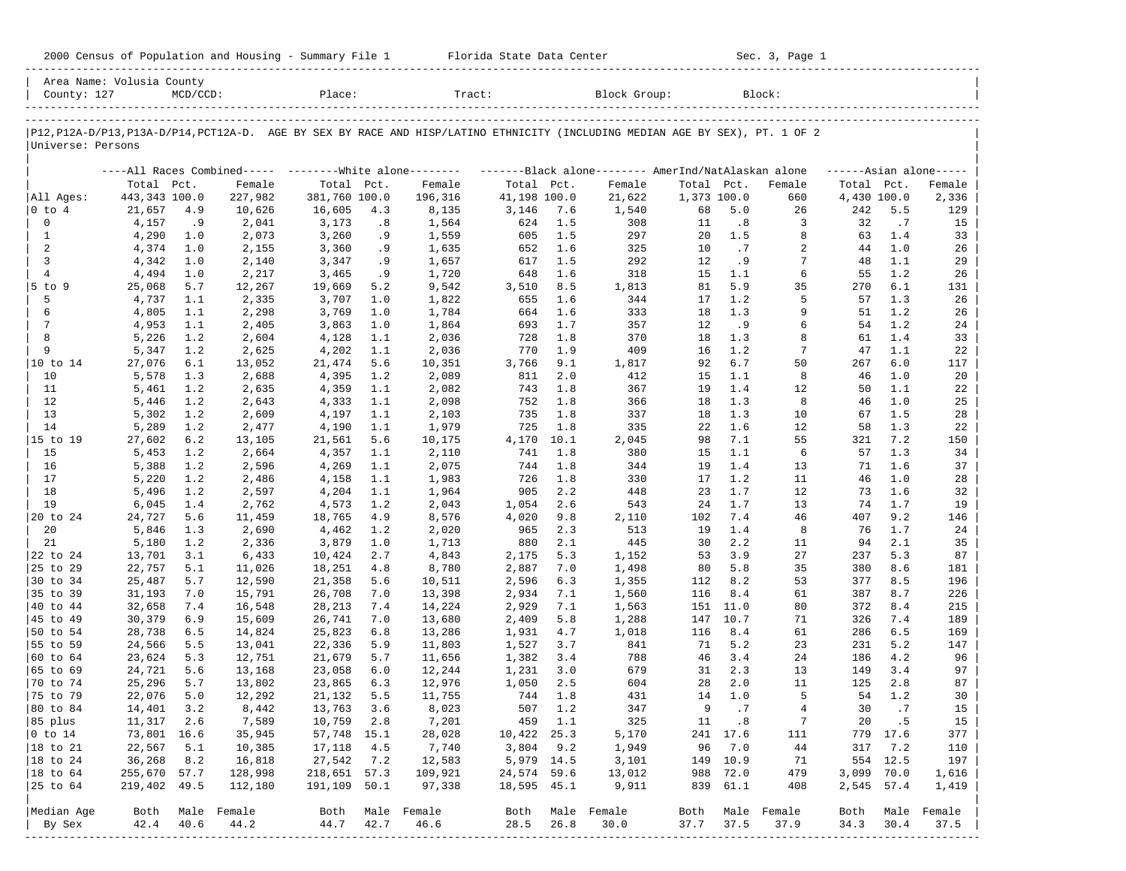| 2000 Census of Population and Housing - Summary File 1 |  | Florida State Data Center | Sec. 3, Page 1 |
|--------------------------------------------------------|--|---------------------------|----------------|
|--------------------------------------------------------|--|---------------------------|----------------|

| P12, P12A-D/P13, P13A-D/P14, PCT12A-D. AGE BY SEX BY RACE AND HISP/LATINO ETHNICITY (INCLUDING MEDIAN AGE BY SEX), PT. 1 OF 2<br>Universe: Persons<br>----All Races Combined----- -------- White alone--------<br>Total Pct.<br>443,343 100.0<br>All Ages:<br>21,657<br>$ 0 \tto 4$<br>$\mathbf 0$<br>4,157<br>$\mathbf{1}$<br>4,290<br>2<br>4,374<br>3<br>4,342<br>$\overline{4}$<br>4,494<br>$5$ to $9$<br>25,068<br>5<br>4,737<br>6<br>4,805<br>$7\phantom{.0}$<br>4,953<br>8<br>5,226<br>9<br>5,347<br>10 to 14<br>27,076<br>10<br>5,578<br>11<br>5,461<br>12<br>5,446<br>13<br>5,302<br>14<br>5,289<br>15 to 19<br>27,602<br>15<br>5,453<br>16<br>5,388<br>17<br>5,220<br>18<br>5,496<br>19<br>6,045<br>20 to 24<br>24,727<br>20<br>5,846<br>5,180<br>21<br>22 to 24<br>13,701<br>25 to 29<br>22,757<br>30 to 34<br>25,487<br>35 to 39<br>31,193<br>40 to 44<br>32,658<br>30,379<br>45 to 49<br>50 to 54<br>28,738<br>55 to 59<br>24,566<br>60 to 64<br>23,624<br>65 to 69<br>24,721<br>70 to 74<br>25,296<br>75 to 79<br>22,076<br> 80 to 84<br>14,401<br>$11,317$ 2.6<br>85 plus<br>$ 0 \t{to} 14$<br>73,801 16.6<br>18 to 21<br>22,567<br>$ 18$ to $24$<br>36,268<br>255,670 57.7<br>$ 18$ to $64$ | County: 127 | Area Name: Volusia County | $MCD/CCD$ : |             | Place:           |      | Tract:           |              |         | Block Group:                                        |             |              | Block:           |                     |            |            |
|------------------------------------------------------------------------------------------------------------------------------------------------------------------------------------------------------------------------------------------------------------------------------------------------------------------------------------------------------------------------------------------------------------------------------------------------------------------------------------------------------------------------------------------------------------------------------------------------------------------------------------------------------------------------------------------------------------------------------------------------------------------------------------------------------------------------------------------------------------------------------------------------------------------------------------------------------------------------------------------------------------------------------------------------------------------------------------------------------------------------------------------------------------------------------------------------------------|-------------|---------------------------|-------------|-------------|------------------|------|------------------|--------------|---------|-----------------------------------------------------|-------------|--------------|------------------|---------------------|------------|------------|
|                                                                                                                                                                                                                                                                                                                                                                                                                                                                                                                                                                                                                                                                                                                                                                                                                                                                                                                                                                                                                                                                                                                                                                                                            |             |                           |             |             |                  |      |                  |              |         |                                                     |             |              |                  |                     |            |            |
|                                                                                                                                                                                                                                                                                                                                                                                                                                                                                                                                                                                                                                                                                                                                                                                                                                                                                                                                                                                                                                                                                                                                                                                                            |             |                           |             |             |                  |      |                  |              |         |                                                     |             |              |                  |                     |            |            |
|                                                                                                                                                                                                                                                                                                                                                                                                                                                                                                                                                                                                                                                                                                                                                                                                                                                                                                                                                                                                                                                                                                                                                                                                            |             |                           |             |             |                  |      |                  |              |         | -------Black alone-------- AmerInd/NatAlaskan alone |             |              |                  | $---Asian alone---$ |            |            |
|                                                                                                                                                                                                                                                                                                                                                                                                                                                                                                                                                                                                                                                                                                                                                                                                                                                                                                                                                                                                                                                                                                                                                                                                            |             |                           |             | Female      | Total Pct.       |      | Female           | Total Pct.   |         | Female                                              | Total Pct.  |              | Female           | Total Pct.          |            | Female     |
|                                                                                                                                                                                                                                                                                                                                                                                                                                                                                                                                                                                                                                                                                                                                                                                                                                                                                                                                                                                                                                                                                                                                                                                                            |             |                           |             | 227,982     | 381,760 100.0    |      | 196,316          | 41,198 100.0 |         | 21,622                                              | 1,373 100.0 |              | 660              | 4,430 100.0         |            | 2,336      |
|                                                                                                                                                                                                                                                                                                                                                                                                                                                                                                                                                                                                                                                                                                                                                                                                                                                                                                                                                                                                                                                                                                                                                                                                            |             |                           | 4.9         | 10,626      | 16,605           | 4.3  | 8,135            | 3,146        | 7.6     | 1,540                                               | 68          | 5.0          | 26               | 242                 | 5.5        | 129        |
|                                                                                                                                                                                                                                                                                                                                                                                                                                                                                                                                                                                                                                                                                                                                                                                                                                                                                                                                                                                                                                                                                                                                                                                                            |             |                           | .9          | 2,041       | 3,173            | .8   | 1,564            | 624          | 1.5     | 308                                                 | 11          | .8           | 3                | 32                  | .7         | 15         |
|                                                                                                                                                                                                                                                                                                                                                                                                                                                                                                                                                                                                                                                                                                                                                                                                                                                                                                                                                                                                                                                                                                                                                                                                            |             |                           | 1.0         | 2,073       | 3,260            | . 9  | 1,559            | 605          | 1.5     | 297                                                 | 20          | 1.5          | 8                | 63                  | 1.4        | 33         |
|                                                                                                                                                                                                                                                                                                                                                                                                                                                                                                                                                                                                                                                                                                                                                                                                                                                                                                                                                                                                                                                                                                                                                                                                            |             |                           | 1.0         | 2,155       | 3,360            | .9   | 1,635            | 652          | 1.6     | 325                                                 | 10          | .7           | 2                | 44                  | 1.0        | 26         |
|                                                                                                                                                                                                                                                                                                                                                                                                                                                                                                                                                                                                                                                                                                                                                                                                                                                                                                                                                                                                                                                                                                                                                                                                            |             |                           | 1.0         | 2,140       | 3,347            | . 9  | 1,657            | 617          | 1.5     | 292                                                 | 12          | .9           | 7                | 48                  | 1.1        | 29         |
|                                                                                                                                                                                                                                                                                                                                                                                                                                                                                                                                                                                                                                                                                                                                                                                                                                                                                                                                                                                                                                                                                                                                                                                                            |             |                           | 1.0         | 2,217       | 3,465            | . 9  | 1,720            | 648          | 1.6     | 318                                                 | 15          | 1.1          | 6                | 55                  | 1.2        | 26         |
|                                                                                                                                                                                                                                                                                                                                                                                                                                                                                                                                                                                                                                                                                                                                                                                                                                                                                                                                                                                                                                                                                                                                                                                                            |             |                           | 5.7         | 12,267      | 19,669           | 5.2  | 9,542            | 3,510        | 8.5     | 1,813                                               | 81          | 5.9          | 35               | 270                 | 6.1        | 131        |
|                                                                                                                                                                                                                                                                                                                                                                                                                                                                                                                                                                                                                                                                                                                                                                                                                                                                                                                                                                                                                                                                                                                                                                                                            |             |                           | 1.1         | 2,335       | 3,707            | 1.0  | 1,822            | 655          | 1.6     | 344                                                 | 17          | 1.2          | 5                | 57                  | 1.3        | 26         |
|                                                                                                                                                                                                                                                                                                                                                                                                                                                                                                                                                                                                                                                                                                                                                                                                                                                                                                                                                                                                                                                                                                                                                                                                            |             |                           | 1.1         | 2,298       | 3,769            | 1.0  | 1,784            | 664          | 1.6     | 333                                                 | 18          | 1.3          | 9                | 51                  | 1.2        | 26         |
|                                                                                                                                                                                                                                                                                                                                                                                                                                                                                                                                                                                                                                                                                                                                                                                                                                                                                                                                                                                                                                                                                                                                                                                                            |             |                           | 1.1         | 2,405       | 3,863            | 1.0  | 1,864            | 693          | 1.7     | 357                                                 | 12          | . 9          | 6                | 54                  | 1.2        | 24         |
|                                                                                                                                                                                                                                                                                                                                                                                                                                                                                                                                                                                                                                                                                                                                                                                                                                                                                                                                                                                                                                                                                                                                                                                                            |             |                           | 1.2         | 2,604       | 4,128            | 1.1  | 2,036            | 728          | 1.8     | 370                                                 | 18          | 1.3          | 8                | 61                  | 1.4        | 33         |
|                                                                                                                                                                                                                                                                                                                                                                                                                                                                                                                                                                                                                                                                                                                                                                                                                                                                                                                                                                                                                                                                                                                                                                                                            |             |                           | 1.2         | 2,625       | 4,202            | 1.1  | 2,036            | 770          | 1.9     | 409                                                 | 16          | 1.2          | $7\phantom{.0}$  | 47                  | 1.1        | 22         |
|                                                                                                                                                                                                                                                                                                                                                                                                                                                                                                                                                                                                                                                                                                                                                                                                                                                                                                                                                                                                                                                                                                                                                                                                            |             |                           | 6.1         | 13,052      | 21,474           | 5.6  | 10,351           | 3,766        | 9.1     | 1,817                                               | 92          | 6.7          | 50               | 267                 | 6.0        | 117        |
|                                                                                                                                                                                                                                                                                                                                                                                                                                                                                                                                                                                                                                                                                                                                                                                                                                                                                                                                                                                                                                                                                                                                                                                                            |             |                           | 1.3         | 2,688       | 4,395            | 1.2  | 2,089            | 811          | 2.0     | 412                                                 | 15          | 1.1          | 8                | 46                  | 1.0        | 20         |
|                                                                                                                                                                                                                                                                                                                                                                                                                                                                                                                                                                                                                                                                                                                                                                                                                                                                                                                                                                                                                                                                                                                                                                                                            |             |                           | 1.2         | 2,635       | 4,359            | 1.1  | 2,082            | 743          | 1.8     | 367                                                 | 19          | 1.4          | 12               | 50                  | 1.1        | 22         |
|                                                                                                                                                                                                                                                                                                                                                                                                                                                                                                                                                                                                                                                                                                                                                                                                                                                                                                                                                                                                                                                                                                                                                                                                            |             |                           | 1.2         | 2,643       | 4,333            | 1.1  | 2,098            | 752          | 1.8     | 366                                                 | 18          | 1.3          | 8                | 46                  | 1.0        | 25         |
|                                                                                                                                                                                                                                                                                                                                                                                                                                                                                                                                                                                                                                                                                                                                                                                                                                                                                                                                                                                                                                                                                                                                                                                                            |             |                           | 1.2         | 2,609       | 4,197            | 1.1  | 2,103            | 735          | 1.8     | 337                                                 | 18          | 1.3          | 10               | 67                  | 1.5        | 28         |
|                                                                                                                                                                                                                                                                                                                                                                                                                                                                                                                                                                                                                                                                                                                                                                                                                                                                                                                                                                                                                                                                                                                                                                                                            |             |                           | 1.2         | 2,477       | 4,190            | 1.1  | 1,979            | 725          | 1.8     | 335                                                 | 22          | 1.6          | 12               | 58                  | 1.3        | 22         |
|                                                                                                                                                                                                                                                                                                                                                                                                                                                                                                                                                                                                                                                                                                                                                                                                                                                                                                                                                                                                                                                                                                                                                                                                            |             |                           | 6.2         | 13,105      | 21,561           | 5.6  | 10,175           | 4,170        | 10.1    | 2,045                                               | 98          | 7.1          | 55               | 321                 | 7.2        | 150        |
|                                                                                                                                                                                                                                                                                                                                                                                                                                                                                                                                                                                                                                                                                                                                                                                                                                                                                                                                                                                                                                                                                                                                                                                                            |             |                           | 1.2         | 2,664       | 4,357            | 1.1  | 2,110            | 741          | 1.8     | 380                                                 | 15          | 1.1          | 6                | 57                  | 1.3        | 34         |
|                                                                                                                                                                                                                                                                                                                                                                                                                                                                                                                                                                                                                                                                                                                                                                                                                                                                                                                                                                                                                                                                                                                                                                                                            |             |                           | 1.2         | 2,596       | 4,269            | 1.1  | 2,075            | 744          | 1.8     | 344                                                 | 19          | 1.4          | 13               | 71                  | 1.6        | 37         |
|                                                                                                                                                                                                                                                                                                                                                                                                                                                                                                                                                                                                                                                                                                                                                                                                                                                                                                                                                                                                                                                                                                                                                                                                            |             |                           | 1.2         | 2,486       | 4,158            | 1.1  | 1,983            | 726          | 1.8     | 330                                                 | 17          | 1.2          | 11               | 46                  | 1.0        | 28         |
|                                                                                                                                                                                                                                                                                                                                                                                                                                                                                                                                                                                                                                                                                                                                                                                                                                                                                                                                                                                                                                                                                                                                                                                                            |             |                           | 1.2         | 2,597       | 4,204            | 1.1  | 1,964            | 905          | 2.2     | 448                                                 | 23          | 1.7          | 12               | 73                  | 1.6        | 32         |
|                                                                                                                                                                                                                                                                                                                                                                                                                                                                                                                                                                                                                                                                                                                                                                                                                                                                                                                                                                                                                                                                                                                                                                                                            |             |                           | 1.4         | 2,762       | 4,573            | 1.2  | 2,043            | 1,054        | 2.6     | 543                                                 | 24          | 1.7          | 13               | 74                  | 1.7        | 19         |
|                                                                                                                                                                                                                                                                                                                                                                                                                                                                                                                                                                                                                                                                                                                                                                                                                                                                                                                                                                                                                                                                                                                                                                                                            |             |                           | 5.6         | 11,459      | 18,765           | 4.9  | 8,576            | 4,020        | 9.8     | 2,110                                               | 102         | 7.4          | 46               | 407                 | 9.2        | 146        |
|                                                                                                                                                                                                                                                                                                                                                                                                                                                                                                                                                                                                                                                                                                                                                                                                                                                                                                                                                                                                                                                                                                                                                                                                            |             |                           | 1.3         | 2,690       | 4,462            | 1.2  | 2,020            | 965          | 2.3     | 513                                                 | 19          | 1.4          | 8                | 76                  | 1.7        | 24         |
|                                                                                                                                                                                                                                                                                                                                                                                                                                                                                                                                                                                                                                                                                                                                                                                                                                                                                                                                                                                                                                                                                                                                                                                                            |             |                           | 1.2         | 2,336       | 3,879            | 1.0  | 1,713            | 880          | 2.1     | 445                                                 | 30          | 2.2          | 11               | 94                  | 2.1        | 35         |
|                                                                                                                                                                                                                                                                                                                                                                                                                                                                                                                                                                                                                                                                                                                                                                                                                                                                                                                                                                                                                                                                                                                                                                                                            |             |                           | 3.1         | 6,433       | 10,424           | 2.7  | 4,843            | 2,175        | 5.3     | 1,152                                               | 53          | 3.9          | 27               | 237                 | 5.3        | 87         |
|                                                                                                                                                                                                                                                                                                                                                                                                                                                                                                                                                                                                                                                                                                                                                                                                                                                                                                                                                                                                                                                                                                                                                                                                            |             |                           | 5.1         | 11,026      | 18,251           | 4.8  | 8,780            | 2,887        | 7.0     | 1,498                                               | 80          | 5.8          | 35               | 380                 | 8.6        | 181        |
|                                                                                                                                                                                                                                                                                                                                                                                                                                                                                                                                                                                                                                                                                                                                                                                                                                                                                                                                                                                                                                                                                                                                                                                                            |             |                           | 5.7         | 12,590      | 21,358           | 5.6  | 10,511           | 2,596        | 6.3     | 1,355                                               | 112         | 8.2          | 53               | 377                 | 8.5        | 196        |
|                                                                                                                                                                                                                                                                                                                                                                                                                                                                                                                                                                                                                                                                                                                                                                                                                                                                                                                                                                                                                                                                                                                                                                                                            |             |                           | 7.0         |             | 26,708           |      |                  |              |         |                                                     | 116         | 8.4          | 61               | 387                 | 8.7        | 226        |
|                                                                                                                                                                                                                                                                                                                                                                                                                                                                                                                                                                                                                                                                                                                                                                                                                                                                                                                                                                                                                                                                                                                                                                                                            |             |                           |             | 15,791      |                  | 7.0  | 13,398           | 2,934        | 7.1     | 1,560                                               |             |              |                  |                     |            |            |
|                                                                                                                                                                                                                                                                                                                                                                                                                                                                                                                                                                                                                                                                                                                                                                                                                                                                                                                                                                                                                                                                                                                                                                                                            |             |                           | 7.4<br>6.9  | 16,548      | 28,213<br>26,741 | 7.4  | 14,224           | 2,929        | 7.1     | 1,563                                               | 151<br>147  | 11.0<br>10.7 | 80<br>71         | 372                 | 8.4<br>7.4 | 215<br>189 |
|                                                                                                                                                                                                                                                                                                                                                                                                                                                                                                                                                                                                                                                                                                                                                                                                                                                                                                                                                                                                                                                                                                                                                                                                            |             |                           |             | 15,609      | 25,823           | 7.0  | 13,680           | 2,409        | 5.8     | 1,288                                               | 116         | 8.4          |                  | 326<br>286          | 6.5        | 169        |
|                                                                                                                                                                                                                                                                                                                                                                                                                                                                                                                                                                                                                                                                                                                                                                                                                                                                                                                                                                                                                                                                                                                                                                                                            |             |                           | 6.5         | 14,824      |                  | 6.8  | 13,286           | 1,931        | 4.7     | 1,018                                               |             | 5.2          | 61               |                     |            |            |
|                                                                                                                                                                                                                                                                                                                                                                                                                                                                                                                                                                                                                                                                                                                                                                                                                                                                                                                                                                                                                                                                                                                                                                                                            |             |                           | 5.5         | 13,041      | 22,336           | 5.9  | 11,803           | 1,527        | 3.7     | 841                                                 | 71          |              | 23               | 231                 | 5.2        | 147        |
|                                                                                                                                                                                                                                                                                                                                                                                                                                                                                                                                                                                                                                                                                                                                                                                                                                                                                                                                                                                                                                                                                                                                                                                                            |             |                           | 5.3         | 12,751      | 21,679           | 5.7  | 11,656           | 1,382        | 3.4     | 788                                                 | 46          | 3.4          | 24               | 186                 | 4.2        | 96         |
|                                                                                                                                                                                                                                                                                                                                                                                                                                                                                                                                                                                                                                                                                                                                                                                                                                                                                                                                                                                                                                                                                                                                                                                                            |             |                           | 5.6         | 13,168      | 23,058           | 6.0  | 12,244           | 1,231        | 3.0     | 679                                                 | 31          | 2.3          | 13               | 149                 | 3.4        | 97         |
|                                                                                                                                                                                                                                                                                                                                                                                                                                                                                                                                                                                                                                                                                                                                                                                                                                                                                                                                                                                                                                                                                                                                                                                                            |             |                           | 5.7         | 13,802      | 23,865           | 6.3  | 12,976           | 1,050        | 2.5     | 604                                                 | 28          | 2.0          | 11               | 125                 | 2.8        | 87         |
|                                                                                                                                                                                                                                                                                                                                                                                                                                                                                                                                                                                                                                                                                                                                                                                                                                                                                                                                                                                                                                                                                                                                                                                                            |             |                           | 5.0         | 12,292      | 21,132           | 5.5  | 11,755           | 744          | 1.8     | 431                                                 | 14          | 1.0          | 5                | 54                  | 1.2        | 30         |
|                                                                                                                                                                                                                                                                                                                                                                                                                                                                                                                                                                                                                                                                                                                                                                                                                                                                                                                                                                                                                                                                                                                                                                                                            |             |                           | 3.2         | 8,442       | 13,763           | 3.6  | 8,023            | 507          | 1.2     | 347                                                 | 9           | .7           | $\overline{4}$   | 30                  | .7         | 15         |
|                                                                                                                                                                                                                                                                                                                                                                                                                                                                                                                                                                                                                                                                                                                                                                                                                                                                                                                                                                                                                                                                                                                                                                                                            |             |                           |             | 7,589       | 10,759           | 2.8  | 7,201            |              | 459 1.1 | 325                                                 |             | 11 .8        | $7\phantom{.0}$  |                     | 20 .5      | 15         |
|                                                                                                                                                                                                                                                                                                                                                                                                                                                                                                                                                                                                                                                                                                                                                                                                                                                                                                                                                                                                                                                                                                                                                                                                            |             |                           |             | 35,945      | 57,748 15.1      |      | 28,028           | 10,422 25.3  |         | 5,170                                               |             | 241 17.6     | 111              |                     | 779 17.6   | 377        |
|                                                                                                                                                                                                                                                                                                                                                                                                                                                                                                                                                                                                                                                                                                                                                                                                                                                                                                                                                                                                                                                                                                                                                                                                            |             |                           | 5.1         | 10,385      | 17,118           | 4.5  | 7,740            | $3,804$ 9.2  |         | 1,949                                               | 96          | 7.0          | 44               | 317                 | 7.2        | 110        |
|                                                                                                                                                                                                                                                                                                                                                                                                                                                                                                                                                                                                                                                                                                                                                                                                                                                                                                                                                                                                                                                                                                                                                                                                            |             |                           | 8.2         | 16,818      | 27,542           | 7.2  | 12,583           | 5,979 14.5   |         | 3,101                                               |             | 149 10.9     | 71               |                     | 554 12.5   | 197        |
|                                                                                                                                                                                                                                                                                                                                                                                                                                                                                                                                                                                                                                                                                                                                                                                                                                                                                                                                                                                                                                                                                                                                                                                                            |             |                           |             | 128,998     | 218,651 57.3     |      | 109,921          | 24,574 59.6  |         | 13,012                                              |             | 988 72.0     | 479              | 3,099 70.0          |            | 1,616      |
| 25 to 64<br>219,402 49.5                                                                                                                                                                                                                                                                                                                                                                                                                                                                                                                                                                                                                                                                                                                                                                                                                                                                                                                                                                                                                                                                                                                                                                                   |             |                           |             | 112,180     | 191,109 50.1     |      | 97,338           | 18,595 45.1  |         | 9,911                                               |             | 839 61.1     | 408              | 2,545 57.4          |            | 1,419      |
| Median Age<br>Both                                                                                                                                                                                                                                                                                                                                                                                                                                                                                                                                                                                                                                                                                                                                                                                                                                                                                                                                                                                                                                                                                                                                                                                         |             |                           |             | Male Female |                  |      | Both Male Female | Both         |         | Male Female                                         |             |              | Both Male Female | Both                | Male       | Female     |
| 42.4<br>By Sex                                                                                                                                                                                                                                                                                                                                                                                                                                                                                                                                                                                                                                                                                                                                                                                                                                                                                                                                                                                                                                                                                                                                                                                             |             |                           | 40.6        | 44.2        | 44.7             | 42.7 | 46.6             | 28.5         | 26.8    | 30.0                                                | 37.7        | 37.5         | 37.9             | 34.3                | 30.4       | 37.5       |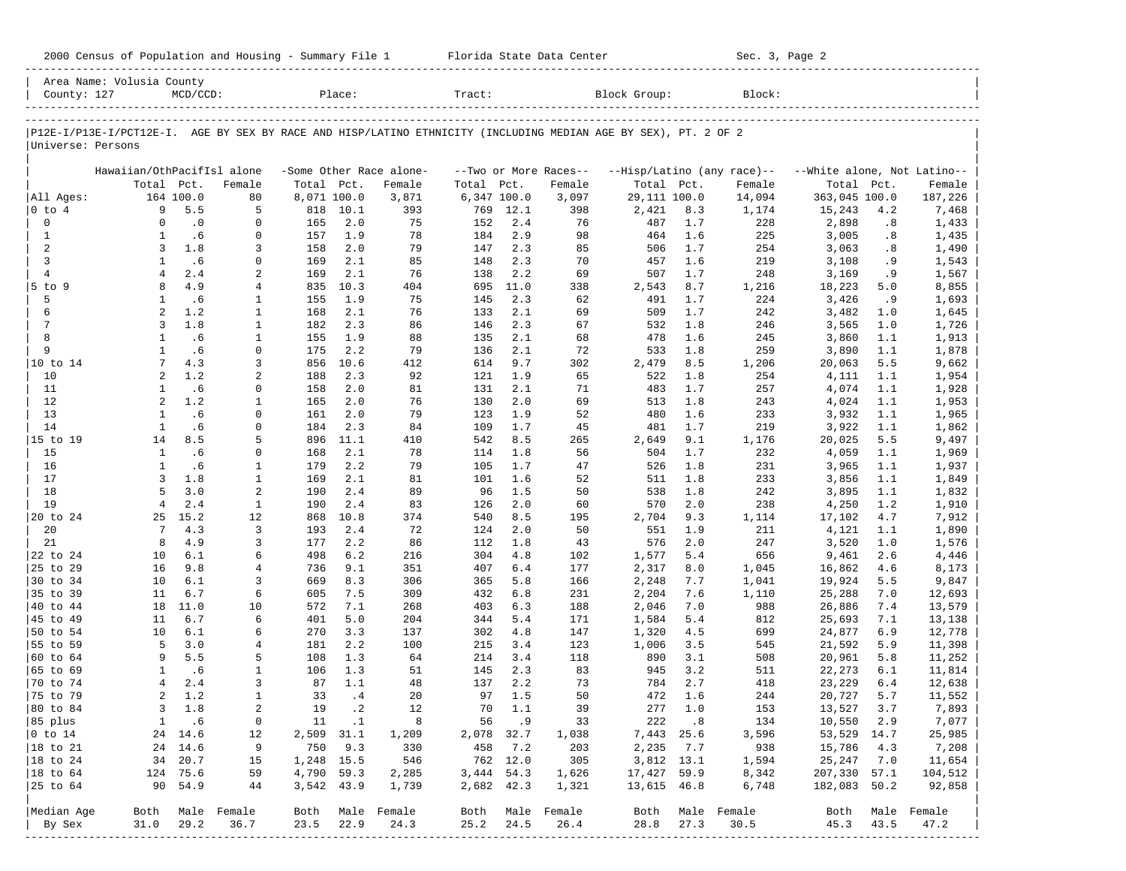| 2000 Census of Population and Housing - Summary File 1 |  | Florida State Data Center | Sec. 3, Page 2 |
|--------------------------------------------------------|--|---------------------------|----------------|
|--------------------------------------------------------|--|---------------------------|----------------|

|                      | Area Name: Volusia County                                                                                      |             |                             |             |            |                         |             |            |                       |              |            |                            |                             |            |                  |
|----------------------|----------------------------------------------------------------------------------------------------------------|-------------|-----------------------------|-------------|------------|-------------------------|-------------|------------|-----------------------|--------------|------------|----------------------------|-----------------------------|------------|------------------|
| County: 127          |                                                                                                                | $MCD/CCD$ : |                             |             | Place:     |                         | Tract:      |            |                       | Block Group: |            | Block:                     |                             |            |                  |
|                      |                                                                                                                |             |                             |             |            |                         |             |            |                       |              |            |                            |                             |            |                  |
| Universe: Persons    | P12E-I/P13E-I/PCT12E-I. AGE BY SEX BY RACE AND HISP/LATINO ETHNICITY (INCLUDING MEDIAN AGE BY SEX), PT. 2 OF 2 |             |                             |             |            |                         |             |            |                       |              |            |                            |                             |            |                  |
|                      | Hawaiian/OthPacifIsl alone                                                                                     |             |                             |             |            | -Some Other Race alone- |             |            | --Two or More Races-- |              |            | --Hisp/Latino (any race)-- | --White alone, Not Latino-- |            |                  |
|                      | Total Pct.                                                                                                     |             | Female                      | Total Pct.  |            | Female                  | Total       | Pct.       | Female                | Total Pct.   |            | Female                     | Total                       | Pct.       | Female           |
| All Ages:            |                                                                                                                | 164 100.0   | 80                          | 8,071 100.0 |            | 3,871                   | 6,347 100.0 |            | 3,097                 | 29,111 100.0 |            | 14,094                     | 363,045 100.0               |            | 187,226          |
| $ 0 \tto 4$          | 9                                                                                                              | 5.5         | 5                           | 818         | 10.1       | 393                     | 769         | 12.1       | 398                   | 2,421        | 8.3        | 1,174                      | 15,243                      | 4.2        | 7,468            |
| 0                    | $\Omega$                                                                                                       | $\cdot$ 0   | $\mathbf 0$                 | 165         | 2.0        | 75                      | 152         | 2.4        | 76                    | 487          | 1.7        | 228                        | 2,898                       | .8         | 1,433            |
| $\mathbf{1}$         | $\mathbf{1}$                                                                                                   | .6          | $\mathbf 0$                 | 157         | 1.9        | 78                      | 184         | 2.9        | 98                    | 464          | 1.6        | 225                        | 3,005                       | .8         | 1,435            |
| 2                    | 3                                                                                                              | 1.8         | 3                           | 158         | 2.0        | 79                      | 147         | 2.3        | 85                    | 506          | 1.7        | 254                        | 3,063                       | .8         | 1,490            |
| 3                    | $\mathbf{1}$                                                                                                   | .6          | $\mathbf 0$                 | 169         | 2.1        | 85                      | 148         | 2.3        | 70                    | 457          | 1.6        | 219                        | 3,108                       | . 9        | 1,543            |
| $\overline{4}$       | $\overline{4}$                                                                                                 | 2.4         | 2                           | 169         | 2.1        | 76                      | 138         | 2.2        | 69                    | 507          | 1.7        | 248                        | 3,169                       | . 9        | 1,567            |
| 5 to 9               | 8                                                                                                              | 4.9         | 4                           | 835         | 10.3       | 404                     | 695         | 11.0       | 338                   | 2,543        | 8.7        | 1,216                      | 18,223                      | 5.0        | 8,855            |
| 5                    | $\mathbf{1}$                                                                                                   | .6          | 1                           | 155         | 1.9        | 75                      | 145         | 2.3        | 62                    | 491          | 1.7        | 224                        | 3,426                       | .9         | 1,693            |
| 6<br>7               | $\overline{a}$<br>$\overline{3}$                                                                               | 1.2<br>1.8  | $\mathbf{1}$                | 168         | 2.1        | 76                      | 133         | 2.1        | 69                    | 509          | 1.7        | 242                        | 3,482                       | 1.0        | 1,645            |
| 8                    | $\mathbf{1}$                                                                                                   | .6          | $\mathbf{1}$                | 182         | 2.3<br>1.9 | 86                      | 146         | 2.3        | 67                    | 532          | 1.8        | 246                        | 3,565                       | 1.0        | 1,726            |
| 9                    | $\mathbf{1}$                                                                                                   | .6          | $\mathbf{1}$<br>$\mathbf 0$ | 155<br>175  | 2.2        | 88<br>79                | 135<br>136  | 2.1<br>2.1 | 68<br>72              | 478          | 1.6<br>1.8 | 245<br>259                 | 3,860                       | 1.1<br>1.1 | 1,913            |
| 10 to 14             | 7                                                                                                              | 4.3         | 3                           | 856         | 10.6       | 412                     | 614         | 9.7        | 302                   | 533<br>2,479 | 8.5        | 1,206                      | 3,890<br>20,063             | 5.5        | 1,878<br>9,662   |
| 10                   | $\overline{a}$                                                                                                 | 1.2         | 2                           | 188         | 2.3        | 92                      | 121         | 1.9        | 65                    | 522          | 1.8        | 254                        | 4,111                       | 1.1        | 1,954            |
| 11                   | $\mathbf{1}$                                                                                                   | .6          | $\mathbf 0$                 | 158         | 2.0        | 81                      | 131         | 2.1        | 71                    | 483          | 1.7        | 257                        | 4,074                       | 1.1        | 1,928            |
| 12                   | $\overline{a}$                                                                                                 | 1.2         | $\mathbf{1}$                | 165         | 2.0        | 76                      | 130         | 2.0        | 69                    | 513          | 1.8        | 243                        | 4,024                       | 1.1        | 1,953            |
| 13                   | $\mathbf{1}$                                                                                                   | .6          | $\mathbf 0$                 | 161         | 2.0        | 79                      | 123         | 1.9        | 52                    | 480          | 1.6        | 233                        | 3,932                       | 1.1        | 1,965            |
| 14                   | $\mathbf{1}$                                                                                                   | .6          | $\mathbf 0$                 | 184         | 2.3        | 84                      | 109         | 1.7        | 45                    | 481          | 1.7        | 219                        | 3,922                       | 1.1        | 1,862            |
| 15 to 19             | 14                                                                                                             | 8.5         | 5                           | 896         | 11.1       | 410                     | 542         | 8.5        | 265                   | 2,649        | 9.1        | 1,176                      | 20,025                      | 5.5        | 9,497            |
| 15                   | $\mathbf{1}$                                                                                                   | .6          | $\mathbf 0$                 | 168         | 2.1        | 78                      | 114         | 1.8        | 56                    | 504          | 1.7        | 232                        | 4,059                       | 1.1        | 1,969            |
| 16                   | $\mathbf{1}$                                                                                                   | .6          | $\mathbf{1}$                | 179         | 2.2        | 79                      | 105         | 1.7        | 47                    | 526          | 1.8        | 231                        | 3,965                       | 1.1        | 1,937            |
| 17                   | $\overline{3}$                                                                                                 | 1.8         | $\mathbf{1}$                | 169         | 2.1        | 81                      | 101         | 1.6        | 52                    | 511          | 1.8        | 233                        | 3,856                       | 1.1        | 1,849            |
| 18                   | 5                                                                                                              | 3.0         | 2                           | 190         | 2.4        | 89                      | 96          | 1.5        | 50                    | 538          | 1.8        | 242                        | 3,895                       | 1.1        | 1,832            |
| 19                   | $\overline{4}$                                                                                                 | 2.4         | $\mathbf{1}$                | 190         | 2.4        | 83                      | 126         | 2.0        | 60                    | 570          | 2.0        | 238                        | 4,250                       | 1.2        | 1,910            |
| 20 to 24             | 25                                                                                                             | 15.2        | 12                          | 868         | 10.8       | 374                     | 540         | 8.5        | 195                   | 2,704        | 9.3        | 1,114                      | 17,102                      | 4.7        | 7,912            |
| 20                   | 7                                                                                                              | 4.3         | 3                           | 193         | 2.4        | 72                      | 124         | 2.0        | 50                    | 551          | 1.9        | 211                        | 4,121                       | 1.1        | 1,890            |
| 21                   | 8                                                                                                              | 4.9         | 3                           | 177         | 2.2        | 86                      | 112         | 1.8        | 43                    | 576          | 2.0        | 247                        | 3,520                       | 1.0        | 1,576            |
| 22 to 24             | 10                                                                                                             | 6.1         | 6                           | 498         | 6.2        | 216                     | 304         | 4.8        | 102                   | 1,577        | 5.4        | 656                        | 9,461                       | 2.6        | 4,446            |
| 25 to 29             | 16                                                                                                             | 9.8         | 4                           | 736         | 9.1        | 351                     | 407         | 6.4        | 177                   | 2,317        | 8.0        | 1,045                      | 16,862                      | 4.6        | 8,173            |
| 30 to 34             | 10                                                                                                             | 6.1         | 3                           | 669         | 8.3        | 306                     | 365         | 5.8        | 166                   | 2,248        | 7.7        | 1,041                      | 19,924                      | 5.5        | 9,847            |
| 35 to 39             | 11                                                                                                             | 6.7         | 6                           | 605         | 7.5        | 309                     | 432         | 6.8        | 231                   | 2,204        | 7.6        | 1,110                      | 25,288                      | 7.0        | 12,693           |
| 40 to 44             | 18                                                                                                             | 11.0        | 10                          | 572         | 7.1        | 268                     | 403         | 6.3        | 188                   | 2,046        | 7.0        | 988                        | 26,886                      | 7.4        | 13,579           |
| 45 to 49             | 11                                                                                                             | 6.7         | 6                           | 401         | 5.0        | 204                     | 344         | 5.4        | 171                   | 1,584        | 5.4        | 812                        | 25,693                      | 7.1        | 13,138           |
| 50 to 54             | 10                                                                                                             | 6.1         | 6                           | 270         | 3.3        | 137                     | 302         | 4.8        | 147                   | 1,320        | 4.5        | 699                        | 24,877                      | 6.9        | 12,778           |
| 55 to 59             | 5                                                                                                              | 3.0         | 4                           | 181         | 2.2        | 100                     | 215         | 3.4        | 123                   | 1,006        | 3.5        | 545                        | 21,592                      | 5.9        | 11,398           |
| 60 to 64             | 9                                                                                                              | 5.5         | 5                           | 108         | 1.3        | 64                      | 214         | 3.4        | 118                   | 890          | 3.1        | 508                        | 20,961                      | 5.8        | 11,252           |
| 65 to 69             | 1                                                                                                              | .6          | 1                           | 106         | 1.3        | 51                      | 145         | 2.3        | 83                    | 945          | 3.2        | 511                        | 22,273                      | 6.1        | 11,814           |
| 70 to 74             | $\overline{4}$                                                                                                 | 2.4         | 3                           | 87          | 1.1        | 48                      | 137         | 2.2        | 73                    | 784          | 2.7        | 418                        | 23,229                      | 6.4        | 12,638           |
| 75 to 79             | $\overline{a}$                                                                                                 | 1.2         | $\mathbf{1}$                | 33          | .4         | 20                      | 97          | 1.5        | 50                    | 472          | 1.6        | 244                        | 20,727                      | 5.7        | 11,552           |
| 80 to 84             | $\overline{3}$                                                                                                 | 1.8         | 2                           | 19          | $\cdot$ 2  | 12                      | 70          | 1.1        | 39                    | 277          | 1.0        | 153                        | 13,527                      | 3.7        | 7,893            |
| 85 plus              |                                                                                                                | 1.6         | 0                           |             | 11 .1      |                         | 56 .9       |            | 33                    |              | 222. 8     | 134                        | $10,550$ 2.9                |            | 7,077            |
| $ 0 \t{to} 14$       |                                                                                                                | 24 14.6     | 12                          | 2,509 31.1  |            | 1,209                   | 2,078 32.7  |            | 1,038                 |              | 7,443 25.6 | 3,596                      | 53,529 14.7                 |            | 25,985           |
| $ 18 \text{ to } 21$ |                                                                                                                | 24 14.6     | 9                           | 750         | 9.3        | 330                     | 458         | 7.2        | 203                   |              | 2,235 7.7  | 938                        | 15,786                      | 4.3        | 7,208            |
| $ 18 \text{ to } 24$ |                                                                                                                | 34 20.7     | 15                          | 1,248 15.5  |            | 546                     |             | 762 12.0   | 305                   |              | 3,812 13.1 | 1,594                      | 25,247                      | 7.0        | 11,654           |
| $ 18 \text{ to } 64$ |                                                                                                                | 124 75.6    | 59                          | 4,790 59.3  |            | 2,285                   | 3,444 54.3  |            | 1,626                 | 17,427 59.9  |            | 8,342                      | 207,330 57.1                |            | 104,512          |
| 25 to 64             |                                                                                                                | 90 54.9     | 44                          | 3,542 43.9  |            | 1,739                   | 2,682 42.3  |            | 1,321                 | 13,615 46.8  |            | 6,748                      | 182,083 50.2                |            | 92,858           |
| Median Age           |                                                                                                                |             | Both Male Female            |             |            | Both Male Female        |             |            | Both Male Female      |              |            | Both Male Female           |                             |            | Both Male Female |
| By Sex               | 31.0                                                                                                           | 29.2        | 36.7                        | 23.5        | 22.9       | 24.3                    | 25.2        | 24.5       | 26.4                  | 28.8         | 27.3       | 30.5                       | 45.3                        | 43.5       | 47.2             |
|                      |                                                                                                                |             |                             |             |            |                         |             |            |                       |              |            |                            |                             |            |                  |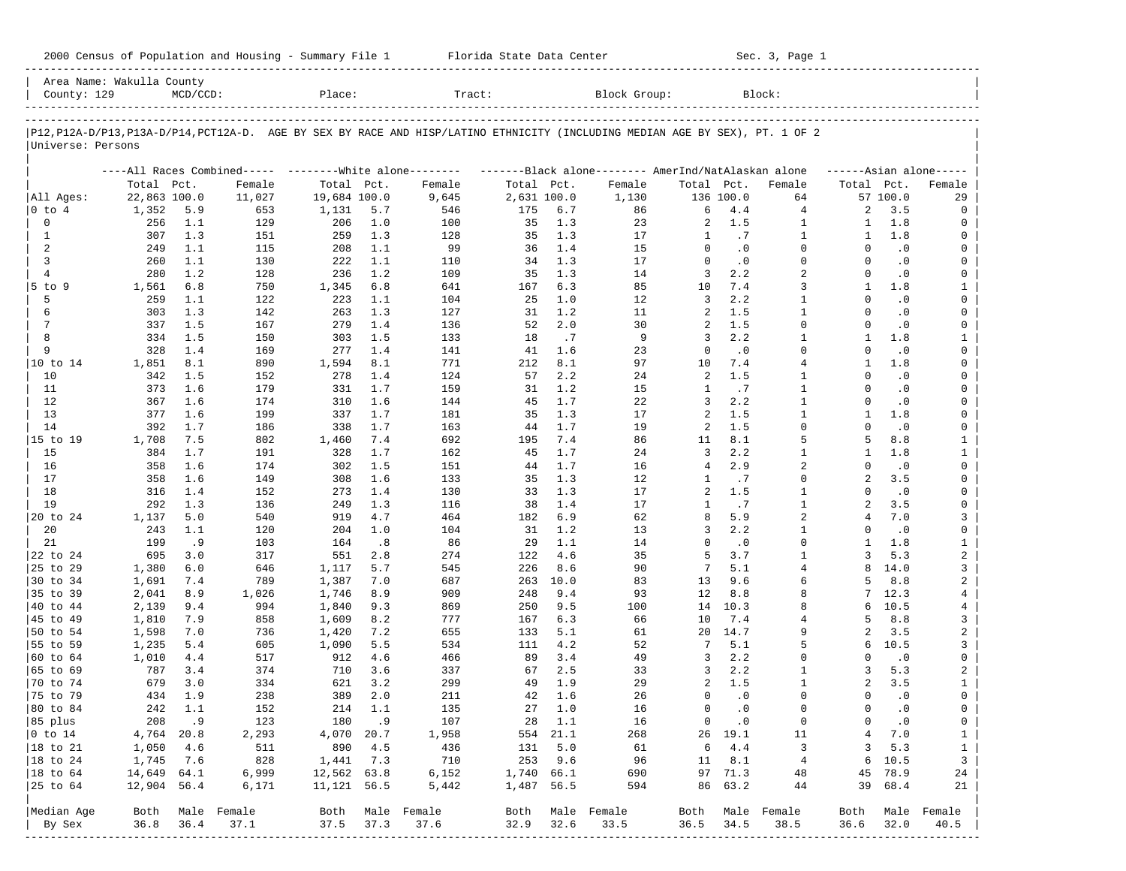| 2000 Census of Population and Housing - Summary File 1 |  | Florida State Data Center | Sec. 3, Page 1 |
|--------------------------------------------------------|--|---------------------------|----------------|
|--------------------------------------------------------|--|---------------------------|----------------|

| Area Name: Wakulla County<br>County: 129 |                | $MCD/CCD$ : |                                                         | Place:         |            | Tract:                                                                                                                     |             |            | Block Group:                                        |                |                        | Block:         |                      |                        |                         |
|------------------------------------------|----------------|-------------|---------------------------------------------------------|----------------|------------|----------------------------------------------------------------------------------------------------------------------------|-------------|------------|-----------------------------------------------------|----------------|------------------------|----------------|----------------------|------------------------|-------------------------|
|                                          |                |             |                                                         |                |            | P12,P12A-D/P13,P13A-D/P14,PCT12A-D. AGE BY SEX BY RACE AND HISP/LATINO ETHNICITY (INCLUDING MEDIAN AGE BY SEX), PT. 1 OF 2 |             |            |                                                     |                |                        |                |                      |                        |                         |
| Universe: Persons                        |                |             |                                                         |                |            |                                                                                                                            |             |            |                                                     |                |                        |                |                      |                        |                         |
|                                          |                |             | ----All Races Combined----- --------White alone-------- |                |            |                                                                                                                            |             |            | -------Black alone-------- AmerInd/NatAlaskan alone |                |                        |                |                      |                        | $---Asian alone---$     |
|                                          | Total Pct.     |             | Female                                                  | Total Pct.     |            | Female                                                                                                                     | Total Pct.  |            | Female                                              | Total Pct.     |                        | Female         | Total Pct.           |                        | Female                  |
| All Ages:                                | 22,863 100.0   |             | 11,027                                                  | 19,684 100.0   |            | 9,645                                                                                                                      | 2,631 100.0 |            | 1,130                                               |                | 136 100.0              | 64             |                      | 57 100.0               | 29                      |
| 0 to 4                                   | 1,352          | 5.9         | 653                                                     | 1,131          | 5.7        | 546                                                                                                                        | 175         | 6.7        | 86                                                  | 6              | 4.4                    | 4              | 2                    | 3.5                    | 0                       |
| 0                                        | 256            | 1.1         | 129                                                     | 206            | 1.0        | 100                                                                                                                        | 35          | 1.3        | 23                                                  | 2              | 1.5                    | $\mathbf{1}$   | 1                    | 1.8                    | 0                       |
| $\mathbf{1}$                             | 307            | 1.3         | 151                                                     | 259            | 1.3        | 128                                                                                                                        | 35          | 1.3        | 17                                                  | 1<br>$\Omega$  | .7                     | 1<br>$\Omega$  | 1                    | 1.8                    | 0                       |
| 2<br>3                                   | 249<br>260     | 1.1<br>1.1  | 115<br>130                                              | 208<br>222     | 1.1<br>1.1 | 99<br>110                                                                                                                  | 36<br>34    | 1.4<br>1.3 | 15<br>17                                            | $\Omega$       | $\cdot$ 0<br>$\cdot$ 0 | $\Omega$       | $\Omega$<br>$\Omega$ | $\cdot$ 0<br>$\cdot$ 0 | 0<br>0                  |
| $\overline{4}$                           | 280            | 1.2         | 128                                                     | 236            | 1.2        | 109                                                                                                                        | 35          | 1.3        | 14                                                  | 3              | 2.2                    | $\overline{2}$ | $\Omega$             | $\cdot$ 0              | 0                       |
| $5$ to $9$                               | 1,561          | 6.8         | 750                                                     | 1,345          | 6.8        | 641                                                                                                                        | 167         | 6.3        | 85                                                  | 10             | 7.4                    | 3              | -1                   | 1.8                    | $\mathbf{1}$            |
| 5                                        | 259            | 1.1         | 122                                                     | 223            | 1.1        | 104                                                                                                                        | 25          | 1.0        | 12                                                  | 3              | 2.2                    | $\mathbf{1}$   | $\Omega$             | $\cdot$ 0              | 0                       |
| 6                                        | 303            | 1.3         | 142                                                     | 263            | 1.3        | 127                                                                                                                        | 31          | 1.2        | 11                                                  | 2              | 1.5                    | $\mathbf{1}$   | $\Omega$             | $\cdot$ 0              | 0                       |
| 7                                        | 337            | 1.5         | 167                                                     | 279            | 1.4        | 136                                                                                                                        | 52          | 2.0        | 30                                                  | 2              | 1.5                    | $\Omega$       | $\Omega$             | $\cdot$ 0              | 0                       |
| 8                                        | 334            | 1.5         | 150                                                     | 303            | 1.5        | 133                                                                                                                        | 18          | .7         | 9                                                   | 3              | 2.2                    | $\mathbf{1}$   | -1                   | 1.8                    | $\mathbf{1}$            |
| 9                                        | 328            | 1.4         | 169                                                     | 277            | 1.4        | 141                                                                                                                        | 41          | 1.6        | 23                                                  | $\Omega$       | $\cdot$ 0              | $\Omega$       | $\Omega$             | $\cdot$ 0              | 0                       |
| 10 to 14                                 | 1,851          | 8.1         | 890                                                     | 1,594          | 8.1        | 771                                                                                                                        | 212         | 8.1        | 97                                                  | 10             | 7.4                    | $\overline{4}$ | $\mathbf{1}$         | 1.8                    | 0                       |
| 10                                       | 342            | 1.5         | 152                                                     | 278            | 1.4        | 124                                                                                                                        | 57          | 2.2        | 24                                                  | 2              | 1.5                    | $\mathbf{1}$   | $\Omega$             | $\cdot$ 0              | 0                       |
| 11                                       | 373            | 1.6         | 179                                                     | 331            | 1.7        | 159                                                                                                                        | 31          | 1.2        | 15                                                  | $\mathbf{1}$   | .7                     | $\mathbf{1}$   | $\Omega$             | $\cdot$ 0              | 0                       |
| 12                                       | 367            | 1.6         | 174                                                     | 310            | 1.6        | 144                                                                                                                        | 45          | 1.7        | 22                                                  | 3              | 2.2                    | $\mathbf{1}$   | $\Omega$             | $\cdot$ 0              | 0                       |
| 13                                       | 377            | 1.6         | 199                                                     | 337            | 1.7        | 181                                                                                                                        | 35          | 1.3        | 17                                                  | 2              | 1.5                    | 1              | 1                    | 1.8                    | 0                       |
| 14                                       | 392            | 1.7         | 186                                                     | 338            | 1.7        | 163                                                                                                                        | 44          | 1.7        | 19                                                  | 2              | 1.5                    | $\Omega$       | $\Omega$             | $\cdot$ 0              | 0                       |
| 15 to 19                                 | 1,708          | 7.5         | 802                                                     | 1,460          | 7.4        | 692                                                                                                                        | 195         | 7.4        | 86                                                  | 11             | 8.1                    | 5              | 5                    | 8.8                    | $\mathbf{1}$            |
| 15                                       | 384            | 1.7         | 191                                                     | 328            | 1.7        | 162                                                                                                                        | 45          | 1.7        | 24                                                  | 3              | 2.2                    | $\mathbf{1}$   | $\mathbf{1}$         | 1.8                    | $\mathbf{1}$            |
| 16                                       | 358            | 1.6         | 174                                                     | 302            | 1.5        | 151                                                                                                                        | 44          | 1.7        | 16                                                  | $\overline{4}$ | 2.9                    | 2              | $\Omega$             | $\cdot$ 0              | 0                       |
| 17                                       | 358            | 1.6         | 149                                                     | 308            | 1.6        | 133                                                                                                                        | 35          | 1.3        | 12                                                  | 1              | .7                     | $\mathbf 0$    | $\overline{a}$       | 3.5                    | 0                       |
| 18                                       | 316            | 1.4         | 152                                                     | 273            | 1.4        | 130                                                                                                                        | 33          | 1.3        | 17                                                  | 2              | 1.5                    | $\mathbf{1}$   | $\Omega$             | $\cdot$ 0              | 0                       |
| 19                                       | 292            | 1.3         | 136                                                     | 249            | 1.3        | 116                                                                                                                        | 38          | 1.4        | 17                                                  | 1              | .7                     | $\mathbf{1}$   | $\overline{a}$       | 3.5                    | 0                       |
| 20 to 24                                 | 1,137          | 5.0         | 540                                                     | 919            | 4.7        | 464                                                                                                                        | 182         | 6.9        | 62                                                  | 8              | 5.9                    | $\overline{a}$ | 4                    | 7.0                    | 3                       |
| 20                                       | 243            | 1.1         | 120                                                     | 204            | 1.0        | 104                                                                                                                        | 31          | 1.2        | 13                                                  | 3              | 2.2                    | $\mathbf{1}$   | $\Omega$             | $\cdot$ 0              | 0                       |
| 21                                       | 199            | .9          | 103                                                     | 164            | .8         | 86                                                                                                                         | 29          | 1.1        | 14                                                  | $\Omega$       | $\cdot$ 0              | $\Omega$       | $\mathbf{1}$         | 1.8                    | $\mathbf{1}$            |
| 22 to 24                                 | 695            | 3.0         | 317                                                     | 551            | 2.8        | 274                                                                                                                        | 122         | 4.6        | 35                                                  | 5              | 3.7                    | $\mathbf{1}$   | 3                    | 5.3                    | $\overline{a}$          |
| 25 to 29                                 | 1,380          | 6.0         | 646                                                     | 1,117          | 5.7        | 545                                                                                                                        | 226         | 8.6        | 90                                                  | 7              | 5.1                    | 4              | 8                    | 14.0                   | 3                       |
| 30 to 34                                 | 1,691          | 7.4         | 789                                                     | 1,387          | 7.0        | 687                                                                                                                        | 263         | 10.0       | 83                                                  | 13             | 9.6                    | 6              | 5                    | 8.8                    | 2                       |
| 35 to 39                                 | 2,041          | 8.9         | 1,026                                                   | 1,746          | 8.9        | 909                                                                                                                        | 248         | 9.4        | 93                                                  | 12             | 8.8                    | 8<br>8         | 7<br>б               | 12.3                   | 4                       |
| 40 to 44                                 | 2,139          | 9.4<br>7.9  | 994<br>858                                              | 1,840          | 9.3        | 869<br>777                                                                                                                 | 250<br>167  | 9.5<br>6.3 | 100<br>66                                           | 14<br>10       | 10.3<br>7.4            | 4              | 5                    | 10.5<br>8.8            | 4<br>3                  |
| 45 to 49<br>50 to 54                     | 1,810<br>1,598 | 7.0         | 736                                                     | 1,609<br>1,420 | 8.2<br>7.2 | 655                                                                                                                        | 133         | 5.1        | 61                                                  | 20             | 14.7                   | 9              | 2                    | 3.5                    | $\overline{\mathbf{c}}$ |
| 55 to 59                                 | 1,235          | 5.4         | 605                                                     | 1,090          | 5.5        | 534                                                                                                                        | 111         | 4.2        | 52                                                  | 7              | 5.1                    | 5              | 6                    | 10.5                   | 3                       |
| 60 to 64                                 | 1,010          | 4.4         | 517                                                     | 912            | 4.6        | 466                                                                                                                        | 89          | 3.4        | 49                                                  | 3              | 2.2                    | $\Omega$       | $\Omega$             | $\cdot$ 0              | 0                       |
| 65 to 69                                 | 787            | 3.4         | 374                                                     | 710            | 3.6        | 337                                                                                                                        | 67          | 2.5        | 33                                                  | 3              | 2.2                    | 1              | 3                    | 5.3                    | 2                       |
| 70 to 74                                 | 679            | 3.0         | 334                                                     | 621            | 3.2        | 299                                                                                                                        | 49          | 1.9        | 29                                                  | 2              | 1.5                    | $\mathbf{1}$   | $\overline{a}$       | 3.5                    | $\mathbf{1}$            |
| 75 to 79                                 | 434            | 1.9         | 238                                                     | 389            | 2.0        | 211                                                                                                                        | 42          | 1.6        | 26                                                  | $\Omega$       | $\cdot$ 0              | $\Omega$       | $\Omega$             | $\cdot$ 0              | 0                       |
| 80 to 84                                 | 242            | 1.1         | 152                                                     | 214            | 1.1        | 135                                                                                                                        | 27          | 1.0        | 16                                                  | 0              | $\cdot$ 0              | $\Omega$       | $\Omega$             | $\cdot$ 0              | 0                       |
| 85 plus                                  |                | 208.9       | 123                                                     | 180            | .9         | 107                                                                                                                        |             | 28 1.1     | 16                                                  |                | $0 \qquad .0$          | 0              | 0                    | $\cdot$ 0              | 0                       |
| $ 0 \t{to} 14$                           | 4,764 20.8     |             | 2,293                                                   | 4,070 20.7     |            | 1,958                                                                                                                      |             | 554 21.1   | 268                                                 |                | 26 19.1                | 11             | 4                    | 7.0                    | $\mathbf{1}$            |
| 18 to 21                                 | 1,050          | 4.6         | 511                                                     | 890            | 4.5        | 436                                                                                                                        | 131         | 5.0        | 61                                                  | 6              | 4.4                    | 3              | 3                    | 5.3                    | $\mathbf{1}$            |
| 18 to 24                                 | 1,745          | 7.6         | 828                                                     | 1,441          | 7.3        | 710                                                                                                                        | 253         | 9.6        | 96                                                  | 11             | 8.1                    | $\overline{4}$ | 6                    | 10.5                   | $\overline{3}$          |
| $ 18$ to $64$                            | 14,649 64.1    |             | 6,999                                                   | 12,562 63.8    |            | 6,152                                                                                                                      | 1,740 66.1  |            | 690                                                 |                | 97 71.3                | 48             | 45                   | 78.9                   | 24                      |
| 25 to 64                                 | 12,904 56.4    |             | 6,171                                                   | 11, 121 56.5   |            | 5,442                                                                                                                      | 1,487 56.5  |            | 594                                                 |                | 86 63.2                | 44             | 39                   | 68.4                   | 21                      |
| Median Age                               |                |             | Both Male Female                                        |                |            | Both Male Female                                                                                                           | Both        |            | Male Female                                         | Both           |                        | Male Female    | Both                 |                        | Male Female             |
| By Sex                                   | 36.8           | 36.4        | 37.1                                                    | 37.5           | 37.3       | 37.6                                                                                                                       | 32.9        | 32.6       | 33.5                                                | 36.5           | 34.5                   | 38.5           | 36.6                 | 32.0                   | 40.5                    |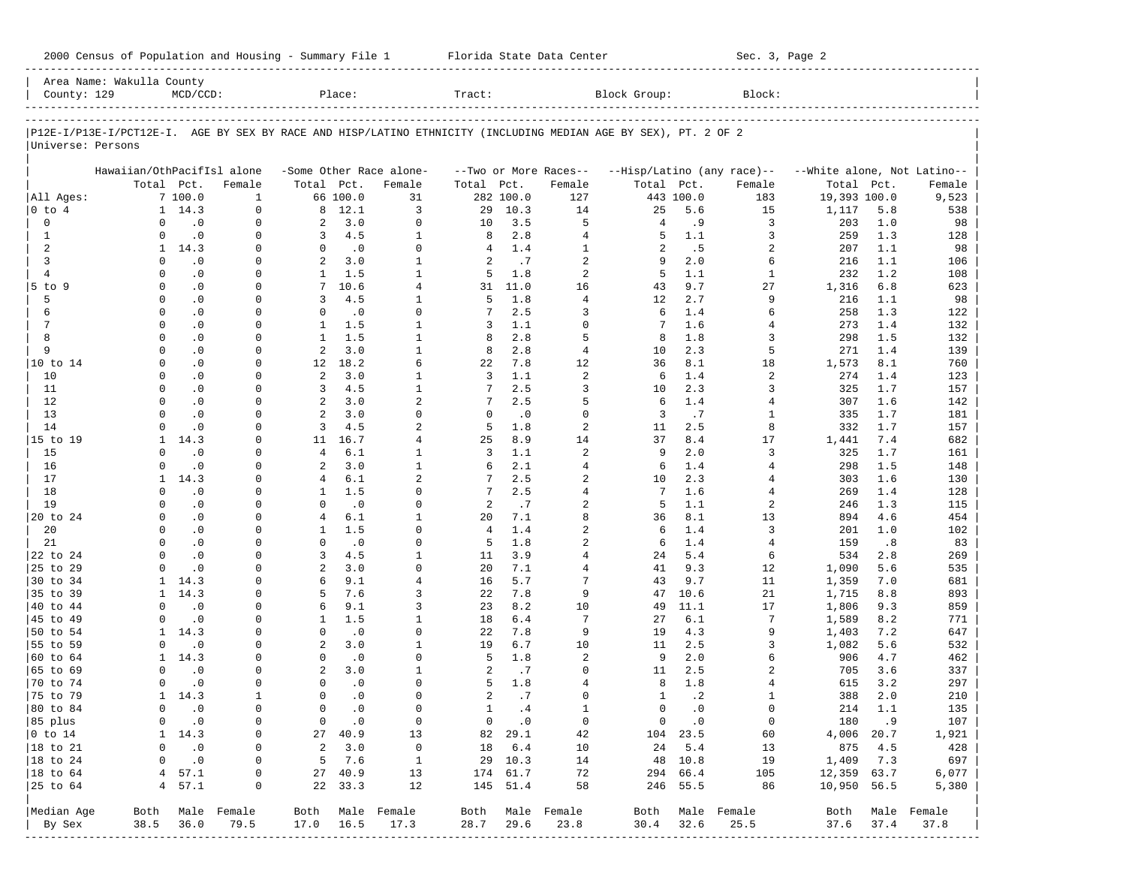| 2000 Census of Population and Housing - Summary File 1 |  | Florida State Data Center | Sec. 3, Page 2 |
|--------------------------------------------------------|--|---------------------------|----------------|
|--------------------------------------------------------|--|---------------------------|----------------|

| County: 129          | Area Name: Wakulla County                                                                                      | $MCD/CCD$ :                 |                          |                              | Place:        |                          | Tract:         |               |                       | Block Group:   |               | Block:                     |                             |            |                          |
|----------------------|----------------------------------------------------------------------------------------------------------------|-----------------------------|--------------------------|------------------------------|---------------|--------------------------|----------------|---------------|-----------------------|----------------|---------------|----------------------------|-----------------------------|------------|--------------------------|
|                      |                                                                                                                |                             |                          |                              |               |                          |                |               |                       |                |               |                            |                             |            |                          |
|                      | P12E-I/P13E-I/PCT12E-I. AGE BY SEX BY RACE AND HISP/LATINO ETHNICITY (INCLUDING MEDIAN AGE BY SEX), PT. 2 OF 2 |                             |                          |                              |               |                          |                |               |                       |                |               |                            |                             |            |                          |
| Universe: Persons    |                                                                                                                |                             |                          |                              |               |                          |                |               |                       |                |               |                            |                             |            |                          |
|                      | Hawaiian/OthPacifIsl alone                                                                                     |                             |                          |                              |               | -Some Other Race alone-  |                |               | --Two or More Races-- |                |               | --Hisp/Latino (any race)-- | --White alone, Not Latino-- |            |                          |
|                      |                                                                                                                | Total Pct.                  | Female                   | Total Pct.                   |               | Female                   | Total Pct.     |               | Female                | Total Pct.     |               | Female                     | Total                       | Pct.       | Female                   |
| All Ages:            |                                                                                                                | 7100.0                      | $\mathbf{1}$             |                              | 66 100.0      | 31                       |                | 282 100.0     | 127                   |                | 443 100.0     | 183                        | 19,393 100.0                |            | 9,523                    |
| $0$ to $4$           |                                                                                                                | $1 \quad 14.3$              | $\Omega$                 |                              | 8 12.1        | 3                        | 29             | 10.3          | 14                    | 25             | 5.6           | 15                         | 1,117                       | 5.8        | 538                      |
| $\mathbf 0$          | $\Omega$                                                                                                       | $\cdot$ 0                   | $\mathbf 0$              | 2                            | 3.0           | $\Omega$                 | 10             | 3.5           | 5                     | $\overline{4}$ | . 9           | 3                          | 203                         | 1.0        | 98                       |
| $\mathbf{1}$         | $\Omega$                                                                                                       | $\cdot$ 0                   | $\Omega$                 | 3                            | 4.5           | $\mathbf{1}$             | 8              | 2.8           | $\overline{4}$        | 5              | 1.1           | 3                          | 259                         | 1.3        | 128                      |
| 2                    | $\mathbf{1}$                                                                                                   | 14.3                        | 0                        | $\Omega$                     | $\cdot$ 0     | $\Omega$                 | 4              | 1.4           | $\mathbf{1}$          | 2              | .5            | 2                          | 207                         | 1.1        | 98                       |
| 3                    | $\Omega$                                                                                                       | $\cdot$ 0                   | $\Omega$                 | $\overline{a}$               | 3.0           | $\mathbf{1}$             | 2              | .7            | $\overline{2}$        | 9              | 2.0           | 6                          | 216                         | 1.1        | 106                      |
| $\overline{4}$       | $\Omega$                                                                                                       | $\cdot$ 0                   | 0                        | $\mathbf{1}$                 | 1.5           | $\mathbf{1}$             | 5              | 1.8           | $\overline{a}$        | 5              | 1.1           | $\mathbf{1}$               | 232                         | 1.2        | 108                      |
| 5 to 9               | $\Omega$                                                                                                       | $\cdot$ 0                   | $\Omega$                 | $7\phantom{.0}$              | 10.6          | $\overline{4}$           | 31             | 11.0          | 16                    | 43             | 9.7           | 27                         | 1,316                       | 6.8        | 623                      |
| 5                    | $\Omega$                                                                                                       | $\cdot$ 0                   | 0                        | 3                            | 4.5           | $\mathbf{1}$             | 5              | 1.8           | $\overline{4}$        | 12             | 2.7           | 9                          | 216                         | 1.1        | 98                       |
| 6<br>7               | $\Omega$<br>$\Omega$                                                                                           | $\cdot$ 0                   | $\Omega$                 | $\Omega$                     | $\cdot$ 0     | $\Omega$<br>$\mathbf{1}$ | 7              | 2.5           | 3<br>$\mathbf 0$      | 6              | 1.4           | 6                          | 258                         | 1.3        | 122                      |
| 8                    | $\Omega$                                                                                                       | $\cdot$ 0                   | 0<br>$\Omega$            | $\mathbf{1}$<br>$\mathbf{1}$ | 1.5<br>1.5    | $\mathbf{1}$             | 3              | 1.1<br>2.8    | 5                     | 7              | 1.6           | 4<br>3                     | 273                         | 1.4        | 132                      |
| 9                    | $\Omega$                                                                                                       | $\cdot$ 0<br>$\cdot$ 0      | 0                        | $\overline{a}$               | 3.0           | $\mathbf{1}$             | 8<br>8         | 2.8           | $\overline{4}$        | 8<br>10        | 1.8<br>2.3    | 5                          | 298<br>271                  | 1.5<br>1.4 | 132                      |
| 10 to 14             | $\Omega$                                                                                                       | $\cdot$ 0                   | $\Omega$                 | 12                           | 18.2          | 6                        | 22             | 7.8           | 12                    | 36             | 8.1           | 18                         | 1,573                       | 8.1        | 139<br>760               |
| 10                   | $\Omega$                                                                                                       | $\cdot$ 0                   | $\Omega$                 | 2                            | 3.0           | $\mathbf{1}$             | 3              | 1.1           | $\overline{2}$        | 6              | 1.4           | $\overline{a}$             | 274                         | 1.4        | 123                      |
| 11                   | $\Omega$                                                                                                       | $\cdot$ 0                   | $\Omega$                 | 3                            | 4.5           | $\mathbf{1}$             | 7              | 2.5           | 3                     | 10             | 2.3           | 3                          | 325                         | 1.7        | 157                      |
| 12                   | $\Omega$                                                                                                       | $\cdot$ 0                   | $\Omega$                 | $\overline{a}$               | 3.0           | $\overline{a}$           | 7              | 2.5           | 5                     | 6              | 1.4           | 4                          | 307                         | 1.6        | 142                      |
| 13                   | $\Omega$                                                                                                       | $\cdot$ 0                   | $\Omega$                 | 2                            | 3.0           | $\Omega$                 | $\Omega$       | $\cdot$ 0     | $\Omega$              | $\overline{3}$ | .7            | 1                          | 335                         | 1.7        | 181                      |
| 14                   | $\Omega$                                                                                                       | $\cdot$ 0                   | U                        | 3                            | 4.5           | $\overline{a}$           | 5              | 1.8           | $\overline{2}$        | 11             | 2.5           | 8                          | 332                         | 1.7        | 157                      |
| 15 to 19             | 1                                                                                                              | 14.3                        | $\Omega$                 | 11                           | 16.7          | $\overline{4}$           | 25             | 8.9           | 14                    | 37             | 8.4           | 17                         | 1,441                       | 7.4        | 682                      |
| 15                   | $\Omega$                                                                                                       | $\cdot$ 0                   | U                        | $\overline{4}$               | 6.1           | $\mathbf{1}$             | 3              | 1.1           | $\overline{a}$        | 9              | 2.0           | 3                          | 325                         | 1.7        | 161                      |
| 16                   | $\Omega$                                                                                                       | $\cdot$ 0                   | $\Omega$                 | 2                            | 3.0           | $\mathbf{1}$             | 6              | 2.1           | $\overline{4}$        | 6              | 1.4           | 4                          | 298                         | 1.5        | 148                      |
| 17                   | $\mathbf{1}$                                                                                                   | 14.3                        | $\Omega$                 | $\overline{4}$               | 6.1           | $\overline{a}$           | 7              | 2.5           | $\overline{2}$        | 10             | 2.3           | 4                          | 303                         | 1.6        | 130                      |
| 18                   | $\Omega$                                                                                                       | $\cdot$ 0                   | $\Omega$                 | $\mathbf{1}$                 | 1.5           | $\Omega$                 |                | 2.5           | $\overline{4}$        | 7              | 1.6           | 4                          | 269                         | 1.4        | 128                      |
| 19                   | $\Omega$                                                                                                       | $\cdot$ 0                   | 0                        | $\Omega$                     | $\cdot$ 0     | $\Omega$                 | 2              | .7            | $\overline{2}$        | 5              | 1.1           | 2                          | 246                         | 1.3        | 115                      |
| 20 to 24             | $\Omega$                                                                                                       | $\cdot$ 0                   | $\Omega$                 | $\overline{4}$               | 6.1           | $\mathbf{1}$             | 20             | 7.1           | 8                     | 36             | 8.1           | 13                         | 894                         | 4.6        | 454                      |
| 20                   | $\Omega$                                                                                                       | $\cdot$ 0                   | 0                        | $\mathbf{1}$                 | 1.5           | $\Omega$                 | $\overline{4}$ | 1.4           | $\overline{2}$        | 6              | 1.4           | 3                          | 201                         | 1.0        | 102                      |
| 21                   | $\Omega$                                                                                                       | $\cdot$ 0                   | $\Omega$                 | $\Omega$                     | .0            | $\Omega$                 | 5              | 1.8           | $\overline{2}$        | 6              | 1.4           | $\overline{4}$             | 159                         | .8         | 83                       |
| 22 to 24             | $\Omega$                                                                                                       | $\cdot$ 0                   | 0                        | 3                            | 4.5           | $\mathbf{1}$             | 11             | 3.9           | $\overline{4}$        | 24             | 5.4           | 6                          | 534                         | 2.8        | 269                      |
| 25 to 29             | $\Omega$                                                                                                       | $\cdot$ 0                   | <sup>0</sup>             | 2                            | 3.0           | $\Omega$                 | 20             | 7.1           | 4                     | 41             | 9.3           | 12                         | 1,090                       | 5.6        | 535                      |
| 30 to 34             | $\mathbf{1}$                                                                                                   | 14.3                        | <sup>0</sup>             | 6                            | 9.1           | 4                        | 16             | 5.7           | 7                     | 43             | 9.7           | 11                         | 1,359                       | 7.0        | 681                      |
| 35 to 39             | 1                                                                                                              | 14.3                        | $\Omega$                 | 5                            | 7.6           | 3                        | 22             | 7.8           | 9                     | 47             | 10.6          | 21                         | 1,715                       | 8.8        | 893                      |
| 40 to 44             | $\Omega$                                                                                                       | $\cdot$ 0                   | 0                        | 6                            | 9.1           | 3                        | 23             | 8.2           | 10                    | 49             | 11.1          | 17                         | 1,806                       | 9.3        | 859                      |
| 45 to 49             | $\Omega$                                                                                                       | $\cdot$ 0                   | $\Omega$                 | 1                            | 1.5           | $\mathbf{1}$             | 18             | 6.4           | 7                     | 27             | 6.1           | 7                          | 1,589                       | 8.2        | 771                      |
| 50 to 54             | 1                                                                                                              | 14.3                        | 0                        | $\mathbf 0$                  | $\cdot$ 0     | $\Omega$                 | 22             | 7.8           | 9                     | 19             | 4.3           | 9                          | 1,403                       | 7.2        | 647                      |
| 55 to 59             | $\Omega$                                                                                                       | $\cdot$ 0                   | $\Omega$                 | $\overline{a}$               | 3.0           | $\mathbf{1}$             | 19             | 6.7           | 10                    | 11             | 2.5           | 3                          | 1,082                       | 5.6        | 532                      |
| 60 to 64             | 1                                                                                                              | 14.3                        | $\Omega$                 | $\mathbf 0$                  | $\cdot$ 0     | $\Omega$                 | 5              | 1.8           | $\overline{2}$        | 9              | 2.0           | 6                          | 906                         | 4.7        | 462                      |
| 65 to 69             | $\Omega$                                                                                                       | $\cdot$ 0                   | $\Omega$                 | 2                            | 3.0           | $\mathbf{1}$             | 2              | .7            | $\Omega$              | 11             | 2.5           | 2                          | 705                         | 3.6        | 337                      |
| 70 to 74             | $\Omega$                                                                                                       | $\cdot$ 0                   | 0                        | $\Omega$                     | $\cdot$ 0     | $\Omega$                 | 5              | 1.8           | $\overline{4}$        | 8              | 1.8           | 4                          | 615                         | 3.2        | 297                      |
| 75 to 79             | $\mathbf{1}$                                                                                                   | 14.3                        | 1                        | $\Omega$                     | $\cdot$ 0     | $\Omega$                 | $\overline{a}$ | .7            | $\Omega$              | 1              | $\cdot$ 2     | 1                          | 388                         | 2.0        | 210                      |
| 80 to 84             | $\Omega$                                                                                                       | $\cdot$ 0                   | $\Omega$                 | $\Omega$                     | $\cdot$ 0     | $\Omega$                 | $\mathbf{1}$   | .4            | $\mathbf{1}$          | $\Omega$       | $\cdot$ 0     | $\Omega$                   | 214                         | 1.1        | 135                      |
| 85 plus              |                                                                                                                | $0 \qquad .0$               | 0                        |                              | $0 \qquad .0$ | $\circ$                  |                | $0 \qquad .0$ | $\overline{0}$        |                | $0 \qquad .0$ | $\overline{0}$             | 180.9                       |            | 107                      |
| $ 0 \t{to} 14$       |                                                                                                                | 1 14.3                      | 0                        |                              | 27 40.9       | 13                       |                | 82 29.1       | 42                    |                | 104 23.5      | 60                         | 4,006 20.7                  |            | 1,921                    |
| $ 18 \text{ to } 21$ | 0                                                                                                              | $\cdot$ 0                   | $\circ$                  |                              | 2, 3, 0       | $\overline{0}$           |                | 18 6.4        | 10                    |                | 24 5.4        | 13                         | 875 4.5                     |            | 428                      |
| $ 18 \text{ to } 24$ | $\mathbf 0$                                                                                                    | $\overline{\phantom{0}}$ .0 | 0                        |                              | 5 7.6         | $\overline{1}$           |                | 29 10.3       | 14                    |                | 48 10.8       | 19                         | 1,409 7.3                   |            | 697                      |
| $ 18 \text{ to } 64$ |                                                                                                                | 4, 57.1                     | 0                        |                              | 27 40.9       | 13                       |                | 174 61.7      | 72                    |                | 294 66.4      | 105                        | 12,359 63.7                 |            | 6,077                    |
| $ 25$ to $64$        |                                                                                                                | 4 57.1                      | 0                        |                              | 22 33.3       | 12                       |                | 145 51.4      | 58                    |                | 246 55.5      | 86                         | 10,950 56.5                 |            | 5,380                    |
|                      |                                                                                                                |                             |                          |                              |               |                          |                |               | Both Male Female      |                |               |                            |                             |            |                          |
| Median Age<br>By Sex | 38.5                                                                                                           | 36.0                        | Both Male Female<br>79.5 | 17.0 16.5                    |               | Both Male Female<br>17.3 | 28.7           | 29.6          | 23.8                  | 30.4           | 32.6          | Both Male Female<br>25.5   | 37.6 37.4                   |            | Both Male Female<br>37.8 |
|                      |                                                                                                                |                             | -----------------        |                              |               |                          |                |               |                       |                |               |                            |                             |            |                          |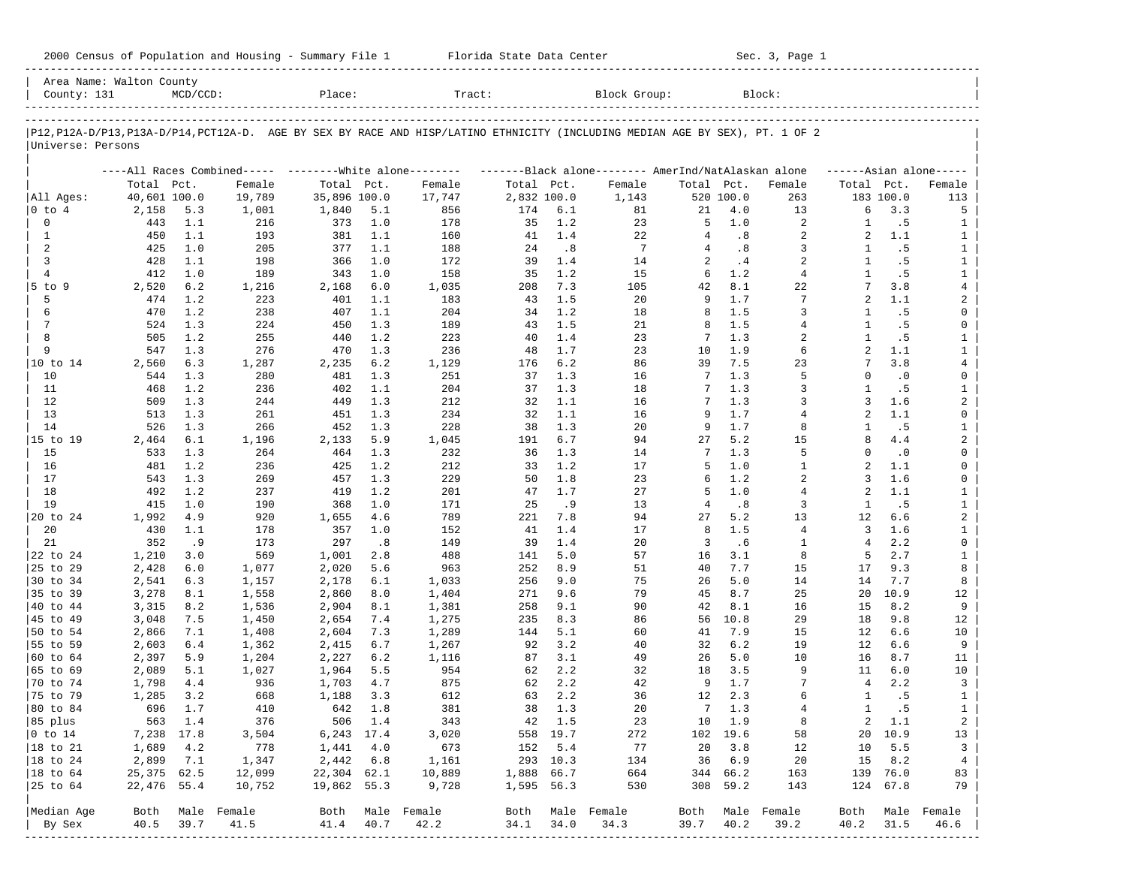| 2000 Census of Population and Housing - Summary File 1 |  | Florida State Data Center | Sec. 3, Page 1 |
|--------------------------------------------------------|--|---------------------------|----------------|
|--------------------------------------------------------|--|---------------------------|----------------|

| Area Name: Walton County<br>County: 131 |              | $MCD/CCD$ : |                                                         | Place:       |         | Tract:                                                                                                                     |             |          | Block Group:                                        |                |           | Block:          |                |           |                              |
|-----------------------------------------|--------------|-------------|---------------------------------------------------------|--------------|---------|----------------------------------------------------------------------------------------------------------------------------|-------------|----------|-----------------------------------------------------|----------------|-----------|-----------------|----------------|-----------|------------------------------|
|                                         |              |             |                                                         |              |         | P12,P12A-D/P13,P13A-D/P14,PCT12A-D. AGE BY SEX BY RACE AND HISP/LATINO ETHNICITY (INCLUDING MEDIAN AGE BY SEX), PT. 1 OF 2 |             |          |                                                     |                |           |                 |                |           |                              |
| Universe: Persons                       |              |             |                                                         |              |         |                                                                                                                            |             |          |                                                     |                |           |                 |                |           |                              |
|                                         |              |             | ----All Races Combined----- --------White alone-------- |              |         |                                                                                                                            |             |          | -------Black alone-------- AmerInd/NatAlaskan alone |                |           |                 |                |           | $---Asian alone---$          |
|                                         | Total Pct.   |             | Female                                                  | Total Pct.   |         | Female                                                                                                                     | Total Pct.  |          | Female                                              | Total Pct.     |           | Female          | Total Pct.     |           | Female                       |
| All Ages:                               | 40,601 100.0 |             | 19,789                                                  | 35,896 100.0 |         | 17,747                                                                                                                     | 2,832 100.0 |          | 1,143                                               |                | 520 100.0 | 263             |                | 183 100.0 | 113                          |
| 0 to 4                                  | 2,158        | 5.3         | 1,001                                                   | 1,840        | 5.1     | 856                                                                                                                        | 174         | 6.1      | 81                                                  | 21             | 4.0       | 13              | 6              | 3.3       | 5                            |
| 0                                       | 443          | 1.1         | 216                                                     | 373          | 1.0     | 178                                                                                                                        | 35          | 1.2      | 23                                                  | 5              | 1.0       | 2               | 1              | .5        | 1                            |
| $\mathbf{1}$                            | 450          | 1.1         | 193                                                     | 381          | 1.1     | 160                                                                                                                        | 41          | 1.4      | 22                                                  | $\overline{4}$ | .8        | 2               | 2              | 1.1       | $\mathbf{1}$                 |
| 2                                       | 425          | 1.0         | 205                                                     | 377          | 1.1     | 188                                                                                                                        | 24          | .8       | $7\phantom{.0}$                                     | 4              | .8        | 3               | 1              | .5        | $\mathbf{1}$                 |
| 3                                       | 428          | 1.1         | 198                                                     | 366          | 1.0     | 172                                                                                                                        | 39          | 1.4      | 14                                                  | 2              | .4        | 2               | 1              | .5        | $\mathbf{1}$                 |
| $\overline{4}$                          | 412          | 1.0         | 189                                                     | 343          | 1.0     | 158                                                                                                                        | 35          | 1.2      | 15                                                  | 6              | 1.2       | $\overline{4}$  | $\mathbf{1}$   | .5        | $\mathbf{1}$                 |
| $5$ to $9$                              | 2,520        | 6.2         | 1,216                                                   | 2,168        | 6.0     | 1,035                                                                                                                      | 208         | 7.3      | 105                                                 | 42             | 8.1       | 22              | 7              | 3.8       | $\overline{4}$               |
| 5                                       | 474          | 1.2         | 223                                                     | 401          | 1.1     | 183                                                                                                                        | 43          | 1.5      | 20                                                  | 9              | 1.7       | $7\phantom{.0}$ | $\overline{a}$ | 1.1       | 2                            |
| 6                                       | 470          | 1.2         | 238                                                     | 407          | 1.1     | 204                                                                                                                        | 34          | 1.2      | 18                                                  | 8              | 1.5       | 3               | 1              | .5        | 0                            |
| 7                                       | 524          | 1.3         | 224                                                     | 450          | 1.3     | 189                                                                                                                        | 43          | 1.5      | 21                                                  | 8              | 1.5       | $\overline{4}$  | -1             | . 5       | 0                            |
| 8                                       | 505          | 1.2         | 255                                                     | 440          | 1.2     | 223                                                                                                                        | 40          | 1.4      | 23                                                  | 7              | 1.3       | 2               | 1              | .5        | $\mathbf{1}$                 |
| 9                                       | 547          | 1.3         | 276                                                     | 470          | 1.3     | 236                                                                                                                        | 48          | 1.7      | 23                                                  | 10             | 1.9       | 6               | $\overline{a}$ | 1.1       | $\mathbf{1}$                 |
| 10 to 14                                | 2,560        | 6.3         | 1,287                                                   | 2,235        | 6.2     | 1,129                                                                                                                      | 176         | 6.2      | 86                                                  | 39             | 7.5       | 23              | 7              | 3.8       | $\overline{4}$               |
| 10                                      | 544          | 1.3         | 280                                                     | 481          | 1.3     | 251                                                                                                                        | 37          | 1.3      | 16                                                  | 7              | 1.3       | 5               | $\Omega$       | $\cdot$ 0 | 0                            |
| 11                                      | 468          | 1.2         | 236                                                     | 402          | 1.1     | 204                                                                                                                        | 37          | 1.3      | 18                                                  | 7              | 1.3       | 3               | 1              | .5        | $\mathbf{1}$                 |
| 12                                      | 509          | 1.3         | 244                                                     | 449          | 1.3     | 212                                                                                                                        | 32          | 1.1      | 16                                                  | 7              | 1.3       | 3               | 3              | 1.6       | 2                            |
| 13                                      | 513          | 1.3         | 261                                                     | 451          | 1.3     | 234                                                                                                                        | 32          | 1.1      | 16                                                  | 9              | 1.7       | 4               | 2              | 1.1       | 0                            |
| 14                                      | 526          | 1.3         | 266                                                     | 452          | 1.3     | 228                                                                                                                        | 38          | 1.3      | 20                                                  | 9              | 1.7       | 8               | 1              | .5        | $\mathbf{1}$                 |
| 15 to 19                                | 2,464        | 6.1         | 1,196                                                   | 2,133        | 5.9     | 1,045                                                                                                                      | 191         | 6.7      | 94                                                  | 27             | 5.2       | 15              | 8              | 4.4       | 2                            |
| 15                                      | 533          | 1.3         | 264                                                     | 464          | 1.3     | 232                                                                                                                        | 36          | 1.3      | 14                                                  | 7              | 1.3       | 5               | $\Omega$       | $\cdot$ 0 | 0                            |
| 16                                      | 481          | 1.2         | 236                                                     | 425          | 1.2     | 212                                                                                                                        | 33          | 1.2      | 17                                                  | 5              | 1.0       | 1               | 2              | 1.1       | 0                            |
| 17                                      | 543          | 1.3         | 269                                                     | 457          | 1.3     | 229                                                                                                                        | 50          | 1.8      | 23                                                  | 6              | 1.2       | $\overline{a}$  | 3              | 1.6       | 0                            |
| 18                                      | 492          | 1.2         | 237                                                     | 419          | 1.2     | 201                                                                                                                        | 47          | 1.7      | 27                                                  | 5              | 1.0       | $\overline{4}$  | 2              | 1.1       | $\mathbf{1}$                 |
| 19                                      | 415          | 1.0         | 190                                                     | 368          | 1.0     | 171                                                                                                                        | 25          | . 9      | 13                                                  | $\overline{4}$ | .8        | 3               | 1              | .5        | $\mathbf{1}$                 |
| 20 to 24                                | 1,992        | 4.9         | 920                                                     | 1,655        | 4.6     | 789                                                                                                                        | 221         | 7.8      | 94                                                  | 27             | 5.2       | 13              | 12             | 6.6       | $\overline{a}$               |
| 20                                      | 430          | 1.1         | 178                                                     | 357          | 1.0     | 152                                                                                                                        | 41          | 1.4      | 17                                                  | 8              | 1.5       | $\overline{4}$  | 3              | 1.6       | $\mathbf{1}$                 |
| 21                                      | 352          | .9          | 173                                                     | 297          | .8      | 149                                                                                                                        | 39          | 1.4      | 20                                                  | 3              | .6        | 1               | $\overline{4}$ | 2.2       | 0                            |
| 22 to 24                                | 1,210        | 3.0         | 569                                                     | 1,001        | 2.8     | 488                                                                                                                        | 141         | 5.0      | 57                                                  | 16             | 3.1       | 8               | 5              | 2.7       | $\mathbf{1}$                 |
| 25 to 29                                | 2,428        | 6.0         | 1,077                                                   | 2,020        | 5.6     | 963                                                                                                                        | 252         | 8.9      | 51                                                  | 40             | 7.7       | 15              | 17             | 9.3       | 8                            |
| 30 to 34                                | 2,541        | 6.3         | 1,157                                                   | 2,178        | 6.1     | 1,033                                                                                                                      | 256         | 9.0      | 75                                                  | 26             | 5.0       | 14              | 14             | 7.7       | 8                            |
| 35 to 39                                | 3,278        | 8.1         | 1,558                                                   | 2,860        | 8.0     | 1,404                                                                                                                      | 271         | 9.6      | 79                                                  | 45             | 8.7       | 25              | 20             | 10.9      | 12                           |
| 40 to 44                                | 3,315        | 8.2         | 1,536                                                   | 2,904        | 8.1     | 1,381                                                                                                                      | 258         | 9.1      | 90                                                  | 42             | 8.1       | 16              | 15             | 8.2       | 9                            |
| 45 to 49                                | 3,048        | 7.5         | 1,450                                                   | 2,654        | 7.4     | 1,275                                                                                                                      | 235         | 8.3      | 86                                                  | 56             | 10.8      | 29              | 18             | 9.8       | 12                           |
| 50 to 54                                | 2,866        | 7.1         | 1,408                                                   | 2,604        | 7.3     | 1,289                                                                                                                      | 144         | 5.1      | 60                                                  | 41             | 7.9       | 15              | 12             | 6.6       | 10                           |
| 55 to 59                                | 2,603        | $6.4$       | 1,362                                                   | 2,415        | 6.7     | 1,267                                                                                                                      | 92          | 3.2      | 40                                                  | 32             | 6.2       | 19              | 12             | 6.6       | 9                            |
| 60 to 64                                | 2,397        | 5.9         | 1,204                                                   | 2,227        | 6.2     | 1,116                                                                                                                      | 87          | 3.1      | 49                                                  | 26             | 5.0       | 10              | 16             | 8.7       | 11                           |
| 65 to 69                                | 2,089        | 5.1         | 1,027                                                   | 1,964        | 5.5     | 954                                                                                                                        | 62          | 2.2      | 32                                                  | 18             | 3.5       | 9               | 11             | 6.0       | 10                           |
| 70 to 74                                | 1,798        | 4.4         | 936                                                     | 1,703        | 4.7     | 875                                                                                                                        | 62          | 2.2      | 42                                                  | 9              | 1.7       | 7               | $\overline{4}$ | 2.2       | $\overline{3}$               |
| 75 to 79                                | 1,285        | 3.2         | 668                                                     | 1,188        | 3.3     | 612                                                                                                                        | 63          | 2.2      | 36                                                  | 12             | 2.3       | 6               | 1              | .5        |                              |
|                                         | 696          | 1.7         | 410                                                     | 642          | 1.8     | 381                                                                                                                        | 38          | 1.3      | 20                                                  | 7              | 1.3       | 4               | $\mathbf{1}$   | .5        | $\mathbf{1}$<br>$\mathbf{1}$ |
| 80 to 84                                |              |             |                                                         |              |         |                                                                                                                            |             |          |                                                     |                |           |                 |                |           |                              |
| 85 plus                                 |              | 563 1.4     | 376                                                     | 6,243 17.4   | 506 1.4 | 343                                                                                                                        |             | 42 1.5   | 23                                                  |                | 10 1.9    | 8               | 2              | 1.1       | $\overline{a}$               |
| $ 0 \t{to} 14$                          | 7,238 17.8   |             | 3,504                                                   |              |         | 3,020                                                                                                                      |             | 558 19.7 | 272                                                 |                | 102 19.6  | 58              |                | 20 10.9   | 13                           |
| 18 to 21                                | 1,689        | 4.2         | 778                                                     | 1,441        | 4.0     | 673                                                                                                                        | 152         | 5.4      | 77                                                  | 20             | 3.8       | 12              | 10             | 5.5       | 3                            |
| 18 to 24                                | 2,899        | 7.1         | 1,347                                                   | 2,442        | 6.8     | 1,161                                                                                                                      |             | 293 10.3 | 134                                                 | 36             | 6.9       | 20              | 15             | 8.2       | $4\overline{ }$              |
| $ 18$ to $64$                           | 25,375 62.5  |             | 12,099                                                  | 22,304 62.1  |         | 10,889                                                                                                                     | 1,888 66.7  |          | 664                                                 |                | 344 66.2  | 163             |                | 139 76.0  | 83                           |
| 25 to 64                                | 22,476 55.4  |             | 10,752                                                  | 19,862 55.3  |         | 9,728                                                                                                                      | 1,595 56.3  |          | 530                                                 |                | 308 59.2  | 143             |                | 124 67.8  | 79                           |
| Median Age                              | Both         |             | Male Female                                             |              |         | Both Male Female                                                                                                           |             |          | Both Male Female                                    | Both           |           | Male Female     | Both           |           | Male Female                  |
| By Sex                                  | 40.5         | 39.7        | 41.5                                                    | 41.4         | 40.7    | 42.2                                                                                                                       | 34.1        | 34.0     | 34.3                                                | 39.7           | 40.2      | 39.2            | 40.2           | 31.5      | 46.6                         |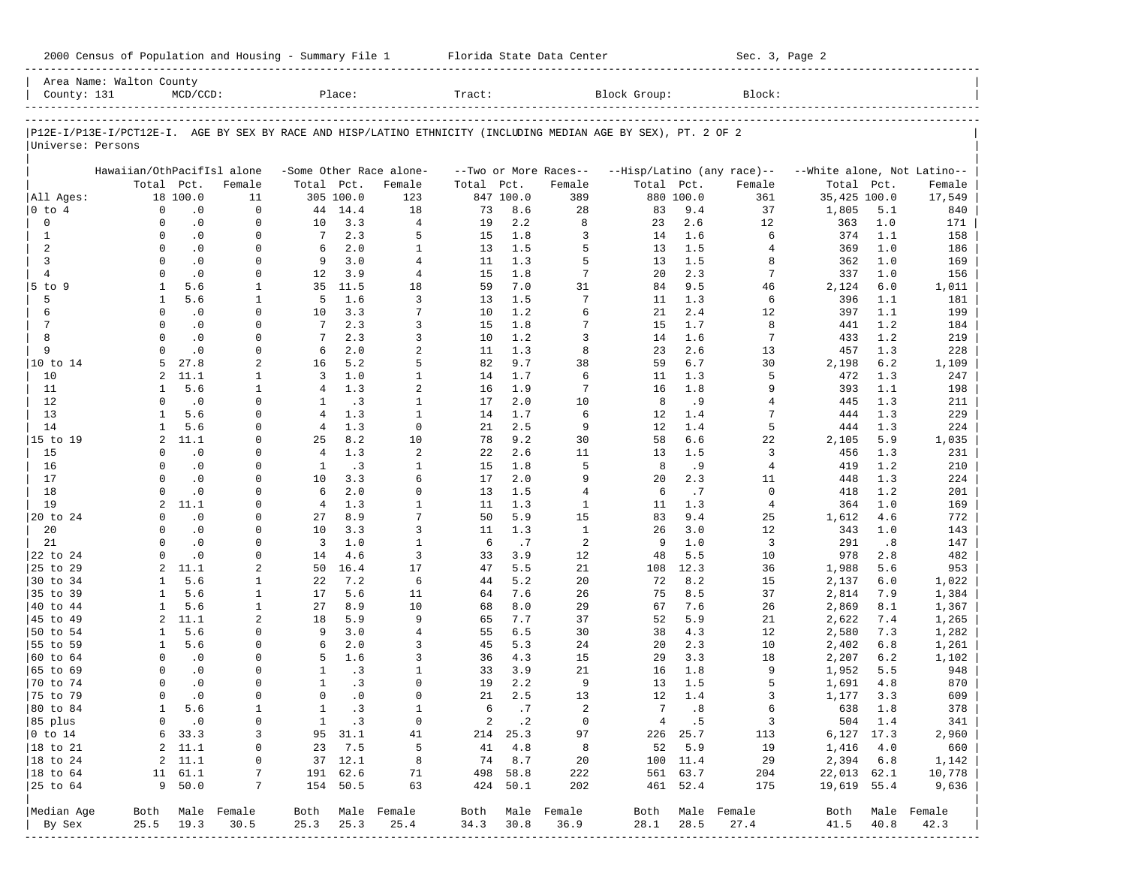| 2000 Census of Population and Housing - Summary File 1 |  | Florida State Data Center | Sec. 3, Page 2 |
|--------------------------------------------------------|--|---------------------------|----------------|
|--------------------------------------------------------|--|---------------------------|----------------|

| County: 131                 | Area Name: Walton County                                                                                       | $MCD/CCD$ :            |                           |                      | Place:        |                          | Tract:    |            |                          | Block Group: |             | Block:                     |                             |            |                          |
|-----------------------------|----------------------------------------------------------------------------------------------------------------|------------------------|---------------------------|----------------------|---------------|--------------------------|-----------|------------|--------------------------|--------------|-------------|----------------------------|-----------------------------|------------|--------------------------|
|                             |                                                                                                                |                        |                           |                      |               |                          |           |            |                          |              |             |                            |                             |            |                          |
|                             | P12E-I/P13E-I/PCT12E-I. AGE BY SEX BY RACE AND HISP/LATINO ETHNICITY (INCLUDING MEDIAN AGE BY SEX), PT. 2 OF 2 |                        |                           |                      |               |                          |           |            |                          |              |             |                            |                             |            |                          |
| Universe: Persons           |                                                                                                                |                        |                           |                      |               |                          |           |            |                          |              |             |                            |                             |            |                          |
|                             | Hawaiian/OthPacifIsl alone                                                                                     |                        |                           |                      |               | -Some Other Race alone-  |           |            | --Two or More Races--    |              |             | --Hisp/Latino (any race)-- | --White alone, Not Latino-- |            |                          |
|                             |                                                                                                                | Total Pct.             | Female                    | Total Pct.           |               | Female                   | Total     | Pct.       | Female                   | Total Pct.   |             | Female                     | Total Pct.                  |            | Female                   |
| All Ages:                   |                                                                                                                | 18 100.0               | 11                        |                      | 305 100.0     | 123                      |           | 847 100.0  | 389                      |              | 880 100.0   | 361                        | 35,425 100.0                |            | 17,549                   |
| $0$ to $4$                  | $\Omega$                                                                                                       | $\cdot$ 0              | $\Omega$                  | 44                   | 14.4          | 18                       | 73        | 8.6        | 28                       | 83           | 9.4         | 37                         | 1,805                       | 5.1        | 840                      |
| $\mathbf 0$                 | $\Omega$                                                                                                       | $\cdot$ 0              | $\mathbf 0$               | 10                   | 3.3           | $\overline{4}$           | 19        | 2.2        | 8                        | 23           | 2.6         | 12                         | 363                         | 1.0        | 171                      |
| $\mathbf{1}$                | $\Omega$                                                                                                       | $\cdot$ 0              | $\Omega$                  | $7\phantom{.0}$      | 2.3           | 5                        | 15        | 1.8        | 3                        | 14           | 1.6         | 6                          | 374                         | 1.1        | 158                      |
| 2                           | $\Omega$                                                                                                       | $\cdot$ 0              | $\Omega$                  | 6                    | 2.0           | $\mathbf{1}$             | 13        | 1.5        | 5                        | 13           | 1.5         | 4                          | 369                         | 1.0        | 186                      |
| $\overline{3}$              | $\Omega$                                                                                                       | $\cdot$ 0              | $\Omega$                  | 9                    | 3.0           | $\overline{4}$           | 11        | 1.3        | 5                        | 13           | 1.5         | 8                          | 362                         | 1.0        | 169                      |
| $\overline{4}$              | $\Omega$                                                                                                       | $\cdot$ 0              | 0                         | $12 \overline{ }$    | 3.9           | $\overline{4}$           | 15        | 1.8        | 7                        | 20           | 2.3         | 7                          | 337                         | 1.0        | 156                      |
| 5 to 9                      | $\mathbf{1}$                                                                                                   | 5.6                    | $\mathbf{1}$              | 35                   | 11.5          | 18                       | 59        | 7.0        | 31                       | 84           | 9.5         | 46                         | 2,124                       | 6.0        | 1,011                    |
| 5                           | $\mathbf{1}$                                                                                                   | 5.6                    | $\mathbf{1}$              | 5                    | 1.6           | 3                        | 13        | 1.5        | 7                        | 11           | 1.3         | 6                          | 396                         | 1.1        | 181                      |
| 6                           | $\Omega$                                                                                                       | $\cdot$ 0              | $\Omega$                  | 10                   | 3.3           | 7                        | 10        | 1.2        | 6                        | 21           | 2.4         | 12                         | 397                         | 1.1        | 199                      |
| 7<br>8                      | $\Omega$<br>$\Omega$                                                                                           | $\cdot$ 0<br>$\cdot$ 0 | $\Omega$<br>$\Omega$      | 7<br>$7\phantom{.0}$ | 2.3<br>2.3    | 3<br>3                   | 15        | 1.8<br>1.2 | 7                        | 15<br>14     | 1.7         | 8<br>$\overline{7}$        | 441                         | 1.2<br>1.2 | 184                      |
| 9                           | $\Omega$                                                                                                       | $\cdot$ 0              | $\Omega$                  | 6                    | 2.0           | $\overline{a}$           | 10<br>11  | 1.3        | 3<br>8                   | 23           | 1.6<br>2.6  | 13                         | 433<br>457                  | 1.3        | 219<br>228               |
| 10 to 14                    | 5                                                                                                              | 27.8                   | 2                         | 16                   | 5.2           | 5                        | 82        | 9.7        | 38                       | 59           | 6.7         | 30                         | 2,198                       | 6.2        | 1,109                    |
| 10                          | 2                                                                                                              | 11.1                   | 1                         | 3                    | 1.0           | $\mathbf{1}$             | 14        | 1.7        | 6                        | 11           | 1.3         | 5                          | 472                         | 1.3        | 247                      |
| 11                          | 1                                                                                                              | 5.6                    | $\mathbf{1}$              | $\overline{4}$       | 1.3           | $\overline{a}$           | 16        | 1.9        | 7                        | 16           | 1.8         | 9                          | 393                         | 1.1        | 198                      |
| 12                          | $\Omega$                                                                                                       | $\cdot$ 0              | 0                         | 1                    | .3            | $\mathbf{1}$             | 17        | 2.0        | 10                       | 8            | . 9         | 4                          | 445                         | 1.3        | 211                      |
| 13                          | $\mathbf{1}$                                                                                                   | 5.6                    | $\Omega$                  | $\overline{4}$       | 1.3           | $\mathbf{1}$             | 14        | 1.7        | 6                        | 12           | 1.4         | 7                          | 444                         | 1.3        | 229                      |
| 14                          | $\mathbf{1}$                                                                                                   | 5.6                    | $\Omega$                  | $\overline{4}$       | 1.3           | $\mathbf 0$              | 21        | 2.5        | 9                        | 12           | 1.4         | 5                          | 444                         | 1.3        | 224                      |
| 15 to 19                    | 2                                                                                                              | 11.1                   | $\Omega$                  | 25                   | 8.2           | 10                       | 78        | 9.2        | 30                       | 58           | 6.6         | 22                         | 2,105                       | 5.9        | 1,035                    |
| 15                          | $\Omega$                                                                                                       | .0                     | $\Omega$                  | $\overline{4}$       | 1.3           | $\overline{a}$           | 22        | 2.6        | 11                       | 13           | 1.5         | 3                          | 456                         | 1.3        | 231                      |
| 16                          | $\Omega$                                                                                                       | $\cdot$ 0              | $\Omega$                  | $\mathbf{1}$         | $\cdot$ 3     | $\mathbf{1}$             | 15        | 1.8        | 5                        | 8            | .9          | $\overline{4}$             | 419                         | 1.2        | 210                      |
| 17                          | $\Omega$                                                                                                       | $\cdot$ 0              | 0                         | 10                   | 3.3           | 6                        | 17        | 2.0        | 9                        | 20           | 2.3         | 11                         | 448                         | 1.3        | 224                      |
| 18                          | $\Omega$                                                                                                       | $\cdot$ 0              | $\Omega$                  | 6                    | 2.0           | $\Omega$                 | 13        | 1.5        | $\overline{4}$           | 6            | .7          | 0                          | 418                         | 1.2        | 201                      |
| 19                          | 2                                                                                                              | 11.1                   | $\Omega$                  | $\overline{4}$       | 1.3           | $\mathbf{1}$             | 11        | 1.3        | $\mathbf{1}$             | 11           | 1.3         | $\overline{4}$             | 364                         | 1.0        | 169                      |
| 20 to 24                    | $\Omega$                                                                                                       | $\cdot$ 0              | $\Omega$                  | 27                   | 8.9           | 7                        | 50        | 5.9        | 15                       | 83           | 9.4         | 25                         | 1,612                       | 4.6        | 772                      |
| 20                          | $\Omega$                                                                                                       | $\cdot$ 0              | $\Omega$                  | 10                   | 3.3           | 3                        | 11        | 1.3        | $\mathbf{1}$             | 26           | 3.0         | 12                         | 343                         | 1.0        | 143                      |
| 21                          |                                                                                                                | $\cdot$ 0              | $\Omega$                  | 3                    | 1.0           | $\mathbf{1}$             | 6         | .7         | 2                        | 9            | 1.0         | 3                          | 291                         | .8         | 147                      |
| 22 to 24                    | $\Omega$                                                                                                       | $\cdot$ 0              | $\Omega$                  | 14                   | 4.6           | 3                        | 33        | 3.9        | 12                       | 48           | 5.5         | 10                         | 978                         | 2.8        | 482                      |
| 25 to 29<br>30 to 34        | 2<br>$\mathbf{1}$                                                                                              | 11.1<br>5.6            | 2                         | 50<br>22             | 16.4<br>7.2   | 17<br>6                  | 47<br>44  | 5.5<br>5.2 | 21<br>20                 | 108<br>72    | 12.3<br>8.2 | 36                         | 1,988                       | 5.6<br>6.0 | 953                      |
| 35 to 39                    | 1                                                                                                              | 5.6                    | 1<br>$\mathbf{1}$         | 17                   | 5.6           | 11                       | 64        | 7.6        | 26                       | 75           | 8.5         | 15<br>37                   | 2,137<br>2,814              | 7.9        | 1,022<br>1,384           |
| 40 to 44                    | $\mathbf{1}$                                                                                                   | 5.6                    | $\mathbf{1}$              | 27                   | 8.9           | 10                       | 68        | 8.0        | 29                       | 67           | 7.6         | 26                         | 2,869                       | 8.1        | 1,367                    |
| 45 to 49                    | 2                                                                                                              | 11.1                   | 2                         | 18                   | 5.9           | 9                        | 65        | 7.7        | 37                       | 52           | 5.9         | 21                         | 2,622                       | 7.4        | 1,265                    |
| 50 to 54                    | 1                                                                                                              | 5.6                    | 0                         | 9                    | 3.0           | $\overline{4}$           | 55        | 6.5        | 30                       | 38           | 4.3         | 12                         | 2,580                       | 7.3        | 1,282                    |
| 55 to 59                    | 1                                                                                                              | 5.6                    | $\Omega$                  | 6                    | 2.0           | 3                        | 45        | 5.3        | 24                       | 20           | 2.3         | 10                         | 2,402                       | 6.8        | 1,261                    |
| 60 to 64                    | $\Omega$                                                                                                       | $\cdot$ 0              | $\Omega$                  | 5                    | 1.6           | $\overline{3}$           | 36        | 4.3        | 15                       | 29           | 3.3         | 18                         | 2,207                       | 6.2        | 1,102                    |
| 65 to 69                    | $\Omega$                                                                                                       | $\cdot$ 0              | $\Omega$                  | $\mathbf{1}$         | .3            | $\mathbf{1}$             | 33        | 3.9        | 21                       | 16           | 1.8         | 9                          | 1,952                       | 5.5        | 948                      |
| 70 to 74                    | $\Omega$                                                                                                       | $\cdot$ 0              | $\Omega$                  | $\mathbf{1}$         | $\cdot$ 3     | $\Omega$                 | 19        | 2.2        | 9                        | 13           | 1.5         | 5                          | 1,691                       | 4.8        | 870                      |
| 75 to 79                    | $\Omega$                                                                                                       | $\cdot$ 0              | $\Omega$                  | $\Omega$             | $\cdot$ 0     | $\Omega$                 | 21        | 2.5        | 13                       | 12           | 1.4         | 3                          | 1,177                       | 3.3        | 609                      |
| 80 to 84                    | $\mathbf{1}$                                                                                                   | 5.6                    | $\mathbf{1}$              | $\mathbf{1}$         | .3            | $\mathbf{1}$             | 6         | .7         | $\overline{2}$           | 7            | .8          | 6                          | 638                         | 1.8        | 378                      |
| 85 plus                     |                                                                                                                | $0 \qquad .0$          | $\circ$                   |                      | 1 .3          | $\circ$                  |           | 2 .2       | $\overline{0}$           |              | 4.5         | $\overline{\mathbf{3}}$    | $504$ 1.4                   |            | 341                      |
| $ 0 \t\t \text{to} \t\t 14$ |                                                                                                                | 6 33.3                 | 3                         |                      | 95 31.1       | 41                       |           | 214 25.3   | 97                       |              | 226 25.7    | 113                        | 6,127 17.3                  |            | 2,960                    |
| 18 to 21                    |                                                                                                                | 2, 11.1                | $\circ$                   |                      | 23 7.5        | $-5$                     |           | 41 4.8     | $_{\rm 8}$               |              | 52 5.9      | 19                         | 1,416 4.0                   |            | 660                      |
| $ 18$ to $24$               |                                                                                                                | 2, 11.1                | 0                         |                      | 37 12.1       | 8                        |           | 74 8.7     | 20                       |              | 100 11.4    | 29                         | 2,394 6.8                   |            | 1,142                    |
| $ 18$ to $64$               |                                                                                                                | 11 61.1                | 7                         |                      | 191 62.6      | 71                       |           | 498 58.8   | 222                      |              | 561 63.7    | 204                        | 22,013 62.1                 |            | 10,778                   |
| 25 to 64                    |                                                                                                                | 9 50.0                 | 7                         |                      | 154 50.5      | 63                       |           | 424 50.1   | 202                      |              | 461 52.4    | 175                        | 19,619 55.4                 |            | 9,636                    |
|                             |                                                                                                                |                        |                           |                      |               |                          |           |            |                          |              |             |                            |                             |            |                          |
| Median Age<br>By Sex        |                                                                                                                | 25.5 19.3              | Both Male Female<br>30.5  |                      | $25.3$ $25.3$ | Both Male Female<br>25.4 | 34.3 30.8 |            | Both Male Female<br>36.9 | 28.1         | 28.5        | Both Male Female<br>27.4   | 41.5                        | 40.8       | Both Male Female<br>42.3 |
|                             |                                                                                                                |                        | ------------------------- |                      |               |                          |           |            |                          |              |             |                            |                             |            |                          |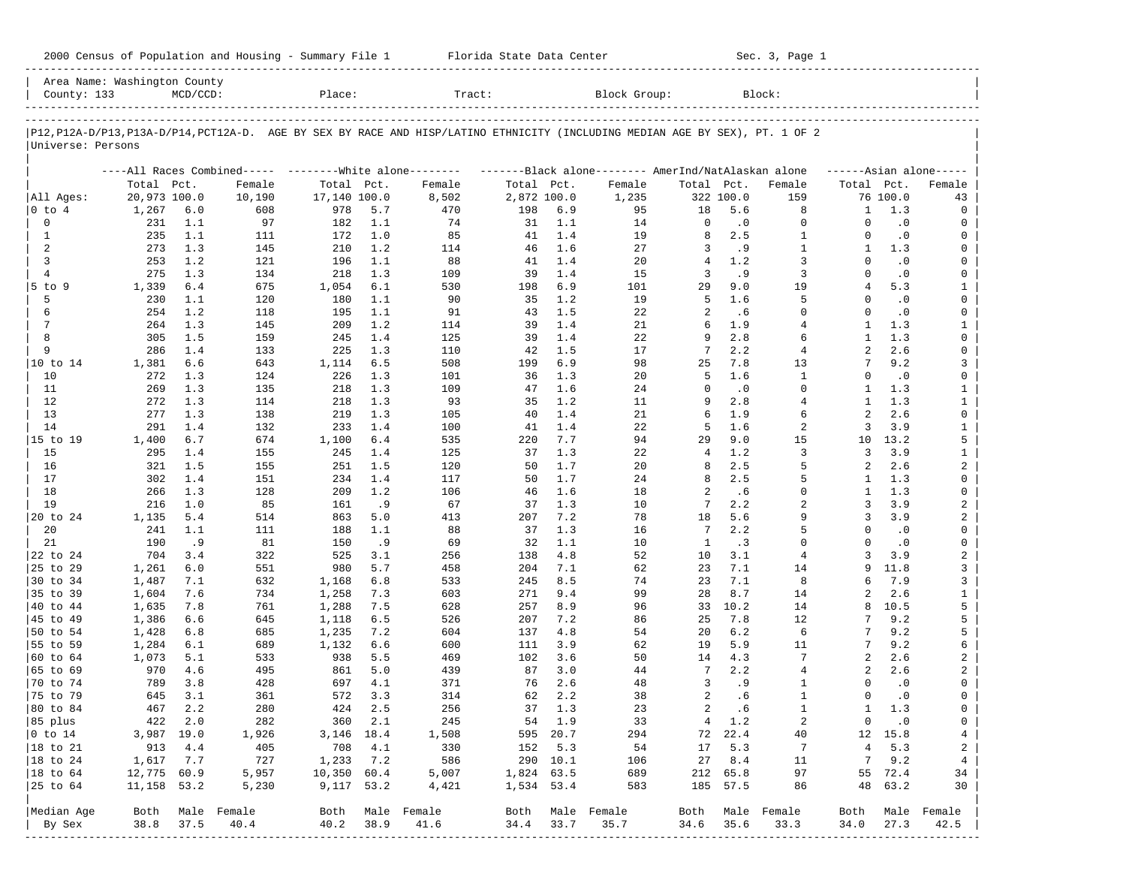| 2000 Census of Population and Housing - Summary File 1 |  | Florida State Data Center | Sec. 3, Page 1 |
|--------------------------------------------------------|--|---------------------------|----------------|
|--------------------------------------------------------|--|---------------------------|----------------|

| Area Name: Washington County<br>County: 133 |              | $MCD/CCD$ : |                                                         | Place:       |            | Tract:                                                                                                                     |             |            | Block Group:                                        |               |                  | Block:                   |                     |            |                     |
|---------------------------------------------|--------------|-------------|---------------------------------------------------------|--------------|------------|----------------------------------------------------------------------------------------------------------------------------|-------------|------------|-----------------------------------------------------|---------------|------------------|--------------------------|---------------------|------------|---------------------|
|                                             |              |             |                                                         |              |            |                                                                                                                            |             |            |                                                     |               |                  |                          |                     |            |                     |
| Universe: Persons                           |              |             |                                                         |              |            | P12,P12A-D/P13,P13A-D/P14,PCT12A-D. AGE BY SEX BY RACE AND HISP/LATINO ETHNICITY (INCLUDING MEDIAN AGE BY SEX), PT. 1 OF 2 |             |            |                                                     |               |                  |                          |                     |            |                     |
|                                             |              |             | ----All Races Combined----- --------White alone-------- |              |            |                                                                                                                            |             |            | -------Black alone-------- AmerInd/NatAlaskan alone |               |                  |                          |                     |            | $---Asian alone---$ |
|                                             | Total Pct.   |             | Female                                                  | Total Pct.   |            | Female                                                                                                                     | Total Pct.  |            | Female                                              | Total Pct.    |                  | Female                   | Total Pct.          |            | Female              |
| All Ages:                                   | 20,973 100.0 |             | 10,190                                                  | 17,140 100.0 |            | 8,502                                                                                                                      | 2,872 100.0 |            | 1,235                                               |               | 322 100.0        | 159                      |                     | 76 100.0   | 43                  |
| 0 to 4                                      | 1,267        | $6.0$       | 608                                                     | 978          | 5.7        | 470                                                                                                                        | 198         | 6.9        | 95                                                  | 18            | 5.6              | 8                        | 1                   | 1.3        | 0                   |
| 0                                           | 231          | 1.1         | 97                                                      | 182          | 1.1        | 74                                                                                                                         | 31          | 1.1        | 14                                                  | 0             | $\cdot$ 0        | $\mathbf 0$              | $\Omega$            | $\cdot$ 0  | 0                   |
| 1                                           | 235          | 1.1         | 111                                                     | 172          | 1.0        | 85                                                                                                                         | 41          | 1.4        | 19                                                  | 8             | 2.5              | $\mathbf{1}$             | $\Omega$            | $\cdot$ 0  | 0                   |
| 2                                           | 273          | 1.3         | 145                                                     | 210          | 1.2        | 114                                                                                                                        | 46          | 1.6        | 27                                                  | 3             | . 9              | $\mathbf{1}$             | $\mathbf{1}$        | 1.3        | 0                   |
| 3                                           | 253          | 1.2         | 121                                                     | 196          | 1.1        | 88                                                                                                                         | 41          | 1.4        | 20                                                  | 4             | 1.2              | 3                        | $\Omega$            | $\cdot$ 0  | 0                   |
| $\overline{4}$                              | 275          | 1.3         | 134                                                     | 218          | 1.3        | 109                                                                                                                        | 39          | 1.4        | 15                                                  | 3             | .9               | 3                        | $\Omega$            | $\cdot$ 0  | 0                   |
| $5$ to $9$                                  | 1,339        | 6.4         | 675                                                     | 1,054        | 6.1        | 530                                                                                                                        | 198         | 6.9        | 101                                                 | 29            | 9.0              | 19                       | 4                   | 5.3        | $\mathbf{1}$        |
| 5                                           | 230          | 1.1         | 120                                                     | 180          | 1.1        | 90                                                                                                                         | 35          | 1.2        | 19                                                  | 5             | 1.6              | 5                        | $\Omega$            | $\cdot$ 0  | 0                   |
| 6                                           | 254          | 1.2         | 118                                                     | 195          | 1.1        | 91                                                                                                                         | 43          | 1.5        | 22                                                  | 2             | .6               | $\Omega$                 | $\Omega$            | $\cdot$ 0  | 0                   |
| 7                                           | 264          | 1.3         | 145                                                     | 209          | 1.2        | 114                                                                                                                        | 39          | 1.4        | 21                                                  | 6             | 1.9              | $\overline{4}$           | $\mathbf{1}$        | 1.3        | $\mathbf{1}$        |
| 8                                           | 305          | 1.5         | 159                                                     | 245          | 1.4        | 125                                                                                                                        | 39          | 1.4        | 22                                                  | 9             | 2.8              | 6                        | -1                  | 1.3        | 0                   |
| 9                                           | 286          | 1.4         | 133                                                     | 225          | 1.3        | 110                                                                                                                        | 42          | 1.5        | 17                                                  | 7             | 2.2<br>7.8       | $\overline{4}$           | $\overline{a}$<br>7 | 2.6        | 0                   |
| 10 to 14                                    | 1,381        | 6.6         | 643                                                     | 1,114        | 6.5        | 508                                                                                                                        | 199         | 6.9        | 98                                                  | 25            |                  | 13                       |                     | 9.2        | 3                   |
| 10                                          | 272          | 1.3         | 124                                                     | 226          | 1.3        | 101                                                                                                                        | 36          | 1.3        | 20                                                  | 5<br>$\Omega$ | 1.6              | $\mathbf{1}$<br>$\Omega$ | $\Omega$            | $\cdot$ 0  | 0                   |
| 11                                          | 269          | 1.3         | 135                                                     | 218          | 1.3<br>1.3 | 109<br>93                                                                                                                  | 47          | 1.6<br>1.2 | 24                                                  | 9             | $\cdot$ 0<br>2.8 | $\overline{4}$           | -1.<br>$\mathbf{1}$ | 1.3<br>1.3 | $\mathbf{1}$        |
| 12<br>13                                    | 272          | 1.3         | 114                                                     | 218          |            |                                                                                                                            | 35<br>40    |            | 11                                                  | 6             | 1.9              | 6                        | 2                   | 2.6        | $\mathbf{1}$<br>0   |
| 14                                          | 277          | 1.3<br>1.4  | 138                                                     | 219          | 1.3<br>1.4 | 105                                                                                                                        |             | 1.4<br>1.4 | 21                                                  | 5             | 1.6              | 2                        | 3                   | 3.9        |                     |
| 15 to 19                                    | 291          | 6.7         | 132<br>674                                              | 233          | 6.4        | 100<br>535                                                                                                                 | 41          | 7.7        | 22<br>94                                            | 29            | 9.0              | 15                       | 10                  | 13.2       | $\mathbf{1}$<br>5   |
| 15                                          | 1,400<br>295 | 1.4         | 155                                                     | 1,100<br>245 | 1.4        | 125                                                                                                                        | 220<br>37   | 1.3        | 22                                                  | 4             | 1.2              | 3                        | 3                   | 3.9        | $\mathbf{1}$        |
| 16                                          | 321          | 1.5         | 155                                                     | 251          | 1.5        |                                                                                                                            | 50          | 1.7        | 20                                                  | 8             | 2.5              | 5                        | 2                   | 2.6        | 2                   |
| 17                                          | 302          | 1.4         | 151                                                     | 234          | 1.4        | 120<br>117                                                                                                                 | 50          | 1.7        | 24                                                  | 8             | 2.5              | 5                        | 1                   | 1.3        | 0                   |
| 18                                          | 266          | 1.3         | 128                                                     | 209          | 1.2        | 106                                                                                                                        | 46          | 1.6        | 18                                                  | 2             | .6               | $\Omega$                 | 1                   | 1.3        | 0                   |
| 19                                          | 216          | 1.0         | 85                                                      | 161          | .9         | 67                                                                                                                         | 37          | 1.3        | 10                                                  | 7             | 2.2              | $\overline{2}$           | 3                   | 3.9        | 2                   |
| 20 to 24                                    | 1,135        | 5.4         | 514                                                     | 863          | 5.0        | 413                                                                                                                        | 207         | 7.2        | 78                                                  | 18            | 5.6              | 9                        | 3                   | 3.9        | 2                   |
| 20                                          | 241          | 1.1         | 111                                                     | 188          | 1.1        | 88                                                                                                                         | 37          | 1.3        | 16                                                  | 7             | 2.2              | 5                        | $\Omega$            | $\cdot$ 0  | 0                   |
| 21                                          | 190          | .9          | 81                                                      | 150          | .9         | 69                                                                                                                         | 32          | 1.1        | 10                                                  | $\mathbf{1}$  | .3               | $\Omega$                 | $\Omega$            | $\cdot$ 0  | 0                   |
| 22 to 24                                    | 704          | 3.4         | 322                                                     | 525          | 3.1        | 256                                                                                                                        | 138         | 4.8        | 52                                                  | 10            | 3.1              | $\overline{4}$           | 3                   | 3.9        | $\overline{a}$      |
| 25 to 29                                    | 1,261        | 6.0         | 551                                                     | 980          | 5.7        | 458                                                                                                                        | 204         | 7.1        | 62                                                  | 23            | 7.1              | 14                       | 9                   | 11.8       | 3                   |
| 30 to 34                                    | 1,487        | 7.1         | 632                                                     | 1,168        | 6.8        | 533                                                                                                                        | 245         | 8.5        | 74                                                  | 23            | 7.1              | 8                        | б                   | 7.9        | 3                   |
| 35 to 39                                    | 1,604        | 7.6         | 734                                                     | 1,258        | 7.3        | 603                                                                                                                        | 271         | 9.4        | 99                                                  | 28            | 8.7              | 14                       | $\mathfrak{D}$      | 2.6        | $\mathbf{1}$        |
| 40 to 44                                    | 1,635        | 7.8         | 761                                                     | 1,288        | 7.5        | 628                                                                                                                        | 257         | 8.9        | 96                                                  | 33            | 10.2             | 14                       | 8                   | 10.5       | 5                   |
| 45 to 49                                    | 1,386        | 6.6         | 645                                                     | 1,118        | 6.5        | 526                                                                                                                        | 207         | 7.2        | 86                                                  | 25            | 7.8              | 12                       | 7                   | 9.2        | 5                   |
| 50 to 54                                    | 1,428        | 6.8         | 685                                                     | 1,235        | 7.2        | 604                                                                                                                        | 137         | 4.8        | 54                                                  | 20            | 6.2              | 6                        |                     | 9.2        | 5                   |
| 55 to 59                                    | 1,284        | 6.1         | 689                                                     | 1,132        | 6.6        | 600                                                                                                                        | 111         | 3.9        | 62                                                  | 19            | 5.9              | 11                       | 7                   | 9.2        | 6                   |
| 60 to 64                                    | 1,073        | 5.1         | 533                                                     | 938          | 5.5        | 469                                                                                                                        | 102         | 3.6        | 50                                                  | 14            | 4.3              | 7                        | 2                   | 2.6        | 2                   |
| 65 to 69                                    | 970          | 4.6         | 495                                                     | 861          | 5.0        | 439                                                                                                                        | 87          | 3.0        | 44                                                  | 7             | 2.2              | $\overline{4}$           | 2                   | 2.6        | 2                   |
| 70 to 74                                    | 789          | 3.8         | 428                                                     | 697          | 4.1        | 371                                                                                                                        | 76          | 2.6        | 48                                                  | 3             | . 9              | 1                        | $\Omega$            | $\cdot$ 0  | 0                   |
| 75 to 79                                    | 645          | 3.1         | 361                                                     | 572          | 3.3        | 314                                                                                                                        | 62          | 2.2        | 38                                                  | 2             | .6               | $\mathbf{1}$             | $\Omega$            | $\cdot$ 0  | 0                   |
| 80 to 84                                    | 467          | 2.2         | 280                                                     | 424          | 2.5        | 256                                                                                                                        | 37          | 1.3        | 23                                                  | 2             | .6               | $\mathbf{1}$             | $\mathbf{1}$        | 1.3        | 0                   |
| 85 plus                                     |              | 422 2.0     | 282                                                     |              | 360 2.1    | 245                                                                                                                        |             | 54 1.9     | 33                                                  |               | 4 1.2            | 2                        | $\overline{0}$      | $\cdot$ 0  | 0                   |
| $ 0 \t\t \text{to} \t\t 14$                 | 3,987 19.0   |             | 1,926                                                   | 3, 146 18.4  |            | 1,508                                                                                                                      |             | 595 20.7   | 294                                                 |               | 72 22.4          | 40                       |                     | 12 15.8    | $\overline{4}$      |
| 18 to 21                                    | 913          | 4.4         | 405                                                     | 708          | 4.1        | 330                                                                                                                        |             | 152 5.3    | 54                                                  | 17            | 5.3              | 7                        | 4                   | 5.3        | 2                   |
| 18 to 24                                    | 1,617        | 7.7         | 727                                                     | 1,233        | 7.2        | 586                                                                                                                        |             | 290 10.1   | 106                                                 | 27            | 8.4              | 11                       | 7                   | 9.2        | $\overline{4}$      |
| $ 18$ to $64$                               | 12,775 60.9  |             | 5,957                                                   | 10,350 60.4  |            | 5,007                                                                                                                      | 1,824 63.5  |            | 689                                                 |               | 212 65.8         | 97                       |                     | 55 72.4    | 34                  |
| 25 to 64                                    | 11,158 53.2  |             | 5,230                                                   | 9,117 53.2   |            | 4,421                                                                                                                      | 1,534 53.4  |            | 583                                                 |               | 185 57.5         | 86                       | 48                  | 63.2       | 30                  |
|                                             |              |             |                                                         |              |            |                                                                                                                            |             |            |                                                     |               |                  |                          |                     |            |                     |
| Median Age                                  |              |             | Both Male Female                                        |              |            | Both Male Female                                                                                                           |             |            | Both Male Female                                    | Both          |                  | Male Female              | Both                |            | Male Female         |
| By Sex                                      | 38.8         | 37.5        | 40.4                                                    | 40.2         | 38.9       | 41.6                                                                                                                       | 34.4        | 33.7       | 35.7                                                | 34.6          | 35.6             | 33.3                     | 34.0                | 27.3       | 42.5                |